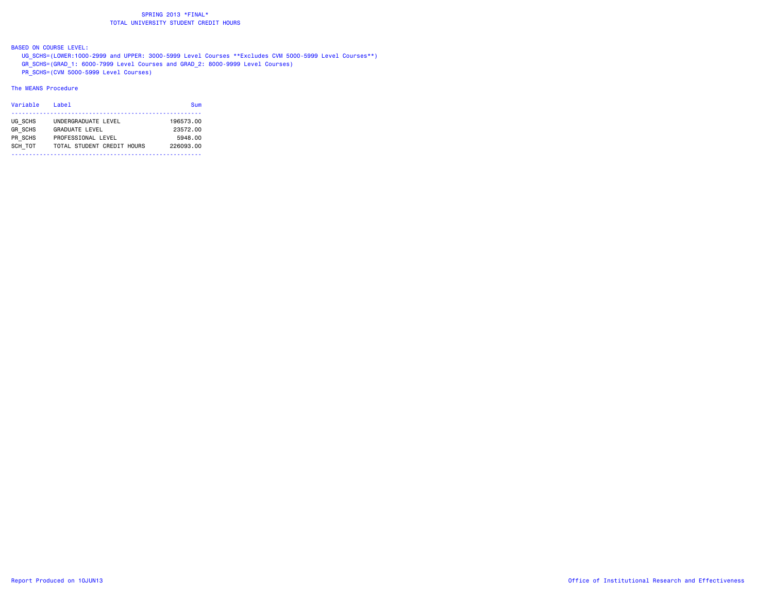BASED ON COURSE LEVEL:

 UG\_SCHS=(LOWER:1000-2999 and UPPER: 3000-5999 Level Courses \*\*Excludes CVM 5000-5999 Level Courses\*\*) GR\_SCHS=(GRAD\_1: 6000-7999 Level Courses and GRAD\_2: 8000-9999 Level Courses) PR\_SCHS=(CVM 5000-5999 Level Courses)

#### The MEANS Procedure

| Variable       | Label                      | Sum       |
|----------------|----------------------------|-----------|
| UG SCHS        | UNDERGRADUATE LEVEL        | 196573.00 |
| <b>GR SCHS</b> | <b>GRADUATE LEVEL</b>      | 23572.00  |
| PR SCHS        | PROFESSIONAL LEVEL         | 5948.00   |
| SCH TOT        | TOTAL STUDENT CREDIT HOURS | 226093.00 |
|                |                            |           |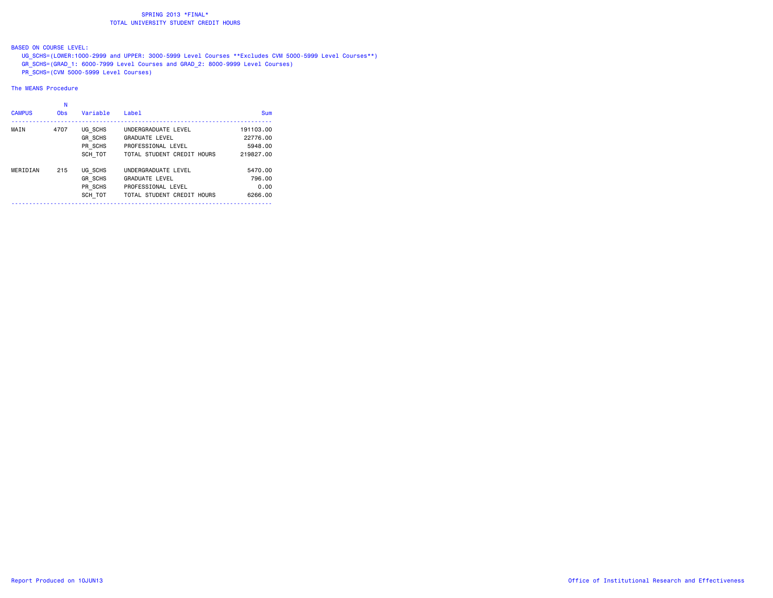## BASED ON COURSE LEVEL:

 UG\_SCHS=(LOWER:1000-2999 and UPPER: 3000-5999 Level Courses \*\*Excludes CVM 5000-5999 Level Courses\*\*) GR\_SCHS=(GRAD\_1: 6000-7999 Level Courses and GRAD\_2: 8000-9999 Level Courses) PR\_SCHS=(CVM 5000-5999 Level Courses)

#### The MEANS Procedure

| <b>CAMPUS</b> | N<br><b>Obs</b> | Variable       | Label                      | Sum       |
|---------------|-----------------|----------------|----------------------------|-----------|
| MAIN          | 4707            | UG SCHS        | UNDERGRADUATE LEVEL        | 191103.00 |
|               |                 | GR SCHS        | <b>GRADUATE LEVEL</b>      | 22776.00  |
|               |                 | PR SCHS        | PROFESSIONAL LEVEL         | 5948.00   |
|               |                 | SCH TOT        | TOTAL STUDENT CREDIT HOURS | 219827.00 |
| MERIDIAN      | 215             | UG SCHS        | UNDERGRADUATE LEVEL        | 5470.00   |
|               |                 | <b>GR SCHS</b> | <b>GRADUATE LEVEL</b>      | 796.00    |
|               |                 | PR SCHS        | PROFESSIONAL LEVEL         | 0.00      |
|               |                 | SCH TOT        | TOTAL STUDENT CREDIT HOURS | 6266.00   |
|               |                 |                |                            |           |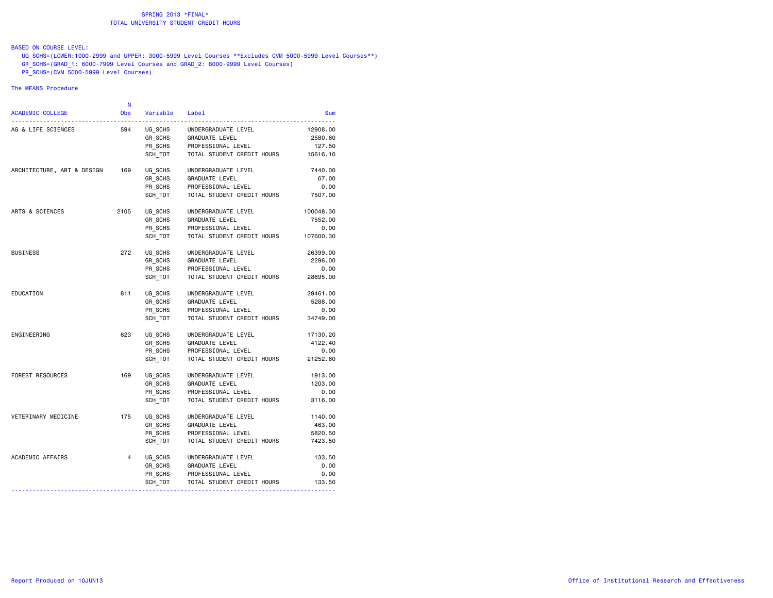#### BASED ON COURSE LEVEL:

 UG\_SCHS=(LOWER:1000-2999 and UPPER: 3000-5999 Level Courses \*\*Excludes CVM 5000-5999 Level Courses\*\*) GR\_SCHS=(GRAD\_1: 6000-7999 Level Courses and GRAD\_2: 8000-9999 Level Courses)  $\overline{PR}$  SCHS=(CVM 5000-5999 Level Courses)

#### The MEANS Procedure

|           |                            |          | N              |                            |
|-----------|----------------------------|----------|----------------|----------------------------|
| Sum       | Label                      | Variable | <b>Obs</b>     | <b>ACADEMIC COLLEGE</b>    |
| 12908.00  | UNDERGRADUATE LEVEL        | UG SCHS  | 594            | AG & LIFE SCIENCES         |
| 2580.60   | GRADUATE LEVEL             | GR SCHS  |                |                            |
| 127.50    | PROFESSIONAL LEVEL         | PR_SCHS  |                |                            |
| 15616.10  | TOTAL STUDENT CREDIT HOURS | SCH TOT  |                |                            |
| 7440.00   | UNDERGRADUATE LEVEL        | UG SCHS  | 169            | ARCHITECTURE, ART & DESIGN |
| 67.00     | <b>GRADUATE LEVEL</b>      | GR SCHS  |                |                            |
| 0.00      | PROFESSIONAL LEVEL         | PR SCHS  |                |                            |
| 7507.00   | TOTAL STUDENT CREDIT HOURS | SCH TOT  |                |                            |
| 100048.30 | UNDERGRADUATE LEVEL        | UG SCHS  | 2105           | ARTS & SCIENCES            |
| 7552.00   | GRADUATE LEVEL             | GR SCHS  |                |                            |
| 0.00      | PROFESSIONAL LEVEL         | PR SCHS  |                |                            |
| 107600.30 | TOTAL STUDENT CREDIT HOURS | SCH TOT  |                |                            |
| 26399.00  | UNDERGRADUATE LEVEL        | UG_SCHS  | 272            | <b>BUSINESS</b>            |
| 2296.00   | GRADUATE LEVEL             | GR_SCHS  |                |                            |
| 0.00      | PROFESSIONAL LEVEL         | PR_SCHS  |                |                            |
| 28695.00  | TOTAL STUDENT CREDIT HOURS | SCH TOT  |                |                            |
| 29461.00  | UNDERGRADUATE LEVEL        | UG SCHS  | 811            | EDUCATION                  |
| 5288.00   | GRADUATE LEVEL             | GR SCHS  |                |                            |
| 0.00      | PROFESSIONAL LEVEL         | PR_SCHS  |                |                            |
| 34749.00  | TOTAL STUDENT CREDIT HOURS | SCH TOT  |                |                            |
| 17130.20  | UNDERGRADUATE LEVEL        | UG SCHS  | 623            | ENGINEERING                |
| 4122.40   | <b>GRADUATE LEVEL</b>      | GR SCHS  |                |                            |
| 0.00      | PROFESSIONAL LEVEL         | PR_SCHS  |                |                            |
| 21252.60  | TOTAL STUDENT CREDIT HOURS | SCH TOT  |                |                            |
| 1913.00   | UNDERGRADUATE LEVEL        | UG SCHS  | 169            | <b>FOREST RESOURCES</b>    |
| 1203.00   | GRADUATE LEVEL             | GR SCHS  |                |                            |
| 0.00      | PROFESSIONAL LEVEL         | PR SCHS  |                |                            |
| 3116.00   | TOTAL STUDENT CREDIT HOURS | SCH TOT  |                |                            |
| 1140.00   | UNDERGRADUATE LEVEL        | UG SCHS  | 175            | VETERINARY MEDICINE        |
| 463.00    | <b>GRADUATE LEVEL</b>      | GR_SCHS  |                |                            |
| 5820.50   | PROFESSIONAL LEVEL         | PR SCHS  |                |                            |
| 7423.50   | TOTAL STUDENT CREDIT HOURS | SCH TOT  |                |                            |
| 133.50    | UNDERGRADUATE LEVEL        | UG SCHS  | $\overline{4}$ | ACADEMIC AFFAIRS           |
| 0.00      | GRADUATE LEVEL             | GR SCHS  |                |                            |
| 0.00      | PROFESSIONAL LEVEL         | PR_SCHS  |                |                            |
| 133.50    | TOTAL STUDENT CREDIT HOURS | SCH_TOT  |                |                            |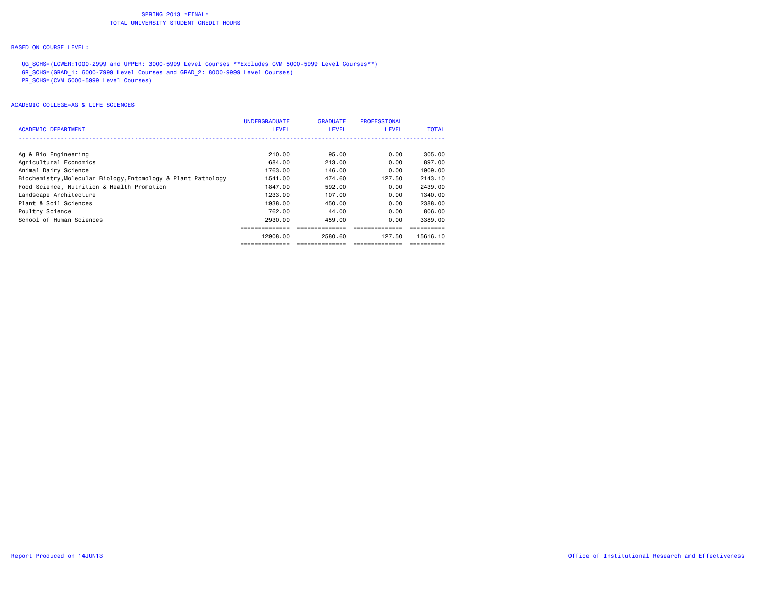#### BASED ON COURSE LEVEL:

UG SCHS=(LOWER:1000-2999 and UPPER: 3000-5999 Level Courses \*\*Excludes CVM 5000-5999 Level Courses\*\*) GR\_SCHS=(GRAD\_1: 6000-7999 Level Courses and GRAD\_2: 8000-9999 Level Courses) PR\_SCHS=(CVM 5000-5999 Level Courses)

|                                                               | <b>UNDERGRADUATE</b> | <b>GRADUATE</b> | <b>PROFESSIONAL</b> |              |
|---------------------------------------------------------------|----------------------|-----------------|---------------------|--------------|
| <b>ACADEMIC DEPARTMENT</b>                                    | <b>LEVEL</b>         | LEVEL           | <b>LEVEL</b>        | <b>TOTAL</b> |
|                                                               |                      |                 |                     |              |
| Ag & Bio Engineering                                          | 210.00               | 95.00           | 0.00                | 305,00       |
| Agricultural Economics                                        | 684.00               | 213.00          | 0.00                | 897.00       |
| Animal Dairy Science                                          | 1763.00              | 146.00          | 0.00                | 1909.00      |
| Biochemistry, Molecular Biology, Entomology & Plant Pathology | 1541.00              | 474.60          | 127.50              | 2143.10      |
| Food Science, Nutrition & Health Promotion                    | 1847.00              | 592.00          | 0.00                | 2439,00      |
| Landscape Architecture                                        | 1233.00              | 107.00          | 0.00                | 1340.00      |
| Plant & Soil Sciences                                         | 1938,00              | 450,00          | 0.00                | 2388.00      |
| Poultry Science                                               | 762.00               | 44.00           | 0.00                | 806.00       |
| School of Human Sciences                                      | 2930.00              | 459.00          | 0.00                | 3389.00      |
|                                                               |                      |                 |                     |              |
|                                                               | 12908.00             | 2580.60         | 127.50              | 15616.10     |
|                                                               |                      |                 |                     |              |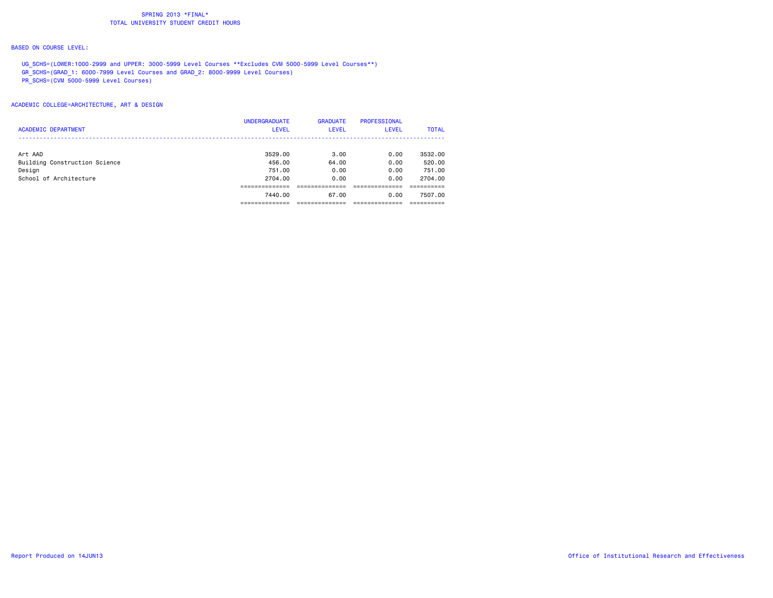#### BASED ON COURSE LEVEL:

UG\_SCHS=(LOWER:1000-2999 and UPPER: 3000-5999 Level Courses \*\*Excludes CVM 5000-5999 Level Courses\*\*) GR\_SCHS=(GRAD\_1: 6000-7999 Level Courses and GRAD\_2: 8000-9999 Level Courses) PR\_SCHS=(CVM 5000-5999 Level Courses)

## ACADEMIC COLLEGE=ARCHITECTURE, ART & DESIGN

|                               | <b>UNDERGRADUATE</b> | <b>GRADUATE</b> | <b>PROFESSIONAL</b> |              |
|-------------------------------|----------------------|-----------------|---------------------|--------------|
| <b>ACADEMIC DEPARTMENT</b>    | <b>LEVEL</b>         | <b>LEVEL</b>    | <b>LEVEL</b>        | <b>TOTAL</b> |
|                               |                      |                 |                     |              |
| Art AAD                       | 3529.00              | 3.00            | 0.00                | 3532.00      |
| Building Construction Science | 456.00               | 64.00           | 0.00                | 520.00       |
| Design                        | 751.00               | 0.00            | 0.00                | 751.00       |
| School of Architecture        | 2704.00              | 0.00            | 0.00                | 2704.00      |
|                               |                      |                 |                     |              |
|                               | 7440.00              | 67.00           | 0.00                | 7507.00      |
|                               |                      |                 |                     |              |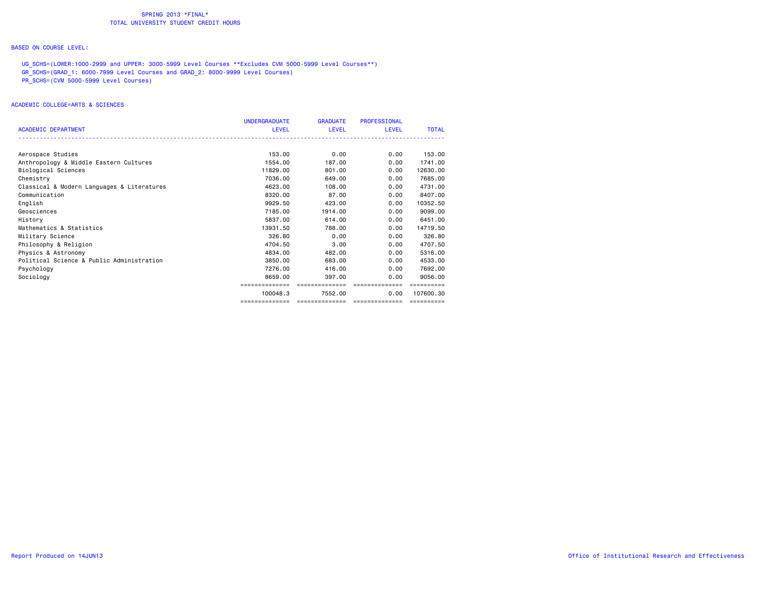#### BASED ON COURSE LEVEL:

UG SCHS=(LOWER:1000-2999 and UPPER: 3000-5999 Level Courses \*\*Excludes CVM 5000-5999 Level Courses\*\*) GR\_SCHS=(GRAD\_1: 6000-7999 Level Courses and GRAD\_2: 8000-9999 Level Courses) PR\_SCHS=(CVM 5000-5999 Level Courses)

## ACADEMIC COLLEGE=ARTS & SCIENCES

|                                            | <b>UNDERGRADUATE</b> | <b>GRADUATE</b> | <b>PROFESSIONAL</b> |              |
|--------------------------------------------|----------------------|-----------------|---------------------|--------------|
| <b>ACADEMIC DEPARTMENT</b>                 | <b>LEVEL</b>         | <b>LEVEL</b>    | <b>LEVEL</b>        | <b>TOTAL</b> |
|                                            |                      |                 |                     |              |
| Aerospace Studies                          | 153,00               | 0.00            | 0.00                | 153,00       |
| Anthropology & Middle Eastern Cultures     | 1554.00              | 187,00          | 0.00                | 1741.00      |
| Biological Sciences                        | 11829.00             | 801,00          | 0.00                | 12630.00     |
| Chemistry                                  | 7036.00              | 649,00          | 0.00                | 7685,00      |
| Classical & Modern Languages & Literatures | 4623.00              | 108,00          | 0.00                | 4731.00      |
| Communication                              | 8320.00              | 87.00           | 0.00                | 8407.00      |
| English                                    | 9929.50              | 423,00          | 0.00                | 10352.50     |
| Geosciences                                | 7185.00              | 1914.00         | 0.00                | 9099.00      |
| History                                    | 5837.00              | 614.00          | 0.00                | 6451.00      |
| Mathematics & Statistics                   | 13931.50             | 788,00          | 0.00                | 14719.50     |
| Military Science                           | 326,80               | 0.00            | 0.00                | 326.80       |
| Philosophy & Religion                      | 4704.50              | 3.00            | 0.00                | 4707.50      |
| Physics & Astronomy                        | 4834.00              | 482.00          | 0.00                | 5316.00      |
| Political Science & Public Administration  | 3850.00              | 683,00          | 0.00                | 4533.00      |
| Psychology                                 | 7276.00              | 416.00          | 0.00                | 7692.00      |
| Sociology                                  | 8659.00              | 397.00          | 0.00                | 9056.00      |
|                                            | --------------       | ==============  | ==============      | ==========   |
|                                            | 100048.3             | 7552.00         | 0.00                | 107600.30    |
|                                            | ==============       | --------------- | ---------------     | ==========   |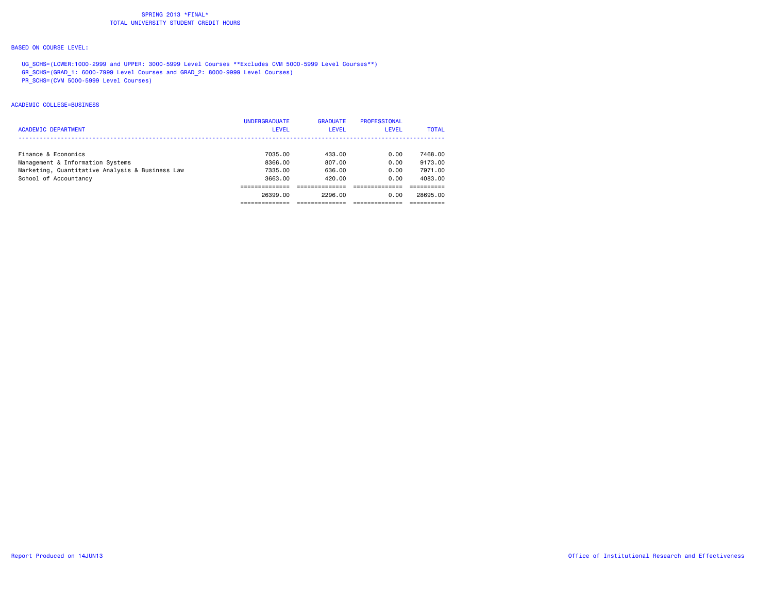#### BASED ON COURSE LEVEL:

UG SCHS=(LOWER:1000-2999 and UPPER: 3000-5999 Level Courses \*\*Excludes CVM 5000-5999 Level Courses\*\*) GR\_SCHS=(GRAD\_1: 6000-7999 Level Courses and GRAD\_2: 8000-9999 Level Courses) PR\_SCHS=(CVM 5000-5999 Level Courses)

## ACADEMIC COLLEGE=BUSINESS

|                                                 | <b>UNDERGRADUATE</b> | <b>GRADUATE</b> | PROFESSIONAL |              |
|-------------------------------------------------|----------------------|-----------------|--------------|--------------|
| <b>ACADEMIC DEPARTMENT</b>                      | <b>LEVEL</b>         | <b>LEVEL</b>    | <b>LEVEL</b> | <b>TOTAL</b> |
|                                                 |                      |                 |              |              |
| Finance & Economics                             | 7035.00              | 433.00          | 0.00         | 7468.00      |
| Management & Information Systems                | 8366.00              | 807.00          | 0.00         | 9173.00      |
| Marketing, Quantitative Analysis & Business Law | 7335.00              | 636.00          | 0.00         | 7971.00      |
| School of Accountancy                           | 3663.00              | 420.00          | 0.00         | 4083.00      |
|                                                 |                      |                 |              |              |
|                                                 | 26399.00             | 2296.00         | 0.00         | 28695.00     |
|                                                 |                      |                 |              |              |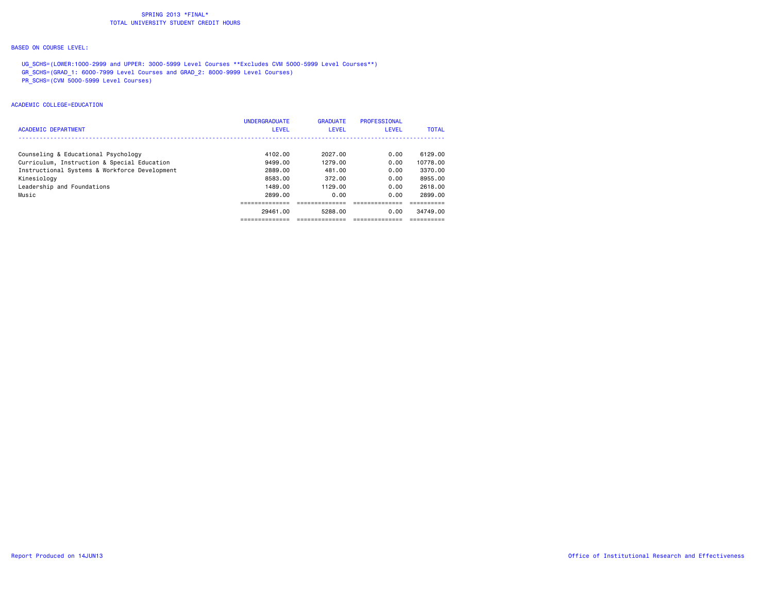#### BASED ON COURSE LEVEL:

UG SCHS=(LOWER:1000-2999 and UPPER: 3000-5999 Level Courses \*\*Excludes CVM 5000-5999 Level Courses\*\*) GR\_SCHS=(GRAD\_1: 6000-7999 Level Courses and GRAD\_2: 8000-9999 Level Courses) PR\_SCHS=(CVM 5000-5999 Level Courses)

#### ACADEMIC COLLEGE=EDUCATION

| <b>ACADEMIC DEPARTMENT</b>                    | <b>UNDERGRADUATE</b><br><b>LEVEL</b> | <b>GRADUATE</b><br><b>LEVEL</b> | PROFESSIONAL<br><b>LEVEL</b> | <b>TOTAL</b> |
|-----------------------------------------------|--------------------------------------|---------------------------------|------------------------------|--------------|
|                                               |                                      |                                 |                              |              |
| Counseling & Educational Psychology           | 4102.00                              | 2027.00                         | 0.00                         | 6129.00      |
| Curriculum, Instruction & Special Education   | 9499.00                              | 1279.00                         | 0.00                         | 10778.00     |
| Instructional Systems & Workforce Development | 2889.00                              | 481.00                          | 0.00                         | 3370.00      |
| Kinesiology                                   | 8583.00                              | 372.00                          | 0.00                         | 8955.00      |
| Leadership and Foundations                    | 1489.00                              | 1129.00                         | 0.00                         | 2618.00      |
| Music                                         | 2899.00                              | 0.00                            | 0.00                         | 2899.00      |
|                                               |                                      |                                 |                              |              |
|                                               | 29461.00                             | 5288.00                         | 0.00                         | 34749.00     |
|                                               |                                      |                                 |                              |              |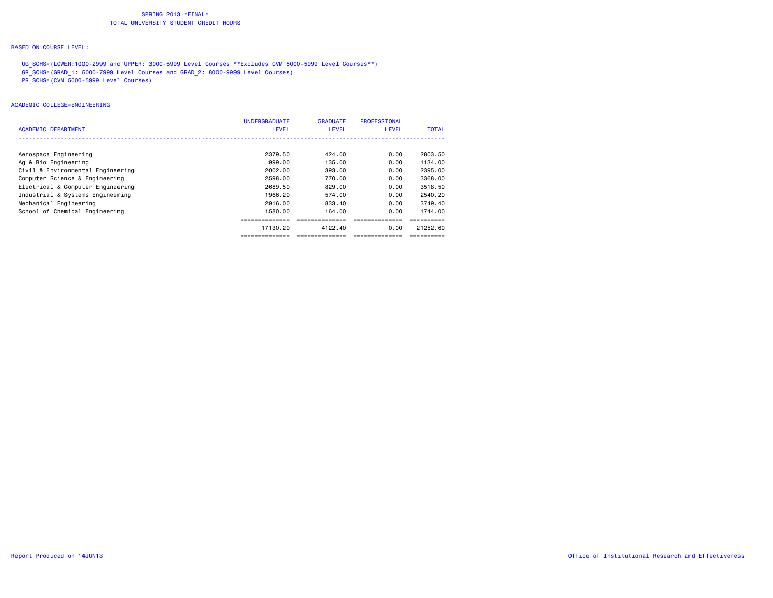#### BASED ON COURSE LEVEL:

UG SCHS=(LOWER:1000-2999 and UPPER: 3000-5999 Level Courses \*\*Excludes CVM 5000-5999 Level Courses\*\*) GR\_SCHS=(GRAD\_1: 6000-7999 Level Courses and GRAD\_2: 8000-9999 Level Courses) PR\_SCHS=(CVM 5000-5999 Level Courses)

#### ACADEMIC COLLEGE=ENGINEERING

|                                   | <b>UNDERGRADUATE</b> | <b>GRADUATE</b> | PROFESSIONAL |              |
|-----------------------------------|----------------------|-----------------|--------------|--------------|
| ACADEMIC DEPARTMENT               | LEVEL                | LEVEL           | <b>LEVEL</b> | <b>TOTAL</b> |
|                                   |                      |                 |              |              |
| Aerospace Engineering             | 2379.50              | 424.00          | 0.00         | 2803.50      |
| Ag & Bio Engineering              | 999.00               | 135.00          | 0.00         | 1134.00      |
| Civil & Environmental Engineering | 2002.00              | 393.00          | 0.00         | 2395.00      |
| Computer Science & Engineering    | 2598.00              | 770.00          | 0.00         | 3368.00      |
| Electrical & Computer Engineering | 2689.50              | 829.00          | 0.00         | 3518.50      |
| Industrial & Systems Engineering  | 1966.20              | 574.00          | 0.00         | 2540.20      |
| Mechanical Engineering            | 2916.00              | 833.40          | 0.00         | 3749.40      |
| School of Chemical Engineering    | 1580.00              | 164.00          | 0.00         | 1744.00      |
|                                   | --------------       | =============== |              |              |
|                                   | 17130.20             | 4122.40         | 0.00         | 21252.60     |
|                                   | ==============       | ==============  |              | ==========   |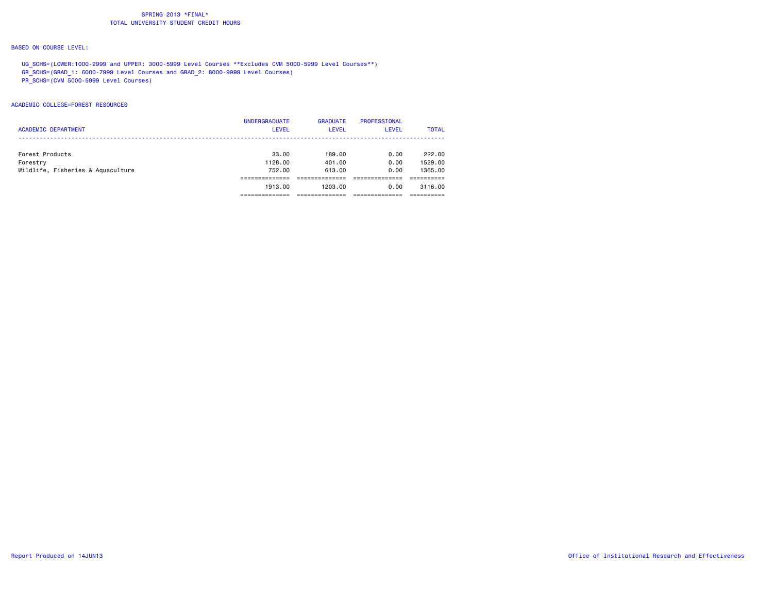#### BASED ON COURSE LEVEL:

UG SCHS=(LOWER:1000-2999 and UPPER: 3000-5999 Level Courses \*\*Excludes CVM 5000-5999 Level Courses\*\*) GR\_SCHS=(GRAD\_1: 6000-7999 Level Courses and GRAD\_2: 8000-9999 Level Courses) PR\_SCHS=(CVM 5000-5999 Level Courses)

ACADEMIC COLLEGE=FOREST RESOURCES

|                                   | <b>UNDERGRADUATE</b> | <b>GRADUATE</b> | PROFESSIONAL |              |
|-----------------------------------|----------------------|-----------------|--------------|--------------|
| <b>ACADEMIC DEPARTMENT</b>        | <b>LEVEL</b>         | <b>LEVEL</b>    | LEVEL        | <b>TOTAL</b> |
|                                   |                      |                 |              |              |
| Forest Products                   | 33.00                | 189.00          | 0.00         | 222.00       |
| Forestry                          | 1128.00              | 401.00          | 0.00         | 1529.00      |
| Wildlife, Fisheries & Aquaculture | 752.00               | 613.00          | 0.00         | 1365,00      |
|                                   |                      |                 |              |              |
|                                   | 1913.00              | 1203.00         | 0.00         | 3116.00      |
|                                   |                      |                 |              |              |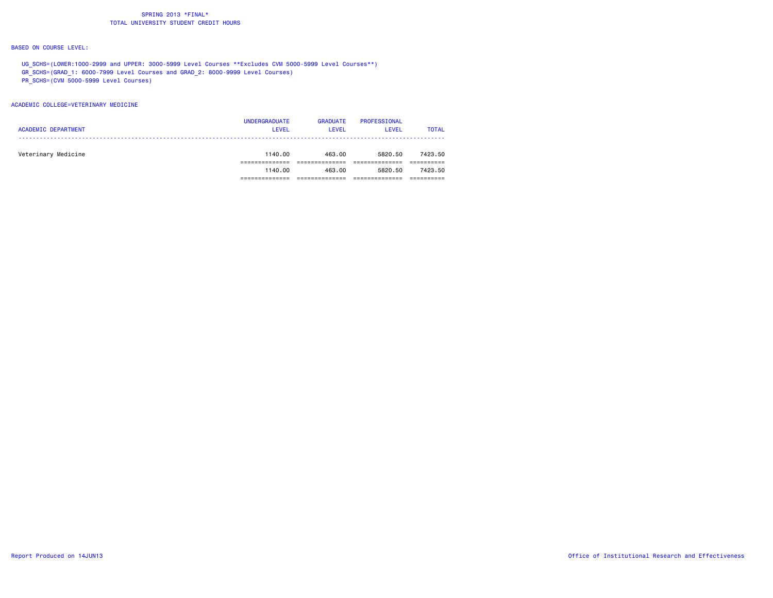#### BASED ON COURSE LEVEL:

UG SCHS=(LOWER:1000-2999 and UPPER: 3000-5999 Level Courses \*\*Excludes CVM 5000-5999 Level Courses\*\*) GR\_SCHS=(GRAD\_1: 6000-7999 Level Courses and GRAD\_2: 8000-9999 Level Courses) PR\_SCHS=(CVM 5000-5999 Level Courses)

#### ACADEMIC COLLEGE=VETERINARY MEDICINE

|                            | <b>UNDERGRADUATE</b> | <b>GRADUATE</b> | PROFESSIONAL |              |
|----------------------------|----------------------|-----------------|--------------|--------------|
| <b>ACADEMIC DEPARTMENT</b> | <b>LEVEL</b>         | LEVEL           | <b>LEVEL</b> | <b>TOTAL</b> |
|                            |                      |                 |              |              |
| Veterinary Medicine        | 1140.00              | 463.00          | 5820.50      | 7423.50      |
|                            |                      |                 |              |              |
|                            | 1140.00              | 463.00          | 5820.50      | 7423.50      |
|                            |                      |                 |              |              |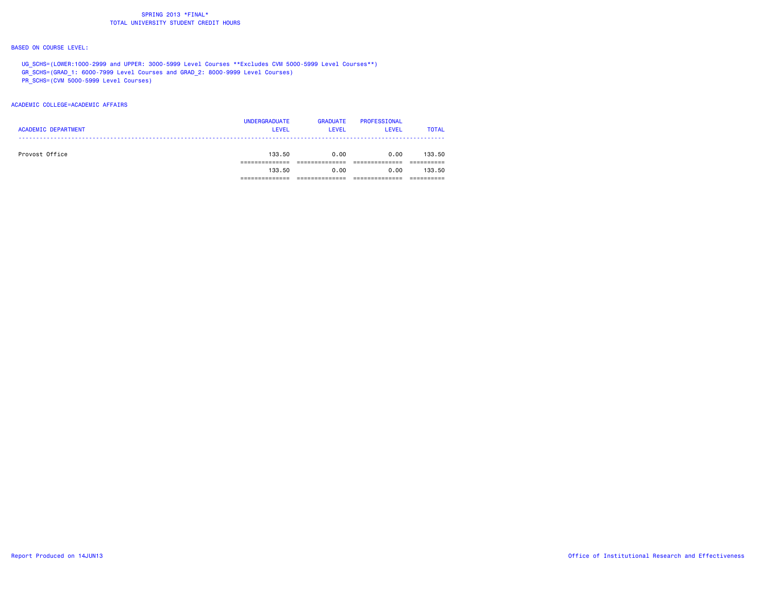#### BASED ON COURSE LEVEL:

UG SCHS=(LOWER:1000-2999 and UPPER: 3000-5999 Level Courses \*\*Excludes CVM 5000-5999 Level Courses\*\*) GR\_SCHS=(GRAD\_1: 6000-7999 Level Courses and GRAD\_2: 8000-9999 Level Courses) PR\_SCHS=(CVM 5000-5999 Level Courses)

#### ACADEMIC COLLEGE=ACADEMIC AFFAIRS

|                            | <b>UNDERGRADUATE</b> | <b>GRADUATE</b> | PROFESSIONAL |              |
|----------------------------|----------------------|-----------------|--------------|--------------|
| <b>ACADEMIC DEPARTMENT</b> | <b>LEVEL</b>         | <b>LEVEL</b>    | <b>LEVEL</b> | <b>TOTAL</b> |
|                            |                      |                 |              |              |
| Provost Office             | 133.50               | 0.00            | 0.00         | 133.50       |
|                            |                      |                 |              |              |
|                            | 133.50               | 0.00            | 0.00         | 133.50       |
|                            |                      |                 |              |              |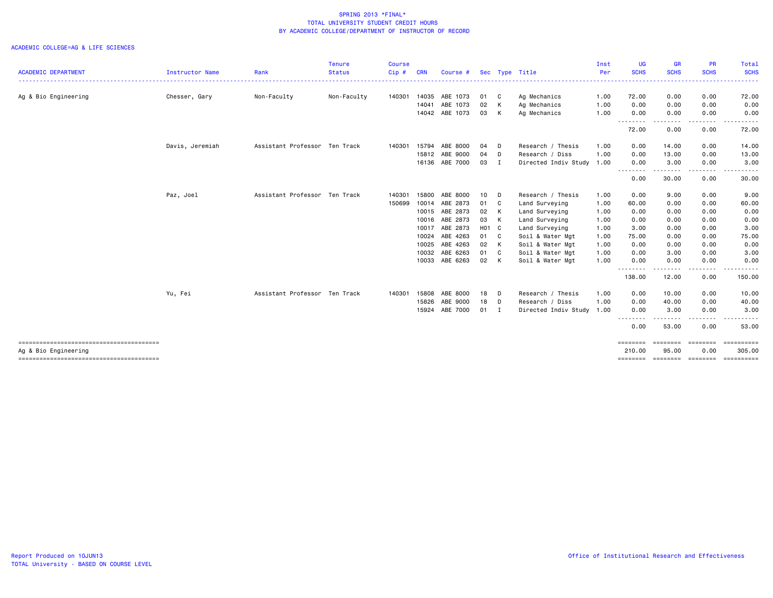|                            |                 |                               | <b>Tenure</b> | <b>Course</b> |            |                |              |                            |                      | Inst     | UG                 | <b>GR</b>                                                                                                                         | <b>PR</b>        | Total                     |
|----------------------------|-----------------|-------------------------------|---------------|---------------|------------|----------------|--------------|----------------------------|----------------------|----------|--------------------|-----------------------------------------------------------------------------------------------------------------------------------|------------------|---------------------------|
| <b>ACADEMIC DEPARTMENT</b> | Instructor Name | Rank                          | <b>Status</b> | Cip#          | <b>CRN</b> | Course #       |              |                            | Sec Type Title       | Per<br>. | <b>SCHS</b><br>.   | <b>SCHS</b><br>.                                                                                                                  | <b>SCHS</b>      | <b>SCHS</b><br>. <b>.</b> |
| Ag & Bio Engineering       | Chesser, Gary   | Non-Faculty                   | Non-Faculty   | 140301        | 14035      | ABE 1073       | 01           | $\mathbf{C}$               | Ag Mechanics         | 1.00     | 72.00              | 0.00                                                                                                                              | 0.00             | 72.00                     |
|                            |                 |                               |               |               | 14041      | ABE 1073       | 02           | $\mathsf{K}$               | Ag Mechanics         | 1.00     | 0.00               | 0.00                                                                                                                              | 0.00             | 0.00                      |
|                            |                 |                               |               |               |            | 14042 ABE 1073 | 03           | $\mathsf{K}$               | Ag Mechanics         | 1.00     | 0.00<br>--------   | 0.00<br>- - -                                                                                                                     | 0.00             | 0.00                      |
|                            |                 |                               |               |               |            |                |              |                            |                      |          | 72.00              | 0.00                                                                                                                              | 0.00             | 72.00                     |
|                            | Davis, Jeremiah | Assistant Professor Ten Track |               | 140301        | 15794      | ABE 8000       | 04           | - D                        | Research / Thesis    | 1.00     | 0.00               | 14.00                                                                                                                             | 0.00             | 14.00                     |
|                            |                 |                               |               |               | 15812      | ABE 9000       | 04           | D.                         | Research / Diss      | 1.00     | 0.00               | 13.00                                                                                                                             | 0.00             | 13.00                     |
|                            |                 |                               |               |               |            | 16136 ABE 7000 | 03 I         |                            | Directed Indiv Study | 1.00     | 0.00<br>--------   | 3.00<br>$\frac{1}{2} \left( \frac{1}{2} \right) \left( \frac{1}{2} \right) \left( \frac{1}{2} \right) \left( \frac{1}{2} \right)$ | 0.00             | 3.00                      |
|                            |                 |                               |               |               |            |                |              |                            |                      |          | 0.00               | 30.00                                                                                                                             | 0.00             | 30.00                     |
|                            | Paz, Joel       | Assistant Professor Ten Track |               | 140301        | 15800      | ABE 8000       | 10           | - D                        | Research / Thesis    | 1.00     | 0.00               | 9.00                                                                                                                              | 0.00             | 9.00                      |
|                            |                 |                               |               | 150699        | 10014      | ABE 2873       | 01           | $\overline{c}$             | Land Surveying       | 1.00     | 60.00              | 0.00                                                                                                                              | 0.00             | 60.00                     |
|                            |                 |                               |               |               | 10015      | ABE 2873       | 02 K         |                            | Land Surveying       | 1.00     | 0.00               | 0.00                                                                                                                              | 0.00             | 0.00                      |
|                            |                 |                               |               |               | 10016      | ABE 2873       | 03 K         |                            | Land Surveying       | 1.00     | 0.00               | 0.00                                                                                                                              | 0.00             | 0.00                      |
|                            |                 |                               |               |               | 10017      | ABE 2873       | H01 C        |                            | Land Surveying       | 1.00     | 3.00               | 0.00                                                                                                                              | 0.00             | 3.00                      |
|                            |                 |                               |               |               | 10024      | ABE 4263       | 01 C         |                            | Soil & Water Mgt     | 1.00     | 75.00              | 0.00                                                                                                                              | 0.00             | 75.00                     |
|                            |                 |                               |               |               | 10025      | ABE 4263       | 02 K         |                            | Soil & Water Mgt     | 1.00     | 0.00               | 0.00                                                                                                                              | 0.00             | 0.00                      |
|                            |                 |                               |               |               | 10032      | ABE 6263       | 01           | $\overline{\phantom{a}}$ C | Soil & Water Mgt     | 1.00     | 0.00               | 3.00                                                                                                                              | 0.00             | 3.00                      |
|                            |                 |                               |               |               |            | 10033 ABE 6263 | 02 K         |                            | Soil & Water Mgt     | 1.00     | 0.00<br>--------   | 0.00<br>.                                                                                                                         | 0.00<br>.        | 0.00<br>.                 |
|                            |                 |                               |               |               |            |                |              |                            |                      |          | 138.00             | 12.00                                                                                                                             | 0.00             | 150.00                    |
|                            | Yu, Fei         | Assistant Professor Ten Track |               | 140301        | 15808      | ABE 8000       | 18           | D.                         | Research / Thesis    | 1.00     | 0.00               | 10.00                                                                                                                             | 0.00             | 10.00                     |
|                            |                 |                               |               |               | 15826      | ABE 9000       | 18           | $\Box$                     | Research / Diss      | 1.00     | 0.00               | 40.00                                                                                                                             | 0.00             | 40.00                     |
|                            |                 |                               |               |               | 15924      | ABE 7000       | $01 \quad I$ |                            | Directed Indiv Study | 1.00     | 0.00<br>--------   | 3.00<br>---------                                                                                                                 | 0.00<br>.        | 3.00<br>------            |
|                            |                 |                               |               |               |            |                |              |                            |                      |          | 0.00               | 53.00                                                                                                                             | 0.00             | 53.00                     |
| Ag & Bio Engineering       |                 |                               |               |               |            |                |              |                            |                      |          | ========<br>210.00 | ========<br>95.00                                                                                                                 | ========<br>0.00 | ==========<br>305.00      |
|                            |                 |                               |               |               |            |                |              |                            |                      |          | ========           | ========                                                                                                                          | ========         | ==========                |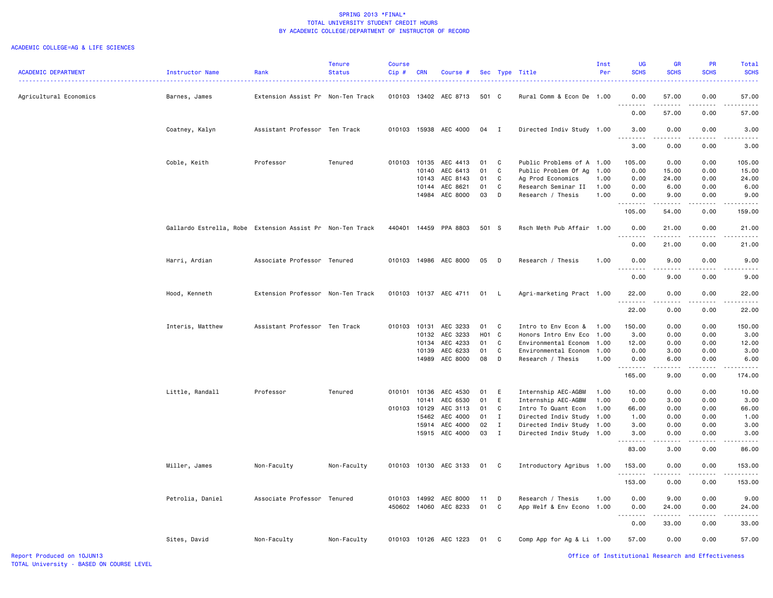| <b>ACADEMIC DEPARTMENT</b> | Instructor Name                                           | Rank                              | <b>Tenure</b><br><b>Status</b> | Course<br>Cip# | <b>CRN</b> | Course #              |       |              | Sec Type Title            | Inst<br>Per | <b>UG</b><br><b>SCHS</b>                                                                                                                                                      | <b>GR</b><br><b>SCHS</b>                                                                                                          | <b>PR</b><br><b>SCHS</b> | <b>Total</b><br><b>SCHS</b> |
|----------------------------|-----------------------------------------------------------|-----------------------------------|--------------------------------|----------------|------------|-----------------------|-------|--------------|---------------------------|-------------|-------------------------------------------------------------------------------------------------------------------------------------------------------------------------------|-----------------------------------------------------------------------------------------------------------------------------------|--------------------------|-----------------------------|
| Agricultural Economics     | Barnes, James                                             | Extension Assist Pr Non-Ten Track |                                |                |            | 010103 13402 AEC 8713 | 501 C |              | Rural Comm & Econ De 1.00 |             | 0.00                                                                                                                                                                          | 57.00                                                                                                                             | 0.00<br>.                | 57.00                       |
|                            |                                                           |                                   |                                |                |            |                       |       |              |                           |             | 0.00                                                                                                                                                                          | د د د د د<br>57.00                                                                                                                | 0.00                     | 57.00                       |
|                            | Coatney, Kalyn                                            | Assistant Professor Ten Track     |                                |                |            | 010103 15938 AEC 4000 | 04 I  |              | Directed Indiv Study 1.00 |             | 3.00<br>$\frac{1}{2} \left( \frac{1}{2} \right) \left( \frac{1}{2} \right) \left( \frac{1}{2} \right) \left( \frac{1}{2} \right) \left( \frac{1}{2} \right)$<br>$\sim$ $\sim$ | 0.00<br>الأمالات الما                                                                                                             | 0.00<br>.                | 3.00                        |
|                            |                                                           |                                   |                                |                |            |                       |       |              |                           |             | 3.00                                                                                                                                                                          | 0.00                                                                                                                              | 0.00                     | 3.00                        |
|                            | Coble, Keith                                              | Professor                         | Tenured                        |                |            | 010103 10135 AEC 4413 | 01    | $\mathbf{C}$ | Public Problems of A 1.00 |             | 105.00                                                                                                                                                                        | 0.00                                                                                                                              | 0.00                     | 105.00                      |
|                            |                                                           |                                   |                                |                |            | 10140 AEC 6413        | 01    | C            | Public Problem Of Ag      | 1.00        | 0.00                                                                                                                                                                          | 15.00                                                                                                                             | 0.00                     | 15.00                       |
|                            |                                                           |                                   |                                |                | 10143      | AEC 8143              | 01    | C            | Ag Prod Economics         | 1.00        | 0.00                                                                                                                                                                          | 24.00                                                                                                                             | 0.00                     | 24.00                       |
|                            |                                                           |                                   |                                |                |            | 10144 AEC 8621        | 01    | C            | Research Seminar II       | 1.00        | 0.00                                                                                                                                                                          | 6.00                                                                                                                              | 0.00                     | 6.00                        |
|                            |                                                           |                                   |                                |                |            | 14984 AEC 8000        | 03    | D            | Research / Thesis         | 1.00        | 0.00<br>.                                                                                                                                                                     | 9.00<br>$\frac{1}{2} \left( \frac{1}{2} \right) \left( \frac{1}{2} \right) \left( \frac{1}{2} \right) \left( \frac{1}{2} \right)$ | 0.00<br>.                | 9.00                        |
|                            |                                                           |                                   |                                |                |            |                       |       |              |                           |             | 105.00                                                                                                                                                                        | 54.00                                                                                                                             | 0.00                     | 159.00                      |
|                            | Gallardo Estrella, Robe Extension Assist Pr Non-Ten Track |                                   |                                |                |            | 440401 14459 PPA 8803 | 501 S |              | Rsch Meth Pub Affair 1.00 |             | 0.00<br>.                                                                                                                                                                     | 21.00<br>.                                                                                                                        | 0.00<br>.                | 21.00                       |
|                            |                                                           |                                   |                                |                |            |                       |       |              |                           |             | 0.00                                                                                                                                                                          | 21.00                                                                                                                             | 0.00                     | 21.00                       |
|                            | Harri, Ardian                                             | Associate Professor Tenured       |                                |                |            | 010103 14986 AEC 8000 | 05 D  |              | Research / Thesis         | 1.00        | 0.00                                                                                                                                                                          | 9.00<br>$- - -$                                                                                                                   | 0.00<br>.                | 9.00                        |
|                            |                                                           |                                   |                                |                |            |                       |       |              |                           |             | 0.00                                                                                                                                                                          | 9.00                                                                                                                              | 0.00                     | 9.00                        |
|                            | Hood, Kenneth                                             | Extension Professor Non-Ten Track |                                |                |            | 010103 10137 AEC 4711 | 01    | $\mathsf{L}$ | Agri-marketing Pract 1.00 |             | 22.00                                                                                                                                                                         | 0.00<br>$\sim$ $\sim$ $\sim$ $\sim$                                                                                               | 0.00                     | 22.00                       |
|                            |                                                           |                                   |                                |                |            |                       |       |              |                           |             | 22.00                                                                                                                                                                         | 0.00                                                                                                                              | 0.00                     | 22.00                       |
|                            | Interis, Matthew                                          | Assistant Professor Ten Track     |                                | 010103 10131   |            | AEC 3233              | 01 C  |              | Intro to Env Econ &       | 1.00        | 150.00                                                                                                                                                                        | 0.00                                                                                                                              | 0.00                     | 150.00                      |
|                            |                                                           |                                   |                                |                |            | 10132 AEC 3233        | H01 C |              | Honors Intro Env Eco      | 1.00        | 3.00                                                                                                                                                                          | 0.00                                                                                                                              | 0.00                     | 3.00                        |
|                            |                                                           |                                   |                                |                |            | 10134 AEC 4233        | 01    | C            | Environmental Econom      | 1.00        | 12.00                                                                                                                                                                         | 0.00                                                                                                                              | 0.00                     | 12.00                       |
|                            |                                                           |                                   |                                |                |            | 10139 AEC 6233        | 01    | C            | Environmental Econom      | 1.00        | 0.00                                                                                                                                                                          | 3.00                                                                                                                              | 0.00                     | 3.00                        |
|                            |                                                           |                                   |                                |                |            | 14989 AEC 8000        | 08    | D            | Research / Thesis         | 1.00        | 0.00<br>.                                                                                                                                                                     | 6.00<br>$\sim$ $\sim$ $\sim$ $\sim$                                                                                               | 0.00<br>.                | 6.00                        |
|                            |                                                           |                                   |                                |                |            |                       |       |              |                           |             | 165.00                                                                                                                                                                        | 9.00                                                                                                                              | 0.00                     | 174.00                      |
|                            | Little, Randall                                           | Professor                         | Tenured                        | 010101         |            | 10136 AEC 4530        | 01    | E            | Internship AEC-AGBM       | 1.00        | 10.00                                                                                                                                                                         | 0.00                                                                                                                              | 0.00                     | 10.00                       |
|                            |                                                           |                                   |                                |                | 10141      | AEC 6530              | 01    | E            | Internship AEC-AGBM       | 1.00        | 0.00                                                                                                                                                                          | 3.00                                                                                                                              | 0.00                     | 3.00                        |
|                            |                                                           |                                   |                                | 010103 10129   |            | AEC 3113              | 01    | C            | Intro To Quant Econ       | 1.00        | 66.00                                                                                                                                                                         | 0.00                                                                                                                              | 0.00                     | 66.00                       |
|                            |                                                           |                                   |                                |                | 15462      | AEC 4000              | 01    | $\mathbf I$  | Directed Indiv Study      | 1.00        | 1.00                                                                                                                                                                          | 0.00                                                                                                                              | 0.00                     | 1.00                        |
|                            |                                                           |                                   |                                |                |            | 15914 AEC 4000        | 02    | Ι.           | Directed Indiv Study      | 1.00        | 3.00                                                                                                                                                                          | 0.00                                                                                                                              | 0.00                     | 3.00                        |
|                            |                                                           |                                   |                                |                |            | 15915 AEC 4000        | 03    | $\mathbf{I}$ | Directed Indiv Study      | 1.00        | 3.00<br>$\frac{1}{2} \left( \frac{1}{2} \right) \left( \frac{1}{2} \right) \left( \frac{1}{2} \right) \left( \frac{1}{2} \right) \left( \frac{1}{2} \right)$                  | 0.00<br>.                                                                                                                         | 0.00                     | 3.00                        |
|                            |                                                           |                                   |                                |                |            |                       |       |              |                           |             | 83.00                                                                                                                                                                         | 3.00                                                                                                                              | 0.00                     | 86.00                       |
|                            | Miller, James                                             | Non-Faculty                       | Non-Faculty                    | 010103         |            | 10130 AEC 3133        | 01    | $\mathbf{C}$ | Introductory Agribus      | 1.00        | 153.00<br>.                                                                                                                                                                   | 0.00                                                                                                                              | 0.00                     | 153.00                      |
|                            |                                                           |                                   |                                |                |            |                       |       |              |                           |             | 153.00                                                                                                                                                                        | 0.00                                                                                                                              | 0.00                     | 153.00                      |
|                            | Petrolia, Daniel                                          | Associate Professor Tenured       |                                |                |            | 010103 14992 AEC 8000 | 11    | $\mathsf{D}$ | Research / Thesis         | 1.00        | 0.00                                                                                                                                                                          | 9.00                                                                                                                              | 0.00                     | 9.00                        |
|                            |                                                           |                                   |                                |                |            | 450602 14060 AEC 8233 | 01    | C            | App Welf & Env Econo 1.00 |             | 0.00<br>.                                                                                                                                                                     | 24.00                                                                                                                             | 0.00                     | 24.00                       |
|                            |                                                           |                                   |                                |                |            |                       |       |              |                           |             | 0.00                                                                                                                                                                          | 33.00                                                                                                                             | 0.00                     | 33.00                       |
|                            | Sites, David                                              | Non-Faculty                       | Non-Faculty                    |                |            | 010103 10126 AEC 1223 | 01    | $\mathbf{C}$ | Comp App for Ag & Li 1.00 |             | 57.00                                                                                                                                                                         | 0.00                                                                                                                              | 0.00                     | 57.00                       |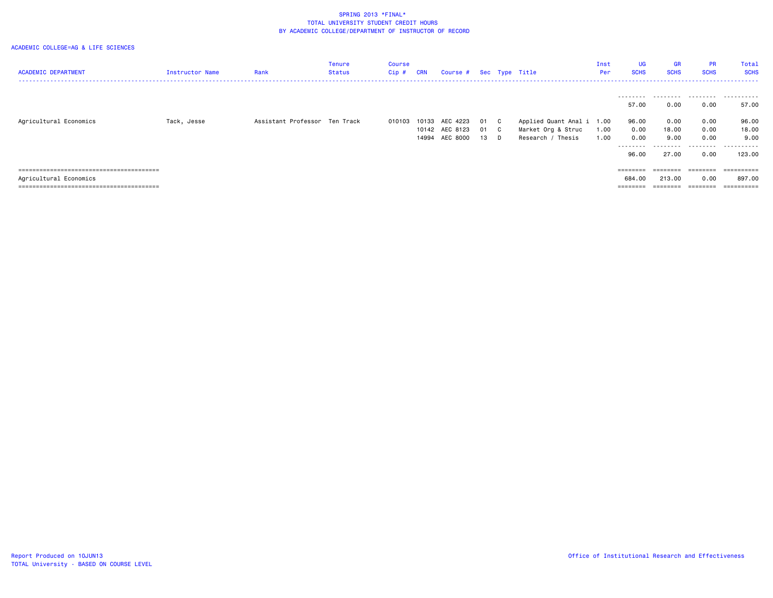| <b>ACADEMIC DEPARTMENT</b> | Instructor Name | Rank                          | Tenure<br>Status | Course<br>Cip # | CRN | Course # Sec Type Title                            |                |                                      |                                                                      | Inst<br>Per  | <b>UG</b><br><b>SCHS</b>                          | <b>GR</b><br><b>SCHS</b>                    | <b>PR</b><br><b>SCHS</b>                       | Total<br><b>SCHS</b><br>------------------------------ |
|----------------------------|-----------------|-------------------------------|------------------|-----------------|-----|----------------------------------------------------|----------------|--------------------------------------|----------------------------------------------------------------------|--------------|---------------------------------------------------|---------------------------------------------|------------------------------------------------|--------------------------------------------------------|
| Agricultural Economics     | Tack, Jesse     | Assistant Professor Ten Track |                  | 010103          |     | 10133 AEC 4223<br>10142 AEC 8123<br>14994 AEC 8000 | 01<br>01<br>13 | $\overline{c}$<br>$\mathbf{C}$<br>D. | Applied Quant Anal i 1.00<br>Market Org & Struc<br>Research / Thesis | 1.00<br>1.00 | .<br>57.00<br>96.00<br>0.00<br>0.00<br>.<br>96.00 | 0.00<br>0.00<br>18.00<br>9.00<br>.<br>27.00 | .<br>0.00<br>0.00<br>0.00<br>0.00<br>.<br>0.00 | .<br>57.00<br>96.00<br>18.00<br>9.00<br>.<br>123.00    |
| Agricultural Economics     |                 |                               |                  |                 |     |                                                    |                |                                      |                                                                      |              | ========<br>684.00<br>========                    | ========<br>213.00<br>--------              | --------<br>0.00<br>--------                   | ==========<br>897.00<br>==========                     |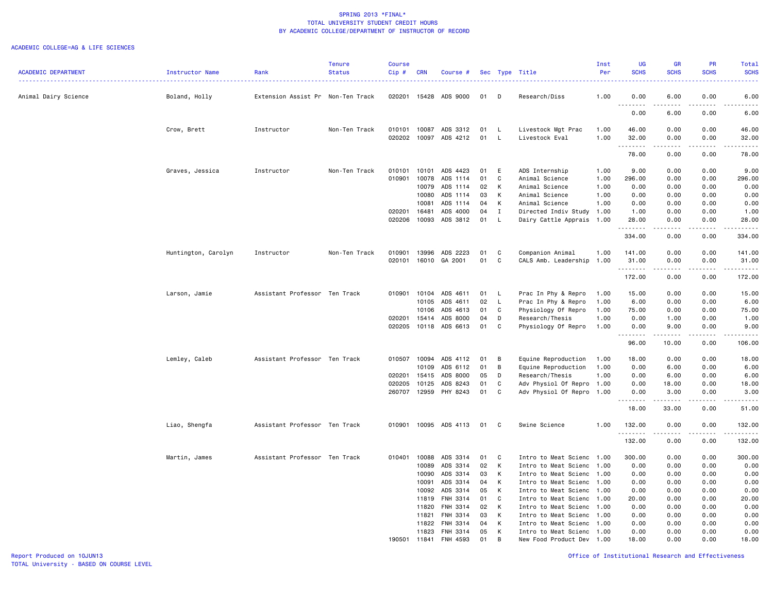#### ACADEMIC COLLEGE=AG & LIFE SCIENCES

|                            |                     |                                   | <b>Tenure</b> | <b>Course</b> |              |                      |    |              |                           | Inst | <b>UG</b>          | <b>GR</b>          | PR                                  | Total                                                                                                                             |
|----------------------------|---------------------|-----------------------------------|---------------|---------------|--------------|----------------------|----|--------------|---------------------------|------|--------------------|--------------------|-------------------------------------|-----------------------------------------------------------------------------------------------------------------------------------|
| <b>ACADEMIC DEPARTMENT</b> | Instructor Name     | Rank                              | <b>Status</b> | $Cip$ #       | <b>CRN</b>   | Course #             |    |              | Sec Type Title            | Per  | <b>SCHS</b>        | <b>SCHS</b>        | <b>SCHS</b>                         | <b>SCHS</b>                                                                                                                       |
| Animal Dairy Science       | Boland, Holly       | Extension Assist Pr Non-Ten Track |               | 020201        | 15428        | ADS 9000             | 01 | D            | Research/Diss             | 1.00 | 0.00               | 6.00               | 0.00                                | $\frac{1}{2} \left( \frac{1}{2} \right) \left( \frac{1}{2} \right) \left( \frac{1}{2} \right) \left( \frac{1}{2} \right)$<br>6.00 |
|                            |                     |                                   |               |               |              |                      |    |              |                           |      | .<br>$\frac{1}{2}$ | .                  | $- - - -$                           | .                                                                                                                                 |
|                            |                     |                                   |               |               |              |                      |    |              |                           |      | 0.00               | 6.00               | 0.00                                | 6.00                                                                                                                              |
|                            | Crow, Brett         | Instructor                        | Non-Ten Track | 010101        | 10087        | ADS 3312             | 01 | $\mathsf{L}$ | Livestock Mgt Prac        | 1.00 | 46.00              | 0.00               | 0.00                                | 46.00                                                                                                                             |
|                            |                     |                                   |               | 020202        | 10097        | ADS 4212             | 01 | L.           | Livestock Eval            | 1.00 | 32.00              | 0.00               | 0.00                                | 32.00                                                                                                                             |
|                            |                     |                                   |               |               |              |                      |    |              |                           |      | <u>.</u><br>78.00  | .<br>0.00          | 0.00                                | .<br>78.00                                                                                                                        |
|                            | Graves, Jessica     | Instructor                        | Non-Ten Track | 010101        | 10101        | ADS 4423             | 01 | E            | ADS Internship            | 1.00 | 9.00               | 0.00               | 0.00                                | 9.00                                                                                                                              |
|                            |                     |                                   |               | 010901        | 10078        | ADS 1114             | 01 | $\mathbf{C}$ | Animal Science            | 1.00 | 296.00             | 0.00               | 0.00                                | 296.00                                                                                                                            |
|                            |                     |                                   |               |               | 10079        | ADS 1114             | 02 | K            | Animal Science            | 1.00 | 0.00               | 0.00               | 0.00                                | 0.00                                                                                                                              |
|                            |                     |                                   |               |               | 10080        | ADS 1114             | 03 | K            | Animal Science            | 1.00 | 0.00               | 0.00               | 0.00                                | 0.00                                                                                                                              |
|                            |                     |                                   |               |               | 10081        | ADS 1114             | 04 | K            | Animal Science            | 1.00 | 0.00               | 0.00               | 0.00                                | 0.00                                                                                                                              |
|                            |                     |                                   |               | 020201        | 16481        | ADS 4000             | 04 | $\mathbf{I}$ | Directed Indiv Study 1.00 |      | 1.00               | 0.00               | 0.00                                | 1.00                                                                                                                              |
|                            |                     |                                   |               | 020206        | 10093        | ADS 3812             | 01 | L            | Dairy Cattle Apprais 1.00 |      | 28.00              | 0.00               | 0.00                                | 28.00                                                                                                                             |
|                            |                     |                                   |               |               |              |                      |    |              |                           |      | <u>.</u><br>334.00 | -----<br>0.00      | $\sim$ $\sim$ $\sim$ $\sim$<br>0.00 | .<br>334.00                                                                                                                       |
|                            | Huntington, Carolyn | Instructor                        | Non-Ten Track | 010901        | 13996        | ADS 2223             | 01 | C            | Companion Animal          | 1.00 | 141.00             | 0.00               | 0.00                                | 141.00                                                                                                                            |
|                            |                     |                                   |               |               |              | 020101 16010 GA 2001 | 01 | C            | CALS Amb. Leadership      | 1.00 | 31.00              | 0.00               | 0.00                                | 31.00                                                                                                                             |
|                            |                     |                                   |               |               |              |                      |    |              |                           |      | .                  | -----              | .                                   |                                                                                                                                   |
|                            |                     |                                   |               |               |              |                      |    |              |                           |      | 172.00             | 0.00               | 0.00                                | 172.00                                                                                                                            |
|                            | Larson, Jamie       | Assistant Professor Ten Track     |               | 010901        | 10104        | ADS 4611             | 01 | L.           | Prac In Phy & Repro       | 1.00 | 15.00              | 0.00               | 0.00                                | 15.00                                                                                                                             |
|                            |                     |                                   |               |               | 10105        | ADS 4611             | 02 | L.           | Prac In Phy & Repro       | 1.00 | 6.00               | 0.00               | 0.00                                | 6.00                                                                                                                              |
|                            |                     |                                   |               |               | 10106        | ADS 4613             | 01 | C            | Physiology Of Repro       | 1.00 | 75.00              | 0.00               | 0.00                                | 75.00                                                                                                                             |
|                            |                     |                                   |               | 020201        | 15414        | ADS 8000             | 04 | D            | Research/Thesis           | 1.00 | 0.00               | 1.00               | 0.00                                | 1.00                                                                                                                              |
|                            |                     |                                   |               | 020205        | 10118        | ADS 6613             | 01 | C            | Physiology Of Repro       | 1.00 | 0.00<br>.          | 9.00<br>. <u>.</u> | 0.00<br>.                           | 9.00<br>.                                                                                                                         |
|                            |                     |                                   |               |               |              |                      |    |              |                           |      | 96.00              | 10.00              | 0.00                                | 106.00                                                                                                                            |
|                            | Lemley, Caleb       | Assistant Professor Ten Track     |               | 010507        | 10094        | ADS 4112             | 01 | B            | Equine Reproduction       | 1.00 | 18.00              | 0.00               | 0.00                                | 18.00                                                                                                                             |
|                            |                     |                                   |               |               | 10109        | ADS 6112             | 01 | B            | Equine Reproduction       | 1.00 | 0.00               | 6.00               | 0.00                                | 6.00                                                                                                                              |
|                            |                     |                                   |               | 020201        | 15415        | ADS 8000             | 05 | D            | Research/Thesis           | 1.00 | 0.00               | 6.00               | 0.00                                | 6.00                                                                                                                              |
|                            |                     |                                   |               | 020205        | 10125        | ADS 8243             | 01 | C            | Adv Physiol Of Repro 1.00 |      | 0.00               | 18.00              | 0.00                                | 18.00                                                                                                                             |
|                            |                     |                                   |               | 260707        | 12959        | PHY 8243             | 01 | C            | Adv Physiol Of Repro 1.00 |      | 0.00<br>.          | 3.00<br><u>.</u>   | 0.00<br>.                           | 3.00<br>.                                                                                                                         |
|                            |                     |                                   |               |               |              |                      |    |              |                           |      | 18.00              | 33.00              | 0.00                                | 51.00                                                                                                                             |
|                            | Liao, Shengfa       | Assistant Professor Ten Track     |               | 010901        |              | 10095 ADS 4113       | 01 | C            | Swine Science             | 1.00 | 132.00             | 0.00               | 0.00                                | 132.00                                                                                                                            |
|                            |                     |                                   |               |               |              |                      |    |              |                           |      | <u>.</u><br>132.00 | .<br>0.00          | .<br>0.00                           | 2.2.2.2.2.2<br>132.00                                                                                                             |
|                            | Martin, James       | Assistant Professor Ten Track     |               | 010401        | 10088        | ADS 3314             | 01 | C            | Intro to Meat Scienc      | 1.00 | 300.00             | 0.00               | 0.00                                | 300.00                                                                                                                            |
|                            |                     |                                   |               |               | 10089        | ADS 3314             | 02 | K            | Intro to Meat Scienc 1.00 |      | 0.00               | 0.00               | 0.00                                | 0.00                                                                                                                              |
|                            |                     |                                   |               |               | 10090        | ADS 3314             | 03 | к            | Intro to Meat Scienc 1.00 |      | 0.00               | 0.00               | 0.00                                | 0.00                                                                                                                              |
|                            |                     |                                   |               |               | 10091        | ADS 3314             | 04 | K            | Intro to Meat Scienc 1.00 |      | 0.00               | 0.00               | 0.00                                | 0.00                                                                                                                              |
|                            |                     |                                   |               |               | 10092        | ADS 3314             | 05 | K            | Intro to Meat Scienc      | 1.00 | 0.00               | 0.00               | 0.00                                | 0.00                                                                                                                              |
|                            |                     |                                   |               |               | 11819        | FNH 3314             | 01 | C            | Intro to Meat Scienc 1.00 |      | 20.00              | 0.00               | 0.00                                | 20.00                                                                                                                             |
|                            |                     |                                   |               |               | 11820        | FNH 3314             | 02 | K            | Intro to Meat Scienc 1.00 |      | 0.00               | 0.00               | 0.00                                | 0.00                                                                                                                              |
|                            |                     |                                   |               |               | 11821        | FNH 3314             | 03 | K            | Intro to Meat Scienc 1.00 |      | 0.00               | 0.00               | 0.00                                | 0.00                                                                                                                              |
|                            |                     |                                   |               |               | 11822        | FNH 3314             | 04 | K            | Intro to Meat Scienc 1.00 |      | 0.00               | 0.00               | 0.00                                | 0.00                                                                                                                              |
|                            |                     |                                   |               |               | 11823        | FNH 3314             | 05 | К            | Intro to Meat Scienc 1.00 |      | 0.00               | 0.00               | 0.00                                | 0.00                                                                                                                              |
|                            |                     |                                   |               |               | 190501 11841 | FNH 4593             | 01 | B.           | New Food Product Dev 1.00 |      | 18.00              | 0.00               | 0.00                                | 18.00                                                                                                                             |

Report Produced on 10JUN13 Office of Institutional Research and Effectiveness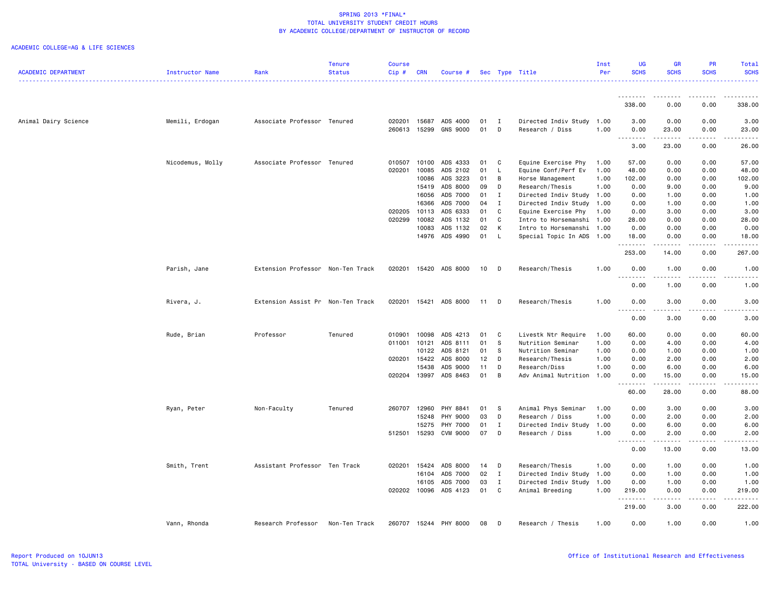|                            |                  |                                   | Tenure        | <b>Course</b> |                |                                   |          |              |                           | Inst         | UG                           | GR                                                                                                                                                            | <b>PR</b>                                                                                                                                                    | Total                               |
|----------------------------|------------------|-----------------------------------|---------------|---------------|----------------|-----------------------------------|----------|--------------|---------------------------|--------------|------------------------------|---------------------------------------------------------------------------------------------------------------------------------------------------------------|--------------------------------------------------------------------------------------------------------------------------------------------------------------|-------------------------------------|
| <b>ACADEMIC DEPARTMENT</b> | Instructor Name  | Rank                              | <b>Status</b> | $Cip$ #       | <b>CRN</b>     | Course #                          |          |              | Sec Type Title            | Per          | <b>SCHS</b>                  | <b>SCHS</b>                                                                                                                                                   | <b>SCHS</b>                                                                                                                                                  | <b>SCHS</b>                         |
|                            |                  |                                   |               |               |                |                                   |          |              |                           |              |                              | .                                                                                                                                                             |                                                                                                                                                              | <u>.</u>                            |
|                            |                  |                                   |               |               |                |                                   |          |              |                           |              | .<br>338.00                  | $\frac{1}{2} \left( \frac{1}{2} \right) \left( \frac{1}{2} \right) \left( \frac{1}{2} \right) \left( \frac{1}{2} \right)$<br>0.00                             | 0.00                                                                                                                                                         | 338.00                              |
|                            |                  |                                   |               |               |                |                                   |          |              |                           |              |                              |                                                                                                                                                               |                                                                                                                                                              |                                     |
| Animal Dairy Science       | Memili, Erdogan  | Associate Professor Tenured       |               | 020201        | 15687          | ADS 4000                          | 01       | $\mathbf{I}$ | Directed Indiv Study      | 1.00         | 3.00                         | 0.00                                                                                                                                                          | 0.00                                                                                                                                                         | 3.00                                |
|                            |                  |                                   |               | 260613        | 15299          | <b>GNS 9000</b>                   | 01       | D            | Research / Diss           | 1.00         | 0.00<br><u>.</u>             | 23.00<br>. <b>.</b>                                                                                                                                           | 0.00<br>.                                                                                                                                                    | 23.00<br>.                          |
|                            |                  |                                   |               |               |                |                                   |          |              |                           |              | 3.00                         | 23.00                                                                                                                                                         | 0.00                                                                                                                                                         | 26.00                               |
|                            | Nicodemus, Molly | Associate Professor Tenured       |               | 010507        | 10100          | ADS 4333                          | 01       | C            | Equine Exercise Phy       | 1.00         | 57.00                        | 0.00                                                                                                                                                          | 0.00                                                                                                                                                         | 57.00                               |
|                            |                  |                                   |               | 020201        | 10085          | ADS 2102                          | 01       | $\mathsf{L}$ | Equine Conf/Perf Ev       | 1.00         | 48.00                        | 0.00                                                                                                                                                          | 0.00                                                                                                                                                         | 48.00                               |
|                            |                  |                                   |               |               | 10086          | ADS 3223                          | 01       | В            | Horse Management          | 1.00         | 102.00                       | 0.00                                                                                                                                                          | 0.00                                                                                                                                                         | 102.00                              |
|                            |                  |                                   |               |               | 15419          | ADS 8000                          | 09       | D            | Research/Thesis           | 1.00         | 0.00                         | 9.00                                                                                                                                                          | 0.00                                                                                                                                                         | 9.00                                |
|                            |                  |                                   |               |               | 16056          | ADS 7000                          | 01       | I            | Directed Indiv Study 1.00 |              | 0.00                         | 1.00                                                                                                                                                          | 0.00                                                                                                                                                         | 1.00                                |
|                            |                  |                                   |               |               | 16366          | ADS 7000                          | 04       | $\mathbf{I}$ | Directed Indiv Study      | 1.00         | 0.00                         | 1.00                                                                                                                                                          | 0.00                                                                                                                                                         | 1.00                                |
|                            |                  |                                   |               | 020205        | 10113          | ADS 6333                          | 01       | C            | Equine Exercise Phy       | 1.00         | 0.00                         | 3.00                                                                                                                                                          | 0.00                                                                                                                                                         | 3.00                                |
|                            |                  |                                   |               | 020299        | 10082          | ADS 1132                          | 01       | C            | Intro to Horsemanshi 1.00 |              | 28.00                        | 0.00                                                                                                                                                          | 0.00                                                                                                                                                         | 28.00                               |
|                            |                  |                                   |               |               | 10083          | ADS 1132                          | 02       | K            | Intro to Horsemanshi 1.00 |              | 0.00                         | 0.00                                                                                                                                                          | 0.00                                                                                                                                                         | 0.00                                |
|                            |                  |                                   |               |               | 14976          | ADS 4990                          | 01       | $\mathsf{L}$ | Special Topic In ADS 1.00 |              | 18.00                        | 0.00                                                                                                                                                          | 0.00                                                                                                                                                         | 18.00                               |
|                            |                  |                                   |               |               |                |                                   |          |              |                           |              | .<br>253.00                  | $\frac{1}{2} \left( \frac{1}{2} \right) \left( \frac{1}{2} \right) \left( \frac{1}{2} \right) \left( \frac{1}{2} \right) \left( \frac{1}{2} \right)$<br>14.00 | د د د د<br>0.00                                                                                                                                              | .<br>267.00                         |
|                            | Parish, Jane     | Extension Professor Non-Ten Track |               | 020201        |                | 15420 ADS 8000                    | 10       | $\Box$       | Research/Thesis           | 1.00         | 0.00                         | 1.00                                                                                                                                                          | 0.00                                                                                                                                                         | 1.00                                |
|                            |                  |                                   |               |               |                |                                   |          |              |                           |              | .<br>0.00                    | $\frac{1}{2} \left( \frac{1}{2} \right) \left( \frac{1}{2} \right) \left( \frac{1}{2} \right) \left( \frac{1}{2} \right)$<br>1.00                             | .<br>0.00                                                                                                                                                    | 1.00                                |
|                            | Rivera, J.       | Extension Assist Pr Non-Ten Track |               | 020201        | 15421          | ADS 8000                          | 11       | D            | Research/Thesis           | 1.00         | 0.00                         | 3.00                                                                                                                                                          | 0.00                                                                                                                                                         | 3.00                                |
|                            |                  |                                   |               |               |                |                                   |          |              |                           |              | .<br>0.00                    | $\frac{1}{2} \left( \frac{1}{2} \right) \left( \frac{1}{2} \right) \left( \frac{1}{2} \right) \left( \frac{1}{2} \right) \left( \frac{1}{2} \right)$<br>3.00  | -----<br>0.00                                                                                                                                                | $\sim$ $\sim$ $\sim$ $\sim$<br>3.00 |
|                            |                  |                                   |               |               |                |                                   |          |              |                           |              |                              |                                                                                                                                                               |                                                                                                                                                              |                                     |
|                            | Rude, Brian      | Professor                         | Tenured       | 010901        | 10098          | ADS 4213                          | 01       | C            | Livestk Ntr Require       | 1.00         | 60.00                        | 0.00                                                                                                                                                          | 0.00                                                                                                                                                         | 60.00                               |
|                            |                  |                                   |               | 011001        | 10121<br>10122 | ADS 8111                          | 01<br>01 | S<br>- S     | Nutrition Seminar         | 1.00<br>1.00 | 0.00<br>0.00                 | 4.00<br>1.00                                                                                                                                                  | 0.00<br>0.00                                                                                                                                                 | 4.00                                |
|                            |                  |                                   |               |               |                | ADS 8121                          |          |              | Nutrition Seminar         |              |                              |                                                                                                                                                               |                                                                                                                                                              | 1.00                                |
|                            |                  |                                   |               | 020201        | 15422          | ADS 8000                          | 12<br>11 | D            | Research/Thesis           | 1.00         | 0.00                         | 2.00                                                                                                                                                          | 0.00                                                                                                                                                         | 2.00                                |
|                            |                  |                                   |               |               | 15438          | ADS 9000<br>020204 13997 ADS 8463 | 01       | D<br>B       | Research/Diss             | 1.00         | 0.00                         | 6.00                                                                                                                                                          | 0.00                                                                                                                                                         | 6.00                                |
|                            |                  |                                   |               |               |                |                                   |          |              | Adv Animal Nutrition      | 1.00         | 0.00<br><u>.</u>             | 15.00<br>.                                                                                                                                                    | 0.00<br>$- - - - -$                                                                                                                                          | 15.00<br>.                          |
|                            |                  |                                   |               |               |                |                                   |          |              |                           |              | 60.00                        | 28.00                                                                                                                                                         | 0.00                                                                                                                                                         | 88.00                               |
|                            | Ryan, Peter      | Non-Faculty                       | Tenured       | 260707        | 12960          | PHY 8841                          | 01       | - S          | Animal Phys Seminar       | 1.00         | 0.00                         | 3.00                                                                                                                                                          | 0.00                                                                                                                                                         | 3.00                                |
|                            |                  |                                   |               |               | 15248          | PHY 9000                          | 03       | D            | Research / Diss           | 1.00         | 0.00                         | 2.00                                                                                                                                                          | 0.00                                                                                                                                                         | 2.00                                |
|                            |                  |                                   |               |               | 15275          | PHY 7000                          | 01       | Ι            | Directed Indiv Study      | 1.00         | 0.00                         | 6.00                                                                                                                                                          | 0.00                                                                                                                                                         | 6.00                                |
|                            |                  |                                   |               | 512501        | 15293          | CVM 9000                          | 07       | D            | Research / Diss           | 1.00         | 0.00<br><b>.</b>             | 2.00<br>.                                                                                                                                                     | 0.00<br>.                                                                                                                                                    | 2.00<br>.                           |
|                            |                  |                                   |               |               |                |                                   |          |              |                           |              | $\sim$ $\sim$ $\sim$<br>0.00 | 13.00                                                                                                                                                         | 0.00                                                                                                                                                         | 13.00                               |
|                            | Smith, Trent     | Assistant Professor Ten Track     |               | 020201        | 15424          | ADS 8000                          | 14       | D            | Research/Thesis           | 1.00         | 0.00                         | 1.00                                                                                                                                                          | 0.00                                                                                                                                                         | 1.00                                |
|                            |                  |                                   |               |               | 16104          | ADS 7000                          | 02       | $\mathbf{I}$ | Directed Indiv Study      | 1.00         | 0.00                         | 1.00                                                                                                                                                          | 0.00                                                                                                                                                         | 1.00                                |
|                            |                  |                                   |               |               | 16105          | ADS 7000                          | 03       | Ι.           | Directed Indiv Study      | 1.00         | 0.00                         | 1.00                                                                                                                                                          | 0.00                                                                                                                                                         | 1.00                                |
|                            |                  |                                   |               |               | 020202 10096   | ADS 4123                          | 01       | C            | Animal Breeding           | 1.00         | 219.00                       | 0.00                                                                                                                                                          | 0.00                                                                                                                                                         | 219.00                              |
|                            |                  |                                   |               |               |                |                                   |          |              |                           |              | .<br>219.00                  | .<br>3.00                                                                                                                                                     | $\frac{1}{2} \left( \frac{1}{2} \right) \left( \frac{1}{2} \right) \left( \frac{1}{2} \right) \left( \frac{1}{2} \right) \left( \frac{1}{2} \right)$<br>0.00 | .<br>222.00                         |
|                            | Vann, Rhonda     | Research Professor                | Non-Ten Track |               |                | 260707 15244 PHY 8000             | 08       | D            | Research / Thesis         | 1.00         | 0.00                         | 1.00                                                                                                                                                          | 0.00                                                                                                                                                         | 1.00                                |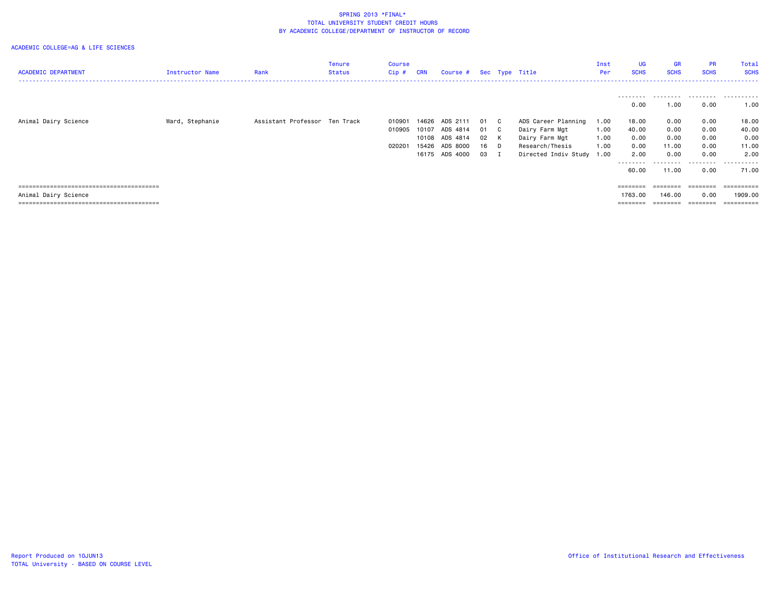| <b>ACADEMIC DEPARTMENT</b> | Instructor Name | Rank                          | Tenure<br>Status | Course<br>Cip # | <b>CRN</b> | Course #       |      |              | Sec Type Title            | Inst<br>Per | <b>UG</b><br><b>SCHS</b> | GR<br><b>SCHS</b> | <b>PR</b><br><b>SCHS</b>                                                | Total<br><b>SCHS</b> |
|----------------------------|-----------------|-------------------------------|------------------|-----------------|------------|----------------|------|--------------|---------------------------|-------------|--------------------------|-------------------|-------------------------------------------------------------------------|----------------------|
|                            |                 |                               |                  |                 |            |                |      |              |                           |             |                          |                   |                                                                         |                      |
|                            |                 |                               |                  |                 |            |                |      |              |                           |             | 0.00                     | 1.00              | 0.00                                                                    | 1.00                 |
| Animal Dairy Science       | Ward, Stephanie | Assistant Professor Ten Track |                  | 010901          | 14626      | ADS 2111       | 01   | $\mathbf{C}$ | ADS Career Planning       | 1.00        | 18.00                    | 0.00              | 0.00                                                                    | 18.00                |
|                            |                 |                               |                  | 010905          | 10107      | ADS 4814       | 01   | $\mathbf{C}$ | Dairy Farm Mgt            | 1.00        | 40.00                    | 0.00              | 0.00                                                                    | 40.00                |
|                            |                 |                               |                  |                 |            | 10108 ADS 4814 | 02   | K            | Dairy Farm Mgt            | 1.00        | 0.00                     | 0.00              | 0.00                                                                    | 0.00                 |
|                            |                 |                               |                  | 020201          | 15426      | ADS 8000       | 16   | D            | Research/Thesis           | 1.00        | 0.00                     | 11.00             | 0.00                                                                    | 11.00                |
|                            |                 |                               |                  |                 |            | 16175 ADS 4000 | 03 I |              | Directed Indiv Study 1.00 |             | 2.00                     | 0.00              | 0.00                                                                    | 2.00                 |
|                            |                 |                               |                  |                 |            |                |      |              |                           |             | ---------                | .                 | .                                                                       | .                    |
|                            |                 |                               |                  |                 |            |                |      |              |                           |             | 60.00                    | 11.00             | 0.00                                                                    | 71.00                |
|                            |                 |                               |                  |                 |            |                |      |              |                           |             | $=$ = = = = = = =        | $=$ = = = = = = = | $\qquad \qquad \equiv \equiv \equiv \equiv \equiv \equiv \equiv \equiv$ | ==========           |
| Animal Dairy Science       |                 |                               |                  |                 |            |                |      |              |                           |             | 1763.00                  | 146.00            | 0.00                                                                    | 1909.00              |
|                            |                 |                               |                  |                 |            |                |      |              |                           |             |                          |                   |                                                                         |                      |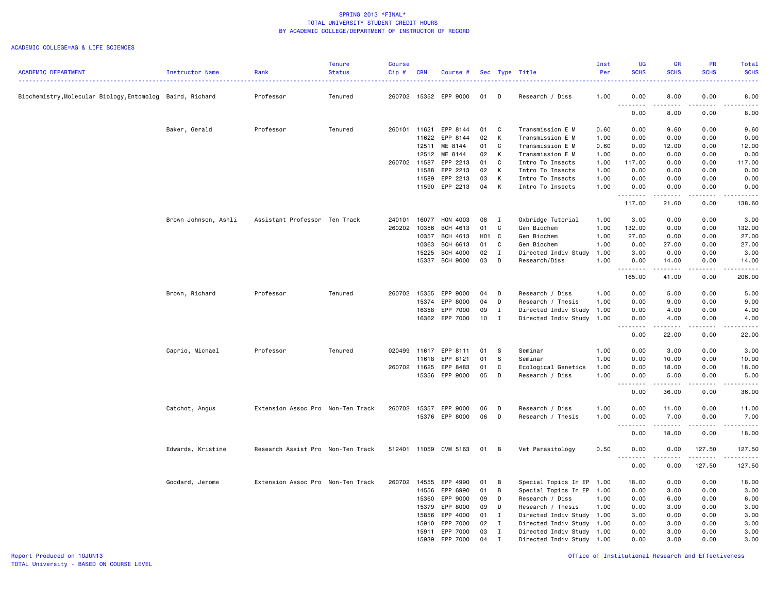|                                                           |                      |                                   | <b>Tenure</b> | <b>Course</b> |            |                 |                 |              |                           | Inst | <b>UG</b>                               | GR                    | PR                 | Total                     |
|-----------------------------------------------------------|----------------------|-----------------------------------|---------------|---------------|------------|-----------------|-----------------|--------------|---------------------------|------|-----------------------------------------|-----------------------|--------------------|---------------------------|
| <b>ACADEMIC DEPARTMENT</b>                                | Instructor Name      | Rank                              | <b>Status</b> | Cip#          | <b>CRN</b> | Course #        |                 |              | Sec Type Title            | Per  | <b>SCHS</b>                             | <b>SCHS</b>           | <b>SCHS</b>        | <b>SCHS</b><br>2.2.2.2    |
| Biochemistry, Molecular Biology, Entomolog Baird, Richard |                      | Professor                         | Tenured       | 260702        | 15352      | EPP 9000        | 01              | D            | Research / Diss           | 1.00 | 0.00                                    | 8.00                  | 0.00               | 8.00                      |
|                                                           |                      |                                   |               |               |            |                 |                 |              |                           |      | .<br>0.00                               | $\frac{1}{2}$<br>8.00 | .<br>0.00          | .<br>8.00                 |
|                                                           | Baker, Gerald        | Professor                         | Tenured       | 260101        | 11621      | EPP 8144        | 01              | C            | Transmission E M          | 0.60 | 0.00                                    | 9.60                  | 0.00               | 9.60                      |
|                                                           |                      |                                   |               |               | 11622      | EPP 8144        | 02              | К            | Transmission E M          | 1.00 | 0.00                                    | 0.00                  | 0.00               | 0.00                      |
|                                                           |                      |                                   |               |               | 12511      | ME 8144         | 01              | C            | Transmission E M          | 0.60 | 0.00                                    | 12.00                 | 0.00               | 12.00                     |
|                                                           |                      |                                   |               |               | 12512      | ME 8144         | 02              | K            | Transmission E M          | 1.00 | 0.00                                    | 0.00                  | 0.00               | 0.00                      |
|                                                           |                      |                                   |               | 260702        | 11587      | EPP 2213        | 01              | C            | Intro To Insects          | 1.00 | 117.00                                  | 0.00                  | 0.00               | 117.00                    |
|                                                           |                      |                                   |               |               | 11588      | EPP 2213        | 02              | K            | Intro To Insects          | 1.00 | 0.00                                    | 0.00                  | 0.00               | 0.00                      |
|                                                           |                      |                                   |               |               | 11589      | EPP 2213        | 03              | К            | Intro To Insects          | 1.00 | 0.00                                    | 0.00                  | 0.00               | 0.00                      |
|                                                           |                      |                                   |               |               | 11590      | EPP 2213        | 04              | К            | Intro To Insects          | 1.00 | 0.00<br>.                               | 0.00<br>.             | 0.00<br>.          | 0.00<br>.                 |
|                                                           |                      |                                   |               |               |            |                 |                 |              |                           |      | 117.00                                  | 21.60                 | 0.00               | 138.60                    |
|                                                           | Brown Johnson, Ashli | Assistant Professor Ten Track     |               | 240101        | 16077      | HON 4003        | 08              | $\mathbf{I}$ | Oxbridge Tutorial         | 1.00 | 3.00                                    | 0.00                  | 0.00               | 3.00                      |
|                                                           |                      |                                   |               | 260202        | 10356      | <b>BCH 4613</b> | 01              | C            | Gen Biochem               | 1.00 | 132.00                                  | 0.00                  | 0.00               | 132.00                    |
|                                                           |                      |                                   |               |               | 10357      | <b>BCH 4613</b> | HO <sub>1</sub> | C            | Gen Biochem               | 1.00 | 27.00                                   | 0.00                  | 0.00               | 27.00                     |
|                                                           |                      |                                   |               |               | 10363      | <b>BCH 6613</b> | 01              | C            | Gen Biochem               | 1.00 | 0.00                                    | 27.00                 | 0.00               | 27.00                     |
|                                                           |                      |                                   |               |               | 15225      | <b>BCH 4000</b> | 02              | $\mathbf{I}$ | Directed Indiv Study      | 1.00 | 3.00                                    | 0.00                  | 0.00               | 3.00                      |
|                                                           |                      |                                   |               |               | 15337      | <b>BCH 9000</b> | 03              | D            | Research/Diss             | 1.00 | 0.00<br>. <b>.</b>                      | 14.00<br>.            | 0.00<br>.          | 14.00<br>.                |
|                                                           |                      |                                   |               |               |            |                 |                 |              |                           |      | 165.00                                  | 41.00                 | 0.00               | 206.00                    |
|                                                           | Brown, Richard       | Professor                         | Tenured       | 260702        | 15355      | EPP 9000        | 04              | D            | Research / Diss           | 1.00 | 0.00                                    | 5.00                  | 0.00               | 5.00                      |
|                                                           |                      |                                   |               |               | 15374      | EPP 8000        | 04              | D            | Research / Thesis         | 1.00 | 0.00                                    | 9.00                  | 0.00               | 9.00                      |
|                                                           |                      |                                   |               |               | 16358      | EPP 7000        | 09              | $\mathbf{I}$ | Directed Indiv Study 1.00 |      | 0.00                                    | 4.00                  | 0.00               | 4.00                      |
|                                                           |                      |                                   |               |               | 16362      | EPP 7000        | 10              | $\mathbf{I}$ | Directed Indiv Study 1.00 |      | 0.00<br>.                               | 4.00                  | 0.00               | 4.00<br>-----             |
|                                                           |                      |                                   |               |               |            |                 |                 |              |                           |      | 0.00                                    | 22.00                 | 0.00               | 22.00                     |
|                                                           | Caprio, Michael      | Professor                         | Tenured       | 020499        | 11617      | EPP 8111        | 01              | - S          | Seminar                   | 1.00 | 0.00                                    | 3.00                  | 0.00               | 3.00                      |
|                                                           |                      |                                   |               |               | 11618      | EPP 8121        | 01              | s            | Seminar                   | 1.00 | 0.00                                    | 10.00                 | 0.00               | 10.00                     |
|                                                           |                      |                                   |               | 260702 11625  |            | EPP 8483        | 01              | C            | Ecological Genetics       | 1.00 | 0.00                                    | 18.00                 | 0.00               | 18.00                     |
|                                                           |                      |                                   |               |               | 15356      | EPP 9000        | 05              | D            | Research / Diss           | 1.00 | 0.00                                    | 5.00                  | 0.00               | 5.00                      |
|                                                           |                      |                                   |               |               |            |                 |                 |              |                           |      | ----<br>$\frac{1}{2}$<br>0.00           | 36.00                 | 0.00               | والمرابط المرابط<br>36.00 |
|                                                           | Catchot, Angus       | Extension Assoc Pro Non-Ten Track |               | 260702        | 15357      | EPP 9000        | 06              | D            | Research / Diss           | 1.00 | 0.00                                    | 11.00                 | 0.00               | 11.00                     |
|                                                           |                      |                                   |               |               |            | 15376 EPP 8000  | 06              | D            | Research / Thesis         | 1.00 | 0.00                                    | 7.00<br>.             | 0.00<br>.          | 7.00<br>.                 |
|                                                           |                      |                                   |               |               |            |                 |                 |              |                           |      | .<br>0.00                               | 18.00                 | 0.00               | 18.00                     |
|                                                           | Edwards, Kristine    | Research Assist Pro Non-Ten Track |               | 512401 11059  |            | CVM 5163        | 01              | B            | Vet Parasitology          | 0.50 | 0.00                                    | 0.00                  | 127.50             | 127.50                    |
|                                                           |                      |                                   |               |               |            |                 |                 |              |                           |      | $\sim$ $\sim$ $\sim$<br>- - - -<br>0.00 | 0.00                  | <u>.</u><br>127.50 | <u>.</u><br>127.50        |
|                                                           | Goddard, Jerome      | Extension Assoc Pro Non-Ten Track |               | 260702        | 14555      | EPP 4990        | 01              | B            | Special Topics In EP 1.00 |      | 18.00                                   | 0.00                  | 0.00               | 18.00                     |
|                                                           |                      |                                   |               |               | 14556      | EPP 6990        | 01              | B            | Special Topics In EP 1.00 |      | 0.00                                    | 3.00                  | 0.00               | 3.00                      |
|                                                           |                      |                                   |               |               | 15360      | EPP 9000        | 09              | D            | Research / Diss           | 1.00 | 0.00                                    | 6.00                  | 0.00               | 6.00                      |
|                                                           |                      |                                   |               |               | 15379      | EPP 8000        | 09              | D            | Research / Thesis         | 1.00 | 0.00                                    | 3.00                  | 0.00               | 3.00                      |
|                                                           |                      |                                   |               |               | 15856      | EPP 4000        | 01              | $\mathbf{I}$ | Directed Indiv Study 1.00 |      | 3.00                                    | 0.00                  | 0.00               | 3.00                      |
|                                                           |                      |                                   |               |               | 15910      | EPP 7000        | 02              | $\mathbf{I}$ | Directed Indiv Study 1.00 |      | 0.00                                    | 3.00                  | 0.00               | 3.00                      |
|                                                           |                      |                                   |               |               | 15911      | EPP 7000        | 03              | $\mathbf{I}$ | Directed Indiv Study 1.00 |      | 0.00                                    | 3.00                  | 0.00               | 3.00                      |
|                                                           |                      |                                   |               |               | 15939      | EPP 7000        | 04              | $\mathbf I$  | Directed Indiv Study 1.00 |      | 0.00                                    | 3.00                  | 0.00               | 3.00                      |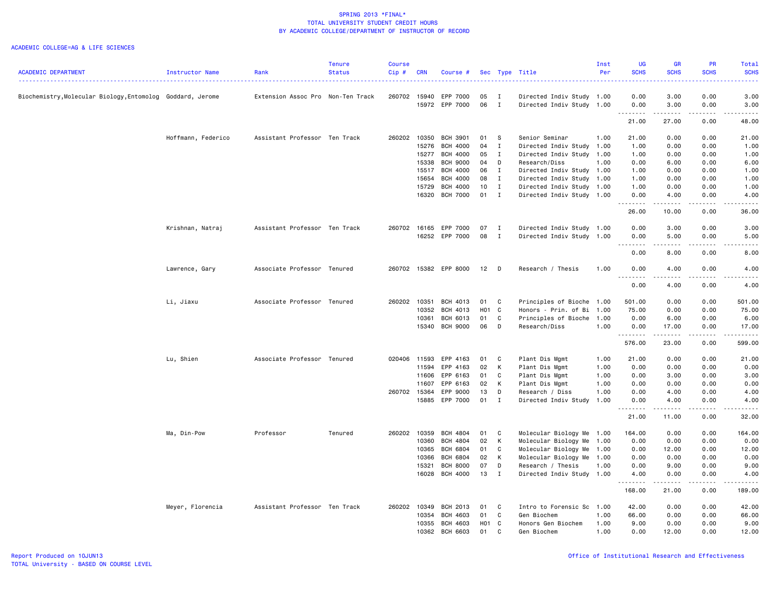|                                                            |                    |                                   | <b>Tenure</b> | <b>Course</b> |            |                 |       |              |                           | Inst | <b>UG</b>                           | <b>GR</b>         | <b>PR</b>                    | Total                                                                                                                                    |
|------------------------------------------------------------|--------------------|-----------------------------------|---------------|---------------|------------|-----------------|-------|--------------|---------------------------|------|-------------------------------------|-------------------|------------------------------|------------------------------------------------------------------------------------------------------------------------------------------|
| <b>ACADEMIC DEPARTMENT</b>                                 | Instructor Name    | Rank                              | <b>Status</b> | Cip#          | <b>CRN</b> | Course #        |       |              | Sec Type Title            | Per  | <b>SCHS</b>                         | <b>SCHS</b>       | <b>SCHS</b>                  | <b>SCHS</b><br>$\frac{1}{2} \left( \frac{1}{2} \right) \left( \frac{1}{2} \right) \left( \frac{1}{2} \right) \left( \frac{1}{2} \right)$ |
| Biochemistry, Molecular Biology, Entomolog Goddard, Jerome |                    | Extension Assoc Pro Non-Ten Track |               | 260702        | 15940      | EPP 7000        | 05    | Ι.           | Directed Indiv Study      | 1.00 | 0.00                                | 3.00              | 0.00                         | 3.00                                                                                                                                     |
|                                                            |                    |                                   |               |               |            | 15972 EPP 7000  | 06    | I            | Directed Indiv Study 1.00 |      | 0.00<br>.                           | 3.00<br>.         | 0.00<br>.                    | 3.00<br>.                                                                                                                                |
|                                                            |                    |                                   |               |               |            |                 |       |              |                           |      | 21.00                               | 27.00             | 0.00                         | 48.00                                                                                                                                    |
|                                                            | Hoffmann, Federico | Assistant Professor Ten Track     |               | 260202        | 10350      | BCH 3901        | 01    | -S           | Senior Seminar            | 1.00 | 21.00                               | 0.00              | 0.00                         | 21.00                                                                                                                                    |
|                                                            |                    |                                   |               |               | 15276      | <b>BCH 4000</b> | 04    | $\mathbf I$  | Directed Indiv Study      | 1.00 | 1.00                                | 0.00              | 0.00                         | 1.00                                                                                                                                     |
|                                                            |                    |                                   |               |               | 15277      | <b>BCH 4000</b> | 05    | $\mathbf{I}$ | Directed Indiv Study      | 1.00 | 1.00                                | 0.00              | 0.00                         | 1.00                                                                                                                                     |
|                                                            |                    |                                   |               |               | 15338      | <b>BCH 9000</b> | 04    | D            | Research/Diss             | 1.00 | 0.00                                | 6.00              | 0.00                         | 6.00                                                                                                                                     |
|                                                            |                    |                                   |               |               | 15517      | <b>BCH 4000</b> | 06    | $\mathbf{I}$ | Directed Indiv Study 1.00 |      | 1.00                                | 0.00              | 0.00                         | 1.00                                                                                                                                     |
|                                                            |                    |                                   |               |               | 15654      | <b>BCH 4000</b> | 08    | $\mathbf{I}$ | Directed Indiv Study      | 1.00 | 1.00                                | 0.00              | 0.00                         | 1.00                                                                                                                                     |
|                                                            |                    |                                   |               |               | 15729      | <b>BCH 4000</b> | 10    | $\mathbf{I}$ | Directed Indiv Study 1.00 |      | 1.00                                | 0.00              | 0.00                         | 1.00                                                                                                                                     |
|                                                            |                    |                                   |               |               | 16320      | <b>BCH 7000</b> | 01    | $\mathbf{I}$ | Directed Indiv Study 1.00 |      | 0.00<br>$\sim$ $\sim$ $\sim$ $\sim$ | 4.00              | 0.00<br>$\sim$ $\sim$ $\sim$ | 4.00                                                                                                                                     |
|                                                            |                    |                                   |               |               |            |                 |       |              |                           |      | 26.00                               | 10.00             | 0.00                         | 36.00                                                                                                                                    |
|                                                            | Krishnan, Natraj   | Assistant Professor Ten Track     |               | 260702        | 16165      | EPP 7000        | 07    | I            | Directed Indiv Study 1.00 |      | 0.00                                | 3.00              | 0.00                         | 3.00                                                                                                                                     |
|                                                            |                    |                                   |               |               | 16252      | EPP 7000        | 08    | I            | Directed Indiv Study      | 1.00 | 0.00                                | 5.00              | 0.00                         | 5.00                                                                                                                                     |
|                                                            |                    |                                   |               |               |            |                 |       |              |                           |      | د د د د                             | $\frac{1}{2}$     | $   -$                       | .                                                                                                                                        |
|                                                            |                    |                                   |               |               |            |                 |       |              |                           |      | 0.00                                | 8.00              | 0.00                         | 8,00                                                                                                                                     |
|                                                            | Lawrence, Gary     | Associate Professor Tenured       |               | 260702        |            | 15382 EPP 8000  | 12    | D            | Research / Thesis         | 1.00 | 0.00<br>المتمامين                   | 4.00              | 0.00                         | 4.00                                                                                                                                     |
|                                                            |                    |                                   |               |               |            |                 |       |              |                           |      | 0.00                                | 4.00              | 0.00                         | 4.00                                                                                                                                     |
|                                                            | Li, Jiaxu          | Associate Professor Tenured       |               | 260202        | 10351      | BCH 4013        | 01    | C            | Principles of Bioche      | 1.00 | 501.00                              | 0.00              | 0.00                         | 501.00                                                                                                                                   |
|                                                            |                    |                                   |               |               | 10352      | BCH 4013        | H01 C |              | Honors - Prin. of Bi      | 1.00 | 75.00                               | 0.00              | 0.00                         | 75.00                                                                                                                                    |
|                                                            |                    |                                   |               |               | 10361      | BCH 6013        | 01    | C            | Principles of Bioche      | 1.00 | 0.00                                | 6.00              | 0.00                         | 6.00                                                                                                                                     |
|                                                            |                    |                                   |               |               | 15340      | <b>BCH 9000</b> | 06    | D            | Research/Diss             | 1.00 | 0.00                                | 17.00<br>.        | 0.00<br>.                    | 17.00<br>.                                                                                                                               |
|                                                            |                    |                                   |               |               |            |                 |       |              |                           |      | 576.00                              | 23.00             | 0.00                         | 599.00                                                                                                                                   |
|                                                            | Lu, Shien          | Associate Professor Tenured       |               | 020406        | 11593      | EPP 4163        | 01    | C            | Plant Dis Mgmt            | 1.00 | 21.00                               | 0.00              | 0.00                         | 21.00                                                                                                                                    |
|                                                            |                    |                                   |               |               | 11594      | EPP 4163        | 02    | K            | Plant Dis Mgmt            | 1.00 | 0.00                                | 0.00              | 0.00                         | 0.00                                                                                                                                     |
|                                                            |                    |                                   |               |               | 11606      | EPP 6163        | 01    | C            | Plant Dis Mgmt            | 1.00 | 0.00                                | 3.00              | 0.00                         | 3.00                                                                                                                                     |
|                                                            |                    |                                   |               |               | 11607      | EPP 6163        | 02    | K            | Plant Dis Mgmt            | 1.00 | 0.00                                | 0.00              | 0.00                         | 0.00                                                                                                                                     |
|                                                            |                    |                                   |               | 260702        | 15364      | EPP 9000        | 13    | D            | Research / Diss           | 1.00 | 0.00                                | 4.00              | 0.00                         | 4.00                                                                                                                                     |
|                                                            |                    |                                   |               |               | 15885      | EPP 7000        | 01    | $\mathbf I$  | Directed Indiv Study      | 1.00 | 0.00<br>.                           | 4.00<br>د د د د د | 0.00<br>.                    | 4.00<br>ه د د د د                                                                                                                        |
|                                                            |                    |                                   |               |               |            |                 |       |              |                           |      | 21.00                               | 11.00             | 0.00                         | 32.00                                                                                                                                    |
|                                                            | Ma, Din-Pow        | Professor                         | Tenured       | 260202        | 10359      | <b>BCH 4804</b> | 01    | $\mathbf{C}$ | Molecular Biology Me 1.00 |      | 164.00                              | 0.00              | 0.00                         | 164.00                                                                                                                                   |
|                                                            |                    |                                   |               |               | 10360      | <b>BCH 4804</b> | 02    | К            | Molecular Biology Me      | 1.00 | 0.00                                | 0.00              | 0.00                         | 0.00                                                                                                                                     |
|                                                            |                    |                                   |               |               | 10365      | <b>BCH 6804</b> | 01    | C            | Molecular Biology Me 1.00 |      | 0.00                                | 12.00             | 0.00                         | 12.00                                                                                                                                    |
|                                                            |                    |                                   |               |               | 10366      | <b>BCH 6804</b> | 02    | K            | Molecular Biology Me 1.00 |      | 0.00                                | 0.00              | 0.00                         | 0.00                                                                                                                                     |
|                                                            |                    |                                   |               |               | 15321      | <b>BCH 8000</b> | 07    | D            | Research / Thesis         | 1.00 | 0.00                                | 9.00              | 0.00                         | 9.00                                                                                                                                     |
|                                                            |                    |                                   |               |               | 16028      | BCH 4000        | 13    | $\mathbf{I}$ | Directed Indiv Study 1.00 |      | 4.00<br><u>.</u>                    | 0.00<br>.         | 0.00<br>.                    | 4.00<br>.                                                                                                                                |
|                                                            |                    |                                   |               |               |            |                 |       |              |                           |      | 168.00                              | 21.00             | 0.00                         | 189.00                                                                                                                                   |
|                                                            | Meyer, Florencia   | Assistant Professor Ten Track     |               | 260202        | 10349      | BCH 2013        | 01    | C            | Intro to Forensic Sc      | 1.00 | 42.00                               | 0.00              | 0.00                         | 42.00                                                                                                                                    |
|                                                            |                    |                                   |               |               | 10354      | <b>BCH 4603</b> | 01    | C            | Gen Biochem               | 1.00 | 66.00                               | 0.00              | 0.00                         | 66.00                                                                                                                                    |
|                                                            |                    |                                   |               |               | 10355      | BCH 4603        | H01 C |              | Honors Gen Biochem        | 1.00 | 9.00                                | 0.00              | 0.00                         | 9.00                                                                                                                                     |
|                                                            |                    |                                   |               |               | 10362      | <b>BCH 6603</b> | 01    | C            | Gen Biochem               | 1.00 | 0.00                                | 12.00             | 0.00                         | 12.00                                                                                                                                    |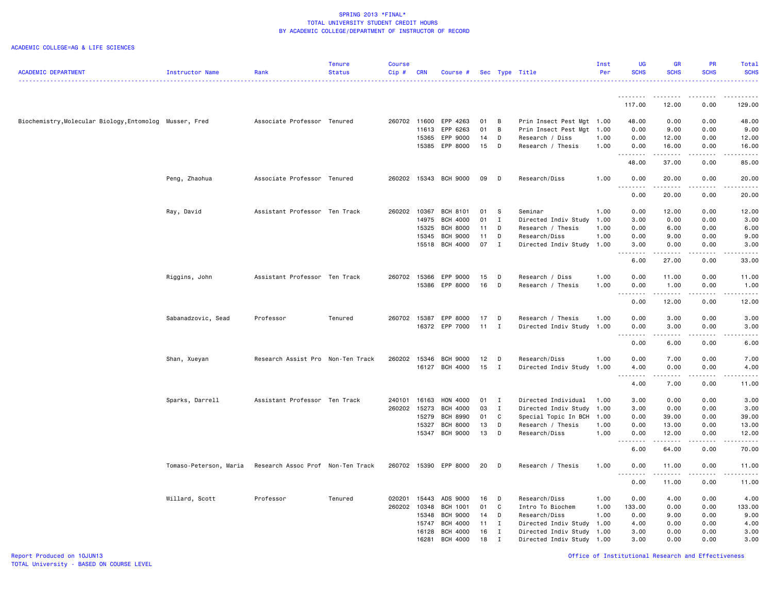#### ACADEMIC COLLEGE=AG & LIFE SCIENCES

|                                                         |                        |                                   | <b>Tenure</b> | Course       |                |                                    |          |                              |                                                   | Inst | <b>UG</b>                             | <b>GR</b>                                                                                                                                            | <b>PR</b>             | Total                                                                                                                              |
|---------------------------------------------------------|------------------------|-----------------------------------|---------------|--------------|----------------|------------------------------------|----------|------------------------------|---------------------------------------------------|------|---------------------------------------|------------------------------------------------------------------------------------------------------------------------------------------------------|-----------------------|------------------------------------------------------------------------------------------------------------------------------------|
| <b>ACADEMIC DEPARTMENT</b>                              | Instructor Name        | Rank                              | <b>Status</b> | $Cip$ #      | <b>CRN</b>     | Course #                           |          |                              | Sec Type Title                                    | Per  | <b>SCHS</b>                           | <b>SCHS</b>                                                                                                                                          | <b>SCHS</b>           | <b>SCHS</b>                                                                                                                        |
|                                                         |                        |                                   |               |              |                |                                    |          |                              |                                                   |      | .                                     |                                                                                                                                                      | .                     |                                                                                                                                    |
|                                                         |                        |                                   |               |              |                |                                    |          |                              |                                                   |      | 117.00                                | 12.00                                                                                                                                                | 0.00                  | 129.00                                                                                                                             |
| Biochemistry, Molecular Biology, Entomolog Musser, Fred |                        | Associate Professor Tenured       |               | 260702 11600 |                | EPP 4263                           | 01       | $\overline{B}$               | Prin Insect Pest Mgt 1.00                         |      | 48.00                                 | 0.00                                                                                                                                                 | 0.00                  | 48.00                                                                                                                              |
|                                                         |                        |                                   |               |              | 11613          | EPP 6263                           | 01       | B                            | Prin Insect Pest Mgt                              | 1.00 | 0.00                                  | 9.00                                                                                                                                                 | 0.00                  | 9.00                                                                                                                               |
|                                                         |                        |                                   |               |              | 15365          | EPP 9000                           | 14       | D                            | Research / Diss                                   | 1.00 | 0.00                                  | 12.00                                                                                                                                                | 0.00                  | 12.00                                                                                                                              |
|                                                         |                        |                                   |               |              | 15385          | EPP 8000                           | 15       | D                            | Research / Thesis                                 | 1.00 | 0.00                                  | 16.00                                                                                                                                                | 0.00                  | 16.00                                                                                                                              |
|                                                         |                        |                                   |               |              |                |                                    |          |                              |                                                   |      | .<br>48.00                            | .<br>37.00                                                                                                                                           | $\frac{1}{2}$<br>0.00 | $\frac{1}{2}$<br>85.00                                                                                                             |
|                                                         | Peng, Zhaohua          | Associate Professor Tenured       |               |              |                | 260202 15343 BCH 9000              | 09       | D                            | Research/Diss                                     | 1.00 | 0.00                                  | 20.00                                                                                                                                                | 0.00                  | 20.00                                                                                                                              |
|                                                         |                        |                                   |               |              |                |                                    |          |                              |                                                   |      | 0.00                                  | 20.00                                                                                                                                                | 0.00                  | $\frac{1}{2}$<br>20.00                                                                                                             |
|                                                         |                        |                                   |               |              |                |                                    |          |                              |                                                   |      |                                       |                                                                                                                                                      |                       |                                                                                                                                    |
|                                                         | Ray, David             | Assistant Professor Ten Track     |               | 260202 10367 |                | BCH 8101                           | 01 S     |                              | Seminar                                           | 1.00 | 0.00                                  | 12.00                                                                                                                                                | 0.00                  | 12.00                                                                                                                              |
|                                                         |                        |                                   |               |              | 14975          | <b>BCH 4000</b>                    | 01       | $\mathbf{I}$                 | Directed Indiv Study                              | 1.00 | 3.00                                  | 0.00                                                                                                                                                 | 0.00                  | 3.00                                                                                                                               |
|                                                         |                        |                                   |               |              | 15325          | <b>BCH 8000</b>                    | 11       | D                            | Research / Thesis                                 | 1.00 | 0.00                                  | 6.00                                                                                                                                                 | 0.00                  | 6.00                                                                                                                               |
|                                                         |                        |                                   |               |              | 15345          | <b>BCH 9000</b>                    | 11       | D                            | Research/Diss                                     | 1.00 | 0.00                                  | 9.00                                                                                                                                                 | 0.00                  | 9.00                                                                                                                               |
|                                                         |                        |                                   |               |              | 15518          | BCH 4000                           | 07       | $\mathbf{I}$                 | Directed Indiv Study 1.00                         |      | 3.00<br>.<br>$\sim$ .                 | 0.00<br>.                                                                                                                                            | 0.00<br>.             | 3.00<br>$\frac{1}{2}$ , $\frac{1}{2}$ , $\frac{1}{2}$ , $\frac{1}{2}$                                                              |
|                                                         |                        |                                   |               |              |                |                                    |          |                              |                                                   |      | 6.00                                  | 27.00                                                                                                                                                | 0.00                  | 33.00                                                                                                                              |
|                                                         | Riggins, John          | Assistant Professor Ten Track     |               | 260702 15366 |                | EPP 9000                           | 15       | D                            | Research / Diss                                   | 1.00 | 0.00                                  | 11.00                                                                                                                                                | 0.00                  | 11.00                                                                                                                              |
|                                                         |                        |                                   |               |              | 15386          | EPP 8000                           | 16       | D                            | Research / Thesis                                 | 1.00 | 0.00                                  | 1.00                                                                                                                                                 | 0.00                  | 1.00                                                                                                                               |
|                                                         |                        |                                   |               |              |                |                                    |          |                              |                                                   |      | $\sim$ $\sim$ $\sim$<br>-----<br>0.00 | .<br>12.00                                                                                                                                           | .<br>0.00             | .<br>12.00                                                                                                                         |
|                                                         |                        |                                   |               |              |                |                                    |          |                              |                                                   |      |                                       |                                                                                                                                                      |                       |                                                                                                                                    |
|                                                         | Sabanadzovic, Sead     | Professor                         | Tenured       | 260702 15387 |                | EPP 8000<br>16372 EPP 7000         | 17<br>11 | D                            | Research / Thesis                                 | 1.00 | 0.00                                  | 3.00                                                                                                                                                 | 0.00                  | 3.00                                                                                                                               |
|                                                         |                        |                                   |               |              |                |                                    |          | $\mathbf{I}$                 | Directed Indiv Study 1.00                         |      | 0.00                                  | 3.00                                                                                                                                                 | 0.00<br>$- - -$       | 3.00                                                                                                                               |
|                                                         |                        |                                   |               |              |                |                                    |          |                              |                                                   |      | 0.00                                  | 6.00                                                                                                                                                 | 0.00                  | 6.00                                                                                                                               |
|                                                         | Shan, Xueyan           | Research Assist Pro Non-Ten Track |               | 260202       | 15346          | <b>BCH 9000</b>                    | 12       | D                            | Research/Diss                                     | 1.00 | 0.00                                  | 7.00                                                                                                                                                 | 0.00                  | 7.00                                                                                                                               |
|                                                         |                        |                                   |               |              | 16127          | <b>BCH 4000</b>                    | 15       | $\mathbf{I}$                 | Directed Indiv Study                              | 1.00 | 4.00                                  | 0.00                                                                                                                                                 | 0.00                  | 4.00                                                                                                                               |
|                                                         |                        |                                   |               |              |                |                                    |          |                              |                                                   |      | .<br>$  -$                            | $\frac{1}{2} \left( \frac{1}{2} \right) \left( \frac{1}{2} \right) \left( \frac{1}{2} \right) \left( \frac{1}{2} \right) \left( \frac{1}{2} \right)$ | .                     | المتمالين                                                                                                                          |
|                                                         |                        |                                   |               |              |                |                                    |          |                              |                                                   |      | 4.00                                  | 7.00                                                                                                                                                 | 0.00                  | 11.00                                                                                                                              |
|                                                         | Sparks, Darrell        | Assistant Professor Ten Track     |               | 240101       | 16163          | HON 4000                           | 01       | $\mathbf{I}$                 | Directed Individual                               | 1.00 | 3.00                                  | 0.00                                                                                                                                                 | 0.00                  | 3.00                                                                                                                               |
|                                                         |                        |                                   |               | 260202 15273 |                | BCH 4000                           | 03       | $\mathbf{I}$                 | Directed Indiv Study 1.00                         |      | 3.00                                  | 0.00                                                                                                                                                 | 0.00                  | 3.00                                                                                                                               |
|                                                         |                        |                                   |               |              | 15279          | <b>BCH 8990</b>                    | 01       | C                            | Special Topic In BCH                              | 1.00 | 0.00                                  | 39.00                                                                                                                                                | 0.00                  | 39.00                                                                                                                              |
|                                                         |                        |                                   |               |              | 15327          | <b>BCH 8000</b>                    | 13       | D                            | Research / Thesis                                 | 1.00 | 0.00                                  | 13.00                                                                                                                                                | 0.00                  | 13.00                                                                                                                              |
|                                                         |                        |                                   |               |              | 15347          | <b>BCH 9000</b>                    | 13       | D                            | Research/Diss                                     | 1.00 | 0.00                                  | 12.00                                                                                                                                                | 0.00                  | 12.00                                                                                                                              |
|                                                         |                        |                                   |               |              |                |                                    |          |                              |                                                   |      | 6.00                                  | 64.00                                                                                                                                                | 0.00                  | $\frac{1}{2} \left( \frac{1}{2} \right) \left( \frac{1}{2} \right) \left( \frac{1}{2} \right) \left( \frac{1}{2} \right)$<br>70.00 |
|                                                         | Tomaso-Peterson, Maria | Research Assoc Prof Non-Ten Track |               | 260702 15390 |                | EPP 8000                           | 20       | D                            | Research / Thesis                                 | 1.00 | 0.00                                  | 11.00                                                                                                                                                | 0.00                  | 11.00                                                                                                                              |
|                                                         |                        |                                   |               |              |                |                                    |          |                              |                                                   |      | 0.00                                  | 11.00                                                                                                                                                | 0.00                  | 11.00                                                                                                                              |
|                                                         |                        |                                   |               | 020201       |                | ADS 9000                           | 16       |                              | Research/Diss                                     | 1.00 | 0.00                                  |                                                                                                                                                      |                       |                                                                                                                                    |
|                                                         | Willard, Scott         | Professor                         | Tenured       |              | 15443          |                                    | 01       | D<br>C                       |                                                   | 1.00 |                                       | 4.00                                                                                                                                                 | 0.00<br>0.00          | 4.00                                                                                                                               |
|                                                         |                        |                                   |               | 260202 10348 |                | <b>BCH 1001</b><br><b>BCH 9000</b> |          |                              | Intro To Biochem                                  |      | 133.00                                | 0.00                                                                                                                                                 |                       | 133.00                                                                                                                             |
|                                                         |                        |                                   |               |              | 15348<br>15747 | <b>BCH 4000</b>                    | 14       | D                            | Research/Diss                                     | 1.00 | 0.00                                  | 9.00                                                                                                                                                 | 0.00                  | 9.00                                                                                                                               |
|                                                         |                        |                                   |               |              | 16128          | <b>BCH 4000</b>                    | 11<br>16 | $\mathbf{I}$<br>$\mathbf{I}$ | Directed Indiv Study<br>Directed Indiv Study 1.00 | 1.00 | 4.00<br>3.00                          | 0.00<br>0.00                                                                                                                                         | 0.00<br>0.00          | 4.00<br>3.00                                                                                                                       |
|                                                         |                        |                                   |               |              | 16281          | <b>BCH 4000</b>                    | 18       | $\mathbf I$                  | Directed Indiv Study 1.00                         |      | 3.00                                  | 0.00                                                                                                                                                 | 0.00                  | 3,00                                                                                                                               |
|                                                         |                        |                                   |               |              |                |                                    |          |                              |                                                   |      |                                       |                                                                                                                                                      |                       |                                                                                                                                    |

Report Produced on 10JUN13 Office of Institutional Research and Effectiveness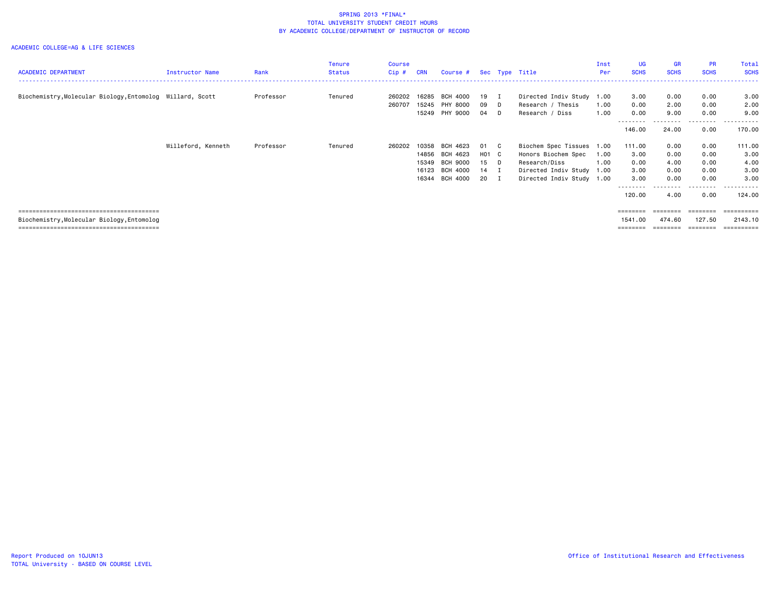#### ACADEMIC COLLEGE=AG & LIFE SCIENCES

| <b>ACADEMIC DEPARTMENT</b>                                | Instructor Name    | Rank      | Tenure<br><b>Status</b> | Course<br>Cip# | <b>CRN</b> | Course # Sec Type Title |        |                           | Inst<br>Per | <b>UG</b><br><b>SCHS</b> | <b>GR</b><br><b>SCHS</b> | <b>PR</b><br><b>SCHS</b> | Total<br><b>SCHS</b> |
|-----------------------------------------------------------|--------------------|-----------|-------------------------|----------------|------------|-------------------------|--------|---------------------------|-------------|--------------------------|--------------------------|--------------------------|----------------------|
|                                                           |                    |           |                         |                |            |                         |        |                           |             |                          |                          |                          |                      |
| Biochemistry, Molecular Biology, Entomolog Willard, Scott |                    | Professor | Tenured                 | 260202         | 16285      | BCH 4000                | 19 I   | Directed Indiv Study 1.00 |             | 3.00                     | 0.00                     | 0.00                     | 3.00                 |
|                                                           |                    |           |                         | 260707         | 15245      | PHY 8000                | 09 D   | Research / Thesis         | 1.00        | 0.00                     | 2.00                     | 0.00                     | 2.00                 |
|                                                           |                    |           |                         |                |            | 15249 PHY 9000          | 04 D   | Research / Diss           | 1.00        | 0.00                     | 9.00                     | 0.00                     | 9.00                 |
|                                                           |                    |           |                         |                |            |                         |        |                           |             | --------<br>146.00       | 24.00                    | --------<br>0.00         | ----------<br>170.00 |
|                                                           | Willeford, Kenneth | Professor | Tenured                 | 260202         | 10358      | BCH 4623                | 01 C   | Biochem Spec Tissues 1.00 |             | 111.00                   | 0.00                     | 0.00                     | 111.00               |
|                                                           |                    |           |                         |                | 14856      | BCH 4623                | H01 C  | Honors Biochem Spec       | 1.00        | 3.00                     | 0.00                     | 0.00                     | 3.00                 |
|                                                           |                    |           |                         |                | 15349      | BCH 9000                | 15 D   | Research/Diss             | 1.00        | 0.00                     | 4.00                     | 0.00                     | 4.00                 |
|                                                           |                    |           |                         |                | 16123      | BCH 4000                | $14$ I | Directed Indiv Study 1.00 |             | 3.00                     | 0.00                     | 0.00                     | 3.00                 |
|                                                           |                    |           |                         |                | 16344      | BCH 4000                | 20 I   | Directed Indiv Study 1.00 |             | 3,00                     | 0.00                     | 0.00                     | 3.00                 |
|                                                           |                    |           |                         |                |            |                         |        |                           |             | 120.00                   | 4.00                     | 0.00                     | 124.00               |
|                                                           |                    |           |                         |                |            |                         |        |                           |             | $=$ = = = = = = =        | ========                 | ========                 | ==========           |
| Biochemistry, Molecular Biology, Entomolog                |                    |           |                         |                |            |                         |        |                           |             | 1541.00                  | 474.60                   | 127.50                   | 2143.10              |

======================================== ======== ======== ======== ==========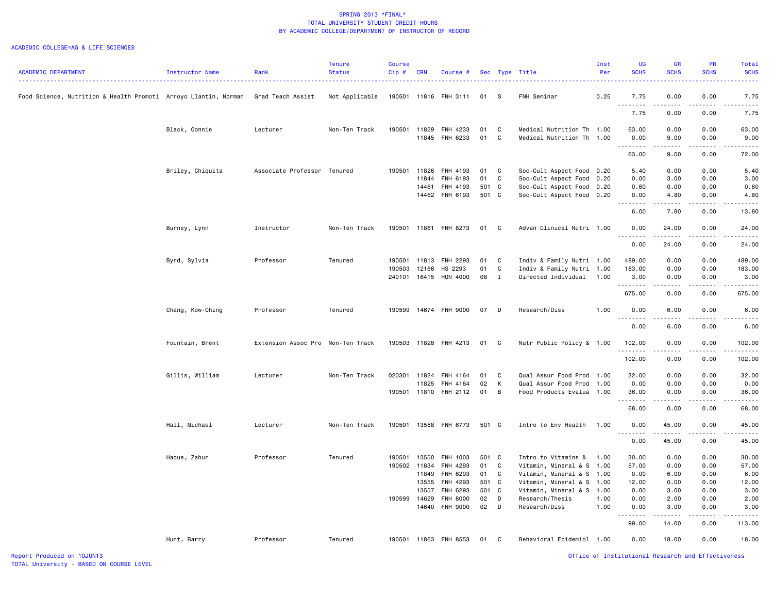|                                                                 |                  |                                   | <b>Tenure</b>  | <b>Course</b> |            |                       |       |              |                           | Inst | <b>UG</b>                                                                                                                                                                                                                                                                                                                                             | <b>GR</b>                                                                                                                         | PR          | Total                          |
|-----------------------------------------------------------------|------------------|-----------------------------------|----------------|---------------|------------|-----------------------|-------|--------------|---------------------------|------|-------------------------------------------------------------------------------------------------------------------------------------------------------------------------------------------------------------------------------------------------------------------------------------------------------------------------------------------------------|-----------------------------------------------------------------------------------------------------------------------------------|-------------|--------------------------------|
| <b>ACADEMIC DEPARTMENT</b>                                      | Instructor Name  | Rank                              | <b>Status</b>  | Cip#          | <b>CRN</b> | Course #              |       |              | Sec Type Title            | Per  | <b>SCHS</b>                                                                                                                                                                                                                                                                                                                                           | <b>SCHS</b>                                                                                                                       | <b>SCHS</b> | <b>SCHS</b>                    |
| Food Science, Nutrition & Health Promoti Arroyo Llantin, Norman |                  | Grad Teach Assist                 | Not Applicable |               |            | 190501 11816 FNH 3111 | 01    | s            | FNH Seminar               | 0.25 | 7.75                                                                                                                                                                                                                                                                                                                                                  | 0.00                                                                                                                              | 0.00        | 7.75                           |
|                                                                 |                  |                                   |                |               |            |                       |       |              |                           |      | $\frac{1}{2} \left( \begin{array}{ccc} 1 & 0 & 0 & 0 \\ 0 & 0 & 0 & 0 \\ 0 & 0 & 0 & 0 \\ 0 & 0 & 0 & 0 \\ 0 & 0 & 0 & 0 \\ 0 & 0 & 0 & 0 \\ 0 & 0 & 0 & 0 \\ 0 & 0 & 0 & 0 \\ 0 & 0 & 0 & 0 \\ 0 & 0 & 0 & 0 \\ 0 & 0 & 0 & 0 & 0 \\ 0 & 0 & 0 & 0 & 0 \\ 0 & 0 & 0 & 0 & 0 \\ 0 & 0 & 0 & 0 & 0 \\ 0 & 0 & 0 & 0 & 0 \\ 0 & 0 & 0$<br>- - -<br>7.75 | .<br>0.00                                                                                                                         | .<br>0.00   | $\omega$ is a $\omega$<br>7.75 |
|                                                                 | Black, Connie    | Lecturer                          | Non-Ten Track  | 190501        | 11829      | FNH 4233              | 01    | C            | Medical Nutrition Th 1.00 |      | 63.00                                                                                                                                                                                                                                                                                                                                                 | 0.00                                                                                                                              | 0.00        | 63.00                          |
|                                                                 |                  |                                   |                |               |            | 11845 FNH 6233        | 01    | $\mathtt{C}$ | Medical Nutrition Th      | 1.00 | 0.00                                                                                                                                                                                                                                                                                                                                                  | 9.00                                                                                                                              | 0.00        | 9.00                           |
|                                                                 |                  |                                   |                |               |            |                       |       |              |                           |      | د د د د                                                                                                                                                                                                                                                                                                                                               |                                                                                                                                   |             |                                |
|                                                                 |                  |                                   |                |               |            |                       |       |              |                           |      | 63.00                                                                                                                                                                                                                                                                                                                                                 | 9.00                                                                                                                              | 0.00        | 72.00                          |
|                                                                 | Briley, Chiquita | Associate Professor Tenured       |                | 190501        | 11826      | FNH 4193              | 01    | C            | Soc-Cult Aspect Food 0.20 |      | 5.40                                                                                                                                                                                                                                                                                                                                                  | 0.00                                                                                                                              | 0.00        | 5.40                           |
|                                                                 |                  |                                   |                |               | 11844      | FNH 6193              | 01    | C            | Soc-Cult Aspect Food      | 0.20 | 0.00                                                                                                                                                                                                                                                                                                                                                  | 3.00                                                                                                                              | 0.00        | 3.00                           |
|                                                                 |                  |                                   |                |               | 14461      | FNH 4193              | 501 C |              | Soc-Cult Aspect Food      | 0.20 | 0.60                                                                                                                                                                                                                                                                                                                                                  | 0.00                                                                                                                              | 0.00        | 0.60                           |
|                                                                 |                  |                                   |                |               |            | 14462 FNH 6193        | 501 C |              | Soc-Cult Aspect Food      | 0.20 | 0.00<br>. <b>.</b>                                                                                                                                                                                                                                                                                                                                    | 4.80<br>.                                                                                                                         | 0.00<br>.   | 4.80<br>$    -$                |
|                                                                 |                  |                                   |                |               |            |                       |       |              |                           |      | 6.00                                                                                                                                                                                                                                                                                                                                                  | 7.80                                                                                                                              | 0.00        | 13.80                          |
|                                                                 | Burney, Lynn     | Instructor                        | Non-Ten Track  | 190501        |            | 11861 FNH 8273        | 01    | C            | Advan Clinical Nutri 1.00 |      | 0.00<br><u>.</u>                                                                                                                                                                                                                                                                                                                                      | 24.00<br>. <b>.</b>                                                                                                               | 0.00<br>.   | 24.00<br>.                     |
|                                                                 |                  |                                   |                |               |            |                       |       |              |                           |      | 0.00                                                                                                                                                                                                                                                                                                                                                  | 24.00                                                                                                                             | 0.00        | 24.00                          |
|                                                                 | Byrd, Sylvia     | Professor                         | Tenured        | 190501        | 11813      | FNH 2293              | 01    | C            | Indiv & Family Nutri 1.00 |      | 489.00                                                                                                                                                                                                                                                                                                                                                | 0.00                                                                                                                              | 0.00        | 489.00                         |
|                                                                 |                  |                                   |                | 190503        | 12166      | HS 2293               | 01    | C            | Indiv & Family Nutri 1.00 |      | 183.00                                                                                                                                                                                                                                                                                                                                                | 0.00                                                                                                                              | 0.00        | 183.00                         |
|                                                                 |                  |                                   |                | 240101        |            | 16415 HON 4000        | 08    | $\mathbf{I}$ | Directed Individual       | 1.00 | 3.00<br>.                                                                                                                                                                                                                                                                                                                                             | 0.00<br>.                                                                                                                         | 0.00<br>.   | 3.00<br>.                      |
|                                                                 |                  |                                   |                |               |            |                       |       |              |                           |      | 675.00                                                                                                                                                                                                                                                                                                                                                | 0.00                                                                                                                              | 0.00        | 675.00                         |
|                                                                 | Chang, Kow-Ching | Professor                         | Tenured        |               |            | 190599 14674 FNH 9000 | 07    | $\mathsf{D}$ | Research/Diss             | 1.00 | 0.00<br>. <b>.</b>                                                                                                                                                                                                                                                                                                                                    | 6.00<br>$\frac{1}{2} \left( \frac{1}{2} \right) \left( \frac{1}{2} \right) \left( \frac{1}{2} \right) \left( \frac{1}{2} \right)$ | 0.00<br>.   | 6.00                           |
|                                                                 |                  |                                   |                |               |            |                       |       |              |                           |      | 0.00                                                                                                                                                                                                                                                                                                                                                  | 6.00                                                                                                                              | 0.00        | 6.00                           |
|                                                                 | Fountain, Brent  | Extension Assoc Pro Non-Ten Track |                | 190503        |            | 11828 FNH 4213        | 01    | $\mathbf{C}$ | Nutr Public Policy & 1.00 |      | 102.00<br>.                                                                                                                                                                                                                                                                                                                                           | 0.00<br>.                                                                                                                         | 0.00<br>.   | 102.00<br>. <b>.</b>           |
|                                                                 |                  |                                   |                |               |            |                       |       |              |                           |      | 102.00                                                                                                                                                                                                                                                                                                                                                | 0.00                                                                                                                              | 0.00        | 102.00                         |
|                                                                 | Gillis, William  | Lecturer                          | Non-Ten Track  | 020301        | 11824      | FNH 4164              | 01    | C            | Qual Assur Food Prod      | 1.00 | 32.00                                                                                                                                                                                                                                                                                                                                                 | 0.00                                                                                                                              | 0.00        | 32.00                          |
|                                                                 |                  |                                   |                |               | 11825      | FNH 4164              | 02    | К            | Qual Assur Food Prod      | 1.00 | 0.00                                                                                                                                                                                                                                                                                                                                                  | 0.00                                                                                                                              | 0.00        | 0.00                           |
|                                                                 |                  |                                   |                | 190501        | 11810      | FNH 2112              | 01    | В            | Food Products Evalua      | 1.00 | 36.00<br>.                                                                                                                                                                                                                                                                                                                                            | 0.00<br>----                                                                                                                      | 0.00<br>.   | 36.00<br>$-1 - 1$              |
|                                                                 |                  |                                   |                |               |            |                       |       |              |                           |      | 68.00                                                                                                                                                                                                                                                                                                                                                 | 0.00                                                                                                                              | 0.00        | 68.00                          |
|                                                                 | Hall, Michael    | Lecturer                          | Non-Ten Track  | 190501        |            | 13558 FNH 6773        | 501 C |              | Intro to Env Health       | 1.00 | 0.00<br>.                                                                                                                                                                                                                                                                                                                                             | 45.00<br>$- - - - -$                                                                                                              | 0.00        | 45.00                          |
|                                                                 |                  |                                   |                |               |            |                       |       |              |                           |      | 0.00                                                                                                                                                                                                                                                                                                                                                  | 45.00                                                                                                                             | 0.00        | 45.00                          |
|                                                                 | Haque, Zahur     | Professor                         | Tenured        | 190501        | 13550      | FNH 1003              | 501 C |              | Intro to Vitamins &       | 1.00 | 30.00                                                                                                                                                                                                                                                                                                                                                 | 0.00                                                                                                                              | 0.00        | 30.00                          |
|                                                                 |                  |                                   |                | 190502        | 11834      | FNH 4293              | 01    | C            | Vitamin, Mineral & S 1.00 |      | 57.00                                                                                                                                                                                                                                                                                                                                                 | 0.00                                                                                                                              | 0.00        | 57.00                          |
|                                                                 |                  |                                   |                |               | 11849      | FNH 6293              | 01    | C            | Vitamin, Mineral & S 1.00 |      | 0.00                                                                                                                                                                                                                                                                                                                                                  | 6.00                                                                                                                              | 0.00        | 6.00                           |
|                                                                 |                  |                                   |                |               | 13555      | FNH 4293              | 501 C |              | Vitamin, Mineral & S 1.00 |      | 12.00                                                                                                                                                                                                                                                                                                                                                 | 0.00                                                                                                                              | 0.00        | 12.00                          |
|                                                                 |                  |                                   |                |               | 13557      | FNH 6293              | 501 C |              | Vitamin, Mineral & S      | 1.00 | 0.00                                                                                                                                                                                                                                                                                                                                                  | 3.00                                                                                                                              | 0.00        | 3.00                           |
|                                                                 |                  |                                   |                | 190599        | 14629      | <b>FNH 8000</b>       | 02    | D            | Research/Thesis           | 1.00 | 0.00                                                                                                                                                                                                                                                                                                                                                  | 2.00                                                                                                                              | 0.00        | 2.00                           |
|                                                                 |                  |                                   |                |               |            | 14640 FNH 9000        | 02    | D            | Research/Diss             | 1.00 | 0.00                                                                                                                                                                                                                                                                                                                                                  | 3.00                                                                                                                              | 0.00        | 3.00                           |
|                                                                 |                  |                                   |                |               |            |                       |       |              |                           |      | 99.00                                                                                                                                                                                                                                                                                                                                                 | 14.00                                                                                                                             | 0.00        | 113.00                         |
|                                                                 | Hunt, Barry      | Professor                         | Tenured        |               |            | 190501 11863 FNH 8553 | 01    | $\mathbf{C}$ | Behavioral Epidemiol 1.00 |      | 0.00                                                                                                                                                                                                                                                                                                                                                  | 18.00                                                                                                                             | 0.00        | 18.00                          |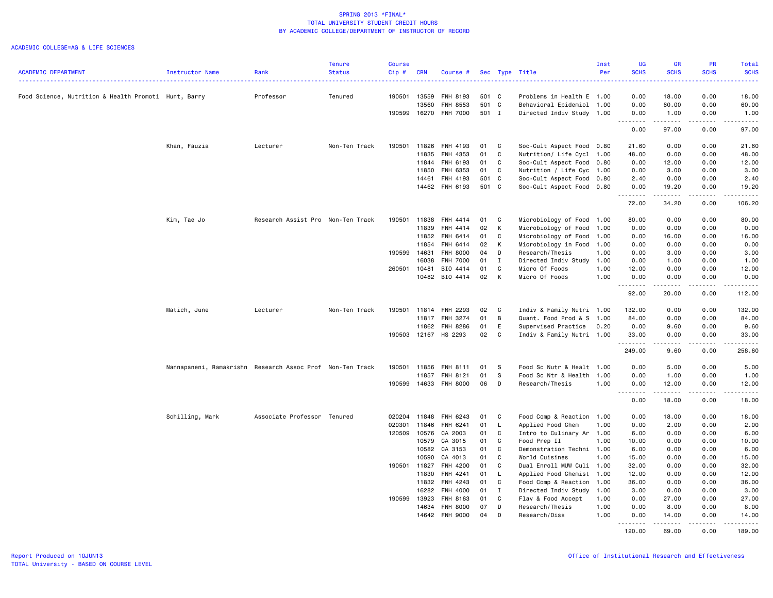|                                                      |                                                           |                                   | <b>Tenure</b> | Course           |                |                      |          |              |                                           | Inst         | UG                                                                                                            | <b>GR</b>              | <b>PR</b>                           | Total                                                                                                                               |
|------------------------------------------------------|-----------------------------------------------------------|-----------------------------------|---------------|------------------|----------------|----------------------|----------|--------------|-------------------------------------------|--------------|---------------------------------------------------------------------------------------------------------------|------------------------|-------------------------------------|-------------------------------------------------------------------------------------------------------------------------------------|
| <b>ACADEMIC DEPARTMENT</b>                           | Instructor Name                                           | Rank                              | <b>Status</b> | Cip#             | <b>CRN</b>     | Course #             |          |              | Sec Type Title                            | Per          | <b>SCHS</b><br>$\frac{1}{2} \left( \frac{1}{2} \right) \left( \frac{1}{2} \right) \left( \frac{1}{2} \right)$ | <b>SCHS</b>            | <b>SCHS</b>                         | <b>SCHS</b><br>2222.                                                                                                                |
| Food Science, Nutrition & Health Promoti Hunt, Barry |                                                           | Professor                         | Tenured       | 190501           | 13559          | FNH 8193             | 501 C    |              | Problems in Health E 1.00                 |              | 0.00                                                                                                          | 18.00                  | 0.00                                | 18.00                                                                                                                               |
|                                                      |                                                           |                                   |               |                  | 13560          | FNH 8553             | 501 C    |              | Behavioral Epidemiol 1.00                 |              | 0.00                                                                                                          | 60.00                  | 0.00                                | 60.00                                                                                                                               |
|                                                      |                                                           |                                   |               | 190599           | 16270          | <b>FNH 7000</b>      | 501 I    |              | Directed Indiv Study 1.00                 |              | 0.00                                                                                                          | 1.00                   | 0.00                                | 1.00                                                                                                                                |
|                                                      |                                                           |                                   |               |                  |                |                      |          |              |                                           |              | $\sim$ $\sim$ $\sim$<br>-----<br>0.00                                                                         | .<br>97.00             | $\sim$ $\sim$ $\sim$ $\sim$<br>0.00 | .<br>97.00                                                                                                                          |
|                                                      |                                                           |                                   |               |                  |                |                      |          |              |                                           |              |                                                                                                               |                        |                                     |                                                                                                                                     |
|                                                      | Khan, Fauzia                                              | Lecturer                          | Non-Ten Track | 190501           | 11826          | <b>FNH 4193</b>      | 01       | C            | Soc-Cult Aspect Food 0.80                 |              | 21.60                                                                                                         | 0.00                   | 0.00                                | 21.60                                                                                                                               |
|                                                      |                                                           |                                   |               |                  | 11835          | FNH 4353             | 01       | C            | Nutrition/ Life Cycl 1.00                 |              | 48.00                                                                                                         | 0.00                   | 0.00                                | 48.00                                                                                                                               |
|                                                      |                                                           |                                   |               |                  | 11844          | FNH 6193             | 01       | C            | Soc-Cult Aspect Food 0.80                 |              | 0.00                                                                                                          | 12.00                  | 0.00                                | 12.00                                                                                                                               |
|                                                      |                                                           |                                   |               |                  | 11850          | FNH 6353             | 01       | C            | Nutrition / Life Cyc 1.00                 |              | 0.00                                                                                                          | 3.00                   | 0.00                                | 3.00                                                                                                                                |
|                                                      |                                                           |                                   |               |                  | 14461          | FNH 4193             | 501 C    |              | Soc-Cult Aspect Food                      | 0.80         | 2.40                                                                                                          | 0.00                   | 0.00                                | 2.40                                                                                                                                |
|                                                      |                                                           |                                   |               |                  | 14462          | FNH 6193             | 501 C    |              | Soc-Cult Aspect Food                      | 0.80         | 0.00<br>.                                                                                                     | 19.20<br>$\frac{1}{2}$ | 0.00<br>$\frac{1}{2}$               | 19.20<br>.                                                                                                                          |
|                                                      |                                                           |                                   |               |                  |                |                      |          |              |                                           |              | 72.00                                                                                                         | 34.20                  | 0.00                                | 106.20                                                                                                                              |
|                                                      | Kim, Tae Jo                                               | Research Assist Pro Non-Ten Track |               | 190501           | 11838          | FNH 4414             | 01       | C            | Microbiology of Food                      | 1.00         | 80.00                                                                                                         | 0.00                   | 0.00                                | 80.00                                                                                                                               |
|                                                      |                                                           |                                   |               |                  | 11839          | FNH 4414             | 02       | К            | Microbiology of Food                      | 1.00         | 0.00                                                                                                          | 0.00                   | 0.00                                | 0.00                                                                                                                                |
|                                                      |                                                           |                                   |               |                  | 11852          | FNH 6414             | 01       | C            | Microbiology of Food                      | 1.00         | 0.00                                                                                                          | 16.00                  | 0.00                                | 16.00                                                                                                                               |
|                                                      |                                                           |                                   |               |                  | 11854          | FNH 6414             | 02       | К            | Microbiology in Food                      | 1.00         | 0.00                                                                                                          | 0.00                   | 0.00                                | 0.00                                                                                                                                |
|                                                      |                                                           |                                   |               | 190599           | 14631          | <b>FNH 8000</b>      | 04       | D            | Research/Thesis                           | 1.00         | 0.00                                                                                                          | 3.00                   | 0.00                                | 3.00                                                                                                                                |
|                                                      |                                                           |                                   |               |                  | 16038          | <b>FNH 7000</b>      | 01       | $\mathbf{I}$ | Directed Indiv Study                      | 1.00         | 0.00                                                                                                          | 1.00                   | 0.00                                | 1.00                                                                                                                                |
|                                                      |                                                           |                                   |               | 260501           | 10481          | BIO 4414             | 01       | C            | Micro Of Foods                            | 1.00         | 12.00                                                                                                         | 0.00                   | 0.00                                | 12.00                                                                                                                               |
|                                                      |                                                           |                                   |               |                  | 10482          | BIO 4414             | 02       | к            | Micro Of Foods                            | 1.00         | 0.00                                                                                                          | 0.00                   | 0.00                                | 0.00                                                                                                                                |
|                                                      |                                                           |                                   |               |                  |                |                      |          |              |                                           |              | .<br>92.00                                                                                                    | <u>.</u><br>20.00      | $\frac{1}{2}$<br>0.00               | .<br>112.00                                                                                                                         |
|                                                      | Matich, June                                              | Lecturer                          | Non-Ten Track | 190501           | 11814          | FNH 2293             | 02       | C            | Indiv & Family Nutri 1.00                 |              | 132.00                                                                                                        | 0.00                   | 0.00                                | 132.00                                                                                                                              |
|                                                      |                                                           |                                   |               |                  | 11817          | FNH 3274             | 01       | В            | Quant. Food Prod & S                      | 1.00         | 84.00                                                                                                         | 0.00                   | 0.00                                | 84.00                                                                                                                               |
|                                                      |                                                           |                                   |               |                  | 11862          | FNH 8286             | 01       | E            | Supervised Practice                       | 0.20         | 0.00                                                                                                          | 9.60                   | 0.00                                | 9.60                                                                                                                                |
|                                                      |                                                           |                                   |               |                  |                | 190503 12167 HS 2293 | 02       | C            | Indiv & Family Nutri 1.00                 |              | 33.00                                                                                                         | 0.00                   | 0.00                                | 33.00                                                                                                                               |
|                                                      |                                                           |                                   |               |                  |                |                      |          |              |                                           |              | .<br>249.00                                                                                                   | .<br>9.60              | .<br>0.00                           | .<br>258.60                                                                                                                         |
|                                                      | Nannapaneni, Ramakrishn Research Assoc Prof Non-Ten Track |                                   |               | 190501           | 11856          | FNH 8111             | 01       | - S          | Food Sc Nutr & Healt 1.00                 |              | 0.00                                                                                                          | 5.00                   | 0.00                                | 5.00                                                                                                                                |
|                                                      |                                                           |                                   |               |                  | 11857          | FNH 8121             | 01       | S            | Food Sc Ntr & Health                      | 1.00         | 0.00                                                                                                          | 1.00                   | 0.00                                | 1.00                                                                                                                                |
|                                                      |                                                           |                                   |               | 190599           | 14633          | <b>FNH 8000</b>      | 06       | D            | Research/Thesis                           | 1.00         | 0.00                                                                                                          | 12.00                  | 0.00                                | 12.00                                                                                                                               |
|                                                      |                                                           |                                   |               |                  |                |                      |          |              |                                           |              | .<br>0.00                                                                                                     | .<br>18.00             | د د د د<br>0.00                     | .<br>18.00                                                                                                                          |
|                                                      |                                                           | Associate Professor Tenured       |               |                  |                |                      |          |              |                                           |              |                                                                                                               |                        |                                     | 18.00                                                                                                                               |
|                                                      | Schilling, Mark                                           |                                   |               | 020204<br>020301 | 11848<br>11846 | FNH 6243             | 01<br>01 | C            | Food Comp & Reaction                      | 1.00<br>1.00 | 0.00                                                                                                          | 18.00                  | 0.00<br>0.00                        |                                                                                                                                     |
|                                                      |                                                           |                                   |               | 120509           | 10576          | FNH 6241<br>CA 2003  | 01       | L.<br>C      | Applied Food Chem<br>Intro to Culinary Ar | 1.00         | 0.00<br>6.00                                                                                                  | 2.00<br>0.00           | 0.00                                | 2.00<br>6.00                                                                                                                        |
|                                                      |                                                           |                                   |               |                  | 10579          | CA 3015              | 01       | C            | Food Prep II                              | 1.00         | 10.00                                                                                                         | 0.00                   | 0.00                                | 10.00                                                                                                                               |
|                                                      |                                                           |                                   |               |                  | 10582          | CA 3153              | 01       | C            | Demonstration Techni 1.00                 |              | 6.00                                                                                                          | 0.00                   | 0.00                                | 6.00                                                                                                                                |
|                                                      |                                                           |                                   |               |                  | 10590          | CA 4013              | 01       | C            | World Cuisines                            | 1.00         | 15.00                                                                                                         | 0.00                   | 0.00                                | 15.00                                                                                                                               |
|                                                      |                                                           |                                   |               | 190501 11827     |                | FNH 4200             | 01       | C            | Dual Enroll MUW Culi 1.00                 |              | 32.00                                                                                                         | 0.00                   | 0.00                                | 32.00                                                                                                                               |
|                                                      |                                                           |                                   |               |                  | 11830          | FNH 4241             | 01       | L.           | Applied Food Chemist 1.00                 |              | 12.00                                                                                                         | 0.00                   | 0.00                                | 12.00                                                                                                                               |
|                                                      |                                                           |                                   |               |                  | 11832          | FNH 4243             | 01       | C            | Food Comp & Reaction                      | 1.00         | 36.00                                                                                                         | 0.00                   | 0.00                                | 36.00                                                                                                                               |
|                                                      |                                                           |                                   |               |                  | 16282          | FNH 4000             | 01       | $\mathbf{I}$ | Directed Indiv Study                      | 1.00         | 3.00                                                                                                          | 0.00                   | 0.00                                | 3.00                                                                                                                                |
|                                                      |                                                           |                                   |               | 190599 13923     |                | FNH 8163             | 01       | C            | Flav & Food Accept                        | 1.00         | 0.00                                                                                                          | 27.00                  | 0.00                                | 27.00                                                                                                                               |
|                                                      |                                                           |                                   |               |                  | 14634          | <b>FNH 8000</b>      | 07       | D            | Research/Thesis                           | 1.00         | 0.00                                                                                                          | 8.00                   | 0.00                                | 8.00                                                                                                                                |
|                                                      |                                                           |                                   |               |                  | 14642          | <b>FNH 9000</b>      | 04       | D            | Research/Diss                             | 1.00         | 0.00                                                                                                          | 14.00                  | 0.00                                | 14.00                                                                                                                               |
|                                                      |                                                           |                                   |               |                  |                |                      |          |              |                                           |              | .<br>120.00                                                                                                   | .<br>69.00             | د د د د د<br>0.00                   | $\begin{array}{cccccccccccccc} \bullet & \bullet & \bullet & \bullet & \bullet & \bullet & \bullet & \bullet \end{array}$<br>189.00 |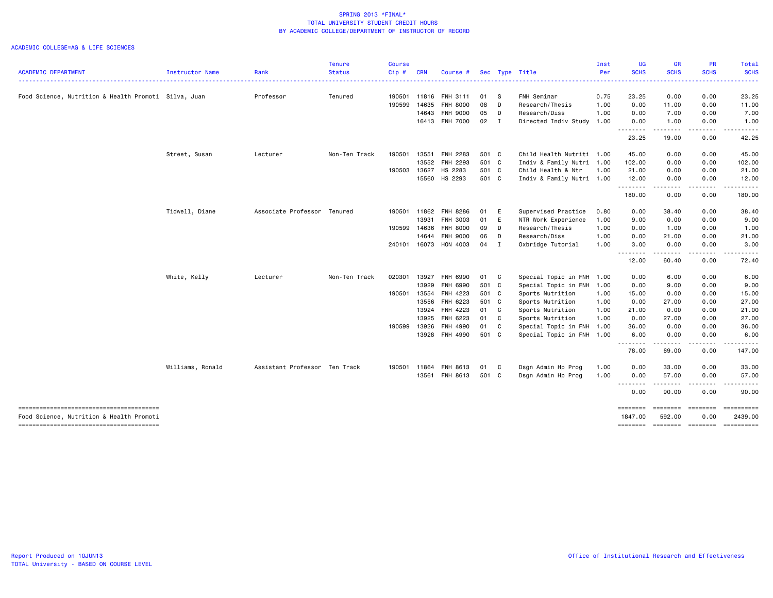|                                                                                    |                  |                               | <b>Tenure</b> | <b>Course</b> |            |                            |               |   |                                                   | Inst     | UG                  | <b>GR</b>                  | PR                    | Total                      |
|------------------------------------------------------------------------------------|------------------|-------------------------------|---------------|---------------|------------|----------------------------|---------------|---|---------------------------------------------------|----------|---------------------|----------------------------|-----------------------|----------------------------|
| <b>ACADEMIC DEPARTMENT</b>                                                         | Instructor Name  | Rank                          | <b>Status</b> | Cip#          | <b>CRN</b> | Course #                   |               |   | Sec Type Title                                    | Per<br>. | <b>SCHS</b>         | <b>SCHS</b>                | <b>SCHS</b>           | <b>SCHS</b><br>- - - - - - |
| Food Science, Nutrition & Health Promoti Silva, Juan                               |                  | Professor                     | Tenured       | 190501        |            | 11816 FNH 3111             | 01 S          |   | FNH Seminar                                       | 0.75     | 23.25               | 0.00                       | 0.00                  | 23.25                      |
|                                                                                    |                  |                               |               | 190599        | 14635      | <b>FNH 8000</b>            | 08            | D | Research/Thesis                                   | 1.00     | 0.00                | 11.00                      | 0.00                  | 11.00                      |
|                                                                                    |                  |                               |               |               | 14643      | <b>FNH 9000</b>            | 05            | D | Research/Diss                                     | 1.00     | 0.00                | 7.00                       | 0.00                  | 7.00                       |
|                                                                                    |                  |                               |               |               |            | 16413 FNH 7000             | $02 \quad I$  |   | Directed Indiv Study                              | 1.00     | 0.00<br>.           | 1.00<br>.                  | 0.00                  | 1.00                       |
|                                                                                    |                  |                               |               |               |            |                            |               |   |                                                   |          | 23.25               | 19.00                      | 0.00                  | 42.25                      |
|                                                                                    | Street, Susan    | Lecturer                      | Non-Ten Track | 190501        | 13551      | FNH 2283                   | 501 C         |   | Child Health Nutriti 1.00                         |          | 45.00               | 0.00                       | 0.00                  | 45.00                      |
|                                                                                    |                  |                               |               |               |            | 13552 FNH 2293             | 501 C         |   | Indiv & Family Nutri                              | 1.00     | 102.00              | 0.00                       | 0.00                  | 102.00                     |
|                                                                                    |                  |                               |               | 190503        | 13627      | HS 2283                    | 501 C         |   | Child Health & Ntr                                | 1.00     | 21.00               | 0.00                       | 0.00                  | 21.00                      |
|                                                                                    |                  |                               |               |               |            | 15560 HS 2293              | 501 C         |   | Indiv & Family Nutri 1.00                         |          | 12.00<br>.          | 0.00<br>.                  | 0.00                  | 12.00                      |
|                                                                                    |                  |                               |               |               |            |                            |               |   |                                                   |          | 180.00              | 0.00                       | 0.00                  | 180.00                     |
|                                                                                    | Tidwell, Diane   | Associate Professor Tenured   |               | 190501        | 11862      | <b>FNH 8286</b>            | 01            | E | Supervised Practice                               | 0.80     | 0.00                | 38.40                      | 0.00                  | 38.40                      |
|                                                                                    |                  |                               |               |               | 13931      | <b>FNH 3003</b>            | 01            | E | NTR Work Experience                               | 1.00     | 9.00                | 0.00                       | 0.00                  | 9.00                       |
|                                                                                    |                  |                               |               | 190599        | 14636      | <b>FNH 8000</b>            | 09            | D | Research/Thesis                                   | 1.00     | 0.00                | 1.00                       | 0.00                  | 1.00                       |
|                                                                                    |                  |                               |               |               | 14644      | <b>FNH 9000</b>            | 06            | D | Research/Diss                                     | 1.00     | 0.00                | 21.00                      | 0.00                  | 21.00                      |
|                                                                                    |                  |                               |               |               |            | 240101 16073 HON 4003      | 04 I          |   | Oxbridge Tutorial                                 | 1.00     | 3.00<br>--------    | 0.00<br>.                  | 0.00<br>.             | 3.00                       |
|                                                                                    |                  |                               |               |               |            |                            |               |   |                                                   |          | 12.00               | 60.40                      | 0.00                  | 72.40                      |
|                                                                                    | White, Kelly     | Lecturer                      | Non-Ten Track | 020301        | 13927      | FNH 6990                   | 01 C          |   | Special Topic in FNH                              | 1.00     | 0.00                | 6.00                       | 0.00                  | 6.00                       |
|                                                                                    |                  |                               |               |               | 13929      | <b>FNH 6990</b>            | 501 C         |   | Special Topic in FNH                              | 1.00     | 0.00                | 9.00                       | 0.00                  | 9.00                       |
|                                                                                    |                  |                               |               | 190501        | 13554      | FNH 4223                   | 501 C         |   | Sports Nutrition                                  | 1.00     | 15.00               | 0.00                       | 0.00                  | 15.00                      |
|                                                                                    |                  |                               |               |               | 13556      | FNH 6223                   | 501 C         |   | Sports Nutrition                                  | 1.00     | 0.00                | 27.00                      | 0.00                  | 27.00                      |
|                                                                                    |                  |                               |               |               |            | 13924 FNH 4223             | 01 C          |   | Sports Nutrition                                  | 1.00     | 21.00               | 0.00                       | 0.00                  | 21.00                      |
|                                                                                    |                  |                               |               |               | 13925      | FNH 6223                   | 01 C          |   | Sports Nutrition                                  | 1.00     | 0.00                | 27.00                      | 0.00                  | 27.00                      |
|                                                                                    |                  |                               |               | 190599        | 13926      | FNH 4990<br>13928 FNH 4990 | 01 C<br>501 C |   | Special Topic in FNH<br>Special Topic in FNH 1.00 | 1.00     | 36.00<br>6.00       | 0.00<br>0.00               | 0.00<br>0.00          | 36.00<br>6.00              |
|                                                                                    |                  |                               |               |               |            |                            |               |   |                                                   |          | .<br>78.00          | -----<br>69.00             | .<br>0.00             | . <b>.</b><br>147.00       |
|                                                                                    |                  |                               |               |               |            |                            |               |   |                                                   |          |                     |                            |                       |                            |
|                                                                                    | Williams, Ronald | Assistant Professor Ten Track |               | 190501        | 11864      | FNH 8613                   | 01 C          |   | Dsgn Admin Hp Prog                                | 1.00     | 0.00                | 33.00                      | 0.00                  | 33.00                      |
|                                                                                    |                  |                               |               |               |            | 13561 FNH 8613             | 501 C         |   | Dsgn Admin Hp Prog                                | 1.00     | 0.00<br>.           | 57.00<br>$  -$             | 0.00                  | 57.00                      |
|                                                                                    |                  |                               |               |               |            |                            |               |   |                                                   |          | 0.00                | 90.00                      | 0.00                  | 90.00                      |
|                                                                                    |                  |                               |               |               |            |                            |               |   |                                                   |          | ========<br>1847,00 | ========                   | $= 222222222$<br>0.00 | ==========<br>2439.00      |
| Food Science, Nutrition & Health Promoti<br>-------------------------------------- |                  |                               |               |               |            |                            |               |   |                                                   |          | ========            | 592.00<br>======== ======= |                       | ==========                 |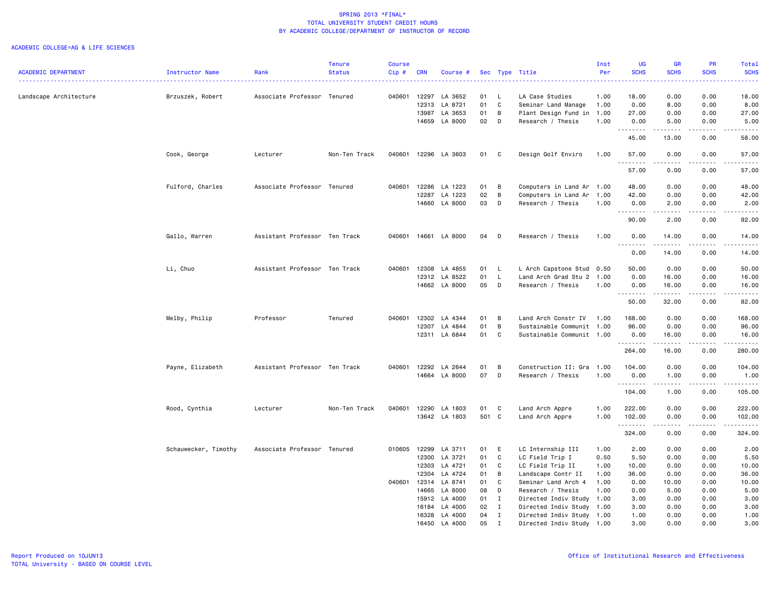|                            |                      |                               | <b>Tenure</b> | <b>Course</b> |              |                      |              |              |                           | Inst | <b>UG</b>   | <b>GR</b>                                                                                                                                                                       | PR                                                                                                                                | Total                                                                                                                                                                                                                                                                                                                                                                                                                                                                                            |
|----------------------------|----------------------|-------------------------------|---------------|---------------|--------------|----------------------|--------------|--------------|---------------------------|------|-------------|---------------------------------------------------------------------------------------------------------------------------------------------------------------------------------|-----------------------------------------------------------------------------------------------------------------------------------|--------------------------------------------------------------------------------------------------------------------------------------------------------------------------------------------------------------------------------------------------------------------------------------------------------------------------------------------------------------------------------------------------------------------------------------------------------------------------------------------------|
| <b>ACADEMIC DEPARTMENT</b> | Instructor Name      | Rank                          | <b>Status</b> | Cip#          | <b>CRN</b>   | Course #             |              |              | Sec Type Title            | Per  | <b>SCHS</b> | <b>SCHS</b>                                                                                                                                                                     | <b>SCHS</b>                                                                                                                       | <b>SCHS</b><br><u>.</u>                                                                                                                                                                                                                                                                                                                                                                                                                                                                          |
| Landscape Architecture     | Brzuszek, Robert     | Associate Professor Tenured   |               | 040601        | 12297        | LA 3652              | 01           | L.           | LA Case Studies           | 1.00 | 18.00       | 0.00                                                                                                                                                                            | 0.00                                                                                                                              | 18.00                                                                                                                                                                                                                                                                                                                                                                                                                                                                                            |
|                            |                      |                               |               |               | 12313        | LA 8721              | 01           | C            | Seminar Land Manage       | 1.00 | 0.00        | 8.00                                                                                                                                                                            | 0.00                                                                                                                              | 8.00                                                                                                                                                                                                                                                                                                                                                                                                                                                                                             |
|                            |                      |                               |               |               | 13987        | LA 3653              | 01           | B            | Plant Design Fund in 1.00 |      | 27.00       | 0.00                                                                                                                                                                            | 0.00                                                                                                                              | 27.00                                                                                                                                                                                                                                                                                                                                                                                                                                                                                            |
|                            |                      |                               |               |               | 14659        | LA 8000              | 02           | D            | Research / Thesis         | 1.00 | 0.00        | 5.00                                                                                                                                                                            | 0.00                                                                                                                              | 5.00                                                                                                                                                                                                                                                                                                                                                                                                                                                                                             |
|                            |                      |                               |               |               |              |                      |              |              |                           |      | .           |                                                                                                                                                                                 | $\sim$ $\sim$ $\sim$                                                                                                              | $\frac{1}{2} \left( \frac{1}{2} \right) \left( \frac{1}{2} \right) \left( \frac{1}{2} \right) \left( \frac{1}{2} \right) \left( \frac{1}{2} \right)$                                                                                                                                                                                                                                                                                                                                             |
|                            |                      |                               |               |               |              |                      |              |              |                           |      | 45.00       | 13.00                                                                                                                                                                           | 0.00                                                                                                                              | 58.00                                                                                                                                                                                                                                                                                                                                                                                                                                                                                            |
|                            | Cook, George         | Lecturer                      | Non-Ten Track | 040601        |              | 12296 LA 3603        | 01           | C            | Design Golf Enviro        | 1.00 | 57.00<br>.  | 0.00<br>-----                                                                                                                                                                   | 0.00                                                                                                                              | 57.00<br>.                                                                                                                                                                                                                                                                                                                                                                                                                                                                                       |
|                            |                      |                               |               |               |              |                      |              |              |                           |      | 57.00       | 0.00                                                                                                                                                                            | 0.00                                                                                                                              | 57.00                                                                                                                                                                                                                                                                                                                                                                                                                                                                                            |
|                            | Fulford, Charles     | Associate Professor Tenured   |               | 040601        | 12286        | LA 1223              | 01           | B            | Computers in Land Ar 1.00 |      | 48.00       | 0.00                                                                                                                                                                            | 0.00                                                                                                                              | 48.00                                                                                                                                                                                                                                                                                                                                                                                                                                                                                            |
|                            |                      |                               |               |               | 12287        | LA 1223              | 02           | B            | Computers in Land Ar 1.00 |      | 42.00       | 0.00                                                                                                                                                                            | 0.00                                                                                                                              | 42.00                                                                                                                                                                                                                                                                                                                                                                                                                                                                                            |
|                            |                      |                               |               |               |              | 14660 LA 8000        | 03           | D            | Research / Thesis         | 1.00 | 0.00        | 2.00                                                                                                                                                                            | 0.00                                                                                                                              | 2.00                                                                                                                                                                                                                                                                                                                                                                                                                                                                                             |
|                            |                      |                               |               |               |              |                      |              |              |                           |      | --------    | $\frac{1}{2} \left( \frac{1}{2} \right) \left( \frac{1}{2} \right) \left( \frac{1}{2} \right) \left( \frac{1}{2} \right) \left( \frac{1}{2} \right) \left( \frac{1}{2} \right)$ | .                                                                                                                                 | .                                                                                                                                                                                                                                                                                                                                                                                                                                                                                                |
|                            |                      |                               |               |               |              |                      |              |              |                           |      | 90.00       | 2.00                                                                                                                                                                            | 0.00                                                                                                                              | 92.00                                                                                                                                                                                                                                                                                                                                                                                                                                                                                            |
|                            | Gallo, Warren        | Assistant Professor Ten Track |               |               |              | 040601 14661 LA 8000 | 04           | D            | Research / Thesis         | 1.00 | 0.00<br>.   | 14.00<br>.                                                                                                                                                                      | 0.00<br>.                                                                                                                         | 14.00<br>.                                                                                                                                                                                                                                                                                                                                                                                                                                                                                       |
|                            |                      |                               |               |               |              |                      |              |              |                           |      | 0.00        | 14.00                                                                                                                                                                           | 0.00                                                                                                                              | 14.00                                                                                                                                                                                                                                                                                                                                                                                                                                                                                            |
|                            | Li, Chuo             | Assistant Professor Ten Track |               |               | 040601 12308 | LA 4855              | 01 L         |              | L Arch Capstone Stud 0.50 |      | 50.00       | 0.00                                                                                                                                                                            | 0.00                                                                                                                              | 50.00                                                                                                                                                                                                                                                                                                                                                                                                                                                                                            |
|                            |                      |                               |               |               | 12312        | LA 8522              | 01           | L.           | Land Arch Grad Stu 2      | 1.00 | 0.00        | 16.00                                                                                                                                                                           | 0.00                                                                                                                              | 16.00                                                                                                                                                                                                                                                                                                                                                                                                                                                                                            |
|                            |                      |                               |               |               |              | 14662 LA 8000        | 05           | D            | Research / Thesis         | 1.00 | 0.00        | 16.00                                                                                                                                                                           | 0.00<br>.                                                                                                                         | 16.00<br>.                                                                                                                                                                                                                                                                                                                                                                                                                                                                                       |
|                            |                      |                               |               |               |              |                      |              |              |                           |      | .<br>50.00  | .<br>32.00                                                                                                                                                                      | 0.00                                                                                                                              | 82.00                                                                                                                                                                                                                                                                                                                                                                                                                                                                                            |
|                            | Melby, Philip        | Professor                     | Tenured       |               | 040601 12302 | LA 4344              | 01           | B            | Land Arch Constr IV 1.00  |      | 168.00      | 0.00                                                                                                                                                                            | 0.00                                                                                                                              | 168.00                                                                                                                                                                                                                                                                                                                                                                                                                                                                                           |
|                            |                      |                               |               |               | 12307        | LA 4844              | 01           | B            | Sustainable Communit 1.00 |      | 96.00       | 0.00                                                                                                                                                                            | 0.00                                                                                                                              | 96.00                                                                                                                                                                                                                                                                                                                                                                                                                                                                                            |
|                            |                      |                               |               |               | 12311        | LA 6844              | 01           | $\mathbf c$  | Sustainable Communit 1.00 |      | 0.00        | 16.00                                                                                                                                                                           | 0.00                                                                                                                              | 16.00                                                                                                                                                                                                                                                                                                                                                                                                                                                                                            |
|                            |                      |                               |               |               |              |                      |              |              |                           |      | .           | .                                                                                                                                                                               | .                                                                                                                                 | .                                                                                                                                                                                                                                                                                                                                                                                                                                                                                                |
|                            |                      |                               |               |               |              |                      |              |              |                           |      | 264.00      | 16.00                                                                                                                                                                           | 0.00                                                                                                                              | 280.00                                                                                                                                                                                                                                                                                                                                                                                                                                                                                           |
|                            | Payne, Elizabeth     | Assistant Professor Ten Track |               |               | 040601 12292 | LA 2644              | 01           | B            | Construction II: Gra 1.00 |      | 104.00      | 0.00                                                                                                                                                                            | 0.00                                                                                                                              | 104.00                                                                                                                                                                                                                                                                                                                                                                                                                                                                                           |
|                            |                      |                               |               |               | 14664        | LA 8000              | 07           | D            | Research / Thesis         | 1.00 | 0.00        | 1.00                                                                                                                                                                            | 0.00                                                                                                                              | 1.00                                                                                                                                                                                                                                                                                                                                                                                                                                                                                             |
|                            |                      |                               |               |               |              |                      |              |              |                           |      | .<br>104.00 | .<br>1.00                                                                                                                                                                       | .<br>0.00                                                                                                                         | $\begin{array}{cccccccccccccc} \multicolumn{2}{c}{} & \multicolumn{2}{c}{} & \multicolumn{2}{c}{} & \multicolumn{2}{c}{} & \multicolumn{2}{c}{} & \multicolumn{2}{c}{} & \multicolumn{2}{c}{} & \multicolumn{2}{c}{} & \multicolumn{2}{c}{} & \multicolumn{2}{c}{} & \multicolumn{2}{c}{} & \multicolumn{2}{c}{} & \multicolumn{2}{c}{} & \multicolumn{2}{c}{} & \multicolumn{2}{c}{} & \multicolumn{2}{c}{} & \multicolumn{2}{c}{} & \multicolumn{2}{c}{} & \multicolumn{2}{c}{} & \$<br>105.00 |
|                            | Rood, Cynthia        | Lecturer                      | Non-Ten Track | 040601        | 12290        | LA 1803              | 01           | C            | Land Arch Appre           | 1.00 | 222.00      | 0.00                                                                                                                                                                            | 0.00                                                                                                                              | 222.00                                                                                                                                                                                                                                                                                                                                                                                                                                                                                           |
|                            |                      |                               |               |               |              | 13642 LA 1803        | 501 C        |              | Land Arch Appre           | 1.00 | 102.00      | 0.00                                                                                                                                                                            | 0.00                                                                                                                              | 102.00                                                                                                                                                                                                                                                                                                                                                                                                                                                                                           |
|                            |                      |                               |               |               |              |                      |              |              |                           |      | .<br>324.00 | د د د د<br>0.00                                                                                                                                                                 | $\frac{1}{2} \left( \frac{1}{2} \right) \left( \frac{1}{2} \right) \left( \frac{1}{2} \right) \left( \frac{1}{2} \right)$<br>0.00 | .<br>324.00                                                                                                                                                                                                                                                                                                                                                                                                                                                                                      |
|                            | Schauwecker, Timothy | Associate Professor Tenured   |               | 010605        | 12299        | LA 3711              | 01           | E            | LC Internship III         | 1.00 | 2.00        | 0.00                                                                                                                                                                            | 0.00                                                                                                                              | 2.00                                                                                                                                                                                                                                                                                                                                                                                                                                                                                             |
|                            |                      |                               |               |               | 12300        | LA 3721              | 01           | C            | LC Field Trip I           | 0.50 | 5.50        | 0.00                                                                                                                                                                            | 0.00                                                                                                                              | 5.50                                                                                                                                                                                                                                                                                                                                                                                                                                                                                             |
|                            |                      |                               |               |               | 12303        | LA 4721              | 01           | C            | LC Field Trip II          | 1.00 | 10.00       | 0.00                                                                                                                                                                            | 0.00                                                                                                                              | 10.00                                                                                                                                                                                                                                                                                                                                                                                                                                                                                            |
|                            |                      |                               |               |               | 12304        | LA 4724              | 01           | B            | Landscape Contr II        | 1.00 | 36.00       | 0.00                                                                                                                                                                            | 0.00                                                                                                                              | 36.00                                                                                                                                                                                                                                                                                                                                                                                                                                                                                            |
|                            |                      |                               |               | 040601        | 12314        | LA 8741              | 01           | C            | Seminar Land Arch 4       | 1.00 | 0.00        | 10.00                                                                                                                                                                           | 0.00                                                                                                                              | 10.00                                                                                                                                                                                                                                                                                                                                                                                                                                                                                            |
|                            |                      |                               |               |               | 14665        | LA 8000              | 08           | D            | Research / Thesis         | 1.00 | 0.00        | 5.00                                                                                                                                                                            | 0.00                                                                                                                              | 5.00                                                                                                                                                                                                                                                                                                                                                                                                                                                                                             |
|                            |                      |                               |               |               | 15912        | LA 4000              | $01 \quad I$ |              | Directed Indiv Study 1.00 |      | 3.00        | 0.00                                                                                                                                                                            | 0.00                                                                                                                              | 3.00                                                                                                                                                                                                                                                                                                                                                                                                                                                                                             |
|                            |                      |                               |               |               | 16184        | LA 4000              | 02           | $\mathbf{I}$ | Directed Indiv Study 1.00 |      | 3.00        | 0.00                                                                                                                                                                            | 0.00                                                                                                                              | 3.00                                                                                                                                                                                                                                                                                                                                                                                                                                                                                             |
|                            |                      |                               |               |               |              | 16328 LA 4000        | 04           | $\mathbf{I}$ | Directed Indiv Study 1.00 |      | 1.00        | 0.00                                                                                                                                                                            | 0.00                                                                                                                              | 1.00                                                                                                                                                                                                                                                                                                                                                                                                                                                                                             |
|                            |                      |                               |               |               | 16450        | LA 4000              | 05           | Ι.           | Directed Indiv Study 1.00 |      | 3.00        | 0.00                                                                                                                                                                            | 0.00                                                                                                                              | 3.00                                                                                                                                                                                                                                                                                                                                                                                                                                                                                             |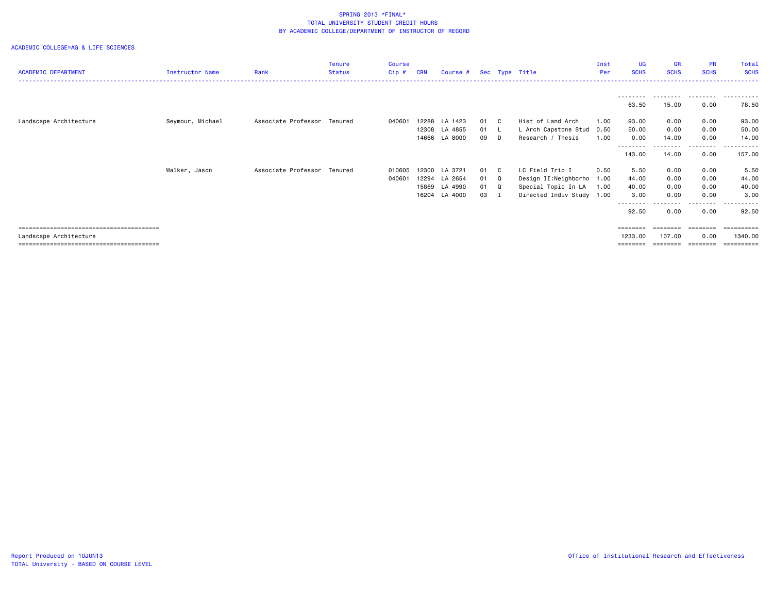| <b>ACADEMIC DEPARTMENT</b> | <b>Instructor Name</b> | Rank                        | <b>Tenure</b><br><b>Status</b> | <b>Course</b><br>Cip# | <b>CRN</b>     | Course #                                             |                      |                                                     | Sec Type Title                                                                                   | Inst<br>Per          | <b>UG</b><br><b>SCHS</b>       | <b>GR</b><br><b>SCHS</b>     | <b>PR</b><br><b>SCHS</b>     | Total<br><b>SCHS</b>           |
|----------------------------|------------------------|-----------------------------|--------------------------------|-----------------------|----------------|------------------------------------------------------|----------------------|-----------------------------------------------------|--------------------------------------------------------------------------------------------------|----------------------|--------------------------------|------------------------------|------------------------------|--------------------------------|
|                            |                        |                             |                                |                       |                |                                                      |                      |                                                     |                                                                                                  |                      | ---------<br>63.50             | 15.00                        | .<br>0.00                    | .<br>78.50                     |
| Landscape Architecture     | Seymour, Michael       | Associate Professor Tenured |                                | 040601                | 12308          | 12288 LA 1423<br>LA 4855<br>14666 LA 8000            | 01<br>01<br>09       | $\mathbf{c}$<br>D                                   | Hist of Land Arch<br>L Arch Capstone Stud<br>Research / Thesis                                   | 1.00<br>0.50<br>1.00 | 93.00<br>50.00<br>0.00         | 0.00<br>0.00<br>14.00        | 0.00<br>0.00<br>0.00         | 93.00<br>50.00<br>14.00        |
|                            |                        |                             |                                |                       |                |                                                      |                      |                                                     |                                                                                                  |                      | --------<br>143.00             | ---------<br>14.00           | .<br>0.00                    | .<br>157.00                    |
|                            | Walker, Jason          | Associate Professor Tenured |                                | 010605<br>040601      | 12294<br>15869 | 12300 LA 3721<br>LA 2654<br>LA 4990<br>16204 LA 4000 | 01<br>01<br>01<br>03 | $\mathbf{C}$<br>Q<br>$\mathbf{Q}$<br>$\blacksquare$ | LC Field Trip I<br>Design II:Neighborho 1.00<br>Special Topic In LA<br>Directed Indiv Study 1.00 | 0.50<br>1.00         | 5.50<br>44.00<br>40.00<br>3.00 | 0.00<br>0.00<br>0.00<br>0.00 | 0.00<br>0.00<br>0.00<br>0.00 | 5.50<br>44.00<br>40.00<br>3.00 |
|                            |                        |                             |                                |                       |                |                                                      |                      |                                                     |                                                                                                  |                      | ---------<br>92.50             | 0.00                         | --------<br>0.00             | . <u>.</u> .<br>92.50          |
| Landscape Architecture     |                        |                             |                                |                       |                |                                                      |                      |                                                     |                                                                                                  |                      | ========<br>1233.00            | ========<br>107.00           | ========<br>0.00             | 1340.00<br>.                   |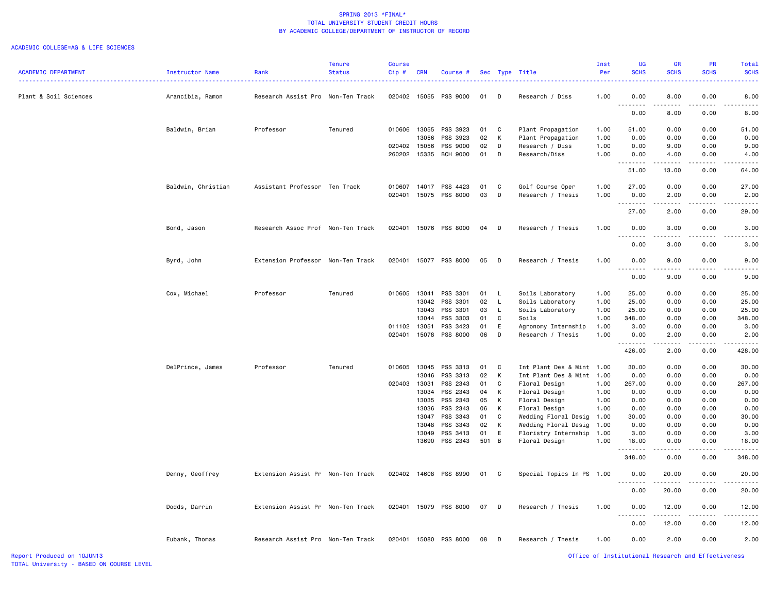| <b>ACADEMIC DEPARTMENT</b> | Instructor Name    | Rank                              | <b>Tenure</b><br><b>Status</b> | <b>Course</b><br>Cip# | <b>CRN</b>     | Course #              |          |              | Sec Type Title                               | Inst<br>Per  | UG<br><b>SCHS</b> | <b>GR</b><br><b>SCHS</b>                                                                                                                                     | <b>PR</b><br><b>SCHS</b> | Total<br><b>SCHS</b> |
|----------------------------|--------------------|-----------------------------------|--------------------------------|-----------------------|----------------|-----------------------|----------|--------------|----------------------------------------------|--------------|-------------------|--------------------------------------------------------------------------------------------------------------------------------------------------------------|--------------------------|----------------------|
| Plant & Soil Sciences      | Arancibia, Ramon   | Research Assist Pro Non-Ten Track |                                | 020402                | 15055          | PSS 9000              | 01       | D            | Research / Diss                              | 1.00         | 0.00<br>.         | 8.00<br>.                                                                                                                                                    | 0.00<br>$   -$           | 8.00                 |
|                            |                    |                                   |                                |                       |                |                       |          |              |                                              |              | 0.00              | 8.00                                                                                                                                                         | 0.00                     | 8.00                 |
|                            | Baldwin, Brian     | Professor                         | Tenured                        | 010606                | 13055          | PSS 3923              | 01       | $\mathbf{C}$ | Plant Propagation                            | 1.00         | 51.00             | 0.00                                                                                                                                                         | 0.00                     | 51.00                |
|                            |                    |                                   |                                |                       | 13056          | PSS 3923              | 02       | К            | Plant Propagation                            | 1.00         | 0.00              | 0.00                                                                                                                                                         | 0.00                     | 0.00                 |
|                            |                    |                                   |                                | 020402                | 15056          | PSS 9000              | 02       | D            | Research / Diss                              | 1.00         | 0.00              | 9.00                                                                                                                                                         | 0.00                     | 9.00                 |
|                            |                    |                                   |                                | 260202                | 15335          | BCH 9000              | 01       | D            | Research/Diss                                | 1.00         | 0.00              | 4.00<br>$\frac{1}{2} \left( \frac{1}{2} \right) \left( \frac{1}{2} \right) \left( \frac{1}{2} \right) \left( \frac{1}{2} \right) \left( \frac{1}{2} \right)$ | 0.00<br>$- - - - -$      | 4.00<br>.            |
|                            |                    |                                   |                                |                       |                |                       |          |              |                                              |              | 51.00             | 13.00                                                                                                                                                        | 0.00                     | 64.00                |
|                            | Baldwin, Christian | Assistant Professor Ten Track     |                                |                       |                | 010607 14017 PSS 4423 | 01       | $\mathbf{C}$ | Golf Course Oper                             | 1.00         | 27.00             | 0.00                                                                                                                                                         | 0.00                     | 27.00                |
|                            |                    |                                   |                                | 020401                | 15075          | PSS 8000              | 03       | D            | Research / Thesis                            | 1.00         | 0.00<br>.         | 2.00<br>.                                                                                                                                                    | 0.00<br>.                | 2.00<br>.            |
|                            |                    |                                   |                                |                       |                |                       |          |              |                                              |              | 27.00             | 2.00                                                                                                                                                         | 0.00                     | 29.00                |
|                            | Bond, Jason        | Research Assoc Prof Non-Ten Track |                                | 020401                |                | 15076 PSS 8000        | 04 D     |              | Research / Thesis                            | 1.00         | 0.00<br><b>.</b>  | 3.00<br>.                                                                                                                                                    | 0.00<br>.                | 3.00                 |
|                            |                    |                                   |                                |                       |                |                       |          |              |                                              |              | 0.00              | 3.00                                                                                                                                                         | 0.00                     | 3.00                 |
|                            | Byrd, John         | Extension Professor Non-Ten Track |                                | 020401                |                | 15077 PSS 8000        | 05       | $\mathsf{D}$ | Research / Thesis                            | 1.00         | 0.00              | 9.00<br>د د د د                                                                                                                                              | 0.00<br>.                | 9.00                 |
|                            |                    |                                   |                                |                       |                |                       |          |              |                                              |              | 0.00              | 9.00                                                                                                                                                         | 0.00                     | 9.00                 |
|                            | Cox, Michael       | Professor                         | Tenured                        | 010605 13041          |                | PSS 3301              | 01       | $\mathsf{L}$ | Soils Laboratory                             | 1.00         | 25.00             | 0.00                                                                                                                                                         | 0.00                     | 25.00                |
|                            |                    |                                   |                                |                       | 13042          | PSS 3301              | 02       | $\mathsf{L}$ | Soils Laboratory                             | 1.00         | 25.00             | 0.00                                                                                                                                                         | 0.00                     | 25.00                |
|                            |                    |                                   |                                |                       | 13043          | PSS 3301              | 03       | $\mathsf{L}$ | Soils Laboratory                             | 1.00         | 25.00             | 0.00                                                                                                                                                         | 0.00                     | 25.00                |
|                            |                    |                                   |                                |                       | 13044          | PSS 3303              | 01       | C            | Soils                                        | 1.00         | 348.00            | 0.00                                                                                                                                                         | 0.00                     | 348.00               |
|                            |                    |                                   |                                | 011102                | 13051          | PSS 3423              | 01       | E            | Agronomy Internship                          | 1.00         | 3.00              | 0.00                                                                                                                                                         | 0.00                     | 3.00                 |
|                            |                    |                                   |                                | 020401                | 15078          | PSS 8000              | 06       | D            | Research / Thesis                            | 1.00         | 0.00<br>.         | 2.00<br>.                                                                                                                                                    | 0.00                     | 2.00                 |
|                            |                    |                                   |                                |                       |                |                       |          |              |                                              |              | 426.00            | 2.00                                                                                                                                                         | 0.00                     | 428.00               |
|                            | DelPrince, James   | Professor                         | Tenured                        | 010605                | 13045          | PSS 3313              | 01       | $\mathbf{C}$ | Int Plant Des & Mint                         | 1.00         | 30.00             | 0.00                                                                                                                                                         | 0.00                     | 30.00                |
|                            |                    |                                   |                                |                       | 13046          | PSS 3313              | 02       | к            | Int Plant Des & Mint                         | 1.00         | 0.00              | 0.00                                                                                                                                                         | 0.00                     | 0.00                 |
|                            |                    |                                   |                                | 020403                | 13031          | PSS 2343              | 01       | C            | Floral Design                                | 1.00         | 267.00            | 0.00                                                                                                                                                         | 0.00                     | 267.00               |
|                            |                    |                                   |                                |                       | 13034          | PSS 2343              | 04       | К            | Floral Design                                | 1.00         | 0.00              | 0.00                                                                                                                                                         | 0.00                     | 0.00                 |
|                            |                    |                                   |                                |                       | 13035          | PSS 2343              | 05       | К            | Floral Design                                | 1.00         | 0.00              | 0.00                                                                                                                                                         | 0.00                     | 0.00                 |
|                            |                    |                                   |                                |                       | 13036          | PSS 2343              | 06       | К            | Floral Design                                | 1.00         | 0.00              | 0.00                                                                                                                                                         | 0.00                     | 0.00                 |
|                            |                    |                                   |                                |                       | 13047          | PSS 3343<br>PSS 3343  | 01       | C<br>К       | Wedding Floral Desig                         | 1.00         | 30.00             | 0.00                                                                                                                                                         | 0.00<br>0.00             | 30.00<br>0.00        |
|                            |                    |                                   |                                |                       | 13048<br>13049 | PSS 3413              | 02<br>01 | E            | Wedding Floral Desig<br>Floristry Internship | 1.00<br>1.00 | 0.00<br>3.00      | 0.00<br>0.00                                                                                                                                                 | 0.00                     | 3.00                 |
|                            |                    |                                   |                                |                       | 13690          | PSS 2343              | 501 B    |              | Floral Design                                | 1.00         | 18.00             | 0.00                                                                                                                                                         | 0.00                     | 18.00                |
|                            |                    |                                   |                                |                       |                |                       |          |              |                                              |              | 348.00            | 0.00                                                                                                                                                         | 0.00                     | 348.00               |
|                            | Denny, Geoffrey    | Extension Assist Pr Non-Ten Track |                                |                       |                | 020402 14608 PSS 8990 | 01 C     |              | Special Topics In PS 1.00                    |              | 0.00              | 20.00                                                                                                                                                        | 0.00                     | 20.00                |
|                            |                    |                                   |                                |                       |                |                       |          |              |                                              |              | 0.00              | 20.00                                                                                                                                                        | 0.00                     | 20.00                |
|                            | Dodds, Darrin      | Extension Assist Pr Non-Ten Track |                                |                       |                | 020401 15079 PSS 8000 | 07       | D            | Research / Thesis                            | 1.00         | 0.00              | 12.00                                                                                                                                                        | 0.00                     | 12.00                |
|                            |                    |                                   |                                |                       |                |                       |          |              |                                              |              | .<br>0.00         | 12.00                                                                                                                                                        | 0.00                     | 12.00                |
|                            | Eubank, Thomas     | Research Assist Pro Non-Ten Track |                                |                       |                | 020401 15080 PSS 8000 | 08       | $\Box$       | Research / Thesis                            | 1.00         | 0.00              | 2.00                                                                                                                                                         | 0.00                     | 2.00                 |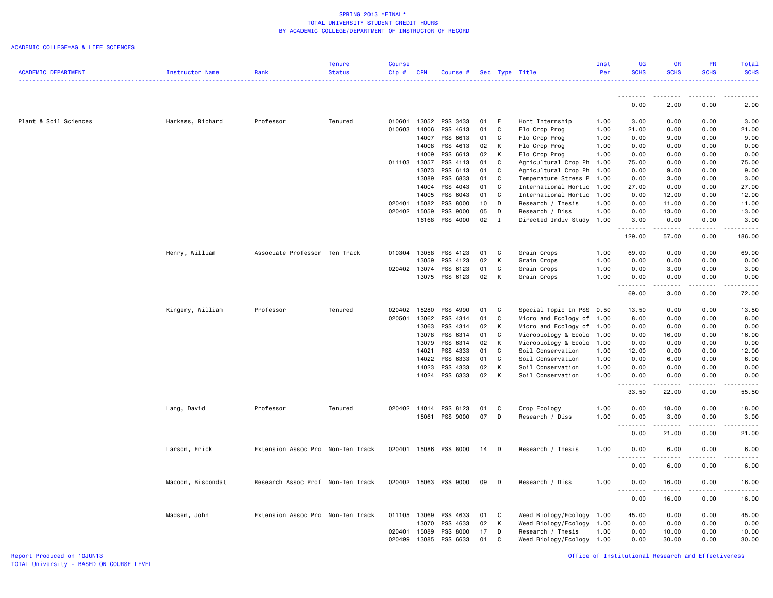|                            |                   |                                   | Tenure        | <b>Course</b> |            |                       |                 |              |                           | Inst | UG                   | GR                    | <b>PR</b>                                                                                                                                            | Total                                |
|----------------------------|-------------------|-----------------------------------|---------------|---------------|------------|-----------------------|-----------------|--------------|---------------------------|------|----------------------|-----------------------|------------------------------------------------------------------------------------------------------------------------------------------------------|--------------------------------------|
| <b>ACADEMIC DEPARTMENT</b> | Instructor Name   | Rank                              | <b>Status</b> | Cip#          | <b>CRN</b> | Course #              |                 |              | Sec Type Title            | Per  | <b>SCHS</b>          | <b>SCHS</b>           | <b>SCHS</b>                                                                                                                                          | <b>SCHS</b>                          |
|                            |                   |                                   |               |               |            |                       |                 |              |                           |      | .                    | .                     | $\frac{1}{2} \left( \frac{1}{2} \right) \left( \frac{1}{2} \right) \left( \frac{1}{2} \right) \left( \frac{1}{2} \right) \left( \frac{1}{2} \right)$ | المالم المالية ال                    |
|                            |                   |                                   |               |               |            |                       |                 |              |                           |      | 0.00                 | 2.00                  | 0.00                                                                                                                                                 | 2.00                                 |
| Plant & Soil Sciences      | Harkess, Richard  | Professor                         | Tenured       | 010601        | 13052      | PSS 3433              | 01              | E            | Hort Internship           | 1.00 | 3.00                 | 0.00                  | 0.00                                                                                                                                                 | 3.00                                 |
|                            |                   |                                   |               | 010603        | 14006      | PSS 4613              | 01              | $\mathtt{C}$ | Flo Crop Prog             | 1.00 | 21.00                | 0.00                  | 0.00                                                                                                                                                 | 21.00                                |
|                            |                   |                                   |               |               | 14007      | PSS 6613              | 01              | C            | Flo Crop Prog             | 1.00 | 0.00                 | 9.00                  | 0.00                                                                                                                                                 | 9.00                                 |
|                            |                   |                                   |               |               | 14008      | PSS 4613              | 02              | К            | Flo Crop Prog             | 1.00 | 0.00                 | 0.00                  | 0.00                                                                                                                                                 | 0.00                                 |
|                            |                   |                                   |               |               | 14009      | PSS 6613              | 02              | К            | Flo Crop Prog             | 1.00 | 0.00                 | 0.00                  | 0.00                                                                                                                                                 | 0.00                                 |
|                            |                   |                                   |               | 011103 13057  |            | PSS 4113              | 01              | C            | Agricultural Crop Ph      | 1.00 | 75.00                | 0.00                  | 0.00                                                                                                                                                 | 75.00                                |
|                            |                   |                                   |               |               | 13073      | PSS 6113              | 01              | C            | Agricultural Crop Ph      | 1.00 | 0.00                 | 9.00                  | 0.00                                                                                                                                                 | 9.00                                 |
|                            |                   |                                   |               |               | 13089      | PSS 6833              | 01              | C            | Temperature Stress P      | 1.00 | 0.00                 | 3.00                  | 0.00                                                                                                                                                 | 3.00                                 |
|                            |                   |                                   |               |               | 14004      | PSS 4043              | 01              | C            | International Hortic      | 1.00 | 27.00                | 0.00                  | 0.00                                                                                                                                                 | 27.00                                |
|                            |                   |                                   |               |               | 14005      | PSS 6043              | 01              | C            | International Hortic 1.00 |      | 0.00                 | 12.00                 | 0.00                                                                                                                                                 | 12.00                                |
|                            |                   |                                   |               | 020401        | 15082      | PSS 8000              | 10 <sup>1</sup> | D            | Research / Thesis         | 1.00 | 0.00                 | 11.00                 | 0.00                                                                                                                                                 | 11.00                                |
|                            |                   |                                   |               | 020402 15059  |            | PSS 9000              | 05              | D            | Research / Diss           | 1.00 | 0.00                 | 13.00                 | 0.00                                                                                                                                                 | 13.00                                |
|                            |                   |                                   |               |               | 16168      | PSS 4000              | 02              | $\mathbf I$  | Directed Indiv Study 1.00 |      | 3.00<br><u>.</u>     | 0.00<br>. <b>.</b>    | 0.00<br>.                                                                                                                                            | 3.00<br>.                            |
|                            |                   |                                   |               |               |            |                       |                 |              |                           |      | 129.00               | 57.00                 | 0.00                                                                                                                                                 | 186.00                               |
|                            | Henry, William    | Associate Professor Ten Track     |               | 010304        | 13058      | PSS 4123              | 01              | C            | Grain Crops               | 1.00 | 69.00                | 0.00                  | 0.00                                                                                                                                                 | 69.00                                |
|                            |                   |                                   |               |               | 13059      | PSS 4123              | 02              | К            | Grain Crops               | 1.00 | 0.00                 | 0.00                  | 0.00                                                                                                                                                 | 0.00                                 |
|                            |                   |                                   |               | 020402        | 13074      | PSS 6123              | 01              | C            | Grain Crops               | 1.00 | 0.00                 | 3.00                  | 0.00                                                                                                                                                 | 3.00                                 |
|                            |                   |                                   |               |               | 13075      | PSS 6123              | 02              | К            | Grain Crops               | 1.00 | 0.00                 | 0.00                  | 0.00                                                                                                                                                 | 0.00                                 |
|                            |                   |                                   |               |               |            |                       |                 |              |                           |      | د د د د<br>69.00     | المتمام المنا<br>3.00 | .<br>0.00                                                                                                                                            | $\sim$ $\sim$ $\sim$ $\sim$<br>72.00 |
|                            | Kingery, William  | Professor                         | Tenured       | 020402        | 15280      | PSS 4990              | 01              | C            | Special Topic In PSS 0.50 |      | 13.50                | 0.00                  | 0.00                                                                                                                                                 | 13.50                                |
|                            |                   |                                   |               | 020501        | 13062      | PSS 4314              | 01              | C            | Micro and Ecology of 1.00 |      | 8.00                 | 0.00                  | 0.00                                                                                                                                                 | 8.00                                 |
|                            |                   |                                   |               |               | 13063      | PSS 4314              | 02              | К            | Micro and Ecology of 1.00 |      | 0.00                 | 0.00                  | 0.00                                                                                                                                                 | 0.00                                 |
|                            |                   |                                   |               |               | 13078      | PSS 6314              | 01              | C            | Microbiology & Ecolo      | 1.00 | 0.00                 | 16.00                 | 0.00                                                                                                                                                 | 16.00                                |
|                            |                   |                                   |               |               | 13079      | PSS 6314              | 02              | К            | Microbiology & Ecolo      | 1.00 | 0.00                 | 0.00                  | 0.00                                                                                                                                                 | 0.00                                 |
|                            |                   |                                   |               |               | 14021      | PSS 4333              | 01              | C            | Soil Conservation         | 1.00 | 12.00                | 0.00                  | 0.00                                                                                                                                                 | 12.00                                |
|                            |                   |                                   |               |               | 14022      | PSS 6333              | 01              | C            | Soil Conservation         | 1.00 | 0.00                 | 6.00                  | 0.00                                                                                                                                                 | 6.00                                 |
|                            |                   |                                   |               |               | 14023      | PSS 4333              | 02              | К            | Soil Conservation         | 1.00 | 0.00                 | 0.00                  | 0.00                                                                                                                                                 | 0.00                                 |
|                            |                   |                                   |               |               |            | 14024 PSS 6333        | 02              | K            | Soil Conservation         | 1.00 | 0.00<br>.<br>$- - -$ | 0.00<br>.             | 0.00<br>.                                                                                                                                            | 0.00<br>.                            |
|                            |                   |                                   |               |               |            |                       |                 |              |                           |      | 33.50                | 22.00                 | 0.00                                                                                                                                                 | 55.50                                |
|                            | Lang, David       | Professor                         | Tenured       | 020402        | 14014      | PSS 8123              | 01              | C            | Crop Ecology              | 1.00 | 0.00                 | 18.00                 | 0.00                                                                                                                                                 | 18.00                                |
|                            |                   |                                   |               |               | 15061      | PSS 9000              | 07              | D            | Research / Diss           | 1.00 | 0.00                 | 3.00                  | 0.00                                                                                                                                                 | 3.00                                 |
|                            |                   |                                   |               |               |            |                       |                 |              |                           |      | 0.00                 | 21.00                 | 0.00                                                                                                                                                 | 21.00                                |
|                            |                   |                                   |               |               |            |                       |                 |              |                           |      |                      |                       |                                                                                                                                                      |                                      |
|                            | Larson, Erick     | Extension Assoc Pro Non-Ten Track |               |               |            | 020401 15086 PSS 8000 | 14              | D            | Research / Thesis         | 1.00 | 0.00<br><u>.</u>     | 6.00<br>.             | 0.00<br>.                                                                                                                                            | 6.00<br>----                         |
|                            |                   |                                   |               |               |            |                       |                 |              |                           |      | 0.00                 | 6.00                  | 0.00                                                                                                                                                 | 6.00                                 |
|                            | Macoon, Bisoondat | Research Assoc Prof Non-Ten Track |               |               |            | 020402 15063 PSS 9000 | 09              | D            | Research / Diss           | 1.00 | 0.00<br><u>.</u>     | 16.00<br>.            | 0.00<br>.                                                                                                                                            | 16.00<br>.                           |
|                            |                   |                                   |               |               |            |                       |                 |              |                           |      | 0.00                 | 16.00                 | 0.00                                                                                                                                                 | 16.00                                |
|                            | Madsen, John      | Extension Assoc Pro Non-Ten Track |               | 011105 13069  |            | PSS 4633              | 01              | C            | Weed Biology/Ecology      | 1.00 | 45.00                | 0.00                  | 0.00                                                                                                                                                 | 45.00                                |
|                            |                   |                                   |               |               | 13070      | PSS 4633              | 02              | К            | Weed Biology/Ecology      | 1.00 | 0.00                 | 0.00                  | 0.00                                                                                                                                                 | 0.00                                 |
|                            |                   |                                   |               | 020401        | 15089      | PSS 8000              | 17              | D            | Research / Thesis         | 1.00 | 0.00                 | 10.00                 | 0.00                                                                                                                                                 | 10.00                                |
|                            |                   |                                   |               | 020499        | 13085      | PSS 6633              | 01              | C            | Weed Biology/Ecology 1.00 |      | 0.00                 | 30.00                 | 0.00                                                                                                                                                 | 30.00                                |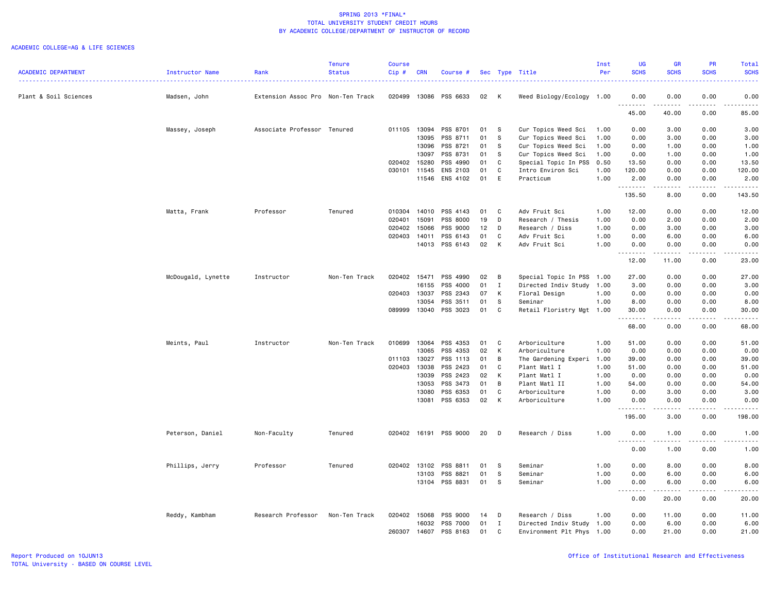|                            |                    |                                   | <b>Tenure</b> | <b>Course</b> |            |                       |    |              |                           | Inst | UG                                | <b>GR</b>             | <b>PR</b>           | Total                 |
|----------------------------|--------------------|-----------------------------------|---------------|---------------|------------|-----------------------|----|--------------|---------------------------|------|-----------------------------------|-----------------------|---------------------|-----------------------|
| <b>ACADEMIC DEPARTMENT</b> | Instructor Name    | Rank                              | <b>Status</b> | Cip#          | <b>CRN</b> | Course #              |    |              | Sec Type Title            | Per  | <b>SCHS</b>                       | <b>SCHS</b>           | <b>SCHS</b>         | <b>SCHS</b>           |
| Plant & Soil Sciences      | Madsen, John       | Extension Assoc Pro Non-Ten Track |               | 020499        |            | 13086 PSS 6633        | 02 | к            | Weed Biology/Ecology 1.00 |      | 0.00                              | 0.00                  | 0.00                | 0.00                  |
|                            |                    |                                   |               |               |            |                       |    |              |                           |      | .<br>45.00                        | $- - - - -$<br>40.00  | .<br>0.00           | .<br>85.00            |
|                            | Massey, Joseph     | Associate Professor Tenured       |               | 011105        | 13094      | PSS 8701              | 01 | -S           | Cur Topics Weed Sci       | 1.00 | 0.00                              | 3.00                  | 0.00                | 3.00                  |
|                            |                    |                                   |               |               | 13095      | PSS 8711              | 01 | -S           | Cur Topics Weed Sci       | 1.00 | 0.00                              | 3.00                  | 0.00                | 3.00                  |
|                            |                    |                                   |               |               | 13096      | PSS 8721              | 01 | -S           | Cur Topics Weed Sci       | 1.00 | 0.00                              | 1.00                  | 0.00                | 1.00                  |
|                            |                    |                                   |               |               | 13097      | PSS 8731              | 01 | S            | Cur Topics Weed Sci       | 1.00 | 0.00                              | 1.00                  | 0.00                | 1.00                  |
|                            |                    |                                   |               | 020402        | 15280      | PSS 4990              | 01 | $\mathbf c$  | Special Topic In PSS      | 0.50 | 13.50                             | 0.00                  | 0.00                | 13.50                 |
|                            |                    |                                   |               | 030101        | 11545      | ENS 2103              | 01 | C            | Intro Environ Sci         | 1.00 | 120.00                            | 0.00                  | 0.00                | 120.00                |
|                            |                    |                                   |               |               | 11546      | ENS 4102              | 01 | E            | Practicum                 | 1.00 | 2.00<br>.                         | 0.00<br>.             | 0.00<br>.           | 2.00<br>.             |
|                            |                    |                                   |               |               |            |                       |    |              |                           |      | 135.50                            | 8.00                  | 0.00                | 143.50                |
|                            | Matta, Frank       | Professor                         | Tenured       | 010304        | 14010      | PSS 4143              | 01 | C            | Adv Fruit Sci             | 1.00 | 12.00                             | 0.00                  | 0.00                | 12.00                 |
|                            |                    |                                   |               | 020401        | 15091      | PSS 8000              | 19 | D            | Research / Thesis         | 1.00 | 0.00                              | 2.00                  | 0.00                | 2.00                  |
|                            |                    |                                   |               | 020402        | 15066      | PSS 9000              | 12 | D            | Research / Diss           | 1.00 | 0.00                              | 3.00                  | 0.00                | 3.00                  |
|                            |                    |                                   |               | 020403        | 14011      | PSS 6143              | 01 | C            | Adv Fruit Sci             | 1.00 | 0.00                              | 6.00                  | 0.00                | 6.00                  |
|                            |                    |                                   |               |               | 14013      | PSS 6143              | 02 | K            | Adv Fruit Sci             | 1.00 | 0.00<br>.                         | 0.00<br>.             | 0.00<br>.           | 0.00<br>.             |
|                            |                    |                                   |               |               |            |                       |    |              |                           |      | 12.00                             | 11.00                 | 0.00                | 23.00                 |
|                            | McDougald, Lynette | Instructor                        | Non-Ten Track | 020402        | 15471      | PSS 4990              | 02 | B            | Special Topic In PSS      | 1.00 | 27.00                             | 0.00                  | 0.00                | 27.00                 |
|                            |                    |                                   |               |               | 16155      | PSS 4000              | 01 | I            | Directed Indiv Study      | 1.00 | 3.00                              | 0.00                  | 0.00                | 3.00                  |
|                            |                    |                                   |               | 020403        | 13037      | PSS 2343              | 07 | K            | Floral Design             | 1.00 | 0.00                              | 0.00                  | 0.00                | 0.00                  |
|                            |                    |                                   |               |               | 13054      | PSS 3511              | 01 | <b>S</b>     | Seminar                   | 1.00 | 8.00                              | 0.00                  | 0.00                | 8.00                  |
|                            |                    |                                   |               | 089999        |            | 13040 PSS 3023        | 01 | C            | Retail Floristry Mgt 1.00 |      | 30.00<br>.                        | 0.00<br>.             | 0.00<br>.           | 30.00<br>.            |
|                            |                    |                                   |               |               |            |                       |    |              |                           |      | 68.00                             | 0.00                  | 0.00                | 68.00                 |
|                            | Meints, Paul       | Instructor                        | Non-Ten Track | 010699        | 13064      | PSS 4353              | 01 | C            | Arboriculture             | 1.00 | 51.00                             | 0.00                  | 0.00                | 51.00                 |
|                            |                    |                                   |               |               | 13065      | PSS 4353              | 02 | K            | Arboriculture             | 1.00 | 0.00                              | 0.00                  | 0.00                | 0.00                  |
|                            |                    |                                   |               | 011103        | 13027      | PSS 1113              | 01 | B            | The Gardening Experi      | 1.00 | 39.00                             | 0.00                  | 0.00                | 39.00                 |
|                            |                    |                                   |               | 020403        | 13038      | PSS 2423              | 01 | C            | Plant Matl I              | 1.00 | 51.00                             | 0.00                  | 0.00                | 51.00                 |
|                            |                    |                                   |               |               | 13039      | PSS 2423              | 02 | K            | Plant Matl I              | 1.00 | 0.00                              | 0.00                  | 0.00                | 0.00                  |
|                            |                    |                                   |               |               | 13053      | PSS 3473              | 01 | B            | Plant Matl II             | 1.00 | 54.00                             | 0.00                  | 0.00                | 54.00                 |
|                            |                    |                                   |               |               | 13080      | PSS 6353              | 01 | C            | Arboriculture             | 1.00 | 0.00                              | 3.00                  | 0.00                | 3.00                  |
|                            |                    |                                   |               |               | 13081      | PSS 6353              | 02 | K            | Arboriculture             | 1.00 | 0.00                              | 0.00                  | 0.00                | 0.00                  |
|                            |                    |                                   |               |               |            |                       |    |              |                           |      | 195.00                            | 3.00                  | 0.00                | 198.00                |
|                            | Peterson, Daniel   | Non-Faculty                       | Tenured       |               |            | 020402 16191 PSS 9000 | 20 | D            | Research / Diss           | 1.00 | 0.00                              | 1.00<br>. <b>.</b>    | 0.00<br>$- - - - -$ | 1.00<br>.             |
|                            |                    |                                   |               |               |            |                       |    |              |                           |      | 0.00                              | 1.00                  | 0.00                | 1.00                  |
|                            | Phillips, Jerry    | Professor                         | Tenured       | 020402 13102  |            | PSS 8811              | 01 | s            | Seminar                   | 1.00 | 0.00                              | 8.00                  | 0.00                | 8.00                  |
|                            |                    |                                   |               |               | 13103      | PSS 8821              | 01 | -S           | Seminar                   | 1.00 | 0.00                              | 6.00                  | 0.00                | 6.00                  |
|                            |                    |                                   |               |               |            | 13104 PSS 8831        | 01 | -S           | Seminar                   | 1.00 | 0.00<br>$\sim$ $\sim$ $\sim$<br>. | 6.00<br>$\frac{1}{2}$ | 0.00<br>.           | 6.00<br>$\frac{1}{2}$ |
|                            |                    |                                   |               |               |            |                       |    |              |                           |      | 0.00                              | 20.00                 | 0.00                | 20.00                 |
|                            | Reddy, Kambham     | Research Professor                | Non-Ten Track | 020402        | 15068      | PSS 9000              | 14 | D            | Research / Diss           | 1.00 | 0.00                              | 11.00                 | 0.00                | 11.00                 |
|                            |                    |                                   |               |               | 16032      | PSS 7000              | 01 | $\mathbf{I}$ | Directed Indiv Study 1.00 |      | 0.00                              | 6.00                  | 0.00                | 6.00                  |
|                            |                    |                                   |               | 260307        | 14607      | PSS 8163              | 01 | C            | Environment Plt Phys 1.00 |      | 0.00                              | 21.00                 | 0.00                | 21.00                 |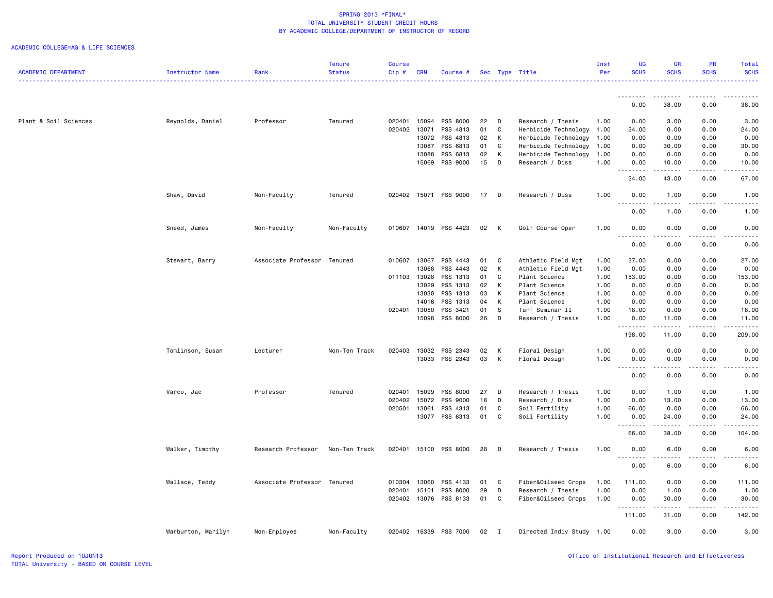|                            |                    |                             | <b>Tenure</b> | <b>Course</b> |            |                       |    |              |                           | Inst | UG                                                                                                                                                                                                                                                                                                                                                                                                                                                                                              | GR                                                                                                                    | PR.         | Total                                                                                                                                                        |
|----------------------------|--------------------|-----------------------------|---------------|---------------|------------|-----------------------|----|--------------|---------------------------|------|-------------------------------------------------------------------------------------------------------------------------------------------------------------------------------------------------------------------------------------------------------------------------------------------------------------------------------------------------------------------------------------------------------------------------------------------------------------------------------------------------|-----------------------------------------------------------------------------------------------------------------------|-------------|--------------------------------------------------------------------------------------------------------------------------------------------------------------|
| <b>ACADEMIC DEPARTMENT</b> | Instructor Name    | Rank                        | <b>Status</b> | Cip#          | <b>CRN</b> | Course #              |    |              | Sec Type Title            | Per  | <b>SCHS</b>                                                                                                                                                                                                                                                                                                                                                                                                                                                                                     | <b>SCHS</b>                                                                                                           | <b>SCHS</b> | <b>SCHS</b>                                                                                                                                                  |
|                            |                    |                             |               |               |            |                       |    |              |                           |      |                                                                                                                                                                                                                                                                                                                                                                                                                                                                                                 |                                                                                                                       |             | دعاعات                                                                                                                                                       |
|                            |                    |                             |               |               |            |                       |    |              |                           |      | . <b>.</b>                                                                                                                                                                                                                                                                                                                                                                                                                                                                                      | .                                                                                                                     | .           | .                                                                                                                                                            |
|                            |                    |                             |               |               |            |                       |    |              |                           |      | 0.00                                                                                                                                                                                                                                                                                                                                                                                                                                                                                            | 38.00                                                                                                                 | 0.00        | 38.00                                                                                                                                                        |
| Plant & Soil Sciences      | Reynolds, Daniel   | Professor                   | Tenured       | 020401        | 15094      | PSS 8000              | 22 | D            | Research / Thesis         | 1.00 | 0.00                                                                                                                                                                                                                                                                                                                                                                                                                                                                                            | 3.00                                                                                                                  | 0.00        | 3.00                                                                                                                                                         |
|                            |                    |                             |               | 020402        | 13071      | PSS 4813              | 01 | C            | Herbicide Technology      | 1.00 | 24.00                                                                                                                                                                                                                                                                                                                                                                                                                                                                                           | 0.00                                                                                                                  | 0.00        | 24.00                                                                                                                                                        |
|                            |                    |                             |               |               | 13072      | PSS 4813              | 02 | K            | Herbicide Technology      | 1.00 | 0.00                                                                                                                                                                                                                                                                                                                                                                                                                                                                                            | 0.00                                                                                                                  | 0.00        | 0.00                                                                                                                                                         |
|                            |                    |                             |               |               | 13087      | PSS 6813              | 01 | C            | Herbicide Technology      | 1.00 | 0.00                                                                                                                                                                                                                                                                                                                                                                                                                                                                                            | 30.00                                                                                                                 | 0.00        | 30.00                                                                                                                                                        |
|                            |                    |                             |               |               | 13088      | PSS 6813              | 02 | K            | Herbicide Technology      | 1.00 | 0.00                                                                                                                                                                                                                                                                                                                                                                                                                                                                                            | 0.00                                                                                                                  | 0.00        | 0.00                                                                                                                                                         |
|                            |                    |                             |               |               | 15069      | PSS 9000              | 15 | D            | Research / Diss           | 1.00 | 0.00                                                                                                                                                                                                                                                                                                                                                                                                                                                                                            | 10.00                                                                                                                 | 0.00        | 10.00                                                                                                                                                        |
|                            |                    |                             |               |               |            |                       |    |              |                           |      | .<br>24.00                                                                                                                                                                                                                                                                                                                                                                                                                                                                                      | .<br>43.00                                                                                                            | .<br>0.00   | $- - - - -$<br>67.00                                                                                                                                         |
|                            |                    |                             |               |               |            |                       |    |              |                           |      |                                                                                                                                                                                                                                                                                                                                                                                                                                                                                                 |                                                                                                                       |             |                                                                                                                                                              |
|                            | Shaw, David        | Non-Faculty                 | Tenured       |               |            | 020402 15071 PSS 9000 | 17 | $\mathsf{D}$ | Research / Diss           | 1.00 | 0.00<br>.                                                                                                                                                                                                                                                                                                                                                                                                                                                                                       | 1.00                                                                                                                  | 0.00        | 1.00<br>$- - - - -$                                                                                                                                          |
|                            |                    |                             |               |               |            |                       |    |              |                           |      | 0.00                                                                                                                                                                                                                                                                                                                                                                                                                                                                                            | 1.00                                                                                                                  | 0.00        | 1.00                                                                                                                                                         |
|                            | Sneed, James       | Non-Faculty                 | Non-Faculty   | 010607        |            | 14019 PSS 4423        | 02 | K            | Golf Course Oper          | 1.00 | 0.00                                                                                                                                                                                                                                                                                                                                                                                                                                                                                            | 0.00                                                                                                                  | 0.00        | 0.00                                                                                                                                                         |
|                            |                    |                             |               |               |            |                       |    |              |                           |      | .                                                                                                                                                                                                                                                                                                                                                                                                                                                                                               |                                                                                                                       |             |                                                                                                                                                              |
|                            |                    |                             |               |               |            |                       |    |              |                           |      | 0.00                                                                                                                                                                                                                                                                                                                                                                                                                                                                                            | 0.00                                                                                                                  | 0.00        | 0.00                                                                                                                                                         |
|                            | Stewart, Barry     | Associate Professor Tenured |               | 010607        | 13067      | PSS 4443              | 01 | C            | Athletic Field Mgt        | 1.00 | 27.00                                                                                                                                                                                                                                                                                                                                                                                                                                                                                           | 0.00                                                                                                                  | 0.00        | 27.00                                                                                                                                                        |
|                            |                    |                             |               |               | 13068      | PSS 4443              | 02 | K            | Athletic Field Mgt        | 1.00 | 0.00                                                                                                                                                                                                                                                                                                                                                                                                                                                                                            | 0.00                                                                                                                  | 0.00        | 0.00                                                                                                                                                         |
|                            |                    |                             |               | 011103        | 13028      | PSS 1313              | 01 | C            | Plant Science             | 1.00 | 153.00                                                                                                                                                                                                                                                                                                                                                                                                                                                                                          | 0.00                                                                                                                  | 0.00        | 153.00                                                                                                                                                       |
|                            |                    |                             |               |               | 13029      | PSS 1313              | 02 | K            | Plant Science             | 1.00 | 0.00                                                                                                                                                                                                                                                                                                                                                                                                                                                                                            | 0.00                                                                                                                  | 0.00        | 0.00                                                                                                                                                         |
|                            |                    |                             |               |               | 13030      | PSS 1313              | 03 | K            | Plant Science             | 1.00 | 0.00                                                                                                                                                                                                                                                                                                                                                                                                                                                                                            | 0.00                                                                                                                  | 0.00        | 0.00                                                                                                                                                         |
|                            |                    |                             |               |               | 14016      | PSS 1313              | 04 | K            | Plant Science             | 1.00 | 0.00                                                                                                                                                                                                                                                                                                                                                                                                                                                                                            | 0.00                                                                                                                  | 0.00        | 0.00                                                                                                                                                         |
|                            |                    |                             |               | 020401        | 13050      | PSS 3421              | 01 | s            | Turf Seminar II           | 1.00 | 18.00                                                                                                                                                                                                                                                                                                                                                                                                                                                                                           | 0.00                                                                                                                  | 0.00        | 18.00                                                                                                                                                        |
|                            |                    |                             |               |               | 15098      | PSS 8000              | 26 | $\mathsf{D}$ | Research / Thesis         | 1.00 | 0.00                                                                                                                                                                                                                                                                                                                                                                                                                                                                                            | 11.00                                                                                                                 | 0.00        | 11.00                                                                                                                                                        |
|                            |                    |                             |               |               |            |                       |    |              |                           |      | .<br>198.00                                                                                                                                                                                                                                                                                                                                                                                                                                                                                     | .<br>11.00                                                                                                            | .<br>0.00   | .<br>209.00                                                                                                                                                  |
|                            |                    |                             |               |               |            |                       |    |              |                           |      |                                                                                                                                                                                                                                                                                                                                                                                                                                                                                                 |                                                                                                                       |             |                                                                                                                                                              |
|                            | Tomlinson, Susan   | Lecturer                    | Non-Ten Track | 020403        | 13032      | PSS 2343              | 02 | K            | Floral Design             | 1.00 | 0.00                                                                                                                                                                                                                                                                                                                                                                                                                                                                                            | 0.00                                                                                                                  | 0.00        | 0.00                                                                                                                                                         |
|                            |                    |                             |               |               | 13033      | PSS 2343              | 03 | K            | Floral Design             | 1.00 | 0.00                                                                                                                                                                                                                                                                                                                                                                                                                                                                                            | 0.00<br>$\mathbf{1} \cdot \mathbf{1} \cdot \mathbf{1} \cdot \mathbf{1} \cdot \mathbf{1} \cdot \mathbf{1}$             | 0.00<br>.   | 0.00<br>$\frac{1}{2} \left( \frac{1}{2} \right) \left( \frac{1}{2} \right) \left( \frac{1}{2} \right) \left( \frac{1}{2} \right) \left( \frac{1}{2} \right)$ |
|                            |                    |                             |               |               |            |                       |    |              |                           |      | 0.00                                                                                                                                                                                                                                                                                                                                                                                                                                                                                            | 0.00                                                                                                                  | 0.00        | 0.00                                                                                                                                                         |
|                            | Varco, Jac         | Professor                   | Tenured       | 020401        | 15099      | PSS 8000              | 27 | D            | Research / Thesis         | 1.00 | 0.00                                                                                                                                                                                                                                                                                                                                                                                                                                                                                            | 1.00                                                                                                                  | 0.00        | 1.00                                                                                                                                                         |
|                            |                    |                             |               | 020402        | 15072      | PSS 9000              | 18 | D            | Research / Diss           | 1.00 | 0.00                                                                                                                                                                                                                                                                                                                                                                                                                                                                                            | 13.00                                                                                                                 | 0.00        | 13.00                                                                                                                                                        |
|                            |                    |                             |               | 020501        | 13061      | PSS 4313              | 01 | C            | Soil Fertility            | 1.00 | 66.00                                                                                                                                                                                                                                                                                                                                                                                                                                                                                           | 0.00                                                                                                                  | 0.00        | 66.00                                                                                                                                                        |
|                            |                    |                             |               |               | 13077      | PSS 6313              | 01 | C            | Soil Fertility            | 1.00 | 0.00                                                                                                                                                                                                                                                                                                                                                                                                                                                                                            | 24.00                                                                                                                 | 0.00        | 24.00                                                                                                                                                        |
|                            |                    |                             |               |               |            |                       |    |              |                           |      | $\begin{array}{cccccccccccccc} \multicolumn{2}{c}{} & \multicolumn{2}{c}{} & \multicolumn{2}{c}{} & \multicolumn{2}{c}{} & \multicolumn{2}{c}{} & \multicolumn{2}{c}{} & \multicolumn{2}{c}{} & \multicolumn{2}{c}{} & \multicolumn{2}{c}{} & \multicolumn{2}{c}{} & \multicolumn{2}{c}{} & \multicolumn{2}{c}{} & \multicolumn{2}{c}{} & \multicolumn{2}{c}{} & \multicolumn{2}{c}{} & \multicolumn{2}{c}{} & \multicolumn{2}{c}{} & \multicolumn{2}{c}{} & \multicolumn{2}{c}{} & \$<br>66.00 | .<br>38.00                                                                                                            | .<br>0.00   | .<br>104.00                                                                                                                                                  |
|                            |                    |                             |               |               |            |                       |    |              |                           |      |                                                                                                                                                                                                                                                                                                                                                                                                                                                                                                 |                                                                                                                       |             |                                                                                                                                                              |
|                            | Walker, Timothy    | Research Professor          | Non-Ten Track | 020401        |            | 15100 PSS 8000        | 28 | D            | Research / Thesis         | 1.00 | 0.00                                                                                                                                                                                                                                                                                                                                                                                                                                                                                            | 6.00                                                                                                                  | 0.00        | 6.00                                                                                                                                                         |
|                            |                    |                             |               |               |            |                       |    |              |                           |      | 0.00                                                                                                                                                                                                                                                                                                                                                                                                                                                                                            | 6.00                                                                                                                  | 0.00        | 6.00                                                                                                                                                         |
|                            | Wallace, Teddy     | Associate Professor Tenured |               | 010304        | 13060      | PSS 4133              | 01 | C            | Fiber&Oilseed Crops       | 1.00 | 111.00                                                                                                                                                                                                                                                                                                                                                                                                                                                                                          | 0.00                                                                                                                  | 0.00        | 111.00                                                                                                                                                       |
|                            |                    |                             |               | 020401        | 15101      | PSS 8000              | 29 | D            | Research / Thesis         | 1.00 | 0.00                                                                                                                                                                                                                                                                                                                                                                                                                                                                                            | 1.00                                                                                                                  | 0.00        | 1.00                                                                                                                                                         |
|                            |                    |                             |               |               |            | 020402 13076 PSS 6133 | 01 | C            | Fiber&Oilseed Crops       | 1.00 | 0.00                                                                                                                                                                                                                                                                                                                                                                                                                                                                                            | 30.00                                                                                                                 | 0.00        | 30.00                                                                                                                                                        |
|                            |                    |                             |               |               |            |                       |    |              |                           |      | <b></b>                                                                                                                                                                                                                                                                                                                                                                                                                                                                                         | $\begin{array}{cccccccccc} \bullet & \bullet & \bullet & \bullet & \bullet & \bullet & \bullet & \bullet \end{array}$ | $- - - - -$ | .                                                                                                                                                            |
|                            |                    |                             |               |               |            |                       |    |              |                           |      | 111.00                                                                                                                                                                                                                                                                                                                                                                                                                                                                                          | 31.00                                                                                                                 | 0.00        | 142.00                                                                                                                                                       |
|                            | Warburton, Marilyn | Non-Employee                | Non-Faculty   | 020402        |            | 16339 PSS 7000        | 02 | $\mathbf{I}$ | Directed Indiv Study 1.00 |      | 0.00                                                                                                                                                                                                                                                                                                                                                                                                                                                                                            | 3.00                                                                                                                  | 0.00        | 3.00                                                                                                                                                         |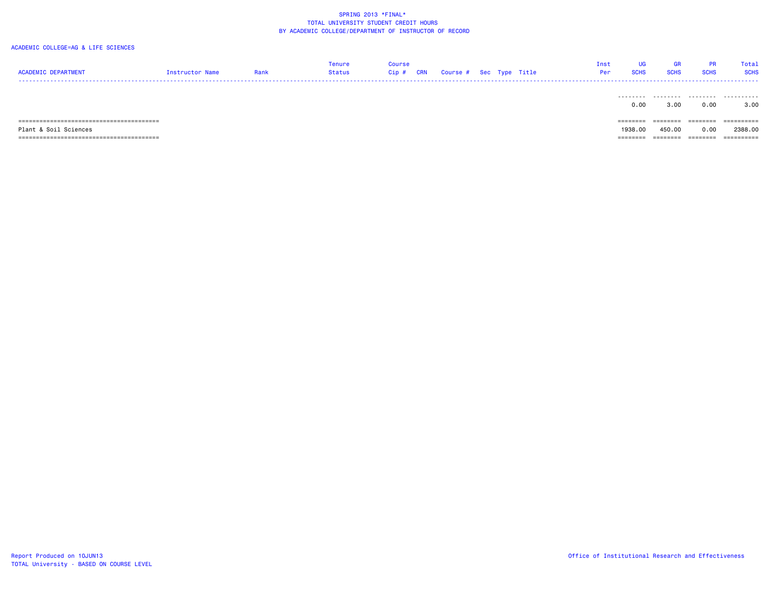| <b>ACADEMIC DEPARTMENT</b> | Instructor Name | Rank | Tenure<br>Status | Course<br>CRN<br>Cip# | Course # Sec Type Title |  | Inst<br>Per | UGi<br><b>SCHS</b> | <b>GR</b><br><b>SCHS</b> | <b>PR</b><br><b>SCHS</b> | Total<br><b>SCHS</b> |
|----------------------------|-----------------|------|------------------|-----------------------|-------------------------|--|-------------|--------------------|--------------------------|--------------------------|----------------------|
|                            |                 |      |                  |                       |                         |  |             | 0.00               | 3.00                     | 0.00                     | 3.00                 |
|                            |                 |      |                  |                       |                         |  |             | ========           | ========                 | ========                 | ==========           |
| Plant & Soil Sciences      |                 |      |                  |                       |                         |  |             | 1938,00            | 450.00                   | 0.00                     | 2388,00              |
|                            |                 |      |                  |                       |                         |  |             | ========           | ========                 | ========                 | ==========           |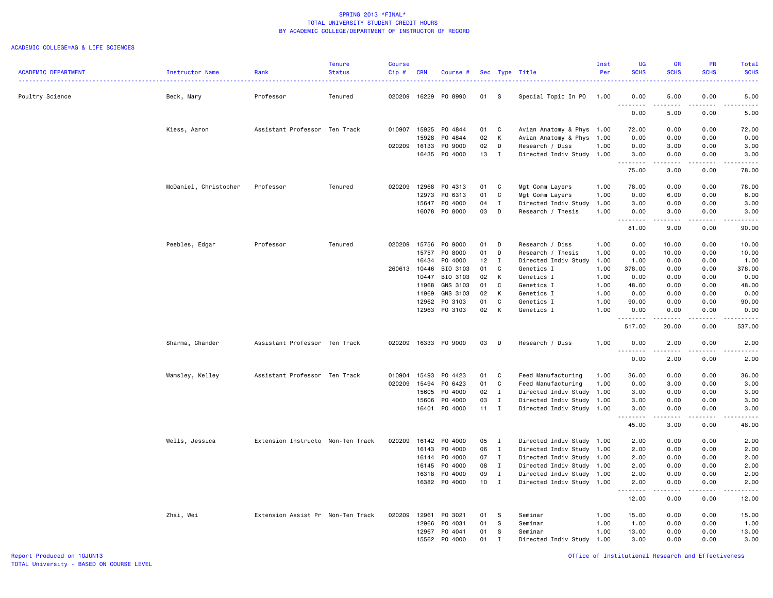|                            |                       |                                   | <b>Tenure</b> | <b>Course</b> |            |               |        |              |                                                        | Inst | <b>UG</b>                                                                                                                        | <b>GR</b>                                                                                                                                            | <b>PR</b>                    | Total                                                                                                                                                |
|----------------------------|-----------------------|-----------------------------------|---------------|---------------|------------|---------------|--------|--------------|--------------------------------------------------------|------|----------------------------------------------------------------------------------------------------------------------------------|------------------------------------------------------------------------------------------------------------------------------------------------------|------------------------------|------------------------------------------------------------------------------------------------------------------------------------------------------|
| <b>ACADEMIC DEPARTMENT</b> | Instructor Name       | Rank                              | <b>Status</b> | Cip#          | <b>CRN</b> | Course #      |        |              | Sec Type Title                                         | Per  | <b>SCHS</b>                                                                                                                      | <b>SCHS</b>                                                                                                                                          | <b>SCHS</b>                  | <b>SCHS</b>                                                                                                                                          |
|                            |                       |                                   |               |               |            |               |        |              |                                                        |      |                                                                                                                                  |                                                                                                                                                      |                              |                                                                                                                                                      |
|                            |                       |                                   |               |               |            |               |        |              |                                                        |      |                                                                                                                                  |                                                                                                                                                      |                              |                                                                                                                                                      |
| Poultry Science            | Beck, Mary            | Professor                         | Tenured       | 020209        | 16229      | PO 8990       | 01     | S.           | Special Topic In PO                                    | 1.00 | 0.00<br>$\sim$ $\sim$ $\sim$ $\sim$                                                                                              | 5.00<br>.                                                                                                                                            | 0.00<br>$\sim$ $\sim$ $\sim$ | 5.00<br>.                                                                                                                                            |
|                            |                       |                                   |               |               |            |               |        |              |                                                        |      | 0.00                                                                                                                             | 5.00                                                                                                                                                 | 0.00                         | 5.00                                                                                                                                                 |
|                            |                       |                                   |               |               |            |               |        |              |                                                        |      |                                                                                                                                  |                                                                                                                                                      |                              |                                                                                                                                                      |
|                            | Kiess, Aaron          | Assistant Professor Ten Track     |               | 010907        | 15925      | PO 4844       | 01     | C            | Avian Anatomy & Phys 1.00                              |      | 72.00                                                                                                                            | 0.00                                                                                                                                                 | 0.00                         | 72.00                                                                                                                                                |
|                            |                       |                                   |               |               | 15928      | PO 4844       | 02     | K            | Avian Anatomy & Phys                                   | 1.00 | 0.00                                                                                                                             | 0.00                                                                                                                                                 | 0.00                         | 0.00                                                                                                                                                 |
|                            |                       |                                   |               | 020209        | 16133      | P0 9000       | 02     | D            | Research / Diss                                        | 1.00 | 0.00                                                                                                                             | 3.00                                                                                                                                                 | 0.00                         | 3.00                                                                                                                                                 |
|                            |                       |                                   |               |               | 16435      | P0 4000       | 13     | $\mathbf{I}$ | Directed Indiv Study 1.00                              |      | 3.00                                                                                                                             | 0.00                                                                                                                                                 | 0.00                         | 3.00                                                                                                                                                 |
|                            |                       |                                   |               |               |            |               |        |              |                                                        |      | .                                                                                                                                | د د د د د                                                                                                                                            | .                            | .                                                                                                                                                    |
|                            |                       |                                   |               |               |            |               |        |              |                                                        |      | 75.00                                                                                                                            | 3.00                                                                                                                                                 | 0.00                         | 78.00                                                                                                                                                |
|                            | McDaniel, Christopher | Professor                         | Tenured       | 020209        | 12968      | PO 4313       | 01     | C            | Mgt Comm Layers                                        | 1.00 | 78.00                                                                                                                            | 0.00                                                                                                                                                 | 0.00                         | 78.00                                                                                                                                                |
|                            |                       |                                   |               |               | 12973      | PO 6313       | 01     | C            | Mgt Comm Layers                                        | 1.00 | 0.00                                                                                                                             | 6.00                                                                                                                                                 | 0.00                         | 6.00                                                                                                                                                 |
|                            |                       |                                   |               |               | 15647      | P0 4000       | 04     | $\mathbf{I}$ | Directed Indiv Study                                   | 1.00 | 3.00                                                                                                                             | 0.00                                                                                                                                                 | 0.00                         | 3.00                                                                                                                                                 |
|                            |                       |                                   |               |               | 16078      | PO 8000       | 03     | D            | Research / Thesis                                      | 1.00 | 0.00                                                                                                                             | 3.00                                                                                                                                                 | 0.00                         | 3.00                                                                                                                                                 |
|                            |                       |                                   |               |               |            |               |        |              |                                                        |      | $\frac{1}{2}$<br>$\begin{array}{cccccccccccccc} \bullet & \bullet & \bullet & \bullet & \bullet & \bullet & \bullet \end{array}$ | .                                                                                                                                                    | .                            | والمستحدث                                                                                                                                            |
|                            |                       |                                   |               |               |            |               |        |              |                                                        |      | 81.00                                                                                                                            | 9.00                                                                                                                                                 | 0.00                         | 90.00                                                                                                                                                |
|                            |                       |                                   |               |               |            |               |        |              |                                                        |      |                                                                                                                                  |                                                                                                                                                      |                              |                                                                                                                                                      |
|                            | Peebles, Edgar        | Professor                         | Tenured       | 020209        | 15756      | P0 9000       | 01     | D            | Research / Diss                                        | 1.00 | 0.00                                                                                                                             | 10.00                                                                                                                                                | 0.00                         | 10.00                                                                                                                                                |
|                            |                       |                                   |               |               | 15757      | P0 8000       | 01     | D            | Research / Thesis                                      | 1.00 | 0.00                                                                                                                             | 10.00                                                                                                                                                | 0.00                         | 10.00                                                                                                                                                |
|                            |                       |                                   |               |               | 16434      | P0 4000       | 12     | $\mathbf{I}$ | Directed Indiv Study                                   | 1.00 | 1.00                                                                                                                             | 0.00                                                                                                                                                 | 0.00                         | 1.00                                                                                                                                                 |
|                            |                       |                                   |               | 260613 10446  |            | BIO 3103      | 01     | C            | Genetics I                                             | 1.00 | 378.00                                                                                                                           | 0.00                                                                                                                                                 | 0.00                         | 378.00                                                                                                                                               |
|                            |                       |                                   |               |               | 10447      | BIO 3103      | 02     | K            | Genetics I                                             | 1.00 | 0.00                                                                                                                             | 0.00                                                                                                                                                 | 0.00                         | 0.00                                                                                                                                                 |
|                            |                       |                                   |               |               | 11968      | GNS 3103      | 01     | C            | Genetics I                                             | 1.00 | 48.00                                                                                                                            | 0.00                                                                                                                                                 | 0.00                         | 48.00                                                                                                                                                |
|                            |                       |                                   |               |               | 11969      | GNS 3103      | 02     | K            | Genetics I                                             | 1.00 | 0.00                                                                                                                             | 0.00                                                                                                                                                 | 0.00                         | 0.00                                                                                                                                                 |
|                            |                       |                                   |               |               | 12962      | PO 3103       | 01     | C            | Genetics I                                             | 1.00 | 90.00                                                                                                                            | 0.00                                                                                                                                                 | 0.00                         | 90.00                                                                                                                                                |
|                            |                       |                                   |               |               | 12963      | PO 3103       | 02     | K            | Genetics I                                             | 1.00 | 0.00                                                                                                                             | 0.00                                                                                                                                                 | 0.00                         | 0.00                                                                                                                                                 |
|                            |                       |                                   |               |               |            |               |        |              |                                                        |      |                                                                                                                                  | .                                                                                                                                                    | .                            | .                                                                                                                                                    |
|                            |                       |                                   |               |               |            |               |        |              |                                                        |      | 517.00                                                                                                                           | 20.00                                                                                                                                                | 0.00                         | 537.00                                                                                                                                               |
|                            | Sharma, Chander       | Assistant Professor Ten Track     |               | 020209        | 16333      | PO 9000       | 03     | D            | Research / Diss                                        | 1.00 | 0.00                                                                                                                             | 2.00                                                                                                                                                 | 0.00                         | 2.00                                                                                                                                                 |
|                            |                       |                                   |               |               |            |               |        |              |                                                        |      | .                                                                                                                                | $\frac{1}{2} \left( \frac{1}{2} \right) \left( \frac{1}{2} \right) \left( \frac{1}{2} \right) \left( \frac{1}{2} \right) \left( \frac{1}{2} \right)$ | $\sim$ $\sim$ $\sim$         | $\frac{1}{2} \left( \frac{1}{2} \right) \left( \frac{1}{2} \right) \left( \frac{1}{2} \right) \left( \frac{1}{2} \right) \left( \frac{1}{2} \right)$ |
|                            |                       |                                   |               |               |            |               |        |              |                                                        |      | 0.00                                                                                                                             | 2.00                                                                                                                                                 | 0.00                         | 2.00                                                                                                                                                 |
|                            |                       |                                   |               |               |            |               |        |              |                                                        |      |                                                                                                                                  |                                                                                                                                                      |                              |                                                                                                                                                      |
|                            | Wamsley, Kelley       | Assistant Professor Ten Track     |               | 010904        | 15493      | PO 4423       | 01     | C            | Feed Manufacturing                                     | 1.00 | 36.00                                                                                                                            | 0.00                                                                                                                                                 | 0.00                         | 36.00                                                                                                                                                |
|                            |                       |                                   |               | 020209        | 15494      | PO 6423       | 01     | C            | Feed Manufacturing                                     | 1.00 | 0.00                                                                                                                             | 3.00                                                                                                                                                 | 0.00                         | 3.00                                                                                                                                                 |
|                            |                       |                                   |               |               | 15605      | P0 4000       | 02     | I            | Directed Indiv Study 1.00                              |      | 3.00                                                                                                                             | 0.00                                                                                                                                                 | 0.00                         | 3.00                                                                                                                                                 |
|                            |                       |                                   |               |               | 15606      | P0 4000       | 03     | $\mathbf{I}$ | Directed Indiv Study 1.00                              |      | 3.00                                                                                                                             | 0.00                                                                                                                                                 | 0.00                         | 3.00                                                                                                                                                 |
|                            |                       |                                   |               |               | 16401      | P0 4000       | 11     | $\mathbf{I}$ | Directed Indiv Study                                   | 1.00 | 3.00                                                                                                                             | 0.00                                                                                                                                                 | 0.00                         | 3.00                                                                                                                                                 |
|                            |                       |                                   |               |               |            |               |        |              |                                                        |      | <u>.</u>                                                                                                                         | .                                                                                                                                                    | $\sim$ $\sim$ $\sim$ $\sim$  | $\sim$ $\sim$ $\sim$ $\sim$ $\sim$                                                                                                                   |
|                            |                       |                                   |               |               |            |               |        |              |                                                        |      | 45.00                                                                                                                            | 3.00                                                                                                                                                 | 0.00                         | 48.00                                                                                                                                                |
|                            |                       | Extension Instructo Non-Ten Track |               | 020209        | 16142      | P0 4000       | 05 I   |              |                                                        |      | 2.00                                                                                                                             | 0.00                                                                                                                                                 | 0.00                         | 2.00                                                                                                                                                 |
|                            | Wells, Jessica        |                                   |               |               | 16143      | P0 4000       | 06     | $\mathbf{I}$ | Directed Indiv Study 1.00<br>Directed Indiv Study 1.00 |      | 2.00                                                                                                                             | 0.00                                                                                                                                                 | 0.00                         | 2.00                                                                                                                                                 |
|                            |                       |                                   |               |               | 16144      | P0 4000       | 07     | $\mathbf{I}$ | Directed Indiv Study 1.00                              |      | 2.00                                                                                                                             | 0.00                                                                                                                                                 | 0.00                         | 2.00                                                                                                                                                 |
|                            |                       |                                   |               |               | 16145      | P0 4000       | 08     | $\mathbf{I}$ | Directed Indiv Study 1.00                              |      | 2.00                                                                                                                             | 0.00                                                                                                                                                 | 0.00                         | 2.00                                                                                                                                                 |
|                            |                       |                                   |               |               | 16318      | P0 4000       | 09     | $\mathbf{I}$ | Directed Indiv Study 1.00                              |      | 2.00                                                                                                                             | 0.00                                                                                                                                                 | 0.00                         | 2.00                                                                                                                                                 |
|                            |                       |                                   |               |               |            | 16382 PO 4000 | $10$ I |              | Directed Indiv Study 1.00                              |      | 2.00                                                                                                                             | 0.00                                                                                                                                                 | 0.00                         | 2.00                                                                                                                                                 |
|                            |                       |                                   |               |               |            |               |        |              |                                                        |      | $\frac{1}{2}$                                                                                                                    | .                                                                                                                                                    | $- - - -$                    | $- - - -$                                                                                                                                            |
|                            |                       |                                   |               |               |            |               |        |              |                                                        |      | 12.00                                                                                                                            | 0.00                                                                                                                                                 | 0.00                         | 12.00                                                                                                                                                |
|                            |                       |                                   |               |               |            |               |        |              |                                                        |      |                                                                                                                                  |                                                                                                                                                      |                              |                                                                                                                                                      |
|                            | Zhai, Wei             | Extension Assist Pr Non-Ten Track |               | 020209        | 12961      | PO 3021       | 01     | - S          | Seminar                                                | 1.00 | 15.00                                                                                                                            | 0.00                                                                                                                                                 | 0.00                         | 15.00                                                                                                                                                |
|                            |                       |                                   |               |               | 12966      | PO 4031       | 01     | S            | Seminar                                                | 1.00 | 1.00                                                                                                                             | 0.00                                                                                                                                                 | 0.00                         | 1.00                                                                                                                                                 |
|                            |                       |                                   |               |               | 12967      | PO 4041       | 01     | S.           | Seminar                                                | 1.00 | 13.00                                                                                                                            | 0.00                                                                                                                                                 | 0.00                         | 13.00                                                                                                                                                |
|                            |                       |                                   |               |               | 15562      | P0 4000       | 01     | $\mathbf{I}$ | Directed Indiv Study 1.00                              |      | 3.00                                                                                                                             | 0.00                                                                                                                                                 | 0.00                         | 3.00                                                                                                                                                 |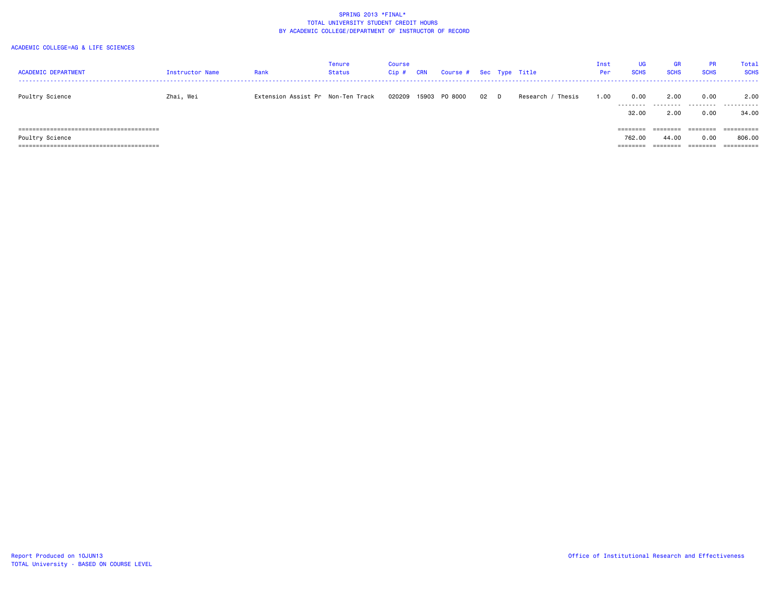| <b>ACADEMIC DEPARTMENT</b> | Instructor Name | Rank                              | Tenure<br>Status | Course<br>$Cip$ # | <b>CRN</b> | Course # Sec Type Title |      |                      | Inst<br>Per | UG<br><b>SCHS</b>              | <b>GR</b><br><b>SCHS</b>      | <b>PR</b><br><b>SCHS</b>     | Total<br><b>SCHS</b>               |
|----------------------------|-----------------|-----------------------------------|------------------|-------------------|------------|-------------------------|------|----------------------|-------------|--------------------------------|-------------------------------|------------------------------|------------------------------------|
| Poultry Science            | Zhai, Wei       | Extension Assist Pr Non-Ten Track |                  | 020209            | 15903      | PO 8000                 | 02 D | Thesis<br>Research / | 1.00        | 0.00<br>---------<br>32.00     | 2.00<br>.<br>2.00             | 0.00<br>0.00                 | 2.00<br>34.00                      |
| Poultry Science            |                 |                                   |                  |                   |            |                         |      |                      |             | ========<br>762.00<br>======== | ========<br>44.00<br>======== | ========<br>0.00<br>======== | ==========<br>806,00<br>========== |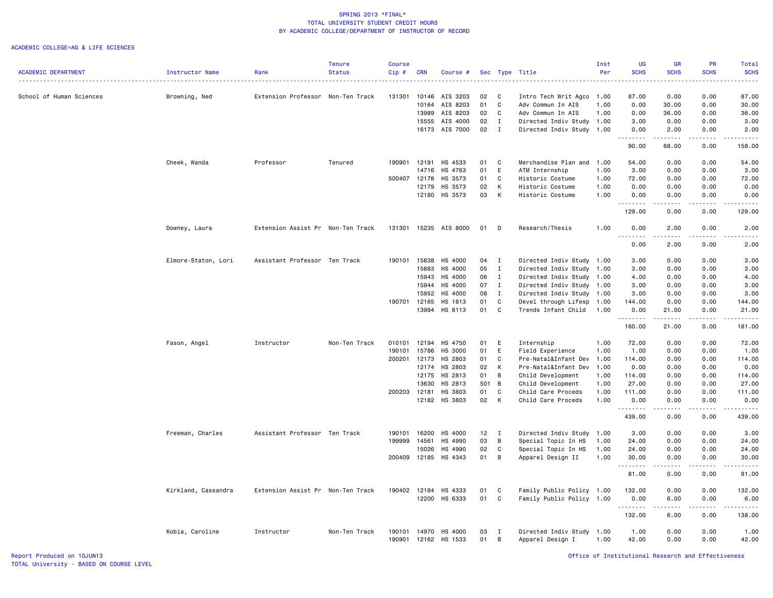|                            |                        |                                   | <b>Tenure</b> | <b>Course</b>    |            |                          |          |                   |                                               | Inst | <b>UG</b>            | <b>GR</b>    | PR                                                                                                                                | Total            |
|----------------------------|------------------------|-----------------------------------|---------------|------------------|------------|--------------------------|----------|-------------------|-----------------------------------------------|------|----------------------|--------------|-----------------------------------------------------------------------------------------------------------------------------------|------------------|
| <b>ACADEMIC DEPARTMENT</b> | <b>Instructor Name</b> | Rank                              | <b>Status</b> | Cip#             | <b>CRN</b> | Course #                 |          | Sec Type          | Title                                         | Per  | <b>SCHS</b>          | <b>SCHS</b>  | <b>SCHS</b>                                                                                                                       | <b>SCHS</b><br>. |
|                            |                        |                                   |               |                  |            |                          |          |                   |                                               |      |                      |              |                                                                                                                                   |                  |
| School of Human Sciences   | Browning, Ned          | Extension Professor Non-Ten Track |               | 131301           | 10146      | AIS 3203                 | 02       | C                 | Intro Tech Writ Agco                          | 1.00 | 87.00                | 0.00         | 0.00                                                                                                                              | 87.00            |
|                            |                        |                                   |               |                  | 10164      | AIS 8203                 | 01       | C                 | Adv Commun In AIS                             | 1.00 | 0.00                 | 30.00        | 0.00                                                                                                                              | 30.00            |
|                            |                        |                                   |               |                  | 13989      | AIS 8203                 | 02       | C                 | Adv Commun In AIS                             | 1.00 | 0.00                 | 36.00        | 0.00                                                                                                                              | 36.00            |
|                            |                        |                                   |               |                  | 15555      | AIS 4000                 | 02       | $\mathbf{I}$      | Directed Indiv Study 1.00                     |      | 3.00                 | 0.00         | 0.00                                                                                                                              | 3.00             |
|                            |                        |                                   |               |                  |            | 16173 AIS 7000           | 02       | $\mathbf{I}$      | Directed Indiv Study 1.00                     |      | 0.00<br>.            | 2.00<br>.    | 0.00<br>.                                                                                                                         | 2.00<br>.        |
|                            |                        |                                   |               |                  |            |                          |          |                   |                                               |      | 90.00                | 68.00        | 0.00                                                                                                                              | 158.00           |
|                            | Cheek, Wanda           | Professor                         | Tenured       | 190901           | 12191      | HS 4533                  | 01       | C                 | Merchandise Plan and                          | 1.00 | 54.00                | 0.00         | 0.00                                                                                                                              | 54.00            |
|                            |                        |                                   |               |                  | 14716      | HS 4763                  | 01       | E                 | ATM Internship                                | 1.00 | 3.00                 | 0.00         | 0.00                                                                                                                              | 3.00             |
|                            |                        |                                   |               | 500407           | 12178      | HS 3573                  | 01       | $\mathtt{C}$      | Historic Costume                              | 1.00 | 72.00                | 0.00         | 0.00                                                                                                                              | 72.00            |
|                            |                        |                                   |               |                  | 12179      | HS 3573                  | 02       | К                 | Historic Costume                              | 1.00 | 0.00                 | 0.00         | 0.00                                                                                                                              | 0.00             |
|                            |                        |                                   |               |                  | 12180      | HS 3573                  | 03       | К                 | Historic Costume                              | 1.00 | 0.00<br>.            | 0.00<br>.    | 0.00<br>$\sim$ $\sim$ $\sim$ $\sim$                                                                                               | 0.00<br>.        |
|                            |                        |                                   |               |                  |            |                          |          |                   |                                               |      | 129.00               | 0.00         | 0.00                                                                                                                              | 129.00           |
|                            | Downey, Laura          | Extension Assist Pr Non-Ten Track |               | 131301           |            | 15235 AIS 8000           | 01       | D                 | Research/Thesis                               | 1.00 | 0.00                 | 2.00         | 0.00                                                                                                                              | 2.00             |
|                            |                        |                                   |               |                  |            |                          |          |                   |                                               |      | 0.00                 | 2.00         | 0.00                                                                                                                              | 2.00             |
|                            | Elmore-Staton, Lori    | Assistant Professor Ten Track     |               | 190101           | 15838      | HS 4000                  | 04       | $\mathbf{I}$      | Directed Indiv Study 1.00                     |      | 3.00                 | 0.00         | 0.00                                                                                                                              | 3.00             |
|                            |                        |                                   |               |                  | 15883      | HS 4000                  | 05       | $\mathbf{I}$      | Directed Indiv Study 1.00                     |      | 3.00                 | 0.00         | 0.00                                                                                                                              | 3.00             |
|                            |                        |                                   |               |                  | 15943      | HS 4000                  | 06       | $\mathbf{I}$      | Directed Indiv Study 1.00                     |      | 4.00                 | 0.00         | 0.00                                                                                                                              | 4.00             |
|                            |                        |                                   |               |                  | 15944      | HS 4000                  | 07       | $\mathbf{I}$      | Directed Indiv Study 1.00                     |      | 3.00                 | 0.00         | 0.00                                                                                                                              | 3.00             |
|                            |                        |                                   |               |                  | 15952      | HS 4000                  | 08       | $\mathbf{I}$      | Directed Indiv Study 1.00                     |      | 3.00                 | 0.00         | 0.00                                                                                                                              | 3.00             |
|                            |                        |                                   |               | 190701           | 12165      | HS 1813                  | 01       | C                 | Devel through Lifesp                          | 1.00 | 144.00               | 0.00         | 0.00                                                                                                                              | 144.00           |
|                            |                        |                                   |               |                  | 13994      | HS 8113                  | 01       | C                 | Trends Infant Child 1.00                      |      | 0.00                 | 21.00        | 0.00                                                                                                                              | 21.00            |
|                            |                        |                                   |               |                  |            |                          |          |                   |                                               |      | .                    | .            | <u>.</u>                                                                                                                          | $- - - - - - -$  |
|                            |                        |                                   |               |                  |            |                          |          |                   |                                               |      | 160.00               | 21.00        | 0.00                                                                                                                              | 181.00           |
|                            | Fason, Angel           | Instructor                        | Non-Ten Track | 010101           | 12194      | HS 4750                  | 01       | E                 | Internship                                    | 1.00 | 72.00                | 0.00         | 0.00                                                                                                                              | 72.00            |
|                            |                        |                                   |               | 190101           | 15786      | HS 3000                  | 01       | E                 | Field Experience                              | 1.00 | 1.00                 | 0.00         | 0.00                                                                                                                              | 1.00             |
|                            |                        |                                   |               | 200201           | 12173      | HS 2803                  | 01       | C                 | Pre-Natal&Infant Dev                          | 1.00 | 114.00               | 0.00         | 0.00                                                                                                                              | 114.00           |
|                            |                        |                                   |               |                  | 12174      | HS 2803                  | 02       | К                 | Pre-Natal&Infant Dev                          | 1.00 | 0.00                 | 0.00         | 0.00                                                                                                                              | 0.00             |
|                            |                        |                                   |               |                  | 12175      | HS 2813                  | 01       | В                 | Child Development                             | 1.00 | 114.00               | 0.00         | 0.00                                                                                                                              | 114.00           |
|                            |                        |                                   |               |                  | 13630      | HS 2813                  | 501      | B                 | Child Development                             | 1.00 | 27.00                | 0.00         | 0.00                                                                                                                              | 27.00            |
|                            |                        |                                   |               | 200203           | 12181      | HS 3803                  | 01       | C                 | Child Care Proceds                            | 1.00 | 111.00               | 0.00         | 0.00                                                                                                                              | 111.00           |
|                            |                        |                                   |               |                  |            | 12182 HS 3803            | 02       | К                 | Child Care Proceds                            | 1.00 | 0.00                 | 0.00         | 0.00                                                                                                                              | 0.00             |
|                            |                        |                                   |               |                  |            |                          |          |                   |                                               |      | .<br>439.00          | 0.00         | $\frac{1}{2} \left( \frac{1}{2} \right) \left( \frac{1}{2} \right) \left( \frac{1}{2} \right) \left( \frac{1}{2} \right)$<br>0.00 | .<br>439.00      |
|                            | Freeman, Charles       | Assistant Professor Ten Track     |               | 190101           | 16200      | HS 4000                  | 12       | $\mathbf{I}$      | Directed Indiv Study 1.00                     |      | 3.00                 | 0.00         | 0.00                                                                                                                              | 3.00             |
|                            |                        |                                   |               | 199999           | 14561      | HS 4990                  | 03       | В                 | Special Topic In HS                           | 1.00 | 24.00                | 0.00         | 0.00                                                                                                                              | 24.00            |
|                            |                        |                                   |               |                  | 15026      | HS 4990                  | 02       | C                 | Special Topic In HS                           | 1.00 | 24.00                | 0.00         | 0.00                                                                                                                              | 24.00            |
|                            |                        |                                   |               |                  |            | 200409 12185 HS 4343     | 01       | В                 | Apparel Design II                             | 1.00 | 30.00                | 0.00         | 0.00                                                                                                                              | 30.00            |
|                            |                        |                                   |               |                  |            |                          |          |                   |                                               |      | .<br>81.00           | .<br>0.00    | $\frac{1}{2} \left( \frac{1}{2} \right) \left( \frac{1}{2} \right) \left( \frac{1}{2} \right) \left( \frac{1}{2} \right)$<br>0.00 | .<br>81.00       |
|                            | Kirkland, Cassandra    | Extension Assist Pr Non-Ten Track |               | 190402           | 12184      | HS 4333                  | 01       | C                 | Family Public Policy 1.00                     |      | 132.00               | 0.00         | 0.00                                                                                                                              | 132.00           |
|                            |                        |                                   |               |                  | 12200      | HS 6333                  | 01       | $\mathtt{C}$      | Family Public Policy 1.00                     |      | 0.00                 | 6.00         | 0.00                                                                                                                              | 6.00             |
|                            |                        |                                   |               |                  |            |                          |          |                   |                                               |      | . <b>.</b><br>132.00 | .<br>6.00    | .<br>0.00                                                                                                                         | ------<br>138.00 |
|                            | Kobia, Caroline        | Instructor                        | Non-Ten Track | 190101<br>190901 | 14970      | HS 4000<br>12162 HS 1533 | 03<br>01 | $\mathbf{I}$<br>В | Directed Indiv Study 1.00<br>Apparel Design I | 1.00 | 1.00<br>42.00        | 0.00<br>0.00 | 0.00<br>0.00                                                                                                                      | 1.00<br>42.00    |
|                            |                        |                                   |               |                  |            |                          |          |                   |                                               |      |                      |              |                                                                                                                                   |                  |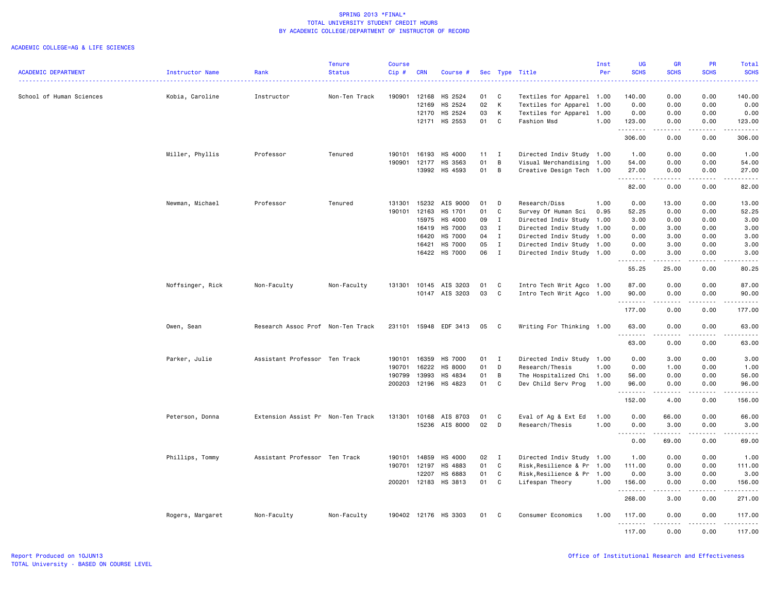|                            |                  |                                   | <b>Tenure</b> | Course       |            |                       |    |              |                            | Inst | <b>UG</b>                                                                                                                                                                            | <b>GR</b>             | <b>PR</b>                           | Total                                                                                                                                                                                     |
|----------------------------|------------------|-----------------------------------|---------------|--------------|------------|-----------------------|----|--------------|----------------------------|------|--------------------------------------------------------------------------------------------------------------------------------------------------------------------------------------|-----------------------|-------------------------------------|-------------------------------------------------------------------------------------------------------------------------------------------------------------------------------------------|
| <b>ACADEMIC DEPARTMENT</b> | Instructor Name  | Rank                              | <b>Status</b> | $Cip \#$     | <b>CRN</b> | Course #              |    |              | Sec Type Title             | Per  | <b>SCHS</b>                                                                                                                                                                          | <b>SCHS</b>           | <b>SCHS</b>                         | <b>SCHS</b><br>$\frac{1}{2} \left( \frac{1}{2} \right) \left( \frac{1}{2} \right) \left( \frac{1}{2} \right) \left( \frac{1}{2} \right)$                                                  |
|                            |                  |                                   |               |              |            |                       |    |              |                            |      |                                                                                                                                                                                      |                       |                                     |                                                                                                                                                                                           |
| School of Human Sciences   | Kobia, Caroline  | Instructor                        | Non-Ten Track | 190901       | 12168      | HS 2524               | 01 | C            | Textiles for Apparel 1.00  |      | 140.00                                                                                                                                                                               | 0.00                  | 0.00                                | 140.00                                                                                                                                                                                    |
|                            |                  |                                   |               |              | 12169      | HS 2524               | 02 | К            | Textiles for Apparel 1.00  |      | 0.00                                                                                                                                                                                 | 0.00                  | 0.00                                | 0.00                                                                                                                                                                                      |
|                            |                  |                                   |               |              | 12170      | HS 2524               | 03 | Κ            | Textiles for Apparel 1.00  |      | 0.00                                                                                                                                                                                 | 0.00                  | 0.00                                | 0.00                                                                                                                                                                                      |
|                            |                  |                                   |               |              | 12171      | HS 2553               | 01 | C            | Fashion Msd                | 1.00 | 123.00<br>.                                                                                                                                                                          | 0.00<br>.             | 0.00<br>.                           | 123.00<br>$\frac{1}{2} \left( \frac{1}{2} \right) \left( \frac{1}{2} \right) \left( \frac{1}{2} \right) \left( \frac{1}{2} \right) \left( \frac{1}{2} \right) \left( \frac{1}{2} \right)$ |
|                            |                  |                                   |               |              |            |                       |    |              |                            |      | 306.00                                                                                                                                                                               | 0.00                  | 0.00                                | 306.00                                                                                                                                                                                    |
|                            | Miller, Phyllis  | Professor                         | Tenured       | 190101       | 16193      | HS 4000               | 11 | $\mathbf{I}$ | Directed Indiv Study 1.00  |      | 1.00                                                                                                                                                                                 | 0.00                  | 0.00                                | 1.00                                                                                                                                                                                      |
|                            |                  |                                   |               | 190901       | 12177      | HS 3563               | 01 | В            | Visual Merchandising 1.00  |      | 54.00                                                                                                                                                                                | 0.00                  | 0.00                                | 54.00                                                                                                                                                                                     |
|                            |                  |                                   |               |              | 13992      | HS 4593               | 01 | B            | Creative Design Tech 1.00  |      | 27.00<br>$\frac{1}{2} \left( \frac{1}{2} \right) \left( \frac{1}{2} \right) \left( \frac{1}{2} \right) \left( \frac{1}{2} \right) \left( \frac{1}{2} \right)$                        | 0.00                  | 0.00<br>$\sim$ $\sim$ $\sim$        | 27.00<br>$\frac{1}{2} \left( \frac{1}{2} \right) \left( \frac{1}{2} \right) \left( \frac{1}{2} \right) \left( \frac{1}{2} \right)$                                                        |
|                            |                  |                                   |               |              |            |                       |    |              |                            |      | 82.00                                                                                                                                                                                | 0.00                  | 0.00                                | 82.00                                                                                                                                                                                     |
|                            | Newman, Michael  | Professor                         | Tenured       | 131301       | 15232      | AIS 9000              | 01 | D            | Research/Diss              | 1.00 | 0.00                                                                                                                                                                                 | 13.00                 | 0.00                                | 13.00                                                                                                                                                                                     |
|                            |                  |                                   |               | 190101       | 12163      | HS 1701               | 01 | C            | Survey Of Human Sci        | 0.95 | 52.25                                                                                                                                                                                | 0.00                  | 0.00                                | 52.25                                                                                                                                                                                     |
|                            |                  |                                   |               |              | 15975      | HS 4000               | 09 | $\mathbf{I}$ | Directed Indiv Study 1.00  |      | 3.00                                                                                                                                                                                 | 0.00                  | 0.00                                | 3.00                                                                                                                                                                                      |
|                            |                  |                                   |               |              | 16419      | HS 7000               | 03 | $\mathbf{I}$ | Directed Indiv Study 1.00  |      | 0.00                                                                                                                                                                                 | 3.00                  | 0.00                                | 3.00                                                                                                                                                                                      |
|                            |                  |                                   |               |              | 16420      | HS 7000               | 04 | $\mathbf{I}$ | Directed Indiv Study 1.00  |      | 0.00                                                                                                                                                                                 | 3.00                  | 0.00                                | 3.00                                                                                                                                                                                      |
|                            |                  |                                   |               |              | 16421      | HS 7000               | 05 | $\mathbf{I}$ | Directed Indiv Study 1.00  |      | 0.00                                                                                                                                                                                 | 3.00                  | 0.00                                | 3.00                                                                                                                                                                                      |
|                            |                  |                                   |               |              |            | 16422 HS 7000         | 06 | $\mathbf{I}$ | Directed Indiv Study 1.00  |      | 0.00                                                                                                                                                                                 | 3.00                  | 0.00                                | 3.00                                                                                                                                                                                      |
|                            |                  |                                   |               |              |            |                       |    |              |                            |      | 55.25                                                                                                                                                                                | 25.00                 | 0.00                                | -----<br>80.25                                                                                                                                                                            |
|                            |                  |                                   |               |              |            |                       |    |              |                            |      |                                                                                                                                                                                      |                       |                                     |                                                                                                                                                                                           |
|                            | Noffsinger, Rick | Non-Faculty                       | Non-Faculty   |              |            | 131301 10145 AIS 3203 | 01 | C            | Intro Tech Writ Agco 1.00  |      | 87.00                                                                                                                                                                                | 0.00                  | 0.00                                | 87.00                                                                                                                                                                                     |
|                            |                  |                                   |               |              |            | 10147 AIS 3203        | 03 | C            | Intro Tech Writ Agco 1.00  |      | 90.00<br>.                                                                                                                                                                           | 0.00<br>$\frac{1}{2}$ | 0.00<br>$\sim$ $\sim$ $\sim$ $\sim$ | 90.00<br>.                                                                                                                                                                                |
|                            |                  |                                   |               |              |            |                       |    |              |                            |      | 177.00                                                                                                                                                                               | 0.00                  | 0.00                                | 177.00                                                                                                                                                                                    |
|                            | Owen, Sean       | Research Assoc Prof Non-Ten Track |               | 231101       | 15948      | EDF 3413              | 05 | C            | Writing For Thinking 1.00  |      | 63.00<br>$  -$                                                                                                                                                                       | 0.00                  | 0.00                                | 63.00                                                                                                                                                                                     |
|                            |                  |                                   |               |              |            |                       |    |              |                            |      | 63.00                                                                                                                                                                                | 0.00                  | 0.00                                | 63.00                                                                                                                                                                                     |
|                            | Parker, Julie    | Assistant Professor Ten Track     |               | 190101       | 16359      | HS 7000               | 01 | I            | Directed Indiv Study 1.00  |      | 0.00                                                                                                                                                                                 | 3.00                  | 0.00                                | 3.00                                                                                                                                                                                      |
|                            |                  |                                   |               | 190701       | 16222      | HS 8000               | 01 | D            | Research/Thesis            | 1.00 | 0.00                                                                                                                                                                                 | 1.00                  | 0.00                                | 1.00                                                                                                                                                                                      |
|                            |                  |                                   |               | 190799       | 13993      | HS 4834               | 01 | B            | The Hospitalized Chi 1.00  |      | 56.00                                                                                                                                                                                | 0.00                  | 0.00                                | 56.00                                                                                                                                                                                     |
|                            |                  |                                   |               | 200203       | 12196      | HS 4823               | 01 | $\mathbf{C}$ | Dev Child Serv Prog        | 1.00 | 96.00                                                                                                                                                                                | 0.00                  | 0.00                                | 96.00                                                                                                                                                                                     |
|                            |                  |                                   |               |              |            |                       |    |              |                            |      | 152.00                                                                                                                                                                               | 4.00                  | 0.00                                | .<br>156.00                                                                                                                                                                               |
|                            | Peterson, Donna  | Extension Assist Pr Non-Ten Track |               | 131301       | 10168      | AIS 8703              | 01 | C            | Eval of Ag & Ext Ed        | 1.00 | 0.00                                                                                                                                                                                 | 66.00                 | 0.00                                | 66.00                                                                                                                                                                                     |
|                            |                  |                                   |               |              |            | 15236 AIS 8000        | 02 | D            | Research/Thesis            | 1.00 | 0.00                                                                                                                                                                                 | 3.00                  | 0.00                                | 3.00                                                                                                                                                                                      |
|                            |                  |                                   |               |              |            |                       |    |              |                            |      | $\sim$ $\sim$ $\sim$<br>$\frac{1}{2} \left( \frac{1}{2} \right) \left( \frac{1}{2} \right) \left( \frac{1}{2} \right) \left( \frac{1}{2} \right) \left( \frac{1}{2} \right)$<br>0.00 | .<br>69.00            | .<br>0.00                           | .<br>69.00                                                                                                                                                                                |
|                            | Phillips, Tommy  | Assistant Professor Ten Track     |               | 190101       | 14859      | HS 4000               | 02 | $\mathbf{I}$ | Directed Indiv Study 1.00  |      | 1.00                                                                                                                                                                                 | 0.00                  | 0.00                                | 1.00                                                                                                                                                                                      |
|                            |                  |                                   |               | 190701 12197 |            | HS 4883               | 01 | C            | Risk, Resilience & Pr 1.00 |      | 111.00                                                                                                                                                                               | 0.00                  | 0.00                                | 111.00                                                                                                                                                                                    |
|                            |                  |                                   |               |              | 12207      | HS 6883               | 01 | C            | Risk, Resilience & Pr 1.00 |      | 0.00                                                                                                                                                                                 | 3.00                  | 0.00                                | 3.00                                                                                                                                                                                      |
|                            |                  |                                   |               |              |            | 200201 12183 HS 3813  | 01 | C            | Lifespan Theory            | 1.00 | 156.00                                                                                                                                                                               | 0.00                  | 0.00                                | 156.00                                                                                                                                                                                    |
|                            |                  |                                   |               |              |            |                       |    |              |                            |      | .<br>268.00                                                                                                                                                                          | .<br>3.00             | .<br>0.00                           | $\begin{array}{cccccccccccccc} \bullet & \bullet & \bullet & \bullet & \bullet & \bullet & \bullet & \bullet \end{array}$<br>271.00                                                       |
|                            | Rogers, Margaret | Non-Faculty                       | Non-Faculty   |              |            | 190402 12176 HS 3303  | 01 | C            | Consumer Economics         | 1.00 | 117.00                                                                                                                                                                               | 0.00                  | 0.00                                | 117.00                                                                                                                                                                                    |
|                            |                  |                                   |               |              |            |                       |    |              |                            |      | . <b>.</b><br>117.00                                                                                                                                                                 | 0.00                  | $  -$<br>0.00                       | $- - - - - - -$<br>117.00                                                                                                                                                                 |
|                            |                  |                                   |               |              |            |                       |    |              |                            |      |                                                                                                                                                                                      |                       |                                     |                                                                                                                                                                                           |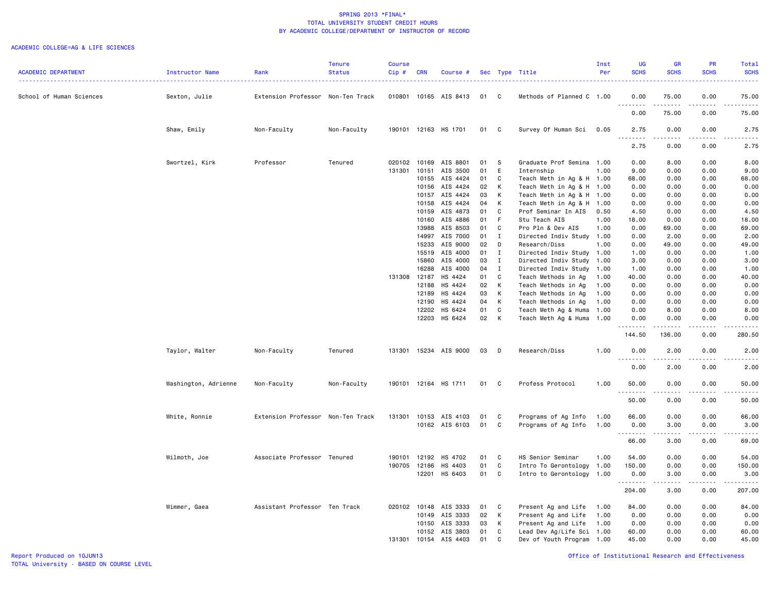#### ACADEMIC COLLEGE=AG & LIFE SCIENCES

|                            |                      |                                   | <b>Tenure</b> | Course       |            |                      |    |               |                                                        | Inst | <b>UG</b>     | GR          | PR                          | Total                                                                                                                                                |
|----------------------------|----------------------|-----------------------------------|---------------|--------------|------------|----------------------|----|---------------|--------------------------------------------------------|------|---------------|-------------|-----------------------------|------------------------------------------------------------------------------------------------------------------------------------------------------|
| <b>ACADEMIC DEPARTMENT</b> | Instructor Name      | Rank                              | <b>Status</b> | $Cip$ #      | <b>CRN</b> | Course #             |    |               | Sec Type Title                                         | Per  | <b>SCHS</b>   | <b>SCHS</b> | <b>SCHS</b>                 | <b>SCHS</b>                                                                                                                                          |
|                            |                      |                                   |               |              |            |                      |    |               |                                                        |      |               |             |                             | $\frac{1}{2} \left( \frac{1}{2} \right) \left( \frac{1}{2} \right) \left( \frac{1}{2} \right) \left( \frac{1}{2} \right)$                            |
|                            |                      |                                   |               |              |            |                      |    |               |                                                        |      |               |             |                             |                                                                                                                                                      |
| School of Human Sciences   | Sexton, Julie        | Extension Professor Non-Ten Track |               | 010801       |            | 10165 AIS 8413       | 01 | C             | Methods of Planned C 1.00                              |      | 0.00          | 75.00       | 0.00                        | 75.00                                                                                                                                                |
|                            |                      |                                   |               |              |            |                      |    |               |                                                        |      | .             | .           | د د د د                     | .                                                                                                                                                    |
|                            |                      |                                   |               |              |            |                      |    |               |                                                        |      | 0.00          | 75.00       | 0.00                        | 75.00                                                                                                                                                |
|                            |                      |                                   |               |              |            |                      |    |               |                                                        |      |               |             |                             |                                                                                                                                                      |
|                            | Shaw, Emily          | Non-Faculty                       | Non-Faculty   | 190101       | 12163      | HS 1701              | 01 | C             | Survey Of Human Sci                                    | 0.05 | 2.75          | 0.00        | 0.00                        | 2.75                                                                                                                                                 |
|                            |                      |                                   |               |              |            |                      |    |               |                                                        |      | .             |             | $- - - -$                   | .                                                                                                                                                    |
|                            |                      |                                   |               |              |            |                      |    |               |                                                        |      | 2.75          | 0.00        | 0.00                        | 2.75                                                                                                                                                 |
|                            | Swortzel, Kirk       | Professor                         | Tenured       | 020102       | 10169      | AIS 8801             | 01 | -S            | Graduate Prof Semina 1.00                              |      | 0.00          | 8.00        | 0.00                        | 8.00                                                                                                                                                 |
|                            |                      |                                   |               | 131301       | 10151      | AIS 3500             | 01 | E             | Internship                                             | 1.00 | 9.00          | 0.00        | 0.00                        | 9.00                                                                                                                                                 |
|                            |                      |                                   |               |              | 10155      | AIS 4424             | 01 | C             | Teach Meth in Ag & H 1.00                              |      | 68.00         | 0.00        | 0.00                        | 68.00                                                                                                                                                |
|                            |                      |                                   |               |              | 10156      | AIS 4424             | 02 | K             | Teach Meth in Ag & H 1.00                              |      | 0.00          | 0.00        | 0.00                        | 0.00                                                                                                                                                 |
|                            |                      |                                   |               |              | 10157      | AIS 4424             | 03 | к             |                                                        |      | 0.00          | 0.00        | 0.00                        |                                                                                                                                                      |
|                            |                      |                                   |               |              | 10158      | AIS 4424             | 04 | K             | Teach Meth in Ag & H 1.00<br>Teach Meth in Ag & H 1.00 |      | 0.00          | 0.00        | 0.00                        | 0.00<br>0.00                                                                                                                                         |
|                            |                      |                                   |               |              | 10159      | AIS 4873             | 01 | C             | Prof Seminar In AIS                                    | 0.50 | 4.50          | 0.00        | 0.00                        |                                                                                                                                                      |
|                            |                      |                                   |               |              | 10160      | AIS 4886             | 01 | F.            | Stu Teach AIS                                          | 1.00 | 18.00         | 0.00        | 0.00                        | 4.50<br>18.00                                                                                                                                        |
|                            |                      |                                   |               |              | 13988      | AIS 8503             | 01 | C             | Pro Pln & Dev AIS                                      | 1.00 | 0.00          | 69.00       | 0.00                        |                                                                                                                                                      |
|                            |                      |                                   |               |              |            | AIS 7000             |    |               |                                                        |      |               |             | 0.00                        | 69.00<br>2.00                                                                                                                                        |
|                            |                      |                                   |               |              | 14997      |                      | 01 | $\bf{I}$<br>D | Directed Indiv Study 1.00                              | 1.00 | 0.00          | 2.00        | 0.00                        |                                                                                                                                                      |
|                            |                      |                                   |               |              | 15233      | AIS 9000             | 02 |               | Research/Diss                                          |      | 0.00          | 49.00       |                             | 49.00                                                                                                                                                |
|                            |                      |                                   |               |              | 15519      | AIS 4000<br>AIS 4000 | 01 | $\mathbf{I}$  | Directed Indiv Study 1.00                              |      | 1.00          | 0.00        | 0.00                        | 1.00                                                                                                                                                 |
|                            |                      |                                   |               |              | 15860      |                      | 03 | $\mathbf{I}$  | Directed Indiv Study 1.00                              |      | 3.00          | 0.00        | 0.00                        | 3.00                                                                                                                                                 |
|                            |                      |                                   |               |              | 16288      | AIS 4000             | 04 | $\mathbf{I}$  | Directed Indiv Study 1.00                              |      | 1.00          | 0.00        | 0.00                        | 1.00                                                                                                                                                 |
|                            |                      |                                   |               | 131308 12187 |            | HS 4424              | 01 | $\mathbb C$   | Teach Methods in Ag                                    | 1.00 | 40.00         | 0.00        | 0.00                        | 40.00                                                                                                                                                |
|                            |                      |                                   |               |              | 12188      | HS 4424              | 02 | K             | Teach Methods in Ag                                    | 1.00 | 0.00          | 0.00        | 0.00                        | 0.00                                                                                                                                                 |
|                            |                      |                                   |               |              | 12189      | HS 4424              | 03 | K             | Teach Methods in Ag                                    | 1.00 | 0.00          | 0.00        | 0.00                        | 0.00                                                                                                                                                 |
|                            |                      |                                   |               |              | 12190      | HS 4424              | 04 | К             | Teach Methods in Ag                                    | 1.00 | 0.00          | 0.00        | 0.00                        | 0.00                                                                                                                                                 |
|                            |                      |                                   |               |              | 12202      | HS 6424              | 01 | C             | Teach Meth Ag & Huma 1.00                              |      | 0.00          | 8.00        | 0.00                        | 8.00                                                                                                                                                 |
|                            |                      |                                   |               |              | 12203      | HS 6424              | 02 | K             | Teach Meth Ag & Huma 1.00                              |      | 0.00          | 0.00        | 0.00                        | 0.00                                                                                                                                                 |
|                            |                      |                                   |               |              |            |                      |    |               |                                                        |      | .             |             | $\sim$ $\sim$ $\sim$ $\sim$ | .                                                                                                                                                    |
|                            |                      |                                   |               |              |            |                      |    |               |                                                        |      | 144.50        | 136.00      | 0.00                        | 280.50                                                                                                                                               |
|                            |                      |                                   |               |              |            |                      |    |               |                                                        |      |               |             |                             |                                                                                                                                                      |
|                            | Taylor, Walter       | Non-Faculty                       | Tenured       | 131301       |            | 15234 AIS 9000       | 03 | D             | Research/Diss                                          | 1.00 | 0.00          | 2.00        | 0.00                        | 2.00                                                                                                                                                 |
|                            |                      |                                   |               |              |            |                      |    |               |                                                        |      | $\sim$ $\sim$ |             |                             | .                                                                                                                                                    |
|                            |                      |                                   |               |              |            |                      |    |               |                                                        |      | 0.00          | 2.00        | 0.00                        | 2.00                                                                                                                                                 |
|                            |                      |                                   |               |              |            |                      |    |               |                                                        |      |               |             |                             |                                                                                                                                                      |
|                            | Washington, Adrienne | Non-Faculty                       | Non-Faculty   | 190101 12164 |            | HS 1711              | 01 | C             | Profess Protocol                                       | 1.00 | 50.00         | 0.00        | 0.00                        | 50.00                                                                                                                                                |
|                            |                      |                                   |               |              |            |                      |    |               |                                                        |      | .             |             |                             | .                                                                                                                                                    |
|                            |                      |                                   |               |              |            |                      |    |               |                                                        |      | 50.00         | 0.00        | 0.00                        | 50.00                                                                                                                                                |
|                            |                      |                                   |               |              |            |                      |    |               |                                                        |      |               |             |                             |                                                                                                                                                      |
|                            | White, Ronnie        | Extension Professor Non-Ten Track |               | 131301       | 10153      | AIS 4103             | 01 | C             | Programs of Ag Info                                    | 1.00 | 66.00         | 0.00        | 0.00                        | 66.00                                                                                                                                                |
|                            |                      |                                   |               |              |            | 10162 AIS 6103       | 01 | C             | Programs of Ag Info                                    | 1.00 | 0.00          | 3.00        | 0.00                        | 3.00                                                                                                                                                 |
|                            |                      |                                   |               |              |            |                      |    |               |                                                        |      | .             |             | $- - - -$                   | $\frac{1}{2} \left( \frac{1}{2} \right) \left( \frac{1}{2} \right) \left( \frac{1}{2} \right) \left( \frac{1}{2} \right) \left( \frac{1}{2} \right)$ |
|                            |                      |                                   |               |              |            |                      |    |               |                                                        |      | 66.00         | 3.00        | 0.00                        | 69.00                                                                                                                                                |
|                            |                      |                                   |               |              |            |                      |    |               |                                                        |      |               |             |                             |                                                                                                                                                      |
|                            | Wilmoth, Joe         | Associate Professor Tenured       |               | 190101 12192 |            | HS 4702              | 01 | C             | HS Senior Seminar                                      | 1.00 | 54.00         | 0.00        | 0.00                        | 54.00                                                                                                                                                |
|                            |                      |                                   |               | 190705       | 12186      | HS 4403              | 01 | C             | Intro To Gerontology                                   | 1.00 | 150.00        | 0.00        | 0.00                        | 150.00                                                                                                                                               |
|                            |                      |                                   |               |              | 12201      | HS 6403              | 01 | C             | Intro to Gerontology                                   | 1.00 | 0.00          | 3.00        | 0.00                        | 3.00                                                                                                                                                 |
|                            |                      |                                   |               |              |            |                      |    |               |                                                        |      | .             |             |                             | .                                                                                                                                                    |
|                            |                      |                                   |               |              |            |                      |    |               |                                                        |      | 204.00        | 3.00        | 0.00                        | 207.00                                                                                                                                               |
|                            |                      |                                   |               |              |            |                      |    |               |                                                        |      |               |             |                             |                                                                                                                                                      |
|                            | Wimmer, Gaea         | Assistant Professor Ten Track     |               | 020102 10148 |            | AIS 3333             | 01 | C             | Present Ag and Life                                    | 1.00 | 84.00         | 0.00        | 0.00                        | 84.00                                                                                                                                                |
|                            |                      |                                   |               |              | 10149      | AIS 3333             | 02 | К             | Present Ag and Life                                    | 1.00 | 0.00          | 0.00        | 0.00                        | 0.00                                                                                                                                                 |
|                            |                      |                                   |               |              | 10150      | AIS 3333             | 03 | К             | Present Ag and Life                                    | 1.00 | 0.00          | 0.00        | 0.00                        | 0.00                                                                                                                                                 |
|                            |                      |                                   |               |              | 10152      | AIS 3803             | 01 | C             | Lead Dev Ag/Life Sci 1.00                              |      | 60.00         | 0.00        | 0.00                        | 60.00                                                                                                                                                |
|                            |                      |                                   |               | 131301 10154 |            | AIS 4403             | 01 | C             | Dev of Youth Program 1.00                              |      | 45.00         | 0.00        | 0.00                        | 45.00                                                                                                                                                |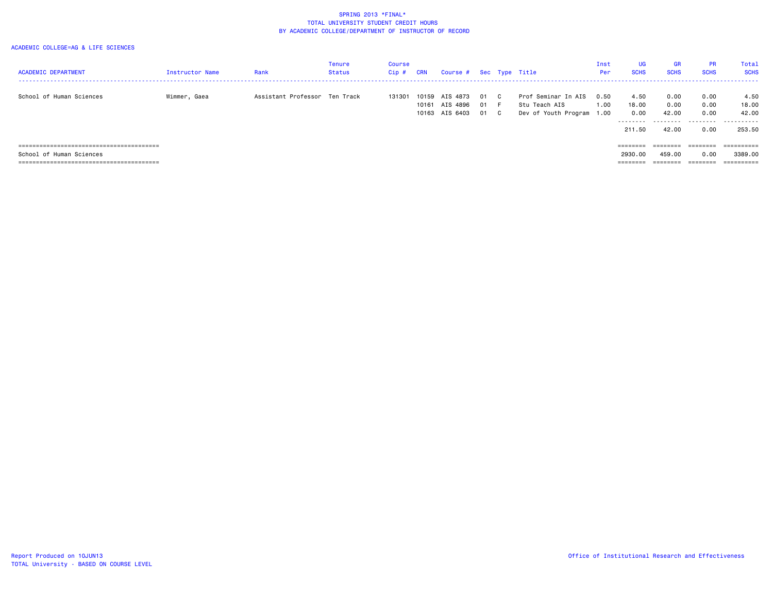#### ACADEMIC COLLEGE=AG & LIFE SCIENCES

| <b>ACADEMIC DEPARTMENT</b> | <b>Instructor Name</b> | Rank                          | Tenure<br>Status | Course<br>Cip # | CRN            | Course # Sec Type Title                |                    |                                                                   | Inst<br>Per  | <b>UG</b><br><b>SCHS</b>           | <b>GR</b><br><b>SCHS</b>   | <b>PR</b><br><b>SCHS</b>  | Total<br><b>SCHS</b>        |
|----------------------------|------------------------|-------------------------------|------------------|-----------------|----------------|----------------------------------------|--------------------|-------------------------------------------------------------------|--------------|------------------------------------|----------------------------|---------------------------|-----------------------------|
| School of Human Sciences   | Wimmer, Gaea           | Assistant Professor Ten Track |                  | 131301          | 10159<br>10161 | AIS 4873<br>AIS 4896<br>10163 AIS 6403 | 01 C<br>01<br>01 C | Prof Seminar In AIS<br>Stu Teach AIS<br>Dev of Youth Program 1.00 | 0.50<br>1.00 | 4.50<br>18,00<br>0.00<br>--------- | 0.00<br>0.00<br>42.00<br>. | 0.00<br>0.00<br>0.00<br>. | 4.50<br>18.00<br>42.00<br>. |
|                            |                        |                               |                  |                 |                |                                        |                    |                                                                   |              | 211.50                             | 42.00                      | 0.00                      | 253.50                      |
|                            |                        |                               |                  |                 |                |                                        |                    |                                                                   |              | ========                           | ========                   | ========                  | eeeeeeee                    |
| School of Human Sciences   |                        |                               |                  |                 |                |                                        |                    |                                                                   |              | 2930.00                            | 459.00                     | 0.00                      | 3389.00                     |
|                            |                        |                               |                  |                 |                |                                        |                    |                                                                   |              | $=$ = = = = = = =                  |                            |                           |                             |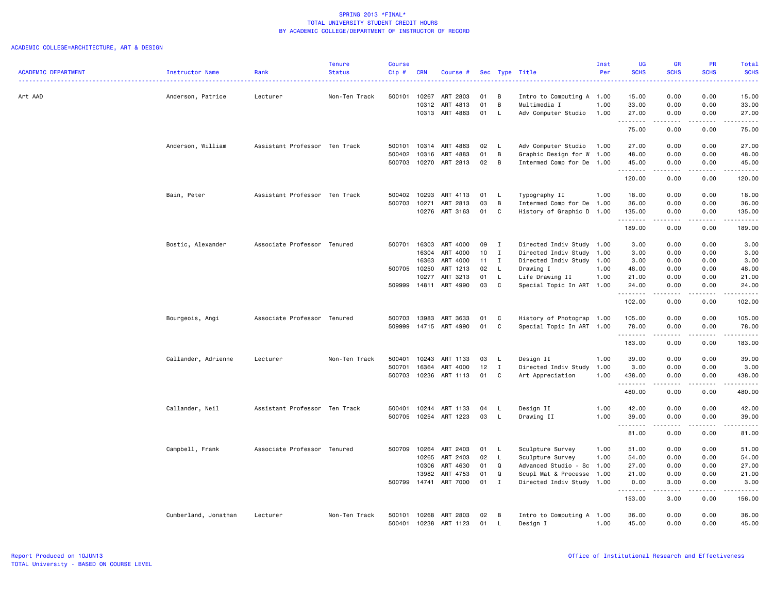|                            |                      |                               | <b>Tenure</b> | Course       |            |                |    |                |                           | Inst | UG          | <b>GR</b>                                                                                                                                                    | PR                           | Total                                                                                                                                    |
|----------------------------|----------------------|-------------------------------|---------------|--------------|------------|----------------|----|----------------|---------------------------|------|-------------|--------------------------------------------------------------------------------------------------------------------------------------------------------------|------------------------------|------------------------------------------------------------------------------------------------------------------------------------------|
| <b>ACADEMIC DEPARTMENT</b> | Instructor Name      | Rank                          | <b>Status</b> | Cip#         | <b>CRN</b> | Course #       |    |                | Sec Type Title            | Per  | <b>SCHS</b> | <b>SCHS</b>                                                                                                                                                  | <b>SCHS</b>                  | <b>SCHS</b><br>$\frac{1}{2} \left( \frac{1}{2} \right) \left( \frac{1}{2} \right) \left( \frac{1}{2} \right) \left( \frac{1}{2} \right)$ |
| Art AAD                    | Anderson, Patrice    | Lecturer                      | Non-Ten Track | 500101       | 10267      | ART 2803       | 01 | B              | Intro to Computing A 1.00 |      | 15.00       | 0.00                                                                                                                                                         | 0.00                         | 15.00                                                                                                                                    |
|                            |                      |                               |               |              | 10312      | ART 4813       | 01 | B              | Multimedia I              | 1.00 | 33.00       | 0.00                                                                                                                                                         | 0.00                         | 33.00                                                                                                                                    |
|                            |                      |                               |               |              |            | 10313 ART 4863 | 01 | L              | Adv Computer Studio       | 1.00 | 27.00       | 0.00                                                                                                                                                         | 0.00                         | 27.00                                                                                                                                    |
|                            |                      |                               |               |              |            |                |    |                |                           |      | .<br>75.00  | $- - - - -$<br>0.00                                                                                                                                          | .<br>0.00                    | .<br>75.00                                                                                                                               |
|                            | Anderson, William    | Assistant Professor Ten Track |               | 500101       |            | 10314 ART 4863 | 02 | <b>L</b>       | Adv Computer Studio       | 1.00 | 27.00       | 0.00                                                                                                                                                         | 0.00                         | 27.00                                                                                                                                    |
|                            |                      |                               |               | 500402       | 10316      | ART 4883       | 01 | B              | Graphic Design for W 1.00 |      | 48.00       | 0.00                                                                                                                                                         | 0.00                         | 48.00                                                                                                                                    |
|                            |                      |                               |               | 500703       |            | 10270 ART 2813 | 02 | $\overline{B}$ | Intermed Comp for De 1.00 |      | 45.00       | 0.00                                                                                                                                                         | 0.00                         | 45.00                                                                                                                                    |
|                            |                      |                               |               |              |            |                |    |                |                           |      | .<br>120.00 | .<br>0.00                                                                                                                                                    | .<br>0.00                    | .<br>120.00                                                                                                                              |
|                            | Bain, Peter          | Assistant Professor Ten Track |               | 500402       | 10293      | ART 4113       | 01 | L.             | Typography II             | 1.00 | 18.00       | 0.00                                                                                                                                                         | 0.00                         | 18.00                                                                                                                                    |
|                            |                      |                               |               | 500703       | 10271      | ART 2813       | 03 | B              | Intermed Comp for De 1.00 |      | 36.00       | 0.00                                                                                                                                                         | 0.00                         | 36.00                                                                                                                                    |
|                            |                      |                               |               |              |            | 10276 ART 3163 | 01 | C              | History of Graphic D 1.00 |      | 135.00<br>. | 0.00<br>.                                                                                                                                                    | 0.00<br>د د د د              | 135.00<br>.                                                                                                                              |
|                            |                      |                               |               |              |            |                |    |                |                           |      | 189.00      | 0.00                                                                                                                                                         | 0.00                         | 189.00                                                                                                                                   |
|                            | Bostic, Alexander    | Associate Professor Tenured   |               | 500701 16303 |            | ART 4000       | 09 | $\mathbf{I}$   | Directed Indiv Study 1.00 |      | 3.00        | 0.00                                                                                                                                                         | 0.00                         | 3.00                                                                                                                                     |
|                            |                      |                               |               |              | 16304      | ART 4000       | 10 | $\mathbf{I}$   | Directed Indiv Study 1.00 |      | 3.00        | 0.00                                                                                                                                                         | 0.00                         | 3.00                                                                                                                                     |
|                            |                      |                               |               |              | 16363      | ART 4000       | 11 | $\mathbf{I}$   | Directed Indiv Study 1.00 |      | 3.00        | 0.00                                                                                                                                                         | 0.00                         | 3.00                                                                                                                                     |
|                            |                      |                               |               | 500705       | 10250      | ART 1213       | 02 | L              | Drawing I                 | 1.00 | 48.00       | 0.00                                                                                                                                                         | 0.00                         | 48.00                                                                                                                                    |
|                            |                      |                               |               |              | 10277      | ART 3213       | 01 | L              | Life Drawing II           | 1.00 | 21.00       | 0.00                                                                                                                                                         | 0.00                         | 21.00                                                                                                                                    |
|                            |                      |                               |               | 509999       | 14811      | ART 4990       | 03 | C              | Special Topic In ART 1.00 |      | 24.00<br>.  | 0.00<br>.                                                                                                                                                    | 0.00<br>$\sim$ $\sim$ $\sim$ | 24.00<br>.                                                                                                                               |
|                            |                      |                               |               |              |            |                |    |                |                           |      | 102.00      | 0.00                                                                                                                                                         | 0.00                         | 102.00                                                                                                                                   |
|                            | Bourgeois, Angi      | Associate Professor Tenured   |               | 500703       | 13983      | ART 3633       | 01 | C              | History of Photograp 1.00 |      | 105.00      | 0.00                                                                                                                                                         | 0.00                         | 105.00                                                                                                                                   |
|                            |                      |                               |               | 509999       |            | 14715 ART 4990 | 01 | C              | Special Topic In ART 1.00 |      | 78.00       | 0.00                                                                                                                                                         | 0.00                         | 78.00                                                                                                                                    |
|                            |                      |                               |               |              |            |                |    |                |                           |      | .<br>183.00 | $\begin{array}{cccccccccc} \bullet & \bullet & \bullet & \bullet & \bullet & \bullet & \bullet \end{array}$<br>0.00                                          | .<br>0.00                    | .<br>183.00                                                                                                                              |
|                            | Callander, Adrienne  | Lecturer                      | Non-Ten Track | 500401       | 10243      | ART 1133       | 03 | -L             | Design II                 | 1.00 | 39.00       | 0.00                                                                                                                                                         | 0.00                         | 39.00                                                                                                                                    |
|                            |                      |                               |               | 500701       | 16364      | ART 4000       | 12 | $\mathbf{I}$   | Directed Indiv Study 1.00 |      | 3.00        | 0.00                                                                                                                                                         | 0.00                         | 3.00                                                                                                                                     |
|                            |                      |                               |               | 500703       | 10236      | ART 1113       | 01 | C              | Art Appreciation          | 1.00 | 438.00      | 0.00                                                                                                                                                         | 0.00                         | 438.00                                                                                                                                   |
|                            |                      |                               |               |              |            |                |    |                |                           |      | .<br>480.00 | .<br>0.00                                                                                                                                                    | .<br>0.00                    | .<br>480.00                                                                                                                              |
|                            | Callander, Neil      | Assistant Professor Ten Track |               | 500401       |            | 10244 ART 1133 | 04 | L.             | Design II                 | 1.00 | 42.00       | 0.00                                                                                                                                                         | 0.00                         | 42.00                                                                                                                                    |
|                            |                      |                               |               | 500705       |            | 10254 ART 1223 | 03 | $\mathsf{L}$   | Drawing II                | 1.00 | 39.00       | 0.00                                                                                                                                                         | 0.00                         | 39.00                                                                                                                                    |
|                            |                      |                               |               |              |            |                |    |                |                           |      | .<br>81.00  | .<br>0.00                                                                                                                                                    | 0.00                         | .<br>81.00                                                                                                                               |
|                            | Campbell, Frank      | Associate Professor Tenured   |               | 500709       | 10264      | ART 2403       | 01 | L.             | Sculpture Survey          | 1.00 | 51.00       | 0.00                                                                                                                                                         | 0.00                         | 51.00                                                                                                                                    |
|                            |                      |                               |               |              | 10265      | ART 2403       | 02 | $\mathsf{L}$   | Sculpture Survey          | 1.00 | 54.00       | 0.00                                                                                                                                                         | 0.00                         | 54.00                                                                                                                                    |
|                            |                      |                               |               |              | 10306      | ART 4630       | 01 | Q              | Advanced Studio - Sc 1.00 |      | 27.00       | 0.00                                                                                                                                                         | 0.00                         | 27.00                                                                                                                                    |
|                            |                      |                               |               |              | 13982      | ART 4753       | 01 | Q              | Scupl Mat & Processe 1.00 |      | 21.00       | 0.00                                                                                                                                                         | 0.00                         | 21.00                                                                                                                                    |
|                            |                      |                               |               | 500799       | 14741      | ART 7000       | 01 | $\mathbf I$    | Directed Indiv Study 1.00 |      | 0.00<br>.   | 3.00<br>$\frac{1}{2} \left( \frac{1}{2} \right) \left( \frac{1}{2} \right) \left( \frac{1}{2} \right) \left( \frac{1}{2} \right) \left( \frac{1}{2} \right)$ | 0.00<br>الأنابات             | 3.00<br>.                                                                                                                                |
|                            |                      |                               |               |              |            |                |    |                |                           |      | 153.00      | 3.00                                                                                                                                                         | 0.00                         | 156.00                                                                                                                                   |
|                            | Cumberland, Jonathan | Lecturer                      | Non-Ten Track | 500101       | 10268      | ART 2803       | 02 | B              | Intro to Computing A 1.00 |      | 36.00       | 0.00                                                                                                                                                         | 0.00                         | 36.00                                                                                                                                    |
|                            |                      |                               |               | 500401       | 10238      | ART 1123       | 01 | L.             | Design I                  | 1.00 | 45.00       | 0.00                                                                                                                                                         | 0.00                         | 45.00                                                                                                                                    |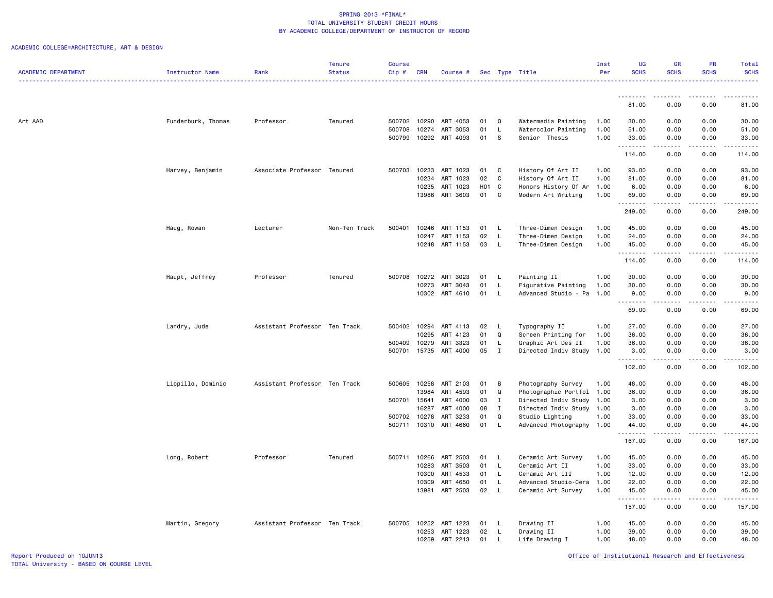|                            |                    |                               | <b>Tenure</b> | <b>Course</b> |            |                |       |              |                           | Inst | UG                  | <b>GR</b>                                                                                                                                                    | <b>PR</b>                           | Total                                       |
|----------------------------|--------------------|-------------------------------|---------------|---------------|------------|----------------|-------|--------------|---------------------------|------|---------------------|--------------------------------------------------------------------------------------------------------------------------------------------------------------|-------------------------------------|---------------------------------------------|
| <b>ACADEMIC DEPARTMENT</b> | Instructor Name    | Rank                          | <b>Status</b> | Cip#          | <b>CRN</b> | Course #       |       |              | Sec Type Title            | Per  | <b>SCHS</b>         | <b>SCHS</b>                                                                                                                                                  | <b>SCHS</b>                         | <b>SCHS</b><br>.                            |
|                            |                    |                               |               |               |            |                |       |              |                           |      |                     |                                                                                                                                                              |                                     |                                             |
|                            |                    |                               |               |               |            |                |       |              |                           |      | 81.00               | 0.00                                                                                                                                                         | 0.00                                | 81.00                                       |
| Art AAD                    | Funderburk, Thomas | Professor                     | Tenured       | 500702        | 10290      | ART 4053       | 01    | Q            | Watermedia Painting       | 1.00 | 30.00               | 0.00                                                                                                                                                         | 0.00                                | 30.00                                       |
|                            |                    |                               |               | 500708        | 10274      | ART 3053       | 01    | L.           | Watercolor Painting       | 1.00 | 51.00               | 0.00                                                                                                                                                         | 0.00                                | 51.00                                       |
|                            |                    |                               |               | 500799        |            | 10292 ART 4093 | 01    | - S          | Senior Thesis             | 1.00 | 33.00<br><u>.</u>   | 0.00                                                                                                                                                         | 0.00<br>. <b>.</b>                  | 33.00<br>.                                  |
|                            |                    |                               |               |               |            |                |       |              |                           |      | 114.00              | 0.00                                                                                                                                                         | 0.00                                | 114.00                                      |
|                            | Harvey, Benjamin   | Associate Professor Tenured   |               | 500703        | 10233      | ART 1023       | 01    | C            | History Of Art II         | 1.00 | 93.00               | 0.00                                                                                                                                                         | 0.00                                | 93.00                                       |
|                            |                    |                               |               |               | 10234      | ART 1023       | 02    | C            | History Of Art II         | 1.00 | 81.00               | 0.00                                                                                                                                                         | 0.00                                | 81.00                                       |
|                            |                    |                               |               |               | 10235      | ART 1023       | H01 C |              | Honors History Of Ar      | 1.00 | 6.00                | 0.00                                                                                                                                                         | 0.00                                | 6.00                                        |
|                            |                    |                               |               |               | 13986      | ART 3603       | 01    | C            | Modern Art Writing        | 1.00 | 69.00<br>. <b>.</b> | 0.00                                                                                                                                                         | 0.00<br>$\sim$ $\sim$ $\sim$ $\sim$ | 69.00<br>$\sim$ $\sim$ $\sim$ $\sim$ $\sim$ |
|                            |                    |                               |               |               |            |                |       |              |                           |      | 249.00              | 0.00                                                                                                                                                         | 0.00                                | 249.00                                      |
|                            | Haug, Rowan        | Lecturer                      | Non-Ten Track | 500401        | 10246      | ART 1153       | 01    | <b>L</b>     | Three-Dimen Design        | 1.00 | 45.00               | 0.00                                                                                                                                                         | 0.00                                | 45.00                                       |
|                            |                    |                               |               |               | 10247      | ART 1153       | 02    | $\mathsf{L}$ | Three-Dimen Design        | 1.00 | 24.00               | 0.00                                                                                                                                                         | 0.00                                | 24.00                                       |
|                            |                    |                               |               |               |            | 10248 ART 1153 | 03    | $\mathsf{L}$ | Three-Dimen Design        | 1.00 | 45.00<br>.          | 0.00<br>$- - - - -$                                                                                                                                          | 0.00<br>.                           | 45.00<br>.                                  |
|                            |                    |                               |               |               |            |                |       |              |                           |      | 114.00              | 0.00                                                                                                                                                         | 0.00                                | 114.00                                      |
|                            | Haupt, Jeffrey     | Professor                     | Tenured       | 500708        | 10272      | ART 3023       | 01    | <b>L</b>     | Painting II               | 1.00 | 30.00               | 0.00                                                                                                                                                         | 0.00                                | 30.00                                       |
|                            |                    |                               |               |               | 10273      | ART 3043       | 01    | L.           | Figurative Painting       | 1.00 | 30.00               | 0.00                                                                                                                                                         | 0.00                                | 30.00                                       |
|                            |                    |                               |               |               |            | 10302 ART 4610 | 01    | $\mathsf{L}$ | Advanced Studio - Pa      | 1.00 | 9.00<br>.           | 0.00<br>.                                                                                                                                                    | 0.00                                | 9.00<br>.                                   |
|                            |                    |                               |               |               |            |                |       |              |                           |      | 69.00               | 0.00                                                                                                                                                         | 0.00                                | 69.00                                       |
|                            | Landry, Jude       | Assistant Professor Ten Track |               | 500402 10294  |            | ART 4113       | 02    | L.           | Typography II             | 1.00 | 27.00               | 0.00                                                                                                                                                         | 0.00                                | 27.00                                       |
|                            |                    |                               |               |               | 10295      | ART 4123       | 01    | Q            | Screen Printing for       | 1.00 | 36.00               | 0.00                                                                                                                                                         | 0.00                                | 36.00                                       |
|                            |                    |                               |               | 500409        | 10279      | ART 3323       | 01    | L.           | Graphic Art Des II        | 1.00 | 36.00               | 0.00                                                                                                                                                         | 0.00                                | 36.00                                       |
|                            |                    |                               |               | 500701        | 15735      | ART 4000       | 05    | $\mathbf{I}$ | Directed Indiv Study 1.00 |      | 3.00<br>. <b>.</b>  | 0.00<br>$\frac{1}{2} \left( \frac{1}{2} \right) \left( \frac{1}{2} \right) \left( \frac{1}{2} \right) \left( \frac{1}{2} \right) \left( \frac{1}{2} \right)$ | 0.00<br>.                           | 3.00<br>.                                   |
|                            |                    |                               |               |               |            |                |       |              |                           |      | 102.00              | 0.00                                                                                                                                                         | 0.00                                | 102.00                                      |
|                            | Lippillo, Dominic  | Assistant Professor Ten Track |               | 500605        | 10258      | ART 2103       | 01    | В            | Photography Survey        | 1.00 | 48.00               | 0.00                                                                                                                                                         | 0.00                                | 48.00                                       |
|                            |                    |                               |               |               | 13984      | ART 4593       | 01    | Q            | Photographic Portfol 1.00 |      | 36.00               | 0.00                                                                                                                                                         | 0.00                                | 36.00                                       |
|                            |                    |                               |               | 500701 15641  |            | ART 4000       | 03    | $\mathbf{I}$ | Directed Indiv Study      | 1.00 | 3.00                | 0.00                                                                                                                                                         | 0.00                                | 3.00                                        |
|                            |                    |                               |               |               | 16287      | ART 4000       | 08    | $\mathbf{I}$ | Directed Indiv Study      | 1.00 | 3.00                | 0.00                                                                                                                                                         | 0.00                                | 3.00                                        |
|                            |                    |                               |               | 500702        | 10278      | ART 3233       | 01    | Q            | Studio Lighting           | 1.00 | 33.00               | 0.00                                                                                                                                                         | 0.00                                | 33.00                                       |
|                            |                    |                               |               | 500711        |            | 10310 ART 4660 | 01    | L.           | Advanced Photography 1.00 |      | 44.00<br>.          | 0.00<br>.                                                                                                                                                    | 0.00<br>.                           | 44.00<br>.                                  |
|                            |                    |                               |               |               |            |                |       |              |                           |      | 167.00              | 0.00                                                                                                                                                         | 0.00                                | 167.00                                      |
|                            | Long, Robert       | Professor                     | Tenured       | 500711        | 10266      | ART 2503       | 01    | - L          | Ceramic Art Survey        | 1.00 | 45.00               | 0.00                                                                                                                                                         | 0.00                                | 45.00                                       |
|                            |                    |                               |               |               | 10283      | ART 3503       | 01    | L.           | Ceramic Art II            | 1.00 | 33.00               | 0.00                                                                                                                                                         | 0.00                                | 33.00                                       |
|                            |                    |                               |               |               | 10300      | ART 4533       | 01    | $\mathsf{L}$ | Ceramic Art III           | 1.00 | 12.00               | 0.00                                                                                                                                                         | 0.00                                | 12.00                                       |
|                            |                    |                               |               |               | 10309      | ART 4650       | 01    | L.           | Advanced Studio-Cera 1.00 |      | 22.00               | 0.00                                                                                                                                                         | 0.00                                | 22.00                                       |
|                            |                    |                               |               |               | 13981      | ART 2503       | 02    | <b>L</b>     | Ceramic Art Survey        | 1.00 | 45.00<br>.          | 0.00<br>$\frac{1}{2} \left( \frac{1}{2} \right) \left( \frac{1}{2} \right) \left( \frac{1}{2} \right) \left( \frac{1}{2} \right) \left( \frac{1}{2} \right)$ | 0.00<br>.                           | 45.00<br>------                             |
|                            |                    |                               |               |               |            |                |       |              |                           |      | 157.00              | 0.00                                                                                                                                                         | 0.00                                | 157.00                                      |
|                            | Martin, Gregory    | Assistant Professor Ten Track |               | 500705        | 10252      | ART 1223       | 01    | L.           | Drawing II                | 1.00 | 45.00               | 0.00                                                                                                                                                         | 0.00                                | 45.00                                       |
|                            |                    |                               |               |               | 10253      | ART 1223       | 02    | L.           | Drawing II                | 1.00 | 39.00               | 0.00                                                                                                                                                         | 0.00                                | 39.00                                       |
|                            |                    |                               |               |               | 10259      | ART 2213       | 01    | л.           | Life Drawing I            | 1.00 | 48.00               | 0.00                                                                                                                                                         | 0.00                                | 48.00                                       |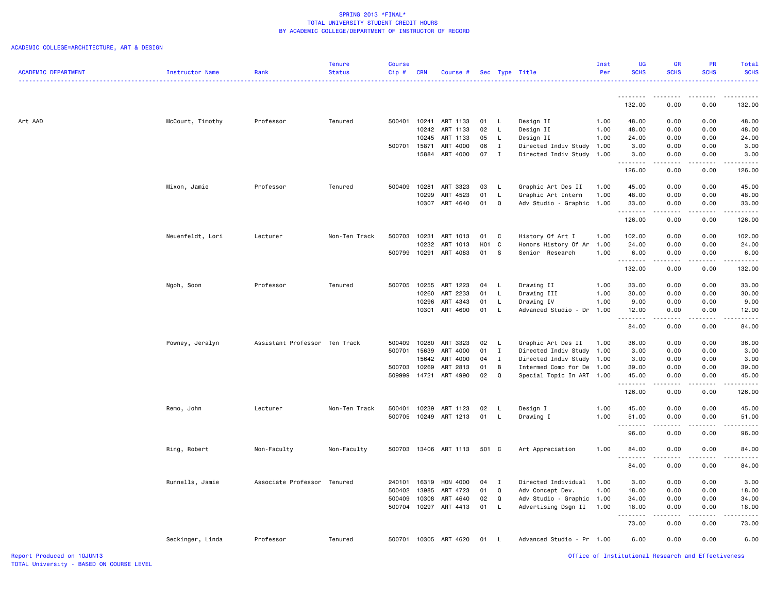## ACADEMIC COLLEGE=ARCHITECTURE, ART & DESIGN

|                            |                  |                               | <b>Tenure</b> | <b>Course</b> |            |                       |        |                |                           | Inst | UG                | <b>GR</b>                    | <b>PR</b>   | Total                                                                                                                                                        |
|----------------------------|------------------|-------------------------------|---------------|---------------|------------|-----------------------|--------|----------------|---------------------------|------|-------------------|------------------------------|-------------|--------------------------------------------------------------------------------------------------------------------------------------------------------------|
| <b>ACADEMIC DEPARTMENT</b> | Instructor Name  | Rank                          | <b>Status</b> | Cip#          | <b>CRN</b> | Course #              |        |                | Sec Type Title            | Per  | <b>SCHS</b>       | <b>SCHS</b>                  | <b>SCHS</b> | <b>SCHS</b><br>المتمام والمناور                                                                                                                              |
|                            |                  |                               |               |               |            |                       |        |                |                           |      | <u>.</u>          | <u>.</u>                     | -----       | . <b>.</b>                                                                                                                                                   |
|                            |                  |                               |               |               |            |                       |        |                |                           |      | 132.00            | 0.00                         | 0.00        | 132.00                                                                                                                                                       |
| Art AAD                    | McCourt, Timothy | Professor                     | Tenured       | 500401        | 10241      | ART 1133              | 01     | $\mathsf{L}$   | Design II                 | 1.00 | 48.00             | 0.00                         | 0.00        | 48.00                                                                                                                                                        |
|                            |                  |                               |               |               | 10242      | ART 1133              | 02     | $\mathsf{L}$   | Design II                 | 1.00 | 48.00             | 0.00                         | 0.00        | 48.00                                                                                                                                                        |
|                            |                  |                               |               |               | 10245      | ART 1133              | 05     | L.             | Design II                 | 1.00 | 24.00             | 0.00                         | 0.00        | 24.00                                                                                                                                                        |
|                            |                  |                               |               | 500701        | 15871      | ART 4000              | 06     | $\mathbf{I}$   | Directed Indiv Study      | 1.00 | 3.00              | 0.00                         | 0.00        | 3.00                                                                                                                                                         |
|                            |                  |                               |               |               | 15884      | ART 4000              | 07     | $\blacksquare$ | Directed Indiv Study 1.00 |      | 3.00<br>.         | 0.00<br>$\frac{1}{2}$        | 0.00<br>.   | 3.00<br>المتمام المنا                                                                                                                                        |
|                            |                  |                               |               |               |            |                       |        |                |                           |      | 126.00            | 0.00                         | 0.00        | 126.00                                                                                                                                                       |
|                            | Mixon, Jamie     | Professor                     | Tenured       | 500409        | 10281      | ART 3323              | 03     | - L            | Graphic Art Des II        | 1.00 | 45.00             | 0.00                         | 0.00        | 45.00                                                                                                                                                        |
|                            |                  |                               |               |               | 10299      | ART 4523              | 01     | $\mathsf L$    | Graphic Art Intern        | 1.00 | 48.00             | 0.00                         | 0.00        | 48.00                                                                                                                                                        |
|                            |                  |                               |               |               | 10307      | ART 4640              | 01     | Q              | Adv Studio - Graphic      | 1.00 | 33.00<br>.        | 0.00<br>$\sim$ $\sim$ $\sim$ | 0.00        | 33.00                                                                                                                                                        |
|                            |                  |                               |               |               |            |                       |        |                |                           |      | 126.00            | 0.00                         | 0.00        | 126.00                                                                                                                                                       |
|                            | Neuenfeldt, Lori | Lecturer                      | Non-Ten Track | 500703        | 10231      | ART 1013              | 01     | C              | History Of Art I          | 1.00 | 102.00            | 0.00                         | 0.00        | 102.00                                                                                                                                                       |
|                            |                  |                               |               |               | 10232      | ART 1013              | H01 C  |                | Honors History Of Ar      | 1.00 | 24.00             | 0.00                         | 0.00        | 24.00                                                                                                                                                        |
|                            |                  |                               |               | 500799        | 10291      | ART 4083              | 01 S   |                | Senior Research           | 1.00 | 6.00<br>.         | 0.00<br>د د د د              | 0.00<br>.   | 6.00<br>$\frac{1}{2} \left( \frac{1}{2} \right) \left( \frac{1}{2} \right) \left( \frac{1}{2} \right) \left( \frac{1}{2} \right) \left( \frac{1}{2} \right)$ |
|                            |                  |                               |               |               |            |                       |        |                |                           |      | 132.00            | 0.00                         | 0.00        | 132.00                                                                                                                                                       |
|                            | Ngoh, Soon       | Professor                     | Tenured       | 500705        | 10255      | ART 1223              | 04     | $\mathsf{L}$   | Drawing II                | 1.00 | 33.00             | 0.00                         | 0.00        | 33.00                                                                                                                                                        |
|                            |                  |                               |               |               | 10260      | ART 2233              | 01     | L.             | Drawing III               | 1.00 | 30.00             | 0.00                         | 0.00        | 30.00                                                                                                                                                        |
|                            |                  |                               |               |               | 10296      | ART 4343              | 01     | L.             | Drawing IV                | 1.00 | 9.00              | 0.00                         | 0.00        | 9.00                                                                                                                                                         |
|                            |                  |                               |               |               | 10301      | ART 4600              | 01     | $\mathsf{L}$   | Advanced Studio - Dr      | 1.00 | 12.00<br>.        | 0.00<br>.                    | 0.00        | 12.00<br>$\sim$ $\sim$ $\sim$ $\sim$                                                                                                                         |
|                            |                  |                               |               |               |            |                       |        |                |                           |      | 84.00             | 0.00                         | 0.00        | 84.00                                                                                                                                                        |
|                            | Powney, Jeralyn  | Assistant Professor Ten Track |               | 500409        | 10280      | ART 3323              | 02     | - L            | Graphic Art Des II        | 1.00 | 36.00             | 0.00                         | 0.00        | 36.00                                                                                                                                                        |
|                            |                  |                               |               | 500701        | 15639      | ART 4000              | 01     | $\mathbf{I}$   | Directed Indiv Study      | 1.00 | 3.00              | 0.00                         | 0.00        | 3.00                                                                                                                                                         |
|                            |                  |                               |               |               | 15642      | ART 4000              | 04     | $\mathbf{I}$   | Directed Indiv Study      | 1.00 | 3.00              | 0.00                         | 0.00        | 3.00                                                                                                                                                         |
|                            |                  |                               |               | 500703        | 10269      | ART 2813              | 01     | B              | Intermed Comp for De 1.00 |      | 39.00             | 0.00                         | 0.00        | 39.00                                                                                                                                                        |
|                            |                  |                               |               | 509999        | 14721      | ART 4990              | 02     | Q              | Special Topic In ART 1.00 |      | 45.00<br>.        | 0.00                         | 0.00        | 45.00<br>.                                                                                                                                                   |
|                            |                  |                               |               |               |            |                       |        |                |                           |      | 126.00            | 0.00                         | 0.00        | 126.00                                                                                                                                                       |
|                            | Remo, John       | Lecturer                      | Non-Ten Track | 500401        | 10239      | ART 1123              | 02     | L,             | Design I                  | 1.00 | 45.00             | 0.00                         | 0.00        | 45.00                                                                                                                                                        |
|                            |                  |                               |               |               |            | 500705 10249 ART 1213 | 01     | $\mathsf{L}$   | Drawing I                 | 1.00 | 51.00             | 0.00                         | 0.00        | 51.00                                                                                                                                                        |
|                            |                  |                               |               |               |            |                       |        |                |                           |      | .<br>96.00        | .<br>0.00                    | .<br>0.00   | 96.00                                                                                                                                                        |
|                            | Ring, Robert     | Non-Faculty                   | Non-Faculty   |               |            | 500703 13406 ART 1113 | 501 C  |                | Art Appreciation          | 1.00 | 84.00             | 0.00                         | 0.00        | 84.00                                                                                                                                                        |
|                            |                  |                               |               |               |            |                       |        |                |                           |      | --------<br>84.00 | .<br>0.00                    | .<br>0.00   | .<br>84.00                                                                                                                                                   |
|                            | Runnells, Jamie  | Associate Professor Tenured   |               | 240101        | 16319      | HON 4000              | $04$ I |                | Directed Individual       | 1.00 | 3.00              | 0.00                         | 0.00        | 3.00                                                                                                                                                         |
|                            |                  |                               |               | 500402        | 13985      | ART 4723              | 01     | Q              | Adv Concept Dev.          | 1.00 | 18.00             | 0.00                         | 0.00        | 18.00                                                                                                                                                        |
|                            |                  |                               |               | 500409        | 10308      | ART 4640              | 02     | Q              | Adv Studio - Graphic 1.00 |      | 34.00             | 0.00                         | 0.00        | 34.00                                                                                                                                                        |
|                            |                  |                               |               |               |            | 500704 10297 ART 4413 | 01     | $\mathsf{L}$   | Advertising Dsgn II       | 1.00 | 18.00             | 0.00                         | 0.00        | 18.00                                                                                                                                                        |
|                            |                  |                               |               |               |            |                       |        |                |                           |      | .                 |                              |             |                                                                                                                                                              |
|                            |                  |                               |               |               |            |                       |        |                |                           |      | 73.00             | 0.00                         | 0.00        | 73.00                                                                                                                                                        |
|                            | Seckinger, Linda | Professor                     | Tenured       |               |            | 500701 10305 ART 4620 | 01     | $\mathsf{L}$   | Advanced Studio - Pr 1.00 |      | 6.00              | 0.00                         | 0.00        | 6.00                                                                                                                                                         |

Report Produced on 10JUN13 Office of Institutional Research and Effectiveness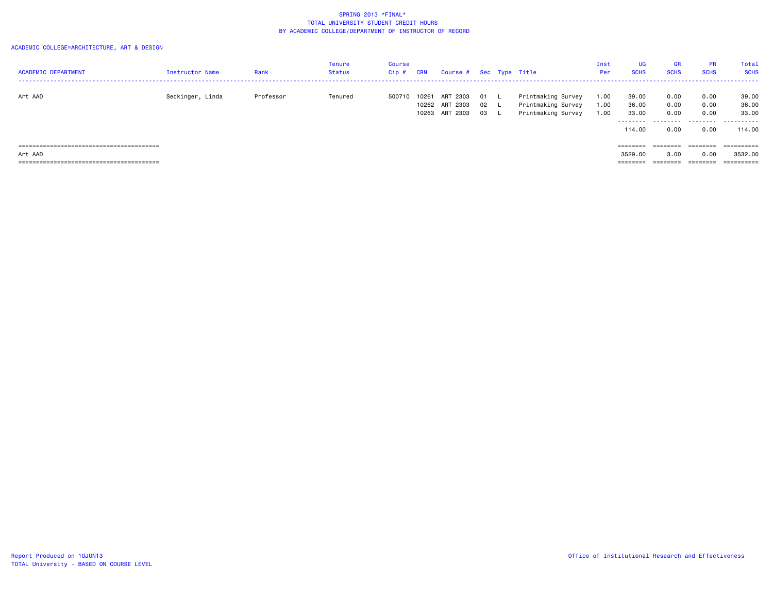| <b>ACADEMIC DEPARTMENT</b> | <b>Instructor Name</b> | Rank      | Tenure<br>Status | Course<br>Cip # | <b>CRN</b> | Course # Sec Type Title                      |                |                                                                | Inst<br>Per          | <b>UG</b><br><b>SCHS</b>          | <b>GR</b><br><b>SCHS</b>         | <b>PR</b><br><b>SCHS</b>                                                | Total<br><b>SCHS</b>              |
|----------------------------|------------------------|-----------|------------------|-----------------|------------|----------------------------------------------|----------------|----------------------------------------------------------------|----------------------|-----------------------------------|----------------------------------|-------------------------------------------------------------------------|-----------------------------------|
| Art AAD                    | Seckinger, Linda       | Professor | Tenured          | 500710          | 10261      | ART 2303<br>10262 ART 2303<br>10263 ART 2303 | 01<br>02<br>03 | Printmaking Survey<br>Printmaking Survey<br>Printmaking Survey | 1.00<br>1.00<br>1.00 | 39.00<br>36.00<br>33.00<br>114.00 | 0.00<br>0.00<br>0.00<br><br>0.00 | 0.00<br>0.00<br>0.00<br>0.00                                            | 39.00<br>36.00<br>33,00<br>114,00 |
|                            |                        |           |                  |                 |            |                                              |                |                                                                |                      | $=$ = = = = = = =                 |                                  | $\qquad \qquad \equiv \equiv \equiv \equiv \equiv \equiv \equiv \equiv$ | ==========                        |
| Art AAD                    |                        |           |                  |                 |            |                                              |                |                                                                |                      | 3529,00                           | 3.00                             | 0.00                                                                    | 3532.00                           |
|                            |                        |           |                  |                 |            |                                              |                |                                                                |                      |                                   |                                  | ========                                                                |                                   |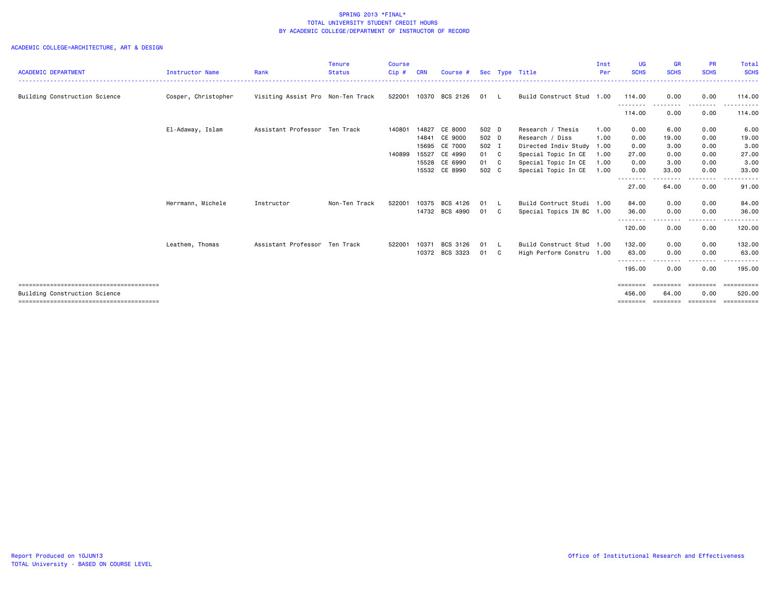|                               |                     |                                   | <b>Tenure</b> | <b>Course</b> |            |                       |       |          |                           | Inst | UG                 | <b>GR</b>        | <b>PR</b>        | Total             |
|-------------------------------|---------------------|-----------------------------------|---------------|---------------|------------|-----------------------|-------|----------|---------------------------|------|--------------------|------------------|------------------|-------------------|
| <b>ACADEMIC DEPARTMENT</b>    | Instructor Name     | Rank                              | <b>Status</b> | $Cip$ #       | <b>CRN</b> | Course #              |       |          | Sec Type Title            | Per  | <b>SCHS</b>        | <b>SCHS</b>      | <b>SCHS</b>      | <b>SCHS</b>       |
| Building Construction Science | Cosper, Christopher | Visiting Assist Pro Non-Ten Track |               |               |            | 522001 10370 BCS 2126 | 01 L  |          | Build Construct Stud 1.00 |      | 114.00<br>-------- | 0.00<br>-------- | 0.00<br>-------- | 114.00<br>------- |
|                               |                     |                                   |               |               |            |                       |       |          |                           |      | 114.00             | 0.00             | 0.00             | 114.00            |
|                               | El-Adaway, Islam    | Assistant Professor Ten Track     |               | 140801        | 14827      | CE 8000               | 502 D |          | Research / Thesis         | 1.00 | 0.00               | 6.00             | 0.00             | 6.00              |
|                               |                     |                                   |               |               | 14841      | CE 9000               | 502 D |          | Research / Diss           | 1.00 | 0.00               | 19.00            | 0.00             | 19.00             |
|                               |                     |                                   |               |               | 15695      | CE 7000               | 502 I |          | Directed Indiv Study 1.00 |      | 0.00               | 3.00             | 0.00             | 3.00              |
|                               |                     |                                   |               | 140899        | 15527      | CE 4990               | 01 C  |          | Special Topic In CE       | 1.00 | 27.00              | 0.00             | 0.00             | 27.00             |
|                               |                     |                                   |               |               | 15528      | CE 6990               | 01 C  |          | Special Topic In CE       | 1.00 | 0.00               | 3.00             | 0.00             | 3.00              |
|                               |                     |                                   |               |               |            | 15532 CE 8990         | 502 C |          | Special Topic In CE       | 1.00 | 0.00               | 33.00            | 0.00             | 33.00             |
|                               |                     |                                   |               |               |            |                       |       |          |                           |      | --------           | . <b>.</b> .     | --------         | ------            |
|                               |                     |                                   |               |               |            |                       |       |          |                           |      | 27.00              | 64.00            | 0.00             | 91.00             |
|                               | Herrmann, Michele   | Instructor                        | Non-Ten Track | 522001        | 10375      | BCS 4126              | 01    | <b>L</b> | Build Contruct Studi 1.00 |      | 84.00              | 0.00             | 0.00             | 84.00             |
|                               |                     |                                   |               |               | 14732      | BCS 4990              | 01    | C.       | Special Topics IN BC 1.00 |      | 36.00              | 0.00             | 0.00             | 36.00             |
|                               |                     |                                   |               |               |            |                       |       |          |                           |      | --------<br>120.00 | ----<br>0.00     | --------<br>0.00 | ------<br>120,00  |
|                               | Leathem, Thomas     | Assistant Professor Ten Track     |               | 522001        | 10371      | BCS 3126              | 01    | - L      | Build Construct Stud      | 1.00 | 132.00             | 0.00             | 0.00             | 132.00            |
|                               |                     |                                   |               |               | 10372      | BCS 3323              | 01 C  |          | High Perform Constru 1.00 |      | 63,00              | 0.00             | 0.00             | 63,00             |
|                               |                     |                                   |               |               |            |                       |       |          |                           |      | --------<br>195.00 | $\cdots$<br>0.00 | -----<br>0.00    | .<br>195.00       |
|                               |                     |                                   |               |               |            |                       |       |          |                           |      | $=$ = = = = = = =  |                  |                  | ==========        |
| Building Construction Science |                     |                                   |               |               |            |                       |       |          |                           |      | 456,00             | 64.00            | 0.00             | 520.00            |
|                               |                     |                                   |               |               |            |                       |       |          |                           |      | $=$ = = = = = = =  | ========         | ========         | <b>SERRESERE</b>  |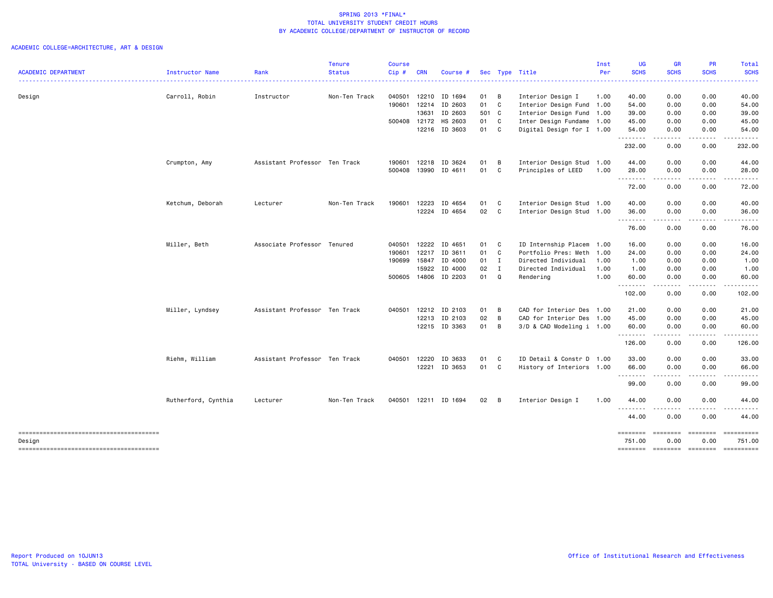|                                                  |                     |                               | <b>Tenure</b> | <b>Course</b> |            |                      |              |              |                           | Inst | <b>UG</b>          | <b>GR</b>                                                                                                                                                    | <b>PR</b>                                                                                                               | Total             |
|--------------------------------------------------|---------------------|-------------------------------|---------------|---------------|------------|----------------------|--------------|--------------|---------------------------|------|--------------------|--------------------------------------------------------------------------------------------------------------------------------------------------------------|-------------------------------------------------------------------------------------------------------------------------|-------------------|
| <b>ACADEMIC DEPARTMENT</b>                       | Instructor Name     | Rank                          | <b>Status</b> | Cip#          | <b>CRN</b> | Course #             |              |              | Sec Type Title            | Per  | <b>SCHS</b>        | <b>SCHS</b>                                                                                                                                                  | <b>SCHS</b>                                                                                                             | <b>SCHS</b>       |
| Design                                           | Carroll, Robin      | Instructor                    | Non-Ten Track | 040501        |            | 12210 ID 1694        | 01           | B            | Interior Design I         | 1.00 | 40.00              | 0.00                                                                                                                                                         | 0.00                                                                                                                    | 40.00             |
|                                                  |                     |                               |               | 190601        |            | 12214 ID 2603        | 01           | $\mathbf{C}$ | Interior Design Fund      | 1.00 | 54.00              | 0.00                                                                                                                                                         | 0.00                                                                                                                    | 54.00             |
|                                                  |                     |                               |               |               | 13631      | ID 2603              | 501 C        |              | Interior Design Fund      | 1.00 | 39.00              | 0.00                                                                                                                                                         | 0.00                                                                                                                    | 39.00             |
|                                                  |                     |                               |               | 500408        | 12172      | HS 2603              | 01 C         |              | Inter Design Fundame      | 1.00 | 45.00              | 0.00                                                                                                                                                         | 0.00                                                                                                                    | 45.00             |
|                                                  |                     |                               |               |               |            | 12216 ID 3603        | 01 C         |              | Digital Design for I 1.00 |      | 54.00              | 0.00                                                                                                                                                         | 0.00                                                                                                                    | 54.00             |
|                                                  |                     |                               |               |               |            |                      |              |              |                           |      | .<br>232.00        | د د د د<br>0.00                                                                                                                                              | $\begin{array}{cccccccccccccc} \bullet & \bullet & \bullet & \bullet & \bullet & \bullet & \bullet \end{array}$<br>0.00 | ------<br>232.00  |
|                                                  | Crumpton, Amy       | Assistant Professor Ten Track |               | 190601        |            | 12218 ID 3624        | 01           | B            | Interior Design Stud 1.00 |      | 44.00              | 0.00                                                                                                                                                         | 0.00                                                                                                                    | 44.00             |
|                                                  |                     |                               |               | 500408        |            | 13990 ID 4611        | 01           | C            | Principles of LEED        | 1.00 | 28.00              | 0.00<br>----                                                                                                                                                 | 0.00<br>-----                                                                                                           | 28.00             |
|                                                  |                     |                               |               |               |            |                      |              |              |                           |      | .<br>72.00         | 0.00                                                                                                                                                         | 0.00                                                                                                                    | 72.00             |
|                                                  | Ketchum, Deborah    | Lecturer                      | Non-Ten Track | 190601        |            | 12223 ID 4654        | 01           | C            | Interior Design Stud 1.00 |      | 40.00              | 0.00                                                                                                                                                         | 0.00                                                                                                                    | 40.00             |
|                                                  |                     |                               |               |               |            | 12224 ID 4654        | 02 C         |              | Interior Design Stud 1.00 |      | 36.00              | 0.00                                                                                                                                                         | 0.00                                                                                                                    | 36.00             |
|                                                  |                     |                               |               |               |            |                      |              |              |                           |      | .<br>76.00         | $\frac{1}{2} \left( \frac{1}{2} \right) \left( \frac{1}{2} \right) \left( \frac{1}{2} \right) \left( \frac{1}{2} \right) \left( \frac{1}{2} \right)$<br>0.00 | 0.00                                                                                                                    | 76.00             |
|                                                  | Miller, Beth        | Associate Professor Tenured   |               | 040501        |            | 12222 ID 4651        | 01           | C.           | ID Internship Placem      | 1.00 | 16.00              | 0.00                                                                                                                                                         | 0.00                                                                                                                    | 16.00             |
|                                                  |                     |                               |               | 190601        | 12217      | ID 3611              | 01           | C            | Portfolio Pres: Meth      | 1.00 | 24.00              | 0.00                                                                                                                                                         | 0.00                                                                                                                    | 24.00             |
|                                                  |                     |                               |               | 190699        |            | 15847 ID 4000        | 01           | Ι.           | Directed Individual       | 1.00 | 1.00               | 0.00                                                                                                                                                         | 0.00                                                                                                                    | 1.00              |
|                                                  |                     |                               |               |               | 15922      | ID 4000              | 02           | $\mathbf{I}$ | Directed Individual       | 1.00 | 1.00               | 0.00                                                                                                                                                         | 0.00                                                                                                                    | 1.00              |
|                                                  |                     |                               |               |               |            | 500605 14806 ID 2203 | 01           | Q            | Rendering                 | 1.00 | 60.00<br>.         | 0.00<br>.                                                                                                                                                    | 0.00<br>-----                                                                                                           | 60.00<br>.        |
|                                                  |                     |                               |               |               |            |                      |              |              |                           |      | 102.00             | 0.00                                                                                                                                                         | 0.00                                                                                                                    | 102.00            |
|                                                  | Miller, Lyndsey     | Assistant Professor Ten Track |               | 040501        |            | 12212 ID 2103        | 01 B         |              | CAD for Interior Des 1.00 |      | 21.00              | 0.00                                                                                                                                                         | 0.00                                                                                                                    | 21.00             |
|                                                  |                     |                               |               |               |            | 12213 ID 2103        | 02           | B            | CAD for Interior Des 1.00 |      | 45.00              | 0.00                                                                                                                                                         | 0.00                                                                                                                    | 45.00             |
|                                                  |                     |                               |               |               |            | 12215 ID 3363        | 01           | В            | 3/D & CAD Modeling i 1.00 |      | 60.00<br>.         | 0.00<br>----                                                                                                                                                 | 0.00<br>-----                                                                                                           | 60.00             |
|                                                  |                     |                               |               |               |            |                      |              |              |                           |      | 126.00             | 0.00                                                                                                                                                         | 0.00                                                                                                                    | 126.00            |
|                                                  | Riehm, William      | Assistant Professor Ten Track |               | 040501        | 12220      | ID 3633              | 01           | $\mathbf{C}$ | ID Detail & Constr D 1.00 |      | 33.00              | 0.00                                                                                                                                                         | 0.00                                                                                                                    | 33.00             |
|                                                  |                     |                               |               |               | 12221      | ID 3653              | 01 C         |              | History of Interiors 1.00 |      | 66.00<br>.         | 0.00<br>المستما                                                                                                                                              | 0.00                                                                                                                    | 66.00<br><u>.</u> |
|                                                  |                     |                               |               |               |            |                      |              |              |                           |      | 99.00              | 0.00                                                                                                                                                         | ------<br>0.00                                                                                                          | 99.00             |
|                                                  | Rutherford, Cynthia | Lecturer                      | Non-Ten Track |               |            | 040501 12211 ID 1694 | $02 \quad B$ |              | Interior Design I         | 1.00 | 44.00              | 0.00                                                                                                                                                         | 0.00                                                                                                                    | 44.00             |
|                                                  |                     |                               |               |               |            |                      |              |              |                           |      | 44.00              | 0.00                                                                                                                                                         | 0.00                                                                                                                    | 44.00             |
| --------------------------------------<br>Design |                     |                               |               |               |            |                      |              |              |                           |      | ========<br>751.00 | ========<br>0.00                                                                                                                                             | ========<br>0.00                                                                                                        | 751.00            |
|                                                  |                     |                               |               |               |            |                      |              |              |                           |      | ========           | ========                                                                                                                                                     | -------------------                                                                                                     |                   |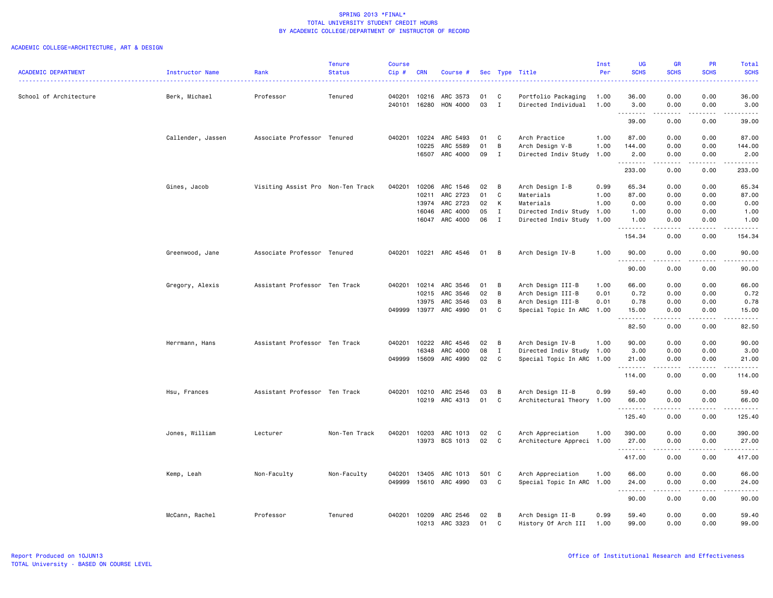|                            |                   |                                   | <b>Tenure</b> | Course  |            |                |     |                |                           | Inst | UG          | <b>GR</b>                                                                                                                                                    | <b>PR</b>   | Total             |
|----------------------------|-------------------|-----------------------------------|---------------|---------|------------|----------------|-----|----------------|---------------------------|------|-------------|--------------------------------------------------------------------------------------------------------------------------------------------------------------|-------------|-------------------|
| <b>ACADEMIC DEPARTMENT</b> | Instructor Name   | Rank                              | <b>Status</b> | $Cip$ # | <b>CRN</b> | Course #       |     |                | Sec Type Title            | Per  | <b>SCHS</b> | <b>SCHS</b>                                                                                                                                                  | <b>SCHS</b> | <b>SCHS</b>       |
| School of Architecture     | Berk, Michael     | Professor                         | Tenured       | 040201  | 10216      | ARC 3573       | 01  | C              | Portfolio Packaging       | 1.00 | 36.00       | 0.00                                                                                                                                                         | 0.00        | 36.00             |
|                            |                   |                                   |               | 240101  | 16280      | HON 4000       | 03  | $\mathbf{I}$   | Directed Individual       | 1.00 | 3.00<br>.   | 0.00                                                                                                                                                         | 0.00<br>.   | 3.00<br>د د د د د |
|                            |                   |                                   |               |         |            |                |     |                |                           |      | 39.00       | 0.00                                                                                                                                                         | 0.00        | 39.00             |
|                            | Callender, Jassen | Associate Professor Tenured       |               | 040201  | 10224      | ARC 5493       | 01  | C              | Arch Practice             | 1.00 | 87.00       | 0.00                                                                                                                                                         | 0.00        | 87.00             |
|                            |                   |                                   |               |         | 10225      | ARC 5589       | 01  | B              | Arch Design V-B           | 1.00 | 144.00      | 0.00                                                                                                                                                         | 0.00        | 144.00            |
|                            |                   |                                   |               |         | 16507      | ARC 4000       | 09  | I              | Directed Indiv Study 1.00 |      | 2.00<br>.   | 0.00<br>المتمام المتعاد                                                                                                                                      | 0.00<br>.   | 2.00<br>.         |
|                            |                   |                                   |               |         |            |                |     |                |                           |      | 233.00      | 0.00                                                                                                                                                         | 0.00        | 233.00            |
|                            | Gines, Jacob      | Visiting Assist Pro Non-Ten Track |               | 040201  | 10206      | ARC 1546       | 02  | B              | Arch Design I-B           | 0.99 | 65.34       | 0.00                                                                                                                                                         | 0.00        | 65.34             |
|                            |                   |                                   |               |         | 10211      | ARC 2723       | 01  | C              | Materials                 | 1.00 | 87.00       | 0.00                                                                                                                                                         | 0.00        | 87.00             |
|                            |                   |                                   |               |         | 13974      | ARC 2723       | 02  | К              | Materials                 | 1.00 | 0.00        | 0.00                                                                                                                                                         | 0.00        | 0.00              |
|                            |                   |                                   |               |         | 16046      | ARC 4000       | 05  | $\mathbf I$    | Directed Indiv Study 1.00 |      | 1.00        | 0.00                                                                                                                                                         | 0.00        | 1.00              |
|                            |                   |                                   |               |         | 16047      | ARC 4000       | 06  | $\mathbf{I}$   | Directed Indiv Study 1.00 |      | 1.00<br>.   | 0.00<br><b>.</b>                                                                                                                                             | 0.00<br>.   | 1.00<br>.         |
|                            |                   |                                   |               |         |            |                |     |                |                           |      | 154.34      | 0.00                                                                                                                                                         | 0.00        | 154.34            |
|                            | Greenwood, Jane   | Associate Professor Tenured       |               | 040201  |            | 10221 ARC 4546 | 01  | $\overline{B}$ | Arch Design IV-B          | 1.00 | 90.00<br>.  | 0.00<br>-----                                                                                                                                                | 0.00<br>.   | 90.00<br>.        |
|                            |                   |                                   |               |         |            |                |     |                |                           |      | 90.00       | 0.00                                                                                                                                                         | 0.00        | 90.00             |
|                            | Gregory, Alexis   | Assistant Professor Ten Track     |               | 040201  | 10214      | ARC 3546       | 01  | B              | Arch Design III-B         | 1.00 | 66.00       | 0.00                                                                                                                                                         | 0.00        | 66.00             |
|                            |                   |                                   |               |         | 10215      | ARC 3546       | 02  | B              | Arch Design III-B         | 0.01 | 0.72        | 0.00                                                                                                                                                         | 0.00        | 0.72              |
|                            |                   |                                   |               |         | 13975      | ARC 3546       | 03  | B              | Arch Design III-B         | 0.01 | 0.78        | 0.00                                                                                                                                                         | 0.00        | 0.78              |
|                            |                   |                                   |               | 049999  | 13977      | ARC 4990       | 01  | C              | Special Topic In ARC 1.00 |      | 15.00<br>.  | 0.00<br>.                                                                                                                                                    | 0.00        | 15.00<br>.        |
|                            |                   |                                   |               |         |            |                |     |                |                           |      | 82.50       | 0.00                                                                                                                                                         | 0.00        | 82.50             |
|                            | Herrmann, Hans    | Assistant Professor Ten Track     |               | 040201  | 10222      | ARC 4546       | 02  | B              | Arch Design IV-B          | 1.00 | 90.00       | 0.00                                                                                                                                                         | 0.00        | 90.00             |
|                            |                   |                                   |               |         | 16348      | ARC 4000       | 08  | $\mathbf{I}$   | Directed Indiv Study 1.00 |      | 3.00        | 0.00                                                                                                                                                         | 0.00        | 3.00              |
|                            |                   |                                   |               | 049999  | 15609      | ARC 4990       | 02  | C.             | Special Topic In ARC 1.00 |      | 21.00<br>.  | 0.00                                                                                                                                                         | 0.00        | 21.00<br>.        |
|                            |                   |                                   |               |         |            |                |     |                |                           |      | 114.00      | 0.00                                                                                                                                                         | 0.00        | 114.00            |
|                            | Hsu, Frances      | Assistant Professor Ten Track     |               | 040201  | 10210      | ARC 2546       | 03  | B              | Arch Design II-B          | 0.99 | 59.40       | 0.00                                                                                                                                                         | 0.00        | 59.40             |
|                            |                   |                                   |               |         |            | 10219 ARC 4313 | 01  | C              | Architectural Theory 1.00 |      | 66.00<br>.  | 0.00<br>$\frac{1}{2} \left( \frac{1}{2} \right) \left( \frac{1}{2} \right) \left( \frac{1}{2} \right) \left( \frac{1}{2} \right) \left( \frac{1}{2} \right)$ | 0.00<br>.   | 66.00<br>.        |
|                            |                   |                                   |               |         |            |                |     |                |                           |      | 125.40      | 0.00                                                                                                                                                         | 0.00        | 125.40            |
|                            | Jones, William    | Lecturer                          | Non-Ten Track | 040201  | 10203      | ARC 1013       | 02  | C.             | Arch Appreciation         | 1.00 | 390.00      | 0.00                                                                                                                                                         | 0.00        | 390.00            |
|                            |                   |                                   |               |         |            | 13973 BCS 1013 | 02  | C              | Architecture Appreci 1.00 |      | 27.00<br>.  | 0.00                                                                                                                                                         | 0.00        | 27.00<br>------   |
|                            |                   |                                   |               |         |            |                |     |                |                           |      | 417.00      | 0.00                                                                                                                                                         | 0.00        | 417.00            |
|                            | Kemp, Leah        | Non-Faculty                       | Non-Faculty   | 040201  | 13405      | ARC 1013       | 501 | C              | Arch Appreciation         | 1.00 | 66.00       | 0.00                                                                                                                                                         | 0.00        | 66.00             |
|                            |                   |                                   |               | 049999  | 15610      | ARC 4990       | 03  | C              | Special Topic In ARC 1.00 |      | 24.00<br>.  | 0.00<br>$\frac{1}{2} \left( \frac{1}{2} \right) \left( \frac{1}{2} \right) \left( \frac{1}{2} \right) \left( \frac{1}{2} \right) \left( \frac{1}{2} \right)$ | 0.00<br>.   | 24.00<br>.        |
|                            |                   |                                   |               |         |            |                |     |                |                           |      | 90.00       | 0.00                                                                                                                                                         | 0.00        | 90.00             |
|                            | McCann, Rachel    | Professor                         | Tenured       | 040201  | 10209      | ARC 2546       | 02  | B              | Arch Design II-B          | 0.99 | 59.40       | 0.00                                                                                                                                                         | 0.00        | 59.40             |
|                            |                   |                                   |               |         | 10213      | ARC 3323       | 01  | C              | History Of Arch III       | 1.00 | 99.00       | 0.00                                                                                                                                                         | 0.00        | 99.00             |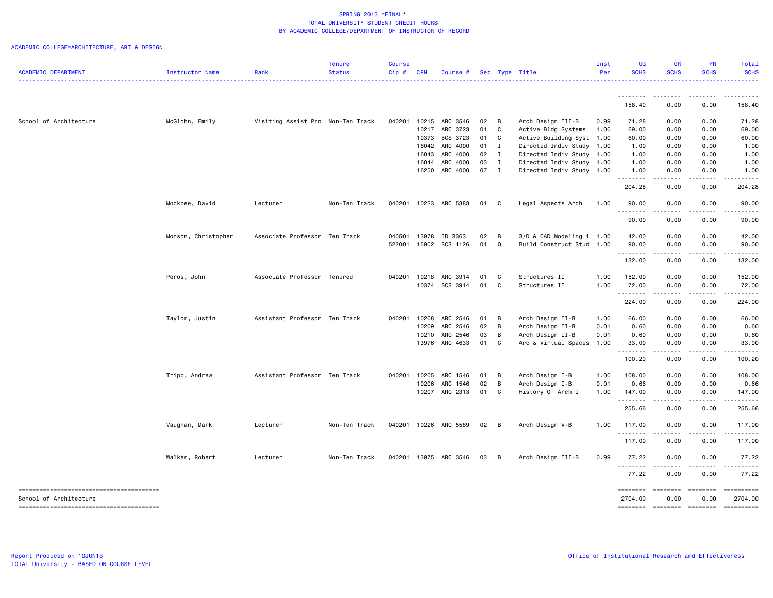| <b>ACADEMIC DEPARTMENT</b> | Instructor Name     | Rank                              | <b>Tenure</b><br><b>Status</b> | <b>Course</b><br>Cip# | <b>CRN</b> | Course #                         |              |                | Sec Type Title            | Inst<br>Per  | UG<br><b>SCHS</b>    | <b>GR</b><br><b>SCHS</b>            | PR<br><b>SCHS</b>                                                                                                                                                                                                                                                                                                                                                                                                                                                                                                   | <b>Total</b><br><b>SCHS</b> |
|----------------------------|---------------------|-----------------------------------|--------------------------------|-----------------------|------------|----------------------------------|--------------|----------------|---------------------------|--------------|----------------------|-------------------------------------|---------------------------------------------------------------------------------------------------------------------------------------------------------------------------------------------------------------------------------------------------------------------------------------------------------------------------------------------------------------------------------------------------------------------------------------------------------------------------------------------------------------------|-----------------------------|
|                            |                     |                                   |                                |                       |            |                                  |              |                |                           |              |                      |                                     |                                                                                                                                                                                                                                                                                                                                                                                                                                                                                                                     |                             |
|                            |                     |                                   |                                |                       |            |                                  |              |                |                           |              | 158.40               | 0.00                                | 0.00                                                                                                                                                                                                                                                                                                                                                                                                                                                                                                                | 158.40                      |
| School of Architecture     | McGlohn, Emily      | Visiting Assist Pro Non-Ten Track |                                | 040201                |            | 10215 ARC 3546                   | 02           | $\overline{B}$ | Arch Design III-B         | 0.99         | 71.28                | 0.00                                | 0.00                                                                                                                                                                                                                                                                                                                                                                                                                                                                                                                | 71.28                       |
|                            |                     |                                   |                                |                       |            | 10217 ARC 3723                   | 01           | $\mathbf{C}$   | Active Bldg Systems       | 1.00         | 69.00                | 0.00                                | 0.00                                                                                                                                                                                                                                                                                                                                                                                                                                                                                                                | 69.00                       |
|                            |                     |                                   |                                |                       |            | 10373 BCS 3723                   | 01           | $\mathbf{C}$   | Active Building Syst      | 1.00         | 60.00                | 0.00                                | 0.00                                                                                                                                                                                                                                                                                                                                                                                                                                                                                                                | 60.00                       |
|                            |                     |                                   |                                |                       |            | 16042 ARC 4000                   | 01           | $\mathbf{I}$   | Directed Indiv Study      | 1.00         | 1.00                 | 0.00                                | 0.00                                                                                                                                                                                                                                                                                                                                                                                                                                                                                                                | 1.00                        |
|                            |                     |                                   |                                |                       |            | 16043 ARC 4000                   | 02           | $\mathbf{I}$   | Directed Indiv Study      | 1.00         | 1.00                 | 0.00                                | 0.00                                                                                                                                                                                                                                                                                                                                                                                                                                                                                                                | 1.00                        |
|                            |                     |                                   |                                |                       |            | 16044 ARC 4000                   | 03           | $\mathbf{I}$   | Directed Indiv Study      | 1.00         | 1.00                 | 0.00                                | 0.00                                                                                                                                                                                                                                                                                                                                                                                                                                                                                                                | 1.00                        |
|                            |                     |                                   |                                |                       |            | 16250 ARC 4000                   | 07 I         |                | Directed Indiv Study 1.00 |              | 1.00<br>.            | 0.00<br>.                           | 0.00                                                                                                                                                                                                                                                                                                                                                                                                                                                                                                                | 1.00                        |
|                            |                     |                                   |                                |                       |            |                                  |              |                |                           |              | 204.28               | 0.00                                | 0.00                                                                                                                                                                                                                                                                                                                                                                                                                                                                                                                | 204.28                      |
|                            | Mockbee, David      | Lecturer                          | Non-Ten Track                  |                       |            | 040201 10223 ARC 5383            | 01           | $\mathbf{C}$   | Legal Aspects Arch        | 1.00         | 90.00                | 0.00                                | 0.00                                                                                                                                                                                                                                                                                                                                                                                                                                                                                                                | 90.00                       |
|                            |                     |                                   |                                |                       |            |                                  |              |                |                           |              | .<br>90.00           | $\sim$ $\sim$ $\sim$<br>0.00        | 0.00                                                                                                                                                                                                                                                                                                                                                                                                                                                                                                                | 90.00                       |
|                            | Monson, Christopher | Associate Professor Ten Track     |                                | 040501                |            | 13978 ID 3363                    | 02           | $\overline{B}$ | 3/D & CAD Modeling i 1.00 |              | 42.00                | 0.00                                | 0.00                                                                                                                                                                                                                                                                                                                                                                                                                                                                                                                | 42.00                       |
|                            |                     |                                   |                                | 522001                |            | 15902 BCS 1126                   | 01           | Q              | Build Construct Stud 1.00 |              | 90.00                | 0.00                                | 0.00                                                                                                                                                                                                                                                                                                                                                                                                                                                                                                                | 90.00                       |
|                            |                     |                                   |                                |                       |            |                                  |              |                |                           |              | .<br>132.00          | $\sim$ $\sim$ $\sim$ $\sim$<br>0.00 | -----<br>0.00                                                                                                                                                                                                                                                                                                                                                                                                                                                                                                       | .<br>132.00                 |
|                            | Poros, John         | Associate Professor Tenured       |                                | 040201                |            | 10218 ARC 3914                   | 01           | C.             | Structures II             | 1.00         | 152.00               | 0.00                                | 0.00                                                                                                                                                                                                                                                                                                                                                                                                                                                                                                                | 152.00                      |
|                            |                     |                                   |                                |                       |            | 10374 BCS 3914                   | 01           | C              | Structures II             | 1.00         | 72.00                | 0.00                                | 0.00                                                                                                                                                                                                                                                                                                                                                                                                                                                                                                                | 72.00                       |
|                            |                     |                                   |                                |                       |            |                                  |              |                |                           |              | .<br>224.00          | 0.00                                | 0.00                                                                                                                                                                                                                                                                                                                                                                                                                                                                                                                | 224.00                      |
|                            |                     |                                   |                                |                       |            |                                  |              |                |                           |              |                      |                                     |                                                                                                                                                                                                                                                                                                                                                                                                                                                                                                                     |                             |
|                            | Taylor, Justin      | Assistant Professor Ten Track     |                                | 040201                | 10208      | ARC 2546                         | 01           | $\overline{B}$ | Arch Design II-B          | 1.00         | 66.00                | 0.00                                | 0.00                                                                                                                                                                                                                                                                                                                                                                                                                                                                                                                | 66.00                       |
|                            |                     |                                   |                                |                       | 10209      | ARC 2546                         | 02           | $\overline{B}$ | Arch Design II-B          | 0.01         | 0.60                 | 0.00                                | 0.00                                                                                                                                                                                                                                                                                                                                                                                                                                                                                                                | 0.60                        |
|                            |                     |                                   |                                |                       |            | 10210 ARC 2546<br>13976 ARC 4633 | 03<br>01     | B<br>C         | Arch Design II-B          | 0.01<br>1.00 | 0.60<br>33.00        | 0.00<br>0.00                        | 0.00<br>0.00                                                                                                                                                                                                                                                                                                                                                                                                                                                                                                        | 0.60<br>33.00               |
|                            |                     |                                   |                                |                       |            |                                  |              |                | Arc & Virtual Spaces      |              | .                    | $\frac{1}{2}$                       | .                                                                                                                                                                                                                                                                                                                                                                                                                                                                                                                   | .                           |
|                            |                     |                                   |                                |                       |            |                                  |              |                |                           |              | 100.20               | 0.00                                | 0.00                                                                                                                                                                                                                                                                                                                                                                                                                                                                                                                | 100.20                      |
|                            | Tripp, Andrew       | Assistant Professor Ten Track     |                                | 040201                | 10205      | ARC 1546                         | 01           | B              | Arch Design I-B           | 1.00         | 108.00               | 0.00                                | 0.00                                                                                                                                                                                                                                                                                                                                                                                                                                                                                                                | 108.00                      |
|                            |                     |                                   |                                |                       |            | 10206 ARC 1546                   | 02           | $\overline{B}$ | Arch Design I-B           | 0.01         | 0.66                 | 0.00                                | 0.00                                                                                                                                                                                                                                                                                                                                                                                                                                                                                                                | 0.66                        |
|                            |                     |                                   |                                |                       |            | 10207 ARC 2313                   | 01           | C              | History Of Arch I         | 1.00         | 147.00<br>.          | 0.00<br>.                           | 0.00                                                                                                                                                                                                                                                                                                                                                                                                                                                                                                                | 147.00                      |
|                            |                     |                                   |                                |                       |            |                                  |              |                |                           |              | 255.66               | 0.00                                | 0.00                                                                                                                                                                                                                                                                                                                                                                                                                                                                                                                | 255.66                      |
|                            | Vaughan, Mark       | Lecturer                          | Non-Ten Track                  |                       |            | 040201 10226 ARC 5589            | $02 \quad B$ |                | Arch Design V-B           | 1.00         | 117.00               | 0.00                                | 0.00                                                                                                                                                                                                                                                                                                                                                                                                                                                                                                                | 117.00                      |
|                            |                     |                                   |                                |                       |            |                                  |              |                |                           |              | . <b>.</b><br>117.00 | $  -$<br>0.00                       | $- - -$<br>0.00                                                                                                                                                                                                                                                                                                                                                                                                                                                                                                     | 117.00                      |
|                            | Walker, Robert      | Lecturer                          | Non-Ten Track                  | 040201                |            | 13975 ARC 3546                   | 03           | $\overline{B}$ | Arch Design III-B         | 0.99         | 77.22                | 0.00                                | 0.00                                                                                                                                                                                                                                                                                                                                                                                                                                                                                                                | 77.22                       |
|                            |                     |                                   |                                |                       |            |                                  |              |                |                           |              | .<br>77.22           | ----<br>0.00                        | .<br>0.00                                                                                                                                                                                                                                                                                                                                                                                                                                                                                                           | 77.22                       |
|                            |                     |                                   |                                |                       |            |                                  |              |                |                           |              | <b>EDESSERS</b>      | $= 222222222$                       | $\begin{array}{c} \multicolumn{3}{c} {\color{blue} \textbf{2}} & \multicolumn{3}{c} {\color{blue} \textbf{3}} \\ \multicolumn{3}{c} {\color{blue} \textbf{4}} & \multicolumn{3}{c} {\color{blue} \textbf{5}} & \multicolumn{3}{c} {\color{blue} \textbf{6}} \\ \multicolumn{3}{c} {\color{blue} \textbf{5}} & \multicolumn{3}{c} {\color{blue} \textbf{6}} & \multicolumn{3}{c} {\color{blue} \textbf{6}} \\ \multicolumn{3}{c} {\color{blue} \textbf{6}} & \multicolumn{3}{c} {\color{blue} \textbf{6}} & \multic$ | ==========                  |
| School of Architecture     |                     |                                   |                                |                       |            |                                  |              |                |                           |              | 2704.00              | 0.00                                | 0.00                                                                                                                                                                                                                                                                                                                                                                                                                                                                                                                | 2704.00                     |
|                            |                     |                                   |                                |                       |            |                                  |              |                |                           |              |                      |                                     | $=$ ========                                                                                                                                                                                                                                                                                                                                                                                                                                                                                                        | - ==========                |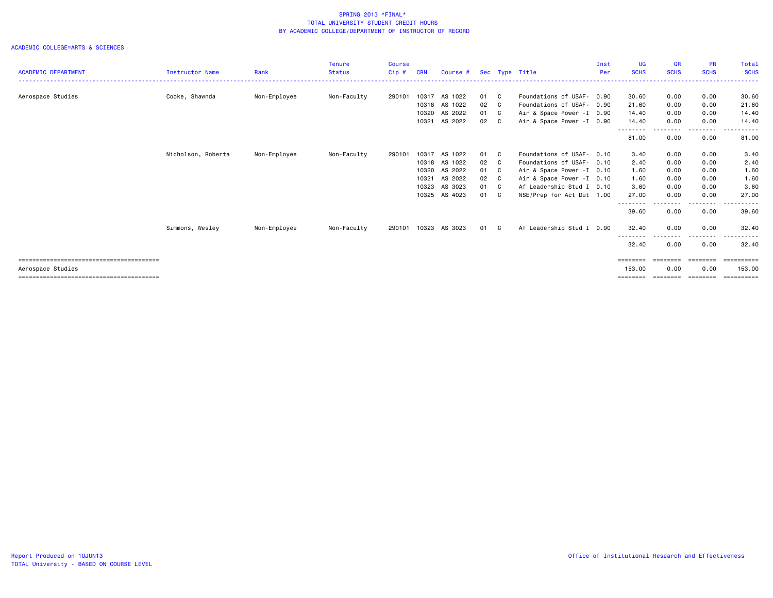| <b>ACADEMIC DEPARTMENT</b> | <b>Instructor Name</b> | Rank         | <b>Tenure</b><br><b>Status</b> | Course<br>Cip# | <b>CRN</b> | Course #      |      |    | Sec Type Title             | Inst<br>Per | <b>UG</b><br><b>SCHS</b> | <b>GR</b><br><b>SCHS</b> | <b>PR</b><br><b>SCHS</b> | Total<br><b>SCHS</b> |
|----------------------------|------------------------|--------------|--------------------------------|----------------|------------|---------------|------|----|----------------------------|-------------|--------------------------|--------------------------|--------------------------|----------------------|
|                            |                        |              |                                |                |            |               |      |    |                            |             |                          |                          |                          | -------              |
| Aerospace Studies          | Cooke, Shawnda         | Non-Employee | Non-Faculty                    | 290101         |            | 10317 AS 1022 | 01 C |    | Foundations of USAF- 0.90  |             | 30.60                    | 0.00                     | 0.00                     | 30.60                |
|                            |                        |              |                                |                |            | 10318 AS 1022 | 02   | C. | Foundations of USAF- 0.90  |             | 21.60                    | 0.00                     | 0.00                     | 21.60                |
|                            |                        |              |                                |                | 10320      | AS 2022       | 01 C |    | Air & Space Power - I 0.90 |             | 14.40                    | 0.00                     | 0.00                     | 14.40                |
|                            |                        |              |                                |                | 10321      | AS 2022       | 02 C |    | Air & Space Power - I 0.90 |             | 14.40                    | 0.00                     | 0.00                     | 14.40                |
|                            |                        |              |                                |                |            |               |      |    |                            |             | --------<br>81.00        | 0.00                     | 0.00                     | 81.00                |
|                            | Nicholson, Roberta     | Non-Employee | Non-Faculty                    | 290101         | 10317      | AS 1022       | 01 C |    | Foundations of USAF- 0.10  |             | 3.40                     | 0.00                     | 0.00                     | 3.40                 |
|                            |                        |              |                                |                |            | 10318 AS 1022 | 02   | C  | Foundations of USAF- 0.10  |             | 2.40                     | 0.00                     | 0.00                     | 2.40                 |
|                            |                        |              |                                |                | 10320      | AS 2022       | 01 C |    | Air & Space Power - I 0.10 |             | 1.60                     | 0.00                     | 0.00                     | 1.60                 |
|                            |                        |              |                                |                | 10321      | AS 2022       | 02 C |    | Air & Space Power - I 0.10 |             | 1.60                     | 0.00                     | 0.00                     | 1.60                 |
|                            |                        |              |                                |                | 10323      | AS 3023       | 01 C |    | Af Leadership Stud I 0.10  |             | 3.60                     | 0.00                     | 0.00                     | 3.60                 |
|                            |                        |              |                                |                |            | 10325 AS 4023 | 01 C |    | NSE/Prep for Act Dut 1.00  |             | 27.00                    | 0.00                     | 0.00                     | 27.00                |
|                            |                        |              |                                |                |            |               |      |    |                            |             | --------<br>39.60        | .<br>0.00                | 0.00                     | 39.60                |
|                            | Simmons, Wesley        | Non-Employee | Non-Faculty                    | 290101         | 10323      | AS 3023       | 01 C |    | Af Leadership Stud I 0.90  |             | 32.40                    | 0.00                     | 0.00                     | 32.40                |
|                            |                        |              |                                |                |            |               |      |    |                            |             | 32.40                    | 0.00                     | 0.00                     | 32.40                |
|                            |                        |              |                                |                |            |               |      |    |                            |             | ========                 | ========                 | ========                 | $=$ ==========       |
| Aerospace Studies          |                        |              |                                |                |            |               |      |    |                            |             | 153.00                   | 0.00                     | 0.00                     | 153.00               |
|                            |                        |              |                                |                |            |               |      |    |                            |             |                          |                          |                          |                      |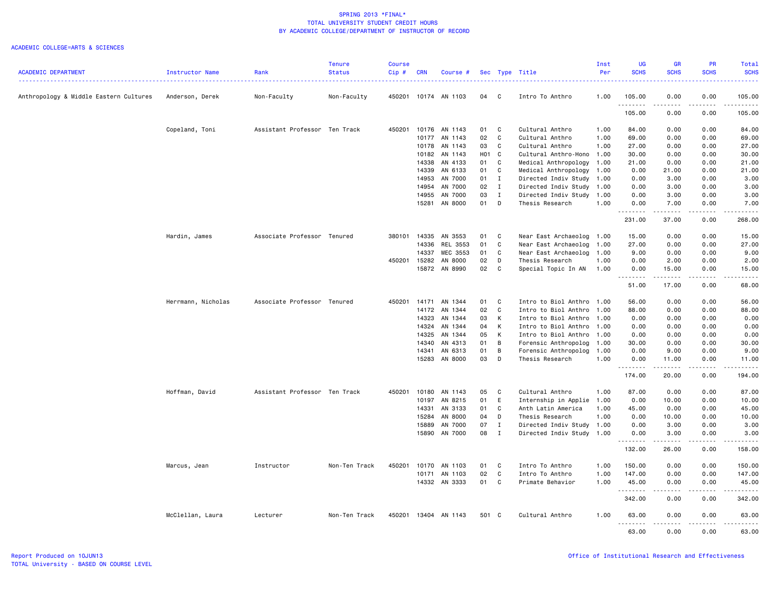|                                        |                    |                               | <b>Tenure</b> | <b>Course</b> |            |                      |       |              |                           | Inst | <b>UG</b>                                                                                                                                                    | <b>GR</b>                                                                                                                                                    | <b>PR</b>           | Total                                                                                                                                    |
|----------------------------------------|--------------------|-------------------------------|---------------|---------------|------------|----------------------|-------|--------------|---------------------------|------|--------------------------------------------------------------------------------------------------------------------------------------------------------------|--------------------------------------------------------------------------------------------------------------------------------------------------------------|---------------------|------------------------------------------------------------------------------------------------------------------------------------------|
| <b>ACADEMIC DEPARTMENT</b>             | Instructor Name    | Rank                          | <b>Status</b> | Cip#          | <b>CRN</b> | Course #             |       |              | Sec Type Title            | Per  | <b>SCHS</b>                                                                                                                                                  | <b>SCHS</b>                                                                                                                                                  | <b>SCHS</b>         | <b>SCHS</b><br>$\frac{1}{2} \left( \frac{1}{2} \right) \left( \frac{1}{2} \right) \left( \frac{1}{2} \right) \left( \frac{1}{2} \right)$ |
| Anthropology & Middle Eastern Cultures | Anderson, Derek    | Non-Faculty                   | Non-Faculty   |               |            | 450201 10174 AN 1103 | 04    | C            | Intro To Anthro           | 1.00 | 105.00                                                                                                                                                       | 0.00                                                                                                                                                         | 0.00                | 105.00                                                                                                                                   |
|                                        |                    |                               |               |               |            |                      |       |              |                           |      | .<br>105.00                                                                                                                                                  | .<br>0.00                                                                                                                                                    | .<br>0.00           | 2.2.2.2.2.<br>105.00                                                                                                                     |
|                                        | Copeland, Toni     | Assistant Professor Ten Track |               | 450201        | 10176      | AN 1143              | 01    | C            | Cultural Anthro           | 1.00 | 84.00                                                                                                                                                        | 0.00                                                                                                                                                         | 0.00                | 84.00                                                                                                                                    |
|                                        |                    |                               |               |               | 10177      | AN 1143              | 02    | C            | Cultural Anthro           | 1.00 | 69.00                                                                                                                                                        | 0.00                                                                                                                                                         | 0.00                | 69.00                                                                                                                                    |
|                                        |                    |                               |               |               | 10178      | AN 1143              | 03    | C            | Cultural Anthro           | 1.00 | 27.00                                                                                                                                                        | 0.00                                                                                                                                                         | 0.00                | 27.00                                                                                                                                    |
|                                        |                    |                               |               |               | 10182      | AN 1143              | H01 C |              | Cultural Anthro-Hono 1.00 |      | 30.00                                                                                                                                                        | 0.00                                                                                                                                                         | 0.00                | 30.00                                                                                                                                    |
|                                        |                    |                               |               |               | 14338      | AN 4133              | 01    | C            | Medical Anthropology      | 1.00 | 21.00                                                                                                                                                        | 0.00                                                                                                                                                         | 0.00                | 21.00                                                                                                                                    |
|                                        |                    |                               |               |               | 14339      | AN 6133              | 01    | C            | Medical Anthropology      | 1.00 | 0.00                                                                                                                                                         | 21.00                                                                                                                                                        | 0.00                | 21.00                                                                                                                                    |
|                                        |                    |                               |               |               | 14953      | AN 7000              | 01    | $\mathbf{I}$ | Directed Indiv Study      | 1.00 | 0.00                                                                                                                                                         | 3.00                                                                                                                                                         | 0.00                | 3.00                                                                                                                                     |
|                                        |                    |                               |               |               | 14954      | AN 7000              | 02    | $\mathbf{I}$ | Directed Indiv Study      | 1.00 | 0.00                                                                                                                                                         | 3.00                                                                                                                                                         | 0.00                | 3.00                                                                                                                                     |
|                                        |                    |                               |               |               | 14955      | AN 7000              | 03    | $\mathbf{I}$ | Directed Indiv Study 1.00 |      | 0.00                                                                                                                                                         | 3.00                                                                                                                                                         | 0.00                | 3.00                                                                                                                                     |
|                                        |                    |                               |               |               | 15281      | AN 8000              | 01    | D            | Thesis Research           | 1.00 | 0.00<br><u>.</u>                                                                                                                                             | 7.00<br>.                                                                                                                                                    | 0.00<br>.           | 7.00<br>.                                                                                                                                |
|                                        |                    |                               |               |               |            |                      |       |              |                           |      | 231.00                                                                                                                                                       | 37.00                                                                                                                                                        | 0.00                | 268.00                                                                                                                                   |
|                                        | Hardin, James      | Associate Professor Tenured   |               | 380101        | 14335      | AN 3553              | 01    | C            | Near East Archaeolog 1.00 |      | 15.00                                                                                                                                                        | 0.00                                                                                                                                                         | 0.00                | 15.00                                                                                                                                    |
|                                        |                    |                               |               |               | 14336      | REL 3553             | 01    | C            | Near East Archaeolog      | 1.00 | 27.00                                                                                                                                                        | 0.00                                                                                                                                                         | 0.00                | 27.00                                                                                                                                    |
|                                        |                    |                               |               |               | 14337      | MEC 3553             | 01    | C            | Near East Archaeolog      | 1.00 | 9.00                                                                                                                                                         | 0.00                                                                                                                                                         | 0.00                | 9.00                                                                                                                                     |
|                                        |                    |                               |               | 450201        | 15282      | AN 8000              | 02    | D            | Thesis Research           | 1.00 | 0.00                                                                                                                                                         | 2.00                                                                                                                                                         | 0.00                | 2.00                                                                                                                                     |
|                                        |                    |                               |               |               | 15872      | AN 8990              | 02    | C            | Special Topic In AN       | 1.00 | 0.00<br>$\frac{1}{2} \left( \frac{1}{2} \right) \left( \frac{1}{2} \right) \left( \frac{1}{2} \right) \left( \frac{1}{2} \right) \left( \frac{1}{2} \right)$ | 15.00<br>.                                                                                                                                                   | 0.00<br>.           | 15.00<br>.                                                                                                                               |
|                                        |                    |                               |               |               |            |                      |       |              |                           |      | 51.00                                                                                                                                                        | 17.00                                                                                                                                                        | 0.00                | 68.00                                                                                                                                    |
|                                        | Herrmann, Nicholas | Associate Professor Tenured   |               | 450201        | 14171      | AN 1344              | 01    | C            | Intro to Biol Anthro 1.00 |      | 56.00                                                                                                                                                        | 0.00                                                                                                                                                         | 0.00                | 56.00                                                                                                                                    |
|                                        |                    |                               |               |               | 14172      | AN 1344              | 02    | C            | Intro to Biol Anthro      | 1.00 | 88.00                                                                                                                                                        | 0.00                                                                                                                                                         | 0.00                | 88.00                                                                                                                                    |
|                                        |                    |                               |               |               | 14323      | AN 1344              | 03    | К            | Intro to Biol Anthro 1.00 |      | 0.00                                                                                                                                                         | 0.00                                                                                                                                                         | 0.00                | 0.00                                                                                                                                     |
|                                        |                    |                               |               |               | 14324      | AN 1344              | 04    | к            | Intro to Biol Anthro 1.00 |      | 0.00                                                                                                                                                         | 0.00                                                                                                                                                         | 0.00                | 0.00                                                                                                                                     |
|                                        |                    |                               |               |               | 14325      | AN 1344              | 05    | К            | Intro to Biol Anthro 1.00 |      | 0.00                                                                                                                                                         | 0.00                                                                                                                                                         | 0.00                | 0.00                                                                                                                                     |
|                                        |                    |                               |               |               | 14340      | AN 4313              | 01    | B            | Forensic Anthropolog      | 1.00 | 30.00                                                                                                                                                        | 0.00                                                                                                                                                         | 0.00                | 30.00                                                                                                                                    |
|                                        |                    |                               |               |               | 14341      | AN 6313              | 01    | B            | Forensic Anthropolog      | 1.00 | 0.00                                                                                                                                                         | 9.00                                                                                                                                                         | 0.00                | 9.00                                                                                                                                     |
|                                        |                    |                               |               |               |            | 15283 AN 8000        | 03    | D            | Thesis Research           | 1.00 | 0.00<br>.                                                                                                                                                    | 11.00<br><u>.</u>                                                                                                                                            | 0.00<br>.           | 11.00<br><u>.</u>                                                                                                                        |
|                                        |                    |                               |               |               |            |                      |       |              |                           |      | 174.00                                                                                                                                                       | 20.00                                                                                                                                                        | 0.00                | 194.00                                                                                                                                   |
|                                        | Hoffman, David     | Assistant Professor Ten Track |               | 450201        | 10180      | AN 1143              | 05    | C            | Cultural Anthro           | 1.00 | 87.00                                                                                                                                                        | 0.00                                                                                                                                                         | 0.00                | 87.00                                                                                                                                    |
|                                        |                    |                               |               |               | 10197      | AN 8215              | 01    | E            | Internship in Applie 1.00 |      | 0.00                                                                                                                                                         | 10.00                                                                                                                                                        | 0.00                | 10.00                                                                                                                                    |
|                                        |                    |                               |               |               | 14331      | AN 3133              | 01    | C            | Anth Latin America        | 1.00 | 45.00                                                                                                                                                        | 0.00                                                                                                                                                         | 0.00                | 45.00                                                                                                                                    |
|                                        |                    |                               |               |               | 15284      | AN 8000              | 04    | D            | Thesis Research           | 1.00 | 0.00                                                                                                                                                         | 10.00                                                                                                                                                        | 0.00                | 10.00                                                                                                                                    |
|                                        |                    |                               |               |               | 15889      | AN 7000              | 07    | Ι            | Directed Indiv Study 1.00 |      | 0.00                                                                                                                                                         | 3.00                                                                                                                                                         | 0.00                | 3.00                                                                                                                                     |
|                                        |                    |                               |               |               | 15890      | AN 7000              | 08    | $\mathbf{I}$ | Directed Indiv Study      | 1.00 | 0.00<br>$\frac{1}{2} \left( \frac{1}{2} \right) \left( \frac{1}{2} \right) \left( \frac{1}{2} \right) \left( \frac{1}{2} \right) \left( \frac{1}{2} \right)$ | 3.00<br>المتمام المتحدة                                                                                                                                      | 0.00<br>.           | 3.00<br>المتمام                                                                                                                          |
|                                        |                    |                               |               |               |            |                      |       |              |                           |      | 132.00                                                                                                                                                       | 26.00                                                                                                                                                        | 0.00                | 158.00                                                                                                                                   |
|                                        | Marcus, Jean       | Instructor                    | Non-Ten Track | 450201        | 10170      | AN 1103              | 01    | C            | Intro To Anthro           | 1.00 | 150.00                                                                                                                                                       | 0.00                                                                                                                                                         | 0.00                | 150.00                                                                                                                                   |
|                                        |                    |                               |               |               | 10171      | AN 1103              | 02    | C            | Intro To Anthro           | 1.00 | 147.00                                                                                                                                                       | 0.00                                                                                                                                                         | 0.00                | 147.00                                                                                                                                   |
|                                        |                    |                               |               |               |            | 14332 AN 3333        | 01    | C            | Primate Behavior          | 1.00 | 45.00                                                                                                                                                        | 0.00                                                                                                                                                         | 0.00                | 45.00                                                                                                                                    |
|                                        |                    |                               |               |               |            |                      |       |              |                           |      | .<br>342.00                                                                                                                                                  | $\frac{1}{2} \left( \frac{1}{2} \right) \left( \frac{1}{2} \right) \left( \frac{1}{2} \right) \left( \frac{1}{2} \right) \left( \frac{1}{2} \right)$<br>0.00 | $- - - - -$<br>0.00 | .<br>342.00                                                                                                                              |
|                                        | McClellan, Laura   | Lecturer                      | Non-Ten Track | 450201        |            | 13404 AN 1143        | 501 C |              | Cultural Anthro           | 1.00 | 63.00<br>.                                                                                                                                                   | 0.00<br><u>.</u>                                                                                                                                             | 0.00<br>.           | 63.00<br>.                                                                                                                               |
|                                        |                    |                               |               |               |            |                      |       |              |                           |      | 63,00                                                                                                                                                        | 0.00                                                                                                                                                         | 0.00                | 63.00                                                                                                                                    |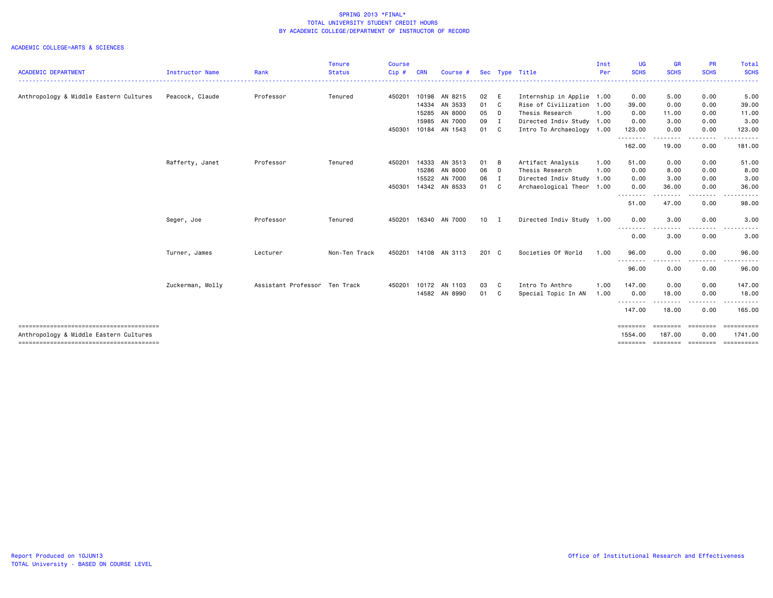|                                        |                  |                               | Tenure        | <b>Course</b> |            |                      |               |                           | Inst | UG                  | <b>GR</b>               | <b>PR</b>                 | Total            |
|----------------------------------------|------------------|-------------------------------|---------------|---------------|------------|----------------------|---------------|---------------------------|------|---------------------|-------------------------|---------------------------|------------------|
| <b>ACADEMIC DEPARTMENT</b>             | Instructor Name  | Rank                          | <b>Status</b> | $Cip$ #       | <b>CRN</b> | Course #             |               | Sec Type Title            | Per  | <b>SCHS</b><br>.    | <b>SCHS</b><br><u>.</u> | <b>SCHS</b>               | <b>SCHS</b>      |
| Anthropology & Middle Eastern Cultures | Peacock, Claude  | Professor                     | Tenured       | 450201        | 10198      | AN 8215              | 02 E          | Internship in Applie 1.00 |      | 0.00                | 5.00                    | 0.00                      | 5.00             |
|                                        |                  |                               |               |               | 14334      | AN 3533              | 01 C          | Rise of Civilization 1.00 |      | 39.00               | 0.00                    | 0.00                      | 39.00            |
|                                        |                  |                               |               |               | 15285      | AN 8000              | 05 D          | Thesis Research           | 1.00 | 0.00                | 11.00                   | 0.00                      | 11.00            |
|                                        |                  |                               |               |               | 15985      | AN 7000              | 09 I          | Directed Indiv Study 1.00 |      | 0.00                | 3.00                    | 0.00                      | 3.00             |
|                                        |                  |                               |               | 450301        |            | 10184 AN 1543        | 01 C          | Intro To Archaeology 1.00 |      | 123.00<br>--------- | 0.00<br>----            | 0.00<br><u>.</u>          | 123.00           |
|                                        |                  |                               |               |               |            |                      |               |                           |      | 162.00              | 19.00                   | 0.00                      | 181.00           |
|                                        | Rafferty, Janet  | Professor                     | Tenured       | 450201        |            | 14333 AN 3513        | 01 B          | Artifact Analysis         | 1.00 | 51.00               | 0.00                    | 0.00                      | 51.00            |
|                                        |                  |                               |               |               |            | 15286 AN 8000        | 06 D          | Thesis Research           | 1.00 | 0.00                | 8.00                    | 0.00                      | 8.00             |
|                                        |                  |                               |               |               |            | 15522 AN 7000        | 06 I          | Directed Indiv Study      | 1.00 | 0.00                | 3.00                    | 0.00                      | 3.00             |
|                                        |                  |                               |               | 450301        |            | 14342 AN 8533        | 01 C          | Archaeological Theor      | 1.00 | 0.00<br>--------    | 36.00                   | 0.00                      | 36.00            |
|                                        |                  |                               |               |               |            |                      |               |                           |      | 51.00               | . <b>.</b><br>47.00     | 0.00                      | 98.00            |
|                                        | Seger, Joe       | Professor                     | Tenured       | 450201        |            | 16340 AN 7000        | $10$ I        | Directed Indiv Study 1.00 |      | 0.00                | 3.00                    | 0.00                      | 3.00             |
|                                        |                  |                               |               |               |            |                      |               |                           |      | --------<br>0.00    | .<br>3.00               | 0.00                      | 3.00             |
|                                        | Turner, James    | Lecturer                      | Non-Ten Track |               |            | 450201 14108 AN 3113 | $201 \quad C$ | Societies Of World        | 1.00 | 96.00               | 0.00                    | 0.00                      | 96.00            |
|                                        |                  |                               |               |               |            |                      |               |                           |      | .<br>96.00          | 0.00                    | 0.00                      | 96.00            |
|                                        | Zuckerman, Molly | Assistant Professor Ten Track |               | 450201        |            | 10172 AN 1103        | 03 C          | Intro To Anthro           | 1.00 | 147.00              | 0.00                    | 0.00                      | 147.00           |
|                                        |                  |                               |               |               |            | 14582 AN 8990        | 01 C          | Special Topic In AN       | 1.00 | 0.00                | 18.00                   | 0.00                      | 18.00            |
|                                        |                  |                               |               |               |            |                      |               |                           |      | .<br>147.00         | -----<br>18.00          | -----<br>0.00             | 165.00           |
|                                        |                  |                               |               |               |            |                      |               |                           |      | ========            | <b>BEBBEEBE</b>         | ========                  | <b>SERRESERE</b> |
| Anthropology & Middle Eastern Cultures |                  |                               |               |               |            |                      |               |                           |      | 1554.00             | 187.00                  | 0.00<br>======== ======== | 1741.00          |
|                                        |                  |                               |               |               |            |                      |               |                           |      | ========            |                         |                           | ==========       |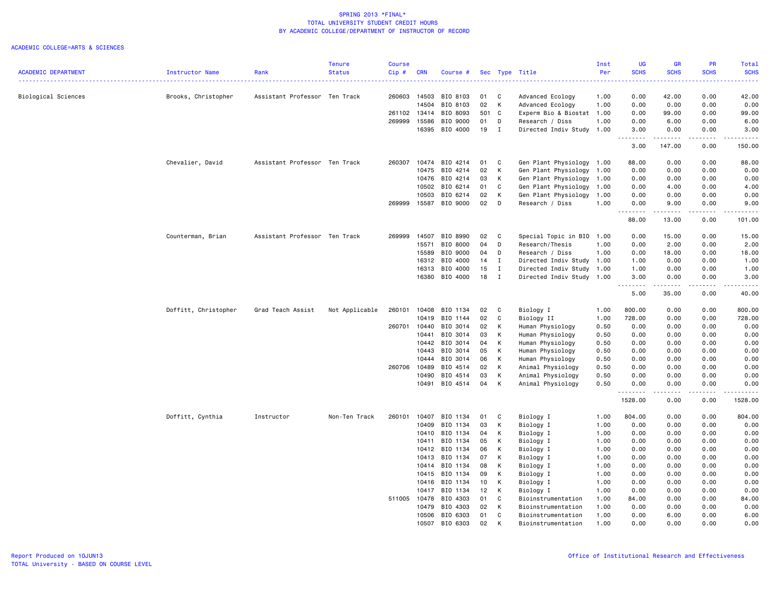|                            |                      |                               | <b>Tenure</b>  | <b>Course</b> |              |                |       |                |                           | Inst | UG          | GR          | PR          | Total       |
|----------------------------|----------------------|-------------------------------|----------------|---------------|--------------|----------------|-------|----------------|---------------------------|------|-------------|-------------|-------------|-------------|
| <b>ACADEMIC DEPARTMENT</b> | Instructor Name      | Rank                          | <b>Status</b>  | Cip#          | <b>CRN</b>   | Course #       |       |                | Sec Type Title            | Per  | <b>SCHS</b> | <b>SCHS</b> | <b>SCHS</b> | <b>SCHS</b> |
|                            |                      |                               |                |               |              |                |       |                |                           |      |             |             |             |             |
| Biological Sciences        | Brooks, Christopher  | Assistant Professor Ten Track |                | 260603        | 14503        | BIO 8103       | 01    | C              | Advanced Ecology          | 1.00 | 0.00        | 42.00       | 0.00        | 42.00       |
|                            |                      |                               |                |               | 14504        | BIO 8103       | 02    | K              | Advanced Ecology          | 1.00 | 0.00        | 0.00        | 0.00        | 0.00        |
|                            |                      |                               |                |               | 261102 13414 | BIO 8093       | 501 C |                | Experm Bio & Biostat 1.00 |      | 0.00        | 99.00       | 0.00        | 99.00       |
|                            |                      |                               |                | 269999        | 15586        | BIO 9000       | 01    | D              | Research / Diss           | 1.00 | 0.00        | 6.00        | 0.00        | 6.00        |
|                            |                      |                               |                |               | 16395        | BIO 4000       | 19    | $\blacksquare$ | Directed Indiv Study 1.00 |      | 3.00        | 0.00        | 0.00        | 3.00        |
|                            |                      |                               |                |               |              |                |       |                |                           |      | 3.00        | 147.00      | 0.00        | 150.00      |
|                            | Chevalier, David     | Assistant Professor Ten Track |                | 260307        | 10474        | BIO 4214       | 01    | <b>C</b>       | Gen Plant Physiology 1.00 |      | 88.00       | 0.00        | 0.00        | 88.00       |
|                            |                      |                               |                |               | 10475        | BIO 4214       | 02    | K              | Gen Plant Physiology      | 1.00 | 0.00        | 0.00        | 0.00        | 0.00        |
|                            |                      |                               |                |               | 10476        | BIO 4214       | 03    | К              | Gen Plant Physiology 1.00 |      | 0.00        | 0.00        | 0.00        | 0.00        |
|                            |                      |                               |                |               | 10502        | BIO 6214       | 01    | C              | Gen Plant Physiology      | 1.00 | 0.00        | 4.00        | 0.00        | 4.00        |
|                            |                      |                               |                |               | 10503        | BIO 6214       | 02    | K              | Gen Plant Physiology      | 1.00 | 0.00        | 0.00        | 0.00        | 0.00        |
|                            |                      |                               |                | 269999        |              | 15587 BIO 9000 | 02    | D              | Research / Diss           | 1.00 | 0.00        | 9.00        | 0.00        | 9.00        |
|                            |                      |                               |                |               |              |                |       |                |                           |      | .<br>88.00  | .<br>13.00  | .<br>0.00   | 101.00      |
|                            | Counterman, Brian    | Assistant Professor Ten Track |                | 269999        | 14507        | BIO 8990       | 02    | C              | Special Topic in BIO 1.00 |      | 0.00        | 15.00       | 0.00        | 15.00       |
|                            |                      |                               |                |               | 15571        | BIO 8000       | 04    | D              | Research/Thesis           | 1.00 | 0.00        | 2.00        | 0.00        | 2.00        |
|                            |                      |                               |                |               | 15589        | BIO 9000       | 04    | D              | Research / Diss           | 1.00 | 0.00        | 18.00       | 0.00        | 18.00       |
|                            |                      |                               |                |               | 16312        | BIO 4000       | 14    | I              | Directed Indiv Study 1.00 |      | 1.00        | 0.00        | 0.00        | 1.00        |
|                            |                      |                               |                |               | 16313        | BIO 4000       | 15    | $\mathbf{I}$   | Directed Indiv Study      | 1.00 | 1.00        | 0.00        | 0.00        | 1.00        |
|                            |                      |                               |                |               |              | 16380 BIO 4000 | 18    | $\mathbf{I}$   | Directed Indiv Study 1.00 |      | 3.00        | 0.00        | 0.00        | 3.00        |
|                            |                      |                               |                |               |              |                |       |                |                           |      | 5.00        | 35.00       | .<br>0.00   | 40.00       |
|                            | Doffitt, Christopher | Grad Teach Assist             | Not Applicable | 260101        | 10408        | BIO 1134       | 02    | C              | Biology I                 | 1.00 | 800.00      | 0.00        | 0.00        | 800.00      |
|                            |                      |                               |                |               | 10419        | BIO 1144       | 02    | C              | Biology II                | 1.00 | 728.00      | 0.00        | 0.00        | 728.00      |
|                            |                      |                               |                | 260701        | 10440        | BIO 3014       | 02    | К              | Human Physiology          | 0.50 | 0.00        | 0.00        | 0.00        | 0.00        |
|                            |                      |                               |                |               | 10441        | BIO 3014       | 03    | К              | Human Physiology          | 0.50 | 0.00        | 0.00        | 0.00        | 0.00        |
|                            |                      |                               |                |               | 10442        | BIO 3014       | 04    | K              | Human Physiology          | 0.50 | 0.00        | 0.00        | 0.00        | 0.00        |
|                            |                      |                               |                |               | 10443        | BIO 3014       | 05    | К              | Human Physiology          | 0.50 | 0.00        | 0.00        | 0.00        | 0.00        |
|                            |                      |                               |                |               | 10444        | BIO 3014       | 06    | К              | Human Physiology          | 0.50 | 0.00        | 0.00        | 0.00        | 0.00        |
|                            |                      |                               |                |               | 260706 10489 | BIO 4514       | 02    | K              | Animal Physiology         | 0.50 | 0.00        | 0.00        | 0.00        | 0.00        |
|                            |                      |                               |                |               | 10490        | BIO 4514       | 03    | К              | Animal Physiology         | 0.50 | 0.00        | 0.00        | 0.00        | 0.00        |
|                            |                      |                               |                |               | 10491        | BIO 4514       | 04    | К              | Animal Physiology         | 0.50 | 0.00        | 0.00        | 0.00        | 0.00        |
|                            |                      |                               |                |               |              |                |       |                |                           |      | 1528.00     | 0.00        | 0.00        | 1528.00     |
|                            | Doffitt, Cynthia     | Instructor                    | Non-Ten Track  | 260101        | 10407        | BIO 1134       | 01    | C              | Biology I                 | 1.00 | 804.00      | 0.00        | 0.00        | 804.00      |
|                            |                      |                               |                |               | 10409        | BIO 1134       | 03    | К              | Biology I                 | 1.00 | 0.00        | 0.00        | 0.00        | 0.00        |
|                            |                      |                               |                |               | 10410        | BIO 1134       | 04    | К              | Biology I                 | 1.00 | 0.00        | 0.00        | 0.00        | 0.00        |
|                            |                      |                               |                |               | 10411        | BIO 1134       | 05    | К              | Biology I                 | 1.00 | 0.00        | 0.00        | 0.00        | 0.00        |
|                            |                      |                               |                |               | 10412        | BIO 1134       | 06    | K              | Biology I                 | 1.00 | 0.00        | 0.00        | 0.00        | 0.00        |
|                            |                      |                               |                |               | 10413        | BIO 1134       | 07    | К              | Biology I                 | 1.00 | 0.00        | 0.00        | 0.00        | 0.00        |
|                            |                      |                               |                |               | 10414        | BIO 1134       | 08    | K              | Biology I                 | 1.00 | 0.00        | 0.00        | 0.00        | 0.00        |
|                            |                      |                               |                |               | 10415        | BIO 1134       | 09    | К              | Biology I                 | 1.00 | 0.00        | 0.00        | 0.00        | 0.00        |
|                            |                      |                               |                |               | 10416        | BIO 1134       | 10    | К              | Biology I                 | 1.00 | 0.00        | 0.00        | 0.00        | 0.00        |
|                            |                      |                               |                |               | 10417        | BIO 1134       | 12    | К              | Biology I                 | 1.00 | 0.00        | 0.00        | 0.00        | 0.00        |
|                            |                      |                               |                | 511005 10478  |              | BIO 4303       | 01    | C              | Bioinstrumentation        | 1.00 | 84.00       | 0.00        | 0.00        | 84.00       |
|                            |                      |                               |                |               | 10479        | BIO 4303       | 02    | K              | Bioinstrumentation        | 1.00 | 0.00        | 0.00        | 0.00        | 0.00        |
|                            |                      |                               |                |               |              | 10506 BIO 6303 | 01    | C              | Bioinstrumentation        | 1.00 | 0.00        | 6.00        | 0.00        | 6.00        |
|                            |                      |                               |                |               |              | 10507 BIO 6303 | 02    | К              | Bioinstrumentation        | 1.00 | 0.00        | 0.00        | 0.00        | 0.00        |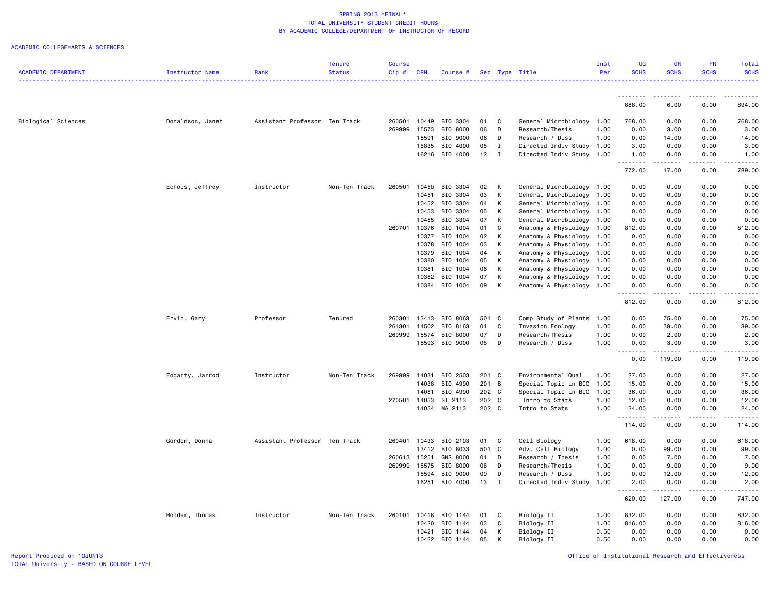| <b>ACADEMIC DEPARTMENT</b> | Instructor Name  | Rank                          | <b>Tenure</b><br><b>Status</b> | <b>Course</b><br>Cip# | <b>CRN</b>     | Course #             |          |                              | Sec Type Title                               | Inst<br>Per  | UG<br><b>SCHS</b> | <b>GR</b><br><b>SCHS</b> | <b>PR</b><br><b>SCHS</b> | <b>Total</b><br><b>SCHS</b>                                                                                                                          |
|----------------------------|------------------|-------------------------------|--------------------------------|-----------------------|----------------|----------------------|----------|------------------------------|----------------------------------------------|--------------|-------------------|--------------------------|--------------------------|------------------------------------------------------------------------------------------------------------------------------------------------------|
|                            |                  |                               |                                |                       |                |                      |          |                              |                                              |              |                   |                          |                          |                                                                                                                                                      |
|                            |                  |                               |                                |                       |                |                      |          |                              |                                              |              | 888.00            | ----<br>6.00             | 0.00                     | 894.00                                                                                                                                               |
|                            |                  |                               |                                |                       |                |                      |          |                              |                                              |              |                   |                          |                          |                                                                                                                                                      |
| Biological Sciences        | Donaldson, Janet | Assistant Professor Ten Track |                                | 260501                | 10449          | BIO 3304             | 01       | C                            | General Microbiology                         | 1.00         | 768.00            | 0.00                     | 0.00                     | 768.00                                                                                                                                               |
|                            |                  |                               |                                | 269999                | 15573          | BIO 8000             | 06       | D                            | Research/Thesis                              | 1.00         | 0.00              | 3.00                     | 0.00                     | 3.00                                                                                                                                                 |
|                            |                  |                               |                                |                       | 15591          | BIO 9000             | 06       | D                            | Research / Diss                              | 1.00         | 0.00              | 14.00                    | 0.00                     | 14.00                                                                                                                                                |
|                            |                  |                               |                                |                       | 15835          | BIO 4000             | 05       | $\mathbf{I}$<br>$\mathbf{I}$ | Directed Indiv Study 1.00                    |              | 3.00              | 0.00                     | 0.00<br>0.00             | 3.00                                                                                                                                                 |
|                            |                  |                               |                                |                       |                | 16216 BIO 4000       | 12       |                              | Directed Indiv Study 1.00                    |              | 1.00<br>.         | 0.00<br>.                | .                        | 1.00<br>.                                                                                                                                            |
|                            |                  |                               |                                |                       |                |                      |          |                              |                                              |              | 772.00            | 17.00                    | 0.00                     | 789.00                                                                                                                                               |
|                            | Echols, Jeffrey  | Instructor                    | Non-Ten Track                  | 260501                | 10450          | BIO 3304             | 02       | $\mathsf{K}$                 | General Microbiology 1.00                    |              | 0.00              | 0.00                     | 0.00                     | 0.00                                                                                                                                                 |
|                            |                  |                               |                                |                       | 10451          | BIO 3304             | 03       | K                            | General Microbiology                         | 1.00         | 0.00              | 0.00                     | 0.00                     | 0.00                                                                                                                                                 |
|                            |                  |                               |                                |                       | 10452          | BIO 3304             | 04       | K                            | General Microbiology 1.00                    |              | 0.00              | 0.00                     | 0.00                     | 0.00                                                                                                                                                 |
|                            |                  |                               |                                |                       | 10453          | BIO 3304             | 05       | K                            | General Microbiology                         | 1.00         | 0.00              | 0.00                     | 0.00                     | 0.00                                                                                                                                                 |
|                            |                  |                               |                                |                       | 10455          | BIO 3304             | 07       | K                            | General Microbiology                         | 1.00         | 0.00              | 0.00                     | 0.00                     | 0.00                                                                                                                                                 |
|                            |                  |                               |                                | 260701                | 10376          | BIO 1004             | 01       | C                            | Anatomy & Physiology                         | 1.00         | 812.00            | 0.00                     | 0.00                     | 812.00                                                                                                                                               |
|                            |                  |                               |                                |                       | 10377          | BIO 1004             | 02       | К                            | Anatomy & Physiology                         | 1.00         | 0.00              | 0.00                     | 0.00                     | 0.00                                                                                                                                                 |
|                            |                  |                               |                                |                       | 10378          | BIO 1004             | 03       | К                            | Anatomy & Physiology                         | 1.00         | 0.00              | 0.00                     | 0.00                     | 0.00                                                                                                                                                 |
|                            |                  |                               |                                |                       | 10379          | BIO 1004<br>BIO 1004 | 04<br>05 | K                            | Anatomy & Physiology                         | 1.00         | 0.00              | 0.00                     | 0.00                     | 0.00                                                                                                                                                 |
|                            |                  |                               |                                |                       | 10380<br>10381 | BIO 1004             | 06       | К<br>К                       | Anatomy & Physiology<br>Anatomy & Physiology | 1.00<br>1.00 | 0.00<br>0.00      | 0.00<br>0.00             | 0.00<br>0.00             | 0.00<br>0.00                                                                                                                                         |
|                            |                  |                               |                                |                       | 10382          | BIO 1004             | 07       | К                            | Anatomy & Physiology                         | 1.00         | 0.00              | 0.00                     | 0.00                     | 0.00                                                                                                                                                 |
|                            |                  |                               |                                |                       | 10384          | BIO 1004             | 09       | K                            | Anatomy & Physiology 1.00                    |              | 0.00              | 0.00                     | 0.00                     | 0.00                                                                                                                                                 |
|                            |                  |                               |                                |                       |                |                      |          |                              |                                              |              | .                 | .                        | .                        | $\frac{1}{2} \left( \frac{1}{2} \right) \left( \frac{1}{2} \right) \left( \frac{1}{2} \right) \left( \frac{1}{2} \right) \left( \frac{1}{2} \right)$ |
|                            |                  |                               |                                |                       |                |                      |          |                              |                                              |              | 812.00            | 0.00                     | 0.00                     | 812.00                                                                                                                                               |
|                            | Ervin, Gary      | Professor                     | Tenured                        | 260301                | 13413          | BIO 8063             | 501 C    |                              | Comp Study of Plants 1.00                    |              | 0.00              | 75.00                    | 0.00                     | 75.00                                                                                                                                                |
|                            |                  |                               |                                | 261301                | 14502          | BIO 8163             | 01       | C                            | Invasion Ecology                             | 1.00         | 0.00              | 39.00                    | 0.00                     | 39.00                                                                                                                                                |
|                            |                  |                               |                                | 269999                | 15574          | BIO 8000             | 07       | D                            | Research/Thesis                              | 1.00         | 0.00              | 2.00                     | 0.00                     | 2.00                                                                                                                                                 |
|                            |                  |                               |                                |                       |                | 15593 BIO 9000       | 08       | D                            | Research / Diss                              | 1.00         | 0.00<br><u>.</u>  | 3.00<br><u>.</u>         | 0.00<br>.                | 3.00<br><u>.</u>                                                                                                                                     |
|                            |                  |                               |                                |                       |                |                      |          |                              |                                              |              | 0.00              | 119.00                   | 0.00                     | 119.00                                                                                                                                               |
|                            | Fogarty, Jarrod  | Instructor                    | Non-Ten Track                  | 269999                | 14031          | BIO 2503             | 201 C    |                              | Environmental Qual                           | 1.00         | 27.00             | 0.00                     | 0.00                     | 27.00                                                                                                                                                |
|                            |                  |                               |                                |                       | 14038          | BIO 4990             | 201 B    |                              | Special Topic in BIO                         | 1.00         | 15.00             | 0.00                     | 0.00                     | 15.00                                                                                                                                                |
|                            |                  |                               |                                |                       | 14081          | BIO 4990             | 202 C    |                              | Special Topic in BIO                         | 1.00         | 36.00             | 0.00                     | 0.00                     | 36.00                                                                                                                                                |
|                            |                  |                               |                                | 270501                | 14053          | ST 2113              | 202 C    |                              | Intro to Stats                               | 1.00         | 12.00             | 0.00                     | 0.00                     | 12.00                                                                                                                                                |
|                            |                  |                               |                                |                       | 14054          | MA 2113              | 202 C    |                              | Intro to Stats                               | 1.00         | 24.00<br>.        | 0.00<br>.                | 0.00<br>.                | 24.00<br><b>.</b> .                                                                                                                                  |
|                            |                  |                               |                                |                       |                |                      |          |                              |                                              |              | 114.00            | 0.00                     | 0.00                     | 114.00                                                                                                                                               |
|                            | Gordon, Donna    | Assistant Professor Ten Track |                                | 260401                | 10433          | BIO 2103             | 01       | C                            | Cell Biology                                 | 1.00         | 618.00            | 0.00                     | 0.00                     | 618.00                                                                                                                                               |
|                            |                  |                               |                                |                       | 13412          | BIO 8033             | 501 C    |                              | Adv. Cell Biology                            | 1.00         | 0.00              | 99.00                    | 0.00                     | 99.00                                                                                                                                                |
|                            |                  |                               |                                | 260613                | 15251          | <b>GNS 8000</b>      | 01       | D                            | Research / Thesis                            | 1.00         | 0.00              | 7.00                     | 0.00                     | 7.00                                                                                                                                                 |
|                            |                  |                               |                                | 269999                | 15575          | BIO 8000             | 08       | D                            | Research/Thesis                              | 1.00         | 0.00              | 9.00                     | 0.00                     | 9.00                                                                                                                                                 |
|                            |                  |                               |                                |                       | 15594          | BIO 9000             | 09       | D                            | Research / Diss                              | 1.00         | 0.00              | 12.00                    | 0.00                     | 12.00                                                                                                                                                |
|                            |                  |                               |                                |                       | 16251          | BIO 4000             | 13       | $\mathbf I$                  | Directed Indiv Study                         | 1.00         | 2,00              | 0.00                     | 0.00                     | 2.00                                                                                                                                                 |
|                            |                  |                               |                                |                       |                |                      |          |                              |                                              |              | 620.00            | 127.00                   | 0.00                     | 747.00                                                                                                                                               |
|                            | Holder, Thomas   | Instructor                    | Non-Ten Track                  | 260101                | 10418          | BIO 1144             | 01       | C                            | Biology II                                   | 1.00         | 832.00            | 0.00                     | 0.00                     | 832.00                                                                                                                                               |
|                            |                  |                               |                                |                       | 10420          | BIO 1144             | 03       | C                            | Biology II                                   | 1.00         | 816.00            | 0.00                     | 0.00                     | 816.00                                                                                                                                               |
|                            |                  |                               |                                |                       | 10421          | BIO 1144             | 04       | K                            | Biology II                                   | 0.50         | 0.00              | 0.00                     | 0.00                     | 0.00                                                                                                                                                 |
|                            |                  |                               |                                |                       | 10422          | BIO 1144             | 05       | K                            | Biology II                                   | 0.50         | 0.00              | 0.00                     | 0.00                     | 0.00                                                                                                                                                 |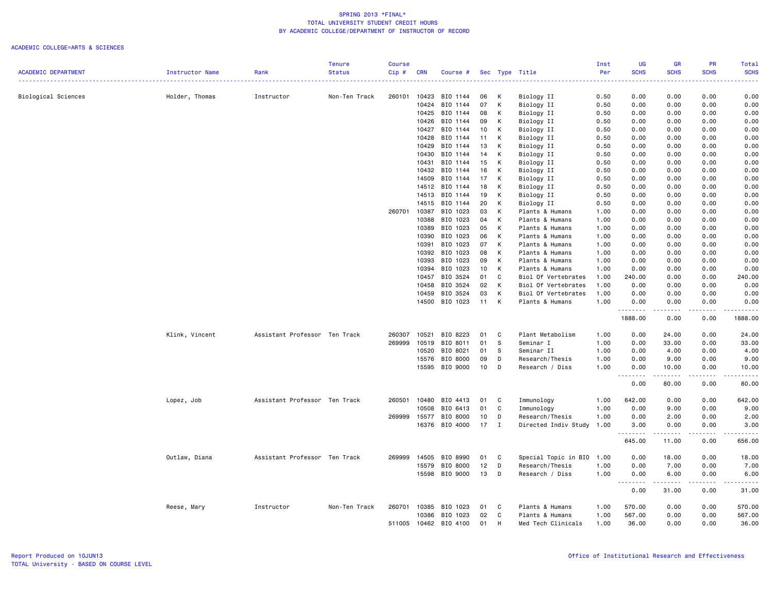|                            |                 |                               | <b>Tenure</b> | <b>Course</b> |            |          |    |              |                           | Inst | <b>UG</b>               | <b>GR</b>           | PR          | Total                |
|----------------------------|-----------------|-------------------------------|---------------|---------------|------------|----------|----|--------------|---------------------------|------|-------------------------|---------------------|-------------|----------------------|
| <b>ACADEMIC DEPARTMENT</b> | Instructor Name | Rank                          | <b>Status</b> | Cip#          | <b>CRN</b> | Course # |    |              | Sec Type Title            | Per  | <b>SCHS</b>             | <b>SCHS</b>         | <b>SCHS</b> | <b>SCHS</b><br>2222) |
| Biological Sciences        | Holder, Thomas  | Instructor                    | Non-Ten Track | 260101        | 10423      | BIO 1144 | 06 | к            | Biology II                | 0.50 | 0.00                    | 0.00                | 0.00        | 0.00                 |
|                            |                 |                               |               |               | 10424      | BIO 1144 | 07 | К            | Biology II                | 0.50 | 0.00                    | 0.00                | 0.00        | 0.00                 |
|                            |                 |                               |               |               | 10425      | BIO 1144 | 08 | Κ            | Biology II                | 0.50 | 0.00                    | 0.00                | 0.00        | 0.00                 |
|                            |                 |                               |               |               | 10426      | BIO 1144 | 09 | Κ            | Biology II                | 0.50 | 0.00                    | 0.00                | 0.00        | 0.00                 |
|                            |                 |                               |               |               | 10427      | BIO 1144 | 10 | К            | Biology II                | 0.50 | 0.00                    | 0.00                | 0.00        | 0.00                 |
|                            |                 |                               |               |               | 10428      | BIO 1144 | 11 | К            | Biology II                | 0.50 | 0.00                    | 0.00                | 0.00        | 0.00                 |
|                            |                 |                               |               |               | 10429      | BIO 1144 | 13 | К            | Biology II                | 0.50 | 0.00                    | 0.00                | 0.00        | 0.00                 |
|                            |                 |                               |               |               | 10430      | BIO 1144 | 14 | К            | Biology II                | 0.50 | 0.00                    | 0.00                | 0.00        | 0.00                 |
|                            |                 |                               |               |               | 10431      | BIO 1144 | 15 | Κ            |                           | 0.50 | 0.00                    | 0.00                | 0.00        | 0.00                 |
|                            |                 |                               |               |               | 10432      | BIO 1144 |    |              | Biology II                |      |                         |                     | 0.00        |                      |
|                            |                 |                               |               |               |            | BIO 1144 | 16 | К            | Biology II                | 0.50 | 0.00                    | 0.00                |             | 0.00                 |
|                            |                 |                               |               |               | 14509      |          | 17 | К            | Biology II                | 0.50 | 0.00                    | 0.00                | 0.00        | 0.00                 |
|                            |                 |                               |               |               | 14512      | BIO 1144 | 18 | Κ            | Biology II                | 0.50 | 0.00                    | 0.00                | 0.00        | 0.00                 |
|                            |                 |                               |               |               | 14513      | BIO 1144 | 19 | К            | Biology II                | 0.50 | 0.00                    | 0.00                | 0.00        | 0.00                 |
|                            |                 |                               |               |               | 14515      | BIO 1144 | 20 | Κ            | Biology II                | 0.50 | 0.00                    | 0.00                | 0.00        | 0.00                 |
|                            |                 |                               |               | 260701        | 10387      | BIO 1023 | 03 | Κ            | Plants & Humans           | 1.00 | 0.00                    | 0.00                | 0.00        | 0.00                 |
|                            |                 |                               |               |               | 10388      | BIO 1023 | 04 | К            | Plants & Humans           | 1.00 | 0.00                    | 0.00                | 0.00        | 0.00                 |
|                            |                 |                               |               |               | 10389      | BIO 1023 | 05 | К            | Plants & Humans           | 1.00 | 0.00                    | 0.00                | 0.00        | 0.00                 |
|                            |                 |                               |               |               | 10390      | BIO 1023 | 06 | К            | Plants & Humans           | 1.00 | 0.00                    | 0.00                | 0.00        | 0.00                 |
|                            |                 |                               |               |               | 10391      | BIO 1023 | 07 | К            | Plants & Humans           | 1.00 | 0.00                    | 0.00                | 0.00        | 0.00                 |
|                            |                 |                               |               |               | 10392      | BIO 1023 | 08 | К            | Plants & Humans           | 1.00 | 0.00                    | 0.00                | 0.00        | 0.00                 |
|                            |                 |                               |               |               | 10393      | BIO 1023 | 09 | К            | Plants & Humans           | 1.00 | 0.00                    | 0.00                | 0.00        | 0.00                 |
|                            |                 |                               |               |               | 10394      | BIO 1023 | 10 | К            | Plants & Humans           | 1.00 | 0.00                    | 0.00                | 0.00        | 0.00                 |
|                            |                 |                               |               |               | 10457      | BIO 3524 | 01 | C            | Biol Of Vertebrates       | 1.00 | 240.00                  | 0.00                | 0.00        | 240.00               |
|                            |                 |                               |               |               | 10458      | BIO 3524 | 02 | К            | Biol Of Vertebrates       | 1.00 | 0.00                    | 0.00                | 0.00        | 0.00                 |
|                            |                 |                               |               |               | 10459      | BIO 3524 | 03 | К            | Biol Of Vertebrates       | 1.00 | 0.00                    | 0.00                | 0.00        | 0.00                 |
|                            |                 |                               |               |               | 14500      | BIO 1023 | 11 | К            | Plants & Humans           | 1.00 | 0.00<br>. <b>.</b>      | 0.00<br>$- - - - -$ | 0.00<br>.   | 0.00<br><b></b>      |
|                            |                 |                               |               |               |            |          |    |              |                           |      | 1888.00                 | 0.00                | 0.00        | 1888.00              |
|                            | Klink, Vincent  | Assistant Professor Ten Track |               | 260307        | 10521      | BIO 8223 | 01 | C            | Plant Metabolism          | 1.00 | 0.00                    | 24.00               | 0.00        | 24.00                |
|                            |                 |                               |               | 269999        | 10519      | BIO 8011 | 01 | s            | Seminar I                 | 1.00 | 0.00                    | 33.00               | 0.00        | 33.00                |
|                            |                 |                               |               |               | 10520      | BIO 8021 | 01 | <b>S</b>     | Seminar II                | 1.00 | 0.00                    | 4.00                | 0.00        | 4.00                 |
|                            |                 |                               |               |               | 15576      | BIO 8000 | 09 | D            | Research/Thesis           | 1.00 | 0.00                    | 9.00                | 0.00        | 9.00                 |
|                            |                 |                               |               |               | 15595      | BIO 9000 | 10 | D            | Research / Diss           | 1.00 | 0.00                    | 10.00               | 0.00        | 10.00                |
|                            |                 |                               |               |               |            |          |    |              |                           |      | .<br>0.00               | .<br>80.00          | .<br>0.00   | .<br>80.00           |
|                            | Lopez, Job      | Assistant Professor Ten Track |               | 260501        | 10480      | BIO 4413 | 01 | C            | Immunology                | 1.00 | 642.00                  | 0.00                | 0.00        | 642.00               |
|                            |                 |                               |               |               | 10508      | BIO 6413 | 01 | C            | Immunology                | 1.00 | 0.00                    | 9.00                | 0.00        | 9.00                 |
|                            |                 |                               |               | 269999        | 15577      | BIO 8000 | 10 | D            | Research/Thesis           | 1.00 | 0.00                    | 2.00                | 0.00        | 2.00                 |
|                            |                 |                               |               |               | 16376      | BIO 4000 | 17 | $\mathbf{I}$ | Directed Indiv Study      | 1.00 | 3.00                    | 0.00                | 0.00        | 3.00                 |
|                            |                 |                               |               |               |            |          |    |              |                           |      | 645.00                  | 11.00               | 0.00        | 656.00               |
|                            | Outlaw, Diana   | Assistant Professor Ten Track |               | 269999        | 14505      | BIO 8990 | 01 | C            | Special Topic in BIO 1.00 |      | 0.00                    | 18.00               | 0.00        | 18.00                |
|                            |                 |                               |               |               | 15579      | BIO 8000 | 12 | D            | Research/Thesis           | 1.00 | 0.00                    | 7.00                | 0.00        | 7.00                 |
|                            |                 |                               |               |               | 15598      | BIO 9000 | 13 | D            | Research / Diss           | 1.00 | 0.00                    | 6.00                | 0.00        | 6.00<br><u>.</u>     |
|                            |                 |                               |               |               |            |          |    |              |                           |      | $\sim$ $\sim$ .<br>0.00 | 31.00               | .<br>0.00   | 31.00                |
|                            | Reese, Mary     | Instructor                    | Non-Ten Track | 260701        | 10385      | BIO 1023 | 01 | C.           | Plants & Humans           | 1.00 | 570.00                  | 0.00                | 0.00        | 570.00               |
|                            |                 |                               |               |               | 10386      | BIO 1023 | 02 | C            | Plants & Humans           | 1.00 | 567.00                  | 0.00                | 0.00        | 567.00               |
|                            |                 |                               |               | 511005        | 10462      | BIO 4100 | 01 | H            | Med Tech Clinicals        | 1.00 | 36.00                   | 0.00                | 0.00        | 36.00                |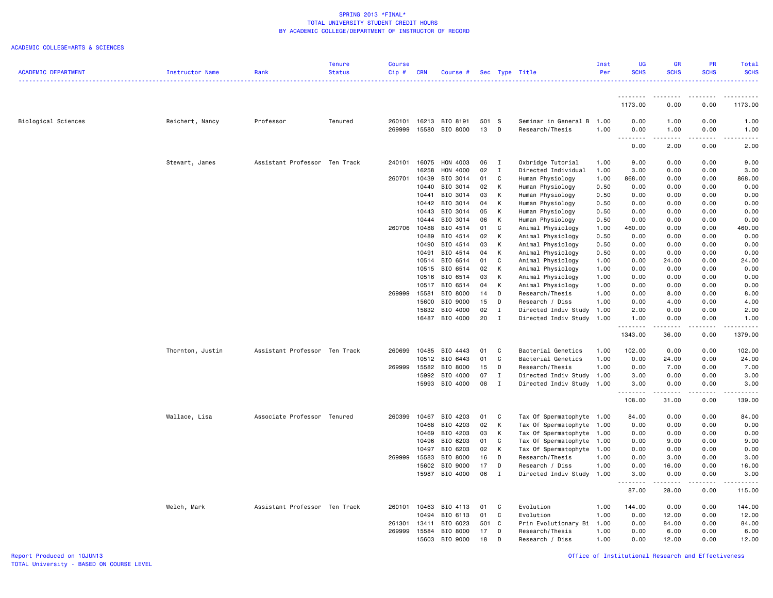|                            |                  |                               | <b>Tenure</b> | <b>Course</b> |            |                |       |              |                           | Inst | UG               | GR                                                                                                                                | PR          | Total        |
|----------------------------|------------------|-------------------------------|---------------|---------------|------------|----------------|-------|--------------|---------------------------|------|------------------|-----------------------------------------------------------------------------------------------------------------------------------|-------------|--------------|
| <b>ACADEMIC DEPARTMENT</b> | Instructor Name  | Rank                          | <b>Status</b> | Cip#          | <b>CRN</b> | Course #       |       |              | Sec Type Title            | Per  | <b>SCHS</b>      | <b>SCHS</b>                                                                                                                       | <b>SCHS</b> | <b>SCHS</b>  |
|                            |                  |                               |               |               |            |                |       |              |                           |      | .                | $\frac{1}{2} \left( \frac{1}{2} \right) \left( \frac{1}{2} \right) \left( \frac{1}{2} \right) \left( \frac{1}{2} \right)$         |             |              |
|                            |                  |                               |               |               |            |                |       |              |                           |      | 1173.00          | 0.00                                                                                                                              | 0.00        | 1173.00      |
| <b>Biological Sciences</b> | Reichert, Nancy  | Professor                     | Tenured       | 260101        |            | 16213 BIO 8191 | 501 S |              | Seminar in General B 1.00 |      | 0.00             | 1.00                                                                                                                              | 0.00        | 1.00         |
|                            |                  |                               |               | 269999        | 15580      | BIO 8000       | 13    | D            | Research/Thesis           | 1.00 | 0.00             | 1.00                                                                                                                              | 0.00        | 1.00         |
|                            |                  |                               |               |               |            |                |       |              |                           |      | .<br>0.00        | $\frac{1}{2} \left( \frac{1}{2} \right) \left( \frac{1}{2} \right) \left( \frac{1}{2} \right) \left( \frac{1}{2} \right)$<br>2.00 | .<br>0.00   | ----<br>2.00 |
|                            | Stewart, James   | Assistant Professor Ten Track |               | 240101        | 16075      | HON 4003       | 06    | $\mathbf{I}$ | Oxbridge Tutorial         | 1.00 | 9.00             | 0.00                                                                                                                              | 0.00        | 9.00         |
|                            |                  |                               |               |               | 16258      | HON 4000       | 02    | $\mathbf{I}$ | Directed Individual       | 1.00 | 3.00             | 0.00                                                                                                                              | 0.00        | 3.00         |
|                            |                  |                               |               | 260701        | 10439      | BIO 3014       | 01    | C            | Human Physiology          | 1.00 | 868.00           | 0.00                                                                                                                              | 0.00        | 868.00       |
|                            |                  |                               |               |               | 10440      | BIO 3014       | 02    | K            | Human Physiology          | 0.50 | 0.00             | 0.00                                                                                                                              | 0.00        | 0.00         |
|                            |                  |                               |               |               | 10441      | BIO 3014       | 03    | к            | Human Physiology          | 0.50 | 0.00             | 0.00                                                                                                                              | 0.00        | 0.00         |
|                            |                  |                               |               |               |            | 10442 BIO 3014 | 04    | К            | Human Physiology          | 0.50 | 0.00             | 0.00                                                                                                                              | 0.00        | 0.00         |
|                            |                  |                               |               |               | 10443      | BIO 3014       | 05    | к            | Human Physiology          | 0.50 | 0.00             | 0.00                                                                                                                              | 0.00        | 0.00         |
|                            |                  |                               |               |               |            | 10444 BIO 3014 | 06    | K            | Human Physiology          | 0.50 | 0.00             | 0.00                                                                                                                              | 0.00        | 0.00         |
|                            |                  |                               |               | 260706        | 10488      | BIO 4514       | 01    | C            | Animal Physiology         | 1.00 | 460.00           | 0.00                                                                                                                              | 0.00        | 460.00       |
|                            |                  |                               |               |               | 10489      | BIO 4514       | 02    | К            | Animal Physiology         | 0.50 | 0.00             | 0.00                                                                                                                              | 0.00        | 0.00         |
|                            |                  |                               |               |               |            | 10490 BIO 4514 | 03    | К            | Animal Physiology         | 0.50 | 0.00             | 0.00                                                                                                                              | 0.00        | 0.00         |
|                            |                  |                               |               |               | 10491      | BIO 4514       | 04    | К            | Animal Physiology         | 0.50 | 0.00             | 0.00                                                                                                                              | 0.00        | 0.00         |
|                            |                  |                               |               |               |            | 10514 BIO 6514 | 01    | C            | Animal Physiology         | 1.00 | 0.00             | 24.00                                                                                                                             | 0.00        | 24.00        |
|                            |                  |                               |               |               | 10515      | BIO 6514       | 02    | К            | Animal Physiology         | 1.00 | 0.00             | 0.00                                                                                                                              | 0.00        | 0.00         |
|                            |                  |                               |               |               | 10516      | BIO 6514       | 03    | К            | Animal Physiology         | 1.00 | 0.00             | 0.00                                                                                                                              | 0.00        | 0.00         |
|                            |                  |                               |               |               | 10517      | BIO 6514       | 04    | к            | Animal Physiology         | 1.00 | 0.00             | 0.00                                                                                                                              | 0.00        | 0.00         |
|                            |                  |                               |               | 269999        | 15581      | BIO 8000       | 14    | D            | Research/Thesis           | 1.00 | 0.00             | 8.00                                                                                                                              | 0.00        | 8.00         |
|                            |                  |                               |               |               | 15600      | BIO 9000       | 15    | D            | Research / Diss           | 1.00 | 0.00             | 4.00                                                                                                                              | 0.00        | 4.00         |
|                            |                  |                               |               |               |            | 15832 BIO 4000 | 02    | $\mathbf{I}$ | Directed Indiv Study      | 1.00 | 2.00             | 0.00                                                                                                                              | 0.00        | 2.00         |
|                            |                  |                               |               |               | 16487      | BIO 4000       | 20    | I            | Directed Indiv Study      | 1.00 | 1.00             | 0.00                                                                                                                              | 0.00        | 1.00         |
|                            |                  |                               |               |               |            |                |       |              |                           |      | 1343.00          | 36.00                                                                                                                             | 0.00        | 1379.00      |
|                            | Thornton, Justin | Assistant Professor Ten Track |               | 260699        | 10485      | BIO 4443       | 01    | $\mathbf{C}$ | Bacterial Genetics        | 1.00 | 102.00           | 0.00                                                                                                                              | 0.00        | 102.00       |
|                            |                  |                               |               |               | 10512      | BIO 6443       | 01    | C            | Bacterial Genetics        | 1.00 | 0.00             | 24.00                                                                                                                             | 0.00        | 24.00        |
|                            |                  |                               |               | 269999        | 15582      | BIO 8000       | 15    | D            | Research/Thesis           | 1.00 | 0.00             | 7.00                                                                                                                              | 0.00        | 7.00         |
|                            |                  |                               |               |               | 15992      | BIO 4000       | 07    | $\mathbf{I}$ | Directed Indiv Study 1.00 |      | 3.00             | 0.00                                                                                                                              | 0.00        | 3.00         |
|                            |                  |                               |               |               |            | 15993 BIO 4000 | 08    | $\mathbf{I}$ | Directed Indiv Study      | 1.00 | 3.00             | 0.00                                                                                                                              | 0.00        | 3.00         |
|                            |                  |                               |               |               |            |                |       |              |                           |      | 108.00           | 31.00                                                                                                                             | 0.00        | 139.00       |
|                            | Wallace, Lisa    | Associate Professor Tenured   |               | 260399        | 10467      | BIO 4203       | 01    | C            | Tax Of Spermatophyte 1.00 |      | 84.00            | 0.00                                                                                                                              | 0.00        | 84.00        |
|                            |                  |                               |               |               | 10468      | BIO 4203       | 02    | К            | Tax Of Spermatophyte      | 1.00 | 0.00             | 0.00                                                                                                                              | 0.00        | 0.00         |
|                            |                  |                               |               |               | 10469      | BIO 4203       | 03    | К            | Tax Of Spermatophyte      | 1.00 | 0.00             | 0.00                                                                                                                              | 0.00        | 0.00         |
|                            |                  |                               |               |               | 10496      | BIO 6203       | 01    | C            | Tax Of Spermatophyte      | 1.00 | 0.00             | 9.00                                                                                                                              | 0.00        | 9.00         |
|                            |                  |                               |               |               | 10497      | BIO 6203       | 02    | К            | Tax Of Spermatophyte      | 1.00 | 0.00             | 0.00                                                                                                                              | 0.00        | 0.00         |
|                            |                  |                               |               | 269999        | 15583      | BIO 8000       | 16    | D            | Research/Thesis           | 1.00 | 0.00             | 3.00                                                                                                                              | 0.00        | 3.00         |
|                            |                  |                               |               |               | 15602      | BIO 9000       | 17    | D            | Research / Diss           | 1.00 | 0.00             | 16.00                                                                                                                             | 0.00        | 16.00        |
|                            |                  |                               |               |               | 15987      | BIO 4000       | 06    | $\mathbf{I}$ | Directed Indiv Study      | 1.00 | 3.00<br><u>.</u> | 0.00                                                                                                                              | 0.00        | 3.00         |
|                            |                  |                               |               |               |            |                |       |              |                           |      | 87.00            | 28.00                                                                                                                             | 0.00        | 115.00       |
|                            | Welch, Mark      | Assistant Professor Ten Track |               | 260101        | 10463      | BIO 4113       | 01    | $\mathbf{C}$ | Evolution                 | 1.00 | 144.00           | 0.00                                                                                                                              | 0.00        | 144.00       |
|                            |                  |                               |               |               | 10494      | BIO 6113       | 01    | $\mathbf{C}$ | Evolution                 | 1.00 | 0.00             | 12.00                                                                                                                             | 0.00        | 12.00        |
|                            |                  |                               |               | 261301        | 13411      | BIO 6023       | 501 C |              | Prin Evolutionary Bi      | 1.00 | 0.00             | 84.00                                                                                                                             | 0.00        | 84.00        |
|                            |                  |                               |               | 269999        | 15584      | BIO 8000       | 17    | D            | Research/Thesis           | 1.00 | 0.00             | 6.00                                                                                                                              | 0.00        | 6.00         |
|                            |                  |                               |               |               |            | 15603 BIO 9000 | 18    | D            | Research / Diss           | 1.00 | 0.00             | 12.00                                                                                                                             | 0.00        | 12.00        |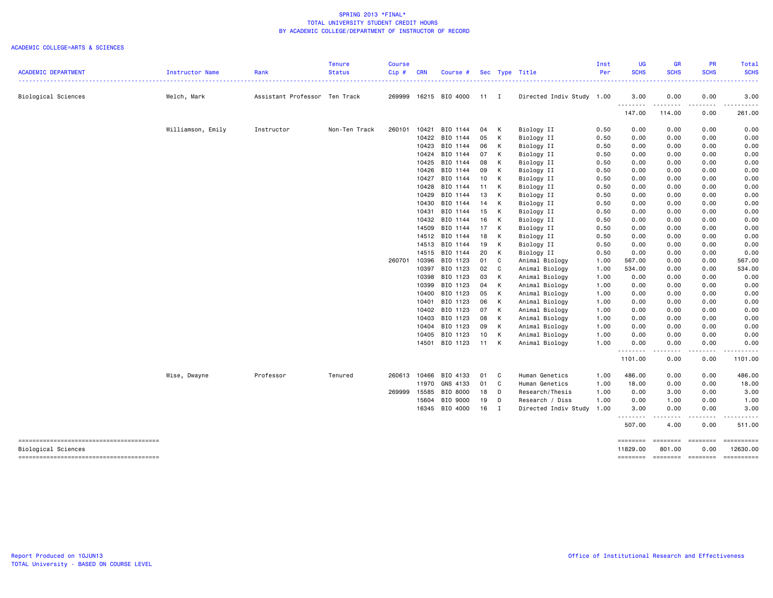|                            |                   |                               | <b>Tenure</b> | Course        |                |                      |              |                |                                  | Inst         | <b>UG</b>            | <b>GR</b>                  | PR                        | Total                  |
|----------------------------|-------------------|-------------------------------|---------------|---------------|----------------|----------------------|--------------|----------------|----------------------------------|--------------|----------------------|----------------------------|---------------------------|------------------------|
| <b>ACADEMIC DEPARTMENT</b> | Instructor Name   | Rank                          | <b>Status</b> | $Cip \#$<br>. | <b>CRN</b>     | Course #             |              |                | Sec Type Title                   | Per          | <b>SCHS</b>          | <b>SCHS</b><br>.           | <b>SCHS</b><br>---------- | <b>SCHS</b><br>.       |
| Biological Sciences        | Welch, Mark       | Assistant Professor Ten Track |               | 269999        |                | 16215 BIO 4000       | $11 \quad I$ |                | Directed Indiv Study 1.00        |              | 3.00                 | 0.00                       | 0.00                      | 3.00                   |
|                            |                   |                               |               |               |                |                      |              |                |                                  |              | <b></b><br>147.00    | ---------<br>114.00        | .<br>0.00                 | . <u>.</u> .<br>261.00 |
|                            | Williamson, Emily | Instructor                    | Non-Ten Track | 260101        | 10421          | BIO 1144             | 04           | к              | Biology II                       | 0.50         | 0.00                 | 0.00                       | 0.00                      | 0.00                   |
|                            |                   |                               |               |               | 10422          | BIO 1144             | 05           | к              | Biology II                       | 0.50         | 0.00                 | 0.00                       | 0.00                      | 0.00                   |
|                            |                   |                               |               |               | 10423          | BIO 1144             | 06           | К              | Biology II                       | 0.50         | 0.00                 | 0.00                       | 0.00                      | 0.00                   |
|                            |                   |                               |               |               | 10424          | BIO 1144             | 07           | К              | Biology II                       | 0.50         | 0.00                 | 0.00                       | 0.00                      | 0.00                   |
|                            |                   |                               |               |               | 10425          | BIO 1144             | 08           | К              | Biology II                       | 0.50         | 0.00                 | 0.00                       | 0.00                      | 0.00                   |
|                            |                   |                               |               |               | 10426          | BIO 1144             | 09           | К              | Biology II                       | 0.50         | 0.00                 | 0.00                       | 0.00                      | 0.00                   |
|                            |                   |                               |               |               | 10427          | BIO 1144             | 10           | К              | Biology II                       | 0.50         | 0.00                 | 0.00                       | 0.00                      | 0.00                   |
|                            |                   |                               |               |               | 10428          | BIO 1144             | 11           | К              | Biology II                       | 0.50         | 0.00                 | 0.00                       | 0.00                      | 0.00                   |
|                            |                   |                               |               |               | 10429          | BIO 1144             | 13           | К              | Biology II                       | 0.50         | 0.00                 | 0.00                       | 0.00                      | 0.00                   |
|                            |                   |                               |               |               | 10430          | BIO 1144             | 14           | к              | Biology II                       | 0.50         | 0.00                 | 0.00                       | 0.00                      | 0.00                   |
|                            |                   |                               |               |               | 10431          | BIO 1144             | 15           | К              | Biology II                       | 0.50         | 0.00                 | 0.00                       | 0.00                      | 0.00                   |
|                            |                   |                               |               |               | 10432          | BIO 1144             | 16           | К              | Biology II                       | 0.50         | 0.00                 | 0.00                       | 0.00                      | 0.00                   |
|                            |                   |                               |               |               | 14509          | BIO 1144             | 17           | К              | Biology II                       | 0.50         | 0.00                 | 0.00                       | 0.00                      | 0.00                   |
|                            |                   |                               |               |               |                | 14512 BIO 1144       | 18           | К              | Biology II                       | 0.50         | 0.00                 | 0.00                       | 0.00                      | 0.00                   |
|                            |                   |                               |               |               | 14513          | BIO 1144             | 19           | К              | Biology II                       | 0.50         | 0.00                 | 0.00                       | 0.00                      | 0.00                   |
|                            |                   |                               |               |               | 14515          | BIO 1144<br>BIO 1123 | 20<br>01     | К<br>C         | Biology II                       | 0.50         | 0.00                 | 0.00                       | 0.00                      | 0.00<br>567.00         |
|                            |                   |                               |               | 260701        | 10396<br>10397 | BIO 1123             | 02           | C              | Animal Biology<br>Animal Biology | 1.00<br>1.00 | 567.00<br>534.00     | 0.00<br>0.00               | 0.00<br>0.00              | 534.00                 |
|                            |                   |                               |               |               | 10398          | BIO 1123             | 03           | К              | Animal Biology                   | 1.00         | 0.00                 | 0.00                       | 0.00                      | 0.00                   |
|                            |                   |                               |               |               | 10399          | BIO 1123             | 04           | К              | Animal Biology                   | 1.00         | 0.00                 | 0.00                       | 0.00                      | 0.00                   |
|                            |                   |                               |               |               | 10400          | BIO 1123             | 05           | К              | Animal Biology                   | 1.00         | 0.00                 | 0.00                       | 0.00                      | 0.00                   |
|                            |                   |                               |               |               | 10401          | BIO 1123             | 06           | К              | Animal Biology                   | 1.00         | 0.00                 | 0.00                       | 0.00                      | 0.00                   |
|                            |                   |                               |               |               | 10402          | BIO 1123             | 07           | К              | Animal Biology                   | 1.00         | 0.00                 | 0.00                       | 0.00                      | 0.00                   |
|                            |                   |                               |               |               | 10403          | BIO 1123             | 08           | К              | Animal Biology                   | 1.00         | 0.00                 | 0.00                       | 0.00                      | 0.00                   |
|                            |                   |                               |               |               | 10404          | BIO 1123             | 09           | К              | Animal Biology                   | 1.00         | 0.00                 | 0.00                       | 0.00                      | 0.00                   |
|                            |                   |                               |               |               | 10405          | BIO 1123             | 10           | К              | Animal Biology                   | 1.00         | 0.00                 | 0.00                       | 0.00                      | 0.00                   |
|                            |                   |                               |               |               | 14501          | BIO 1123             | 11           | K              | Animal Biology                   | 1.00         | 0.00                 | 0.00<br>$- - - - - -$      | 0.00<br>.                 | 0.00<br><u>.</u>       |
|                            |                   |                               |               |               |                |                      |              |                |                                  |              | ---------<br>1101.00 | 0.00                       | 0.00                      | 1101.00                |
|                            | Wise, Dwayne      | Professor                     | Tenured       | 260613        | 10466          | BIO 4133             | 01           | C              | Human Genetics                   | 1.00         | 486.00               | 0.00                       | 0.00                      | 486.00                 |
|                            |                   |                               |               |               | 11970          | GNS 4133             | 01           | C              | Human Genetics                   | 1.00         | 18.00                | 0.00                       | 0.00                      | 18.00                  |
|                            |                   |                               |               | 269999        | 15585          | BIO 8000             | 18           | D              | Research/Thesis                  | 1.00         | 0.00                 | 3.00                       | 0.00                      | 3.00                   |
|                            |                   |                               |               |               | 15604          | BIO 9000             | 19           | D              | Research / Diss                  | 1.00         | 0.00                 | 1.00                       | 0.00                      | 1.00                   |
|                            |                   |                               |               |               |                | 16345 BIO 4000       | 16           | $\blacksquare$ | Directed Indiv Study             | 1.00         | 3.00<br>.            | 0.00<br>.                  | 0.00<br>.                 | 3.00<br>.              |
|                            |                   |                               |               |               |                |                      |              |                |                                  |              | 507.00               | 4.00                       | 0.00                      | 511.00                 |
| Biological Sciences        |                   |                               |               |               |                |                      |              |                |                                  |              | ========<br>11829.00 | ======== =======<br>801.00 | 0.00                      | 12630.00               |
|                            |                   |                               |               |               |                |                      |              |                |                                  |              | ========             | <b>EDESSERS</b>            | ========                  |                        |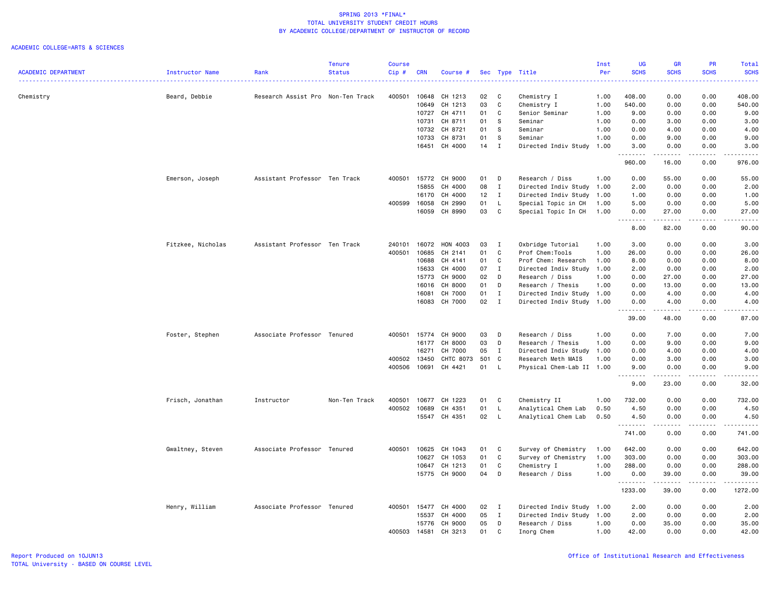|                            |                        |                                   | <b>Tenure</b> | <b>Course</b> |            |               |       |              |                           | Inst | <b>UG</b>                             | <b>GR</b>   | <b>PR</b>   | Total                                          |
|----------------------------|------------------------|-----------------------------------|---------------|---------------|------------|---------------|-------|--------------|---------------------------|------|---------------------------------------|-------------|-------------|------------------------------------------------|
| <b>ACADEMIC DEPARTMENT</b> | <b>Instructor Name</b> | Rank                              | <b>Status</b> | Cip#          | <b>CRN</b> | Course #      |       |              | Sec Type Title            | Per  | <b>SCHS</b>                           | <b>SCHS</b> | <b>SCHS</b> | <b>SCHS</b><br>.                               |
| Chemistry                  | Beard, Debbie          | Research Assist Pro Non-Ten Track |               | 400501        | 10648      | CH 1213       | 02    | C            | Chemistry I               | 1.00 | 408.00                                | 0.00        | 0.00        | 408.00                                         |
|                            |                        |                                   |               |               | 10649      | CH 1213       | 03    | C            | Chemistry I               | 1.00 | 540.00                                | 0.00        | 0.00        | 540.00                                         |
|                            |                        |                                   |               |               | 10727      | CH 4711       | 01    | C            | Senior Seminar            | 1.00 | 9.00                                  | 0.00        | 0.00        | 9.00                                           |
|                            |                        |                                   |               |               | 10731      | CH 8711       | 01    | <b>S</b>     | Seminar                   | 1.00 | 0.00                                  | 3.00        | 0.00        | 3.00                                           |
|                            |                        |                                   |               |               | 10732      | CH 8721       | 01    | <b>S</b>     | Seminar                   | 1.00 | 0.00                                  | 4.00        | 0.00        | 4.00                                           |
|                            |                        |                                   |               |               | 10733      | CH 8731       | 01    | S            | Seminar                   | 1.00 | 0.00                                  | 9.00        | 0.00        | 9.00                                           |
|                            |                        |                                   |               |               | 16451      | CH 4000       | 14    | $\mathbf I$  | Directed Indiv Study      | 1.00 | 3.00                                  | 0.00        | 0.00        | 3.00                                           |
|                            |                        |                                   |               |               |            |               |       |              |                           |      | .<br>960.00                           | .<br>16.00  | .<br>0.00   | .<br>976.00                                    |
|                            | Emerson, Joseph        | Assistant Professor Ten Track     |               | 400501        | 15772      | CH 9000       | 01    | D            | Research / Diss           | 1.00 | 0.00                                  | 55.00       | 0.00        | 55.00                                          |
|                            |                        |                                   |               |               | 15855      | CH 4000       | 08    | $\mathbf{I}$ | Directed Indiv Study      | 1.00 | 2.00                                  | 0.00        | 0.00        | 2.00                                           |
|                            |                        |                                   |               |               | 16170      | CH 4000       | 12    | $\mathbf I$  | Directed Indiv Study      | 1.00 | 1.00                                  | 0.00        | 0.00        | 1.00                                           |
|                            |                        |                                   |               | 400599        | 16058      | CH 2990       | 01    | L            | Special Topic in CH       | 1.00 | 5.00                                  | 0.00        | 0.00        | 5.00                                           |
|                            |                        |                                   |               |               | 16059      | CH 8990       | 03    | C            | Special Topic In CH       | 1.00 | 0.00<br>-----<br>$\sim$ $\sim$ $\sim$ | 27.00       | 0.00        | 27.00<br>$\omega_{\rm c}$ and $\omega_{\rm c}$ |
|                            |                        |                                   |               |               |            |               |       |              |                           |      | 8.00                                  | 82.00       | 0.00        | 90.00                                          |
|                            | Fitzkee, Nicholas      | Assistant Professor Ten Track     |               | 240101        | 16072      | HON 4003      | 03    | $\mathbf{I}$ | Oxbridge Tutorial         | 1.00 | 3.00                                  | 0.00        | 0.00        | 3.00                                           |
|                            |                        |                                   |               | 400501        | 10685      | CH 2141       | 01    | C            | Prof Chem: Tools          | 1.00 | 26.00                                 | 0.00        | 0.00        | 26.00                                          |
|                            |                        |                                   |               |               | 10688      | CH 4141       | 01    | C            | Prof Chem: Research       | 1.00 | 8.00                                  | 0.00        | 0.00        | 8.00                                           |
|                            |                        |                                   |               |               | 15633      | CH 4000       | 07    | I            | Directed Indiv Study      | 1.00 | 2.00                                  | 0.00        | 0.00        | 2.00                                           |
|                            |                        |                                   |               |               | 15773      | CH 9000       | 02    | D            | Research / Diss           | 1.00 | 0.00                                  | 27.00       | 0.00        | 27.00                                          |
|                            |                        |                                   |               |               | 16016      | CH 8000       | 01    | D            | Research / Thesis         | 1.00 | 0.00                                  | 13.00       | 0.00        | 13.00                                          |
|                            |                        |                                   |               |               | 16081      | CH 7000       | 01    | $\mathbf{I}$ | Directed Indiv Study      | 1.00 | 0.00                                  | 4.00        | 0.00        | 4.00                                           |
|                            |                        |                                   |               |               | 16083      | CH 7000       | 02    | $\mathbf{I}$ | Directed Indiv Study      | 1.00 | 0.00                                  | 4.00        | 0.00        | 4.00                                           |
|                            |                        |                                   |               |               |            |               |       |              |                           |      | 39.00                                 | 48.00       | 0.00        | 87.00                                          |
|                            | Foster, Stephen        | Associate Professor Tenured       |               | 400501        | 15774      | CH 9000       | 03    | D            | Research / Diss           | 1.00 | 0.00                                  | 7.00        | 0.00        | 7.00                                           |
|                            |                        |                                   |               |               | 16177      | CH 8000       | 03    | D            | Research / Thesis         | 1.00 | 0.00                                  | 9.00        | 0.00        | 9.00                                           |
|                            |                        |                                   |               |               | 16271      | CH 7000       | 05    | $\mathbf{I}$ | Directed Indiv Study      | 1.00 | 0.00                                  | 4.00        | 0.00        | 4.00                                           |
|                            |                        |                                   |               | 400502        | 13450      | CHTC 8073     | 501 C |              | Research Meth MAIS        | 1.00 | 0.00                                  | 3.00        | 0.00        | 3.00                                           |
|                            |                        |                                   |               | 400506        | 10691      | CH 4421       | 01    | <b>L</b>     | Physical Chem-Lab II 1.00 |      | 9.00                                  | 0.00        | 0.00        | 9.00                                           |
|                            |                        |                                   |               |               |            |               |       |              |                           |      | <b></b><br>9.00                       | .<br>23.00  | .<br>0.00   | .<br>32.00                                     |
|                            | Frisch, Jonathan       | Instructor                        | Non-Ten Track | 400501        | 10677      | CH 1223       | 01    | C            | Chemistry II              | 1.00 | 732.00                                | 0.00        | 0.00        | 732.00                                         |
|                            |                        |                                   |               | 400502        | 10689      | CH 4351       | 01    | L.           | Analytical Chem Lab       | 0.50 | 4.50                                  | 0.00        | 0.00        | 4.50                                           |
|                            |                        |                                   |               |               | 15547      | CH 4351       | 02    | $\mathsf{L}$ | Analytical Chem Lab       | 0.50 | 4.50                                  | 0.00        | 0.00        | 4.50                                           |
|                            |                        |                                   |               |               |            |               |       |              |                           |      | .<br>741.00                           | .<br>0.00   | .<br>0.00   | .<br>741.00                                    |
|                            | Gwaltney, Steven       | Associate Professor Tenured       |               | 400501        | 10625      | CH 1043       | 01    | C            | Survey of Chemistry       | 1.00 | 642.00                                | 0.00        | 0.00        | 642.00                                         |
|                            |                        |                                   |               |               | 10627      | CH 1053       | 01    | C            | Survey of Chemistry       | 1.00 | 303.00                                | 0.00        | 0.00        | 303.00                                         |
|                            |                        |                                   |               |               | 10647      | CH 1213       | 01    | C            | Chemistry I               | 1.00 | 288.00                                | 0.00        | 0.00        | 288.00                                         |
|                            |                        |                                   |               |               |            | 15775 CH 9000 | 04    | D            | Research / Diss           | 1.00 | 0.00                                  | 39.00       | 0.00        | 39.00                                          |
|                            |                        |                                   |               |               |            |               |       |              |                           |      | 1233.00                               | .<br>39.00  | .<br>0.00   | 1.1.1.1.1.1<br>1272.00                         |
|                            | Henry, William         | Associate Professor Tenured       |               | 400501        | 15477      | CH 4000       | 02    | $\mathbf{I}$ | Directed Indiv Study      | 1.00 | 2.00                                  | 0.00        | 0.00        | 2.00                                           |
|                            |                        |                                   |               |               | 15537      | CH 4000       | 05    | $\mathbf{I}$ | Directed Indiv Study      | 1.00 | 2.00                                  | 0.00        | 0.00        | 2.00                                           |
|                            |                        |                                   |               |               | 15776      | CH 9000       | 05    | D            | Research / Diss           | 1.00 | 0.00                                  | 35.00       | 0.00        | 35.00                                          |
|                            |                        |                                   |               | 400503        | 14581      | CH 3213       | 01    | C            | Inorg Chem                | 1.00 | 42.00                                 | 0.00        | 0.00        | 42.00                                          |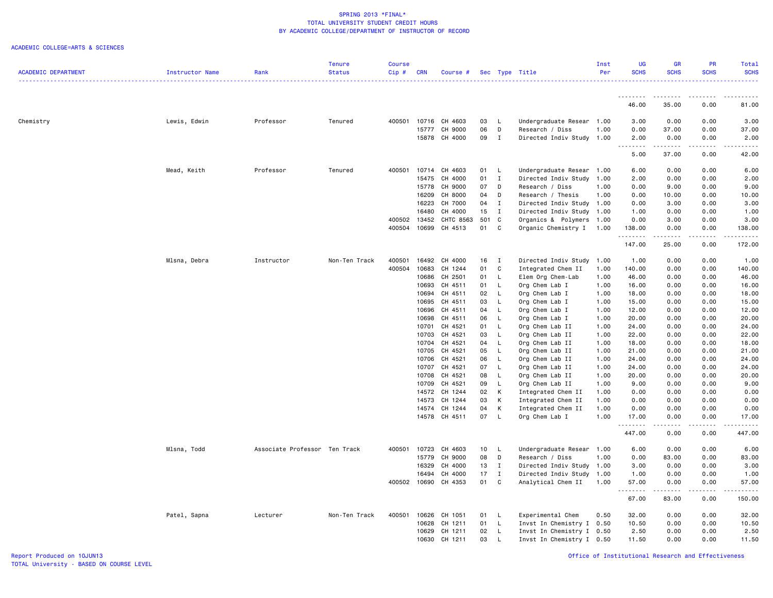|                            |                 |                               | <b>Tenure</b> | Course |            |               |       |                          |                           | Inst | <b>UG</b>         | <b>GR</b>                          | PR                                                                                                                                                           | Total       |
|----------------------------|-----------------|-------------------------------|---------------|--------|------------|---------------|-------|--------------------------|---------------------------|------|-------------------|------------------------------------|--------------------------------------------------------------------------------------------------------------------------------------------------------------|-------------|
| <b>ACADEMIC DEPARTMENT</b> | Instructor Name | Rank                          | <b>Status</b> | Cip#   | <b>CRN</b> | Course #      |       |                          | Sec Type Title            | Per  | <b>SCHS</b>       | <b>SCHS</b>                        | <b>SCHS</b>                                                                                                                                                  | <b>SCHS</b> |
|                            |                 |                               |               |        |            |               |       |                          |                           |      |                   |                                    |                                                                                                                                                              | .           |
|                            |                 |                               |               |        |            |               |       |                          |                           |      | --------<br>46.00 | --------<br>35.00                  | .<br>0.00                                                                                                                                                    | .<br>81.00  |
| Chemistry                  | Lewis, Edwin    | Professor                     | Tenured       | 400501 | 10716      | CH 4603       | 03    | - L                      | Undergraduate Resear 1.00 |      | 3.00              | 0.00                               | 0.00                                                                                                                                                         | 3.00        |
|                            |                 |                               |               |        | 15777      | CH 9000       | 06    | D                        | Research / Diss           | 1.00 | 0.00              | 37.00                              | 0.00                                                                                                                                                         | 37.00       |
|                            |                 |                               |               |        | 15878      | CH 4000       | 09    | $\mathbf{I}$             | Directed Indiv Study      | 1.00 | 2.00              | 0.00                               | 0.00                                                                                                                                                         | 2.00        |
|                            |                 |                               |               |        |            |               |       |                          |                           |      | .                 | $\sim$ $\sim$ $\sim$ $\sim$ $\sim$ | .                                                                                                                                                            | .           |
|                            |                 |                               |               |        |            |               |       |                          |                           |      | 5.00              | 37.00                              | 0.00                                                                                                                                                         | 42.00       |
|                            | Mead, Keith     | Professor                     | Tenured       | 400501 | 10714      | CH 4603       | 01 L  |                          | Undergraduate Resear 1.00 |      | 6.00              | 0.00                               | 0.00                                                                                                                                                         | 6.00        |
|                            |                 |                               |               |        | 15475      | CH 4000       | 01    | $\mathbf{I}$             | Directed Indiv Study 1.00 |      | 2.00              | 0.00                               | 0.00                                                                                                                                                         | 2.00        |
|                            |                 |                               |               |        | 15778      | CH 9000       | 07    | D                        | Research / Diss           | 1.00 | 0.00              | 9.00                               | 0.00                                                                                                                                                         | 9.00        |
|                            |                 |                               |               |        | 16209      | CH 8000       | 04    | D                        | Research / Thesis         | 1.00 | 0.00              | 10.00                              | 0.00                                                                                                                                                         | 10.00       |
|                            |                 |                               |               |        | 16223      | CH 7000       | 04    | $\mathbf{I}$             | Directed Indiv Study 1.00 |      | 0.00              | 3.00                               | 0.00                                                                                                                                                         | 3.00        |
|                            |                 |                               |               |        | 16480      | CH 4000       | 15    | $\mathbf I$              | Directed Indiv Study 1.00 |      | 1.00              | 0.00                               | 0.00                                                                                                                                                         | 1.00        |
|                            |                 |                               |               | 400502 | 13452      | CHTC 8563     | 501 C |                          | Organics & Polymers 1.00  |      | 0.00              | 3.00                               | 0.00                                                                                                                                                         | 3.00        |
|                            |                 |                               |               | 400504 | 10699      | CH 4513       | 01    | C                        | Organic Chemistry I       | 1.00 | 138.00<br>.       | 0.00<br>.                          | 0.00                                                                                                                                                         | 138.00<br>. |
|                            |                 |                               |               |        |            |               |       |                          |                           |      | 147.00            | 25.00                              | 0.00                                                                                                                                                         | 172.00      |
|                            | Mlsna, Debra    | Instructor                    | Non-Ten Track | 400501 | 16492      | CH 4000       | 16    | $\mathbf{I}$             | Directed Indiv Study      | 1.00 | 1.00              | 0.00                               | 0.00                                                                                                                                                         | 1.00        |
|                            |                 |                               |               | 400504 | 10683      | CH 1244       | 01    | C                        | Integrated Chem II        | 1.00 | 140.00            | 0.00                               | 0.00                                                                                                                                                         | 140.00      |
|                            |                 |                               |               |        | 10686      | CH 2501       | 01    | L                        | Elem Org Chem-Lab         | 1.00 | 46.00             | 0.00                               | 0.00                                                                                                                                                         | 46.00       |
|                            |                 |                               |               |        | 10693      | CH 4511       | 01    | L.                       | Org Chem Lab I            | 1.00 | 16.00             | 0.00                               | 0.00                                                                                                                                                         | 16.00       |
|                            |                 |                               |               |        | 10694      | CH 4511       | 02    | - L                      | Org Chem Lab I            | 1.00 | 18.00             | 0.00                               | 0.00                                                                                                                                                         | 18.00       |
|                            |                 |                               |               |        | 10695      | CH 4511       | 03    | L.                       | Org Chem Lab I            | 1.00 | 15.00             | 0.00                               | 0.00                                                                                                                                                         | 15.00       |
|                            |                 |                               |               |        | 10696      | CH 4511       | 04    | L.                       | Org Chem Lab I            | 1.00 | 12.00             | 0.00                               | 0.00                                                                                                                                                         | 12.00       |
|                            |                 |                               |               |        | 10698      | CH 4511       | 06    | <b>L</b>                 | Org Chem Lab I            | 1.00 | 20.00             | 0.00                               | 0.00                                                                                                                                                         | 20.00       |
|                            |                 |                               |               |        | 10701      | CH 4521       | 01    | L,                       | Org Chem Lab II           | 1.00 | 24.00             | 0.00                               | 0.00                                                                                                                                                         | 24.00       |
|                            |                 |                               |               |        | 10703      | CH 4521       | 03    | L.                       | Org Chem Lab II           | 1.00 | 22.00             | 0.00                               | 0.00                                                                                                                                                         | 22.00       |
|                            |                 |                               |               |        | 10704      | CH 4521       | 04    | $\mathsf{L}$             | Org Chem Lab II           | 1.00 | 18.00             | 0.00                               | 0.00                                                                                                                                                         | 18.00       |
|                            |                 |                               |               |        | 10705      | CH 4521       | 05    | L.                       | Org Chem Lab II           | 1.00 | 21.00             | 0.00                               | 0.00                                                                                                                                                         | 21.00       |
|                            |                 |                               |               |        | 10706      | CH 4521       | 06    | <b>L</b>                 | Org Chem Lab II           | 1.00 | 24.00             | 0.00                               | 0.00                                                                                                                                                         | 24.00       |
|                            |                 |                               |               |        |            | 10707 CH 4521 | 07    | <b>L</b>                 | Org Chem Lab II           | 1.00 | 24.00             | 0.00                               | 0.00                                                                                                                                                         | 24.00       |
|                            |                 |                               |               |        | 10708      | CH 4521       | 08    | <b>L</b>                 | Org Chem Lab II           | 1.00 | 20.00             | 0.00                               | 0.00                                                                                                                                                         | 20.00       |
|                            |                 |                               |               |        | 10709      | CH 4521       | 09    | L.                       | Org Chem Lab II           | 1.00 | 9.00              | 0.00                               | 0.00                                                                                                                                                         | 9.00        |
|                            |                 |                               |               |        |            | 14572 CH 1244 | 02    | $\,$ K                   | Integrated Chem II        | 1.00 | 0.00              | 0.00                               | 0.00                                                                                                                                                         | 0.00        |
|                            |                 |                               |               |        | 14573      | CH 1244       | 03    | K                        | Integrated Chem II        | 1.00 | 0.00              | 0.00                               | 0.00                                                                                                                                                         | 0.00        |
|                            |                 |                               |               |        | 14574      | CH 1244       | 04    | K                        | Integrated Chem II        | 1.00 | 0.00              | 0.00                               | 0.00                                                                                                                                                         | 0.00        |
|                            |                 |                               |               |        |            | 14578 CH 4511 | 07 L  |                          | Org Chem Lab I            | 1.00 | 17.00<br>.        | 0.00<br>.                          | 0.00<br>$\frac{1}{2} \left( \frac{1}{2} \right) \left( \frac{1}{2} \right) \left( \frac{1}{2} \right) \left( \frac{1}{2} \right) \left( \frac{1}{2} \right)$ | 17.00<br>.  |
|                            |                 |                               |               |        |            |               |       |                          |                           |      | 447.00            | 0.00                               | 0.00                                                                                                                                                         | 447.00      |
|                            | Mlsna, Todd     | Associate Professor Ten Track |               | 400501 | 10723      | CH 4603       | 10    | $\mathsf{L}$             | Undergraduate Resear 1.00 |      | 6.00              | 0.00                               | 0.00                                                                                                                                                         | 6.00        |
|                            |                 |                               |               |        |            | 15779 CH 9000 | 08    | D                        | Research / Diss           | 1.00 | 0.00              | 83.00                              | 0.00                                                                                                                                                         | 83.00       |
|                            |                 |                               |               |        | 16329      | CH 4000       | 13    | $\mathbf{I}$             | Directed Indiv Study 1.00 |      | 3.00              | 0.00                               | 0.00                                                                                                                                                         | 3.00        |
|                            |                 |                               |               |        | 16494      | CH 4000       | 17    | $\mathbf{I}$             | Directed Indiv Study      | 1.00 | 1.00              | 0.00                               | 0.00                                                                                                                                                         | 1.00        |
|                            |                 |                               |               | 400502 | 10690      | CH 4353       | 01    | C                        | Analytical Chem II        | 1.00 | 57.00<br>.        | 0.00<br>.                          | 0.00<br>.                                                                                                                                                    | 57.00<br>.  |
|                            |                 |                               |               |        |            |               |       |                          |                           |      | 67.00             | 83.00                              | 0.00                                                                                                                                                         | 150.00      |
|                            | Patel, Sapna    | Lecturer                      | Non-Ten Track | 400501 | 10626      | CH 1051       | 01    | $\overline{\phantom{a}}$ | Experimental Chem         | 0.50 | 32.00             | 0.00                               | 0.00                                                                                                                                                         | 32.00       |
|                            |                 |                               |               |        | 10628      | CH 1211       | 01    | L.                       | Invst In Chemistry I 0.50 |      | 10.50             | 0.00                               | 0.00                                                                                                                                                         | 10.50       |
|                            |                 |                               |               |        | 10629      | CH 1211       | 02    | - L                      | Invst In Chemistry I 0.50 |      | 2.50              | 0.00                               | 0.00                                                                                                                                                         | 2.50        |
|                            |                 |                               |               |        | 10630      | CH 1211       | 03    | <b>L</b>                 | Invst In Chemistry I 0.50 |      | 11.50             | 0.00                               | 0.00                                                                                                                                                         | 11.50       |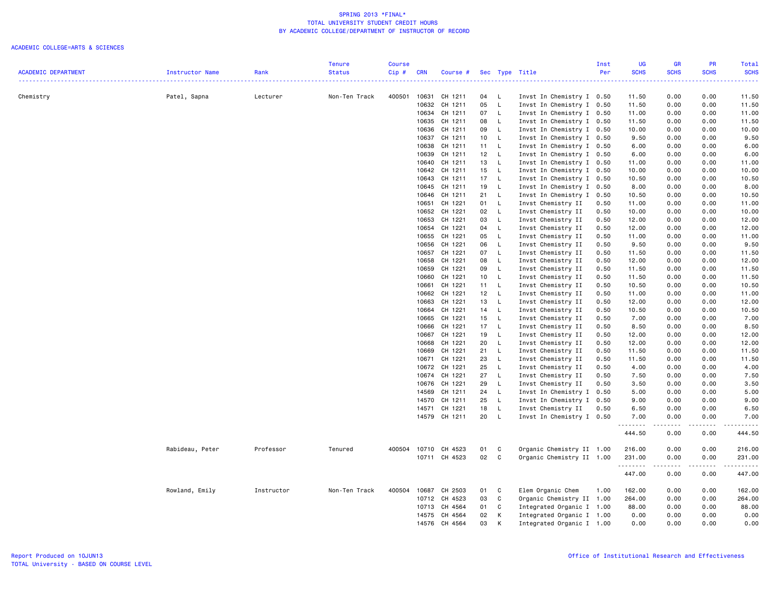|                            |                 |            | <b>Tenure</b> | <b>Course</b> |            |               |    |              |                                                 | Inst | <b>UG</b>        | <b>GR</b>        | PR          | <b>Total</b>              |
|----------------------------|-----------------|------------|---------------|---------------|------------|---------------|----|--------------|-------------------------------------------------|------|------------------|------------------|-------------|---------------------------|
| <b>ACADEMIC DEPARTMENT</b> | Instructor Name | Rank       | <b>Status</b> | $Cip$ #       | <b>CRN</b> | Course #      |    |              | Sec Type Title<br>----------------------------- | Per  | <b>SCHS</b><br>. | <b>SCHS</b><br>. | <b>SCHS</b> | <b>SCHS</b><br>.          |
| Chemistry                  | Patel, Sapna    | Lecturer   | Non-Ten Track | 400501        | 10631      | CH 1211       | 04 | <b>L</b>     | Invst In Chemistry I 0.50                       |      | 11.50            | 0.00             | 0.00        | 11.50                     |
|                            |                 |            |               |               | 10632      | CH 1211       | 05 | $\mathsf{L}$ | Invst In Chemistry I 0.50                       |      | 11.50            | 0.00             | 0.00        | 11.50                     |
|                            |                 |            |               |               |            | 10634 CH 1211 | 07 | L            | Invst In Chemistry I 0.50                       |      | 11.00            | 0.00             | 0.00        | 11.00                     |
|                            |                 |            |               |               | 10635      | CH 1211       | 08 | - L          | Invst In Chemistry I 0.50                       |      | 11.50            | 0.00             | 0.00        | 11.50                     |
|                            |                 |            |               |               | 10636      | CH 1211       | 09 | L            | Invst In Chemistry I 0.50                       |      | 10.00            | 0.00             | 0.00        | 10.00                     |
|                            |                 |            |               |               | 10637      | CH 1211       | 10 | $\mathsf{L}$ | Invst In Chemistry I 0.50                       |      | 9.50             | 0.00             | 0.00        | 9.50                      |
|                            |                 |            |               |               | 10638      | CH 1211       | 11 | $\mathsf{L}$ | Invst In Chemistry I 0.50                       |      | 6.00             | 0.00             | 0.00        | 6.00                      |
|                            |                 |            |               |               | 10639      | CH 1211       | 12 | $\mathsf{L}$ | Invst In Chemistry I 0.50                       |      | 6.00             | 0.00             | 0.00        | 6.00                      |
|                            |                 |            |               |               |            | 10640 CH 1211 | 13 | - L          | Invst In Chemistry I 0.50                       |      | 11.00            | 0.00             | 0.00        | 11.00                     |
|                            |                 |            |               |               | 10642      | CH 1211       | 15 | $\mathsf{L}$ | Invst In Chemistry I 0.50                       |      | 10.00            | 0.00             | 0.00        | 10.00                     |
|                            |                 |            |               |               | 10643      | CH 1211       | 17 | L            | Invst In Chemistry I 0.50                       |      | 10.50            | 0.00             | 0.00        | 10.50                     |
|                            |                 |            |               |               |            | 10645 CH 1211 | 19 | $\mathsf{L}$ | Invst In Chemistry I 0.50                       |      | 8.00             | 0.00             | 0.00        | 8.00                      |
|                            |                 |            |               |               | 10646      | CH 1211       | 21 | $\mathsf{L}$ | Invst In Chemistry I                            | 0.50 | 10.50            | 0.00             | 0.00        | 10.50                     |
|                            |                 |            |               |               | 10651      | CH 1221       | 01 | $\mathsf{L}$ | Invst Chemistry II                              | 0.50 | 11.00            | 0.00             | 0.00        | 11.00                     |
|                            |                 |            |               |               | 10652      | CH 1221       | 02 | L.           | Invst Chemistry II                              | 0.50 | 10.00            | 0.00             | 0.00        | 10.00                     |
|                            |                 |            |               |               | 10653      | CH 1221       | 03 | $\mathsf{L}$ | Invst Chemistry II                              | 0.50 | 12.00            | 0.00             | 0.00        | 12.00                     |
|                            |                 |            |               |               | 10654      | CH 1221       | 04 | <b>L</b>     | Invst Chemistry II                              | 0.50 | 12.00            | 0.00             | 0.00        | 12.00                     |
|                            |                 |            |               |               | 10655      | CH 1221       | 05 | L            | Invst Chemistry II                              | 0.50 | 11.00            | 0.00             | 0.00        | 11.00                     |
|                            |                 |            |               |               | 10656      | CH 1221       | 06 | $\mathsf{L}$ | Invst Chemistry II                              | 0.50 | 9.50             | 0.00             | 0.00        | 9.50                      |
|                            |                 |            |               |               | 10657      | CH 1221       | 07 | L.           | Invst Chemistry II                              | 0.50 | 11.50            | 0.00             | 0.00        | 11.50                     |
|                            |                 |            |               |               | 10658      | CH 1221       | 08 | L.           | Invst Chemistry II                              | 0.50 | 12.00            | 0.00             | 0.00        | 12.00                     |
|                            |                 |            |               |               | 10659      | CH 1221       | 09 | $\mathsf{L}$ | Invst Chemistry II                              | 0.50 | 11.50            | 0.00             | 0.00        | 11.50                     |
|                            |                 |            |               |               | 10660      | CH 1221       | 10 | $\mathsf{L}$ | Invst Chemistry II                              | 0.50 | 11.50            | 0.00             | 0.00        | 11.50                     |
|                            |                 |            |               |               | 10661      | CH 1221       | 11 | L            | Invst Chemistry II                              | 0.50 | 10.50            | 0.00             | 0.00        | 10.50                     |
|                            |                 |            |               |               | 10662      | CH 1221       | 12 | $\mathsf{L}$ | Invst Chemistry II                              | 0.50 | 11.00            | 0.00             | 0.00        | 11.00                     |
|                            |                 |            |               |               | 10663      | CH 1221       | 13 | $\mathsf{L}$ | Invst Chemistry II                              | 0.50 | 12.00            | 0.00             | 0.00        | 12.00                     |
|                            |                 |            |               |               | 10664      | CH 1221       | 14 | L            | Invst Chemistry II                              | 0.50 | 10.50            | 0.00             | 0.00        | 10.50                     |
|                            |                 |            |               |               | 10665      | CH 1221       | 15 | $\mathsf{L}$ | Invst Chemistry II                              | 0.50 | 7.00             | 0.00             | 0.00        | 7.00                      |
|                            |                 |            |               |               | 10666      | CH 1221       | 17 | $\mathsf{L}$ | Invst Chemistry II                              | 0.50 | 8.50             | 0.00             | 0.00        | 8.50                      |
|                            |                 |            |               |               | 10667      | CH 1221       | 19 | L            | Invst Chemistry II                              | 0.50 | 12.00            | 0.00             | 0.00        | 12.00                     |
|                            |                 |            |               |               | 10668      | CH 1221       | 20 | L            | Invst Chemistry II                              | 0.50 | 12.00            | 0.00             | 0.00        | 12.00                     |
|                            |                 |            |               |               | 10669      | CH 1221       | 21 | $\mathsf{L}$ | Invst Chemistry II                              | 0.50 | 11.50            | 0.00             | 0.00        | 11.50                     |
|                            |                 |            |               |               | 10671      | CH 1221       | 23 | $\mathsf{L}$ | Invst Chemistry II                              | 0.50 | 11.50            | 0.00             | 0.00        | 11.50                     |
|                            |                 |            |               |               | 10672      | CH 1221       | 25 | L.           | Invst Chemistry II                              | 0.50 | 4.00             | 0.00             | 0.00        | 4.00                      |
|                            |                 |            |               |               | 10674      | CH 1221       | 27 | $\mathsf{L}$ | Invst Chemistry II                              | 0.50 | 7.50             | 0.00             | 0.00        | 7.50                      |
|                            |                 |            |               |               | 10676      | CH 1221       | 29 | $\mathsf{L}$ | Invst Chemistry II                              | 0.50 | 3.50             | 0.00             | 0.00        | 3.50                      |
|                            |                 |            |               |               | 14569      | CH 1211       | 24 | L            | Invst In Chemistry I 0.50                       |      | 5.00             | 0.00             | 0.00        | 5.00                      |
|                            |                 |            |               |               | 14570      | CH 1211       | 25 | $\mathsf{L}$ | Invst In Chemistry I 0.50                       |      | 9.00             | 0.00             | 0.00        | 9.00                      |
|                            |                 |            |               |               | 14571      | CH 1221       | 18 | L.           | Invst Chemistry II                              | 0.50 | 6.50             | 0.00             | 0.00        | 6.50                      |
|                            |                 |            |               |               |            | 14579 CH 1211 | 20 | $\mathsf{L}$ | Invst In Chemistry I 0.50                       |      | 7.00             | 0.00             | 0.00        | 7.00                      |
|                            |                 |            |               |               |            |               |    |              |                                                 |      | .<br>444.50      | -----<br>0.00    | .<br>0.00   | $- - - - - - -$<br>444.50 |
|                            | Rabideau, Peter | Professor  | Tenured       | 400504        |            | 10710 CH 4523 | 01 | C            | Organic Chemistry II 1.00                       |      | 216.00           | 0.00             | 0.00        | 216.00                    |
|                            |                 |            |               |               |            | 10711 CH 4523 | 02 | $\mathbf c$  | Organic Chemistry II 1.00                       |      | 231.00           | 0.00             | 0.00        | 231.00                    |
|                            |                 |            |               |               |            |               |    |              |                                                 |      | .<br>447.00      | .<br>0.00        | 0.00        | .<br>447.00               |
|                            | Rowland, Emily  | Instructor | Non-Ten Track | 400504        | 10687      | CH 2503       | 01 | C            | Elem Organic Chem                               | 1.00 | 162.00           | 0.00             | 0.00        | 162.00                    |
|                            |                 |            |               |               | 10712      | CH 4523       | 03 | C            | Organic Chemistry II 1.00                       |      | 264.00           | 0.00             | 0.00        | 264.00                    |
|                            |                 |            |               |               | 10713      | CH 4564       | 01 | C            | Integrated Organic I 1.00                       |      | 88.00            | 0.00             | 0.00        | 88.00                     |
|                            |                 |            |               |               | 14575      | CH 4564       | 02 | К            | Integrated Organic I 1.00                       |      | 0.00             | 0.00             | 0.00        | 0.00                      |
|                            |                 |            |               |               | 14576      | CH 4564       | 03 | K            | Integrated Organic I 1.00                       |      | 0.00             | 0.00             | 0.00        | 0.00                      |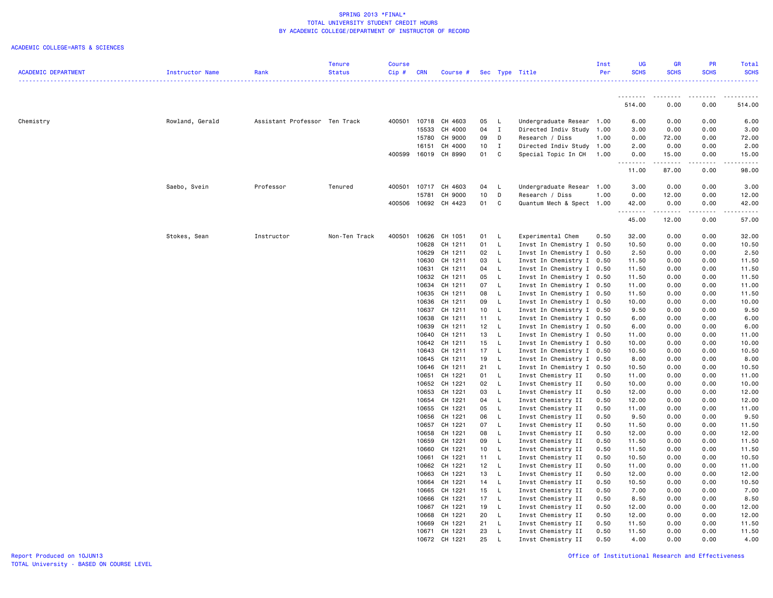|                            |                 |                               | <b>Tenure</b> | <b>Course</b> |                |                    |          |              |                                                   | Inst | UG                           | <b>GR</b>     | PR                    | Total                                       |
|----------------------------|-----------------|-------------------------------|---------------|---------------|----------------|--------------------|----------|--------------|---------------------------------------------------|------|------------------------------|---------------|-----------------------|---------------------------------------------|
| <b>ACADEMIC DEPARTMENT</b> | Instructor Name | Rank                          | <b>Status</b> | Cip#          | <b>CRN</b>     | Course #           |          |              | Sec Type Title                                    | Per  | <b>SCHS</b>                  | <b>SCHS</b>   | <b>SCHS</b>           | <b>SCHS</b>                                 |
|                            |                 |                               |               |               |                |                    |          |              | ________________________________                  |      |                              |               |                       | . <u>.</u> .                                |
|                            |                 |                               |               |               |                |                    |          |              |                                                   |      | .<br>514.00                  | .<br>0.00     | .<br>0.00             | 514.00                                      |
| Chemistry                  | Rowland, Gerald | Assistant Professor Ten Track |               | 400501        | 10718          | CH 4603            | 05       | L            | Undergraduate Resear 1.00                         |      | 6.00                         | 0.00          | 0.00                  | 6.00                                        |
|                            |                 |                               |               |               | 15533          | CH 4000            | 04       | $\mathbf{I}$ | Directed Indiv Study                              | 1.00 | 3.00                         | 0.00          | 0.00                  | 3.00                                        |
|                            |                 |                               |               |               | 15780          | CH 9000            | 09       | D            | Research / Diss                                   | 1.00 | 0.00                         | 72.00         | 0.00                  | 72.00                                       |
|                            |                 |                               |               |               | 16151          | CH 4000            | 10       | I            | Directed Indiv Study 1.00                         |      | 2.00                         | 0.00          | 0.00                  | 2.00                                        |
|                            |                 |                               |               | 400599        | 16019          | CH 8990            | 01       | C            | Special Topic In CH                               | 1.00 | 0.00<br>$\omega$ is a set of | 15.00<br>.    | 0.00<br>.             | 15.00<br>$\sim$ $\sim$ $\sim$ $\sim$ $\sim$ |
|                            |                 |                               |               |               |                |                    |          |              |                                                   |      | 11.00                        | 87.00         | 0.00                  | 98.00                                       |
|                            | Saebo, Svein    | Professor                     | Tenured       | 400501        | 10717          | CH 4603            | 04       | L            | Undergraduate Resear 1.00                         |      | 3.00                         | 0.00          | 0.00                  | 3.00                                        |
|                            |                 |                               |               |               | 15781          | CH 9000            | 10       | D            | Research / Diss                                   | 1.00 | 0.00                         | 12.00         | 0.00                  | 12.00                                       |
|                            |                 |                               |               | 400506        |                | 10692 CH 4423      | 01       | C            | Quantum Mech & Spect 1.00                         |      | 42.00<br>.                   | 0.00<br>----- | 0.00<br>$\frac{1}{2}$ | 42.00<br>$\frac{1}{2}$                      |
|                            |                 |                               |               |               |                |                    |          |              |                                                   |      | 45.00                        | 12.00         | 0.00                  | 57.00                                       |
|                            | Stokes, Sean    | Instructor                    | Non-Ten Track | 400501        | 10626          | CH 1051            | 01       | L            | Experimental Chem                                 | 0.50 | 32.00                        | 0.00          | 0.00                  | 32.00                                       |
|                            |                 |                               |               |               | 10628          | CH 1211            | 01       | L            | Invst In Chemistry I 0.50                         |      | 10.50                        | 0.00          | 0.00                  | 10.50                                       |
|                            |                 |                               |               |               | 10629          | CH 1211            | 02       | L            | Invst In Chemistry I                              | 0.50 | 2.50                         | 0.00          | 0.00                  | 2.50                                        |
|                            |                 |                               |               |               | 10630          | CH 1211            | 03       | L            | Invst In Chemistry I 0.50                         |      | 11.50                        | 0.00          | 0.00                  | 11.50                                       |
|                            |                 |                               |               |               | 10631          | CH 1211            | 04       | L            | Invst In Chemistry I 0.50                         |      | 11.50                        | 0.00          | 0.00                  | 11.50                                       |
|                            |                 |                               |               |               | 10632          | CH 1211            | 05       | L.           | Invst In Chemistry I 0.50                         |      | 11.50                        | 0.00          | 0.00                  | 11.50                                       |
|                            |                 |                               |               |               | 10634          | CH 1211            | 07       | L.           | Invst In Chemistry I 0.50                         |      | 11.00                        | 0.00          | 0.00                  | 11.00                                       |
|                            |                 |                               |               |               | 10635          | CH 1211            | 08       | L            | Invst In Chemistry I 0.50                         |      | 11.50                        | 0.00          | 0.00                  | 11.50                                       |
|                            |                 |                               |               |               | 10636          | CH 1211            | 09       | L            | Invst In Chemistry I 0.50                         |      | 10.00                        | 0.00          | 0.00                  | 10.00                                       |
|                            |                 |                               |               |               | 10637          | CH 1211            | 10       | $\mathsf{L}$ | Invst In Chemistry I 0.50                         |      | 9.50                         | 0.00          | 0.00                  | 9.50                                        |
|                            |                 |                               |               |               | 10638          | CH 1211            | 11       | L            | Invst In Chemistry I 0.50                         |      | 6.00                         | 0.00          | 0.00                  | 6.00                                        |
|                            |                 |                               |               |               | 10639          | CH 1211            | 12       | L            | Invst In Chemistry I 0.50                         |      | 6.00                         | 0.00          | 0.00                  | 6.00                                        |
|                            |                 |                               |               |               | 10640          | CH 1211            | 13       | $\mathsf L$  | Invst In Chemistry I 0.50                         |      | 11.00                        | 0.00          | 0.00                  | 11.00                                       |
|                            |                 |                               |               |               | 10642<br>10643 | CH 1211<br>CH 1211 | 15<br>17 | L<br>L       | Invst In Chemistry I<br>Invst In Chemistry I 0.50 | 0.50 | 10.00<br>10.50               | 0.00<br>0.00  | 0.00<br>0.00          | 10.00<br>10.50                              |
|                            |                 |                               |               |               | 10645          | CH 1211            | 19       | L            | Invst In Chemistry I 0.50                         |      | 8.00                         | 0.00          | 0.00                  | 8.00                                        |
|                            |                 |                               |               |               | 10646          | CH 1211            | 21       | L            | Invst In Chemistry I                              | 0.50 | 10.50                        | 0.00          | 0.00                  | 10.50                                       |
|                            |                 |                               |               |               | 10651          | CH 1221            | 01       | L            | Invst Chemistry II                                | 0.50 | 11.00                        | 0.00          | 0.00                  | 11.00                                       |
|                            |                 |                               |               |               | 10652          | CH 1221            | 02       | L            | Invst Chemistry II                                | 0.50 | 10.00                        | 0.00          | 0.00                  | 10.00                                       |
|                            |                 |                               |               |               | 10653          | CH 1221            | 03       | L            | Invst Chemistry II                                | 0.50 | 12.00                        | 0.00          | 0.00                  | 12.00                                       |
|                            |                 |                               |               |               | 10654          | CH 1221            | 04       | L            | Invst Chemistry II                                | 0.50 | 12.00                        | 0.00          | 0.00                  | 12.00                                       |
|                            |                 |                               |               |               | 10655          | CH 1221            | 05       | L            | Invst Chemistry II                                | 0.50 | 11.00                        | 0.00          | 0.00                  | 11.00                                       |
|                            |                 |                               |               |               | 10656          | CH 1221            | 06       | L            | Invst Chemistry II                                | 0.50 | 9.50                         | 0.00          | 0.00                  | 9.50                                        |
|                            |                 |                               |               |               | 10657          | CH 1221            | 07       | L.           | Invst Chemistry II                                | 0.50 | 11.50                        | 0.00          | 0.00                  | 11.50                                       |
|                            |                 |                               |               |               | 10658          | CH 1221            | 08       | L            | Invst Chemistry II                                | 0.50 | 12.00                        | 0.00          | 0.00                  | 12.00                                       |
|                            |                 |                               |               |               | 10659          | CH 1221            | 09       | L            | Invst Chemistry II                                | 0.50 | 11.50                        | 0.00          | 0.00                  | 11.50                                       |
|                            |                 |                               |               |               | 10660          | CH 1221            | 10       | L            | Invst Chemistry II                                | 0.50 | 11.50                        | 0.00          | 0.00                  | 11.50                                       |
|                            |                 |                               |               |               | 10661          | CH 1221            | 11       | $\mathsf L$  | Invst Chemistry II                                | 0.50 | 10.50                        | 0.00          | 0.00                  | 10.50                                       |
|                            |                 |                               |               |               | 10662          | CH 1221            | 12       | L            | Invst Chemistry II                                | 0.50 | 11.00                        | 0.00          | 0.00                  | 11.00                                       |
|                            |                 |                               |               |               | 10663          | CH 1221            | 13       | L            | Invst Chemistry II                                | 0.50 | 12.00                        | 0.00          | 0.00                  | 12.00                                       |
|                            |                 |                               |               |               | 10664          | CH 1221            | 14       | L            | Invst Chemistry II                                | 0.50 | 10.50                        | 0.00          | 0.00                  | 10.50                                       |
|                            |                 |                               |               |               | 10665          | CH 1221            | 15       | L            | Invst Chemistry II                                | 0.50 | 7.00                         | 0.00          | 0.00                  | 7.00                                        |
|                            |                 |                               |               |               | 10666          | CH 1221            | 17       | L            | Invst Chemistry II                                | 0.50 | 8.50                         | 0.00          | 0.00                  | 8.50                                        |
|                            |                 |                               |               |               | 10667          | CH 1221            | 19       | L            | Invst Chemistry II                                | 0.50 | 12.00                        | 0.00          | 0.00                  | 12.00                                       |
|                            |                 |                               |               |               | 10668          | CH 1221            | 20       | L            | Invst Chemistry II                                | 0.50 | 12.00                        | 0.00          | 0.00                  | 12.00                                       |
|                            |                 |                               |               |               | 10669          | CH 1221            | 21       | L            | Invst Chemistry II                                | 0.50 | 11.50                        | 0.00          | 0.00                  | 11.50                                       |
|                            |                 |                               |               |               | 10671          | CH 1221            | 23       | L.           | Invst Chemistry II                                | 0.50 | 11.50                        | 0.00          | 0.00                  | 11.50                                       |
|                            |                 |                               |               |               |                | 10672 CH 1221      | 25       | $\mathsf{L}$ | Invst Chemistry II                                | 0.50 | 4.00                         | 0.00          | 0.00                  | 4.00                                        |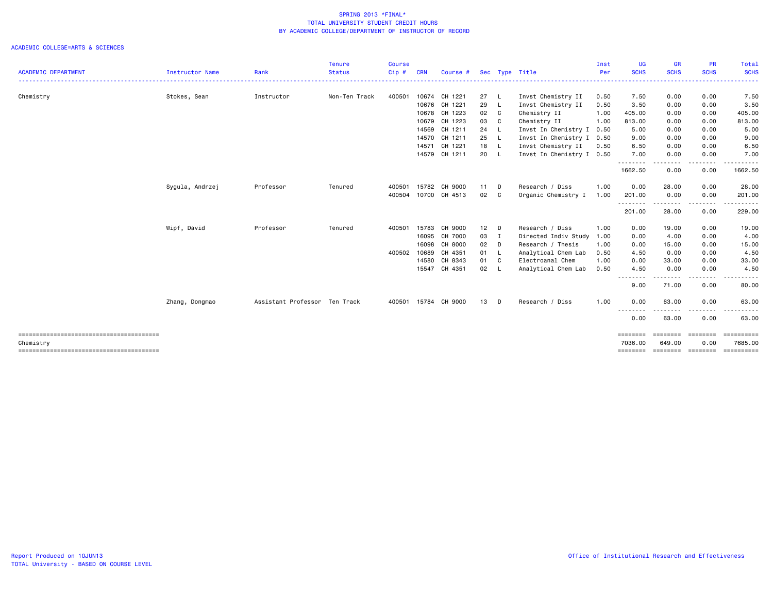|                            |                 |                               | <b>Tenure</b> | <b>Course</b> |            |                      |        |             |                           | Inst | UG                         | <b>GR</b>          | <b>PR</b>         | Total                            |
|----------------------------|-----------------|-------------------------------|---------------|---------------|------------|----------------------|--------|-------------|---------------------------|------|----------------------------|--------------------|-------------------|----------------------------------|
| <b>ACADEMIC DEPARTMENT</b> | Instructor Name | Rank                          | <b>Status</b> | Cip#          | <b>CRN</b> | Course #             |        |             | Sec Type Title            | Per  | <b>SCHS</b><br>----------- | <b>SCHS</b><br>.   | <b>SCHS</b>       | <b>SCHS</b><br>----------------- |
| Chemistry                  | Stokes, Sean    | Instructor                    | Non-Ten Track | 400501        |            | 10674 CH 1221        | 27 L   |             | Invst Chemistry II        | 0.50 | 7.50                       | 0.00               | 0.00              | 7.50                             |
|                            |                 |                               |               |               |            | 10676 CH 1221        | 29 L   |             | Invst Chemistry II        | 0.50 | 3.50                       | 0.00               | 0.00              | 3.50                             |
|                            |                 |                               |               |               |            | 10678 CH 1223        | 02 C   |             | Chemistry II              | 1.00 | 405.00                     | 0.00               | 0.00              | 405.00                           |
|                            |                 |                               |               |               |            | 10679 CH 1223        | 03 C   |             | Chemistry II              | 1.00 | 813.00                     | 0.00               | 0.00              | 813.00                           |
|                            |                 |                               |               |               |            | 14569 CH 1211        | 24 L   |             | Invst In Chemistry I      | 0.50 | 5.00                       | 0.00               | 0.00              | 5.00                             |
|                            |                 |                               |               |               | 14570      | CH 1211              | 25     | - L         | Invst In Chemistry I 0.50 |      | 9.00                       | 0.00               | 0.00              | 9.00                             |
|                            |                 |                               |               |               | 14571      | CH 1221              | 18 L   |             | Invst Chemistry II        | 0.50 | 6.50                       | 0.00               | 0.00              | 6.50                             |
|                            |                 |                               |               |               |            | 14579 CH 1211        | 20 L   |             | Invst In Chemistry I 0.50 |      | 7.00<br>--------           | 0.00<br>. <b>.</b> | 0.00<br>.         | 7.00                             |
|                            |                 |                               |               |               |            |                      |        |             |                           |      | 1662.50                    | 0.00               | 0.00              | 1662.50                          |
|                            | Sygula, Andrzej | Professor                     | Tenured       | 400501        |            | 15782 CH 9000        | $11$ D |             | Research / Diss           | 1.00 | 0.00                       | 28.00              | 0.00              | 28.00                            |
|                            |                 |                               |               | 400504        |            | 10700 CH 4513        | 02 C   |             | Organic Chemistry I       | 1.00 | 201.00<br>--------         | 0.00<br>--------   | 0.00<br>.         | 201.00<br>.                      |
|                            |                 |                               |               |               |            |                      |        |             |                           |      | 201.00                     | 28.00              | 0.00              | 229.00                           |
|                            | Wipf, David     | Professor                     | Tenured       | 400501        | 15783      | CH 9000              | $12$ D |             | Research / Diss           | 1.00 | 0.00                       | 19.00              | 0.00              | 19.00                            |
|                            |                 |                               |               |               | 16095      | CH 7000              | 03     | $\mathbf I$ | Directed Indiv Study      | 1.00 | 0.00                       | 4.00               | 0.00              | 4.00                             |
|                            |                 |                               |               |               | 16098      | CH 8000              | 02 D   |             | Research / Thesis         | 1.00 | 0.00                       | 15.00              | 0.00              | 15.00                            |
|                            |                 |                               |               | 400502        | 10689      | CH 4351              | 01 L   |             | Analytical Chem Lab       | 0.50 | 4.50                       | 0.00               | 0.00              | 4.50                             |
|                            |                 |                               |               |               |            | 14580 CH 8343        | 01 C   |             | Electroanal Chem          | 1.00 | 0.00                       | 33.00              | 0.00              | 33.00                            |
|                            |                 |                               |               |               |            | 15547 CH 4351        | 02 L   |             | Analytical Chem Lab       | 0.50 | 4.50                       | 0.00<br>.          | 0.00              | 4.50                             |
|                            |                 |                               |               |               |            |                      |        |             |                           |      | 9.00                       | 71.00              | 0.00              | 80.00                            |
|                            | Zhang, Dongmao  | Assistant Professor Ten Track |               |               |            | 400501 15784 CH 9000 | 13 D   |             | Research / Diss           | 1.00 | 0.00                       | 63.00              | 0.00              | 63.00                            |
|                            |                 |                               |               |               |            |                      |        |             |                           |      | --------<br>0.00           | -----<br>63.00     | .<br>0.00         | 63.00                            |
|                            |                 |                               |               |               |            |                      |        |             |                           |      | ========                   | ========           | ========          | $=$ ==========                   |
| Chemistry                  |                 |                               |               |               |            |                      |        |             |                           |      | 7036,00                    | 649,00             | 0.00              | 7685.00                          |
|                            |                 |                               |               |               |            |                      |        |             |                           |      | ========                   |                    | ================= | <b>Expressed</b>                 |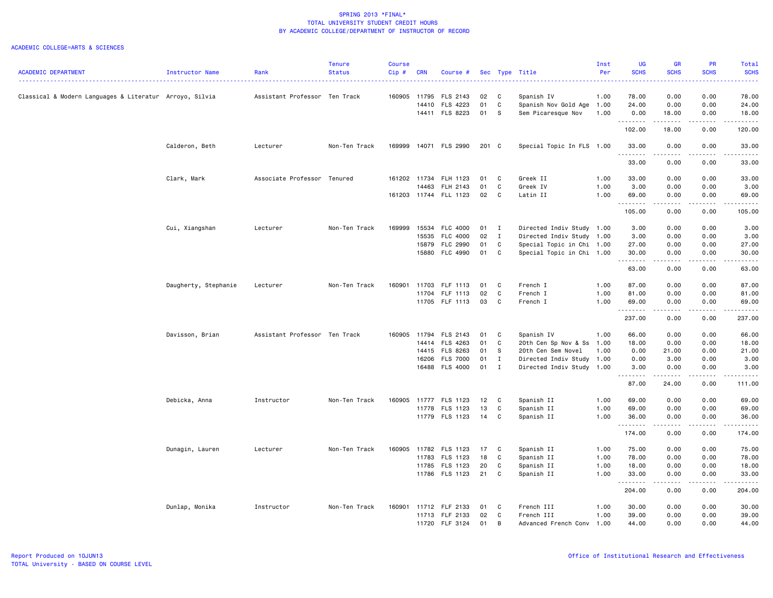|                                                         |                      |                               | <b>Tenure</b> | Course       |            |                       |       |                |                           | Inst | UG                 | <b>GR</b>                                                                                                                                                    | PR                    | Total                                                                                                                                                         |
|---------------------------------------------------------|----------------------|-------------------------------|---------------|--------------|------------|-----------------------|-------|----------------|---------------------------|------|--------------------|--------------------------------------------------------------------------------------------------------------------------------------------------------------|-----------------------|---------------------------------------------------------------------------------------------------------------------------------------------------------------|
| <b>ACADEMIC DEPARTMENT</b>                              | Instructor Name      | Rank                          | <b>Status</b> | Cip#         | <b>CRN</b> | Course #              |       |                | Sec Type Title            | Per  | <b>SCHS</b>        | <b>SCHS</b>                                                                                                                                                  | <b>SCHS</b>           | <b>SCHS</b><br>وعاعاها                                                                                                                                        |
| Classical & Modern Languages & Literatur Arroyo, Silvia |                      | Assistant Professor Ten Track |               | 160905 11795 |            | FLS 2143              | 02    | $\mathbf{C}$   | Spanish IV                | 1.00 | 78.00              | 0.00                                                                                                                                                         | 0.00                  | 78.00                                                                                                                                                         |
|                                                         |                      |                               |               |              | 14410      | FLS 4223              | 01    | $\mathbf c$    | Spanish Nov Gold Age      | 1.00 | 24.00              | 0.00                                                                                                                                                         | 0.00                  | 24.00                                                                                                                                                         |
|                                                         |                      |                               |               |              |            | 14411 FLS 8223        | 01 S  |                | Sem Picaresque Nov        | 1.00 | 0.00               | 18.00                                                                                                                                                        | 0.00                  | 18.00                                                                                                                                                         |
|                                                         |                      |                               |               |              |            |                       |       |                |                           |      | .<br>102.00        | .<br>18.00                                                                                                                                                   | .<br>0.00             | .<br>120.00                                                                                                                                                   |
|                                                         | Calderon, Beth       | Lecturer                      | Non-Ten Track | 169999       |            | 14071 FLS 2990        | 201 C |                | Special Topic In FLS 1.00 |      | 33.00<br>.         | 0.00<br>.                                                                                                                                                    | 0.00<br>.             | 33.00<br>.                                                                                                                                                    |
|                                                         |                      |                               |               |              |            |                       |       |                |                           |      | 33.00              | 0.00                                                                                                                                                         | 0.00                  | 33.00                                                                                                                                                         |
|                                                         | Clark, Mark          | Associate Professor Tenured   |               | 161202 11734 |            | FLH 1123              | 01    | C.             | Greek II                  | 1.00 | 33.00              | 0.00                                                                                                                                                         | 0.00                  | 33.00                                                                                                                                                         |
|                                                         |                      |                               |               |              | 14463      | FLH 2143              | 01    | C              | Greek IV                  | 1.00 | 3.00               | 0.00                                                                                                                                                         | 0.00                  | 3.00                                                                                                                                                          |
|                                                         |                      |                               |               |              |            | 161203 11744 FLL 1123 | 02    | C              | Latin II                  | 1.00 | 69.00              | 0.00                                                                                                                                                         | 0.00                  | 69.00                                                                                                                                                         |
|                                                         |                      |                               |               |              |            |                       |       |                |                           |      | .<br>105.00        | .<br>0.00                                                                                                                                                    | .<br>0.00             | .<br>105.00                                                                                                                                                   |
|                                                         | Cui, Xiangshan       | Lecturer                      | Non-Ten Track | 169999       | 15534      | FLC 4000              | 01    | $\mathbf{I}$   | Directed Indiv Study 1.00 |      | 3.00               | 0.00                                                                                                                                                         | 0.00                  | 3.00                                                                                                                                                          |
|                                                         |                      |                               |               |              | 15535      | FLC 4000              | 02    | $\mathbf{I}$   | Directed Indiv Study 1.00 |      | 3.00               | 0.00                                                                                                                                                         | 0.00                  | 3.00                                                                                                                                                          |
|                                                         |                      |                               |               |              | 15879      | <b>FLC 2990</b>       | 01    | $\mathbf c$    | Special Topic in Chi 1.00 |      | 27.00              | 0.00                                                                                                                                                         | 0.00                  | 27.00                                                                                                                                                         |
|                                                         |                      |                               |               |              | 15880      | FLC 4990              | 01    | C              | Special Topic in Chi 1.00 |      | 30.00              | 0.00                                                                                                                                                         | 0.00                  | 30.00                                                                                                                                                         |
|                                                         |                      |                               |               |              |            |                       |       |                |                           |      | .<br>63.00         | $- - - -$<br>0.00                                                                                                                                            | $\frac{1}{2}$<br>0.00 | $\frac{1}{2} \left( \frac{1}{2} \right) \left( \frac{1}{2} \right) \left( \frac{1}{2} \right) \left( \frac{1}{2} \right) \left( \frac{1}{2} \right)$<br>63.00 |
|                                                         | Daugherty, Stephanie | Lecturer                      | Non-Ten Track | 160901       | 11703      | FLF 1113              | 01    | C              | French I                  | 1.00 | 87.00              | 0.00                                                                                                                                                         | 0.00                  | 87.00                                                                                                                                                         |
|                                                         |                      |                               |               |              |            | 11704 FLF 1113        | 02    | C              | French I                  | 1.00 | 81.00              | 0.00                                                                                                                                                         | 0.00                  | 81.00                                                                                                                                                         |
|                                                         |                      |                               |               |              |            | 11705 FLF 1113        | 03    | C              | French I                  | 1.00 | 69.00              | 0.00                                                                                                                                                         | 0.00                  | 69.00                                                                                                                                                         |
|                                                         |                      |                               |               |              |            |                       |       |                |                           |      | <u>.</u><br>237.00 | $\frac{1}{2} \left( \frac{1}{2} \right) \left( \frac{1}{2} \right) \left( \frac{1}{2} \right) \left( \frac{1}{2} \right) \left( \frac{1}{2} \right)$<br>0.00 | .<br>0.00             | .<br>237.00                                                                                                                                                   |
|                                                         | Davisson, Brian      | Assistant Professor Ten Track |               | 160905       |            | 11794 FLS 2143        | 01    | C              | Spanish IV                | 1.00 | 66.00              | 0.00                                                                                                                                                         | 0.00                  | 66.00                                                                                                                                                         |
|                                                         |                      |                               |               |              |            | 14414 FLS 4263        | 01    | C              | 20th Cen Sp Nov & Ss 1.00 |      | 18.00              | 0.00                                                                                                                                                         | 0.00                  | 18.00                                                                                                                                                         |
|                                                         |                      |                               |               |              | 14415      | FLS 8263              | 01    | S.             | 20th Cen Sem Novel        | 1.00 | 0.00               | 21.00                                                                                                                                                        | 0.00                  | 21.00                                                                                                                                                         |
|                                                         |                      |                               |               |              | 16206      | <b>FLS 7000</b>       | 01    | $\mathbf{I}$   | Directed Indiv Study      | 1.00 | 0.00               | 3.00                                                                                                                                                         | 0.00                  | 3.00                                                                                                                                                          |
|                                                         |                      |                               |               |              |            | 16488 FLS 4000        | 01    | $\blacksquare$ | Directed Indiv Study 1.00 |      | 3.00<br>.          | 0.00<br>.                                                                                                                                                    | 0.00<br>.             | 3.00                                                                                                                                                          |
|                                                         |                      |                               |               |              |            |                       |       |                |                           |      | 87.00              | 24.00                                                                                                                                                        | 0.00                  | 111.00                                                                                                                                                        |
|                                                         | Debicka, Anna        | Instructor                    | Non-Ten Track | 160905       | 11777      | FLS 1123              | 12    | $\mathbf{C}$   | Spanish II                | 1.00 | 69.00              | 0.00                                                                                                                                                         | 0.00                  | 69.00                                                                                                                                                         |
|                                                         |                      |                               |               |              | 11778      | FLS 1123              | 13    | C              | Spanish II                | 1.00 | 69.00              | 0.00                                                                                                                                                         | 0.00                  | 69.00                                                                                                                                                         |
|                                                         |                      |                               |               |              |            | 11779 FLS 1123        | 14    | C              | Spanish II                | 1.00 | 36.00<br>.         | 0.00<br>.                                                                                                                                                    | 0.00<br>.             | 36.00<br>.                                                                                                                                                    |
|                                                         |                      |                               |               |              |            |                       |       |                |                           |      | 174.00             | 0.00                                                                                                                                                         | 0.00                  | 174.00                                                                                                                                                        |
|                                                         | Dunagin, Lauren      | Lecturer                      | Non-Ten Track | 160905       |            | 11782 FLS 1123        | 17    | C              | Spanish II                | 1.00 | 75.00              | 0.00                                                                                                                                                         | 0.00                  | 75.00                                                                                                                                                         |
|                                                         |                      |                               |               |              | 11783      | FLS 1123              | 18    | C              | Spanish II                | 1.00 | 78.00              | 0.00                                                                                                                                                         | 0.00                  | 78.00                                                                                                                                                         |
|                                                         |                      |                               |               |              | 11785      | FLS 1123              | 20    | C              | Spanish II                | 1.00 | 18.00              | 0.00                                                                                                                                                         | 0.00                  | 18.00                                                                                                                                                         |
|                                                         |                      |                               |               |              |            | 11786 FLS 1123        | 21    | C              | Spanish II                | 1.00 | 33.00<br>.         | 0.00                                                                                                                                                         | 0.00                  | 33.00                                                                                                                                                         |
|                                                         |                      |                               |               |              |            |                       |       |                |                           |      | 204.00             | 0.00                                                                                                                                                         | 0.00                  | 204.00                                                                                                                                                        |
|                                                         | Dunlap, Monika       | Instructor                    | Non-Ten Track | 160901       |            | 11712 FLF 2133        | 01    | C.             | French III                | 1.00 | 30.00              | 0.00                                                                                                                                                         | 0.00                  | 30.00                                                                                                                                                         |
|                                                         |                      |                               |               |              | 11713      | FLF 2133              | 02    | C              | French III                | 1.00 | 39.00              | 0.00                                                                                                                                                         | 0.00                  | 39.00                                                                                                                                                         |
|                                                         |                      |                               |               |              |            | 11720 FLF 3124        | 01    | B              | Advanced French Conv 1.00 |      | 44.00              | 0.00                                                                                                                                                         | 0.00                  | 44.00                                                                                                                                                         |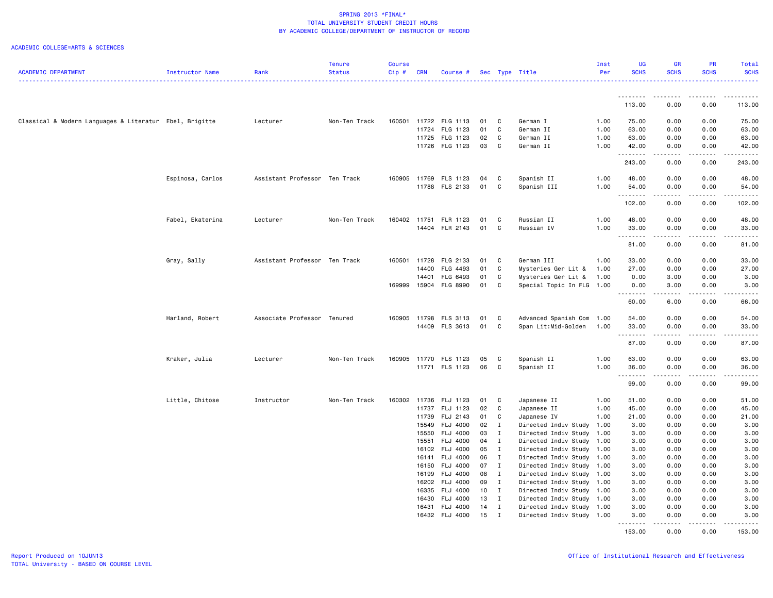|                                                         |                  |                               | <b>Tenure</b> | <b>Course</b> |            |                       |    |              |                           | Inst | <b>UG</b>             | <b>GR</b>                                                                                                                                                                                                                                                                                                                            | <b>PR</b>             | Total                   |
|---------------------------------------------------------|------------------|-------------------------------|---------------|---------------|------------|-----------------------|----|--------------|---------------------------|------|-----------------------|--------------------------------------------------------------------------------------------------------------------------------------------------------------------------------------------------------------------------------------------------------------------------------------------------------------------------------------|-----------------------|-------------------------|
| <b>ACADEMIC DEPARTMENT</b>                              | Instructor Name  | Rank                          | <b>Status</b> | Cip#          | <b>CRN</b> | Course #              |    |              | Sec Type Title            | Per  | <b>SCHS</b>           | <b>SCHS</b>                                                                                                                                                                                                                                                                                                                          | <b>SCHS</b>           | <b>SCHS</b>             |
|                                                         |                  |                               |               |               |            |                       |    |              |                           |      |                       |                                                                                                                                                                                                                                                                                                                                      |                       | $\omega$ is $\omega$ in |
|                                                         |                  |                               |               |               |            |                       |    |              |                           |      |                       |                                                                                                                                                                                                                                                                                                                                      |                       | .                       |
|                                                         |                  |                               |               |               |            |                       |    |              |                           |      | --------<br>113.00    | ------<br>0.00                                                                                                                                                                                                                                                                                                                       | .<br>0.00             | 113.00                  |
|                                                         |                  |                               |               |               |            |                       |    |              |                           |      |                       |                                                                                                                                                                                                                                                                                                                                      |                       |                         |
| Classical & Modern Languages & Literatur Ebel, Brigitte |                  | Lecturer                      | Non-Ten Track | 160501        |            | 11722 FLG 1113        | 01 | C            | German I                  | 1.00 | 75.00                 | 0.00                                                                                                                                                                                                                                                                                                                                 | 0.00                  | 75.00                   |
|                                                         |                  |                               |               |               | 11724      | FLG 1123              | 01 | C            | German II                 | 1.00 | 63.00                 | 0.00                                                                                                                                                                                                                                                                                                                                 | 0.00                  | 63.00                   |
|                                                         |                  |                               |               |               | 11725      | FLG 1123              | 02 | C            | German II                 | 1.00 | 63.00                 | 0.00                                                                                                                                                                                                                                                                                                                                 | 0.00                  | 63.00                   |
|                                                         |                  |                               |               |               |            | 11726 FLG 1123        | 03 | C            | German II                 | 1.00 | 42.00                 | 0.00                                                                                                                                                                                                                                                                                                                                 | 0.00                  | 42.00                   |
|                                                         |                  |                               |               |               |            |                       |    |              |                           |      | .                     | $- - - - -$                                                                                                                                                                                                                                                                                                                          | .                     | .                       |
|                                                         |                  |                               |               |               |            |                       |    |              |                           |      | 243.00                | 0.00                                                                                                                                                                                                                                                                                                                                 | 0.00                  | 243.00                  |
|                                                         |                  |                               |               |               |            |                       |    |              |                           |      |                       |                                                                                                                                                                                                                                                                                                                                      |                       |                         |
|                                                         | Espinosa, Carlos | Assistant Professor Ten Track |               | 160905        | 11769      | FLS 1123              | 04 | C            | Spanish II                | 1.00 | 48.00                 | 0.00                                                                                                                                                                                                                                                                                                                                 | 0.00                  | 48.00                   |
|                                                         |                  |                               |               |               |            | 11788 FLS 2133        | 01 | C            | Spanish III               | 1.00 | 54.00                 | 0.00                                                                                                                                                                                                                                                                                                                                 | 0.00                  | 54.00                   |
|                                                         |                  |                               |               |               |            |                       |    |              |                           |      | .                     |                                                                                                                                                                                                                                                                                                                                      | $\frac{1}{2}$         | .                       |
|                                                         |                  |                               |               |               |            |                       |    |              |                           |      | 102.00                | 0.00                                                                                                                                                                                                                                                                                                                                 | 0.00                  | 102.00                  |
|                                                         | Fabel, Ekaterina | Lecturer                      | Non-Ten Track | 160402 11751  |            | <b>FLR 1123</b>       | 01 | C            | Russian II                | 1.00 | 48.00                 | 0.00                                                                                                                                                                                                                                                                                                                                 | 0.00                  | 48.00                   |
|                                                         |                  |                               |               |               |            | 14404 FLR 2143        | 01 | C            | Russian IV                | 1.00 | 33.00                 | 0.00                                                                                                                                                                                                                                                                                                                                 | 0.00                  | 33.00                   |
|                                                         |                  |                               |               |               |            |                       |    |              |                           |      | .                     | .                                                                                                                                                                                                                                                                                                                                    | .                     | .                       |
|                                                         |                  |                               |               |               |            |                       |    |              |                           |      | 81.00                 | 0.00                                                                                                                                                                                                                                                                                                                                 | 0.00                  | 81.00                   |
|                                                         |                  |                               |               |               |            |                       |    |              |                           |      |                       |                                                                                                                                                                                                                                                                                                                                      |                       |                         |
|                                                         | Gray, Sally      | Assistant Professor Ten Track |               | 160501        | 11728      | FLG 2133              | 01 | C            | German III                | 1.00 | 33.00                 | 0.00                                                                                                                                                                                                                                                                                                                                 | 0.00                  | 33.00                   |
|                                                         |                  |                               |               |               | 14400      | FLG 4493              | 01 | C            | Mysteries Ger Lit &       | 1.00 | 27.00                 | 0.00                                                                                                                                                                                                                                                                                                                                 | 0.00                  | 27.00                   |
|                                                         |                  |                               |               |               | 14401      | FLG 6493              | 01 | C            | Mysteries Ger Lit &       | 1.00 | 0.00                  | 3.00                                                                                                                                                                                                                                                                                                                                 | 0.00                  | 3.00                    |
|                                                         |                  |                               |               |               |            | 169999 15904 FLG 8990 | 01 | C            | Special Topic In FLG 1.00 |      | 0.00                  | 3.00                                                                                                                                                                                                                                                                                                                                 | 0.00                  | 3.00                    |
|                                                         |                  |                               |               |               |            |                       |    |              |                           |      | <u> - - - - - - -</u> | $\frac{1}{2} \left( \begin{array}{ccc} 1 & 0 & 0 & 0 \\ 0 & 0 & 0 & 0 \\ 0 & 0 & 0 & 0 \\ 0 & 0 & 0 & 0 \\ 0 & 0 & 0 & 0 \\ 0 & 0 & 0 & 0 \\ 0 & 0 & 0 & 0 \\ 0 & 0 & 0 & 0 \\ 0 & 0 & 0 & 0 \\ 0 & 0 & 0 & 0 \\ 0 & 0 & 0 & 0 & 0 \\ 0 & 0 & 0 & 0 & 0 \\ 0 & 0 & 0 & 0 & 0 \\ 0 & 0 & 0 & 0 & 0 \\ 0 & 0 & 0 & 0 & 0 \\ 0 & 0 & 0$ | .                     | د د د د د               |
|                                                         |                  |                               |               |               |            |                       |    |              |                           |      | 60.00                 | 6.00                                                                                                                                                                                                                                                                                                                                 | 0.00                  | 66.00                   |
|                                                         |                  |                               |               |               |            |                       |    |              |                           |      |                       |                                                                                                                                                                                                                                                                                                                                      |                       |                         |
|                                                         | Harland, Robert  | Associate Professor Tenured   |               | 160905        | 11798      | FLS 3113              | 01 | C            | Advanced Spanish Com 1.00 |      | 54.00                 | 0.00                                                                                                                                                                                                                                                                                                                                 | 0.00                  | 54.00                   |
|                                                         |                  |                               |               |               | 14409      | FLS 3613              | 01 | C            | Span Lit:Mid-Golden       | 1.00 | 33.00<br>.            | 0.00                                                                                                                                                                                                                                                                                                                                 | 0.00<br>$\frac{1}{2}$ | 33.00<br>.              |
|                                                         |                  |                               |               |               |            |                       |    |              |                           |      | 87.00                 | 0.00                                                                                                                                                                                                                                                                                                                                 | 0.00                  | 87.00                   |
|                                                         |                  |                               |               |               |            |                       |    |              |                           |      |                       |                                                                                                                                                                                                                                                                                                                                      |                       |                         |
|                                                         | Kraker, Julia    | Lecturer                      | Non-Ten Track | 160905        | 11770      | FLS 1123              | 05 | C            | Spanish II                | 1.00 | 63.00                 | 0.00                                                                                                                                                                                                                                                                                                                                 | 0.00                  | 63.00                   |
|                                                         |                  |                               |               |               |            | 11771 FLS 1123        | 06 | C            | Spanish II                | 1.00 | 36.00                 | 0.00                                                                                                                                                                                                                                                                                                                                 | 0.00                  | 36.00                   |
|                                                         |                  |                               |               |               |            |                       |    |              |                           |      | .                     | $- - - - -$                                                                                                                                                                                                                                                                                                                          | .                     | .                       |
|                                                         |                  |                               |               |               |            |                       |    |              |                           |      | 99.00                 | 0.00                                                                                                                                                                                                                                                                                                                                 | 0.00                  | 99.00                   |
|                                                         |                  |                               |               |               |            |                       |    |              |                           |      |                       |                                                                                                                                                                                                                                                                                                                                      |                       |                         |
|                                                         | Little, Chitose  | Instructor                    | Non-Ten Track | 160302 11736  |            | FLJ 1123              | 01 | C            | Japanese II               | 1.00 | 51.00                 | 0.00                                                                                                                                                                                                                                                                                                                                 | 0.00                  | 51.00                   |
|                                                         |                  |                               |               |               | 11737      | FLJ 1123              | 02 | C            | Japanese II               | 1.00 | 45.00                 | 0.00                                                                                                                                                                                                                                                                                                                                 | 0.00                  | 45.00                   |
|                                                         |                  |                               |               |               | 11739      | FLJ 2143              | 01 | C            | Japanese IV               | 1.00 | 21.00                 | 0.00                                                                                                                                                                                                                                                                                                                                 | 0.00                  | 21.00                   |
|                                                         |                  |                               |               |               | 15549      | FLJ 4000              | 02 | $\mathbf{I}$ | Directed Indiv Study 1.00 |      | 3.00                  | 0.00                                                                                                                                                                                                                                                                                                                                 | 0.00                  | 3.00                    |
|                                                         |                  |                               |               |               | 15550      | <b>FLJ 4000</b>       | 03 | $\mathbf{I}$ | Directed Indiv Study 1.00 |      | 3.00                  | 0.00                                                                                                                                                                                                                                                                                                                                 | 0.00                  | 3.00                    |
|                                                         |                  |                               |               |               | 15551      | FLJ 4000              | 04 | $\mathbf{I}$ | Directed Indiv Study 1.00 |      | 3.00                  | 0.00                                                                                                                                                                                                                                                                                                                                 | 0.00                  | 3.00                    |
|                                                         |                  |                               |               |               | 16102      | FLJ 4000              | 05 | $\mathbf{I}$ | Directed Indiv Study 1.00 |      | 3.00                  | 0.00                                                                                                                                                                                                                                                                                                                                 | 0.00                  | 3.00                    |
|                                                         |                  |                               |               |               | 16141      | FLJ 4000              | 06 | $\mathbf{I}$ | Directed Indiv Study 1.00 |      | 3.00                  | 0.00                                                                                                                                                                                                                                                                                                                                 | 0.00                  | 3.00                    |
|                                                         |                  |                               |               |               | 16150      | FLJ 4000              | 07 | $\mathbf{I}$ | Directed Indiv Study 1.00 |      | 3.00                  | 0.00                                                                                                                                                                                                                                                                                                                                 | 0.00                  | 3.00                    |
|                                                         |                  |                               |               |               | 16199      | FLJ 4000              | 08 | $\mathbf{I}$ | Directed Indiv Study 1.00 |      | 3.00                  | 0.00                                                                                                                                                                                                                                                                                                                                 | 0.00                  | 3.00                    |
|                                                         |                  |                               |               |               | 16202      | <b>FLJ 4000</b>       | 09 | $\mathbf{I}$ | Directed Indiv Study 1.00 |      | 3.00                  | 0.00                                                                                                                                                                                                                                                                                                                                 | 0.00                  | 3.00                    |
|                                                         |                  |                               |               |               | 16335      | <b>FLJ 4000</b>       | 10 | $\mathbf{I}$ | Directed Indiv Study 1.00 |      | 3.00                  | 0.00                                                                                                                                                                                                                                                                                                                                 | 0.00                  | 3.00                    |
|                                                         |                  |                               |               |               | 16430      | FLJ 4000              | 13 | $\mathbf{I}$ | Directed Indiv Study 1.00 |      | 3.00                  | 0.00                                                                                                                                                                                                                                                                                                                                 | 0.00                  | 3.00                    |
|                                                         |                  |                               |               |               | 16431      | FLJ 4000              | 14 | $\mathbf{I}$ | Directed Indiv Study 1.00 |      | 3.00                  | 0.00                                                                                                                                                                                                                                                                                                                                 | 0.00                  | 3.00                    |
|                                                         |                  |                               |               |               |            | 16432 FLJ 4000        | 15 | $\mathbf{I}$ | Directed Indiv Study 1.00 |      | 3.00                  | 0.00                                                                                                                                                                                                                                                                                                                                 | 0.00                  | 3.00                    |
|                                                         |                  |                               |               |               |            |                       |    |              |                           |      | <u>.</u>              | $- - - - -$                                                                                                                                                                                                                                                                                                                          | .                     | .                       |
|                                                         |                  |                               |               |               |            |                       |    |              |                           |      | 153.00                | 0.00                                                                                                                                                                                                                                                                                                                                 | 0.00                  | 153.00                  |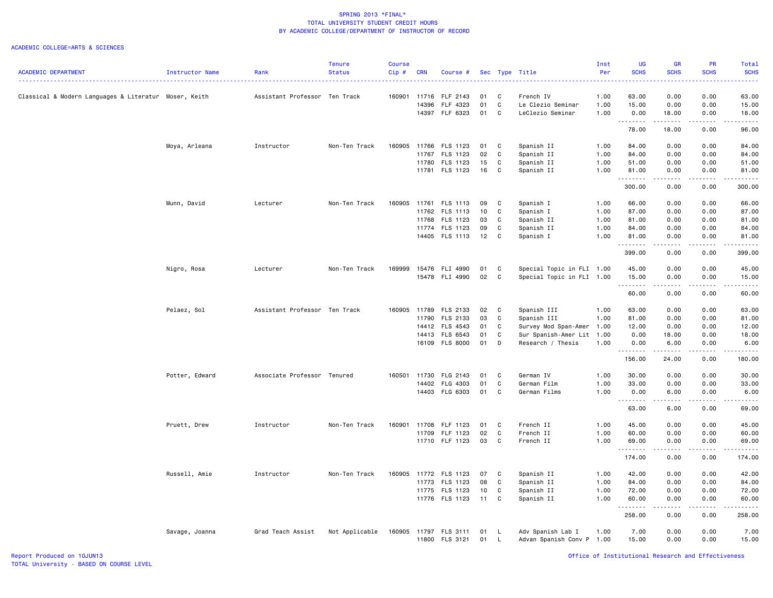|                                                       |                        |                               | <b>Tenure</b>  | <b>Course</b> |                |                                  |          |                   |                                           | Inst         | UG             | <b>GR</b>                                                                                                                                                    | <b>PR</b>    | Total                |
|-------------------------------------------------------|------------------------|-------------------------------|----------------|---------------|----------------|----------------------------------|----------|-------------------|-------------------------------------------|--------------|----------------|--------------------------------------------------------------------------------------------------------------------------------------------------------------|--------------|----------------------|
| <b>ACADEMIC DEPARTMENT</b>                            | <b>Instructor Name</b> | Rank                          | <b>Status</b>  | Cip#          | <b>CRN</b>     | Course #                         |          |                   | Sec Type Title                            | Per          | <b>SCHS</b>    | <b>SCHS</b>                                                                                                                                                  | <b>SCHS</b>  | <b>SCHS</b><br>2222. |
|                                                       |                        |                               |                |               |                |                                  |          |                   |                                           |              |                |                                                                                                                                                              |              |                      |
| Classical & Modern Languages & Literatur Moser, Keith |                        | Assistant Professor Ten Track |                | 160901        | 11716<br>14396 | FLF 2143<br>FLF 4323             | 01<br>01 | C<br>C            | French IV                                 | 1.00<br>1.00 | 63.00<br>15.00 | 0.00<br>0.00                                                                                                                                                 | 0.00<br>0.00 | 63.00                |
|                                                       |                        |                               |                |               |                | 14397 FLF 6323                   | 01       | C                 | Le Clezio Seminar<br>LeClezio Seminar     | 1.00         | 0.00           | 18.00                                                                                                                                                        | 0.00         | 15.00<br>18.00       |
|                                                       |                        |                               |                |               |                |                                  |          |                   |                                           |              |                | .                                                                                                                                                            | .            | .                    |
|                                                       |                        |                               |                |               |                |                                  |          |                   |                                           |              | 78.00          | 18.00                                                                                                                                                        | 0.00         | 96.00                |
|                                                       | Moya, Arleana          | Instructor                    | Non-Ten Track  |               |                | 160905 11766 FLS 1123            | 01       | C                 | Spanish II                                | 1.00         | 84.00          | 0.00                                                                                                                                                         | 0.00         | 84.00                |
|                                                       |                        |                               |                |               | 11767          | FLS 1123                         | 02       | C                 | Spanish II                                | 1.00         | 84.00          | 0.00                                                                                                                                                         | 0.00         | 84.00                |
|                                                       |                        |                               |                |               | 11780          | FLS 1123                         | 15       | C                 | Spanish II                                | 1.00         | 51.00          | 0.00                                                                                                                                                         | 0.00         | 51.00                |
|                                                       |                        |                               |                |               |                | 11781 FLS 1123                   | 16       | C                 | Spanish II                                | 1.00         | 81.00          | 0.00<br>.                                                                                                                                                    | 0.00<br>.    | 81.00<br>.           |
|                                                       |                        |                               |                |               |                |                                  |          |                   |                                           |              | 300.00         | 0.00                                                                                                                                                         | 0.00         | 300.00               |
|                                                       | Munn, David            | Lecturer                      | Non-Ten Track  | 160905        |                | 11761 FLS 1113                   | 09       | C                 | Spanish I                                 | 1.00         | 66.00          | 0.00                                                                                                                                                         | 0.00         | 66.00                |
|                                                       |                        |                               |                |               | 11762          | FLS 1113                         | 10       | C                 | Spanish I                                 | 1.00         | 87.00          | 0.00                                                                                                                                                         | 0.00         | 87.00                |
|                                                       |                        |                               |                |               | 11768          | FLS 1123                         | 03       | C                 | Spanish II                                | 1.00         | 81.00          | 0.00                                                                                                                                                         | 0.00         | 81.00                |
|                                                       |                        |                               |                |               | 11774          | FLS 1123                         | 09       | C                 | Spanish II                                | 1.00         | 84.00          | 0.00                                                                                                                                                         | 0.00         | 84.00                |
|                                                       |                        |                               |                |               |                | 14405 FLS 1113                   | 12       | C                 | Spanish I                                 | 1.00         | 81.00<br>.     | 0.00<br>$\frac{1}{2} \left( \frac{1}{2} \right) \left( \frac{1}{2} \right) \left( \frac{1}{2} \right) \left( \frac{1}{2} \right) \left( \frac{1}{2} \right)$ | 0.00<br>.    | 81.00<br>.           |
|                                                       |                        |                               |                |               |                |                                  |          |                   |                                           |              | 399.00         | 0.00                                                                                                                                                         | 0.00         | 399.00               |
|                                                       | Nigro, Rosa            | Lecturer                      | Non-Ten Track  | 169999        |                | 15476 FLI 4990                   | 01       | C                 | Special Topic in FLI 1.00                 |              | 45.00          | 0.00                                                                                                                                                         | 0.00         | 45.00                |
|                                                       |                        |                               |                |               |                | 15478 FLI 4990                   | 02       | C                 | Special Topic in FLI 1.00                 |              | 15.00          | 0.00                                                                                                                                                         | 0.00         | 15.00                |
|                                                       |                        |                               |                |               |                |                                  |          |                   |                                           |              | 60.00          | .<br>0.00                                                                                                                                                    | .<br>0.00    | .<br>60.00           |
|                                                       |                        |                               |                |               |                |                                  |          |                   |                                           |              |                |                                                                                                                                                              |              |                      |
|                                                       | Pelaez, Sol            | Assistant Professor Ten Track |                | 160905        | 11789          | FLS 2133                         | 02<br>03 | C                 | Spanish III                               | 1.00         | 63.00          | 0.00                                                                                                                                                         | 0.00         | 63.00                |
|                                                       |                        |                               |                |               | 11790          | FLS 2133                         |          | $\mathtt{C}$<br>C | Spanish III                               | 1.00         | 81.00          | 0.00                                                                                                                                                         | 0.00         | 81.00                |
|                                                       |                        |                               |                |               | 14412          | FLS 4543                         | 01       |                   | Survey Mod Span-Amer                      | 1.00         | 12.00          | 0.00                                                                                                                                                         | 0.00         | 12.00                |
|                                                       |                        |                               |                |               |                | 14413 FLS 6543<br>16109 FLS 8000 | 01<br>01 | C<br>D            | Sur Spanish-Amer Lit<br>Research / Thesis | 1.00<br>1.00 | 0.00<br>0.00   | 18.00<br>6.00                                                                                                                                                | 0.00<br>0.00 | 18.00<br>6.00        |
|                                                       |                        |                               |                |               |                |                                  |          |                   |                                           |              |                | .                                                                                                                                                            | .            | .                    |
|                                                       |                        |                               |                |               |                |                                  |          |                   |                                           |              | 156.00         | 24.00                                                                                                                                                        | 0.00         | 180.00               |
|                                                       | Potter, Edward         | Associate Professor Tenured   |                | 160501        | 11730          | FLG 2143                         | 01       | C                 | German IV                                 | 1.00         | 30.00          | 0.00                                                                                                                                                         | 0.00         | 30.00                |
|                                                       |                        |                               |                |               |                | 14402 FLG 4303                   | 01       | C                 | German Film                               | 1.00         | 33.00          | 0.00                                                                                                                                                         | 0.00         | 33.00                |
|                                                       |                        |                               |                |               |                | 14403 FLG 6303                   | 01       | C                 | German Films                              | 1.00         | 0.00           | 6.00<br>.                                                                                                                                                    | 0.00<br>.    | 6.00<br>.            |
|                                                       |                        |                               |                |               |                |                                  |          |                   |                                           |              | 63.00          | 6.00                                                                                                                                                         | 0.00         | 69.00                |
|                                                       | Pruett, Drew           | Instructor                    | Non-Ten Track  | 160901        | 11708          | FLF 1123                         | 01       | C                 | French II                                 | 1.00         | 45.00          | 0.00                                                                                                                                                         | 0.00         | 45.00                |
|                                                       |                        |                               |                |               | 11709          | FLF 1123                         | 02       | $\mathtt{C}$      | French II                                 | 1.00         | 60.00          | 0.00                                                                                                                                                         | 0.00         | 60.00                |
|                                                       |                        |                               |                |               |                | 11710 FLF 1123                   | 03       | C                 | French II                                 | 1.00         | 69.00          | 0.00                                                                                                                                                         | 0.00         | 69.00                |
|                                                       |                        |                               |                |               |                |                                  |          |                   |                                           |              | 174.00         | <b>.</b><br>0.00                                                                                                                                             | .<br>0.00    | .<br>174.00          |
|                                                       | Russell, Amie          | Instructor                    | Non-Ten Track  | 160905        | 11772          | FLS 1123                         | 07       | C                 | Spanish II                                | 1.00         | 42.00          | 0.00                                                                                                                                                         | 0.00         | 42.00                |
|                                                       |                        |                               |                |               | 11773          | FLS 1123                         | 08       | C                 | Spanish II                                | 1.00         | 84.00          | 0.00                                                                                                                                                         | 0.00         | 84.00                |
|                                                       |                        |                               |                |               |                | 11775 FLS 1123                   | 10       | C                 | Spanish II                                | 1.00         | 72.00          | 0.00                                                                                                                                                         | 0.00         | 72.00                |
|                                                       |                        |                               |                |               |                | 11776 FLS 1123                   | 11       | C                 | Spanish II                                | 1.00         | 60.00          | 0.00                                                                                                                                                         | 0.00         | 60.00                |
|                                                       |                        |                               |                |               |                |                                  |          |                   |                                           |              | .<br>258.00    | $\omega$ is $\omega$ in $\omega$ .<br>0.00                                                                                                                   | .<br>0.00    | .<br>258.00          |
|                                                       | Savage, Joanna         | Grad Teach Assist             | Not Applicable |               |                | 160905 11797 FLS 3111            | 01       | L.                | Adv Spanish Lab I                         | 1.00         | 7.00           | 0.00                                                                                                                                                         | 0.00         | 7.00                 |
|                                                       |                        |                               |                |               |                | 11800 FLS 3121                   | 01       | $\mathsf{L}$      | Advan Spanish Conv P 1.00                 |              | 15.00          | 0.00                                                                                                                                                         | 0.00         | 15.00                |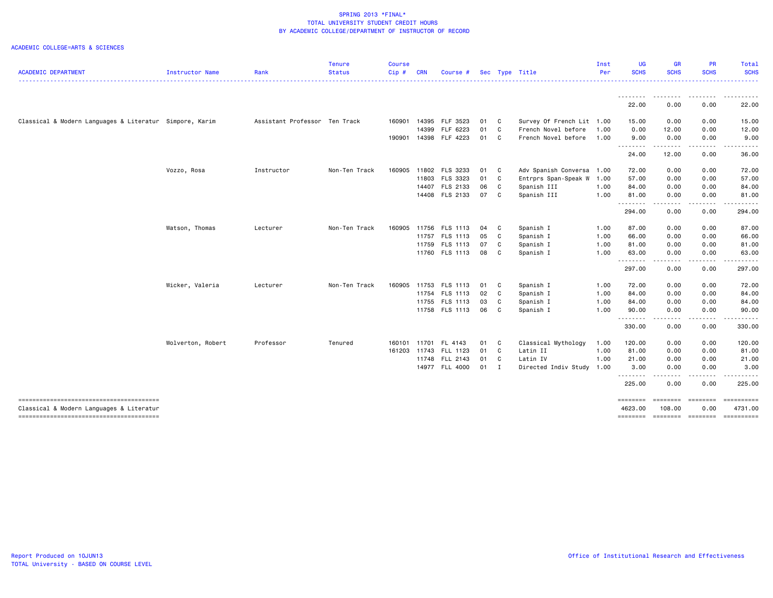|                                                                                    |                   |                               | <b>Tenure</b> | <b>Course</b> |            |                       |      |              |                           | Inst | <b>UG</b>               | <b>GR</b>                                                                                                                         | <b>PR</b>          | <b>Total</b> |
|------------------------------------------------------------------------------------|-------------------|-------------------------------|---------------|---------------|------------|-----------------------|------|--------------|---------------------------|------|-------------------------|-----------------------------------------------------------------------------------------------------------------------------------|--------------------|--------------|
| <b>ACADEMIC DEPARTMENT</b>                                                         | Instructor Name   | Rank                          | <b>Status</b> | Cip#          | <b>CRN</b> | Course #              |      |              | Sec Type Title            | Per  | <b>SCHS</b>             | <b>SCHS</b>                                                                                                                       | <b>SCHS</b>        | <b>SCHS</b>  |
|                                                                                    |                   |                               |               |               |            |                       |      |              |                           |      | .<br>22.00              | 0.00                                                                                                                              | 0.00               | 22.00        |
|                                                                                    |                   |                               |               |               |            |                       |      |              |                           |      |                         |                                                                                                                                   |                    |              |
| Classical & Modern Languages & Literatur Simpore, Karim                            |                   | Assistant Professor Ten Track |               | 160901        | 14395      | FLF 3523              | 01   | $\mathbf{C}$ | Survey Of French Lit 1.00 |      | 15.00                   | 0.00                                                                                                                              | 0.00               | 15.00        |
|                                                                                    |                   |                               |               |               | 14399      | FLF 6223              | 01   | $\mathbf{C}$ | French Novel before       | 1.00 | 0.00                    | 12.00                                                                                                                             | 0.00               | 12.00        |
|                                                                                    |                   |                               |               | 190901        |            | 14398 FLF 4223        | 01 C |              | French Novel before       | 1.00 | 9.00<br>.               | 0.00<br>.                                                                                                                         | 0.00<br>.          | 9.00<br>.    |
|                                                                                    |                   |                               |               |               |            |                       |      |              |                           |      | 24.00                   | 12.00                                                                                                                             | 0.00               | 36.00        |
|                                                                                    | Vozzo, Rosa       | Instructor                    | Non-Ten Track | 160905        |            | 11802 FLS 3233        | 01   | C            | Adv Spanish Conversa      | 1.00 | 72.00                   | 0.00                                                                                                                              | 0.00               | 72.00        |
|                                                                                    |                   |                               |               |               |            | 11803 FLS 3323        | 01   | $\mathbf{C}$ | Entrprs Span-Speak W      | 1.00 | 57.00                   | 0.00                                                                                                                              | 0.00               | 57.00        |
|                                                                                    |                   |                               |               |               |            | 14407 FLS 2133        | 06 C |              | Spanish III               | 1.00 | 84.00                   | 0.00                                                                                                                              | 0.00               | 84.00        |
|                                                                                    |                   |                               |               |               |            | 14408 FLS 2133        | 07 C |              | Spanish III               | 1.00 | 81.00<br>.              | 0.00<br>$\frac{1}{2}$                                                                                                             | 0.00<br>.          | 81.00        |
|                                                                                    |                   |                               |               |               |            |                       |      |              |                           |      | 294.00                  | 0.00                                                                                                                              | 0.00               | 294.00       |
|                                                                                    | Watson, Thomas    | Lecturer                      | Non-Ten Track | 160905        | 11756      | FLS 1113              | 04 C |              | Spanish I                 | 1.00 | 87.00                   | 0.00                                                                                                                              | 0.00               | 87.00        |
|                                                                                    |                   |                               |               |               |            | 11757 FLS 1113        | 05 C |              | Spanish I                 | 1.00 | 66.00                   | 0.00                                                                                                                              | 0.00               | 66.00        |
|                                                                                    |                   |                               |               |               |            | 11759 FLS 1113        | 07 C |              | Spanish I                 | 1.00 | 81.00                   | 0.00                                                                                                                              | 0.00               | 81.00        |
|                                                                                    |                   |                               |               |               |            | 11760 FLS 1113        | 08 C |              | Spanish I                 | 1.00 | 63.00<br>$- - - -$<br>. | 0.00<br>$\frac{1}{2}$                                                                                                             | 0.00<br>. <b>.</b> | 63.00        |
|                                                                                    |                   |                               |               |               |            |                       |      |              |                           |      | 297.00                  | 0.00                                                                                                                              | 0.00               | 297.00       |
|                                                                                    | Wicker, Valeria   | Lecturer                      | Non-Ten Track | 160905        | 11753      | FLS 1113              | 01   | $\mathbf{C}$ | Spanish I                 | 1.00 | 72.00                   | 0.00                                                                                                                              | 0.00               | 72.00        |
|                                                                                    |                   |                               |               |               | 11754      | FLS 1113              | 02 C |              | Spanish I                 | 1.00 | 84.00                   | 0.00                                                                                                                              | 0.00               | 84.00        |
|                                                                                    |                   |                               |               |               |            | 11755 FLS 1113        | 03   | $\mathbf{C}$ | Spanish I                 | 1.00 | 84.00                   | 0.00                                                                                                                              | 0.00               | 84.00        |
|                                                                                    |                   |                               |               |               |            | 11758 FLS 1113        | 06 C |              | Spanish I                 | 1.00 | 90.00<br>.              | 0.00<br>$\frac{1}{2} \left( \frac{1}{2} \right) \left( \frac{1}{2} \right) \left( \frac{1}{2} \right) \left( \frac{1}{2} \right)$ | 0.00<br>-----      | 90.00        |
|                                                                                    |                   |                               |               |               |            |                       |      |              |                           |      | 330.00                  | 0.00                                                                                                                              | 0.00               | 330.00       |
|                                                                                    | Wolverton, Robert | Professor                     | Tenured       | 160101 11701  |            | FL 4143               | 01   | $\mathbf{C}$ | Classical Mythology       | 1.00 | 120.00                  | 0.00                                                                                                                              | 0.00               | 120.00       |
|                                                                                    |                   |                               |               |               |            | 161203 11743 FLL 1123 | 01 C |              | Latin II                  | 1.00 | 81.00                   | 0.00                                                                                                                              | 0.00               | 81.00        |
|                                                                                    |                   |                               |               |               |            | 11748 FLL 2143        | 01   | $\mathbf{C}$ | Latin IV                  | 1.00 | 21.00                   | 0.00                                                                                                                              | 0.00               | 21.00        |
|                                                                                    |                   |                               |               |               |            | 14977 FLL 4000        | 01 I |              | Directed Indiv Study      | 1.00 | 3.00<br><u>.</u>        | 0.00<br>.                                                                                                                         | 0.00<br>.          | 3.00         |
|                                                                                    |                   |                               |               |               |            |                       |      |              |                           |      | 225.00                  | 0.00                                                                                                                              | 0.00               | 225.00       |
| --------------------------------------<br>Classical & Modern Languages & Literatur |                   |                               |               |               |            |                       |      |              |                           |      | ========<br>4623.00     | ========<br>108.00                                                                                                                | ========<br>0.00   | 4731.00      |
|                                                                                    |                   |                               |               |               |            |                       |      |              |                           |      | ========                |                                                                                                                                   |                    | ==========   |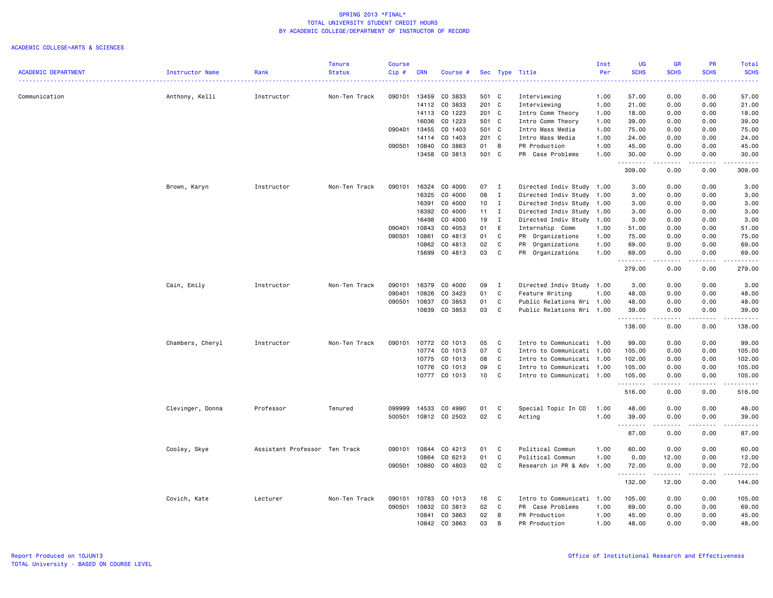|                            |                  |                               | <b>Tenure</b> | <b>Course</b> |            |               |                 |              |                           | Inst | UG                 | <b>GR</b>     | PR                | Total                   |
|----------------------------|------------------|-------------------------------|---------------|---------------|------------|---------------|-----------------|--------------|---------------------------|------|--------------------|---------------|-------------------|-------------------------|
| <b>ACADEMIC DEPARTMENT</b> | Instructor Name  | Rank                          | <b>Status</b> | Cip#          | <b>CRN</b> | Course #      |                 |              | Sec Type Title            | Per  | <b>SCHS</b>        | <b>SCHS</b>   | <b>SCHS</b>       | <b>SCHS</b>             |
| Communication              | Anthony, Kelli   | Instructor                    | Non-Ten Track | 090101        | 13459      | CO 3833       | 501 C           |              | Interviewing              | 1.00 | 57.00              | 0.00          | 0.00              | 57.00                   |
|                            |                  |                               |               |               | 14112      | CO 3833       | 201 C           |              | Interviewing              | 1.00 | 21.00              | 0.00          | 0.00              | 21.00                   |
|                            |                  |                               |               |               | 14113      | CO 1223       | 201 C           |              | Intro Comm Theory         | 1.00 | 18.00              | 0.00          | 0.00              | 18.00                   |
|                            |                  |                               |               |               | 16036      | CO 1223       | 501 C           |              | Intro Comm Theory         | 1.00 | 39.00              | 0.00          | 0.00              | 39.00                   |
|                            |                  |                               |               | 090401        | 13455      | CO 1403       | 501 C           |              | Intro Mass Media          | 1.00 | 75.00              | 0.00          | 0.00              | 75.00                   |
|                            |                  |                               |               |               | 14114      | CO 1403       | 201 C           |              | Intro Mass Media          | 1.00 | 24.00              | 0.00          | 0.00              | 24.00                   |
|                            |                  |                               |               | 090501        | 10840      | CO 3863       | 01              | B            | PR Production             | 1.00 | 45.00              | 0.00          | 0.00              | 45.00                   |
|                            |                  |                               |               |               | 13458      | CO 3813       | 501 C           |              | PR Case Problems          | 1.00 | 30.00              | 0.00          | 0.00              | 30.00                   |
|                            |                  |                               |               |               |            |               |                 |              |                           |      | .<br>309.00        | .<br>0.00     | $- - - -$<br>0.00 | .<br>309.00             |
|                            | Brown, Karyn     | Instructor                    | Non-Ten Track | 090101        | 16324      | CO 4000       | 07 I            |              | Directed Indiv Study 1.00 |      | 3.00               | 0.00          | 0.00              | 3.00                    |
|                            |                  |                               |               |               | 16325      | CO 4000       | 08              | $\mathbf{I}$ | Directed Indiv Study      | 1.00 | 3.00               | 0.00          | 0.00              | 3.00                    |
|                            |                  |                               |               |               | 16391      | CO 4000       | 10 <sub>1</sub> | $\mathbf{I}$ | Directed Indiv Study 1.00 |      | 3.00               | 0.00          | 0.00              | 3.00                    |
|                            |                  |                               |               |               | 16392      | CO 4000       | $11 \quad I$    |              | Directed Indiv Study 1.00 |      | 3.00               | 0.00          | 0.00              | 3.00                    |
|                            |                  |                               |               |               | 16498      | CO 4000       | 19              | $\mathbf{I}$ | Directed Indiv Study      | 1.00 | 3.00               | 0.00          | 0.00              | 3.00                    |
|                            |                  |                               |               | 090401        | 10843      | CO 4053       | 01              | E            | Internship Comm           | 1.00 | 51.00              | 0.00          | 0.00              | 51.00                   |
|                            |                  |                               |               | 090501        | 10861      | CO 4813       | 01              | C            | PR Organizations          | 1.00 | 75.00              | 0.00          | 0.00              | 75.00                   |
|                            |                  |                               |               |               | 10862      | CO 4813       | 02              | C            | PR Organizations          | 1.00 | 69.00              | 0.00          | 0.00              | 69.00                   |
|                            |                  |                               |               |               | 15699      | CO 4813       | 03              | C            | PR Organizations          | 1.00 | 69.00              | 0.00          | 0.00              | 69.00                   |
|                            |                  |                               |               |               |            |               |                 |              |                           |      | .<br>279.00        | -----<br>0.00 | .<br>0.00         | .<br>279.00             |
|                            | Cain, Emily      | Instructor                    | Non-Ten Track | 090101        | 16379      | CO 4000       | 09              | $\mathbf{I}$ | Directed Indiv Study 1.00 |      | 3.00               | 0.00          | 0.00              | 3.00                    |
|                            |                  |                               |               | 090401        | 10826      | CO 3423       | 01              | C            | Feature Writing           | 1.00 | 48.00              | 0.00          | 0.00              | 48.00                   |
|                            |                  |                               |               | 090501        | 10837      | CO 3853       | 01              | C            | Public Relations Wri 1.00 |      | 48.00              | 0.00          | 0.00              | 48.00                   |
|                            |                  |                               |               |               | 10839      | CO 3853       | 03              | C            | Public Relations Wri 1.00 |      | 39.00              | 0.00          | 0.00              | 39.00                   |
|                            |                  |                               |               |               |            |               |                 |              |                           |      | .<br>138.00        | 0.00          | 0.00              | $\frac{1}{2}$<br>138.00 |
|                            | Chambers, Cheryl | Instructor                    | Non-Ten Track | 090101        |            | 10772 CO 1013 | 05              | C            | Intro to Communicati 1.00 |      | 99.00              | 0.00          | 0.00              | 99.00                   |
|                            |                  |                               |               |               | 10774      | CO 1013       | 07              | C            | Intro to Communicati 1.00 |      | 105.00             | 0.00          | 0.00              | 105.00                  |
|                            |                  |                               |               |               | 10775      | CO 1013       | 08              | C            | Intro to Communicati 1.00 |      | 102.00             | 0.00          | 0.00              | 102.00                  |
|                            |                  |                               |               |               | 10776      | CO 1013       | 09              | C            | Intro to Communicati 1.00 |      | 105.00             | 0.00          | 0.00              | 105.00                  |
|                            |                  |                               |               |               | 10777      | CO 1013       | 10              | C            | Intro to Communicati 1.00 |      | 105.00             | 0.00          | 0.00              | 105.00                  |
|                            |                  |                               |               |               |            |               |                 |              |                           |      | .<br>516.00        | 0.00          | 0.00              | .<br>516.00             |
|                            | Clevinger, Donna | Professor                     | Tenured       | 099999        | 14533      | CO 4990       | 01              | C            | Special Topic In CO       | 1.00 | 48.00              | 0.00          | 0.00              | 48.00                   |
|                            |                  |                               |               | 500501        |            | 10812 CO 2503 | 02              | C            | Acting                    | 1.00 | 39.00              | 0.00          | 0.00              | 39.00                   |
|                            |                  |                               |               |               |            |               |                 |              |                           |      | .<br>87.00         | .<br>0.00     | .<br>0.00         | .<br>87.00              |
|                            | Cooley, Skye     | Assistant Professor Ten Track |               | 090101        | 10844      | CO 4213       | 01              | C            | Political Commun          | 1.00 | 60.00              | 0.00          | 0.00              | 60.00                   |
|                            |                  |                               |               |               | 10864      | CO 6213       | 01              | C            | Political Commun          | 1.00 | 0.00               | 12.00         | 0.00              | 12.00                   |
|                            |                  |                               |               | 090501        | 10860      | CO 4803       | 02              | $\mathbb C$  | Research in PR & Adv 1.00 |      | 72.00              | 0.00          | 0.00              | 72.00                   |
|                            |                  |                               |               |               |            |               |                 |              |                           |      | --------<br>132.00 | .<br>12.00    | $   -$<br>0.00    | .<br>144.00             |
|                            | Covich, Kate     | Lecturer                      | Non-Ten Track | 090101        | 10783      | CO 1013       | 16              | C            | Intro to Communicati 1.00 |      | 105.00             | 0.00          | 0.00              | 105.00                  |
|                            |                  |                               |               | 090501        | 10832      | CO 3813       | 02              | C            | PR Case Problems          | 1.00 | 69.00              | 0.00          | 0.00              | 69.00                   |
|                            |                  |                               |               |               |            | 10841 CO 3863 | 02              | В            | PR Production             | 1.00 | 45.00              | 0.00          | 0.00              | 45.00                   |
|                            |                  |                               |               |               |            | 10842 CO 3863 | 03              | B            | PR Production             | 1.00 | 48.00              | 0.00          | 0.00              | 48.00                   |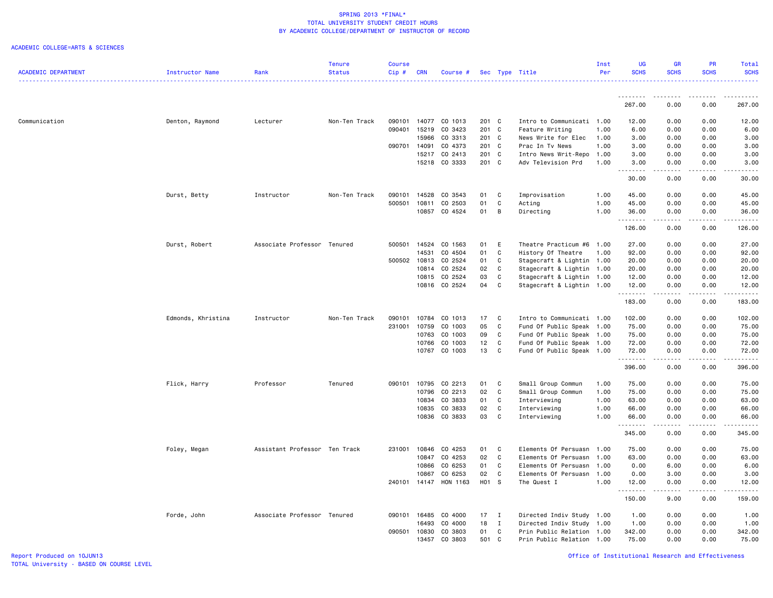|                            |                    |                               | Tenure        | <b>Course</b>    |                |                    |                |                   |                                        | Inst         | UG                   | <b>GR</b>                                                                                                                                            | <b>PR</b>            | Total                                                                                                                     |
|----------------------------|--------------------|-------------------------------|---------------|------------------|----------------|--------------------|----------------|-------------------|----------------------------------------|--------------|----------------------|------------------------------------------------------------------------------------------------------------------------------------------------------|----------------------|---------------------------------------------------------------------------------------------------------------------------|
| <b>ACADEMIC DEPARTMENT</b> | Instructor Name    | Rank                          | <b>Status</b> | Cip#             | <b>CRN</b>     | Course #           |                |                   | Sec Type Title                         | Per          | <b>SCHS</b>          | <b>SCHS</b>                                                                                                                                          | <b>SCHS</b>          | <b>SCHS</b>                                                                                                               |
|                            |                    |                               |               |                  |                |                    |                |                   |                                        |              |                      |                                                                                                                                                      |                      | .                                                                                                                         |
|                            |                    |                               |               |                  |                |                    |                |                   |                                        |              |                      |                                                                                                                                                      |                      |                                                                                                                           |
|                            |                    |                               |               |                  |                |                    |                |                   |                                        |              | .                    | .                                                                                                                                                    | <u>.</u>             | .                                                                                                                         |
|                            |                    |                               |               |                  |                |                    |                |                   |                                        |              | 267.00               | 0.00                                                                                                                                                 | 0.00                 | 267.00                                                                                                                    |
|                            |                    |                               |               |                  |                |                    |                |                   |                                        |              |                      |                                                                                                                                                      |                      |                                                                                                                           |
| Communication              | Denton, Raymond    | Lecturer                      | Non-Ten Track | 090101<br>090401 | 14077<br>15219 | CO 1013<br>CO 3423 | 201 C<br>201 C |                   | Intro to Communicati 1.00              |              | 12.00                | 0.00<br>0.00                                                                                                                                         | 0.00                 | 12.00<br>6.00                                                                                                             |
|                            |                    |                               |               |                  | 15966          | CO 3313            | 201 C          |                   | Feature Writing<br>News Write for Elec | 1.00<br>1.00 | 6.00<br>3.00         | 0.00                                                                                                                                                 | 0.00<br>0.00         | 3.00                                                                                                                      |
|                            |                    |                               |               | 090701           | 14091          | CO 4373            | 201 C          |                   | Prac In Tv News                        | 1.00         | 3.00                 | 0.00                                                                                                                                                 | 0.00                 | 3.00                                                                                                                      |
|                            |                    |                               |               |                  | 15217          | CO 2413            | 201 C          |                   | Intro News Writ-Repo                   | 1.00         | 3.00                 | 0.00                                                                                                                                                 | 0.00                 | 3.00                                                                                                                      |
|                            |                    |                               |               |                  | 15218          | CO 3333            | 201 C          |                   | Adv Television Prd                     | 1.00         | 3.00                 | 0.00                                                                                                                                                 | 0.00                 | 3.00                                                                                                                      |
|                            |                    |                               |               |                  |                |                    |                |                   |                                        |              | .<br>$\sim$ $\sim$ . | .                                                                                                                                                    | الأعامات             | .                                                                                                                         |
|                            |                    |                               |               |                  |                |                    |                |                   |                                        |              | 30.00                | 0.00                                                                                                                                                 | 0.00                 | 30.00                                                                                                                     |
|                            |                    |                               |               |                  |                |                    |                |                   |                                        |              |                      |                                                                                                                                                      |                      |                                                                                                                           |
|                            | Durst, Betty       | Instructor                    | Non-Ten Track | 090101           | 14528          | CO 3543            | 01             | C                 | Improvisation                          | 1.00         | 45.00                | 0.00                                                                                                                                                 | 0.00                 | 45.00                                                                                                                     |
|                            |                    |                               |               | 500501           | 10811          | CO 2503            | 01             | $\mathtt{C}$      | Acting                                 | 1.00         | 45.00                | 0.00                                                                                                                                                 | 0.00                 | 45.00                                                                                                                     |
|                            |                    |                               |               |                  | 10857          | CO 4524            | 01             | В                 | Directing                              | 1.00         | 36.00                | 0.00                                                                                                                                                 | 0.00                 | 36.00                                                                                                                     |
|                            |                    |                               |               |                  |                |                    |                |                   |                                        |              | .                    |                                                                                                                                                      | $\frac{1}{2}$        | .                                                                                                                         |
|                            |                    |                               |               |                  |                |                    |                |                   |                                        |              | 126.00               | 0.00                                                                                                                                                 | 0.00                 | 126.00                                                                                                                    |
|                            |                    |                               |               |                  |                |                    |                |                   |                                        |              |                      |                                                                                                                                                      |                      |                                                                                                                           |
|                            | Durst, Robert      | Associate Professor Tenured   |               | 500501           | 14524          | CO 1563            | 01             | E                 | Theatre Practicum #6                   | 1.00         | 27.00                | 0.00                                                                                                                                                 | 0.00                 | 27.00                                                                                                                     |
|                            |                    |                               |               |                  | 14531          | CO 4504            | 01             | C                 | History Of Theatre                     | 1.00         | 92.00                | 0.00                                                                                                                                                 | 0.00                 | 92.00                                                                                                                     |
|                            |                    |                               |               | 500502           | 10813          | CO 2524            | 01             | C                 | Stagecraft & Lightin 1.00              |              | 20.00                | 0.00                                                                                                                                                 | 0.00                 | 20.00                                                                                                                     |
|                            |                    |                               |               |                  | 10814          | CO 2524            | 02             | C                 | Stagecraft & Lightin 1.00              |              | 20.00                | 0.00                                                                                                                                                 | 0.00                 | 20.00                                                                                                                     |
|                            |                    |                               |               |                  | 10815          | CO 2524            | 03             | $\mathtt{C}$      | Stagecraft & Lightin 1.00              |              | 12.00                | 0.00                                                                                                                                                 | 0.00                 | 12.00                                                                                                                     |
|                            |                    |                               |               |                  | 10816          | CO 2524            | 04             | $\mathtt{C}$      | Stagecraft & Lightin 1.00              |              | 12.00                | 0.00                                                                                                                                                 | 0.00                 | 12.00                                                                                                                     |
|                            |                    |                               |               |                  |                |                    |                |                   |                                        |              | .                    | .                                                                                                                                                    | .                    | .                                                                                                                         |
|                            |                    |                               |               |                  |                |                    |                |                   |                                        |              | 183.00               | 0.00                                                                                                                                                 | 0.00                 | 183.00                                                                                                                    |
|                            |                    |                               |               |                  |                |                    |                |                   |                                        |              |                      |                                                                                                                                                      |                      |                                                                                                                           |
|                            | Edmonds, Khristina | Instructor                    | Non-Ten Track | 090101           | 10784          | CO 1013            | 17             | C                 | Intro to Communicati 1.00              |              | 102.00               | 0.00                                                                                                                                                 | 0.00                 | 102.00                                                                                                                    |
|                            |                    |                               |               | 231001           | 10759          | CO 1003            | 05             | C                 | Fund Of Public Speak 1.00              |              | 75.00                | 0.00                                                                                                                                                 | 0.00                 | 75.00                                                                                                                     |
|                            |                    |                               |               |                  | 10763          | CO 1003            | 09             | C                 | Fund Of Public Speak 1.00              |              | 75.00                | 0.00                                                                                                                                                 | 0.00                 | 75.00                                                                                                                     |
|                            |                    |                               |               |                  | 10766          | CO 1003            | 12             | C                 | Fund Of Public Speak 1.00              |              | 72.00                | 0.00                                                                                                                                                 | 0.00                 | 72.00                                                                                                                     |
|                            |                    |                               |               |                  | 10767          | CO 1003            | 13             | C                 | Fund Of Public Speak 1.00              |              | 72.00                | 0.00                                                                                                                                                 | 0.00                 | 72.00                                                                                                                     |
|                            |                    |                               |               |                  |                |                    |                |                   |                                        |              | .                    | $- - - - -$                                                                                                                                          | .                    | .                                                                                                                         |
|                            |                    |                               |               |                  |                |                    |                |                   |                                        |              | 396.00               | 0.00                                                                                                                                                 | 0.00                 | 396.00                                                                                                                    |
|                            |                    |                               |               |                  | 10795          | CO 2213            |                |                   |                                        |              |                      |                                                                                                                                                      |                      |                                                                                                                           |
|                            | Flick, Harry       | Professor                     | Tenured       | 090101           |                |                    | 01<br>02       | C<br>$\mathtt{C}$ | Small Group Commun                     | 1.00         | 75.00                | 0.00                                                                                                                                                 | 0.00                 | 75.00<br>75.00                                                                                                            |
|                            |                    |                               |               |                  | 10796          | CO 2213            |                |                   | Small Group Commun                     | 1.00         | 75.00                | 0.00                                                                                                                                                 | 0.00                 |                                                                                                                           |
|                            |                    |                               |               |                  | 10834<br>10835 | CO 3833<br>CO 3833 | 01<br>02       | C<br>C            | Interviewing                           | 1.00<br>1.00 | 63.00<br>66.00       | 0.00<br>0.00                                                                                                                                         | 0.00<br>0.00         | 63.00<br>66.00                                                                                                            |
|                            |                    |                               |               |                  |                | 10836 CO 3833      | 03             | C                 | Interviewing                           | 1.00         | 66.00                | 0.00                                                                                                                                                 | 0.00                 | 66.00                                                                                                                     |
|                            |                    |                               |               |                  |                |                    |                |                   | Interviewing                           |              | .                    | $\frac{1}{2} \left( \frac{1}{2} \right) \left( \frac{1}{2} \right) \left( \frac{1}{2} \right) \left( \frac{1}{2} \right) \left( \frac{1}{2} \right)$ | .                    | .                                                                                                                         |
|                            |                    |                               |               |                  |                |                    |                |                   |                                        |              | 345.00               | 0.00                                                                                                                                                 | 0.00                 | 345.00                                                                                                                    |
|                            |                    |                               |               |                  |                |                    |                |                   |                                        |              |                      |                                                                                                                                                      |                      |                                                                                                                           |
|                            | Foley, Megan       | Assistant Professor Ten Track |               | 231001           | 10846          | CO 4253            | 01             | C                 | Elements Of Persuasn                   | 1.00         | 75.00                | 0.00                                                                                                                                                 | 0.00                 | 75.00                                                                                                                     |
|                            |                    |                               |               |                  | 10847          | CO 4253            | 02             | C                 | Elements Of Persuasn 1.00              |              | 63.00                | 0.00                                                                                                                                                 | 0.00                 | 63.00                                                                                                                     |
|                            |                    |                               |               |                  | 10866          | CO 6253            | 01             | C                 | Elements Of Persuasn                   | 1.00         | 0.00                 | 6.00                                                                                                                                                 | 0.00                 | 6.00                                                                                                                      |
|                            |                    |                               |               |                  | 10867          | CO 6253            | 02             | C                 | Elements Of Persuasn 1.00              |              | 0.00                 | 3.00                                                                                                                                                 | 0.00                 | 3.00                                                                                                                      |
|                            |                    |                               |               | 240101 14147     |                | HON 1163           | H01 S          |                   | The Quest I                            | 1.00         | 12.00                | 0.00                                                                                                                                                 | 0.00                 | 12.00                                                                                                                     |
|                            |                    |                               |               |                  |                |                    |                |                   |                                        |              | .                    |                                                                                                                                                      | $\sim$ $\sim$ $\sim$ | $\frac{1}{2} \left( \frac{1}{2} \right) \left( \frac{1}{2} \right) \left( \frac{1}{2} \right) \left( \frac{1}{2} \right)$ |
|                            |                    |                               |               |                  |                |                    |                |                   |                                        |              | 150.00               | 9.00                                                                                                                                                 | 0.00                 | 159.00                                                                                                                    |
|                            |                    |                               |               |                  |                |                    |                |                   |                                        |              |                      |                                                                                                                                                      |                      |                                                                                                                           |
|                            | Forde, John        | Associate Professor Tenured   |               | 090101           | 16485          | CO 4000            | $17$ I         |                   | Directed Indiv Study 1.00              |              | 1.00                 | 0.00                                                                                                                                                 | 0.00                 | 1.00                                                                                                                      |
|                            |                    |                               |               |                  | 16493          | CO 4000            | 18             | $\mathbf{I}$      | Directed Indiv Study 1.00              |              | 1.00                 | 0.00                                                                                                                                                 | 0.00                 | 1.00                                                                                                                      |
|                            |                    |                               |               | 090501           | 10830          | CO 3803            | 01             | C                 | Prin Public Relation 1.00              |              | 342.00               | 0.00                                                                                                                                                 | 0.00                 | 342.00                                                                                                                    |
|                            |                    |                               |               |                  | 13457          | CO 3803            | 501            | C                 | Prin Public Relation 1.00              |              | 75.00                | 0.00                                                                                                                                                 | 0.00                 | 75.00                                                                                                                     |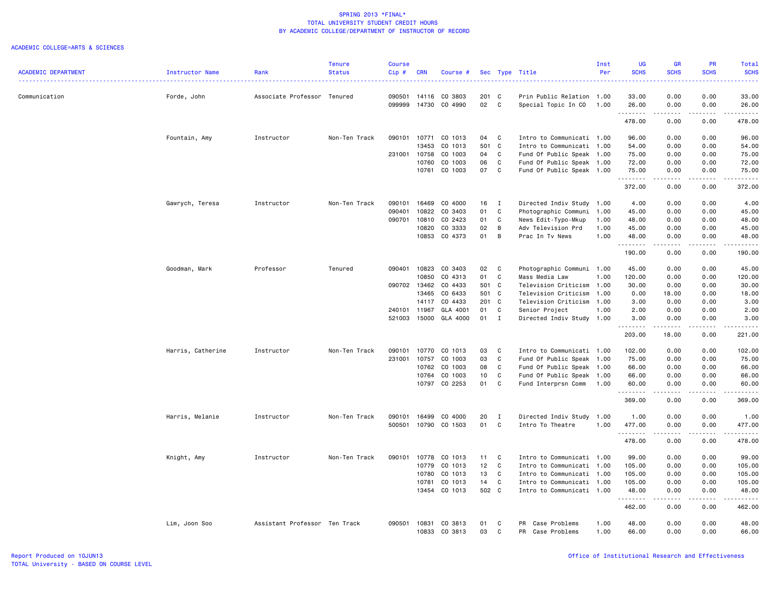| <b>SCHS</b><br><b>SCHS</b><br><b>SCHS</b><br><b>ACADEMIC DEPARTMENT</b><br><b>Status</b><br>Cip#<br>Per<br><b>SCHS</b><br>Instructor Name<br>Rank<br><b>CRN</b><br>Course #<br>Sec Type Title<br>0.00<br>0.00<br>33.00<br>090501<br>14116<br>CO 3803<br>201 C<br>Prin Public Relation 1.00<br>33.00<br>Communication<br>Forde, John<br>Associate Professor Tenured<br>CO 4990<br>02<br>C<br>099999<br>14730<br>Special Topic In CO<br>1.00<br>26.00<br>0.00<br>0.00<br>26.00<br>.<br>.<br>.<br>.<br>478.00<br>0.00<br>0.00<br>478.00<br>Instructor<br>Non-Ten Track<br>090101<br>10771<br>CO 1013<br>04<br>C<br>Intro to Communicati 1.00<br>96.00<br>0.00<br>0.00<br>96.00<br>Fountain, Amy<br>13453<br>CO 1013<br>501 C<br>54.00<br>0.00<br>0.00<br>Intro to Communicati 1.00<br>54.00<br>CO 1003<br>$\mathtt{C}$<br>231001<br>10758<br>04<br>Fund Of Public Speak<br>75.00<br>0.00<br>0.00<br>75.00<br>1.00<br>06<br>CO 1003<br>C<br>0.00<br>72.00<br>10760<br>Fund Of Public Speak 1.00<br>72.00<br>0.00<br>CO 1003<br>07<br>C<br>Fund Of Public Speak 1.00<br>0.00<br>75.00<br>10761<br>75.00<br>0.00<br>.<br>.<br>.<br>-----<br>372.00<br>0.00<br>0.00<br>372.00<br>Gawrych, Teresa<br>Instructor<br>Non-Ten Track<br>090101<br>16469<br>CO 4000<br>16<br>$\mathbf{I}$<br>Directed Indiv Study 1.00<br>4.00<br>0.00<br>0.00<br>4.00<br>090401<br>10822<br>CO 3403<br>01<br>C<br>Photographic Communi<br>1.00<br>45.00<br>0.00<br>0.00<br>45.00<br>090701<br>10810<br>CO 2423<br>01<br>C<br>News Edit-Typo-Mkup<br>48.00<br>0.00<br>0.00<br>48.00<br>1.00<br>10820<br>CO 3333<br>02<br>B<br>0.00<br>Adv Television Prd<br>1.00<br>45.00<br>0.00<br>45.00<br>10853<br>CO 4373<br>01<br>B<br>Prac In Tv News<br>1.00<br>48.00<br>0.00<br>0.00<br>48.00<br>.<br>$\frac{1}{2} \left( \frac{1}{2} \right) \left( \frac{1}{2} \right) \left( \frac{1}{2} \right) \left( \frac{1}{2} \right)$<br>.<br>.<br>190.00<br>0.00<br>0.00<br>190.00<br>Goodman, Mark<br>Professor<br>Tenured<br>090401<br>10823<br>CO 3403<br>02<br>C<br>Photographic Communi<br>45.00<br>0.00<br>0.00<br>45.00<br>1.00<br>10850<br>CO 4313<br>01<br>C<br>Mass Media Law<br>1.00<br>120.00<br>0.00<br>0.00<br>120.00<br>090702 13462<br>CO 4433<br>501 C<br>Television Criticism<br>1.00<br>30.00<br>0.00<br>0.00<br>30.00<br>CO 6433<br>13465<br>501 C<br>Television Criticism<br>18.00<br>0.00<br>18.00<br>1.00<br>0.00<br>CO 4433<br>201 C<br>14117<br>Television Criticism<br>1.00<br>3.00<br>0.00<br>0.00<br>3.00<br>240101<br>11967<br>GLA 4001<br>01<br>C<br>Senior Project<br>1.00<br>2.00<br>0.00<br>0.00<br>2.00<br>521003<br>15000<br>GLA 4000<br>01<br>$\mathbf{I}$<br>Directed Indiv Study 1.00<br>3.00<br>0.00<br>0.00<br>3.00<br>.<br>.<br>.<br>.<br>203.00<br>18.00<br>0.00<br>221.00<br>Harris, Catherine<br>Instructor<br>Non-Ten Track<br>090101<br>10770<br>CO 1013<br>03<br>C<br>Intro to Communicati<br>1.00<br>102.00<br>0.00<br>0.00<br>102.00<br>231001<br>10757<br>CO 1003<br>03<br>C<br>Fund Of Public Speak 1.00<br>0.00<br>75.00<br>75.00<br>0.00<br>08<br>10762<br>CO 1003<br>C<br>Fund Of Public Speak 1.00<br>66.00<br>0.00<br>0.00<br>66.00<br>CO 1003<br>10764<br>10<br>C<br>Fund Of Public Speak<br>1.00<br>66.00<br>0.00<br>0.00<br>66.00<br>CO 2253<br>10797<br>01<br>C<br>0.00<br>Fund Interprsn Comm<br>1.00<br>60.00<br>0.00<br>60.00<br>.<br>.<br>369.00<br>0.00<br>0.00<br>369.00<br>16499<br>CO 4000<br>20<br>0.00<br>0.00<br>Harris, Melanie<br>Instructor<br>Non-Ten Track<br>090101<br>Directed Indiv Study<br>1.00<br>1.00<br>1.00<br>Ι.<br>10790 CO 1503<br>01<br>$\mathsf{C}$<br>500501<br>Intro To Theatre<br>1.00<br>477.00<br>0.00<br>0.00<br>477.00<br>.<br>.<br>.<br>د د د د<br>478.00<br>0.00<br>0.00<br>478.00<br>Instructor<br>Non-Ten Track<br>090101<br>10778<br>CO 1013<br>11<br>C<br>Intro to Communicati 1.00<br>99.00<br>0.00<br>0.00<br>99.00<br>Knight, Amy<br>CO 1013<br>12<br>C<br>105.00<br>0.00<br>0.00<br>105.00<br>10779<br>Intro to Communicati 1.00<br>CO 1013<br>13<br>$\mathbb{C}$<br>105.00<br>105.00<br>10780<br>0.00<br>0.00<br>Intro to Communicati 1.00<br>14<br>$\mathbb{C}$<br>CO 1013<br>105.00<br>0.00<br>0.00<br>10781<br>Intro to Communicati 1.00<br>105.00<br>CO 1013<br>502 C<br>13454<br>Intro to Communicati<br>1.00<br>48.00<br>0.00<br>0.00<br>48.00<br>.<br>.<br>. <b>.</b> .<br>462.00<br>0.00<br>0.00<br>462.00<br>0.00<br>0.00<br>Lim, Joon Soo<br>Assistant Professor Ten Track<br>090501<br>10831<br>CO 3813<br>01<br>Case Problems<br>1.00<br>48.00<br>48.00<br>C<br>PR<br>10833<br>CO 3813<br>03<br>C<br>PR<br>Case Problems<br>1.00<br>66.00<br>0.00<br>0.00<br>66.00 |  | <b>Tenure</b> | <b>Course</b> |  |  | Inst | UG | <b>GR</b> | <b>PR</b> | Total |
|---------------------------------------------------------------------------------------------------------------------------------------------------------------------------------------------------------------------------------------------------------------------------------------------------------------------------------------------------------------------------------------------------------------------------------------------------------------------------------------------------------------------------------------------------------------------------------------------------------------------------------------------------------------------------------------------------------------------------------------------------------------------------------------------------------------------------------------------------------------------------------------------------------------------------------------------------------------------------------------------------------------------------------------------------------------------------------------------------------------------------------------------------------------------------------------------------------------------------------------------------------------------------------------------------------------------------------------------------------------------------------------------------------------------------------------------------------------------------------------------------------------------------------------------------------------------------------------------------------------------------------------------------------------------------------------------------------------------------------------------------------------------------------------------------------------------------------------------------------------------------------------------------------------------------------------------------------------------------------------------------------------------------------------------------------------------------------------------------------------------------------------------------------------------------------------------------------------------------------------------------------------------------------------------------------------------------------------------------------------------------------------------------------------------------------------------------------------------------------------------------------------------------------------------------------------------------------------------------------------------------------------------------------------------------------------------------------------------------------------------------------------------------------------------------------------------------------------------------------------------------------------------------------------------------------------------------------------------------------------------------------------------------------------------------------------------------------------------------------------------------------------------------------------------------------------------------------------------------------------------------------------------------------------------------------------------------------------------------------------------------------------------------------------------------------------------------------------------------------------------------------------------------------------------------------------------------------------------------------------------------------------------------------------------------------------------------------------------------------------------------------------------------------------------------------------------------------------------------------------------------------------------------------------------------------------------------------------------------------------------------------------------------------------------------------------------------------------------------------------------------------------------------------------------------------------------------------------------------------------------------------------------------------------------------------------------------------------------------------------------------------------------------------------------------------------------------------------------------------------------------------------------------------------------------------------------------------------------------------------------------------------------------|--|---------------|---------------|--|--|------|----|-----------|-----------|-------|
|                                                                                                                                                                                                                                                                                                                                                                                                                                                                                                                                                                                                                                                                                                                                                                                                                                                                                                                                                                                                                                                                                                                                                                                                                                                                                                                                                                                                                                                                                                                                                                                                                                                                                                                                                                                                                                                                                                                                                                                                                                                                                                                                                                                                                                                                                                                                                                                                                                                                                                                                                                                                                                                                                                                                                                                                                                                                                                                                                                                                                                                                                                                                                                                                                                                                                                                                                                                                                                                                                                                                                                                                                                                                                                                                                                                                                                                                                                                                                                                                                                                                                                                                                                                                                                                                                                                                                                                                                                                                                                                                                                                                                                                   |  |               |               |  |  |      |    |           |           |       |
|                                                                                                                                                                                                                                                                                                                                                                                                                                                                                                                                                                                                                                                                                                                                                                                                                                                                                                                                                                                                                                                                                                                                                                                                                                                                                                                                                                                                                                                                                                                                                                                                                                                                                                                                                                                                                                                                                                                                                                                                                                                                                                                                                                                                                                                                                                                                                                                                                                                                                                                                                                                                                                                                                                                                                                                                                                                                                                                                                                                                                                                                                                                                                                                                                                                                                                                                                                                                                                                                                                                                                                                                                                                                                                                                                                                                                                                                                                                                                                                                                                                                                                                                                                                                                                                                                                                                                                                                                                                                                                                                                                                                                                                   |  |               |               |  |  |      |    |           |           |       |
|                                                                                                                                                                                                                                                                                                                                                                                                                                                                                                                                                                                                                                                                                                                                                                                                                                                                                                                                                                                                                                                                                                                                                                                                                                                                                                                                                                                                                                                                                                                                                                                                                                                                                                                                                                                                                                                                                                                                                                                                                                                                                                                                                                                                                                                                                                                                                                                                                                                                                                                                                                                                                                                                                                                                                                                                                                                                                                                                                                                                                                                                                                                                                                                                                                                                                                                                                                                                                                                                                                                                                                                                                                                                                                                                                                                                                                                                                                                                                                                                                                                                                                                                                                                                                                                                                                                                                                                                                                                                                                                                                                                                                                                   |  |               |               |  |  |      |    |           |           |       |
|                                                                                                                                                                                                                                                                                                                                                                                                                                                                                                                                                                                                                                                                                                                                                                                                                                                                                                                                                                                                                                                                                                                                                                                                                                                                                                                                                                                                                                                                                                                                                                                                                                                                                                                                                                                                                                                                                                                                                                                                                                                                                                                                                                                                                                                                                                                                                                                                                                                                                                                                                                                                                                                                                                                                                                                                                                                                                                                                                                                                                                                                                                                                                                                                                                                                                                                                                                                                                                                                                                                                                                                                                                                                                                                                                                                                                                                                                                                                                                                                                                                                                                                                                                                                                                                                                                                                                                                                                                                                                                                                                                                                                                                   |  |               |               |  |  |      |    |           |           |       |
|                                                                                                                                                                                                                                                                                                                                                                                                                                                                                                                                                                                                                                                                                                                                                                                                                                                                                                                                                                                                                                                                                                                                                                                                                                                                                                                                                                                                                                                                                                                                                                                                                                                                                                                                                                                                                                                                                                                                                                                                                                                                                                                                                                                                                                                                                                                                                                                                                                                                                                                                                                                                                                                                                                                                                                                                                                                                                                                                                                                                                                                                                                                                                                                                                                                                                                                                                                                                                                                                                                                                                                                                                                                                                                                                                                                                                                                                                                                                                                                                                                                                                                                                                                                                                                                                                                                                                                                                                                                                                                                                                                                                                                                   |  |               |               |  |  |      |    |           |           |       |
|                                                                                                                                                                                                                                                                                                                                                                                                                                                                                                                                                                                                                                                                                                                                                                                                                                                                                                                                                                                                                                                                                                                                                                                                                                                                                                                                                                                                                                                                                                                                                                                                                                                                                                                                                                                                                                                                                                                                                                                                                                                                                                                                                                                                                                                                                                                                                                                                                                                                                                                                                                                                                                                                                                                                                                                                                                                                                                                                                                                                                                                                                                                                                                                                                                                                                                                                                                                                                                                                                                                                                                                                                                                                                                                                                                                                                                                                                                                                                                                                                                                                                                                                                                                                                                                                                                                                                                                                                                                                                                                                                                                                                                                   |  |               |               |  |  |      |    |           |           |       |
|                                                                                                                                                                                                                                                                                                                                                                                                                                                                                                                                                                                                                                                                                                                                                                                                                                                                                                                                                                                                                                                                                                                                                                                                                                                                                                                                                                                                                                                                                                                                                                                                                                                                                                                                                                                                                                                                                                                                                                                                                                                                                                                                                                                                                                                                                                                                                                                                                                                                                                                                                                                                                                                                                                                                                                                                                                                                                                                                                                                                                                                                                                                                                                                                                                                                                                                                                                                                                                                                                                                                                                                                                                                                                                                                                                                                                                                                                                                                                                                                                                                                                                                                                                                                                                                                                                                                                                                                                                                                                                                                                                                                                                                   |  |               |               |  |  |      |    |           |           |       |
|                                                                                                                                                                                                                                                                                                                                                                                                                                                                                                                                                                                                                                                                                                                                                                                                                                                                                                                                                                                                                                                                                                                                                                                                                                                                                                                                                                                                                                                                                                                                                                                                                                                                                                                                                                                                                                                                                                                                                                                                                                                                                                                                                                                                                                                                                                                                                                                                                                                                                                                                                                                                                                                                                                                                                                                                                                                                                                                                                                                                                                                                                                                                                                                                                                                                                                                                                                                                                                                                                                                                                                                                                                                                                                                                                                                                                                                                                                                                                                                                                                                                                                                                                                                                                                                                                                                                                                                                                                                                                                                                                                                                                                                   |  |               |               |  |  |      |    |           |           |       |
|                                                                                                                                                                                                                                                                                                                                                                                                                                                                                                                                                                                                                                                                                                                                                                                                                                                                                                                                                                                                                                                                                                                                                                                                                                                                                                                                                                                                                                                                                                                                                                                                                                                                                                                                                                                                                                                                                                                                                                                                                                                                                                                                                                                                                                                                                                                                                                                                                                                                                                                                                                                                                                                                                                                                                                                                                                                                                                                                                                                                                                                                                                                                                                                                                                                                                                                                                                                                                                                                                                                                                                                                                                                                                                                                                                                                                                                                                                                                                                                                                                                                                                                                                                                                                                                                                                                                                                                                                                                                                                                                                                                                                                                   |  |               |               |  |  |      |    |           |           |       |
|                                                                                                                                                                                                                                                                                                                                                                                                                                                                                                                                                                                                                                                                                                                                                                                                                                                                                                                                                                                                                                                                                                                                                                                                                                                                                                                                                                                                                                                                                                                                                                                                                                                                                                                                                                                                                                                                                                                                                                                                                                                                                                                                                                                                                                                                                                                                                                                                                                                                                                                                                                                                                                                                                                                                                                                                                                                                                                                                                                                                                                                                                                                                                                                                                                                                                                                                                                                                                                                                                                                                                                                                                                                                                                                                                                                                                                                                                                                                                                                                                                                                                                                                                                                                                                                                                                                                                                                                                                                                                                                                                                                                                                                   |  |               |               |  |  |      |    |           |           |       |
|                                                                                                                                                                                                                                                                                                                                                                                                                                                                                                                                                                                                                                                                                                                                                                                                                                                                                                                                                                                                                                                                                                                                                                                                                                                                                                                                                                                                                                                                                                                                                                                                                                                                                                                                                                                                                                                                                                                                                                                                                                                                                                                                                                                                                                                                                                                                                                                                                                                                                                                                                                                                                                                                                                                                                                                                                                                                                                                                                                                                                                                                                                                                                                                                                                                                                                                                                                                                                                                                                                                                                                                                                                                                                                                                                                                                                                                                                                                                                                                                                                                                                                                                                                                                                                                                                                                                                                                                                                                                                                                                                                                                                                                   |  |               |               |  |  |      |    |           |           |       |
|                                                                                                                                                                                                                                                                                                                                                                                                                                                                                                                                                                                                                                                                                                                                                                                                                                                                                                                                                                                                                                                                                                                                                                                                                                                                                                                                                                                                                                                                                                                                                                                                                                                                                                                                                                                                                                                                                                                                                                                                                                                                                                                                                                                                                                                                                                                                                                                                                                                                                                                                                                                                                                                                                                                                                                                                                                                                                                                                                                                                                                                                                                                                                                                                                                                                                                                                                                                                                                                                                                                                                                                                                                                                                                                                                                                                                                                                                                                                                                                                                                                                                                                                                                                                                                                                                                                                                                                                                                                                                                                                                                                                                                                   |  |               |               |  |  |      |    |           |           |       |
|                                                                                                                                                                                                                                                                                                                                                                                                                                                                                                                                                                                                                                                                                                                                                                                                                                                                                                                                                                                                                                                                                                                                                                                                                                                                                                                                                                                                                                                                                                                                                                                                                                                                                                                                                                                                                                                                                                                                                                                                                                                                                                                                                                                                                                                                                                                                                                                                                                                                                                                                                                                                                                                                                                                                                                                                                                                                                                                                                                                                                                                                                                                                                                                                                                                                                                                                                                                                                                                                                                                                                                                                                                                                                                                                                                                                                                                                                                                                                                                                                                                                                                                                                                                                                                                                                                                                                                                                                                                                                                                                                                                                                                                   |  |               |               |  |  |      |    |           |           |       |
|                                                                                                                                                                                                                                                                                                                                                                                                                                                                                                                                                                                                                                                                                                                                                                                                                                                                                                                                                                                                                                                                                                                                                                                                                                                                                                                                                                                                                                                                                                                                                                                                                                                                                                                                                                                                                                                                                                                                                                                                                                                                                                                                                                                                                                                                                                                                                                                                                                                                                                                                                                                                                                                                                                                                                                                                                                                                                                                                                                                                                                                                                                                                                                                                                                                                                                                                                                                                                                                                                                                                                                                                                                                                                                                                                                                                                                                                                                                                                                                                                                                                                                                                                                                                                                                                                                                                                                                                                                                                                                                                                                                                                                                   |  |               |               |  |  |      |    |           |           |       |
|                                                                                                                                                                                                                                                                                                                                                                                                                                                                                                                                                                                                                                                                                                                                                                                                                                                                                                                                                                                                                                                                                                                                                                                                                                                                                                                                                                                                                                                                                                                                                                                                                                                                                                                                                                                                                                                                                                                                                                                                                                                                                                                                                                                                                                                                                                                                                                                                                                                                                                                                                                                                                                                                                                                                                                                                                                                                                                                                                                                                                                                                                                                                                                                                                                                                                                                                                                                                                                                                                                                                                                                                                                                                                                                                                                                                                                                                                                                                                                                                                                                                                                                                                                                                                                                                                                                                                                                                                                                                                                                                                                                                                                                   |  |               |               |  |  |      |    |           |           |       |
|                                                                                                                                                                                                                                                                                                                                                                                                                                                                                                                                                                                                                                                                                                                                                                                                                                                                                                                                                                                                                                                                                                                                                                                                                                                                                                                                                                                                                                                                                                                                                                                                                                                                                                                                                                                                                                                                                                                                                                                                                                                                                                                                                                                                                                                                                                                                                                                                                                                                                                                                                                                                                                                                                                                                                                                                                                                                                                                                                                                                                                                                                                                                                                                                                                                                                                                                                                                                                                                                                                                                                                                                                                                                                                                                                                                                                                                                                                                                                                                                                                                                                                                                                                                                                                                                                                                                                                                                                                                                                                                                                                                                                                                   |  |               |               |  |  |      |    |           |           |       |
|                                                                                                                                                                                                                                                                                                                                                                                                                                                                                                                                                                                                                                                                                                                                                                                                                                                                                                                                                                                                                                                                                                                                                                                                                                                                                                                                                                                                                                                                                                                                                                                                                                                                                                                                                                                                                                                                                                                                                                                                                                                                                                                                                                                                                                                                                                                                                                                                                                                                                                                                                                                                                                                                                                                                                                                                                                                                                                                                                                                                                                                                                                                                                                                                                                                                                                                                                                                                                                                                                                                                                                                                                                                                                                                                                                                                                                                                                                                                                                                                                                                                                                                                                                                                                                                                                                                                                                                                                                                                                                                                                                                                                                                   |  |               |               |  |  |      |    |           |           |       |
|                                                                                                                                                                                                                                                                                                                                                                                                                                                                                                                                                                                                                                                                                                                                                                                                                                                                                                                                                                                                                                                                                                                                                                                                                                                                                                                                                                                                                                                                                                                                                                                                                                                                                                                                                                                                                                                                                                                                                                                                                                                                                                                                                                                                                                                                                                                                                                                                                                                                                                                                                                                                                                                                                                                                                                                                                                                                                                                                                                                                                                                                                                                                                                                                                                                                                                                                                                                                                                                                                                                                                                                                                                                                                                                                                                                                                                                                                                                                                                                                                                                                                                                                                                                                                                                                                                                                                                                                                                                                                                                                                                                                                                                   |  |               |               |  |  |      |    |           |           |       |
|                                                                                                                                                                                                                                                                                                                                                                                                                                                                                                                                                                                                                                                                                                                                                                                                                                                                                                                                                                                                                                                                                                                                                                                                                                                                                                                                                                                                                                                                                                                                                                                                                                                                                                                                                                                                                                                                                                                                                                                                                                                                                                                                                                                                                                                                                                                                                                                                                                                                                                                                                                                                                                                                                                                                                                                                                                                                                                                                                                                                                                                                                                                                                                                                                                                                                                                                                                                                                                                                                                                                                                                                                                                                                                                                                                                                                                                                                                                                                                                                                                                                                                                                                                                                                                                                                                                                                                                                                                                                                                                                                                                                                                                   |  |               |               |  |  |      |    |           |           |       |
|                                                                                                                                                                                                                                                                                                                                                                                                                                                                                                                                                                                                                                                                                                                                                                                                                                                                                                                                                                                                                                                                                                                                                                                                                                                                                                                                                                                                                                                                                                                                                                                                                                                                                                                                                                                                                                                                                                                                                                                                                                                                                                                                                                                                                                                                                                                                                                                                                                                                                                                                                                                                                                                                                                                                                                                                                                                                                                                                                                                                                                                                                                                                                                                                                                                                                                                                                                                                                                                                                                                                                                                                                                                                                                                                                                                                                                                                                                                                                                                                                                                                                                                                                                                                                                                                                                                                                                                                                                                                                                                                                                                                                                                   |  |               |               |  |  |      |    |           |           |       |
|                                                                                                                                                                                                                                                                                                                                                                                                                                                                                                                                                                                                                                                                                                                                                                                                                                                                                                                                                                                                                                                                                                                                                                                                                                                                                                                                                                                                                                                                                                                                                                                                                                                                                                                                                                                                                                                                                                                                                                                                                                                                                                                                                                                                                                                                                                                                                                                                                                                                                                                                                                                                                                                                                                                                                                                                                                                                                                                                                                                                                                                                                                                                                                                                                                                                                                                                                                                                                                                                                                                                                                                                                                                                                                                                                                                                                                                                                                                                                                                                                                                                                                                                                                                                                                                                                                                                                                                                                                                                                                                                                                                                                                                   |  |               |               |  |  |      |    |           |           |       |
|                                                                                                                                                                                                                                                                                                                                                                                                                                                                                                                                                                                                                                                                                                                                                                                                                                                                                                                                                                                                                                                                                                                                                                                                                                                                                                                                                                                                                                                                                                                                                                                                                                                                                                                                                                                                                                                                                                                                                                                                                                                                                                                                                                                                                                                                                                                                                                                                                                                                                                                                                                                                                                                                                                                                                                                                                                                                                                                                                                                                                                                                                                                                                                                                                                                                                                                                                                                                                                                                                                                                                                                                                                                                                                                                                                                                                                                                                                                                                                                                                                                                                                                                                                                                                                                                                                                                                                                                                                                                                                                                                                                                                                                   |  |               |               |  |  |      |    |           |           |       |
|                                                                                                                                                                                                                                                                                                                                                                                                                                                                                                                                                                                                                                                                                                                                                                                                                                                                                                                                                                                                                                                                                                                                                                                                                                                                                                                                                                                                                                                                                                                                                                                                                                                                                                                                                                                                                                                                                                                                                                                                                                                                                                                                                                                                                                                                                                                                                                                                                                                                                                                                                                                                                                                                                                                                                                                                                                                                                                                                                                                                                                                                                                                                                                                                                                                                                                                                                                                                                                                                                                                                                                                                                                                                                                                                                                                                                                                                                                                                                                                                                                                                                                                                                                                                                                                                                                                                                                                                                                                                                                                                                                                                                                                   |  |               |               |  |  |      |    |           |           |       |
|                                                                                                                                                                                                                                                                                                                                                                                                                                                                                                                                                                                                                                                                                                                                                                                                                                                                                                                                                                                                                                                                                                                                                                                                                                                                                                                                                                                                                                                                                                                                                                                                                                                                                                                                                                                                                                                                                                                                                                                                                                                                                                                                                                                                                                                                                                                                                                                                                                                                                                                                                                                                                                                                                                                                                                                                                                                                                                                                                                                                                                                                                                                                                                                                                                                                                                                                                                                                                                                                                                                                                                                                                                                                                                                                                                                                                                                                                                                                                                                                                                                                                                                                                                                                                                                                                                                                                                                                                                                                                                                                                                                                                                                   |  |               |               |  |  |      |    |           |           |       |
|                                                                                                                                                                                                                                                                                                                                                                                                                                                                                                                                                                                                                                                                                                                                                                                                                                                                                                                                                                                                                                                                                                                                                                                                                                                                                                                                                                                                                                                                                                                                                                                                                                                                                                                                                                                                                                                                                                                                                                                                                                                                                                                                                                                                                                                                                                                                                                                                                                                                                                                                                                                                                                                                                                                                                                                                                                                                                                                                                                                                                                                                                                                                                                                                                                                                                                                                                                                                                                                                                                                                                                                                                                                                                                                                                                                                                                                                                                                                                                                                                                                                                                                                                                                                                                                                                                                                                                                                                                                                                                                                                                                                                                                   |  |               |               |  |  |      |    |           |           |       |
|                                                                                                                                                                                                                                                                                                                                                                                                                                                                                                                                                                                                                                                                                                                                                                                                                                                                                                                                                                                                                                                                                                                                                                                                                                                                                                                                                                                                                                                                                                                                                                                                                                                                                                                                                                                                                                                                                                                                                                                                                                                                                                                                                                                                                                                                                                                                                                                                                                                                                                                                                                                                                                                                                                                                                                                                                                                                                                                                                                                                                                                                                                                                                                                                                                                                                                                                                                                                                                                                                                                                                                                                                                                                                                                                                                                                                                                                                                                                                                                                                                                                                                                                                                                                                                                                                                                                                                                                                                                                                                                                                                                                                                                   |  |               |               |  |  |      |    |           |           |       |
|                                                                                                                                                                                                                                                                                                                                                                                                                                                                                                                                                                                                                                                                                                                                                                                                                                                                                                                                                                                                                                                                                                                                                                                                                                                                                                                                                                                                                                                                                                                                                                                                                                                                                                                                                                                                                                                                                                                                                                                                                                                                                                                                                                                                                                                                                                                                                                                                                                                                                                                                                                                                                                                                                                                                                                                                                                                                                                                                                                                                                                                                                                                                                                                                                                                                                                                                                                                                                                                                                                                                                                                                                                                                                                                                                                                                                                                                                                                                                                                                                                                                                                                                                                                                                                                                                                                                                                                                                                                                                                                                                                                                                                                   |  |               |               |  |  |      |    |           |           |       |
|                                                                                                                                                                                                                                                                                                                                                                                                                                                                                                                                                                                                                                                                                                                                                                                                                                                                                                                                                                                                                                                                                                                                                                                                                                                                                                                                                                                                                                                                                                                                                                                                                                                                                                                                                                                                                                                                                                                                                                                                                                                                                                                                                                                                                                                                                                                                                                                                                                                                                                                                                                                                                                                                                                                                                                                                                                                                                                                                                                                                                                                                                                                                                                                                                                                                                                                                                                                                                                                                                                                                                                                                                                                                                                                                                                                                                                                                                                                                                                                                                                                                                                                                                                                                                                                                                                                                                                                                                                                                                                                                                                                                                                                   |  |               |               |  |  |      |    |           |           |       |
|                                                                                                                                                                                                                                                                                                                                                                                                                                                                                                                                                                                                                                                                                                                                                                                                                                                                                                                                                                                                                                                                                                                                                                                                                                                                                                                                                                                                                                                                                                                                                                                                                                                                                                                                                                                                                                                                                                                                                                                                                                                                                                                                                                                                                                                                                                                                                                                                                                                                                                                                                                                                                                                                                                                                                                                                                                                                                                                                                                                                                                                                                                                                                                                                                                                                                                                                                                                                                                                                                                                                                                                                                                                                                                                                                                                                                                                                                                                                                                                                                                                                                                                                                                                                                                                                                                                                                                                                                                                                                                                                                                                                                                                   |  |               |               |  |  |      |    |           |           |       |
|                                                                                                                                                                                                                                                                                                                                                                                                                                                                                                                                                                                                                                                                                                                                                                                                                                                                                                                                                                                                                                                                                                                                                                                                                                                                                                                                                                                                                                                                                                                                                                                                                                                                                                                                                                                                                                                                                                                                                                                                                                                                                                                                                                                                                                                                                                                                                                                                                                                                                                                                                                                                                                                                                                                                                                                                                                                                                                                                                                                                                                                                                                                                                                                                                                                                                                                                                                                                                                                                                                                                                                                                                                                                                                                                                                                                                                                                                                                                                                                                                                                                                                                                                                                                                                                                                                                                                                                                                                                                                                                                                                                                                                                   |  |               |               |  |  |      |    |           |           |       |
|                                                                                                                                                                                                                                                                                                                                                                                                                                                                                                                                                                                                                                                                                                                                                                                                                                                                                                                                                                                                                                                                                                                                                                                                                                                                                                                                                                                                                                                                                                                                                                                                                                                                                                                                                                                                                                                                                                                                                                                                                                                                                                                                                                                                                                                                                                                                                                                                                                                                                                                                                                                                                                                                                                                                                                                                                                                                                                                                                                                                                                                                                                                                                                                                                                                                                                                                                                                                                                                                                                                                                                                                                                                                                                                                                                                                                                                                                                                                                                                                                                                                                                                                                                                                                                                                                                                                                                                                                                                                                                                                                                                                                                                   |  |               |               |  |  |      |    |           |           |       |
|                                                                                                                                                                                                                                                                                                                                                                                                                                                                                                                                                                                                                                                                                                                                                                                                                                                                                                                                                                                                                                                                                                                                                                                                                                                                                                                                                                                                                                                                                                                                                                                                                                                                                                                                                                                                                                                                                                                                                                                                                                                                                                                                                                                                                                                                                                                                                                                                                                                                                                                                                                                                                                                                                                                                                                                                                                                                                                                                                                                                                                                                                                                                                                                                                                                                                                                                                                                                                                                                                                                                                                                                                                                                                                                                                                                                                                                                                                                                                                                                                                                                                                                                                                                                                                                                                                                                                                                                                                                                                                                                                                                                                                                   |  |               |               |  |  |      |    |           |           |       |
|                                                                                                                                                                                                                                                                                                                                                                                                                                                                                                                                                                                                                                                                                                                                                                                                                                                                                                                                                                                                                                                                                                                                                                                                                                                                                                                                                                                                                                                                                                                                                                                                                                                                                                                                                                                                                                                                                                                                                                                                                                                                                                                                                                                                                                                                                                                                                                                                                                                                                                                                                                                                                                                                                                                                                                                                                                                                                                                                                                                                                                                                                                                                                                                                                                                                                                                                                                                                                                                                                                                                                                                                                                                                                                                                                                                                                                                                                                                                                                                                                                                                                                                                                                                                                                                                                                                                                                                                                                                                                                                                                                                                                                                   |  |               |               |  |  |      |    |           |           |       |
|                                                                                                                                                                                                                                                                                                                                                                                                                                                                                                                                                                                                                                                                                                                                                                                                                                                                                                                                                                                                                                                                                                                                                                                                                                                                                                                                                                                                                                                                                                                                                                                                                                                                                                                                                                                                                                                                                                                                                                                                                                                                                                                                                                                                                                                                                                                                                                                                                                                                                                                                                                                                                                                                                                                                                                                                                                                                                                                                                                                                                                                                                                                                                                                                                                                                                                                                                                                                                                                                                                                                                                                                                                                                                                                                                                                                                                                                                                                                                                                                                                                                                                                                                                                                                                                                                                                                                                                                                                                                                                                                                                                                                                                   |  |               |               |  |  |      |    |           |           |       |
|                                                                                                                                                                                                                                                                                                                                                                                                                                                                                                                                                                                                                                                                                                                                                                                                                                                                                                                                                                                                                                                                                                                                                                                                                                                                                                                                                                                                                                                                                                                                                                                                                                                                                                                                                                                                                                                                                                                                                                                                                                                                                                                                                                                                                                                                                                                                                                                                                                                                                                                                                                                                                                                                                                                                                                                                                                                                                                                                                                                                                                                                                                                                                                                                                                                                                                                                                                                                                                                                                                                                                                                                                                                                                                                                                                                                                                                                                                                                                                                                                                                                                                                                                                                                                                                                                                                                                                                                                                                                                                                                                                                                                                                   |  |               |               |  |  |      |    |           |           |       |
|                                                                                                                                                                                                                                                                                                                                                                                                                                                                                                                                                                                                                                                                                                                                                                                                                                                                                                                                                                                                                                                                                                                                                                                                                                                                                                                                                                                                                                                                                                                                                                                                                                                                                                                                                                                                                                                                                                                                                                                                                                                                                                                                                                                                                                                                                                                                                                                                                                                                                                                                                                                                                                                                                                                                                                                                                                                                                                                                                                                                                                                                                                                                                                                                                                                                                                                                                                                                                                                                                                                                                                                                                                                                                                                                                                                                                                                                                                                                                                                                                                                                                                                                                                                                                                                                                                                                                                                                                                                                                                                                                                                                                                                   |  |               |               |  |  |      |    |           |           |       |
|                                                                                                                                                                                                                                                                                                                                                                                                                                                                                                                                                                                                                                                                                                                                                                                                                                                                                                                                                                                                                                                                                                                                                                                                                                                                                                                                                                                                                                                                                                                                                                                                                                                                                                                                                                                                                                                                                                                                                                                                                                                                                                                                                                                                                                                                                                                                                                                                                                                                                                                                                                                                                                                                                                                                                                                                                                                                                                                                                                                                                                                                                                                                                                                                                                                                                                                                                                                                                                                                                                                                                                                                                                                                                                                                                                                                                                                                                                                                                                                                                                                                                                                                                                                                                                                                                                                                                                                                                                                                                                                                                                                                                                                   |  |               |               |  |  |      |    |           |           |       |
|                                                                                                                                                                                                                                                                                                                                                                                                                                                                                                                                                                                                                                                                                                                                                                                                                                                                                                                                                                                                                                                                                                                                                                                                                                                                                                                                                                                                                                                                                                                                                                                                                                                                                                                                                                                                                                                                                                                                                                                                                                                                                                                                                                                                                                                                                                                                                                                                                                                                                                                                                                                                                                                                                                                                                                                                                                                                                                                                                                                                                                                                                                                                                                                                                                                                                                                                                                                                                                                                                                                                                                                                                                                                                                                                                                                                                                                                                                                                                                                                                                                                                                                                                                                                                                                                                                                                                                                                                                                                                                                                                                                                                                                   |  |               |               |  |  |      |    |           |           |       |
|                                                                                                                                                                                                                                                                                                                                                                                                                                                                                                                                                                                                                                                                                                                                                                                                                                                                                                                                                                                                                                                                                                                                                                                                                                                                                                                                                                                                                                                                                                                                                                                                                                                                                                                                                                                                                                                                                                                                                                                                                                                                                                                                                                                                                                                                                                                                                                                                                                                                                                                                                                                                                                                                                                                                                                                                                                                                                                                                                                                                                                                                                                                                                                                                                                                                                                                                                                                                                                                                                                                                                                                                                                                                                                                                                                                                                                                                                                                                                                                                                                                                                                                                                                                                                                                                                                                                                                                                                                                                                                                                                                                                                                                   |  |               |               |  |  |      |    |           |           |       |
|                                                                                                                                                                                                                                                                                                                                                                                                                                                                                                                                                                                                                                                                                                                                                                                                                                                                                                                                                                                                                                                                                                                                                                                                                                                                                                                                                                                                                                                                                                                                                                                                                                                                                                                                                                                                                                                                                                                                                                                                                                                                                                                                                                                                                                                                                                                                                                                                                                                                                                                                                                                                                                                                                                                                                                                                                                                                                                                                                                                                                                                                                                                                                                                                                                                                                                                                                                                                                                                                                                                                                                                                                                                                                                                                                                                                                                                                                                                                                                                                                                                                                                                                                                                                                                                                                                                                                                                                                                                                                                                                                                                                                                                   |  |               |               |  |  |      |    |           |           |       |
|                                                                                                                                                                                                                                                                                                                                                                                                                                                                                                                                                                                                                                                                                                                                                                                                                                                                                                                                                                                                                                                                                                                                                                                                                                                                                                                                                                                                                                                                                                                                                                                                                                                                                                                                                                                                                                                                                                                                                                                                                                                                                                                                                                                                                                                                                                                                                                                                                                                                                                                                                                                                                                                                                                                                                                                                                                                                                                                                                                                                                                                                                                                                                                                                                                                                                                                                                                                                                                                                                                                                                                                                                                                                                                                                                                                                                                                                                                                                                                                                                                                                                                                                                                                                                                                                                                                                                                                                                                                                                                                                                                                                                                                   |  |               |               |  |  |      |    |           |           |       |
|                                                                                                                                                                                                                                                                                                                                                                                                                                                                                                                                                                                                                                                                                                                                                                                                                                                                                                                                                                                                                                                                                                                                                                                                                                                                                                                                                                                                                                                                                                                                                                                                                                                                                                                                                                                                                                                                                                                                                                                                                                                                                                                                                                                                                                                                                                                                                                                                                                                                                                                                                                                                                                                                                                                                                                                                                                                                                                                                                                                                                                                                                                                                                                                                                                                                                                                                                                                                                                                                                                                                                                                                                                                                                                                                                                                                                                                                                                                                                                                                                                                                                                                                                                                                                                                                                                                                                                                                                                                                                                                                                                                                                                                   |  |               |               |  |  |      |    |           |           |       |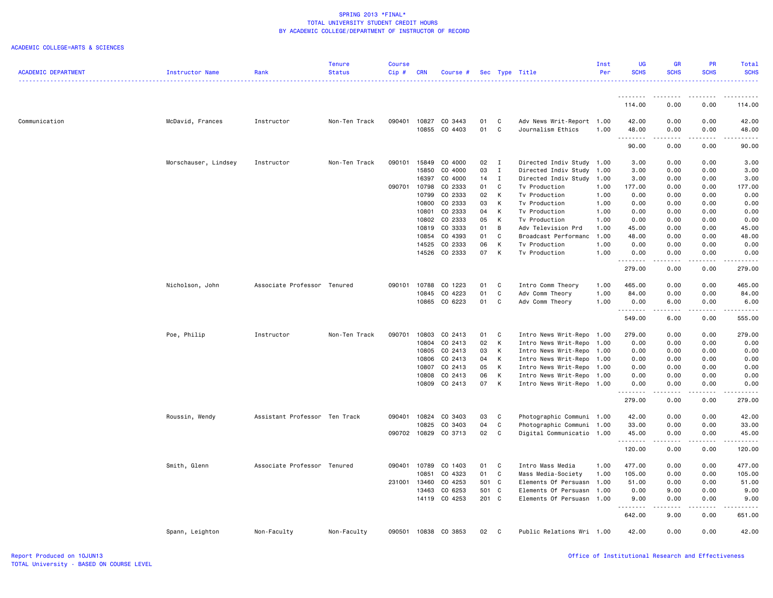|                            |                      |                               | <b>Tenure</b> | <b>Course</b> |                |                    |          |                |                                | Inst         | UG           | GR                                                                                                                        | <b>PR</b>                    | Total                   |
|----------------------------|----------------------|-------------------------------|---------------|---------------|----------------|--------------------|----------|----------------|--------------------------------|--------------|--------------|---------------------------------------------------------------------------------------------------------------------------|------------------------------|-------------------------|
| <b>ACADEMIC DEPARTMENT</b> | Instructor Name      | Rank                          | <b>Status</b> | Cip#          | <b>CRN</b>     | Course #           |          |                | Sec Type Title                 | Per          | <b>SCHS</b>  | <b>SCHS</b>                                                                                                               | <b>SCHS</b>                  | <b>SCHS</b><br><u>.</u> |
|                            |                      |                               |               |               |                |                    |          |                |                                |              |              |                                                                                                                           |                              |                         |
|                            |                      |                               |               |               |                |                    |          |                |                                |              | .<br>114.00  | 0.00                                                                                                                      | 0.00                         | 114.00                  |
| Communication              | McDavid, Frances     | Instructor                    | Non-Ten Track | 090401        |                | 10827 CO 3443      | 01       | C              | Adv News Writ-Report 1.00      |              | 42.00        | 0.00                                                                                                                      | 0.00                         | 42.00                   |
|                            |                      |                               |               |               | 10855          | CO 4403            | 01       | $\mathtt{C}$   | Journalism Ethics              | 1.00         | 48.00        | 0.00                                                                                                                      | 0.00                         | 48.00                   |
|                            |                      |                               |               |               |                |                    |          |                |                                |              | .            | $\frac{1}{2} \left( \frac{1}{2} \right) \left( \frac{1}{2} \right) \left( \frac{1}{2} \right) \left( \frac{1}{2} \right)$ | .                            | .                       |
|                            |                      |                               |               |               |                |                    |          |                |                                |              | 90.00        | 0.00                                                                                                                      | 0.00                         | 90.00                   |
|                            | Morschauser, Lindsey | Instructor                    | Non-Ten Track | 090101        | 15849          | CO 4000            | 02       | $\blacksquare$ | Directed Indiv Study 1.00      |              | 3.00         | 0.00                                                                                                                      | 0.00                         | 3.00                    |
|                            |                      |                               |               |               | 15850          | CO 4000            | 03       | $\mathbf I$    | Directed Indiv Study           | 1.00         | 3.00         | 0.00                                                                                                                      | 0.00                         | 3.00                    |
|                            |                      |                               |               |               | 16397          | CO 4000            | 14       | $\mathbf{I}$   | Directed Indiv Study           | 1.00         | 3.00         | 0.00                                                                                                                      | 0.00                         | 3.00                    |
|                            |                      |                               |               | 090701        | 10798          | CO 2333            | 01       | C              | Tv Production                  | 1.00         | 177.00       | 0.00                                                                                                                      | 0.00                         | 177.00                  |
|                            |                      |                               |               |               | 10799          | CO 2333            | 02<br>03 | К              | Tv Production                  | 1.00         | 0.00         | 0.00                                                                                                                      | 0.00                         | 0.00                    |
|                            |                      |                               |               |               | 10800<br>10801 | CO 2333<br>CO 2333 | 04       | К<br>К         | Tv Production<br>Tv Production | 1.00<br>1.00 | 0.00<br>0.00 | 0.00<br>0.00                                                                                                              | 0.00<br>0.00                 | 0.00<br>0.00            |
|                            |                      |                               |               |               |                | 10802 CO 2333      | 05       | К              | Tv Production                  | 1.00         | 0.00         | 0.00                                                                                                                      | 0.00                         | 0.00                    |
|                            |                      |                               |               |               | 10819          | CO 3333            | 01       | В              | Adv Television Prd             | 1.00         | 45.00        | 0.00                                                                                                                      | 0.00                         | 45.00                   |
|                            |                      |                               |               |               | 10854          | CO 4393            | 01       | C              | Broadcast Performanc           | 1.00         | 48.00        | 0.00                                                                                                                      | 0.00                         | 48.00                   |
|                            |                      |                               |               |               | 14525          | CO 2333            | 06       | К              | Tv Production                  | 1.00         | 0.00         | 0.00                                                                                                                      | 0.00                         | 0.00                    |
|                            |                      |                               |               |               |                | 14526 CO 2333      | 07       | К              | Tv Production                  | 1.00         | 0.00         | 0.00                                                                                                                      | 0.00                         | 0.00                    |
|                            |                      |                               |               |               |                |                    |          |                |                                |              | 279.00       | 0.00                                                                                                                      | 0.00                         | 279.00                  |
|                            | Nicholson, John      | Associate Professor Tenured   |               | 090101        | 10788          | CO 1223            | 01       | C              | Intro Comm Theory              | 1.00         | 465.00       | 0.00                                                                                                                      | 0.00                         | 465.00                  |
|                            |                      |                               |               |               | 10845          | CO 4223            | 01       | $\mathtt{C}$   | Adv Comm Theory                | 1.00         | 84.00        | 0.00                                                                                                                      | 0.00                         | 84.00                   |
|                            |                      |                               |               |               | 10865          | CO 6223            | 01       | C              | Adv Comm Theory                | 1.00         | 0.00<br>.    | 6.00<br>. <b>.</b>                                                                                                        | 0.00<br>.                    | 6.00<br>.               |
|                            |                      |                               |               |               |                |                    |          |                |                                |              | 549.00       | 6.00                                                                                                                      | 0.00                         | 555.00                  |
|                            | Poe, Philip          | Instructor                    | Non-Ten Track | 090701        | 10803          | CO 2413            | 01       | C              | Intro News Writ-Repo           | 1.00         | 279.00       | 0.00                                                                                                                      | 0.00                         | 279.00                  |
|                            |                      |                               |               |               | 10804          | CO 2413            | 02       | К              | Intro News Writ-Repo           | 1.00         | 0.00         | 0.00                                                                                                                      | 0.00                         | 0.00                    |
|                            |                      |                               |               |               | 10805          | CO 2413            | 03       | К              | Intro News Writ-Repo           | 1.00         | 0.00         | 0.00                                                                                                                      | 0.00                         | 0.00                    |
|                            |                      |                               |               |               | 10806          | CO 2413            | 04       | К              | Intro News Writ-Repo           | 1.00         | 0.00         | 0.00                                                                                                                      | 0.00                         | 0.00                    |
|                            |                      |                               |               |               | 10807          | CO 2413            | 05       | К              | Intro News Writ-Repo 1.00      |              | 0.00         | 0.00                                                                                                                      | 0.00                         | 0.00                    |
|                            |                      |                               |               |               | 10808          | CO 2413            | 06       | К              | Intro News Writ-Repo           | 1.00         | 0.00         | 0.00                                                                                                                      | 0.00                         | 0.00                    |
|                            |                      |                               |               |               | 10809          | CO 2413            | 07       | К              | Intro News Writ-Repo 1.00      |              | 0.00<br>.    | 0.00<br>.                                                                                                                 | 0.00<br>.                    | 0.00<br>.               |
|                            |                      |                               |               |               |                |                    |          |                |                                |              | 279.00       | 0.00                                                                                                                      | 0.00                         | 279.00                  |
|                            | Roussin, Wendy       | Assistant Professor Ten Track |               | 090401        | 10824          | CO 3403            | 03       | C              | Photographic Communi 1.00      |              | 42.00        | 0.00                                                                                                                      | 0.00                         | 42.00                   |
|                            |                      |                               |               |               | 10825          | CO 3403            | 04       | C              | Photographic Communi 1.00      |              | 33.00        | 0.00                                                                                                                      | 0.00                         | 33.00                   |
|                            |                      |                               |               | 090702        | 10829          | CO 3713            | 02       | C.             | Digital Communicatio 1.00      |              | 45.00<br>.   | 0.00<br>$\omega$ is $\omega$ in                                                                                           | 0.00<br>.                    | 45.00<br>.              |
|                            |                      |                               |               |               |                |                    |          |                |                                |              | 120.00       | 0.00                                                                                                                      | 0.00                         | 120.00                  |
|                            | Smith, Glenn         | Associate Professor Tenured   |               | 090401        | 10789          | CO 1403            | 01       | C              | Intro Mass Media               | 1.00         | 477.00       | 0.00                                                                                                                      | 0.00                         | 477.00                  |
|                            |                      |                               |               |               | 10851          | CO 4323            | 01       | $\mathtt{C}$   | Mass Media-Society             | 1.00         | 105.00       | 0.00                                                                                                                      | 0.00                         | 105.00                  |
|                            |                      |                               |               | 231001        | 13460          | CO 4253            | 501 C    |                | Elements Of Persuasn           | 1.00         | 51.00        | 0.00                                                                                                                      | 0.00                         | 51.00                   |
|                            |                      |                               |               |               | 13463          | CO 6253            | 501      | C              | Elements Of Persuasn           | 1.00         | 0.00         | 9.00                                                                                                                      | 0.00                         | 9.00                    |
|                            |                      |                               |               |               |                | 14119 CO 4253      | 201 C    |                | Elements Of Persuasn 1.00      |              | 9.00<br>.    | 0.00<br>.                                                                                                                 | 0.00<br>$\omega$ is a set of | 9.00<br>.               |
|                            |                      |                               |               |               |                |                    |          |                |                                |              | 642.00       | 9.00                                                                                                                      | 0.00                         | 651.00                  |
|                            | Spann, Leighton      | Non-Faculty                   | Non-Faculty   | 090501        | 10838          | CO 3853            | 02       | C              | Public Relations Wri 1.00      |              | 42.00        | 0.00                                                                                                                      | 0.00                         | 42.00                   |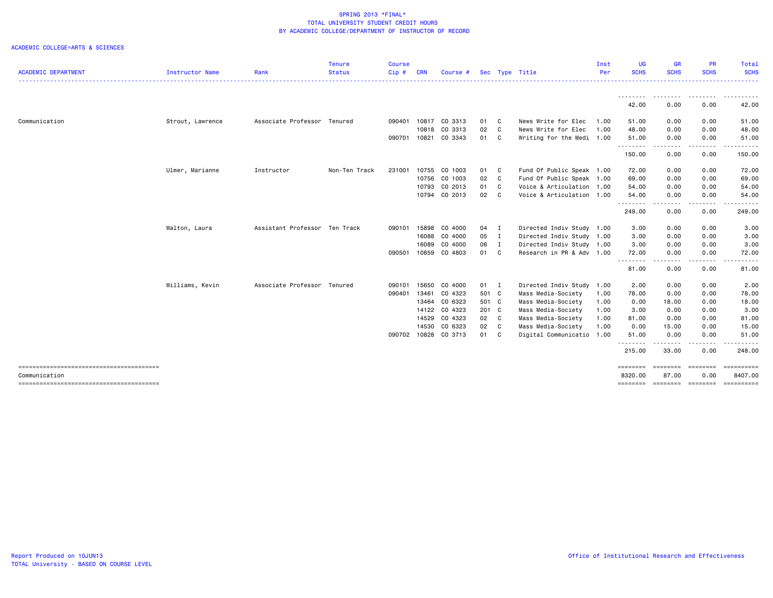|                            |                        |                               | <b>Tenure</b> | <b>Course</b> |            |               |       |                           | Inst | UG                  | <b>GR</b>                                                                                                                         | PR                      | Total                 |
|----------------------------|------------------------|-------------------------------|---------------|---------------|------------|---------------|-------|---------------------------|------|---------------------|-----------------------------------------------------------------------------------------------------------------------------------|-------------------------|-----------------------|
| <b>ACADEMIC DEPARTMENT</b> | <b>Instructor Name</b> | Rank                          | <b>Status</b> | Cip#          | <b>CRN</b> | Course #      |       | Sec Type Title            | Per  | <b>SCHS</b>         | <b>SCHS</b>                                                                                                                       | <b>SCHS</b>             | <b>SCHS</b>           |
|                            |                        |                               |               |               |            |               |       |                           |      | 42.00               | .<br>0.00                                                                                                                         | .<br>0.00               | -------<br>42.00      |
| Communication              | Strout, Lawrence       | Associate Professor Tenured   |               | 090401        |            | 10817 CO 3313 | 01 C  | News Write for Elec       | 1.00 | 51.00               | 0.00                                                                                                                              | 0.00                    | 51.00                 |
|                            |                        |                               |               |               | 10818      | CO 3313       | 02 C  | News Write for Elec       | 1.00 | 48.00               | 0.00                                                                                                                              | 0.00                    | 48.00                 |
|                            |                        |                               |               | 090701        | 10821      | CO 3343       | 01 C  | Writing for the Medi 1.00 |      | 51.00               | 0.00                                                                                                                              | 0.00                    | 51.00                 |
|                            |                        |                               |               |               |            |               |       |                           |      | .<br>150.00         | .<br>0.00                                                                                                                         | -----<br>0.00           | 150.00                |
|                            | Ulmer, Marianne        | Instructor                    | Non-Ten Track | 231001        | 10755      | CO 1003       | 01 C  | Fund Of Public Speak 1.00 |      | 72.00               | 0.00                                                                                                                              | 0.00                    | 72.00                 |
|                            |                        |                               |               |               |            | 10756 CO 1003 | 02 C  | Fund Of Public Speak 1.00 |      | 69.00               | 0.00                                                                                                                              | 0.00                    | 69.00                 |
|                            |                        |                               |               |               | 10793      | CO 2013       | 01 C  | Voice & Articulation 1.00 |      | 54.00               | 0.00                                                                                                                              | 0.00                    | 54.00                 |
|                            |                        |                               |               |               |            | 10794 CO 2013 | 02 C  | Voice & Articulation 1.00 |      | 54.00<br>.          | 0.00<br>$\frac{1}{2} \left( \frac{1}{2} \right) \left( \frac{1}{2} \right) \left( \frac{1}{2} \right) \left( \frac{1}{2} \right)$ | 0.00                    | 54.00                 |
|                            |                        |                               |               |               |            |               |       |                           |      | 249.00              | 0.00                                                                                                                              | .<br>0.00               | 249.00                |
|                            | Walton, Laura          | Assistant Professor Ten Track |               | 090101        | 15898      | CO 4000       | 04 I  | Directed Indiv Study 1.00 |      | 3.00                | 0.00                                                                                                                              | 0.00                    | 3.00                  |
|                            |                        |                               |               |               |            | 16088 CO 4000 | 05 I  | Directed Indiv Study 1.00 |      | 3.00                | 0.00                                                                                                                              | 0.00                    | 3.00                  |
|                            |                        |                               |               |               | 16089      | CO 4000       | 06 I  | Directed Indiv Study 1.00 |      | 3.00                | 0.00                                                                                                                              | 0.00                    | 3.00                  |
|                            |                        |                               |               | 090501        |            | 10859 CO 4803 | 01 C  | Research in PR & Adv 1.00 |      | 72.00<br>.          | 0.00<br>$\frac{1}{2}$                                                                                                             | 0.00<br><u>.</u>        | 72.00                 |
|                            |                        |                               |               |               |            |               |       |                           |      | 81.00               | 0.00                                                                                                                              | 0.00                    | 81.00                 |
|                            | Williams, Kevin        | Associate Professor Tenured   |               | 090101        | 15650      | CO 4000       | 01 I  | Directed Indiv Study 1.00 |      | 2.00                | 0.00                                                                                                                              | 0.00                    | 2.00                  |
|                            |                        |                               |               | 090401        | 13461      | CO 4323       | 501 C | Mass Media-Society        | 1.00 | 78.00               | 0.00                                                                                                                              | 0.00                    | 78.00                 |
|                            |                        |                               |               |               |            | 13464 CO 6323 | 501 C | Mass Media-Society        | 1.00 | 0.00                | 18.00                                                                                                                             | 0.00                    | 18.00                 |
|                            |                        |                               |               |               |            | 14122 CO 4323 | 201 C | Mass Media-Society        | 1.00 | 3.00                | 0.00                                                                                                                              | 0.00                    | 3.00                  |
|                            |                        |                               |               |               | 14529      | CO 4323       | 02 C  | Mass Media-Society        | 1.00 | 81.00               | 0.00                                                                                                                              | 0.00                    | 81.00                 |
|                            |                        |                               |               |               | 14530      | CO 6323       | 02 C  | Mass Media-Society        | 1.00 | 0.00                | 15.00                                                                                                                             | 0.00                    | 15.00                 |
|                            |                        |                               |               | 090702        |            | 10828 CO 3713 | 01 C  | Digital Communicatio 1.00 |      | 51.00<br>.          | 0.00<br>.                                                                                                                         | 0.00<br>-----           | 51.00<br>. <b>.</b> . |
|                            |                        |                               |               |               |            |               |       |                           |      | 215.00              | 33.00                                                                                                                             | 0.00                    | 248.00                |
| Communication              |                        |                               |               |               |            |               |       |                           |      | ========<br>8320.00 | 87.00                                                                                                                             | <b>EBBEBBBB</b><br>0.00 | ==========<br>8407.00 |
|                            |                        |                               |               |               |            |               |       |                           |      | ========            |                                                                                                                                   | ======== =======        | ==========            |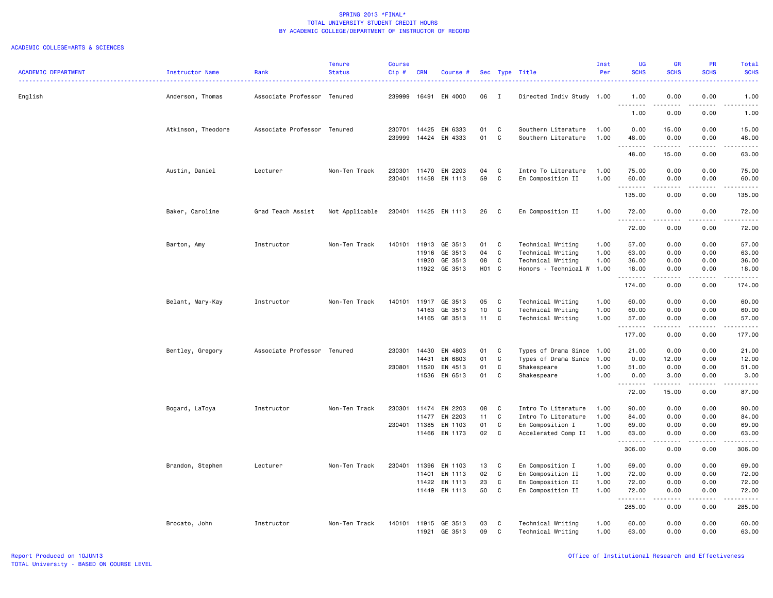|                            |                    |                             | <b>Tenure</b>  | <b>Course</b> |            |                      |       |              |                           | Inst | <b>UG</b>        | <b>GR</b>                                                                                                                                                    | <b>PR</b>                           | Total       |
|----------------------------|--------------------|-----------------------------|----------------|---------------|------------|----------------------|-------|--------------|---------------------------|------|------------------|--------------------------------------------------------------------------------------------------------------------------------------------------------------|-------------------------------------|-------------|
| <b>ACADEMIC DEPARTMENT</b> | Instructor Name    | Rank                        | <b>Status</b>  | Cip#          | <b>CRN</b> | Course #             |       |              | Sec Type Title            | Per  | <b>SCHS</b>      | <b>SCHS</b>                                                                                                                                                  | <b>SCHS</b>                         | <b>SCHS</b> |
| English                    | Anderson, Thomas   | Associate Professor Tenured |                | 239999        | 16491      | EN 4000              | 06    | $\mathbf{I}$ | Directed Indiv Study 1.00 |      | 1.00             | 0.00                                                                                                                                                         | 0.00                                | 1.00        |
|                            |                    |                             |                |               |            |                      |       |              |                           |      | <u>.</u><br>1.00 | $- - - -$<br>0.00                                                                                                                                            | $- - -$<br>0.00                     | 1.00        |
|                            | Atkinson, Theodore | Associate Professor Tenured |                | 230701        | 14425      | EN 6333              | 01    | C            | Southern Literature       | 1.00 | 0.00             | 15.00                                                                                                                                                        | 0.00                                | 15.00       |
|                            |                    |                             |                | 239999        |            | 14424 EN 4333        | 01    | C            | Southern Literature       | 1.00 | 48.00<br>.       | 0.00<br>.                                                                                                                                                    | 0.00<br>.                           | 48.00<br>.  |
|                            |                    |                             |                |               |            |                      |       |              |                           |      | 48.00            | 15.00                                                                                                                                                        | 0.00                                | 63.00       |
|                            | Austin, Daniel     | Lecturer                    | Non-Ten Track  |               |            | 230301 11470 EN 2203 | 04    | C            | Intro To Literature       | 1.00 | 75.00            | 0.00                                                                                                                                                         | 0.00                                | 75.00       |
|                            |                    |                             |                |               |            | 230401 11458 EN 1113 | 59    | $\mathbb C$  | En Composition II         | 1.00 | 60.00<br>.       | 0.00<br>22222                                                                                                                                                | 0.00<br>.                           | 60.00<br>.  |
|                            |                    |                             |                |               |            |                      |       |              |                           |      | 135.00           | 0.00                                                                                                                                                         | 0.00                                | 135.00      |
|                            | Baker, Caroline    | Grad Teach Assist           | Not Applicable |               |            | 230401 11425 EN 1113 | 26    | C            | En Composition II         | 1.00 | 72.00            | 0.00                                                                                                                                                         | 0.00                                | 72.00       |
|                            |                    |                             |                |               |            |                      |       |              |                           |      | .<br>72.00       | 0.00                                                                                                                                                         | 0.00                                | 72.00       |
|                            | Barton, Amy        | Instructor                  | Non-Ten Track  | 140101        | 11913      | GE 3513              | 01    | C            | Technical Writing         | 1.00 | 57.00            | 0.00                                                                                                                                                         | 0.00                                | 57.00       |
|                            |                    |                             |                |               | 11916      | GE 3513              | 04    | C            | Technical Writing         | 1.00 | 63.00            | 0.00                                                                                                                                                         | 0.00                                | 63.00       |
|                            |                    |                             |                |               | 11920      | GE 3513              | 08    | C            | Technical Writing         | 1.00 | 36.00            | 0.00                                                                                                                                                         | 0.00                                | 36.00       |
|                            |                    |                             |                |               |            | 11922 GE 3513        | H01 C |              | Honors - Technical W      | 1.00 | 18,00<br>.       | 0.00<br>$\frac{1}{2} \left( \frac{1}{2} \right) \left( \frac{1}{2} \right) \left( \frac{1}{2} \right) \left( \frac{1}{2} \right) \left( \frac{1}{2} \right)$ | 0.00<br>.                           | 18.00<br>.  |
|                            |                    |                             |                |               |            |                      |       |              |                           |      | 174.00           | 0.00                                                                                                                                                         | 0.00                                | 174.00      |
|                            | Belant, Mary-Kay   | Instructor                  | Non-Ten Track  | 140101        | 11917      | GE 3513              | 05    | C            | Technical Writing         | 1.00 | 60.00            | 0.00                                                                                                                                                         | 0.00                                | 60.00       |
|                            |                    |                             |                |               | 14163      | GE 3513              | 10    | C            | Technical Writing         | 1.00 | 60.00            | 0.00                                                                                                                                                         | 0.00                                | 60.00       |
|                            |                    |                             |                |               |            | 14165 GE 3513        | 11    | C            | Technical Writing         | 1.00 | 57.00<br>.       | 0.00<br><u>.</u>                                                                                                                                             | 0.00<br>.                           | 57.00<br>.  |
|                            |                    |                             |                |               |            |                      |       |              |                           |      | 177.00           | 0.00                                                                                                                                                         | 0.00                                | 177.00      |
|                            | Bentley, Gregory   | Associate Professor Tenured |                | 230301        | 14430      | EN 4803              | 01    | C            | Types of Drama Since 1.00 |      | 21.00            | 0.00                                                                                                                                                         | 0.00                                | 21.00       |
|                            |                    |                             |                |               | 14431      | EN 6803              | 01    | C            | Types of Drama Since      | 1.00 | 0.00             | 12.00                                                                                                                                                        | 0.00                                | 12.00       |
|                            |                    |                             |                | 230801 11520  |            | EN 4513              | 01    | C            | Shakespeare               | 1.00 | 51.00            | 0.00                                                                                                                                                         | 0.00                                | 51.00       |
|                            |                    |                             |                |               | 11536      | EN 6513              | 01    | C            | Shakespeare               | 1.00 | 0.00<br>.        | 3.00<br>.                                                                                                                                                    | 0.00<br>.                           | 3.00<br>.   |
|                            |                    |                             |                |               |            |                      |       |              |                           |      | 72.00            | 15.00                                                                                                                                                        | 0.00                                | 87.00       |
|                            | Bogard, LaToya     | Instructor                  | Non-Ten Track  | 230301        | 11474      | EN 2203              | 08    | C            | Intro To Literature       | 1.00 | 90.00            | 0.00                                                                                                                                                         | 0.00                                | 90.00       |
|                            |                    |                             |                |               | 11477      | EN 2203              | 11    | C            | Intro To Literature       | 1.00 | 84.00            | 0.00                                                                                                                                                         | 0.00                                | 84.00       |
|                            |                    |                             |                | 230401 11385  |            | EN 1103              | 01    | $\mathbb C$  | En Composition I          | 1.00 | 69.00            | 0.00                                                                                                                                                         | 0.00                                | 69.00       |
|                            |                    |                             |                |               |            | 11466 EN 1173        | 02    | C            | Accelerated Comp II       | 1.00 | 63.00<br>.       | 0.00<br>$\begin{array}{cccccccccc} \bullet & \bullet & \bullet & \bullet & \bullet & \bullet & \bullet \end{array}$                                          | 0.00<br>.                           | 63.00<br>.  |
|                            |                    |                             |                |               |            |                      |       |              |                           |      | 306.00           | 0.00                                                                                                                                                         | 0.00                                | 306.00      |
|                            | Brandon, Stephen   | Lecturer                    | Non-Ten Track  | 230401        | 11396      | EN 1103              | 13    | C            | En Composition I          | 1.00 | 69.00            | 0.00                                                                                                                                                         | 0.00                                | 69.00       |
|                            |                    |                             |                |               | 11401      | EN 1113              | 02    | C            | En Composition II         | 1.00 | 72.00            | 0.00                                                                                                                                                         | 0.00                                | 72.00       |
|                            |                    |                             |                |               | 11422      | EN 1113              | 23    | C            | En Composition II         | 1.00 | 72.00            | 0.00                                                                                                                                                         | 0.00                                | 72.00       |
|                            |                    |                             |                |               | 11449      | EN 1113              | 50    | C            | En Composition II         | 1.00 | 72.00<br>.       | 0.00<br>$\sim$ $\sim$ $\sim$                                                                                                                                 | 0.00<br>$\sim$ $\sim$ $\sim$ $\sim$ | 72.00<br>.  |
|                            |                    |                             |                |               |            |                      |       |              |                           |      | 285.00           | 0.00                                                                                                                                                         | 0.00                                | 285.00      |
|                            | Brocato, John      | Instructor                  | Non-Ten Track  |               |            | 140101 11915 GE 3513 | 03    | C            | Technical Writing         | 1.00 | 60.00            | 0.00                                                                                                                                                         | 0.00                                | 60.00       |
|                            |                    |                             |                |               | 11921      | GE 3513              | 09    | C            | Technical Writing         | 1.00 | 63.00            | 0.00                                                                                                                                                         | 0.00                                | 63.00       |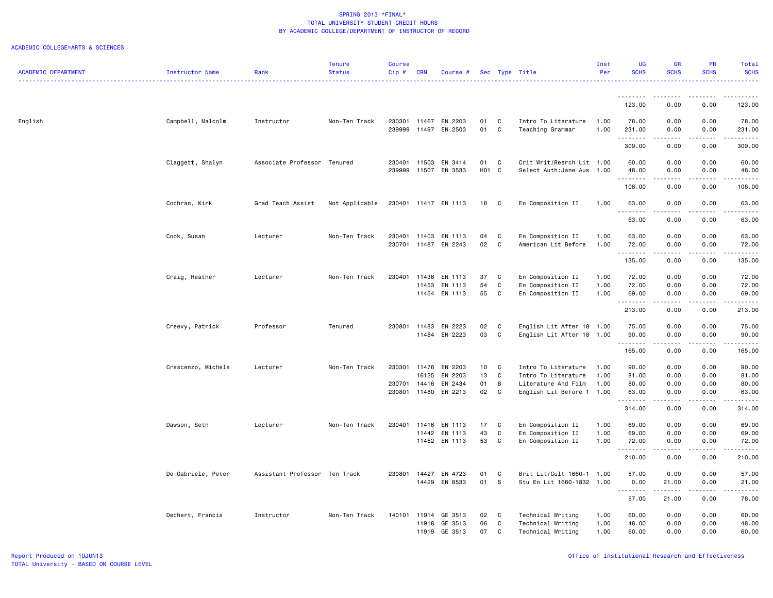|                            |                    |                               | <b>Tenure</b>  | <b>Course</b> |                |                                 |          |                  |                                            | Inst         | UG                   | GR              | <b>PR</b>     | Total            |
|----------------------------|--------------------|-------------------------------|----------------|---------------|----------------|---------------------------------|----------|------------------|--------------------------------------------|--------------|----------------------|-----------------|---------------|------------------|
| <b>ACADEMIC DEPARTMENT</b> | Instructor Name    | Rank                          | <b>Status</b>  | Cip#          | <b>CRN</b>     | Course #                        |          |                  | Sec Type Title                             | Per          | <b>SCHS</b>          | <b>SCHS</b>     | <b>SCHS</b>   | <b>SCHS</b><br>. |
|                            |                    |                               |                |               |                |                                 |          |                  |                                            |              |                      |                 |               |                  |
|                            |                    |                               |                |               |                |                                 |          |                  |                                            |              | . <b>.</b><br>123.00 | 0.00            | 0.00          | 123.00           |
|                            |                    |                               |                |               |                |                                 |          |                  |                                            |              |                      |                 |               |                  |
| English                    | Campbell, Malcolm  | Instructor                    | Non-Ten Track  | 239999        | 11497          | 230301 11467 EN 2203<br>EN 2503 | 01<br>01 | C<br>C           | Intro To Literature<br>Teaching Grammar    | 1.00<br>1.00 | 78.00<br>231.00      | 0.00<br>0.00    | 0.00<br>0.00  | 78.00<br>231.00  |
|                            |                    |                               |                |               |                |                                 |          |                  |                                            |              | .                    |                 | $\frac{1}{2}$ | .                |
|                            |                    |                               |                |               |                |                                 |          |                  |                                            |              | 309.00               | 0.00            | 0.00          | 309.00           |
|                            | Claggett, Shalyn   | Associate Professor Tenured   |                | 230401        | 11503          | EN 3414                         | 01       | $\mathbf{C}$     | Crit Writ/Resrch Lit 1.00                  |              | 60.00                | 0.00            | 0.00          | 60.00            |
|                            |                    |                               |                | 239999        |                | 11507 EN 3533                   | H01 C    |                  | Select Auth: Jane Aus 1.00                 |              | 48.00<br>. <b>.</b>  | 0.00<br>د د د د | 0.00<br>.     | 48.00<br>.       |
|                            |                    |                               |                |               |                |                                 |          |                  |                                            |              | 108.00               | 0.00            | 0.00          | 108.00           |
|                            | Cochran, Kirk      | Grad Teach Assist             | Not Applicable |               |                | 230401 11417 EN 1113            | 18       | $\mathbf{C}$     | En Composition II                          | 1.00         | 63.00                | 0.00            | 0.00          | 63.00            |
|                            |                    |                               |                |               |                |                                 |          |                  |                                            |              | .<br>63.00           | .<br>0.00       | .<br>0.00     | .<br>63.00       |
|                            |                    | Lecturer                      | Non-Ten Track  | 230401        | 11403          | EN 1113                         | 04       | C                | En Composition II                          | 1.00         | 63.00                | 0.00            | 0.00          | 63.00            |
|                            | Cook, Susan        |                               |                | 230701        |                | 11487 EN 2243                   | 02       | C                | American Lit Before                        | 1.00         | 72.00                | 0.00            | 0.00          | 72.00            |
|                            |                    |                               |                |               |                |                                 |          |                  |                                            |              | . <b>.</b>           | .               | .             | .                |
|                            |                    |                               |                |               |                |                                 |          |                  |                                            |              | 135.00               | 0.00            | 0.00          | 135.00           |
|                            | Craig, Heather     | Lecturer                      | Non-Ten Track  | 230401        | 11436          | EN 1113                         | 37       | C                | En Composition II                          | 1.00         | 72.00                | 0.00            | 0.00          | 72.00            |
|                            |                    |                               |                |               | 11453          | EN 1113                         | 54       | C                | En Composition II                          | 1.00         | 72.00                | 0.00            | 0.00          | 72.00            |
|                            |                    |                               |                |               |                | 11454 EN 1113                   | 55       | C                | En Composition II                          | 1.00         | 69.00<br>.           | 0.00<br>.       | 0.00<br>.     | 69.00<br>.       |
|                            |                    |                               |                |               |                |                                 |          |                  |                                            |              | 213.00               | 0.00            | 0.00          | 213.00           |
|                            | Creevy, Patrick    | Professor                     | Tenured        | 230801        | 11483          | EN 2223                         | 02       | C                | English Lit After 18 1.00                  |              | 75.00                | 0.00            | 0.00          | 75.00            |
|                            |                    |                               |                |               |                | 11484 EN 2223                   | 03       | $\mathbf C$      | English Lit After 18 1.00                  |              | 90.00                | 0.00            | 0.00          | 90.00            |
|                            |                    |                               |                |               |                |                                 |          |                  |                                            |              | .<br>165.00          | -----<br>0.00   | .<br>0.00     | .<br>165.00      |
|                            |                    |                               |                |               |                |                                 |          |                  |                                            |              |                      |                 |               |                  |
|                            | Crescenzo, Michele | Lecturer                      | Non-Ten Track  | 230301 11476  | 16125          | EN 2203<br>EN 2203              | 10<br>13 | C<br>$\mathbf C$ | Intro To Literature<br>Intro To Literature | 1.00<br>1.00 | 90.00<br>81.00       | 0.00<br>0.00    | 0.00<br>0.00  | 90.00<br>81.00   |
|                            |                    |                               |                | 230701        | 14416          | EN 2434                         | 01       | В                | Literature And Film                        | 1.00         | 80.00                | 0.00            | 0.00          | 80.00            |
|                            |                    |                               |                | 230801        | 11480          | EN 2213                         | 02       | C                | English Lit Before 1 1.00                  |              | 63.00                | 0.00            | 0.00          | 63.00            |
|                            |                    |                               |                |               |                |                                 |          |                  |                                            |              | .<br>314.00          | 0.00            | 0.00          | .<br>314.00      |
|                            | Dawson, Seth       | Lecturer                      | Non-Ten Track  | 230401        | 11416          | EN 1113                         | 17       | C                | En Composition II                          | 1.00         | 69.00                | 0.00            | 0.00          | 69.00            |
|                            |                    |                               |                |               | 11442          | EN 1113                         | 43       | $\mathbb{C}$     | En Composition II                          | 1.00         | 69.00                | 0.00            | 0.00          | 69.00            |
|                            |                    |                               |                |               |                | 11452 EN 1113                   | 53       | C                | En Composition II                          | 1.00         | 72.00                | 0.00            | 0.00          | 72.00            |
|                            |                    |                               |                |               |                |                                 |          |                  |                                            |              | 210.00               | 0.00            | 0.00          | .<br>210.00      |
|                            | De Gabriele, Peter | Assistant Professor Ten Track |                | 230801        | 14427          | EN 4723                         | 01       | C                | Brit Lit/Cult 1660-1 1.00                  |              | 57.00                | 0.00            | 0.00          | 57.00            |
|                            |                    |                               |                |               |                | 14429 EN 8533                   | 01       | <b>S</b>         | Stu En Lit 1660-1832 1.00                  |              | 0.00                 | 21.00           | 0.00          | 21.00            |
|                            |                    |                               |                |               |                |                                 |          |                  |                                            |              |                      |                 |               | $- - - -$        |
|                            |                    |                               |                |               |                |                                 |          |                  |                                            |              | 57.00                | 21.00           | 0.00          | 78.00            |
|                            | Dechert, Francis   | Instructor                    | Non-Ten Track  |               |                | 140101 11914 GE 3513            | 02       | $\mathbf{C}$     | Technical Writing                          | 1.00         | 60.00                | 0.00            | 0.00          | 60.00            |
|                            |                    |                               |                |               | 11918<br>11919 | GE 3513<br>GE 3513              | 06<br>07 | C<br>C           | Technical Writing<br>Technical Writing     | 1.00<br>1.00 | 48.00<br>60.00       | 0.00<br>0.00    | 0.00<br>0.00  | 48.00<br>60.00   |
|                            |                    |                               |                |               |                |                                 |          |                  |                                            |              |                      |                 |               |                  |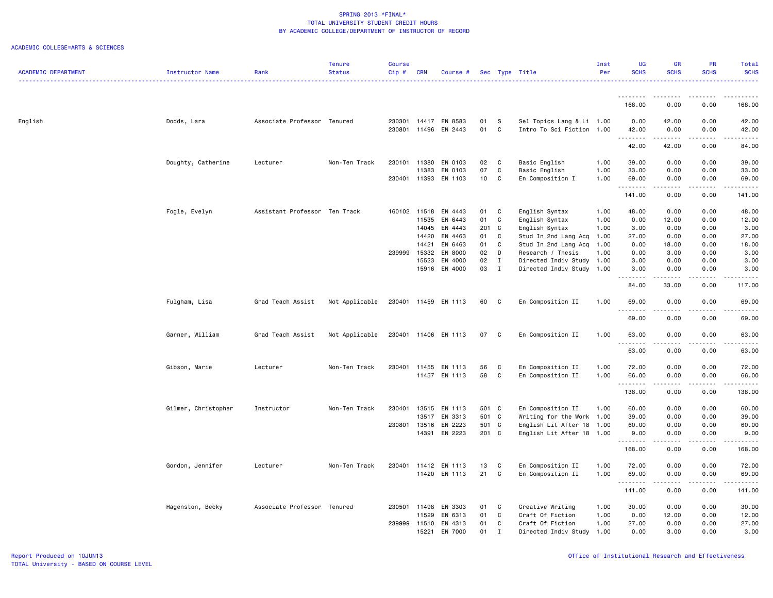|                            |                     |                               | Tenure         | <b>Course</b>    |                       |                          |                 |              |                                                        | Inst         | <b>UG</b>     | GR                                                                                                                                                   | <b>PR</b>       | Total          |
|----------------------------|---------------------|-------------------------------|----------------|------------------|-----------------------|--------------------------|-----------------|--------------|--------------------------------------------------------|--------------|---------------|------------------------------------------------------------------------------------------------------------------------------------------------------|-----------------|----------------|
| <b>ACADEMIC DEPARTMENT</b> | Instructor Name     | Rank                          | <b>Status</b>  | Cip#             | <b>CRN</b>            | Course #                 |                 |              | Sec Type Title                                         | Per          | <b>SCHS</b>   | <b>SCHS</b>                                                                                                                                          | <b>SCHS</b>     | <b>SCHS</b>    |
|                            |                     |                               |                |                  |                       |                          |                 |              |                                                        |              |               |                                                                                                                                                      |                 |                |
|                            |                     |                               |                |                  |                       |                          |                 |              |                                                        |              | .<br>168.00   | 0.00                                                                                                                                                 | 0.00            | 168.00         |
|                            |                     |                               |                |                  |                       |                          |                 |              |                                                        |              |               |                                                                                                                                                      |                 |                |
| English                    | Dodds, Lara         | Associate Professor Tenured   |                | 230301<br>230801 | 11496                 | 14417 EN 8583<br>EN 2443 | 01<br>01        | S<br>C       | Sel Topics Lang & Li 1.00<br>Intro To Sci Fiction 1.00 |              | 0.00<br>42.00 | 42.00<br>0.00                                                                                                                                        | 0.00<br>0.00    | 42.00<br>42.00 |
|                            |                     |                               |                |                  |                       |                          |                 |              |                                                        |              | .             | $\frac{1}{2} \left( \frac{1}{2} \right) \left( \frac{1}{2} \right) \left( \frac{1}{2} \right) \left( \frac{1}{2} \right) \left( \frac{1}{2} \right)$ | .               |                |
|                            |                     |                               |                |                  |                       |                          |                 |              |                                                        |              | 42.00         | 42.00                                                                                                                                                | 0.00            | 84.00          |
|                            | Doughty, Catherine  | Lecturer                      | Non-Ten Track  | 230101           | 11380                 | EN 0103                  | 02              | C            | Basic English                                          | 1.00         | 39.00         | 0.00                                                                                                                                                 | 0.00            | 39.00          |
|                            |                     |                               |                |                  | 11383                 | EN 0103                  | 07              | C            | Basic English                                          | 1.00         | 33.00         | 0.00                                                                                                                                                 | 0.00            | 33.00          |
|                            |                     |                               |                |                  |                       | 230401 11393 EN 1103     | 10 <sub>1</sub> | C            | En Composition I                                       | 1.00         | 69.00         | 0.00                                                                                                                                                 | 0.00            | 69.00          |
|                            |                     |                               |                |                  |                       |                          |                 |              |                                                        |              | .<br>141.00   | .<br>0.00                                                                                                                                            | .<br>0.00       | .<br>141.00    |
|                            |                     |                               |                |                  |                       |                          |                 |              |                                                        |              |               |                                                                                                                                                      |                 |                |
|                            | Fogle, Evelyn       | Assistant Professor Ten Track |                |                  | 160102 11518<br>11535 | EN 4443<br>EN 6443       | 01<br>01        | C<br>C       | English Syntax                                         | 1.00<br>1.00 | 48.00<br>0.00 | 0.00                                                                                                                                                 | 0.00<br>0.00    | 48.00          |
|                            |                     |                               |                |                  | 14045                 | EN 4443                  | 201 C           |              | English Syntax<br>English Syntax                       | 1.00         | 3.00          | 12.00<br>0.00                                                                                                                                        | 0.00            | 12.00<br>3.00  |
|                            |                     |                               |                |                  | 14420                 | EN 4463                  | 01              | C            | Stud In 2nd Lang Acq                                   | 1.00         | 27.00         | 0.00                                                                                                                                                 | 0.00            | 27.00          |
|                            |                     |                               |                |                  | 14421                 | EN 6463                  | 01              | C            | Stud In 2nd Lang Acq                                   | 1.00         | 0.00          | 18.00                                                                                                                                                | 0.00            | 18.00          |
|                            |                     |                               |                | 239999           | 15332                 | EN 8000                  | 02              | D            | Research / Thesis                                      | 1.00         | 0.00          | 3.00                                                                                                                                                 | 0.00            | 3.00           |
|                            |                     |                               |                |                  | 15523                 | EN 4000                  | 02              | Ι.           | Directed Indiv Study 1.00                              |              | 3.00          | 0.00                                                                                                                                                 | 0.00            | 3.00           |
|                            |                     |                               |                |                  |                       | 15916 EN 4000            | 03              | $\mathbf I$  | Directed Indiv Study                                   | 1.00         | 3.00          | 0.00                                                                                                                                                 | 0.00            | 3.00           |
|                            |                     |                               |                |                  |                       |                          |                 |              |                                                        |              | 84.00         | 33.00                                                                                                                                                | .<br>0.00       | 117.00         |
|                            |                     |                               |                |                  |                       |                          |                 |              |                                                        |              |               |                                                                                                                                                      |                 |                |
|                            | Fulgham, Lisa       | Grad Teach Assist             | Not Applicable |                  |                       | 230401 11459 EN 1113     | 60              | $\mathbf{C}$ | En Composition II                                      | 1.00         | 69.00         | 0.00                                                                                                                                                 | 0.00            | 69.00          |
|                            |                     |                               |                |                  |                       |                          |                 |              |                                                        |              | 69.00         | 0.00                                                                                                                                                 | 0.00            | 69.00          |
|                            | Garner, William     | Grad Teach Assist             | Not Applicable |                  |                       | 230401 11406 EN 1113     | 07              | C            | En Composition II                                      | 1.00         | 63.00<br>.    | 0.00<br>.                                                                                                                                            | 0.00<br>د د د د | 63.00<br>.     |
|                            |                     |                               |                |                  |                       |                          |                 |              |                                                        |              | 63.00         | 0.00                                                                                                                                                 | 0.00            | 63.00          |
|                            | Gibson, Marie       | Lecturer                      | Non-Ten Track  | 230401           |                       | 11455 EN 1113            | 56              | C            | En Composition II                                      | 1.00         | 72.00         | 0.00                                                                                                                                                 | 0.00            | 72.00          |
|                            |                     |                               |                |                  |                       | 11457 EN 1113            | 58              | C            | En Composition II                                      | 1.00         | 66.00         | 0.00                                                                                                                                                 | 0.00            | 66.00          |
|                            |                     |                               |                |                  |                       |                          |                 |              |                                                        |              | .             | المتمالين                                                                                                                                            | .               | -----          |
|                            |                     |                               |                |                  |                       |                          |                 |              |                                                        |              | 138.00        | 0.00                                                                                                                                                 | 0.00            | 138.00         |
|                            | Gilmer, Christopher | Instructor                    | Non-Ten Track  | 230401           | 13515                 | EN 1113                  | 501 C           |              | En Composition II                                      | 1.00         | 60.00         | 0.00                                                                                                                                                 | 0.00            | 60.00          |
|                            |                     |                               |                |                  | 13517                 | EN 3313                  | 501 C           |              | Writing for the Work 1.00                              |              | 39.00         | 0.00                                                                                                                                                 | 0.00            | 39.00          |
|                            |                     |                               |                | 230801           | 13516                 | EN 2223                  | 501 C           |              | English Lit After 18 1.00                              |              | 60.00         | 0.00                                                                                                                                                 | 0.00            | 60.00          |
|                            |                     |                               |                |                  |                       | 14391 EN 2223            | 201 C           |              | English Lit After 18 1.00                              |              | 9.00<br>.     | 0.00<br>الدامات                                                                                                                                      | 0.00<br>.       | 9.00<br>.      |
|                            |                     |                               |                |                  |                       |                          |                 |              |                                                        |              | 168.00        | 0.00                                                                                                                                                 | 0.00            | 168.00         |
|                            | Gordon, Jennifer    | Lecturer                      | Non-Ten Track  | 230401           | 11412                 | EN 1113                  | 13              | C            | En Composition II                                      | 1.00         | 72.00         | 0.00                                                                                                                                                 | 0.00            | 72.00          |
|                            |                     |                               |                |                  |                       | 11420 EN 1113            | 21              | C            | En Composition II                                      | 1.00         | 69.00         | 0.00                                                                                                                                                 | 0.00            | 69.00          |
|                            |                     |                               |                |                  |                       |                          |                 |              |                                                        |              | .             | .                                                                                                                                                    | .               | .              |
|                            |                     |                               |                |                  |                       |                          |                 |              |                                                        |              | 141.00        | 0.00                                                                                                                                                 | 0.00            | 141.00         |
|                            | Hagenston, Becky    | Associate Professor Tenured   |                |                  | 230501 11498          | EN 3303                  | 01              | C            | Creative Writing                                       | 1.00         | 30.00         | 0.00                                                                                                                                                 | 0.00            | 30.00          |
|                            |                     |                               |                |                  | 11529                 | EN 6313                  | 01              | $\mathbf C$  | Craft Of Fiction                                       | 1.00         | 0.00          | 12.00                                                                                                                                                | 0.00            | 12.00          |
|                            |                     |                               |                | 239999           | 11510                 | EN 4313                  | 01              | C            | Craft Of Fiction                                       | 1.00         | 27.00         | 0.00                                                                                                                                                 | 0.00            | 27.00          |
|                            |                     |                               |                |                  | 15221                 | EN 7000                  | 01              | $\mathbf I$  | Directed Indiv Study                                   | 1.00         | 0.00          | 3.00                                                                                                                                                 | 0.00            | 3.00           |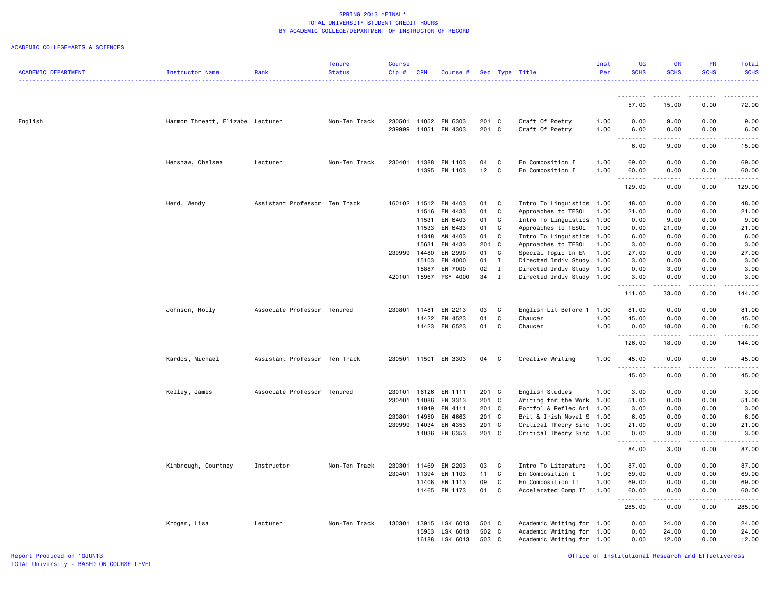|                            |                                  |                               | <b>Tenure</b> | <b>Course</b> |                |                      |                |              |                                                        | Inst | UG            | <b>GR</b>    | <b>PR</b>             | Total            |
|----------------------------|----------------------------------|-------------------------------|---------------|---------------|----------------|----------------------|----------------|--------------|--------------------------------------------------------|------|---------------|--------------|-----------------------|------------------|
| <b>ACADEMIC DEPARTMENT</b> | Instructor Name                  | Rank                          | <b>Status</b> | Cip#          | <b>CRN</b>     | Course #             |                |              | Sec Type Title                                         | Per  | <b>SCHS</b>   | <b>SCHS</b>  | <b>SCHS</b>           | <b>SCHS</b><br>. |
|                            |                                  |                               |               |               |                |                      |                |              |                                                        |      |               |              |                       |                  |
|                            |                                  |                               |               |               |                |                      |                |              |                                                        |      | 57.00         | 15.00        | 0.00                  | 72.00            |
|                            |                                  |                               |               |               |                |                      |                |              |                                                        |      |               |              |                       |                  |
| English                    | Harmon Threatt, Elizabe Lecturer |                               | Non-Ten Track | 230501        | 14052          | EN 6303              | 201 C          |              | Craft Of Poetry                                        | 1.00 | 0.00          | 9.00         | 0.00                  | 9.00             |
|                            |                                  |                               |               | 239999        | 14051          | EN 4303              | 201 C          |              | Craft Of Poetry                                        | 1.00 | 6.00          | 0.00<br>.    | 0.00<br>.             | 6.00<br>.        |
|                            |                                  |                               |               |               |                |                      |                |              |                                                        |      | 6.00          | 9.00         | 0.00                  | 15.00            |
|                            | Henshaw, Chelsea                 | Lecturer                      | Non-Ten Track | 230401        |                | 11388 EN 1103        | 04             | C            | En Composition I                                       | 1.00 | 69.00         | 0.00         | 0.00                  | 69.00            |
|                            |                                  |                               |               |               |                | 11395 EN 1103        | 12             | C            | En Composition I                                       | 1.00 | 60.00         | 0.00         | 0.00                  | 60.00            |
|                            |                                  |                               |               |               |                |                      |                |              |                                                        |      | 129.00        | 0.00         | 0.00                  | .<br>129.00      |
|                            |                                  |                               |               |               |                |                      |                |              |                                                        |      |               |              |                       |                  |
|                            | Herd, Wendy                      | Assistant Professor Ten Track |               | 160102 11512  |                | EN 4403              | 01             | C            | Intro To Linguistics 1.00                              |      | 48.00         | 0.00         | 0.00                  | 48.00            |
|                            |                                  |                               |               |               | 11516          | EN 4433              | 01             | $\mathbb{C}$ | Approaches to TESOL                                    | 1.00 | 21.00         | 0.00         | 0.00                  | 21.00            |
|                            |                                  |                               |               |               | 11531          | EN 6403              | 01             | C            | Intro To Linguistics 1.00                              |      | 0.00          | 9.00         | 0.00                  | 9.00             |
|                            |                                  |                               |               |               | 11533          | EN 6433              | 01             | C            | Approaches to TESOL                                    | 1.00 | 0.00          | 21.00        | 0.00                  | 21.00            |
|                            |                                  |                               |               |               | 14348          | AN 4403              | 01             | C            | Intro To Linguistics 1.00                              |      | 6.00          | 0.00         | 0.00                  | 6.00             |
|                            |                                  |                               |               |               | 15631          | EN 4433              | 201 C          |              | Approaches to TESOL                                    | 1.00 | 3.00          | 0.00         | 0.00                  | 3.00             |
|                            |                                  |                               |               | 239999        | 14480          | EN 2990              | 01             | C            | Special Topic In EN                                    | 1.00 | 27.00         | 0.00         | 0.00                  | 27.00            |
|                            |                                  |                               |               |               | 15103          | EN 4000              | 01             | $\mathbf{I}$ | Directed Indiv Study 1.00                              |      | 3.00          | 0.00         | 0.00                  | 3.00             |
|                            |                                  |                               |               |               | 15887          | EN 7000              | 02             | $\mathbf{I}$ | Directed Indiv Study 1.00                              |      | 0.00          | 3.00         | 0.00                  | 3.00             |
|                            |                                  |                               |               | 420101        | 15967          | PSY 4000             | 34             | $\mathbf{I}$ | Directed Indiv Study 1.00                              |      | 3.00<br>.     | 0.00<br>.    | 0.00<br>.             | 3.00<br><u>.</u> |
|                            |                                  |                               |               |               |                |                      |                |              |                                                        |      | 111.00        | 33.00        | 0.00                  | 144.00           |
|                            | Johnson, Holly                   | Associate Professor Tenured   |               | 230801        | 11481          | EN 2213              | 03             | C            | English Lit Before 1                                   | 1.00 | 81.00         | 0.00         | 0.00                  | 81.00            |
|                            |                                  |                               |               |               | 14422          | EN 4523              | 01             | $\mathbf C$  | Chaucer                                                | 1.00 | 45.00         | 0.00         | 0.00                  | 45.00            |
|                            |                                  |                               |               |               |                | 14423 EN 6523        | 01             | $\mathbf C$  | Chaucer                                                | 1.00 | 0.00          | 18.00        | 0.00                  | 18.00            |
|                            |                                  |                               |               |               |                |                      |                |              |                                                        |      | .<br>126.00   | .<br>18.00   | .<br>0.00             | .<br>144.00      |
|                            | Kardos, Michael                  | Assistant Professor Ten Track |               |               |                | 230501 11501 EN 3303 | 04             | C            | Creative Writing                                       | 1.00 | 45.00         | 0.00         | 0.00                  | 45.00            |
|                            |                                  |                               |               |               |                |                      |                |              |                                                        |      | 45.00         | .<br>0.00    | .<br>0.00             | .<br>45.00       |
|                            |                                  |                               |               |               |                |                      |                |              |                                                        |      |               |              |                       |                  |
|                            | Kelley, James                    | Associate Professor Tenured   |               | 230101        | 16126          | EN 1111              | 201 C          |              | English Studies                                        | 1.00 | 3.00          | 0.00         | 0.00                  | 3.00             |
|                            |                                  |                               |               | 230401        | 14086          | EN 3313              | 201 C          |              | Writing for the Work 1.00                              |      | 51.00         | 0.00         | 0.00                  | 51.00            |
|                            |                                  |                               |               |               | 14949          | EN 4111              | 201 C          |              | Portfol & Reflec Wri 1.00                              |      | 3.00          | 0.00         | 0.00                  | 3.00             |
|                            |                                  |                               |               | 230801        | 14950          | EN 4663              | 201 C          |              | Brit & Irish Novel S 1.00                              |      | 6.00          | 0.00         | 0.00                  | 6.00             |
|                            |                                  |                               |               | 239999        | 14034<br>14036 | EN 4353<br>EN 6353   | 201 C<br>201 C |              | Critical Theory Sinc 1.00<br>Critical Theory Sinc 1.00 |      | 21.00<br>0.00 | 0.00<br>3.00 | 0.00<br>0.00          | 21.00<br>3.00    |
|                            |                                  |                               |               |               |                |                      |                |              |                                                        |      |               | -----        | .                     | .                |
|                            |                                  |                               |               |               |                |                      |                |              |                                                        |      | 84.00         | 3.00         | 0.00                  | 87.00            |
|                            | Kimbrough, Courtney              | Instructor                    | Non-Ten Track | 230301        | 11469          | EN 2203              | 03             | C            | Intro To Literature                                    | 1.00 | 87.00         | 0.00         | 0.00                  | 87.00            |
|                            |                                  |                               |               | 230401        | 11394          | EN 1103              | 11             | $\mathbf{C}$ | En Composition I                                       | 1.00 | 69.00         | 0.00         | 0.00                  | 69.00            |
|                            |                                  |                               |               |               | 11408          | EN 1113              | 09             | C            | En Composition II                                      | 1.00 | 69.00         | 0.00         | 0.00                  | 69.00            |
|                            |                                  |                               |               |               |                | 11465 EN 1173        | 01             | C            | Accelerated Comp II                                    | 1.00 | 60.00<br>.    | 0.00<br>.    | 0.00<br>$\frac{1}{2}$ | 60.00<br>.       |
|                            |                                  |                               |               |               |                |                      |                |              |                                                        |      | 285.00        | 0.00         | 0.00                  | 285.00           |
|                            | Kroger, Lisa                     | Lecturer                      | Non-Ten Track | 130301        | 13915          | LSK 6013             | 501 C          |              | Academic Writing for 1.00                              |      | 0.00          | 24.00        | 0.00                  | 24.00            |
|                            |                                  |                               |               |               | 15953          | LSK 6013             | 502 C          |              | Academic Writing for 1.00                              |      | 0.00          | 24.00        | 0.00                  | 24.00            |
|                            |                                  |                               |               |               |                | 16188 LSK 6013       | 503 C          |              | Academic Writing for 1.00                              |      | 0.00          | 12.00        | 0.00                  | 12.00            |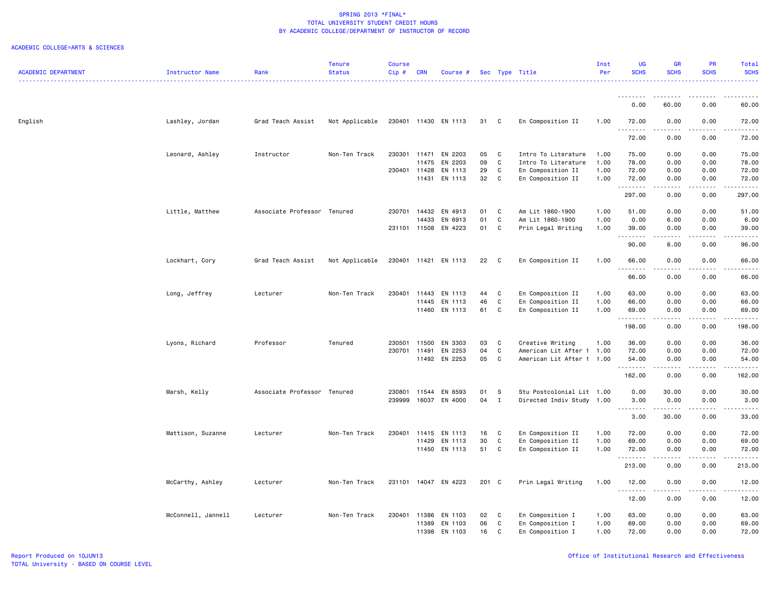| <b>ACADEMIC DEPARTMENT</b> | <b>Instructor Name</b> | Rank                        | <b>Tenure</b><br><b>Status</b> | Course<br>Cip# | <b>CRN</b>   | Course #             |       |              | Sec Type Title            | Inst<br>Per | UG<br><b>SCHS</b>   | <b>GR</b><br><b>SCHS</b>            | PR<br><b>SCHS</b>                   | Total<br><b>SCHS</b> |
|----------------------------|------------------------|-----------------------------|--------------------------------|----------------|--------------|----------------------|-------|--------------|---------------------------|-------------|---------------------|-------------------------------------|-------------------------------------|----------------------|
|                            |                        |                             |                                |                |              |                      |       |              |                           |             |                     |                                     |                                     |                      |
|                            |                        |                             |                                |                |              |                      |       |              |                           |             | <u>.</u><br>0.00    | .<br>60.00                          | 0.00                                | 60.00                |
| English                    | Lashley, Jordan        | Grad Teach Assist           | Not Applicable                 |                |              | 230401 11430 EN 1113 | 31 C  |              | En Composition II         | 1.00        | 72.00               | 0.00                                | 0.00                                | 72.00                |
|                            |                        |                             |                                |                |              |                      |       |              |                           |             | 72.00               | $\sim$ $\sim$ $\sim$ $\sim$<br>0.00 | 0.00                                | 72.00                |
|                            | Leonard, Ashley        | Instructor                  | Non-Ten Track                  | 230301         | 11471        | EN 2203              | 05    | C            | Intro To Literature       | 1.00        | 75.00               | 0.00                                | 0.00                                | 75.00                |
|                            |                        |                             |                                |                | 11475        | EN 2203              | 09    | C            | Intro To Literature       | 1.00        | 78.00               | 0.00                                | 0.00                                | 78.00                |
|                            |                        |                             |                                |                | 230401 11428 | EN 1113              | 29    | $\mathtt{C}$ | En Composition II         | 1.00        | 72.00               | 0.00                                | 0.00                                | 72.00                |
|                            |                        |                             |                                |                |              | 11431 EN 1113        | 32    | C            | En Composition II         | 1.00        | 72.00<br>.          | 0.00<br>.                           | 0.00<br>$\sim$ $\sim$ $\sim$ $\sim$ | 72.00<br>.           |
|                            |                        |                             |                                |                |              |                      |       |              |                           |             | 297.00              | 0.00                                | 0.00                                | 297.00               |
|                            | Little, Matthew        | Associate Professor Tenured |                                | 230701         | 14432        | EN 4913              | 01    | $\mathbf{C}$ | Am Lit 1860-1900          | 1.00        | 51.00               | 0.00                                | 0.00                                | 51.00                |
|                            |                        |                             |                                |                | 14433        | EN 6913              | 01    | C            | Am Lit 1860-1900          | 1.00        | 0.00                | 6.00                                | 0.00                                | 6.00                 |
|                            |                        |                             |                                |                |              | 231101 11508 EN 4223 | 01 C  |              | Prin Legal Writing        | 1.00        | 39.00<br>.          | 0.00<br>.                           | 0.00<br>$- - - -$                   | 39.00<br>.           |
|                            |                        |                             |                                |                |              |                      |       |              |                           |             | 90.00               | 6.00                                | 0.00                                | 96.00                |
|                            | Lockhart, Cory         | Grad Teach Assist           | Not Applicable                 |                |              | 230401 11421 EN 1113 | 22    | $\mathbf{C}$ | En Composition II         | 1.00        | 66.00<br>.          | 0.00<br>.                           | 0.00                                | 66.00                |
|                            |                        |                             |                                |                |              |                      |       |              |                           |             | 66.00               | 0.00                                | 0.00                                | 66.00                |
|                            | Long, Jeffrey          | Lecturer                    | Non-Ten Track                  | 230401         | 11443        | EN 1113              | 44    | C            | En Composition II         | 1.00        | 63.00               | 0.00                                | 0.00                                | 63.00                |
|                            |                        |                             |                                |                | 11445        | EN 1113              | 46    | C            | En Composition II         | 1.00        | 66.00               | 0.00                                | 0.00                                | 66.00                |
|                            |                        |                             |                                |                |              | 11460 EN 1113        | 61    | C            | En Composition II         | 1.00        | 69.00<br>.          | 0.00<br>$\sim$ $\sim$ $\sim$        | 0.00                                | 69.00                |
|                            |                        |                             |                                |                |              |                      |       |              |                           |             | 198.00              | 0.00                                | 0.00                                | 198.00               |
|                            | Lyons, Richard         | Professor                   | Tenured                        | 230501         | 11500        | EN 3303              | 03    | C            | Creative Writing          | 1.00        | 36.00               | 0.00                                | 0.00                                | 36.00                |
|                            |                        |                             |                                |                | 230701 11491 | EN 2253              | 04    | C            | American Lit After 1 1.00 |             | 72.00               | 0.00                                | 0.00                                | 72.00                |
|                            |                        |                             |                                |                |              | 11492 EN 2253        | 05    | C            | American Lit After 1 1.00 |             | 54.00<br>. <b>.</b> | 0.00<br>$\sim$ $\sim$ $\sim$ $\sim$ | 0.00<br>.                           | 54.00<br>.           |
|                            |                        |                             |                                |                |              |                      |       |              |                           |             | 162.00              | 0.00                                | 0.00                                | 162.00               |
|                            | Marsh, Kelly           | Associate Professor Tenured |                                | 230801         |              | 11544 EN 8593        | 01    | - S          | Stu Postcolonial Lit 1.00 |             | 0.00                | 30.00                               | 0.00                                | 30.00                |
|                            |                        |                             |                                | 239999         |              | 16037 EN 4000        | 04    | $\mathbf{I}$ | Directed Indiv Study 1.00 |             | 3.00                | 0.00                                | 0.00                                | 3.00                 |
|                            |                        |                             |                                |                |              |                      |       |              |                           |             | .                   | .                                   | .                                   | 33.00                |
|                            |                        |                             |                                |                |              |                      |       |              |                           |             | 3.00                | 30.00                               | 0.00                                |                      |
|                            | Mattison, Suzanne      | Lecturer                    | Non-Ten Track                  | 230401         | 11415        | EN 1113              | 16    | C            | En Composition II         | 1.00        | 72.00               | 0.00                                | 0.00                                | 72.00                |
|                            |                        |                             |                                |                |              | 11429 EN 1113        | 30    | C            | En Composition II         | 1.00        | 69.00               | 0.00                                | 0.00                                | 69.00                |
|                            |                        |                             |                                |                |              | 11450 EN 1113        |       | 51 C         | En Composition II         | 1.00        | 72.00<br><u>.</u>   | 0.00<br>- - -                       | 0.00                                | 72.00                |
|                            |                        |                             |                                |                |              |                      |       |              |                           |             | 213.00              | 0.00                                | 0.00                                | 213.00               |
|                            | McCarthy, Ashley       | Lecturer                    | Non-Ten Track                  | 231101         |              | 14047 EN 4223        | 201 C |              | Prin Legal Writing        | 1.00        | 12.00<br>.          | 0.00                                | 0.00                                | 12.00                |
|                            |                        |                             |                                |                |              |                      |       |              |                           |             | 12.00               | 0.00                                | 0.00                                | 12.00                |
|                            | McConnell, Jannell     | Lecturer                    | Non-Ten Track                  | 230401         | 11386        | EN 1103              | 02    | C            | En Composition I          | 1.00        | 63.00               | 0.00                                | 0.00                                | 63.00                |
|                            |                        |                             |                                |                | 11389        | EN 1103              | 06    | C            | En Composition I          | 1.00        | 69.00               | 0.00                                | 0.00                                | 69.00                |
|                            |                        |                             |                                |                |              | 11398 EN 1103        | 16    | C            | En Composition I          | 1.00        | 72.00               | 0.00                                | 0.00                                | 72.00                |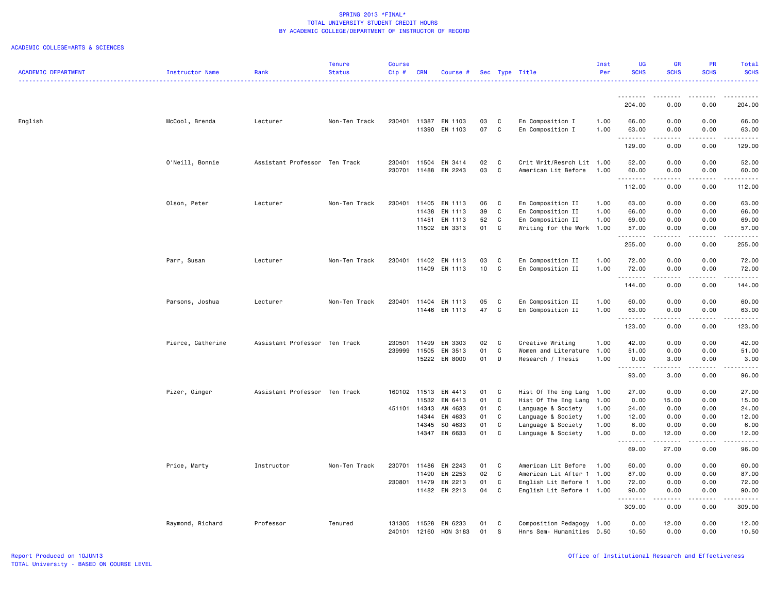|                            |                   |                               | <b>Tenure</b> | <b>Course</b> |            |                      |                 |              |                           | Inst | <b>UG</b>         | GR           | PR               | Total                                |
|----------------------------|-------------------|-------------------------------|---------------|---------------|------------|----------------------|-----------------|--------------|---------------------------|------|-------------------|--------------|------------------|--------------------------------------|
| <b>ACADEMIC DEPARTMENT</b> | Instructor Name   | Rank                          | <b>Status</b> | $Cip \#$      | <b>CRN</b> | Course #             |                 |              | Sec Type Title            | Per  | <b>SCHS</b>       | <b>SCHS</b>  | <b>SCHS</b>      | <b>SCHS</b><br>.                     |
|                            |                   |                               |               |               |            |                      |                 |              |                           |      |                   |              |                  |                                      |
|                            |                   |                               |               |               |            |                      |                 |              |                           |      | .<br>204.00       | ----<br>0.00 | 0.00             | 204.00                               |
| English                    | McCool, Brenda    | Lecturer                      | Non-Ten Track |               |            | 230401 11387 EN 1103 | 03              | C            | En Composition I          | 1.00 | 66.00             | 0.00         | 0.00             | 66.00                                |
|                            |                   |                               |               |               | 11390      | EN 1103              | 07              | C            | En Composition I          | 1.00 | 63.00             | 0.00         | 0.00             | 63.00                                |
|                            |                   |                               |               |               |            |                      |                 |              |                           |      | .                 | ----         | .                |                                      |
|                            |                   |                               |               |               |            |                      |                 |              |                           |      | 129.00            | 0.00         | 0.00             | 129.00                               |
|                            | O'Neill, Bonnie   | Assistant Professor Ten Track |               | 230401        | 11504      | EN 3414              | 02              | $\mathbf{C}$ | Crit Writ/Resrch Lit 1.00 |      | 52.00             | 0.00         | 0.00             | 52.00                                |
|                            |                   |                               |               | 230701        |            | 11488 EN 2243        | 03              | C            | American Lit Before       | 1.00 | 60.00<br>.        | 0.00<br>.    | 0.00<br>.        | 60.00<br>.                           |
|                            |                   |                               |               |               |            |                      |                 |              |                           |      | 112.00            | 0.00         | 0.00             | 112.00                               |
|                            | Olson, Peter      | Lecturer                      | Non-Ten Track | 230401        | 11405      | EN 1113              | 06              | C            | En Composition II         | 1.00 | 63.00             | 0.00         | 0.00             | 63.00                                |
|                            |                   |                               |               |               | 11438      | EN 1113              | 39              | $\mathtt{C}$ | En Composition II         | 1.00 | 66.00             | 0.00         | 0.00             | 66.00                                |
|                            |                   |                               |               |               | 11451      | EN 1113              | 52              | $\mathbf C$  | En Composition II         | 1.00 | 69.00             | 0.00         | 0.00             | 69.00                                |
|                            |                   |                               |               |               |            | 11502 EN 3313        | 01              | C            | Writing for the Work 1.00 |      | 57.00<br>.        | 0.00<br>.    | 0.00<br>المتماما | 57.00<br>$\sim$ $\sim$ $\sim$ $\sim$ |
|                            |                   |                               |               |               |            |                      |                 |              |                           |      | 255.00            | 0.00         | 0.00             | 255.00                               |
|                            | Parr, Susan       | Lecturer                      | Non-Ten Track |               |            | 230401 11402 EN 1113 | 03              | C            | En Composition II         | 1.00 | 72.00             | 0.00         | 0.00             | 72.00                                |
|                            |                   |                               |               |               |            | 11409 EN 1113        | 10 <sub>1</sub> | C            | En Composition II         | 1.00 | 72.00             | 0.00         | 0.00             | 72.00                                |
|                            |                   |                               |               |               |            |                      |                 |              |                           |      | .                 | $- - - -$    | .                | .                                    |
|                            |                   |                               |               |               |            |                      |                 |              |                           |      | 144.00            | 0.00         | 0.00             | 144.00                               |
|                            | Parsons, Joshua   | Lecturer                      | Non-Ten Track | 230401        | 11404      | EN 1113              | 05              | C            | En Composition II         | 1.00 | 60.00             | 0.00         | 0.00             | 60.00                                |
|                            |                   |                               |               |               |            | 11446 EN 1113        | 47              | C            | En Composition II         | 1.00 | 63.00<br>.        | 0.00<br>.    | 0.00<br>.        | 63.00<br><u>.</u>                    |
|                            |                   |                               |               |               |            |                      |                 |              |                           |      | 123.00            | 0.00         | 0.00             | 123.00                               |
|                            | Pierce, Catherine | Assistant Professor Ten Track |               | 230501        | 11499      | EN 3303              | 02              | C            | Creative Writing          | 1.00 | 42.00             | 0.00         | 0.00             | 42.00                                |
|                            |                   |                               |               | 239999        | 11505      | EN 3513              | 01              | C            | Women and Literature      | 1.00 | 51.00             | 0.00         | 0.00             | 51.00                                |
|                            |                   |                               |               |               |            | 15222 EN 8000        | 01              | D            | Research / Thesis         | 1.00 | 0.00              | 3.00         | 0.00             | 3.00                                 |
|                            |                   |                               |               |               |            |                      |                 |              |                           |      | <u>.</u><br>93.00 | .<br>3.00    | 0.00             | .<br>96.00                           |
|                            | Pizer, Ginger     | Assistant Professor Ten Track |               | 160102 11513  |            | EN 4413              | 01              | C            | Hist Of The Eng Lang      | 1.00 | 27.00             | 0.00         | 0.00             | 27.00                                |
|                            |                   |                               |               |               | 11532      | EN 6413              | 01              | $\mathtt{C}$ | Hist Of The Eng Lang      | 1.00 | 0.00              | 15.00        | 0.00             | 15.00                                |
|                            |                   |                               |               | 451101 14343  |            | AN 4633              | 01              | C            | Language & Society        | 1.00 | 24.00             | 0.00         | 0.00             | 24.00                                |
|                            |                   |                               |               |               | 14344      | EN 4633              | 01              | C            | Language & Society        | 1.00 | 12.00             | 0.00         | 0.00             | 12.00                                |
|                            |                   |                               |               |               | 14345      | SO 4633              | 01              | $\mathtt{C}$ | Language & Society        | 1.00 | 6.00              | 0.00         | 0.00             | 6.00                                 |
|                            |                   |                               |               |               |            | 14347 EN 6633        | 01              | C            | Language & Society        | 1.00 | 0.00<br>22222     | 12.00<br>.   | 0.00<br>.        | 12.00<br>.                           |
|                            |                   |                               |               |               |            |                      |                 |              |                           |      | 69.00             | 27.00        | 0.00             | 96.00                                |
|                            | Price, Marty      | Instructor                    | Non-Ten Track | 230701        | 11486      | EN 2243              | 01              | C            | American Lit Before       | 1.00 | 60.00             | 0.00         | 0.00             | 60.00                                |
|                            |                   |                               |               |               | 11490      | EN 2253              | 02              | $\mathtt{C}$ | American Lit After 1 1.00 |      | 87.00             | 0.00         | 0.00             | 87.00                                |
|                            |                   |                               |               | 230801 11479  |            | EN 2213              | 01              | C            | English Lit Before 1 1.00 |      | 72.00             | 0.00         | 0.00             | 72.00                                |
|                            |                   |                               |               |               | 11482      | EN 2213              | 04              | C            | English Lit Before 1 1.00 |      | 90.00<br>.        | 0.00<br>.    | 0.00<br>.        | 90.00<br>.                           |
|                            |                   |                               |               |               |            |                      |                 |              |                           |      | 309.00            | 0.00         | 0.00             | 309.00                               |
|                            | Raymond, Richard  | Professor                     | Tenured       | 131305        | 11528      | EN 6233              | 01              | C            | Composition Pedagogy      | 1.00 | 0.00              | 12.00        | 0.00             | 12.00                                |
|                            |                   |                               |               | 240101        | 12160      | HON 3183             | 01              | <sub>S</sub> | Hnrs Sem- Humanities 0.50 |      | 10.50             | 0.00         | 0.00             | 10.50                                |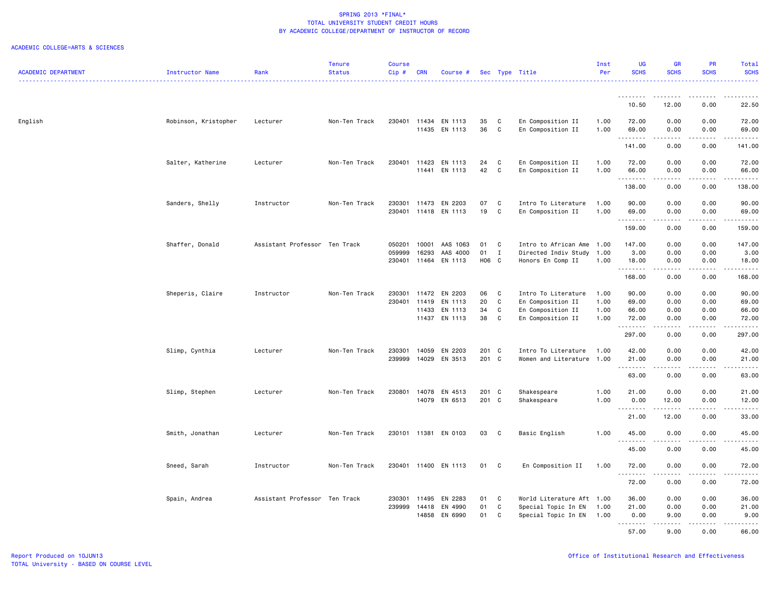| <b>ACADEMIC DEPARTMENT</b> | <b>Instructor Name</b> | Rank                          | <b>Tenure</b><br><b>Status</b> | <b>Course</b><br>$Cip$ # | <b>CRN</b> | Course #      |       |              | Sec Type Title            | Inst<br>Per | <b>UG</b><br><b>SCHS</b> | <b>GR</b><br><b>SCHS</b>                                                                                                | PR<br><b>SCHS</b>                   | Total<br><b>SCHS</b>                   |
|----------------------------|------------------------|-------------------------------|--------------------------------|--------------------------|------------|---------------|-------|--------------|---------------------------|-------------|--------------------------|-------------------------------------------------------------------------------------------------------------------------|-------------------------------------|----------------------------------------|
|                            |                        |                               |                                |                          |            |               |       |              |                           |             |                          |                                                                                                                         |                                     | .                                      |
|                            |                        |                               |                                |                          |            |               |       |              |                           |             | <u>.</u>                 | --------                                                                                                                | .                                   |                                        |
|                            |                        |                               |                                |                          |            |               |       |              |                           |             | 10.50                    | 12.00                                                                                                                   | 0.00                                | 22.50                                  |
| English                    | Robinson, Kristopher   | Lecturer                      | Non-Ten Track                  | 230401                   |            | 11434 EN 1113 | 35    | C            | En Composition II         | 1.00        | 72.00                    | 0.00                                                                                                                    | 0.00                                | 72.00                                  |
|                            |                        |                               |                                |                          | 11435      | EN 1113       | 36    | C            | En Composition II         | 1.00        | 69.00                    | 0.00<br>$\cdots$                                                                                                        | 0.00<br>.                           | 69.00<br>.                             |
|                            |                        |                               |                                |                          |            |               |       |              |                           |             | 141.00                   | 0.00                                                                                                                    | 0.00                                | 141.00                                 |
|                            | Salter, Katherine      | Lecturer                      | Non-Ten Track                  | 230401                   | 11423      | EN 1113       | 24    | C            | En Composition II         | 1.00        | 72.00                    | 0.00                                                                                                                    | 0.00                                | 72.00                                  |
|                            |                        |                               |                                |                          |            | 11441 EN 1113 | 42    | C            | En Composition II         | 1.00        | 66.00<br>. <b>.</b>      | 0.00<br>$\begin{array}{cccccccccccccc} \bullet & \bullet & \bullet & \bullet & \bullet & \bullet & \bullet \end{array}$ | 0.00<br>.                           | 66.00<br>.                             |
|                            |                        |                               |                                |                          |            |               |       |              |                           |             | 138.00                   | 0.00                                                                                                                    | 0.00                                | 138.00                                 |
|                            | Sanders, Shelly        | Instructor                    | Non-Ten Track                  | 230301                   | 11473      | EN 2203       | 07    | $\mathbb C$  | Intro To Literature       | 1.00        | 90.00                    | 0.00                                                                                                                    | 0.00                                | 90.00                                  |
|                            |                        |                               |                                | 230401                   | 11418      | EN 1113       | 19    | C            | En Composition II         | 1.00        | 69.00<br><u>.</u>        | 0.00                                                                                                                    | 0.00                                | 69.00                                  |
|                            |                        |                               |                                |                          |            |               |       |              |                           |             | 159.00                   | 0.00                                                                                                                    | 0.00                                | 159.00                                 |
|                            | Shaffer, Donald        | Assistant Professor Ten Track |                                | 050201                   | 10001      | AAS 1063      | 01    | C            | Intro to African Ame 1.00 |             | 147.00                   | 0.00                                                                                                                    | 0.00                                | 147.00                                 |
|                            |                        |                               |                                | 059999                   | 16293      | AAS 4000      | 01    | $\mathbf{I}$ | Directed Indiv Study      | 1.00        | 3.00                     | 0.00                                                                                                                    | 0.00                                | 3.00                                   |
|                            |                        |                               |                                | 230401                   | 11464      | EN 1113       | H06 C |              | Honors En Comp II         | 1.00        | 18.00                    | 0.00                                                                                                                    | 0.00<br>.                           | 18.00<br>$\alpha$ is a single $\alpha$ |
|                            |                        |                               |                                |                          |            |               |       |              |                           |             | 168.00                   | 0.00                                                                                                                    | 0.00                                | 168.00                                 |
|                            | Sheperis, Claire       | Instructor                    | Non-Ten Track                  | 230301                   | 11472      | EN 2203       | 06    | C            | Intro To Literature       | 1.00        | 90.00                    | 0.00                                                                                                                    | 0.00                                | 90.00                                  |
|                            |                        |                               |                                | 230401                   | 11419      | EN 1113       | 20    | C            | En Composition II         | 1.00        | 69.00                    | 0.00                                                                                                                    | 0.00                                | 69.00                                  |
|                            |                        |                               |                                |                          | 11433      | EN 1113       | 34    | C            | En Composition II         | 1.00        | 66.00                    | 0.00                                                                                                                    | 0.00                                | 66.00                                  |
|                            |                        |                               |                                |                          | 11437      | EN 1113       | 38    | C            | En Composition II         | 1.00        | 72.00<br>.               | 0.00<br>.                                                                                                               | 0.00<br>.                           | 72.00<br>.                             |
|                            |                        |                               |                                |                          |            |               |       |              |                           |             | 297.00                   | 0.00                                                                                                                    | 0.00                                | 297.00                                 |
|                            | Slimp, Cynthia         | Lecturer                      | Non-Ten Track                  | 230301                   | 14059      | EN 2203       | 201 C |              | Intro To Literature       | 1.00        | 42.00                    | 0.00                                                                                                                    | 0.00                                | 42.00                                  |
|                            |                        |                               |                                | 239999                   |            | 14029 EN 3513 | 201 C |              | Women and Literature 1.00 |             | 21.00                    | 0.00<br><b>.</b>                                                                                                        | 0.00<br>$\sim$ $\sim$ $\sim$ $\sim$ | 21.00<br>.                             |
|                            |                        |                               |                                |                          |            |               |       |              |                           |             | 63.00                    | 0.00                                                                                                                    | 0.00                                | 63.00                                  |
|                            | Slimp, Stephen         | Lecturer                      | Non-Ten Track                  | 230801                   | 14078      | EN 4513       | 201 C |              | Shakespeare               | 1.00        | 21.00                    | 0.00                                                                                                                    | 0.00                                | 21.00                                  |
|                            |                        |                               |                                |                          | 14079      | EN 6513       | 201 C |              | Shakespeare               | 1.00        | 0.00<br>.                | 12.00<br>$    -$                                                                                                        | 0.00<br>$\frac{1}{2}$               | 12.00<br>.                             |
|                            |                        |                               |                                |                          |            |               |       |              |                           |             | 21.00                    | 12.00                                                                                                                   | 0.00                                | 33.00                                  |
|                            | Smith, Jonathan        | Lecturer                      | Non-Ten Track                  | 230101                   |            | 11381 EN 0103 | 03    | $\mathbf{C}$ | Basic English             | 1.00        | 45.00                    | 0.00                                                                                                                    | 0.00                                | 45.00                                  |
|                            |                        |                               |                                |                          |            |               |       |              |                           |             | . <b>.</b><br>45.00      | 0.00                                                                                                                    | .<br>0.00                           | .<br>45.00                             |
|                            | Sneed, Sarah           | Instructor                    | Non-Ten Track                  | 230401                   |            | 11400 EN 1113 | 01    | C            | En Composition II         | 1.00        | 72.00                    | 0.00                                                                                                                    | 0.00                                | 72.00                                  |
|                            |                        |                               |                                |                          |            |               |       |              |                           |             |                          | .                                                                                                                       |                                     | .                                      |
|                            |                        |                               |                                |                          |            |               |       |              |                           |             | 72.00                    | 0.00                                                                                                                    | 0.00                                | 72.00                                  |
|                            | Spain, Andrea          | Assistant Professor Ten Track |                                | 230301                   | 11495      | EN 2283       | 01    | C            | World Literature Aft 1.00 |             | 36.00                    | 0.00                                                                                                                    | 0.00                                | 36.00                                  |
|                            |                        |                               |                                | 239999                   | 14418      | EN 4990       | 01    | C            | Special Topic In EN       | 1.00        | 21.00                    | 0.00                                                                                                                    | 0.00                                | 21.00                                  |
|                            |                        |                               |                                |                          | 14858      | EN 6990       | 01    | C            | Special Topic In EN       | 1.00        | 0.00                     | 9.00<br><u>.</u>                                                                                                        | 0.00<br>$- - - - -$                 | 9.00<br><u>.</u>                       |
|                            |                        |                               |                                |                          |            |               |       |              |                           |             | 57.00                    | 9.00                                                                                                                    | 0.00                                | 66.00                                  |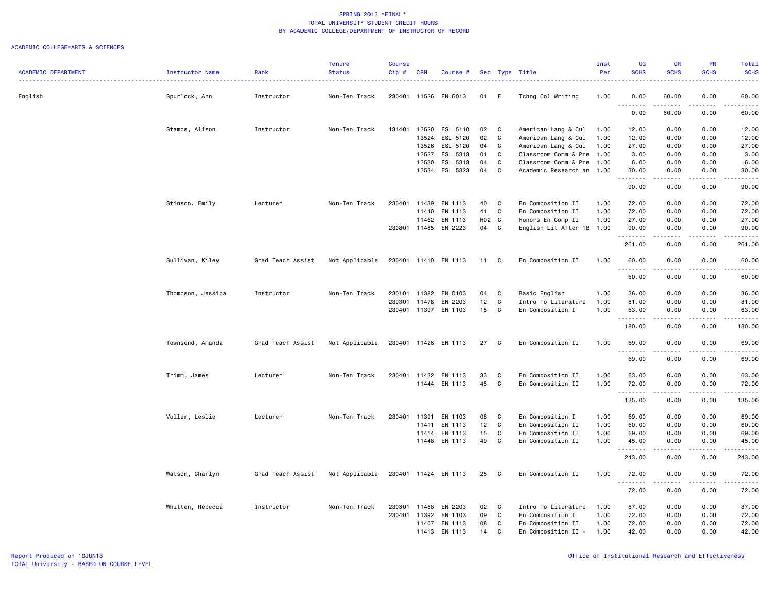|                            |                   |                   | <b>Tenure</b>  | <b>Course</b> |              |                      |       |              |                             | Inst | <b>UG</b>          | <b>GR</b>                                                                                                                                                                                                                                                                                                                                    | <b>PR</b>         | Total                                                                                                                              |
|----------------------------|-------------------|-------------------|----------------|---------------|--------------|----------------------|-------|--------------|-----------------------------|------|--------------------|----------------------------------------------------------------------------------------------------------------------------------------------------------------------------------------------------------------------------------------------------------------------------------------------------------------------------------------------|-------------------|------------------------------------------------------------------------------------------------------------------------------------|
| <b>ACADEMIC DEPARTMENT</b> | Instructor Name   | Rank              | <b>Status</b>  | Cip#          | <b>CRN</b>   | Course #             |       |              | Sec Type Title              | Per  | <b>SCHS</b>        | <b>SCHS</b>                                                                                                                                                                                                                                                                                                                                  | <b>SCHS</b>       | <b>SCHS</b>                                                                                                                        |
| English                    | Spurlock, Ann     | Instructor        | Non-Ten Track  | 230401        |              | 11526 EN 6013        | 01    | E            | Tchng Col Writing           | 1.00 | 0.00               | 60.00                                                                                                                                                                                                                                                                                                                                        | 0.00              | 60.00                                                                                                                              |
|                            |                   |                   |                |               |              |                      |       |              |                             |      | . <b>.</b><br>0.00 | .<br>60.00                                                                                                                                                                                                                                                                                                                                   | $- - - -$<br>0.00 | $\frac{1}{2} \left( \frac{1}{2} \right) \left( \frac{1}{2} \right) \left( \frac{1}{2} \right) \left( \frac{1}{2} \right)$<br>60.00 |
|                            | Stamps, Alison    | Instructor        | Non-Ten Track  | 131401        | 13520        | ESL 5110             | 02    | C            | American Lang & Cul         | 1.00 | 12.00              | 0.00                                                                                                                                                                                                                                                                                                                                         | 0.00              | 12.00                                                                                                                              |
|                            |                   |                   |                |               | 13524        | ESL 5120             | 02    | C            | American Lang & Cul         | 1.00 | 12.00              | 0.00                                                                                                                                                                                                                                                                                                                                         | 0.00              | 12.00                                                                                                                              |
|                            |                   |                   |                |               | 13526        | ESL 5120             | 04    | C            | American Lang & Cul         | 1.00 | 27.00              | 0.00                                                                                                                                                                                                                                                                                                                                         | 0.00              | 27.00                                                                                                                              |
|                            |                   |                   |                |               | 13527        | ESL 5313             | 01    | C            | Classroom Comm & Pre        | 1.00 | 3.00               | 0.00                                                                                                                                                                                                                                                                                                                                         | 0.00              | 3.00                                                                                                                               |
|                            |                   |                   |                |               | 13530        | ESL 5313             | 04    | C            | Classroom Comm & Pre        | 1.00 | 6.00               | 0.00                                                                                                                                                                                                                                                                                                                                         | 0.00              | 6.00                                                                                                                               |
|                            |                   |                   |                |               |              | 13534 ESL 5323       | 04    | C            | Academic Research an        | 1.00 | 30.00<br>.         | 0.00<br>.                                                                                                                                                                                                                                                                                                                                    | 0.00<br>.         | 30.00<br>.                                                                                                                         |
|                            |                   |                   |                |               |              |                      |       |              |                             |      | 90.00              | 0.00                                                                                                                                                                                                                                                                                                                                         | 0.00              | 90.00                                                                                                                              |
|                            | Stinson, Emily    | Lecturer          | Non-Ten Track  | 230401        | 11439        | EN 1113              | 40    | C            | En Composition II           | 1.00 | 72.00              | 0.00                                                                                                                                                                                                                                                                                                                                         | 0.00              | 72.00                                                                                                                              |
|                            |                   |                   |                |               | 11440        | EN 1113              | 41    | $\mathbf{C}$ | En Composition II           | 1.00 | 72.00              | 0.00                                                                                                                                                                                                                                                                                                                                         | 0.00              | 72.00                                                                                                                              |
|                            |                   |                   |                |               | 11462        | EN 1113              | H02 C |              | Honors En Comp II           | 1.00 | 27.00              | 0.00                                                                                                                                                                                                                                                                                                                                         | 0.00              | 27.00                                                                                                                              |
|                            |                   |                   |                |               |              | 230801 11485 EN 2223 | 04    | C            | English Lit After 18 1.00   |      | 90.00<br>.         | 0.00<br>.                                                                                                                                                                                                                                                                                                                                    | 0.00<br>.         | 90.00<br>.                                                                                                                         |
|                            |                   |                   |                |               |              |                      |       |              |                             |      | 261.00             | 0.00                                                                                                                                                                                                                                                                                                                                         | 0.00              | 261.00                                                                                                                             |
|                            | Sullivan, Kiley   | Grad Teach Assist | Not Applicable |               |              | 230401 11410 EN 1113 | 11    | C            | En Composition II           | 1.00 | 60.00<br>.         | 0.00<br>.                                                                                                                                                                                                                                                                                                                                    | 0.00<br>.         | 60.00<br>والمناصبات                                                                                                                |
|                            |                   |                   |                |               |              |                      |       |              |                             |      | 60.00              | 0.00                                                                                                                                                                                                                                                                                                                                         | 0.00              | 60.00                                                                                                                              |
|                            | Thompson, Jessica | Instructor        | Non-Ten Track  | 230101        | 11382        | EN 0103              | 04    | C            | Basic English               | 1.00 | 36.00              | 0.00                                                                                                                                                                                                                                                                                                                                         | 0.00              | 36.00                                                                                                                              |
|                            |                   |                   |                | 230301        | 11478        | EN 2203              | 12    | C            | Intro To Literature         | 1.00 | 81.00              | 0.00                                                                                                                                                                                                                                                                                                                                         | 0.00              | 81.00                                                                                                                              |
|                            |                   |                   |                |               |              | 230401 11397 EN 1103 | 15    | C            | En Composition I            | 1.00 | 63.00              | 0.00                                                                                                                                                                                                                                                                                                                                         | 0.00<br>.         | 63.00<br>.                                                                                                                         |
|                            |                   |                   |                |               |              |                      |       |              |                             |      | --------<br>180.00 | .<br>0.00                                                                                                                                                                                                                                                                                                                                    | 0.00              | 180.00                                                                                                                             |
|                            | Townsend, Amanda  | Grad Teach Assist | Not Applicable |               |              | 230401 11426 EN 1113 | 27    | C            | En Composition II           | 1.00 | 69.00              | 0.00<br>$\frac{1}{2} \left( \begin{array}{ccc} 1 & 0 & 0 & 0 \\ 0 & 0 & 0 & 0 \\ 0 & 0 & 0 & 0 \\ 0 & 0 & 0 & 0 \\ 0 & 0 & 0 & 0 \\ 0 & 0 & 0 & 0 \\ 0 & 0 & 0 & 0 \\ 0 & 0 & 0 & 0 \\ 0 & 0 & 0 & 0 \\ 0 & 0 & 0 & 0 \\ 0 & 0 & 0 & 0 & 0 \\ 0 & 0 & 0 & 0 & 0 \\ 0 & 0 & 0 & 0 & 0 \\ 0 & 0 & 0 & 0 & 0 \\ 0 & 0 & 0 & 0 & 0 \\ 0 & 0 & 0$ | 0.00<br>.         | 69.00<br>.                                                                                                                         |
|                            |                   |                   |                |               |              |                      |       |              |                             |      | 69.00              | 0.00                                                                                                                                                                                                                                                                                                                                         | 0.00              | 69.00                                                                                                                              |
|                            | Trimm, James      | Lecturer          | Non-Ten Track  | 230401        |              | 11432 EN 1113        | 33    | C            | En Composition II           | 1.00 | 63.00              | 0.00                                                                                                                                                                                                                                                                                                                                         | 0.00              | 63.00                                                                                                                              |
|                            |                   |                   |                |               |              | 11444 EN 1113        | 45    | C            | En Composition II           | 1.00 | 72.00<br>.         | 0.00<br>-----                                                                                                                                                                                                                                                                                                                                | 0.00<br>.         | 72.00<br>.                                                                                                                         |
|                            |                   |                   |                |               |              |                      |       |              |                             |      | 135.00             | 0.00                                                                                                                                                                                                                                                                                                                                         | 0.00              | 135.00                                                                                                                             |
|                            | Voller, Leslie    | Lecturer          | Non-Ten Track  | 230401        | 11391        | EN 1103              | 08    | C            | En Composition I            | 1.00 | 69.00              | 0.00                                                                                                                                                                                                                                                                                                                                         | 0.00              | 69.00                                                                                                                              |
|                            |                   |                   |                |               | 11411        | EN 1113              | 12    | $\mathbb C$  | En Composition II           | 1.00 | 60.00              | 0.00                                                                                                                                                                                                                                                                                                                                         | 0.00              | 60.00                                                                                                                              |
|                            |                   |                   |                |               | 11414        | EN 1113              | 15    | C            | En Composition II           | 1.00 | 69.00              | 0.00                                                                                                                                                                                                                                                                                                                                         | 0.00              | 69.00                                                                                                                              |
|                            |                   |                   |                |               | 11448        | EN 1113              | 49    | C            | En Composition II           | 1.00 | 45.00              | 0.00                                                                                                                                                                                                                                                                                                                                         | 0.00              | 45.00                                                                                                                              |
|                            |                   |                   |                |               |              |                      |       |              |                             |      | .                  | $- - - - -$                                                                                                                                                                                                                                                                                                                                  |                   | .                                                                                                                                  |
|                            |                   |                   |                |               |              |                      |       |              |                             |      | 243.00             | 0.00                                                                                                                                                                                                                                                                                                                                         | 0.00              | 243.00                                                                                                                             |
|                            | Watson, Charlyn   | Grad Teach Assist | Not Applicable |               |              | 230401 11424 EN 1113 | 25    | C            | En Composition II           | 1.00 | 72.00<br>.         | 0.00                                                                                                                                                                                                                                                                                                                                         | 0.00              | 72.00                                                                                                                              |
|                            |                   |                   |                |               |              |                      |       |              |                             |      | 72.00              | 0.00                                                                                                                                                                                                                                                                                                                                         | 0.00              | 72.00                                                                                                                              |
|                            | Whitten, Rebecca  | Instructor        | Non-Ten Track  | 230301        | 11468        | EN 2203              | 02    | C            | Intro To Literature         | 1.00 | 87.00              | 0.00                                                                                                                                                                                                                                                                                                                                         | 0.00              | 87.00                                                                                                                              |
|                            |                   |                   |                |               | 230401 11392 | EN 1103              | 09    | C            | En Composition I            | 1.00 | 72.00              | 0.00                                                                                                                                                                                                                                                                                                                                         | 0.00              | 72.00                                                                                                                              |
|                            |                   |                   |                |               | 11407        | EN 1113              | 08    | C            | En Composition II           | 1.00 | 72.00              | 0.00                                                                                                                                                                                                                                                                                                                                         | 0.00              | 72.00                                                                                                                              |
|                            |                   |                   |                |               | 11413        | EN 1113              | 14    | C            | En Composition II<br>$\sim$ | 1.00 | 42.00              | 0.00                                                                                                                                                                                                                                                                                                                                         | 0.00              | 42.00                                                                                                                              |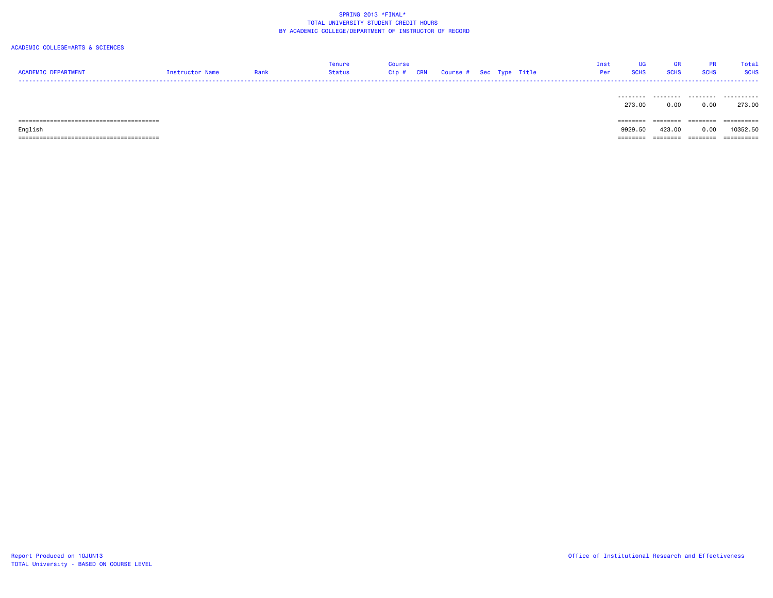| <b>ACADEMIC DEPARTMENT</b> | Instructor Name | Rank | Tenure<br>Status | Course<br>Cip # | CRN | Course # Sec Type Title |  | Inst<br>Per | UG<br><b>SCHS</b> | GR<br><b>SCHS</b> | <b>PR</b><br><b>SCHS</b> | Total<br><b>SCHS</b> |
|----------------------------|-----------------|------|------------------|-----------------|-----|-------------------------|--|-------------|-------------------|-------------------|--------------------------|----------------------|
|                            |                 |      |                  |                 |     |                         |  |             | .<br>273.00       | .<br>0.00         | .<br>0.00                | .<br>273.00          |
|                            |                 |      |                  |                 |     |                         |  |             | ========          | ========          | ========                 | ==========           |
| English                    |                 |      |                  |                 |     |                         |  |             | 9929.50           | 423,00            | 0.00                     | 10352.50             |
|                            |                 |      |                  |                 |     |                         |  |             | ========          | ========          | ========                 | ==========           |
|                            |                 |      |                  |                 |     |                         |  |             |                   |                   |                          |                      |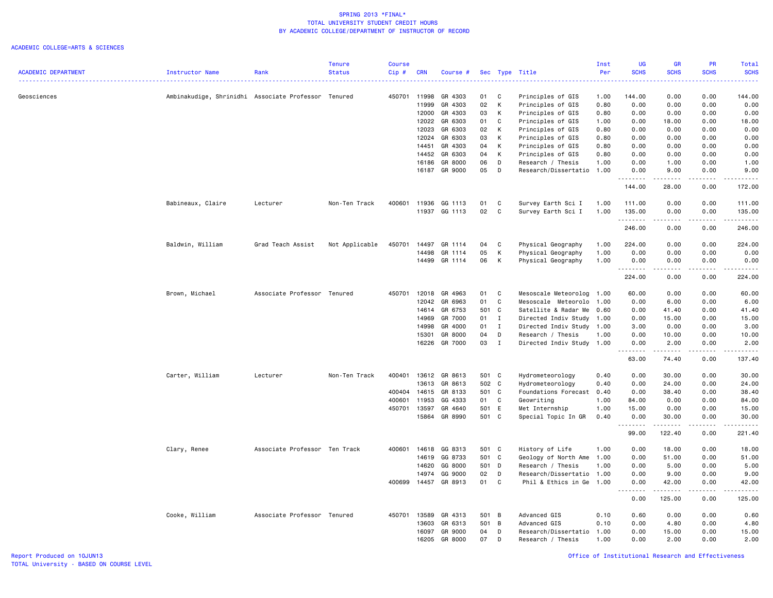|                            |                                                     |                               | Tenure         | <b>Course</b> |            |          |       |              |                           | Inst | <b>UG</b>                           | <b>GR</b>           | <b>PR</b>                    | <b>Total</b>               |
|----------------------------|-----------------------------------------------------|-------------------------------|----------------|---------------|------------|----------|-------|--------------|---------------------------|------|-------------------------------------|---------------------|------------------------------|----------------------------|
| <b>ACADEMIC DEPARTMENT</b> | Instructor Name                                     | Rank                          | <b>Status</b>  | $Cip$ #       | <b>CRN</b> | Course # |       |              | Sec Type Title            | Per  | <b>SCHS</b>                         | <b>SCHS</b>         | <b>SCHS</b>                  | <b>SCHS</b>                |
| Geosciences                | Ambinakudige, Shrinidhi Associate Professor Tenured |                               |                | 450701        | 11998      | GR 4303  | 01    | C            | Principles of GIS         | 1.00 | 144.00                              | 0.00                | 0.00                         | 144.00                     |
|                            |                                                     |                               |                |               | 11999      | GR 4303  | 02    | К            | Principles of GIS         | 0.80 | 0.00                                | 0.00                | 0.00                         | 0.00                       |
|                            |                                                     |                               |                |               | 12000      | GR 4303  | 03    | К            | Principles of GIS         | 0.80 | 0.00                                | 0.00                | 0.00                         | 0.00                       |
|                            |                                                     |                               |                |               | 12022      | GR 6303  | 01    | C            | Principles of GIS         | 1.00 | 0.00                                | 18.00               | 0.00                         | 18.00                      |
|                            |                                                     |                               |                |               | 12023      | GR 6303  | 02    | К            | Principles of GIS         | 0.80 | 0.00                                | 0.00                | 0.00                         | 0.00                       |
|                            |                                                     |                               |                |               | 12024      | GR 6303  | 03    | К            | Principles of GIS         | 0.80 | 0.00                                | 0.00                | 0.00                         | 0.00                       |
|                            |                                                     |                               |                |               | 14451      | GR 4303  | 04    | К            | Principles of GIS         | 0.80 | 0.00                                | 0.00                | 0.00                         | 0.00                       |
|                            |                                                     |                               |                |               | 14452      | GR 6303  | 04    | К            | Principles of GIS         | 0.80 | 0.00                                | 0.00                | 0.00                         | 0.00                       |
|                            |                                                     |                               |                |               | 16186      | GR 8000  | 06    | D            | Research / Thesis         | 1.00 | 0.00                                | 1.00                | 0.00                         | 1.00                       |
|                            |                                                     |                               |                |               | 16187      | GR 9000  | 05    | D            | Research/Dissertatio      | 1.00 | 0.00<br>.                           | 9.00<br>.           | 0.00<br>.                    | 9.00<br>.                  |
|                            |                                                     |                               |                |               |            |          |       |              |                           |      | 144.00                              | 28.00               | 0.00                         | 172.00                     |
|                            | Babineaux, Claire                                   | Lecturer                      | Non-Ten Track  | 400601        | 11936      | GG 1113  | 01    | C            | Survey Earth Sci I        | 1.00 | 111.00                              | 0.00                | 0.00                         | 111.00                     |
|                            |                                                     |                               |                |               | 11937      | GG 1113  | 02    | C            | Survey Earth Sci I        | 1.00 | 135.00<br>.                         | 0.00<br>.           | 0.00<br>.                    | 135.00<br>.                |
|                            |                                                     |                               |                |               |            |          |       |              |                           |      | 246.00                              | 0.00                | 0.00                         | 246.00                     |
|                            | Baldwin, William                                    | Grad Teach Assist             | Not Applicable | 450701        | 14497      | GR 1114  | 04    | C            | Physical Geography        | 1.00 | 224.00                              | 0.00                | 0.00                         | 224.00                     |
|                            |                                                     |                               |                |               | 14498      | GR 1114  | 05    | K            | Physical Geography        | 1.00 | 0.00                                | 0.00                | 0.00                         | 0.00                       |
|                            |                                                     |                               |                |               | 14499      | GR 1114  | 06    | К            | Physical Geography        | 1.00 | 0.00                                | 0.00                | 0.00<br>.                    | 0.00<br>.                  |
|                            |                                                     |                               |                |               |            |          |       |              |                           |      | 224.00                              | 0.00                | 0.00                         | 224.00                     |
|                            | Brown, Michael                                      | Associate Professor Tenured   |                | 450701        | 12018      | GR 4963  | 01    | C            | Mesoscale Meteorolog      | 1.00 | 60.00                               | 0.00                | 0.00                         | 60.00                      |
|                            |                                                     |                               |                |               | 12042      | GR 6963  | 01    | C            | Mesoscale Meteorolo       | 1.00 | 0.00                                | 6.00                | 0.00                         | 6.00                       |
|                            |                                                     |                               |                |               | 14614      | GR 6753  | 501 C |              | Satellite & Radar Me      | 0.60 | 0.00                                | 41.40               | 0.00                         | 41.40                      |
|                            |                                                     |                               |                |               | 14969      | GR 7000  | 01    | $\mathbf{I}$ | Directed Indiv Study      | 1.00 | 0.00                                | 15.00               | 0.00                         | 15.00                      |
|                            |                                                     |                               |                |               | 14998      | GR 4000  | 01    | $\mathbf I$  | Directed Indiv Study      | 1.00 | 3.00                                | 0.00                | 0.00                         | 3.00                       |
|                            |                                                     |                               |                |               | 15301      | GR 8000  | 04    | D            | Research / Thesis         | 1.00 | 0.00                                | 10.00               | 0.00                         | 10.00                      |
|                            |                                                     |                               |                |               | 16226      | GR 7000  | 03    | I            | Directed Indiv Study      | 1.00 | 0.00<br>د د د د                     | 2.00<br>.           | 0.00<br>$\frac{1}{2}$        | 2.00<br>.                  |
|                            |                                                     |                               |                |               |            |          |       |              |                           |      | 63.00                               | 74.40               | 0.00                         | 137.40                     |
|                            | Carter, William                                     | Lecturer                      | Non-Ten Track  | 400401        | 13612      | GR 8613  | 501 C |              | Hydrometeorology          | 0.40 | 0.00                                | 30.00               | 0.00                         | 30.00                      |
|                            |                                                     |                               |                |               | 13613      | GR 8613  | 502 C |              | Hydrometeorology          | 0.40 | 0.00                                | 24.00               | 0.00                         | 24.00                      |
|                            |                                                     |                               |                | 400404        | 14615      | GR 8133  | 501 C |              | Foundations Forecast 0.40 |      | 0.00                                | 38.40               | 0.00                         | 38.40                      |
|                            |                                                     |                               |                | 400601        | 11953      | GG 4333  | 01    | $\mathbf c$  | Geowriting                | 1.00 | 84.00                               | 0.00                | 0.00                         | 84.00                      |
|                            |                                                     |                               |                | 450701        | 13597      | GR 4640  | 501 E |              | Met Internship            | 1.00 | 15.00                               | 0.00                | 0.00                         | 15.00                      |
|                            |                                                     |                               |                |               | 15864      | GR 8990  | 501 C |              | Special Topic In GR       | 0.40 | 0.00<br><u>.</u>                    | 30.00<br>. <b>.</b> | 0.00<br>.                    | 30.00<br>.                 |
|                            |                                                     |                               |                |               |            |          |       |              |                           |      | 99.00                               | 122.40              | 0.00                         | 221.40                     |
|                            | Clary, Renee                                        | Associate Professor Ten Track |                | 400601        | 14618      | GG 8313  | 501 C |              | History of Life           | 1.00 | 0.00                                | 18.00               | 0.00                         | 18.00                      |
|                            |                                                     |                               |                |               | 14619      | GG 8733  | 501 C |              | Geology of North Ame      | 1.00 | 0.00                                | 51.00               | 0.00                         | 51.00                      |
|                            |                                                     |                               |                |               | 14620      | GG 8000  | 501   | D            | Research / Thesis         | 1.00 | 0.00                                | 5.00                | 0.00                         | 5.00                       |
|                            |                                                     |                               |                |               | 14974      | GG 9000  | 02    | D            | Research/Dissertatio      | 1.00 | 0.00                                | 9.00                | 0.00                         | 9.00                       |
|                            |                                                     |                               |                | 400699        | 14457      | GR 8913  | 01    | C            | Phil & Ethics in Ge       | 1.00 | 0.00<br>$\sim$ $\sim$ $\sim$ $\sim$ | 42.00<br>د د د د د  | 0.00<br>$\sim$ $\sim$ $\sim$ | 42.00<br>المالم المالية ال |
|                            |                                                     |                               |                |               |            |          |       |              |                           |      | 0.00                                | 125.00              | 0.00                         | 125.00                     |
|                            | Cooke, William                                      | Associate Professor Tenured   |                | 450701        | 13589      | GR 4313  | 501 B |              | Advanced GIS              | 0.10 | 0.60                                | 0.00                | 0.00                         | 0.60                       |
|                            |                                                     |                               |                |               | 13603      | GR 6313  | 501 B |              | Advanced GIS              | 0.10 | 0.00                                | 4.80                | 0.00                         | 4.80                       |
|                            |                                                     |                               |                |               | 16097      | GR 9000  | 04    | D            | Research/Dissertatio      | 1.00 | 0.00                                | 15.00               | 0.00                         | 15.00                      |
|                            |                                                     |                               |                |               | 16205      | GR 8000  | 07    | D            | Research / Thesis         | 1.00 | 0.00                                | 2.00                | 0.00                         | 2.00                       |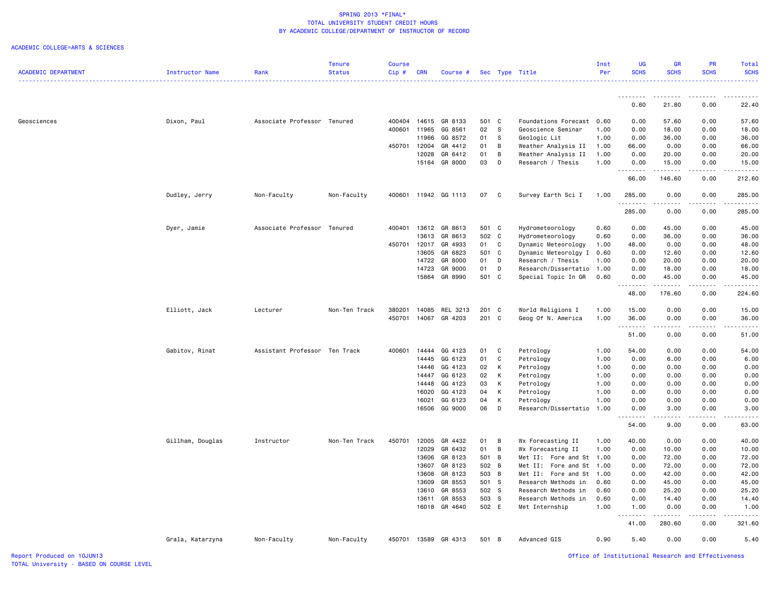|                            |                  |                               | <b>Tenure</b> | <b>Course</b> |                |                    |                |     |                           | Inst         | <b>UG</b>            | <b>GR</b>                                                                                                                                                                                                                                                                                                                                    | <b>PR</b>    | Total         |
|----------------------------|------------------|-------------------------------|---------------|---------------|----------------|--------------------|----------------|-----|---------------------------|--------------|----------------------|----------------------------------------------------------------------------------------------------------------------------------------------------------------------------------------------------------------------------------------------------------------------------------------------------------------------------------------------|--------------|---------------|
| <b>ACADEMIC DEPARTMENT</b> | Instructor Name  | Rank                          | <b>Status</b> | Cip#          | <b>CRN</b>     | Course #           |                |     | Sec Type Title            | Per          | <b>SCHS</b>          | <b>SCHS</b>                                                                                                                                                                                                                                                                                                                                  | <b>SCHS</b>  | <b>SCHS</b>   |
|                            |                  |                               |               |               |                |                    |                |     |                           |              |                      |                                                                                                                                                                                                                                                                                                                                              |              | .             |
|                            |                  |                               |               |               |                |                    |                |     |                           |              | .                    | .                                                                                                                                                                                                                                                                                                                                            | .            | .             |
|                            |                  |                               |               |               |                |                    |                |     |                           |              | 0.60                 | 21.80                                                                                                                                                                                                                                                                                                                                        | 0.00         | 22.40         |
| Geosciences                | Dixon, Paul      | Associate Professor Tenured   |               | 400404        | 14615          | GR 8133            | 501 C          |     | Foundations Forecast 0.60 |              | 0.00                 | 57.60                                                                                                                                                                                                                                                                                                                                        | 0.00         | 57.60         |
|                            |                  |                               |               | 400601        | 11965          | GG 8561            | 02             | s   | Geoscience Seminar        | 1.00         | 0.00                 | 18.00                                                                                                                                                                                                                                                                                                                                        | 0.00         | 18.00         |
|                            |                  |                               |               |               | 11966          | GG 8572            | 01             | S   | Geologic Lit              | 1.00         | 0.00                 | 36.00                                                                                                                                                                                                                                                                                                                                        | 0.00         | 36.00         |
|                            |                  |                               |               | 450701        | 12004          | GR 4412            | 01             | В   | Weather Analysis II       | 1.00         | 66.00                | 0.00                                                                                                                                                                                                                                                                                                                                         | 0.00         | 66.00         |
|                            |                  |                               |               |               | 12028          | GR 6412            | 01             | B   | Weather Analysis II       | 1.00         | 0.00                 | 20.00                                                                                                                                                                                                                                                                                                                                        | 0.00         | 20.00         |
|                            |                  |                               |               |               | 15164          | GR 8000            | 03             | D   | Research / Thesis         | 1.00         | 0.00<br>.            | 15.00<br>.                                                                                                                                                                                                                                                                                                                                   | 0.00<br>.    | 15.00<br>.    |
|                            |                  |                               |               |               |                |                    |                |     |                           |              | 66.00                | 146.60                                                                                                                                                                                                                                                                                                                                       | 0.00         | 212.60        |
|                            |                  |                               |               |               |                |                    |                |     |                           |              |                      |                                                                                                                                                                                                                                                                                                                                              |              |               |
|                            | Dudley, Jerry    | Non-Faculty                   | Non-Faculty   | 400601        |                | 11942 GG 1113      | 07             | C   | Survey Earth Sci I        | 1.00         | 285.00<br>.          | 0.00<br>$\frac{1}{2} \left( \begin{array}{ccc} 1 & 0 & 0 & 0 \\ 0 & 0 & 0 & 0 \\ 0 & 0 & 0 & 0 \\ 0 & 0 & 0 & 0 \\ 0 & 0 & 0 & 0 \\ 0 & 0 & 0 & 0 \\ 0 & 0 & 0 & 0 \\ 0 & 0 & 0 & 0 \\ 0 & 0 & 0 & 0 \\ 0 & 0 & 0 & 0 \\ 0 & 0 & 0 & 0 & 0 \\ 0 & 0 & 0 & 0 & 0 \\ 0 & 0 & 0 & 0 & 0 \\ 0 & 0 & 0 & 0 & 0 \\ 0 & 0 & 0 & 0 & 0 \\ 0 & 0 & 0$ | 0.00<br>.    | 285.00<br>.   |
|                            |                  |                               |               |               |                |                    |                |     |                           |              | 285.00               | 0.00                                                                                                                                                                                                                                                                                                                                         | 0.00         | 285.00        |
|                            | Dyer, Jamie      | Associate Professor           | Tenured       | 400401        | 13612          | GR 8613            | 501 C          |     | Hydrometeorology          | 0.60         | 0.00                 | 45.00                                                                                                                                                                                                                                                                                                                                        | 0.00         | 45.00         |
|                            |                  |                               |               |               | 13613          | GR 8613            | 502 C          |     | Hydrometeorology          | 0.60         | 0.00                 | 36.00                                                                                                                                                                                                                                                                                                                                        | 0.00         | 36.00         |
|                            |                  |                               |               | 450701        | 12017          | GR 4933            | 01             | C   | Dynamic Meteorology       | 1.00         | 48.00                | 0.00                                                                                                                                                                                                                                                                                                                                         | 0.00         | 48.00         |
|                            |                  |                               |               |               | 13605          | GR 6823            | 501 C          |     | Dynamic Meteorolgy I      | 0.60         | 0.00                 | 12.60                                                                                                                                                                                                                                                                                                                                        | 0.00         | 12.60         |
|                            |                  |                               |               |               | 14722          | GR 8000            | 01             | D   | Research / Thesis         | 1.00         | 0.00                 | 20.00                                                                                                                                                                                                                                                                                                                                        | 0.00         | 20.00         |
|                            |                  |                               |               |               | 14723          | GR 9000            | 01             | D   | Research/Dissertatio      | 1.00         | 0.00                 | 18.00                                                                                                                                                                                                                                                                                                                                        | 0.00         | 18.00         |
|                            |                  |                               |               |               | 15864          | GR 8990            | 501 C          |     | Special Topic In GR       | 0.60         | 0.00                 | 45.00                                                                                                                                                                                                                                                                                                                                        | 0.00<br>.    | 45.00<br>.    |
|                            |                  |                               |               |               |                |                    |                |     |                           |              | .<br>48.00           | $\begin{array}{cccccccccc} \bullet & \bullet & \bullet & \bullet & \bullet & \bullet & \bullet & \bullet \end{array}$<br>176.60                                                                                                                                                                                                              | 0.00         | 224.60        |
|                            | Elliott, Jack    | Lecturer                      | Non-Ten Track | 380201        | 14085          | REL 3213           | 201            | C   | World Religions I         | 1.00         | 15.00                | 0.00                                                                                                                                                                                                                                                                                                                                         | 0.00         | 15.00         |
|                            |                  |                               |               | 450701        | 14067          | GR 4203            | 201 C          |     | Geog Of N. America        | 1.00         | 36.00                | 0.00                                                                                                                                                                                                                                                                                                                                         | 0.00         | 36.00         |
|                            |                  |                               |               |               |                |                    |                |     |                           |              | د د د د د<br>51.00   | 0.00                                                                                                                                                                                                                                                                                                                                         | .<br>0.00    | .<br>51.00    |
|                            | Gabitov, Rinat   | Assistant Professor Ten Track |               | 400601        | 14444          | GG 4123            | 01             | C   | Petrology                 | 1.00         | 54.00                | 0.00                                                                                                                                                                                                                                                                                                                                         | 0.00         | 54.00         |
|                            |                  |                               |               |               | 14445          | GG 6123            | 01             | C   | Petrology                 | 1.00         | 0.00                 | 6.00                                                                                                                                                                                                                                                                                                                                         | 0.00         | 6.00          |
|                            |                  |                               |               |               | 14446          | GG 4123            | 02             | К   | Petrology                 | 1.00         | 0.00                 | 0.00                                                                                                                                                                                                                                                                                                                                         | 0.00         | 0.00          |
|                            |                  |                               |               |               | 14447          | GG 6123            | 02             | К   | Petrology                 | 1.00         | 0.00                 | 0.00                                                                                                                                                                                                                                                                                                                                         | 0.00         | 0.00          |
|                            |                  |                               |               |               | 14448          | GG 4123            | 03             | К   | Petrology                 | 1.00         | 0.00                 | 0.00                                                                                                                                                                                                                                                                                                                                         | 0.00         | 0.00          |
|                            |                  |                               |               |               | 16020          | GG 4123            | 04             | К   | Petrology                 | 1.00         | 0.00                 | 0.00                                                                                                                                                                                                                                                                                                                                         | 0.00         | 0.00          |
|                            |                  |                               |               |               | 16021          | GG 6123            | 04             | К   | Petrology                 | 1.00         | 0.00                 | 0.00                                                                                                                                                                                                                                                                                                                                         | 0.00         | 0.00          |
|                            |                  |                               |               |               | 16506          | GG 9000            | 06             | D   | Research/Dissertatio      | 1.00         | 0.00<br>.            | 3.00<br>.                                                                                                                                                                                                                                                                                                                                    | 0.00<br>.    | 3.00<br>.     |
|                            |                  |                               |               |               |                |                    |                |     |                           |              | 54.00                | 9.00                                                                                                                                                                                                                                                                                                                                         | 0.00         | 63.00         |
|                            | Gillham, Douglas | Instructor                    | Non-Ten Track | 450701        | 12005          | GR 4432            | 01             | B   | Wx Forecasting II         | 1.00         | 40.00                | 0.00                                                                                                                                                                                                                                                                                                                                         | 0.00         | 40.00         |
|                            |                  |                               |               |               | 12029          | GR 6432            | 01             | B   | Wx Forecasting II         | 1.00         | 0.00                 | 10.00                                                                                                                                                                                                                                                                                                                                        | 0.00         | 10.00         |
|                            |                  |                               |               |               | 13606          | GR 8123            | 501 B          |     | Met II: Fore and St       | 1.00         | 0.00                 | 72.00                                                                                                                                                                                                                                                                                                                                        | 0.00         | 72.00         |
|                            |                  |                               |               |               | 13607          | GR 8123            | 502 B          |     | Met II: Fore and St       | 1.00         | 0.00                 | 72.00                                                                                                                                                                                                                                                                                                                                        | 0.00         | 72.00         |
|                            |                  |                               |               |               | 13608          | GR 8123            | 503 B          |     | Met II: Fore and St       | 1.00         | 0.00                 | 42.00                                                                                                                                                                                                                                                                                                                                        | 0.00         | 42.00         |
|                            |                  |                               |               |               | 13609          | GR 8553            | 501 S          |     | Research Methods in       | 0.60         | 0.00                 | 45.00                                                                                                                                                                                                                                                                                                                                        | 0.00         | 45.00         |
|                            |                  |                               |               |               | 13610          | GR 8553            | 502 S          |     | Research Methods in       | 0.60         | 0.00                 | 25.20                                                                                                                                                                                                                                                                                                                                        | 0.00         | 25.20         |
|                            |                  |                               |               |               | 13611<br>16018 | GR 8553<br>GR 4640 | 503 S<br>502 E |     | Research Methods in       | 0.60<br>1.00 | 0.00<br>1.00         | 14.40<br>0.00                                                                                                                                                                                                                                                                                                                                | 0.00<br>0.00 | 14.40<br>1.00 |
|                            |                  |                               |               |               |                |                    |                |     | Met Internship            |              | .<br>$\sim$ $\sim$ . | .                                                                                                                                                                                                                                                                                                                                            | .            | .             |
|                            |                  |                               |               |               |                |                    |                |     |                           |              | 41.00                | 280.60                                                                                                                                                                                                                                                                                                                                       | 0.00         | 321.60        |
|                            | Grala, Katarzyna | Non-Faculty                   | Non-Faculty   | 450701        | 13589          | GR 4313            | 501            | - B | Advanced GIS              | 0.90         | 5.40                 | 0.00                                                                                                                                                                                                                                                                                                                                         | 0.00         | 5.40          |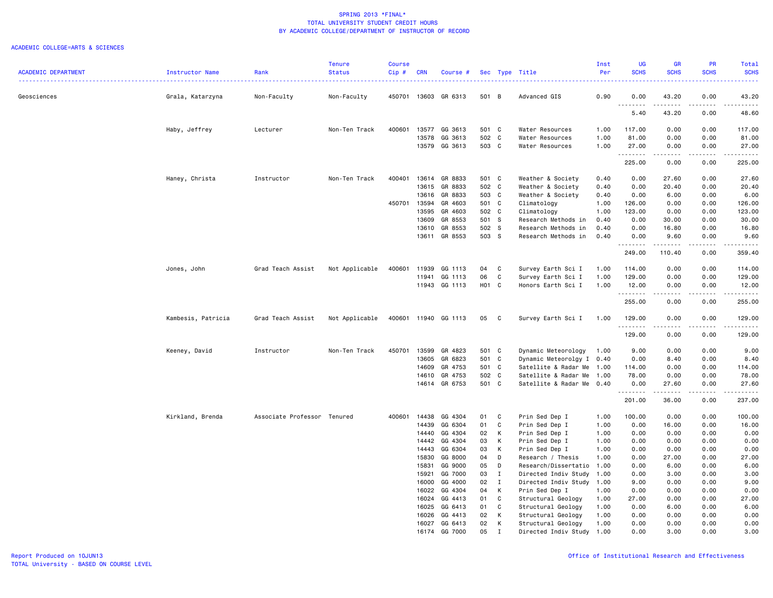|                            |                    |                             | <b>Tenure</b>  | Course |                |                      |                |              |                                    | Inst         | <b>UG</b>   | <b>GR</b>                      | PR           | <b>Total</b>         |
|----------------------------|--------------------|-----------------------------|----------------|--------|----------------|----------------------|----------------|--------------|------------------------------------|--------------|-------------|--------------------------------|--------------|----------------------|
| <b>ACADEMIC DEPARTMENT</b> | Instructor Name    | Rank                        | <b>Status</b>  | Cip#   | <b>CRN</b>     | Course #             |                |              | Sec Type Title                     | Per          | <b>SCHS</b> | <b>SCHS</b>                    | <b>SCHS</b>  | <b>SCHS</b>          |
| Geosciences                | Grala, Katarzyna   | Non-Faculty                 | Non-Faculty    |        |                | 450701 13603 GR 6313 | 501 B          |              | Advanced GIS                       | 0.90         | 0.00        | 43.20                          | 0.00         | 43.20                |
|                            |                    |                             |                |        |                |                      |                |              |                                    |              | 5.40        | 43.20                          | 0.00         | 48.60                |
|                            |                    |                             |                |        |                |                      |                |              |                                    |              |             |                                |              |                      |
|                            | Haby, Jeffrey      | Lecturer                    | Non-Ten Track  | 400601 | 13577          | GG 3613              | 501 C          |              | Water Resources                    | 1.00         | 117.00      | 0.00                           | 0.00         | 117.00               |
|                            |                    |                             |                |        | 13578<br>13579 | GG 3613<br>GG 3613   | 502 C<br>503 C |              | Water Resources<br>Water Resources | 1.00<br>1.00 | 81.00       | 0.00                           | 0.00<br>0.00 | 81.00<br>27.00       |
|                            |                    |                             |                |        |                |                      |                |              |                                    |              | 27.00<br>.  | 0.00<br><b><i><u>.</u></i></b> | .            | .                    |
|                            |                    |                             |                |        |                |                      |                |              |                                    |              | 225.00      | 0.00                           | 0.00         | 225.00               |
|                            | Haney, Christa     | Instructor                  | Non-Ten Track  | 400401 | 13614          | GR 8833              | 501 C          |              | Weather & Society                  | 0.40         | 0.00        | 27.60                          | 0.00         | 27.60                |
|                            |                    |                             |                |        | 13615          | GR 8833              | 502 C          |              | Weather & Society                  | 0.40         | 0.00        | 20.40                          | 0.00         | 20.40                |
|                            |                    |                             |                |        | 13616          | GR 8833              | 503 C          |              | Weather & Society                  | 0.40         | 0.00        | 6.00                           | 0.00         | 6.00                 |
|                            |                    |                             |                | 450701 | 13594          | GR 4603              | 501 C          |              | Climatology                        | 1.00         | 126.00      | 0.00                           | 0.00         | 126.00               |
|                            |                    |                             |                |        | 13595          | GR 4603              | 502 C          |              | Climatology                        | 1.00         | 123.00      | 0.00                           | 0.00         | 123.00               |
|                            |                    |                             |                |        | 13609          | GR 8553              | 501 S          |              | Research Methods in                | 0.40         | 0.00        | 30.00                          | 0.00         | 30.00                |
|                            |                    |                             |                |        | 13610          | GR 8553              | 502 S          |              | Research Methods in                | 0.40         | 0.00        | 16.80                          | 0.00         | 16.80                |
|                            |                    |                             |                |        | 13611          | GR 8553              | 503 S          |              | Research Methods in                | 0.40         | 0.00        | 9.60                           | 0.00         | 9.60                 |
|                            |                    |                             |                |        |                |                      |                |              |                                    |              | 249.00      | 110.40                         | 0.00         | 359.40               |
|                            | Jones, John        | Grad Teach Assist           | Not Applicable | 400601 | 11939          | GG 1113              | 04             | C            | Survey Earth Sci I                 | 1.00         | 114.00      | 0.00                           | 0.00         | 114.00               |
|                            |                    |                             |                |        | 11941          | GG 1113              | 06             | C            | Survey Earth Sci I                 | 1.00         | 129.00      | 0.00                           | 0.00         | 129.00               |
|                            |                    |                             |                |        | 11943          | GG 1113              | <b>H01</b>     | C            | Honors Earth Sci I                 | 1.00         | 12.00       | 0.00                           | 0.00         | 12.00                |
|                            |                    |                             |                |        |                |                      |                |              |                                    |              | .<br>255.00 | .<br>0.00                      | .<br>0.00    | 2.2.2.2.2.<br>255.00 |
|                            | Kambesis, Patricia | Grad Teach Assist           | Not Applicable | 400601 |                | 11940 GG 1113        | 05             | C            | Survey Earth Sci I                 | 1.00         | 129.00      | 0.00                           | 0.00         | 129.00               |
|                            |                    |                             |                |        |                |                      |                |              |                                    |              | .<br>129.00 | .<br>0.00                      | .<br>0.00    | <u>.</u><br>129.00   |
|                            | Keeney, David      | Instructor                  | Non-Ten Track  | 450701 | 13599          | GR 4823              | 501 C          |              | Dynamic Meteorology                | 1.00         | 9.00        | 0.00                           | 0.00         | 9.00                 |
|                            |                    |                             |                |        | 13605          | GR 6823              | 501 C          |              | Dynamic Meteorolgy I 0.40          |              | 0.00        | 8.40                           | 0.00         | 8.40                 |
|                            |                    |                             |                |        | 14609          | GR 4753              | 501 C          |              | Satellite & Radar Me               | 1.00         | 114.00      | 0.00                           | 0.00         | 114.00               |
|                            |                    |                             |                |        | 14610          | GR 4753              | 502 C          |              | Satellite & Radar Me               | 1.00         | 78.00       | 0.00                           | 0.00         | 78.00                |
|                            |                    |                             |                |        |                | 14614 GR 6753        | 501 C          |              | Satellite & Radar Me 0.40          |              | 0.00        | 27.60                          | 0.00         | 27.60                |
|                            |                    |                             |                |        |                |                      |                |              |                                    |              | 201.00      | 36.00                          | 0.00         | 237.00               |
|                            | Kirkland, Brenda   | Associate Professor Tenured |                | 400601 | 14438          | GG 4304              | 01             | C            | Prin Sed Dep I                     | 1.00         | 100.00      | 0.00                           | 0.00         | 100.00               |
|                            |                    |                             |                |        | 14439          | GG 6304              | 01             | C            | Prin Sed Dep I                     | 1.00         | 0.00        | 16.00                          | 0.00         | 16.00                |
|                            |                    |                             |                |        | 14440          | GG 4304              | 02             | К            | Prin Sed Dep I                     | 1.00         | 0.00        | 0.00                           | 0.00         | 0.00                 |
|                            |                    |                             |                |        | 14442          | GG 4304              | 03             | К            | Prin Sed Dep I                     | 1.00         | 0.00        | 0.00                           | 0.00         | 0.00                 |
|                            |                    |                             |                |        | 14443          | GG 6304              | 03             | К            | Prin Sed Dep I                     | 1.00         | 0.00        | 0.00                           | 0.00         | 0.00                 |
|                            |                    |                             |                |        | 15830          | GG 8000              | 04             | D            | Research / Thesis                  | 1.00         | 0.00        | 27.00                          | 0.00         | 27.00                |
|                            |                    |                             |                |        | 15831          | GG 9000              | 05             | D            | Research/Dissertatio               | 1.00         | 0.00        | 6.00                           | 0.00         | 6.00                 |
|                            |                    |                             |                |        | 15921          | GG 7000              | 03             | I            | Directed Indiv Study               | 1.00         | 0.00        | 3.00                           | 0.00         | 3.00                 |
|                            |                    |                             |                |        | 16000          | GG 4000              | 02             | $\mathbf{I}$ | Directed Indiv Study               | 1.00         | 9.00        | 0.00                           | 0.00         | 9.00                 |
|                            |                    |                             |                |        | 16022          | GG 4304              | 04             | К            | Prin Sed Dep I                     | 1.00         | 0.00        | 0.00                           | 0.00         | 0.00                 |
|                            |                    |                             |                |        | 16024          | GG 4413              | 01             | C            | Structural Geology                 | 1.00         | 27.00       | 0.00                           | 0.00         | 27.00                |
|                            |                    |                             |                |        | 16025          | GG 6413              | 01             | C            | Structural Geology                 | 1.00         | 0.00        | 6.00                           | 0.00         | 6.00                 |
|                            |                    |                             |                |        | 16026          | GG 4413              | 02             | К            | Structural Geology                 | 1.00         | 0.00        | 0.00                           | 0.00         | 0.00                 |
|                            |                    |                             |                |        | 16027          | GG 6413              | 02             | К            | Structural Geology                 | 1.00         | 0.00        | 0.00                           | 0.00         | 0.00                 |
|                            |                    |                             |                |        | 16174          | GG 7000              | 05             | $\mathbf I$  | Directed Indiv Study 1.00          |              | 0.00        | 3.00                           | 0.00         | 3.00                 |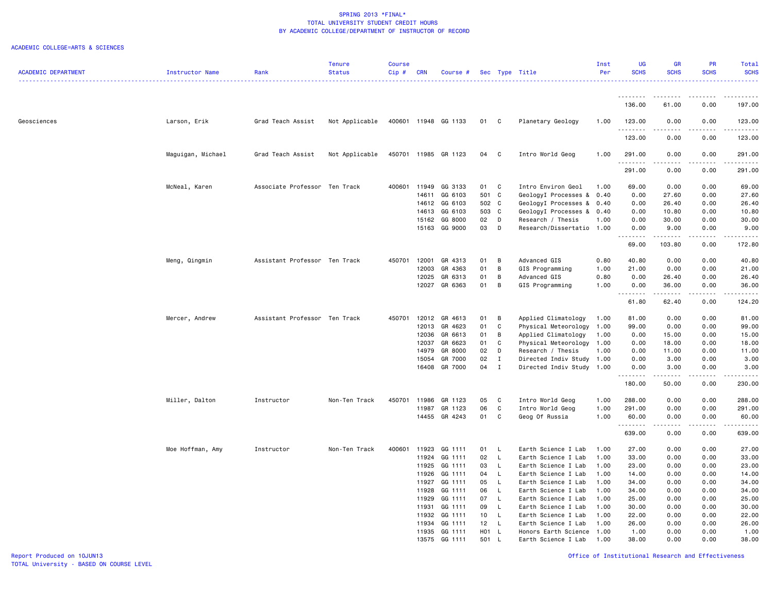| <b>ACADEMIC DEPARTMENT</b> | <b>Instructor Name</b> | Rank                          | <b>Tenure</b><br><b>Status</b> | <b>Course</b><br>Cip# | <b>CRN</b> | Course #             |       |              | Sec Type Title            | Inst<br>Per | <b>UG</b><br><b>SCHS</b> | <b>GR</b><br><b>SCHS</b>                                                                                                          | PR<br><b>SCHS</b> | Total<br><b>SCHS</b>                                        |
|----------------------------|------------------------|-------------------------------|--------------------------------|-----------------------|------------|----------------------|-------|--------------|---------------------------|-------------|--------------------------|-----------------------------------------------------------------------------------------------------------------------------------|-------------------|-------------------------------------------------------------|
|                            |                        |                               |                                |                       |            |                      |       |              |                           |             |                          |                                                                                                                                   |                   | .                                                           |
|                            |                        |                               |                                |                       |            |                      |       |              |                           |             | <u>.</u><br>136.00       | <u>.</u><br>61.00                                                                                                                 | 0.00              | 197.00                                                      |
|                            |                        |                               |                                |                       |            |                      |       |              |                           |             |                          |                                                                                                                                   |                   |                                                             |
| Geosciences                | Larson, Erik           | Grad Teach Assist             | Not Applicable                 |                       |            | 400601 11948 GG 1133 | 01    | C            | Planetary Geology         | 1.00        | 123.00<br>.              | 0.00<br>.                                                                                                                         | 0.00<br>-----     | 123.00<br>$\omega_{\alpha}=\omega_{\alpha}=\omega_{\alpha}$ |
|                            |                        |                               |                                |                       |            |                      |       |              |                           |             | 123.00                   | 0.00                                                                                                                              | 0.00              | 123.00                                                      |
|                            | Maguigan, Michael      | Grad Teach Assist             | Not Applicable                 |                       |            | 450701 11985 GR 1123 | 04    | C            | Intro World Geog          | 1.00        | 291.00<br>.              | 0.00<br>.                                                                                                                         | 0.00<br>.         | 291.00<br>.                                                 |
|                            |                        |                               |                                |                       |            |                      |       |              |                           |             | 291.00                   | 0.00                                                                                                                              | 0.00              | 291.00                                                      |
|                            | McNeal, Karen          | Associate Professor Ten Track |                                | 400601 11949          |            | GG 3133              | 01 C  |              | Intro Environ Geol        | 1.00        | 69.00                    | 0.00                                                                                                                              | 0.00              | 69.00                                                       |
|                            |                        |                               |                                |                       | 14611      | GG 6103              | 501 C |              | GeologyI Processes &      | 0.40        | 0.00                     | 27.60                                                                                                                             | 0.00              | 27.60                                                       |
|                            |                        |                               |                                |                       | 14612      | GG 6103              | 502 C |              | GeologyI Processes & 0.40 |             | 0.00                     | 26.40                                                                                                                             | 0.00              | 26.40                                                       |
|                            |                        |                               |                                |                       | 14613      | GG 6103              | 503 C |              | GeologyI Processes & 0.40 |             | 0.00                     | 10.80                                                                                                                             | 0.00              | 10.80                                                       |
|                            |                        |                               |                                |                       | 15162      | GG 8000              | 02    | D            | Research / Thesis         | 1.00        | 0.00                     | 30.00                                                                                                                             | 0.00              | 30.00                                                       |
|                            |                        |                               |                                |                       |            | 15163 GG 9000        | 03    | D            | Research/Dissertatio 1.00 |             | 0.00                     | 9.00                                                                                                                              | 0.00              | 9.00                                                        |
|                            |                        |                               |                                |                       |            |                      |       |              |                           |             | 69.00                    | 103.80                                                                                                                            | 0.00              | 172.80                                                      |
|                            | Meng, Qingmin          | Assistant Professor Ten Track |                                | 450701                | 12001      | GR 4313              | 01    | B            | Advanced GIS              | 0.80        | 40.80                    | 0.00                                                                                                                              | 0.00              | 40.80                                                       |
|                            |                        |                               |                                |                       | 12003      | GR 4363              | 01    | B            | GIS Programming           | 1.00        | 21.00                    | 0.00                                                                                                                              | 0.00              | 21.00                                                       |
|                            |                        |                               |                                |                       | 12025      | GR 6313              | 01    | B            | Advanced GIS              | 0.80        | 0.00                     | 26.40                                                                                                                             | 0.00              | 26.40                                                       |
|                            |                        |                               |                                |                       | 12027      | GR 6363              | 01    | B            | GIS Programming           | 1.00        | 0.00                     | 36.00                                                                                                                             | 0.00              | 36.00                                                       |
|                            |                        |                               |                                |                       |            |                      |       |              |                           |             | 61.80                    | $\frac{1}{2}$<br>62.40                                                                                                            | 0.00              | .<br>124.20                                                 |
|                            | Mercer, Andrew         | Assistant Professor Ten Track |                                | 450701                | 12012      | GR 4613              | 01    | B            | Applied Climatology       | 1.00        | 81.00                    | 0.00                                                                                                                              | 0.00              | 81.00                                                       |
|                            |                        |                               |                                |                       | 12013      | GR 4623              | 01    | C            | Physical Meteorology      | 1.00        | 99.00                    | 0.00                                                                                                                              | 0.00              | 99.00                                                       |
|                            |                        |                               |                                |                       | 12036      | GR 6613              | 01    | B            | Applied Climatology       | 1.00        | 0.00                     | 15.00                                                                                                                             | 0.00              | 15.00                                                       |
|                            |                        |                               |                                |                       | 12037      | GR 6623              | 01    | C            | Physical Meteorology      | 1.00        | 0.00                     | 18.00                                                                                                                             | 0.00              | 18.00                                                       |
|                            |                        |                               |                                |                       | 14979      | GR 8000              | 02    | D            | Research / Thesis         | 1.00        | 0.00                     | 11.00                                                                                                                             | 0.00              | 11.00                                                       |
|                            |                        |                               |                                |                       | 15054      | GR 7000              | 02    | $\mathbf I$  | Directed Indiv Study 1.00 |             | 0.00                     | 3.00                                                                                                                              | 0.00              | 3.00                                                        |
|                            |                        |                               |                                |                       | 16408      | GR 7000              | 04    | $\mathbf{I}$ | Directed Indiv Study      | 1.00        | 0.00                     | 3.00                                                                                                                              | 0.00              | 3.00                                                        |
|                            |                        |                               |                                |                       |            |                      |       |              |                           |             | .<br>180.00              | .<br>50.00                                                                                                                        | .<br>0.00         | .<br>230.00                                                 |
|                            | Miller, Dalton         | Instructor                    | Non-Ten Track                  | 450701                | 11986      | GR 1123              | 05    | C            | Intro World Geog          | 1.00        | 288.00                   | 0.00                                                                                                                              | 0.00              | 288.00                                                      |
|                            |                        |                               |                                |                       | 11987      | GR 1123              | 06    | C            | Intro World Geog          | 1.00        | 291.00                   | 0.00                                                                                                                              | 0.00              | 291.00                                                      |
|                            |                        |                               |                                |                       |            | 14455 GR 4243        | 01 C  |              | Geog Of Russia            | 1.00        | 60.00<br>.               | 0.00<br>$\frac{1}{2} \left( \frac{1}{2} \right) \left( \frac{1}{2} \right) \left( \frac{1}{2} \right) \left( \frac{1}{2} \right)$ | 0.00<br>.         | 60.00                                                       |
|                            |                        |                               |                                |                       |            |                      |       |              |                           |             | 639.00                   | 0.00                                                                                                                              | 0.00              | 639.00                                                      |
|                            | Moe Hoffman, Amy       | Instructor                    | Non-Ten Track                  | 400601 11923          |            | GG 1111              | 01 L  |              | Earth Science I Lab       | 1.00        | 27.00                    | 0.00                                                                                                                              | 0.00              | 27.00                                                       |
|                            |                        |                               |                                |                       | 11924      | GG 1111              | 02    | $\mathsf{L}$ | Earth Science I Lab       | 1.00        | 33.00                    | 0.00                                                                                                                              | 0.00              | 33.00                                                       |
|                            |                        |                               |                                |                       | 11925      | GG 1111              | 03    | $\mathsf{L}$ | Earth Science I Lab       | 1.00        | 23.00                    | 0.00                                                                                                                              | 0.00              | 23.00                                                       |
|                            |                        |                               |                                |                       | 11926      | GG 1111              | 04    | $\mathsf{L}$ | Earth Science I Lab       | 1.00        | 14.00                    | 0.00                                                                                                                              | 0.00              | 14.00                                                       |
|                            |                        |                               |                                |                       | 11927      | GG 1111              | 05    | $\mathsf{L}$ | Earth Science I Lab       | 1.00        | 34.00                    | 0.00                                                                                                                              | 0.00              | 34.00                                                       |
|                            |                        |                               |                                |                       | 11928      | GG 1111              | 06    | - L          | Earth Science I Lab       | 1.00        | 34.00                    | 0.00                                                                                                                              | 0.00              | 34.00                                                       |
|                            |                        |                               |                                |                       | 11929      | GG 1111              | 07    | $\mathsf{L}$ | Earth Science I Lab       | 1.00        | 25.00                    | 0.00                                                                                                                              | 0.00              | 25.00                                                       |
|                            |                        |                               |                                |                       | 11931      | GG 1111              | 09    | L.           | Earth Science I Lab       | 1.00        | 30.00                    | 0.00                                                                                                                              | 0.00              | 30.00                                                       |
|                            |                        |                               |                                |                       | 11932      | GG 1111              | 10    | $\mathsf{L}$ | Earth Science I Lab       | 1.00        | 22.00                    | 0.00                                                                                                                              | 0.00              | 22.00                                                       |
|                            |                        |                               |                                |                       | 11934      | GG 1111              | 12    | $\mathsf{L}$ | Earth Science I Lab       | 1.00        | 26.00                    | 0.00                                                                                                                              | 0.00              | 26.00                                                       |
|                            |                        |                               |                                |                       |            | 11935 GG 1111        | H01 L |              | Honors Earth Science 1.00 |             | 1.00                     | 0.00                                                                                                                              | 0.00              | 1.00                                                        |
|                            |                        |                               |                                |                       |            | 13575 GG 1111        | 501 L |              | Earth Science I Lab       | 1.00        | 38.00                    | 0.00                                                                                                                              | 0.00              | 38,00                                                       |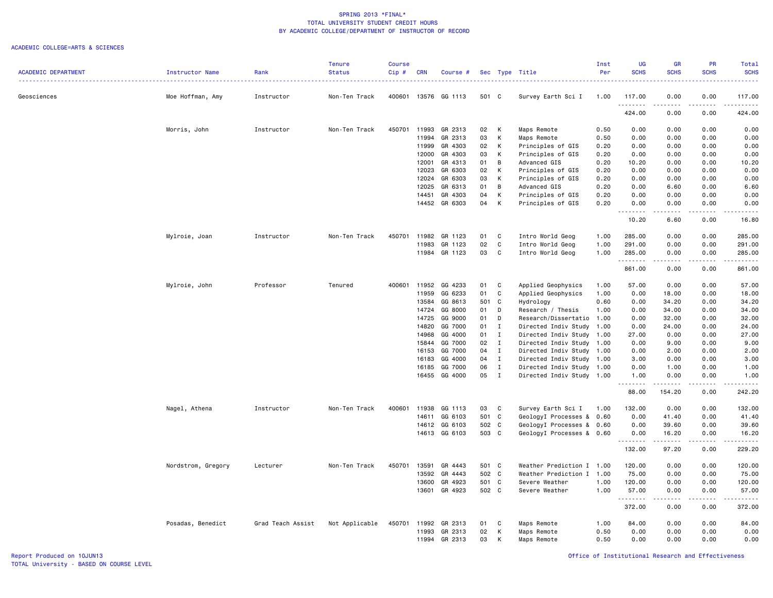|                            |                    |                   | <b>Tenure</b>  | Course |            |               |       |              |                           | Inst | UG                                    | <b>GR</b>   | <b>PR</b>             | Total                                                                                                                                                                                    |
|----------------------------|--------------------|-------------------|----------------|--------|------------|---------------|-------|--------------|---------------------------|------|---------------------------------------|-------------|-----------------------|------------------------------------------------------------------------------------------------------------------------------------------------------------------------------------------|
| <b>ACADEMIC DEPARTMENT</b> | Instructor Name    | Rank              | <b>Status</b>  | Cip#   | <b>CRN</b> | Course #      |       |              | Sec Type Title            | Per  | <b>SCHS</b>                           | <b>SCHS</b> | <b>SCHS</b>           | <b>SCHS</b>                                                                                                                                                                              |
| Geosciences                | Moe Hoffman, Amy   | Instructor        | Non-Ten Track  | 400601 |            | 13576 GG 1113 | 501 C |              | Survey Earth Sci I        | 1.00 | 117.00                                | 0.00        | 0.00                  | 117.00                                                                                                                                                                                   |
|                            |                    |                   |                |        |            |               |       |              |                           |      | .<br>424.00                           | .<br>0.00   | .<br>0.00             | 2.2.2.2.2.3<br>424.00                                                                                                                                                                    |
|                            | Morris, John       | Instructor        | Non-Ten Track  | 450701 | 11993      | GR 2313       | 02    | К            | Maps Remote               | 0.50 | 0.00                                  | 0.00        | 0.00                  | 0.00                                                                                                                                                                                     |
|                            |                    |                   |                |        | 11994      | GR 2313       | 03    | К            | Maps Remote               | 0.50 | 0.00                                  | 0.00        | 0.00                  | 0.00                                                                                                                                                                                     |
|                            |                    |                   |                |        | 11999      | GR 4303       | 02    | К            | Principles of GIS         | 0.20 | 0.00                                  | 0.00        | 0.00                  | 0.00                                                                                                                                                                                     |
|                            |                    |                   |                |        | 12000      | GR 4303       | 03    | К            | Principles of GIS         | 0.20 | 0.00                                  | 0.00        | 0.00                  | 0.00                                                                                                                                                                                     |
|                            |                    |                   |                |        | 12001      | GR 4313       | 01    | В            | Advanced GIS              | 0.20 | 10.20                                 | 0.00        | 0.00                  | 10.20                                                                                                                                                                                    |
|                            |                    |                   |                |        | 12023      | GR 6303       | 02    | К            | Principles of GIS         | 0.20 | 0.00                                  | 0.00        | 0.00                  | 0.00                                                                                                                                                                                     |
|                            |                    |                   |                |        | 12024      | GR 6303       | 03    | К            | Principles of GIS         | 0.20 | 0.00                                  | 0.00        | 0.00                  | 0.00                                                                                                                                                                                     |
|                            |                    |                   |                |        | 12025      | GR 6313       | 01    | В            | Advanced GIS              | 0.20 | 0.00                                  | 6.60        | 0.00                  | 6.60                                                                                                                                                                                     |
|                            |                    |                   |                |        | 14451      | GR 4303       | 04    | К            | Principles of GIS         | 0.20 | 0.00                                  | 0.00        | 0.00                  | 0.00                                                                                                                                                                                     |
|                            |                    |                   |                |        | 14452      | GR 6303       | 04    | К            | Principles of GIS         | 0.20 | 0.00<br>.                             | 0.00<br>.   | 0.00<br>.             | 0.00<br>$\frac{1}{2} \left( \frac{1}{2} \right) \left( \frac{1}{2} \right) \left( \frac{1}{2} \right) \left( \frac{1}{2} \right) \left( \frac{1}{2} \right)$                             |
|                            |                    |                   |                |        |            |               |       |              |                           |      | 10.20                                 | 6.60        | 0.00                  | 16.80                                                                                                                                                                                    |
|                            | Mylroie, Joan      | Instructor        | Non-Ten Track  | 450701 | 11982      | GR 1123       | 01    | C            | Intro World Geog          | 1.00 | 285.00                                | 0.00        | 0.00                  | 285.00                                                                                                                                                                                   |
|                            |                    |                   |                |        | 11983      | GR 1123       | 02    | $\mathbb{C}$ | Intro World Geog          | 1.00 | 291.00                                | 0.00        | 0.00                  | 291.00                                                                                                                                                                                   |
|                            |                    |                   |                |        | 11984      | GR 1123       | 03    | C            | Intro World Geog          | 1.00 | 285.00<br>.                           | 0.00        | 0.00<br>$\frac{1}{2}$ | 285.00<br>.                                                                                                                                                                              |
|                            |                    |                   |                |        |            |               |       |              |                           |      | 861.00                                | 0.00        | 0.00                  | 861.00                                                                                                                                                                                   |
|                            | Mylroie, John      | Professor         | Tenured        | 400601 | 11952      | GG 4233       | 01    | C            | Applied Geophysics        | 1.00 | 57.00                                 | 0.00        | 0.00                  | 57.00                                                                                                                                                                                    |
|                            |                    |                   |                |        | 11959      | GG 6233       | 01    | $\mathbb{C}$ | Applied Geophysics        | 1.00 | 0.00                                  | 18.00       | 0.00                  | 18.00                                                                                                                                                                                    |
|                            |                    |                   |                |        | 13584      | GG 8613       | 501 C |              | Hydrology                 | 0.60 | 0.00                                  | 34.20       | 0.00                  | 34.20                                                                                                                                                                                    |
|                            |                    |                   |                |        | 14724      | GG 8000       | 01    | D            | Research / Thesis         | 1.00 | 0.00                                  | 34.00       | 0.00                  | 34.00                                                                                                                                                                                    |
|                            |                    |                   |                |        | 14725      | GG 9000       | 01    | D            | Research/Dissertatio      | 1.00 | 0.00                                  | 32.00       | 0.00                  | 32.00                                                                                                                                                                                    |
|                            |                    |                   |                |        | 14820      | GG 7000       | 01    | Ι.           | Directed Indiv Study      | 1.00 | 0.00                                  | 24.00       | 0.00                  | 24.00                                                                                                                                                                                    |
|                            |                    |                   |                |        | 14968      | GG 4000       | 01    | $\mathbf I$  | Directed Indiv Study      | 1.00 | 27.00                                 | 0.00        | 0.00                  | 27.00                                                                                                                                                                                    |
|                            |                    |                   |                |        | 15844      | GG 7000       | 02    | $\mathbf{I}$ | Directed Indiv Study      | 1.00 | 0.00                                  | 9.00        | 0.00                  | 9.00                                                                                                                                                                                     |
|                            |                    |                   |                |        | 16153      | GG 7000       | 04    | $\mathbf I$  | Directed Indiv Study 1.00 |      | 0.00                                  | 2.00        | 0.00                  | 2.00                                                                                                                                                                                     |
|                            |                    |                   |                |        | 16183      | GG 4000       | 04    | $\mathbf I$  | Directed Indiv Study      | 1.00 | 3.00                                  | 0.00        | 0.00                  | 3.00                                                                                                                                                                                     |
|                            |                    |                   |                |        | 16185      | GG 7000       | 06    | $\mathbf I$  | Directed Indiv Study      | 1.00 | 0.00                                  | 1.00        | 0.00                  | 1.00                                                                                                                                                                                     |
|                            |                    |                   |                |        | 16455      | GG 4000       | 05    | $\mathbf{I}$ | Directed Indiv Study      | 1.00 | 1.00<br>-----<br>$\sim$ $\sim$ $\sim$ | 0.00        | 0.00<br>.             | 1.00<br>المالم المالية ال                                                                                                                                                                |
|                            |                    |                   |                |        |            |               |       |              |                           |      | 88.00                                 | 154.20      | 0.00                  | 242.20                                                                                                                                                                                   |
|                            | Nagel, Athena      | Instructor        | Non-Ten Track  | 400601 | 11938      | GG 1113       | 03    | C            | Survey Earth Sci I        | 1.00 | 132.00                                | 0.00        | 0.00                  | 132.00                                                                                                                                                                                   |
|                            |                    |                   |                |        | 14611      | GG 6103       | 501   | $\mathbf{C}$ | GeologyI Processes &      | 0.60 | 0.00                                  | 41.40       | 0.00                  | 41.40                                                                                                                                                                                    |
|                            |                    |                   |                |        | 14612      | GG 6103       | 502 C |              | GeologyI Processes & 0.60 |      | 0.00                                  | 39.60       | 0.00                  | 39.60                                                                                                                                                                                    |
|                            |                    |                   |                |        | 14613      | GG 6103       | 503 C |              | GeologyI Processes & 0.60 |      | 0.00<br>.                             | 16.20<br>.  | 0.00<br>2.2.2.2       | 16.20<br>.                                                                                                                                                                               |
|                            |                    |                   |                |        |            |               |       |              |                           |      | 132.00                                | 97.20       | 0.00                  | 229.20                                                                                                                                                                                   |
|                            | Nordstrom, Gregory | Lecturer          | Non-Ten Track  | 450701 | 13591      | GR 4443       | 501 C |              | Weather Prediction I 1.00 |      | 120.00                                | 0.00        | 0.00                  | 120.00                                                                                                                                                                                   |
|                            |                    |                   |                |        | 13592      | GR 4443       | 502 C |              | Weather Prediction I 1.00 |      | 75.00                                 | 0.00        | 0.00                  | 75.00                                                                                                                                                                                    |
|                            |                    |                   |                |        | 13600      | GR 4923       | 501 C |              | Severe Weather            | 1.00 | 120.00                                | 0.00        | 0.00                  | 120.00                                                                                                                                                                                   |
|                            |                    |                   |                |        | 13601      | GR 4923       | 502 C |              | Severe Weather            | 1.00 | 57.00<br><b><i><u></u></i></b>        | 0.00<br>.   | 0.00<br>.             | 57.00<br>$\frac{1}{2} \left( \frac{1}{2} \right) \left( \frac{1}{2} \right) \left( \frac{1}{2} \right) \left( \frac{1}{2} \right) \left( \frac{1}{2} \right) \left( \frac{1}{2} \right)$ |
|                            |                    |                   |                |        |            |               |       |              |                           |      | 372.00                                | 0.00        | 0.00                  | 372.00                                                                                                                                                                                   |
|                            | Posadas, Benedict  | Grad Teach Assist | Not Applicable | 450701 | 11992      | GR 2313       | 01    | C            | Maps Remote               | 1.00 | 84.00                                 | 0.00        | 0.00                  | 84.00                                                                                                                                                                                    |
|                            |                    |                   |                |        | 11993      | GR 2313       | 02    | К            | Maps Remote               | 0.50 | 0.00                                  | 0.00        | 0.00                  | 0.00                                                                                                                                                                                     |
|                            |                    |                   |                |        | 11994      | GR 2313       | 03    | К            | Maps Remote               | 0.50 | 0.00                                  | 0.00        | 0.00                  | 0.00                                                                                                                                                                                     |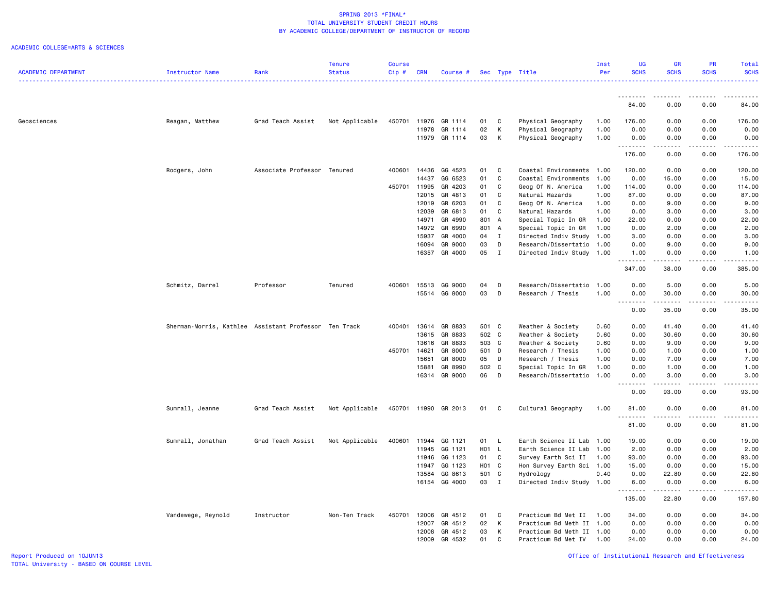### ACADEMIC COLLEGE=ARTS & SCIENCES

|                            |                                                       |                             | Tenure         | <b>Course</b> |            |               |       |              |                           | Inst | <b>UG</b>          | <b>GR</b>                                                                                                                                                    | <b>PR</b>   | Total                                                                                                                                                        |
|----------------------------|-------------------------------------------------------|-----------------------------|----------------|---------------|------------|---------------|-------|--------------|---------------------------|------|--------------------|--------------------------------------------------------------------------------------------------------------------------------------------------------------|-------------|--------------------------------------------------------------------------------------------------------------------------------------------------------------|
| <b>ACADEMIC DEPARTMENT</b> | Instructor Name                                       | Rank                        | <b>Status</b>  | Cip#          | <b>CRN</b> | Course #      |       |              | Sec Type Title            | Per  | <b>SCHS</b>        | <b>SCHS</b>                                                                                                                                                  | <b>SCHS</b> | <b>SCHS</b><br>.                                                                                                                                             |
|                            |                                                       |                             |                |               |            |               |       |              |                           |      | .                  | .                                                                                                                                                            | .           |                                                                                                                                                              |
|                            |                                                       |                             |                |               |            |               |       |              |                           |      | 84.00              | 0.00                                                                                                                                                         | 0.00        | 84.00                                                                                                                                                        |
| Geosciences                | Reagan, Matthew                                       | Grad Teach Assist           | Not Applicable | 450701        |            | 11976 GR 1114 | 01    | <b>C</b>     | Physical Geography        | 1.00 | 176.00             | 0.00                                                                                                                                                         | 0.00        | 176.00                                                                                                                                                       |
|                            |                                                       |                             |                |               | 11978      | GR 1114       | 02    | K            | Physical Geography        | 1.00 | 0.00               | 0.00                                                                                                                                                         | 0.00        | 0.00                                                                                                                                                         |
|                            |                                                       |                             |                |               | 11979      | GR 1114       | 03    | K            | Physical Geography        | 1.00 | 0.00               | 0.00                                                                                                                                                         | 0.00        | 0.00                                                                                                                                                         |
|                            |                                                       |                             |                |               |            |               |       |              |                           |      | 176.00             | 0.00                                                                                                                                                         | 0.00        | 176.00                                                                                                                                                       |
|                            | Rodgers, John                                         | Associate Professor Tenured |                | 400601        | 14436      | GG 4523       | 01    | $\mathbf{C}$ | Coastal Environments 1.00 |      | 120.00             | 0.00                                                                                                                                                         | 0.00        | 120.00                                                                                                                                                       |
|                            |                                                       |                             |                |               | 14437      | GG 6523       | 01    | C            | Coastal Environments 1.00 |      | 0.00               | 15.00                                                                                                                                                        | 0.00        | 15.00                                                                                                                                                        |
|                            |                                                       |                             |                | 450701 11995  |            | GR 4203       | 01    | C            | Geog Of N. America        | 1.00 | 114.00             | 0.00                                                                                                                                                         | 0.00        | 114.00                                                                                                                                                       |
|                            |                                                       |                             |                |               | 12015      | GR 4813       | 01    | C            | Natural Hazards           | 1.00 | 87.00              | 0.00                                                                                                                                                         | 0.00        | 87.00                                                                                                                                                        |
|                            |                                                       |                             |                |               | 12019      | GR 6203       | 01    | C            | Geog Of N. America        | 1.00 | 0.00               | 9.00                                                                                                                                                         | 0.00        | 9.00                                                                                                                                                         |
|                            |                                                       |                             |                |               | 12039      | GR 6813       | 01    | C            | Natural Hazards           | 1.00 | 0.00               | 3.00                                                                                                                                                         | 0.00        | 3.00                                                                                                                                                         |
|                            |                                                       |                             |                |               | 14971      | GR 4990       | 801 A |              | Special Topic In GR       | 1.00 | 22.00              | 0.00                                                                                                                                                         | 0.00        | 22.00                                                                                                                                                        |
|                            |                                                       |                             |                |               | 14972      | GR 6990       | 801 A |              | Special Topic In GR       | 1.00 | 0.00               | 2.00                                                                                                                                                         | 0.00        | 2.00                                                                                                                                                         |
|                            |                                                       |                             |                |               | 15937      | GR 4000       | 04    | $\mathbf I$  | Directed Indiv Study      | 1.00 | 3.00               | 0.00                                                                                                                                                         | 0.00        | 3.00                                                                                                                                                         |
|                            |                                                       |                             |                |               | 16094      | GR 9000       | 03    | D            | Research/Dissertatio      | 1.00 | 0.00               | 9.00                                                                                                                                                         | 0.00        | 9.00                                                                                                                                                         |
|                            |                                                       |                             |                |               | 16357      | GR 4000       | 05    | $\mathbf{I}$ | Directed Indiv Study      | 1.00 | 1.00<br>. <b>.</b> | 0.00<br>$\frac{1}{2} \left( \frac{1}{2} \right) \left( \frac{1}{2} \right) \left( \frac{1}{2} \right) \left( \frac{1}{2} \right) \left( \frac{1}{2} \right)$ | 0.00<br>.   | 1.00<br>.                                                                                                                                                    |
|                            |                                                       |                             |                |               |            |               |       |              |                           |      | 347.00             | 38.00                                                                                                                                                        | 0.00        | 385.00                                                                                                                                                       |
|                            | Schmitz, Darrel                                       | Professor                   | Tenured        | 400601        | 15513      | GG 9000       | 04    | D            | Research/Dissertatio      | 1.00 | 0.00               | 5.00                                                                                                                                                         | 0.00        | 5.00                                                                                                                                                         |
|                            |                                                       |                             |                |               | 15514      | GG 8000       | 03    | D            | Research / Thesis         | 1.00 | 0.00               | 30.00                                                                                                                                                        | 0.00        | 30.00                                                                                                                                                        |
|                            |                                                       |                             |                |               |            |               |       |              |                           |      | 0.00               | 35.00                                                                                                                                                        | 0.00        | 35.00                                                                                                                                                        |
|                            | Sherman-Morris, Kathlee Assistant Professor Ten Track |                             |                | 400401        |            | 13614 GR 8833 | 501 C |              | Weather & Society         | 0.60 | 0.00               | 41.40                                                                                                                                                        | 0.00        | 41.40                                                                                                                                                        |
|                            |                                                       |                             |                |               | 13615      | GR 8833       | 502 C |              | Weather & Society         | 0.60 | 0.00               | 30.60                                                                                                                                                        | 0.00        | 30.60                                                                                                                                                        |
|                            |                                                       |                             |                |               | 13616      | GR 8833       | 503 C |              | Weather & Society         | 0.60 | 0.00               | 9.00                                                                                                                                                         | 0.00        | 9.00                                                                                                                                                         |
|                            |                                                       |                             |                | 450701        | 14621      | GR 8000       | 501 D |              | Research / Thesis         | 1.00 | 0.00               | 1.00                                                                                                                                                         | 0.00        | 1.00                                                                                                                                                         |
|                            |                                                       |                             |                |               | 15651      | GR 8000       | 05 D  |              | Research / Thesis         | 1.00 | 0.00               | 7.00                                                                                                                                                         | 0.00        | 7.00                                                                                                                                                         |
|                            |                                                       |                             |                |               | 15881      | GR 8990       | 502 C |              | Special Topic In GR       | 1.00 | 0.00               | 1.00                                                                                                                                                         | 0.00        | 1.00                                                                                                                                                         |
|                            |                                                       |                             |                |               | 16314      | GR 9000       | 06    | D            | Research/Dissertatio      | 1.00 | 0.00<br>.          | 3.00<br>.                                                                                                                                                    | 0.00<br>.   | 3.00<br>.                                                                                                                                                    |
|                            |                                                       |                             |                |               |            |               |       |              |                           |      | 0.00               | 93.00                                                                                                                                                        | 0.00        | 93.00                                                                                                                                                        |
|                            | Sumrall, Jeanne                                       | Grad Teach Assist           | Not Applicable | 450701        |            | 11990 GR 2013 | 01    | $\mathbf{C}$ | Cultural Geography        | 1.00 | 81.00<br>.         | 0.00                                                                                                                                                         | 0.00        | 81.00                                                                                                                                                        |
|                            |                                                       |                             |                |               |            |               |       |              |                           |      | 81.00              | 0.00                                                                                                                                                         | 0.00        | 81.00                                                                                                                                                        |
|                            | Sumrall, Jonathan                                     | Grad Teach Assist           | Not Applicable | 400601        | 11944      | GG 1121       | 01 L  |              | Earth Science II Lab      | 1.00 | 19.00              | 0.00                                                                                                                                                         | 0.00        | 19.00                                                                                                                                                        |
|                            |                                                       |                             |                |               | 11945      | GG 1121       | H01 L |              | Earth Science II Lab      | 1.00 | 2.00               | 0.00                                                                                                                                                         | 0.00        | 2.00                                                                                                                                                         |
|                            |                                                       |                             |                |               |            | 11946 GG 1123 | 01 C  |              | Survey Earth Sci II       | 1.00 | 93.00              | 0.00                                                                                                                                                         | 0.00        | 93.00                                                                                                                                                        |
|                            |                                                       |                             |                |               | 11947      | GG 1123       | H01 C |              | Hon Survey Earth Sci 1.00 |      | 15.00              | 0.00                                                                                                                                                         | 0.00        | 15.00                                                                                                                                                        |
|                            |                                                       |                             |                |               | 13584      | GG 8613       | 501 C |              | Hydrology                 | 0.40 | 0.00               | 22.80                                                                                                                                                        | 0.00        | 22.80                                                                                                                                                        |
|                            |                                                       |                             |                |               |            | 16154 GG 4000 | 03 I  |              | Directed Indiv Study 1.00 |      | 6.00<br>. <b>.</b> | 0.00<br>.                                                                                                                                                    | 0.00<br>.   | 6.00<br>$\frac{1}{2} \left( \frac{1}{2} \right) \left( \frac{1}{2} \right) \left( \frac{1}{2} \right) \left( \frac{1}{2} \right) \left( \frac{1}{2} \right)$ |
|                            |                                                       |                             |                |               |            |               |       |              |                           |      | 135.00             | 22.80                                                                                                                                                        | 0.00        | 157.80                                                                                                                                                       |
|                            | Vandewege, Reynold                                    | Instructor                  | Non-Ten Track  | 450701        | 12006      | GR 4512       | 01    | C            | Practicum Bd Met II       | 1.00 | 34.00              | 0.00                                                                                                                                                         | 0.00        | 34.00                                                                                                                                                        |
|                            |                                                       |                             |                |               | 12007      | GR 4512       | 02    | K            | Practicum Bd Meth II 1.00 |      | 0.00               | 0.00                                                                                                                                                         | 0.00        | 0.00                                                                                                                                                         |
|                            |                                                       |                             |                |               | 12008      | GR 4512       | 03    | к            | Practicum Bd Meth II 1.00 |      | 0.00               | 0.00                                                                                                                                                         | 0.00        | 0.00                                                                                                                                                         |
|                            |                                                       |                             |                |               | 12009      | GR 4532       | 01    | C            | Practicum Bd Met IV       | 1.00 | 24.00              | 0.00                                                                                                                                                         | 0.00        | 24.00                                                                                                                                                        |

Report Produced on 10JUN13 Office of Institutional Research and Effectiveness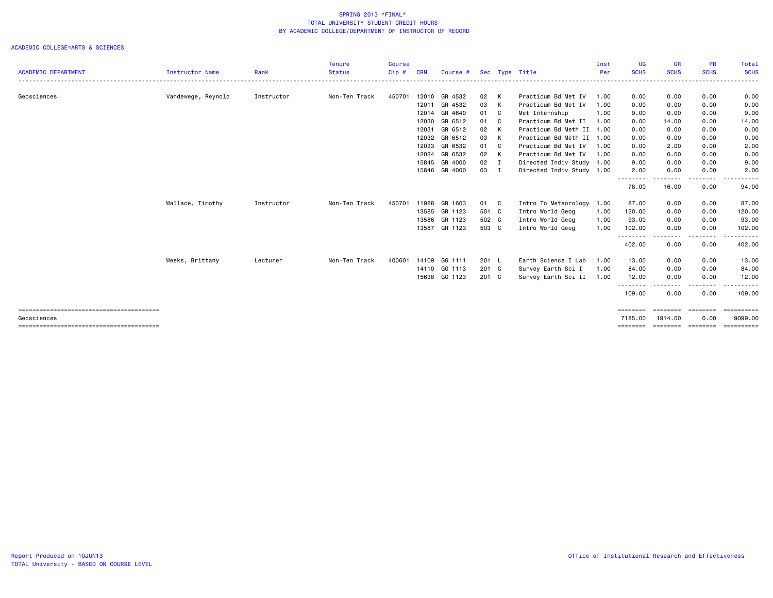|                            |                        |            | <b>Tenure</b> | <b>Course</b> |            |               |               |                           | Inst | <b>UG</b>           | <b>GR</b>                                                                                                                                                           | <b>PR</b>               | <b>Total</b>          |
|----------------------------|------------------------|------------|---------------|---------------|------------|---------------|---------------|---------------------------|------|---------------------|---------------------------------------------------------------------------------------------------------------------------------------------------------------------|-------------------------|-----------------------|
| <b>ACADEMIC DEPARTMENT</b> | <b>Instructor Name</b> | Rank       | <b>Status</b> | Cip#          | <b>CRN</b> | Course #      |               | Sec Type Title            | Per  | <b>SCHS</b><br>.    | <b>SCHS</b><br>$\frac{1}{2} \left( \frac{1}{2} \right) \left( \frac{1}{2} \right) \left( \frac{1}{2} \right) \left( \frac{1}{2} \right) \left( \frac{1}{2} \right)$ | <b>SCHS</b><br>-------- | <b>SCHS</b><br>.      |
| Geosciences                | Vandewege, Reynold     | Instructor | Non-Ten Track | 450701        | 12010      | GR 4532       | 02 K          | Practicum Bd Met IV       | 1.00 | 0.00                | 0.00                                                                                                                                                                | 0.00                    | 0.00                  |
|                            |                        |            |               |               | 12011      | GR 4532       | 03 K          | Practicum Bd Met IV       | 1.00 | 0.00                | 0.00                                                                                                                                                                | 0.00                    | 0.00                  |
|                            |                        |            |               |               | 12014      | GR 4640       | 01 C          | Met Internship            | 1.00 | 9.00                | 0.00                                                                                                                                                                | 0.00                    | 9.00                  |
|                            |                        |            |               |               | 12030      | GR 6512       | 01 C          | Practicum Bd Met II       | 1.00 | 0.00                | 14.00                                                                                                                                                               | 0.00                    | 14.00                 |
|                            |                        |            |               |               | 12031      | GR 6512       | 02 K          | Practicum Bd Meth II 1.00 |      | 0.00                | 0.00                                                                                                                                                                | 0.00                    | 0.00                  |
|                            |                        |            |               |               | 12032      | GR 6512       | 03 K          | Practicum Bd Meth II 1.00 |      | 0.00                | 0.00                                                                                                                                                                | 0.00                    | 0.00                  |
|                            |                        |            |               |               | 12033      | GR 6532       | 01 C          | Practicum Bd Met IV       | 1.00 | 0.00                | 2.00                                                                                                                                                                | 0.00                    | 2.00                  |
|                            |                        |            |               |               | 12034      | GR 6532       | 02 K          | Practicum Bd Met IV       | 1.00 | 0.00                | 0.00                                                                                                                                                                | 0.00                    | 0.00                  |
|                            |                        |            |               |               | 15845      | GR 4000       | $02 \qquad I$ | Directed Indiv Study 1.00 |      | 9.00                | 0.00                                                                                                                                                                | 0.00                    | 9.00                  |
|                            |                        |            |               |               | 15846      | GR 4000       | 03 I          | Directed Indiv Study 1.00 |      | 2.00                | 0.00                                                                                                                                                                | 0.00                    | 2.00                  |
|                            |                        |            |               |               |            |               |               |                           |      | 78.00               | 16.00                                                                                                                                                               | 0.00                    | 94.00                 |
|                            | Wallace, Timothy       | Instructor | Non-Ten Track | 450701        | 11988      | GR 1603       | 01 C          | Intro To Meteorology 1.00 |      | 87.00               | 0.00                                                                                                                                                                | 0.00                    | 87.00                 |
|                            |                        |            |               |               | 13585      | GR 1123       | 501 C         | Intro World Geog          | 1.00 | 120.00              | 0.00                                                                                                                                                                | 0.00                    | 120.00                |
|                            |                        |            |               |               | 13586      | GR 1123       | 502 C         | Intro World Geog          | 1.00 | 93.00               | 0.00                                                                                                                                                                | 0.00                    | 93.00                 |
|                            |                        |            |               |               |            | 13587 GR 1123 | 503 C         | Intro World Geog          | 1.00 | 102.00              | 0.00                                                                                                                                                                | 0.00                    | 102.00                |
|                            |                        |            |               |               |            |               |               |                           |      | <u>.</u><br>402.00  | 0.00                                                                                                                                                                | 0.00                    | $\cdots$<br>402.00    |
|                            | Weeks, Brittany        | Lecturer   | Non-Ten Track | 400601        | 14109      | GG 1111       | 201 L         | Earth Science I Lab       | 1.00 | 13.00               | 0.00                                                                                                                                                                | 0.00                    | 13.00                 |
|                            |                        |            |               |               |            | 14110 GG 1113 | 201 C         | Survey Earth Sci I        | 1.00 | 84.00               | 0.00                                                                                                                                                                | 0.00                    | 84.00                 |
|                            |                        |            |               |               |            | 15638 GG 1123 | 201 C         | Survey Earth Sci II 1.00  |      | 12.00               | 0.00                                                                                                                                                                | 0.00                    | 12.00                 |
|                            |                        |            |               |               |            |               |               |                           |      | .<br>109.00         | --------<br>0.00                                                                                                                                                    | <u>.</u><br>0.00        | .<br>109.00           |
|                            |                        |            |               |               |            |               |               |                           |      | ========            | ========                                                                                                                                                            | ========                | ==========            |
| Geosciences                |                        |            |               |               |            |               |               |                           |      | 7185.00<br>======== | 1914.00<br>========                                                                                                                                                 | 0.00<br>========        | 9099.00<br>========== |
|                            |                        |            |               |               |            |               |               |                           |      |                     |                                                                                                                                                                     |                         |                       |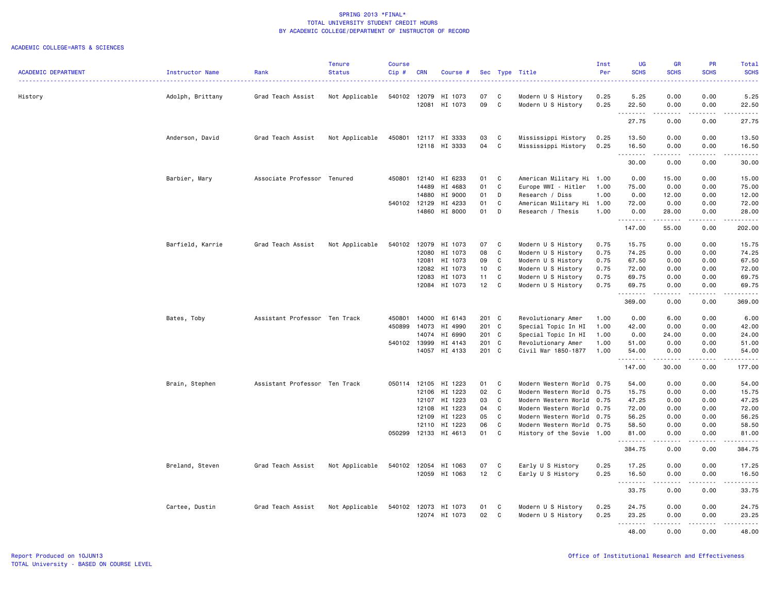|                            |                  |                               | <b>Tenure</b>  | <b>Course</b> |            |                    |                |   |                                           | Inst         | <b>UG</b>           | <b>GR</b>                           | PR                           | Total                                                                                                                                                                                     |
|----------------------------|------------------|-------------------------------|----------------|---------------|------------|--------------------|----------------|---|-------------------------------------------|--------------|---------------------|-------------------------------------|------------------------------|-------------------------------------------------------------------------------------------------------------------------------------------------------------------------------------------|
| <b>ACADEMIC DEPARTMENT</b> | Instructor Name  | Rank                          | <b>Status</b>  | Cip#          | <b>CRN</b> | Course #           |                |   | Sec Type Title                            | Per          | <b>SCHS</b>         | <b>SCHS</b>                         | <b>SCHS</b>                  | <b>SCHS</b>                                                                                                                                                                               |
| History                    | Adolph, Brittany | Grad Teach Assist             | Not Applicable | 540102        | 12079      | HI 1073            | 07             | C | Modern U S History                        | 0.25         | 5.25                | 0.00                                | 0.00                         | 5.25                                                                                                                                                                                      |
|                            |                  |                               |                |               | 12081      | HI 1073            | 09             | C | Modern U S History                        | 0.25         | 22.50               | 0.00                                | 0.00                         | 22.50                                                                                                                                                                                     |
|                            |                  |                               |                |               |            |                    |                |   |                                           |              | .<br>27.75          | $\cdots$<br>0.00                    | .<br>0.00                    | ------<br>27.75                                                                                                                                                                           |
|                            | Anderson, David  | Grad Teach Assist             | Not Applicable | 450801        | 12117      | HI 3333            | 03             | C | Mississippi History                       | 0.25         | 13.50               | 0.00                                | 0.00                         | 13.50                                                                                                                                                                                     |
|                            |                  |                               |                |               |            | 12118 HI 3333      | 04             | C | Mississippi History                       | 0.25         | 16.50               | 0.00                                | 0.00                         | 16.50                                                                                                                                                                                     |
|                            |                  |                               |                |               |            |                    |                |   |                                           |              | .<br>30.00          | $    -$<br>0.00                     | .<br>0.00                    | .<br>30.00                                                                                                                                                                                |
|                            | Barbier, Mary    | Associate Professor Tenured   |                | 450801        | 12140      | HI 6233            | 01             | C | American Military Hi 1.00                 |              | 0.00                | 15.00                               | 0.00                         | 15.00                                                                                                                                                                                     |
|                            |                  |                               |                |               | 14489      | HI 4683            | 01             | C | Europe WWI - Hitler                       | 1.00         | 75.00               | 0.00                                | 0.00                         | 75.00                                                                                                                                                                                     |
|                            |                  |                               |                |               | 14880      | HI 9000            | 01             | D | Research / Diss                           | 1.00         | 0.00                | 12.00                               | 0.00                         | 12.00                                                                                                                                                                                     |
|                            |                  |                               |                | 540102 12129  |            | HI 4233            | 01             | C | American Military Hi 1.00                 |              | 72.00               | 0.00                                | 0.00                         | 72.00                                                                                                                                                                                     |
|                            |                  |                               |                |               | 14860      | HI 8000            | 01             | D | Research / Thesis                         | 1.00         | 0.00                | 28.00                               | 0.00                         | 28.00                                                                                                                                                                                     |
|                            |                  |                               |                |               |            |                    |                |   |                                           |              | <u>.</u><br>147.00  | 55.00                               | $\sim$ $\sim$ $\sim$<br>0.00 | .<br>202.00                                                                                                                                                                               |
|                            | Barfield, Karrie | Grad Teach Assist             | Not Applicable | 540102        | 12079      | HI 1073            | 07             | C | Modern U S History                        | 0.75         | 15.75               | 0.00                                | 0.00                         | 15.75                                                                                                                                                                                     |
|                            |                  |                               |                |               | 12080      | HI 1073            | 08             | C | Modern U S History                        | 0.75         | 74.25               | 0.00                                | 0.00                         | 74.25                                                                                                                                                                                     |
|                            |                  |                               |                |               | 12081      | HI 1073            | 09             | C | Modern U S History                        | 0.75         | 67.50               | 0.00                                | 0.00                         | 67.50                                                                                                                                                                                     |
|                            |                  |                               |                |               | 12082      | HI 1073            | 10             | C | Modern U S History                        | 0.75         | 72.00               | 0.00                                | 0.00                         | 72.00                                                                                                                                                                                     |
|                            |                  |                               |                |               | 12083      | HI 1073            | 11             | C | Modern U S History                        | 0.75         | 69.75               | 0.00                                | 0.00                         | 69.75                                                                                                                                                                                     |
|                            |                  |                               |                |               | 12084      | HI 1073            | 12             | C | Modern U S History                        | 0.75         | 69.75               | 0.00                                | 0.00                         | 69.75                                                                                                                                                                                     |
|                            |                  |                               |                |               |            |                    |                |   |                                           |              | .<br>369.00         | .<br>0.00                           | .<br>0.00                    | $\frac{1}{2} \left( \frac{1}{2} \right) \left( \frac{1}{2} \right) \left( \frac{1}{2} \right) \left( \frac{1}{2} \right) \left( \frac{1}{2} \right) \left( \frac{1}{2} \right)$<br>369.00 |
|                            | Bates, Toby      | Assistant Professor Ten Track |                | 450801        | 14000      | HI 6143            | 201 C          |   | Revolutionary Amer                        | 1.00         | 0.00                | 6.00                                | 0.00                         | 6.00                                                                                                                                                                                      |
|                            |                  |                               |                | 450899        | 14073      | HI 4990            | 201 C          |   | Special Topic In HI                       | 1.00         | 42.00               | 0.00                                | 0.00                         | 42.00                                                                                                                                                                                     |
|                            |                  |                               |                |               |            |                    |                |   |                                           |              |                     |                                     |                              |                                                                                                                                                                                           |
|                            |                  |                               |                |               | 14074      | HI 6990<br>HI 4143 | 201 C<br>201 C |   | Special Topic In HI                       | 1.00         | 0.00                | 24.00<br>0.00                       | 0.00<br>0.00                 | 24.00                                                                                                                                                                                     |
|                            |                  |                               |                | 540102 13999  | 14057      | HI 4133            | 201 C          |   | Revolutionary Amer<br>Civil War 1850-1877 | 1.00<br>1.00 | 51.00<br>54.00      | 0.00                                | 0.00                         | 51.00<br>54.00                                                                                                                                                                            |
|                            |                  |                               |                |               |            |                    |                |   |                                           |              | <u>.</u><br>147.00  | 30.00                               | $\sim$ $\sim$ $\sim$<br>0.00 | .<br>177.00                                                                                                                                                                               |
|                            |                  |                               |                |               |            |                    |                |   |                                           |              |                     |                                     |                              |                                                                                                                                                                                           |
|                            | Brain, Stephen   | Assistant Professor Ten Track |                | 050114        | 12105      | HI 1223            | 01             | C | Modern Western World 0.75                 |              | 54.00               | 0.00                                | 0.00                         | 54.00                                                                                                                                                                                     |
|                            |                  |                               |                |               | 12106      | HI 1223            | 02             | C | Modern Western World 0.75                 |              | 15.75               | 0.00                                | 0.00                         | 15.75                                                                                                                                                                                     |
|                            |                  |                               |                |               | 12107      | HI 1223            | 03             | C | Modern Western World 0.75                 |              | 47.25               | 0.00                                | 0.00                         | 47.25                                                                                                                                                                                     |
|                            |                  |                               |                |               | 12108      | HI 1223            | 04             | C | Modern Western World                      | 0.75         | 72.00               | 0.00                                | 0.00                         | 72.00                                                                                                                                                                                     |
|                            |                  |                               |                |               | 12109      | HI 1223            | 05             | C | Modern Western World 0.75                 |              | 56.25               | 0.00                                | 0.00                         | 56.25                                                                                                                                                                                     |
|                            |                  |                               |                |               | 12110      | HI 1223            | 06             | C | Modern Western World 0.75                 |              | 58.50               | 0.00                                | 0.00                         | 58.50                                                                                                                                                                                     |
|                            |                  |                               |                | 050299        | 12133      | HI 4613            | 01             | C | History of the Sovie 1.00                 |              | 81.00<br>. <b>.</b> | 0.00                                | 0.00                         | 81.00<br>.                                                                                                                                                                                |
|                            |                  |                               |                |               |            |                    |                |   |                                           |              | 384.75              | 0.00                                | 0.00                         | 384.75                                                                                                                                                                                    |
|                            | Breland, Steven  | Grad Teach Assist             | Not Applicable | 540102        | 12054      | HI 1063            | 07             | C | Early U S History                         | 0.25         | 17.25               | 0.00                                | 0.00                         | 17.25                                                                                                                                                                                     |
|                            |                  |                               |                |               | 12059      | HI 1063            | 12             | C | Early U S History                         | 0.25         | 16.50<br>.          | 0.00<br>$\sim$ $\sim$ $\sim$ $\sim$ | 0.00<br>$\sim$ $\sim$ $\sim$ | 16.50<br>$    -$                                                                                                                                                                          |
|                            |                  |                               |                |               |            |                    |                |   |                                           |              | 33.75               | 0.00                                | 0.00                         | 33.75                                                                                                                                                                                     |
|                            | Cartee, Dustin   | Grad Teach Assist             | Not Applicable | 540102 12073  |            | HI 1073            | 01             | C | Modern U S History                        | 0.25         | 24.75               | 0.00                                | 0.00                         | 24.75                                                                                                                                                                                     |
|                            |                  |                               |                |               | 12074      | HI 1073            | 02             | C | Modern U S History                        | 0.25         | 23.25               | 0.00                                | 0.00                         | 23.25                                                                                                                                                                                     |
|                            |                  |                               |                |               |            |                    |                |   |                                           |              | . <b>.</b><br>48.00 | .<br>0.00                           | $- - - -$<br>0.00            | .<br>48.00                                                                                                                                                                                |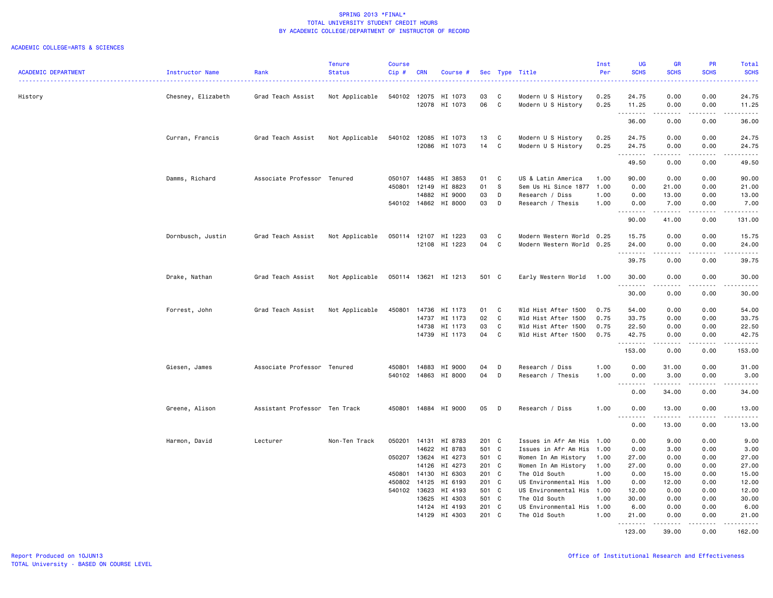|                            |                    |                               | <b>Tenure</b>  | <b>Course</b> |                |                      |                |              |                                       | Inst         | <b>UG</b>                        | <b>GR</b>                                                                                                                                                    | <b>PR</b>            | <b>Total</b>                                                                                                                                         |
|----------------------------|--------------------|-------------------------------|----------------|---------------|----------------|----------------------|----------------|--------------|---------------------------------------|--------------|----------------------------------|--------------------------------------------------------------------------------------------------------------------------------------------------------------|----------------------|------------------------------------------------------------------------------------------------------------------------------------------------------|
| <b>ACADEMIC DEPARTMENT</b> | Instructor Name    | Rank                          | <b>Status</b>  | $Cip$ #       | <b>CRN</b>     | Course #             |                | Sec Type     | Title                                 | Per          | <b>SCHS</b>                      | <b>SCHS</b>                                                                                                                                                  | <b>SCHS</b>          | <b>SCHS</b><br>$\frac{1}{2} \left( \frac{1}{2} \right) \left( \frac{1}{2} \right) \left( \frac{1}{2} \right) \left( \frac{1}{2} \right)$             |
| History                    | Chesney, Elizabeth | Grad Teach Assist             | Not Applicable | 540102        | 12075          | HI 1073              | 03             | C            | Modern U S History                    | 0.25         | 24.75                            | 0.00                                                                                                                                                         | 0.00                 | 24.75                                                                                                                                                |
|                            |                    |                               |                |               |                | 12078 HI 1073        | 06             | C            | Modern U S History                    | 0.25         | 11.25                            | 0.00                                                                                                                                                         | 0.00                 | 11.25                                                                                                                                                |
|                            |                    |                               |                |               |                |                      |                |              |                                       |              | .<br>36.00                       | .<br>0.00                                                                                                                                                    | .<br>0.00            | .<br>36.00                                                                                                                                           |
|                            | Curran, Francis    | Grad Teach Assist             | Not Applicable | 540102        | 12085          | HI 1073              | 13             | C            | Modern U S History                    | 0.25         | 24.75                            | 0.00                                                                                                                                                         | 0.00                 | 24.75                                                                                                                                                |
|                            |                    |                               |                |               |                | 12086 HI 1073        | 14             | $\mathtt{C}$ | Modern U S History                    | 0.25         | 24.75                            | 0.00                                                                                                                                                         | 0.00                 | 24.75                                                                                                                                                |
|                            |                    |                               |                |               |                |                      |                |              |                                       |              | .                                | .                                                                                                                                                            | .                    | .                                                                                                                                                    |
|                            |                    |                               |                |               |                |                      |                |              |                                       |              | 49.50                            | 0.00                                                                                                                                                         | 0.00                 | 49.50                                                                                                                                                |
|                            | Damms, Richard     | Associate Professor Tenured   |                | 050107        | 14485          | HI 3853              | 01             | C            | US & Latin America                    | 1.00         | 90.00                            | 0.00                                                                                                                                                         | 0.00                 | 90.00                                                                                                                                                |
|                            |                    |                               |                | 450801        | 12149          | HI 8823              | 01             | s            | Sem Us Hi Since 1877                  | 1.00         | 0.00                             | 21.00                                                                                                                                                        | 0.00                 | 21.00                                                                                                                                                |
|                            |                    |                               |                |               | 14882          | HI 9000              | 03             | D            | Research / Diss                       | 1.00         | 0.00                             | 13.00                                                                                                                                                        | 0.00                 | 13.00                                                                                                                                                |
|                            |                    |                               |                |               |                | 540102 14862 HI 8000 | 03             | D            | Research / Thesis                     | 1.00         | 0.00<br>.                        | 7.00<br>.                                                                                                                                                    | 0.00<br>.            | 7.00<br>.                                                                                                                                            |
|                            |                    |                               |                |               |                |                      |                |              |                                       |              | 90.00                            | 41.00                                                                                                                                                        | 0.00                 | 131.00                                                                                                                                               |
|                            | Dornbusch, Justin  | Grad Teach Assist             | Not Applicable | 050114        | 12107          | HI 1223              | 03             | C            | Modern Western World                  | 0.25         | 15.75                            | 0.00                                                                                                                                                         | 0.00                 | 15.75                                                                                                                                                |
|                            |                    |                               |                |               |                | 12108 HI 1223        | 04             | C            | Modern Western World                  | 0.25         | 24.00<br>.                       | 0.00<br>$\frac{1}{2} \left( \frac{1}{2} \right) \left( \frac{1}{2} \right) \left( \frac{1}{2} \right) \left( \frac{1}{2} \right) \left( \frac{1}{2} \right)$ | 0.00<br>.            | 24.00<br>.                                                                                                                                           |
|                            |                    |                               |                |               |                |                      |                |              |                                       |              | 39.75                            | 0.00                                                                                                                                                         | 0.00                 | 39.75                                                                                                                                                |
|                            | Drake, Nathan      | Grad Teach Assist             | Not Applicable |               |                | 050114 13621 HI 1213 | 501 C          |              | Early Western World                   | 1.00         | 30.00                            | 0.00<br>.                                                                                                                                                    | 0.00<br>.            | 30.00<br>.                                                                                                                                           |
|                            |                    |                               |                |               |                |                      |                |              |                                       |              | .<br>30.00                       | 0.00                                                                                                                                                         | 0.00                 | 30.00                                                                                                                                                |
|                            | Forrest, John      | Grad Teach Assist             | Not Applicable | 450801        | 14736          | HI 1173              | 01             | C            | Wld Hist After 1500                   | 0.75         | 54.00                            | 0.00                                                                                                                                                         | 0.00                 | 54.00                                                                                                                                                |
|                            |                    |                               |                |               | 14737          | HI 1173              | 02             | C            | Wld Hist After 1500                   | 0.75         | 33.75                            | 0.00                                                                                                                                                         | 0.00                 | 33.75                                                                                                                                                |
|                            |                    |                               |                |               | 14738          | HI 1173              | 03             | C            | Wld Hist After 1500                   | 0.75         | 22.50                            | 0.00                                                                                                                                                         | 0.00                 | 22.50                                                                                                                                                |
|                            |                    |                               |                |               |                | 14739 HI 1173        | 04             | $\mathbf{C}$ | Wld Hist After 1500                   | 0.75         | 42.75                            | 0.00                                                                                                                                                         | 0.00                 | 42.75<br>.                                                                                                                                           |
|                            |                    |                               |                |               |                |                      |                |              |                                       |              | 153.00                           | 0.00                                                                                                                                                         | 0.00                 | 153.00                                                                                                                                               |
|                            | Giesen, James      | Associate Professor Tenured   |                | 450801        | 14883          | HI 9000              | 04             | D            | Research / Diss                       | 1.00         | 0.00                             | 31.00                                                                                                                                                        | 0.00                 | 31.00                                                                                                                                                |
|                            |                    |                               |                | 540102        | 14863          | HI 8000              | 04             | D            | Research / Thesis                     | 1.00         | 0.00                             | 3.00                                                                                                                                                         | 0.00                 | 3.00                                                                                                                                                 |
|                            |                    |                               |                |               |                |                      |                |              |                                       |              | .<br>$\sim$ $\sim$ $\sim$        | .                                                                                                                                                            | $\sim$ $\sim$ $\sim$ | $\frac{1}{2} \left( \frac{1}{2} \right) \left( \frac{1}{2} \right) \left( \frac{1}{2} \right) \left( \frac{1}{2} \right) \left( \frac{1}{2} \right)$ |
|                            |                    |                               |                |               |                |                      |                |              |                                       |              | 0.00                             | 34.00                                                                                                                                                        | 0.00                 | 34.00                                                                                                                                                |
|                            | Greene, Alison     | Assistant Professor Ten Track |                | 450801        |                | 14884 HI 9000        | 05             | D            | Research / Diss                       | 1.00         | 0.00<br>$\sim$ $\sim$<br>- - - - | 13.00                                                                                                                                                        | 0.00<br>.            | 13.00<br>.                                                                                                                                           |
|                            |                    |                               |                |               |                |                      |                |              |                                       |              | 0.00                             | 13.00                                                                                                                                                        | 0.00                 | 13.00                                                                                                                                                |
|                            | Harmon, David      | Lecturer                      | Non-Ten Track  | 050201        | 14131          | HI 8783              | 201 C          |              | Issues in Afr Am His                  | 1.00         | 0.00                             | 9.00                                                                                                                                                         | 0.00                 | 9.00                                                                                                                                                 |
|                            |                    |                               |                |               | 14622          | HI 8783              | 501 C          |              | Issues in Afr Am His                  | 1.00         | 0.00                             | 3.00                                                                                                                                                         | 0.00                 | 3.00                                                                                                                                                 |
|                            |                    |                               |                | 050207 13624  |                | HI 4273              | 501 C          |              | Women In Am History                   | 1.00         | 27.00                            | 0.00                                                                                                                                                         | 0.00                 | 27.00                                                                                                                                                |
|                            |                    |                               |                |               | 14126          | HI 4273              | 201 C          |              | Women In Am History                   | 1.00         | 27.00                            | 0.00                                                                                                                                                         | 0.00                 | 27.00                                                                                                                                                |
|                            |                    |                               |                | 450801        | 14130          | HI 6303              | 201 C          |              | The Old South                         | 1.00         | 0.00                             | 15.00                                                                                                                                                        | 0.00                 | 15.00                                                                                                                                                |
|                            |                    |                               |                | 450802        | 14125          | HI 6193              | 201 C          |              | US Environmental His                  | 1.00         | 0.00                             | 12.00                                                                                                                                                        | 0.00                 | 12.00                                                                                                                                                |
|                            |                    |                               |                | 540102        | 13623<br>13625 | HI 4193              | 501 C<br>501 C |              | US Environmental His                  | 1.00<br>1.00 | 12.00                            | 0.00                                                                                                                                                         | 0.00<br>0.00         | 12.00                                                                                                                                                |
|                            |                    |                               |                |               | 14124          | HI 4303<br>HI 4193   | 201 C          |              | The Old South<br>US Environmental His | 1.00         | 30.00<br>6.00                    | 0.00<br>0.00                                                                                                                                                 | 0.00                 | 30.00<br>6.00                                                                                                                                        |
|                            |                    |                               |                |               | 14129          | HI 4303              | 201 C          |              | The Old South                         | 1.00         | 21.00                            | 0.00                                                                                                                                                         | 0.00                 | 21.00                                                                                                                                                |
|                            |                    |                               |                |               |                |                      |                |              |                                       |              | .                                | .                                                                                                                                                            | .                    | .                                                                                                                                                    |
|                            |                    |                               |                |               |                |                      |                |              |                                       |              | 123.00                           | 39.00                                                                                                                                                        | 0.00                 | 162.00                                                                                                                                               |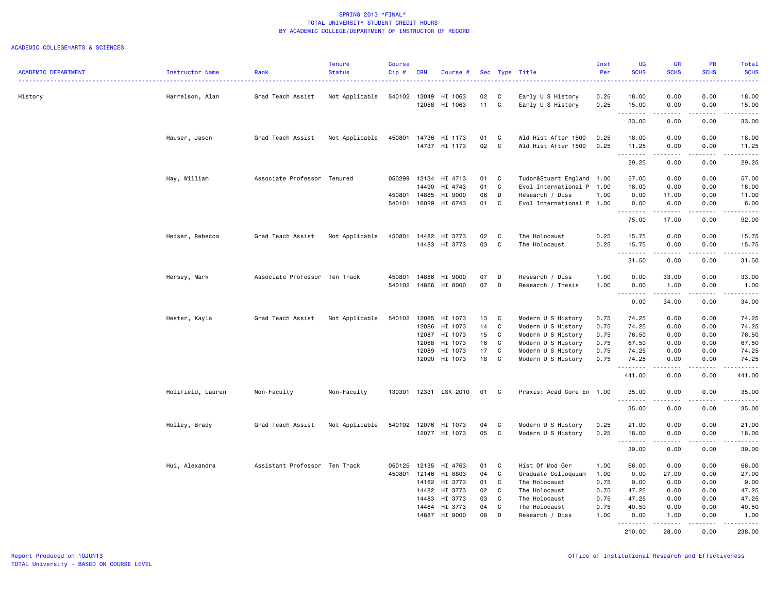|                            |                   |                               | <b>Tenure</b>  | <b>Course</b> |            |                |    |             |                           | Inst | <b>UG</b>         | GR                                                                                                                                                           | PR                                  | Total                                                                                                                                                |
|----------------------------|-------------------|-------------------------------|----------------|---------------|------------|----------------|----|-------------|---------------------------|------|-------------------|--------------------------------------------------------------------------------------------------------------------------------------------------------------|-------------------------------------|------------------------------------------------------------------------------------------------------------------------------------------------------|
| <b>ACADEMIC DEPARTMENT</b> | Instructor Name   | Rank                          | <b>Status</b>  | Cip#          | <b>CRN</b> | Course #       |    |             | Sec Type Title            | Per  | <b>SCHS</b>       | <b>SCHS</b>                                                                                                                                                  | <b>SCHS</b>                         | <b>SCHS</b>                                                                                                                                          |
| History                    | Harrelson, Alan   | Grad Teach Assist             | Not Applicable | 540102        | 12049      | HI 1063        | 02 | C           | Early U S History         | 0.25 | 18.00             | 0.00                                                                                                                                                         | 0.00                                | 18.00                                                                                                                                                |
|                            |                   |                               |                |               | 12058      | HI 1063        | 11 | C           | Early U S History         | 0.25 | 15.00<br><u>.</u> | 0.00<br>$- - - - -$                                                                                                                                          | 0.00<br>.                           | 15.00<br>.                                                                                                                                           |
|                            |                   |                               |                |               |            |                |    |             |                           |      | 33.00             | 0.00                                                                                                                                                         | 0.00                                | 33.00                                                                                                                                                |
|                            | Hauser, Jason     | Grad Teach Assist             | Not Applicable | 450801        | 14736      | HI 1173        | 01 | C           | Wld Hist After 1500       | 0.25 | 18.00             | 0.00                                                                                                                                                         | 0.00                                | 18.00                                                                                                                                                |
|                            |                   |                               |                |               | 14737      | HI 1173        | 02 | C           | Wld Hist After 1500       | 0.25 | 11.25<br>.        | 0.00<br>$\frac{1}{2} \left( \frac{1}{2} \right) \left( \frac{1}{2} \right) \left( \frac{1}{2} \right) \left( \frac{1}{2} \right) \left( \frac{1}{2} \right)$ | 0.00<br>.                           | 11.25<br>.                                                                                                                                           |
|                            |                   |                               |                |               |            |                |    |             |                           |      | 29.25             | 0.00                                                                                                                                                         | 0.00                                | 29.25                                                                                                                                                |
|                            | Hay, William      | Associate Professor Tenured   |                | 050299        | 12134      | HI 4713        | 01 | C           | Tudor&Stuart England 1.00 |      | 57.00             | 0.00                                                                                                                                                         | 0.00                                | 57.00                                                                                                                                                |
|                            |                   |                               |                |               | 14490      | HI 4743        | 01 | C           | Evol International P 1.00 |      | 18.00             | 0.00                                                                                                                                                         | 0.00                                | 18.00                                                                                                                                                |
|                            |                   |                               |                | 450801        | 14885      | HI 9000        | 06 | D           | Research / Diss           | 1.00 | 0.00              | 11.00                                                                                                                                                        | 0.00                                | 11.00                                                                                                                                                |
|                            |                   |                               |                | 540101        | 16029      | HI 6743        | 01 | C           | Evol International P 1.00 |      | 0.00<br>.         | 6.00<br>.                                                                                                                                                    | 0.00<br>.                           | 6.00<br>.                                                                                                                                            |
|                            |                   |                               |                |               |            |                |    |             |                           |      | 75.00             | 17.00                                                                                                                                                        | 0.00                                | 92.00                                                                                                                                                |
|                            | Heiser, Rebecca   | Grad Teach Assist             | Not Applicable | 450801        | 14482      | HI 3773        | 02 | C           | The Holocaust             | 0.25 | 15.75             | 0.00                                                                                                                                                         | 0.00                                | 15.75                                                                                                                                                |
|                            |                   |                               |                |               | 14483      | HI 3773        | 03 | C           | The Holocaust             | 0.25 | 15.75             | 0.00                                                                                                                                                         | 0.00                                | 15.75                                                                                                                                                |
|                            |                   |                               |                |               |            |                |    |             |                           |      | .<br>31.50        | $- - - - -$<br>0.00                                                                                                                                          | .<br>0.00                           | .<br>31.50                                                                                                                                           |
|                            | Hersey, Mark      | Associate Professor Ten Track |                | 450801        | 14886      | HI 9000        | 07 | D           | Research / Diss           | 1.00 | 0.00              | 33.00                                                                                                                                                        | 0.00                                | 33.00                                                                                                                                                |
|                            |                   |                               |                | 540102        | 14866      | HI 8000        | 07 | D           | Research / Thesis         | 1.00 | 0.00              | 1.00                                                                                                                                                         | 0.00                                | 1.00                                                                                                                                                 |
|                            |                   |                               |                |               |            |                |    |             |                           |      | .<br>0.00         | .<br>34.00                                                                                                                                                   | د د د د<br>0.00                     | .<br>34.00                                                                                                                                           |
|                            | Hester, Kayla     | Grad Teach Assist             | Not Applicable | 540102        | 12085      | HI 1073        | 13 | C           | Modern U S History        | 0.75 | 74.25             | 0.00                                                                                                                                                         | 0.00                                | 74.25                                                                                                                                                |
|                            |                   |                               |                |               | 12086      | HI 1073        | 14 | C           | Modern U S History        | 0.75 | 74.25             | 0.00                                                                                                                                                         | 0.00                                | 74.25                                                                                                                                                |
|                            |                   |                               |                |               | 12087      | HI 1073        | 15 | C           | Modern U S History        | 0.75 | 76.50             | 0.00                                                                                                                                                         | 0.00                                | 76.50                                                                                                                                                |
|                            |                   |                               |                |               | 12088      | HI 1073        | 16 | C           | Modern U S History        | 0.75 | 67.50             | 0.00                                                                                                                                                         | 0.00                                | 67.50                                                                                                                                                |
|                            |                   |                               |                |               | 12089      | HI 1073        | 17 | C           | Modern U S History        | 0.75 | 74.25             | 0.00                                                                                                                                                         | 0.00                                | 74.25                                                                                                                                                |
|                            |                   |                               |                |               | 12090      | HI 1073        | 18 | $\mathbf c$ | Modern U S History        | 0.75 | 74.25             | 0.00                                                                                                                                                         | 0.00                                | 74.25                                                                                                                                                |
|                            |                   |                               |                |               |            |                |    |             |                           |      | .<br>441.00       | $\frac{1}{2} \left( \frac{1}{2} \right) \left( \frac{1}{2} \right) \left( \frac{1}{2} \right) \left( \frac{1}{2} \right) \left( \frac{1}{2} \right)$<br>0.00 | .<br>0.00                           | .<br>441.00                                                                                                                                          |
|                            | Holifield, Lauren | Non-Faculty                   | Non-Faculty    | 130301        |            | 12331 LSK 2010 | 01 | C           | Praxis: Acad Core En 1.00 |      | 35.00             | 0.00                                                                                                                                                         | 0.00                                | 35.00                                                                                                                                                |
|                            |                   |                               |                |               |            |                |    |             |                           |      | .<br>35.00        | 0.00                                                                                                                                                         | $\sim$ $\sim$ $\sim$ $\sim$<br>0.00 | .<br>35.00                                                                                                                                           |
|                            | Holley, Brady     | Grad Teach Assist             | Not Applicable | 540102 12076  |            | HI 1073        | 04 | C           | Modern U S History        | 0.25 | 21.00             | 0.00                                                                                                                                                         | 0.00                                | 21.00                                                                                                                                                |
|                            |                   |                               |                |               | 12077      | HI 1073        | 05 | C           | Modern U S History        | 0.25 | 18.00             | 0.00                                                                                                                                                         | 0.00                                | 18.00                                                                                                                                                |
|                            |                   |                               |                |               |            |                |    |             |                           |      | . <b>.</b>        |                                                                                                                                                              | ----                                | $\frac{1}{2} \left( \frac{1}{2} \right) \left( \frac{1}{2} \right) \left( \frac{1}{2} \right) \left( \frac{1}{2} \right) \left( \frac{1}{2} \right)$ |
|                            |                   |                               |                |               |            |                |    |             |                           |      | 39.00             | 0.00                                                                                                                                                         | 0.00                                | 39.00                                                                                                                                                |
|                            | Hui, Alexandra    | Assistant Professor Ten Track |                | 050125        | 12135      | HI 4763        | 01 | C           | Hist Of Mod Ger           | 1.00 | 66.00             | 0.00                                                                                                                                                         | 0.00                                | 66.00                                                                                                                                                |
|                            |                   |                               |                | 450801 12146  |            | HI 8803        | 04 | C           | Graduate Colloquium       | 1.00 | 0.00              | 27.00                                                                                                                                                        | 0.00                                | 27.00                                                                                                                                                |
|                            |                   |                               |                |               | 14182      | HI 3773        | 01 | C           | The Holocaust             | 0.75 | 9.00              | 0.00                                                                                                                                                         | 0.00                                | 9.00                                                                                                                                                 |
|                            |                   |                               |                |               | 14482      | HI 3773        | 02 | C           | The Holocaust             | 0.75 | 47.25             | 0.00                                                                                                                                                         | 0.00                                | 47.25                                                                                                                                                |
|                            |                   |                               |                |               | 14483      | HI 3773        | 03 | C           | The Holocaust             | 0.75 | 47.25             | 0.00                                                                                                                                                         | 0.00                                | 47.25                                                                                                                                                |
|                            |                   |                               |                |               | 14484      | HI 3773        | 04 | C           | The Holocaust             | 0.75 | 40.50             | 0.00                                                                                                                                                         | 0.00                                | 40.50                                                                                                                                                |
|                            |                   |                               |                |               | 14887      | HI 9000        | 08 | D           | Research / Diss           | 1.00 | 0.00<br><u>.</u>  | 1.00<br>.                                                                                                                                                    | 0.00<br>.                           | 1.00<br><u>.</u>                                                                                                                                     |
|                            |                   |                               |                |               |            |                |    |             |                           |      | 210.00            | 28.00                                                                                                                                                        | 0.00                                | 238.00                                                                                                                                               |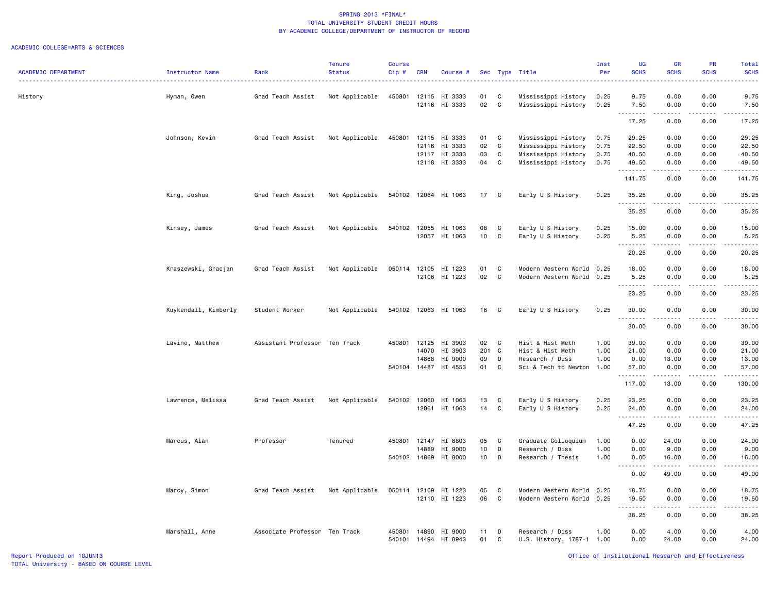|                            |                      |                               | <b>Tenure</b>  | <b>Course</b> |                |                      |                 |                   |                                              | Inst         | <b>UG</b>                                                                                                                                                                        | <b>GR</b>         | PR                                                                                                                                | Total                                                                                                                                                         |
|----------------------------|----------------------|-------------------------------|----------------|---------------|----------------|----------------------|-----------------|-------------------|----------------------------------------------|--------------|----------------------------------------------------------------------------------------------------------------------------------------------------------------------------------|-------------------|-----------------------------------------------------------------------------------------------------------------------------------|---------------------------------------------------------------------------------------------------------------------------------------------------------------|
| <b>ACADEMIC DEPARTMENT</b> | Instructor Name      | Rank                          | <b>Status</b>  | $Cip$ #       | <b>CRN</b>     | Course #             |                 | Sec Type          | Title                                        | Per          | <b>SCHS</b>                                                                                                                                                                      | <b>SCHS</b>       | <b>SCHS</b>                                                                                                                       | <b>SCHS</b>                                                                                                                                                   |
|                            |                      |                               |                | 450801        |                | HI 3333              | 01              |                   |                                              |              |                                                                                                                                                                                  | 0.00              | 0.00                                                                                                                              | 9.75                                                                                                                                                          |
| History                    | Hyman, Owen          | Grad Teach Assist             | Not Applicable |               | 12115<br>12116 | HI 3333              | 02              | C<br>C            | Mississippi History<br>Mississippi History   | 0.25<br>0.25 | 9.75<br>7.50                                                                                                                                                                     | 0.00              | 0.00                                                                                                                              | 7.50                                                                                                                                                          |
|                            |                      |                               |                |               |                |                      |                 |                   |                                              |              | .<br>17.25                                                                                                                                                                       | 0.00              | $\frac{1}{2} \left( \frac{1}{2} \right) \left( \frac{1}{2} \right) \left( \frac{1}{2} \right) \left( \frac{1}{2} \right)$<br>0.00 | $\frac{1}{2} \left( \frac{1}{2} \right) \left( \frac{1}{2} \right) \left( \frac{1}{2} \right) \left( \frac{1}{2} \right) \left( \frac{1}{2} \right)$<br>17.25 |
|                            |                      |                               |                |               |                |                      |                 |                   |                                              |              |                                                                                                                                                                                  |                   |                                                                                                                                   |                                                                                                                                                               |
|                            | Johnson, Kevin       | Grad Teach Assist             | Not Applicable | 450801        | 12115<br>12116 | HI 3333<br>HI 3333   | 01<br>02        | C<br>$\mathbb{C}$ | Mississippi History<br>Mississippi History   | 0.75<br>0.75 | 29.25<br>22.50                                                                                                                                                                   | 0.00<br>0.00      | 0.00<br>0.00                                                                                                                      | 29.25<br>22.50                                                                                                                                                |
|                            |                      |                               |                |               | 12117          | HI 3333              | 03              | $\mathbb{C}$      | Mississippi History                          | 0.75         | 40.50                                                                                                                                                                            | 0.00              | 0.00                                                                                                                              | 40.50                                                                                                                                                         |
|                            |                      |                               |                |               | 12118          | HI 3333              | 04              | $\mathbb{C}$      | Mississippi History                          | 0.75         | 49.50                                                                                                                                                                            | 0.00              | 0.00                                                                                                                              | 49.50                                                                                                                                                         |
|                            |                      |                               |                |               |                |                      |                 |                   |                                              |              | 141.75                                                                                                                                                                           | $- - - -$<br>0.00 | $\omega$ is $\omega$ in<br>0.00                                                                                                   | .<br>141.75                                                                                                                                                   |
|                            | King, Joshua         | Grad Teach Assist             | Not Applicable |               |                | 540102 12064 HI 1063 | 17              | C                 | Early U S History                            | 0.25         | 35.25                                                                                                                                                                            | 0.00              | 0.00                                                                                                                              | 35.25                                                                                                                                                         |
|                            |                      |                               |                |               |                |                      |                 |                   |                                              |              | .<br>35.25                                                                                                                                                                       | 0.00              | 0.00                                                                                                                              | $\omega$ is $\omega$ in .<br>35.25                                                                                                                            |
|                            |                      |                               |                |               |                |                      |                 |                   |                                              |              |                                                                                                                                                                                  |                   |                                                                                                                                   |                                                                                                                                                               |
|                            | Kinsey, James        | Grad Teach Assist             | Not Applicable | 540102        | 12055          | HI 1063              | 08              | C                 | Early U S History                            | 0.25         | 15.00                                                                                                                                                                            | 0.00              | 0.00                                                                                                                              | 15.00                                                                                                                                                         |
|                            |                      |                               |                |               |                | 12057 HI 1063        | 10              | C                 | Early U S History                            | 0.25         | 5.25<br>.                                                                                                                                                                        | 0.00<br>.         | 0.00<br>$\frac{1}{2}$                                                                                                             | 5.25<br>.                                                                                                                                                     |
|                            |                      |                               |                |               |                |                      |                 |                   |                                              |              | 20.25                                                                                                                                                                            | 0.00              | 0.00                                                                                                                              | 20.25                                                                                                                                                         |
|                            | Kraszewski, Gracjan  | Grad Teach Assist             | Not Applicable | 050114        | 12105          | HI 1223              | 01              | $\mathtt{C}$      | Modern Western World                         | 0.25         | 18.00                                                                                                                                                                            | 0.00              | 0.00                                                                                                                              | 18.00                                                                                                                                                         |
|                            |                      |                               |                |               |                | 12106 HI 1223        | 02              | $\mathtt{C}$      | Modern Western World                         | 0.25         | 5.25                                                                                                                                                                             | 0.00              | 0.00                                                                                                                              | 5.25                                                                                                                                                          |
|                            |                      |                               |                |               |                |                      |                 |                   |                                              |              | $\frac{1}{2} \left( \frac{1}{2} \right) \left( \frac{1}{2} \right) \left( \frac{1}{2} \right) \left( \frac{1}{2} \right) \left( \frac{1}{2} \right)$<br>$\sim$ $\sim$ .<br>23.25 | -----<br>0.00     | .<br>0.00                                                                                                                         | .<br>23.25                                                                                                                                                    |
|                            | Kuykendall, Kimberly | Student Worker                | Not Applicable |               |                | 540102 12063 HI 1063 | 16              | C                 | Early U S History                            | 0.25         | 30.00                                                                                                                                                                            | 0.00              | 0.00                                                                                                                              | 30.00                                                                                                                                                         |
|                            |                      |                               |                |               |                |                      |                 |                   |                                              |              | .                                                                                                                                                                                | د د د د           | د د د د                                                                                                                           | $\frac{1}{2} \left( \frac{1}{2} \right) \left( \frac{1}{2} \right) \left( \frac{1}{2} \right) \left( \frac{1}{2} \right) \left( \frac{1}{2} \right)$          |
|                            |                      |                               |                |               |                |                      |                 |                   |                                              |              | 30.00                                                                                                                                                                            | 0.00              | 0.00                                                                                                                              | 30.00                                                                                                                                                         |
|                            | Lavine, Matthew      | Assistant Professor Ten Track |                | 450801        | 12125          | HI 3903              | 02              | C                 | Hist & Hist Meth                             | 1.00         | 39.00                                                                                                                                                                            | 0.00              | 0.00                                                                                                                              | 39.00                                                                                                                                                         |
|                            |                      |                               |                |               | 14070          | HI 3903              | 201 C           |                   | Hist & Hist Meth                             | 1.00         | 21.00                                                                                                                                                                            | 0.00              | 0.00                                                                                                                              | 21.00                                                                                                                                                         |
|                            |                      |                               |                |               | 14888          | HI 9000              | 09              | D                 | Research / Diss                              | 1.00         | 0.00                                                                                                                                                                             | 13.00             | 0.00                                                                                                                              | 13.00                                                                                                                                                         |
|                            |                      |                               |                | 540104 14487  |                | HI 4553              | 01              | C                 | Sci & Tech to Newton                         | 1.00         | 57.00<br>.                                                                                                                                                                       | 0.00<br>.         | 0.00<br>.                                                                                                                         | 57.00<br>.                                                                                                                                                    |
|                            |                      |                               |                |               |                |                      |                 |                   |                                              |              | 117.00                                                                                                                                                                           | 13.00             | 0.00                                                                                                                              | 130.00                                                                                                                                                        |
|                            | Lawrence, Melissa    | Grad Teach Assist             | Not Applicable | 540102        | 12060          | HI 1063              | 13              | C                 | Early U S History                            | 0.25         | 23.25                                                                                                                                                                            | 0.00              | 0.00                                                                                                                              | 23.25                                                                                                                                                         |
|                            |                      |                               |                |               | 12061          | HI 1063              | 14              | C                 | Early U S History                            | 0.25         | 24.00                                                                                                                                                                            | 0.00              | 0.00                                                                                                                              | 24.00                                                                                                                                                         |
|                            |                      |                               |                |               |                |                      |                 |                   |                                              |              | .<br>47.25                                                                                                                                                                       | 0.00              | $\sim$ $\sim$ $\sim$ $\sim$<br>0.00                                                                                               | .<br>47.25                                                                                                                                                    |
|                            | Marcus, Alan         | Professor                     | Tenured        | 450801        | 12147          | HI 8803              | 05              | C                 | Graduate Colloquium                          | 1.00         | 0.00                                                                                                                                                                             | 24.00             | 0.00                                                                                                                              | 24.00                                                                                                                                                         |
|                            |                      |                               |                |               | 14889          | HI 9000              | 10              | D                 | Research / Diss                              | 1.00         | 0.00                                                                                                                                                                             | 9.00              | 0.00                                                                                                                              | 9.00                                                                                                                                                          |
|                            |                      |                               |                | 540102 14869  |                | HI 8000              | 10 <sub>1</sub> | D                 | Research / Thesis                            | 1.00         | 0.00                                                                                                                                                                             | 16.00             | 0.00                                                                                                                              | 16.00                                                                                                                                                         |
|                            |                      |                               |                |               |                |                      |                 |                   |                                              |              | $\sim$ $\sim$<br>-----<br>0.00                                                                                                                                                   | .<br>49.00        | .<br>0.00                                                                                                                         | .<br>49.00                                                                                                                                                    |
|                            | Marcy, Simon         | Grad Teach Assist             | Not Applicable | 050114 12109  |                | HI 1223              | 05              | $\mathbb{C}$      | Modern Western World                         | 0.25         | 18.75                                                                                                                                                                            | 0.00              | 0.00                                                                                                                              | 18.75                                                                                                                                                         |
|                            |                      |                               |                |               |                | 12110 HI 1223        | 06              | $\mathtt{C}$      | Modern Western World                         | 0.25         | 19.50                                                                                                                                                                            | 0.00              | 0.00                                                                                                                              | 19.50                                                                                                                                                         |
|                            |                      |                               |                |               |                |                      |                 |                   |                                              |              | .<br>$\sim$ $\sim$ .<br>38.25                                                                                                                                                    | 0.00              | .<br>0.00                                                                                                                         | -----<br>38.25                                                                                                                                                |
|                            |                      |                               |                | 450801        | 14890          | HI 9000              | 11              | D                 |                                              | 1.00         | 0.00                                                                                                                                                                             | 4.00              | 0.00                                                                                                                              | 4.00                                                                                                                                                          |
|                            | Marshall, Anne       | Associate Professor Ten Track |                | 540101        | 14494          | HI 8943              | 01              | C                 | Research / Diss<br>U.S. History, 1787-1 1.00 |              | 0.00                                                                                                                                                                             | 24.00             | 0.00                                                                                                                              | 24.00                                                                                                                                                         |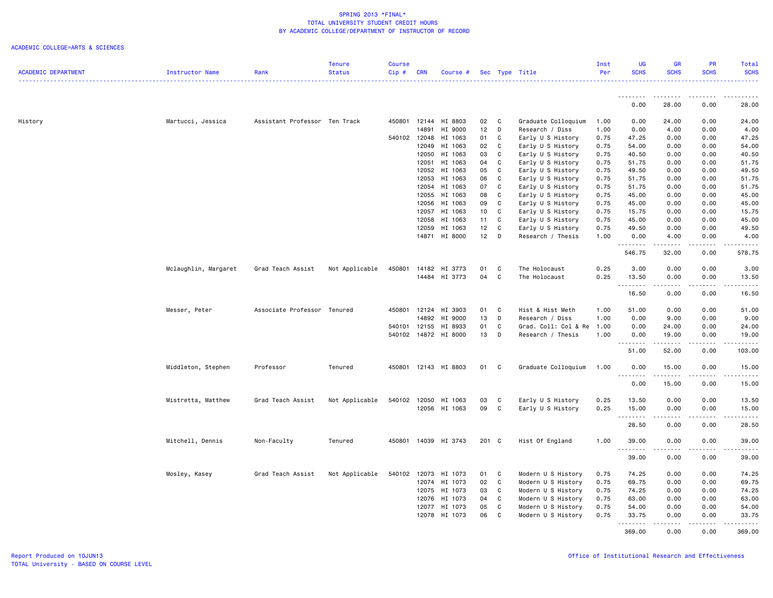|                            |                      |                               | Tenure         | <b>Course</b> |            |                      |    |             |                                        | Inst | UG                     | <b>GR</b>   | <b>PR</b>     | Total            |
|----------------------------|----------------------|-------------------------------|----------------|---------------|------------|----------------------|----|-------------|----------------------------------------|------|------------------------|-------------|---------------|------------------|
| <b>ACADEMIC DEPARTMENT</b> | Instructor Name      | Rank                          | <b>Status</b>  | Cip #         | <b>CRN</b> | Course #             |    |             | Sec Type Title                         | Per  | <b>SCHS</b>            | <b>SCHS</b> | <b>SCHS</b>   | <b>SCHS</b><br>. |
|                            |                      |                               |                |               |            |                      |    |             |                                        |      |                        |             |               |                  |
|                            |                      |                               |                |               |            |                      |    |             |                                        |      | 0.00                   | 28.00       | 0.00          | 28.00            |
| History                    | Martucci, Jessica    | Assistant Professor Ten Track |                | 450801        | 12144      | HI 8803              | 02 | C           | Graduate Colloquium                    | 1.00 | 0.00                   | 24.00       | 0.00          | 24.00            |
|                            |                      |                               |                |               | 14891      | HI 9000              | 12 | D           | Research / Diss                        | 1.00 | 0.00                   | 4.00        | 0.00          | 4.00             |
|                            |                      |                               |                | 540102 12048  |            | HI 1063              | 01 | C           | Early U S History                      | 0.75 | 47.25                  | 0.00        | 0.00          | 47.25            |
|                            |                      |                               |                |               | 12049      | HI 1063              | 02 | С           | Early U S History                      | 0.75 | 54.00                  | 0.00        | 0.00          | 54.00            |
|                            |                      |                               |                |               | 12050      | HI 1063              | 03 | $\mathbf c$ | Early U S History                      | 0.75 | 40.50                  | 0.00        | 0.00          | 40.50            |
|                            |                      |                               |                |               | 12051      | HI 1063              | 04 | C           | Early U S History                      | 0.75 | 51.75                  | 0.00        | 0.00          | 51.75            |
|                            |                      |                               |                |               | 12052      | HI 1063              | 05 | C           | Early U S History                      | 0.75 | 49.50                  | 0.00        | 0.00          | 49.50            |
|                            |                      |                               |                |               | 12053      | HI 1063              | 06 | $\mathbb C$ | Early U S History                      | 0.75 | 51.75                  | 0.00        | 0.00          | 51.75            |
|                            |                      |                               |                |               | 12054      | HI 1063              | 07 | C           | Early U S History                      | 0.75 | 51.75                  | 0.00        | 0.00          | 51.75            |
|                            |                      |                               |                |               | 12055      | HI 1063              | 08 | $\mathbb C$ |                                        | 0.75 | 45.00                  | 0.00        | 0.00          | 45.00            |
|                            |                      |                               |                |               | 12056      | HI 1063              | 09 | C           | Early U S History<br>Early U S History | 0.75 | 45.00                  | 0.00        | 0.00          | 45.00            |
|                            |                      |                               |                |               | 12057      |                      |    | C           |                                        | 0.75 | 15.75                  | 0.00        | 0.00          |                  |
|                            |                      |                               |                |               |            | HI 1063              | 10 | C           | Early U S History                      |      |                        |             |               | 15.75            |
|                            |                      |                               |                |               | 12058      | HI 1063              | 11 |             | Early U S History                      | 0.75 | 45.00                  | 0.00        | 0.00          | 45.00            |
|                            |                      |                               |                |               | 12059      | HI 1063              | 12 | C           | Early U S History                      | 0.75 | 49.50                  | 0.00        | 0.00          | 49.50            |
|                            |                      |                               |                |               | 14871      | HI 8000              | 12 | D           | Research / Thesis                      | 1.00 | 0.00<br><u>.</u>       | 4.00<br>.   | 0.00<br>.     | 4.00<br>.        |
|                            |                      |                               |                |               |            |                      |    |             |                                        |      | 546.75                 | 32.00       | 0.00          | 578.75           |
|                            | Mclaughlin, Margaret | Grad Teach Assist             | Not Applicable | 450801        | 14182      | HI 3773              | 01 | C           | The Holocaust                          | 0.25 | 3.00                   | 0.00        | 0.00          | 3.00             |
|                            |                      |                               |                |               |            | 14484 HI 3773        | 04 | $\mathbf c$ | The Holocaust                          | 0.25 | 13.50                  | 0.00        | 0.00          | 13.50            |
|                            |                      |                               |                |               |            |                      |    |             |                                        |      |                        | <b>.</b>    |               | .                |
|                            |                      |                               |                |               |            |                      |    |             |                                        |      | 16.50                  | 0.00        | 0.00          | 16.50            |
|                            | Messer, Peter        | Associate Professor Tenured   |                | 450801        | 12124      | HI 3903              | 01 | C           | Hist & Hist Meth                       | 1.00 | 51.00                  | 0.00        | 0.00          | 51.00            |
|                            |                      |                               |                |               | 14892      | HI 9000              | 13 | D           | Research / Diss                        | 1.00 | 0.00                   | 9.00        | 0.00          | 9.00             |
|                            |                      |                               |                | 540101        | 12155      | HI 8933              | 01 | C           | Grad. Coll: Col & Re                   | 1.00 | 0.00                   | 24.00       | 0.00          | 24.00            |
|                            |                      |                               |                |               |            | 540102 14872 HI 8000 | 13 | D           | Research / Thesis                      | 1.00 | 0.00                   | 19.00       | 0.00          | 19.00            |
|                            |                      |                               |                |               |            |                      |    |             |                                        |      | .                      | .           | .             | <u>.</u>         |
|                            |                      |                               |                |               |            |                      |    |             |                                        |      | 51.00                  | 52.00       | 0.00          | 103.00           |
|                            | Middleton, Stephen   | Professor                     | Tenured        | 450801        |            | 12143 HI 8803        | 01 | C           | Graduate Colloquium                    | 1.00 | 0.00<br>.              | 15.00<br>.  | 0.00<br>----- | 15.00<br>.       |
|                            |                      |                               |                |               |            |                      |    |             |                                        |      | 0.00                   | 15.00       | 0.00          | 15.00            |
|                            | Mistretta, Matthew   | Grad Teach Assist             | Not Applicable | 540102 12050  |            | HI 1063              | 03 | С           | Early U S History                      | 0.25 | 13.50                  | 0.00        | 0.00          | 13.50            |
|                            |                      |                               |                |               |            | 12056 HI 1063        | 09 | C           | Early U S History                      | 0.25 | 15.00                  | 0.00        | 0.00          | 15.00            |
|                            |                      |                               |                |               |            |                      |    |             |                                        |      | .                      |             | .             | .                |
|                            |                      |                               |                |               |            |                      |    |             |                                        |      | 28.50                  | 0.00        | 0.00          | 28.50            |
|                            |                      |                               |                |               |            |                      |    |             |                                        |      |                        |             |               |                  |
|                            | Mitchell, Dennis     | Non-Faculty                   | Tenured        | 450801        |            | 14039 HI 3743        |    | 201 C       | Hist Of England                        | 1.00 | 39.00<br>1.1.1.1.1.1.1 | 0.00        | 0.00          | 39.00            |
|                            |                      |                               |                |               |            |                      |    |             |                                        |      | 39.00                  | 0.00        | 0.00          | 39.00            |
|                            | Mosley, Kasey        | Grad Teach Assist             | Not Applicable | 540102 12073  |            | HI 1073              | 01 | C           | Modern U S History                     | 0.75 | 74.25                  | 0.00        | 0.00          | 74.25            |
|                            |                      |                               |                |               | 12074      | HI 1073              | 02 | C           | Modern U S History                     | 0.75 | 69.75                  | 0.00        | 0.00          | 69.75            |
|                            |                      |                               |                |               | 12075      | HI 1073              | 03 | C           | Modern U S History                     | 0.75 | 74.25                  | 0.00        | 0.00          | 74.25            |
|                            |                      |                               |                |               | 12076      | HI 1073              | 04 | C           | Modern U S History                     | 0.75 | 63.00                  | 0.00        | 0.00          | 63.00            |
|                            |                      |                               |                |               | 12077      | HI 1073              | 05 | C           | Modern U S History                     | 0.75 | 54.00                  | 0.00        | 0.00          | 54.00            |
|                            |                      |                               |                |               | 12078      | HI 1073              | 06 | C           | Modern U S History                     | 0.75 | 33.75                  | 0.00        | 0.00          | 33.75            |
|                            |                      |                               |                |               |            |                      |    |             |                                        |      | .                      | .           | .             | .                |
|                            |                      |                               |                |               |            |                      |    |             |                                        |      | 369.00                 | 0.00        | 0.00          | 369.00           |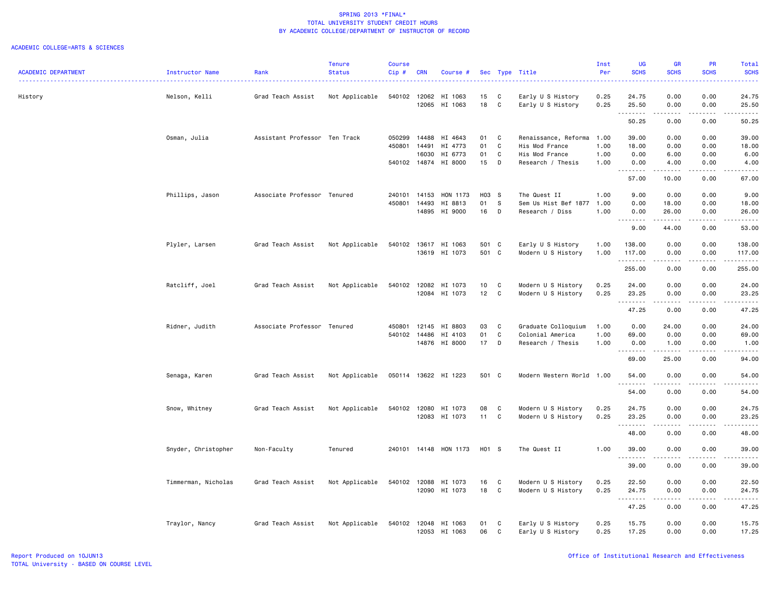|                            |                     |                               | <b>Tenure</b>  | <b>Course</b> |            |                       |                 |              |                           | Inst | <b>UG</b>           | <b>GR</b>           | <b>PR</b>             | Total                                                                                                                              |
|----------------------------|---------------------|-------------------------------|----------------|---------------|------------|-----------------------|-----------------|--------------|---------------------------|------|---------------------|---------------------|-----------------------|------------------------------------------------------------------------------------------------------------------------------------|
| <b>ACADEMIC DEPARTMENT</b> | Instructor Name     | Rank                          | <b>Status</b>  | Cip#          | <b>CRN</b> | Course #              |                 |              | Sec Type Title            | Per  | <b>SCHS</b>         | <b>SCHS</b>         | <b>SCHS</b>           | <b>SCHS</b>                                                                                                                        |
| History                    | Nelson, Kelli       | Grad Teach Assist             | Not Applicable | 540102        | 12062      | HI 1063               | 15              | C            | Early U S History         | 0.25 | 24.75               | 0.00                | 0.00                  | 24.75                                                                                                                              |
|                            |                     |                               |                |               | 12065      | HI 1063               | 18              | C            | Early U S History         | 0.25 | 25.50<br>.          | 0.00<br>.           | 0.00<br>.             | 25.50<br>.                                                                                                                         |
|                            |                     |                               |                |               |            |                       |                 |              |                           |      | 50.25               | 0.00                | 0.00                  | 50.25                                                                                                                              |
|                            | Osman, Julia        | Assistant Professor Ten Track |                | 050299        | 14488      | HI 4643               | 01              | C            | Renaissance, Reforma 1.00 |      | 39.00               | 0.00                | 0.00                  | 39.00                                                                                                                              |
|                            |                     |                               |                | 450801        | 14491      | HI 4773               | 01              | C            | His Mod France            | 1.00 | 18.00               | 0.00                | 0.00                  | 18.00                                                                                                                              |
|                            |                     |                               |                |               | 16030      | HI 6773               | 01              | C            | His Mod France            | 1.00 | 0.00                | 6.00                | 0.00                  | 6.00                                                                                                                               |
|                            |                     |                               |                |               |            | 540102 14874 HI 8000  | 15              | D            | Research / Thesis         | 1.00 | 0.00                | 4.00<br>.           | 0.00<br>.             | 4.00<br>.                                                                                                                          |
|                            |                     |                               |                |               |            |                       |                 |              |                           |      | 57.00               | 10.00               | 0.00                  | 67.00                                                                                                                              |
|                            | Phillips, Jason     | Associate Professor Tenured   |                | 240101        | 14153      | HON 1173              | H03 S           |              | The Quest II              | 1.00 | 9.00                | 0.00                | 0.00                  | 9.00                                                                                                                               |
|                            |                     |                               |                | 450801        | 14493      | HI 8813               | 01              | S.           | Sem Us Hist Bef 1877      | 1.00 | 0.00                | 18.00               | 0.00                  | 18.00                                                                                                                              |
|                            |                     |                               |                |               | 14895      | HI 9000               | 16              | D            | Research / Diss           | 1.00 | 0.00                | 26.00               | 0.00                  | 26.00<br>.                                                                                                                         |
|                            |                     |                               |                |               |            |                       |                 |              |                           |      | 9.00                | 44.00               | 0.00                  | 53.00                                                                                                                              |
|                            | Plyler, Larsen      | Grad Teach Assist             | Not Applicable | 540102        |            | 13617 HI 1063         | 501 C           |              | Early U S History         | 1.00 | 138.00              | 0.00                | 0.00                  | 138.00                                                                                                                             |
|                            |                     |                               |                |               |            | 13619 HI 1073         | 501 C           |              | Modern U S History        | 1.00 | 117.00              | 0.00                | 0.00                  | 117.00                                                                                                                             |
|                            |                     |                               |                |               |            |                       |                 |              |                           |      | .                   | .                   | .                     | 2.2.2.2.2.3                                                                                                                        |
|                            |                     |                               |                |               |            |                       |                 |              |                           |      | 255.00              | 0.00                | 0.00                  | 255.00                                                                                                                             |
|                            | Ratcliff, Joel      | Grad Teach Assist             | Not Applicable |               |            | 540102 12082 HI 1073  | 10 <sub>1</sub> | C            | Modern U S History        | 0.25 | 24.00               | 0.00                | 0.00                  | 24.00                                                                                                                              |
|                            |                     |                               |                |               |            | 12084 HI 1073         | 12              | C            | Modern U S History        | 0.25 | 23.25               | 0.00                | 0.00                  | 23.25                                                                                                                              |
|                            |                     |                               |                |               |            |                       |                 |              |                           |      | .<br>47.25          | 0.00                | $\frac{1}{2}$<br>0.00 | $\frac{1}{2} \left( \frac{1}{2} \right) \left( \frac{1}{2} \right) \left( \frac{1}{2} \right) \left( \frac{1}{2} \right)$<br>47.25 |
|                            | Ridner, Judith      | Associate Professor Tenured   |                | 450801        | 12145      | HI 8803               | 03              | C            | Graduate Colloquium       | 1.00 | 0.00                | 24.00               | 0.00                  | 24.00                                                                                                                              |
|                            |                     |                               |                | 540102        | 14486      | HI 4103               | 01              | $\mathbb{C}$ | Colonial America          | 1.00 | 69.00               | 0.00                | 0.00                  | 69.00                                                                                                                              |
|                            |                     |                               |                |               |            | 14876 HI 8000         | 17              | D            | Research / Thesis         | 1.00 | 0.00                | 1.00                | 0.00                  | 1.00                                                                                                                               |
|                            |                     |                               |                |               |            |                       |                 |              |                           |      | . <b>.</b><br>69.00 | . <b>.</b><br>25.00 | .<br>0.00             | .<br>94.00                                                                                                                         |
|                            |                     |                               |                |               |            |                       |                 |              |                           |      |                     |                     |                       |                                                                                                                                    |
|                            | Senaga, Karen       | Grad Teach Assist             | Not Applicable |               |            | 050114 13622 HI 1223  | 501 C           |              | Modern Western World      | 1.00 | 54.00<br>.          | 0.00<br>.           | 0.00<br>.             | 54.00<br>.                                                                                                                         |
|                            |                     |                               |                |               |            |                       |                 |              |                           |      | 54.00               | 0.00                | 0.00                  | 54.00                                                                                                                              |
|                            | Snow, Whitney       | Grad Teach Assist             | Not Applicable | 540102        | 12080      | HI 1073               | 08              | C            | Modern U S History        | 0.25 | 24.75               | 0.00                | 0.00                  | 24.75                                                                                                                              |
|                            |                     |                               |                |               |            | 12083 HI 1073         | 11              | $\mathbf{C}$ | Modern U S History        | 0.25 | 23.25               | 0.00                | 0.00                  | 23.25                                                                                                                              |
|                            |                     |                               |                |               |            |                       |                 |              |                           |      | .                   | -----               | .                     | .                                                                                                                                  |
|                            |                     |                               |                |               |            |                       |                 |              |                           |      | 48.00               | 0.00                | 0.00                  | 48.00                                                                                                                              |
|                            | Snyder, Christopher | Non-Faculty                   | Tenured        |               |            | 240101 14148 HON 1173 | H01 S           |              | The Quest II              | 1.00 | 39.00<br>.          | 0.00                | 0.00                  | 39.00                                                                                                                              |
|                            |                     |                               |                |               |            |                       |                 |              |                           |      | 39.00               | 0.00                | 0.00                  | 39.00                                                                                                                              |
|                            | Timmerman, Nicholas | Grad Teach Assist             | Not Applicable | 540102        | 12088      | HI 1073               | 16              | C            | Modern U S History        | 0.25 | 22.50               | 0.00                | 0.00                  | 22.50                                                                                                                              |
|                            |                     |                               |                |               |            | 12090 HI 1073         | 18              | C            | Modern U S History        | 0.25 | 24.75               | 0.00                | 0.00                  | 24.75                                                                                                                              |
|                            |                     |                               |                |               |            |                       |                 |              |                           |      | .                   | ----                | $\frac{1}{2}$         | .                                                                                                                                  |
|                            |                     |                               |                |               |            |                       |                 |              |                           |      | 47.25               | 0.00                | 0.00                  | 47.25                                                                                                                              |
|                            | Traylor, Nancy      | Grad Teach Assist             | Not Applicable |               |            | 540102 12048 HI 1063  | 01              | C            | Early U S History         | 0.25 | 15.75               | 0.00                | 0.00                  | 15.75                                                                                                                              |
|                            |                     |                               |                |               |            | 12053 HI 1063         | 06              | C            | Early U S History         | 0.25 | 17.25               | 0.00                | 0.00                  | 17.25                                                                                                                              |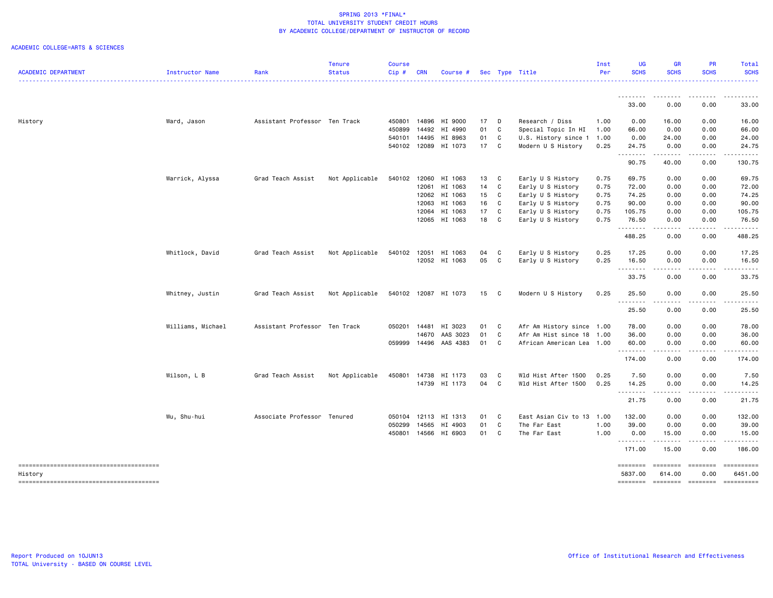| <b>ACADEMIC DEPARTMENT</b> | Instructor Name   | Rank                          | <b>Tenure</b><br><b>Status</b> | <b>Course</b><br>$Cip \#$ | <b>CRN</b> | Course #             |    |   | Sec Type Title            | Inst<br>Per | <b>UG</b><br><b>SCHS</b> | <b>GR</b><br><b>SCHS</b> | <b>PR</b><br><b>SCHS</b>                                                                                                                                                                                                                                                                                                                                                                                                                                                                                                  | Total<br><b>SCHS</b>   |
|----------------------------|-------------------|-------------------------------|--------------------------------|---------------------------|------------|----------------------|----|---|---------------------------|-------------|--------------------------|--------------------------|---------------------------------------------------------------------------------------------------------------------------------------------------------------------------------------------------------------------------------------------------------------------------------------------------------------------------------------------------------------------------------------------------------------------------------------------------------------------------------------------------------------------------|------------------------|
|                            |                   |                               |                                |                           |            |                      |    |   |                           |             |                          |                          |                                                                                                                                                                                                                                                                                                                                                                                                                                                                                                                           | $- - - - - - -$        |
|                            |                   |                               |                                |                           |            |                      |    |   |                           |             | 33.00                    | 0.00                     | 0.00                                                                                                                                                                                                                                                                                                                                                                                                                                                                                                                      | 33.00                  |
| History                    | Ward, Jason       | Assistant Professor Ten Track |                                | 450801                    | 14896      | HI 9000              | 17 | D | Research / Diss           | 1.00        | 0.00                     | 16.00                    | 0.00                                                                                                                                                                                                                                                                                                                                                                                                                                                                                                                      | 16.00                  |
|                            |                   |                               |                                | 450899                    | 14492      | HI 4990              | 01 | C | Special Topic In HI       | 1.00        | 66.00                    | 0.00                     | 0.00                                                                                                                                                                                                                                                                                                                                                                                                                                                                                                                      | 66.00                  |
|                            |                   |                               |                                | 540101                    | 14495      | HI 8963              | 01 | C | U.S. History since 1      | 1.00        | 0.00                     | 24.00                    | 0.00                                                                                                                                                                                                                                                                                                                                                                                                                                                                                                                      | 24.00                  |
|                            |                   |                               |                                |                           |            | 540102 12089 HI 1073 | 17 | C | Modern U S History        | 0.25        | 24.75<br>. <b>.</b>      | 0.00<br>.                | 0.00<br>.                                                                                                                                                                                                                                                                                                                                                                                                                                                                                                                 | 24.75<br>.             |
|                            |                   |                               |                                |                           |            |                      |    |   |                           |             | 90.75                    | 40.00                    | 0.00                                                                                                                                                                                                                                                                                                                                                                                                                                                                                                                      | 130.75                 |
|                            | Warrick, Alyssa   | Grad Teach Assist             | Not Applicable                 | 540102                    | 12060      | HI 1063              | 13 | C | Early U S History         | 0.75        | 69.75                    | 0.00                     | 0.00                                                                                                                                                                                                                                                                                                                                                                                                                                                                                                                      | 69.75                  |
|                            |                   |                               |                                |                           | 12061      | HI 1063              | 14 | C | Early U S History         | 0.75        | 72.00                    | 0.00                     | 0.00                                                                                                                                                                                                                                                                                                                                                                                                                                                                                                                      | 72.00                  |
|                            |                   |                               |                                |                           | 12062      | HI 1063              | 15 | C | Early U S History         | 0.75        | 74.25                    | 0.00                     | 0.00                                                                                                                                                                                                                                                                                                                                                                                                                                                                                                                      | 74.25                  |
|                            |                   |                               |                                |                           | 12063      | HI 1063              | 16 | C | Early U S History         | 0.75        | 90.00                    | 0.00                     | 0.00                                                                                                                                                                                                                                                                                                                                                                                                                                                                                                                      | 90.00                  |
|                            |                   |                               |                                |                           | 12064      | HI 1063              | 17 | C | Early U S History         | 0.75        | 105.75                   | 0.00                     | 0.00                                                                                                                                                                                                                                                                                                                                                                                                                                                                                                                      | 105.75                 |
|                            |                   |                               |                                |                           |            | 12065 HI 1063        | 18 | C | Early U S History         | 0.75        | 76.50<br>. <b>.</b>      | 0.00<br>$- - - -$        | 0.00<br>$\frac{1}{2}$                                                                                                                                                                                                                                                                                                                                                                                                                                                                                                     | 76.50<br>.             |
|                            |                   |                               |                                |                           |            |                      |    |   |                           |             | 488.25                   | 0.00                     | 0.00                                                                                                                                                                                                                                                                                                                                                                                                                                                                                                                      | 488.25                 |
|                            | Whitlock, David   | Grad Teach Assist             | Not Applicable                 | 540102                    | 12051      | HI 1063              | 04 | C | Early U S History         | 0.25        | 17.25                    | 0.00                     | 0.00                                                                                                                                                                                                                                                                                                                                                                                                                                                                                                                      | 17.25                  |
|                            |                   |                               |                                |                           |            | 12052 HI 1063        | 05 | C | Early U S History         | 0.25        | 16.50                    | 0.00                     | 0.00<br>.                                                                                                                                                                                                                                                                                                                                                                                                                                                                                                                 | 16.50<br>.             |
|                            |                   |                               |                                |                           |            |                      |    |   |                           |             | .<br>33.75               | -----<br>0.00            | 0.00                                                                                                                                                                                                                                                                                                                                                                                                                                                                                                                      | 33.75                  |
|                            | Whitney, Justin   | Grad Teach Assist             | Not Applicable                 |                           |            | 540102 12087 HI 1073 | 15 | C | Modern U S History        | 0.25        | 25.50                    | 0.00                     | 0.00                                                                                                                                                                                                                                                                                                                                                                                                                                                                                                                      | 25.50                  |
|                            |                   |                               |                                |                           |            |                      |    |   |                           |             | --------<br>25.50        | .<br>0.00                | $\cdots$<br>0.00                                                                                                                                                                                                                                                                                                                                                                                                                                                                                                          | د ما ما ما ما<br>25.50 |
|                            | Williams, Michael | Assistant Professor Ten Track |                                | 050201                    | 14481      | HI 3023              | 01 | C | Afr Am History since 1.00 |             | 78.00                    | 0.00                     | 0.00                                                                                                                                                                                                                                                                                                                                                                                                                                                                                                                      | 78.00                  |
|                            |                   |                               |                                |                           | 14670      | AAS 3023             | 01 | C | Afr Am Hist since 18      | 1.00        | 36.00                    | 0.00                     | 0.00                                                                                                                                                                                                                                                                                                                                                                                                                                                                                                                      | 36.00                  |
|                            |                   |                               |                                | 059999                    | 14496      | AAS 4383             | 01 | C | African American Lea 1.00 |             | 60.00<br>.               | 0.00<br>.                | 0.00<br>.                                                                                                                                                                                                                                                                                                                                                                                                                                                                                                                 | 60.00<br>.             |
|                            |                   |                               |                                |                           |            |                      |    |   |                           |             | 174.00                   | 0.00                     | 0.00                                                                                                                                                                                                                                                                                                                                                                                                                                                                                                                      | 174.00                 |
|                            | Wilson, L B       | Grad Teach Assist             | Not Applicable                 | 450801                    | 14738      | HI 1173              | 03 | C | Wld Hist After 1500       | 0.25        | 7.50                     | 0.00                     | 0.00                                                                                                                                                                                                                                                                                                                                                                                                                                                                                                                      | 7.50                   |
|                            |                   |                               |                                |                           |            | 14739 HI 1173        | 04 | C | Wld Hist After 1500       | 0.25        | 14.25<br>--------        | 0.00<br>-----            | 0.00<br>.                                                                                                                                                                                                                                                                                                                                                                                                                                                                                                                 | 14.25<br>.             |
|                            |                   |                               |                                |                           |            |                      |    |   |                           |             | 21.75                    | 0.00                     | 0.00                                                                                                                                                                                                                                                                                                                                                                                                                                                                                                                      | 21.75                  |
|                            | Wu, Shu-hui       | Associate Professor Tenured   |                                | 050104                    | 12113      | HI 1313              | 01 | C | East Asian Civ to 13      | 1.00        | 132.00                   | 0.00                     | 0.00                                                                                                                                                                                                                                                                                                                                                                                                                                                                                                                      | 132.00                 |
|                            |                   |                               |                                | 050299                    | 14565      | HI 4903              | 01 | C | The Far East              | 1.00        | 39.00                    | 0.00                     | 0.00                                                                                                                                                                                                                                                                                                                                                                                                                                                                                                                      | 39.00                  |
|                            |                   |                               |                                | 450801                    |            | 14566 HI 6903        | 01 | C | The Far East              | 1.00        | 0.00                     | 15.00                    | 0.00                                                                                                                                                                                                                                                                                                                                                                                                                                                                                                                      | 15.00                  |
|                            |                   |                               |                                |                           |            |                      |    |   |                           |             | .<br>171.00              | .<br>15.00               | .<br>0.00                                                                                                                                                                                                                                                                                                                                                                                                                                                                                                                 | .<br>186.00            |
|                            |                   |                               |                                |                           |            |                      |    |   |                           |             | ========                 | ========                 | ========                                                                                                                                                                                                                                                                                                                                                                                                                                                                                                                  | ==========             |
| History                    |                   |                               |                                |                           |            |                      |    |   |                           |             | 5837.00                  | 614.00                   | 0.00                                                                                                                                                                                                                                                                                                                                                                                                                                                                                                                      | 6451.00                |
|                            |                   |                               |                                |                           |            |                      |    |   |                           |             | ========                 | <b>CODODOCI</b>          | $\begin{array}{c} \multicolumn{3}{c} {\small \texttt{m}} = \multicolumn{3}{c} {\small \texttt{m}} = \multicolumn{3}{c} {\small \texttt{m}} = \multicolumn{3}{c} {\small \texttt{m}} = \multicolumn{3}{c} {\small \texttt{m}} = \multicolumn{3}{c} {\small \texttt{m}} = \multicolumn{3}{c} {\small \texttt{m}} = \multicolumn{3}{c} {\small \texttt{m}} = \multicolumn{3}{c} {\small \texttt{m}} = \multicolumn{3}{c} {\small \texttt{m}} = \multicolumn{3}{c} {\small \texttt{m}} = \multicolumn{3}{c} {\small \texttt{$ |                        |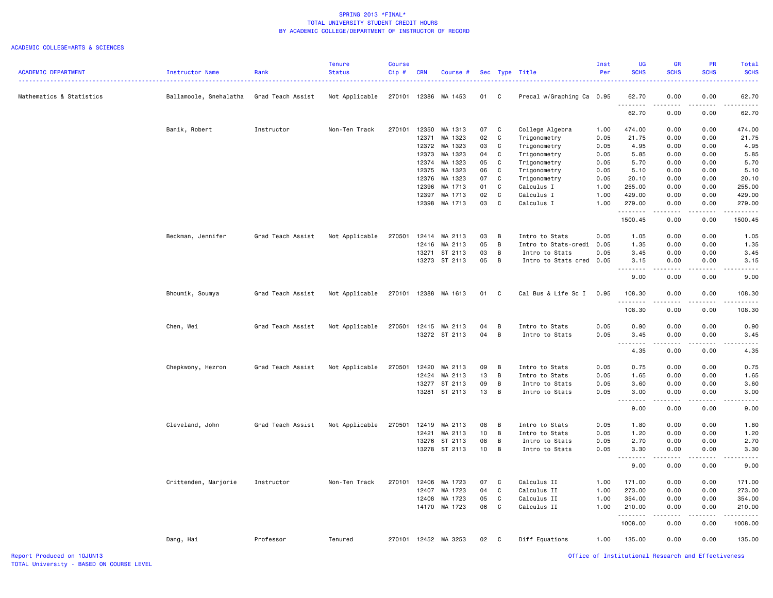### ACADEMIC COLLEGE=ARTS & SCIENCES

|                            |                        |                   | <b>Tenure</b>  | <b>Course</b> |            |                      |    |              |                           | Inst | <b>UG</b>        | <b>GR</b>         | <b>PR</b>   | Total                               |
|----------------------------|------------------------|-------------------|----------------|---------------|------------|----------------------|----|--------------|---------------------------|------|------------------|-------------------|-------------|-------------------------------------|
| <b>ACADEMIC DEPARTMENT</b> | Instructor Name        | Rank              | <b>Status</b>  | Cip#          | <b>CRN</b> | Course #             |    | Sec Type     | Title                     | Per  | <b>SCHS</b>      | <b>SCHS</b>       | <b>SCHS</b> | <b>SCHS</b>                         |
| Mathematics & Statistics   | Ballamoole, Snehalatha | Grad Teach Assist | Not Applicable |               |            | 270101 12386 MA 1453 | 01 | C            | Precal w/Graphing Ca 0.95 |      | 62.70            | 0.00              | 0.00        | 62.70                               |
|                            |                        |                   |                |               |            |                      |    |              |                           |      | .<br>62.70       | .<br>0.00         | .<br>0.00   | -----<br>62.70                      |
|                            | Banik, Robert          | Instructor        | Non-Ten Track  | 270101        | 12350      | MA 1313              | 07 | C            | College Algebra           | 1.00 | 474.00           | 0.00              | 0.00        | 474.00                              |
|                            |                        |                   |                |               | 12371      | MA 1323              | 02 | C            | Trigonometry              | 0.05 | 21.75            | 0.00              | 0.00        | 21.75                               |
|                            |                        |                   |                |               | 12372      | MA 1323              | 03 | C            | Trigonometry              | 0.05 | 4.95             | 0.00              | 0.00        | 4.95                                |
|                            |                        |                   |                |               | 12373      | MA 1323              | 04 | C            | Trigonometry              | 0.05 | 5.85             | 0.00              | 0.00        | 5.85                                |
|                            |                        |                   |                |               | 12374      | MA 1323              | 05 | C            | Trigonometry              | 0.05 | 5.70             | 0.00              | 0.00        | 5.70                                |
|                            |                        |                   |                |               | 12375      | MA 1323              | 06 | C            | Trigonometry              | 0.05 | 5.10             | 0.00              | 0.00        | 5.10                                |
|                            |                        |                   |                |               | 12376      | MA 1323              | 07 | C            | Trigonometry              | 0.05 | 20.10            | 0.00              | 0.00        | 20.10                               |
|                            |                        |                   |                |               | 12396      | MA 1713              | 01 | C            | Calculus I                | 1.00 | 255.00           | 0.00              | 0.00        | 255.00                              |
|                            |                        |                   |                |               | 12397      | MA 1713              | 02 | C            | Calculus I                | 1.00 | 429.00           | 0.00              | 0.00        | 429.00                              |
|                            |                        |                   |                |               |            | 12398 MA 1713        | 03 | C            | Calculus I                | 1.00 | 279.00<br>.      | 0.00<br>د د د د   | 0.00<br>.   | 279.00                              |
|                            |                        |                   |                |               |            |                      |    |              |                           |      | 1500.45          | 0.00              | 0.00        | 1500.45                             |
|                            | Beckman, Jennifer      | Grad Teach Assist | Not Applicable | 270501        | 12414      | MA 2113              | 03 | B            | Intro to Stats            | 0.05 | 1.05             | 0.00              | 0.00        | 1.05                                |
|                            |                        |                   |                |               | 12416      | MA 2113              | 05 | B            | Intro to Stats-credi 0.05 |      | 1.35             | 0.00              | 0.00        | 1.35                                |
|                            |                        |                   |                |               |            | 13271 ST 2113        | 03 | B            | Intro to Stats            | 0.05 | 3.45             | 0.00              | 0.00        | 3.45                                |
|                            |                        |                   |                |               |            | 13273 ST 2113        | 05 | B            | Intro to Stats cred 0.05  |      | 3.15             | 0.00              | 0.00        | 3.15                                |
|                            |                        |                   |                |               |            |                      |    |              |                           |      | .<br>9.00        | .<br>0.00         | .<br>0.00   | $\sim$ $\sim$ $\sim$ $\sim$<br>9.00 |
|                            |                        |                   |                |               |            |                      |    |              |                           |      |                  |                   |             |                                     |
|                            | Bhoumik, Soumya        | Grad Teach Assist | Not Applicable | 270101        |            | 12388 MA 1613        | 01 | C            | Cal Bus & Life Sc I       | 0.95 | 108.30<br>.      | 0.00<br>.         | 0.00<br>.   | 108.30<br>$- - - - -$               |
|                            |                        |                   |                |               |            |                      |    |              |                           |      | 108.30           | 0.00              | 0.00        | 108.30                              |
|                            | Chen, Wei              | Grad Teach Assist | Not Applicable | 270501        |            | 12415 MA 2113        | 04 | B            | Intro to Stats            | 0.05 | 0.90             | 0.00              | 0.00        | 0.90                                |
|                            |                        |                   |                |               |            | 13272 ST 2113        | 04 | B            | Intro to Stats            | 0.05 | 3.45             | 0.00              | 0.00        | 3.45                                |
|                            |                        |                   |                |               |            |                      |    |              |                           |      | .<br>4.35        | 0.00              | 0.00        | 4.35                                |
|                            |                        |                   |                |               |            |                      |    |              |                           |      |                  |                   |             |                                     |
|                            | Chepkwony, Hezron      | Grad Teach Assist | Not Applicable | 270501        | 12420      | MA 2113              | 09 | B            | Intro to Stats            | 0.05 | 0.75             | 0.00              | 0.00        | 0.75                                |
|                            |                        |                   |                |               | 12424      | MA 2113              | 13 | B            | Intro to Stats            | 0.05 | 1.65             | 0.00              | 0.00        | 1.65                                |
|                            |                        |                   |                |               | 13277      | ST 2113              | 09 | B            | Intro to Stats            | 0.05 | 3.60             | 0.00              | 0.00        | 3.60                                |
|                            |                        |                   |                |               |            | 13281 ST 2113        | 13 | B            | Intro to Stats            | 0.05 | 3.00<br><b>.</b> | 0.00<br>المتماما  | 0.00<br>.   | 3.00<br>$\frac{1}{2}$               |
|                            |                        |                   |                |               |            |                      |    |              |                           |      | 9.00             | 0.00              | 0.00        | 9.00                                |
|                            | Cleveland, John        | Grad Teach Assist | Not Applicable | 270501        | 12419      | MA 2113              | 08 | B            | Intro to Stats            | 0.05 | 1.80             | 0.00              | 0.00        | 1.80                                |
|                            |                        |                   |                |               | 12421      | MA 2113              | 10 | B            | Intro to Stats            | 0.05 | 1.20             | 0.00              | 0.00        | 1.20                                |
|                            |                        |                   |                |               | 13276      | ST 2113              | 08 | B            | Intro to Stats            | 0.05 | 2.70             | 0.00              | 0.00        | 2.70                                |
|                            |                        |                   |                |               |            | 13278 ST 2113        | 10 | B            | Intro to Stats            | 0.05 | 3.30<br>.        | 0.00<br>المتمالين | 0.00<br>.   | 3.30<br>.                           |
|                            |                        |                   |                |               |            |                      |    |              |                           |      | 9.00             | 0.00              | 0.00        | 9.00                                |
|                            | Crittenden, Marjorie   | Instructor        | Non-Ten Track  | 270101        | 12406      | MA 1723              | 07 | C            | Calculus II               | 1.00 | 171.00           | 0.00              | 0.00        | 171.00                              |
|                            |                        |                   |                |               | 12407      | MA 1723              | 04 | C            | Calculus II               | 1.00 | 273.00           | 0.00              | 0.00        | 273.00                              |
|                            |                        |                   |                |               | 12408      | MA 1723              | 05 | C            | Calculus II               | 1.00 | 354.00           | 0.00              | 0.00        | 354.00                              |
|                            |                        |                   |                |               |            | 14170 MA 1723        | 06 | C            | Calculus II               | 1.00 | 210.00<br>.      | 0.00              | 0.00        | 210.00                              |
|                            |                        |                   |                |               |            |                      |    |              |                           |      | 1008.00          | 0.00              | 0.00        | 1008.00                             |
|                            | Dang, Hai              | Professor         | Tenured        |               |            | 270101 12452 MA 3253 | 02 | $\mathbf{C}$ | Diff Equations            | 1.00 | 135.00           | 0.00              | 0.00        | 135.00                              |

Report Produced on 10JUN13 Office of Institutional Research and Effectiveness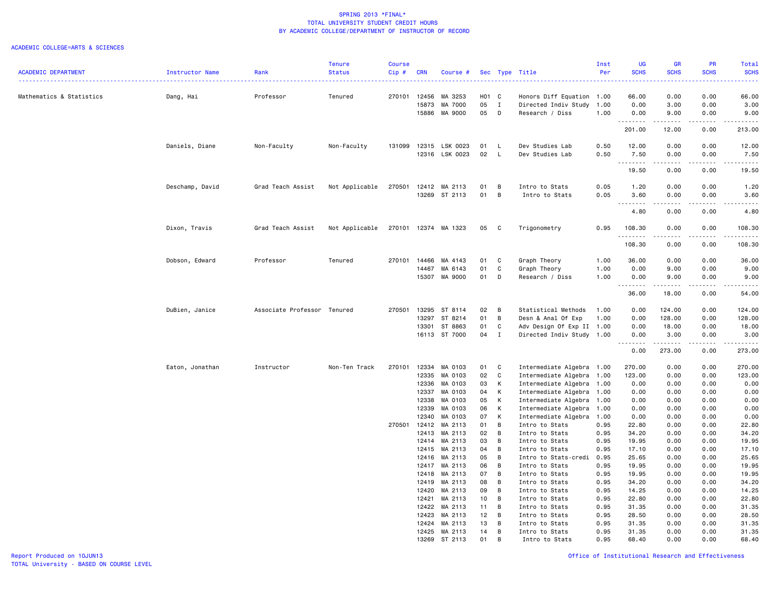|                            |                 |                             | <b>Tenure</b>  | <b>Course</b> |                |                                |          |                     |                                                        | Inst         | <b>UG</b>                               | GR           | PR                | <b>Total</b>                                                                                                                                                                              |
|----------------------------|-----------------|-----------------------------|----------------|---------------|----------------|--------------------------------|----------|---------------------|--------------------------------------------------------|--------------|-----------------------------------------|--------------|-------------------|-------------------------------------------------------------------------------------------------------------------------------------------------------------------------------------------|
| <b>ACADEMIC DEPARTMENT</b> | Instructor Name | Rank                        | <b>Status</b>  | Cip #         | <b>CRN</b>     | Course #                       |          |                     | Sec Type Title                                         | Per          | <b>SCHS</b>                             | <b>SCHS</b>  | <b>SCHS</b>       | <b>SCHS</b>                                                                                                                                                                               |
|                            |                 |                             |                |               |                |                                |          |                     |                                                        |              |                                         |              |                   | $\omega$ is $\omega$ in .                                                                                                                                                                 |
| Mathematics & Statistics   | Dang, Hai       | Professor                   | Tenured        | 270101        | 12456          | MA 3253                        | H01 C    |                     | Honors Diff Equation                                   | 1.00         | 66.00                                   | 0.00         | 0.00              | 66.00                                                                                                                                                                                     |
|                            |                 |                             |                |               | 15873          | MA 7000                        | 05       | $\mathbf{I}$        | Directed Indiv Study                                   | 1.00         | 0.00                                    | 3.00         | 0.00              | 3.00                                                                                                                                                                                      |
|                            |                 |                             |                |               |                | 15886 MA 9000                  | 05       | D                   | Research / Diss                                        | 1.00         | 0.00                                    | 9.00         | 0.00              | 9.00                                                                                                                                                                                      |
|                            |                 |                             |                |               |                |                                |          |                     |                                                        |              | .<br>201.00                             | 12.00        | $- - - -$<br>0.00 | 213.00                                                                                                                                                                                    |
|                            | Daniels, Diane  | Non-Faculty                 | Non-Faculty    | 131099        |                | 12315 LSK 0023                 | 01       | L                   | Dev Studies Lab                                        | 0.50         | 12.00                                   | 0.00         | 0.00              | 12.00                                                                                                                                                                                     |
|                            |                 |                             |                |               |                | 12316 LSK 0023                 | 02       | L.                  | Dev Studies Lab                                        | 0.50         | 7.50                                    | 0.00         | 0.00              | 7.50                                                                                                                                                                                      |
|                            |                 |                             |                |               |                |                                |          |                     |                                                        |              | .<br>19.50                              | .<br>0.00    | .<br>0.00         | .<br>19.50                                                                                                                                                                                |
|                            |                 |                             |                | 270501        |                |                                |          |                     |                                                        |              |                                         |              |                   |                                                                                                                                                                                           |
|                            | Deschamp, David | Grad Teach Assist           | Not Applicable |               |                | 12412 MA 2113<br>13269 ST 2113 | 01<br>01 | В<br>$\overline{B}$ | Intro to Stats<br>Intro to Stats                       | 0.05<br>0.05 | 1.20<br>3.60                            | 0.00<br>0.00 | 0.00<br>0.00      | 1.20<br>3.60                                                                                                                                                                              |
|                            |                 |                             |                |               |                |                                |          |                     |                                                        |              | $\sim$ $\sim$                           |              |                   | -----                                                                                                                                                                                     |
|                            |                 |                             |                |               |                |                                |          |                     |                                                        |              | 4.80                                    | 0.00         | 0.00              | 4.80                                                                                                                                                                                      |
|                            | Dixon, Travis   | Grad Teach Assist           | Not Applicable |               |                | 270101 12374 MA 1323           | 05       | C                   | Trigonometry                                           | 0.95         | 108.30<br>.                             | 0.00         | 0.00              | 108.30<br>$\omega$ is a second set of $\omega$                                                                                                                                            |
|                            |                 |                             |                |               |                |                                |          |                     |                                                        |              | 108.30                                  | 0.00         | 0.00              | 108.30                                                                                                                                                                                    |
|                            | Dobson, Edward  | Professor                   | Tenured        | 270101        | 14466          | MA 4143                        | 01       | C                   | Graph Theory                                           | 1.00         | 36.00                                   | 0.00         | 0.00              | 36.00                                                                                                                                                                                     |
|                            |                 |                             |                |               | 14467          | MA 6143                        | 01       | C                   | Graph Theory                                           | 1.00         | 0.00                                    | 9.00         | 0.00              | 9.00                                                                                                                                                                                      |
|                            |                 |                             |                |               | 15307          | MA 9000                        | 01       | D                   | Research / Diss                                        | 1.00         | 0.00                                    | 9.00         | 0.00              | 9.00                                                                                                                                                                                      |
|                            |                 |                             |                |               |                |                                |          |                     |                                                        |              | .<br>36.00                              | .<br>18.00   | .<br>0.00         | .<br>54.00                                                                                                                                                                                |
|                            | DuBien, Janice  | Associate Professor Tenured |                | 270501        | 13295          | ST 8114                        | 02       | В                   | Statistical Methods                                    | 1.00         | 0.00                                    | 124.00       | 0.00              | 124.00                                                                                                                                                                                    |
|                            |                 |                             |                |               | 13297          | ST 8214                        | 01       | В                   | Desn & Anal Of Exp                                     | 1.00         | 0.00                                    | 128.00       | 0.00              | 128.00                                                                                                                                                                                    |
|                            |                 |                             |                |               | 13301          | ST 8863                        | 01       | C                   | Adv Design Of Exp II 1.00                              |              | 0.00                                    | 18.00        | 0.00              | 18.00                                                                                                                                                                                     |
|                            |                 |                             |                |               | 16113          | ST 7000                        | 04       | $\mathbf{I}$        | Directed Indiv Study 1.00                              |              | 0.00                                    | 3.00         | 0.00              | 3.00                                                                                                                                                                                      |
|                            |                 |                             |                |               |                |                                |          |                     |                                                        |              | د د د د<br>$\sim$ $\sim$ $\sim$<br>0.00 | .<br>273.00  | .<br>0.00         | $\frac{1}{2} \left( \frac{1}{2} \right) \left( \frac{1}{2} \right) \left( \frac{1}{2} \right) \left( \frac{1}{2} \right) \left( \frac{1}{2} \right) \left( \frac{1}{2} \right)$<br>273.00 |
|                            |                 |                             |                |               |                |                                |          |                     |                                                        |              |                                         |              |                   |                                                                                                                                                                                           |
|                            | Eaton, Jonathan | Instructor                  | Non-Ten Track  | 270101        | 12334<br>12335 | MA 0103<br>MA 0103             | 01<br>02 | C<br>$\mathbb{C}$   | Intermediate Algebra 1.00<br>Intermediate Algebra 1.00 |              | 270.00<br>123.00                        | 0.00<br>0.00 | 0.00<br>0.00      | 270.00<br>123.00                                                                                                                                                                          |
|                            |                 |                             |                |               | 12336          | MA 0103                        | 03       | К                   | Intermediate Algebra 1.00                              |              | 0.00                                    | 0.00         | 0.00              | 0.00                                                                                                                                                                                      |
|                            |                 |                             |                |               | 12337          | MA 0103                        | 04       | К                   | Intermediate Algebra 1.00                              |              | 0.00                                    | 0.00         | 0.00              | 0.00                                                                                                                                                                                      |
|                            |                 |                             |                |               | 12338          | MA 0103                        | 05       | К                   | Intermediate Algebra 1.00                              |              | 0.00                                    | 0.00         | 0.00              | 0.00                                                                                                                                                                                      |
|                            |                 |                             |                |               | 12339          | MA 0103                        | 06       | К                   | Intermediate Algebra                                   | 1.00         | 0.00                                    | 0.00         | 0.00              | 0.00                                                                                                                                                                                      |
|                            |                 |                             |                |               | 12340          | MA 0103                        | 07       | К                   | Intermediate Algebra                                   | 1.00         | 0.00                                    | 0.00         | 0.00              | 0.00                                                                                                                                                                                      |
|                            |                 |                             |                | 270501        | 12412          | MA 2113                        | 01       | В                   | Intro to Stats                                         | 0.95         | 22.80                                   | 0.00         | 0.00              | 22.80                                                                                                                                                                                     |
|                            |                 |                             |                |               | 12413          | MA 2113                        | 02       | В                   | Intro to Stats                                         | 0.95         | 34.20                                   | 0.00         | 0.00              | 34.20                                                                                                                                                                                     |
|                            |                 |                             |                |               | 12414          | MA 2113                        | 03       | В                   | Intro to Stats                                         | 0.95         | 19.95                                   | 0.00         | 0.00              | 19.95                                                                                                                                                                                     |
|                            |                 |                             |                |               | 12415          | MA 2113                        | 04       | B                   | Intro to Stats                                         | 0.95         | 17.10                                   | 0.00         | 0.00              | 17.10                                                                                                                                                                                     |
|                            |                 |                             |                |               | 12416          | MA 2113                        | 05       | B                   | Intro to Stats-credi                                   | 0.95         | 25.65                                   | 0.00         | 0.00              | 25.65                                                                                                                                                                                     |
|                            |                 |                             |                |               | 12417          | MA 2113                        | 06       | B                   | Intro to Stats                                         | 0.95         | 19.95                                   | 0.00         | 0.00              | 19.95                                                                                                                                                                                     |
|                            |                 |                             |                |               | 12418          | MA 2113                        | 07       | В                   | Intro to Stats                                         | 0.95         | 19.95                                   | 0.00         | 0.00              | 19.95                                                                                                                                                                                     |
|                            |                 |                             |                |               | 12419          | MA 2113                        | 08       | В                   | Intro to Stats                                         | 0.95         | 34.20                                   | 0.00         | 0.00              | 34.20                                                                                                                                                                                     |
|                            |                 |                             |                |               | 12420          | MA 2113                        | 09       | В                   | Intro to Stats                                         | 0.95         | 14.25                                   | 0.00         | 0.00              | 14.25                                                                                                                                                                                     |
|                            |                 |                             |                |               | 12421          | MA 2113                        | 10       | В                   | Intro to Stats                                         | 0.95         | 22.80                                   | 0.00         | 0.00              | 22.80                                                                                                                                                                                     |
|                            |                 |                             |                |               | 12422          | MA 2113                        | 11       | В                   | Intro to Stats                                         | 0.95         | 31.35                                   | 0.00         | 0.00              | 31.35                                                                                                                                                                                     |
|                            |                 |                             |                |               | 12423          | MA 2113                        | 12       | В                   | Intro to Stats                                         | 0.95         | 28.50                                   | 0.00         | 0.00              | 28.50                                                                                                                                                                                     |
|                            |                 |                             |                |               | 12424          | MA 2113                        | 13       | В                   | Intro to Stats                                         | 0.95         | 31.35                                   | 0.00         | 0.00              | 31.35                                                                                                                                                                                     |
|                            |                 |                             |                |               | 13269          | 12425 MA 2113<br>ST 2113       | 14<br>01 | В<br>B              | Intro to Stats<br>Intro to Stats                       | 0.95<br>0.95 | 31.35<br>68,40                          | 0.00<br>0.00 | 0.00<br>0.00      | 31.35<br>68,40                                                                                                                                                                            |
|                            |                 |                             |                |               |                |                                |          |                     |                                                        |              |                                         |              |                   |                                                                                                                                                                                           |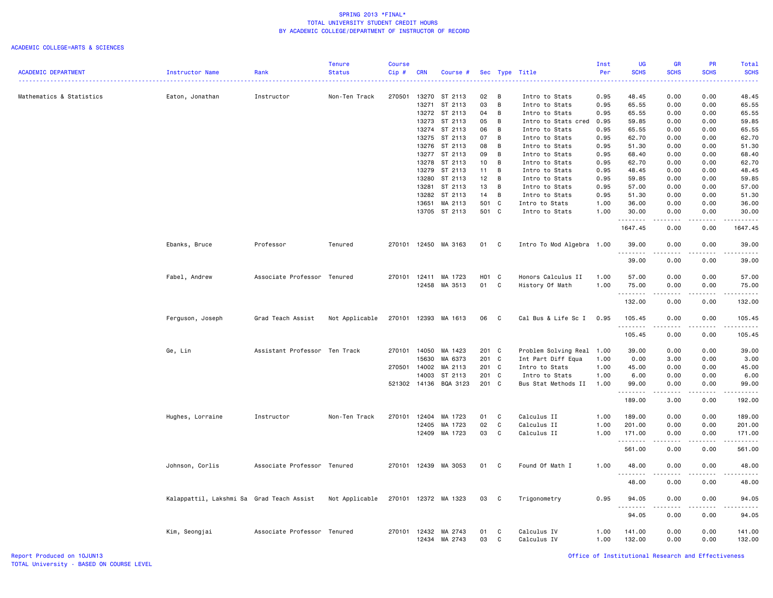### ACADEMIC COLLEGE=ARTS & SCIENCES

|                            |                                           |                               | <b>Tenure</b>  | <b>Course</b> |                |                      |                   |                   |                            | Inst         | <b>UG</b>          | <b>GR</b>                                                                                                                                                                                                                                                                                                                                                                                            | PR           | Total                          |
|----------------------------|-------------------------------------------|-------------------------------|----------------|---------------|----------------|----------------------|-------------------|-------------------|----------------------------|--------------|--------------------|------------------------------------------------------------------------------------------------------------------------------------------------------------------------------------------------------------------------------------------------------------------------------------------------------------------------------------------------------------------------------------------------------|--------------|--------------------------------|
| <b>ACADEMIC DEPARTMENT</b> | Instructor Name                           | Rank                          | <b>Status</b>  | Cip#          | <b>CRN</b>     | Course #             |                   |                   | Sec Type Title             | Per          | <b>SCHS</b>        | <b>SCHS</b>                                                                                                                                                                                                                                                                                                                                                                                          | <b>SCHS</b>  | <b>SCHS</b>                    |
|                            |                                           |                               |                |               |                |                      |                   |                   |                            |              |                    |                                                                                                                                                                                                                                                                                                                                                                                                      |              |                                |
| Mathematics & Statistics   | Eaton, Jonathan                           | Instructor                    | Non-Ten Track  | 270501        | 13270          | ST 2113              | 02                | B                 | Intro to Stats             | 0.95         | 48.45              | 0.00                                                                                                                                                                                                                                                                                                                                                                                                 | 0.00         | 48.45                          |
|                            |                                           |                               |                |               | 13271          | ST 2113              | 03                | В                 | Intro to Stats             | 0.95         | 65.55              | 0.00                                                                                                                                                                                                                                                                                                                                                                                                 | 0.00         | 65.55                          |
|                            |                                           |                               |                |               |                | 13272 ST 2113        | 04                | B                 | Intro to Stats             | 0.95         | 65.55              | 0.00                                                                                                                                                                                                                                                                                                                                                                                                 | 0.00         | 65.55                          |
|                            |                                           |                               |                |               | 13273          | ST 2113              | 05                | B                 | Intro to Stats cred        | 0.95         | 59.85              | 0.00                                                                                                                                                                                                                                                                                                                                                                                                 | 0.00         | 59.85                          |
|                            |                                           |                               |                |               |                | 13274 ST 2113        | 06                | B                 | Intro to Stats             | 0.95         | 65.55              | 0.00                                                                                                                                                                                                                                                                                                                                                                                                 | 0.00         | 65.55                          |
|                            |                                           |                               |                |               |                | 13275 ST 2113        | 07                | B                 | Intro to Stats             | 0.95         | 62.70              | 0.00                                                                                                                                                                                                                                                                                                                                                                                                 | 0.00         | 62.70                          |
|                            |                                           |                               |                |               |                | 13276 ST 2113        | 08                | B                 | Intro to Stats             | 0.95         | 51.30              | 0.00                                                                                                                                                                                                                                                                                                                                                                                                 | 0.00         | 51.30                          |
|                            |                                           |                               |                |               |                | 13277 ST 2113        | 09                | B                 | Intro to Stats             | 0.95         | 68.40              | 0.00                                                                                                                                                                                                                                                                                                                                                                                                 | 0.00         | 68.40                          |
|                            |                                           |                               |                |               | 13278          | ST 2113              | 10                | В                 | Intro to Stats             | 0.95         | 62.70              | 0.00                                                                                                                                                                                                                                                                                                                                                                                                 | 0.00         | 62.70                          |
|                            |                                           |                               |                |               | 13279          | ST 2113              | 11                | B                 | Intro to Stats             | 0.95         | 48.45              | 0.00                                                                                                                                                                                                                                                                                                                                                                                                 | 0.00         | 48.45                          |
|                            |                                           |                               |                |               | 13280          | ST 2113              | 12                | B                 | Intro to Stats             | 0.95         | 59.85              | 0.00                                                                                                                                                                                                                                                                                                                                                                                                 | 0.00         | 59.85                          |
|                            |                                           |                               |                |               | 13281          | ST 2113              | 13                | B                 | Intro to Stats             | 0.95         | 57.00              | 0.00                                                                                                                                                                                                                                                                                                                                                                                                 | 0.00         | 57.00                          |
|                            |                                           |                               |                |               | 13282          | ST 2113              | 14                | B                 | Intro to Stats             | 0.95         | 51.30              | 0.00                                                                                                                                                                                                                                                                                                                                                                                                 | 0.00         | 51.30                          |
|                            |                                           |                               |                |               | 13651          | MA 2113              | 501 C             |                   | Intro to Stats             | 1.00         | 36.00              | 0.00                                                                                                                                                                                                                                                                                                                                                                                                 | 0.00         | 36.00                          |
|                            |                                           |                               |                |               |                | 13705 ST 2113        | 501 C             |                   | Intro to Stats             | 1.00         | 30.00              | 0.00                                                                                                                                                                                                                                                                                                                                                                                                 | 0.00         | 30.00                          |
|                            |                                           |                               |                |               |                |                      |                   |                   |                            |              | 1647.45            | .<br>0.00                                                                                                                                                                                                                                                                                                                                                                                            | 0.00         | 1647.45                        |
|                            | Ebanks, Bruce                             | Professor                     | Tenured        | 270101        |                | 12450 MA 3163        | 01                | $\mathbf{C}$      | Intro To Mod Algebra 1.00  |              | 39.00<br>.         | 0.00                                                                                                                                                                                                                                                                                                                                                                                                 | 0.00<br>.    | 39.00<br>.                     |
|                            |                                           |                               |                |               |                |                      |                   |                   |                            |              | 39.00              | المتمام المنا<br>0.00                                                                                                                                                                                                                                                                                                                                                                                | 0.00         | 39.00                          |
|                            | Fabel, Andrew                             | Associate Professor Tenured   |                |               |                | 270101 12411 MA 1723 | H <sub>01</sub> C |                   | Honors Calculus II         | 1.00         | 57.00              | 0.00                                                                                                                                                                                                                                                                                                                                                                                                 | 0.00         | 57.00                          |
|                            |                                           |                               |                |               | 12458          | MA 3513              | 01                | $\mathtt{C}$      | History Of Math            | 1.00         | 75.00              | 0.00                                                                                                                                                                                                                                                                                                                                                                                                 | 0.00         | 75.00                          |
|                            |                                           |                               |                |               |                |                      |                   |                   |                            |              | .<br>132.00        | . <b>.</b><br>0.00                                                                                                                                                                                                                                                                                                                                                                                   | .<br>0.00    | .<br>132.00                    |
|                            | Ferguson, Joseph                          | Grad Teach Assist             | Not Applicable | 270101        |                | 12393 MA 1613        | 06                | C                 | Cal Bus & Life Sc I        | 0.95         | 105.45             | 0.00                                                                                                                                                                                                                                                                                                                                                                                                 | 0.00         | 105.45                         |
|                            |                                           |                               |                |               |                |                      |                   |                   |                            |              | .<br>105.45        | 0.00                                                                                                                                                                                                                                                                                                                                                                                                 | .<br>0.00    | .<br>105.45                    |
|                            | Ge, Lin                                   | Assistant Professor Ten Track |                | 270101        | 14050          | MA 1423              | 201 C             |                   | Problem Solving Real 1.00  |              | 39.00              | 0.00                                                                                                                                                                                                                                                                                                                                                                                                 | 0.00         | 39.00                          |
|                            |                                           |                               |                |               | 15630          | MA 6373              | 201 C             |                   | Int Part Diff Equa         | 1.00         | 0.00               | 3.00                                                                                                                                                                                                                                                                                                                                                                                                 | 0.00         | 3.00                           |
|                            |                                           |                               |                |               | 270501 14002   | MA 2113              | 201 C             |                   | Intro to Stats             | 1.00         | 45.00              | 0.00                                                                                                                                                                                                                                                                                                                                                                                                 | 0.00         | 45.00                          |
|                            |                                           |                               |                |               | 14003          | ST 2113              | 201 C             |                   | Intro to Stats             | 1.00         | 6.00               | 0.00                                                                                                                                                                                                                                                                                                                                                                                                 | 0.00         | 6.00                           |
|                            |                                           |                               |                |               | 521302 14136   | BQA 3123             | 201 C             |                   | Bus Stat Methods II        | 1.00         | 99.00              | 0.00                                                                                                                                                                                                                                                                                                                                                                                                 | 0.00         | 99.00                          |
|                            |                                           |                               |                |               |                |                      |                   |                   |                            |              | <u>.</u><br>189.00 | 3.00                                                                                                                                                                                                                                                                                                                                                                                                 | 0.00         | 192.00                         |
|                            | Hughes, Lorraine                          | Instructor                    | Non-Ten Track  | 270101        | 12404          | MA 1723              | 01                | C                 | Calculus II                | 1.00         | 189.00             | 0.00                                                                                                                                                                                                                                                                                                                                                                                                 | 0.00         | 189.00                         |
|                            |                                           |                               |                |               | 12405          | MA 1723              | 02                | C                 | Calculus II                | 1.00         | 201.00             | 0.00                                                                                                                                                                                                                                                                                                                                                                                                 | 0.00         | 201.00                         |
|                            |                                           |                               |                |               | 12409          | MA 1723              | 03                | C                 | Calculus II                | 1.00         | 171.00             | 0.00                                                                                                                                                                                                                                                                                                                                                                                                 | 0.00         | 171.00                         |
|                            |                                           |                               |                |               |                |                      |                   |                   |                            |              | .<br>561.00        | $\frac{1}{2} \left( \frac{1}{2} \right) \left( \frac{1}{2} \right) \left( \frac{1}{2} \right) \left( \frac{1}{2} \right)$<br>0.00                                                                                                                                                                                                                                                                    | .<br>0.00    | $\omega$ is a set of<br>561.00 |
|                            | Johnson, Corlis                           | Associate Professor Tenured   |                |               |                | 270101 12439 MA 3053 | 01                | C                 | Found Of Math I            | 1.00         | 48.00              | 0.00                                                                                                                                                                                                                                                                                                                                                                                                 | 0.00         | 48.00                          |
|                            |                                           |                               |                |               |                |                      |                   |                   |                            |              | .<br>48.00         | $\frac{1}{2} \frac{1}{2} \frac{1}{2} \frac{1}{2} \frac{1}{2} \frac{1}{2} \frac{1}{2} \frac{1}{2} \frac{1}{2} \frac{1}{2} \frac{1}{2} \frac{1}{2} \frac{1}{2} \frac{1}{2} \frac{1}{2} \frac{1}{2} \frac{1}{2} \frac{1}{2} \frac{1}{2} \frac{1}{2} \frac{1}{2} \frac{1}{2} \frac{1}{2} \frac{1}{2} \frac{1}{2} \frac{1}{2} \frac{1}{2} \frac{1}{2} \frac{1}{2} \frac{1}{2} \frac{1}{2} \frac{$<br>0.00 | .<br>0.00    | د د د د<br>48.00               |
|                            | Kalappattil, Lakshmi Sa Grad Teach Assist |                               | Not Applicable | 270101        |                | 12372 MA 1323        | 03                | C                 | Trigonometry               | 0.95         | 94.05<br>.         | 0.00<br>.                                                                                                                                                                                                                                                                                                                                                                                            | 0.00<br>.    | 94.05<br>.                     |
|                            |                                           |                               |                |               |                |                      |                   |                   |                            |              | 94.05              | 0.00                                                                                                                                                                                                                                                                                                                                                                                                 | 0.00         | 94.05                          |
|                            | Kim, Seongjai                             | Associate Professor Tenured   |                | 270101        | 12432<br>12434 | MA 2743<br>MA 2743   | 01<br>03          | C<br>$\mathtt{C}$ | Calculus IV<br>Calculus IV | 1.00<br>1.00 | 141.00<br>132.00   | 0.00<br>0.00                                                                                                                                                                                                                                                                                                                                                                                         | 0.00<br>0.00 | 141.00<br>132.00               |

Report Produced on 10JUN13 Office of Institutional Research and Effectiveness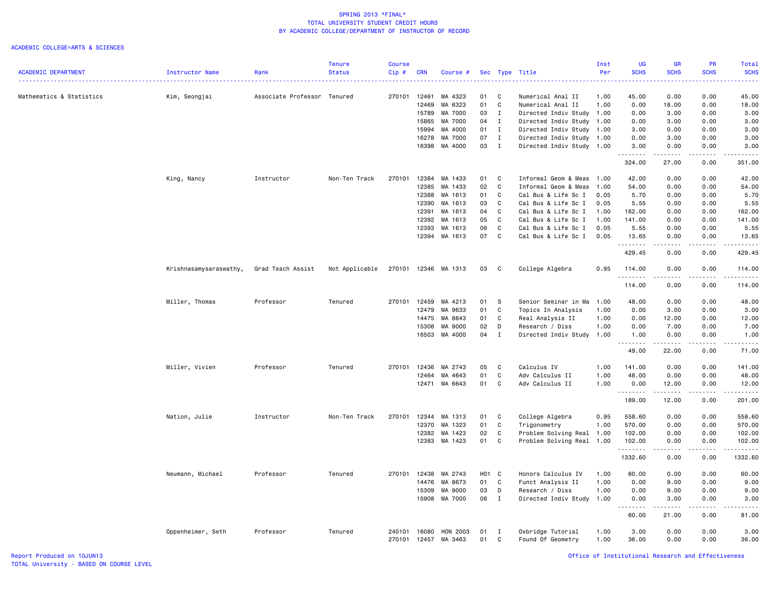### ACADEMIC COLLEGE=ARTS & SCIENCES

|                            |                        |                             | <b>Tenure</b>  | <b>Course</b>    |                |                      |                   |              |                                        | Inst         | <b>UG</b>         | <b>GR</b>                                                                                                                                                    | <b>PR</b>                   | Total         |
|----------------------------|------------------------|-----------------------------|----------------|------------------|----------------|----------------------|-------------------|--------------|----------------------------------------|--------------|-------------------|--------------------------------------------------------------------------------------------------------------------------------------------------------------|-----------------------------|---------------|
| <b>ACADEMIC DEPARTMENT</b> | Instructor Name        | Rank                        | <b>Status</b>  | Cip#             | <b>CRN</b>     | Course #             |                   |              | Sec Type Title                         | Per          | <b>SCHS</b>       | <b>SCHS</b>                                                                                                                                                  | <b>SCHS</b>                 | <b>SCHS</b>   |
| <u>.</u> .<br>. <b>.</b> . |                        |                             |                |                  |                |                      |                   |              |                                        |              |                   |                                                                                                                                                              |                             |               |
|                            |                        |                             |                | 270101 12461     |                |                      |                   |              |                                        |              |                   | 0.00                                                                                                                                                         | 0.00                        | 45.00         |
| Mathematics & Statistics   | Kim, Seongjai          | Associate Professor Tenured |                |                  |                | MA 4323              | 01<br>01          | C<br>C       | Numerical Anal II                      | 1.00<br>1.00 | 45.00             |                                                                                                                                                              |                             |               |
|                            |                        |                             |                |                  | 12469          | MA 6323              |                   |              | Numerical Anal II                      |              | 0.00              | 18.00                                                                                                                                                        | 0.00                        | 18.00         |
|                            |                        |                             |                |                  | 15789          | MA 7000              | 03                | $\mathbf{I}$ | Directed Indiv Study 1.00              |              | 0.00              | 3.00                                                                                                                                                         | 0.00                        | 3.00          |
|                            |                        |                             |                |                  | 15865          | MA 7000              | 04                | $\mathbf{I}$ | Directed Indiv Study 1.00              |              | 0.00              | 3.00                                                                                                                                                         | 0.00                        | 3.00          |
|                            |                        |                             |                |                  | 15994          | MA 4000              | 01                | $\mathbf{I}$ | Directed Indiv Study                   | 1.00         | 3.00              | 0.00                                                                                                                                                         | 0.00                        | 3.00          |
|                            |                        |                             |                |                  | 16278          | MA 7000              | 07                | $\mathbf{I}$ | Directed Indiv Study 1.00              |              | 0.00              | 3.00                                                                                                                                                         | 0.00                        | 3.00          |
|                            |                        |                             |                |                  | 16398          | MA 4000              | 03                | $\mathbf{I}$ | Directed Indiv Study 1.00              |              | 3.00<br>.         | 0.00<br>$\frac{1}{2} \left( \frac{1}{2} \right) \left( \frac{1}{2} \right) \left( \frac{1}{2} \right) \left( \frac{1}{2} \right) \left( \frac{1}{2} \right)$ | 0.00<br>.                   | 3.00<br>.     |
|                            |                        |                             |                |                  |                |                      |                   |              |                                        |              | 324.00            | 27.00                                                                                                                                                        | 0.00                        | 351.00        |
|                            | King, Nancy            | Instructor                  | Non-Ten Track  | 270101           | 12384          | MA 1433              | 01                | C            | Informal Geom & Meas                   | 1.00         | 42.00             | 0.00                                                                                                                                                         | 0.00                        | 42.00         |
|                            |                        |                             |                |                  | 12385          | MA 1433              | 02                | C            | Informal Geom & Meas                   | 1.00         | 54.00             | 0.00                                                                                                                                                         | 0.00                        | 54.00         |
|                            |                        |                             |                |                  | 12388          | MA 1613              | 01                | C            | Cal Bus & Life Sc I                    | 0.05         | 5.70              | 0.00                                                                                                                                                         | 0.00                        | 5.70          |
|                            |                        |                             |                |                  | 12390          | MA 1613              | 03                | C            | Cal Bus & Life Sc I                    | 0.05         | 5.55              | 0.00                                                                                                                                                         | 0.00                        | 5.55          |
|                            |                        |                             |                |                  | 12391          | MA 1613              | 04                | $\mathbf{C}$ | Cal Bus & Life Sc I                    | 1.00         | 162.00            | 0.00                                                                                                                                                         | 0.00                        | 162.00        |
|                            |                        |                             |                |                  | 12392          | MA 1613              | 05                | C            | Cal Bus & Life Sc I                    | 1.00         | 141.00            | 0.00                                                                                                                                                         | 0.00                        | 141.00        |
|                            |                        |                             |                |                  | 12393          | MA 1613              | 06                | C            | Cal Bus & Life Sc I                    | 0.05         | 5.55              | 0.00                                                                                                                                                         | 0.00                        | 5.55          |
|                            |                        |                             |                |                  |                | 12394 MA 1613        | 07                | C            | Cal Bus & Life Sc I                    | 0.05         | 13.65             | 0.00                                                                                                                                                         | 0.00                        | 13.65         |
|                            |                        |                             |                |                  |                |                      |                   |              |                                        |              | .<br>429.45       | $- - - - -$<br>0.00                                                                                                                                          | 0.00                        | .<br>429.45   |
|                            | Krishnasamysaraswathy, | Grad Teach Assist           | Not Applicable |                  |                | 270101 12346 MA 1313 | 03                | C            | College Algebra                        | 0.95         | 114.00            | 0.00                                                                                                                                                         | 0.00                        | 114.00        |
|                            |                        |                             |                |                  |                |                      |                   |              |                                        |              | .                 |                                                                                                                                                              | .                           | .             |
|                            |                        |                             |                |                  |                |                      |                   |              |                                        |              | 114.00            | 0.00                                                                                                                                                         | 0.00                        | 114.00        |
|                            | Miller, Thomas         | Professor                   | Tenured        | 270101           | 12459          | MA 4213              | 01                | S            | Senior Seminar in Ma                   | 1.00         | 48.00             | 0.00                                                                                                                                                         | 0.00                        | 48.00         |
|                            |                        |                             |                |                  | 12479          | MA 9633              | 01                | C            | Topics In Analysis                     | 1.00         | 0.00              | 3.00                                                                                                                                                         | 0.00                        | 3.00          |
|                            |                        |                             |                |                  | 14475          | MA 8643              | 01                | C            | Real Analysis II                       | 1.00         | 0.00              | 12.00                                                                                                                                                        | 0.00                        | 12.00         |
|                            |                        |                             |                |                  | 15308          | MA 9000              | 02                | D            | Research / Diss                        | 1.00         | 0.00              | 7.00                                                                                                                                                         | 0.00                        | 7.00          |
|                            |                        |                             |                |                  |                | 16503 MA 4000        | 04                | $\mathbf{I}$ | Directed Indiv Study 1.00              |              | 1.00              | 0.00                                                                                                                                                         | 0.00                        | 1.00          |
|                            |                        |                             |                |                  |                |                      |                   |              |                                        |              | .                 | $\frac{1}{2} \left( \frac{1}{2} \right) \left( \frac{1}{2} \right) \left( \frac{1}{2} \right) \left( \frac{1}{2} \right) \left( \frac{1}{2} \right)$         | المتمام المتحدة             | المتحدث       |
|                            |                        |                             |                |                  |                |                      |                   |              |                                        |              | 49.00             | 22.00                                                                                                                                                        | 0.00                        | 71.00         |
|                            | Miller, Vivien         | Professor                   | Tenured        | 270101           | 12436          | MA 2743              | 05                | C            | Calculus IV                            | 1.00         | 141.00            | 0.00                                                                                                                                                         | 0.00                        | 141.00        |
|                            |                        |                             |                |                  | 12464          | MA 4643              | 01                | C            | Adv Calculus II                        | 1.00         | 48.00             | 0.00                                                                                                                                                         | 0.00                        | 48.00         |
|                            |                        |                             |                |                  | 12471          | MA 6643              | 01                | C            | Adv Calculus II                        | 1.00         | 0.00              | 12.00                                                                                                                                                        | 0.00                        | 12.00         |
|                            |                        |                             |                |                  |                |                      |                   |              |                                        |              | . <b>.</b>        |                                                                                                                                                              | $\sim$ $\sim$ $\sim$ $\sim$ | المستما       |
|                            |                        |                             |                |                  |                |                      |                   |              |                                        |              | 189.00            | 12.00                                                                                                                                                        | 0.00                        | 201.00        |
|                            | Nation, Julie          | Instructor                  | Non-Ten Track  | 270101           | 12344          | MA 1313              | 01                | C            | College Algebra                        | 0.95         | 558.60            | 0.00                                                                                                                                                         | 0.00                        | 558.60        |
|                            |                        |                             |                |                  | 12370          | MA 1323              | 01                | C            | Trigonometry                           | 1.00         | 570.00            | 0.00                                                                                                                                                         | 0.00                        | 570.00        |
|                            |                        |                             |                |                  | 12382          | MA 1423              | 02                | C            | Problem Solving Real                   | 1.00         | 102.00            | 0.00                                                                                                                                                         | 0.00                        | 102.00        |
|                            |                        |                             |                |                  |                | 12383 MA 1423        | 01                | C            | Problem Solving Real 1.00              |              | 102.00            | 0.00                                                                                                                                                         | 0.00                        | 102.00        |
|                            |                        |                             |                |                  |                |                      |                   |              |                                        |              | .                 | $\begin{array}{cccccccccc} \bullet & \bullet & \bullet & \bullet & \bullet & \bullet & \bullet \end{array}$                                                  | .                           | .             |
|                            |                        |                             |                |                  |                |                      |                   |              |                                        |              | 1332.60           | 0.00                                                                                                                                                         | 0.00                        | 1332.60       |
|                            | Neumann, Michael       | Professor                   | Tenured        | 270101           | 12438          | MA 2743              | H <sub>01</sub> C |              | Honors Calculus IV                     | 1.00         | 60.00             | 0.00                                                                                                                                                         | 0.00                        | 60.00         |
|                            |                        |                             |                |                  | 14476          | MA 8673              | 01                | C            | Funct Analysis II                      | 1.00         | 0.00              | 9.00                                                                                                                                                         | 0.00                        | 9.00          |
|                            |                        |                             |                |                  | 15309          | MA 9000              | 03                | D            | Research / Diss                        | 1.00         | 0.00              | 9.00                                                                                                                                                         | 0.00                        | 9.00          |
|                            |                        |                             |                |                  | 15908          | MA 7000              | 06                | $\mathbf I$  | Directed Indiv Study                   | 1.00         | 0.00              | 3.00                                                                                                                                                         | 0.00                        | 3.00          |
|                            |                        |                             |                |                  |                |                      |                   |              |                                        |              | <u>.</u><br>60.00 | .<br>21.00                                                                                                                                                   | .<br>0.00                   | .<br>81.00    |
|                            |                        |                             |                |                  |                |                      |                   |              |                                        |              |                   |                                                                                                                                                              |                             |               |
|                            | Oppenheimer, Seth      | Professor                   | Tenured        | 240101<br>270101 | 16080<br>12457 | HON 2003<br>MA 3463  | 01<br>01          | I<br>C       | Oxbridge Tutorial<br>Found Of Geometry | 1.00<br>1.00 | 3.00<br>36.00     | 0.00<br>0.00                                                                                                                                                 | 0.00<br>0.00                | 3.00<br>36.00 |

Report Produced on 10JUN13 Office of Institutional Research and Effectiveness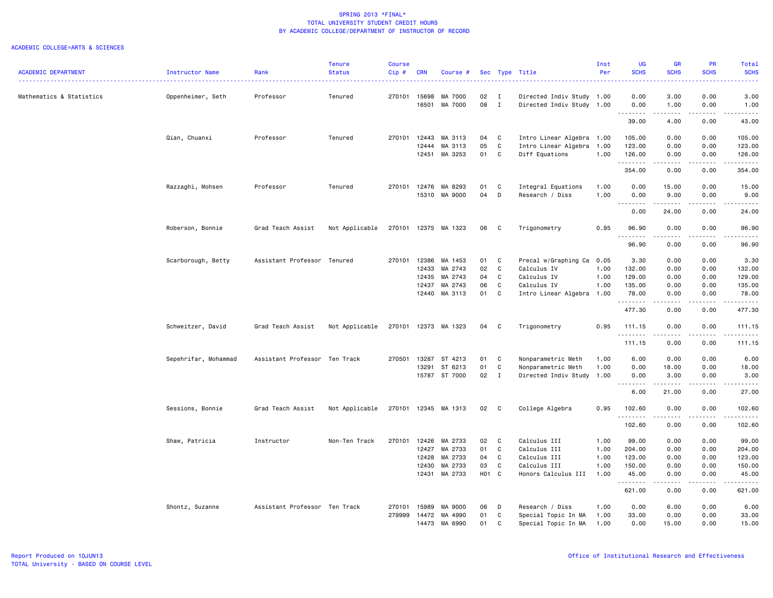|                            |                      |                               | <b>Tenure</b>  | <b>Course</b> |            |               |       |              |                           | Inst | UG                                                   | <b>GR</b>                                                                                                                                                    | PR                           | Total                                                                                                                                    |
|----------------------------|----------------------|-------------------------------|----------------|---------------|------------|---------------|-------|--------------|---------------------------|------|------------------------------------------------------|--------------------------------------------------------------------------------------------------------------------------------------------------------------|------------------------------|------------------------------------------------------------------------------------------------------------------------------------------|
| <b>ACADEMIC DEPARTMENT</b> | Instructor Name      | Rank                          | <b>Status</b>  | Cip#          | <b>CRN</b> | Course #      |       |              | Sec Type Title            | Per  | <b>SCHS</b><br>$\omega$ is $\omega$ in               | <b>SCHS</b>                                                                                                                                                  | <b>SCHS</b>                  | <b>SCHS</b><br>$\frac{1}{2} \left( \frac{1}{2} \right) \left( \frac{1}{2} \right) \left( \frac{1}{2} \right) \left( \frac{1}{2} \right)$ |
| Mathematics & Statistics   | Oppenheimer, Seth    | Professor                     | Tenured        | 270101        | 15698      | MA 7000       | 02    | $\mathbf{I}$ | Directed Indiv Study 1.00 |      | 0.00                                                 | 3.00                                                                                                                                                         | 0.00                         | 3.00                                                                                                                                     |
|                            |                      |                               |                |               | 16501      | MA 7000       | 08    | $\mathbf{I}$ | Directed Indiv Study 1.00 |      | 0.00<br>.                                            | 1.00<br>$\frac{1}{2} \left( \frac{1}{2} \right) \left( \frac{1}{2} \right) \left( \frac{1}{2} \right) \left( \frac{1}{2} \right) \left( \frac{1}{2} \right)$ | 0.00<br>.                    | 1.00<br>.                                                                                                                                |
|                            |                      |                               |                |               |            |               |       |              |                           |      | 39.00                                                | 4.00                                                                                                                                                         | 0.00                         | 43.00                                                                                                                                    |
|                            | Qian, Chuanxi        | Professor                     | Tenured        | 270101        | 12443      | MA 3113       | 04    | C            | Intro Linear Algebra 1.00 |      | 105.00                                               | 0.00                                                                                                                                                         | 0.00                         | 105.00                                                                                                                                   |
|                            |                      |                               |                |               | 12444      | MA 3113       | 05    | C            | Intro Linear Algebra 1.00 |      | 123.00                                               | 0.00                                                                                                                                                         | 0.00                         | 123.00                                                                                                                                   |
|                            |                      |                               |                |               | 12451      | MA 3253       | 01    | C            | Diff Equations            | 1.00 | 126.00<br>--------                                   | 0.00<br>.                                                                                                                                                    | 0.00<br>.                    | 126.00<br>.                                                                                                                              |
|                            |                      |                               |                |               |            |               |       |              |                           |      | 354.00                                               | 0.00                                                                                                                                                         | 0.00                         | 354.00                                                                                                                                   |
|                            | Razzaghi, Mohsen     | Professor                     | Tenured        | 270101        | 12476      | MA 8293       | 01    | C            | Integral Equations        | 1.00 | 0.00                                                 | 15.00                                                                                                                                                        | 0.00                         | 15.00                                                                                                                                    |
|                            |                      |                               |                |               | 15310      | MA 9000       | 04    | D            | Research / Diss           | 1.00 | 0.00<br>$\sim$ $\sim$ $\sim$<br>$\sim$ $\sim$        | 9.00<br>.                                                                                                                                                    | 0.00<br>$\sim$ $\sim$ $\sim$ | 9.00<br>والمستحدث                                                                                                                        |
|                            |                      |                               |                |               |            |               |       |              |                           |      | 0.00                                                 | 24.00                                                                                                                                                        | 0.00                         | 24.00                                                                                                                                    |
|                            | Roberson, Bonnie     | Grad Teach Assist             | Not Applicable | 270101        |            | 12375 MA 1323 | 06    | C            | Trigonometry              | 0.95 | 96.90<br>--------                                    | 0.00<br>.                                                                                                                                                    | 0.00<br>.                    | 96.90<br>.                                                                                                                               |
|                            |                      |                               |                |               |            |               |       |              |                           |      | 96.90                                                | 0.00                                                                                                                                                         | 0.00                         | 96.90                                                                                                                                    |
|                            | Scarborough, Betty   | Assistant Professor Tenured   |                | 270101        | 12386      | MA 1453       | 01    | C            | Precal w/Graphing Ca 0.05 |      | 3.30                                                 | 0.00                                                                                                                                                         | 0.00                         | 3.30                                                                                                                                     |
|                            |                      |                               |                |               | 12433      | MA 2743       | 02    | C            | Calculus IV               | 1.00 | 132.00                                               | 0.00                                                                                                                                                         | 0.00                         | 132.00                                                                                                                                   |
|                            |                      |                               |                |               | 12435      | MA 2743       | 04    | C            | Calculus IV               | 1.00 | 129.00                                               | 0.00                                                                                                                                                         | 0.00                         | 129.00                                                                                                                                   |
|                            |                      |                               |                |               | 12437      | MA 2743       | 06    | C            | Calculus IV               | 1.00 | 135.00                                               | 0.00                                                                                                                                                         | 0.00                         | 135.00                                                                                                                                   |
|                            |                      |                               |                |               |            |               |       | C            |                           |      |                                                      |                                                                                                                                                              |                              |                                                                                                                                          |
|                            |                      |                               |                |               |            | 12440 MA 3113 | 01    |              | Intro Linear Algebra 1.00 |      | 78.00<br>.                                           | 0.00<br>$\frac{1}{2} \left( \frac{1}{2} \right) \left( \frac{1}{2} \right) \left( \frac{1}{2} \right) \left( \frac{1}{2} \right) \left( \frac{1}{2} \right)$ | 0.00<br>.                    | 78.00<br>$\alpha$ , $\alpha$ , $\alpha$ , $\alpha$ , $\alpha$                                                                            |
|                            |                      |                               |                |               |            |               |       |              |                           |      | 477.30                                               | 0.00                                                                                                                                                         | 0.00                         | 477.30                                                                                                                                   |
|                            | Schweitzer, David    | Grad Teach Assist             | Not Applicable | 270101        |            | 12373 MA 1323 | 04    | C            | Trigonometry              | 0.95 | 111.15<br>.                                          | 0.00<br>.                                                                                                                                                    | 0.00<br>$- - - -$            | 111.15<br>.                                                                                                                              |
|                            |                      |                               |                |               |            |               |       |              |                           |      | 111.15                                               | 0.00                                                                                                                                                         | 0.00                         | 111.15                                                                                                                                   |
|                            | Sepehrifar, Mohammad | Assistant Professor Ten Track |                | 270501        | 13287      | ST 4213       | 01    | C            | Nonparametric Meth        | 1.00 | 6.00                                                 | 0.00                                                                                                                                                         | 0.00                         | 6.00                                                                                                                                     |
|                            |                      |                               |                |               | 13291      | ST 6213       | 01    | C            | Nonparametric Meth        | 1.00 | 0.00                                                 | 18.00                                                                                                                                                        | 0.00                         | 18.00                                                                                                                                    |
|                            |                      |                               |                |               |            | 15787 ST 7000 | 02    | $\mathbf{I}$ | Directed Indiv Study 1.00 |      | 0.00                                                 | 3.00                                                                                                                                                         | 0.00                         | 3.00                                                                                                                                     |
|                            |                      |                               |                |               |            |               |       |              |                           |      | $\sim$ $\sim$ $\sim$ $\sim$<br>$\sim$ $\sim$<br>6.00 | .<br>21.00                                                                                                                                                   | .<br>0.00                    | $\sim$ $\sim$ $\sim$ $\sim$ $\sim$<br>27.00                                                                                              |
|                            | Sessions, Bonnie     | Grad Teach Assist             | Not Applicable | 270101        |            | 12345 MA 1313 | 02    | C            | College Algebra           | 0.95 | 102.60                                               | 0.00                                                                                                                                                         | 0.00<br>$\cdots$             | 102.60                                                                                                                                   |
|                            |                      |                               |                |               |            |               |       |              |                           |      | 102.60                                               | 0.00                                                                                                                                                         | 0.00                         | 102.60                                                                                                                                   |
|                            | Shaw, Patricia       | Instructor                    | Non-Ten Track  | 270101        | 12426      | MA 2733       | 02    | C            | Calculus III              | 1.00 | 99.00                                                | 0.00                                                                                                                                                         | 0.00                         | 99.00                                                                                                                                    |
|                            |                      |                               |                |               | 12427      | MA 2733       | 01    | C            | Calculus III              | 1.00 | 204.00                                               | 0.00                                                                                                                                                         | 0.00                         | 204.00                                                                                                                                   |
|                            |                      |                               |                |               | 12428      | MA 2733       | 04    | $\mathbf c$  | Calculus III              | 1.00 | 123.00                                               | 0.00                                                                                                                                                         | 0.00                         | 123.00                                                                                                                                   |
|                            |                      |                               |                |               | 12430      | MA 2733       | 03    | $\mathbf c$  | Calculus III              | 1.00 | 150.00                                               | 0.00                                                                                                                                                         | 0.00                         | 150.00                                                                                                                                   |
|                            |                      |                               |                |               | 12431      | MA 2733       | H01 C |              | Honors Calculus III       | 1.00 | 45.00<br>.                                           | 0.00<br>$\frac{1}{2} \left( \frac{1}{2} \right) \left( \frac{1}{2} \right) \left( \frac{1}{2} \right) \left( \frac{1}{2} \right) \left( \frac{1}{2} \right)$ | 0.00<br>.                    | 45.00<br>.                                                                                                                               |
|                            |                      |                               |                |               |            |               |       |              |                           |      | 621.00                                               | 0.00                                                                                                                                                         | 0.00                         | 621.00                                                                                                                                   |
|                            | Shontz, Suzanne      | Assistant Professor Ten Track |                | 270101        | 15989      | MA 9000       | 06    | D            | Research / Diss           | 1.00 | 0.00                                                 | 6.00                                                                                                                                                         | 0.00                         | 6.00                                                                                                                                     |
|                            |                      |                               |                | 279999        | 14472      | MA 4990       | 01    | C            | Special Topic In MA       | 1.00 | 33.00                                                | 0.00                                                                                                                                                         | 0.00                         | 33.00                                                                                                                                    |
|                            |                      |                               |                |               | 14473      | MA 6990       | 01    | C            | Special Topic In MA       | 1.00 | 0.00                                                 | 15.00                                                                                                                                                        | 0.00                         | 15.00                                                                                                                                    |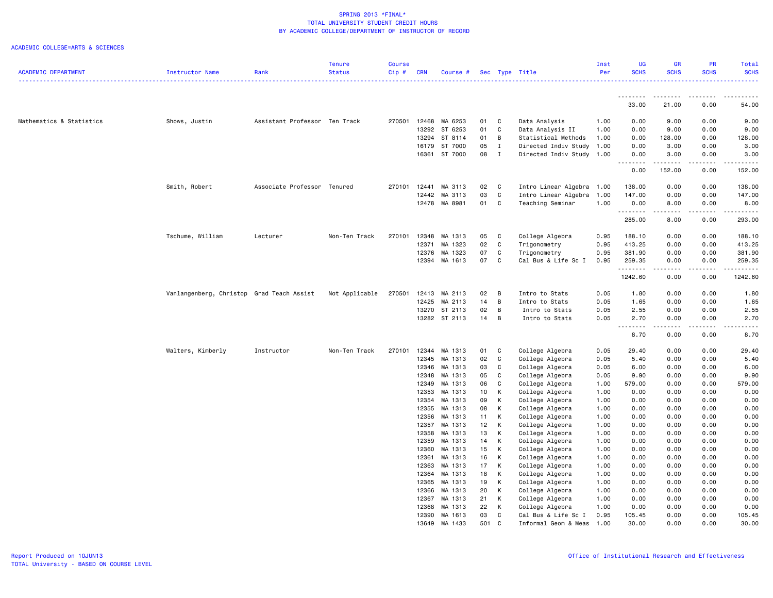|                            |                                           |                               | <b>Tenure</b>  | <b>Course</b> |                |                          |          |              |                                    | Inst         | <b>UG</b>           | <b>GR</b>    | PR                                  | Total            |
|----------------------------|-------------------------------------------|-------------------------------|----------------|---------------|----------------|--------------------------|----------|--------------|------------------------------------|--------------|---------------------|--------------|-------------------------------------|------------------|
| <b>ACADEMIC DEPARTMENT</b> | Instructor Name                           | Rank                          | <b>Status</b>  | Cip#          | <b>CRN</b>     | Course #                 |          |              | Sec Type Title                     | Per          | <b>SCHS</b>         | <b>SCHS</b>  | <b>SCHS</b>                         | <b>SCHS</b><br>. |
|                            |                                           |                               |                |               |                |                          |          |              |                                    |              |                     |              |                                     |                  |
|                            |                                           |                               |                |               |                |                          |          |              |                                    |              | .<br>33.00          | 21.00        | 0.00                                | 54.00            |
|                            |                                           |                               |                |               |                |                          |          |              |                                    |              |                     |              |                                     |                  |
| Mathematics & Statistics   | Shows, Justin                             | Assistant Professor Ten Track |                | 270501        | 12468          | MA 6253                  | 01       | C            | Data Analysis                      | 1.00         | 0.00                | 9.00         | 0.00                                | 9.00             |
|                            |                                           |                               |                |               | 13292          | ST 6253                  | 01       | C            | Data Analysis II                   | 1.00         | 0.00                | 9.00         | 0.00                                | 9.00             |
|                            |                                           |                               |                |               | 13294          | ST 8114                  | 01       | B            | Statistical Methods                | 1.00         | 0.00                | 128.00       | 0.00                                | 128.00           |
|                            |                                           |                               |                |               | 16179          | ST 7000                  | 05       | $\mathbf{I}$ | Directed Indiv Study 1.00          |              | 0.00                | 3.00         | 0.00                                | 3.00             |
|                            |                                           |                               |                |               |                | 16361 ST 7000            | 08       | $\mathbf{I}$ | Directed Indiv Study 1.00          |              | 0.00<br>.           | 3.00<br>.    | 0.00<br>.                           | 3.00<br><u>.</u> |
|                            |                                           |                               |                |               |                |                          |          |              |                                    |              | 0.00                | 152.00       | 0.00                                | 152.00           |
|                            | Smith, Robert                             | Associate Professor Tenured   |                | 270101        | 12441          | MA 3113                  | 02       | C            | Intro Linear Algebra 1.00          |              | 138.00              | 0.00         | 0.00                                | 138.00           |
|                            |                                           |                               |                |               | 12442          | MA 3113                  | 03       | $\mathbf{C}$ | Intro Linear Algebra 1.00          |              | 147.00              | 0.00         | 0.00                                | 147.00           |
|                            |                                           |                               |                |               | 12478          | MA 8981                  | 01       | C            | Teaching Seminar                   | 1.00         | 0.00                | 8.00         | 0.00                                | 8.00             |
|                            |                                           |                               |                |               |                |                          |          |              |                                    |              | .<br>285.00         | .<br>8.00    | .<br>0.00                           | .<br>293.00      |
|                            | Tschume, William                          | Lecturer                      | Non-Ten Track  | 270101        | 12348          | MA 1313                  | 05       | C            | College Algebra                    | 0.95         | 188.10              | 0.00         | 0.00                                | 188.10           |
|                            |                                           |                               |                |               | 12371          | MA 1323                  | 02       | C            | Trigonometry                       | 0.95         | 413.25              | 0.00         | 0.00                                | 413.25           |
|                            |                                           |                               |                |               | 12376          | MA 1323                  | 07       | C            | Trigonometry                       | 0.95         | 381.90              | 0.00         | 0.00                                | 381.90           |
|                            |                                           |                               |                |               | 12394          | MA 1613                  | 07       | $\mathbf c$  | Cal Bus & Life Sc I                | 0.95         | 259.35              | 0.00         | 0.00                                | 259.35           |
|                            |                                           |                               |                |               |                |                          |          |              |                                    |              | --------<br>1242.60 | .<br>0.00    | $- - -$<br>0.00                     | .<br>1242.60     |
|                            |                                           |                               |                |               |                |                          |          |              |                                    |              |                     |              |                                     |                  |
|                            | Vanlangenberg, Christop Grad Teach Assist |                               | Not Applicable | 270501        | 12413          | MA 2113                  | 02       | B            | Intro to Stats                     | 0.05         | 1.80                | 0.00         | 0.00                                | 1.80             |
|                            |                                           |                               |                |               | 12425          | MA 2113                  | 14       | B            | Intro to Stats                     | 0.05         | 1.65                | 0.00         | 0.00                                | 1.65             |
|                            |                                           |                               |                |               | 13270          | ST 2113<br>13282 ST 2113 | 02<br>14 | B<br>B       | Intro to Stats<br>Intro to Stats   | 0.05<br>0.05 | 2.55<br>2.70        | 0.00<br>0.00 | 0.00<br>0.00                        | 2.55<br>2.70     |
|                            |                                           |                               |                |               |                |                          |          |              |                                    |              | .                   | .            | $\omega$ $\omega$ $\omega$ $\omega$ | .                |
|                            |                                           |                               |                |               |                |                          |          |              |                                    |              | 8.70                | 0.00         | 0.00                                | 8.70             |
|                            | Walters, Kimberly                         | Instructor                    | Non-Ten Track  | 270101        | 12344          | MA 1313                  | 01       | C            | College Algebra                    | 0.05         | 29.40               | 0.00         | 0.00                                | 29.40            |
|                            |                                           |                               |                |               | 12345          | MA 1313                  | 02       | C            | College Algebra                    | 0.05         | 5.40                | 0.00         | 0.00                                | 5.40             |
|                            |                                           |                               |                |               | 12346          | MA 1313                  | 03       | C            | College Algebra                    | 0.05         | 6.00                | 0.00         | 0.00                                | 6.00             |
|                            |                                           |                               |                |               | 12348          | MA 1313                  | 05       | C            | College Algebra                    | 0.05         | 9.90                | 0.00         | 0.00                                | 9.90             |
|                            |                                           |                               |                |               | 12349          | MA 1313                  | 06       | C            | College Algebra                    | 1.00         | 579.00              | 0.00         | 0.00                                | 579.00           |
|                            |                                           |                               |                |               | 12353          | MA 1313                  | 10       | К            | College Algebra                    | 1.00         | 0.00                | 0.00         | 0.00                                | 0.00             |
|                            |                                           |                               |                |               | 12354          | MA 1313                  | 09       | К            | College Algebra                    | 1.00         | 0.00                | 0.00         | 0.00                                | 0.00             |
|                            |                                           |                               |                |               | 12355          | MA 1313                  | 08       | К            | College Algebra                    | 1.00         | 0.00                | 0.00         | 0.00                                | 0.00             |
|                            |                                           |                               |                |               | 12356          | MA 1313                  | 11       | К            | College Algebra                    | 1.00         | 0.00                | 0.00         | 0.00                                | 0.00             |
|                            |                                           |                               |                |               | 12357          | MA 1313                  | 12       | K            | College Algebra                    | 1.00         | 0.00                | 0.00         | 0.00                                | 0.00             |
|                            |                                           |                               |                |               | 12358          | MA 1313                  | 13       | К            | College Algebra                    | 1.00         | 0.00                | 0.00         | 0.00                                | 0.00             |
|                            |                                           |                               |                |               | 12359          | MA 1313                  | 14       | К            | College Algebra                    | 1.00         | 0.00                | 0.00         | 0.00                                | 0.00             |
|                            |                                           |                               |                |               | 12360          | MA 1313                  | 15       | K            | College Algebra                    | 1.00         | 0.00                | 0.00         | 0.00                                | 0.00             |
|                            |                                           |                               |                |               | 12361          | MA 1313                  | 16       | К            | College Algebra                    | 1.00         | 0.00                | 0.00         | 0.00                                | 0.00             |
|                            |                                           |                               |                |               | 12363          | MA 1313                  | 17       | Κ            | College Algebra                    | 1.00         | 0.00                | 0.00         | 0.00                                | 0.00             |
|                            |                                           |                               |                |               | 12364          | MA 1313                  | 18       | К            | College Algebra                    | 1.00         | 0.00                | 0.00         | 0.00                                | 0.00             |
|                            |                                           |                               |                |               | 12365          | MA 1313                  | 19       | Κ            | College Algebra                    | 1.00         | 0.00                | 0.00         | 0.00                                | 0.00             |
|                            |                                           |                               |                |               | 12366<br>12367 | MA 1313<br>MA 1313       | 20<br>21 | К<br>K       | College Algebra<br>College Algebra | 1.00<br>1.00 | 0.00<br>0.00        | 0.00<br>0.00 | 0.00<br>0.00                        | 0.00<br>0.00     |
|                            |                                           |                               |                |               | 12368          | MA 1313                  | 22       | К            | College Algebra                    | 1.00         | 0.00                | 0.00         | 0.00                                | 0.00             |
|                            |                                           |                               |                |               |                | 12390 MA 1613            | 03       | C            | Cal Bus & Life Sc I                | 0.95         | 105.45              | 0.00         | 0.00                                | 105.45           |
|                            |                                           |                               |                |               |                | 13649 MA 1433            | 501      | $\mathsf{C}$ | Informal Geom & Meas 1.00          |              | 30.00               | 0.00         | 0.00                                | 30.00            |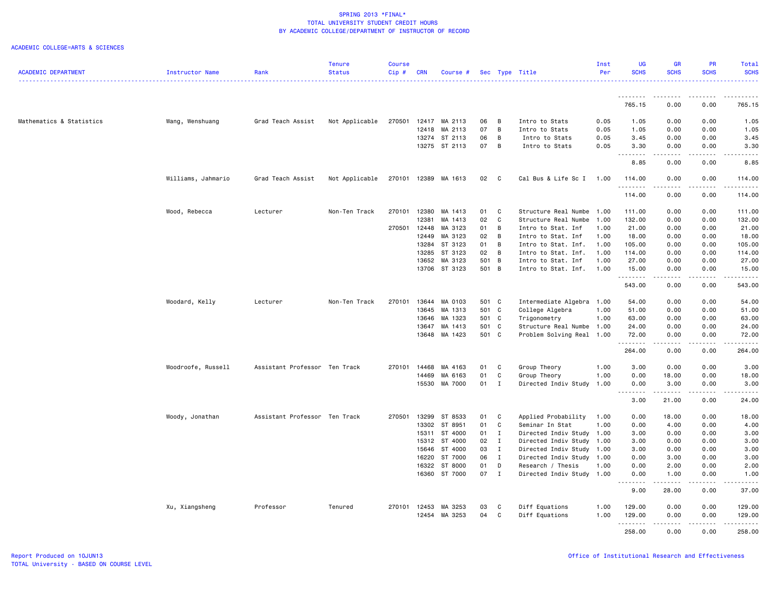|                            |                    |                               | <b>Tenure</b>  | <b>Course</b> |              |               |       |              |                           | Inst | <b>UG</b>                                                                                                                                                                                                                                                                                                                                                                                                                                                                                      | <b>GR</b>                                | <b>PR</b>                                                                                                                                                                       | Total                |
|----------------------------|--------------------|-------------------------------|----------------|---------------|--------------|---------------|-------|--------------|---------------------------|------|------------------------------------------------------------------------------------------------------------------------------------------------------------------------------------------------------------------------------------------------------------------------------------------------------------------------------------------------------------------------------------------------------------------------------------------------------------------------------------------------|------------------------------------------|---------------------------------------------------------------------------------------------------------------------------------------------------------------------------------|----------------------|
| <b>ACADEMIC DEPARTMENT</b> | Instructor Name    | Rank                          | <b>Status</b>  | Cip#          | <b>CRN</b>   | Course #      |       |              | Sec Type Title            | Per  | <b>SCHS</b>                                                                                                                                                                                                                                                                                                                                                                                                                                                                                    | <b>SCHS</b>                              | <b>SCHS</b>                                                                                                                                                                     | <b>SCHS</b><br>.     |
|                            |                    |                               |                |               |              |               |       |              |                           |      | <u>.</u>                                                                                                                                                                                                                                                                                                                                                                                                                                                                                       | ---------                                | $\frac{1}{2} \left( \frac{1}{2} \right) \left( \frac{1}{2} \right) \left( \frac{1}{2} \right) \left( \frac{1}{2} \right) \left( \frac{1}{2} \right) \left( \frac{1}{2} \right)$ | .                    |
|                            |                    |                               |                |               |              |               |       |              |                           |      | 765.15                                                                                                                                                                                                                                                                                                                                                                                                                                                                                         | 0.00                                     | 0.00                                                                                                                                                                            | 765.15               |
| Mathematics & Statistics   | Wang, Wenshuang    | Grad Teach Assist             | Not Applicable | 270501        |              | 12417 MA 2113 | 06    | B            | Intro to Stats            | 0.05 | 1.05                                                                                                                                                                                                                                                                                                                                                                                                                                                                                           | 0.00                                     | 0.00                                                                                                                                                                            | 1.05                 |
|                            |                    |                               |                |               | 12418        | MA 2113       | 07    | B            | Intro to Stats            | 0.05 | 1.05                                                                                                                                                                                                                                                                                                                                                                                                                                                                                           | 0.00                                     | 0.00                                                                                                                                                                            | 1.05                 |
|                            |                    |                               |                |               | 13274        | ST 2113       | 06    | B            | Intro to Stats            | 0.05 | 3.45                                                                                                                                                                                                                                                                                                                                                                                                                                                                                           | 0.00                                     | 0.00                                                                                                                                                                            | 3.45                 |
|                            |                    |                               |                |               |              | 13275 ST 2113 | 07    | B            | Intro to Stats            | 0.05 | 3.30<br>$\begin{array}{cccccccccccccc} \multicolumn{2}{c}{} & \multicolumn{2}{c}{} & \multicolumn{2}{c}{} & \multicolumn{2}{c}{} & \multicolumn{2}{c}{} & \multicolumn{2}{c}{} & \multicolumn{2}{c}{} & \multicolumn{2}{c}{} & \multicolumn{2}{c}{} & \multicolumn{2}{c}{} & \multicolumn{2}{c}{} & \multicolumn{2}{c}{} & \multicolumn{2}{c}{} & \multicolumn{2}{c}{} & \multicolumn{2}{c}{} & \multicolumn{2}{c}{} & \multicolumn{2}{c}{} & \multicolumn{2}{c}{} & \multicolumn{2}{c}{} & \$ | 0.00<br>$\omega$ is $\omega$ in $\omega$ | 0.00<br>.                                                                                                                                                                       | 3.30<br>وعاعات       |
|                            |                    |                               |                |               |              |               |       |              |                           |      | 8.85                                                                                                                                                                                                                                                                                                                                                                                                                                                                                           | 0.00                                     | 0.00                                                                                                                                                                            | 8.85                 |
|                            | Williams, Jahmario | Grad Teach Assist             | Not Applicable | 270101        |              | 12389 MA 1613 | 02    | C            | Cal Bus & Life Sc I       | 1.00 | 114.00<br>.                                                                                                                                                                                                                                                                                                                                                                                                                                                                                    | 0.00<br>. <b>.</b>                       | 0.00<br>.                                                                                                                                                                       | 114.00<br>. <u>.</u> |
|                            |                    |                               |                |               |              |               |       |              |                           |      | 114.00                                                                                                                                                                                                                                                                                                                                                                                                                                                                                         | 0.00                                     | 0.00                                                                                                                                                                            | 114.00               |
|                            | Wood, Rebecca      | Lecturer                      | Non-Ten Track  | 270101        | 12380        | MA 1413       | 01    | C            | Structure Real Numbe      | 1.00 | 111.00                                                                                                                                                                                                                                                                                                                                                                                                                                                                                         | 0.00                                     | 0.00                                                                                                                                                                            | 111.00               |
|                            |                    |                               |                |               | 12381        | MA 1413       | 02    | C            | Structure Real Numbe      | 1.00 | 132.00                                                                                                                                                                                                                                                                                                                                                                                                                                                                                         | 0.00                                     | 0.00                                                                                                                                                                            | 132.00               |
|                            |                    |                               |                |               | 270501 12448 | MA 3123       | 01    | B            | Intro to Stat. Inf        | 1.00 | 21.00                                                                                                                                                                                                                                                                                                                                                                                                                                                                                          | 0.00                                     | 0.00                                                                                                                                                                            | 21.00                |
|                            |                    |                               |                |               | 12449        | MA 3123       | 02    | B            | Intro to Stat. Inf        | 1.00 | 18.00                                                                                                                                                                                                                                                                                                                                                                                                                                                                                          | 0.00                                     | 0.00                                                                                                                                                                            | 18.00                |
|                            |                    |                               |                |               | 13284        | ST 3123       | 01    | B            | Intro to Stat. Inf.       | 1.00 | 105.00                                                                                                                                                                                                                                                                                                                                                                                                                                                                                         | 0.00                                     | 0.00                                                                                                                                                                            | 105.00               |
|                            |                    |                               |                |               | 13285        | ST 3123       | 02    | B            | Intro to Stat. Inf.       | 1.00 | 114.00                                                                                                                                                                                                                                                                                                                                                                                                                                                                                         | 0.00                                     | 0.00                                                                                                                                                                            | 114.00               |
|                            |                    |                               |                |               | 13652        | MA 3123       | 501   | B            | Intro to Stat. Inf        | 1.00 | 27.00                                                                                                                                                                                                                                                                                                                                                                                                                                                                                          | 0.00                                     | 0.00                                                                                                                                                                            | 27.00                |
|                            |                    |                               |                |               |              | 13706 ST 3123 | 501 B |              | Intro to Stat. Inf.       | 1.00 | 15.00<br>.                                                                                                                                                                                                                                                                                                                                                                                                                                                                                     | 0.00<br>$\frac{1}{2}$                    | 0.00<br>.                                                                                                                                                                       | 15.00<br><u>.</u>    |
|                            |                    |                               |                |               |              |               |       |              |                           |      | 543.00                                                                                                                                                                                                                                                                                                                                                                                                                                                                                         | 0.00                                     | 0.00                                                                                                                                                                            | 543.00               |
|                            | Woodard, Kelly     | Lecturer                      | Non-Ten Track  | 270101        |              | 13644 MA 0103 | 501 C |              | Intermediate Algebra 1.00 |      | 54.00                                                                                                                                                                                                                                                                                                                                                                                                                                                                                          | 0.00                                     | 0.00                                                                                                                                                                            | 54.00                |
|                            |                    |                               |                |               |              | 13645 MA 1313 |       | 501 C        | College Algebra           | 1.00 | 51.00                                                                                                                                                                                                                                                                                                                                                                                                                                                                                          | 0.00                                     | 0.00                                                                                                                                                                            | 51.00                |
|                            |                    |                               |                |               | 13646        | MA 1323       | 501 C |              | Trigonometry              | 1.00 | 63.00                                                                                                                                                                                                                                                                                                                                                                                                                                                                                          | 0.00                                     | 0.00                                                                                                                                                                            | 63.00                |
|                            |                    |                               |                |               | 13647        | MA 1413       | 501 C |              | Structure Real Numbe      | 1.00 | 24.00                                                                                                                                                                                                                                                                                                                                                                                                                                                                                          | 0.00                                     | 0.00                                                                                                                                                                            | 24.00                |
|                            |                    |                               |                |               |              | 13648 MA 1423 | 501 C |              | Problem Solving Real 1.00 |      | 72.00<br>. <b>.</b> .                                                                                                                                                                                                                                                                                                                                                                                                                                                                          | 0.00<br>.                                | 0.00<br>.                                                                                                                                                                       | 72.00<br>.           |
|                            |                    |                               |                |               |              |               |       |              |                           |      | 264.00                                                                                                                                                                                                                                                                                                                                                                                                                                                                                         | 0.00                                     | 0.00                                                                                                                                                                            | 264.00               |
|                            | Woodroofe, Russell | Assistant Professor Ten Track |                | 270101        | 14468        | MA 4163       | 01    | C            | Group Theory              | 1.00 | 3.00                                                                                                                                                                                                                                                                                                                                                                                                                                                                                           | 0.00                                     | 0.00                                                                                                                                                                            | 3.00                 |
|                            |                    |                               |                |               | 14469        | MA 6163       | 01    | C            | Group Theory              | 1.00 | 0.00                                                                                                                                                                                                                                                                                                                                                                                                                                                                                           | 18.00                                    | 0.00                                                                                                                                                                            | 18.00                |
|                            |                    |                               |                |               |              | 15530 MA 7000 | 01    | $\mathbf{I}$ | Directed Indiv Study      | 1.00 | 0.00<br><b></b>                                                                                                                                                                                                                                                                                                                                                                                                                                                                                | 3.00<br>.                                | 0.00<br>.                                                                                                                                                                       | 3.00<br>.            |
|                            |                    |                               |                |               |              |               |       |              |                           |      | 3.00                                                                                                                                                                                                                                                                                                                                                                                                                                                                                           | 21.00                                    | 0.00                                                                                                                                                                            | 24.00                |
|                            | Woody, Jonathan    | Assistant Professor Ten Track |                | 270501        | 13299        | ST 8533       | 01    | C            | Applied Probability       | 1.00 | 0.00                                                                                                                                                                                                                                                                                                                                                                                                                                                                                           | 18.00                                    | 0.00                                                                                                                                                                            | 18.00                |
|                            |                    |                               |                |               | 13302        | ST 8951       | 01    | C            | Seminar In Stat           | 1.00 | 0.00                                                                                                                                                                                                                                                                                                                                                                                                                                                                                           | 4.00                                     | 0.00                                                                                                                                                                            | 4.00                 |
|                            |                    |                               |                |               | 15311        | ST 4000       | 01    | $\mathbf{I}$ | Directed Indiv Study      | 1.00 | 3.00                                                                                                                                                                                                                                                                                                                                                                                                                                                                                           | 0.00                                     | 0.00                                                                                                                                                                            | 3.00                 |
|                            |                    |                               |                |               | 15312        | ST 4000       | 02    | I            | Directed Indiv Study      | 1.00 | 3.00                                                                                                                                                                                                                                                                                                                                                                                                                                                                                           | 0.00                                     | 0.00                                                                                                                                                                            | 3.00                 |
|                            |                    |                               |                |               | 15646        | ST 4000       | 03    | $\mathbf{I}$ | Directed Indiv Study 1.00 |      | 3.00                                                                                                                                                                                                                                                                                                                                                                                                                                                                                           | 0.00                                     | 0.00                                                                                                                                                                            | 3.00                 |
|                            |                    |                               |                |               | 16220        | ST 7000       | 06    | $\mathbf{I}$ | Directed Indiv Study      | 1.00 | 0.00                                                                                                                                                                                                                                                                                                                                                                                                                                                                                           | 3.00                                     | 0.00                                                                                                                                                                            | 3.00                 |
|                            |                    |                               |                |               | 16322        | ST 8000       | 01    | D            | Research / Thesis         | 1.00 | 0.00                                                                                                                                                                                                                                                                                                                                                                                                                                                                                           | 2.00                                     | 0.00                                                                                                                                                                            | 2.00                 |
|                            |                    |                               |                |               |              | 16360 ST 7000 | 07    | $\mathbf{I}$ | Directed Indiv Study 1.00 |      | 0.00<br>.                                                                                                                                                                                                                                                                                                                                                                                                                                                                                      | 1.00<br>.                                | 0.00<br>.                                                                                                                                                                       | 1.00<br>.            |
|                            |                    |                               |                |               |              |               |       |              |                           |      | 9.00                                                                                                                                                                                                                                                                                                                                                                                                                                                                                           | 28.00                                    | 0.00                                                                                                                                                                            | 37.00                |
|                            | Xu, Xiangsheng     | Professor                     | Tenured        | 270101        | 12453        | MA 3253       | 03    | C            | Diff Equations            | 1.00 | 129.00                                                                                                                                                                                                                                                                                                                                                                                                                                                                                         | 0.00                                     | 0.00                                                                                                                                                                            | 129.00               |
|                            |                    |                               |                |               | 12454        | MA 3253       | 04    | C            | Diff Equations            | 1.00 | 129,00                                                                                                                                                                                                                                                                                                                                                                                                                                                                                         | 0.00<br><b></b>                          | 0.00<br>.                                                                                                                                                                       | 129.00<br>.          |
|                            |                    |                               |                |               |              |               |       |              |                           |      | 258.00                                                                                                                                                                                                                                                                                                                                                                                                                                                                                         | 0.00                                     | 0.00                                                                                                                                                                            | 258.00               |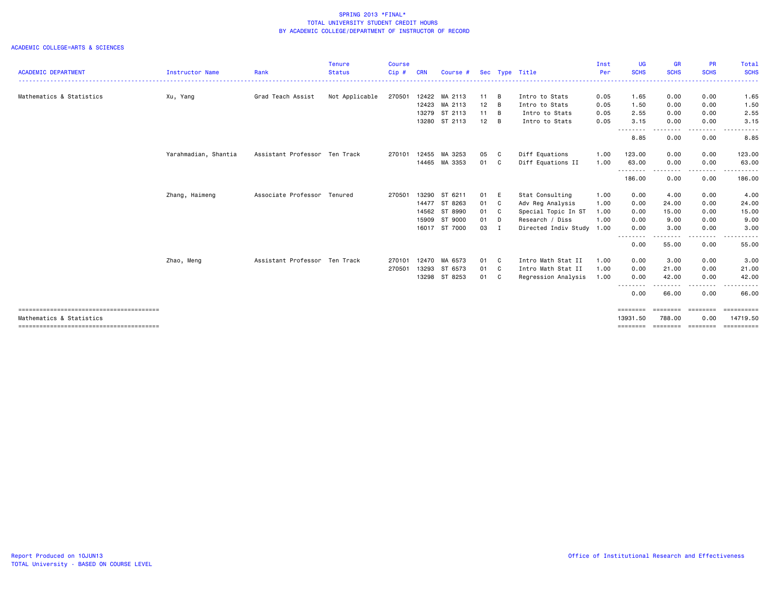| <b>ACADEMIC DEPARTMENT</b> | <b>Instructor Name</b> | Rank                          | <b>Tenure</b><br><b>Status</b> | <b>Course</b><br>Cip# | <b>CRN</b> | Course #      |                 |                | Sec Type Title            | Inst<br>Per | UG<br><b>SCHS</b>             | <b>GR</b><br><b>SCHS</b> | <b>PR</b><br><b>SCHS</b> | Total<br><b>SCHS</b>   |
|----------------------------|------------------------|-------------------------------|--------------------------------|-----------------------|------------|---------------|-----------------|----------------|---------------------------|-------------|-------------------------------|--------------------------|--------------------------|------------------------|
|                            |                        |                               |                                |                       |            |               |                 |                |                           |             |                               |                          |                          | .                      |
| Mathematics & Statistics   | Xu, Yang               | Grad Teach Assist             | Not Applicable                 | 270501                |            | 12422 MA 2113 | $11 \quad B$    |                | Intro to Stats            | 0.05        | 1.65                          | 0.00                     | 0.00                     | 1.65                   |
|                            |                        |                               |                                |                       |            | 12423 MA 2113 | 12              | B              | Intro to Stats            | 0.05        | 1.50                          | 0.00                     | 0.00                     | 1.50                   |
|                            |                        |                               |                                |                       |            | 13279 ST 2113 | $11 \quad B$    |                | Intro to Stats            | 0.05        | 2.55                          | 0.00                     | 0.00                     | 2.55                   |
|                            |                        |                               |                                |                       | 13280      | ST 2113       | 12 <sub>2</sub> | B              | Intro to Stats            | 0.05        | 3.15                          | 0.00                     | 0.00                     | 3.15                   |
|                            |                        |                               |                                |                       |            |               |                 |                |                           |             | --------<br>8.85              | 0.00                     | 0.00                     | 8.85                   |
|                            | Yarahmadian, Shantia   | Assistant Professor Ten Track |                                | 270101                | 12455      | MA 3253       | 05              | C              | Diff Equations            | 1.00        | 123.00                        | 0.00                     | 0.00                     | 123.00                 |
|                            |                        |                               |                                |                       | 14465      | MA 3353       | 01              | C <sub>c</sub> | Diff Equations II         | 1.00        | 63.00<br>--------             | 0.00<br>----             | 0.00<br>--------         | 63.00<br>.             |
|                            |                        |                               |                                |                       |            |               |                 |                |                           |             | 186.00                        | 0.00                     | 0.00                     | 186.00                 |
|                            | Zhang, Haimeng         | Associate Professor Tenured   |                                | 270501                | 13290      | ST 6211       | 01              | E              | Stat Consulting           | 1.00        | 0.00                          | 4.00                     | 0.00                     | 4.00                   |
|                            |                        |                               |                                |                       |            | 14477 ST 8263 | 01 C            |                | Adv Reg Analysis          | 1.00        | 0.00                          | 24.00                    | 0.00                     | 24.00                  |
|                            |                        |                               |                                |                       | 14562      | ST 8990       | 01 C            |                | Special Topic In ST       | 1.00        | 0.00                          | 15.00                    | 0.00                     | 15.00                  |
|                            |                        |                               |                                |                       |            | 15909 ST 9000 | 01              | - D            | Research / Diss           | 1.00        | 0.00                          | 9.00                     | 0.00                     | 9.00                   |
|                            |                        |                               |                                |                       |            | 16017 ST 7000 | 03              | I              | Directed Indiv Study 1.00 |             | 0.00<br>--------              | 3.00<br>$- - -$          | 0.00                     | 3.00                   |
|                            |                        |                               |                                |                       |            |               |                 |                |                           |             | 0.00                          | 55.00                    | 0.00                     | 55.00                  |
|                            | Zhao, Meng             | Assistant Professor Ten Track |                                | 270101                | 12470      | MA 6573       | 01              | C              | Intro Math Stat II        | 1.00        | 0.00                          | 3.00                     | 0.00                     | 3.00                   |
|                            |                        |                               |                                | 270501                | 13293      | ST 6573       | 01 C            |                | Intro Math Stat II        | 1.00        | 0.00                          | 21.00                    | 0.00                     | 21.00                  |
|                            |                        |                               |                                |                       |            | 13298 ST 8253 | 01 C            |                | Regression Analysis       | 1.00        | 0.00                          | 42.00                    | 0.00                     | 42.00                  |
|                            |                        |                               |                                |                       |            |               |                 |                |                           |             | --------<br>0.00              | -------<br>66.00         | .<br>0.00                | 66.00                  |
|                            |                        |                               |                                |                       |            |               |                 |                |                           |             | ========                      | ========                 | <b>ESSESSE</b>           | ==========             |
| Mathematics & Statistics   |                        |                               |                                |                       |            |               |                 |                |                           |             | 13931.50<br>$=$ = = = = = = = | 788.00<br>========       | 0.00<br>========         | 14719.50<br>========== |
|                            |                        |                               |                                |                       |            |               |                 |                |                           |             |                               |                          |                          |                        |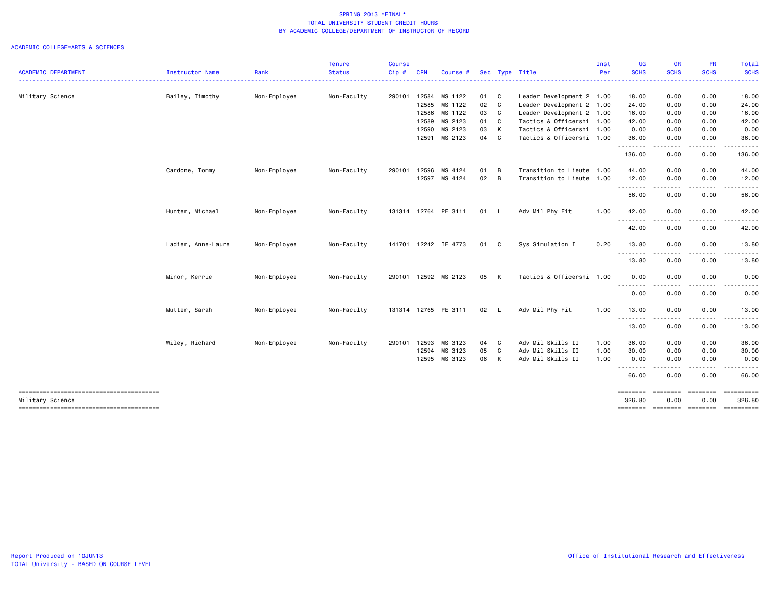| <b>Status</b><br>Non-Faculty<br>Non-Faculty | Cip#<br>290101 | <b>CRN</b><br>12584<br>12585 | Course #<br>MS 1122<br>MS 1122<br>12586 MS 1122<br>12589 MS 2123<br>12590 MS 2123<br>12591 MS 2123 | 01 C<br>02 C<br>03 C<br>01<br>03<br>04 C                                                                                                             | C<br>K | Sec Type Title<br>Leader Development 2 1.00<br>Leader Development 2 1.00<br>Leader Development 2 1.00<br>Tactics & Officershi 1.00<br>Tactics & Officershi 1.00<br>Tactics & Officershi 1.00 | Per                                    | <b>SCHS</b><br>18.00<br>24.00<br>16.00<br>42.00<br>0.00                                             | <b>SCHS</b><br>0.00<br>0.00<br>0.00<br>0.00<br>0.00 | <b>SCHS</b><br>0.00<br>0.00<br>0.00<br>0.00 | <b>SCHS</b><br>18.00<br>24.00<br>16.00                                    |
|---------------------------------------------|----------------|------------------------------|----------------------------------------------------------------------------------------------------|------------------------------------------------------------------------------------------------------------------------------------------------------|--------|----------------------------------------------------------------------------------------------------------------------------------------------------------------------------------------------|----------------------------------------|-----------------------------------------------------------------------------------------------------|-----------------------------------------------------|---------------------------------------------|---------------------------------------------------------------------------|
|                                             |                |                              |                                                                                                    |                                                                                                                                                      |        |                                                                                                                                                                                              |                                        |                                                                                                     |                                                     |                                             |                                                                           |
|                                             |                |                              |                                                                                                    |                                                                                                                                                      |        |                                                                                                                                                                                              |                                        |                                                                                                     |                                                     |                                             |                                                                           |
|                                             |                |                              |                                                                                                    |                                                                                                                                                      |        |                                                                                                                                                                                              |                                        |                                                                                                     |                                                     |                                             |                                                                           |
|                                             |                |                              |                                                                                                    |                                                                                                                                                      |        |                                                                                                                                                                                              |                                        |                                                                                                     |                                                     |                                             |                                                                           |
|                                             |                |                              |                                                                                                    |                                                                                                                                                      |        |                                                                                                                                                                                              |                                        |                                                                                                     |                                                     |                                             | 42.00                                                                     |
|                                             |                |                              |                                                                                                    |                                                                                                                                                      |        |                                                                                                                                                                                              |                                        |                                                                                                     |                                                     | 0.00                                        | 0.00                                                                      |
|                                             |                |                              |                                                                                                    |                                                                                                                                                      |        |                                                                                                                                                                                              |                                        | 36.00<br>.                                                                                          | 0.00<br>والمالية                                    | 0.00                                        | 36.00                                                                     |
|                                             |                |                              |                                                                                                    |                                                                                                                                                      |        |                                                                                                                                                                                              |                                        | 136.00                                                                                              | 0.00                                                | 0.00                                        | 136.00                                                                    |
|                                             | 290101         |                              |                                                                                                    | 01                                                                                                                                                   |        |                                                                                                                                                                                              |                                        | 44.00                                                                                               | 0.00                                                | 0.00                                        | 44.00                                                                     |
|                                             |                |                              |                                                                                                    |                                                                                                                                                      |        |                                                                                                                                                                                              |                                        | 12.00                                                                                               | 0.00                                                | 0.00                                        | 12.00                                                                     |
|                                             |                |                              |                                                                                                    |                                                                                                                                                      |        |                                                                                                                                                                                              |                                        | .<br>56.00                                                                                          | ----<br>0.00                                        | $\cdots$<br>0.00                            | .<br>56.00                                                                |
| Non-Faculty                                 |                |                              |                                                                                                    |                                                                                                                                                      |        | Adv Mil Phy Fit                                                                                                                                                                              | 1.00                                   | 42.00                                                                                               | 0.00                                                | 0.00                                        | 42.00                                                                     |
|                                             |                |                              |                                                                                                    |                                                                                                                                                      |        |                                                                                                                                                                                              |                                        | 42.00                                                                                               | 0.00                                                | 0.00                                        | 42.00                                                                     |
| Non-Faculty                                 |                |                              |                                                                                                    | 01                                                                                                                                                   |        | Sys Simulation I                                                                                                                                                                             | 0.20                                   | 13.80                                                                                               | 0.00                                                | 0.00                                        | 13.80                                                                     |
|                                             |                |                              |                                                                                                    |                                                                                                                                                      |        |                                                                                                                                                                                              |                                        | 13.80                                                                                               | 0.00                                                | 0.00                                        | 13.80                                                                     |
| Non-Faculty                                 |                |                              |                                                                                                    |                                                                                                                                                      |        |                                                                                                                                                                                              |                                        | 0.00                                                                                                | 0.00                                                | 0.00                                        | 0.00                                                                      |
|                                             |                |                              |                                                                                                    |                                                                                                                                                      |        |                                                                                                                                                                                              |                                        | 0.00                                                                                                | 0.00                                                | 0.00                                        | 0.00                                                                      |
| Non-Faculty                                 |                |                              |                                                                                                    |                                                                                                                                                      |        | Adv Mil Phy Fit                                                                                                                                                                              | 1.00                                   | 13.00                                                                                               | 0.00                                                | 0.00                                        | 13.00                                                                     |
|                                             |                |                              |                                                                                                    |                                                                                                                                                      |        |                                                                                                                                                                                              |                                        | 13.00                                                                                               | 0.00                                                | 0.00                                        | 13.00                                                                     |
| Non-Faculty                                 | 290101         | 12593                        | MS 3123                                                                                            |                                                                                                                                                      |        | Adv Mil Skills II                                                                                                                                                                            | 1.00                                   | 36.00                                                                                               | 0.00                                                | 0.00                                        | 36.00                                                                     |
|                                             |                |                              |                                                                                                    |                                                                                                                                                      |        |                                                                                                                                                                                              |                                        |                                                                                                     |                                                     |                                             | 30.00                                                                     |
|                                             |                |                              |                                                                                                    |                                                                                                                                                      |        |                                                                                                                                                                                              |                                        | ---------                                                                                           | .                                                   |                                             | 0.00                                                                      |
|                                             |                |                              |                                                                                                    |                                                                                                                                                      |        |                                                                                                                                                                                              |                                        | 66.00                                                                                               | 0.00                                                | 0.00                                        | 66.00                                                                     |
|                                             |                |                              |                                                                                                    |                                                                                                                                                      |        |                                                                                                                                                                                              |                                        | ========<br>326.80                                                                                  | 0.00                                                | 0.00                                        | 326.80                                                                    |
|                                             |                |                              | 12596<br>12594                                                                                     | MS 4124<br>12597 MS 4124<br>131314 12764 PE 3111<br>141701 12242 IE 4773<br>290101 12592 MS 2123<br>131314 12765 PE 3111<br>MS 3123<br>12595 MS 3123 | 05     | B<br>02 B<br>01 L<br>$\mathbf{C}$<br>05 K<br>02 L<br>04 C<br>C<br>06 K                                                                                                                       | Adv Mil Skills II<br>Adv Mil Skills II | Transition to Lieute 1.00<br>Transition to Lieute 1.00<br>Tactics & Officershi 1.00<br>1.00<br>1.00 | .<br>--------<br>.<br>.<br>30.00<br>0.00            | $  -$<br>.<br>0.00<br>0.00<br>========      | ----<br>0.00<br>0.00<br>========<br>-------- -------- -------- ---------- |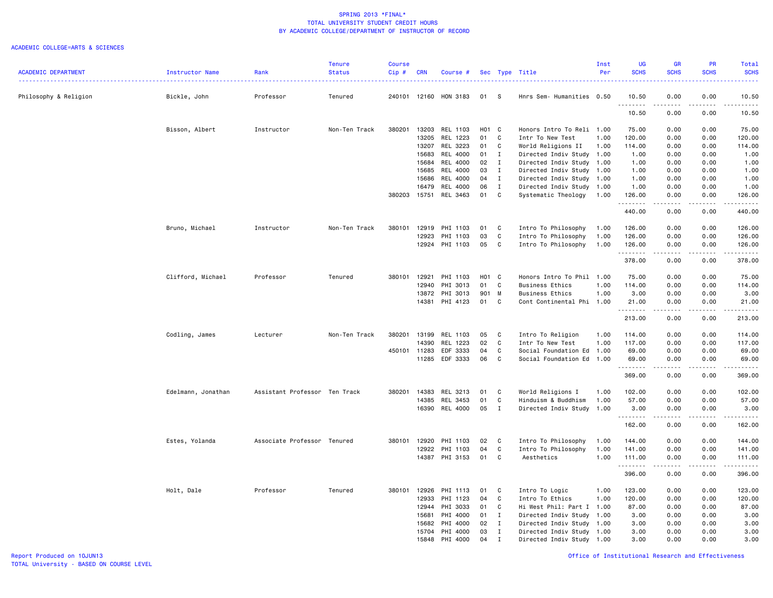|                            |                    |                               | <b>Tenure</b> | <b>Course</b> |            |                 |       |              |                           | Inst | <b>UG</b>          | <b>GR</b>   | PR                                                                                                                        | Total                                                                                                                                                                           |
|----------------------------|--------------------|-------------------------------|---------------|---------------|------------|-----------------|-------|--------------|---------------------------|------|--------------------|-------------|---------------------------------------------------------------------------------------------------------------------------|---------------------------------------------------------------------------------------------------------------------------------------------------------------------------------|
| <b>ACADEMIC DEPARTMENT</b> | Instructor Name    | Rank                          | <b>Status</b> | $Cip$ #       | <b>CRN</b> | Course #        |       |              | Sec Type Title            | Per  | <b>SCHS</b>        | <b>SCHS</b> | <b>SCHS</b>                                                                                                               | <b>SCHS</b><br>الدائدات                                                                                                                                                         |
| Philosophy & Religion      | Bickle, John       | Professor                     | Tenured       | 240101        |            | 12160 HON 3183  | 01    | - S          | Hnrs Sem- Humanities 0.50 |      | 10.50              | 0.00        | 0.00                                                                                                                      | 10.50                                                                                                                                                                           |
|                            |                    |                               |               |               |            |                 |       |              |                           |      | .<br>10.50         | 0.00        | $\frac{1}{2}$<br>0.00                                                                                                     | $\frac{1}{2}$<br>10.50                                                                                                                                                          |
|                            | Bisson, Albert     | Instructor                    | Non-Ten Track | 380201        | 13203      | REL 1103        | H01 C |              | Honors Intro To Reli 1.00 |      | 75.00              | 0.00        | 0.00                                                                                                                      | 75.00                                                                                                                                                                           |
|                            |                    |                               |               |               | 13205      | REL 1223        | 01    | C            | Intr To New Test          | 1.00 | 120.00             | 0.00        | 0.00                                                                                                                      | 120.00                                                                                                                                                                          |
|                            |                    |                               |               |               | 13207      | REL 3223        | 01    | C            | World Religions II        | 1.00 | 114.00             | 0.00        | 0.00                                                                                                                      | 114.00                                                                                                                                                                          |
|                            |                    |                               |               |               | 15683      | <b>REL 4000</b> | 01    | $\mathbf{I}$ | Directed Indiv Study 1.00 |      | 1.00               | 0.00        | 0.00                                                                                                                      | 1.00                                                                                                                                                                            |
|                            |                    |                               |               |               | 15684      | REL 4000        | 02    | $\mathbf{I}$ | Directed Indiv Study 1.00 |      | 1.00               | 0.00        | 0.00                                                                                                                      | 1.00                                                                                                                                                                            |
|                            |                    |                               |               |               | 15685      | REL 4000        | 03    | $\mathbf{I}$ | Directed Indiv Study 1.00 |      | 1.00               | 0.00        | 0.00                                                                                                                      | 1.00                                                                                                                                                                            |
|                            |                    |                               |               |               | 15686      | REL 4000        | 04 I  |              | Directed Indiv Study 1.00 |      | 1.00               | 0.00        | 0.00                                                                                                                      | 1.00                                                                                                                                                                            |
|                            |                    |                               |               |               | 16479      | REL 4000        | 06    | $\mathbf{I}$ | Directed Indiv Study 1.00 |      | 1.00               | 0.00        | 0.00                                                                                                                      | 1.00                                                                                                                                                                            |
|                            |                    |                               |               | 380203        | 15751      | REL 3463        | 01    | C            | Systematic Theology       | 1.00 | 126.00<br><u>.</u> | 0.00        | 0.00                                                                                                                      | 126.00<br>.                                                                                                                                                                     |
|                            |                    |                               |               |               |            |                 |       |              |                           |      | 440.00             | 0.00        | 0.00                                                                                                                      | 440.00                                                                                                                                                                          |
|                            | Bruno, Michael     | Instructor                    | Non-Ten Track | 380101        | 12919      | PHI 1103        | 01    | C            | Intro To Philosophy       | 1.00 | 126.00             | 0.00        | 0.00                                                                                                                      | 126.00                                                                                                                                                                          |
|                            |                    |                               |               |               | 12923      | PHI 1103        | 03    | $\mathtt{C}$ | Intro To Philosophy       | 1.00 | 126.00             | 0.00        | 0.00                                                                                                                      | 126.00                                                                                                                                                                          |
|                            |                    |                               |               |               | 12924      | PHI 1103        | 05    | C            | Intro To Philosophy       | 1.00 | 126.00             | 0.00        | 0.00                                                                                                                      | 126.00                                                                                                                                                                          |
|                            |                    |                               |               |               |            |                 |       |              |                           |      | .                  | .           | د د د د                                                                                                                   | $\frac{1}{2} \left( \frac{1}{2} \right) \left( \frac{1}{2} \right) \left( \frac{1}{2} \right) \left( \frac{1}{2} \right) \left( \frac{1}{2} \right) \left( \frac{1}{2} \right)$ |
|                            |                    |                               |               |               |            |                 |       |              |                           |      | 378.00             | 0.00        | 0.00                                                                                                                      | 378.00                                                                                                                                                                          |
|                            | Clifford, Michael  | Professor                     | Tenured       | 380101        | 12921      | PHI 1103        | H01 C |              | Honors Intro To Phil 1.00 |      | 75.00              | 0.00        | 0.00                                                                                                                      | 75.00                                                                                                                                                                           |
|                            |                    |                               |               |               | 12940      | PHI 3013        | 01    | C            | <b>Business Ethics</b>    | 1.00 | 114.00             | 0.00        | 0.00                                                                                                                      | 114.00                                                                                                                                                                          |
|                            |                    |                               |               |               | 13872      | PHI 3013        | 901   | M            | <b>Business Ethics</b>    | 1.00 | 3.00               | 0.00        | 0.00                                                                                                                      | 3.00                                                                                                                                                                            |
|                            |                    |                               |               |               | 14381      | PHI 4123        | 01    | C            | Cont Continental Phi 1.00 |      | 21.00              | 0.00        | 0.00                                                                                                                      | 21.00                                                                                                                                                                           |
|                            |                    |                               |               |               |            |                 |       |              |                           |      | .<br>213.00        | 0.00        | .<br>0.00                                                                                                                 | .<br>213.00                                                                                                                                                                     |
|                            | Codling, James     | Lecturer                      | Non-Ten Track | 380201        | 13199      | REL 1103        | 05    | C            | Intro To Religion         | 1.00 | 114.00             | 0.00        | 0.00                                                                                                                      | 114.00                                                                                                                                                                          |
|                            |                    |                               |               |               | 14390      | REL 1223        | 02    | C            | Intr To New Test          | 1.00 | 117.00             | 0.00        | 0.00                                                                                                                      | 117.00                                                                                                                                                                          |
|                            |                    |                               |               | 450101 11283  |            | EDF 3333        | 04    | C            | Social Foundation Ed      | 1.00 | 69.00              | 0.00        | 0.00                                                                                                                      | 69.00                                                                                                                                                                           |
|                            |                    |                               |               |               | 11285      | EDF 3333        | 06    | C            | Social Foundation Ed      | 1.00 | 69.00              | 0.00        | 0.00                                                                                                                      | 69.00                                                                                                                                                                           |
|                            |                    |                               |               |               |            |                 |       |              |                           |      | .                  |             | $\frac{1}{2} \left( \frac{1}{2} \right) \left( \frac{1}{2} \right) \left( \frac{1}{2} \right) \left( \frac{1}{2} \right)$ | .                                                                                                                                                                               |
|                            |                    |                               |               |               |            |                 |       |              |                           |      | 369.00             | 0.00        | 0.00                                                                                                                      | 369.00                                                                                                                                                                          |
|                            | Edelmann, Jonathan | Assistant Professor Ten Track |               | 380201 14383  |            | REL 3213        | 01    | C            | World Religions I         | 1.00 | 102.00             | 0.00        | 0.00                                                                                                                      | 102.00                                                                                                                                                                          |
|                            |                    |                               |               |               | 14385      | REL 3453        | 01    | $\mathtt{C}$ | Hinduism & Buddhism       | 1.00 | 57.00              | 0.00        | 0.00                                                                                                                      | 57.00                                                                                                                                                                           |
|                            |                    |                               |               |               | 16390      | REL 4000        | 05    | $\mathbf{I}$ | Directed Indiv Study      | 1.00 | 3.00               | 0.00        | 0.00                                                                                                                      | 3.00                                                                                                                                                                            |
|                            |                    |                               |               |               |            |                 |       |              |                           |      | 162.00             | 0.00        | 0.00                                                                                                                      | 162.00                                                                                                                                                                          |
|                            | Estes, Yolanda     | Associate Professor Tenured   |               | 380101        | 12920      | PHI 1103        | 02    | C            | Intro To Philosophy       | 1.00 | 144.00             | 0.00        | 0.00                                                                                                                      | 144.00                                                                                                                                                                          |
|                            |                    |                               |               |               | 12922      | PHI 1103        | 04    | $\mathtt{C}$ | Intro To Philosophy       | 1.00 | 141.00             | 0.00        | 0.00                                                                                                                      | 141.00                                                                                                                                                                          |
|                            |                    |                               |               |               | 14387      | PHI 3153        | 01    | C            | Aesthetics                | 1.00 | 111.00             | 0.00        | 0.00                                                                                                                      | 111.00                                                                                                                                                                          |
|                            |                    |                               |               |               |            |                 |       |              |                           |      | .                  | د د د د     | د د د د                                                                                                                   | .                                                                                                                                                                               |
|                            |                    |                               |               |               |            |                 |       |              |                           |      | 396.00             | 0.00        | 0.00                                                                                                                      | 396.00                                                                                                                                                                          |
|                            | Holt, Dale         | Professor                     | Tenured       | 380101        | 12926      | PHI 1113        | 01    | C            | Intro To Logic            | 1.00 | 123.00             | 0.00        | 0.00                                                                                                                      | 123.00                                                                                                                                                                          |
|                            |                    |                               |               |               | 12933      | PHI 1123        | 04    | C            | Intro To Ethics           | 1.00 | 120.00             | 0.00        | 0.00                                                                                                                      | 120.00                                                                                                                                                                          |
|                            |                    |                               |               |               | 12944      | PHI 3033        | 01    | C            | Hi West Phil: Part I 1.00 |      | 87.00              | 0.00        | 0.00                                                                                                                      | 87.00                                                                                                                                                                           |
|                            |                    |                               |               |               | 15681      | PHI 4000        | 01    | $\mathbf{I}$ | Directed Indiv Study 1.00 |      | 3.00               | 0.00        | 0.00                                                                                                                      | 3.00                                                                                                                                                                            |
|                            |                    |                               |               |               | 15682      | PHI 4000        | 02    | $\mathbf{I}$ | Directed Indiv Study      | 1.00 | 3.00               | 0.00        | 0.00                                                                                                                      | 3.00                                                                                                                                                                            |
|                            |                    |                               |               |               | 15704      | PHI 4000        | 03    | $\mathbf{I}$ | Directed Indiv Study 1.00 |      | 3.00               | 0.00        | 0.00                                                                                                                      | 3.00                                                                                                                                                                            |
|                            |                    |                               |               |               | 15848      | PHI 4000        | 04    | $\mathbf I$  | Directed Indiv Study 1.00 |      | 3.00               | 0.00        | 0.00                                                                                                                      | 3,00                                                                                                                                                                            |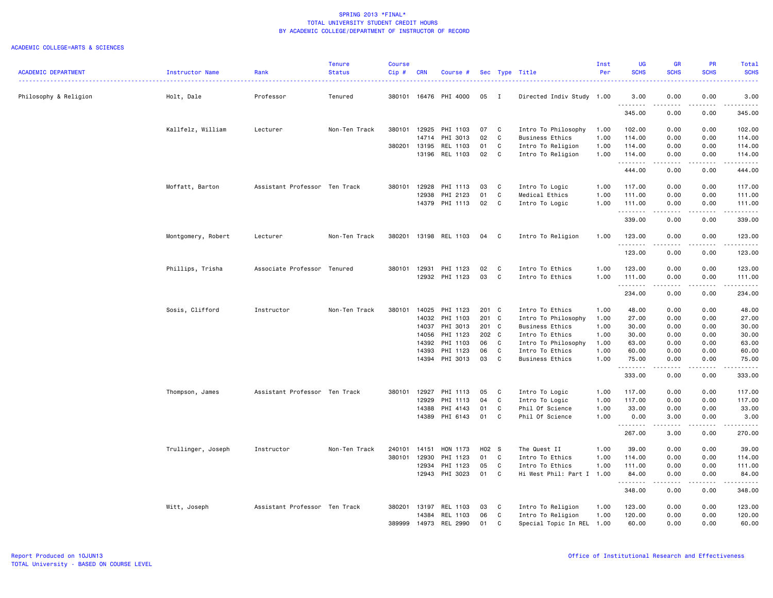|                            |                    |                               | <b>Tenure</b> | <b>Course</b> |            |                 |       |                |                           | Inst | <b>UG</b>          | <b>GR</b>                                                                                                                                                    | <b>PR</b>                                                                                                                         | Total                                                                                                                                    |
|----------------------------|--------------------|-------------------------------|---------------|---------------|------------|-----------------|-------|----------------|---------------------------|------|--------------------|--------------------------------------------------------------------------------------------------------------------------------------------------------------|-----------------------------------------------------------------------------------------------------------------------------------|------------------------------------------------------------------------------------------------------------------------------------------|
| <b>ACADEMIC DEPARTMENT</b> | Instructor Name    | Rank                          | <b>Status</b> | Cip#          | <b>CRN</b> | Course #        |       |                | Sec Type Title            | Per  | <b>SCHS</b>        | <b>SCHS</b>                                                                                                                                                  | <b>SCHS</b>                                                                                                                       | <b>SCHS</b><br>$\frac{1}{2} \left( \frac{1}{2} \right) \left( \frac{1}{2} \right) \left( \frac{1}{2} \right) \left( \frac{1}{2} \right)$ |
| Philosophy & Religion      | Holt, Dale         | Professor                     | Tenured       | 380101        |            | 16476 PHI 4000  | 05    | $\blacksquare$ | Directed Indiv Study 1.00 |      | 3.00<br>.          | 0.00<br>$\frac{1}{2} \left( \frac{1}{2} \right) \left( \frac{1}{2} \right) \left( \frac{1}{2} \right) \left( \frac{1}{2} \right) \left( \frac{1}{2} \right)$ | 0.00<br>$\sim$ $\sim$ $\sim$ $\sim$                                                                                               | 3.00<br>$\begin{array}{cccccccccc} \bullet & \bullet & \bullet & \bullet & \bullet & \bullet & \bullet \end{array}$                      |
|                            |                    |                               |               |               |            |                 |       |                |                           |      | 345.00             | 0.00                                                                                                                                                         | 0.00                                                                                                                              | 345.00                                                                                                                                   |
|                            | Kallfelz, William  | Lecturer                      | Non-Ten Track | 380101        | 12925      | PHI 1103        | 07    | C              | Intro To Philosophy       | 1.00 | 102.00             | 0.00                                                                                                                                                         | 0.00                                                                                                                              | 102.00                                                                                                                                   |
|                            |                    |                               |               |               | 14714      | PHI 3013        | 02    | C              | <b>Business Ethics</b>    | 1.00 | 114.00             | 0.00                                                                                                                                                         | 0.00                                                                                                                              | 114.00                                                                                                                                   |
|                            |                    |                               |               | 380201        | 13195      | REL 1103        | 01    | C              | Intro To Religion         | 1.00 | 114.00             | 0.00                                                                                                                                                         | 0.00                                                                                                                              | 114.00                                                                                                                                   |
|                            |                    |                               |               |               | 13196      | REL 1103        | 02    | C              | Intro To Religion         | 1.00 | 114.00<br>-------- | 0.00<br>$\frac{1}{2} \left( \frac{1}{2} \right) \left( \frac{1}{2} \right) \left( \frac{1}{2} \right) \left( \frac{1}{2} \right)$                            | 0.00<br>$\frac{1}{2} \left( \frac{1}{2} \right) \left( \frac{1}{2} \right) \left( \frac{1}{2} \right) \left( \frac{1}{2} \right)$ | 114.00<br>.                                                                                                                              |
|                            |                    |                               |               |               |            |                 |       |                |                           |      | 444.00             | 0.00                                                                                                                                                         | 0.00                                                                                                                              | 444.00                                                                                                                                   |
|                            | Moffatt, Barton    | Assistant Professor Ten Track |               | 380101        | 12928      | PHI 1113        | 03    | C              | Intro To Logic            | 1.00 | 117.00             | 0.00                                                                                                                                                         | 0.00                                                                                                                              | 117.00                                                                                                                                   |
|                            |                    |                               |               |               | 12938      | PHI 2123        | 01    | C              | Medical Ethics            | 1.00 | 111.00             | 0.00                                                                                                                                                         | 0.00                                                                                                                              | 111.00                                                                                                                                   |
|                            |                    |                               |               |               |            | 14379 PHI 1113  | 02    | C              | Intro To Logic            | 1.00 | 111.00<br>.        | 0.00<br>-----                                                                                                                                                | 0.00<br>د د د د                                                                                                                   | 111.00<br>.                                                                                                                              |
|                            |                    |                               |               |               |            |                 |       |                |                           |      | 339.00             | 0.00                                                                                                                                                         | 0.00                                                                                                                              | 339.00                                                                                                                                   |
|                            | Montgomery, Robert | Lecturer                      | Non-Ten Track | 380201        |            | 13198 REL 1103  | 04 C  |                | Intro To Religion         | 1.00 | 123.00<br>.        | 0.00<br>.                                                                                                                                                    | 0.00<br>.                                                                                                                         | 123.00<br>$- - - - - - -$                                                                                                                |
|                            |                    |                               |               |               |            |                 |       |                |                           |      | 123.00             | 0.00                                                                                                                                                         | 0.00                                                                                                                              | 123.00                                                                                                                                   |
|                            | Phillips, Trisha   | Associate Professor Tenured   |               | 380101        | 12931      | PHI 1123        | 02    | C              | Intro To Ethics           | 1.00 | 123.00             | 0.00                                                                                                                                                         | 0.00                                                                                                                              | 123.00                                                                                                                                   |
|                            |                    |                               |               |               | 12932      | PHI 1123        | 03    | C              | Intro To Ethics           | 1.00 | 111.00<br>.        | 0.00<br>$- - - - -$                                                                                                                                          | 0.00<br>.                                                                                                                         | 111.00<br>$\begin{array}{cccccccccccccc} \bullet & \bullet & \bullet & \bullet & \bullet & \bullet & \bullet & \bullet \end{array}$      |
|                            |                    |                               |               |               |            |                 |       |                |                           |      | 234.00             | 0.00                                                                                                                                                         | 0.00                                                                                                                              | 234.00                                                                                                                                   |
|                            | Sosis, Clifford    | Instructor                    | Non-Ten Track | 380101        | 14025      | PHI 1123        | 201 C |                | Intro To Ethics           | 1.00 | 48.00              | 0.00                                                                                                                                                         | 0.00                                                                                                                              | 48.00                                                                                                                                    |
|                            |                    |                               |               |               | 14032      | PHI 1103        | 201 C |                | Intro To Philosophy       | 1.00 | 27.00              | 0.00                                                                                                                                                         | 0.00                                                                                                                              | 27.00                                                                                                                                    |
|                            |                    |                               |               |               | 14037      | PHI 3013        | 201 C |                | <b>Business Ethics</b>    | 1.00 | 30.00              | 0.00                                                                                                                                                         | 0.00                                                                                                                              | 30.00                                                                                                                                    |
|                            |                    |                               |               |               | 14056      | PHI 1123        | 202 C |                | Intro To Ethics           | 1.00 | 30.00              | 0.00                                                                                                                                                         | 0.00                                                                                                                              | 30.00                                                                                                                                    |
|                            |                    |                               |               |               | 14392      | PHI 1103        | 06    | $\mathbf{C}$   | Intro To Philosophy       | 1.00 | 63.00              | 0.00                                                                                                                                                         | 0.00                                                                                                                              | 63.00                                                                                                                                    |
|                            |                    |                               |               |               | 14393      | PHI 1123        | 06    | C              | Intro To Ethics           | 1.00 | 60.00              | 0.00                                                                                                                                                         | 0.00                                                                                                                              | 60.00                                                                                                                                    |
|                            |                    |                               |               |               | 14394      | PHI 3013        | 03    | C              | <b>Business Ethics</b>    | 1.00 | 75.00<br>.         | 0.00<br>.                                                                                                                                                    | 0.00<br>$\sim$ $\sim$ $\sim$ $\sim$                                                                                               | 75.00<br>.                                                                                                                               |
|                            |                    |                               |               |               |            |                 |       |                |                           |      | 333.00             | 0.00                                                                                                                                                         | 0.00                                                                                                                              | 333.00                                                                                                                                   |
|                            | Thompson, James    | Assistant Professor Ten Track |               | 380101        | 12927      | PHI 1113        | 05    | C              | Intro To Logic            | 1.00 | 117.00             | 0.00                                                                                                                                                         | 0.00                                                                                                                              | 117.00                                                                                                                                   |
|                            |                    |                               |               |               | 12929      | PHI 1113        | 04    | C              | Intro To Logic            | 1.00 | 117.00             | 0.00                                                                                                                                                         | 0.00                                                                                                                              | 117.00                                                                                                                                   |
|                            |                    |                               |               |               | 14388      | PHI 4143        | 01    | C              | Phil Of Science           | 1.00 | 33.00              | 0.00                                                                                                                                                         | 0.00                                                                                                                              | 33.00                                                                                                                                    |
|                            |                    |                               |               |               | 14389      | PHI 6143        | 01    | C.             | Phil Of Science           | 1.00 | 0.00<br>.          | 3.00                                                                                                                                                         | 0.00                                                                                                                              | 3.00<br>المتمامين                                                                                                                        |
|                            |                    |                               |               |               |            |                 |       |                |                           |      | 267.00             | 3.00                                                                                                                                                         | 0.00                                                                                                                              | 270.00                                                                                                                                   |
|                            | Trullinger, Joseph | Instructor                    | Non-Ten Track | 240101        | 14151      | HON 1173        | H02 S |                | The Quest II              | 1.00 | 39.00              | 0.00                                                                                                                                                         | 0.00                                                                                                                              | 39.00                                                                                                                                    |
|                            |                    |                               |               | 380101        | 12930      | PHI 1123        | 01    | C.             | Intro To Ethics           | 1.00 | 114.00             | 0.00                                                                                                                                                         | 0.00                                                                                                                              | 114.00                                                                                                                                   |
|                            |                    |                               |               |               | 12934      | PHI 1123        | 05    | C              | Intro To Ethics           | 1.00 | 111.00             | 0.00                                                                                                                                                         | 0.00                                                                                                                              | 111.00                                                                                                                                   |
|                            |                    |                               |               |               | 12943      | PHI 3023        | 01    | C              | Hi West Phil: Part I 1.00 |      | 84.00<br>.         | 0.00<br>.                                                                                                                                                    | 0.00<br>.                                                                                                                         | 84.00<br>$- - - - - - -$                                                                                                                 |
|                            |                    |                               |               |               |            |                 |       |                |                           |      | 348.00             | 0.00                                                                                                                                                         | 0.00                                                                                                                              | 348.00                                                                                                                                   |
|                            | Witt, Joseph       | Assistant Professor Ten Track |               | 380201        | 13197      | REL 1103        | 03    | C              | Intro To Religion         | 1.00 | 123.00             | 0.00                                                                                                                                                         | 0.00                                                                                                                              | 123.00                                                                                                                                   |
|                            |                    |                               |               |               | 14384      | REL 1103        | 06    | C              | Intro To Religion         | 1.00 | 120.00             | 0.00                                                                                                                                                         | 0.00                                                                                                                              | 120.00                                                                                                                                   |
|                            |                    |                               |               | 389999        | 14973      | <b>REL 2990</b> | 01    | C              | Special Topic In REL      | 1.00 | 60.00              | 0.00                                                                                                                                                         | 0.00                                                                                                                              | 60.00                                                                                                                                    |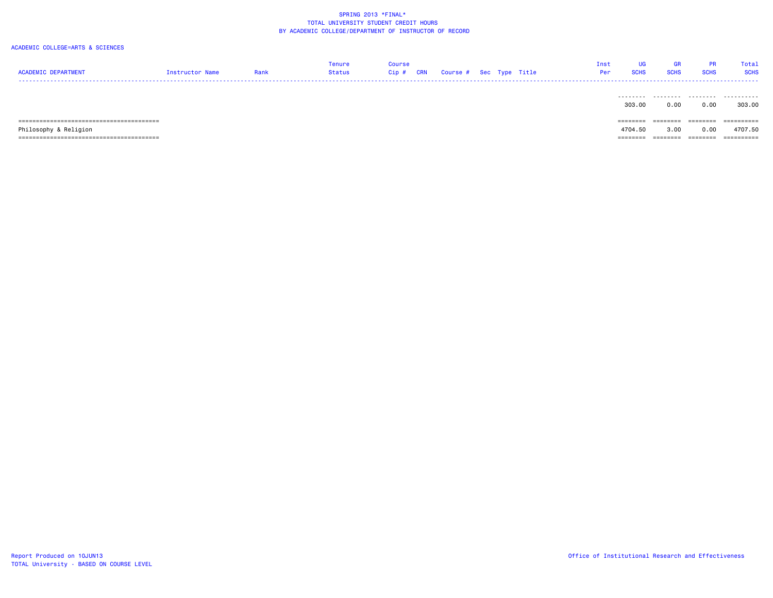| <b>ACADEMIC DEPARTMENT</b> | Instructor Name | Rank | fenure<br>Status | Course<br>Cip # | <b>CRN</b> | Course # Sec Type Title |  |  | <b>UG</b><br>Inst<br><b>SCHS</b><br>Per | <b>GR</b><br><b>SCHS</b> | <b>PR</b><br><b>SCHS</b> | Total<br><b>SCHS</b> |
|----------------------------|-----------------|------|------------------|-----------------|------------|-------------------------|--|--|-----------------------------------------|--------------------------|--------------------------|----------------------|
|                            |                 |      |                  |                 |            |                         |  |  | ---------<br>303,00                     | .<br>0.00                | .<br>0.00                | .<br>303.00          |
|                            |                 |      |                  |                 |            |                         |  |  | ========                                | ========                 | $=$ = = = = = = =        | ==========           |
| Philosophy & Religion      |                 |      |                  |                 |            |                         |  |  | 4704.50                                 | 3.00                     | 0.00                     | 4707.50              |
|                            |                 |      |                  |                 |            |                         |  |  | ========                                | ========                 | ========                 | ==========           |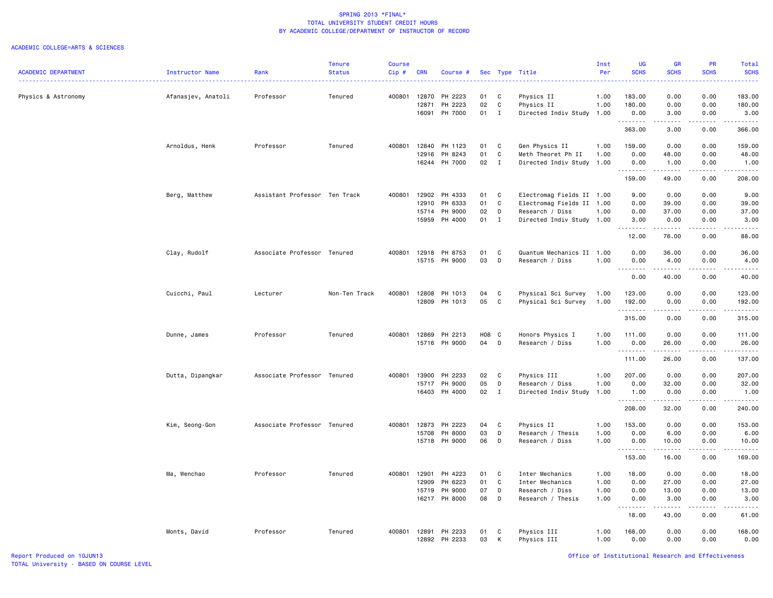|                            |                        |                               | <b>Tenure</b> | <b>Course</b> |            |               |       |              |                           | Inst | <b>UG</b>          | <b>GR</b>                                                                                                                                            | <b>PR</b>                           | Total            |
|----------------------------|------------------------|-------------------------------|---------------|---------------|------------|---------------|-------|--------------|---------------------------|------|--------------------|------------------------------------------------------------------------------------------------------------------------------------------------------|-------------------------------------|------------------|
| <b>ACADEMIC DEPARTMENT</b> | <b>Instructor Name</b> | Rank                          | <b>Status</b> | $Cip$ #       | <b>CRN</b> | Course #      |       |              | Sec Type Title            | Per  | <b>SCHS</b>        | <b>SCHS</b>                                                                                                                                          | <b>SCHS</b>                         | <b>SCHS</b><br>. |
| Physics & Astronomy        | Afanasjev, Anatoli     | Professor                     | Tenured       | 400801        | 12870      | PH 2223       | 01    | C            | Physics II                | 1.00 | 183.00             | 0.00                                                                                                                                                 | 0.00                                | 183.00           |
|                            |                        |                               |               |               | 12871      | PH 2223       | 02    | C            | Physics II                | 1.00 | 180.00             | 0.00                                                                                                                                                 | 0.00                                | 180.00           |
|                            |                        |                               |               |               | 16091      | PH 7000       | 01    | $\mathbf{I}$ | Directed Indiv Study 1.00 |      | 0.00               | 3.00                                                                                                                                                 | 0.00                                | 3.00             |
|                            |                        |                               |               |               |            |               |       |              |                           |      | .<br>363.00        | -----<br>3.00                                                                                                                                        | .<br>0.00                           | .<br>366.00      |
|                            | Arnoldus, Henk         | Professor                     | Tenured       | 400801        | 12840      | PH 1123       | 01    | C            | Gen Physics II            | 1.00 | 159.00             | 0.00                                                                                                                                                 | 0.00                                | 159.00           |
|                            |                        |                               |               |               | 12916      | PH 8243       | 01    | C            | Meth Theoret Ph II        | 1.00 | 0.00               | 48.00                                                                                                                                                | 0.00                                | 48.00            |
|                            |                        |                               |               |               | 16244      | PH 7000       | 02    | $\mathbf{I}$ | Directed Indiv Study      | 1.00 | 0.00               | 1.00                                                                                                                                                 | 0.00                                | 1.00             |
|                            |                        |                               |               |               |            |               |       |              |                           |      |                    | .                                                                                                                                                    | $\sim$ $\sim$ $\sim$                | 2.2.2.2.2.       |
|                            |                        |                               |               |               |            |               |       |              |                           |      | 159.00             | 49.00                                                                                                                                                | 0.00                                | 208.00           |
|                            | Berg, Matthew          | Assistant Professor Ten Track |               | 400801        | 12902      | PH 4333       | 01    | C            | Electromag Fields II 1.00 |      | 9.00               | 0.00                                                                                                                                                 | 0.00                                | 9.00             |
|                            |                        |                               |               |               | 12910      | PH 6333       | 01    | C            | Electromag Fields II 1.00 |      | 0.00               | 39.00                                                                                                                                                | 0.00                                | 39.00            |
|                            |                        |                               |               |               | 15714      | PH 9000       | 02    | D            | Research / Diss           | 1.00 | 0.00               | 37.00                                                                                                                                                | 0.00                                | 37.00            |
|                            |                        |                               |               |               | 15959      | PH 4000       | 01    | $\mathbf{I}$ | Directed Indiv Study 1.00 |      | 3.00               | 0.00<br><b>.</b> .                                                                                                                                   | 0.00<br>.                           | 3.00<br>.        |
|                            |                        |                               |               |               |            |               |       |              |                           |      | 12.00              | 76.00                                                                                                                                                | 0.00                                | 88.00            |
|                            | Clay, Rudolf           | Associate Professor Tenured   |               | 400801        | 12918      | PH 8753       | 01    | C            | Quantum Mechanics II 1.00 |      | 0.00               | 36.00                                                                                                                                                | 0.00                                | 36.00            |
|                            |                        |                               |               |               |            | 15715 PH 9000 | 03    | D            | Research / Diss           | 1.00 | 0.00               | 4.00                                                                                                                                                 | 0.00                                | 4.00             |
|                            |                        |                               |               |               |            |               |       |              |                           |      | . <b>.</b><br>0.00 | .<br>40.00                                                                                                                                           | .<br>0.00                           | .<br>40.00       |
|                            |                        |                               |               |               |            |               |       |              |                           |      |                    |                                                                                                                                                      |                                     |                  |
|                            | Cuicchi, Paul          | Lecturer                      | Non-Ten Track | 400801        | 12808      | PH 1013       | 04    | C            | Physical Sci Survey       | 1.00 | 123.00             | 0.00                                                                                                                                                 | 0.00                                | 123.00           |
|                            |                        |                               |               |               | 12809      | PH 1013       | 05    | C            | Physical Sci Survey       | 1.00 | 192.00<br>.        | 0.00<br>$\sim$ $\sim$ $\sim$ $\sim$                                                                                                                  | 0.00<br>$\sim$ $\sim$ $\sim$ $\sim$ | 192.00<br>.      |
|                            |                        |                               |               |               |            |               |       |              |                           |      | 315.00             | 0.00                                                                                                                                                 | 0.00                                | 315.00           |
|                            | Dunne, James           | Professor                     | Tenured       | 400801        | 12869      | PH 2213       | H08 C |              | Honors Physics I          | 1.00 | 111.00             | 0.00                                                                                                                                                 | 0.00                                | 111.00           |
|                            |                        |                               |               |               | 15716      | PH 9000       | 04    | D            | Research / Diss           | 1.00 | 0.00               | 26.00                                                                                                                                                | 0.00                                | 26.00            |
|                            |                        |                               |               |               |            |               |       |              |                           |      | . <b>.</b>         | .                                                                                                                                                    | .                                   | .                |
|                            |                        |                               |               |               |            |               |       |              |                           |      | 111.00             | 26.00                                                                                                                                                | 0.00                                | 137.00           |
|                            | Dutta, Dipangkar       | Associate Professor Tenured   |               | 400801        | 13900      | PH 2233       | 02    | C            | Physics III               | 1.00 | 207.00             | 0.00                                                                                                                                                 | 0.00                                | 207.00           |
|                            |                        |                               |               |               | 15717      | PH 9000       | 05    | D            | Research / Diss           | 1.00 | 0.00               | 32.00                                                                                                                                                | 0.00                                | 32.00            |
|                            |                        |                               |               |               |            | 16403 PH 4000 | 02    | $\mathbf{I}$ | Directed Indiv Study 1.00 |      | 1.00               | 0.00                                                                                                                                                 | 0.00                                | 1.00             |
|                            |                        |                               |               |               |            |               |       |              |                           |      | .<br>208.00        | .<br>32.00                                                                                                                                           | $\frac{1}{2}$<br>0.00               | .<br>240.00      |
|                            | Kim, Seong-Gon         | Associate Professor Tenured   |               | 400801        | 12873      | PH 2223       | 04    | C            | Physics II                | 1.00 | 153.00             | 0.00                                                                                                                                                 | 0.00                                | 153.00           |
|                            |                        |                               |               |               | 15708      | PH 8000       | 03    | D            | Research / Thesis         | 1.00 | 0.00               | 6.00                                                                                                                                                 | 0.00                                | 6.00             |
|                            |                        |                               |               |               |            | 15718 PH 9000 | 06    | D            | Research / Diss           | 1.00 | 0.00               | 10.00                                                                                                                                                | 0.00                                | 10.00            |
|                            |                        |                               |               |               |            |               |       |              |                           |      |                    | $\frac{1}{2} \left( \frac{1}{2} \right) \left( \frac{1}{2} \right) \left( \frac{1}{2} \right) \left( \frac{1}{2} \right) \left( \frac{1}{2} \right)$ | $\sim$ $\sim$ $\sim$ $\sim$         | .                |
|                            |                        |                               |               |               |            |               |       |              |                           |      | 153.00             | 16.00                                                                                                                                                | 0.00                                | 169.00           |
|                            | Ma, Wenchao            | Professor                     | Tenured       | 400801        | 12901      | PH 4223       | 01    | C            | Inter Mechanics           | 1.00 | 18.00              | 0.00                                                                                                                                                 | 0.00                                | 18.00            |
|                            |                        |                               |               |               | 12909      | PH 6223       | 01    | $\mathbb{C}$ | Inter Mechanics           | 1.00 | 0.00               | 27.00                                                                                                                                                | 0.00                                | 27.00            |
|                            |                        |                               |               |               | 15719      | PH 9000       | 07    | D            | Research / Diss           | 1.00 | 0.00               | 13.00                                                                                                                                                | 0.00                                | 13.00            |
|                            |                        |                               |               |               | 16217      | PH 8000       | 08    | D            | Research / Thesis         | 1.00 | 0.00               | 3.00<br>.                                                                                                                                            | 0.00<br>.                           | 3.00<br>.        |
|                            |                        |                               |               |               |            |               |       |              |                           |      | 18.00              | 43.00                                                                                                                                                | 0.00                                | 61.00            |
|                            | Monts, David           | Professor                     | Tenured       | 400801        | 12891      | PH 2233       | 01    | C            | Physics III               | 1.00 | 168.00             | 0.00                                                                                                                                                 | 0.00                                | 168.00           |
|                            |                        |                               |               |               | 12892      | PH 2233       | 03    | К            | Physics III               | 1.00 | 0.00               | 0.00                                                                                                                                                 | 0.00                                | 0.00             |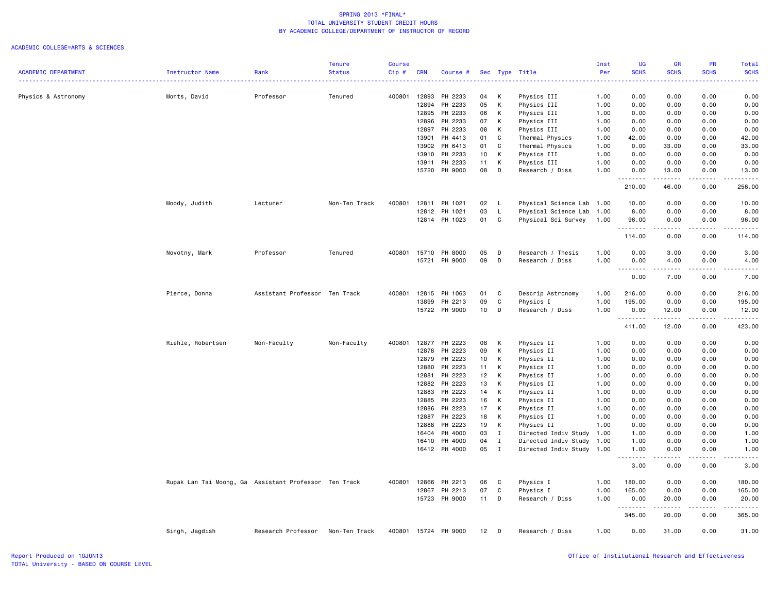|                            |                                                       |                               | <b>Tenure</b> | <b>Course</b> |            |                    |                 |                              |                                                   | Inst | <b>UG</b>         | <b>GR</b>          | PR                           | Total             |
|----------------------------|-------------------------------------------------------|-------------------------------|---------------|---------------|------------|--------------------|-----------------|------------------------------|---------------------------------------------------|------|-------------------|--------------------|------------------------------|-------------------|
| <b>ACADEMIC DEPARTMENT</b> | Instructor Name                                       | Rank                          | <b>Status</b> | Cip#          | <b>CRN</b> | Course #           |                 |                              | Sec Type Title                                    | Per  | <b>SCHS</b>       | <b>SCHS</b>        | <b>SCHS</b>                  | <b>SCHS</b>       |
| Physics & Astronomy        | Monts, David                                          | Professor                     | Tenured       | 400801        | 12893      | PH 2233            | 04              | К                            | Physics III                                       | 1.00 | 0.00              | 0.00               | 0.00                         | 0.00              |
|                            |                                                       |                               |               |               | 12894      | PH 2233            | 05              | К                            | Physics III                                       | 1.00 | 0.00              | 0.00               | 0.00                         | 0.00              |
|                            |                                                       |                               |               |               | 12895      | PH 2233            | 06              | К                            | Physics III                                       | 1.00 | 0.00              | 0.00               | 0.00                         | 0.00              |
|                            |                                                       |                               |               |               | 12896      | PH 2233            | 07              | К                            | Physics III                                       | 1.00 | 0.00              | 0.00               | 0.00                         | 0.00              |
|                            |                                                       |                               |               |               | 12897      | PH 2233            | 08              | К                            | Physics III                                       | 1.00 | 0.00              | 0.00               | 0.00                         | 0.00              |
|                            |                                                       |                               |               |               | 13901      | PH 4413            | 01              | C                            | Thermal Physics                                   | 1.00 | 42.00             | 0.00               | 0.00                         | 42.00             |
|                            |                                                       |                               |               |               |            | 13902 PH 6413      | 01              | C                            | Thermal Physics                                   | 1.00 | 0.00              | 33.00              | 0.00                         | 33.00             |
|                            |                                                       |                               |               |               | 13910      | PH 2233            | 10 <sub>1</sub> | $\mathsf{K}$                 | Physics III                                       | 1.00 | 0.00              | 0.00               | 0.00                         | 0.00              |
|                            |                                                       |                               |               |               | 13911      | PH 2233            | 11              | К                            | Physics III                                       | 1.00 | 0.00              | 0.00               | 0.00                         | 0.00              |
|                            |                                                       |                               |               |               |            | 15720 PH 9000      | 08              | D                            | Research / Diss                                   | 1.00 | 0.00<br>.         | 13.00<br>المتمامين | 0.00<br>.                    | 13.00<br>.        |
|                            |                                                       |                               |               |               |            |                    |                 |                              |                                                   |      | 210.00            | 46.00              | 0.00                         | 256.00            |
|                            | Moody, Judith                                         | Lecturer                      | Non-Ten Track | 400801        | 12811      | PH 1021            | 02              | $\mathsf{L}$                 | Physical Science Lab                              | 1.00 | 10.00             | 0.00               | 0.00                         | 10.00             |
|                            |                                                       |                               |               |               | 12812      | PH 1021            | 03              | L                            | Physical Science Lab                              | 1.00 | 8.00              | 0.00               | 0.00                         | 8.00              |
|                            |                                                       |                               |               |               |            | 12814 PH 1023      | 01              | $\mathtt{C}$                 | Physical Sci Survey                               | 1.00 | 96.00<br><u>.</u> | 0.00<br>.          | 0.00<br>.                    | 96.00             |
|                            |                                                       |                               |               |               |            |                    |                 |                              |                                                   |      | 114.00            | 0.00               | 0.00                         | 114.00            |
|                            | Novotny, Mark                                         | Professor                     | Tenured       | 400801        | 15710      | PH 8000            | 05              | D                            | Research / Thesis                                 | 1.00 | 0.00              | 3.00               | 0.00                         | 3.00              |
|                            |                                                       |                               |               |               | 15721      | PH 9000            | 09              | D                            | Research / Diss                                   | 1.00 | 0.00<br>.         | 4.00<br>.          | 0.00<br>-----                | 4.00<br>.         |
|                            |                                                       |                               |               |               |            |                    |                 |                              |                                                   |      | 0.00              | 7.00               | 0.00                         | 7.00              |
|                            | Pierce, Donna                                         | Assistant Professor Ten Track |               | 400801        | 12815      | PH 1063            | 01              | C                            | Descrip Astronomy                                 | 1.00 | 216.00            | 0.00               | 0.00                         | 216.00            |
|                            |                                                       |                               |               |               | 13899      | PH 2213            | 09              | C                            | Physics I                                         | 1.00 | 195.00            | 0.00               | 0.00                         | 195.00            |
|                            |                                                       |                               |               |               |            | 15722 PH 9000      | 10 <sub>1</sub> | D                            | Research / Diss                                   | 1.00 | 0.00<br>.         | 12.00<br>.         | 0.00<br>$\omega$ is a set of | 12.00<br>.        |
|                            |                                                       |                               |               |               |            |                    |                 |                              |                                                   |      | 411.00            | 12.00              | 0.00                         | 423.00            |
|                            | Riehle, Robertsen                                     | Non-Faculty                   | Non-Faculty   | 400801        | 12877      | PH 2223            | 08              | К                            | Physics II                                        | 1.00 | 0.00              | 0.00               | 0.00                         | 0.00              |
|                            |                                                       |                               |               |               | 12878      | PH 2223            | 09              | К                            | Physics II                                        | 1.00 | 0.00              | 0.00               | 0.00                         | 0.00              |
|                            |                                                       |                               |               |               | 12879      | PH 2223            | 10 <sub>1</sub> | K                            | Physics II                                        | 1.00 | 0.00              | 0.00               | 0.00                         | 0.00              |
|                            |                                                       |                               |               |               | 12880      | PH 2223            | 11              | К                            | Physics II                                        | 1.00 | 0.00              | 0.00               | 0.00                         | 0.00              |
|                            |                                                       |                               |               |               | 12881      | PH 2223            | 12              | К                            | Physics II                                        | 1.00 | 0.00              | 0.00               | 0.00                         | 0.00              |
|                            |                                                       |                               |               |               | 12882      | PH 2223            | 13              | К                            | Physics II                                        | 1.00 | 0.00              | 0.00               | 0.00                         | 0.00              |
|                            |                                                       |                               |               |               | 12883      | PH 2223            | 14              | К                            | Physics II                                        | 1.00 | 0.00              | 0.00               | 0.00                         | 0.00              |
|                            |                                                       |                               |               |               | 12885      | PH 2223            | 16              | К                            | Physics II                                        | 1.00 | 0.00              | 0.00               | 0.00                         | 0.00              |
|                            |                                                       |                               |               |               | 12886      | PH 2223            | 17              | К                            | Physics II                                        | 1.00 | 0.00              | 0.00               | 0.00                         | 0.00              |
|                            |                                                       |                               |               |               | 12887      | PH 2223            | 18              | К                            | Physics II                                        | 1.00 | 0.00              | 0.00               | 0.00                         | 0.00              |
|                            |                                                       |                               |               |               | 12888      | PH 2223            | 19              | К                            | Physics II                                        | 1.00 | 0.00              | 0.00               | 0.00                         | 0.00              |
|                            |                                                       |                               |               |               | 16404      | PH 4000<br>PH 4000 | 03<br>04        | Ι.                           | Directed Indiv Study 1.00<br>Directed Indiv Study |      | 1.00              | 0.00<br>0.00       | 0.00<br>0.00                 | 1.00<br>1.00      |
|                            |                                                       |                               |               |               | 16410      | 16412 PH 4000      | 05              | $\mathbf{I}$<br>$\mathbf{I}$ | Directed Indiv Study 1.00                         | 1.00 | 1.00<br>1.00      | 0.00               | 0.00                         | 1.00              |
|                            |                                                       |                               |               |               |            |                    |                 |                              |                                                   |      | .<br>3.00         | .<br>0.00          | .<br>0.00                    | ه د د د د<br>3.00 |
|                            | Rupak Lan Tai Moong, Ga Assistant Professor Ten Track |                               |               | 400801        | 12866      | PH 2213            | 06              | C                            | Physics I                                         | 1.00 | 180.00            | 0.00               | 0.00                         | 180.00            |
|                            |                                                       |                               |               |               | 12867      | PH 2213            | 07              | $\mathtt{C}$                 | Physics I                                         | 1.00 | 165.00            | 0.00               | 0.00                         | 165.00            |
|                            |                                                       |                               |               |               | 15723      | PH 9000            | 11              | D                            | Research / Diss                                   | 1.00 | 0.00              | 20.00              | 0.00                         | 20.00             |
|                            |                                                       |                               |               |               |            |                    |                 |                              |                                                   |      | .                 | . <b>.</b>         | .                            | <u>.</u>          |
|                            |                                                       |                               |               |               |            |                    |                 |                              |                                                   |      | 345.00            | 20.00              | 0.00                         | 365.00            |
|                            | Singh, Jagdish                                        | Research Professor            | Non-Ten Track | 400801        |            | 15724 PH 9000      | 12              | D                            | Research / Diss                                   | 1.00 | 0.00              | 31.00              | 0.00                         | 31.00             |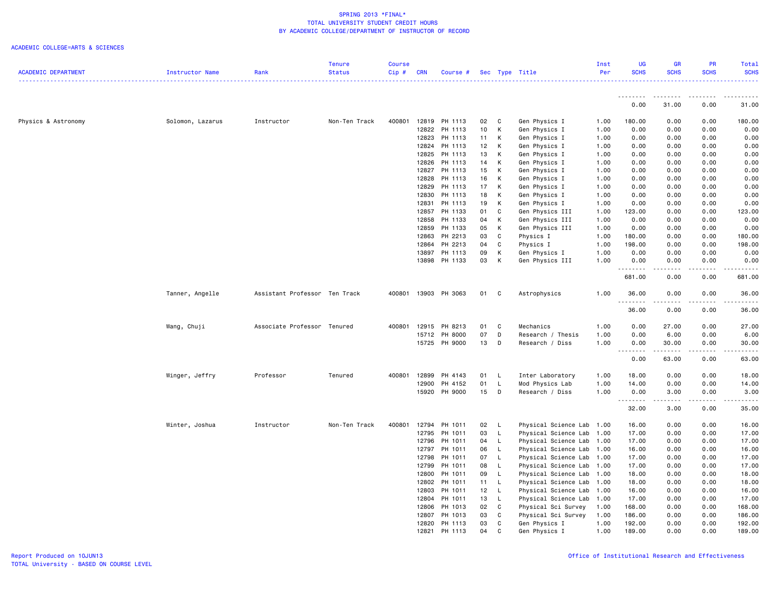|                            |                  |                               | <b>Tenure</b> | <b>Course</b> |            |               |                 |              |                           | Inst | UG                      | GR                                                                                                                                | <b>PR</b>                                                                                                                                            | Total                   |
|----------------------------|------------------|-------------------------------|---------------|---------------|------------|---------------|-----------------|--------------|---------------------------|------|-------------------------|-----------------------------------------------------------------------------------------------------------------------------------|------------------------------------------------------------------------------------------------------------------------------------------------------|-------------------------|
| <b>ACADEMIC DEPARTMENT</b> | Instructor Name  | Rank                          | <b>Status</b> | Cip#          | <b>CRN</b> | Course #      |                 |              | Sec Type Title            | Per  | <b>SCHS</b><br><u>.</u> | <b>SCHS</b>                                                                                                                       | <b>SCHS</b>                                                                                                                                          | <b>SCHS</b><br><u>.</u> |
|                            |                  |                               |               |               |            |               |                 |              |                           |      | <u>.</u>                | ---------                                                                                                                         | $\frac{1}{2} \left( \frac{1}{2} \right) \left( \frac{1}{2} \right) \left( \frac{1}{2} \right) \left( \frac{1}{2} \right) \left( \frac{1}{2} \right)$ |                         |
|                            |                  |                               |               |               |            |               |                 |              |                           |      | 0.00                    | 31.00                                                                                                                             | 0.00                                                                                                                                                 | 31.00                   |
| Physics & Astronomy        | Solomon, Lazarus | Instructor                    | Non-Ten Track | 400801        |            | 12819 PH 1113 | 02              | $\mathbf{C}$ | Gen Physics I             | 1.00 | 180.00                  | 0.00                                                                                                                              | 0.00                                                                                                                                                 | 180.00                  |
|                            |                  |                               |               |               | 12822      | PH 1113       | 10              | K            | Gen Physics I             | 1.00 | 0.00                    | 0.00                                                                                                                              | 0.00                                                                                                                                                 | 0.00                    |
|                            |                  |                               |               |               | 12823      | PH 1113       | 11              | К            | Gen Physics I             | 1.00 | 0.00                    | 0.00                                                                                                                              | 0.00                                                                                                                                                 | 0.00                    |
|                            |                  |                               |               |               |            | 12824 PH 1113 | 12 <sub>2</sub> | К            | Gen Physics I             | 1.00 | 0.00                    | 0.00                                                                                                                              | 0.00                                                                                                                                                 | 0.00                    |
|                            |                  |                               |               |               | 12825      | PH 1113       | 13              | K            | Gen Physics I             | 1.00 | 0.00                    | 0.00                                                                                                                              | 0.00                                                                                                                                                 | 0.00                    |
|                            |                  |                               |               |               | 12826      | PH 1113       | 14              | К            | Gen Physics I             | 1.00 | 0.00                    | 0.00                                                                                                                              | 0.00                                                                                                                                                 | 0.00                    |
|                            |                  |                               |               |               | 12827      | PH 1113       | 15              | К            | Gen Physics I             | 1.00 | 0.00                    | 0.00                                                                                                                              | 0.00                                                                                                                                                 | 0.00                    |
|                            |                  |                               |               |               | 12828      | PH 1113       | 16              | K            | Gen Physics I             | 1.00 | 0.00                    | 0.00                                                                                                                              | 0.00                                                                                                                                                 | 0.00                    |
|                            |                  |                               |               |               | 12829      | PH 1113       | 17              | K            | Gen Physics I             | 1.00 | 0.00                    | 0.00                                                                                                                              | 0.00                                                                                                                                                 | 0.00                    |
|                            |                  |                               |               |               | 12830      | PH 1113       | 18              | К            | Gen Physics I             | 1.00 | 0.00                    | 0.00                                                                                                                              | 0.00                                                                                                                                                 | 0.00                    |
|                            |                  |                               |               |               | 12831      | PH 1113       | 19              | К            | Gen Physics I             | 1.00 | 0.00                    | 0.00                                                                                                                              | 0.00                                                                                                                                                 | 0.00                    |
|                            |                  |                               |               |               | 12857      | PH 1133       | 01              | C            | Gen Physics III           | 1.00 | 123.00                  | 0.00                                                                                                                              | 0.00                                                                                                                                                 | 123.00                  |
|                            |                  |                               |               |               | 12858      | PH 1133       | 04              | К            | Gen Physics III           | 1.00 | 0.00                    | 0.00                                                                                                                              | 0.00                                                                                                                                                 | 0.00                    |
|                            |                  |                               |               |               | 12859      | PH 1133       | 05              | K            | Gen Physics III           | 1.00 | 0.00                    | 0.00                                                                                                                              | 0.00                                                                                                                                                 | 0.00                    |
|                            |                  |                               |               |               | 12863      | PH 2213       | 03              | C            | Physics I                 | 1.00 | 180.00                  | 0.00                                                                                                                              | 0.00                                                                                                                                                 | 180.00                  |
|                            |                  |                               |               |               | 12864      | PH 2213       | 04              | C            | Physics I                 | 1.00 | 198.00                  | 0.00                                                                                                                              | 0.00                                                                                                                                                 | 198.00                  |
|                            |                  |                               |               |               | 13897      | PH 1113       | 09              | К            | Gen Physics I             | 1.00 | 0.00                    | 0.00                                                                                                                              | 0.00                                                                                                                                                 | 0.00                    |
|                            |                  |                               |               |               | 13898      | PH 1133       | 03              | К            | Gen Physics III           | 1.00 | 0.00<br>.               | 0.00<br>-----                                                                                                                     | 0.00<br>.                                                                                                                                            | 0.00<br>.               |
|                            |                  |                               |               |               |            |               |                 |              |                           |      | 681.00                  | 0.00                                                                                                                              | 0.00                                                                                                                                                 | 681.00                  |
|                            | Tanner, Angelle  | Assistant Professor Ten Track |               | 400801        |            | 13903 PH 3063 | 01              | C            | Astrophysics              | 1.00 | 36.00<br>.              | 0.00                                                                                                                              | 0.00<br>.                                                                                                                                            | 36.00<br>. <u>.</u> .   |
|                            |                  |                               |               |               |            |               |                 |              |                           |      | 36.00                   | 0.00                                                                                                                              | 0.00                                                                                                                                                 | 36.00                   |
|                            | Wang, Chuji      | Associate Professor Tenured   |               | 400801        | 12915      | PH 8213       | 01              | $\mathbf{C}$ | Mechanics                 | 1.00 | 0.00                    | 27.00                                                                                                                             | 0.00                                                                                                                                                 | 27.00                   |
|                            |                  |                               |               |               | 15712      | PH 8000       | 07              | D            | Research / Thesis         | 1.00 | 0.00                    | 6.00                                                                                                                              | 0.00                                                                                                                                                 | 6.00                    |
|                            |                  |                               |               |               |            | 15725 PH 9000 | 13              | D            | Research / Diss           | 1.00 | 0.00                    | 30.00                                                                                                                             | 0.00                                                                                                                                                 | 30.00                   |
|                            |                  |                               |               |               |            |               |                 |              |                           |      |                         |                                                                                                                                   | $\frac{1}{2} \left( \frac{1}{2} \right) \left( \frac{1}{2} \right) \left( \frac{1}{2} \right) \left( \frac{1}{2} \right) \left( \frac{1}{2} \right)$ | .                       |
|                            |                  |                               |               |               |            |               |                 |              |                           |      | 0.00                    | 63.00                                                                                                                             | 0.00                                                                                                                                                 | 63.00                   |
|                            | Winger, Jeffry   | Professor                     | Tenured       | 400801        | 12899      | PH 4143       | 01              | L,           | Inter Laboratory          | 1.00 | 18.00                   | 0.00                                                                                                                              | 0.00                                                                                                                                                 | 18.00                   |
|                            |                  |                               |               |               | 12900      | PH 4152       | 01              | $\mathsf{L}$ | Mod Physics Lab           | 1.00 | 14.00                   | 0.00                                                                                                                              | 0.00                                                                                                                                                 | 14.00                   |
|                            |                  |                               |               |               |            | 15920 PH 9000 | 15              | $\mathsf{D}$ | Research / Diss           | 1.00 | 0.00                    | 3.00<br>$\frac{1}{2} \left( \frac{1}{2} \right) \left( \frac{1}{2} \right) \left( \frac{1}{2} \right) \left( \frac{1}{2} \right)$ | 0.00<br>.                                                                                                                                            | 3.00<br>.               |
|                            |                  |                               |               |               |            |               |                 |              |                           |      | 32.00                   | 3.00                                                                                                                              | 0.00                                                                                                                                                 | 35.00                   |
|                            | Winter, Joshua   | Instructor                    | Non-Ten Track | 400801        | 12794      | PH 1011       | 02              | <b>L</b>     | Physical Science Lab 1.00 |      | 16.00                   | 0.00                                                                                                                              | 0.00                                                                                                                                                 | 16.00                   |
|                            |                  |                               |               |               | 12795      | PH 1011       | 03              | L.           | Physical Science Lab      | 1.00 | 17.00                   | 0.00                                                                                                                              | 0.00                                                                                                                                                 | 17.00                   |
|                            |                  |                               |               |               | 12796      | PH 1011       | 04              | L.           | Physical Science Lab 1.00 |      | 17.00                   | 0.00                                                                                                                              | 0.00                                                                                                                                                 | 17.00                   |
|                            |                  |                               |               |               | 12797      | PH 1011       | 06              | <b>L</b>     | Physical Science Lab 1.00 |      | 16.00                   | 0.00                                                                                                                              | 0.00                                                                                                                                                 | 16.00                   |
|                            |                  |                               |               |               | 12798      | PH 1011       | 07              | $\mathsf{L}$ | Physical Science Lab 1.00 |      | 17.00                   | 0.00                                                                                                                              | 0.00                                                                                                                                                 | 17.00                   |
|                            |                  |                               |               |               | 12799      | PH 1011       | 08              | <b>L</b>     | Physical Science Lab      | 1.00 | 17.00                   | 0.00                                                                                                                              | 0.00                                                                                                                                                 | 17.00                   |
|                            |                  |                               |               |               | 12800      | PH 1011       | 09              | L.           | Physical Science Lab 1.00 |      | 18.00                   | 0.00                                                                                                                              | 0.00                                                                                                                                                 | 18.00                   |
|                            |                  |                               |               |               | 12802      | PH 1011       | 11              | $\mathsf{L}$ | Physical Science Lab 1.00 |      | 18.00                   | 0.00                                                                                                                              | 0.00                                                                                                                                                 | 18.00                   |
|                            |                  |                               |               |               | 12803      | PH 1011       | 12 <sub>2</sub> | L.           | Physical Science Lab      | 1.00 | 16.00                   | 0.00                                                                                                                              | 0.00                                                                                                                                                 | 16.00                   |
|                            |                  |                               |               |               |            | 12804 PH 1011 | 13              | - L          | Physical Science Lab 1.00 |      | 17.00                   | 0.00                                                                                                                              | 0.00                                                                                                                                                 | 17.00                   |
|                            |                  |                               |               |               |            | 12806 PH 1013 | 02              | $\mathbf{C}$ | Physical Sci Survey       | 1.00 | 168.00                  | 0.00                                                                                                                              | 0.00                                                                                                                                                 | 168.00                  |
|                            |                  |                               |               |               | 12807      | PH 1013       | 03              | C            | Physical Sci Survey       | 1.00 | 186.00                  | 0.00                                                                                                                              | 0.00                                                                                                                                                 | 186.00                  |
|                            |                  |                               |               |               | 12820      | PH 1113       | 03              | C            | Gen Physics I             | 1.00 | 192.00                  | 0.00                                                                                                                              | 0.00                                                                                                                                                 | 192.00                  |
|                            |                  |                               |               |               | 12821      | PH 1113       | 04              | C            | Gen Physics I             | 1.00 | 189.00                  | 0.00                                                                                                                              | 0.00                                                                                                                                                 | 189.00                  |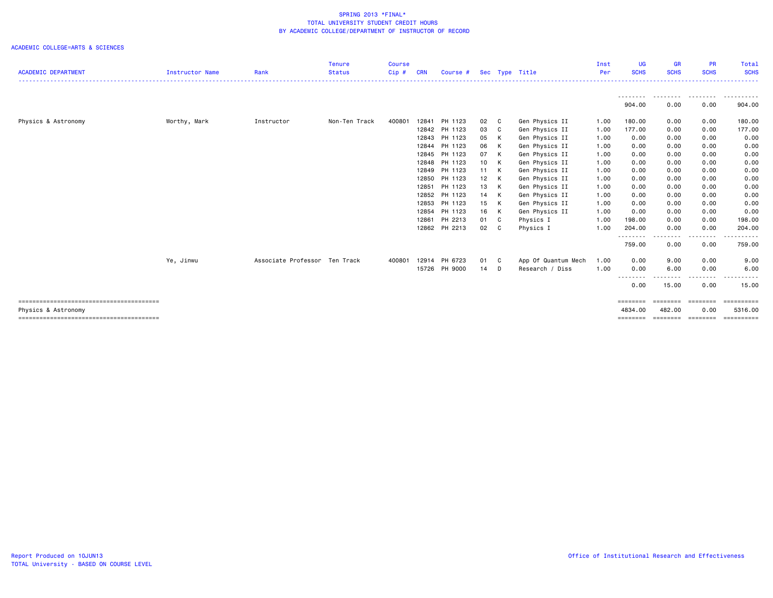|                            |                        |                               | <b>Tenure</b> | <b>Course</b> |            |               |      |                |                     | Inst | UG                  | GR                                                                                                                                | <b>PR</b>        | Total                 |
|----------------------------|------------------------|-------------------------------|---------------|---------------|------------|---------------|------|----------------|---------------------|------|---------------------|-----------------------------------------------------------------------------------------------------------------------------------|------------------|-----------------------|
| <b>ACADEMIC DEPARTMENT</b> | <b>Instructor Name</b> | Rank                          | <b>Status</b> | $Cip$ #       | <b>CRN</b> | Course #      |      |                | Sec Type Title      | Per  | <b>SCHS</b>         | <b>SCHS</b>                                                                                                                       | <b>SCHS</b>      | <b>SCHS</b>           |
|                            |                        |                               |               |               |            |               |      |                |                     |      | ---------           | .                                                                                                                                 | .                | .                     |
|                            |                        |                               |               |               |            |               |      |                |                     |      | 904.00              | 0.00                                                                                                                              | 0.00             | 904.00                |
| Physics & Astronomy        | Worthy, Mark           | Instructor                    | Non-Ten Track | 400801        | 12841      | PH 1123       | 02 C |                | Gen Physics II      | 1.00 | 180.00              | 0.00                                                                                                                              | 0.00             | 180.00                |
|                            |                        |                               |               |               | 12842      | PH 1123       | 03   | C <sub>c</sub> | Gen Physics II      | 1.00 | 177.00              | 0.00                                                                                                                              | 0.00             | 177.00                |
|                            |                        |                               |               |               | 12843      | PH 1123       | 05 K |                | Gen Physics II      | 1.00 | 0.00                | 0.00                                                                                                                              | 0.00             | 0.00                  |
|                            |                        |                               |               |               | 12844      | PH 1123       | 06   | K              | Gen Physics II      | 1.00 | 0.00                | 0.00                                                                                                                              | 0.00             | 0.00                  |
|                            |                        |                               |               |               | 12845      | PH 1123       | 07   | K              | Gen Physics II      | 1.00 | 0.00                | 0.00                                                                                                                              | 0.00             | 0.00                  |
|                            |                        |                               |               |               | 12848      | PH 1123       | 10 K |                | Gen Physics II      | 1.00 | 0.00                | 0.00                                                                                                                              | 0.00             | 0.00                  |
|                            |                        |                               |               |               |            | 12849 PH 1123 | 11 K |                | Gen Physics II      | 1.00 | 0.00                | 0.00                                                                                                                              | 0.00             | 0.00                  |
|                            |                        |                               |               |               | 12850      | PH 1123       | 12 K |                | Gen Physics II      | 1.00 | 0.00                | 0.00                                                                                                                              | 0.00             | 0.00                  |
|                            |                        |                               |               |               | 12851      | PH 1123       | 13 K |                | Gen Physics II      | 1.00 | 0.00                | 0.00                                                                                                                              | 0.00             | 0.00                  |
|                            |                        |                               |               |               |            | 12852 PH 1123 | 14 K |                | Gen Physics II      | 1.00 | 0.00                | 0.00                                                                                                                              | 0.00             | 0.00                  |
|                            |                        |                               |               |               | 12853      | PH 1123       | 15 K |                | Gen Physics II      | 1.00 | 0.00                | 0.00                                                                                                                              | 0.00             | 0.00                  |
|                            |                        |                               |               |               | 12854      | PH 1123       | 16 K |                | Gen Physics II      | 1.00 | 0.00                | 0.00                                                                                                                              | 0.00             | 0.00                  |
|                            |                        |                               |               |               | 12861      | PH 2213       | 01 C |                | Physics I           | 1.00 | 198.00              | 0.00                                                                                                                              | 0.00             | 198.00                |
|                            |                        |                               |               |               |            | 12862 PH 2213 | 02 C |                | Physics I           | 1.00 | 204.00<br>--------- | 0.00<br>$\frac{1}{2} \left( \frac{1}{2} \right) \left( \frac{1}{2} \right) \left( \frac{1}{2} \right) \left( \frac{1}{2} \right)$ | 0.00<br>-----    | 204.00                |
|                            |                        |                               |               |               |            |               |      |                |                     |      | 759.00              | 0.00                                                                                                                              | 0.00             | 759.00                |
|                            | Ye, Jinwu              | Associate Professor Ten Track |               | 400801        | 12914      | PH 6723       | 01 C |                | App Of Quantum Mech | 1.00 | 0.00                | 9.00                                                                                                                              | 0.00             | 9.00                  |
|                            |                        |                               |               |               | 15726      | PH 9000       | 14   | D              | Research / Diss     | 1.00 | 0.00                | 6.00                                                                                                                              | 0.00             | 6.00                  |
|                            |                        |                               |               |               |            |               |      |                |                     |      | --------<br>0.00    | 15.00                                                                                                                             | 0.00             | 15.00                 |
|                            |                        |                               |               |               |            |               |      |                |                     |      | ========            | ========                                                                                                                          | ========         | ==========            |
| Physics & Astronomy        |                        |                               |               |               |            |               |      |                |                     |      | 4834,00<br>======== | 482.00<br>========                                                                                                                | 0.00<br>======== | 5316.00<br>========== |
|                            |                        |                               |               |               |            |               |      |                |                     |      |                     |                                                                                                                                   |                  |                       |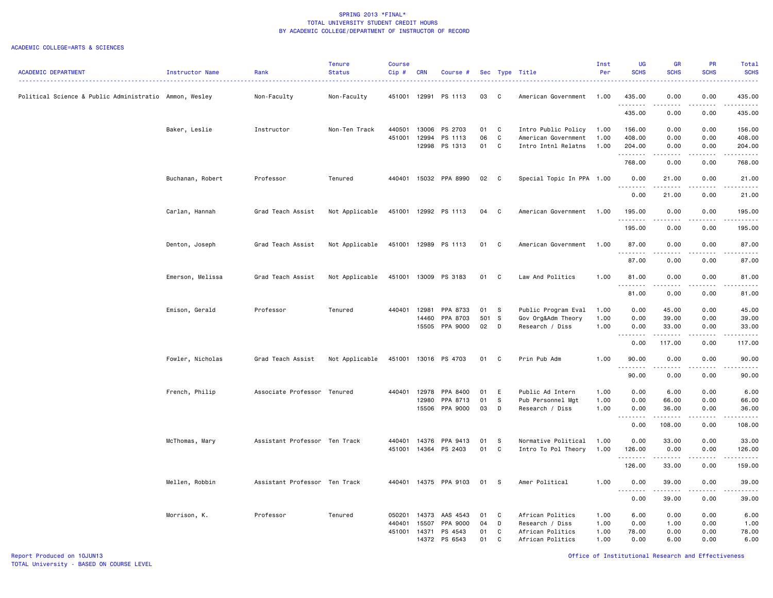|                                                        |                  |                               | Tenure         | <b>Course</b> |            |                       |      |              |                           | Inst | <b>UG</b>                                                                                                                                            | <b>GR</b>                                                                                                                                                    | PR                           | Total                                                                                                                                                                                                                                                                                                                                                                                                                                                                                            |
|--------------------------------------------------------|------------------|-------------------------------|----------------|---------------|------------|-----------------------|------|--------------|---------------------------|------|------------------------------------------------------------------------------------------------------------------------------------------------------|--------------------------------------------------------------------------------------------------------------------------------------------------------------|------------------------------|--------------------------------------------------------------------------------------------------------------------------------------------------------------------------------------------------------------------------------------------------------------------------------------------------------------------------------------------------------------------------------------------------------------------------------------------------------------------------------------------------|
| <b>ACADEMIC DEPARTMENT</b>                             | Instructor Name  | Rank                          | <b>Status</b>  | $Cip$ #       | <b>CRN</b> | Course #              |      |              | Sec Type Title            | Per  | <b>SCHS</b>                                                                                                                                          | <b>SCHS</b>                                                                                                                                                  | <b>SCHS</b>                  | <b>SCHS</b><br>.                                                                                                                                                                                                                                                                                                                                                                                                                                                                                 |
| Political Science & Public Administratio Ammon, Wesley |                  | Non-Faculty                   | Non-Faculty    | 451001        | 12991      | PS 1113               | 03   | C            | American Government       | 1.00 | 435.00                                                                                                                                               | 0.00                                                                                                                                                         | 0.00                         | 435.00                                                                                                                                                                                                                                                                                                                                                                                                                                                                                           |
|                                                        |                  |                               |                |               |            |                       |      |              |                           |      | . <b>.</b><br>435.00                                                                                                                                 | .<br>0.00                                                                                                                                                    | $- - - -$<br>0.00            | $\begin{array}{cccccccccccccc} \multicolumn{2}{c}{} & \multicolumn{2}{c}{} & \multicolumn{2}{c}{} & \multicolumn{2}{c}{} & \multicolumn{2}{c}{} & \multicolumn{2}{c}{} & \multicolumn{2}{c}{} & \multicolumn{2}{c}{} & \multicolumn{2}{c}{} & \multicolumn{2}{c}{} & \multicolumn{2}{c}{} & \multicolumn{2}{c}{} & \multicolumn{2}{c}{} & \multicolumn{2}{c}{} & \multicolumn{2}{c}{} & \multicolumn{2}{c}{} & \multicolumn{2}{c}{} & \multicolumn{2}{c}{} & \multicolumn{2}{c}{} & \$<br>435.00 |
|                                                        | Baker, Leslie    | Instructor                    | Non-Ten Track  | 440501        | 13006      | PS 2703               | 01   | C            | Intro Public Policy       | 1.00 | 156.00                                                                                                                                               | 0.00                                                                                                                                                         | 0.00                         | 156.00                                                                                                                                                                                                                                                                                                                                                                                                                                                                                           |
|                                                        |                  |                               |                | 451001        | 12994      | PS 1113               | 06   | C            | American Government       | 1.00 | 408.00                                                                                                                                               | 0.00                                                                                                                                                         | 0.00                         | 408.00                                                                                                                                                                                                                                                                                                                                                                                                                                                                                           |
|                                                        |                  |                               |                |               | 12998      | PS 1313               | 01   | C            | Intro Intnl Relatns       | 1.00 | 204.00<br>.                                                                                                                                          | 0.00<br>$\frac{1}{2} \left( \frac{1}{2} \right) \left( \frac{1}{2} \right) \left( \frac{1}{2} \right) \left( \frac{1}{2} \right) \left( \frac{1}{2} \right)$ | 0.00<br>.                    | 204.00<br><u>.</u>                                                                                                                                                                                                                                                                                                                                                                                                                                                                               |
|                                                        |                  |                               |                |               |            |                       |      |              |                           |      | 768.00                                                                                                                                               | 0.00                                                                                                                                                         | 0.00                         | 768.00                                                                                                                                                                                                                                                                                                                                                                                                                                                                                           |
|                                                        | Buchanan, Robert | Professor                     | Tenured        |               |            | 440401 15032 PPA 8990 | 02 C |              | Special Topic In PPA 1.00 |      | 0.00<br>.                                                                                                                                            | 21.00<br>.                                                                                                                                                   | 0.00<br>.                    | 21.00<br>.                                                                                                                                                                                                                                                                                                                                                                                                                                                                                       |
|                                                        |                  |                               |                |               |            |                       |      |              |                           |      | 0.00                                                                                                                                                 | 21.00                                                                                                                                                        | 0.00                         | 21.00                                                                                                                                                                                                                                                                                                                                                                                                                                                                                            |
|                                                        | Carlan, Hannah   | Grad Teach Assist             | Not Applicable |               |            | 451001 12992 PS 1113  | 04   | C            | American Government       | 1.00 | 195.00<br>.                                                                                                                                          | 0.00<br>.                                                                                                                                                    | 0.00<br>. <u>.</u> .         | 195.00<br>.                                                                                                                                                                                                                                                                                                                                                                                                                                                                                      |
|                                                        |                  |                               |                |               |            |                       |      |              |                           |      | 195.00                                                                                                                                               | 0.00                                                                                                                                                         | 0.00                         | 195.00                                                                                                                                                                                                                                                                                                                                                                                                                                                                                           |
|                                                        | Denton, Joseph   | Grad Teach Assist             | Not Applicable |               |            | 451001 12989 PS 1113  | 01   | $\mathbf{C}$ | American Government       | 1.00 | 87.00<br><u>.</u>                                                                                                                                    | 0.00<br>د د د د د                                                                                                                                            | 0.00<br>.                    | 87.00<br>.                                                                                                                                                                                                                                                                                                                                                                                                                                                                                       |
|                                                        |                  |                               |                |               |            |                       |      |              |                           |      | 87.00                                                                                                                                                | 0.00                                                                                                                                                         | 0.00                         | 87.00                                                                                                                                                                                                                                                                                                                                                                                                                                                                                            |
|                                                        | Emerson, Melissa | Grad Teach Assist             | Not Applicable | 451001        |            | 13009 PS 3183         | 01   | C            | Law And Politics          | 1.00 | 81.00<br><b></b>                                                                                                                                     | 0.00<br>-----                                                                                                                                                | 0.00<br>.                    | 81.00<br>.                                                                                                                                                                                                                                                                                                                                                                                                                                                                                       |
|                                                        |                  |                               |                |               |            |                       |      |              |                           |      | 81.00                                                                                                                                                | 0.00                                                                                                                                                         | 0.00                         | 81.00                                                                                                                                                                                                                                                                                                                                                                                                                                                                                            |
|                                                        | Emison, Gerald   | Professor                     | Tenured        | 440401        | 12981      | PPA 8733              | 01   | - S          | Public Program Eval       | 1.00 | 0.00                                                                                                                                                 | 45.00                                                                                                                                                        | 0.00                         | 45.00                                                                                                                                                                                                                                                                                                                                                                                                                                                                                            |
|                                                        |                  |                               |                |               | 14460      | PPA 8703              | 501  | $\mathbf{s}$ | Gov Org&Adm Theory        | 1.00 | 0.00                                                                                                                                                 | 39.00                                                                                                                                                        | 0.00                         | 39.00                                                                                                                                                                                                                                                                                                                                                                                                                                                                                            |
|                                                        |                  |                               |                |               | 15505      | PPA 9000              | 02   | D            | Research / Diss           | 1.00 | 0.00<br>$\sim 10$<br>.                                                                                                                               | 33.00                                                                                                                                                        | 0.00<br>$\sim$ $\sim$ $\sim$ | 33.00<br>.                                                                                                                                                                                                                                                                                                                                                                                                                                                                                       |
|                                                        |                  |                               |                |               |            |                       |      |              |                           |      | 0.00                                                                                                                                                 | 117.00                                                                                                                                                       | 0.00                         | 117.00                                                                                                                                                                                                                                                                                                                                                                                                                                                                                           |
|                                                        | Fowler, Nicholas | Grad Teach Assist             | Not Applicable |               |            | 451001 13016 PS 4703  | 01 C |              | Prin Pub Adm              | 1.00 | 90.00<br><u>.</u>                                                                                                                                    | 0.00<br>.                                                                                                                                                    | 0.00<br>$\sim$ $\sim$ $\sim$ | 90.00<br>.                                                                                                                                                                                                                                                                                                                                                                                                                                                                                       |
|                                                        |                  |                               |                |               |            |                       |      |              |                           |      | 90.00                                                                                                                                                | 0.00                                                                                                                                                         | 0.00                         | 90.00                                                                                                                                                                                                                                                                                                                                                                                                                                                                                            |
|                                                        | French, Philip   | Associate Professor Tenured   |                | 440401 12978  |            | PPA 8400              | 01   | E            | Public Ad Intern          | 1.00 | 0.00                                                                                                                                                 | 6.00                                                                                                                                                         | 0.00                         | 6.00                                                                                                                                                                                                                                                                                                                                                                                                                                                                                             |
|                                                        |                  |                               |                |               | 12980      | PPA 8713              | 01   | s            | Pub Personnel Mgt         | 1.00 | 0.00                                                                                                                                                 | 66.00                                                                                                                                                        | 0.00                         | 66.00                                                                                                                                                                                                                                                                                                                                                                                                                                                                                            |
|                                                        |                  |                               |                |               | 15506      | PPA 9000              | 03   | D            | Research / Diss           | 1.00 | 0.00<br>$\frac{1}{2} \left( \frac{1}{2} \right) \left( \frac{1}{2} \right) \left( \frac{1}{2} \right) \left( \frac{1}{2} \right)$<br>$\sim$ $\sim$ . | 36.00<br>-----                                                                                                                                               | 0.00                         | 36.00<br>.                                                                                                                                                                                                                                                                                                                                                                                                                                                                                       |
|                                                        |                  |                               |                |               |            |                       |      |              |                           |      | 0.00                                                                                                                                                 | 108.00                                                                                                                                                       | 0.00                         | 108.00                                                                                                                                                                                                                                                                                                                                                                                                                                                                                           |
|                                                        | McThomas, Mary   | Assistant Professor Ten Track |                | 440401        | 14376      | PPA 9413              | 01   | -S           | Normative Political       | 1.00 | 0.00                                                                                                                                                 | 33.00                                                                                                                                                        | 0.00                         | 33.00                                                                                                                                                                                                                                                                                                                                                                                                                                                                                            |
|                                                        |                  |                               |                |               |            | 451001 14364 PS 2403  | 01   | C            | Intro To Pol Theory       | 1.00 | 126.00<br><u>.</u>                                                                                                                                   | 0.00<br>.                                                                                                                                                    | 0.00<br>.                    | 126.00<br>.                                                                                                                                                                                                                                                                                                                                                                                                                                                                                      |
|                                                        |                  |                               |                |               |            |                       |      |              |                           |      | 126.00                                                                                                                                               | 33.00                                                                                                                                                        | 0.00                         | 159.00                                                                                                                                                                                                                                                                                                                                                                                                                                                                                           |
|                                                        | Mellen, Robbin   | Assistant Professor Ten Track |                |               |            | 440401 14375 PPA 9103 | 01   | s            | Amer Political            | 1.00 | 0.00<br>$\sim$ $\sim$ $\sim$<br>-----                                                                                                                | 39.00<br>.                                                                                                                                                   | 0.00<br>.                    | 39.00<br>.                                                                                                                                                                                                                                                                                                                                                                                                                                                                                       |
|                                                        |                  |                               |                |               |            |                       |      |              |                           |      | 0.00                                                                                                                                                 | 39.00                                                                                                                                                        | 0.00                         | 39.00                                                                                                                                                                                                                                                                                                                                                                                                                                                                                            |
|                                                        | Morrison, K.     | Professor                     | Tenured        | 050201        | 14373      | AAS 4543              | 01   | $\mathbf{C}$ | African Politics          | 1.00 | 6.00                                                                                                                                                 | 0.00                                                                                                                                                         | 0.00                         | 6.00                                                                                                                                                                                                                                                                                                                                                                                                                                                                                             |
|                                                        |                  |                               |                | 440401        | 15507      | PPA 9000              | 04   | D            | Research / Diss           | 1.00 | 0.00                                                                                                                                                 | 1.00                                                                                                                                                         | 0.00                         | 1.00                                                                                                                                                                                                                                                                                                                                                                                                                                                                                             |
|                                                        |                  |                               |                | 451001 14371  |            | PS 4543               | 01   | C            | African Politics          | 1.00 | 78.00                                                                                                                                                | 0.00                                                                                                                                                         | 0.00                         | 78.00                                                                                                                                                                                                                                                                                                                                                                                                                                                                                            |
|                                                        |                  |                               |                |               | 14372      | PS 6543               | 01   | C            | African Politics          | 1.00 | 0.00                                                                                                                                                 | 6.00                                                                                                                                                         | 0.00                         | 6.00                                                                                                                                                                                                                                                                                                                                                                                                                                                                                             |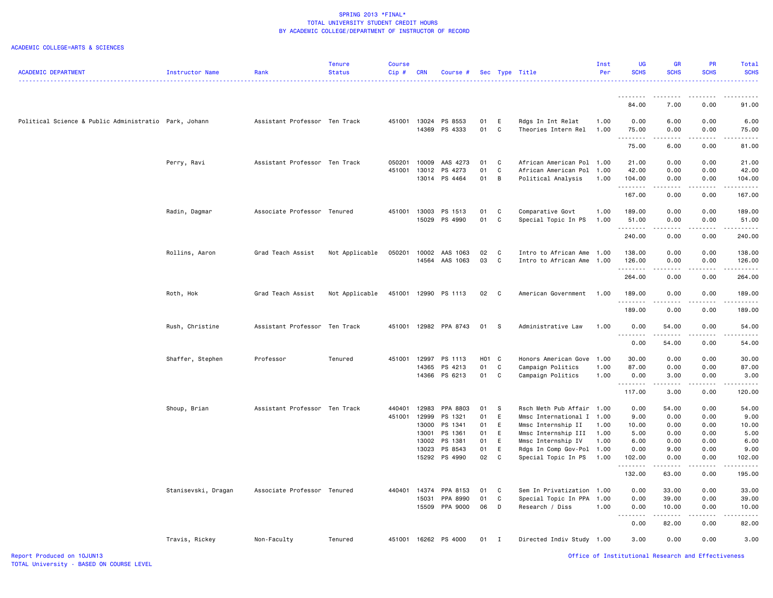|                                                       |                     |                               | Tenure         | <b>Course</b> |            |                            |            |                   |                                         | Inst         | <b>UG</b>                 | <b>GR</b>                                                                                                                                                    | PR            | Total                   |
|-------------------------------------------------------|---------------------|-------------------------------|----------------|---------------|------------|----------------------------|------------|-------------------|-----------------------------------------|--------------|---------------------------|--------------------------------------------------------------------------------------------------------------------------------------------------------------|---------------|-------------------------|
| <b>ACADEMIC DEPARTMENT</b>                            | Instructor Name     | Rank                          | <b>Status</b>  | $Cip \#$      | <b>CRN</b> | Course #                   | <b>Sec</b> |                   | Type Title                              | Per          | <b>SCHS</b>               | <b>SCHS</b>                                                                                                                                                  | <b>SCHS</b>   | <b>SCHS</b>             |
|                                                       |                     |                               |                |               |            |                            |            |                   |                                         |              |                           |                                                                                                                                                              |               | .                       |
|                                                       |                     |                               |                |               |            |                            |            |                   |                                         |              | <u>.</u>                  | .                                                                                                                                                            | <u>.</u>      | .                       |
|                                                       |                     |                               |                |               |            |                            |            |                   |                                         |              | 84.00                     | 7.00                                                                                                                                                         | 0.00          | 91.00                   |
| Political Science & Public Administratio Park, Johann |                     | Assistant Professor Ten Track |                | 451001        | 13024      | PS 8553                    | 01         | E                 | Rdgs In Int Relat                       | 1.00         | 0.00                      | 6.00                                                                                                                                                         | 0.00          | 6.00                    |
|                                                       |                     |                               |                |               |            | 14369 PS 4333              | 01         | C                 | Theories Intern Rel                     | 1.00         | 75.00                     | 0.00                                                                                                                                                         | 0.00          | 75.00                   |
|                                                       |                     |                               |                |               |            |                            |            |                   |                                         |              | .                         | .                                                                                                                                                            | . <b>.</b>    | .                       |
|                                                       |                     |                               |                |               |            |                            |            |                   |                                         |              | 75.00                     | 6.00                                                                                                                                                         | 0.00          | 81.00                   |
|                                                       | Perry, Ravi         | Assistant Professor Ten Track |                | 050201        | 10009      | AAS 4273                   | 01         | C                 | African American Pol 1.00               |              | 21.00                     | 0.00                                                                                                                                                         | 0.00          | 21.00                   |
|                                                       |                     |                               |                | 451001        | 13012      | PS 4273                    | 01         | $\mathtt{C}$      | African American Pol                    | 1.00         | 42.00                     | 0.00                                                                                                                                                         | 0.00          | 42.00                   |
|                                                       |                     |                               |                |               |            | 13014 PS 4464              | 01         | B                 | Political Analysis                      | 1.00         | 104.00                    | 0.00                                                                                                                                                         | 0.00          | 104.00                  |
|                                                       |                     |                               |                |               |            |                            |            |                   |                                         |              | .                         | $\frac{1}{2} \left( \frac{1}{2} \right) \left( \frac{1}{2} \right) \left( \frac{1}{2} \right) \left( \frac{1}{2} \right) \left( \frac{1}{2} \right)$         | .<br>0.00     | .<br>167.00             |
|                                                       |                     |                               |                |               |            |                            |            |                   |                                         |              | 167.00                    | 0.00                                                                                                                                                         |               |                         |
|                                                       | Radin, Dagmar       | Associate Professor Tenured   |                | 451001        | 13003      | PS 1513                    | 01         | C                 | Comparative Govt                        | 1.00         | 189.00                    | 0.00                                                                                                                                                         | 0.00          | 189.00                  |
|                                                       |                     |                               |                |               |            | 15029 PS 4990              | 01         | C                 | Special Topic In PS                     | 1.00         | 51.00                     | 0.00                                                                                                                                                         | 0.00          | 51.00                   |
|                                                       |                     |                               |                |               |            |                            |            |                   |                                         |              | .                         |                                                                                                                                                              |               |                         |
|                                                       |                     |                               |                |               |            |                            |            |                   |                                         |              | 240.00                    | 0.00                                                                                                                                                         | 0.00          | 240.00                  |
|                                                       | Rollins, Aaron      | Grad Teach Assist             | Not Applicable | 050201        |            | 10002 AAS 1063             | 02         | C.                | Intro to African Ame                    | 1.00         | 138.00                    | 0.00                                                                                                                                                         | 0.00          | 138.00                  |
|                                                       |                     |                               |                |               |            | 14564 AAS 1063             | 03         | C                 | Intro to African Ame                    | 1.00         | 126.00                    | 0.00                                                                                                                                                         | 0.00          | 126.00                  |
|                                                       |                     |                               |                |               |            |                            |            |                   |                                         |              | .                         | .                                                                                                                                                            | .             | .                       |
|                                                       |                     |                               |                |               |            |                            |            |                   |                                         |              | 264.00                    | 0.00                                                                                                                                                         | 0.00          | 264.00                  |
|                                                       | Roth, Hok           | Grad Teach Assist             | Not Applicable | 451001        |            | 12990 PS 1113              | 02         | $\mathbf{C}$      | American Government                     | 1.00         | 189.00                    | 0.00                                                                                                                                                         | 0.00          | 189.00                  |
|                                                       |                     |                               |                |               |            |                            |            |                   |                                         |              | .                         | .                                                                                                                                                            | .             | .                       |
|                                                       |                     |                               |                |               |            |                            |            |                   |                                         |              | 189.00                    | 0.00                                                                                                                                                         | 0.00          | 189.00                  |
|                                                       | Rush, Christine     | Assistant Professor Ten Track |                | 451001        |            | 12982 PPA 8743             | 01         | s                 | Administrative Law                      | 1.00         | 0.00                      | 54.00                                                                                                                                                        | 0.00          | 54.00                   |
|                                                       |                     |                               |                |               |            |                            |            |                   |                                         |              | <u>.</u>                  | . <b>.</b>                                                                                                                                                   | .             | .                       |
|                                                       |                     |                               |                |               |            |                            |            |                   |                                         |              | 0.00                      | 54.00                                                                                                                                                        | 0.00          | 54.00                   |
|                                                       | Shaffer, Stephen    | Professor                     | Tenured        | 451001        | 12997      | PS 1113                    | H01 C      |                   | Honors American Gove                    | 1.00         | 30.00                     | 0.00                                                                                                                                                         | 0.00          | 30.00                   |
|                                                       |                     |                               |                |               | 14365      | PS 4213                    | 01         | C                 | Campaign Politics                       | 1.00         | 87.00                     | 0.00                                                                                                                                                         | 0.00          | 87.00                   |
|                                                       |                     |                               |                |               |            | 14366 PS 6213              | 01         | C                 | Campaign Politics                       | 1.00         | 0.00                      | 3.00                                                                                                                                                         | 0.00          | 3.00                    |
|                                                       |                     |                               |                |               |            |                            |            |                   |                                         |              | .<br>117.00               | $\frac{1}{2} \left( \frac{1}{2} \right) \left( \frac{1}{2} \right) \left( \frac{1}{2} \right) \left( \frac{1}{2} \right) \left( \frac{1}{2} \right)$<br>3.00 | -----<br>0.00 | .<br>120.00             |
|                                                       |                     |                               |                |               |            |                            |            |                   |                                         |              |                           |                                                                                                                                                              |               |                         |
|                                                       | Shoup, Brian        | Assistant Professor Ten Track |                | 440401        | 12983      | PPA 8803                   | 01         | S                 | Rsch Meth Pub Affair 1.00               |              | 0.00                      | 54.00                                                                                                                                                        | 0.00          | 54.00                   |
|                                                       |                     |                               |                | 451001        | 12999      | PS 1321                    | 01         | E                 | Mmsc International I 1.00               |              | 9.00                      | 0.00                                                                                                                                                         | 0.00          | 9.00                    |
|                                                       |                     |                               |                |               | 13000      | PS 1341                    | 01         | E                 | Mmsc Internship II                      | 1.00         | 10.00                     | 0.00                                                                                                                                                         | 0.00          | 10.00                   |
|                                                       |                     |                               |                |               | 13001      | PS 1361                    | 01         | E                 | Mmsc Internship III                     | 1.00         | 5.00                      | 0.00                                                                                                                                                         | 0.00          | 5.00                    |
|                                                       |                     |                               |                |               | 13002      | PS 1381                    | 01         | E                 | Mmsc Internship IV                      | 1.00         | 6.00                      | 0.00                                                                                                                                                         | 0.00          | 6.00                    |
|                                                       |                     |                               |                |               | 13023      | PS 8543                    | 01         | $\mathsf E$       | Rdgs In Comp Gov-Pol 1.00               |              | 0.00                      | 9.00                                                                                                                                                         | 0.00          | 9.00                    |
|                                                       |                     |                               |                |               |            | 15292 PS 4990              | 02         | C                 | Special Topic In PS                     | 1.00         | 102.00<br>. <b>.</b>      | 0.00<br>$- - - - -$                                                                                                                                          | 0.00<br>.     | 102.00<br>$- - - - - -$ |
|                                                       |                     |                               |                |               |            |                            |            |                   |                                         |              | 132.00                    | 63.00                                                                                                                                                        | 0.00          | 195.00                  |
|                                                       |                     |                               |                |               |            |                            |            |                   |                                         |              |                           |                                                                                                                                                              |               |                         |
|                                                       | Stanisevski, Dragan | Associate Professor Tenured   |                | 440401        | 14374      | PPA 8153                   | 01<br>01   | C<br>$\mathtt{C}$ | Sem In Privatization                    | 1.00         | 0.00                      | 33.00                                                                                                                                                        | 0.00          | 33.00                   |
|                                                       |                     |                               |                |               | 15031      | PPA 8990<br>15509 PPA 9000 | 06         | D                 | Special Topic In PPA<br>Research / Diss | 1.00<br>1.00 | 0.00<br>0.00              | 39.00<br>10.00                                                                                                                                               | 0.00<br>0.00  | 39.00<br>10.00          |
|                                                       |                     |                               |                |               |            |                            |            |                   |                                         |              | .<br>$\sim$ $\sim$ $\sim$ | $- - - - -$                                                                                                                                                  | .             | .                       |
|                                                       |                     |                               |                |               |            |                            |            |                   |                                         |              | 0.00                      | 82.00                                                                                                                                                        | 0.00          | 82.00                   |
|                                                       |                     |                               |                |               |            |                            |            |                   |                                         |              |                           |                                                                                                                                                              |               |                         |
|                                                       | Travis, Rickey      | Non-Faculty                   | Tenured        | 451001        |            | 16262 PS 4000              | 01         | I                 | Directed Indiv Study 1.00               |              | 3.00                      | 0.00                                                                                                                                                         | 0.00          | 3.00                    |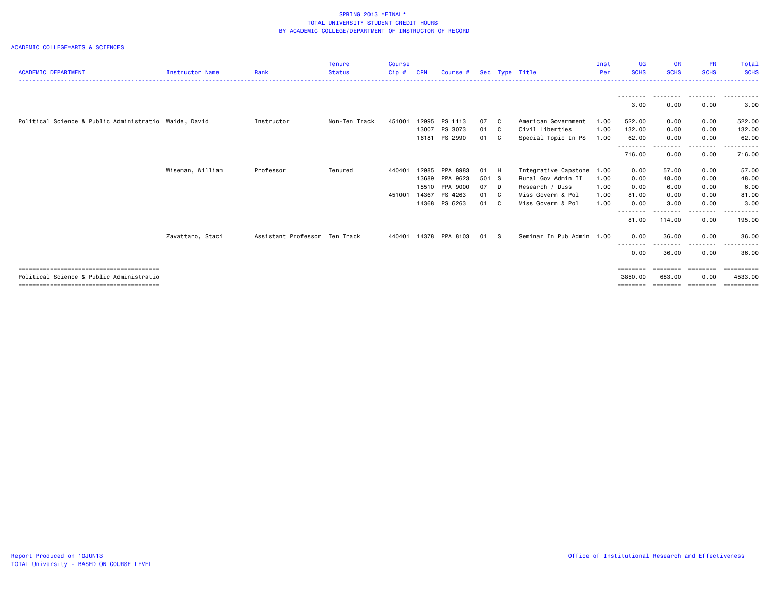|                                                       |                        |                               | <b>Tenure</b> | <b>Course</b> |            |                       |       |     |                           | Inst | <b>UG</b>           | <b>GR</b>          | <b>PR</b>        | Total                               |
|-------------------------------------------------------|------------------------|-------------------------------|---------------|---------------|------------|-----------------------|-------|-----|---------------------------|------|---------------------|--------------------|------------------|-------------------------------------|
| <b>ACADEMIC DEPARTMENT</b>                            | <b>Instructor Name</b> | Rank                          | <b>Status</b> | Cip#          | <b>CRN</b> | Course #              |       |     | Sec Type Title            | Per  | <b>SCHS</b>         | <b>SCHS</b>        | <b>SCHS</b>      | <b>SCHS</b><br>.                    |
|                                                       |                        |                               |               |               |            |                       |       |     |                           |      |                     |                    |                  |                                     |
|                                                       |                        |                               |               |               |            |                       |       |     |                           |      | 3.00                | 0.00               | 0.00             | 3.00                                |
| Political Science & Public Administratio Waide, David |                        | Instructor                    | Non-Ten Track | 451001        | 12995      | PS 1113               | 07 C  |     | American Government       | 1.00 | 522.00              | 0.00               | 0.00             | 522.00                              |
|                                                       |                        |                               |               |               | 13007      | PS 3073               | 01 C  |     | Civil Liberties           | 1.00 | 132.00              | 0.00               | 0.00             | 132.00                              |
|                                                       |                        |                               |               |               |            | 16181 PS 2990         | 01 C  |     | Special Topic In PS       | 1.00 | 62.00               | 0.00               | 0.00             | 62.00                               |
|                                                       |                        |                               |               |               |            |                       |       |     |                           |      | ---------<br>716.00 | .<br>0.00          | --------<br>0.00 | <u> - - - - - - - - -</u><br>716.00 |
|                                                       | Wiseman, William       | Professor                     | Tenured       | 440401        | 12985      | PPA 8983              | 01    | - H | Integrative Capstone      | 1.00 | 0.00                | 57.00              | 0.00             | 57.00                               |
|                                                       |                        |                               |               |               | 13689      | PPA 9623              | 501 S |     | Rural Gov Admin II        | 1.00 | 0.00                | 48.00              | 0.00             | 48.00                               |
|                                                       |                        |                               |               |               | 15510      | PPA 9000              | 07 D  |     | Research / Diss           | 1.00 | 0.00                | 6.00               | 0.00             | 6.00                                |
|                                                       |                        |                               |               | 451001        | 14367      | PS 4263               | 01 C  |     | Miss Govern & Pol         | 1.00 | 81.00               | 0.00               | 0.00             | 81.00                               |
|                                                       |                        |                               |               |               | 14368      | PS 6263               | 01 C  |     | Miss Govern & Pol         | 1.00 | 0.00                | 3.00               | 0.00             | 3.00                                |
|                                                       |                        |                               |               |               |            |                       |       |     |                           |      | --------<br>81.00   | <u>.</u><br>114.00 | --------<br>0.00 | <u>.</u><br>195.00                  |
|                                                       | Zavattaro, Staci       | Assistant Professor Ten Track |               |               |            | 440401 14378 PPA 8103 | 01 S  |     | Seminar In Pub Admin 1.00 |      | 0.00                | 36.00              | 0.00             | 36.00                               |
|                                                       |                        |                               |               |               |            |                       |       |     |                           |      | ---------<br>0.00   | .<br>36.00         | .<br>0.00        | 36.00                               |
|                                                       |                        |                               |               |               |            |                       |       |     |                           |      |                     |                    |                  |                                     |
|                                                       |                        |                               |               |               |            |                       |       |     |                           |      | ========            | ========           | ========         | eessesses                           |
| Political Science & Public Administratio              |                        |                               |               |               |            |                       |       |     |                           |      | 3850.00             | 683,00             | 0.00             | 4533.00                             |
|                                                       |                        |                               |               |               |            |                       |       |     |                           |      | $=$ = = = = = = =   | ========           | ========         | ==========                          |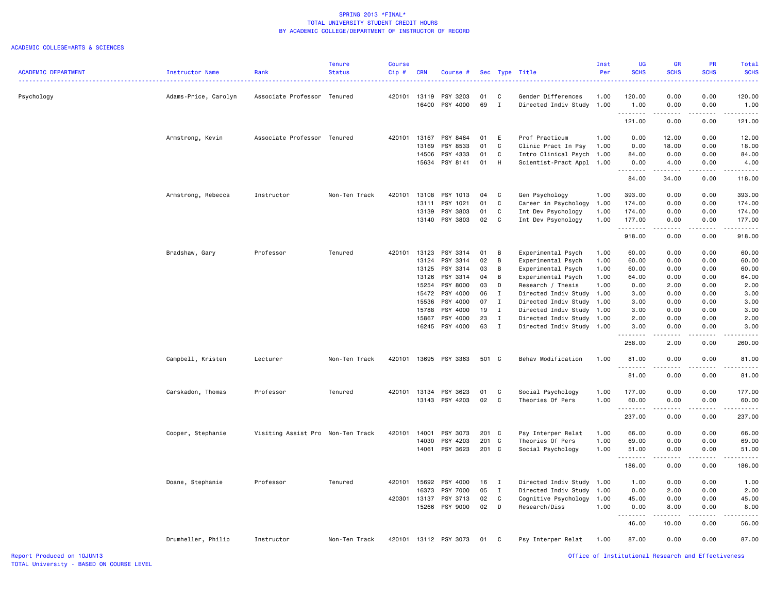|                            |                      |                                   | <b>Tenure</b> | <b>Course</b> |            |                       |       |              |                           | Inst | <b>UG</b>           | <b>GR</b>                                                                                                                         | <b>PR</b>      | <b>Total</b>           |
|----------------------------|----------------------|-----------------------------------|---------------|---------------|------------|-----------------------|-------|--------------|---------------------------|------|---------------------|-----------------------------------------------------------------------------------------------------------------------------------|----------------|------------------------|
| <b>ACADEMIC DEPARTMENT</b> | Instructor Name      | Rank                              | <b>Status</b> | Cip#          | <b>CRN</b> | Course #              |       |              | Sec Type Title            | Per  | <b>SCHS</b>         | <b>SCHS</b>                                                                                                                       | <b>SCHS</b>    | <b>SCHS</b>            |
|                            |                      |                                   |               |               |            |                       |       |              |                           |      |                     |                                                                                                                                   |                |                        |
| Psychology                 | Adams-Price, Carolyn | Associate Professor Tenured       |               | 420101 13119  |            | PSY 3203              | 01    | C            | Gender Differences        | 1.00 | 120.00              | 0.00                                                                                                                              | 0.00           | 120.00                 |
|                            |                      |                                   |               |               | 16400      | PSY 4000              | 69    | I            | Directed Indiv Study      | 1.00 | 1.00<br>.           | 0.00<br>$\frac{1}{2} \left( \frac{1}{2} \right) \left( \frac{1}{2} \right) \left( \frac{1}{2} \right) \left( \frac{1}{2} \right)$ | 0.00<br>.      | 1.00<br>.              |
|                            |                      |                                   |               |               |            |                       |       |              |                           |      | 121.00              | 0.00                                                                                                                              | 0.00           | 121.00                 |
|                            | Armstrong, Kevin     | Associate Professor Tenured       |               | 420101        | 13167      | PSY 8464              | 01    | E            | Prof Practicum            | 1.00 | 0.00                | 12.00                                                                                                                             | 0.00           | 12.00                  |
|                            |                      |                                   |               |               | 13169      | PSY 8533              | 01    | C            | Clinic Pract In Psy       | 1.00 | 0.00                | 18.00                                                                                                                             | 0.00           | 18.00                  |
|                            |                      |                                   |               |               | 14506      | PSY 4333              | 01    | C            | Intro Clinical Psych      | 1.00 | 84.00               | 0.00                                                                                                                              | 0.00           | 84.00                  |
|                            |                      |                                   |               |               | 15634      | PSY 8141              | 01    | H            | Scientist-Pract Appl 1.00 |      | 0.00<br>. <b>.</b>  | 4.00<br>.                                                                                                                         | 0.00<br>.      | 4.00<br>.              |
|                            |                      |                                   |               |               |            |                       |       |              |                           |      | 84.00               | 34.00                                                                                                                             | 0.00           | 118.00                 |
|                            | Armstrong, Rebecca   | Instructor                        | Non-Ten Track | 420101        | 13108      | PSY 1013              | 04    | C            | Gen Psychology            | 1.00 | 393.00              | 0.00                                                                                                                              | 0.00           | 393.00                 |
|                            |                      |                                   |               |               | 13111      | PSY 1021              | 01    | C            | Career in Psychology      | 1.00 | 174.00              | 0.00                                                                                                                              | 0.00           | 174.00                 |
|                            |                      |                                   |               |               | 13139      | PSY 3803              | 01    | C            | Int Dev Psychology        | 1.00 | 174.00              | 0.00                                                                                                                              | 0.00           | 174.00                 |
|                            |                      |                                   |               |               |            | 13140 PSY 3803        | 02    | $\mathbf{C}$ | Int Dev Psychology        | 1.00 | 177.00<br>.         | 0.00<br>.                                                                                                                         | 0.00<br>.      | 177.00<br>.            |
|                            |                      |                                   |               |               |            |                       |       |              |                           |      | 918.00              | 0.00                                                                                                                              | 0.00           | 918.00                 |
|                            | Bradshaw, Gary       | Professor                         | Tenured       | 420101        | 13123      | PSY 3314              | 01    | B            | Experimental Psych        | 1.00 | 60.00               | 0.00                                                                                                                              | 0.00           | 60.00                  |
|                            |                      |                                   |               |               | 13124      | PSY 3314              | 02    | B            | Experimental Psych        | 1.00 | 60.00               | 0.00                                                                                                                              | 0.00           | 60.00                  |
|                            |                      |                                   |               |               | 13125      | PSY 3314              | 03    | B            | Experimental Psych        | 1.00 | 60.00               | 0.00                                                                                                                              | 0.00           | 60.00                  |
|                            |                      |                                   |               |               | 13126      | PSY 3314              | 04    | В            | Experimental Psych        | 1.00 | 64.00               | 0.00                                                                                                                              | 0.00           | 64.00                  |
|                            |                      |                                   |               |               | 15254      | PSY 8000              | 03    | D            | Research / Thesis         | 1.00 | 0.00                | 2.00                                                                                                                              | 0.00           | 2.00                   |
|                            |                      |                                   |               |               | 15472      | PSY 4000              | 06    | $\mathbf{I}$ | Directed Indiv Study      | 1.00 | 3.00                | 0.00                                                                                                                              | 0.00           | 3.00                   |
|                            |                      |                                   |               |               | 15536      | PSY 4000              | 07    | $\mathbf{I}$ | Directed Indiv Study      | 1.00 | 3.00                | 0.00                                                                                                                              | 0.00           | 3.00                   |
|                            |                      |                                   |               |               | 15788      | PSY 4000              | 19    | I            | Directed Indiv Study 1.00 |      | 3.00                | 0.00                                                                                                                              | 0.00           | 3.00                   |
|                            |                      |                                   |               |               | 15867      | PSY 4000              | 23    | $\mathbf I$  | Directed Indiv Study 1.00 |      | 2.00                | 0.00                                                                                                                              | 0.00           | 2.00                   |
|                            |                      |                                   |               |               | 16245      | PSY 4000              | 63    | I            | Directed Indiv Study      | 1.00 | 3.00<br>.           | 0.00<br>$\frac{1}{2} \left( \frac{1}{2} \right) \left( \frac{1}{2} \right) \left( \frac{1}{2} \right) \left( \frac{1}{2} \right)$ | 0.00<br>.      | 3.00<br>.              |
|                            |                      |                                   |               |               |            |                       |       |              |                           |      | 258.00              | 2.00                                                                                                                              | 0.00           | 260.00                 |
|                            | Campbell, Kristen    | Lecturer                          | Non-Ten Track | 420101        | 13695      | PSY 3363              | 501 C |              | Behav Modification        | 1.00 | 81.00<br>. <b>.</b> | 0.00                                                                                                                              | 0.00<br>$   -$ | 81.00<br>$\frac{1}{2}$ |
|                            |                      |                                   |               |               |            |                       |       |              |                           |      | 81.00               | 0.00                                                                                                                              | 0.00           | 81.00                  |
|                            | Carskadon, Thomas    | Professor                         | Tenured       | 420101        | 13134      | PSY 3623              | 01    | C            | Social Psychology         | 1.00 | 177.00              | 0.00                                                                                                                              | 0.00           | 177.00                 |
|                            |                      |                                   |               |               | 13143      | PSY 4203              | 02    | $\mathbf c$  | Theories Of Pers          | 1.00 | 60.00               | 0.00                                                                                                                              | 0.00           | 60.00                  |
|                            |                      |                                   |               |               |            |                       |       |              |                           |      | .<br>237.00         | 0.00                                                                                                                              | 0.00           | .<br>237.00            |
|                            | Cooper, Stephanie    | Visiting Assist Pro Non-Ten Track |               | 420101        | 14001      | PSY 3073              | 201 C |              | Psy Interper Relat        | 1.00 | 66.00               | 0.00                                                                                                                              | 0.00           | 66.00                  |
|                            |                      |                                   |               |               | 14030      | PSY 4203              | 201   | C            | Theories Of Pers          | 1.00 | 69.00               | 0.00                                                                                                                              | 0.00           | 69.00                  |
|                            |                      |                                   |               |               | 14061      | PSY 3623              | 201 C |              | Social Psychology         | 1.00 | 51.00               | 0.00                                                                                                                              | 0.00           | 51.00                  |
|                            |                      |                                   |               |               |            |                       |       |              |                           |      | .                   | .                                                                                                                                 | .              | .                      |
|                            |                      |                                   |               |               |            |                       |       |              |                           |      | 186.00              | 0.00                                                                                                                              | 0.00           | 186.00                 |
|                            | Doane, Stephanie     | Professor                         | Tenured       | 420101        | 15692      | PSY 4000              | 16    | $\mathbf{I}$ | Directed Indiv Study      | 1.00 | 1.00                | 0.00                                                                                                                              | 0.00           | 1.00                   |
|                            |                      |                                   |               |               | 16373      | PSY 7000              | 05    | $\mathbf{I}$ | Directed Indiv Study      | 1.00 | 0.00                | 2.00                                                                                                                              | 0.00           | 2.00                   |
|                            |                      |                                   |               | 420301        | 13137      | PSY 3713              | 02    | $\mathbf c$  | Cognitive Psychology      | 1.00 | 45.00               | 0.00                                                                                                                              | 0.00           | 45.00                  |
|                            |                      |                                   |               |               |            | 15266 PSY 9000        | 02    | D            | Research/Diss             | 1.00 | 0.00                | 8.00                                                                                                                              | 0.00           | 8.00                   |
|                            |                      |                                   |               |               |            |                       |       |              |                           |      | 46.00               | 10.00                                                                                                                             | 0.00           | 56.00                  |
|                            | Drumheller, Philip   | Instructor                        | Non-Ten Track |               |            | 420101 13112 PSY 3073 | 01    | $\mathbf{C}$ | Psy Interper Relat        | 1.00 | 87.00               | 0.00                                                                                                                              | 0.00           | 87.00                  |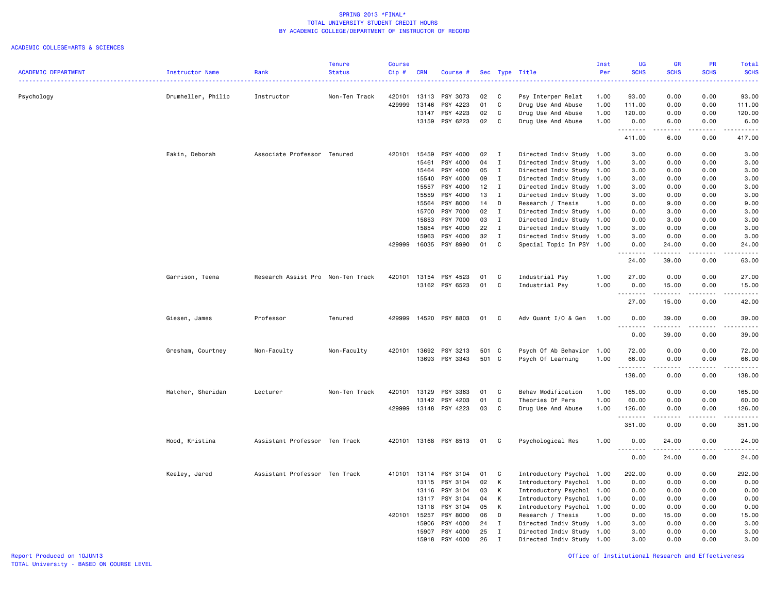|                            |                        |                                   | <b>Tenure</b> | <b>Course</b> |            |                |       |              |                           | Inst | <b>UG</b>             | <b>GR</b>                                                                                                                                                    | <b>PR</b>   | Total                                                                                                                                    |
|----------------------------|------------------------|-----------------------------------|---------------|---------------|------------|----------------|-------|--------------|---------------------------|------|-----------------------|--------------------------------------------------------------------------------------------------------------------------------------------------------------|-------------|------------------------------------------------------------------------------------------------------------------------------------------|
| <b>ACADEMIC DEPARTMENT</b> | <b>Instructor Name</b> | Rank                              | <b>Status</b> | $Cip$ #       | <b>CRN</b> | Course #       |       |              | Sec Type Title            | Per  | <b>SCHS</b>           | <b>SCHS</b>                                                                                                                                                  | <b>SCHS</b> | <b>SCHS</b><br>$\frac{1}{2} \left( \frac{1}{2} \right) \left( \frac{1}{2} \right) \left( \frac{1}{2} \right) \left( \frac{1}{2} \right)$ |
| Psychology                 | Drumheller, Philip     | Instructor                        | Non-Ten Track | 420101        | 13113      | PSY 3073       | 02    | C            | Psy Interper Relat        | 1.00 | 93.00                 | 0.00                                                                                                                                                         | 0.00        | 93.00                                                                                                                                    |
|                            |                        |                                   |               | 429999        | 13146      | PSY 4223       | 01    | C            | Drug Use And Abuse        | 1.00 | 111.00                | 0.00                                                                                                                                                         | 0.00        | 111.00                                                                                                                                   |
|                            |                        |                                   |               |               | 13147      | PSY 4223       | 02    | C            | Drug Use And Abuse        | 1.00 | 120.00                | 0.00                                                                                                                                                         | 0.00        | 120.00                                                                                                                                   |
|                            |                        |                                   |               |               | 13159      | PSY 6223       | 02    | C            | Drug Use And Abuse        | 1.00 | 0.00                  | 6.00                                                                                                                                                         | 0.00        | 6.00                                                                                                                                     |
|                            |                        |                                   |               |               |            |                |       |              |                           |      | . <b>.</b><br>411.00  | $\frac{1}{2} \left( \frac{1}{2} \right) \left( \frac{1}{2} \right) \left( \frac{1}{2} \right) \left( \frac{1}{2} \right) \left( \frac{1}{2} \right)$<br>6.00 | .<br>0.00   | .<br>417.00                                                                                                                              |
|                            | Eakin, Deborah         | Associate Professor Tenured       |               | 420101        | 15459      | PSY 4000       | 02    | $\mathbf{I}$ | Directed Indiv Study 1.00 |      | 3.00                  | 0.00                                                                                                                                                         | 0.00        | 3.00                                                                                                                                     |
|                            |                        |                                   |               |               | 15461      | PSY 4000       | 04    | $\mathbf{I}$ | Directed Indiv Study      | 1.00 | 3.00                  | 0.00                                                                                                                                                         | 0.00        | 3.00                                                                                                                                     |
|                            |                        |                                   |               |               | 15464      | PSY 4000       | 05    | $\mathbf{I}$ | Directed Indiv Study 1.00 |      | 3.00                  | 0.00                                                                                                                                                         | 0.00        | 3.00                                                                                                                                     |
|                            |                        |                                   |               |               | 15540      | PSY 4000       | 09    | $\mathbf{I}$ | Directed Indiv Study 1.00 |      | 3,00                  | 0.00                                                                                                                                                         | 0.00        | 3.00                                                                                                                                     |
|                            |                        |                                   |               |               | 15557      | PSY 4000       | 12    | $\mathbf{I}$ | Directed Indiv Study      | 1.00 | 3.00                  | 0.00                                                                                                                                                         | 0.00        | 3.00                                                                                                                                     |
|                            |                        |                                   |               |               | 15559      | PSY 4000       | 13    | $\mathbf{I}$ | Directed Indiv Study      | 1.00 | 3.00                  | 0.00                                                                                                                                                         | 0.00        | 3.00                                                                                                                                     |
|                            |                        |                                   |               |               | 15564      | PSY 8000       | 14    | D            | Research / Thesis         | 1.00 | 0.00                  | 9.00                                                                                                                                                         | 0.00        | 9.00                                                                                                                                     |
|                            |                        |                                   |               |               |            |                |       |              |                           |      |                       |                                                                                                                                                              |             |                                                                                                                                          |
|                            |                        |                                   |               |               | 15700      | PSY 7000       | 02    | $\mathbf{I}$ | Directed Indiv Study 1.00 |      | 0.00                  | 3.00                                                                                                                                                         | 0.00        | 3.00                                                                                                                                     |
|                            |                        |                                   |               |               | 15853      | PSY 7000       | 03    | $\mathbf{I}$ | Directed Indiv Study 1.00 |      | 0.00                  | 3.00                                                                                                                                                         | 0.00        | 3.00                                                                                                                                     |
|                            |                        |                                   |               |               | 15854      | PSY 4000       | 22    | $\mathbf{I}$ | Directed Indiv Study 1.00 |      | 3.00                  | 0.00                                                                                                                                                         | 0.00        | 3.00                                                                                                                                     |
|                            |                        |                                   |               |               | 15963      | PSY 4000       | 32    | $\mathbf{I}$ | Directed Indiv Study 1.00 |      | 3.00                  | 0.00                                                                                                                                                         | 0.00        | 3.00                                                                                                                                     |
|                            |                        |                                   |               | 429999        | 16035      | PSY 8990       | 01    | $\mathbb{C}$ | Special Topic In PSY 1.00 |      | 0.00<br>-----         | 24.00<br>.                                                                                                                                                   | 0.00<br>.   | 24.00<br>$\sim$ $\sim$ $\sim$ $\sim$ $\sim$                                                                                              |
|                            |                        |                                   |               |               |            |                |       |              |                           |      | 24.00                 | 39.00                                                                                                                                                        | 0.00        | 63.00                                                                                                                                    |
|                            | Garrison, Teena        | Research Assist Pro Non-Ten Track |               | 420101        | 13154      | PSY 4523       | 01    | C            | Industrial Psy            | 1.00 | 27.00                 | 0.00                                                                                                                                                         | 0.00        | 27,00                                                                                                                                    |
|                            |                        |                                   |               |               |            | 13162 PSY 6523 | 01    | C            | Industrial Psy            | 1.00 | 0.00<br>.             | 15.00<br>.                                                                                                                                                   | 0.00<br>.   | 15.00<br>.                                                                                                                               |
|                            |                        |                                   |               |               |            |                |       |              |                           |      | 27.00                 | 15.00                                                                                                                                                        | 0.00        | 42.00                                                                                                                                    |
|                            | Giesen, James          | Professor                         | Tenured       | 429999        | 14520      | PSY 8803       | 01    | C            | Adv Quant I/O & Gen       | 1.00 | 0.00<br>$\sim$ $\sim$ | 39.00                                                                                                                                                        | 0.00        | 39.00                                                                                                                                    |
|                            |                        |                                   |               |               |            |                |       |              |                           |      | 0.00                  | 39.00                                                                                                                                                        | 0.00        | 39.00                                                                                                                                    |
|                            | Gresham, Courtney      | Non-Faculty                       | Non-Faculty   | 420101        | 13692      | PSY 3213       | 501 C |              | Psych Of Ab Behavior      | 1.00 | 72.00                 | 0.00                                                                                                                                                         | 0.00        | 72.00                                                                                                                                    |
|                            |                        |                                   |               |               |            | 13693 PSY 3343 | 501 C |              | Psych Of Learning         | 1.00 | 66.00                 | 0.00                                                                                                                                                         | 0.00        | 66.00                                                                                                                                    |
|                            |                        |                                   |               |               |            |                |       |              |                           |      |                       |                                                                                                                                                              |             | والمستحدث                                                                                                                                |
|                            |                        |                                   |               |               |            |                |       |              |                           |      | 138.00                | 0.00                                                                                                                                                         | 0.00        | 138.00                                                                                                                                   |
|                            | Hatcher, Sheridan      | Lecturer                          | Non-Ten Track | 420101        | 13129      | PSY 3363       | 01    | C            | Behav Modification        | 1.00 | 165.00                | 0.00                                                                                                                                                         | 0.00        | 165.00                                                                                                                                   |
|                            |                        |                                   |               |               | 13142      | PSY 4203       | 01    | $\mathtt{C}$ | Theories Of Pers          | 1.00 | 60.00                 | 0.00                                                                                                                                                         | 0.00        | 60.00                                                                                                                                    |
|                            |                        |                                   |               | 429999        | 13148      | PSY 4223       | 03    | C            | Drug Use And Abuse        | 1.00 | 126.00<br>.           | 0.00                                                                                                                                                         | 0.00        | 126.00<br>.                                                                                                                              |
|                            |                        |                                   |               |               |            |                |       |              |                           |      | 351.00                | 0.00                                                                                                                                                         | 0.00        | 351.00                                                                                                                                   |
|                            | Hood, Kristina         | Assistant Professor Ten Track     |               | 420101        |            | 13168 PSY 8513 | 01    | C.           | Psychological Res         | 1.00 | 0.00<br>$\sim$ $\sim$ | 24.00                                                                                                                                                        | 0.00        | 24.00<br>. <u>.</u> .                                                                                                                    |
|                            |                        |                                   |               |               |            |                |       |              |                           |      | 0.00                  | 24.00                                                                                                                                                        | 0.00        | 24.00                                                                                                                                    |
|                            | Keeley, Jared          | Assistant Professor Ten Track     |               | 410101        | 13114      | PSY 3104       | 01    | C            | Introductory Psychol 1.00 |      | 292.00                | 0.00                                                                                                                                                         | 0.00        | 292.00                                                                                                                                   |
|                            |                        |                                   |               |               | 13115      | PSY 3104       | 02    | К            | Introductory Psychol 1.00 |      | 0.00                  | 0.00                                                                                                                                                         | 0.00        | 0.00                                                                                                                                     |
|                            |                        |                                   |               |               | 13116      | PSY 3104       | 03    | K            | Introductory Psychol 1.00 |      | 0.00                  | 0.00                                                                                                                                                         | 0.00        | 0.00                                                                                                                                     |
|                            |                        |                                   |               |               | 13117      | PSY 3104       | 04    | K            | Introductory Psychol 1.00 |      | 0.00                  | 0.00                                                                                                                                                         | 0.00        | 0.00                                                                                                                                     |
|                            |                        |                                   |               |               | 13118      | PSY 3104       | 05    | K            | Introductory Psychol 1.00 |      | 0.00                  | 0.00                                                                                                                                                         | 0.00        | 0.00                                                                                                                                     |
|                            |                        |                                   |               | 420101 15257  |            | PSY 8000       | 06    | D            | Research / Thesis         | 1.00 | 0.00                  | 15.00                                                                                                                                                        | 0.00        | 15.00                                                                                                                                    |
|                            |                        |                                   |               |               | 15906      | PSY 4000       | 24    | $\mathbf{I}$ | Directed Indiv Study 1.00 |      | 3.00                  | 0.00                                                                                                                                                         | 0.00        | 3.00                                                                                                                                     |
|                            |                        |                                   |               |               | 15907      | PSY 4000       | 25    | $\mathbf{I}$ | Directed Indiv Study 1.00 |      | 3.00                  | 0.00                                                                                                                                                         | 0.00        | 3.00                                                                                                                                     |
|                            |                        |                                   |               |               | 15918      | PSY 4000       | 26    | $\mathsf{T}$ | Directed Indiv Study 1.00 |      | 3.00                  | 0.00                                                                                                                                                         | 0.00        | 3.00                                                                                                                                     |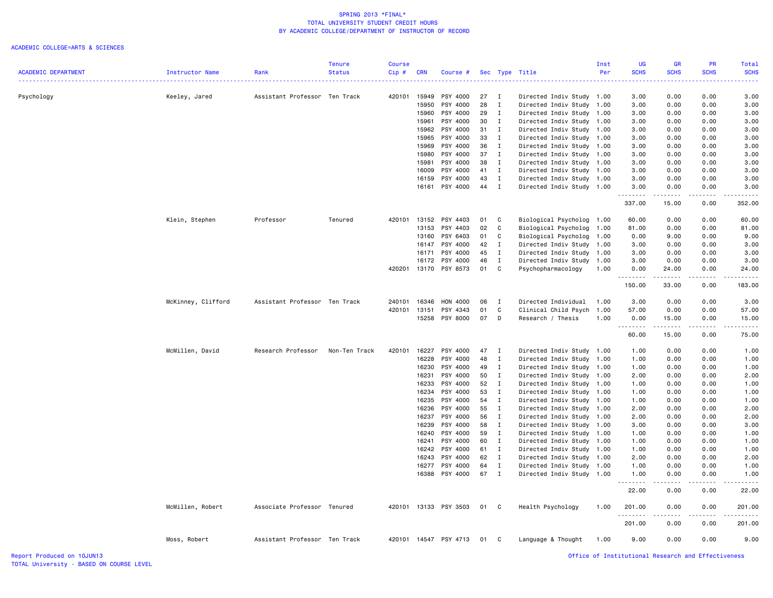#### ACADEMIC COLLEGE=ARTS & SCIENCES

|                            |                    |                               | <b>Tenure</b> | <b>Course</b> |                |                       |          |                              |                                                   | Inst         | <b>UG</b>      | <b>GR</b>                                                                                                            | PR                                                                                                                                                           | <b>Total</b>     |
|----------------------------|--------------------|-------------------------------|---------------|---------------|----------------|-----------------------|----------|------------------------------|---------------------------------------------------|--------------|----------------|----------------------------------------------------------------------------------------------------------------------|--------------------------------------------------------------------------------------------------------------------------------------------------------------|------------------|
| <b>ACADEMIC DEPARTMENT</b> | Instructor Name    | Rank                          | <b>Status</b> | Cip#          | <b>CRN</b>     | Course #              |          |                              | Sec Type Title                                    | Per          | <b>SCHS</b>    | <b>SCHS</b>                                                                                                          | <b>SCHS</b>                                                                                                                                                  | <b>SCHS</b>      |
|                            |                    |                               |               |               |                |                       |          |                              |                                                   |              |                |                                                                                                                      |                                                                                                                                                              |                  |
| Psychology                 | Keeley, Jared      | Assistant Professor Ten Track |               | 420101        | 15949          | PSY 4000              | 27       | I                            | Directed Indiv Study 1.00                         |              | 3.00           | 0.00                                                                                                                 | 0.00                                                                                                                                                         | 3.00             |
|                            |                    |                               |               |               | 15950          | PSY 4000              | 28<br>29 | $\mathbf I$                  | Directed Indiv Study                              | 1.00         | 3.00           | 0.00                                                                                                                 | 0.00                                                                                                                                                         | 3.00             |
|                            |                    |                               |               |               | 15960<br>15961 | PSY 4000<br>PSY 4000  | 30       | $\mathbf{I}$<br>I            | Directed Indiv Study 1.00<br>Directed Indiv Study | 1.00         | 3.00<br>3.00   | 0.00<br>0.00                                                                                                         | 0.00<br>0.00                                                                                                                                                 | 3.00<br>3.00     |
|                            |                    |                               |               |               | 15962          | PSY 4000              | 31       | $\mathbf{I}$                 | Directed Indiv Study                              | 1.00         | 3.00           | 0.00                                                                                                                 | 0.00                                                                                                                                                         | 3.00             |
|                            |                    |                               |               |               | 15965          | PSY 4000              | 33       | $\mathbf{I}$                 | Directed Indiv Study                              | 1.00         | 3.00           | 0.00                                                                                                                 | 0.00                                                                                                                                                         | 3.00             |
|                            |                    |                               |               |               | 15969          | PSY 4000              | 36       | $\mathbf{I}$                 | Directed Indiv Study 1.00                         |              | 3.00           | 0.00                                                                                                                 | 0.00                                                                                                                                                         | 3.00             |
|                            |                    |                               |               |               | 15980          | PSY 4000              | 37       | $\mathbf{I}$                 | Directed Indiv Study                              | 1.00         | 3.00           | 0.00                                                                                                                 | 0.00                                                                                                                                                         | 3.00             |
|                            |                    |                               |               |               | 15981          | PSY 4000              | 38       | $\mathbf{I}$                 | Directed Indiv Study                              | 1.00         | 3.00           | 0.00                                                                                                                 | 0.00                                                                                                                                                         | 3.00             |
|                            |                    |                               |               |               | 16009          | PSY 4000              | 41       | $\mathbf{I}$                 | Directed Indiv Study 1.00                         |              | 3.00           | 0.00                                                                                                                 | 0.00                                                                                                                                                         | 3.00             |
|                            |                    |                               |               |               | 16159          | PSY 4000              | 43       | $\mathbf{I}$                 | Directed Indiv Study                              | 1.00         | 3.00           | 0.00                                                                                                                 | 0.00                                                                                                                                                         | 3.00             |
|                            |                    |                               |               |               | 16161          | PSY 4000              | 44       | $\mathbf{I}$                 | Directed Indiv Study 1.00                         |              | 3.00           | 0.00                                                                                                                 | 0.00                                                                                                                                                         | 3.00             |
|                            |                    |                               |               |               |                |                       |          |                              |                                                   |              | .<br>337.00    | .<br>15.00                                                                                                           | .<br>0.00                                                                                                                                                    | .<br>352.00      |
|                            | Klein, Stephen     | Professor                     | Tenured       | 420101        | 13152          | PSY 4403              | 01       | C                            | Biological Psycholog                              | 1.00         | 60.00          | 0.00                                                                                                                 | 0.00                                                                                                                                                         | 60.00            |
|                            |                    |                               |               |               | 13153          | PSY 4403              | 02       | C                            | Biological Psycholog                              | 1.00         | 81.00          | 0.00                                                                                                                 | 0.00                                                                                                                                                         | 81.00            |
|                            |                    |                               |               |               | 13160          | PSY 6403              | 01       | C                            | Biological Psycholog                              | 1.00         | 0.00           | 9.00                                                                                                                 | 0.00                                                                                                                                                         | 9.00             |
|                            |                    |                               |               |               | 16147          | PSY 4000              | 42       | $\mathbf I$                  | Directed Indiv Study                              | 1.00         | 3.00           | 0.00                                                                                                                 | 0.00                                                                                                                                                         | 3.00             |
|                            |                    |                               |               |               | 16171          | PSY 4000              | 45       | I                            | Directed Indiv Study                              | 1.00         | 3.00           | 0.00                                                                                                                 | 0.00                                                                                                                                                         | 3.00             |
|                            |                    |                               |               |               | 16172          | PSY 4000              | 46       | I                            | Directed Indiv Study                              | 1.00         | 3.00           | 0.00                                                                                                                 | 0.00                                                                                                                                                         | 3.00             |
|                            |                    |                               |               | 420201        | 13170          | PSY 8573              | 01       | C                            | Psychopharmacology                                | 1.00         | 0.00<br>.      | 24.00<br>.                                                                                                           | 0.00                                                                                                                                                         | 24.00<br>.       |
|                            |                    |                               |               |               |                |                       |          |                              |                                                   |              | 150.00         | 33.00                                                                                                                | 0.00                                                                                                                                                         | 183.00           |
|                            | McKinney, Clifford | Assistant Professor Ten Track |               | 240101        | 16346          | <b>HON 4000</b>       | 06       | I                            | Directed Individual                               | 1.00         | 3.00           | 0.00                                                                                                                 | 0.00                                                                                                                                                         | 3.00             |
|                            |                    |                               |               | 420101        | 13151          | PSY 4343              | 01       | C                            | Clinical Child Psych                              | 1.00         | 57.00          | 0.00                                                                                                                 | 0.00                                                                                                                                                         | 57.00            |
|                            |                    |                               |               |               | 15258          | PSY 8000              | 07       | D                            | Research / Thesis                                 | 1.00         | 0.00<br>.      | 15.00<br>$\begin{array}{cccccccccc} \bullet & \bullet & \bullet & \bullet & \bullet & \bullet & \bullet \end{array}$ | 0.00<br>المتماما                                                                                                                                             | 15.00<br>الداعات |
|                            |                    |                               |               |               |                |                       |          |                              |                                                   |              | 60.00          | 15.00                                                                                                                | 0.00                                                                                                                                                         | 75.00            |
|                            | McMillen, David    | Research Professor            | Non-Ten Track | 420101        | 16227          | PSY 4000              | 47       | $\mathbf{I}$                 | Directed Indiv Study 1.00                         |              | 1.00           | 0.00                                                                                                                 | 0.00                                                                                                                                                         | 1.00             |
|                            |                    |                               |               |               | 16228          | PSY 4000              | 48       | $\mathbf{I}$                 | Directed Indiv Study                              | 1.00         | 1.00           | 0.00                                                                                                                 | 0.00                                                                                                                                                         | 1.00             |
|                            |                    |                               |               |               | 16230          | PSY 4000              | 49       | I                            | Directed Indiv Study                              | 1.00         | 1.00           | 0.00                                                                                                                 | 0.00                                                                                                                                                         | 1.00             |
|                            |                    |                               |               |               | 16231          | PSY 4000              | 50       | $\mathbf{I}$                 | Directed Indiv Study                              | 1.00         | 2.00           | 0.00                                                                                                                 | 0.00                                                                                                                                                         | 2.00             |
|                            |                    |                               |               |               | 16233          | PSY 4000              | 52       | $\mathbf{I}$                 | Directed Indiv Study                              | 1.00         | 1.00           | 0.00                                                                                                                 | 0.00                                                                                                                                                         | 1.00             |
|                            |                    |                               |               |               | 16234          | PSY 4000              | 53       | $\mathbf{I}$                 | Directed Indiv Study                              | 1.00         | 1.00           | 0.00                                                                                                                 | 0.00                                                                                                                                                         | 1.00             |
|                            |                    |                               |               |               | 16235          | PSY 4000              | 54       | I                            | Directed Indiv Study                              | 1.00         | 1.00           | 0.00                                                                                                                 | 0.00                                                                                                                                                         | 1.00             |
|                            |                    |                               |               |               | 16236          | PSY 4000              | 55       | $\mathbf{I}$                 | Directed Indiv Study                              | 1.00         | 2.00           | 0.00                                                                                                                 | 0.00                                                                                                                                                         | 2.00             |
|                            |                    |                               |               |               | 16237          | PSY 4000              | 56       | $\mathbf{I}$                 | Directed Indiv Study                              | 1.00         | 2.00           | 0.00                                                                                                                 | 0.00                                                                                                                                                         | 2.00             |
|                            |                    |                               |               |               | 16239          | PSY 4000              | 58       | $\mathbf{I}$                 | Directed Indiv Study                              | 1.00         | 3.00           | 0.00                                                                                                                 | 0.00                                                                                                                                                         | 3.00             |
|                            |                    |                               |               |               | 16240<br>16241 | PSY 4000<br>PSY 4000  | 59<br>60 | $\mathbf{I}$<br>$\mathbf{I}$ | Directed Indiv Study                              | 1.00<br>1.00 | 1.00<br>1.00   | 0.00<br>0.00                                                                                                         | 0.00<br>0.00                                                                                                                                                 | 1.00<br>1.00     |
|                            |                    |                               |               |               | 16242          | PSY 4000              | 61       | $\mathbf{I}$                 | Directed Indiv Study<br>Directed Indiv Study      | 1.00         | 1.00           | 0.00                                                                                                                 | 0.00                                                                                                                                                         | 1.00             |
|                            |                    |                               |               |               | 16243          | PSY 4000              | 62       | $\mathbf{I}$                 | Directed Indiv Study 1.00                         |              | 2.00           | 0.00                                                                                                                 | 0.00                                                                                                                                                         | 2.00             |
|                            |                    |                               |               |               | 16277          | PSY 4000              | 64       | Ι                            | Directed Indiv Study                              | 1.00         | 1.00           | 0.00                                                                                                                 | 0.00                                                                                                                                                         | 1.00             |
|                            |                    |                               |               |               | 16388          | PSY 4000              | 67       | $\mathbf I$                  | Directed Indiv Study 1.00                         |              | 1.00           | 0.00                                                                                                                 | 0.00                                                                                                                                                         | 1.00             |
|                            |                    |                               |               |               |                |                       |          |                              |                                                   |              | 22222<br>22.00 | الدامات بال<br>0.00                                                                                                  | .<br>0.00                                                                                                                                                    | الداعات<br>22.00 |
|                            | McMillen, Robert   | Associate Professor Tenured   |               |               |                | 420101 13133 PSY 3503 | 01       | C                            | Health Psychology                                 | 1.00         | 201.00         | 0.00                                                                                                                 | 0.00                                                                                                                                                         | 201.00           |
|                            |                    |                               |               |               |                |                       |          |                              |                                                   |              | .<br>201.00    | المتماما<br>0.00                                                                                                     | $\frac{1}{2} \left( \frac{1}{2} \right) \left( \frac{1}{2} \right) \left( \frac{1}{2} \right) \left( \frac{1}{2} \right) \left( \frac{1}{2} \right)$<br>0.00 | .<br>201.00      |
|                            | Moss, Robert       | Assistant Professor Ten Track |               | 420101        |                | 14547 PSY 4713        | 01       | C                            | Language & Thought                                | 1.00         | 9.00           | 0.00                                                                                                                 | 0.00                                                                                                                                                         | 9.00             |

Report Produced on 10JUN13 Office of Institutional Research and Effectiveness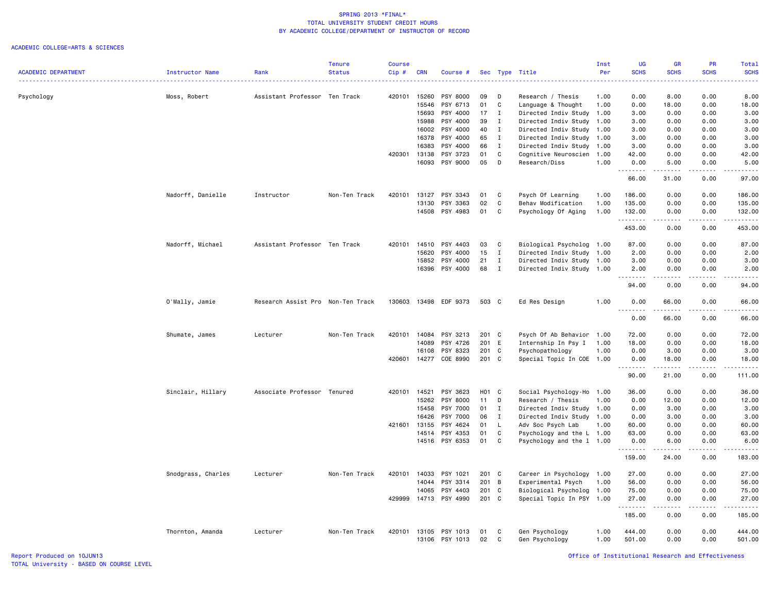|                            |                    |                                   | <b>Tenure</b> | <b>Course</b> |            |                |       |              |                           | Inst | <b>UG</b>                | GR                                                                                                                                                                                                                                                                                                                                           | <b>PR</b>     | Total                      |
|----------------------------|--------------------|-----------------------------------|---------------|---------------|------------|----------------|-------|--------------|---------------------------|------|--------------------------|----------------------------------------------------------------------------------------------------------------------------------------------------------------------------------------------------------------------------------------------------------------------------------------------------------------------------------------------|---------------|----------------------------|
| <b>ACADEMIC DEPARTMENT</b> | Instructor Name    | Rank                              | <b>Status</b> | Cip#          | <b>CRN</b> | Course #       |       |              | Sec Type Title            | Per  | <b>SCHS</b><br>. د د د د | <b>SCHS</b><br>.                                                                                                                                                                                                                                                                                                                             | <b>SCHS</b>   | <b>SCHS</b><br>والمالم مال |
|                            |                    |                                   |               |               |            |                |       |              |                           |      |                          |                                                                                                                                                                                                                                                                                                                                              |               |                            |
| Psychology                 | Moss, Robert       | Assistant Professor Ten Track     |               | 420101 15260  |            | PSY 8000       | 09    | D            | Research / Thesis         | 1.00 | 0.00                     | 8.00                                                                                                                                                                                                                                                                                                                                         | 0.00          | 8.00                       |
|                            |                    |                                   |               |               | 15546      | PSY 6713       | 01    | C            | Language & Thought        | 1.00 | 0.00                     | 18.00                                                                                                                                                                                                                                                                                                                                        | 0.00          | 18.00                      |
|                            |                    |                                   |               |               | 15693      | PSY 4000       | 17    | I            | Directed Indiv Study      | 1.00 | 3.00                     | 0.00                                                                                                                                                                                                                                                                                                                                         | 0.00          | 3.00                       |
|                            |                    |                                   |               |               | 15988      | PSY 4000       | 39    | Ι            | Directed Indiv Study      | 1.00 | 3.00                     | 0.00                                                                                                                                                                                                                                                                                                                                         | 0.00          | 3.00                       |
|                            |                    |                                   |               |               | 16002      | PSY 4000       | 40    | $\mathbf{I}$ | Directed Indiv Study 1.00 |      | 3.00                     | 0.00                                                                                                                                                                                                                                                                                                                                         | 0.00          | 3.00                       |
|                            |                    |                                   |               |               | 16378      | PSY 4000       | 65    | I            | Directed Indiv Study      | 1.00 | 3.00                     | 0.00                                                                                                                                                                                                                                                                                                                                         | 0.00          | 3.00                       |
|                            |                    |                                   |               |               | 16383      | PSY 4000       | 66    | $\mathbf{I}$ | Directed Indiv Study 1.00 |      | 3.00                     | 0.00                                                                                                                                                                                                                                                                                                                                         | 0.00          | 3.00                       |
|                            |                    |                                   |               | 420301 13138  |            | PSY 3723       | 01    | $\mathtt{C}$ | Cognitive Neuroscien      | 1.00 | 42.00                    | 0.00                                                                                                                                                                                                                                                                                                                                         | 0.00          | 42.00                      |
|                            |                    |                                   |               |               | 16093      | PSY 9000       | 05    | D            | Research/Diss             | 1.00 | 0.00<br><b>.</b>         | 5.00<br>$\begin{array}{cccccccccc} \bullet & \bullet & \bullet & \bullet & \bullet & \bullet & \bullet \end{array}$                                                                                                                                                                                                                          | 0.00<br>.     | 5.00<br>.                  |
|                            |                    |                                   |               |               |            |                |       |              |                           |      | 66.00                    | 31.00                                                                                                                                                                                                                                                                                                                                        | 0.00          | 97.00                      |
|                            | Nadorff, Danielle  | Instructor                        | Non-Ten Track | 420101        | 13127      | PSY 3343       | 01    | C            | Psych Of Learning         | 1.00 | 186.00                   | 0.00                                                                                                                                                                                                                                                                                                                                         | 0.00          | 186.00                     |
|                            |                    |                                   |               |               | 13130      | PSY 3363       | 02    | C            | Behav Modification        | 1.00 | 135.00                   | 0.00                                                                                                                                                                                                                                                                                                                                         | 0.00          | 135.00                     |
|                            |                    |                                   |               |               | 14508      | PSY 4983       | 01    | C            | Psychology Of Aging       | 1.00 | 132.00                   | 0.00                                                                                                                                                                                                                                                                                                                                         | 0.00<br>.     | 132.00                     |
|                            |                    |                                   |               |               |            |                |       |              |                           |      | .<br>453.00              | .<br>0.00                                                                                                                                                                                                                                                                                                                                    | 0.00          | 2.2.2.2.2.3<br>453.00      |
|                            | Nadorff, Michael   | Assistant Professor Ten Track     |               | 420101        | 14510      | PSY 4403       | 03    | C            | Biological Psycholog      | 1.00 | 87.00                    | 0.00                                                                                                                                                                                                                                                                                                                                         | 0.00          | 87.00                      |
|                            |                    |                                   |               |               | 15620      | PSY 4000       | 15    | $\mathbf{I}$ | Directed Indiv Study      | 1.00 | 2.00                     | 0.00                                                                                                                                                                                                                                                                                                                                         | 0.00          | 2.00                       |
|                            |                    |                                   |               |               | 15852      | PSY 4000       | 21    | $\mathbf{I}$ | Directed Indiv Study 1.00 |      | 3.00                     | 0.00                                                                                                                                                                                                                                                                                                                                         | 0.00          | 3.00                       |
|                            |                    |                                   |               |               | 16396      | PSY 4000       | 68    | $\mathbf{I}$ | Directed Indiv Study 1.00 |      | 2.00                     | 0.00                                                                                                                                                                                                                                                                                                                                         | 0.00          | 2.00                       |
|                            |                    |                                   |               |               |            |                |       |              |                           |      | .<br>94.00               | $\frac{1}{2} \left( \begin{array}{ccc} 1 & 0 & 0 & 0 \\ 0 & 0 & 0 & 0 \\ 0 & 0 & 0 & 0 \\ 0 & 0 & 0 & 0 \\ 0 & 0 & 0 & 0 \\ 0 & 0 & 0 & 0 \\ 0 & 0 & 0 & 0 \\ 0 & 0 & 0 & 0 \\ 0 & 0 & 0 & 0 \\ 0 & 0 & 0 & 0 \\ 0 & 0 & 0 & 0 & 0 \\ 0 & 0 & 0 & 0 & 0 \\ 0 & 0 & 0 & 0 & 0 \\ 0 & 0 & 0 & 0 & 0 \\ 0 & 0 & 0 & 0 & 0 \\ 0 & 0 & 0$<br>0.00 | .<br>0.00     | .<br>94.00                 |
|                            | O'Mally, Jamie     | Research Assist Pro Non-Ten Track |               | 130603        |            | 13498 EDF 9373 | 503 C |              | Ed Res Design             | 1.00 | 0.00                     | 66.00                                                                                                                                                                                                                                                                                                                                        | 0.00          | 66.00                      |
|                            |                    |                                   |               |               |            |                |       |              |                           |      | .<br>0.00                | .<br>66.00                                                                                                                                                                                                                                                                                                                                   | -----<br>0.00 | .<br>66.00                 |
|                            | Shumate, James     | Lecturer                          | Non-Ten Track | 420101        | 14084      | PSY 3213       | 201 C |              | Psych Of Ab Behavior      | 1.00 | 72.00                    | 0.00                                                                                                                                                                                                                                                                                                                                         | 0.00          | 72.00                      |
|                            |                    |                                   |               |               | 14089      | PSY 4726       | 201 E |              | Internship In Psy I       | 1.00 | 18.00                    | 0.00                                                                                                                                                                                                                                                                                                                                         | 0.00          | 18.00                      |
|                            |                    |                                   |               |               | 16108      | PSY 8323       | 201 C |              | Psychopathology           | 1.00 | 0.00                     | 3.00                                                                                                                                                                                                                                                                                                                                         | 0.00          | 3.00                       |
|                            |                    |                                   |               | 420601        | 14277      | COE 8990       | 201 C |              | Special Topic In COE 1.00 |      | 0.00                     | 18.00                                                                                                                                                                                                                                                                                                                                        | 0.00          | 18.00                      |
|                            |                    |                                   |               |               |            |                |       |              |                           |      | .<br>90.00               | د د د د د<br>21.00                                                                                                                                                                                                                                                                                                                           | .<br>0.00     | -----<br>111.00            |
|                            | Sinclair, Hillary  | Associate Professor Tenured       |               | 420101        | 14521      | PSY 3623       | H01 C |              | Social Psychology-Ho 1.00 |      | 36.00                    | 0.00                                                                                                                                                                                                                                                                                                                                         | 0.00          | 36.00                      |
|                            |                    |                                   |               |               | 15262      | PSY 8000       | 11    | D            | Research / Thesis         | 1.00 | 0.00                     | 12.00                                                                                                                                                                                                                                                                                                                                        | 0.00          | 12.00                      |
|                            |                    |                                   |               |               | 15458      | PSY 7000       | 01    | $\mathbf{I}$ | Directed Indiv Study 1.00 |      | 0.00                     | 3.00                                                                                                                                                                                                                                                                                                                                         | 0.00          | 3.00                       |
|                            |                    |                                   |               |               | 16426      | PSY 7000       | 06    | $\mathbf{I}$ | Directed Indiv Study 1.00 |      | 0.00                     | 3.00                                                                                                                                                                                                                                                                                                                                         | 0.00          | 3.00                       |
|                            |                    |                                   |               | 421601        | 13155      | PSY 4624       | 01    | L.           | Adv Soc Psych Lab         | 1.00 | 60.00                    | 0.00                                                                                                                                                                                                                                                                                                                                         | 0.00          | 60.00                      |
|                            |                    |                                   |               |               | 14514      | PSY 4353       | 01    | C            | Psychology and the L 1.00 |      | 63.00                    | 0.00                                                                                                                                                                                                                                                                                                                                         | 0.00          | 63.00                      |
|                            |                    |                                   |               |               |            | 14516 PSY 6353 | 01    | C            | Psychology and the 1 1.00 |      | 0.00                     | 6.00                                                                                                                                                                                                                                                                                                                                         | 0.00          | 6.00                       |
|                            |                    |                                   |               |               |            |                |       |              |                           |      | .<br>159.00              | $\begin{array}{cccccccccc} \bullet & \bullet & \bullet & \bullet & \bullet & \bullet & \bullet \end{array}$<br>24.00                                                                                                                                                                                                                         | .<br>0.00     | .<br>183.00                |
|                            | Snodgrass, Charles | Lecturer                          | Non-Ten Track | 420101        | 14033      | PSY 1021       | 201 C |              | Career in Psychology 1.00 |      | 27.00                    | 0.00                                                                                                                                                                                                                                                                                                                                         | 0.00          | 27.00                      |
|                            |                    |                                   |               |               | 14044      | PSY 3314       | 201 B |              | Experimental Psych        | 1.00 | 56.00                    | 0.00                                                                                                                                                                                                                                                                                                                                         | 0.00          | 56.00                      |
|                            |                    |                                   |               |               | 14065      | PSY 4403       | 201 C |              | Biological Psycholog      | 1.00 | 75.00                    | 0.00                                                                                                                                                                                                                                                                                                                                         | 0.00          | 75.00                      |
|                            |                    |                                   |               | 429999        | 14713      | PSY 4990       | 201 C |              | Special Topic In PSY 1.00 |      | 27.00                    | 0.00                                                                                                                                                                                                                                                                                                                                         | 0.00          | 27.00                      |
|                            |                    |                                   |               |               |            |                |       |              |                           |      | .<br>185.00              | .<br>0.00                                                                                                                                                                                                                                                                                                                                    | .<br>0.00     | .<br>185.00                |
|                            | Thornton, Amanda   | Lecturer                          | Non-Ten Track | 420101        |            | 13105 PSY 1013 | 01    | C            | Gen Psychology            | 1.00 | 444.00                   | 0.00                                                                                                                                                                                                                                                                                                                                         | 0.00          | 444.00                     |
|                            |                    |                                   |               |               |            | 13106 PSY 1013 | 02    | $\mathtt{C}$ | Gen Psychology            | 1.00 | 501.00                   | 0.00                                                                                                                                                                                                                                                                                                                                         | 0.00          | 501.00                     |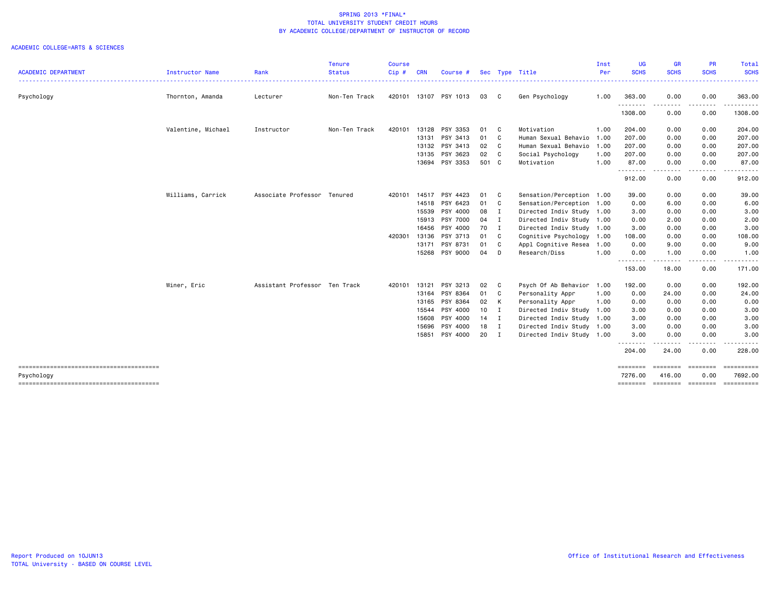|                                                      |                    |                               | <b>Tenure</b> | <b>Course</b> |            |                |        |                |                           | Inst | UG                  | <b>GR</b>          | <b>PR</b>                                                                                                                                                    | Total                 |
|------------------------------------------------------|--------------------|-------------------------------|---------------|---------------|------------|----------------|--------|----------------|---------------------------|------|---------------------|--------------------|--------------------------------------------------------------------------------------------------------------------------------------------------------------|-----------------------|
| <b>ACADEMIC DEPARTMENT</b>                           | Instructor Name    | Rank                          | <b>Status</b> | $Cip$ #       | <b>CRN</b> | Course #       |        |                | Sec Type Title            | Per  | <b>SCHS</b>         | <b>SCHS</b>        | <b>SCHS</b>                                                                                                                                                  | <b>SCHS</b>           |
| Psychology                                           | Thornton, Amanda   | Lecturer                      | Non-Ten Track | 420101        |            | 13107 PSY 1013 | 03     | $\mathbf{C}$   | Gen Psychology            | 1.00 | 363.00              | 0.00               | 0.00                                                                                                                                                         | 363.00                |
|                                                      |                    |                               |               |               |            |                |        |                |                           |      | .<br>1308.00        | .<br>0.00          | $\frac{1}{2} \left( \frac{1}{2} \right) \left( \frac{1}{2} \right) \left( \frac{1}{2} \right) \left( \frac{1}{2} \right) \left( \frac{1}{2} \right)$<br>0.00 | . <u>.</u><br>1308.00 |
|                                                      | Valentine, Michael | Instructor                    | Non-Ten Track | 420101        | 13128      | PSY 3353       | 01 C   |                | Motivation                | 1.00 | 204.00              | 0.00               | 0.00                                                                                                                                                         | 204.00                |
|                                                      |                    |                               |               |               | 13131      | PSY 3413       | 01 C   |                | Human Sexual Behavio      | 1.00 | 207.00              | 0.00               | 0.00                                                                                                                                                         | 207.00                |
|                                                      |                    |                               |               |               |            | 13132 PSY 3413 | 02     | $\mathbf{C}$   | Human Sexual Behavio      | 1.00 | 207.00              | 0.00               | 0.00                                                                                                                                                         | 207.00                |
|                                                      |                    |                               |               |               | 13135      | PSY 3623       | 02     | $\mathbf{C}$   | Social Psychology         | 1.00 | 207.00              | 0.00               | 0.00                                                                                                                                                         | 207.00                |
|                                                      |                    |                               |               |               | 13694      | PSY 3353       | 501 C  |                | Motivation                | 1.00 | 87.00<br>.          | 0.00<br>- - - -    | 0.00                                                                                                                                                         | 87.00                 |
|                                                      |                    |                               |               |               |            |                |        |                |                           |      | 912.00              | 0.00               | 0.00                                                                                                                                                         | 912.00                |
|                                                      | Williams, Carrick  | Associate Professor Tenured   |               | 420101        | 14517      | PSY 4423       | 01 C   |                | Sensation/Perception 1.00 |      | 39.00               | 0.00               | 0.00                                                                                                                                                         | 39.00                 |
|                                                      |                    |                               |               |               | 14518      | PSY 6423       | 01 C   |                | Sensation/Perception      | 1.00 | 0.00                | 6.00               | 0.00                                                                                                                                                         | 6.00                  |
|                                                      |                    |                               |               |               | 15539      | PSY 4000       | 08 I   |                | Directed Indiv Study 1.00 |      | 3.00                | 0.00               | 0.00                                                                                                                                                         | 3.00                  |
|                                                      |                    |                               |               |               | 15913      | PSY 7000       | 04     | $\blacksquare$ | Directed Indiv Study 1.00 |      | 0.00                | 2.00               | 0.00                                                                                                                                                         | 2.00                  |
|                                                      |                    |                               |               |               | 16456      | PSY 4000       | 70 I   |                | Directed Indiv Study 1.00 |      | 3.00                | 0.00               | 0.00                                                                                                                                                         | 3.00                  |
|                                                      |                    |                               |               | 420301        | 13136      | PSY 3713       | 01 C   |                | Cognitive Psychology      | 1.00 | 108.00              | 0.00               | 0.00                                                                                                                                                         | 108.00                |
|                                                      |                    |                               |               |               | 13171      | PSY 8731       | 01 C   |                | Appl Cognitive Resea      | 1.00 | 0.00                | 9.00               | 0.00                                                                                                                                                         | 9.00                  |
|                                                      |                    |                               |               |               |            | 15268 PSY 9000 | 04     | D              | Research/Diss             | 1.00 | 0.00<br>.           | 1.00<br>-----      | 0.00<br>. <b>.</b>                                                                                                                                           | 1.00                  |
|                                                      |                    |                               |               |               |            |                |        |                |                           |      | 153.00              | 18.00              | 0.00                                                                                                                                                         | 171.00                |
|                                                      | Winer, Eric        | Assistant Professor Ten Track |               | 420101        | 13121      | PSY 3213       | 02 C   |                | Psych Of Ab Behavior      | 1.00 | 192.00              | 0.00               | 0.00                                                                                                                                                         | 192.00                |
|                                                      |                    |                               |               |               | 13164      | PSY 8364       | 01 C   |                | Personality Appr          | 1.00 | 0.00                | 24.00              | 0.00                                                                                                                                                         | 24.00                 |
|                                                      |                    |                               |               |               | 13165      | PSY 8364       | 02 K   |                | Personality Appr          | 1.00 | 0.00                | 0.00               | 0.00                                                                                                                                                         | 0.00                  |
|                                                      |                    |                               |               |               | 15544      | PSY 4000       | $10$ I |                | Directed Indiv Study      | 1.00 | 3.00                | 0.00               | 0.00                                                                                                                                                         | 3.00                  |
|                                                      |                    |                               |               |               | 15608      | PSY 4000       | 14 I   |                | Directed Indiv Study      | 1.00 | 3.00                | 0.00               | 0.00                                                                                                                                                         | 3.00                  |
|                                                      |                    |                               |               |               | 15696      | PSY 4000       | 18 I   |                | Directed Indiv Study 1.00 |      | 3.00                | 0.00               | 0.00                                                                                                                                                         | 3.00                  |
|                                                      |                    |                               |               |               | 15851      | PSY 4000       | 20 I   |                | Directed Indiv Study 1.00 |      | 3.00<br>--------    | 0.00<br>.          | 0.00                                                                                                                                                         | 3.00                  |
|                                                      |                    |                               |               |               |            |                |        |                |                           |      | 204.00              | 24.00              | 0.00                                                                                                                                                         | 228.00                |
|                                                      |                    |                               |               |               |            |                |        |                |                           |      | ========            | ========           | ========                                                                                                                                                     | ==========            |
| Psychology<br>-------------------------------------- |                    |                               |               |               |            |                |        |                |                           |      | 7276.00<br>======== | 416.00<br>======== | 0.00<br>========                                                                                                                                             | 7692.00<br>========== |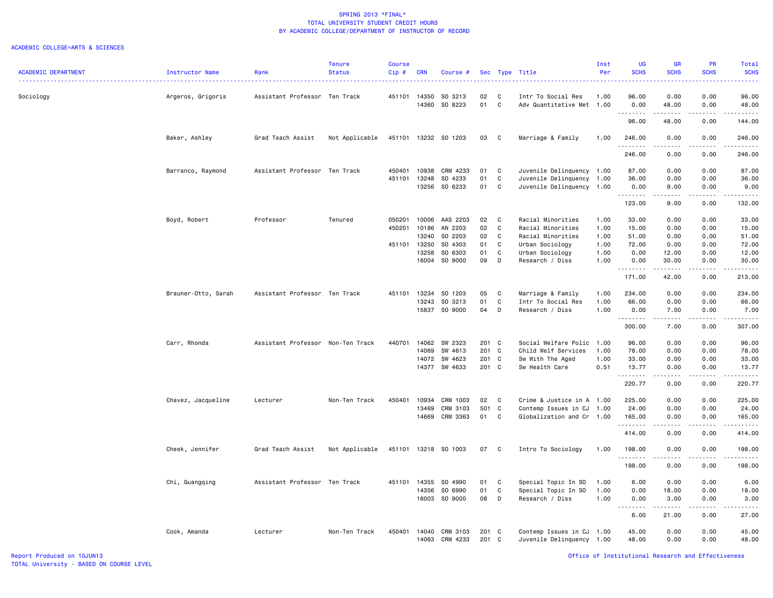|                            |                     |                                   | <b>Tenure</b>  | <b>Course</b> |                |                      |                |              |                                                        | Inst         | <b>UG</b>                        | GR            | PR                                                                                                                                | <b>Total</b>                                                                                                                                                                              |
|----------------------------|---------------------|-----------------------------------|----------------|---------------|----------------|----------------------|----------------|--------------|--------------------------------------------------------|--------------|----------------------------------|---------------|-----------------------------------------------------------------------------------------------------------------------------------|-------------------------------------------------------------------------------------------------------------------------------------------------------------------------------------------|
| <b>ACADEMIC DEPARTMENT</b> | Instructor Name     | Rank                              | <b>Status</b>  | $Cip$ #       | <b>CRN</b>     | Course #             |                | Sec Type     | Title                                                  | Per          | <b>SCHS</b>                      | <b>SCHS</b>   | <b>SCHS</b>                                                                                                                       | <b>SCHS</b><br>.                                                                                                                                                                          |
| Sociology                  | Argeros, Grigoris   | Assistant Professor Ten Track     |                | 451101 14350  |                | SO 3213              | 02             | C            | Intr To Social Res                                     | 1.00         | 96.00                            | 0.00          | 0.00                                                                                                                              | 96.00                                                                                                                                                                                     |
|                            |                     |                                   |                |               | 14360          | SO 8223              | 01             | C            | Adv Quantitative Met                                   | 1.00         | 0.00                             | 48.00         | 0.00                                                                                                                              | 48.00                                                                                                                                                                                     |
|                            |                     |                                   |                |               |                |                      |                |              |                                                        |              | .<br>96.00                       | 48.00         | $\frac{1}{2} \left( \frac{1}{2} \right) \left( \frac{1}{2} \right) \left( \frac{1}{2} \right) \left( \frac{1}{2} \right)$<br>0.00 | .<br>144.00                                                                                                                                                                               |
|                            | Baker, Ashley       | Grad Teach Assist                 | Not Applicable |               |                | 451101 13232 SO 1203 | 03             | C.           | Marriage & Family                                      | 1.00         | 246.00<br><u>.</u>               | 0.00          | 0.00                                                                                                                              | 246.00<br>.                                                                                                                                                                               |
|                            |                     |                                   |                |               |                |                      |                |              |                                                        |              | 246.00                           | 0.00          | 0.00                                                                                                                              | 246.00                                                                                                                                                                                    |
|                            | Barranco, Raymond   | Assistant Professor Ten Track     |                | 450401        | 10938          | CRM 4233             | 01             | C            | Juvenile Delinquency 1.00                              |              | 87.00                            | 0.00          | 0.00                                                                                                                              | 87.00                                                                                                                                                                                     |
|                            |                     |                                   |                | 451101        | 13248          | SO 4233              | 01             | C            | Juvenile Delinquency 1.00                              |              | 36.00                            | 0.00          | 0.00                                                                                                                              | 36.00                                                                                                                                                                                     |
|                            |                     |                                   |                |               | 13256          | SO 6233              | 01             | C            | Juvenile Delinquency 1.00                              |              | 0.00<br>. <b>.</b>               | 9.00<br>.     | 0.00<br>.                                                                                                                         | 9.00<br>.                                                                                                                                                                                 |
|                            |                     |                                   |                |               |                |                      |                |              |                                                        |              | 123.00                           | 9.00          | 0.00                                                                                                                              | 132.00                                                                                                                                                                                    |
|                            | Boyd, Robert        | Professor                         | Tenured        | 050201        | 10006          | AAS 2203             | 02             | C            | Racial Minorities                                      | 1.00         | 33.00                            | 0.00          | 0.00                                                                                                                              | 33.00                                                                                                                                                                                     |
|                            |                     |                                   |                | 450201        | 10186          | AN 2203              | 02             | C            | Racial Minorities                                      | 1.00         | 15.00                            | 0.00          | 0.00                                                                                                                              | 15.00                                                                                                                                                                                     |
|                            |                     |                                   |                |               | 13240          | SO 2203              | 02             | C            | Racial Minorities                                      | 1.00         | 51.00                            | 0.00          | 0.00                                                                                                                              | 51.00                                                                                                                                                                                     |
|                            |                     |                                   |                | 451101 13250  |                | SO 4303              | 01             | C            | Urban Sociology                                        | 1.00         | 72.00                            | 0.00          | 0.00                                                                                                                              | 72.00                                                                                                                                                                                     |
|                            |                     |                                   |                |               | 13258          | SO 6303              | 01             | C            | Urban Sociology                                        | 1.00         | 0.00                             | 12.00         | 0.00                                                                                                                              | 12.00                                                                                                                                                                                     |
|                            |                     |                                   |                |               | 16004          | SO 9000              | 09             | D            | Research / Diss                                        | 1.00         | 0.00                             | 30.00         | 0.00                                                                                                                              | 30.00                                                                                                                                                                                     |
|                            |                     |                                   |                |               |                |                      |                |              |                                                        |              | <u>.</u><br>171.00               | 42.00         | 0.00                                                                                                                              | .<br>213.00                                                                                                                                                                               |
|                            | Brauner-Otto, Sarah | Assistant Professor Ten Track     |                | 451101        | 13234          | SO 1203              | 05             | C            | Marriage & Family                                      | 1.00         | 234.00                           | 0.00          | 0.00                                                                                                                              | 234.00                                                                                                                                                                                    |
|                            |                     |                                   |                |               | 13243          | SO 3213              | 01             | C            | Intr To Social Res                                     | 1.00         | 66.00                            | 0.00          | 0.00                                                                                                                              | 66.00                                                                                                                                                                                     |
|                            |                     |                                   |                |               | 15837          | SO 9000              | 04             | D            | Research / Diss                                        | 1.00         | 0.00                             | 7.00          | 0.00                                                                                                                              | 7.00                                                                                                                                                                                      |
|                            |                     |                                   |                |               |                |                      |                |              |                                                        |              | .<br>300.00                      | .<br>7.00     | .<br>0.00                                                                                                                         | .<br>307.00                                                                                                                                                                               |
|                            | Carr, Rhonda        | Assistant Professor Non-Ten Track |                | 440701        | 14062          | SW 2323              | 201 C          |              | Social Welfare Polic                                   | 1.00         | 96.00                            | 0.00          | 0.00                                                                                                                              | 96.00                                                                                                                                                                                     |
|                            |                     |                                   |                |               | 14069          | SW 4613              | 201            | C            | Child Welf Services                                    | 1.00         | 78.00                            | 0.00          | 0.00                                                                                                                              | 78.00                                                                                                                                                                                     |
|                            |                     |                                   |                |               |                |                      |                |              |                                                        |              |                                  |               |                                                                                                                                   |                                                                                                                                                                                           |
|                            |                     |                                   |                |               | 14072          | SW 4623              | 201 C<br>201 C |              | Sw With The Aged                                       | 1.00<br>0.51 | 33.00                            | 0.00          | 0.00                                                                                                                              | 33.00                                                                                                                                                                                     |
|                            |                     |                                   |                |               |                | 14377 SW 4633        |                |              | Sw Health Care                                         |              | 13.77<br>.                       | 0.00<br>----- | 0.00<br>.                                                                                                                         | 13.77<br>.                                                                                                                                                                                |
|                            |                     |                                   |                |               |                |                      |                |              |                                                        |              | 220.77                           | 0.00          | 0.00                                                                                                                              | 220.77                                                                                                                                                                                    |
|                            | Chavez, Jacqueline  | Lecturer                          | Non-Ten Track  | 450401        | 10934          | CRM 1003             | 02             | $\mathbf c$  | Crime & Justice in A 1.00                              |              | 225.00                           | 0.00          | 0.00                                                                                                                              | 225.00                                                                                                                                                                                    |
|                            |                     |                                   |                |               | 13469          | CRM 3103             | 501            | $\mathbf{C}$ | Contemp Issues in CJ                                   | 1.00         | 24.00                            | 0.00          | 0.00                                                                                                                              | 24.00                                                                                                                                                                                     |
|                            |                     |                                   |                |               | 14669          | CRM 3363             | 01             | C            | Globalization and Cr 1.00                              |              | 165.00                           | 0.00          | 0.00                                                                                                                              | 165.00                                                                                                                                                                                    |
|                            |                     |                                   |                |               |                |                      |                |              |                                                        |              | .<br>414.00                      | 0.00          | 0.00                                                                                                                              | .<br>414.00                                                                                                                                                                               |
|                            | Cheek, Jennifer     | Grad Teach Assist                 | Not Applicable | 451101        |                | 13218 SO 1003        | 07             | C            | Intro To Sociology                                     | 1.00         | 198.00                           | 0.00          | 0.00                                                                                                                              | 198.00                                                                                                                                                                                    |
|                            |                     |                                   |                |               |                |                      |                |              |                                                        |              | .<br>198.00                      | 0.00          | 0.00                                                                                                                              | $\frac{1}{2} \left( \frac{1}{2} \right) \left( \frac{1}{2} \right) \left( \frac{1}{2} \right) \left( \frac{1}{2} \right) \left( \frac{1}{2} \right) \left( \frac{1}{2} \right)$<br>198.00 |
|                            | Chi, Guangqing      | Assistant Professor Ten Track     |                | 451101        | 14355          | SO 4990              | 01             | $\mathbb{C}$ | Special Topic In SO                                    | 1.00         | 6.00                             | 0.00          | 0.00                                                                                                                              | 6.00                                                                                                                                                                                      |
|                            |                     |                                   |                |               | 14356          | SO 6990              | 01             | C            | Special Topic In SO                                    | 1.00         | 0.00                             | 18.00         | 0.00                                                                                                                              | 18.00                                                                                                                                                                                     |
|                            |                     |                                   |                |               | 16003          | SO 9000              | 08             | D            | Research / Diss                                        | 1.00         | 0.00                             | 3.00          | 0.00                                                                                                                              | 3.00                                                                                                                                                                                      |
|                            |                     |                                   |                |               |                |                      |                |              |                                                        |              | د د د د<br>$\sim$ $\sim$<br>6.00 | .<br>21.00    | .<br>0.00                                                                                                                         | .<br>27.00                                                                                                                                                                                |
|                            |                     |                                   |                |               |                |                      |                |              |                                                        |              |                                  |               |                                                                                                                                   |                                                                                                                                                                                           |
|                            | Cook, Amanda        | Lecturer                          | Non-Ten Track  | 450401        | 14040<br>14063 | CRM 3103<br>CRM 4233 | 201 C<br>201   | C            | Contemp Issues in CJ 1.00<br>Juvenile Delinquency 1.00 |              | 45.00<br>48.00                   | 0.00<br>0.00  | 0.00<br>0.00                                                                                                                      | 45.00<br>48.00                                                                                                                                                                            |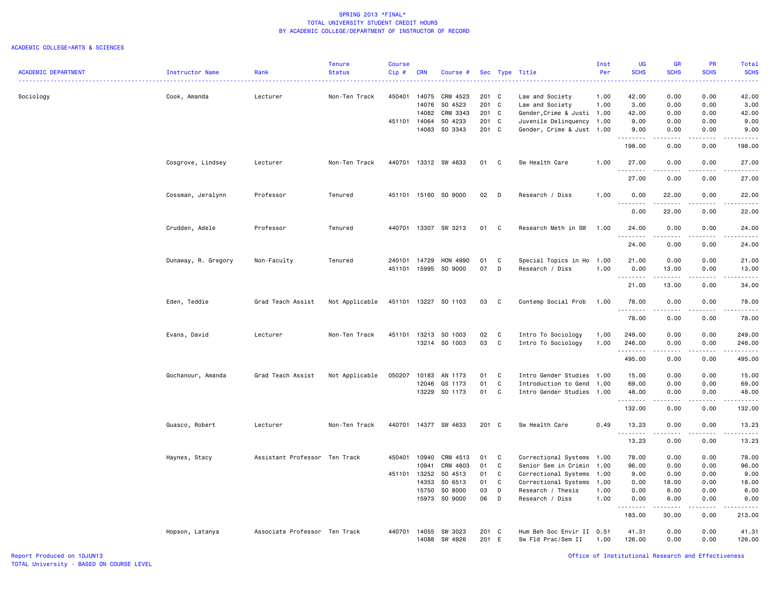|                            |                     |                               | <b>Tenure</b>  | <b>Course</b> |            |                      |       |              |                            | Inst | <b>UG</b>                         | <b>GR</b>           | PR                           | Total                                                                                                                                                                           |
|----------------------------|---------------------|-------------------------------|----------------|---------------|------------|----------------------|-------|--------------|----------------------------|------|-----------------------------------|---------------------|------------------------------|---------------------------------------------------------------------------------------------------------------------------------------------------------------------------------|
| <b>ACADEMIC DEPARTMENT</b> | Instructor Name     | Rank                          | <b>Status</b>  | Cip#          | <b>CRN</b> | Course #             |       | Sec Type     | Title                      | Per  | <b>SCHS</b>                       | <b>SCHS</b>         | <b>SCHS</b>                  | <b>SCHS</b>                                                                                                                                                                     |
| Sociology                  | Cook, Amanda        | Lecturer                      | Non-Ten Track  | 450401        | 14075      | CRM 4523             | 201 C |              | Law and Society            | 1.00 | 42.00                             | 0.00                | 0.00                         | 42.00                                                                                                                                                                           |
|                            |                     |                               |                |               | 14076      | SO 4523              | 201   | $\mathbf{C}$ | Law and Society            | 1.00 | 3.00                              | 0.00                | 0.00                         | 3.00                                                                                                                                                                            |
|                            |                     |                               |                |               | 14082      | CRM 3343             | 201 C |              | Gender, Crime & Justi 1.00 |      | 42.00                             | 0.00                | 0.00                         | 42.00                                                                                                                                                                           |
|                            |                     |                               |                | 451101 14064  |            | SO 4233              | 201 C |              |                            |      | 9.00                              | 0.00                | 0.00                         | 9.00                                                                                                                                                                            |
|                            |                     |                               |                |               |            |                      |       |              | Juvenile Delinquency 1.00  |      |                                   |                     |                              |                                                                                                                                                                                 |
|                            |                     |                               |                |               | 14083      | SO 3343              | 201 C |              | Gender, Crime & Just 1.00  |      | 9.00<br><u>.</u>                  | 0.00<br>.           | 0.00<br>$\sim$ $\sim$ $\sim$ | 9.00<br>.                                                                                                                                                                       |
|                            |                     |                               |                |               |            |                      |       |              |                            |      | 198.00                            | 0.00                | 0.00                         | 198.00                                                                                                                                                                          |
|                            | Cosgrove, Lindsey   | Lecturer                      | Non-Ten Track  | 440701        |            | 13312 SW 4633        | 01    | C            | Sw Health Care             | 1.00 | 27.00<br>.                        | 0.00<br>.           | 0.00<br>$- - - -$            | 27.00<br>.                                                                                                                                                                      |
|                            |                     |                               |                |               |            |                      |       |              |                            |      | 27.00                             | 0.00                | 0.00                         | 27.00                                                                                                                                                                           |
|                            | Cossman, Jeralynn   | Professor                     | Tenured        | 451101        | 15160      | SO 9000              | 02    | D            | Research / Diss            | 1.00 | 0.00<br>$\sim$ $\sim$ $\sim$<br>. | 22.00               | 0.00<br>$- - - -$            | 22.00<br>-----                                                                                                                                                                  |
|                            |                     |                               |                |               |            |                      |       |              |                            |      | 0.00                              | 22.00               | 0.00                         | 22.00                                                                                                                                                                           |
|                            | Crudden, Adele      | Professor                     | Tenured        | 440701        | 13307      | SW 3213              | 01    | C            | Research Meth in SW        | 1.00 | 24.00                             | 0.00                | 0.00                         | 24.00                                                                                                                                                                           |
|                            |                     |                               |                |               |            |                      |       |              |                            |      | 24.00                             | 0.00                | 0.00                         | 24,00                                                                                                                                                                           |
|                            | Dunaway, R. Gregory | Non-Faculty                   | Tenured        | 240101        | 14729      | HON 4990             | 01    | C            | Special Topics in Ho       | 1.00 | 21.00                             | 0.00                | 0.00                         | 21.00                                                                                                                                                                           |
|                            |                     |                               |                | 451101 15995  |            | SO 9000              | 07    | D            | Research / Diss            | 1.00 | 0.00<br><u>.</u>                  | 13.00<br>.          | 0.00<br>$\sim$ $\sim$ $\sim$ | 13.00<br>.                                                                                                                                                                      |
|                            |                     |                               |                |               |            |                      |       |              |                            |      | 21.00                             | 13.00               | 0.00                         | 34.00                                                                                                                                                                           |
|                            | Eden, Teddie        | Grad Teach Assist             | Not Applicable |               |            | 451101 13227 SO 1103 | 03    | C            | Contemp Social Prob        | 1.00 | 78.00<br><u>.</u>                 | 0.00<br>.           | 0.00<br>$- - - -$            | 78.00<br>.                                                                                                                                                                      |
|                            |                     |                               |                |               |            |                      |       |              |                            |      | 78.00                             | 0.00                | 0.00                         | 78.00                                                                                                                                                                           |
|                            | Evans, David        | Lecturer                      | Non-Ten Track  | 451101        | 13213      | SO 1003              | 02    | C            | Intro To Sociology         | 1.00 | 249.00                            | 0.00                | 0.00                         | 249.00                                                                                                                                                                          |
|                            |                     |                               |                |               |            | 13214 SO 1003        | 03    | C            | Intro To Sociology         | 1.00 | 246.00                            | 0.00                | 0.00                         | 246.00                                                                                                                                                                          |
|                            |                     |                               |                |               |            |                      |       |              |                            |      | .                                 | -----               | .                            | $\frac{1}{2} \left( \frac{1}{2} \right) \left( \frac{1}{2} \right) \left( \frac{1}{2} \right) \left( \frac{1}{2} \right) \left( \frac{1}{2} \right) \left( \frac{1}{2} \right)$ |
|                            |                     |                               |                |               |            |                      |       |              |                            |      | 495.00                            | 0.00                | 0.00                         | 495.00                                                                                                                                                                          |
|                            | Gochanour, Amanda   | Grad Teach Assist             | Not Applicable | 050207        | 10183      | AN 1173              | 01    | C            | Intro Gender Studies 1.00  |      | 15.00                             | 0.00                | 0.00                         | 15.00                                                                                                                                                                           |
|                            |                     |                               |                |               | 12046      | GS 1173              | 01    | C            | Introduction to Gend       | 1.00 | 69.00                             | 0.00                | 0.00                         | 69.00                                                                                                                                                                           |
|                            |                     |                               |                |               | 13229      | SO 1173              | 01    | C            | Intro Gender Studies 1.00  |      | 48.00                             | 0.00                | 0.00                         | 48.00                                                                                                                                                                           |
|                            |                     |                               |                |               |            |                      |       |              |                            |      | <u>.</u><br>132.00                | د د د د د<br>0.00   | .<br>0.00                    | <b>.</b><br>132.00                                                                                                                                                              |
|                            | Guasco, Robert      | Lecturer                      | Non-Ten Track  |               |            | 440701 14377 SW 4633 | 201 C |              | Sw Health Care             | 0.49 | 13.23                             | 0.00                | 0.00                         | 13.23                                                                                                                                                                           |
|                            |                     |                               |                |               |            |                      |       |              |                            |      | <u>.</u><br>13.23                 | $- - - - -$<br>0.00 | $- - - -$<br>0.00            | . <u>.</u><br>13.23                                                                                                                                                             |
|                            | Haynes, Stacy       | Assistant Professor Ten Track |                | 450401        | 10940      | CRM 4513             | 01    | C            | Correctional Systems       | 1.00 | 78.00                             | 0.00                | 0.00                         | 78.00                                                                                                                                                                           |
|                            |                     |                               |                |               | 10941      | CRM 4803             | 01    | C            | Senior Sem in Crimin       | 1.00 | 96.00                             | 0.00                | 0.00                         | 96.00                                                                                                                                                                           |
|                            |                     |                               |                | 451101        | 13252      | SO 4513              | 01    | C            | Correctional Systems       | 1.00 | 9.00                              | 0.00                | 0.00                         | 9.00                                                                                                                                                                            |
|                            |                     |                               |                |               | 14353      | SO 6513              | 01    | C            | Correctional Systems       | 1.00 | 0.00                              | 18.00               | 0.00                         | 18.00                                                                                                                                                                           |
|                            |                     |                               |                |               | 15750      | SO 8000              | 03    | D            | Research / Thesis          | 1.00 | 0.00                              | 6.00                | 0.00                         | 6.00                                                                                                                                                                            |
|                            |                     |                               |                |               | 15973      | SO 9000              | 06    | D            | Research / Diss            | 1.00 | 0.00                              | 6.00                | 0.00                         | 6.00                                                                                                                                                                            |
|                            |                     |                               |                |               |            |                      |       |              |                            |      | .                                 | .                   | .                            | .                                                                                                                                                                               |
|                            |                     |                               |                |               |            |                      |       |              |                            |      | 183.00                            | 30.00               | 0.00                         | 213.00                                                                                                                                                                          |
|                            | Hopson, Latanya     | Associate Professor Ten Track |                | 440701        | 14055      | SW 3023              | 201 C |              | Hum Beh Soc Envir II 0.51  |      | 41.31                             | 0.00                | 0.00                         | 41.31                                                                                                                                                                           |
|                            |                     |                               |                |               | 14088      | SW 4926              | 201 E |              | Sw Fld Prac/Sem II         | 1.00 | 126.00                            | 0.00                | 0.00                         | 126.00                                                                                                                                                                          |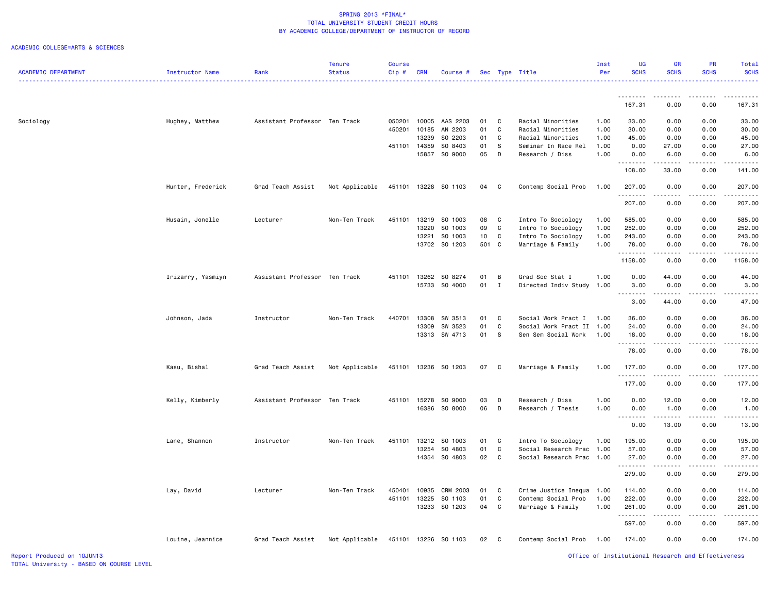|                            |                   |                               | <b>Tenure</b>  | Course |            |                      |       |              |                           | Inst | UG                                                                                                                                                                                                                                                                                                                                                                                                                                                                                     | <b>GR</b>                                                                                                                                            | <b>PR</b>     | Total                                 |
|----------------------------|-------------------|-------------------------------|----------------|--------|------------|----------------------|-------|--------------|---------------------------|------|----------------------------------------------------------------------------------------------------------------------------------------------------------------------------------------------------------------------------------------------------------------------------------------------------------------------------------------------------------------------------------------------------------------------------------------------------------------------------------------|------------------------------------------------------------------------------------------------------------------------------------------------------|---------------|---------------------------------------|
| <b>ACADEMIC DEPARTMENT</b> | Instructor Name   | Rank                          | <b>Status</b>  | Cip#   | <b>CRN</b> | Course #             |       |              | Sec Type Title            | Per  | <b>SCHS</b>                                                                                                                                                                                                                                                                                                                                                                                                                                                                            | <b>SCHS</b>                                                                                                                                          | <b>SCHS</b>   | <b>SCHS</b>                           |
|                            |                   |                               |                |        |            |                      |       |              |                           |      |                                                                                                                                                                                                                                                                                                                                                                                                                                                                                        |                                                                                                                                                      |               | .                                     |
|                            |                   |                               |                |        |            |                      |       |              |                           |      |                                                                                                                                                                                                                                                                                                                                                                                                                                                                                        |                                                                                                                                                      | .             | $\frac{1}{2}$                         |
|                            |                   |                               |                |        |            |                      |       |              |                           |      | .<br>167.31                                                                                                                                                                                                                                                                                                                                                                                                                                                                            | .<br>0.00                                                                                                                                            | 0.00          | 167.31                                |
|                            |                   |                               |                |        |            |                      |       |              |                           |      |                                                                                                                                                                                                                                                                                                                                                                                                                                                                                        |                                                                                                                                                      |               |                                       |
| Sociology                  | Hughey, Matthew   | Assistant Professor Ten Track |                | 050201 | 10005      | AAS 2203             | 01    | C            | Racial Minorities         | 1.00 | 33.00                                                                                                                                                                                                                                                                                                                                                                                                                                                                                  | 0.00                                                                                                                                                 | 0.00          | 33.00                                 |
|                            |                   |                               |                | 450201 | 10185      | AN 2203              | 01    | C            | Racial Minorities         | 1.00 | 30.00                                                                                                                                                                                                                                                                                                                                                                                                                                                                                  | 0.00                                                                                                                                                 | 0.00          | 30.00                                 |
|                            |                   |                               |                |        | 13239      | SO 2203              | 01    | C            | Racial Minorities         | 1.00 | 45.00                                                                                                                                                                                                                                                                                                                                                                                                                                                                                  | 0.00                                                                                                                                                 | 0.00          | 45.00                                 |
|                            |                   |                               |                | 451101 | 14359      | SO 8403              | 01    | S            | Seminar In Race Rel       | 1.00 | 0.00                                                                                                                                                                                                                                                                                                                                                                                                                                                                                   | 27.00                                                                                                                                                | 0.00          | 27.00                                 |
|                            |                   |                               |                |        | 15857      | SO 9000              | 05    | D            | Research / Diss           | 1.00 | 0.00                                                                                                                                                                                                                                                                                                                                                                                                                                                                                   | 6.00                                                                                                                                                 | 0.00          | 6.00                                  |
|                            |                   |                               |                |        |            |                      |       |              |                           |      | .                                                                                                                                                                                                                                                                                                                                                                                                                                                                                      |                                                                                                                                                      | $\frac{1}{2}$ | $\frac{1}{2}$                         |
|                            |                   |                               |                |        |            |                      |       |              |                           |      | 108.00                                                                                                                                                                                                                                                                                                                                                                                                                                                                                 | 33.00                                                                                                                                                | 0.00          | 141.00                                |
|                            |                   |                               |                |        |            |                      |       |              |                           |      |                                                                                                                                                                                                                                                                                                                                                                                                                                                                                        |                                                                                                                                                      |               |                                       |
|                            | Hunter, Frederick | Grad Teach Assist             | Not Applicable | 451101 |            | 13228 SO 1103        | 04    | C            | Contemp Social Prob       | 1.00 | 207.00                                                                                                                                                                                                                                                                                                                                                                                                                                                                                 | 0.00                                                                                                                                                 | 0.00          | 207.00                                |
|                            |                   |                               |                |        |            |                      |       |              |                           |      | . <b>.</b>                                                                                                                                                                                                                                                                                                                                                                                                                                                                             |                                                                                                                                                      |               | .                                     |
|                            |                   |                               |                |        |            |                      |       |              |                           |      | 207.00                                                                                                                                                                                                                                                                                                                                                                                                                                                                                 | 0.00                                                                                                                                                 | 0.00          | 207.00                                |
|                            |                   |                               |                |        |            |                      |       |              |                           |      |                                                                                                                                                                                                                                                                                                                                                                                                                                                                                        |                                                                                                                                                      |               |                                       |
|                            | Husain, Jonelle   | Lecturer                      | Non-Ten Track  | 451101 | 13219      | SO 1003              | 08    | C            | Intro To Sociology        | 1.00 | 585.00                                                                                                                                                                                                                                                                                                                                                                                                                                                                                 | 0.00                                                                                                                                                 | 0.00          | 585.00                                |
|                            |                   |                               |                |        | 13220      | SO 1003              | 09    | $\mathtt{C}$ | Intro To Sociology        | 1.00 | 252.00                                                                                                                                                                                                                                                                                                                                                                                                                                                                                 | 0.00                                                                                                                                                 | 0.00          | 252.00                                |
|                            |                   |                               |                |        | 13221      | SO 1003              | 10    | C            | Intro To Sociology        | 1.00 | 243.00                                                                                                                                                                                                                                                                                                                                                                                                                                                                                 | 0.00                                                                                                                                                 | 0.00          | 243.00                                |
|                            |                   |                               |                |        |            | 13702 SO 1203        | 501 C |              | Marriage & Family         | 1.00 | 78.00                                                                                                                                                                                                                                                                                                                                                                                                                                                                                  | 0.00                                                                                                                                                 | 0.00          | 78.00                                 |
|                            |                   |                               |                |        |            |                      |       |              |                           |      | $\begin{array}{cccccccccc} \bullet & \bullet & \bullet & \bullet & \bullet & \bullet & \bullet & \bullet & \bullet & \bullet \end{array}$                                                                                                                                                                                                                                                                                                                                              | $\frac{1}{2} \left( \frac{1}{2} \right) \left( \frac{1}{2} \right) \left( \frac{1}{2} \right) \left( \frac{1}{2} \right) \left( \frac{1}{2} \right)$ |               | .                                     |
|                            |                   |                               |                |        |            |                      |       |              |                           |      | 1158.00                                                                                                                                                                                                                                                                                                                                                                                                                                                                                | 0.00                                                                                                                                                 | 0.00          | 1158.00                               |
|                            | Irizarry, Yasmiyn | Assistant Professor Ten Track |                | 451101 | 13262      | SO 8274              | 01    | B            | Grad Soc Stat I           | 1.00 | 0.00                                                                                                                                                                                                                                                                                                                                                                                                                                                                                   | 44.00                                                                                                                                                | 0.00          | 44.00                                 |
|                            |                   |                               |                |        |            | 15733 SO 4000        | 01    | I            | Directed Indiv Study      | 1.00 | 3.00                                                                                                                                                                                                                                                                                                                                                                                                                                                                                   | 0.00                                                                                                                                                 | 0.00          | 3.00                                  |
|                            |                   |                               |                |        |            |                      |       |              |                           |      | $\sim$ $\sim$ $\sim$ $\sim$                                                                                                                                                                                                                                                                                                                                                                                                                                                            |                                                                                                                                                      |               | $\omega_{\rm c}$ and $\omega_{\rm c}$ |
|                            |                   |                               |                |        |            |                      |       |              |                           |      | 3.00                                                                                                                                                                                                                                                                                                                                                                                                                                                                                   | 44.00                                                                                                                                                | 0.00          | 47.00                                 |
|                            |                   |                               |                |        |            |                      |       |              |                           |      |                                                                                                                                                                                                                                                                                                                                                                                                                                                                                        |                                                                                                                                                      |               |                                       |
|                            | Johnson, Jada     | Instructor                    | Non-Ten Track  | 440701 | 13308      | SW 3513              | 01    | C            | Social Work Pract I       | 1.00 | 36.00                                                                                                                                                                                                                                                                                                                                                                                                                                                                                  | 0.00                                                                                                                                                 | 0.00          | 36.00                                 |
|                            |                   |                               |                |        | 13309      | SW 3523              | 01    | $\mathbf c$  | Social Work Pract II      | 1.00 | 24.00                                                                                                                                                                                                                                                                                                                                                                                                                                                                                  | 0.00                                                                                                                                                 | 0.00          | 24.00                                 |
|                            |                   |                               |                |        | 13313      | SW 4713              | 01    | s            | Sen Sem Social Work       | 1.00 | 18.00                                                                                                                                                                                                                                                                                                                                                                                                                                                                                  | 0.00                                                                                                                                                 | 0.00          | 18.00                                 |
|                            |                   |                               |                |        |            |                      |       |              |                           |      | 1.1.1.1.1.1.1                                                                                                                                                                                                                                                                                                                                                                                                                                                                          |                                                                                                                                                      |               | $\omega$ is $\omega$ in .             |
|                            |                   |                               |                |        |            |                      |       |              |                           |      | 78.00                                                                                                                                                                                                                                                                                                                                                                                                                                                                                  | 0.00                                                                                                                                                 | 0.00          | 78.00                                 |
|                            |                   |                               |                |        |            |                      |       |              |                           |      |                                                                                                                                                                                                                                                                                                                                                                                                                                                                                        |                                                                                                                                                      |               |                                       |
|                            | Kasu, Bishal      | Grad Teach Assist             | Not Applicable | 451101 |            | 13236 SO 1203        | 07    | $\mathbf{C}$ | Marriage & Family         | 1.00 | 177.00                                                                                                                                                                                                                                                                                                                                                                                                                                                                                 | 0.00                                                                                                                                                 | 0.00          | 177.00                                |
|                            |                   |                               |                |        |            |                      |       |              |                           |      | .                                                                                                                                                                                                                                                                                                                                                                                                                                                                                      |                                                                                                                                                      |               |                                       |
|                            |                   |                               |                |        |            |                      |       |              |                           |      | 177.00                                                                                                                                                                                                                                                                                                                                                                                                                                                                                 | 0.00                                                                                                                                                 | 0.00          | 177.00                                |
|                            |                   |                               |                |        |            |                      |       |              |                           |      |                                                                                                                                                                                                                                                                                                                                                                                                                                                                                        |                                                                                                                                                      |               |                                       |
|                            | Kelly, Kimberly   | Assistant Professor Ten Track |                | 451101 | 15278      | SO 9000              | 03    | D            | Research / Diss           | 1.00 | 0.00                                                                                                                                                                                                                                                                                                                                                                                                                                                                                   | 12.00                                                                                                                                                | 0.00          | 12.00                                 |
|                            |                   |                               |                |        | 16386      | SO 8000              | 06    | D            | Research / Thesis         | 1.00 | 0.00                                                                                                                                                                                                                                                                                                                                                                                                                                                                                   | 1.00                                                                                                                                                 | 0.00<br>.     | 1.00                                  |
|                            |                   |                               |                |        |            |                      |       |              |                           |      | $\begin{array}{cccccccccccccc} \multicolumn{2}{c}{} & \multicolumn{2}{c}{} & \multicolumn{2}{c}{} & \multicolumn{2}{c}{} & \multicolumn{2}{c}{} & \multicolumn{2}{c}{} & \multicolumn{2}{c}{} & \multicolumn{2}{c}{} & \multicolumn{2}{c}{} & \multicolumn{2}{c}{} & \multicolumn{2}{c}{} & \multicolumn{2}{c}{} & \multicolumn{2}{c}{} & \multicolumn{2}{c}{} & \multicolumn{2}{c}{} & \multicolumn{2}{c}{} & \multicolumn{2}{c}{} & \multicolumn{2}{c}{} & \multicolumn{2}{c}{} & \$ | .<br>13.00                                                                                                                                           | 0.00          | .                                     |
|                            |                   |                               |                |        |            |                      |       |              |                           |      | 0.00                                                                                                                                                                                                                                                                                                                                                                                                                                                                                   |                                                                                                                                                      |               | 13.00                                 |
|                            | Lane, Shannon     | Instructor                    | Non-Ten Track  | 451101 | 13212      | SO 1003              | 01    | C            | Intro To Sociology        | 1.00 | 195.00                                                                                                                                                                                                                                                                                                                                                                                                                                                                                 | 0.00                                                                                                                                                 | 0.00          | 195.00                                |
|                            |                   |                               |                |        | 13254      | SO 4803              | 01    | C            | Social Research Prac 1.00 |      | 57.00                                                                                                                                                                                                                                                                                                                                                                                                                                                                                  | 0.00                                                                                                                                                 | 0.00          | 57.00                                 |
|                            |                   |                               |                |        |            | 14354 SO 4803        | 02    | $\mathbf{C}$ | Social Research Prac 1.00 |      | 27.00                                                                                                                                                                                                                                                                                                                                                                                                                                                                                  | 0.00                                                                                                                                                 | 0.00          | 27.00                                 |
|                            |                   |                               |                |        |            |                      |       |              |                           |      | .                                                                                                                                                                                                                                                                                                                                                                                                                                                                                      | .                                                                                                                                                    | .             | .                                     |
|                            |                   |                               |                |        |            |                      |       |              |                           |      | 279.00                                                                                                                                                                                                                                                                                                                                                                                                                                                                                 | 0.00                                                                                                                                                 | 0.00          | 279.00                                |
|                            |                   |                               |                |        |            |                      |       |              |                           |      |                                                                                                                                                                                                                                                                                                                                                                                                                                                                                        |                                                                                                                                                      |               |                                       |
|                            | Lay, David        | Lecturer                      | Non-Ten Track  | 450401 | 10935      | CRM 2003             | 01    | C            | Crime Justice Inequa 1.00 |      | 114.00                                                                                                                                                                                                                                                                                                                                                                                                                                                                                 | 0.00                                                                                                                                                 | 0.00          | 114.00                                |
|                            |                   |                               |                | 451101 | 13225      | SO 1103              | 01    | C            | Contemp Social Prob       | 1.00 | 222.00                                                                                                                                                                                                                                                                                                                                                                                                                                                                                 | 0.00                                                                                                                                                 | 0.00          | 222.00                                |
|                            |                   |                               |                |        | 13233      | SO 1203              | 04    | C            | Marriage & Family         | 1.00 | 261.00                                                                                                                                                                                                                                                                                                                                                                                                                                                                                 | 0.00                                                                                                                                                 | 0.00          | 261.00                                |
|                            |                   |                               |                |        |            |                      |       |              |                           |      | .                                                                                                                                                                                                                                                                                                                                                                                                                                                                                      |                                                                                                                                                      |               | .                                     |
|                            |                   |                               |                |        |            |                      |       |              |                           |      | 597.00                                                                                                                                                                                                                                                                                                                                                                                                                                                                                 | 0.00                                                                                                                                                 | 0.00          | 597.00                                |
|                            |                   |                               |                |        |            |                      |       |              |                           |      |                                                                                                                                                                                                                                                                                                                                                                                                                                                                                        |                                                                                                                                                      |               |                                       |
|                            | Louine, Jeannice  | Grad Teach Assist             | Not Applicable |        |            | 451101 13226 SO 1103 | 02    | $\mathbf{C}$ | Contemp Social Prob       | 1.00 | 174.00                                                                                                                                                                                                                                                                                                                                                                                                                                                                                 | 0.00                                                                                                                                                 | 0.00          | 174.00                                |
|                            |                   |                               |                |        |            |                      |       |              |                           |      |                                                                                                                                                                                                                                                                                                                                                                                                                                                                                        |                                                                                                                                                      |               |                                       |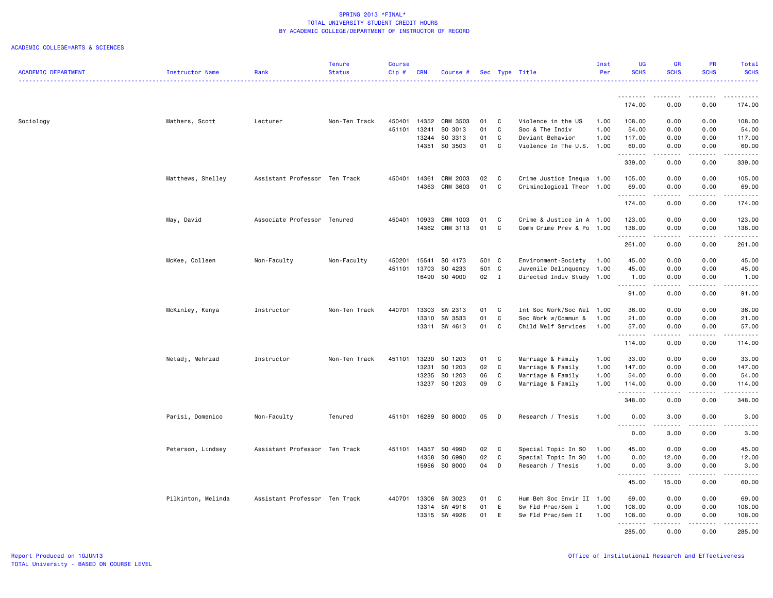|                            |                    |                               | <b>Tenure</b> | <b>Course</b>    |                |                    |                |              |                                                  | Inst | UG                   | <b>GR</b>                                                                                                                                                    | <b>PR</b>        | Total                     |
|----------------------------|--------------------|-------------------------------|---------------|------------------|----------------|--------------------|----------------|--------------|--------------------------------------------------|------|----------------------|--------------------------------------------------------------------------------------------------------------------------------------------------------------|------------------|---------------------------|
| <b>ACADEMIC DEPARTMENT</b> | Instructor Name    | Rank                          | <b>Status</b> | $Cip \#$         | <b>CRN</b>     | Course #           |                |              | Sec Type Title                                   | Per  | <b>SCHS</b>          | <b>SCHS</b>                                                                                                                                                  | <b>SCHS</b>      | <b>SCHS</b><br>.          |
|                            |                    |                               |               |                  |                |                    |                |              |                                                  |      |                      |                                                                                                                                                              |                  |                           |
|                            |                    |                               |               |                  |                |                    |                |              |                                                  |      | ---------<br>174.00  | --------<br>0.00                                                                                                                                             | -----<br>0.00    | 174.00                    |
| Sociology                  | Mathers, Scott     | Lecturer                      | Non-Ten Track | 450401           | 14352          | CRM 3503           | 01             | C            | Violence in the US                               | 1.00 | 108.00               | 0.00                                                                                                                                                         | 0.00             | 108.00                    |
|                            |                    |                               |               | 451101           | 13241          | SO 3013            | 01             | C            | Soc & The Indiv                                  | 1.00 | 54.00                | 0.00                                                                                                                                                         | 0.00             | 54.00                     |
|                            |                    |                               |               |                  | 13244          | SO 3313            | 01             | C            | Deviant Behavior                                 | 1.00 | 117.00               | 0.00                                                                                                                                                         | 0.00             | 117.00                    |
|                            |                    |                               |               |                  |                | 14351 SO 3503      | 01             | C            | Violence In The U.S. 1.00                        |      | 60.00                | 0.00                                                                                                                                                         | 0.00             | 60.00                     |
|                            |                    |                               |               |                  |                |                    |                |              |                                                  |      | .<br>339.00          | .<br>0.00                                                                                                                                                    | .<br>0.00        | $- - - - - - -$<br>339.00 |
|                            | Matthews, Shelley  | Assistant Professor Ten Track |               | 450401           | 14361          | <b>CRM 2003</b>    | 02             | C            | Crime Justice Inequa 1.00                        |      | 105.00               | 0.00                                                                                                                                                         | 0.00             | 105.00                    |
|                            |                    |                               |               |                  | 14363          | CRM 3603           | 01             | C            | Criminological Theor 1.00                        |      | 69.00                | 0.00                                                                                                                                                         | 0.00             | 69.00                     |
|                            |                    |                               |               |                  |                |                    |                |              |                                                  |      | . <b>.</b>           |                                                                                                                                                              | $\frac{1}{2}$    | ------                    |
|                            |                    |                               |               |                  |                |                    |                |              |                                                  |      | 174.00               | 0.00                                                                                                                                                         | 0.00             | 174.00                    |
|                            | May, David         | Associate Professor Tenured   |               | 450401           | 10933          | CRM 1003           | 01             | C            | Crime & Justice in A 1.00                        |      | 123.00               | 0.00                                                                                                                                                         | 0.00             | 123.00                    |
|                            |                    |                               |               |                  |                | 14362 CRM 3113     | 01             | C            | Comm Crime Prev & Po 1.00                        |      | 138.00               | 0.00                                                                                                                                                         | 0.00             | 138.00                    |
|                            |                    |                               |               |                  |                |                    |                |              |                                                  |      | .<br>261.00          | .<br>0.00                                                                                                                                                    | .<br>0.00        | .<br>261.00               |
|                            |                    |                               |               |                  |                |                    |                |              |                                                  |      |                      |                                                                                                                                                              |                  |                           |
|                            | McKee, Colleen     | Non-Faculty                   | Non-Faculty   | 450201<br>451101 | 15541<br>13703 | SO 4173<br>SO 4233 | 501 C<br>501 C |              | Environment-Society<br>Juvenile Delinquency 1.00 | 1.00 | 45.00<br>45.00       | 0.00<br>0.00                                                                                                                                                 | 0.00<br>0.00     | 45.00<br>45.00            |
|                            |                    |                               |               |                  | 16490          | SO 4000            | 02 I           |              | Directed Indiv Study 1.00                        |      | 1.00                 | 0.00                                                                                                                                                         | 0.00             | 1.00                      |
|                            |                    |                               |               |                  |                |                    |                |              |                                                  |      | . <b>.</b>           | $\frac{1}{2}$                                                                                                                                                | .                | .                         |
|                            |                    |                               |               |                  |                |                    |                |              |                                                  |      | 91.00                | 0.00                                                                                                                                                         | 0.00             | 91.00                     |
|                            | McKinley, Kenya    | Instructor                    | Non-Ten Track | 440701           | 13303          | SW 2313            | 01             | $\mathbf{C}$ | Int Soc Work/Soc Wel 1.00                        |      | 36.00                | 0.00                                                                                                                                                         | 0.00             | 36.00                     |
|                            |                    |                               |               |                  | 13310          | SW 3533            | 01             | $\mathbf{C}$ | Soc Work w/Commun &                              | 1.00 | 21.00                | 0.00                                                                                                                                                         | 0.00             | 21.00                     |
|                            |                    |                               |               |                  | 13311          | SW 4613            | 01             | C            | Child Welf Services                              | 1.00 | 57.00                | 0.00                                                                                                                                                         | 0.00             | 57.00                     |
|                            |                    |                               |               |                  |                |                    |                |              |                                                  |      | .<br>114.00          | .<br>0.00                                                                                                                                                    | 0.00             | .<br>114.00               |
|                            | Netadj, Mehrzad    | Instructor                    | Non-Ten Track | 451101           | 13230          | SO 1203            | 01             | C            | Marriage & Family                                | 1.00 | 33.00                | 0.00                                                                                                                                                         | 0.00             | 33.00                     |
|                            |                    |                               |               |                  | 13231          | SO 1203            | 02             | C            | Marriage & Family                                | 1.00 | 147.00               | 0.00                                                                                                                                                         | 0.00             | 147.00                    |
|                            |                    |                               |               |                  | 13235          | SO 1203            | 06             | C            | Marriage & Family                                | 1.00 | 54.00                | 0.00                                                                                                                                                         | 0.00             | 54.00                     |
|                            |                    |                               |               |                  |                | 13237 SO 1203      | 09             | C            | Marriage & Family                                | 1.00 | 114.00               | 0.00                                                                                                                                                         | 0.00             | 114.00                    |
|                            |                    |                               |               |                  |                |                    |                |              |                                                  |      | .<br>348.00          | $\frac{1}{2} \left( \frac{1}{2} \right) \left( \frac{1}{2} \right) \left( \frac{1}{2} \right) \left( \frac{1}{2} \right) \left( \frac{1}{2} \right)$<br>0.00 | .<br>0.00        | .<br>348.00               |
|                            | Parisi, Domenico   | Non-Faculty                   | Tenured       | 451101           |                | 16289 SO 8000      | 05             | D            | Research / Thesis                                | 1.00 | 0.00                 | 3.00                                                                                                                                                         | 0.00             | 3.00                      |
|                            |                    |                               |               |                  |                |                    |                |              |                                                  |      | $\sim$ $\sim$ $\sim$ |                                                                                                                                                              |                  |                           |
|                            |                    |                               |               |                  |                |                    |                |              |                                                  |      | 0.00                 | 3.00                                                                                                                                                         | 0.00             | 3.00                      |
|                            | Peterson, Lindsey  | Assistant Professor Ten Track |               |                  | 451101 14357   | SO 4990            | 02             | $\mathbf{C}$ | Special Topic In SO                              | 1.00 | 45.00                | 0.00                                                                                                                                                         | 0.00             | 45.00                     |
|                            |                    |                               |               |                  | 14358          | SO 6990            | 02             | C            | Special Topic In SO                              | 1.00 | 0.00                 | 12.00                                                                                                                                                        | 0.00             | 12.00                     |
|                            |                    |                               |               |                  | 15956          | SO 8000            | 04             | D            | Research / Thesis                                | 1.00 | 0.00                 | 3.00<br>.                                                                                                                                                    | 0.00<br>.        | 3.00<br>.                 |
|                            |                    |                               |               |                  |                |                    |                |              |                                                  |      | 45.00                | 15.00                                                                                                                                                        | 0.00             | 60.00                     |
|                            | Pilkinton, Melinda | Assistant Professor Ten Track |               | 440701           | 13306          | SW 3023            | 01             | C            | Hum Beh Soc Envir II 1.00                        |      | 69.00                | 0.00                                                                                                                                                         | 0.00             | 69.00                     |
|                            |                    |                               |               |                  | 13314          | SW 4916            | 01             | E            | Sw Fld Prac/Sem I                                | 1.00 | 108.00               | 0.00                                                                                                                                                         | 0.00             | 108.00                    |
|                            |                    |                               |               |                  | 13315          | SW 4926            | 01             | E            | Sw Fld Prac/Sem II                               | 1.00 | 108.00               | 0.00                                                                                                                                                         | 0.00             | 108.00                    |
|                            |                    |                               |               |                  |                |                    |                |              |                                                  |      | <u>.</u><br>285.00   | <u>.</u><br>0.00                                                                                                                                             | <u>.</u><br>0.00 | .<br>285.00               |
|                            |                    |                               |               |                  |                |                    |                |              |                                                  |      |                      |                                                                                                                                                              |                  |                           |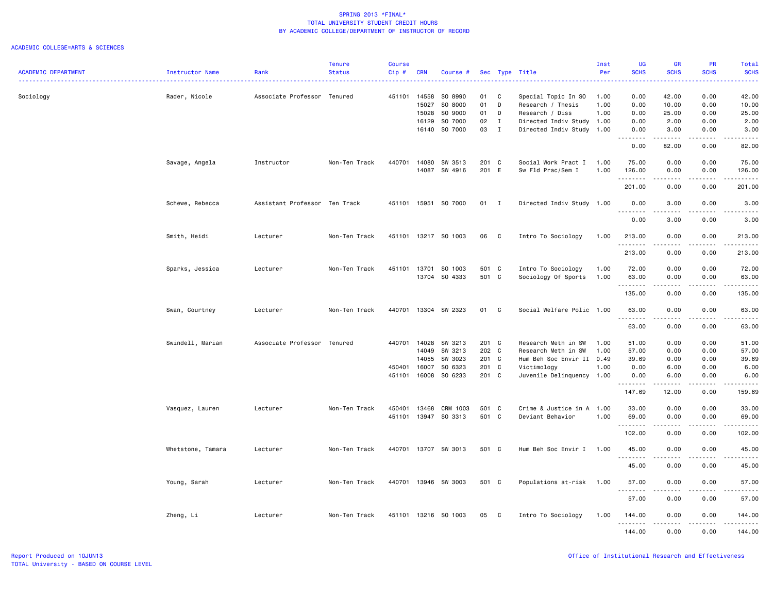|                            |                   |                               | <b>Tenure</b> | Course       |            |                      |       |              |                           | Inst | UG                                                                                                                                                                                                                                                                                                                                                                                                                                                                                     | GR                                                                                             | PR                 | Total                                      |
|----------------------------|-------------------|-------------------------------|---------------|--------------|------------|----------------------|-------|--------------|---------------------------|------|----------------------------------------------------------------------------------------------------------------------------------------------------------------------------------------------------------------------------------------------------------------------------------------------------------------------------------------------------------------------------------------------------------------------------------------------------------------------------------------|------------------------------------------------------------------------------------------------|--------------------|--------------------------------------------|
| <b>ACADEMIC DEPARTMENT</b> | Instructor Name   | Rank                          | <b>Status</b> | Cip#         | <b>CRN</b> | Course #             |       |              | Sec Type Title            | Per  | <b>SCHS</b><br>$\Delta \Delta \Delta \Delta \Delta$                                                                                                                                                                                                                                                                                                                                                                                                                                    | <b>SCHS</b>                                                                                    | <b>SCHS</b>        | <b>SCHS</b>                                |
|                            |                   |                               |               |              |            |                      |       |              |                           |      |                                                                                                                                                                                                                                                                                                                                                                                                                                                                                        |                                                                                                |                    |                                            |
| Sociology                  | Rader, Nicole     | Associate Professor Tenured   |               | 451101 14558 |            | SO 8990              | 01    | C            | Special Topic In SO       | 1.00 | 0.00                                                                                                                                                                                                                                                                                                                                                                                                                                                                                   | 42.00                                                                                          | 0.00               | 42.00                                      |
|                            |                   |                               |               |              | 15027      | SO 8000              | 01    | D            | Research / Thesis         | 1.00 | 0.00                                                                                                                                                                                                                                                                                                                                                                                                                                                                                   | 10.00                                                                                          | 0.00               | 10.00                                      |
|                            |                   |                               |               |              | 15028      | SO 9000              | 01    | D            | Research / Diss           | 1.00 | 0.00                                                                                                                                                                                                                                                                                                                                                                                                                                                                                   | 25.00                                                                                          | 0.00               | 25.00                                      |
|                            |                   |                               |               |              | 16129      | SO 7000              | 02    | $\mathbf{I}$ | Directed Indiv Study 1.00 |      | 0.00                                                                                                                                                                                                                                                                                                                                                                                                                                                                                   | 2.00                                                                                           | 0.00               | 2.00                                       |
|                            |                   |                               |               |              |            | 16140 SO 7000        | 03    | $\mathbf{I}$ | Directed Indiv Study 1.00 |      | 0.00<br>$\sim$ $\sim$ $\sim$<br>-----                                                                                                                                                                                                                                                                                                                                                                                                                                                  | 3.00<br>.                                                                                      | 0.00<br>. <b>.</b> | 3.00<br>.                                  |
|                            |                   |                               |               |              |            |                      |       |              |                           |      | 0.00                                                                                                                                                                                                                                                                                                                                                                                                                                                                                   | 82.00                                                                                          | 0.00               | 82.00                                      |
|                            | Savage, Angela    | Instructor                    | Non-Ten Track | 440701       | 14080      | SW 3513              | 201 C |              | Social Work Pract I       | 1.00 | 75.00                                                                                                                                                                                                                                                                                                                                                                                                                                                                                  | 0.00                                                                                           | 0.00               | 75.00                                      |
|                            |                   |                               |               |              | 14087      | SW 4916              | 201 E |              | Sw Fld Prac/Sem I         | 1.00 | 126.00                                                                                                                                                                                                                                                                                                                                                                                                                                                                                 | 0.00                                                                                           | 0.00               | 126.00                                     |
|                            |                   |                               |               |              |            |                      |       |              |                           |      | .                                                                                                                                                                                                                                                                                                                                                                                                                                                                                      | .                                                                                              | .                  | .                                          |
|                            |                   |                               |               |              |            |                      |       |              |                           |      | 201.00                                                                                                                                                                                                                                                                                                                                                                                                                                                                                 | 0.00                                                                                           | 0.00               | 201.00                                     |
|                            | Schewe, Rebecca   | Assistant Professor Ten Track |               | 451101       | 15951      | SO 7000              | 01    | $\mathbf{I}$ | Directed Indiv Study 1.00 |      | 0.00<br>1.1.1.1.1.1.1                                                                                                                                                                                                                                                                                                                                                                                                                                                                  | 3.00<br>2.2.2.2.2                                                                              | 0.00<br>.          | 3.00<br>$\sim$ $\sim$ $\sim$ $\sim$ $\sim$ |
|                            |                   |                               |               |              |            |                      |       |              |                           |      | 0.00                                                                                                                                                                                                                                                                                                                                                                                                                                                                                   | 3.00                                                                                           | 0.00               | 3.00                                       |
|                            |                   |                               |               | 451101       |            | 13217 SO 1003        | 06    | C            | Intro To Sociology        | 1.00 |                                                                                                                                                                                                                                                                                                                                                                                                                                                                                        | 0.00                                                                                           | 0.00               |                                            |
|                            | Smith, Heidi      | Lecturer                      | Non-Ten Track |              |            |                      |       |              |                           |      | 213.00<br>. <b>.</b>                                                                                                                                                                                                                                                                                                                                                                                                                                                                   | $\frac{1}{2} \left( \frac{1}{2} \right) \left( \frac{1}{2} \right) \left( \frac{1}{2} \right)$ | $   -$             | 213.00<br><u>.</u>                         |
|                            |                   |                               |               |              |            |                      |       |              |                           |      | 213.00                                                                                                                                                                                                                                                                                                                                                                                                                                                                                 | 0.00                                                                                           | 0.00               | 213.00                                     |
|                            | Sparks, Jessica   | Lecturer                      | Non-Ten Track | 451101       | 13701      | SO 1003              | 501 C |              | Intro To Sociology        | 1.00 | 72.00                                                                                                                                                                                                                                                                                                                                                                                                                                                                                  | 0.00                                                                                           | 0.00               | 72.00                                      |
|                            |                   |                               |               |              |            | 13704 SO 4333        | 501 C |              | Sociology Of Sports       | 1.00 | 63.00                                                                                                                                                                                                                                                                                                                                                                                                                                                                                  | 0.00                                                                                           | 0.00               | 63.00                                      |
|                            |                   |                               |               |              |            |                      |       |              |                           |      | .                                                                                                                                                                                                                                                                                                                                                                                                                                                                                      | $\frac{1}{2}$                                                                                  | $\frac{1}{2}$      | .                                          |
|                            |                   |                               |               |              |            |                      |       |              |                           |      | 135.00                                                                                                                                                                                                                                                                                                                                                                                                                                                                                 | 0.00                                                                                           | 0.00               | 135.00                                     |
|                            | Swan, Courtney    | Lecturer                      | Non-Ten Track |              |            | 440701 13304 SW 2323 | 01    | $\mathbf{C}$ | Social Welfare Polic 1.00 |      | 63.00                                                                                                                                                                                                                                                                                                                                                                                                                                                                                  | 0.00                                                                                           | 0.00               | 63.00                                      |
|                            |                   |                               |               |              |            |                      |       |              |                           |      | <u>.</u>                                                                                                                                                                                                                                                                                                                                                                                                                                                                               | .                                                                                              | .                  | .                                          |
|                            |                   |                               |               |              |            |                      |       |              |                           |      | 63.00                                                                                                                                                                                                                                                                                                                                                                                                                                                                                  | 0.00                                                                                           | 0.00               | 63.00                                      |
|                            | Swindell, Marian  | Associate Professor           | Tenured       | 440701       | 14028      | SW 3213              | 201 C |              | Research Meth in SW       | 1.00 | 51.00                                                                                                                                                                                                                                                                                                                                                                                                                                                                                  | 0.00                                                                                           | 0.00               | 51.00                                      |
|                            |                   |                               |               |              | 14049      | SW 3213              | 202 C |              | Research Meth in SW       | 1.00 | 57.00                                                                                                                                                                                                                                                                                                                                                                                                                                                                                  | 0.00                                                                                           | 0.00               | 57.00                                      |
|                            |                   |                               |               |              | 14055      | SW 3023              | 201 C |              | Hum Beh Soc Envir II 0.49 |      | 39.69                                                                                                                                                                                                                                                                                                                                                                                                                                                                                  | 0.00                                                                                           | 0.00               | 39.69                                      |
|                            |                   |                               |               | 450401       | 16007      | SO 6323              | 201 C |              | Victimology               | 1.00 | 0.00                                                                                                                                                                                                                                                                                                                                                                                                                                                                                   | 6.00                                                                                           | 0.00               | 6.00                                       |
|                            |                   |                               |               |              |            |                      |       |              |                           |      |                                                                                                                                                                                                                                                                                                                                                                                                                                                                                        |                                                                                                |                    |                                            |
|                            |                   |                               |               | 451101       | 16008      | SO 6233              | 201 C |              | Juvenile Delinquency      | 1.00 | 0.00<br>.                                                                                                                                                                                                                                                                                                                                                                                                                                                                              | 6.00                                                                                           | 0.00               | 6.00<br>.                                  |
|                            |                   |                               |               |              |            |                      |       |              |                           |      | 147.69                                                                                                                                                                                                                                                                                                                                                                                                                                                                                 | 12.00                                                                                          | 0.00               | 159.69                                     |
|                            | Vasquez, Lauren   | Lecturer                      | Non-Ten Track | 450401       | 13468      | CRM 1003             | 501 C |              | Crime & Justice in A 1.00 |      | 33.00                                                                                                                                                                                                                                                                                                                                                                                                                                                                                  | 0.00                                                                                           | 0.00               | 33.00                                      |
|                            |                   |                               |               |              |            | 451101 13947 SO 3313 | 501 C |              | Deviant Behavior          | 1.00 | 69.00                                                                                                                                                                                                                                                                                                                                                                                                                                                                                  | 0.00                                                                                           | 0.00               | 69.00                                      |
|                            |                   |                               |               |              |            |                      |       |              |                           |      |                                                                                                                                                                                                                                                                                                                                                                                                                                                                                        | ----                                                                                           |                    | $\sim$ $\sim$ $\sim$ $\sim$                |
|                            |                   |                               |               |              |            |                      |       |              |                           |      | 102.00                                                                                                                                                                                                                                                                                                                                                                                                                                                                                 | 0.00                                                                                           | 0.00               | 102.00                                     |
|                            | Whetstone, Tamara | Lecturer                      | Non-Ten Track |              |            | 440701 13707 SW 3013 | 501 C |              | Hum Beh Soc Envir I       | 1.00 | 45.00                                                                                                                                                                                                                                                                                                                                                                                                                                                                                  | 0.00                                                                                           | 0.00               | 45.00                                      |
|                            |                   |                               |               |              |            |                      |       |              |                           |      | $\begin{array}{cccccccccccccc} \multicolumn{2}{c}{} & \multicolumn{2}{c}{} & \multicolumn{2}{c}{} & \multicolumn{2}{c}{} & \multicolumn{2}{c}{} & \multicolumn{2}{c}{} & \multicolumn{2}{c}{} & \multicolumn{2}{c}{} & \multicolumn{2}{c}{} & \multicolumn{2}{c}{} & \multicolumn{2}{c}{} & \multicolumn{2}{c}{} & \multicolumn{2}{c}{} & \multicolumn{2}{c}{} & \multicolumn{2}{c}{} & \multicolumn{2}{c}{} & \multicolumn{2}{c}{} & \multicolumn{2}{c}{} & \multicolumn{2}{c}{} & \$ | .                                                                                              | .                  | .                                          |
|                            |                   |                               |               |              |            |                      |       |              |                           |      | 45.00                                                                                                                                                                                                                                                                                                                                                                                                                                                                                  | 0.00                                                                                           | 0.00               | 45.00                                      |
|                            | Young, Sarah      | Lecturer                      | Non-Ten Track | 440701       |            | 13946 SW 3003        | 501 C |              | Populations at-risk       | 1.00 | 57.00                                                                                                                                                                                                                                                                                                                                                                                                                                                                                  | 0.00                                                                                           | 0.00               | 57.00                                      |
|                            |                   |                               |               |              |            |                      |       |              |                           |      | <u>.</u>                                                                                                                                                                                                                                                                                                                                                                                                                                                                               | $\frac{1}{2}$                                                                                  | .                  | . <u>.</u> .                               |
|                            |                   |                               |               |              |            |                      |       |              |                           |      | 57.00                                                                                                                                                                                                                                                                                                                                                                                                                                                                                  | 0.00                                                                                           | 0.00               | 57.00                                      |
|                            | Zheng, Li         | Lecturer                      | Non-Ten Track |              |            | 451101 13216 SO 1003 | 05    | C            | Intro To Sociology        | 1.00 | 144.00                                                                                                                                                                                                                                                                                                                                                                                                                                                                                 | 0.00                                                                                           | 0.00               | 144.00                                     |
|                            |                   |                               |               |              |            |                      |       |              |                           |      | 144.00                                                                                                                                                                                                                                                                                                                                                                                                                                                                                 | <b></b><br>0.00                                                                                | .<br>0.00          | .<br>144.00                                |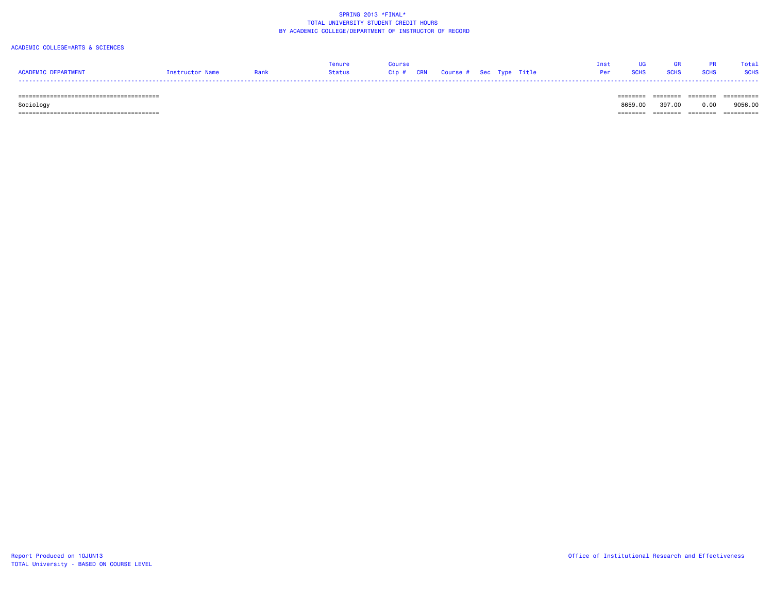#### ACADEMIC COLLEGE=ARTS & SCIENCES

| <b>ACADEMIC DEPARTMENT</b>                    | Instructor Name | Rank | Tenure<br><b>Status</b> | Course<br>Cip#<br><b>CRN</b> | Course # Sec Type Title |  | Inst<br>Per | <b>SCHS</b> | <b>GR</b><br><b>SCHS</b> | <b>SCHS</b> | Total<br><b>SCHS</b> |
|-----------------------------------------------|-----------------|------|-------------------------|------------------------------|-------------------------|--|-------------|-------------|--------------------------|-------------|----------------------|
| -------<br>================================== |                 |      |                         |                              |                         |  |             |             |                          |             | . <u>.</u>           |
|                                               |                 |      |                         |                              |                         |  |             | 8659.00     | 397.00                   | 0.00        | 9056.00              |
| Sociology                                     |                 |      |                         |                              |                         |  |             |             |                          |             |                      |

======================================== ======== ======== ======== ==========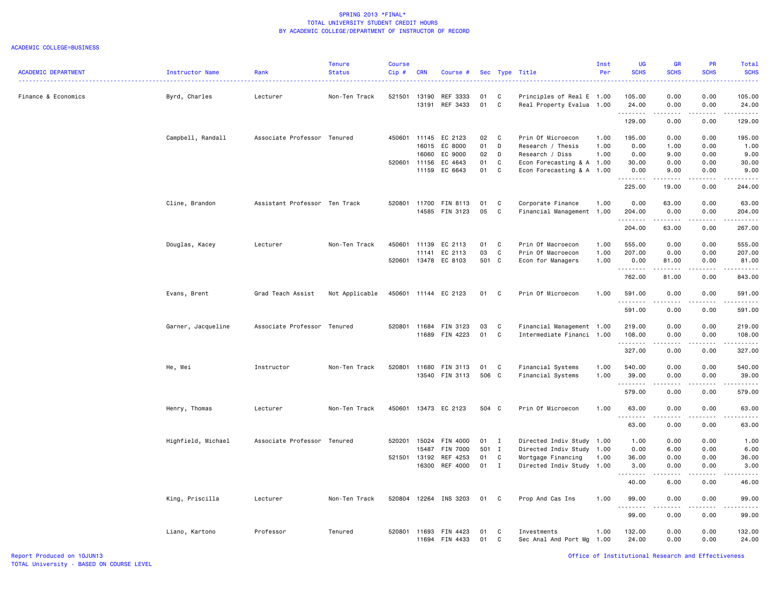| <b>ACADEMIC DEPARTMENT</b> | Instructor Name    | Rank                          | <b>Tenure</b><br><b>Status</b> | Course<br>$Cip$ # | <b>CRN</b> | Course #              |       |              | Sec Type Title            | Inst<br>Per | <b>UG</b><br><b>SCHS</b> | <b>GR</b><br><b>SCHS</b>                                                                                                                                                                                                                                                                                                                     | PR<br><b>SCHS</b>       | Total<br><b>SCHS</b>                                                                                                                                                                      |
|----------------------------|--------------------|-------------------------------|--------------------------------|-------------------|------------|-----------------------|-------|--------------|---------------------------|-------------|--------------------------|----------------------------------------------------------------------------------------------------------------------------------------------------------------------------------------------------------------------------------------------------------------------------------------------------------------------------------------------|-------------------------|-------------------------------------------------------------------------------------------------------------------------------------------------------------------------------------------|
|                            |                    |                               |                                |                   |            |                       |       |              |                           |             |                          |                                                                                                                                                                                                                                                                                                                                              |                         |                                                                                                                                                                                           |
| Finance & Economics        | Byrd, Charles      | Lecturer                      | Non-Ten Track                  | 521501            | 13190      | REF 3333              | 01    | C            | Principles of Real E 1.00 |             | 105.00                   | 0.00                                                                                                                                                                                                                                                                                                                                         | 0.00                    | 105.00                                                                                                                                                                                    |
|                            |                    |                               |                                |                   | 13191      | REF 3433              | 01    | C            | Real Property Evalua 1.00 |             | 24.00<br>.               | 0.00<br>$\frac{1}{2} \left( \begin{array}{ccc} 1 & 0 & 0 & 0 \\ 0 & 0 & 0 & 0 \\ 0 & 0 & 0 & 0 \\ 0 & 0 & 0 & 0 \\ 0 & 0 & 0 & 0 \\ 0 & 0 & 0 & 0 \\ 0 & 0 & 0 & 0 \\ 0 & 0 & 0 & 0 \\ 0 & 0 & 0 & 0 \\ 0 & 0 & 0 & 0 \\ 0 & 0 & 0 & 0 & 0 \\ 0 & 0 & 0 & 0 & 0 \\ 0 & 0 & 0 & 0 & 0 \\ 0 & 0 & 0 & 0 & 0 \\ 0 & 0 & 0 & 0 & 0 \\ 0 & 0 & 0$ | 0.00<br>.               | 24.00<br>.                                                                                                                                                                                |
|                            |                    |                               |                                |                   |            |                       |       |              |                           |             | 129.00                   | 0.00                                                                                                                                                                                                                                                                                                                                         | 0.00                    | 129.00                                                                                                                                                                                    |
|                            | Campbell, Randall  | Associate Professor Tenured   |                                | 450601            | 11145      | EC 2123               | 02    | C            | Prin Of Microecon         | 1.00        | 195.00                   | 0.00                                                                                                                                                                                                                                                                                                                                         | 0.00                    | 195.00                                                                                                                                                                                    |
|                            |                    |                               |                                |                   | 16015      | EC 8000               | 01    | D            | Research / Thesis         | 1.00        | 0.00                     | 1.00                                                                                                                                                                                                                                                                                                                                         | 0.00                    | 1.00                                                                                                                                                                                      |
|                            |                    |                               |                                |                   | 16060      | EC 9000               | 02    | D            | Research / Diss           | 1.00        | 0.00                     | 9.00                                                                                                                                                                                                                                                                                                                                         | 0.00                    | 9.00                                                                                                                                                                                      |
|                            |                    |                               |                                | 520601            | 11156      | EC 4643               | 01    | C            | Econ Forecasting & A 1.00 |             | 30.00                    | 0.00                                                                                                                                                                                                                                                                                                                                         | 0.00                    | 30.00                                                                                                                                                                                     |
|                            |                    |                               |                                |                   | 11159      | EC 6643               | 01    | C            | Econ Forecasting & A 1.00 |             | 0.00<br>.                | 9.00<br>.                                                                                                                                                                                                                                                                                                                                    | 0.00<br>.               | 9.00<br>.                                                                                                                                                                                 |
|                            |                    |                               |                                |                   |            |                       |       |              |                           |             | 225.00                   | 19.00                                                                                                                                                                                                                                                                                                                                        | 0.00                    | 244.00                                                                                                                                                                                    |
|                            | Cline, Brandon     | Assistant Professor Ten Track |                                |                   |            | 520801 11700 FIN 8113 | 01    | C            | Corporate Finance         | 1.00        | 0.00                     | 63.00                                                                                                                                                                                                                                                                                                                                        | 0.00                    | 63.00                                                                                                                                                                                     |
|                            |                    |                               |                                |                   |            | 14585 FIN 3123        | 05    | C            | Financial Management 1.00 |             | 204.00                   | 0.00                                                                                                                                                                                                                                                                                                                                         | 0.00                    | 204.00                                                                                                                                                                                    |
|                            |                    |                               |                                |                   |            |                       |       |              |                           |             | .<br>204.00              | .<br>63.00                                                                                                                                                                                                                                                                                                                                   | .<br>0.00               | $\frac{1}{2} \left( \frac{1}{2} \right) \left( \frac{1}{2} \right) \left( \frac{1}{2} \right) \left( \frac{1}{2} \right) \left( \frac{1}{2} \right) \left( \frac{1}{2} \right)$<br>267.00 |
|                            |                    |                               |                                |                   |            |                       |       |              |                           |             |                          |                                                                                                                                                                                                                                                                                                                                              |                         |                                                                                                                                                                                           |
|                            | Douglas, Kacey     | Lecturer                      | Non-Ten Track                  | 450601 11139      |            | EC 2113               | 01    | C            | Prin Of Macroecon         | 1.00        | 555.00                   | 0.00                                                                                                                                                                                                                                                                                                                                         | 0.00                    | 555.00                                                                                                                                                                                    |
|                            |                    |                               |                                |                   | 11141      | EC 2113               | 03    | C            | Prin Of Macroecon         | 1.00        | 207.00                   | 0.00                                                                                                                                                                                                                                                                                                                                         | 0.00                    | 207.00                                                                                                                                                                                    |
|                            |                    |                               |                                |                   |            | 520601 13478 EC 8103  | 501 C |              | Econ for Managers         | 1.00        | 0.00                     | 81.00                                                                                                                                                                                                                                                                                                                                        | 0.00                    | 81.00                                                                                                                                                                                     |
|                            |                    |                               |                                |                   |            |                       |       |              |                           |             | .<br>762.00              | 81.00                                                                                                                                                                                                                                                                                                                                        | 0.00                    | .<br>843.00                                                                                                                                                                               |
|                            | Evans, Brent       | Grad Teach Assist             | Not Applicable                 |                   |            | 450601 11144 EC 2123  | 01    | C            | Prin Of Microecon         | 1.00        | 591.00                   | 0.00                                                                                                                                                                                                                                                                                                                                         | 0.00                    | 591.00                                                                                                                                                                                    |
|                            |                    |                               |                                |                   |            |                       |       |              |                           |             | .                        |                                                                                                                                                                                                                                                                                                                                              |                         | .                                                                                                                                                                                         |
|                            |                    |                               |                                |                   |            |                       |       |              |                           |             | 591.00                   | 0.00                                                                                                                                                                                                                                                                                                                                         | 0.00                    | 591.00                                                                                                                                                                                    |
|                            | Garner, Jacqueline | Associate Professor Tenured   |                                |                   |            | 520801 11684 FIN 3123 | 03    | C            | Financial Management 1.00 |             | 219.00                   | 0.00                                                                                                                                                                                                                                                                                                                                         | 0.00                    | 219.00                                                                                                                                                                                    |
|                            |                    |                               |                                |                   |            | 11689 FIN 4223        | 01    | C            | Intermediate Financi 1.00 |             | 108.00                   | 0.00                                                                                                                                                                                                                                                                                                                                         | 0.00                    | 108.00                                                                                                                                                                                    |
|                            |                    |                               |                                |                   |            |                       |       |              |                           |             | .                        | .                                                                                                                                                                                                                                                                                                                                            | .                       | $\alpha$ , $\alpha$ , $\alpha$ , $\alpha$ , $\alpha$                                                                                                                                      |
|                            |                    |                               |                                |                   |            |                       |       |              |                           |             | 327.00                   | 0.00                                                                                                                                                                                                                                                                                                                                         | 0.00                    | 327.00                                                                                                                                                                                    |
|                            | He, Wei            | Instructor                    | Non-Ten Track                  |                   |            | 520801 11680 FIN 3113 | 01    | C            | Financial Systems         | 1.00        | 540.00                   | 0.00                                                                                                                                                                                                                                                                                                                                         | 0.00                    | 540.00                                                                                                                                                                                    |
|                            |                    |                               |                                |                   |            | 13540 FIN 3113        | 506 C |              | Financial Systems         | 1.00        | 39.00                    | 0.00                                                                                                                                                                                                                                                                                                                                         | 0.00                    | 39.00                                                                                                                                                                                     |
|                            |                    |                               |                                |                   |            |                       |       |              |                           |             | .<br>579.00              | .<br>0.00                                                                                                                                                                                                                                                                                                                                    | .<br>0.00               | .<br>579.00                                                                                                                                                                               |
|                            |                    |                               |                                |                   |            |                       |       |              |                           |             |                          |                                                                                                                                                                                                                                                                                                                                              |                         |                                                                                                                                                                                           |
|                            | Henry, Thomas      | Lecturer                      | Non-Ten Track                  | 450601            |            | 13473 EC 2123         | 504 C |              | Prin Of Microecon         | 1.00        | 63.00<br>. <b>.</b>      | 0.00<br>$\frac{1}{2}$                                                                                                                                                                                                                                                                                                                        | 0.00<br>المتمام المتحدة | 63.00<br>المتحدث                                                                                                                                                                          |
|                            |                    |                               |                                |                   |            |                       |       |              |                           |             | 63.00                    | 0.00                                                                                                                                                                                                                                                                                                                                         | 0.00                    | 63.00                                                                                                                                                                                     |
|                            | Highfield, Michael | Associate Professor Tenured   |                                | 520201            | 15024      | FIN 4000              | 01    | $\mathbf{I}$ | Directed Indiv Study      | 1.00        | 1.00                     | 0.00                                                                                                                                                                                                                                                                                                                                         | 0.00                    | 1.00                                                                                                                                                                                      |
|                            |                    |                               |                                |                   | 15487      | FIN 7000              | 501 I |              | Directed Indiv Study 1.00 |             | 0.00                     | 6.00                                                                                                                                                                                                                                                                                                                                         | 0.00                    | 6.00                                                                                                                                                                                      |
|                            |                    |                               |                                | 521501 13192      |            | REF 4253              | 01    | C            | Mortgage Financing        | 1.00        | 36.00                    | 0.00                                                                                                                                                                                                                                                                                                                                         | 0.00                    | 36.00                                                                                                                                                                                     |
|                            |                    |                               |                                |                   | 16300      | REF 4000              | 01    | $\mathbf{I}$ | Directed Indiv Study 1.00 |             | 3.00                     | 0.00                                                                                                                                                                                                                                                                                                                                         | 0.00                    | 3.00                                                                                                                                                                                      |
|                            |                    |                               |                                |                   |            |                       |       |              |                           |             | 22222<br>40.00           | .<br>6.00                                                                                                                                                                                                                                                                                                                                    | .<br>0.00               | وعاعات<br>46.00                                                                                                                                                                           |
|                            |                    |                               |                                |                   |            |                       |       |              |                           |             |                          |                                                                                                                                                                                                                                                                                                                                              |                         |                                                                                                                                                                                           |
|                            | King, Priscilla    | Lecturer                      | Non-Ten Track                  |                   |            | 520804 12264 INS 3203 | 01    | C            | Prop And Cas Ins          | 1.00        | 99.00<br>.               | 0.00<br>.                                                                                                                                                                                                                                                                                                                                    | 0.00<br>.               | 99.00<br>.                                                                                                                                                                                |
|                            |                    |                               |                                |                   |            |                       |       |              |                           |             | 99.00                    | 0.00                                                                                                                                                                                                                                                                                                                                         | 0.00                    | 99.00                                                                                                                                                                                     |
|                            | Liano, Kartono     | Professor                     | Tenured                        | 520801 11693      |            | FIN 4423              | 01    | C            | Investments               | 1.00        | 132.00                   | 0.00                                                                                                                                                                                                                                                                                                                                         | 0.00                    | 132.00                                                                                                                                                                                    |
|                            |                    |                               |                                |                   |            | 11694 FIN 4433        | 01    | $\mathbb{C}$ | Sec Anal And Port Mg 1.00 |             | 24.00                    | 0.00                                                                                                                                                                                                                                                                                                                                         | 0.00                    | 24.00                                                                                                                                                                                     |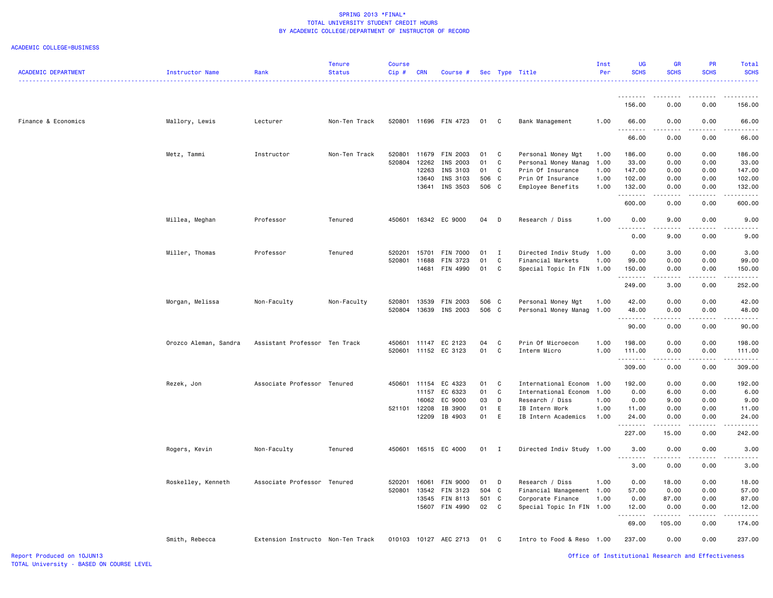| <b>ACADEMIC DEPARTMENT</b> | Instructor Name       | Rank                              | <b>Tenure</b><br><b>Status</b> | <b>Course</b><br>Cip# | <b>CRN</b> | Course #              |       |              | Sec Type Title            | Inst<br>Per | <b>UG</b><br><b>SCHS</b> | <b>GR</b><br><b>SCHS</b>                                                                                                                                     | PR<br><b>SCHS</b>                                                                                                                                            | <b>Total</b><br><b>SCHS</b>                                                                                                                                                              |
|----------------------------|-----------------------|-----------------------------------|--------------------------------|-----------------------|------------|-----------------------|-------|--------------|---------------------------|-------------|--------------------------|--------------------------------------------------------------------------------------------------------------------------------------------------------------|--------------------------------------------------------------------------------------------------------------------------------------------------------------|------------------------------------------------------------------------------------------------------------------------------------------------------------------------------------------|
|                            |                       |                                   |                                |                       |            |                       |       |              |                           |             |                          |                                                                                                                                                              |                                                                                                                                                              |                                                                                                                                                                                          |
|                            |                       |                                   |                                |                       |            |                       |       |              |                           |             | .<br>156.00              | $\frac{1}{2}$<br>0.00                                                                                                                                        | .<br>0.00                                                                                                                                                    | 156.00                                                                                                                                                                                   |
| Finance & Economics        | Mallory, Lewis        | Lecturer                          | Non-Ten Track                  |                       |            | 520801 11696 FIN 4723 | 01    | $\mathbf{C}$ | Bank Management           | 1.00        | 66.00                    | 0.00                                                                                                                                                         | 0.00                                                                                                                                                         | 66.00                                                                                                                                                                                    |
|                            |                       |                                   |                                |                       |            |                       |       |              |                           |             | <b></b><br>66.00         | <b>.</b><br>0.00                                                                                                                                             | .<br>0.00                                                                                                                                                    | .<br>66.00                                                                                                                                                                               |
|                            | Metz, Tammi           | Instructor                        | Non-Ten Track                  | 520801                |            | 11679 FIN 2003        | 01    | C            | Personal Money Mgt        | 1.00        | 186.00                   | 0.00                                                                                                                                                         | 0.00                                                                                                                                                         | 186.00                                                                                                                                                                                   |
|                            |                       |                                   |                                | 520804                | 12262      | INS 2003              | 01    | C            | Personal Money Manag      | 1.00        | 33.00                    | 0.00                                                                                                                                                         | 0.00                                                                                                                                                         | 33.00                                                                                                                                                                                    |
|                            |                       |                                   |                                |                       | 12263      | INS 3103              | 01    | C            | Prin Of Insurance         | 1.00        | 147.00                   | 0.00                                                                                                                                                         | 0.00                                                                                                                                                         | 147.00                                                                                                                                                                                   |
|                            |                       |                                   |                                |                       | 13640      | INS 3103              | 506 C |              | Prin Of Insurance         | 1.00        | 102.00                   | 0.00                                                                                                                                                         | 0.00                                                                                                                                                         | 102.00                                                                                                                                                                                   |
|                            |                       |                                   |                                |                       |            | 13641 INS 3503        | 506 C |              | Employee Benefits         | 1.00        | 132.00<br>.              | 0.00<br>.                                                                                                                                                    | 0.00<br>.                                                                                                                                                    | 132.00<br>.                                                                                                                                                                              |
|                            |                       |                                   |                                |                       |            |                       |       |              |                           |             | 600.00                   | 0.00                                                                                                                                                         | 0.00                                                                                                                                                         | 600.00                                                                                                                                                                                   |
|                            | Millea, Meghan        | Professor                         | Tenured                        | 450601                |            | 16342 EC 9000         | 04 D  |              | Research / Diss           | 1.00        | 0.00<br><u>.</u>         | 9.00                                                                                                                                                         | 0.00                                                                                                                                                         | 9.00                                                                                                                                                                                     |
|                            |                       |                                   |                                |                       |            |                       |       |              |                           |             | 0.00                     | 9.00                                                                                                                                                         | 0.00                                                                                                                                                         | 9.00                                                                                                                                                                                     |
|                            | Miller, Thomas        | Professor                         | Tenured                        | 520201                |            | 15701 FIN 7000        | 01    | $\mathbf{I}$ | Directed Indiv Study 1.00 |             | 0.00                     | 3.00                                                                                                                                                         | 0.00                                                                                                                                                         | 3.00                                                                                                                                                                                     |
|                            |                       |                                   |                                | 520801                | 11688      | FIN 3723              | 01    | C            | Financial Markets         | 1.00        | 99.00                    | 0.00                                                                                                                                                         | 0.00                                                                                                                                                         | 99.00                                                                                                                                                                                    |
|                            |                       |                                   |                                |                       |            | 14681 FIN 4990        | 01    | $\mathbf{C}$ | Special Topic In FIN 1.00 |             | 150.00                   | 0.00                                                                                                                                                         | 0.00                                                                                                                                                         | 150.00                                                                                                                                                                                   |
|                            |                       |                                   |                                |                       |            |                       |       |              |                           |             | .<br>249.00              | .<br>3.00                                                                                                                                                    | .<br>0.00                                                                                                                                                    | $\frac{1}{2} \left( \frac{1}{2} \right) \left( \frac{1}{2} \right) \left( \frac{1}{2} \right) \left( \frac{1}{2} \right) \left( \frac{1}{2} \right)$<br>252.00                           |
|                            | Morgan, Melissa       | Non-Faculty                       | Non-Faculty                    | 520801                |            | 13539 FIN 2003        | 506 C |              | Personal Money Mgt        | 1.00        | 42.00                    | 0.00                                                                                                                                                         | 0.00                                                                                                                                                         | 42.00                                                                                                                                                                                    |
|                            |                       |                                   |                                | 520804                |            | 13639 INS 2003        | 506 C |              | Personal Money Manag      | 1.00        | 48.00                    | 0.00                                                                                                                                                         | 0.00                                                                                                                                                         | 48.00                                                                                                                                                                                    |
|                            |                       |                                   |                                |                       |            |                       |       |              |                           |             | .                        | .                                                                                                                                                            | $\omega$ is a set                                                                                                                                            | .                                                                                                                                                                                        |
|                            |                       |                                   |                                |                       |            |                       |       |              |                           |             | 90.00                    | 0.00                                                                                                                                                         | 0.00                                                                                                                                                         | 90.00                                                                                                                                                                                    |
|                            | Orozco Aleman, Sandra | Assistant Professor Ten Track     |                                | 450601                |            | 11147 EC 2123         | 04    | C            | Prin Of Microecon         | 1.00        | 198.00                   | 0.00                                                                                                                                                         | 0.00                                                                                                                                                         | 198.00                                                                                                                                                                                   |
|                            |                       |                                   |                                | 520601                |            | 11152 EC 3123         | 01    | C            | Interm Micro              | 1.00        | 111.00<br><u>.</u>       | 0.00<br>.                                                                                                                                                    | 0.00<br>.                                                                                                                                                    | 111.00<br>$- - - - - - -$                                                                                                                                                                |
|                            |                       |                                   |                                |                       |            |                       |       |              |                           |             | 309.00                   | 0.00                                                                                                                                                         | 0.00                                                                                                                                                         | 309.00                                                                                                                                                                                   |
|                            | Rezek, Jon            | Associate Professor Tenured       |                                | 450601                |            | 11154 EC 4323         | 01    | $\mathbf{C}$ | International Econom      | 1.00        | 192.00                   | 0.00                                                                                                                                                         | 0.00                                                                                                                                                         | 192.00                                                                                                                                                                                   |
|                            |                       |                                   |                                |                       | 11157      | EC 6323               | 01    | C            | International Econom      | 1.00        | 0.00                     | 6.00                                                                                                                                                         | 0.00                                                                                                                                                         | 6.00                                                                                                                                                                                     |
|                            |                       |                                   |                                |                       | 16062      | EC 9000               | 03    | D            | Research / Diss           | 1.00        | 0.00                     | 9.00                                                                                                                                                         | 0.00                                                                                                                                                         | 9.00                                                                                                                                                                                     |
|                            |                       |                                   |                                | 521101                | 12208      | IB 3900               | 01    | Ε            | IB Intern Work            | 1.00        | 11.00                    | 0.00                                                                                                                                                         | 0.00                                                                                                                                                         | 11.00                                                                                                                                                                                    |
|                            |                       |                                   |                                |                       |            | 12209 IB 4903         | 01    | E            | IB Intern Academics       | 1.00        | 24.00<br>.               | 0.00<br>د د د د د                                                                                                                                            | 0.00<br>$\frac{1}{2} \left( \frac{1}{2} \right) \left( \frac{1}{2} \right) \left( \frac{1}{2} \right) \left( \frac{1}{2} \right) \left( \frac{1}{2} \right)$ | 24.00<br>$\frac{1}{2} \left( \frac{1}{2} \right) \left( \frac{1}{2} \right) \left( \frac{1}{2} \right) \left( \frac{1}{2} \right) \left( \frac{1}{2} \right) \left( \frac{1}{2} \right)$ |
|                            |                       |                                   |                                |                       |            |                       |       |              |                           |             | 227.00                   | 15.00                                                                                                                                                        | 0.00                                                                                                                                                         | 242.00                                                                                                                                                                                   |
|                            | Rogers, Kevin         | Non-Faculty                       | Tenured                        | 450601                |            | 16515 EC 4000         | 01 I  |              | Directed Indiv Study 1.00 |             | 3.00<br>. <b>.</b>       | 0.00<br>$\frac{1}{2} \left( \frac{1}{2} \right) \left( \frac{1}{2} \right) \left( \frac{1}{2} \right) \left( \frac{1}{2} \right) \left( \frac{1}{2} \right)$ | 0.00<br>$- - - - -$                                                                                                                                          | 3.00<br>.                                                                                                                                                                                |
|                            |                       |                                   |                                |                       |            |                       |       |              |                           |             | 3.00                     | 0.00                                                                                                                                                         | 0.00                                                                                                                                                         | 3.00                                                                                                                                                                                     |
|                            | Roskelley, Kenneth    | Associate Professor Tenured       |                                | 520201                |            | 16061 FIN 9000        | 01    | $\mathsf{D}$ | Research / Diss           | 1.00        | 0.00                     | 18.00                                                                                                                                                        | 0.00                                                                                                                                                         | 18.00                                                                                                                                                                                    |
|                            |                       |                                   |                                | 520801                |            | 13542 FIN 3123        | 504 C |              | Financial Management 1.00 |             | 57.00                    | 0.00                                                                                                                                                         | 0.00                                                                                                                                                         | 57.00                                                                                                                                                                                    |
|                            |                       |                                   |                                |                       |            | 13545 FIN 8113        | 501 C |              | Corporate Finance         | 1.00        | 0.00                     | 87.00                                                                                                                                                        | 0.00                                                                                                                                                         | 87.00                                                                                                                                                                                    |
|                            |                       |                                   |                                |                       |            | 15607 FIN 4990        | 02 C  |              | Special Topic In FIN 1.00 |             | 12.00<br><u>.</u>        | 0.00<br>.                                                                                                                                                    | 0.00<br>.                                                                                                                                                    | 12.00                                                                                                                                                                                    |
|                            |                       |                                   |                                |                       |            |                       |       |              |                           |             | 69.00                    | 105.00                                                                                                                                                       | 0.00                                                                                                                                                         | 174.00                                                                                                                                                                                   |
|                            | Smith, Rebecca        | Extension Instructo Non-Ten Track |                                |                       |            | 010103 10127 AEC 2713 | 01    | $\mathbf{C}$ | Intro to Food & Reso 1.00 |             | 237.00                   | 0.00                                                                                                                                                         | 0.00                                                                                                                                                         | 237.00                                                                                                                                                                                   |
| Report Produced on 10JUN13 |                       |                                   |                                |                       |            |                       |       |              |                           |             |                          | Office of Institutional Research and Effectiveness                                                                                                           |                                                                                                                                                              |                                                                                                                                                                                          |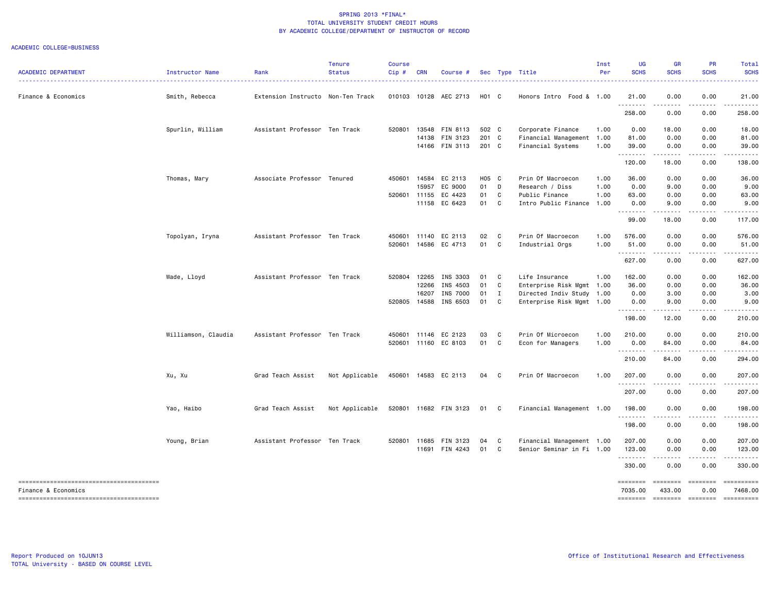| <b>ACADEMIC DEPARTMENT</b> | Instructor Name     | Rank                              | <b>Tenure</b><br><b>Status</b> | <b>Course</b><br>Cip# | <b>CRN</b> | Course #              |       |              | Sec Type Title            | Inst<br>Per | UG<br><b>SCHS</b>    | <b>GR</b><br><b>SCHS</b> | <b>PR</b><br><b>SCHS</b>                                                                                                                                                                                                                                                                                                                                                                                                                                                                                                    | Total<br><b>SCHS</b> |
|----------------------------|---------------------|-----------------------------------|--------------------------------|-----------------------|------------|-----------------------|-------|--------------|---------------------------|-------------|----------------------|--------------------------|-----------------------------------------------------------------------------------------------------------------------------------------------------------------------------------------------------------------------------------------------------------------------------------------------------------------------------------------------------------------------------------------------------------------------------------------------------------------------------------------------------------------------------|----------------------|
| Finance & Economics        | Smith, Rebecca      | Extension Instructo Non-Ten Track |                                |                       |            | 010103 10128 AEC 2713 | H01 C |              | Honors Intro Food & 1.00  |             | 21.00                | 0.00                     | 0.00                                                                                                                                                                                                                                                                                                                                                                                                                                                                                                                        | 21.00                |
|                            |                     |                                   |                                |                       |            |                       |       |              |                           |             | .<br>258.00          | .<br>0.00                | .<br>0.00                                                                                                                                                                                                                                                                                                                                                                                                                                                                                                                   | .<br>258.00          |
|                            | Spurlin, William    | Assistant Professor Ten Track     |                                | 520801                |            | 13548 FIN 8113        | 502 C |              | Corporate Finance         | 1.00        | 0.00                 | 18.00                    | 0.00                                                                                                                                                                                                                                                                                                                                                                                                                                                                                                                        | 18.00                |
|                            |                     |                                   |                                |                       |            | 14138 FIN 3123        | 201 C |              | Financial Management 1.00 |             | 81.00                | 0.00                     | 0.00                                                                                                                                                                                                                                                                                                                                                                                                                                                                                                                        | 81.00                |
|                            |                     |                                   |                                |                       |            | 14166 FIN 3113        | 201 C |              | Financial Systems         | 1.00        | 39.00<br><u>.</u>    | 0.00<br>$- - - - -$      | 0.00<br><u>.</u>                                                                                                                                                                                                                                                                                                                                                                                                                                                                                                            | 39.00                |
|                            |                     |                                   |                                |                       |            |                       |       |              |                           |             | 120.00               | 18.00                    | 0.00                                                                                                                                                                                                                                                                                                                                                                                                                                                                                                                        | 138.00               |
|                            | Thomas, Mary        | Associate Professor Tenured       |                                | 450601                |            | 14584 EC 2113         | H05 C |              | Prin Of Macroecon         | 1.00        | 36.00                | 0.00                     | 0.00                                                                                                                                                                                                                                                                                                                                                                                                                                                                                                                        | 36.00                |
|                            |                     |                                   |                                |                       | 15957      | EC 9000               | 01    | D            | Research / Diss           | 1.00        | 0.00                 | 9.00                     | 0.00                                                                                                                                                                                                                                                                                                                                                                                                                                                                                                                        | 9.00                 |
|                            |                     |                                   |                                |                       |            | 520601 11155 EC 4423  | 01    | C            | Public Finance            | 1.00        | 63.00                | 0.00                     | 0.00                                                                                                                                                                                                                                                                                                                                                                                                                                                                                                                        | 63.00                |
|                            |                     |                                   |                                |                       |            | 11158 EC 6423         | 01    | C            | Intro Public Finance      | 1.00        | 0.00<br>.            | 9.00<br>.                | 0.00<br>$\frac{1}{2} \left( \frac{1}{2} \right) \left( \frac{1}{2} \right) \left( \frac{1}{2} \right) \left( \frac{1}{2} \right) \left( \frac{1}{2} \right)$                                                                                                                                                                                                                                                                                                                                                                | 9.00<br>.            |
|                            |                     |                                   |                                |                       |            |                       |       |              |                           |             | 99.00                | 18.00                    | 0.00                                                                                                                                                                                                                                                                                                                                                                                                                                                                                                                        | 117.00               |
|                            | Topolyan, Iryna     | Assistant Professor Ten Track     |                                | 450601                | 11140      | EC 2113               | 02    | C            | Prin Of Macroecon         | 1.00        | 576.00               | 0.00                     | 0.00                                                                                                                                                                                                                                                                                                                                                                                                                                                                                                                        | 576.00               |
|                            |                     |                                   |                                | 520601                |            | 14586 EC 4713         | 01 C  |              | Industrial Orgs           | 1.00        | 51.00<br>.           | 0.00<br>.                | 0.00<br>.                                                                                                                                                                                                                                                                                                                                                                                                                                                                                                                   | 51.00<br>.           |
|                            |                     |                                   |                                |                       |            |                       |       |              |                           |             | 627.00               | 0.00                     | 0.00                                                                                                                                                                                                                                                                                                                                                                                                                                                                                                                        | 627.00               |
|                            | Wade, Lloyd         | Assistant Professor Ten Track     |                                | 520804                | 12265      | INS 3303              | 01 C  |              | Life Insurance            | 1.00        | 162.00               | 0.00                     | 0.00                                                                                                                                                                                                                                                                                                                                                                                                                                                                                                                        | 162.00               |
|                            |                     |                                   |                                |                       | 12266      | INS 4503              | 01    | C            | Enterprise Risk Mgmt      | 1.00        | 36.00                | 0.00                     | 0.00                                                                                                                                                                                                                                                                                                                                                                                                                                                                                                                        | 36.00                |
|                            |                     |                                   |                                |                       | 16207      | INS 7000              | 01    | $\mathbf{I}$ | Directed Indiv Study      | 1.00        | 0.00                 | 3.00                     | 0.00                                                                                                                                                                                                                                                                                                                                                                                                                                                                                                                        | 3.00                 |
|                            |                     |                                   |                                | 520805                | 14588      | INS 6503              | 01 C  |              | Enterprise Risk Mgmt 1.00 |             | 0.00<br>.            | 9.00<br>د د د د          | 0.00<br>.                                                                                                                                                                                                                                                                                                                                                                                                                                                                                                                   | 9.00<br>.            |
|                            |                     |                                   |                                |                       |            |                       |       |              |                           |             | 198.00               | 12.00                    | 0.00                                                                                                                                                                                                                                                                                                                                                                                                                                                                                                                        | 210.00               |
|                            | Williamson, Claudia | Assistant Professor Ten Track     |                                | 450601                |            | 11146 EC 2123         | 03    | C            | Prin Of Microecon         | 1.00        | 210.00               | 0.00                     | 0.00                                                                                                                                                                                                                                                                                                                                                                                                                                                                                                                        | 210.00               |
|                            |                     |                                   |                                | 520601                |            | 11160 EC 8103         | 01    | C            | Econ for Managers         | 1.00        | 0.00                 | 84.00                    | 0.00                                                                                                                                                                                                                                                                                                                                                                                                                                                                                                                        | 84.00                |
|                            |                     |                                   |                                |                       |            |                       |       |              |                           |             | .<br>210.00          | $- - - - -$<br>84.00     | .<br>0.00                                                                                                                                                                                                                                                                                                                                                                                                                                                                                                                   | .<br>294.00          |
|                            | Xu, Xu              | Grad Teach Assist                 | Not Applicable                 |                       |            | 450601 14583 EC 2113  | 04 C  |              | Prin Of Macroecon         | 1.00        | 207.00               | 0.00                     | 0.00                                                                                                                                                                                                                                                                                                                                                                                                                                                                                                                        | 207.00               |
|                            |                     |                                   |                                |                       |            |                       |       |              |                           |             | .<br>207.00          | .<br>0.00                | .<br>0.00                                                                                                                                                                                                                                                                                                                                                                                                                                                                                                                   | .<br>207.00          |
|                            |                     |                                   |                                |                       |            |                       |       |              |                           |             |                      |                          |                                                                                                                                                                                                                                                                                                                                                                                                                                                                                                                             |                      |
|                            | Yao, Haibo          | Grad Teach Assist                 | Not Applicable                 |                       |            | 520801 11682 FIN 3123 | 01 C  |              | Financial Management 1.00 |             | 198.00<br>.          | 0.00<br>والأساء          | 0.00                                                                                                                                                                                                                                                                                                                                                                                                                                                                                                                        | 198.00<br>.          |
|                            |                     |                                   |                                |                       |            |                       |       |              |                           |             | 198.00               | 0.00                     | 0.00                                                                                                                                                                                                                                                                                                                                                                                                                                                                                                                        | 198.00               |
|                            | Young, Brian        | Assistant Professor Ten Track     |                                | 520801                |            | 11685 FIN 3123        | 04    | C            | Financial Management 1.00 |             | 207.00               | 0.00                     | 0.00                                                                                                                                                                                                                                                                                                                                                                                                                                                                                                                        | 207.00               |
|                            |                     |                                   |                                |                       |            | 11691 FIN 4243        | 01 C  |              | Senior Seminar in Fi 1.00 |             | 123.00               | 0.00                     | 0.00                                                                                                                                                                                                                                                                                                                                                                                                                                                                                                                        | 123.00               |
|                            |                     |                                   |                                |                       |            |                       |       |              |                           |             | . <b>.</b><br>330.00 | ----<br>0.00             | .<br>0.00                                                                                                                                                                                                                                                                                                                                                                                                                                                                                                                   | 330.00               |
|                            |                     |                                   |                                |                       |            |                       |       |              |                           |             | ========             | ========<br>433.00       | ========                                                                                                                                                                                                                                                                                                                                                                                                                                                                                                                    | ==========           |
| Finance & Economics        |                     |                                   |                                |                       |            |                       |       |              |                           |             | 7035.00<br>========  |                          | 0.00<br>$\begin{array}{c} \multicolumn{3}{c} {\color{blue} \textbf{2}} & \multicolumn{3}{c} {\color{blue} \textbf{3}} \\ \multicolumn{3}{c} {\color{blue} \textbf{4}} & \multicolumn{3}{c} {\color{blue} \textbf{5}} & \multicolumn{3}{c} {\color{blue} \textbf{6}} \\ \multicolumn{3}{c} {\color{blue} \textbf{5}} & \multicolumn{3}{c} {\color{blue} \textbf{6}} & \multicolumn{3}{c} {\color{blue} \textbf{6}} \\ \multicolumn{3}{c} {\color{blue} \textbf{6}} & \multicolumn{3}{c} {\color{blue} \textbf{6}} & \multic$ | 7468.00              |
|                            |                     |                                   |                                |                       |            |                       |       |              |                           |             |                      |                          |                                                                                                                                                                                                                                                                                                                                                                                                                                                                                                                             |                      |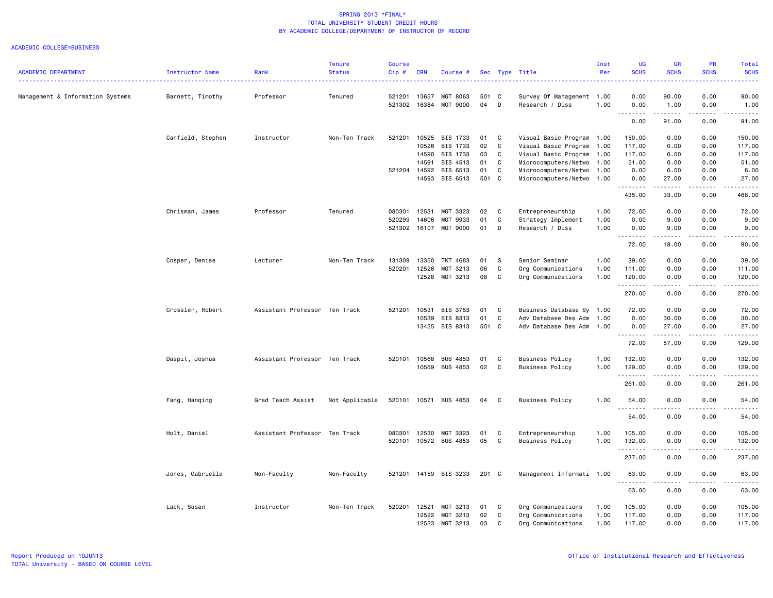|                                  |                   |                               | <b>Tenure</b>  | <b>Course</b> |            |                       |       |              |                           | Inst | <b>UG</b>                                                  | <b>GR</b>   | PR                                                                                                            | Total                                                                                                                                    |
|----------------------------------|-------------------|-------------------------------|----------------|---------------|------------|-----------------------|-------|--------------|---------------------------|------|------------------------------------------------------------|-------------|---------------------------------------------------------------------------------------------------------------|------------------------------------------------------------------------------------------------------------------------------------------|
| <b>ACADEMIC DEPARTMENT</b>       | Instructor Name   | Rank<br>.                     | <b>Status</b>  | $Cip$ #       | <b>CRN</b> | Course #              |       |              | Sec Type Title            | Per  | <b>SCHS</b><br>$\omega_{\rm{eff}}$ and $\omega_{\rm{eff}}$ | <b>SCHS</b> | <b>SCHS</b><br>$\frac{1}{2} \left( \frac{1}{2} \right) \left( \frac{1}{2} \right) \left( \frac{1}{2} \right)$ | <b>SCHS</b><br>$\frac{1}{2} \left( \frac{1}{2} \right) \left( \frac{1}{2} \right) \left( \frac{1}{2} \right) \left( \frac{1}{2} \right)$ |
| Management & Information Systems | Barnett, Timothy  | Professor                     | Tenured        | 521201        | 13657      | MGT 8063              | 501 C |              | Survey Of Management 1.00 |      | 0.00                                                       | 90.00       | 0.00                                                                                                          | 90.00                                                                                                                                    |
|                                  |                   |                               |                | 521302        | 16384      | MGT 9000              | 04    | D            | Research / Diss           | 1.00 | 0.00<br>د د د د                                            | 1.00<br>.   | 0.00<br>$\frac{1}{2}$                                                                                         | 1.00<br>.                                                                                                                                |
|                                  |                   |                               |                |               |            |                       |       |              |                           |      | 0.00                                                       | 91.00       | 0.00                                                                                                          | 91.00                                                                                                                                    |
|                                  | Canfield, Stephen | Instructor                    | Non-Ten Track  | 521201        | 10525      | BIS 1733              | 01    | C            | Visual Basic Program 1.00 |      | 150.00                                                     | 0.00        | 0.00                                                                                                          | 150.00                                                                                                                                   |
|                                  |                   |                               |                |               | 10526      | BIS 1733              | 02    | C            | Visual Basic Program 1.00 |      | 117.00                                                     | 0.00        | 0.00                                                                                                          | 117.00                                                                                                                                   |
|                                  |                   |                               |                |               | 14590      | BIS 1733              | 03    | C            | Visual Basic Program 1.00 |      | 117.00                                                     | 0.00        | 0.00                                                                                                          | 117.00                                                                                                                                   |
|                                  |                   |                               |                |               | 14591      | BIS 4513              | 01    | C            | Microcomputers/Netwo      | 1.00 | 51.00                                                      | 0.00        | 0.00                                                                                                          | 51.00                                                                                                                                    |
|                                  |                   |                               |                | 521204        | 14592      | BIS 6513              | 01    | C            | Microcomputers/Netwo      | 1.00 | 0.00                                                       | 6.00        | 0.00                                                                                                          | 6.00                                                                                                                                     |
|                                  |                   |                               |                |               | 14593      | BIS 6513              | 501 C |              | Microcomputers/Netwo      | 1.00 | 0.00                                                       | 27.00       | 0.00                                                                                                          | 27.00                                                                                                                                    |
|                                  |                   |                               |                |               |            |                       |       |              |                           |      | .<br>435.00                                                | .<br>33.00  | .<br>0.00                                                                                                     | .<br>468.00                                                                                                                              |
|                                  | Chrisman, James   | Professor                     | Tenured        | 080301        | 12531      | MGT 3323              | 02    | C            | Entrepreneurship          | 1.00 | 72.00                                                      | 0.00        | 0.00                                                                                                          | 72.00                                                                                                                                    |
|                                  |                   |                               |                | 520299        | 14606      | MGT 9933              | 01    | C            | Strategy Implement        | 1.00 | 0.00                                                       | 9.00        | 0.00                                                                                                          | 9.00                                                                                                                                     |
|                                  |                   |                               |                | 521302 16107  |            | <b>MGT 9000</b>       | 01    | D            | Research / Diss           | 1.00 | 0.00<br>.                                                  | 9.00<br>.   | 0.00<br>.                                                                                                     | 9.00<br>.                                                                                                                                |
|                                  |                   |                               |                |               |            |                       |       |              |                           |      | 72.00                                                      | 18.00       | 0.00                                                                                                          | 90.00                                                                                                                                    |
|                                  | Cosper, Denise    | Lecturer                      | Non-Ten Track  | 131309        | 13350      | TKT 4683              | 01    | s            | Senior Seminar            | 1.00 | 39.00                                                      | 0.00        | 0.00                                                                                                          | 39.00                                                                                                                                    |
|                                  |                   |                               |                | 520201        | 12526      | MGT 3213              | 06    | C            | Org Communications        | 1.00 | 111.00                                                     | 0.00        | 0.00                                                                                                          | 111.00                                                                                                                                   |
|                                  |                   |                               |                |               | 12528      | MGT 3213              | 08    | C            | Org Communications        | 1.00 | 120.00                                                     | 0.00        | 0.00                                                                                                          | 120.00                                                                                                                                   |
|                                  |                   |                               |                |               |            |                       |       |              |                           |      | .                                                          |             |                                                                                                               | .                                                                                                                                        |
|                                  |                   |                               |                |               |            |                       |       |              |                           |      | 270.00                                                     | 0.00        | 0.00                                                                                                          | 270.00                                                                                                                                   |
|                                  | Crossler, Robert  | Assistant Professor Ten Track |                | 521201        | 10531      | BIS 3753              | 01    | C            | Business Database Sy 1.00 |      | 72.00                                                      | 0.00        | 0.00                                                                                                          | 72.00                                                                                                                                    |
|                                  |                   |                               |                |               | 10539      | BIS 8313              | 01    | C            | Adv Database Des Adm      | 1.00 | 0.00                                                       | 30.00       | 0.00                                                                                                          | 30.00                                                                                                                                    |
|                                  |                   |                               |                |               | 13425      | BIS 8313              | 501 C |              | Adv Database Des Adm      | 1.00 | 0.00                                                       | 27.00<br>.  | 0.00<br>$\frac{1}{2}$                                                                                         | 27.00                                                                                                                                    |
|                                  |                   |                               |                |               |            |                       |       |              |                           |      | .<br>72.00                                                 | 57.00       | 0.00                                                                                                          | .<br>129.00                                                                                                                              |
|                                  | Daspit, Joshua    | Assistant Professor Ten Track |                | 520101        | 10568      | <b>BUS 4853</b>       | 01    | C            | <b>Business Policy</b>    | 1.00 | 132.00                                                     | 0.00        | 0.00                                                                                                          | 132.00                                                                                                                                   |
|                                  |                   |                               |                |               | 10569      | <b>BUS 4853</b>       | 02    | C            | <b>Business Policy</b>    | 1.00 | 129.00                                                     | 0.00        | 0.00                                                                                                          | 129.00                                                                                                                                   |
|                                  |                   |                               |                |               |            |                       |       |              |                           |      | .                                                          |             |                                                                                                               | .                                                                                                                                        |
|                                  |                   |                               |                |               |            |                       |       |              |                           |      | 261.00                                                     | 0.00        | 0.00                                                                                                          | 261.00                                                                                                                                   |
|                                  | Fang, Hanqing     | Grad Teach Assist             | Not Applicable |               |            | 520101 10571 BUS 4853 | 04    | C            | <b>Business Policy</b>    | 1.00 | 54.00<br>.                                                 | 0.00<br>.   | 0.00<br>.                                                                                                     | 54.00<br>.                                                                                                                               |
|                                  |                   |                               |                |               |            |                       |       |              |                           |      | 54.00                                                      | 0.00        | 0.00                                                                                                          | 54.00                                                                                                                                    |
|                                  | Holt, Daniel      | Assistant Professor Ten Track |                | 080301        | 12530      | MGT 3323              | 01    | $\mathbf{C}$ | Entrepreneurship          | 1.00 | 105.00                                                     | 0.00        | 0.00                                                                                                          | 105.00                                                                                                                                   |
|                                  |                   |                               |                | 520101        |            | 10572 BUS 4853        | 05    | C            | <b>Business Policy</b>    | 1.00 | 132.00                                                     | 0.00        | 0.00                                                                                                          | 132.00                                                                                                                                   |
|                                  |                   |                               |                |               |            |                       |       |              |                           |      | .                                                          |             | $\sim$ $\sim$ $\sim$                                                                                          | ------                                                                                                                                   |
|                                  |                   |                               |                |               |            |                       |       |              |                           |      | 237.00                                                     | 0.00        | 0.00                                                                                                          | 237.00                                                                                                                                   |
|                                  | Jones, Gabrielle  | Non-Faculty                   | Non-Faculty    | 521201        |            | 14159 BIS 3233        | 201 C |              | Management Informati 1.00 |      | 63.00<br>.                                                 | 0.00        | 0.00                                                                                                          | 63.00                                                                                                                                    |
|                                  |                   |                               |                |               |            |                       |       |              |                           |      | 63.00                                                      | 0.00        | 0.00                                                                                                          | 63.00                                                                                                                                    |
|                                  | Lack, Susan       | Instructor                    | Non-Ten Track  | 520201        | 12521      | MGT 3213              | 01    | C            | Org Communications        | 1.00 | 105.00                                                     | 0.00        | 0.00                                                                                                          | 105.00                                                                                                                                   |
|                                  |                   |                               |                |               | 12522      | MGT 3213              | 02    | C            | Org Communications        | 1.00 | 117.00                                                     | 0.00        | 0.00                                                                                                          | 117.00                                                                                                                                   |
|                                  |                   |                               |                |               | 12523      | MGT 3213              | 03    | C            | Org Communications        | 1.00 | 117.00                                                     | 0.00        | 0.00                                                                                                          | 117.00                                                                                                                                   |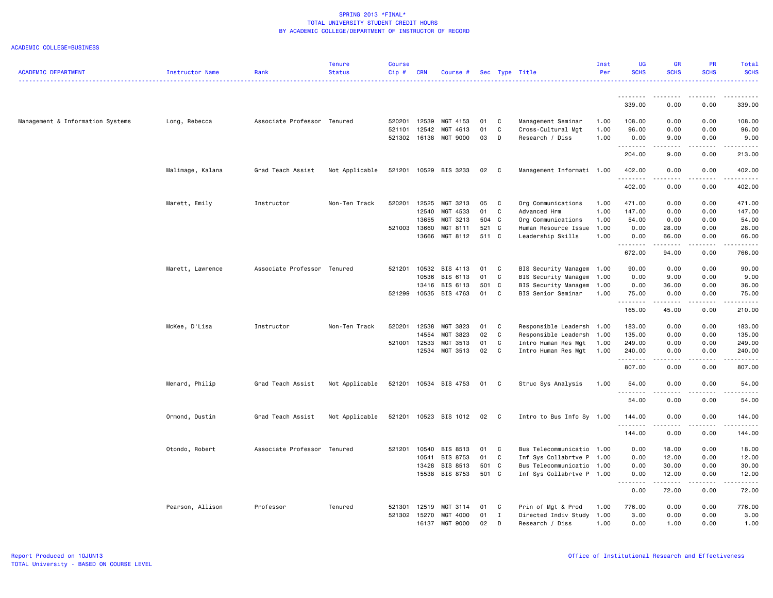| <b>ACADEMIC DEPARTMENT</b>       | Instructor Name  | Rank                        | <b>Tenure</b><br><b>Status</b> | <b>Course</b><br>Cip# | <b>CRN</b> | Course #              |       |              | Sec Type Title              | Inst<br>Per | <b>UG</b><br><b>SCHS</b> | <b>GR</b><br><b>SCHS</b>                                                                                                                                                                | PR<br><b>SCHS</b>                                                                                                                                            | Total<br><b>SCHS</b>                                                                                                                                                                 |
|----------------------------------|------------------|-----------------------------|--------------------------------|-----------------------|------------|-----------------------|-------|--------------|-----------------------------|-------------|--------------------------|-----------------------------------------------------------------------------------------------------------------------------------------------------------------------------------------|--------------------------------------------------------------------------------------------------------------------------------------------------------------|--------------------------------------------------------------------------------------------------------------------------------------------------------------------------------------|
|                                  |                  |                             |                                |                       |            |                       |       |              |                             |             | .                        |                                                                                                                                                                                         |                                                                                                                                                              | .<br>$\frac{1}{2} \left( \frac{1}{2} \right) \left( \frac{1}{2} \right) \left( \frac{1}{2} \right) \left( \frac{1}{2} \right) \left( \frac{1}{2} \right) \left( \frac{1}{2} \right)$ |
|                                  |                  |                             |                                |                       |            |                       |       |              |                             |             | 339.00                   | $\frac{1}{2}$<br>0.00                                                                                                                                                                   | .<br>0.00                                                                                                                                                    | 339.00                                                                                                                                                                               |
| Management & Information Systems | Long, Rebecca    | Associate Professor Tenured |                                | 520201                | 12539      | MGT 4153              | 01    | $\mathbf{C}$ | Management Seminar          | 1.00        | 108.00                   | 0.00                                                                                                                                                                                    | 0.00                                                                                                                                                         | 108.00                                                                                                                                                                               |
|                                  |                  |                             |                                | 521101                | 12542      | MGT 4613              | 01    | C            | Cross-Cultural Mgt          | 1.00        | 96.00                    | 0.00                                                                                                                                                                                    | 0.00                                                                                                                                                         | 96.00                                                                                                                                                                                |
|                                  |                  |                             |                                | 521302                |            | 16138 MGT 9000        | 03    | D            | Research / Diss             | 1.00        | 0.00<br>.                | 9.00                                                                                                                                                                                    | 0.00<br>الداعات عالما                                                                                                                                        | 9.00<br>.                                                                                                                                                                            |
|                                  |                  |                             |                                |                       |            |                       |       |              |                             |             | 204.00                   | .<br>9.00                                                                                                                                                                               | 0.00                                                                                                                                                         | 213.00                                                                                                                                                                               |
|                                  | Malimage, Kalana | Grad Teach Assist           | Not Applicable                 | 521201                |            | 10529 BIS 3233        | 02    | $\mathbf{C}$ | Management Informati 1.00   |             | 402.00                   | 0.00                                                                                                                                                                                    | 0.00                                                                                                                                                         | 402.00                                                                                                                                                                               |
|                                  |                  |                             |                                |                       |            |                       |       |              |                             |             | .<br>402.00              | $\sim$ $\sim$ $\sim$<br>0.00                                                                                                                                                            | $- - - -$<br>0.00                                                                                                                                            | 402.00                                                                                                                                                                               |
|                                  | Marett, Emily    | Instructor                  | Non-Ten Track                  | 520201                | 12525      | MGT 3213              | 05    | $\mathbf{C}$ | Org Communications          | 1.00        | 471.00                   | 0.00                                                                                                                                                                                    | 0.00                                                                                                                                                         | 471.00                                                                                                                                                                               |
|                                  |                  |                             |                                |                       | 12540      | MGT 4533              | 01    | C            | Advanced Hrm                | 1.00        | 147.00                   | 0.00                                                                                                                                                                                    | 0.00                                                                                                                                                         | 147.00                                                                                                                                                                               |
|                                  |                  |                             |                                |                       | 13655      | MGT 3213              | 504 C |              | Org Communications          | 1.00        | 54.00                    | 0.00                                                                                                                                                                                    | 0.00                                                                                                                                                         | 54.00                                                                                                                                                                                |
|                                  |                  |                             |                                | 521003                | 13660      | MGT 8111              | 521 C |              | Human Resource Issue        | 1.00        | 0.00                     | 28.00                                                                                                                                                                                   | 0.00                                                                                                                                                         | 28.00                                                                                                                                                                                |
|                                  |                  |                             |                                |                       | 13666      | MGT 8112              | 511 C |              | Leadership Skills           | 1.00        | 0.00<br>. <b>.</b>       | 66.00<br>.                                                                                                                                                                              | 0.00<br>.                                                                                                                                                    | 66.00<br>.                                                                                                                                                                           |
|                                  |                  |                             |                                |                       |            |                       |       |              |                             |             | 672.00                   | 94.00                                                                                                                                                                                   | 0.00                                                                                                                                                         | 766.00                                                                                                                                                                               |
|                                  | Marett, Lawrence | Associate Professor Tenured |                                | 521201                |            | 10532 BIS 4113        | 01 C  |              | BIS Security Managem        | 1.00        | 90.00                    | 0.00                                                                                                                                                                                    | 0.00                                                                                                                                                         | 90.00                                                                                                                                                                                |
|                                  |                  |                             |                                |                       | 10536      | BIS 6113              | 01    | $\mathbf{C}$ | <b>BIS Security Managem</b> | 1.00        | 0.00                     | 9.00                                                                                                                                                                                    | 0.00                                                                                                                                                         | 9.00                                                                                                                                                                                 |
|                                  |                  |                             |                                |                       |            | 13416 BIS 6113        | 501 C |              | BIS Security Managem        | 1.00        | 0.00                     | 36.00                                                                                                                                                                                   | 0.00                                                                                                                                                         | 36.00                                                                                                                                                                                |
|                                  |                  |                             |                                | 521299                |            | 10535 BIS 4763        | 01 C  |              | BIS Senior Seminar          | 1.00        | 75.00<br>.               | 0.00<br>$\frac{1}{2} \left( \frac{1}{2} \right) \left( \frac{1}{2} \right) \left( \frac{1}{2} \right) \left( \frac{1}{2} \right) \left( \frac{1}{2} \right) \left( \frac{1}{2} \right)$ | 0.00<br>.                                                                                                                                                    | 75.00                                                                                                                                                                                |
|                                  |                  |                             |                                |                       |            |                       |       |              |                             |             | 165.00                   | 45.00                                                                                                                                                                                   | 0.00                                                                                                                                                         | 210.00                                                                                                                                                                               |
|                                  | McKee, D'Lisa    | Instructor                  | Non-Ten Track                  | 520201                | 12538      | MGT 3823              | 01    | $\mathbf{C}$ | Responsible Leadersh 1.00   |             | 183.00                   | 0.00                                                                                                                                                                                    | 0.00                                                                                                                                                         | 183.00                                                                                                                                                                               |
|                                  |                  |                             |                                |                       | 14554      | MGT 3823              | 02    | C            | Responsible Leadersh        | 1.00        | 135.00                   | 0.00                                                                                                                                                                                    | 0.00                                                                                                                                                         | 135.00                                                                                                                                                                               |
|                                  |                  |                             |                                | 521001                | 12533      | MGT 3513              | 01    | C            | Intro Human Res Mgt         | 1.00        | 249.00                   | 0.00                                                                                                                                                                                    | 0.00                                                                                                                                                         | 249.00                                                                                                                                                                               |
|                                  |                  |                             |                                |                       |            | 12534 MGT 3513        | 02 C  |              | Intro Human Res Mgt         | 1.00        | 240.00<br>.              | 0.00<br>د د د د                                                                                                                                                                         | 0.00<br>$- - - - -$                                                                                                                                          | 240.00<br>$- - - - - - -$                                                                                                                                                            |
|                                  |                  |                             |                                |                       |            |                       |       |              |                             |             | 807.00                   | 0.00                                                                                                                                                                                    | 0.00                                                                                                                                                         | 807.00                                                                                                                                                                               |
|                                  | Menard, Philip   | Grad Teach Assist           | Not Applicable                 | 521201                |            | 10534 BIS 4753        | 01 C  |              | Struc Sys Analysis          | 1.00        | 54.00<br>.               | 0.00<br>د د د د                                                                                                                                                                         | 0.00<br>$\frac{1}{2} \left( \frac{1}{2} \right) \left( \frac{1}{2} \right) \left( \frac{1}{2} \right) \left( \frac{1}{2} \right) \left( \frac{1}{2} \right)$ | 54.00<br>.                                                                                                                                                                           |
|                                  |                  |                             |                                |                       |            |                       |       |              |                             |             | 54.00                    | 0.00                                                                                                                                                                                    | 0.00                                                                                                                                                         | 54.00                                                                                                                                                                                |
|                                  | Ormond, Dustin   | Grad Teach Assist           | Not Applicable                 |                       |            | 521201 10523 BIS 1012 | 02 C  |              | Intro to Bus Info Sy 1.00   |             | 144.00<br><u>.</u>       | 0.00                                                                                                                                                                                    | 0.00                                                                                                                                                         | 144.00                                                                                                                                                                               |
|                                  |                  |                             |                                |                       |            |                       |       |              |                             |             | 144.00                   | 0.00                                                                                                                                                                                    | 0.00                                                                                                                                                         | 144.00                                                                                                                                                                               |
|                                  | Otondo, Robert   | Associate Professor Tenured |                                | 521201                | 10540      | BIS 8513              | 01    | C            | Bus Telecommunicatio        | 1.00        | 0.00                     | 18.00                                                                                                                                                                                   | 0.00                                                                                                                                                         | 18.00                                                                                                                                                                                |
|                                  |                  |                             |                                |                       | 10541      | BIS 8753              | 01    | $\mathbf{C}$ | Inf Sys Collabrtve P        | 1.00        | 0.00                     | 12.00                                                                                                                                                                                   | 0.00                                                                                                                                                         | 12.00                                                                                                                                                                                |
|                                  |                  |                             |                                |                       |            | 13428 BIS 8513        | 501 C |              | Bus Telecommunicatio        | 1.00        | 0.00                     | 30.00                                                                                                                                                                                   | 0.00                                                                                                                                                         | 30.00                                                                                                                                                                                |
|                                  |                  |                             |                                |                       |            | 15538 BIS 8753        | 501 C |              | Inf Sys Collabrtve P 1.00   |             | 0.00<br>.                | 12.00<br>$\frac{1}{2} \left( \frac{1}{2} \right) \left( \frac{1}{2} \right) \left( \frac{1}{2} \right) \left( \frac{1}{2} \right) \left( \frac{1}{2} \right)$                           | 0.00                                                                                                                                                         | 12.00                                                                                                                                                                                |
|                                  |                  |                             |                                |                       |            |                       |       |              |                             |             | 0.00                     | 72.00                                                                                                                                                                                   | 0.00                                                                                                                                                         | 72.00                                                                                                                                                                                |
|                                  | Pearson, Allison | Professor                   | Tenured                        | 521301                | 12519      | MGT 3114              | 01    | $\mathbf{C}$ | Prin of Mgt & Prod          | 1.00        | 776.00                   | 0.00                                                                                                                                                                                    | 0.00                                                                                                                                                         | 776.00                                                                                                                                                                               |
|                                  |                  |                             |                                | 521302                | 15270      | MGT 4000              | 01    | $\mathbf{I}$ | Directed Indiv Study        | 1.00        | 3.00                     | 0.00                                                                                                                                                                                    | 0.00                                                                                                                                                         | 3.00                                                                                                                                                                                 |
|                                  |                  |                             |                                |                       |            | 16137 MGT 9000        | 02    | D            | Research / Diss             | 1.00        | 0.00                     | 1.00                                                                                                                                                                                    | 0.00                                                                                                                                                         | 1.00                                                                                                                                                                                 |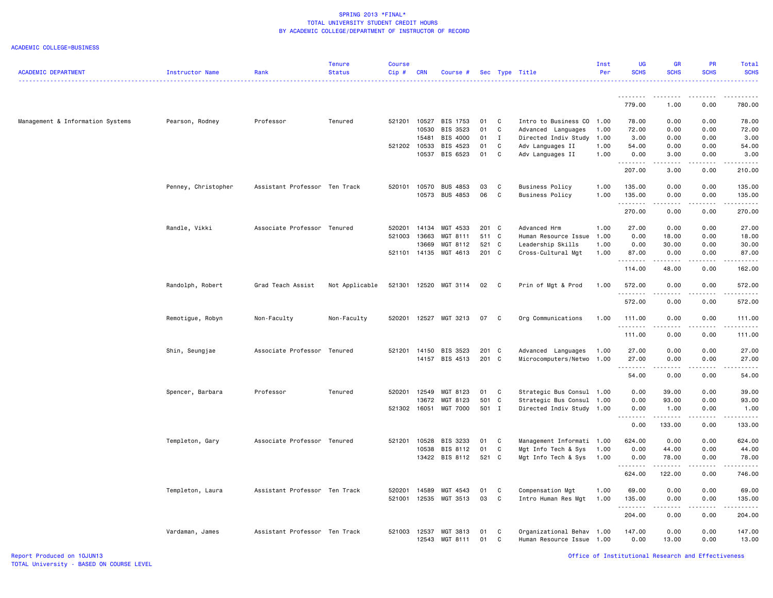| <b>ACADEMIC DEPARTMENT</b>       | <b>Instructor Name</b> | Rank                          | <b>Tenure</b><br><b>Status</b> | Course<br>Cip# | <b>CRN</b>            | Course #             |          |                   | Sec Type Title                           | Inst<br>Per  | UG<br><b>SCHS</b>  | GR<br><b>SCHS</b>                                                                                                                                            | PR<br><b>SCHS</b> | Total<br><b>SCHS</b> |
|----------------------------------|------------------------|-------------------------------|--------------------------------|----------------|-----------------------|----------------------|----------|-------------------|------------------------------------------|--------------|--------------------|--------------------------------------------------------------------------------------------------------------------------------------------------------------|-------------------|----------------------|
|                                  |                        |                               |                                |                |                       |                      |          |                   |                                          |              |                    |                                                                                                                                                              |                   |                      |
|                                  |                        |                               |                                |                |                       |                      |          |                   |                                          |              | 779.00             | $- - - -$<br>1.00                                                                                                                                            | 0.00              | 780.00               |
|                                  |                        |                               |                                |                |                       |                      |          |                   |                                          |              |                    |                                                                                                                                                              |                   |                      |
| Management & Information Systems | Pearson, Rodney        | Professor                     | Tenured                        | 521201         |                       | 10527 BIS 1753       | 01 C     |                   | Intro to Business CO 1.00                |              | 78.00              | 0.00                                                                                                                                                         | 0.00              | 78.00                |
|                                  |                        |                               |                                |                | 10530                 | BIS 3523             | 01       | C                 | Advanced Languages                       | 1.00         | 72.00              | 0.00                                                                                                                                                         | 0.00              | 72.00                |
|                                  |                        |                               |                                |                | 15481<br>521202 10533 | BIS 4000<br>BIS 4523 | 01<br>01 | $\mathbf{I}$<br>C | Directed Indiv Study<br>Adv Languages II | 1.00<br>1.00 | 3.00<br>54.00      | 0.00<br>0.00                                                                                                                                                 | 0.00<br>0.00      | 3.00<br>54.00        |
|                                  |                        |                               |                                |                |                       | 10537 BIS 6523       | 01       | C                 | Adv Languages II                         | 1.00         | 0.00               | 3.00                                                                                                                                                         | 0.00              | 3.00                 |
|                                  |                        |                               |                                |                |                       |                      |          |                   |                                          |              | .                  | .                                                                                                                                                            | -----             | .                    |
|                                  |                        |                               |                                |                |                       |                      |          |                   |                                          |              | 207.00             | 3.00                                                                                                                                                         | 0.00              | 210.00               |
|                                  | Penney, Christopher    | Assistant Professor Ten Track |                                | 520101         |                       | 10570 BUS 4853       | 03       | C                 | <b>Business Policy</b>                   | 1.00         | 135.00             | 0.00                                                                                                                                                         | 0.00              | 135.00               |
|                                  |                        |                               |                                |                |                       | 10573 BUS 4853       | 06       | $\mathbf{C}$      | <b>Business Policy</b>                   | 1.00         | 135.00<br>.        | 0.00<br>$\frac{1}{2} \left( \frac{1}{2} \right) \left( \frac{1}{2} \right) \left( \frac{1}{2} \right) \left( \frac{1}{2} \right)$                            | 0.00              | 135.00               |
|                                  |                        |                               |                                |                |                       |                      |          |                   |                                          |              | 270.00             | 0.00                                                                                                                                                         | 0.00              | 270.00               |
|                                  | Randle, Vikki          | Associate Professor Tenured   |                                | 520201         |                       | 14134 MGT 4533       | 201 C    |                   | Advanced Hrm                             | 1.00         | 27.00              | 0.00                                                                                                                                                         | 0.00              | 27.00                |
|                                  |                        |                               |                                | 521003         | 13663                 | MGT 8111             | 511 C    |                   | Human Resource Issue                     | 1.00         | 0.00               | 18.00                                                                                                                                                        | 0.00              | 18.00                |
|                                  |                        |                               |                                |                | 13669                 | MGT 8112             | 521 C    |                   | Leadership Skills                        | 1.00         | 0.00               | 30.00                                                                                                                                                        | 0.00              | 30.00                |
|                                  |                        |                               |                                | 521101         | 14135                 | MGT 4613             | 201 C    |                   | Cross-Cultural Mgt                       | 1.00         | 87.00<br><u>.</u>  | 0.00<br>$\frac{1}{2} \left( \frac{1}{2} \right) \left( \frac{1}{2} \right) \left( \frac{1}{2} \right) \left( \frac{1}{2} \right) \left( \frac{1}{2} \right)$ | 0.00<br>.         | 87.00<br>.           |
|                                  |                        |                               |                                |                |                       |                      |          |                   |                                          |              | 114.00             | 48.00                                                                                                                                                        | 0.00              | 162.00               |
|                                  | Randolph, Robert       | Grad Teach Assist             | Not Applicable                 | 521301         |                       | 12520 MGT 3114       | 02       | $\overline{C}$    | Prin of Mgt & Prod                       | 1.00         | 572.00<br>.        | 0.00<br>.                                                                                                                                                    | 0.00              | 572.00               |
|                                  |                        |                               |                                |                |                       |                      |          |                   |                                          |              | 572.00             | 0.00                                                                                                                                                         | 0.00              | 572.00               |
|                                  | Remotigue, Robyn       | Non-Faculty                   | Non-Faculty                    | 520201         |                       | 12527 MGT 3213       | 07       | $\overline{C}$    | Org Communications                       | 1.00         | 111.00             | 0.00                                                                                                                                                         | 0.00              | 111.00               |
|                                  |                        |                               |                                |                |                       |                      |          |                   |                                          |              | .<br>111.00        | $\sim$ $\sim$ $\sim$<br>0.00                                                                                                                                 | 0.00              | 111.00               |
|                                  | Shin, Seungjae         | Associate Professor Tenured   |                                | 521201         | 14150                 | BIS 3523             | 201 C    |                   | Advanced Languages                       | 1.00         | 27.00              | 0.00                                                                                                                                                         | 0.00              | 27.00                |
|                                  |                        |                               |                                |                |                       | 14157 BIS 4513       | 201 C    |                   | Microcomputers/Netwo                     | 1.00         | 27.00              | 0.00                                                                                                                                                         | 0.00              | 27.00                |
|                                  |                        |                               |                                |                |                       |                      |          |                   |                                          |              | 54.00              | 0.00                                                                                                                                                         | 0.00              | 54.00                |
|                                  | Spencer, Barbara       | Professor                     | Tenured                        | 520201         | 12549                 | MGT 8123             | 01       | $\mathbf{C}$      | Strategic Bus Consul 1.00                |              | 0.00               | 39.00                                                                                                                                                        | 0.00              | 39.00                |
|                                  |                        |                               |                                |                | 13672                 | MGT 8123             | 501 C    |                   | Strategic Bus Consul 1.00                |              | 0.00               | 93.00                                                                                                                                                        | 0.00              | 93.00                |
|                                  |                        |                               |                                | 521302         | 16051                 | <b>MGT 7000</b>      | 501 I    |                   | Directed Indiv Study 1.00                |              | 0.00<br>. <b>.</b> | 1.00<br>.                                                                                                                                                    | 0.00<br>.         | 1.00<br>.            |
|                                  |                        |                               |                                |                |                       |                      |          |                   |                                          |              | 0.00               | 133.00                                                                                                                                                       | 0.00              | 133.00               |
|                                  | Templeton, Gary        | Associate Professor Tenured   |                                | 521201         | 10528                 | BIS 3233             | 01       | $\mathbf{C}$      | Management Informati 1.00                |              | 624.00             | 0.00                                                                                                                                                         | 0.00              | 624.00               |
|                                  |                        |                               |                                |                |                       | 10538 BIS 8112       | 01       | C                 | Mgt Info Tech & Sys                      | 1.00         | 0.00               | 44.00                                                                                                                                                        | 0.00              | 44.00                |
|                                  |                        |                               |                                |                |                       | 13422 BIS 8112       | 521 C    |                   | Mgt Info Tech & Sys                      | 1.00         | 0.00               | 78.00<br>.                                                                                                                                                   | 0.00<br>-----     | 78.00<br>.           |
|                                  |                        |                               |                                |                |                       |                      |          |                   |                                          |              | 624.00             | 122.00                                                                                                                                                       | 0.00              | 746.00               |
|                                  | Templeton, Laura       | Assistant Professor Ten Track |                                | 520201         | 14589                 | MGT 4543             | 01       | C                 | Compensation Mgt                         | 1.00         | 69.00              | 0.00                                                                                                                                                         | 0.00              | 69.00                |
|                                  |                        |                               |                                | 521001         |                       | 12535 MGT 3513       | 03       | C                 | Intro Human Res Mgt                      | 1.00         | 135.00<br>.        | 0.00<br>.                                                                                                                                                    | 0.00<br>.         | 135.00<br>.          |
|                                  |                        |                               |                                |                |                       |                      |          |                   |                                          |              | 204.00             | 0.00                                                                                                                                                         | 0.00              | 204.00               |
|                                  | Vardaman, James        | Assistant Professor Ten Track |                                | 521003         | 12537                 | MGT 3813             | 01       | C                 | Organizational Behav 1.00                |              | 147.00             | 0.00                                                                                                                                                         | 0.00              | 147.00               |
|                                  |                        |                               |                                |                | 12543                 | MGT 8111             | 01       | C                 | Human Resource Issue                     | 1.00         | 0.00               | 13.00                                                                                                                                                        | 0.00              | 13.00                |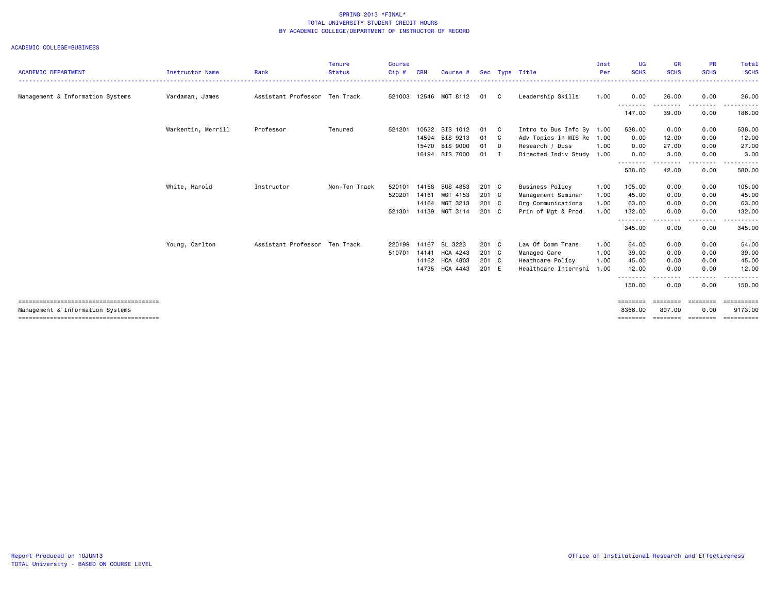|                                  |                        |                     | <b>Tenure</b> | <b>Course</b> |            |                 |         |              |                           | Inst | UG                  | <b>GR</b>          | <b>PR</b>        | Total                       |
|----------------------------------|------------------------|---------------------|---------------|---------------|------------|-----------------|---------|--------------|---------------------------|------|---------------------|--------------------|------------------|-----------------------------|
| <b>ACADEMIC DEPARTMENT</b>       | <b>Instructor Name</b> | Rank                | <b>Status</b> | Cip#          | <b>CRN</b> | Course #        |         |              | Sec Type Title            | Per  | <b>SCHS</b>         | <b>SCHS</b>        | <b>SCHS</b>      | <b>SCHS</b>                 |
| Management & Information Systems | Vardaman, James        | Assistant Professor | Ten Track     | 521003        |            | 12546 MGT 8112  | 01      | - C          | Leadership Skills         | 1.00 | 0.00                | 26.00              | 0.00             | 26.00                       |
|                                  |                        |                     |               |               |            |                 |         |              |                           |      | ---------<br>147.00 | .<br>39.00         | .<br>0.00        | ------<br>186.00            |
|                                  | Warkentin, Merrill     | Professor           | Tenured       | 521201        | 10522      | BIS 1012        | 01      | - C          | Intro to Bus Info Sy 1.00 |      | 538.00              | 0.00               | 0.00             | 538.00                      |
|                                  |                        |                     |               |               | 14594      | BIS 9213        | 01      | $\mathbf{C}$ | Adv Topics In MIS Re 1.00 |      | 0.00                | 12.00              | 0.00             | 12.00                       |
|                                  |                        |                     |               |               | 15470      | BIS 9000        | 01      | <b>D</b>     | Research / Diss           | 1.00 | 0.00                | 27.00              | 0.00             | 27.00                       |
|                                  |                        |                     |               |               | 16194      | BIS 7000        | 01 I    |              | Directed Indiv Study 1.00 |      | 0.00<br>--------    | 3.00               | 0.00             | 3.00                        |
|                                  |                        |                     |               |               |            |                 |         |              |                           |      | 538.00              | 42.00              | 0.00             | 580.00                      |
|                                  | White, Harold          | Instructor          | Non-Ten Track | 520101        | 14168      | <b>BUS 4853</b> | 201 C   |              | <b>Business Policy</b>    | 1.00 | 105.00              | 0.00               | 0.00             | 105.00                      |
|                                  |                        |                     |               | 520201        | 14161      | MGT 4153        | $201$ C |              | Management Seminar        | 1.00 | 45.00               | 0.00               | 0.00             | 45.00                       |
|                                  |                        |                     |               |               | 14164      | MGT 3213        | 201 C   |              | Org Communications        | 1.00 | 63.00               | 0.00               | 0.00             | 63.00                       |
|                                  |                        |                     |               | 521301        | 14139      | MGT 3114        | 201 C   |              | Prin of Mgt & Prod        | 1.00 | 132.00              | 0.00               | 0.00             | 132.00                      |
|                                  |                        |                     |               |               |            |                 |         |              |                           |      | 345.00              | 0.00               | 0.00             | 345.00                      |
|                                  | Young, Carlton         | Assistant Professor | Ten Track     | 220199        | 14167      | BL 3223         | 201 C   |              | Law Of Comm Trans         | 1.00 | 54.00               | 0.00               | 0.00             | 54.00                       |
|                                  |                        |                     |               | 510701        | 14141      | HCA 4243        | $201$ C |              | Managed Care              | 1.00 | 39.00               | 0.00               | 0.00             | 39.00                       |
|                                  |                        |                     |               |               | 14162      | HCA 4803        | 201 C   |              | Heathcare Policy          | 1.00 | 45.00               | 0.00               | 0.00             | 45.00                       |
|                                  |                        |                     |               |               |            | 14735 HCA 4443  | 201 E   |              | Healthcare Internshi      | 1.00 | 12.00               | 0.00               | 0.00             | 12.00                       |
|                                  |                        |                     |               |               |            |                 |         |              |                           |      | 150.00              | 0.00               | 0.00             | 150.00                      |
|                                  |                        |                     |               |               |            |                 |         |              |                           |      | ========            | ========           | ========         | $=$ = = = = = = = = = =     |
| Management & Information Systems |                        |                     |               |               |            |                 |         |              |                           |      | 8366.00<br>======== | 807.00<br>======== | 0.00<br>======== | 9173.00<br><b>CONSESSED</b> |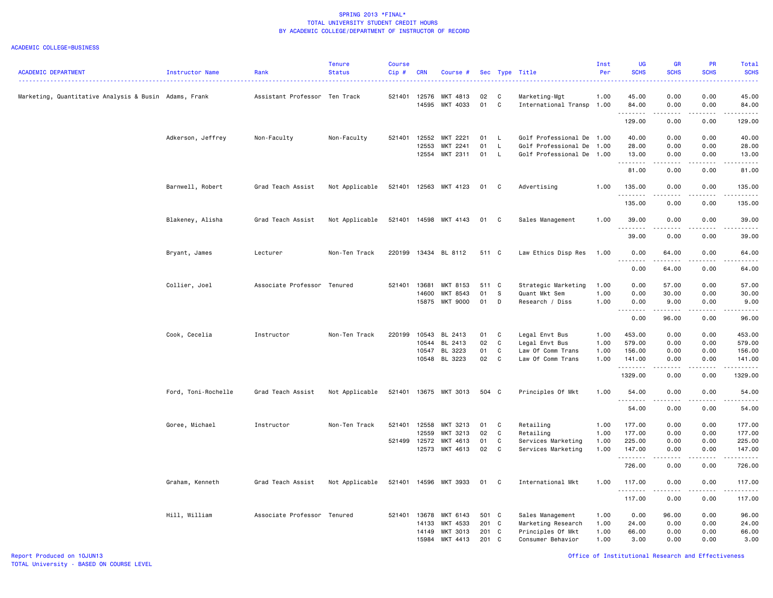|                                                       |                     |                               | <b>Tenure</b>  | <b>Course</b> |            |                             |          |              |                           | Inst | UG                         | <b>GR</b>                                                                                                                         | PR          | Total                                                                                                                                    |
|-------------------------------------------------------|---------------------|-------------------------------|----------------|---------------|------------|-----------------------------|----------|--------------|---------------------------|------|----------------------------|-----------------------------------------------------------------------------------------------------------------------------------|-------------|------------------------------------------------------------------------------------------------------------------------------------------|
| <b>ACADEMIC DEPARTMENT</b>                            | Instructor Name     | Rank                          | <b>Status</b>  | $Cip$ #       | <b>CRN</b> | Course #                    |          |              | Sec Type Title            | Per  | <b>SCHS</b>                | <b>SCHS</b>                                                                                                                       | <b>SCHS</b> | <b>SCHS</b><br>$\frac{1}{2} \left( \frac{1}{2} \right) \left( \frac{1}{2} \right) \left( \frac{1}{2} \right) \left( \frac{1}{2} \right)$ |
| Marketing, Quantitative Analysis & Busin Adams, Frank |                     | Assistant Professor Ten Track |                | 521401        | 12576      | MKT 4813                    | 02       | C            | Marketing-Mgt             | 1.00 | 45.00                      | 0.00                                                                                                                              | 0.00        | 45.00                                                                                                                                    |
|                                                       |                     |                               |                |               | 14595      | MKT 4033                    | 01       | C            | International Transp 1.00 |      | 84.00<br>.                 | 0.00<br>.                                                                                                                         | 0.00        | 84.00<br>.                                                                                                                               |
|                                                       |                     |                               |                |               |            |                             |          |              |                           |      | 129.00                     | 0.00                                                                                                                              | 0.00        | 129.00                                                                                                                                   |
|                                                       | Adkerson, Jeffrey   | Non-Faculty                   | Non-Faculty    | 521401        | 12552      | MKT 2221                    | 01       | $\mathsf{L}$ | Golf Professional De 1.00 |      | 40.00                      | 0.00                                                                                                                              | 0.00        | 40.00                                                                                                                                    |
|                                                       |                     |                               |                |               | 12553      | MKT 2241                    | 01       | $\mathsf{L}$ | Golf Professional De      | 1.00 | 28.00                      | 0.00                                                                                                                              | 0.00        | 28.00                                                                                                                                    |
|                                                       |                     |                               |                |               | 12554      | MKT 2311                    | 01       | L.           | Golf Professional De      | 1.00 | 13.00<br>.                 | 0.00<br>.                                                                                                                         | 0.00<br>.   | 13.00<br>.                                                                                                                               |
|                                                       |                     |                               |                |               |            |                             |          |              |                           |      | 81.00                      | 0.00                                                                                                                              | 0.00        | 81.00                                                                                                                                    |
|                                                       | Barnwell, Robert    | Grad Teach Assist             | Not Applicable | 521401        | 12563      | MKT 4123                    | 01       | C            | Advertising               | 1.00 | 135.00<br>$- - - -$        | 0.00                                                                                                                              | 0.00        | 135.00                                                                                                                                   |
|                                                       |                     |                               |                |               |            |                             |          |              |                           |      | 135.00                     | 0.00                                                                                                                              | 0.00        | 135.00                                                                                                                                   |
|                                                       | Blakeney, Alisha    | Grad Teach Assist             | Not Applicable |               |            | 521401 14598 MKT 4143       | 01       | $\mathbf{C}$ | Sales Management          | 1.00 | 39.00                      | 0.00                                                                                                                              | 0.00        | 39.00                                                                                                                                    |
|                                                       |                     |                               |                |               |            |                             |          |              |                           |      | 39.00                      | 0.00                                                                                                                              | 0.00        | 39.00                                                                                                                                    |
|                                                       | Bryant, James       | Lecturer                      | Non-Ten Track  | 220199        |            | 13434 BL 8112               | 511 C    |              | Law Ethics Disp Res       | 1.00 | 0.00                       | 64.00                                                                                                                             | 0.00        | 64.00                                                                                                                                    |
|                                                       |                     |                               |                |               |            |                             |          |              |                           |      | .<br>0.00                  | 64.00                                                                                                                             | 0.00        | . <u>.</u> .<br>64.00                                                                                                                    |
|                                                       |                     |                               |                |               |            |                             |          |              |                           |      |                            |                                                                                                                                   |             |                                                                                                                                          |
|                                                       | Collier, Joel       | Associate Professor Tenured   |                | 521401        | 13681      | MKT 8153                    | 511 C    |              | Strategic Marketing       | 1.00 | 0.00                       | 57.00                                                                                                                             | 0.00        | 57.00                                                                                                                                    |
|                                                       |                     |                               |                |               | 14600      | MKT 8543<br><b>MKT 9000</b> | 01<br>01 | S<br>D       | Quant Mkt Sem             | 1.00 | 0.00                       | 30.00                                                                                                                             | 0.00        | 30.00                                                                                                                                    |
|                                                       |                     |                               |                |               | 15875      |                             |          |              | Research / Diss           | 1.00 | 0.00<br>.<br>$\sim$ $\sim$ | 9.00<br>.                                                                                                                         | 0.00<br>.   | 9.00<br>.                                                                                                                                |
|                                                       |                     |                               |                |               |            |                             |          |              |                           |      | 0.00                       | 96.00                                                                                                                             | 0.00        | 96.00                                                                                                                                    |
|                                                       | Cook, Cecelia       | Instructor                    | Non-Ten Track  | 220199        | 10543      | BL 2413                     | 01       | C            | Legal Envt Bus            | 1.00 | 453.00                     | 0.00                                                                                                                              | 0.00        | 453.00                                                                                                                                   |
|                                                       |                     |                               |                |               | 10544      | BL 2413                     | 02       | C            | Legal Envt Bus            | 1.00 | 579.00                     | 0.00                                                                                                                              | 0.00        | 579.00                                                                                                                                   |
|                                                       |                     |                               |                |               | 10547      | BL 3223                     | 01       | C            | Law Of Comm Trans         | 1.00 | 156.00                     | 0.00                                                                                                                              | 0.00        | 156.00                                                                                                                                   |
|                                                       |                     |                               |                |               |            | 10548 BL 3223               | 02       | C            | Law Of Comm Trans         | 1.00 | 141.00<br>. <b>.</b>       | 0.00<br>-----                                                                                                                     | 0.00<br>.   | 141.00<br>.                                                                                                                              |
|                                                       |                     |                               |                |               |            |                             |          |              |                           |      | 1329.00                    | 0.00                                                                                                                              | 0.00        | 1329.00                                                                                                                                  |
|                                                       | Ford, Toni-Rochelle | Grad Teach Assist             | Not Applicable |               |            | 521401 13675 MKT 3013       | 504 C    |              | Principles Of Mkt         | 1.00 | 54.00<br>.                 | 0.00<br>.                                                                                                                         | 0.00<br>.   | 54.00<br>.                                                                                                                               |
|                                                       |                     |                               |                |               |            |                             |          |              |                           |      | 54.00                      | 0.00                                                                                                                              | 0.00        | 54.00                                                                                                                                    |
|                                                       | Goree, Michael      | Instructor                    | Non-Ten Track  | 521401        | 12558      | MKT 3213                    | 01       | C            | Retailing                 | 1.00 | 177.00                     | 0.00                                                                                                                              | 0.00        | 177.00                                                                                                                                   |
|                                                       |                     |                               |                |               | 12559      | MKT 3213                    | 02       | C            | Retailing                 | 1.00 | 177.00                     | 0.00                                                                                                                              | 0.00        | 177.00                                                                                                                                   |
|                                                       |                     |                               |                | 521499        | 12572      | MKT 4613                    | 01       | C            | Services Marketing        | 1.00 | 225.00                     | 0.00                                                                                                                              | 0.00        | 225.00                                                                                                                                   |
|                                                       |                     |                               |                |               | 12573      | MKT 4613                    | 02       | C            | Services Marketing        | 1.00 | 147.00<br>.                | 0.00<br>$\frac{1}{2} \left( \frac{1}{2} \right) \left( \frac{1}{2} \right) \left( \frac{1}{2} \right) \left( \frac{1}{2} \right)$ | 0.00<br>.   | 147.00<br>2.2.2.2.2.3                                                                                                                    |
|                                                       |                     |                               |                |               |            |                             |          |              |                           |      | 726.00                     | 0.00                                                                                                                              | 0.00        | 726.00                                                                                                                                   |
|                                                       | Graham, Kenneth     | Grad Teach Assist             | Not Applicable |               |            | 521401 14596 MKT 3933       | 01 C     |              | International Mkt         | 1.00 | 117.00                     | 0.00                                                                                                                              | 0.00        | 117.00                                                                                                                                   |
|                                                       |                     |                               |                |               |            |                             |          |              |                           |      | . <b>.</b><br>117.00       | -----<br>0.00                                                                                                                     | .<br>0.00   | .<br>117.00                                                                                                                              |
|                                                       | Hill, William       | Associate Professor Tenured   |                | 521401 13678  |            | MKT 6143                    | 501 C    |              | Sales Management          | 1.00 | 0.00                       | 96.00                                                                                                                             | 0.00        | 96.00                                                                                                                                    |
|                                                       |                     |                               |                |               | 14133      | MKT 4533                    | 201 C    |              | Marketing Research        | 1.00 | 24.00                      | 0.00                                                                                                                              | 0.00        | 24.00                                                                                                                                    |
|                                                       |                     |                               |                |               | 14149      | MKT 3013                    | 201 C    |              | Principles Of Mkt         | 1.00 | 66.00                      | 0.00                                                                                                                              | 0.00        | 66.00                                                                                                                                    |
|                                                       |                     |                               |                |               | 15984      | MKT 4413                    | 201      | C            | Consumer Behavior         | 1.00 | 3.00                       | 0.00                                                                                                                              | 0.00        | 3.00                                                                                                                                     |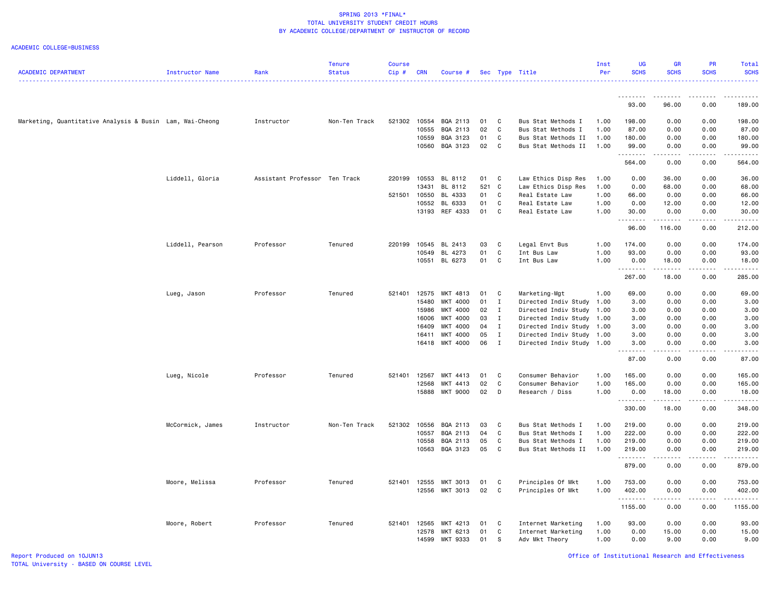| <b>ACADEMIC DEPARTMENT</b>                               | Instructor Name  | Rank                          | <b>Tenure</b><br><b>Status</b> | <b>Course</b><br>Cip# | <b>CRN</b>     | Course #             |             |                             | Sec Type Title                                         | Inst<br>Per  | UG<br><b>SCHS</b>  | <b>GR</b><br><b>SCHS</b> | PR<br><b>SCHS</b>                                                                                                                                            | <b>Total</b><br><b>SCHS</b>                                                |
|----------------------------------------------------------|------------------|-------------------------------|--------------------------------|-----------------------|----------------|----------------------|-------------|-----------------------------|--------------------------------------------------------|--------------|--------------------|--------------------------|--------------------------------------------------------------------------------------------------------------------------------------------------------------|----------------------------------------------------------------------------|
|                                                          |                  |                               |                                |                       |                |                      |             |                             |                                                        |              | <u>.</u>           | .                        | <u>.</u>                                                                                                                                                     | $- - - - - -$                                                              |
|                                                          |                  |                               |                                |                       |                |                      |             |                             |                                                        |              | 93.00              | 96.00                    | 0.00                                                                                                                                                         | 189.00                                                                     |
| Marketing, Quantitative Analysis & Busin Lam, Wai-Cheong |                  | Instructor                    | Non-Ten Track                  | 521302                | 10554          | BQA 2113             | 01          | C                           | Bus Stat Methods I                                     | 1.00         | 198.00             | 0.00                     | 0.00                                                                                                                                                         | 198.00                                                                     |
|                                                          |                  |                               |                                |                       | 10555          | BQA 2113             | 02          | C                           | Bus Stat Methods I                                     | 1.00         | 87.00              | 0.00                     | 0.00                                                                                                                                                         | 87.00                                                                      |
|                                                          |                  |                               |                                |                       | 10559          | BQA 3123             | 01          | C                           | Bus Stat Methods II                                    | 1.00         | 180.00             | 0.00                     | 0.00                                                                                                                                                         | 180.00                                                                     |
|                                                          |                  |                               |                                |                       | 10560          | BQA 3123             | 02          | C                           | Bus Stat Methods II                                    | 1.00         | 99.00<br>.         | 0.00<br>د د د د          | 0.00<br>.                                                                                                                                                    | 99.00                                                                      |
|                                                          |                  |                               |                                |                       |                |                      |             |                             |                                                        |              | 564.00             | 0.00                     | 0.00                                                                                                                                                         | 564.00                                                                     |
|                                                          | Liddell, Gloria  | Assistant Professor Ten Track |                                | 220199                | 10553<br>13431 | BL 8112              | 01          | C                           | Law Ethics Disp Res                                    | 1.00         | 0.00               | 36.00                    | 0.00                                                                                                                                                         | 36.00                                                                      |
|                                                          |                  |                               |                                | 521501                | 10550          | BL 8112<br>BL 4333   | 521 C<br>01 | C                           | Law Ethics Disp Res<br>Real Estate Law                 | 1.00<br>1.00 | 0.00<br>66.00      | 68.00<br>0.00            | 0.00<br>0.00                                                                                                                                                 | 68.00<br>66.00                                                             |
|                                                          |                  |                               |                                |                       | 10552          | BL 6333              | 01          | C                           | Real Estate Law                                        | 1.00         | 0.00               | 12.00                    | 0.00                                                                                                                                                         | 12.00                                                                      |
|                                                          |                  |                               |                                |                       | 13193          | REF 4333             | 01          | C                           | Real Estate Law                                        | 1.00         | 30.00              | 0.00                     | 0.00                                                                                                                                                         | 30.00                                                                      |
|                                                          |                  |                               |                                |                       |                |                      |             |                             |                                                        |              | .                  | .                        | .                                                                                                                                                            | .                                                                          |
|                                                          |                  |                               |                                |                       |                |                      |             |                             |                                                        |              | 96.00              | 116.00                   | 0.00                                                                                                                                                         | 212.00                                                                     |
|                                                          | Liddell, Pearson | Professor                     | Tenured                        | 220199                | 10545          | BL 2413              | 03          | C                           | Legal Envt Bus                                         | 1.00         | 174.00             | 0.00                     | 0.00                                                                                                                                                         | 174.00                                                                     |
|                                                          |                  |                               |                                |                       | 10549          | BL 4273              | 01          | C                           | Int Bus Law                                            | 1.00         | 93.00              | 0.00                     | 0.00                                                                                                                                                         | 93.00                                                                      |
|                                                          |                  |                               |                                |                       |                | 10551 BL 6273        | 01          | C                           | Int Bus Law                                            | 1.00         | 0.00<br>. <b>.</b> | 18.00<br>.               | 0.00<br>.                                                                                                                                                    | 18.00<br>.                                                                 |
|                                                          |                  |                               |                                |                       |                |                      |             |                             |                                                        |              | 267.00             | 18.00                    | 0.00                                                                                                                                                         | 285.00                                                                     |
|                                                          | Lueg, Jason      | Professor                     | Tenured                        | 521401                | 12575          | MKT 4813             | 01          | C                           | Marketing-Mgt                                          | 1.00         | 69.00              | 0.00                     | 0.00                                                                                                                                                         | 69.00                                                                      |
|                                                          |                  |                               |                                |                       | 15480          | MKT 4000             | 01          | $\mathbf I$                 | Directed Indiv Study                                   | 1.00         | 3.00               | 0.00                     | 0.00                                                                                                                                                         | 3.00                                                                       |
|                                                          |                  |                               |                                |                       | 15986          | MKT 4000             | 02          | $\mathbf{I}$                | Directed Indiv Study 1.00                              |              | 3.00               | 0.00                     | 0.00                                                                                                                                                         | 3.00                                                                       |
|                                                          |                  |                               |                                |                       | 16006          | MKT 4000             | 03          | I                           | Directed Indiv Study                                   | 1.00         | 3.00               | 0.00                     | 0.00                                                                                                                                                         | 3.00                                                                       |
|                                                          |                  |                               |                                |                       | 16409          | MKT 4000             | 04          | $\mathbf{I}$                | Directed Indiv Study 1.00                              |              | 3.00               | 0.00                     | 0.00                                                                                                                                                         | 3.00                                                                       |
|                                                          |                  |                               |                                |                       | 16411<br>16418 | MKT 4000<br>MKT 4000 | 05<br>06    | $\mathbf I$<br>$\mathbf{I}$ | Directed Indiv Study 1.00<br>Directed Indiv Study 1.00 |              | 3.00<br>3.00       | 0.00<br>0.00             | 0.00<br>0.00                                                                                                                                                 | 3.00<br>3.00                                                               |
|                                                          |                  |                               |                                |                       |                |                      |             |                             |                                                        |              | <u>.</u>           | .                        | .                                                                                                                                                            | .                                                                          |
|                                                          |                  |                               |                                |                       |                |                      |             |                             |                                                        |              | 87.00              | 0.00                     | 0.00                                                                                                                                                         | 87.00                                                                      |
|                                                          | Lueg, Nicole     | Professor                     | Tenured                        | 521401                | 12567          | MKT 4413             | 01          | C                           | Consumer Behavior                                      | 1.00         | 165.00             | 0.00                     | 0.00                                                                                                                                                         | 165.00                                                                     |
|                                                          |                  |                               |                                |                       | 12568          | MKT 4413             | 02          | C                           | Consumer Behavior                                      | 1.00         | 165.00             | 0.00                     | 0.00                                                                                                                                                         | 165.00                                                                     |
|                                                          |                  |                               |                                |                       | 15888          | <b>MKT 9000</b>      | 02          | D                           | Research / Diss                                        | 1.00         | 0.00<br>. <b>.</b> | 18.00<br>.               | 0.00<br>.                                                                                                                                                    | 18.00<br>$\omega_{\alpha}=\omega_{\alpha}=\omega_{\alpha}=\omega_{\alpha}$ |
|                                                          |                  |                               |                                |                       |                |                      |             |                             |                                                        |              | 330.00             | 18.00                    | 0.00                                                                                                                                                         | 348.00                                                                     |
|                                                          | McCormick, James | Instructor                    | Non-Ten Track                  | 521302                | 10556          | BQA 2113             | 03          | C                           | Bus Stat Methods I                                     | 1.00         | 219.00             | 0.00                     | 0.00                                                                                                                                                         | 219.00                                                                     |
|                                                          |                  |                               |                                |                       | 10557          | BQA 2113             | 04          | C                           | Bus Stat Methods I                                     | 1.00         | 222.00             | 0.00                     | 0.00                                                                                                                                                         | 222.00                                                                     |
|                                                          |                  |                               |                                |                       | 10558          | BQA 2113             | 05          | C                           | Bus Stat Methods I                                     | 1.00         | 219.00             | 0.00                     | 0.00                                                                                                                                                         | 219.00                                                                     |
|                                                          |                  |                               |                                |                       | 10563          | BQA 3123             | 05          | C                           | Bus Stat Methods II                                    | 1.00         | 219.00             | 0.00                     | 0.00                                                                                                                                                         | 219.00                                                                     |
|                                                          |                  |                               |                                |                       |                |                      |             |                             |                                                        |              | .<br>879.00        | .<br>0.00                | المتماما<br>0.00                                                                                                                                             | .<br>879.00                                                                |
|                                                          | Moore, Melissa   | Professor                     | Tenured                        | 521401 12555          |                | MKT 3013             | 01          | C                           | Principles Of Mkt                                      | 1.00         | 753.00             | 0.00                     | 0.00                                                                                                                                                         | 753.00                                                                     |
|                                                          |                  |                               |                                |                       |                | 12556 MKT 3013       | 02          | C                           | Principles Of Mkt                                      | 1.00         | 402.00             | 0.00                     | 0.00                                                                                                                                                         | 402.00                                                                     |
|                                                          |                  |                               |                                |                       |                |                      |             |                             |                                                        |              | .<br>1155.00       | .<br>0.00                | $\frac{1}{2} \left( \frac{1}{2} \right) \left( \frac{1}{2} \right) \left( \frac{1}{2} \right) \left( \frac{1}{2} \right) \left( \frac{1}{2} \right)$<br>0.00 | .<br>1155.00                                                               |
|                                                          | Moore, Robert    | Professor                     | Tenured                        | 521401 12565          |                | MKT 4213             | 01          | C                           | Internet Marketing                                     | 1.00         | 93.00              | 0.00                     | 0.00                                                                                                                                                         | 93.00                                                                      |
|                                                          |                  |                               |                                |                       | 12578          | MKT 6213             | 01          | C                           | Internet Marketing                                     | 1.00         | 0.00               | 15.00                    | 0.00                                                                                                                                                         | 15.00                                                                      |
|                                                          |                  |                               |                                |                       | 14599          | MKT 9333             | 01          | S                           | Adv Mkt Theory                                         | 1.00         | 0.00               | 9.00                     | 0.00                                                                                                                                                         | 9.00                                                                       |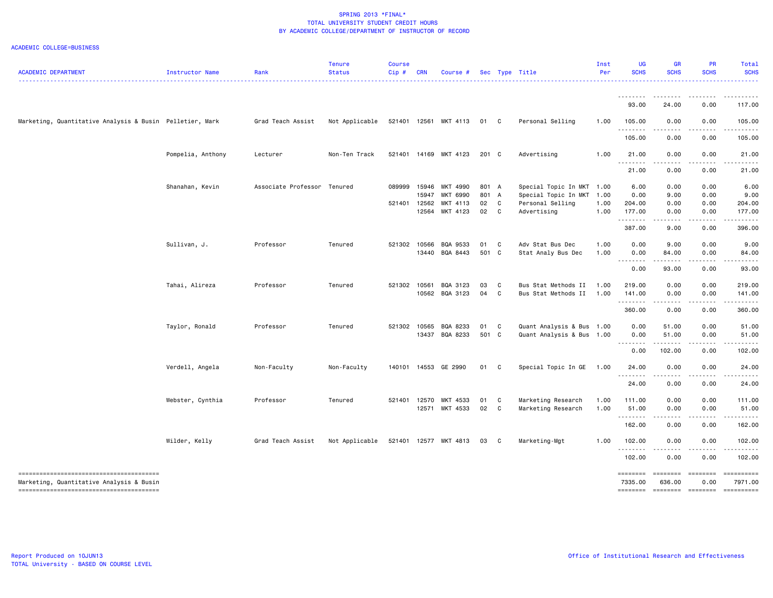| ACADEMIC DEPARTMENT                                      | Instructor Name   | Rank                        | <b>Tenure</b><br><b>Status</b> | <b>Course</b><br>Cip# | <b>CRN</b> | Course #              |       |              | Sec Type Title            | Inst<br>Per | <b>UG</b><br><b>SCHS</b>                                                                    | <b>GR</b><br><b>SCHS</b>                                                                                                                                      | PR<br><b>SCHS</b>    | Total<br><b>SCHS</b>  |
|----------------------------------------------------------|-------------------|-----------------------------|--------------------------------|-----------------------|------------|-----------------------|-------|--------------|---------------------------|-------------|---------------------------------------------------------------------------------------------|---------------------------------------------------------------------------------------------------------------------------------------------------------------|----------------------|-----------------------|
|                                                          |                   |                             |                                |                       |            |                       |       |              |                           |             |                                                                                             |                                                                                                                                                               |                      |                       |
|                                                          |                   |                             |                                |                       |            |                       |       |              |                           |             | .<br>93.00                                                                                  | 24.00                                                                                                                                                         | 0.00                 | 117.00                |
| Marketing, Quantitative Analysis & Busin Pelletier, Mark |                   | Grad Teach Assist           | Not Applicable                 |                       |            | 521401 12561 MKT 4113 | 01 C  |              | Personal Selling          | 1.00        | 105.00<br>.                                                                                 | 0.00<br>$\sim$ $\sim$ $\sim$ $\sim$                                                                                                                           | 0.00                 | 105.00                |
|                                                          |                   |                             |                                |                       |            |                       |       |              |                           |             | 105.00                                                                                      | 0.00                                                                                                                                                          | 0.00                 | 105.00                |
|                                                          | Pompelia, Anthony | Lecturer                    | Non-Ten Track                  |                       |            | 521401 14169 MKT 4123 | 201 C |              | Advertising               | 1.00        | 21.00<br>.                                                                                  | 0.00<br>$\sim$ $\sim$ $\sim$ $\sim$                                                                                                                           | 0.00<br>.            | 21.00                 |
|                                                          |                   |                             |                                |                       |            |                       |       |              |                           |             | 21.00                                                                                       | 0.00                                                                                                                                                          | 0.00                 | 21.00                 |
|                                                          | Shanahan, Kevin   | Associate Professor Tenured |                                | 089999                | 15946      | MKT 4990              | 801 A |              | Special Topic In MKT 1.00 |             | 6.00                                                                                        | 0.00                                                                                                                                                          | 0.00                 | 6.00                  |
|                                                          |                   |                             |                                |                       | 15947      | MKT 6990              | 801 A |              | Special Topic In MKT      | 1.00        | 0.00                                                                                        | 9.00                                                                                                                                                          | 0.00                 | 9.00                  |
|                                                          |                   |                             |                                | 521401                | 12562      | MKT 4113              | 02    | C            | Personal Selling          | 1.00        | 204.00                                                                                      | 0.00                                                                                                                                                          | 0.00                 | 204.00                |
|                                                          |                   |                             |                                |                       |            | 12564 MKT 4123        | 02 C  |              | Advertising               | 1.00        | 177.00<br>.                                                                                 | 0.00<br>.                                                                                                                                                     | 0.00<br>.            | 177.00                |
|                                                          |                   |                             |                                |                       |            |                       |       |              |                           |             | 387.00                                                                                      | 9.00                                                                                                                                                          | 0.00                 | 396.00                |
|                                                          | Sullivan, J.      | Professor                   | Tenured                        | 521302                | 10566      | BQA 9533              | 01 C  |              | Adv Stat Bus Dec          | 1.00        | 0.00                                                                                        | 9.00                                                                                                                                                          | 0.00                 | 9.00                  |
|                                                          |                   |                             |                                |                       |            | 13440 BQA 8443        | 501 C |              | Stat Analy Bus Dec        | 1.00        | 0.00<br>.                                                                                   | 84.00<br>$\frac{1}{2} \left( \frac{1}{2} \right) \left( \frac{1}{2} \right) \left( \frac{1}{2} \right) \left( \frac{1}{2} \right) \left( \frac{1}{2} \right)$ | 0.00<br>.            | 84.00                 |
|                                                          |                   |                             |                                |                       |            |                       |       |              |                           |             | 0.00                                                                                        | 93.00                                                                                                                                                         | 0.00                 | 93.00                 |
|                                                          | Tahai, Alireza    | Professor                   | Tenured                        | 521302                | 10561      | BQA 3123              | 03    | C            | Bus Stat Methods II       | 1.00        | 219.00                                                                                      | 0.00                                                                                                                                                          | 0.00                 | 219.00                |
|                                                          |                   |                             |                                |                       |            | 10562 BQA 3123        | 04 C  |              | Bus Stat Methods II       | 1.00        | 141.00<br>.                                                                                 | 0.00<br>.                                                                                                                                                     | 0.00<br>$-$ - - - -  | 141.00<br>.           |
|                                                          |                   |                             |                                |                       |            |                       |       |              |                           |             | 360.00                                                                                      | 0.00                                                                                                                                                          | 0.00                 | 360.00                |
|                                                          | Taylor, Ronald    | Professor                   | Tenured                        | 521302                | 10565      | BQA 8233              | 01    | C            | Quant Analysis & Bus      | 1.00        | 0.00                                                                                        | 51.00                                                                                                                                                         | 0.00                 | 51.00                 |
|                                                          |                   |                             |                                |                       |            | 13437 BQA 8233        | 501 C |              | Quant Analysis & Bus 1.00 |             | 0.00<br>.                                                                                   | 51.00<br>.                                                                                                                                                    | 0.00<br>.            | 51.00<br>.            |
|                                                          |                   |                             |                                |                       |            |                       |       |              |                           |             | 0.00                                                                                        | 102.00                                                                                                                                                        | 0.00                 | 102.00                |
|                                                          | Verdell, Angela   | Non-Faculty                 | Non-Faculty                    | 140101                |            | 14553 GE 2990         | 01    | $\mathbf{C}$ | Special Topic In GE       | 1.00        | 24.00<br>.                                                                                  | 0.00<br>$\sim$ $\sim$ $\sim$                                                                                                                                  | 0.00                 | 24.00                 |
|                                                          |                   |                             |                                |                       |            |                       |       |              |                           |             | 24.00                                                                                       | 0.00                                                                                                                                                          | 0.00                 | 24.00                 |
|                                                          | Webster, Cynthia  | Professor                   | Tenured                        | 521401                | 12570      | MKT 4533              | 01    | C            | Marketing Research        | 1.00        | 111.00                                                                                      | 0.00                                                                                                                                                          | 0.00                 | 111.00                |
|                                                          |                   |                             |                                |                       |            | 12571 MKT 4533        | 02    | $\mathbf{C}$ | Marketing Research        | 1.00        | 51.00<br>.                                                                                  | 0.00                                                                                                                                                          | 0.00                 | 51.00                 |
|                                                          |                   |                             |                                |                       |            |                       |       |              |                           |             | 162.00                                                                                      | 0.00                                                                                                                                                          | 0.00                 | 162.00                |
|                                                          | Wilder, Kelly     | Grad Teach Assist           | Not Applicable                 | 521401                | 12577      | MKT 4813              | 03    | - C          | Marketing-Mgt             | 1.00        | 102.00<br>. <b>.</b>                                                                        | 0.00                                                                                                                                                          | 0.00                 | 102.00                |
|                                                          |                   |                             |                                |                       |            |                       |       |              |                           |             | 102.00                                                                                      | 0.00                                                                                                                                                          | 0.00                 | 102.00                |
|                                                          |                   |                             |                                |                       |            |                       |       |              |                           |             | ========                                                                                    | ========                                                                                                                                                      | $=$ ========         | ==========            |
| Marketing, Quantitative Analysis & Busin                 |                   |                             |                                |                       |            |                       |       |              |                           |             | 7335.00<br>$\begin{array}{c} \texttt{m} = \texttt{m} = \texttt{m} = \texttt{m} \end{array}$ | 636.00<br>$=$ ========                                                                                                                                        | 0.00<br>$=$ ======== | 7971.00<br>-222222222 |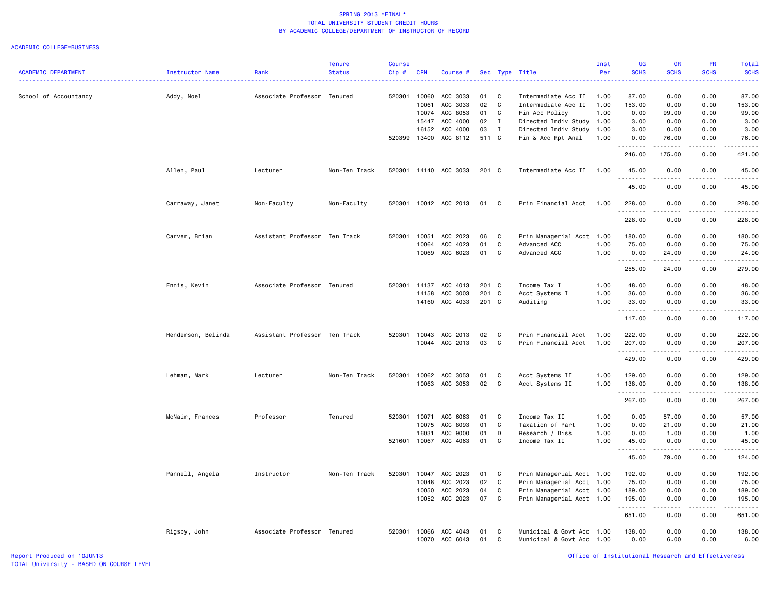#### ACADEMIC COLLEGE=BUSINESS

|                            |                    |                               | <b>Tenure</b> | Course |            |                |       |              |                           | Inst | <b>UG</b>          | GR                                                                                                                                                           | <b>PR</b>   | <b>Total</b>                                                                                                                                                                              |
|----------------------------|--------------------|-------------------------------|---------------|--------|------------|----------------|-------|--------------|---------------------------|------|--------------------|--------------------------------------------------------------------------------------------------------------------------------------------------------------|-------------|-------------------------------------------------------------------------------------------------------------------------------------------------------------------------------------------|
| <b>ACADEMIC DEPARTMENT</b> | Instructor Name    | Rank                          | <b>Status</b> | Cip#   | <b>CRN</b> | Course #       | Sec   | Type         | Title                     | Per  | <b>SCHS</b>        | <b>SCHS</b>                                                                                                                                                  | <b>SCHS</b> | <b>SCHS</b><br>$\omega$ is $\omega$ in .                                                                                                                                                  |
| School of Accountancy      | Addy, Noel         | Associate Professor Tenured   |               | 520301 | 10060      | ACC 3033       | 01    | C            | Intermediate Acc II       | 1.00 | 87.00              | 0.00                                                                                                                                                         | 0.00        | 87.00                                                                                                                                                                                     |
|                            |                    |                               |               |        | 10061      | ACC 3033       | 02    | C            | Intermediate Acc II       | 1.00 | 153.00             | 0.00                                                                                                                                                         | 0.00        | 153.00                                                                                                                                                                                    |
|                            |                    |                               |               |        | 10074      | ACC 8053       | 01    | C            | Fin Acc Policy            | 1.00 | 0.00               | 99.00                                                                                                                                                        | 0.00        | 99.00                                                                                                                                                                                     |
|                            |                    |                               |               |        | 15447      | ACC 4000       | 02    | $\mathbf{I}$ | Directed Indiv Study 1.00 |      | 3.00               | 0.00                                                                                                                                                         | 0.00        | 3.00                                                                                                                                                                                      |
|                            |                    |                               |               |        | 16152      | ACC 4000       | 03    | $\mathbf{I}$ | Directed Indiv Study 1.00 |      | 3.00               | 0.00                                                                                                                                                         | 0.00        | 3.00                                                                                                                                                                                      |
|                            |                    |                               |               | 520399 | 13400      | ACC 8112       | 511 C |              | Fin & Acc Rpt Anal        | 1.00 | 0.00               | 76.00                                                                                                                                                        | 0.00        | 76.00<br>.                                                                                                                                                                                |
|                            |                    |                               |               |        |            |                |       |              |                           |      | 246.00             | 175.00                                                                                                                                                       | 0.00        | 421.00                                                                                                                                                                                    |
|                            | Allen, Paul        | Lecturer                      | Non-Ten Track | 520301 |            | 14140 ACC 3033 | 201 C |              | Intermediate Acc II       | 1.00 | 45.00<br>.         | 0.00                                                                                                                                                         | 0.00        | 45.00<br>.                                                                                                                                                                                |
|                            |                    |                               |               |        |            |                |       |              |                           |      | 45.00              | 0.00                                                                                                                                                         | 0.00        | 45.00                                                                                                                                                                                     |
|                            | Carraway, Janet    | Non-Faculty                   | Non-Faculty   | 520301 |            | 10042 ACC 2013 | 01    | C            | Prin Financial Acct       | 1.00 | 228.00<br>.        | 0.00                                                                                                                                                         | 0.00        | 228.00<br>$\frac{1}{2} \left( \frac{1}{2} \right) \left( \frac{1}{2} \right) \left( \frac{1}{2} \right) \left( \frac{1}{2} \right) \left( \frac{1}{2} \right) \left( \frac{1}{2} \right)$ |
|                            |                    |                               |               |        |            |                |       |              |                           |      | 228.00             | 0.00                                                                                                                                                         | 0.00        | 228.00                                                                                                                                                                                    |
|                            | Carver, Brian      | Assistant Professor Ten Track |               | 520301 | 10051      | ACC 2023       | 06    | C            | Prin Managerial Acct 1.00 |      | 180.00             | 0.00                                                                                                                                                         | 0.00        | 180.00                                                                                                                                                                                    |
|                            |                    |                               |               |        | 10064      | ACC 4023       | 01    | C            | Advanced ACC              | 1.00 | 75.00              | 0.00                                                                                                                                                         | 0.00        | 75.00                                                                                                                                                                                     |
|                            |                    |                               |               |        | 10069      | ACC 6023       | 01    | $\mathtt{C}$ | Advanced ACC              | 1.00 | 0.00<br>. <b>.</b> | 24.00<br>.                                                                                                                                                   | 0.00<br>.   | 24.00<br>.                                                                                                                                                                                |
|                            |                    |                               |               |        |            |                |       |              |                           |      | 255.00             | 24.00                                                                                                                                                        | 0.00        | 279.00                                                                                                                                                                                    |
|                            | Ennis, Kevin       | Associate Professor Tenured   |               | 520301 | 14137      | ACC 4013       | 201 C |              | Income Tax I              | 1.00 | 48.00              | 0.00                                                                                                                                                         | 0.00        | 48.00                                                                                                                                                                                     |
|                            |                    |                               |               |        | 14158      | ACC 3003       | 201 C |              | Acct Systems I            | 1.00 | 36.00              | 0.00                                                                                                                                                         | 0.00        | 36.00                                                                                                                                                                                     |
|                            |                    |                               |               |        | 14160      | ACC 4033       | 201 C |              | Auditing                  | 1.00 | 33.00<br>.         | 0.00<br>$\frac{1}{2} \left( \frac{1}{2} \right) \left( \frac{1}{2} \right) \left( \frac{1}{2} \right) \left( \frac{1}{2} \right) \left( \frac{1}{2} \right)$ | 0.00<br>.   | 33.00                                                                                                                                                                                     |
|                            |                    |                               |               |        |            |                |       |              |                           |      | 117.00             | 0.00                                                                                                                                                         | 0.00        | 117.00                                                                                                                                                                                    |
|                            | Henderson, Belinda | Assistant Professor Ten Track |               | 520301 | 10043      | ACC 2013       | 02    | C            | Prin Financial Acct       | 1.00 | 222.00             | 0.00                                                                                                                                                         | 0.00        | 222.00                                                                                                                                                                                    |
|                            |                    |                               |               |        | 10044      | ACC 2013       | 03    | C            | Prin Financial Acct       | 1.00 | 207.00             | 0.00                                                                                                                                                         | 0.00        | 207.00                                                                                                                                                                                    |
|                            |                    |                               |               |        |            |                |       |              |                           |      | . <b>.</b>         | .                                                                                                                                                            | .           | $- - - - - -$                                                                                                                                                                             |
|                            |                    |                               |               |        |            |                |       |              |                           |      | 429.00             | 0.00                                                                                                                                                         | 0.00        | 429.00                                                                                                                                                                                    |
|                            | Lehman, Mark       | Lecturer                      | Non-Ten Track | 520301 | 10062      | ACC 3053       | 01    | C            | Acct Systems II           | 1.00 | 129.00             | 0.00                                                                                                                                                         | 0.00        | 129.00                                                                                                                                                                                    |
|                            |                    |                               |               |        | 10063      | ACC 3053       | 02    | C            | Acct Systems II           | 1.00 | 138.00             | 0.00                                                                                                                                                         | 0.00        | 138.00                                                                                                                                                                                    |
|                            |                    |                               |               |        |            |                |       |              |                           |      | .                  |                                                                                                                                                              | .           | .                                                                                                                                                                                         |
|                            |                    |                               |               |        |            |                |       |              |                           |      | 267.00             | 0.00                                                                                                                                                         | 0.00        | 267.00                                                                                                                                                                                    |
|                            | McNair, Frances    | Professor                     | Tenured       | 520301 | 10071      | ACC 6063       | 01    | C            | Income Tax II             | 1.00 | 0.00               | 57.00                                                                                                                                                        | 0.00        | 57.00                                                                                                                                                                                     |
|                            |                    |                               |               |        | 10075      | ACC 8093       | 01    | C            | Taxation of Part          | 1.00 | 0.00               | 21.00                                                                                                                                                        | 0.00        | 21.00                                                                                                                                                                                     |
|                            |                    |                               |               |        | 16031      | ACC 9000       | 01    | D            | Research / Diss           | 1.00 | 0.00               | 1.00                                                                                                                                                         | 0.00        | 1.00                                                                                                                                                                                      |
|                            |                    |                               |               | 521601 | 10067      | ACC 4063       | 01    | $\mathbb{C}$ | Income Tax II             | 1.00 | 45.00<br>.         | 0.00<br>.                                                                                                                                                    | 0.00<br>.   | 45.00<br>.                                                                                                                                                                                |
|                            |                    |                               |               |        |            |                |       |              |                           |      | 45.00              | 79.00                                                                                                                                                        | 0.00        | 124.00                                                                                                                                                                                    |
|                            | Pannell, Angela    | Instructor                    | Non-Ten Track | 520301 | 10047      | ACC 2023       | 01    | C            | Prin Managerial Acct 1.00 |      | 192.00             | 0.00                                                                                                                                                         | 0.00        | 192.00                                                                                                                                                                                    |
|                            |                    |                               |               |        | 10048      | ACC 2023       | 02    | C            | Prin Managerial Acct 1.00 |      | 75.00              | 0.00                                                                                                                                                         | 0.00        | 75.00                                                                                                                                                                                     |
|                            |                    |                               |               |        | 10050      | ACC 2023       | 04    | C            | Prin Managerial Acct 1.00 |      | 189.00             | 0.00                                                                                                                                                         | 0.00        | 189.00                                                                                                                                                                                    |
|                            |                    |                               |               |        | 10052      | ACC 2023       | 07    | C            | Prin Managerial Acct 1.00 |      | 195.00<br>.        | 0.00<br>.                                                                                                                                                    | 0.00<br>.   | 195.00<br>$- - - - - - -$                                                                                                                                                                 |
|                            |                    |                               |               |        |            |                |       |              |                           |      | 651.00             | 0.00                                                                                                                                                         | 0.00        | 651.00                                                                                                                                                                                    |
|                            | Rigsby, John       | Associate Professor Tenured   |               | 520301 | 10066      | ACC 4043       | 01    | C            | Municipal & Govt Acc 1.00 |      | 138.00             | 0.00                                                                                                                                                         | 0.00        | 138.00                                                                                                                                                                                    |
|                            |                    |                               |               |        | 10070      | ACC 6043       | 01    | C            | Municipal & Govt Acc      | 1.00 | 0.00               | 6.00                                                                                                                                                         | 0.00        | 6.00                                                                                                                                                                                      |

Report Produced on 10JUN13 Office of Institutional Research and Effectiveness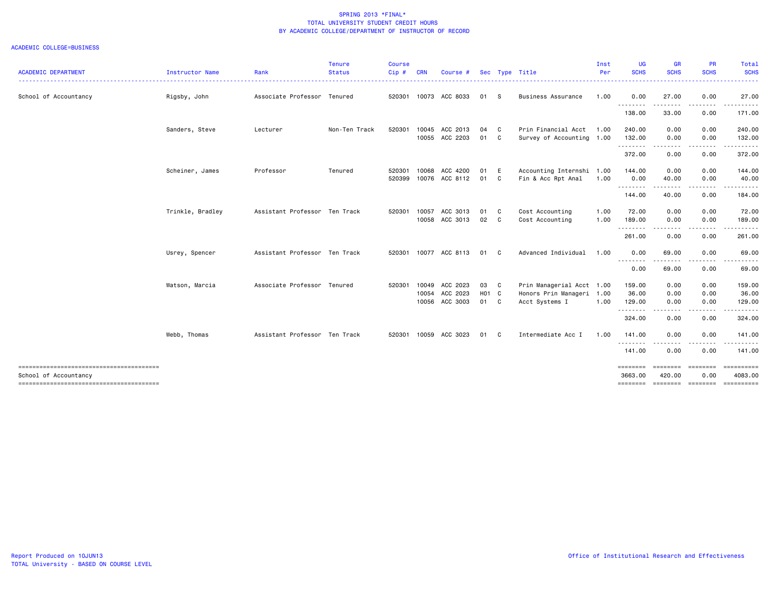| <b>ACADEMIC DEPARTMENT</b>             | Instructor Name  | Rank                          | <b>Tenure</b><br><b>Status</b> | <b>Course</b><br>Cip# | <b>CRN</b> | Course #       |       |              | Sec Type Title            | Inst<br>Per | UG<br><b>SCHS</b>   | <b>GR</b><br><b>SCHS</b> | <b>PR</b><br><b>SCHS</b> | Total<br><b>SCHS</b>   |
|----------------------------------------|------------------|-------------------------------|--------------------------------|-----------------------|------------|----------------|-------|--------------|---------------------------|-------------|---------------------|--------------------------|--------------------------|------------------------|
| School of Accountancy                  | Rigsby, John     | Associate Professor Tenured   |                                | 520301                |            | 10073 ACC 8033 | 01 S  |              | Business Assurance        | 1.00        | . <u>.</u><br>0.00  | . <b>.</b><br>27.00      | 0.00                     | ------<br>27.00        |
|                                        |                  |                               |                                |                       |            |                |       |              |                           |             | .<br>138.00         | 33.00                    | 0.00                     | 171.00                 |
|                                        | Sanders, Steve   | Lecturer                      | Non-Ten Track                  | 520301                | 10045      | ACC 2013       | 04    | $\mathbf{C}$ | Prin Financial Acct       | 1.00        | 240.00              | 0.00                     | 0.00                     | 240.00                 |
|                                        |                  |                               |                                |                       |            | 10055 ACC 2203 | 01 C  |              | Survey of Accounting 1.00 |             | 132.00<br>--------- | 0.00<br>.                | 0.00<br>.                | 132.00<br>. <u>.</u> . |
|                                        |                  |                               |                                |                       |            |                |       |              |                           |             | 372.00              | 0.00                     | 0.00                     | 372.00                 |
|                                        | Scheiner, James  | Professor                     | Tenured                        | 520301                | 10068      | ACC 4200       | 01    | E            | Accounting Internshi 1.00 |             | 144.00              | 0.00                     | 0.00                     | 144.00                 |
|                                        |                  |                               |                                | 520399                |            | 10076 ACC 8112 | 01    | C.           | Fin & Acc Rpt Anal        | 1.00        | 0.00<br>.           | 40.00<br>.               | 0.00                     | 40.00                  |
|                                        |                  |                               |                                |                       |            |                |       |              |                           |             | 144.00              | 40.00                    | 0.00                     | 184.00                 |
|                                        | Trinkle, Bradley | Assistant Professor Ten Track |                                | 520301                | 10057      | ACC 3013       | 01 C  |              | Cost Accounting           | 1.00        | 72.00               | 0.00                     | 0.00                     | 72.00                  |
|                                        |                  |                               |                                |                       |            | 10058 ACC 3013 | 02 C  |              | Cost Accounting           | 1.00        | 189.00<br>.         | 0.00<br>.                | 0.00<br>.                | 189.00                 |
|                                        |                  |                               |                                |                       |            |                |       |              |                           |             | 261.00              | 0.00                     | 0.00                     | 261.00                 |
|                                        | Usrey, Spencer   | Assistant Professor Ten Track |                                | 520301                |            | 10077 ACC 8113 | 01 C  |              | Advanced Individual       | 1.00        | 0.00                | 69.00                    | 0.00                     | 69.00                  |
|                                        |                  |                               |                                |                       |            |                |       |              |                           |             | .<br>0.00           | .<br>69.00               | 0.00                     | 69.00                  |
|                                        | Watson, Marcia   | Associate Professor Tenured   |                                | 520301                | 10049      | ACC 2023       | 03 C  |              | Prin Managerial Acct 1.00 |             | 159.00              | 0.00                     | 0.00                     | 159.00                 |
|                                        |                  |                               |                                |                       | 10054      | ACC 2023       | H01 C |              | Honors Prin Manageri 1.00 |             | 36.00               | 0.00                     | 0.00                     | 36.00                  |
|                                        |                  |                               |                                |                       |            | 10056 ACC 3003 | 01 C  |              | Acct Systems I            | 1.00        | 129.00<br>.         | 0.00<br>- - - -          | 0.00                     | 129.00                 |
|                                        |                  |                               |                                |                       |            |                |       |              |                           |             | 324.00              | 0.00                     | 0.00                     | 324.00                 |
|                                        | Webb, Thomas     | Assistant Professor Ten Track |                                | 520301                |            | 10059 ACC 3023 | 01 C  |              | Intermediate Acc I        | 1.00        | 141.00              | 0.00                     | 0.00                     | 141.00                 |
|                                        |                  |                               |                                |                       |            |                |       |              |                           |             | .<br>141.00         | 0.00                     | 0.00                     | 141.00                 |
| -------------------------------------- |                  |                               |                                |                       |            |                |       |              |                           |             | ========            |                          | ======== ========        | ==========             |
| School of Accountancy                  |                  |                               |                                |                       |            |                |       |              |                           |             | 3663,00<br>======== | 420.00                   | 0.00                     | 4083.00<br>==========  |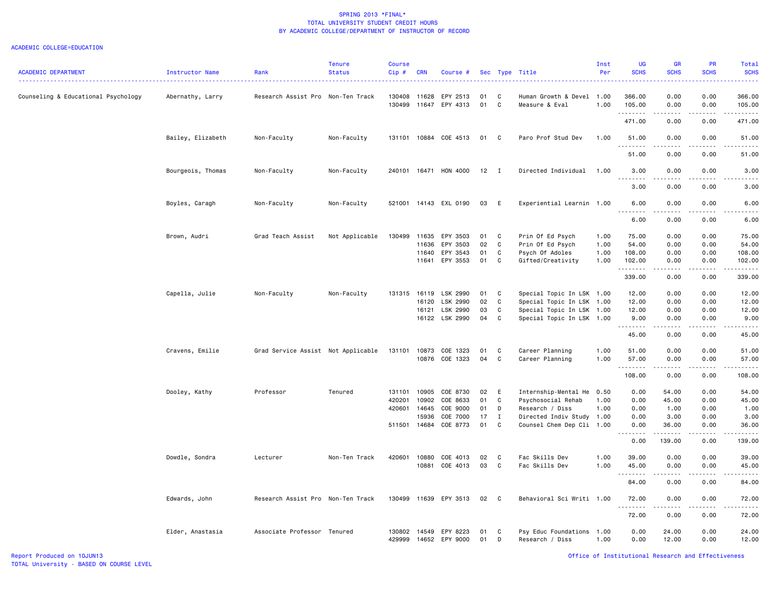| <b>ACADEMIC DEPARTMENT</b>          | Instructor Name<br>Rank          | <b>Tenure</b><br><b>Status</b>     | Course<br>$Cip$ # | <b>CRN</b>   | Course #                   |          | Sec Type     | Title                                       | Inst<br>Per  | <b>UG</b><br><b>SCHS</b>     | GR<br><b>SCHS</b> | PR<br><b>SCHS</b>     | Total<br><b>SCHS</b> |
|-------------------------------------|----------------------------------|------------------------------------|-------------------|--------------|----------------------------|----------|--------------|---------------------------------------------|--------------|------------------------------|-------------------|-----------------------|----------------------|
|                                     |                                  |                                    |                   | 11628        | EPY 2513                   | 01       |              |                                             |              | 366.00                       | 0.00              | 0.00                  | .<br>366.00          |
| Counseling & Educational Psychology | Abernathy, Larry                 | Research Assist Pro Non-Ten Track  | 130408<br>130499  | 11647        | EPY 4313                   | 01       | C<br>C       | Human Growth & Devel 1.00<br>Measure & Eval | 1.00         | 105.00<br>.                  | 0.00              | 0.00                  | 105.00<br>.          |
|                                     |                                  |                                    |                   |              |                            |          |              |                                             |              | 471.00                       | 0.00              | 0.00                  | 471.00               |
|                                     | Bailey, Elizabeth<br>Non-Faculty | Non-Faculty                        |                   |              | 131101 10884 COE 4513      | 01       | C            | Paro Prof Stud Dev                          | 1.00         | 51.00                        | 0.00              | 0.00                  | 51.00                |
|                                     |                                  |                                    |                   |              |                            |          |              |                                             |              | 51.00                        | 0.00              | 0.00                  | 51.00                |
|                                     | Bourgeois, Thomas<br>Non-Faculty | Non-Faculty                        |                   |              | 240101 16471 HON 4000      | 12       | $\mathbf{I}$ | Directed Individual                         | 1.00         | 3.00<br>.                    | 0.00              | 0.00                  | 3.00<br>.            |
|                                     |                                  |                                    |                   |              |                            |          |              |                                             |              | 3.00                         | 0.00              | 0.00                  | 3.00                 |
| Boyles, Caragh                      | Non-Faculty                      | Non-Faculty                        |                   |              | 521001 14143 EXL 0190      | 03       | E            | Experiential Learnin 1.00                   |              | 6.00<br>$\sim$ $\sim$ .<br>. | 0.00<br>.         | 0.00<br>$- - - -$     | 6.00<br>-----        |
|                                     |                                  |                                    |                   |              |                            |          |              |                                             |              | 6.00                         | 0.00              | 0.00                  | 6.00                 |
| Brown, Audri                        | Grad Teach Assist                | Not Applicable                     | 130499            | 11635        | EPY 3503                   | 01       | C            | Prin Of Ed Psych                            | 1.00         | 75.00                        | 0.00              | 0.00                  | 75.00                |
|                                     |                                  |                                    |                   | 11636        | EPY 3503                   | 02       | $\mathbf c$  | Prin Of Ed Psych                            | 1.00         | 54.00                        | 0.00              | 0.00                  | 54.00                |
|                                     |                                  |                                    |                   | 11640        | EPY 3543                   | 01       | C            | Psych Of Adoles                             | 1.00         | 108.00                       | 0.00              | 0.00                  | 108.00               |
|                                     |                                  |                                    |                   | 11641        | EPY 3553                   | 01       | C            | Gifted/Creativity                           | 1.00         | 102.00<br>.                  | 0.00              | 0.00<br>$\frac{1}{2}$ | 102.00<br>.          |
|                                     |                                  |                                    |                   |              |                            |          |              |                                             |              | 339.00                       | 0.00              | 0.00                  | 339.00               |
| Capella, Julie                      | Non-Faculty                      | Non-Faculty                        | 131315            | 16119        | LSK 2990                   | 01       | C            | Special Topic In LSK 1.00                   |              | 12.00                        | 0.00              | 0.00                  | 12.00                |
|                                     |                                  |                                    |                   | 16120        | LSK 2990                   | 02       | $\mathtt{C}$ | Special Topic In LSK 1.00                   |              | 12.00                        | 0.00              | 0.00                  | 12.00                |
|                                     |                                  |                                    |                   | 16121        | LSK 2990                   | 03       | $\mathtt{C}$ | Special Topic In LSK 1.00                   |              | 12.00                        | 0.00              | 0.00                  | 12.00                |
|                                     |                                  |                                    |                   | 16122        | LSK 2990                   | 04       | C            | Special Topic In LSK 1.00                   |              | 9.00<br>.                    | 0.00              | 0.00                  | 9.00<br>.            |
|                                     |                                  |                                    |                   |              |                            |          |              |                                             |              | 45.00                        | 0.00              | 0.00                  | 45.00                |
|                                     | Cravens, Emilie                  | Grad Service Assist Not Applicable | 131101            | 10873        | COE 1323                   | 01       | C            | Career Planning                             | 1.00         | 51.00                        | 0.00              | 0.00                  | 51.00                |
|                                     |                                  |                                    |                   | 10876        | COE 1323                   | 04       | C            | Career Planning                             | 1.00         | 57.00<br>.                   | 0.00<br>.         | 0.00                  | 57.00<br>.           |
|                                     |                                  |                                    |                   |              |                            |          |              |                                             |              | 108.00                       | 0.00              | 0.00                  | 108.00               |
| Dooley, Kathy                       | Professor                        | Tenured                            | 131101            | 10905        | COE 8730                   | 02       | E            | Internship-Mental He                        | 0.50         | 0.00                         | 54.00             | 0.00                  | 54.00                |
|                                     |                                  |                                    | 420201            | 10902        | COE 8633                   | 01       | C            | Psychosocial Rehab                          | 1.00         | 0.00                         | 45.00             | 0.00                  | 45.00                |
|                                     |                                  |                                    | 420601            | 14645        | COE 9000                   | 01       | D            | Research / Diss                             | 1.00         | 0.00                         | 1.00              | 0.00                  | 1.00                 |
|                                     |                                  |                                    |                   | 15936        | COE 7000                   | 17       | $\mathbf{I}$ | Directed Indiv Study 1.00                   |              | 0.00                         | 3.00              | 0.00                  | 3.00                 |
|                                     |                                  |                                    |                   | 511501 14684 | COE 8773                   | 01       | C            | Counsel Chem Dep Cli 1.00                   |              | 0.00<br>$\sim$ $\sim$ .<br>. | 36.00<br>.        | 0.00<br>$\frac{1}{2}$ | 36.00<br>.           |
|                                     |                                  |                                    |                   |              |                            |          |              |                                             |              | 0.00                         | 139.00            | 0.00                  | 139.00               |
| Dowdle, Sondra                      | Lecturer                         | Non-Ten Track                      | 420601            | 10880        | COE 4013                   | 02       | C            | Fac Skills Dev                              | 1.00         | 39.00                        | 0.00              | 0.00                  | 39.00                |
|                                     |                                  |                                    |                   | 10881        | COE 4013                   | 03       | $\mathbb{C}$ | Fac Skills Dev                              | 1.00         | 45.00                        | 0.00              | 0.00                  | 45.00                |
|                                     |                                  |                                    |                   |              |                            |          |              |                                             |              | .<br>84.00                   | .<br>0.00         | .<br>0.00             | .<br>84.00           |
| Edwards, John                       |                                  | Research Assist Pro Non-Ten Track  | 130499            |              | 11639 EPY 3513             | 02       | C            | Behavioral Sci Writi 1.00                   |              | 72.00                        | 0.00              | 0.00                  | 72.00                |
|                                     |                                  |                                    |                   |              |                            |          |              |                                             |              | .<br>72.00                   | 0.00              | .<br>0.00             | .<br>72.00           |
|                                     | Elder, Anastasia                 | Associate Professor Tenured        | 130802<br>429999  | 14549        | EPY 8223<br>14652 EPY 9000 | 01<br>01 | C<br>D       | Psy Educ Foundations<br>Research / Diss     | 1.00<br>1.00 | 0.00<br>0.00                 | 24.00<br>12.00    | 0.00<br>0.00          | 24.00<br>12.00       |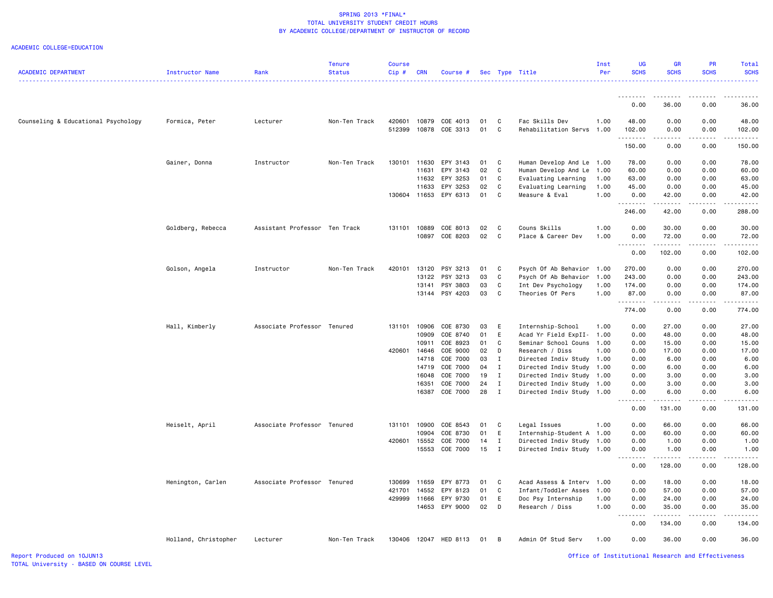| <b>ACADEMIC DEPARTMENT</b>          | Instructor Name      | Rank                          | <b>Tenure</b><br><b>Status</b> | <b>Course</b><br>Cip# | <b>CRN</b> | Course #                   |            |                | Sec Type Title<br>.                   | Inst<br>Per  | UG<br><b>SCHS</b> | GR<br><b>SCHS</b>                   | PR<br><b>SCHS</b>   | Total<br><b>SCHS</b> |
|-------------------------------------|----------------------|-------------------------------|--------------------------------|-----------------------|------------|----------------------------|------------|----------------|---------------------------------------|--------------|-------------------|-------------------------------------|---------------------|----------------------|
|                                     |                      |                               |                                |                       |            |                            |            |                |                                       |              | <u>.</u>          | -----                               |                     |                      |
|                                     |                      |                               |                                |                       |            |                            |            |                |                                       |              | 0.00              | 36.00                               | 0.00                | 36.00                |
| Counseling & Educational Psychology | Formica, Peter       | Lecturer                      | Non-Ten Track                  | 420601                |            | 10879 COE 4013             | 01         | C              | Fac Skills Dev                        | 1.00         | 48.00             | 0.00                                | 0.00                | 48.00                |
|                                     |                      |                               |                                | 512399                |            | 10878 COE 3313             | 01         | C              | Rehabilitation Servs                  | 1.00         | 102.00            | 0.00                                | 0.00                | 102.00               |
|                                     |                      |                               |                                |                       |            |                            |            |                |                                       |              | .<br>150.00       | $\sim$ $\sim$ $\sim$ $\sim$<br>0.00 | .<br>0.00           | 150.00               |
|                                     | Gainer, Donna        | Instructor                    | Non-Ten Track                  | 130101                | 11630      | EPY 3143                   | 01         | $\mathbf{C}$   | Human Develop And Le                  | 1.00         | 78.00             | 0.00                                | 0.00                | 78.00                |
|                                     |                      |                               |                                |                       | 11631      | EPY 3143                   | 02         | C              | Human Develop And Le                  | 1.00         | 60.00             | 0.00                                | 0.00                | 60.00                |
|                                     |                      |                               |                                |                       | 11632      | EPY 3253                   | 01         | C              | Evaluating Learning                   | 1.00         | 63.00             | 0.00                                | 0.00                | 63.00                |
|                                     |                      |                               |                                |                       | 11633      | EPY 3253                   | 02         | C              | Evaluating Learning                   | 1.00         | 45.00             | 0.00                                | 0.00                | 45.00                |
|                                     |                      |                               |                                | 130604                | 11653      | EPY 6313                   | 01         | C              | Measure & Eval                        | 1.00         | 0.00<br>.         | 42.00<br>$- - - - -$                | 0.00<br>.           | 42.00<br>.           |
|                                     |                      |                               |                                |                       |            |                            |            |                |                                       |              | 246.00            | 42.00                               | 0.00                | 288.00               |
|                                     | Goldberg, Rebecca    | Assistant Professor Ten Track |                                | 131101                | 10889      | COE 8013                   | 02         | $\mathbf{C}$   | Couns Skills                          | 1.00         | 0.00              | 30.00                               | 0.00                | 30.00                |
|                                     |                      |                               |                                |                       |            | 10897 COE 8203             | 02         | $\mathbf{C}$   | Place & Career Dev                    | 1.00         | 0.00              | 72.00                               | 0.00                | 72.00                |
|                                     |                      |                               |                                |                       |            |                            |            |                |                                       |              | <u>.</u><br>0.00  | <u>.</u><br>102.00                  | $- - - - -$<br>0.00 | 102.00               |
|                                     | Golson, Angela       | Instructor                    | Non-Ten Track                  | 420101                |            | 13120 PSY 3213             | 01         | $\mathbf{C}$   | Psych Of Ab Behavior                  | 1.00         | 270.00            | 0.00                                | 0.00                | 270.00               |
|                                     |                      |                               |                                |                       | 13122      | PSY 3213                   | 03         | C              | Psych Of Ab Behavior                  | 1.00         | 243.00            | 0.00                                | 0.00                | 243.00               |
|                                     |                      |                               |                                |                       | 13141      | PSY 3803                   | 03         | $\mathtt{C}$   | Int Dev Psychology                    | 1.00         | 174.00            | 0.00                                | 0.00                | 174.00               |
|                                     |                      |                               |                                |                       | 13144      | PSY 4203                   | 03         | C              | Theories Of Pers                      | 1.00         | 87.00             | 0.00                                | 0.00                | 87.00                |
|                                     |                      |                               |                                |                       |            |                            |            |                |                                       |              | .<br>774.00       | .<br>0.00                           | $- - - -$<br>0.00   | <u>.</u><br>774.00   |
|                                     | Hall, Kimberly       | Associate Professor Tenured   |                                | 131101                | 10906      | COE 8730                   | 03         | E              | Internship-School                     | 1.00         | 0.00              | 27.00                               | 0.00                | 27.00                |
|                                     |                      |                               |                                |                       | 10909      | COE 8740                   | 01         | E              | Acad Yr Field ExpII-                  | 1.00         | 0.00              | 48.00                               | 0.00                | 48.00                |
|                                     |                      |                               |                                |                       | 10911      | COE 8923                   | 01         | C              | Seminar School Couns                  | 1.00         | 0.00              | 15.00                               | 0.00                | 15.00                |
|                                     |                      |                               |                                | 420601                | 14646      | COE 9000                   | 02         | $\mathsf{D}$   | Research / Diss                       | 1.00         | 0.00              | 17.00                               | 0.00                | 17.00                |
|                                     |                      |                               |                                |                       | 14718      | COE 7000                   | 03         | $\mathbf{I}$   | Directed Indiv Study                  | 1.00         | 0.00              | 6.00                                | 0.00                | 6.00                 |
|                                     |                      |                               |                                |                       | 14719      | COE 7000                   | 04         | $\mathbf I$    | Directed Indiv Study                  | 1.00         | 0.00              | 6.00                                | 0.00                | 6.00                 |
|                                     |                      |                               |                                |                       | 16048      | COE 7000                   | 19         | $\mathbf{I}$   | Directed Indiv Study                  | 1.00         | 0.00              | 3.00                                | 0.00                | 3.00                 |
|                                     |                      |                               |                                |                       | 16351      | COE 7000                   | 24         | $\mathbf I$    | Directed Indiv Study                  | 1.00         | 0.00              | 3.00                                | 0.00                | 3.00                 |
|                                     |                      |                               |                                |                       | 16387      | COE 7000                   | 28         | $\mathbf{I}$   | Directed Indiv Study                  | 1.00         | 0.00<br>.         | 6.00<br>$- - - - -$                 | 0.00<br>$- - - - -$ | 6.00                 |
|                                     |                      |                               |                                |                       |            |                            |            |                |                                       |              | 0.00              | 131.00                              | 0.00                | 131.00               |
|                                     | Heiselt, April       | Associate Professor Tenured   |                                | 131101                | 10900      | COE 8543                   | 01         | $\mathbf{C}$   | Legal Issues                          | 1.00         | 0.00              | 66.00                               | 0.00                | 66.00                |
|                                     |                      |                               |                                |                       | 10904      | COE 8730                   | 01         | E              | Internship-Student A                  | 1.00         | 0.00              | 60.00                               | 0.00                | 60.00                |
|                                     |                      |                               |                                | 420601                | 15552      | COE 7000                   | 14         | $\mathbf{I}$   | Directed Indiv Study                  | 1.00         | 0.00              | 1.00                                | 0.00                | 1.00                 |
|                                     |                      |                               |                                |                       |            | 15553 COE 7000             | 15         | $\mathbf{I}$   | Directed Indiv Study 1.00             |              | 0.00<br><u>.</u>  | 1.00<br>. <b>.</b>                  | 0.00<br>$- - - - -$ | 1.00                 |
|                                     |                      |                               |                                |                       |            |                            |            |                |                                       |              | 0.00              | 128.00                              | 0.00                | 128.00               |
|                                     | Henington, Carlen    | Associate Professor Tenured   |                                | 130699                | 11659      | EPY 8773                   | 01         | C              | Acad Assess & Interv 1.00             |              | 0.00              | 18.00                               | 0.00                | 18.00                |
|                                     |                      |                               |                                | 421701                | 14552      | EPY 8123                   | 01         | C              | Infant/Toddler Asses                  | 1.00         | 0.00              | 57.00                               | 0.00                | 57.00                |
|                                     |                      |                               |                                | 429999                | 11666      | EPY 9730<br>14653 EPY 9000 | 01<br>02 D | E              | Doc Psy Internship<br>Research / Diss | 1.00<br>1.00 | 0.00<br>0.00      | 24.00<br>35.00                      | 0.00<br>0.00        | 24.00<br>35.00       |
|                                     |                      |                               |                                |                       |            |                            |            |                |                                       |              | .                 | .                                   | <u>.</u>            |                      |
|                                     |                      |                               |                                |                       |            |                            |            |                |                                       |              | 0.00              | 134.00                              | 0.00                | 134.00               |
|                                     | Holland, Christopher | Lecturer                      | Non-Ten Track                  |                       |            | 130406 12047 HED 8113      | 01         | $\overline{B}$ | Admin Of Stud Serv                    | 1.00         | 0.00              | 36.00                               | 0.00                | 36.00                |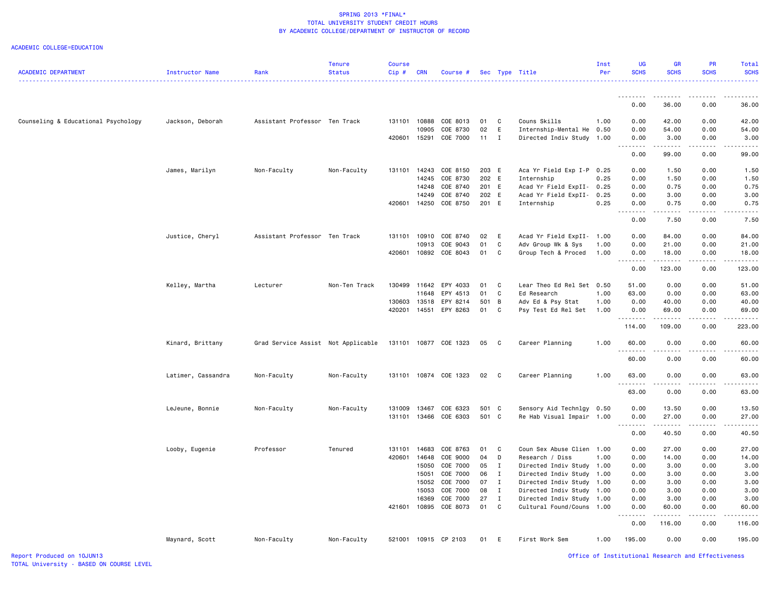ACADEMIC COLLEGE=EDUCATION

| .<br>.<br>.<br>0.00<br>36.00<br>0.00<br>Counseling & Educational Psychology<br>Jackson, Deborah<br>Assistant Professor Ten Track<br>131101<br>10888<br>COE 8013<br>01<br>C<br>Couns Skills<br>1.00<br>0.00<br>42.00<br>0.00<br>10905<br>COE 8730<br>02<br>E<br>Internship-Mental He<br>0.50<br>0.00<br>54.00<br>0.00<br>420601<br>15291<br>COE 7000<br>11<br>$\mathbf{I}$<br>Directed Indiv Study 1.00<br>0.00<br>3.00<br>0.00<br>$\sim$ $\sim$ $\sim$<br>$\frac{1}{2} \left( \frac{1}{2} \right) \left( \frac{1}{2} \right) \left( \frac{1}{2} \right) \left( \frac{1}{2} \right) \left( \frac{1}{2} \right)$<br>د د د د د<br>0.00<br>99.00<br>0.00<br>James, Marilyn<br>Non-Faculty<br>Non-Faculty<br>131101<br>14243<br>COE 8150<br>203 E<br>Aca Yr Field Exp I-P 0.25<br>0.00<br>1.50<br>0.00<br>14245<br>COE 8730<br>202 E<br>Internship<br>0.25<br>0.00<br>1.50<br>0.00<br>COE 8740<br>201 E<br>Acad Yr Field ExpII-<br>0.25<br>0.75<br>0.00<br>14248<br>0.00<br>202 E<br>14249<br>COE 8740<br>Acad Yr Field ExpII-<br>0.25<br>0.00<br>3.00<br>0.00<br>420601<br>14250<br>COE 8750<br>201 E<br>0.25<br>0.75<br>0.00<br>Internship<br>0.00<br>.<br>$\sim$ $\sim$ $\sim$<br>$\frac{1}{2} \left( \frac{1}{2} \right) \left( \frac{1}{2} \right) \left( \frac{1}{2} \right) \left( \frac{1}{2} \right) \left( \frac{1}{2} \right)$<br>7.50<br>0.00<br>0.00<br>Justice, Cheryl<br>Assistant Professor Ten Track<br>02<br>Acad Yr Field ExpII-<br>0.00<br>0.00<br>131101<br>10910<br>COE 8740<br>E<br>1.00<br>84.00<br>01<br>C<br>0.00<br>10913<br>COE 9043<br>Adv Group Wk & Sys<br>1.00<br>0.00<br>21.00<br>C<br>420601<br>COE 8043<br>01<br>Group Tech & Proced<br>0.00<br>10892<br>1.00<br>0.00<br>18.00<br>$\sim$ $\sim$ $\sim$ $\sim$ $\sim$<br>.<br>.<br>$\sim$ $\sim$ $\sim$<br>0.00<br>123.00<br>0.00 | <b>SCHS</b><br><b>SCHS</b>                                                                                                                                                                |
|----------------------------------------------------------------------------------------------------------------------------------------------------------------------------------------------------------------------------------------------------------------------------------------------------------------------------------------------------------------------------------------------------------------------------------------------------------------------------------------------------------------------------------------------------------------------------------------------------------------------------------------------------------------------------------------------------------------------------------------------------------------------------------------------------------------------------------------------------------------------------------------------------------------------------------------------------------------------------------------------------------------------------------------------------------------------------------------------------------------------------------------------------------------------------------------------------------------------------------------------------------------------------------------------------------------------------------------------------------------------------------------------------------------------------------------------------------------------------------------------------------------------------------------------------------------------------------------------------------------------------------------------------------------------------------------------------------------------------------------------------------------------------------------------------------------|-------------------------------------------------------------------------------------------------------------------------------------------------------------------------------------------|
|                                                                                                                                                                                                                                                                                                                                                                                                                                                                                                                                                                                                                                                                                                                                                                                                                                                                                                                                                                                                                                                                                                                                                                                                                                                                                                                                                                                                                                                                                                                                                                                                                                                                                                                                                                                                                |                                                                                                                                                                                           |
|                                                                                                                                                                                                                                                                                                                                                                                                                                                                                                                                                                                                                                                                                                                                                                                                                                                                                                                                                                                                                                                                                                                                                                                                                                                                                                                                                                                                                                                                                                                                                                                                                                                                                                                                                                                                                | 36.00                                                                                                                                                                                     |
|                                                                                                                                                                                                                                                                                                                                                                                                                                                                                                                                                                                                                                                                                                                                                                                                                                                                                                                                                                                                                                                                                                                                                                                                                                                                                                                                                                                                                                                                                                                                                                                                                                                                                                                                                                                                                | 42.00                                                                                                                                                                                     |
|                                                                                                                                                                                                                                                                                                                                                                                                                                                                                                                                                                                                                                                                                                                                                                                                                                                                                                                                                                                                                                                                                                                                                                                                                                                                                                                                                                                                                                                                                                                                                                                                                                                                                                                                                                                                                | 54.00                                                                                                                                                                                     |
|                                                                                                                                                                                                                                                                                                                                                                                                                                                                                                                                                                                                                                                                                                                                                                                                                                                                                                                                                                                                                                                                                                                                                                                                                                                                                                                                                                                                                                                                                                                                                                                                                                                                                                                                                                                                                | 3.00<br>والمستحدث                                                                                                                                                                         |
|                                                                                                                                                                                                                                                                                                                                                                                                                                                                                                                                                                                                                                                                                                                                                                                                                                                                                                                                                                                                                                                                                                                                                                                                                                                                                                                                                                                                                                                                                                                                                                                                                                                                                                                                                                                                                | 99.00                                                                                                                                                                                     |
|                                                                                                                                                                                                                                                                                                                                                                                                                                                                                                                                                                                                                                                                                                                                                                                                                                                                                                                                                                                                                                                                                                                                                                                                                                                                                                                                                                                                                                                                                                                                                                                                                                                                                                                                                                                                                | 1.50                                                                                                                                                                                      |
|                                                                                                                                                                                                                                                                                                                                                                                                                                                                                                                                                                                                                                                                                                                                                                                                                                                                                                                                                                                                                                                                                                                                                                                                                                                                                                                                                                                                                                                                                                                                                                                                                                                                                                                                                                                                                | 1.50                                                                                                                                                                                      |
|                                                                                                                                                                                                                                                                                                                                                                                                                                                                                                                                                                                                                                                                                                                                                                                                                                                                                                                                                                                                                                                                                                                                                                                                                                                                                                                                                                                                                                                                                                                                                                                                                                                                                                                                                                                                                | 0.75                                                                                                                                                                                      |
|                                                                                                                                                                                                                                                                                                                                                                                                                                                                                                                                                                                                                                                                                                                                                                                                                                                                                                                                                                                                                                                                                                                                                                                                                                                                                                                                                                                                                                                                                                                                                                                                                                                                                                                                                                                                                | 3.00                                                                                                                                                                                      |
|                                                                                                                                                                                                                                                                                                                                                                                                                                                                                                                                                                                                                                                                                                                                                                                                                                                                                                                                                                                                                                                                                                                                                                                                                                                                                                                                                                                                                                                                                                                                                                                                                                                                                                                                                                                                                | 0.75<br>.                                                                                                                                                                                 |
|                                                                                                                                                                                                                                                                                                                                                                                                                                                                                                                                                                                                                                                                                                                                                                                                                                                                                                                                                                                                                                                                                                                                                                                                                                                                                                                                                                                                                                                                                                                                                                                                                                                                                                                                                                                                                | 7.50                                                                                                                                                                                      |
|                                                                                                                                                                                                                                                                                                                                                                                                                                                                                                                                                                                                                                                                                                                                                                                                                                                                                                                                                                                                                                                                                                                                                                                                                                                                                                                                                                                                                                                                                                                                                                                                                                                                                                                                                                                                                | 84.00                                                                                                                                                                                     |
|                                                                                                                                                                                                                                                                                                                                                                                                                                                                                                                                                                                                                                                                                                                                                                                                                                                                                                                                                                                                                                                                                                                                                                                                                                                                                                                                                                                                                                                                                                                                                                                                                                                                                                                                                                                                                | 21.00                                                                                                                                                                                     |
|                                                                                                                                                                                                                                                                                                                                                                                                                                                                                                                                                                                                                                                                                                                                                                                                                                                                                                                                                                                                                                                                                                                                                                                                                                                                                                                                                                                                                                                                                                                                                                                                                                                                                                                                                                                                                | 18.00<br>.                                                                                                                                                                                |
|                                                                                                                                                                                                                                                                                                                                                                                                                                                                                                                                                                                                                                                                                                                                                                                                                                                                                                                                                                                                                                                                                                                                                                                                                                                                                                                                                                                                                                                                                                                                                                                                                                                                                                                                                                                                                | 123.00                                                                                                                                                                                    |
| Lecturer<br>Non-Ten Track<br>130499 11642<br>EPY 4033<br>C<br>Lear Theo Ed Rel Set 0.50<br>51.00<br>0.00<br>0.00<br>Kelley, Martha<br>01                                                                                                                                                                                                                                                                                                                                                                                                                                                                                                                                                                                                                                                                                                                                                                                                                                                                                                                                                                                                                                                                                                                                                                                                                                                                                                                                                                                                                                                                                                                                                                                                                                                                       | 51.00                                                                                                                                                                                     |
| EPY 4513<br>01<br>C<br>1.00<br>63.00<br>0.00<br>11648<br>Ed Research<br>0.00                                                                                                                                                                                                                                                                                                                                                                                                                                                                                                                                                                                                                                                                                                                                                                                                                                                                                                                                                                                                                                                                                                                                                                                                                                                                                                                                                                                                                                                                                                                                                                                                                                                                                                                                   | 63.00                                                                                                                                                                                     |
| 130603<br>13518<br>EPY 8214<br>501 B<br>Adv Ed & Psy Stat<br>1.00<br>0.00<br>40.00<br>0.00                                                                                                                                                                                                                                                                                                                                                                                                                                                                                                                                                                                                                                                                                                                                                                                                                                                                                                                                                                                                                                                                                                                                                                                                                                                                                                                                                                                                                                                                                                                                                                                                                                                                                                                     | 40.00                                                                                                                                                                                     |
| 420201<br>14551<br>EPY 8263<br>01<br>69.00<br>0.00<br>C<br>Psy Test Ed Rel Set<br>1.00<br>0.00<br><u>.</u><br>.<br>$\frac{1}{2}$                                                                                                                                                                                                                                                                                                                                                                                                                                                                                                                                                                                                                                                                                                                                                                                                                                                                                                                                                                                                                                                                                                                                                                                                                                                                                                                                                                                                                                                                                                                                                                                                                                                                               | 69.00<br>.                                                                                                                                                                                |
| 109.00<br>114.00<br>0.00                                                                                                                                                                                                                                                                                                                                                                                                                                                                                                                                                                                                                                                                                                                                                                                                                                                                                                                                                                                                                                                                                                                                                                                                                                                                                                                                                                                                                                                                                                                                                                                                                                                                                                                                                                                       | 223.00                                                                                                                                                                                    |
| 0.00<br>0.00<br>Kinard, Brittany<br>Grad Service Assist Not Applicable<br>131101 10877 COE 1323<br>05<br>C<br>Career Planning<br>1.00<br>60.00<br>.<br>.<br>$- - - -$                                                                                                                                                                                                                                                                                                                                                                                                                                                                                                                                                                                                                                                                                                                                                                                                                                                                                                                                                                                                                                                                                                                                                                                                                                                                                                                                                                                                                                                                                                                                                                                                                                          | 60.00<br>.                                                                                                                                                                                |
| 60.00<br>0.00<br>0.00                                                                                                                                                                                                                                                                                                                                                                                                                                                                                                                                                                                                                                                                                                                                                                                                                                                                                                                                                                                                                                                                                                                                                                                                                                                                                                                                                                                                                                                                                                                                                                                                                                                                                                                                                                                          | 60.00                                                                                                                                                                                     |
| 10874 COE 1323<br>1.00<br>63.00<br>0.00<br>0.00<br>Latimer, Cassandra<br>131101<br>02<br>$\mathbf{C}$<br>Career Planning<br>Non-Faculty<br>Non-Faculty                                                                                                                                                                                                                                                                                                                                                                                                                                                                                                                                                                                                                                                                                                                                                                                                                                                                                                                                                                                                                                                                                                                                                                                                                                                                                                                                                                                                                                                                                                                                                                                                                                                         | 63.00                                                                                                                                                                                     |
| $\frac{1}{2}$<br>$- - - -$<br>63.00<br>0.00<br>0.00                                                                                                                                                                                                                                                                                                                                                                                                                                                                                                                                                                                                                                                                                                                                                                                                                                                                                                                                                                                                                                                                                                                                                                                                                                                                                                                                                                                                                                                                                                                                                                                                                                                                                                                                                            | .<br>63.00                                                                                                                                                                                |
| 13.50<br>LeJeune, Bonnie<br>Non-Faculty<br>Non-Faculty<br>131009<br>13467<br>COE 6323<br>501 C<br>Sensory Aid Technlgy 0.50<br>0.00<br>0.00                                                                                                                                                                                                                                                                                                                                                                                                                                                                                                                                                                                                                                                                                                                                                                                                                                                                                                                                                                                                                                                                                                                                                                                                                                                                                                                                                                                                                                                                                                                                                                                                                                                                    | 13.50                                                                                                                                                                                     |
| 131101 13466 COE 6303<br>501 C<br>Re Hab Visual Impair 1.00<br>0.00<br>27.00<br>0.00                                                                                                                                                                                                                                                                                                                                                                                                                                                                                                                                                                                                                                                                                                                                                                                                                                                                                                                                                                                                                                                                                                                                                                                                                                                                                                                                                                                                                                                                                                                                                                                                                                                                                                                           | 27.00                                                                                                                                                                                     |
| .<br>.<br>$\sim$ $\sim$<br>.<br>0.00<br>40.50<br>0.00                                                                                                                                                                                                                                                                                                                                                                                                                                                                                                                                                                                                                                                                                                                                                                                                                                                                                                                                                                                                                                                                                                                                                                                                                                                                                                                                                                                                                                                                                                                                                                                                                                                                                                                                                          | .<br>40.50                                                                                                                                                                                |
| Professor<br>Tenured<br>14683<br>COE 8763<br>C<br>Coun Sex Abuse Clien 1.00<br>0.00<br>27.00<br>0.00<br>Looby, Eugenie<br>131101<br>01                                                                                                                                                                                                                                                                                                                                                                                                                                                                                                                                                                                                                                                                                                                                                                                                                                                                                                                                                                                                                                                                                                                                                                                                                                                                                                                                                                                                                                                                                                                                                                                                                                                                         | 27.00                                                                                                                                                                                     |
| 420601<br>14648<br>COE 9000<br>04<br>D<br>Research / Diss<br>14.00<br>1.00<br>0.00<br>0.00                                                                                                                                                                                                                                                                                                                                                                                                                                                                                                                                                                                                                                                                                                                                                                                                                                                                                                                                                                                                                                                                                                                                                                                                                                                                                                                                                                                                                                                                                                                                                                                                                                                                                                                     | 14.00                                                                                                                                                                                     |
| 15050<br>COE 7000<br>05<br>Directed Indiv Study<br>3.00<br>0.00<br>I<br>1.00<br>0.00                                                                                                                                                                                                                                                                                                                                                                                                                                                                                                                                                                                                                                                                                                                                                                                                                                                                                                                                                                                                                                                                                                                                                                                                                                                                                                                                                                                                                                                                                                                                                                                                                                                                                                                           | 3.00                                                                                                                                                                                      |
| 15051<br>COE 7000<br>06<br>$\mathbf{I}$<br>Directed Indiv Study 1.00<br>0.00<br>3.00<br>0.00                                                                                                                                                                                                                                                                                                                                                                                                                                                                                                                                                                                                                                                                                                                                                                                                                                                                                                                                                                                                                                                                                                                                                                                                                                                                                                                                                                                                                                                                                                                                                                                                                                                                                                                   | 3.00                                                                                                                                                                                      |
| 15052<br>COE 7000<br>07<br>$\mathbf{I}$<br>Directed Indiv Study<br>0.00<br>3.00<br>0.00<br>1.00                                                                                                                                                                                                                                                                                                                                                                                                                                                                                                                                                                                                                                                                                                                                                                                                                                                                                                                                                                                                                                                                                                                                                                                                                                                                                                                                                                                                                                                                                                                                                                                                                                                                                                                | 3.00                                                                                                                                                                                      |
| 15053<br>COE 7000<br>08<br>$\mathbf{I}$<br>Directed Indiv Study 1.00<br>0.00<br>3.00<br>0.00                                                                                                                                                                                                                                                                                                                                                                                                                                                                                                                                                                                                                                                                                                                                                                                                                                                                                                                                                                                                                                                                                                                                                                                                                                                                                                                                                                                                                                                                                                                                                                                                                                                                                                                   | 3.00                                                                                                                                                                                      |
| 16369<br>COE 7000<br>27<br>$\mathbf{I}$<br>Directed Indiv Study<br>0.00<br>3.00<br>0.00<br>1.00                                                                                                                                                                                                                                                                                                                                                                                                                                                                                                                                                                                                                                                                                                                                                                                                                                                                                                                                                                                                                                                                                                                                                                                                                                                                                                                                                                                                                                                                                                                                                                                                                                                                                                                | 3.00                                                                                                                                                                                      |
| 01<br>C<br>421601<br>10895<br>COE 8073<br>Cultural Found/Couns 1.00<br>0.00<br>60.00<br>0.00                                                                                                                                                                                                                                                                                                                                                                                                                                                                                                                                                                                                                                                                                                                                                                                                                                                                                                                                                                                                                                                                                                                                                                                                                                                                                                                                                                                                                                                                                                                                                                                                                                                                                                                   | 60.00                                                                                                                                                                                     |
| 0.00<br>116.00<br>0.00                                                                                                                                                                                                                                                                                                                                                                                                                                                                                                                                                                                                                                                                                                                                                                                                                                                                                                                                                                                                                                                                                                                                                                                                                                                                                                                                                                                                                                                                                                                                                                                                                                                                                                                                                                                         | $\frac{1}{2} \left( \frac{1}{2} \right) \left( \frac{1}{2} \right) \left( \frac{1}{2} \right) \left( \frac{1}{2} \right) \left( \frac{1}{2} \right) \left( \frac{1}{2} \right)$<br>116.00 |
| Maynard, Scott<br>Non-Faculty<br>Non-Faculty<br>521001<br>10915 CP 2103<br>01<br>E<br>First Work Sem<br>1.00<br>195.00<br>0.00<br>0.00                                                                                                                                                                                                                                                                                                                                                                                                                                                                                                                                                                                                                                                                                                                                                                                                                                                                                                                                                                                                                                                                                                                                                                                                                                                                                                                                                                                                                                                                                                                                                                                                                                                                         | 195.00                                                                                                                                                                                    |

Report Produced on 10JUN13 Office of Institutional Research and Effectiveness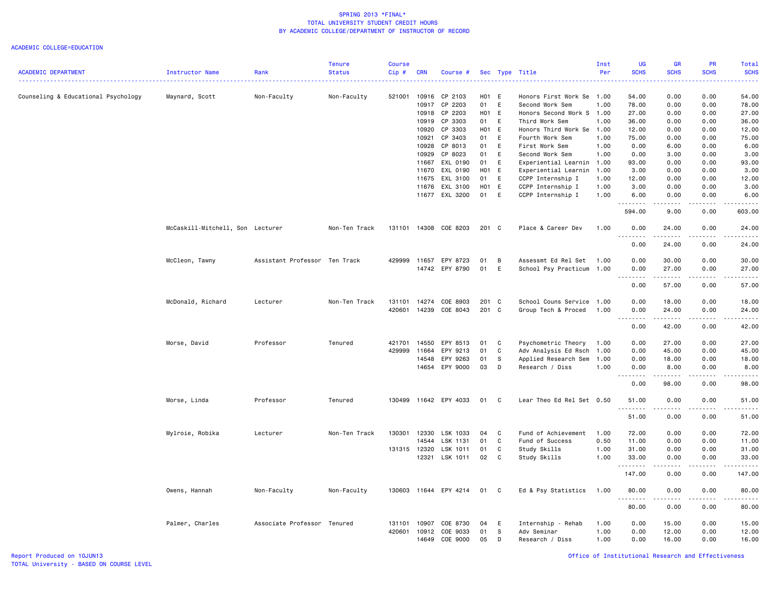|                                     |                                  |                               | <b>Tenure</b> | Course       |            |                       |       |              |                           | Inst | <b>UG</b>                                            | GR          | PR                                  | Total                                                                                                                                                         |
|-------------------------------------|----------------------------------|-------------------------------|---------------|--------------|------------|-----------------------|-------|--------------|---------------------------|------|------------------------------------------------------|-------------|-------------------------------------|---------------------------------------------------------------------------------------------------------------------------------------------------------------|
| <b>ACADEMIC DEPARTMENT</b>          | Instructor Name                  | Rank                          | <b>Status</b> | $Cip$ #      | <b>CRN</b> | Course #              |       |              | Sec Type Title            | Per  | <b>SCHS</b>                                          | <b>SCHS</b> | <b>SCHS</b>                         | <b>SCHS</b><br>$\frac{1}{2} \left( \frac{1}{2} \right) \left( \frac{1}{2} \right) \left( \frac{1}{2} \right) \left( \frac{1}{2} \right)$                      |
| Counseling & Educational Psychology | Maynard, Scott                   | Non-Faculty                   | Non-Faculty   | 521001       | 10916      | CP 2103               | H01 E |              | Honors First Work Se      | 1.00 | 54.00                                                | 0.00        | 0.00                                | 54.00                                                                                                                                                         |
|                                     |                                  |                               |               |              | 10917      | CP 2203               | 01    | E            | Second Work Sem           | 1.00 | 78.00                                                | 0.00        | 0.00                                | 78.00                                                                                                                                                         |
|                                     |                                  |                               |               |              | 10918      | CP 2203               | H01   | E            | Honors Second Work S      | 1.00 | 27.00                                                | 0.00        | 0.00                                | 27.00                                                                                                                                                         |
|                                     |                                  |                               |               |              | 10919      | CP 3303               | 01    | E            | Third Work Sem            | 1.00 | 36.00                                                | 0.00        | 0.00                                | 36.00                                                                                                                                                         |
|                                     |                                  |                               |               |              | 10920      | CP 3303               | H01 E |              | Honors Third Work Se      | 1.00 | 12.00                                                | 0.00        | 0.00                                | 12.00                                                                                                                                                         |
|                                     |                                  |                               |               |              | 10921      | CP 3403               | 01    | E            | Fourth Work Sem           | 1.00 | 75.00                                                | 0.00        | 0.00                                | 75.00                                                                                                                                                         |
|                                     |                                  |                               |               |              | 10928      | CP 8013               | 01    | E            | First Work Sem            | 1.00 | 0.00                                                 | 6.00        | 0.00                                | 6.00                                                                                                                                                          |
|                                     |                                  |                               |               |              | 10929      | CP 8023               | 01    | E            | Second Work Sem           | 1.00 | 0.00                                                 | 3.00        | 0.00                                | 3.00                                                                                                                                                          |
|                                     |                                  |                               |               |              | 11667      | EXL 0190              | 01    | E            | Experiential Learnin      | 1.00 | 93.00                                                | 0.00        | 0.00                                | 93.00                                                                                                                                                         |
|                                     |                                  |                               |               |              | 11670      | EXL 0190              | H01 E |              | Experiential Learnin      | 1.00 | 3.00                                                 | 0.00        | 0.00                                | 3.00                                                                                                                                                          |
|                                     |                                  |                               |               |              | 11675      | EXL 3100              | 01    | E            | CCPP Internship I         | 1.00 | 12.00                                                | 0.00        | 0.00                                | 12.00                                                                                                                                                         |
|                                     |                                  |                               |               |              | 11676      | EXL 3100              | H01 E |              | CCPP Internship I         | 1.00 | 3.00                                                 | 0.00        | 0.00                                | 3.00                                                                                                                                                          |
|                                     |                                  |                               |               |              |            | 11677 EXL 3200        | 01    | E            | CCPP Internship I         | 1.00 | 6.00<br>.                                            | 0.00        | 0.00                                | 6.00<br>$- - - - -$                                                                                                                                           |
|                                     |                                  |                               |               |              |            |                       |       |              |                           |      | 594.00                                               | 9.00        | 0.00                                | 603.00                                                                                                                                                        |
|                                     | McCaskill-Mitchell, Son Lecturer |                               | Non-Ten Track |              |            | 131101 14308 COE 8203 | 201 C |              | Place & Career Dev        | 1.00 | 0.00                                                 | 24.00       | 0.00                                | 24.00<br>$\frac{1}{2} \left( \frac{1}{2} \right) \left( \frac{1}{2} \right) \left( \frac{1}{2} \right) \left( \frac{1}{2} \right) \left( \frac{1}{2} \right)$ |
|                                     |                                  |                               |               |              |            |                       |       |              |                           |      | 0.00                                                 | 24.00       | 0.00                                | 24.00                                                                                                                                                         |
|                                     | McCleon, Tawny                   | Assistant Professor Ten Track |               | 429999       | 11657      | EPY 8723              | 01    | B            | Assessmt Ed Rel Set 1.00  |      | 0.00                                                 | 30.00       | 0.00                                | 30.00                                                                                                                                                         |
|                                     |                                  |                               |               |              |            | 14742 EPY 8790        | 01    | E            | School Psy Practicum 1.00 |      | 0.00                                                 | 27.00       | 0.00                                | 27.00                                                                                                                                                         |
|                                     |                                  |                               |               |              |            |                       |       |              |                           |      | .<br>$\sim$ $\sim$ .                                 | .           | .                                   | .                                                                                                                                                             |
|                                     |                                  |                               |               |              |            |                       |       |              |                           |      | 0.00                                                 | 57.00       | 0.00                                | 57.00                                                                                                                                                         |
|                                     | McDonald, Richard                | Lecturer                      | Non-Ten Track | 131101       | 14274      | COE 8903              | 201 C |              | School Couns Service 1.00 |      | 0.00                                                 | 18.00       | 0.00                                | 18.00                                                                                                                                                         |
|                                     |                                  |                               |               | 420601       | 14239      | COE 8043              | 201   | $\mathbf{C}$ | Group Tech & Proced       | 1.00 | 0.00                                                 | 24.00       | 0.00                                | 24.00                                                                                                                                                         |
|                                     |                                  |                               |               |              |            |                       |       |              |                           |      | $\sim$ $\sim$<br>$\sim$ $\sim$ $\sim$ $\sim$<br>0.00 | .<br>42.00  | $\sim$ $\sim$ $\sim$ $\sim$<br>0.00 | $\frac{1}{2} \left( \frac{1}{2} \right) \left( \frac{1}{2} \right) \left( \frac{1}{2} \right) \left( \frac{1}{2} \right) \left( \frac{1}{2} \right)$<br>42.00 |
|                                     | Morse, David                     | Professor                     | Tenured       | 421701       | 14550      | EPY 8513              | 01    | C            | Psychometric Theory       | 1.00 | 0.00                                                 | 27.00       | 0.00                                | 27.00                                                                                                                                                         |
|                                     |                                  |                               |               | 429999       | 11664      | EPY 9213              | 01    | C            | Adv Analysis Ed Rsch      | 1.00 | 0.00                                                 | 45.00       | 0.00                                | 45.00                                                                                                                                                         |
|                                     |                                  |                               |               |              | 14548      | EPY 9263              | 01    | S            | Applied Research Sem      | 1.00 | 0.00                                                 | 18.00       | 0.00                                | 18.00                                                                                                                                                         |
|                                     |                                  |                               |               |              | 14654      | EPY 9000              | 03    | D            | Research / Diss           | 1.00 | 0.00                                                 | 8.00        | 0.00                                | 8.00                                                                                                                                                          |
|                                     |                                  |                               |               |              |            |                       |       |              |                           |      | .                                                    | .           | .                                   | .                                                                                                                                                             |
|                                     |                                  |                               |               |              |            |                       |       |              |                           |      | 0.00                                                 | 98.00       | 0.00                                | 98.00                                                                                                                                                         |
|                                     | Morse, Linda                     | Professor                     | Tenured       | 130499       |            | 11642 EPY 4033        | 01    | C            | Lear Theo Ed Rel Set 0.50 |      | 51.00<br>.                                           | 0.00<br>.   | 0.00<br>$\sim$ $\sim$ $\sim$        | 51.00<br>.                                                                                                                                                    |
|                                     |                                  |                               |               |              |            |                       |       |              |                           |      | 51.00                                                | 0.00        | 0.00                                | 51.00                                                                                                                                                         |
|                                     | Mylroie, Robika                  | Lecturer                      | Non-Ten Track | 130301       | 12330      | LSK 1033              | 04    | C            | Fund of Achievement       | 1.00 | 72.00                                                | 0.00        | 0.00                                | 72.00                                                                                                                                                         |
|                                     |                                  |                               |               |              | 14544      | LSK 1131              | 01    | C            | Fund of Success           | 0.50 | 11.00                                                | 0.00        | 0.00                                | 11.00                                                                                                                                                         |
|                                     |                                  |                               |               | 131315 12320 |            | LSK 1011              | 01    | C            | Study Skills              | 1.00 | 31.00                                                | 0.00        | 0.00                                | 31.00                                                                                                                                                         |
|                                     |                                  |                               |               |              | 12321      | LSK 1011              | 02    | C            | Study Skills              | 1.00 | 33.00                                                | 0.00        | 0.00<br>.                           | 33.00                                                                                                                                                         |
|                                     |                                  |                               |               |              |            |                       |       |              |                           |      | .<br>147.00                                          | .<br>0.00   | 0.00                                | .<br>147.00                                                                                                                                                   |
|                                     | Owens, Hannah                    | Non-Faculty                   | Non-Faculty   | 130603       |            | 11644 EPY 4214        | 01    | C            | Ed & Psy Statistics       | 1.00 | 80.00                                                | 0.00        | 0.00                                | 80.00                                                                                                                                                         |
|                                     |                                  |                               |               |              |            |                       |       |              |                           |      | .<br>80.00                                           | .<br>0.00   | $\frac{1}{2}$<br>0.00               | .<br>80.00                                                                                                                                                    |
|                                     | Palmer, Charles                  | Associate Professor Tenured   |               | 131101       | 10907      | COE 8730              | 04    | Ε            | Internship - Rehab        | 1.00 | 0.00                                                 | 15.00       | 0.00                                | 15.00                                                                                                                                                         |
|                                     |                                  |                               |               | 420601       | 10912      | COE 9033              | 01    | S            | Adv Seminar               | 1.00 | 0.00                                                 | 12.00       | 0.00                                | 12.00                                                                                                                                                         |
|                                     |                                  |                               |               |              | 14649      | COE 9000              | 05    | D            | Research / Diss           | 1.00 | 0.00                                                 | 16.00       | 0.00                                | 16.00                                                                                                                                                         |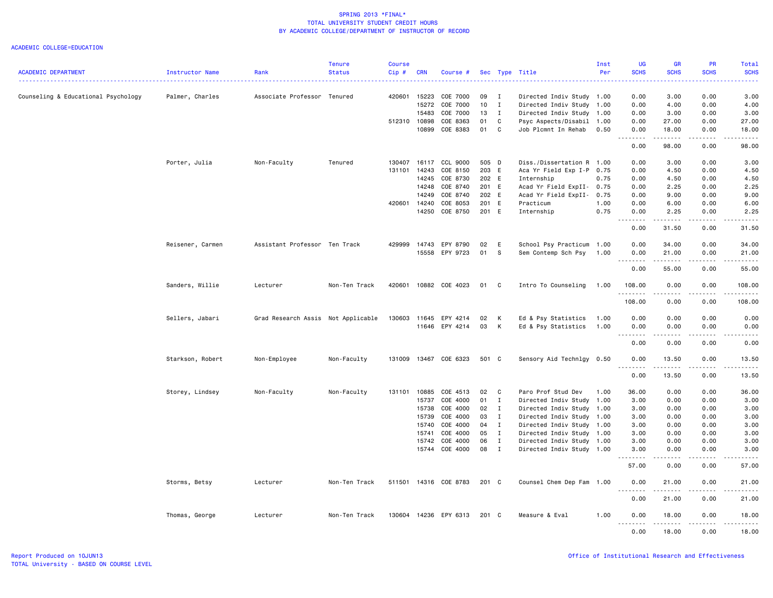|                                     |                  |                                    | <b>Tenure</b> | <b>Course</b> |              |                       |               |                |                           | Inst | <b>UG</b>        | <b>GR</b>                                                                                                                                            | PR          | Total                |
|-------------------------------------|------------------|------------------------------------|---------------|---------------|--------------|-----------------------|---------------|----------------|---------------------------|------|------------------|------------------------------------------------------------------------------------------------------------------------------------------------------|-------------|----------------------|
| <b>ACADEMIC DEPARTMENT</b>          | Instructor Name  | Rank                               | <b>Status</b> | Cip#          | <b>CRN</b>   | Course #              |               |                | Sec Type Title            | Per  | <b>SCHS</b>      | <b>SCHS</b>                                                                                                                                          | <b>SCHS</b> | <b>SCHS</b>          |
| Counseling & Educational Psychology | Palmer, Charles  | Associate Professor Tenured        |               |               | 420601 15223 | COE 7000              | 09            | $\blacksquare$ | Directed Indiv Study 1.00 |      | 0.00             | 3.00                                                                                                                                                 | 0.00        | 3.00                 |
|                                     |                  |                                    |               |               | 15272        | COE 7000              | 10            | $\mathbf{I}$   | Directed Indiv Study      | 1.00 | 0.00             | 4.00                                                                                                                                                 | 0.00        | 4.00                 |
|                                     |                  |                                    |               |               | 15483        | COE 7000              | 13            | $\blacksquare$ | Directed Indiv Study      | 1.00 | 0.00             | 3.00                                                                                                                                                 | 0.00        | 3.00                 |
|                                     |                  |                                    |               | 512310        | 10898        | COE 8363              | 01            | C              | Psyc Aspects/Disabil      | 1.00 | 0.00             | 27.00                                                                                                                                                | 0.00        | 27.00                |
|                                     |                  |                                    |               |               | 10899        | COE 8383              | 01            | C <sub>1</sub> | Job Plcmnt In Rehab       | 0.50 | 0.00             | 18.00                                                                                                                                                | 0.00        | 18.00                |
|                                     |                  |                                    |               |               |              |                       |               |                |                           |      | .<br>0.00        | 222222<br>98.00                                                                                                                                      | .<br>0.00   | .<br>98.00           |
|                                     | Porter, Julia    | Non-Faculty                        | Tenured       | 130407        | 16117        | CCL 9000              | 505 D         |                | Diss./Dissertation R 1.00 |      | 0.00             | 3.00                                                                                                                                                 | 0.00        | 3.00                 |
|                                     |                  |                                    |               | 131101        | 14243        | COE 8150              | 203 E         |                | Aca Yr Field Exp I-P      | 0.75 | 0.00             | 4.50                                                                                                                                                 | 0.00        | 4.50                 |
|                                     |                  |                                    |               |               | 14245        | COE 8730              | 202 E         |                | Internship                | 0.75 | 0.00             | 4.50                                                                                                                                                 | 0.00        | 4.50                 |
|                                     |                  |                                    |               |               | 14248        | COE 8740              | 201 E         |                | Acad Yr Field ExpII-      | 0.75 | 0.00             | 2.25                                                                                                                                                 | 0.00        | 2.25                 |
|                                     |                  |                                    |               |               | 14249        | COE 8740              | 202 E         |                | Acad Yr Field ExpII- 0.75 |      | 0.00             | 9.00                                                                                                                                                 | 0.00        | 9.00                 |
|                                     |                  |                                    |               | 420601        | 14240        | COE 8053              | 201 E         |                | Practicum                 | 1.00 | 0.00             | 6.00                                                                                                                                                 | 0.00        | 6.00                 |
|                                     |                  |                                    |               |               |              | 14250 COE 8750        | 201 E         |                | Internship                | 0.75 | 0.00             | 2.25                                                                                                                                                 | 0.00        | 2.25                 |
|                                     |                  |                                    |               |               |              |                       |               |                |                           |      | 0.00             | 31.50                                                                                                                                                | 0.00        | 31.50                |
|                                     | Reisener, Carmen | Assistant Professor Ten Track      |               | 429999        | 14743        | EPY 8790              | 02            | E              | School Psy Practicum 1.00 |      | 0.00             | 34.00                                                                                                                                                | 0.00        | 34.00                |
|                                     |                  |                                    |               |               |              | 15558 EPY 9723        | 01            | $\mathbf{s}$   | Sem Contemp Sch Psy       | 1.00 | 0.00             | 21.00                                                                                                                                                | 0.00        | 21.00                |
|                                     |                  |                                    |               |               |              |                       |               |                |                           |      | .                | .                                                                                                                                                    | .           | .                    |
|                                     |                  |                                    |               |               |              |                       |               |                |                           |      | 0.00             | 55.00                                                                                                                                                | 0.00        | 55.00                |
|                                     | Sanders, Willie  | Lecturer                           | Non-Ten Track | 420601        |              | 10882 COE 4023        | 01            | C              | Intro To Counseling       | 1.00 | 108.00<br>.      | 0.00<br>.                                                                                                                                            | 0.00<br>.   | 108.00<br><b>.</b> . |
|                                     |                  |                                    |               |               |              |                       |               |                |                           |      | 108.00           | 0.00                                                                                                                                                 | 0.00        | 108.00               |
|                                     | Sellers, Jabari  | Grad Research Assis Not Applicable |               | 130603        | 11645        | EPY 4214              | 02            | K              | Ed & Psy Statistics       | 1.00 | 0.00             | 0.00                                                                                                                                                 | 0.00        | 0.00                 |
|                                     |                  |                                    |               |               |              | 11646 EPY 4214        | 03            | K              | Ed & Psy Statistics       | 1.00 | 0.00             | 0.00                                                                                                                                                 | 0.00        | 0.00                 |
|                                     |                  |                                    |               |               |              |                       |               |                |                           |      | 0.00             | 0.00                                                                                                                                                 | 0.00        | 0.00                 |
|                                     | Starkson, Robert | Non-Employee                       | Non-Faculty   | 131009        |              | 13467 COE 6323        | 501 C         |                | Sensory Aid Technlgy 0.50 |      | 0.00             | 13.50                                                                                                                                                | 0.00        | 13.50                |
|                                     |                  |                                    |               |               |              |                       |               |                |                           |      |                  | $\frac{1}{2} \left( \frac{1}{2} \right) \left( \frac{1}{2} \right) \left( \frac{1}{2} \right) \left( \frac{1}{2} \right) \left( \frac{1}{2} \right)$ | .           | بالمرابط             |
|                                     |                  |                                    |               |               |              |                       |               |                |                           |      | 0.00             | 13.50                                                                                                                                                | 0.00        | 13.50                |
|                                     | Storey, Lindsey  | Non-Faculty                        | Non-Faculty   | 131101        | 10885        | COE 4513              | 02            | $\mathbf{C}$   | Paro Prof Stud Dev        | 1.00 | 36.00            | 0.00                                                                                                                                                 | 0.00        | 36.00                |
|                                     |                  |                                    |               |               | 15737        | COE 4000              | 01            | $\mathbf{I}$   | Directed Indiv Study      | 1.00 | 3.00             | 0.00                                                                                                                                                 | 0.00        | 3.00                 |
|                                     |                  |                                    |               |               | 15738        | COE 4000              | $02 \qquad I$ |                | Directed Indiv Study      | 1.00 | 3.00             | 0.00                                                                                                                                                 | 0.00        | 3.00                 |
|                                     |                  |                                    |               |               | 15739        | COE 4000              | 03            | $\mathbf{I}$   | Directed Indiv Study      | 1.00 | 3.00             | 0.00                                                                                                                                                 | 0.00        | 3.00                 |
|                                     |                  |                                    |               |               | 15740        | COE 4000              | 04 I          |                | Directed Indiv Study      | 1.00 | 3.00             | 0.00                                                                                                                                                 | 0.00        | 3.00                 |
|                                     |                  |                                    |               |               | 15741        | COE 4000              | 05            | $\blacksquare$ | Directed Indiv Study      | 1.00 | 3.00             | 0.00                                                                                                                                                 | 0.00        | 3.00                 |
|                                     |                  |                                    |               |               | 15742        | COE 4000              | 06            | $\mathbf{I}$   | Directed Indiv Study 1.00 |      | 3.00             | 0.00                                                                                                                                                 | 0.00        | 3.00                 |
|                                     |                  |                                    |               |               |              | 15744 COE 4000        | 08 I          |                | Directed Indiv Study 1.00 |      | 3.00             | 0.00                                                                                                                                                 | 0.00        | 3.00                 |
|                                     |                  |                                    |               |               |              |                       |               |                |                           |      | .<br>57.00       | .<br>0.00                                                                                                                                            | .<br>0.00   | .<br>57.00           |
|                                     | Storms, Betsy    | Lecturer                           | Non-Ten Track |               |              | 511501 14316 COE 8783 | 201 C         |                | Counsel Chem Dep Fam 1.00 |      | 0.00             | 21.00                                                                                                                                                | 0.00        | 21.00                |
|                                     |                  |                                    |               |               |              |                       |               |                |                           |      | 0.00             | .<br>21.00                                                                                                                                           | 0.00        | 21.00                |
|                                     | Thomas, George   | Lecturer                           | Non-Ten Track | 130604        |              | 14236 EPY 6313        | 201 C         |                | Measure & Eval            | 1.00 | 0.00             | 18.00                                                                                                                                                | 0.00        | 18.00                |
|                                     |                  |                                    |               |               |              |                       |               |                |                           |      | <u>.</u><br>0.00 | .<br>18.00                                                                                                                                           | .<br>0.00   | .<br>18.00           |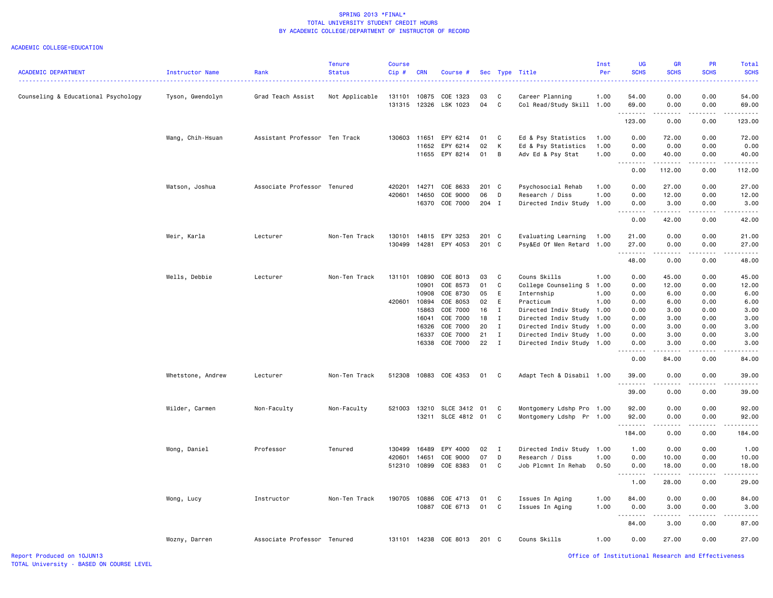#### ACADEMIC COLLEGE=EDUCATION

| <b>ACADEMIC DEPARTMENT</b>          | Instructor Name   | Rank                          | <b>Tenure</b><br><b>Status</b> | Course<br>Cip# | <b>CRN</b> | Course #                    |       |                | Sec Type Title            | Inst<br>Per | <b>UG</b><br><b>SCHS</b>      | <b>GR</b><br><b>SCHS</b>       | PR<br><b>SCHS</b>                                                                                                                                            | Total<br><b>SCHS</b> |
|-------------------------------------|-------------------|-------------------------------|--------------------------------|----------------|------------|-----------------------------|-------|----------------|---------------------------|-------------|-------------------------------|--------------------------------|--------------------------------------------------------------------------------------------------------------------------------------------------------------|----------------------|
| Counseling & Educational Psychology | Tyson, Gwendolyn  | Grad Teach Assist             | Not Applicable                 | 131101         | 10875      | COE 1323                    | 03    | C              | Career Planning           | 1.00        | 54.00                         | 0.00                           | 0.00                                                                                                                                                         | 54.00                |
|                                     |                   |                               |                                | 131315         |            | 12326 LSK 1023              | 04    | $\mathbf{C}$   | Col Read/Study Skill 1.00 |             | 69.00<br>.                    | 0.00<br>.                      | 0.00<br>.                                                                                                                                                    | 69.00<br>.           |
|                                     |                   |                               |                                |                |            |                             |       |                |                           |             | 123.00                        | 0.00                           | 0.00                                                                                                                                                         | 123.00               |
|                                     | Wang, Chih-Hsuan  | Assistant Professor Ten Track |                                |                |            | 130603 11651 EPY 6214       | 01    | C              | Ed & Psy Statistics       | 1.00        | 0.00                          | 72.00                          | 0.00                                                                                                                                                         | 72.00                |
|                                     |                   |                               |                                |                |            | 11652 EPY 6214              | 02    | K              | Ed & Psy Statistics       | 1.00        | 0.00                          | 0.00                           | 0.00                                                                                                                                                         | 0.00                 |
|                                     |                   |                               |                                |                |            | 11655 EPY 8214              | 01    | $\overline{B}$ | Adv Ed & Psy Stat         | 1.00        | 0.00<br>.                     | 40.00<br>.                     | 0.00<br>$\frac{1}{2} \left( \frac{1}{2} \right) \left( \frac{1}{2} \right) \left( \frac{1}{2} \right) \left( \frac{1}{2} \right) \left( \frac{1}{2} \right)$ | 40.00<br>.           |
|                                     |                   |                               |                                |                |            |                             |       |                |                           |             | 0.00                          | 112.00                         | 0.00                                                                                                                                                         | 112.00               |
|                                     | Watson, Joshua    | Associate Professor Tenured   |                                | 420201         | 14271      | COE 8633                    | 201 C |                | Psychosocial Rehab        | 1.00        | 0.00                          | 27.00                          | 0.00                                                                                                                                                         | 27.00                |
|                                     |                   |                               |                                | 420601         | 14650      | COE 9000                    | 06    | D              | Research / Diss           | 1.00        | 0.00                          | 12.00                          | 0.00                                                                                                                                                         | 12.00                |
|                                     |                   |                               |                                |                |            | 16370 COE 7000              | 204 I |                | Directed Indiv Study 1.00 |             | 0.00<br>.                     | 3.00<br>.                      | 0.00<br>-----                                                                                                                                                | 3.00<br>.            |
|                                     |                   |                               |                                |                |            |                             |       |                |                           |             | 0.00                          | 42.00                          | 0.00                                                                                                                                                         | 42.00                |
|                                     | Weir, Karla       | Lecturer                      | Non-Ten Track                  | 130101         |            | 14815 EPY 3253              | 201 C |                | Evaluating Learning       | 1.00        | 21.00                         | 0.00                           | 0.00                                                                                                                                                         | 21.00                |
|                                     |                   |                               |                                | 130499         |            | 14281 EPY 4053              | 201 C |                | Psy&Ed Of Men Retard 1.00 |             | 27.00                         | 0.00                           | 0.00                                                                                                                                                         | 27.00                |
|                                     |                   |                               |                                |                |            |                             |       |                |                           |             | .                             | د د د د                        | -----                                                                                                                                                        | .                    |
|                                     |                   |                               |                                |                |            |                             |       |                |                           |             | 48.00                         | 0.00                           | 0.00                                                                                                                                                         | 48.00                |
|                                     | Wells, Debbie     | Lecturer                      | Non-Ten Track                  | 131101         |            | 10890 COE 8013              | 03    | $\mathbf{C}$   | Couns Skills              | 1.00        | 0.00                          | 45.00                          | 0.00                                                                                                                                                         | 45.00                |
|                                     |                   |                               |                                |                | 10901      | COE 8573                    | 01    | C              | College Counseling S 1.00 |             | 0.00                          | 12.00                          | 0.00                                                                                                                                                         | 12.00                |
|                                     |                   |                               |                                |                | 10908      | COE 8730                    | 05    | E              | Internship                | 1.00        | 0.00                          | 6.00                           | 0.00                                                                                                                                                         | 6.00                 |
|                                     |                   |                               |                                | 420601         | 10894      | COE 8053                    | 02    | E              | Practicum                 | 1.00        | 0.00                          | 6.00                           | 0.00                                                                                                                                                         | 6.00                 |
|                                     |                   |                               |                                |                | 15863      | COE 7000                    | 16    | $\mathbf{I}$   | Directed Indiv Study 1.00 |             | 0.00                          | 3.00                           | 0.00                                                                                                                                                         | 3.00                 |
|                                     |                   |                               |                                |                | 16041      | COE 7000                    | 18    | $\mathbf{I}$   | Directed Indiv Study      | 1.00        | 0.00                          | 3.00                           | 0.00                                                                                                                                                         | 3.00                 |
|                                     |                   |                               |                                |                | 16326      | COE 7000                    | 20    | $\mathbf{I}$   | Directed Indiv Study      | 1.00        | 0.00                          | 3.00                           | 0.00                                                                                                                                                         | 3.00                 |
|                                     |                   |                               |                                |                | 16337      | COE 7000                    | 21    | $\mathbf{I}$   | Directed Indiv Study 1.00 |             | 0.00                          | 3.00                           | 0.00                                                                                                                                                         | 3.00                 |
|                                     |                   |                               |                                |                |            | 16338 COE 7000              | 22 I  |                | Directed Indiv Study 1.00 |             | 0.00<br>.                     | 3.00<br>$\cdots \cdots \cdots$ | 0.00<br>-----                                                                                                                                                | 3.00<br>.            |
|                                     |                   |                               |                                |                |            |                             |       |                |                           |             | 0.00                          | 84.00                          | 0.00                                                                                                                                                         | 84.00                |
|                                     | Whetstone, Andrew | Lecturer                      | Non-Ten Track                  | 512308         |            | 10883 COE 4353              | 01 C  |                | Adapt Tech & Disabil 1.00 |             | 39.00                         | 0.00                           | 0.00                                                                                                                                                         | 39.00                |
|                                     |                   |                               |                                |                |            |                             |       |                |                           |             | .<br>39.00                    | د د د د<br>0.00                | $- - - - -$<br>0.00                                                                                                                                          | 39.00                |
|                                     | Wilder, Carmen    | Non-Faculty                   | Non-Faculty                    |                |            | 521003 13210 SLCE 3412 01   |       | <b>C</b>       | Montgomery Ldshp Pro 1.00 |             | 92.00                         | 0.00                           | 0.00                                                                                                                                                         | 92.00                |
|                                     |                   |                               |                                |                |            | 13211 SLCE 4812 01          |       | $\mathbf{C}$   | Montgomery Ldshp Pr 1.00  |             | 92.00                         | 0.00                           | 0.00                                                                                                                                                         | 92.00                |
|                                     |                   |                               |                                |                |            |                             |       |                |                           |             | . <b>.</b><br>184.00          | .<br>0.00                      | $- - - - -$<br>0.00                                                                                                                                          | .<br>184.00          |
|                                     | Wong, Daniel      | Professor                     | Tenured                        | 130499         | 16489      | EPY 4000                    | 02    | $\mathbf{I}$   | Directed Indiv Study 1.00 |             | 1.00                          | 0.00                           | 0.00                                                                                                                                                         | 1.00                 |
|                                     |                   |                               |                                | 420601         | 14651      | COE 9000                    | 07    | D              | Research / Diss           | 1.00        | 0.00                          | 10.00                          | 0.00                                                                                                                                                         | 10.00                |
|                                     |                   |                               |                                | 512310         |            | 10899 COE 8383              | 01 C  |                | Job Plcmnt In Rehab       | 0.50        | 0.00                          | 18.00                          | 0.00                                                                                                                                                         | 18.00                |
|                                     |                   |                               |                                |                |            |                             |       |                |                           |             | .                             | .                              | .                                                                                                                                                            | .                    |
|                                     |                   |                               |                                |                |            |                             |       |                |                           |             | 1.00                          | 28.00                          | 0.00                                                                                                                                                         | 29.00                |
|                                     | Wong, Lucy        | Instructor                    | Non-Ten Track                  | 190705         |            | 10886 COE 4713              | 01    | $\mathbf{C}$   | Issues In Aging           | 1.00        | 84.00                         | 0.00                           | 0.00                                                                                                                                                         | 84.00                |
|                                     |                   |                               |                                |                |            | 10887 COE 6713              | 01 C  |                | Issues In Aging           | 1.00        | 0.00                          | 3.00                           | 0.00                                                                                                                                                         | 3.00                 |
|                                     |                   |                               |                                |                |            |                             |       |                |                           |             | $\sim$ $\sim$ $\sim$<br>----- | $\sim$ $\sim$ $\sim$ $\sim$    | -----                                                                                                                                                        |                      |
|                                     |                   |                               |                                |                |            |                             |       |                |                           |             | 84.00                         | 3.00                           | 0.00                                                                                                                                                         | 87.00                |
|                                     | Wozny, Darren     | Associate Professor Tenured   |                                |                |            | 131101 14238 COE 8013 201 C |       |                | Couns Skills              | 1.00        | 0.00                          | 27.00                          | 0.00                                                                                                                                                         | 27.00                |

Report Produced on 10JUN13 Office of Institutional Research and Effectiveness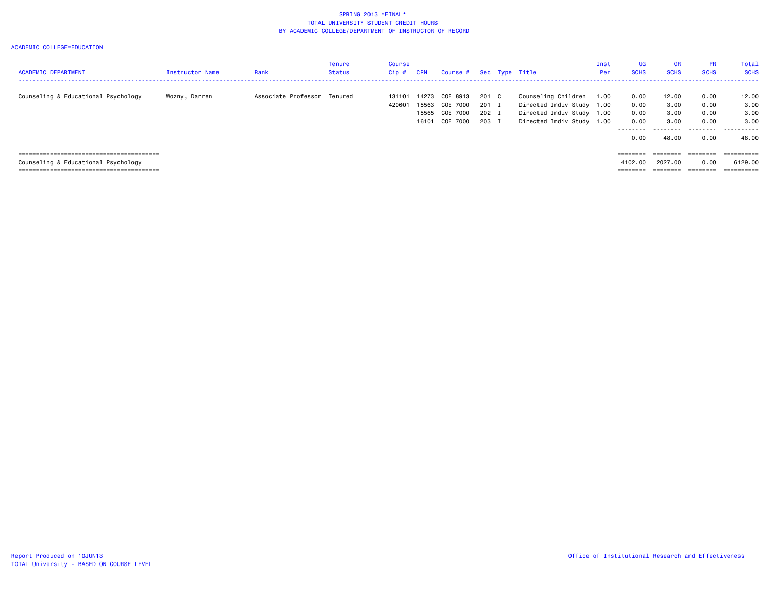| <b>ACADEMIC DEPARTMENT</b>          | <b>Instructor Name</b> | Rank                        | Tenure<br><b>Status</b> | Course<br>Cip#   | <b>CRN</b>     | Course # Sec Type Title |                |                                                        | Inst<br>Per | <b>UG</b><br><b>SCHS</b> | <b>GR</b><br><b>SCHS</b> | <b>PR</b><br><b>SCHS</b> | Total<br><b>SCHS</b>  |
|-------------------------------------|------------------------|-----------------------------|-------------------------|------------------|----------------|-------------------------|----------------|--------------------------------------------------------|-------------|--------------------------|--------------------------|--------------------------|-----------------------|
| Counseling & Educational Psychology | Wozny, Darren          | Associate Professor Tenured |                         | 131101<br>420601 | 14273<br>15563 | COE 8913<br>COE 7000    | 201 C<br>201 I | Counseling Children<br>Directed Indiv Study 1.00       | 1.00        | 0.00<br>0.00             | 12.00<br>3.00            | 0.00<br>0.00             | 12.00<br>3.00         |
|                                     |                        |                             |                         |                  | 15565<br>16101 | COE 7000<br>COE 7000    | 202 I<br>203 I | Directed Indiv Study 1.00<br>Directed Indiv Study 1.00 |             | 0.00<br>0.00             | 3.00<br>3.00             | 0.00<br>0.00             | 3.00<br>3.00          |
|                                     |                        |                             |                         |                  |                |                         |                |                                                        |             | ---------<br>0.00        | ---------<br>48.00       | .<br>0.00                | .<br>48.00            |
|                                     |                        |                             |                         |                  |                |                         |                |                                                        |             | $=$ = = = = = = =        | ========                 | ========                 |                       |
| Counseling & Educational Psychology |                        |                             |                         |                  |                |                         |                |                                                        |             | 4102.00<br>========      | 2027,00<br>========      | 0.00<br>---------        | 6129.00<br>========== |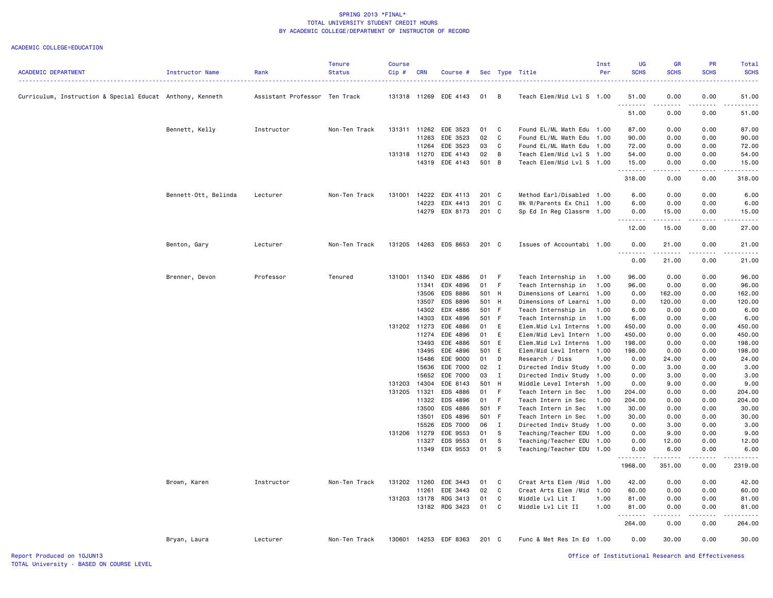| <b>ACADEMIC DEPARTMENT</b>                                | <b>Instructor Name</b> | Rank                          | Tenure<br><b>Status</b> | Course<br>Cip# | <b>CRN</b>     | Course #                   |                     |                | Sec Type Title                                         | Inst<br>Per | <b>UG</b><br><b>SCHS</b> | GR<br><b>SCHS</b>                                                                                                                 | PR<br><b>SCHS</b>                                                                                                                                            | Total<br><b>SCHS</b> |
|-----------------------------------------------------------|------------------------|-------------------------------|-------------------------|----------------|----------------|----------------------------|---------------------|----------------|--------------------------------------------------------|-------------|--------------------------|-----------------------------------------------------------------------------------------------------------------------------------|--------------------------------------------------------------------------------------------------------------------------------------------------------------|----------------------|
|                                                           |                        |                               |                         |                |                |                            |                     |                |                                                        |             |                          |                                                                                                                                   |                                                                                                                                                              |                      |
| Curriculum, Instruction & Special Educat Anthony, Kenneth |                        | Assistant Professor Ten Track |                         |                |                | 131318 11269 EDE 4143      | 01                  | $\overline{B}$ | Teach Elem/Mid Lvl S 1.00                              |             | 51.00<br>.               | 0.00<br>$\frac{1}{2} \left( \frac{1}{2} \right) \left( \frac{1}{2} \right) \left( \frac{1}{2} \right) \left( \frac{1}{2} \right)$ | 0.00<br>.                                                                                                                                                    | 51.00<br>.           |
|                                                           |                        |                               |                         |                |                |                            |                     |                |                                                        |             | 51.00                    | 0.00                                                                                                                              | 0.00                                                                                                                                                         | 51.00                |
|                                                           | Bennett, Kelly         | Instructor                    | Non-Ten Track           | 131311         | 11262          | EDE 3523                   | 01                  | $\mathbf{C}$   | Found EL/ML Math Edu 1.00                              |             | 87.00                    | 0.00                                                                                                                              | 0.00                                                                                                                                                         | 87.00                |
|                                                           |                        |                               |                         |                | 11263          | EDE 3523                   | 02                  | $\mathbf{C}$   | Found EL/ML Math Edu 1.00                              |             | 90.00                    | 0.00                                                                                                                              | 0.00                                                                                                                                                         | 90.00                |
|                                                           |                        |                               |                         |                | 11264          | EDE 3523                   | 03                  | C              | Found EL/ML Math Edu 1.00                              |             | 72.00                    | 0.00                                                                                                                              | 0.00                                                                                                                                                         | 72.00                |
|                                                           |                        |                               |                         | 131318 11270   |                | EDE 4143                   | 02                  | $\overline{B}$ | Teach Elem/Mid Lvl S 1.00                              |             | 54.00                    | 0.00                                                                                                                              | 0.00                                                                                                                                                         | 54.00                |
|                                                           |                        |                               |                         |                | 14319          | EDE 4143                   | 501 B               |                | Teach Elem/Mid Lvl S 1.00                              |             | 15.00<br>.               | 0.00<br>$\omega_{\rm c}$ and $\omega_{\rm c}$                                                                                     | 0.00<br>.                                                                                                                                                    | 15.00                |
|                                                           |                        |                               |                         |                |                |                            |                     |                |                                                        |             | 318.00                   | 0.00                                                                                                                              | 0.00                                                                                                                                                         | 318.00               |
|                                                           | Bennett-Ott, Belinda   | Lecturer                      | Non-Ten Track           | 131001         | 14222          | EDX 4113                   | 201 C<br>201 C      |                | Method Earl/Disabled 1.00                              |             | 6.00                     | 0.00                                                                                                                              | 0.00                                                                                                                                                         | 6.00                 |
|                                                           |                        |                               |                         |                | 14223          | EDX 4413<br>14279 EDX 8173 | 201 C               |                | Wk W/Parents Ex Chil 1.00<br>Sp Ed In Reg Classrm 1.00 |             | 6.00<br>0.00             | 0.00<br>15.00                                                                                                                     | 0.00<br>0.00                                                                                                                                                 | 6.00<br>15.00        |
|                                                           |                        |                               |                         |                |                |                            |                     |                |                                                        |             | <u>.</u>                 | .                                                                                                                                 | $- - - - -$                                                                                                                                                  | .                    |
|                                                           |                        |                               |                         |                |                |                            |                     |                |                                                        |             | 12.00                    | 15.00                                                                                                                             | 0.00                                                                                                                                                         | 27.00                |
|                                                           | Benton, Gary           | Lecturer                      | Non-Ten Track           |                |                | 131205 14263 EDS 8653      | 201 C               |                | Issues of Accountabi 1.00                              |             | 0.00<br><u>.</u>         | 21.00<br>$- - - - - - -$                                                                                                          | 0.00<br>$- - - - -$                                                                                                                                          | 21.00<br>.           |
|                                                           |                        |                               |                         |                |                |                            |                     |                |                                                        |             | 0.00                     | 21.00                                                                                                                             | 0.00                                                                                                                                                         | 21.00                |
|                                                           | Brenner, Devon         | Professor                     | Tenured                 | 131001 11340   |                | EDX 4886                   | 01                  | - F            | Teach Internship in                                    | 1.00        | 96.00                    | 0.00                                                                                                                              | 0.00                                                                                                                                                         | 96.00                |
|                                                           |                        |                               |                         |                | 11341          | EDX 4896                   | 01                  | - F            | Teach Internship in                                    | 1.00        | 96.00                    | 0.00                                                                                                                              | 0.00                                                                                                                                                         | 96.00                |
|                                                           |                        |                               |                         |                | 13506<br>13507 | EDS 8886<br>EDS 8896       | 501 H<br>501 H      |                | Dimensions of Learni<br>Dimensions of Learni 1.00      | 1.00        | 0.00<br>0.00             | 162.00<br>120.00                                                                                                                  | 0.00<br>0.00                                                                                                                                                 | 162.00<br>120.00     |
|                                                           |                        |                               |                         |                |                | 14302 EDX 4886             | 501 F               |                | Teach Internship in                                    | 1.00        | 6.00                     | 0.00                                                                                                                              | 0.00                                                                                                                                                         | 6.00                 |
|                                                           |                        |                               |                         |                | 14303          | EDX 4896                   | 501 F               |                | Teach Internship in                                    | 1.00        | 6.00                     | 0.00                                                                                                                              | 0.00                                                                                                                                                         | 6.00                 |
|                                                           |                        |                               |                         | 131202 11273   |                | EDE 4886                   | 01                  | E              | Elem.Mid Lvl Interns                                   | 1.00        | 450.00                   | 0.00                                                                                                                              | 0.00                                                                                                                                                         | 450.00               |
|                                                           |                        |                               |                         |                | 11274          | EDE 4896                   | 01                  | E              | Elem/Mid Levl Intern 1.00                              |             | 450.00                   | 0.00                                                                                                                              | 0.00                                                                                                                                                         | 450.00               |
|                                                           |                        |                               |                         |                | 13493          | EDE 4886                   | 501 E               |                | Elem.Mid Lvl Interns 1.00                              |             | 198.00                   | 0.00                                                                                                                              | 0.00                                                                                                                                                         | 198.00               |
|                                                           |                        |                               |                         |                |                | 13495 EDE 4896             | 501 E               |                | Elem/Mid Levl Intern 1.00                              |             | 198.00                   | 0.00                                                                                                                              | 0.00                                                                                                                                                         | 198.00               |
|                                                           |                        |                               |                         |                | 15486          | EDE 9000                   | 01                  | $\mathsf{D}$   | Research / Diss                                        | 1.00        | 0.00                     | 24.00                                                                                                                             | 0.00                                                                                                                                                         | 24.00                |
|                                                           |                        |                               |                         |                | 15636<br>15652 | EDE 7000<br>EDE 7000       | $02 \qquad I$<br>03 | $\mathbf{I}$   | Directed Indiv Study 1.00<br>Directed Indiv Study 1.00 |             | 0.00<br>0.00             | 3.00<br>3.00                                                                                                                      | 0.00<br>0.00                                                                                                                                                 | 3.00<br>3.00         |
|                                                           |                        |                               |                         | 131203         | 14304          | EDE 8143                   | 501 H               |                | Middle Level Intersh 1.00                              |             | 0.00                     | 9.00                                                                                                                              | 0.00                                                                                                                                                         | 9.00                 |
|                                                           |                        |                               |                         | 131205 11321   |                | EDS 4886                   | 01 F                |                | Teach Intern in Sec                                    | 1.00        | 204.00                   | 0.00                                                                                                                              | 0.00                                                                                                                                                         | 204.00               |
|                                                           |                        |                               |                         |                | 11322          | EDS 4896                   | 01                  | - F            | Teach Intern in Sec                                    | 1.00        | 204.00                   | 0.00                                                                                                                              | 0.00                                                                                                                                                         | 204.00               |
|                                                           |                        |                               |                         |                | 13500          | EDS 4886                   | 501 F               |                | Teach Intern in Sec                                    | 1.00        | 30.00                    | 0.00                                                                                                                              | 0.00                                                                                                                                                         | 30.00                |
|                                                           |                        |                               |                         |                | 13501          | EDS 4896                   | 501 F               |                | Teach Intern in Sec                                    | 1.00        | 30.00                    | 0.00                                                                                                                              | 0.00                                                                                                                                                         | 30.00                |
|                                                           |                        |                               |                         |                | 15526          | EDS 7000                   | 06                  | $\mathbf{I}$   | Directed Indiv Study                                   | 1.00        | 0.00                     | 3.00                                                                                                                              | 0.00                                                                                                                                                         | 3.00                 |
|                                                           |                        |                               |                         | 131206 11279   | 11327          | EDE 9553<br>EDS 9553       | 01<br>01            | s<br>- S       | Teaching/Teacher EDU 1.00<br>Teaching/Teacher EDU 1.00 |             | 0.00<br>0.00             | 9.00<br>12.00                                                                                                                     | 0.00<br>0.00                                                                                                                                                 | 9.00<br>12.00        |
|                                                           |                        |                               |                         |                |                | 11349 EDX 9553             | 01 S                |                | Teaching/Teacher EDU 1.00                              |             | 0.00                     | 6.00                                                                                                                              | 0.00                                                                                                                                                         | 6.00                 |
|                                                           |                        |                               |                         |                |                |                            |                     |                |                                                        |             | .<br>1968.00             | .<br>351.00                                                                                                                       | $\frac{1}{2} \left( \frac{1}{2} \right) \left( \frac{1}{2} \right) \left( \frac{1}{2} \right) \left( \frac{1}{2} \right) \left( \frac{1}{2} \right)$<br>0.00 | .<br>2319.00         |
|                                                           | Brown, Karen           | Instructor                    | Non-Ten Track           | 131202 11260   |                | EDE 3443                   | 01                  | $\mathbf{C}$   | Creat Arts Elem / Mid 1.00                             |             | 42.00                    | 0.00                                                                                                                              | 0.00                                                                                                                                                         | 42.00                |
|                                                           |                        |                               |                         |                | 11261          | EDE 3443                   | 02                  | $\mathbf{C}$   | Creat Arts Elem / Mid 1.00                             |             | 60.00                    | 0.00                                                                                                                              | 0.00                                                                                                                                                         | 60.00                |
|                                                           |                        |                               |                         |                | 131203 13178   | RDG 3413                   | 01                  | C              | Middle Lvl Lit I                                       | 1.00        | 81.00                    | 0.00                                                                                                                              | 0.00                                                                                                                                                         | 81.00                |
|                                                           |                        |                               |                         |                |                | 13182 RDG 3423             | 01 C                |                | Middle Lvl Lit II                                      | 1.00        | 81.00<br><u>.</u>        | 0.00<br>----                                                                                                                      | 0.00                                                                                                                                                         | 81.00                |
|                                                           |                        |                               |                         |                |                |                            |                     |                |                                                        |             | 264.00                   | 0.00                                                                                                                              | 0.00                                                                                                                                                         | 264.00               |
|                                                           | Bryan, Laura           | Lecturer                      | Non-Ten Track           |                |                | 130601 14253 EDF 8363      | 201 C               |                | Func & Met Res In Ed 1.00                              |             | 0.00                     | 30.00                                                                                                                             | 0.00                                                                                                                                                         | 30.00                |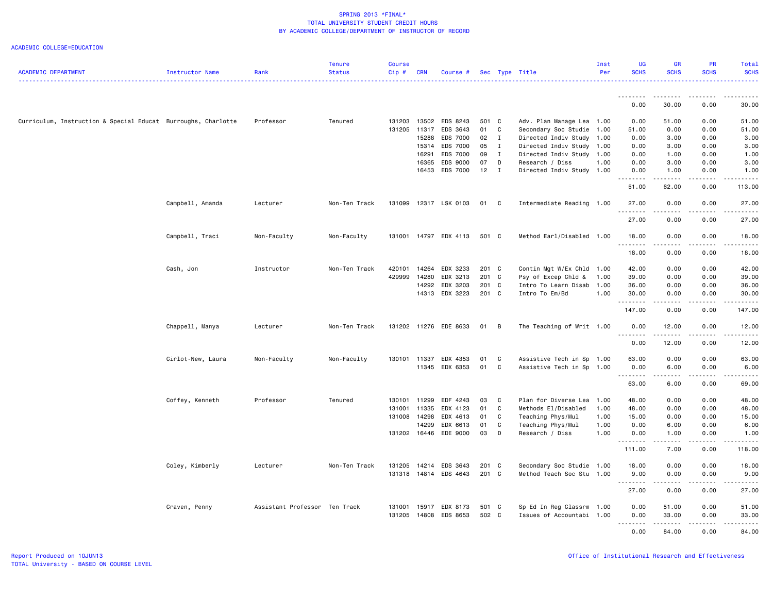| <b>ACADEMIC DEPARTMENT</b>                                    | Instructor Name   | Rank                          | <b>Tenure</b><br><b>Status</b> | Course<br>Cip# | <b>CRN</b> | Course #              |               |                | Sec Type Title            | Inst<br>Per | <b>UG</b><br><b>SCHS</b>            | <b>GR</b><br><b>SCHS</b>                                                                                                                                     | PR<br><b>SCHS</b>                                                                                                                                            | Total<br><b>SCHS</b> |
|---------------------------------------------------------------|-------------------|-------------------------------|--------------------------------|----------------|------------|-----------------------|---------------|----------------|---------------------------|-------------|-------------------------------------|--------------------------------------------------------------------------------------------------------------------------------------------------------------|--------------------------------------------------------------------------------------------------------------------------------------------------------------|----------------------|
|                                                               |                   |                               |                                |                |            |                       |               |                |                           |             |                                     |                                                                                                                                                              |                                                                                                                                                              |                      |
|                                                               |                   |                               |                                |                |            |                       |               |                |                           |             | .<br>0.00                           | .<br>30.00                                                                                                                                                   | .<br>0.00                                                                                                                                                    | .<br>30.00           |
| Curriculum, Instruction & Special Educat Burroughs, Charlotte |                   | Professor                     | Tenured                        | 131203         |            | 13502 EDS 8243        | 501 C         |                | Adv. Plan Manage Lea 1.00 |             | 0.00                                | 51.00                                                                                                                                                        | 0.00                                                                                                                                                         | 51.00                |
|                                                               |                   |                               |                                | 131205         |            | 11317 EDS 3643        | 01            | C              | Secondary Soc Studie      | 1.00        | 51.00                               | 0.00                                                                                                                                                         | 0.00                                                                                                                                                         | 51.00                |
|                                                               |                   |                               |                                |                | 15288      | EDS 7000              | $02 \qquad I$ |                | Directed Indiv Study      | 1.00        | 0.00                                | 3.00                                                                                                                                                         | 0.00                                                                                                                                                         | 3.00                 |
|                                                               |                   |                               |                                |                | 15314      | EDS 7000              | 05            | $\mathbf{I}$   | Directed Indiv Study      | 1.00        | 0.00                                | 3.00                                                                                                                                                         | 0.00                                                                                                                                                         | 3.00                 |
|                                                               |                   |                               |                                |                | 16291      | EDS 7000              | 09            | $\mathbf{I}$   | Directed Indiv Study 1.00 |             | 0.00                                | 1.00                                                                                                                                                         | 0.00                                                                                                                                                         | 1.00                 |
|                                                               |                   |                               |                                |                | 16365      | EDS 9000              | 07            | D              | Research / Diss           | 1.00        | 0.00                                | 3.00                                                                                                                                                         | 0.00                                                                                                                                                         | 3.00                 |
|                                                               |                   |                               |                                |                |            | 16453 EDS 7000        | 12            | $\mathbf{I}$   | Directed Indiv Study 1.00 |             | 0.00<br>$\sim$ $\sim$ $\sim$ $\sim$ | 1.00<br>$\frac{1}{2} \left( \frac{1}{2} \right) \left( \frac{1}{2} \right) \left( \frac{1}{2} \right) \left( \frac{1}{2} \right) \left( \frac{1}{2} \right)$ | 0.00<br>.                                                                                                                                                    | 1.00<br>$- - - - -$  |
|                                                               |                   |                               |                                |                |            |                       |               |                |                           |             | 51.00                               | 62.00                                                                                                                                                        | 0.00                                                                                                                                                         | 113.00               |
|                                                               | Campbell, Amanda  | Lecturer                      | Non-Ten Track                  | 131099         |            | 12317 LSK 0103        | 01            | $\overline{C}$ | Intermediate Reading 1.00 |             | 27.00<br><u>.</u>                   | 0.00<br>----                                                                                                                                                 | 0.00<br>.                                                                                                                                                    | 27.00<br>.           |
|                                                               |                   |                               |                                |                |            |                       |               |                |                           |             | 27.00                               | 0.00                                                                                                                                                         | 0.00                                                                                                                                                         | 27.00                |
|                                                               | Campbell, Traci   | Non-Faculty                   | Non-Faculty                    | 131001         |            | 14797 EDX 4113        | 501 C         |                | Method Earl/Disabled 1.00 |             | 18.00<br><u>.</u>                   | 0.00                                                                                                                                                         | 0.00                                                                                                                                                         | 18.00                |
|                                                               |                   |                               |                                |                |            |                       |               |                |                           |             | 18.00                               | 0.00                                                                                                                                                         | 0.00                                                                                                                                                         | 18.00                |
|                                                               | Cash, Jon         | Instructor                    | Non-Ten Track                  | 420101         |            | 14264 EDX 3233        | 201 C         |                | Contin Mgt W/Ex Chld 1.00 |             | 42.00                               | 0.00                                                                                                                                                         | 0.00                                                                                                                                                         | 42.00                |
|                                                               |                   |                               |                                | 429999         | 14280      | EDX 3213              | 201 C         |                | Psy of Excep Chld &       | 1.00        | 39.00                               | 0.00                                                                                                                                                         | 0.00                                                                                                                                                         | 39.00                |
|                                                               |                   |                               |                                |                |            | 14292 EDX 3203        | 201 C         |                | Intro To Learn Disab      | 1.00        | 36.00                               | 0.00                                                                                                                                                         | 0.00                                                                                                                                                         | 36.00                |
|                                                               |                   |                               |                                |                |            | 14313 EDX 3223        | 201 C         |                | Intro To Em/Bd            | 1.00        | 30.00                               | 0.00                                                                                                                                                         | 0.00                                                                                                                                                         | 30.00                |
|                                                               |                   |                               |                                |                |            |                       |               |                |                           |             | .<br>147.00                         | 0.00                                                                                                                                                         | 0.00                                                                                                                                                         | 147.00               |
|                                                               | Chappell, Manya   | Lecturer                      | Non-Ten Track                  |                |            | 131202 11276 EDE 8633 | 01            | $\overline{B}$ | The Teaching of Writ 1.00 |             | 0.00                                | 12.00                                                                                                                                                        | 0.00                                                                                                                                                         | 12.00                |
|                                                               |                   |                               |                                |                |            |                       |               |                |                           |             | 0.00                                | 12.00                                                                                                                                                        | 0.00                                                                                                                                                         | 12.00                |
|                                                               | Cirlot-New, Laura | Non-Faculty                   | Non-Faculty                    |                |            | 130101 11337 EDX 4353 | 01            | $\mathbf{C}$   | Assistive Tech in Sp 1.00 |             | 63.00                               | 0.00                                                                                                                                                         | 0.00                                                                                                                                                         | 63.00                |
|                                                               |                   |                               |                                |                |            | 11345 EDX 6353        | 01 C          |                | Assistive Tech in Sp 1.00 |             | 0.00                                | 6.00                                                                                                                                                         | 0.00                                                                                                                                                         | 6.00                 |
|                                                               |                   |                               |                                |                |            |                       |               |                |                           |             | .<br>.                              | $\sim$ $\sim$ $\sim$ $\sim$                                                                                                                                  | $- - - - -$                                                                                                                                                  | .                    |
|                                                               |                   |                               |                                |                |            |                       |               |                |                           |             | 63.00                               | 6.00                                                                                                                                                         | 0.00                                                                                                                                                         | 69.00                |
|                                                               | Coffey, Kenneth   | Professor                     | Tenured                        | 130101         | 11299      | EDF 4243              | 03            | C              | Plan for Diverse Lea      | 1.00        | 48.00                               | 0.00                                                                                                                                                         | 0.00                                                                                                                                                         | 48.00                |
|                                                               |                   |                               |                                | 131001         | 11335      | EDX 4123              | 01            | C              | Methods El/Disabled       | 1.00        | 48.00                               | 0.00                                                                                                                                                         | 0.00                                                                                                                                                         | 48.00                |
|                                                               |                   |                               |                                | 131008         | 14298      | EDX 4613              | 01            | C              | Teaching Phys/Mul         | 1.00        | 15.00                               | 0.00                                                                                                                                                         | 0.00                                                                                                                                                         | 15.00                |
|                                                               |                   |                               |                                |                | 14299      | EDX 6613              | 01            | C              | Teaching Phys/Mul         | 1.00        | 0.00                                | 6.00                                                                                                                                                         | 0.00                                                                                                                                                         | 6.00                 |
|                                                               |                   |                               |                                |                |            | 131202 16446 EDE 9000 | 03            | D              | Research / Diss           | 1.00        | 0.00<br>.                           | 1.00<br>.                                                                                                                                                    | 0.00<br>$\frac{1}{2} \left( \frac{1}{2} \right) \left( \frac{1}{2} \right) \left( \frac{1}{2} \right) \left( \frac{1}{2} \right) \left( \frac{1}{2} \right)$ | 1.00<br>.            |
|                                                               |                   |                               |                                |                |            |                       |               |                |                           |             | 111.00                              | 7.00                                                                                                                                                         | 0.00                                                                                                                                                         | 118.00               |
|                                                               | Coley, Kimberly   | Lecturer                      | Non-Ten Track                  | 131205         | 14214      | EDS 3643              | 201 C         |                | Secondary Soc Studie 1.00 |             | 18.00                               | 0.00                                                                                                                                                         | 0.00                                                                                                                                                         | 18.00                |
|                                                               |                   |                               |                                |                |            | 131318 14814 EDS 4643 | 201 C         |                | Method Teach Soc Stu 1.00 |             | 9.00<br>.                           | 0.00<br>.                                                                                                                                                    | 0.00<br>.                                                                                                                                                    | 9.00<br>.            |
|                                                               |                   |                               |                                |                |            |                       |               |                |                           |             | 27.00                               | 0.00                                                                                                                                                         | 0.00                                                                                                                                                         | 27.00                |
|                                                               | Craven, Penny     | Assistant Professor Ten Track |                                | 131001         |            | 15917 EDX 8173        | 501 C         |                | Sp Ed In Reg Classrm 1.00 |             | 0.00                                | 51.00                                                                                                                                                        | 0.00                                                                                                                                                         | 51.00                |
|                                                               |                   |                               |                                | 131205         |            | 14808 EDS 8653        | 502 C         |                | Issues of Accountabi 1.00 |             | 0.00                                | 33.00                                                                                                                                                        | 0.00                                                                                                                                                         | 33.00                |
|                                                               |                   |                               |                                |                |            |                       |               |                |                           |             | .                                   | .                                                                                                                                                            | $\frac{1}{2} \left( \frac{1}{2} \right) \left( \frac{1}{2} \right) \left( \frac{1}{2} \right) \left( \frac{1}{2} \right) \left( \frac{1}{2} \right)$         | .                    |
|                                                               |                   |                               |                                |                |            |                       |               |                |                           |             | 0.00                                | 84.00                                                                                                                                                        | 0.00                                                                                                                                                         | 84.00                |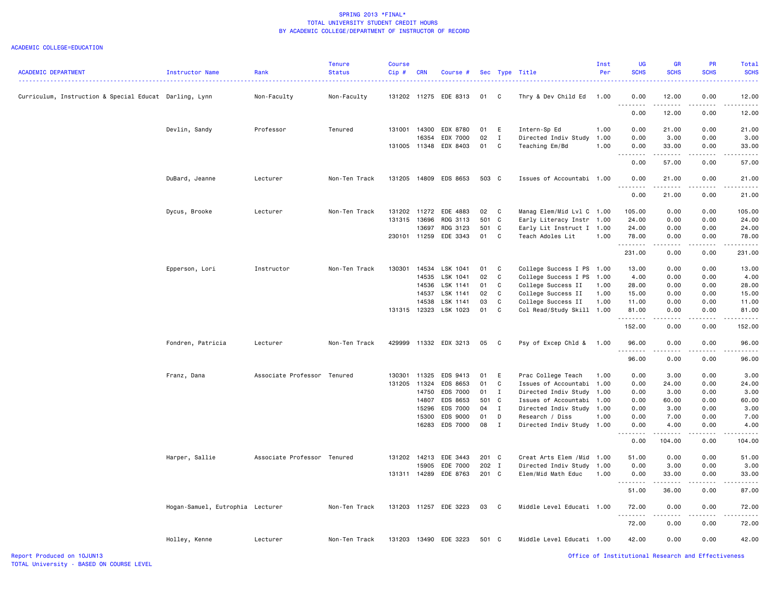#### ACADEMIC COLLEGE=EDUCATION

| <b>ACADEMIC DEPARTMENT</b>                             | Instructor Name                  | Rank                        | <b>Tenure</b><br><b>Status</b> | <b>Course</b><br>Cip# | <b>CRN</b> | Course #              |       |              | Sec Type Title             | Inst<br>Per | <b>UG</b><br><b>SCHS</b>            | <b>GR</b><br><b>SCHS</b>                                                                                                                                     | <b>PR</b><br><b>SCHS</b> | <b>Total</b><br><b>SCHS</b> |
|--------------------------------------------------------|----------------------------------|-----------------------------|--------------------------------|-----------------------|------------|-----------------------|-------|--------------|----------------------------|-------------|-------------------------------------|--------------------------------------------------------------------------------------------------------------------------------------------------------------|--------------------------|-----------------------------|
| Curriculum, Instruction & Special Educat Darling, Lynn |                                  | Non-Faculty                 | Non-Faculty                    |                       |            | 131202 11275 EDE 8313 | 01    | $\mathbf{C}$ | Thry & Dev Child Ed        | 1.00        | 0.00                                | 12.00                                                                                                                                                        | 0.00                     | 12.00                       |
|                                                        |                                  |                             |                                |                       |            |                       |       |              |                            |             | 0.00                                | 12.00                                                                                                                                                        | 0.00                     | 12.00                       |
|                                                        | Devlin, Sandy                    | Professor                   | Tenured                        | 131001                | 14300      | EDX 8780              | 01    | E            | Intern-Sp Ed               | 1.00        | 0.00                                | 21.00                                                                                                                                                        | 0.00                     | 21.00                       |
|                                                        |                                  |                             |                                |                       | 16354      | EDX 7000              | 02    | $\mathbf{I}$ | Directed Indiv Study       | 1.00        | 0.00                                | 3.00                                                                                                                                                         | 0.00                     | 3.00                        |
|                                                        |                                  |                             |                                | 131005 11348          |            | EDX 8403              | 01    | C            | Teaching Em/Bd             | 1.00        | 0.00<br>$\sim$ $\sim$ $\sim$ $\sim$ | 33.00<br>$\begin{array}{cccccccccc} \bullet & \bullet & \bullet & \bullet & \bullet & \bullet & \bullet \end{array}$                                         | 0.00                     | 33.00                       |
|                                                        |                                  |                             |                                |                       |            |                       |       |              |                            |             | 0.00                                | 57.00                                                                                                                                                        | 0.00                     | 57.00                       |
|                                                        | DuBard, Jeanne                   | Lecturer                    | Non-Ten Track                  |                       |            | 131205 14809 EDS 8653 | 503 C |              | Issues of Accountabi 1.00  |             | 0.00                                | 21.00<br>المتمام المتحدة                                                                                                                                     | 0.00                     | 21.00                       |
|                                                        |                                  |                             |                                |                       |            |                       |       |              |                            |             | 0.00                                | 21.00                                                                                                                                                        | 0.00                     | 21.00                       |
|                                                        | Dycus, Brooke                    | Lecturer                    | Non-Ten Track                  | 131202 11272          |            | EDE 4883              | 02    | $\mathbf{C}$ | Manag Elem/Mid Lvl C 1.00  |             | 105.00                              | 0.00                                                                                                                                                         | 0.00                     | 105.00                      |
|                                                        |                                  |                             |                                | 131315                | 13696      | RDG 3113              | 501 C |              | Early Literacy Instr 1.00  |             | 24.00                               | 0.00                                                                                                                                                         | 0.00                     | 24.00                       |
|                                                        |                                  |                             |                                |                       | 13697      | RDG 3123              | 501 C |              | Early Lit Instruct I 1.00  |             | 24.00                               | 0.00                                                                                                                                                         | 0.00                     | 24.00                       |
|                                                        |                                  |                             |                                | 230101 11259          |            | EDE 3343              | 01    | <b>C</b>     | Teach Adoles Lit           | 1.00        | 78.00                               | 0.00                                                                                                                                                         | 0.00                     | 78.00                       |
|                                                        |                                  |                             |                                |                       |            |                       |       |              |                            |             | . <b>.</b><br>231.00                | $\frac{1}{2} \left( \frac{1}{2} \right) \left( \frac{1}{2} \right) \left( \frac{1}{2} \right) \left( \frac{1}{2} \right) \left( \frac{1}{2} \right)$<br>0.00 | .<br>0.00                | .<br>231.00                 |
|                                                        | Epperson, Lori                   | Instructor                  | Non-Ten Track                  | 130301                | 14534      | LSK 1041              | 01    | C            | College Success I PS 1.00  |             | 13.00                               | 0.00                                                                                                                                                         | 0.00                     | 13.00                       |
|                                                        |                                  |                             |                                |                       | 14535      | LSK 1041              | 02    | C            | College Success I PS 1.00  |             | 4.00                                | 0.00                                                                                                                                                         | 0.00                     | 4.00                        |
|                                                        |                                  |                             |                                |                       | 14536      | LSK 1141              | 01    | C            | College Success II         | 1.00        | 28.00                               | 0.00                                                                                                                                                         | 0.00                     | 28.00                       |
|                                                        |                                  |                             |                                |                       | 14537      | LSK 1141              | 02    | C.           | College Success II         | 1.00        | 15.00                               | 0.00                                                                                                                                                         | 0.00                     | 15.00                       |
|                                                        |                                  |                             |                                |                       | 14538      | LSK 1141              | 03    | C            | College Success II         | 1.00        | 11.00                               | 0.00                                                                                                                                                         | 0.00                     | 11.00                       |
|                                                        |                                  |                             |                                |                       |            | 131315 12323 LSK 1023 | 01    | C            | Col Read/Study Skill 1.00  |             | 81.00                               | 0.00                                                                                                                                                         | 0.00                     | 81.00                       |
|                                                        |                                  |                             |                                |                       |            |                       |       |              |                            |             | .<br>152.00                         | $\sim$ $\sim$ $\sim$ $\sim$<br>0.00                                                                                                                          | .<br>0.00                | .<br>152.00                 |
|                                                        | Fondren, Patricia                | Lecturer                    | Non-Ten Track                  | 429999                |            | 11332 EDX 3213        | 05    | $\mathbf{C}$ | Psy of Excep Chld &        | 1.00        | 96.00                               | 0.00                                                                                                                                                         | 0.00                     | 96.00                       |
|                                                        |                                  |                             |                                |                       |            |                       |       |              |                            |             | . <b>.</b><br>96.00                 | .<br>0.00                                                                                                                                                    | 0.00                     | 96.00                       |
|                                                        | Franz, Dana                      | Associate Professor Tenured |                                | 130301                | 11325      | EDS 9413              | 01    | E            | Prac College Teach         | 1.00        | 0.00                                | 3.00                                                                                                                                                         | 0.00                     | 3.00                        |
|                                                        |                                  |                             |                                | 131205                | 11324      | EDS 8653              | 01    | C            | Issues of Accountabi       | 1.00        | 0.00                                | 24.00                                                                                                                                                        | 0.00                     | 24.00                       |
|                                                        |                                  |                             |                                |                       | 14750      | EDS 7000              | 01    | I            | Directed Indiv Study       | 1.00        | 0.00                                | 3.00                                                                                                                                                         | 0.00                     | 3.00                        |
|                                                        |                                  |                             |                                |                       | 14807      | EDS 8653              | 501 C |              | Issues of Accountabi 1.00  |             | 0.00                                | 60.00                                                                                                                                                        | 0.00                     | 60.00                       |
|                                                        |                                  |                             |                                |                       | 15296      | EDS 7000              | 04    | $\mathbf{I}$ | Directed Indiv Study       | 1.00        | 0.00                                | 3.00                                                                                                                                                         | 0.00                     | 3.00                        |
|                                                        |                                  |                             |                                |                       | 15300      | EDS 9000              | 01    | D            | Research / Diss            | 1.00        | 0.00                                | 7.00                                                                                                                                                         | 0.00                     | 7.00                        |
|                                                        |                                  |                             |                                |                       | 16283      | <b>EDS 7000</b>       | 08    | $\mathbf{I}$ | Directed Indiv Study       | 1.00        | 0.00                                | 4.00                                                                                                                                                         | 0.00                     | 4.00                        |
|                                                        |                                  |                             |                                |                       |            |                       |       |              |                            |             | .<br>0.00                           | 104.00                                                                                                                                                       | 0.00                     | 104.00                      |
|                                                        | Harper, Sallie                   | Associate Professor Tenured |                                | 131202                | 14213      | EDE 3443              | 201 C |              | Creat Arts Elem / Mid 1.00 |             | 51.00                               | 0.00                                                                                                                                                         | 0.00                     | 51.00                       |
|                                                        |                                  |                             |                                |                       | 15905      | EDE 7000              | 202 I |              | Directed Indiv Study 1.00  |             | 0.00                                | 3.00                                                                                                                                                         | 0.00                     | 3.00                        |
|                                                        |                                  |                             |                                | 131311 14289          |            | EDE 8763              | 201 C |              | Elem/Mid Math Educ         | 1.00        | 0.00                                | 33.00                                                                                                                                                        | 0.00                     | 33.00                       |
|                                                        |                                  |                             |                                |                       |            |                       |       |              |                            |             | .<br>51.00                          | .<br>36.00                                                                                                                                                   | .<br>0.00                | 87.00                       |
|                                                        | Hogan-Samuel, Eutrophia Lecturer |                             | Non-Ten Track                  |                       |            | 131203 11257 EDE 3223 | 03    | $\mathbf{C}$ | Middle Level Educati 1.00  |             | 72.00                               | 0.00                                                                                                                                                         | 0.00                     | 72.00                       |
|                                                        |                                  |                             |                                |                       |            |                       |       |              |                            |             | 72.00                               | 0.00                                                                                                                                                         | 0.00                     | 72.00                       |
|                                                        | Holley, Kenne                    | Lecturer                    | Non-Ten Track                  |                       |            | 131203 13490 EDE 3223 | 501 C |              | Middle Level Educati 1.00  |             | 42.00                               | 0.00                                                                                                                                                         | 0.00                     | 42.00                       |

Report Produced on 10JUN13 Office of Institutional Research and Effectiveness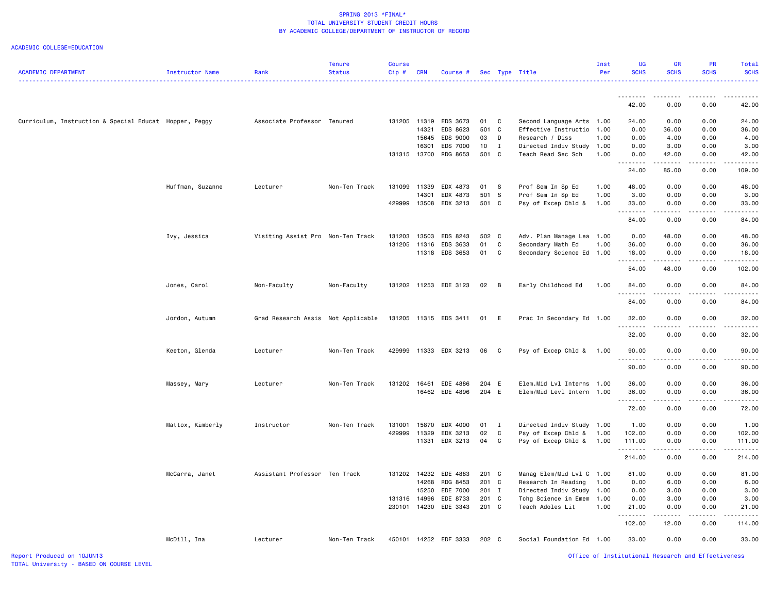| <b>ACADEMIC DEPARTMENT</b>                             | <b>Instructor Name</b> | Rank                               | <b>Tenure</b><br><b>Status</b> | <b>Course</b><br>Cip# | <b>CRN</b>   | Course #              |       |                | Sec Type Title            | Inst<br>Per | <b>UG</b><br><b>SCHS</b> | <b>GR</b><br><b>SCHS</b>                                                                                                                                                                                                                                                                                                                     | PR<br><b>SCHS</b>                                                                                                                                            | Total<br><b>SCHS</b> |
|--------------------------------------------------------|------------------------|------------------------------------|--------------------------------|-----------------------|--------------|-----------------------|-------|----------------|---------------------------|-------------|--------------------------|----------------------------------------------------------------------------------------------------------------------------------------------------------------------------------------------------------------------------------------------------------------------------------------------------------------------------------------------|--------------------------------------------------------------------------------------------------------------------------------------------------------------|----------------------|
|                                                        |                        |                                    |                                |                       |              |                       |       |                |                           |             | .                        |                                                                                                                                                                                                                                                                                                                                              |                                                                                                                                                              | . <b>.</b>           |
|                                                        |                        |                                    |                                |                       |              |                       |       |                |                           |             | 42.00                    | 0.00                                                                                                                                                                                                                                                                                                                                         | 0.00                                                                                                                                                         | 42.00                |
| Curriculum, Instruction & Special Educat Hopper, Peggy |                        | Associate Professor Tenured        |                                |                       | 131205 11319 | EDS 3673              | 01 C  |                | Second Language Arts 1.00 |             | 24.00                    | 0.00                                                                                                                                                                                                                                                                                                                                         | 0.00                                                                                                                                                         | 24.00                |
|                                                        |                        |                                    |                                |                       | 14321        | EDS 8623              | 501 C |                | Effective Instructio      | 1.00        | 0.00                     | 36.00                                                                                                                                                                                                                                                                                                                                        | 0.00                                                                                                                                                         | 36.00                |
|                                                        |                        |                                    |                                |                       | 15645        | EDS 9000              | 03    | D              | Research / Diss           | 1.00        | 0.00                     | 4.00                                                                                                                                                                                                                                                                                                                                         | 0.00                                                                                                                                                         | 4.00                 |
|                                                        |                        |                                    |                                |                       | 16301        | EDS 7000              | 10    | $\mathbf{I}$   | Directed Indiv Study 1.00 |             | 0.00                     | 3.00                                                                                                                                                                                                                                                                                                                                         | 0.00                                                                                                                                                         | 3.00                 |
|                                                        |                        |                                    |                                | 131315 13700          |              | RDG 8653              | 501 C |                | Teach Read Sec Sch        | 1.00        | 0.00<br>.                | 42.00<br>.                                                                                                                                                                                                                                                                                                                                   | 0.00<br>$\frac{1}{2} \left( \frac{1}{2} \right) \left( \frac{1}{2} \right) \left( \frac{1}{2} \right) \left( \frac{1}{2} \right) \left( \frac{1}{2} \right)$ | 42.00<br>.           |
|                                                        |                        |                                    |                                |                       |              |                       |       |                |                           |             | 24.00                    | 85.00                                                                                                                                                                                                                                                                                                                                        | 0.00                                                                                                                                                         | 109.00               |
|                                                        | Huffman, Suzanne       | Lecturer                           | Non-Ten Track                  | 131099 11339          |              | EDX 4873              | 01 S  |                | Prof Sem In Sp Ed         | 1.00        | 48.00                    | 0.00                                                                                                                                                                                                                                                                                                                                         | 0.00                                                                                                                                                         | 48.00                |
|                                                        |                        |                                    |                                |                       | 14301        | EDX 4873              | 501 S |                | Prof Sem In Sp Ed         | 1.00        | 3.00                     | 0.00                                                                                                                                                                                                                                                                                                                                         | 0.00                                                                                                                                                         | 3.00                 |
|                                                        |                        |                                    |                                | 429999                | 13508        | EDX 3213              | 501 C |                | Psy of Excep Chld &       | 1.00        | 33.00<br>.               | 0.00<br>.                                                                                                                                                                                                                                                                                                                                    | 0.00<br>.                                                                                                                                                    | 33.00<br>.           |
|                                                        |                        |                                    |                                |                       |              |                       |       |                |                           |             | 84.00                    | 0.00                                                                                                                                                                                                                                                                                                                                         | 0.00                                                                                                                                                         | 84.00                |
|                                                        | Ivy, Jessica           | Visiting Assist Pro Non-Ten Track  |                                | 131203                | 13503        | EDS 8243              | 502 C |                | Adv. Plan Manage Lea 1.00 |             | 0.00                     | 48.00                                                                                                                                                                                                                                                                                                                                        | 0.00                                                                                                                                                         | 48.00                |
|                                                        |                        |                                    |                                | 131205 11316          |              | EDS 3633              | 01    | C              | Secondary Math Ed         | 1.00        | 36.00                    | 0.00                                                                                                                                                                                                                                                                                                                                         | 0.00                                                                                                                                                         | 36.00                |
|                                                        |                        |                                    |                                |                       |              | 11318 EDS 3653        | 01    | C              | Secondary Science Ed 1.00 |             | 18.00<br>.               | 0.00<br>. <b>.</b>                                                                                                                                                                                                                                                                                                                           | 0.00<br>-----                                                                                                                                                | 18.00<br>-----       |
|                                                        |                        |                                    |                                |                       |              |                       |       |                |                           |             | 54.00                    | 48.00                                                                                                                                                                                                                                                                                                                                        | 0.00                                                                                                                                                         | 102.00               |
|                                                        | Jones, Carol           | Non-Faculty                        | Non-Faculty                    |                       |              | 131202 11253 EDE 3123 | 02    | $\overline{B}$ | Early Childhood Ed        | 1.00        | 84.00<br><u>.</u>        | 0.00<br>.                                                                                                                                                                                                                                                                                                                                    | 0.00<br>$\frac{1}{2} \left( \frac{1}{2} \right) \left( \frac{1}{2} \right) \left( \frac{1}{2} \right) \left( \frac{1}{2} \right) \left( \frac{1}{2} \right)$ | 84.00<br>.           |
|                                                        |                        |                                    |                                |                       |              |                       |       |                |                           |             | 84.00                    | 0.00                                                                                                                                                                                                                                                                                                                                         | 0.00                                                                                                                                                         | 84.00                |
|                                                        | Jordon, Autumn         | Grad Research Assis Not Applicable |                                |                       |              | 131205 11315 EDS 3411 | 01 E  |                | Prac In Secondary Ed 1.00 |             | 32.00                    | 0.00                                                                                                                                                                                                                                                                                                                                         | 0.00                                                                                                                                                         | 32.00                |
|                                                        |                        |                                    |                                |                       |              |                       |       |                |                           |             | .<br>32.00               | .<br>0.00                                                                                                                                                                                                                                                                                                                                    | .<br>0.00                                                                                                                                                    | .<br>32.00           |
|                                                        | Keeton, Glenda         | Lecturer                           | Non-Ten Track                  |                       |              | 429999 11333 EDX 3213 | 06    | $\mathbf{C}$   | Psy of Excep Chld & 1.00  |             | 90.00                    | 0.00                                                                                                                                                                                                                                                                                                                                         | 0.00                                                                                                                                                         | 90.00                |
|                                                        |                        |                                    |                                |                       |              |                       |       |                |                           |             | .<br>90.00               | .<br>0.00                                                                                                                                                                                                                                                                                                                                    | $\frac{1}{2} \left( \frac{1}{2} \right) \left( \frac{1}{2} \right) \left( \frac{1}{2} \right) \left( \frac{1}{2} \right) \left( \frac{1}{2} \right)$<br>0.00 | .<br>90.00           |
|                                                        | Massey, Mary           | Lecturer                           | Non-Ten Track                  | 131202 16461          |              | EDE 4886              | 204 E |                | Elem.Mid Lvl Interns 1.00 |             | 36.00                    | 0.00                                                                                                                                                                                                                                                                                                                                         | 0.00                                                                                                                                                         | 36.00                |
|                                                        |                        |                                    |                                |                       |              | 16462 EDE 4896        | 204 E |                | Elem/Mid Levl Intern 1.00 |             | 36.00<br><u>.</u>        | 0.00<br>.                                                                                                                                                                                                                                                                                                                                    | 0.00<br>$\frac{1}{2} \left( \frac{1}{2} \right) \left( \frac{1}{2} \right) \left( \frac{1}{2} \right) \left( \frac{1}{2} \right) \left( \frac{1}{2} \right)$ | 36.00<br>.           |
|                                                        |                        |                                    |                                |                       |              |                       |       |                |                           |             | 72.00                    | 0.00                                                                                                                                                                                                                                                                                                                                         | 0.00                                                                                                                                                         | 72.00                |
|                                                        | Mattox, Kimberly       | Instructor                         | Non-Ten Track                  | 131001                | 15870        | EDX 4000              | 01    | $\mathbf I$    | Directed Indiv Study 1.00 |             | 1.00                     | 0.00                                                                                                                                                                                                                                                                                                                                         | 0.00                                                                                                                                                         | 1.00                 |
|                                                        |                        |                                    |                                | 429999                | 11329        | EDX 3213              | 02    | C              | Psy of Excep Chld &       | 1.00        | 102.00                   | 0.00                                                                                                                                                                                                                                                                                                                                         | 0.00                                                                                                                                                         | 102.00               |
|                                                        |                        |                                    |                                |                       | 11331        | EDX 3213              | 04    | $\mathbf{C}$   | Psy of Excep Chld &       | 1.00        | 111.00<br>.              | 0.00<br>$\frac{1}{2} \left( \begin{array}{ccc} 1 & 0 & 0 & 0 \\ 0 & 0 & 0 & 0 \\ 0 & 0 & 0 & 0 \\ 0 & 0 & 0 & 0 \\ 0 & 0 & 0 & 0 \\ 0 & 0 & 0 & 0 \\ 0 & 0 & 0 & 0 \\ 0 & 0 & 0 & 0 \\ 0 & 0 & 0 & 0 \\ 0 & 0 & 0 & 0 \\ 0 & 0 & 0 & 0 & 0 \\ 0 & 0 & 0 & 0 & 0 \\ 0 & 0 & 0 & 0 & 0 \\ 0 & 0 & 0 & 0 & 0 \\ 0 & 0 & 0 & 0 & 0 \\ 0 & 0 & 0$ | 0.00<br>.                                                                                                                                                    | 111.00<br>.          |
|                                                        |                        |                                    |                                |                       |              |                       |       |                |                           |             | 214.00                   | 0.00                                                                                                                                                                                                                                                                                                                                         | 0.00                                                                                                                                                         | 214.00               |
|                                                        | McCarra, Janet         | Assistant Professor Ten Track      |                                |                       | 131202 14232 | EDE 4883              | 201 C |                | Manag Elem/Mid Lvl C 1.00 |             | 81.00                    | 0.00                                                                                                                                                                                                                                                                                                                                         | 0.00                                                                                                                                                         | 81.00                |
|                                                        |                        |                                    |                                |                       | 14268        | RDG 8453              | 201 C |                | Research In Reading       | 1.00        | 0.00                     | 6.00                                                                                                                                                                                                                                                                                                                                         | 0.00                                                                                                                                                         | 6.00                 |
|                                                        |                        |                                    |                                |                       | 15250        | EDE 7000              | 201 I |                | Directed Indiv Study      | 1.00        | 0.00                     | 3.00                                                                                                                                                                                                                                                                                                                                         | 0.00                                                                                                                                                         | 3.00                 |
|                                                        |                        |                                    |                                | 131316 14996          |              | EDE 8733              | 201 C |                | Tchg Science in Emem      | 1.00        | 0.00                     | 3.00                                                                                                                                                                                                                                                                                                                                         | 0.00                                                                                                                                                         | 3.00                 |
|                                                        |                        |                                    |                                |                       | 230101 14230 | EDE 3343              | 201 C |                | Teach Adoles Lit          | 1.00        | 21.00<br>.               | 0.00                                                                                                                                                                                                                                                                                                                                         | 0.00                                                                                                                                                         | 21.00<br>.           |
|                                                        |                        |                                    |                                |                       |              |                       |       |                |                           |             | 102.00                   | 12.00                                                                                                                                                                                                                                                                                                                                        | 0.00                                                                                                                                                         | 114.00               |
|                                                        | McDill, Ina            | Lecturer                           | Non-Ten Track                  |                       |              | 450101 14252 EDF 3333 | 202 C |                | Social Foundation Ed 1.00 |             | 33.00                    | 0.00                                                                                                                                                                                                                                                                                                                                         | 0.00                                                                                                                                                         | 33.00                |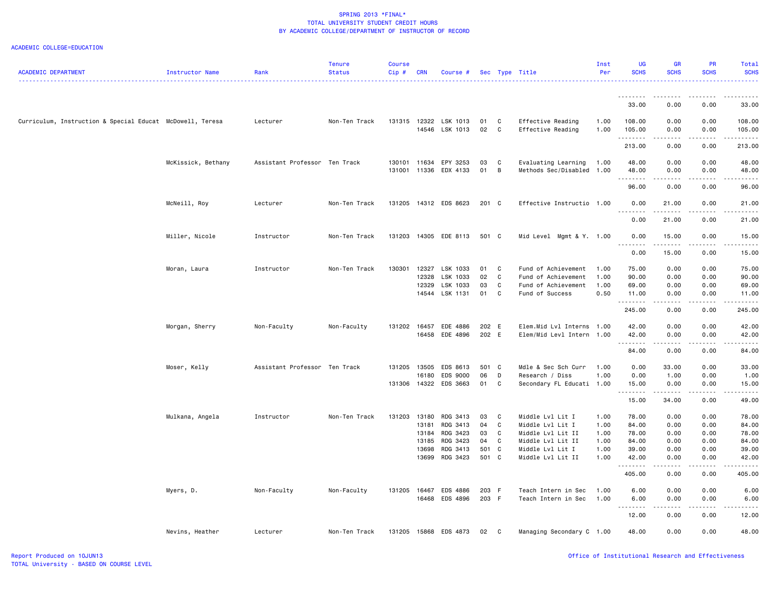| <b>ACADEMIC DEPARTMENT</b>                                | Instructor Name    | Rank                          | <b>Tenure</b><br><b>Status</b> | <b>Course</b><br>Cip# | <b>CRN</b> | Course #                   |          |              | Sec Type Title                                   | Inst<br>Per  | <b>UG</b><br><b>SCHS</b> | <b>GR</b><br><b>SCHS</b>         | <b>PR</b><br><b>SCHS</b> | Total<br><b>SCHS</b>  |
|-----------------------------------------------------------|--------------------|-------------------------------|--------------------------------|-----------------------|------------|----------------------------|----------|--------------|--------------------------------------------------|--------------|--------------------------|----------------------------------|--------------------------|-----------------------|
|                                                           |                    |                               |                                |                       |            |                            |          |              |                                                  |              |                          |                                  |                          |                       |
|                                                           |                    |                               |                                |                       |            |                            |          |              |                                                  |              | 33.00                    | 0.00                             | 0.00                     | 33.00                 |
| Curriculum, Instruction & Special Educat McDowell, Teresa |                    | Lecturer                      | Non-Ten Track                  | 131315                | 12322      | LSK 1013<br>14546 LSK 1013 | 01<br>02 | C<br>C       | Effective Reading<br>Effective Reading           | 1.00<br>1.00 | 108.00<br>105.00<br>.    | 0.00<br>0.00<br>$-2 - 2 - 2 - 1$ | 0.00<br>0.00<br>.        | 108.00<br>105.00<br>. |
|                                                           |                    |                               |                                |                       |            |                            |          |              |                                                  |              | 213.00                   | 0.00                             | 0.00                     | 213.00                |
|                                                           | McKissick, Bethany | Assistant Professor Ten Track |                                | 130101<br>131001      | 11634      | EPY 3253<br>11336 EDX 4133 | 03<br>01 | C<br>B       | Evaluating Learning<br>Methods Sec/Disabled 1.00 | 1.00         | 48.00<br>48.00           | 0.00<br>0.00                     | 0.00<br>0.00             | 48.00<br>48.00        |
|                                                           |                    |                               |                                |                       |            |                            |          |              |                                                  |              | .<br>96.00               | .<br>0.00                        | .<br>0.00                | .<br>96.00            |
|                                                           | McNeill, Roy       | Lecturer                      | Non-Ten Track                  | 131205                |            | 14312 EDS 8623             | 201 C    |              | Effective Instructio 1.00                        |              | 0.00<br>-----            | 21.00<br>.                       | 0.00<br>.                | 21.00<br>.            |
|                                                           |                    |                               |                                |                       |            |                            |          |              |                                                  |              | 0.00                     | 21.00                            | 0.00                     | 21.00                 |
|                                                           | Miller, Nicole     | Instructor                    | Non-Ten Track                  | 131203                |            | 14305 EDE 8113             | 501 C    |              | Mid Level Mgmt & Y. 1.00                         |              | 0.00<br><u>.</u>         | 15.00<br>. <b>.</b>              | 0.00<br>.                | 15.00<br>.            |
|                                                           |                    |                               |                                |                       |            |                            |          |              |                                                  |              | 0.00                     | 15.00                            | 0.00                     | 15.00                 |
|                                                           | Moran, Laura       | Instructor                    | Non-Ten Track                  | 130301                | 12327      | LSK 1033                   | 01       | C            | Fund of Achievement                              | 1.00         | 75.00                    | 0.00                             | 0.00                     | 75.00                 |
|                                                           |                    |                               |                                |                       | 12328      | LSK 1033                   | 02       | C            | Fund of Achievement                              | 1.00         | 90.00                    | 0.00                             | 0.00                     | 90.00                 |
|                                                           |                    |                               |                                |                       | 12329      | LSK 1033                   | 03       | C            | Fund of Achievement                              | 1.00         | 69.00                    | 0.00                             | 0.00                     | 69.00                 |
|                                                           |                    |                               |                                |                       |            | 14544 LSK 1131             | 01       | C            | Fund of Success                                  | 0.50         | 11.00<br>.               | 0.00<br>-----                    | 0.00<br>.                | 11.00<br>.            |
|                                                           |                    |                               |                                |                       |            |                            |          |              |                                                  |              | 245.00                   | 0.00                             | 0.00                     | 245.00                |
|                                                           | Morgan, Sherry     | Non-Faculty                   | Non-Faculty                    | 131202 16457          |            | EDE 4886                   | 202 E    |              | Elem.Mid Lvl Interns 1.00                        |              | 42.00                    | 0.00                             | 0.00                     | 42.00                 |
|                                                           |                    |                               |                                |                       | 16458      | EDE 4896                   | 202 E    |              | Elem/Mid Levl Intern 1.00                        |              | 42.00                    | 0.00<br>.                        | 0.00<br>.                | 42.00<br>. <u>.</u> . |
|                                                           |                    |                               |                                |                       |            |                            |          |              |                                                  |              | 84.00                    | 0.00                             | 0.00                     | 84.00                 |
|                                                           | Moser, Kelly       | Assistant Professor Ten Track |                                | 131205                | 13505      | EDS 8613                   | 501 C    |              | Mdle & Sec Sch Curr                              | 1.00         | 0.00                     | 33.00                            | 0.00                     | 33.00                 |
|                                                           |                    |                               |                                |                       | 16180      | EDS 9000                   | 06       | D            | Research / Diss                                  | 1.00         | 0.00                     | 1.00                             | 0.00                     | 1.00                  |
|                                                           |                    |                               |                                |                       |            | 131306 14322 EDS 3663      | 01       | C            | Secondary FL Educati 1.00                        |              | 15.00                    | 0.00                             | 0.00                     | 15.00                 |
|                                                           |                    |                               |                                |                       |            |                            |          |              |                                                  |              | 15.00                    | <u>.</u><br>34.00                | <u>.</u><br>0.00         | .<br>49.00            |
|                                                           | Mulkana, Angela    | Instructor                    | Non-Ten Track                  | 131203                | 13180      | RDG 3413                   | 03       | C            | Middle Lvl Lit I                                 | 1.00         | 78.00                    | 0.00                             | 0.00                     | 78.00                 |
|                                                           |                    |                               |                                |                       | 13181      | RDG 3413                   | 04       | C            | Middle Lvl Lit I                                 | 1.00         | 84.00                    | 0.00                             | 0.00                     | 84.00                 |
|                                                           |                    |                               |                                |                       | 13184      | RDG 3423                   | 03       | C            | Middle Lvl Lit II                                | 1.00         | 78.00                    | 0.00                             | 0.00                     | 78.00                 |
|                                                           |                    |                               |                                |                       | 13185      | RDG 3423                   | 04       | C            | Middle Lvl Lit II                                | 1.00         | 84.00                    | 0.00                             | 0.00                     | 84.00                 |
|                                                           |                    |                               |                                |                       | 13698      | RDG 3413                   | 501 C    |              | Middle Lvl Lit I                                 | 1.00         | 39.00                    | 0.00                             | 0.00                     | 39.00                 |
|                                                           |                    |                               |                                |                       | 13699      | RDG 3423                   | 501 C    |              | Middle Lvl Lit II                                | 1.00         | 42.00                    | 0.00                             | 0.00                     | 42.00                 |
|                                                           |                    |                               |                                |                       |            |                            |          |              |                                                  |              | .<br>405.00              | . <u>.</u> .<br>0.00             | 0.00                     | .<br>405.00           |
|                                                           | Myers, D.          | Non-Faculty                   | Non-Faculty                    | 131205                | 16467      | EDS 4886                   | 203 F    |              | Teach Intern in Sec                              | 1.00         | 6.00                     | 0.00                             | 0.00                     | 6.00                  |
|                                                           |                    |                               |                                |                       |            | 16468 EDS 4896             | 203 F    |              | Teach Intern in Sec                              | 1.00         | 6.00                     | 0.00                             | 0.00                     | 6.00                  |
|                                                           |                    |                               |                                |                       |            |                            |          |              |                                                  |              |                          |                                  |                          |                       |
|                                                           |                    |                               |                                |                       |            |                            |          |              |                                                  |              | 12.00                    | 0.00                             | 0.00                     | 12.00                 |
|                                                           | Nevins, Heather    | Lecturer                      | Non-Ten Track                  |                       |            | 131205 15868 EDS 4873      | 02       | $\mathbf{C}$ | Managing Secondary C 1.00                        |              | 48.00                    | 0.00                             | 0.00                     | 48.00                 |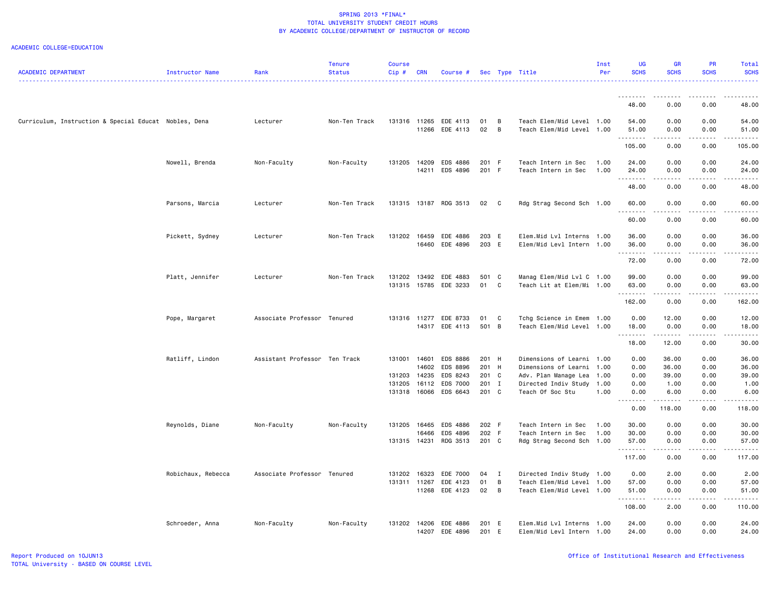| <b>ACADEMIC DEPARTMENT</b>                            | Instructor Name    | Rank                          | <b>Tenure</b><br><b>Status</b> | <b>Course</b><br>Cip# | <b>CRN</b>     | Course #                         |                |                | Sec Type Title                                    | Inst<br>Per  | <b>UG</b><br><b>SCHS</b> | GR<br><b>SCHS</b>                   | PR<br><b>SCHS</b>                                                                                                                                            | <b>Total</b><br><b>SCHS</b> |
|-------------------------------------------------------|--------------------|-------------------------------|--------------------------------|-----------------------|----------------|----------------------------------|----------------|----------------|---------------------------------------------------|--------------|--------------------------|-------------------------------------|--------------------------------------------------------------------------------------------------------------------------------------------------------------|-----------------------------|
|                                                       |                    |                               |                                |                       |                |                                  |                |                |                                                   |              | .                        | د د د د                             | .                                                                                                                                                            |                             |
|                                                       |                    |                               |                                |                       |                |                                  |                |                |                                                   |              | 48.00                    | 0.00                                | 0.00                                                                                                                                                         | 48.00                       |
| Curriculum, Instruction & Special Educat Nobles, Dena |                    | Lecturer                      | Non-Ten Track                  |                       |                | 131316 11265 EDE 4113            | 01             | $\overline{B}$ | Teach Elem/Mid Level 1.00                         |              | 54.00                    | 0.00                                | 0.00                                                                                                                                                         | 54.00                       |
|                                                       |                    |                               |                                |                       |                | 11266 EDE 4113                   | 02             | $\overline{B}$ | Teach Elem/Mid Level 1.00                         |              | 51.00                    | 0.00                                | 0.00                                                                                                                                                         | 51.00                       |
|                                                       |                    |                               |                                |                       |                |                                  |                |                |                                                   |              | 105.00                   | 0.00                                | 0.00                                                                                                                                                         | 105.00                      |
|                                                       | Nowell, Brenda     | Non-Faculty                   | Non-Faculty                    | 131205                | 14209          | EDS 4886                         | 201 F          |                | Teach Intern in Sec                               | 1.00         | 24.00                    | 0.00                                | 0.00                                                                                                                                                         | 24.00                       |
|                                                       |                    |                               |                                |                       | 14211          | EDS 4896                         | 201 F          |                | Teach Intern in Sec                               | 1.00         | 24.00<br>.               | 0.00<br>د د د د                     | 0.00<br>.                                                                                                                                                    | 24.00                       |
|                                                       |                    |                               |                                |                       |                |                                  |                |                |                                                   |              | 48.00                    | 0.00                                | 0.00                                                                                                                                                         | 48.00                       |
|                                                       | Parsons, Marcia    | Lecturer                      | Non-Ten Track                  |                       |                | 131315 13187 RDG 3513            | 02 C           |                | Rdg Strag Second Sch 1.00                         |              | 60.00<br>.               | 0.00<br>$\omega = \omega/\omega$    | 0.00<br>$\frac{1}{2} \left( \frac{1}{2} \right) \left( \frac{1}{2} \right) \left( \frac{1}{2} \right) \left( \frac{1}{2} \right) \left( \frac{1}{2} \right)$ | 60.00                       |
|                                                       |                    |                               |                                |                       |                |                                  |                |                |                                                   |              | 60.00                    | 0.00                                | 0.00                                                                                                                                                         | 60.00                       |
|                                                       | Pickett, Sydney    | Lecturer                      | Non-Ten Track                  | 131202                |                | 16459 EDE 4886                   | 203 E          |                | Elem.Mid Lvl Interns 1.00                         |              | 36.00                    | 0.00                                | 0.00                                                                                                                                                         | 36.00                       |
|                                                       |                    |                               |                                |                       |                | 16460 EDE 4896                   | 203 E          |                | Elem/Mid Levl Intern 1.00                         |              | 36.00<br>.               | 0.00<br>بالأباء                     | 0.00                                                                                                                                                         | 36.00                       |
|                                                       |                    |                               |                                |                       |                |                                  |                |                |                                                   |              | 72.00                    | 0.00                                | 0.00                                                                                                                                                         | 72.00                       |
|                                                       | Platt, Jennifer    | Lecturer                      | Non-Ten Track                  | 131202                |                | 13492 EDE 4883                   | 501 C          |                | Manag Elem/Mid Lvl C 1.00                         |              | 99.00                    | 0.00                                | 0.00                                                                                                                                                         | 99.00                       |
|                                                       |                    |                               |                                |                       |                | 131315 15785 EDE 3233            | 01 C           |                | Teach Lit at Elem/Mi 1.00                         |              | 63.00<br><u>.</u>        | 0.00<br>.                           | 0.00<br>.                                                                                                                                                    | 63.00                       |
|                                                       |                    |                               |                                |                       |                |                                  |                |                |                                                   |              | 162.00                   | 0.00                                | 0.00                                                                                                                                                         | 162.00                      |
|                                                       | Pope, Margaret     | Associate Professor Tenured   |                                |                       | 131316 11277   | EDE 8733                         | 01             | C              | Tchg Science in Emem                              | 1.00         | 0.00                     | 12.00                               | 0.00                                                                                                                                                         | 12.00                       |
|                                                       |                    |                               |                                |                       |                | 14317 EDE 4113                   | 501 B          |                | Teach Elem/Mid Level                              | 1.00         | 18.00<br>.               | 0.00                                | 0.00                                                                                                                                                         | 18.00                       |
|                                                       |                    |                               |                                |                       |                |                                  |                |                |                                                   |              | 18.00                    | 12.00                               | 0.00                                                                                                                                                         | 30.00                       |
|                                                       | Ratliff, Lindon    | Assistant Professor Ten Track |                                | 131001 14601          |                | <b>EDS 8886</b>                  | 201 H          |                | Dimensions of Learni                              | 1.00         | 0.00                     | 36.00                               | 0.00                                                                                                                                                         | 36.00                       |
|                                                       |                    |                               |                                |                       | 14602          | EDS 8896                         | 201 H          |                | Dimensions of Learni                              | 1.00         | 0.00                     | 36.00                               | 0.00                                                                                                                                                         | 36.00                       |
|                                                       |                    |                               |                                | 131203<br>131205      | 14235<br>16112 | EDS 8243<br><b>EDS 7000</b>      | 201 C          |                | Adv. Plan Manage Lea                              | 1.00         | 0.00                     | 39.00                               | 0.00                                                                                                                                                         | 39.00<br>1.00               |
|                                                       |                    |                               |                                |                       |                | 131318 16066 EDS 6643            | 201 I<br>201 C |                | Directed Indiv Study<br>Teach Of Soc Stu          | 1.00<br>1.00 | 0.00<br>0.00             | 1.00<br>6.00                        | 0.00<br>0.00                                                                                                                                                 | 6.00                        |
|                                                       |                    |                               |                                |                       |                |                                  |                |                |                                                   |              | .<br>0.00                | 118.00                              | 0.00                                                                                                                                                         | 118.00                      |
|                                                       | Reynolds, Diane    | Non-Faculty                   | Non-Faculty                    |                       | 131205 16465   | EDS 4886                         | 202 F          |                | Teach Intern in Sec                               | 1.00         | 30.00                    | 0.00                                | 0.00                                                                                                                                                         | 30.00                       |
|                                                       |                    |                               |                                |                       | 16466          | EDS 4896                         | 202 F          |                | Teach Intern in Sec                               | 1.00         | 30.00                    | 0.00                                | 0.00                                                                                                                                                         | 30.00                       |
|                                                       |                    |                               |                                | 131315 14231          |                | RDG 3513                         | 201 C          |                | Rdg Strag Second Sch 1.00                         |              | 57.00<br>.               | 0.00                                | 0.00                                                                                                                                                         | 57.00                       |
|                                                       |                    |                               |                                |                       |                |                                  |                |                |                                                   |              | 117.00                   | 0.00                                | 0.00                                                                                                                                                         | 117.00                      |
|                                                       | Robichaux, Rebecca | Associate Professor Tenured   |                                | 131202                | 16323          | EDE 7000                         | 04 I           |                | Directed Indiv Study 1.00                         |              | 0.00                     | 2.00                                | 0.00                                                                                                                                                         | 2.00                        |
|                                                       |                    |                               |                                | 131311 11267          |                | EDE 4123                         | 01             | B              | Teach Elem/Mid Level                              | 1.00         | 57.00                    | 0.00                                | 0.00                                                                                                                                                         | 57.00                       |
|                                                       |                    |                               |                                |                       |                | 11268 EDE 4123                   | 02 B           |                | Teach Elem/Mid Level 1.00                         |              | 51.00<br>.               | 0.00<br>$\sim$ $\sim$ $\sim$ $\sim$ | 0.00<br>.                                                                                                                                                    | 51.00                       |
|                                                       |                    |                               |                                |                       |                |                                  |                |                |                                                   |              | 108.00                   | 2.00                                | 0.00                                                                                                                                                         | 110.00                      |
|                                                       | Schroeder, Anna    | Non-Faculty                   | Non-Faculty                    | 131202                |                | 14206 EDE 4886<br>14207 EDE 4896 | 201 E<br>201 E |                | Elem.Mid Lvl Interns<br>Elem/Mid Levl Intern 1.00 | 1.00         | 24.00<br>24.00           | 0.00<br>0.00                        | 0.00<br>0.00                                                                                                                                                 | 24.00<br>24.00              |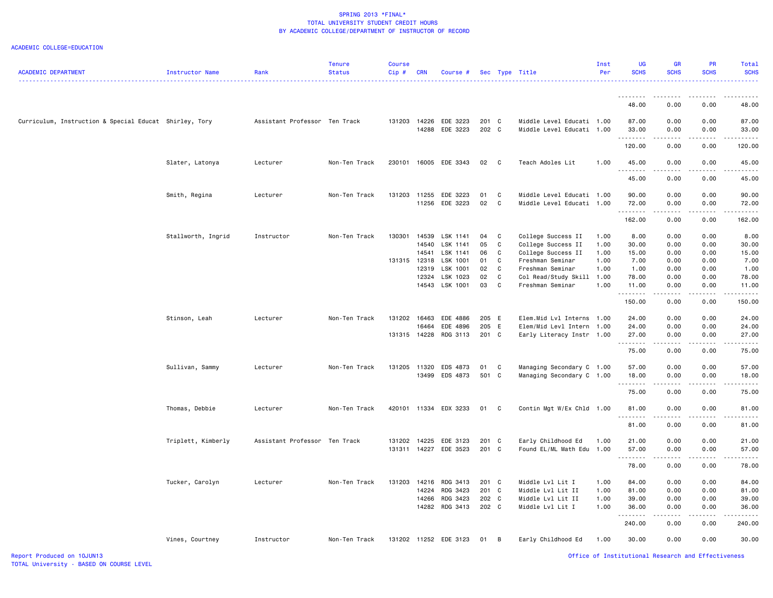| <b>ACADEMIC DEPARTMENT</b>                             | Instructor Name    | Rank                          | <b>Tenure</b><br><b>Status</b> | <b>Course</b><br>$Cip$ # | <b>CRN</b>   | Course #                   |          |              | Sec Type Title                       | Inst<br>Per  | UG<br><b>SCHS</b>   | <b>GR</b><br><b>SCHS</b>                                                                                                  | PR<br><b>SCHS</b>                                                                                                                                            | Total<br><b>SCHS</b> |
|--------------------------------------------------------|--------------------|-------------------------------|--------------------------------|--------------------------|--------------|----------------------------|----------|--------------|--------------------------------------|--------------|---------------------|---------------------------------------------------------------------------------------------------------------------------|--------------------------------------------------------------------------------------------------------------------------------------------------------------|----------------------|
|                                                        |                    |                               |                                |                          |              |                            |          |              |                                      |              | .                   | $\frac{1}{2} \left( \frac{1}{2} \right) \left( \frac{1}{2} \right) \left( \frac{1}{2} \right) \left( \frac{1}{2} \right)$ |                                                                                                                                                              |                      |
|                                                        |                    |                               |                                |                          |              |                            |          |              |                                      |              | 48.00               | 0.00                                                                                                                      | 0.00                                                                                                                                                         | 48.00                |
| Curriculum, Instruction & Special Educat Shirley, Tory |                    | Assistant Professor Ten Track |                                | 131203                   |              | 14226 EDE 3223             | 201 C    |              | Middle Level Educati 1.00            |              | 87.00               | 0.00                                                                                                                      | 0.00                                                                                                                                                         | 87.00                |
|                                                        |                    |                               |                                |                          |              | 14288 EDE 3223             | 202 C    |              | Middle Level Educati 1.00            |              | 33.00               | 0.00                                                                                                                      | 0.00                                                                                                                                                         | 33.00                |
|                                                        |                    |                               |                                |                          |              |                            |          |              |                                      |              | 120.00              | 0.00                                                                                                                      | 0.00                                                                                                                                                         | 120.00               |
|                                                        | Slater, Latonya    | Lecturer                      | Non-Ten Track                  | 230101                   |              | 16005 EDE 3343             | 02 C     |              | Teach Adoles Lit                     | 1.00         | 45.00<br>.          | 0.00                                                                                                                      | 0.00                                                                                                                                                         | 45.00                |
|                                                        |                    |                               |                                |                          |              |                            |          |              |                                      |              | 45.00               | 0.00                                                                                                                      | 0.00                                                                                                                                                         | 45.00                |
|                                                        | Smith, Regina      | Lecturer                      | Non-Ten Track                  | 131203                   | 11255        | EDE 3223                   | 01       | C            | Middle Level Educati 1.00            |              | 90.00               | 0.00                                                                                                                      | 0.00                                                                                                                                                         | 90.00                |
|                                                        |                    |                               |                                |                          |              | 11256 EDE 3223             | 02       | $\mathbf{C}$ | Middle Level Educati 1.00            |              | 72.00<br>. <b>.</b> | 0.00<br>$\frac{1}{2}$                                                                                                     | 0.00                                                                                                                                                         | 72.00                |
|                                                        |                    |                               |                                |                          |              |                            |          |              |                                      |              | 162.00              | 0.00                                                                                                                      | 0.00                                                                                                                                                         | 162.00               |
|                                                        | Stallworth, Ingrid | Instructor                    | Non-Ten Track                  | 130301                   |              | 14539 LSK 1141             | 04       | $\mathbf{C}$ | College Success II                   | 1.00         | 8.00                | 0.00                                                                                                                      | 0.00                                                                                                                                                         | 8.00                 |
|                                                        |                    |                               |                                |                          | 14540        | LSK 1141                   | 05       | C            | College Success II                   | 1.00         | 30.00               | 0.00                                                                                                                      | 0.00                                                                                                                                                         | 30.00                |
|                                                        |                    |                               |                                |                          | 14541        | LSK 1141                   | 06       | C            | College Success II                   | 1.00         | 15.00               | 0.00                                                                                                                      | 0.00                                                                                                                                                         | 15.00                |
|                                                        |                    |                               |                                |                          | 131315 12318 | LSK 1001<br>12319 LSK 1001 | 01<br>02 | C<br>C       | Freshman Seminar<br>Freshman Seminar | 1.00<br>1.00 | 7.00<br>1.00        | 0.00<br>0.00                                                                                                              | 0.00<br>0.00                                                                                                                                                 | 7.00<br>1.00         |
|                                                        |                    |                               |                                |                          |              | 12324 LSK 1023             | 02       | C            | Col Read/Study Skill 1.00            |              | 78.00               | 0.00                                                                                                                      | 0.00                                                                                                                                                         | 78.00                |
|                                                        |                    |                               |                                |                          |              | 14543 LSK 1001             | 03       | C            | Freshman Seminar                     | 1.00         | 11.00               | 0.00                                                                                                                      | 0.00                                                                                                                                                         | 11.00                |
|                                                        |                    |                               |                                |                          |              |                            |          |              |                                      |              | .<br>150.00         | .<br>0.00                                                                                                                 | $\frac{1}{2} \left( \frac{1}{2} \right) \left( \frac{1}{2} \right) \left( \frac{1}{2} \right) \left( \frac{1}{2} \right) \left( \frac{1}{2} \right)$<br>0.00 | .<br>150.00          |
|                                                        | Stinson, Leah      | Lecturer                      | Non-Ten Track                  |                          |              | 131202 16463 EDE 4886      | 205 E    |              | Elem.Mid Lvl Interns 1.00            |              | 24.00               | 0.00                                                                                                                      | 0.00                                                                                                                                                         | 24.00                |
|                                                        |                    |                               |                                |                          | 16464        | EDE 4896                   | 205 E    |              | Elem/Mid Levl Intern                 | 1.00         | 24.00               | 0.00                                                                                                                      | 0.00                                                                                                                                                         | 24.00                |
|                                                        |                    |                               |                                |                          |              | 131315 14228 RDG 3113      | 201 C    |              | Early Literacy Instr 1.00            |              | 27.00<br>.          | 0.00                                                                                                                      | 0.00                                                                                                                                                         | 27.00                |
|                                                        |                    |                               |                                |                          |              |                            |          |              |                                      |              | 75.00               | 0.00                                                                                                                      | 0.00                                                                                                                                                         | 75.00                |
|                                                        | Sullivan, Sammy    | Lecturer                      | Non-Ten Track                  | 131205                   |              | 11320 EDS 4873             | 01       | $\mathbf{C}$ | Managing Secondary C 1.00            |              | 57.00               | 0.00                                                                                                                      | 0.00                                                                                                                                                         | 57.00                |
|                                                        |                    |                               |                                |                          |              | 13499 EDS 4873             | 501 C    |              | Managing Secondary C 1.00            |              | 18.00               | 0.00                                                                                                                      | 0.00                                                                                                                                                         | 18.00                |
|                                                        |                    |                               |                                |                          |              |                            |          |              |                                      |              | .<br>75.00          | 0.00                                                                                                                      | 0.00                                                                                                                                                         | 75.00                |
|                                                        | Thomas, Debbie     | Lecturer                      | Non-Ten Track                  |                          |              | 420101 11334 EDX 3233      | 01 C     |              | Contin Mgt W/Ex Chld 1.00            |              | 81.00               | 0.00                                                                                                                      | 0.00                                                                                                                                                         | 81.00                |
|                                                        |                    |                               |                                |                          |              |                            |          |              |                                      |              | .<br>81.00          | 0.00                                                                                                                      | 0.00                                                                                                                                                         | 81.00                |
|                                                        | Triplett, Kimberly | Assistant Professor Ten Track |                                | 131202                   | 14225        | EDE 3123                   | 201 C    |              | Early Childhood Ed                   | 1.00         | 21.00               | 0.00                                                                                                                      | 0.00                                                                                                                                                         | 21.00                |
|                                                        |                    |                               |                                |                          |              | 131311 14227 EDE 3523      | 201 C    |              | Found EL/ML Math Edu                 | 1.00         | 57.00<br>. <b>.</b> | 0.00<br>.                                                                                                                 | 0.00                                                                                                                                                         | 57.00                |
|                                                        |                    |                               |                                |                          |              |                            |          |              |                                      |              | 78.00               | 0.00                                                                                                                      | 0.00                                                                                                                                                         | 78.00                |
|                                                        | Tucker, Carolyn    | Lecturer                      | Non-Ten Track                  | 131203                   | 14216        | RDG 3413                   | 201 C    |              | Middle Lvl Lit I                     | 1.00         | 84.00               | 0.00                                                                                                                      | 0.00                                                                                                                                                         | 84.00                |
|                                                        |                    |                               |                                |                          |              | 14224 RDG 3423             | 201 C    |              | Middle Lvl Lit II                    | 1.00         | 81.00               | 0.00                                                                                                                      | 0.00                                                                                                                                                         | 81.00                |
|                                                        |                    |                               |                                |                          | 14266        | RDG 3423                   | 202 C    |              | Middle Lvl Lit II                    | 1.00         | 39.00               | 0.00                                                                                                                      | 0.00                                                                                                                                                         | 39.00                |
|                                                        |                    |                               |                                |                          |              | 14282 RDG 3413             | 202 C    |              | Middle Lvl Lit I                     | 1.00         | 36.00<br><u>.</u>   | 0.00                                                                                                                      | 0.00                                                                                                                                                         | 36.00                |
|                                                        |                    |                               |                                |                          |              |                            |          |              |                                      |              | 240.00              | 0.00                                                                                                                      | 0.00                                                                                                                                                         | 240.00               |
|                                                        | Vines, Courtney    | Instructor                    | Non-Ten Track                  |                          |              | 131202 11252 EDE 3123      | 01 B     |              | Early Childhood Ed                   | 1.00         | 30.00               | 0.00                                                                                                                      | 0.00                                                                                                                                                         | 30.00                |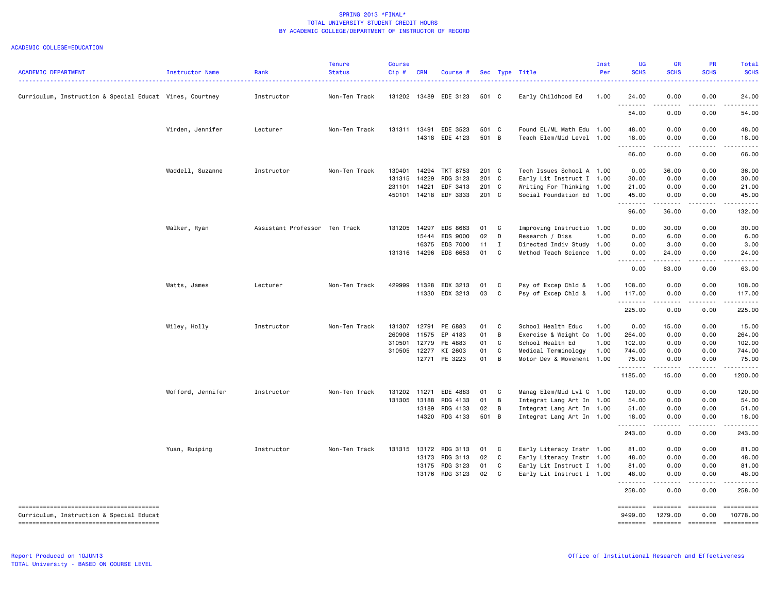| <b>ACADEMIC DEPARTMENT</b>                               | Instructor Name   | Rank                          | Tenure<br><b>Status</b> | <b>Course</b><br>Cip # | <b>CRN</b> | Course #              |                |              | Sec Type Title                                         | Inst<br>Per | <b>LIG</b><br><b>SCHS</b> | <b>GR</b><br><b>SCHS</b>                                                                                                                                     | PR<br><b>SCHS</b>                   | Total<br><b>SCHS</b>                                                                                                                                                                      |
|----------------------------------------------------------|-------------------|-------------------------------|-------------------------|------------------------|------------|-----------------------|----------------|--------------|--------------------------------------------------------|-------------|---------------------------|--------------------------------------------------------------------------------------------------------------------------------------------------------------|-------------------------------------|-------------------------------------------------------------------------------------------------------------------------------------------------------------------------------------------|
| Curriculum, Instruction & Special Educat Vines, Courtney |                   | Instructor                    | Non-Ten Track           |                        |            | 131202 13489 EDE 3123 | 501 C          |              | Early Childhood Ed                                     | 1.00        | 24.00<br>.                | 0.00                                                                                                                                                         | 0.00                                | 24.00                                                                                                                                                                                     |
|                                                          |                   |                               |                         |                        |            |                       |                |              |                                                        |             | 54.00                     | .<br>0.00                                                                                                                                                    | .<br>0.00                           | .<br>54.00                                                                                                                                                                                |
|                                                          | Virden, Jennifer  | Lecturer                      | Non-Ten Track           | 131311 13491           | 14318      | EDE 3523<br>EDE 4123  | 501 C<br>501 B |              | Found EL/ML Math Edu 1.00<br>Teach Elem/Mid Level 1.00 |             | 48.00<br>18.00            | 0.00<br>0.00                                                                                                                                                 | 0.00<br>0.00                        | 48.00<br>18.00                                                                                                                                                                            |
|                                                          |                   |                               |                         |                        |            |                       |                |              |                                                        |             | .<br>66.00                | .<br>0.00                                                                                                                                                    | .<br>0.00                           | .<br>66.00                                                                                                                                                                                |
|                                                          | Waddell, Suzanne  | Instructor                    | Non-Ten Track           | 130401                 | 14294      | TKT 8753              | 201 C          |              | Tech Issues School A 1.00                              |             | 0.00                      | 36.00                                                                                                                                                        | 0.00                                | 36.00                                                                                                                                                                                     |
|                                                          |                   |                               |                         | 131315                 | 14229      | RDG 3123              | 201 C          |              | Early Lit Instruct I 1.00                              |             | 30.00                     | 0.00                                                                                                                                                         | 0.00                                | 30.00                                                                                                                                                                                     |
|                                                          |                   |                               |                         | 231101                 | 14221      | EDF 3413              | 201 C          |              | Writing For Thinking                                   | 1.00        | 21.00                     | 0.00                                                                                                                                                         | 0.00                                | 21.00                                                                                                                                                                                     |
|                                                          |                   |                               |                         | 450101                 |            | 14218 EDF 3333        | 201 C          |              | Social Foundation Ed 1.00                              |             | 45.00<br>.                | 0.00                                                                                                                                                         | 0.00                                | 45.00                                                                                                                                                                                     |
|                                                          |                   |                               |                         |                        |            |                       |                |              |                                                        |             | 96.00                     | 36.00                                                                                                                                                        | 0.00                                | 132.00                                                                                                                                                                                    |
|                                                          | Walker, Ryan      | Assistant Professor Ten Track |                         | 131205 14297           |            | EDS 8663              | 01             | C            | Improving Instructio 1.00                              |             | 0.00                      | 30.00                                                                                                                                                        | 0.00                                | 30.00                                                                                                                                                                                     |
|                                                          |                   |                               |                         |                        | 15444      | EDS 9000              | 02             | D            | Research / Diss                                        | 1.00        | 0.00                      | 6.00                                                                                                                                                         | 0.00                                | 6.00                                                                                                                                                                                      |
|                                                          |                   |                               |                         |                        | 16375      | EDS 7000              | 11             | $\mathbf{I}$ | Directed Indiv Study                                   | 1.00        | 0.00                      | 3.00                                                                                                                                                         | 0.00                                | 3.00                                                                                                                                                                                      |
|                                                          |                   |                               |                         |                        |            | 131316 14296 EDS 6653 | 01             | C.           | Method Teach Science 1.00                              |             | 0.00<br>.                 | 24.00<br>.                                                                                                                                                   | 0.00<br>.                           | 24.00<br>.                                                                                                                                                                                |
|                                                          |                   |                               |                         |                        |            |                       |                |              |                                                        |             | 0.00                      | 63.00                                                                                                                                                        | 0.00                                | 63.00                                                                                                                                                                                     |
|                                                          | Watts, James      | Lecturer                      | Non-Ten Track           | 429999                 | 11328      | EDX 3213              | 01             | C            | Psy of Excep Chld &                                    | 1.00        | 108.00                    | 0.00                                                                                                                                                         | 0.00                                | 108.00                                                                                                                                                                                    |
|                                                          |                   |                               |                         |                        |            | 11330 EDX 3213        | 03             | C            | Psy of Excep Chld &                                    | 1.00        | 117.00<br>.               | 0.00<br>.                                                                                                                                                    | 0.00<br>.                           | 117.00<br>$\frac{1}{2} \left( \frac{1}{2} \right) \left( \frac{1}{2} \right) \left( \frac{1}{2} \right) \left( \frac{1}{2} \right) \left( \frac{1}{2} \right) \left( \frac{1}{2} \right)$ |
|                                                          |                   |                               |                         |                        |            |                       |                |              |                                                        |             | 225.00                    | 0.00                                                                                                                                                         | 0.00                                | 225.00                                                                                                                                                                                    |
|                                                          | Wiley, Holly      | Instructor                    | Non-Ten Track           | 131307                 | 12791      | PE 6883               | 01             | C            | School Health Educ                                     | 1.00        | 0.00                      | 15.00                                                                                                                                                        | 0.00                                | 15.00                                                                                                                                                                                     |
|                                                          |                   |                               |                         | 260908                 | 11575      | EP 4183               | 01             | B            | Exercise & Weight Co 1.00                              |             | 264.00                    | 0.00                                                                                                                                                         | 0.00                                | 264.00                                                                                                                                                                                    |
|                                                          |                   |                               |                         | 310501                 | 12779      | PE 4883               | 01             | C            | School Health Ed                                       | 1.00        | 102.00                    | 0.00                                                                                                                                                         | 0.00                                | 102.00                                                                                                                                                                                    |
|                                                          |                   |                               |                         | 310505                 | 12277      | KI 2603               | 01             | C            | Medical Terminology                                    | 1.00        | 744.00                    | 0.00                                                                                                                                                         | 0.00                                | 744.00                                                                                                                                                                                    |
|                                                          |                   |                               |                         |                        | 12771      | PE 3223               | 01             | B            | Motor Dev & Movement 1.00                              |             | 75.00<br>.                | 0.00<br>$\frac{1}{2} \left( \frac{1}{2} \right) \left( \frac{1}{2} \right) \left( \frac{1}{2} \right) \left( \frac{1}{2} \right) \left( \frac{1}{2} \right)$ | 0.00<br>$\sim$ $\sim$ $\sim$ $\sim$ | 75.00<br>.                                                                                                                                                                                |
|                                                          |                   |                               |                         |                        |            |                       |                |              |                                                        |             | 1185.00                   | 15.00                                                                                                                                                        | 0.00                                | 1200.00                                                                                                                                                                                   |
|                                                          | Wofford, Jennifer | Instructor                    | Non-Ten Track           | 131202 11271           |            | EDE 4883              | 01             | C            | Manag Elem/Mid Lvl C 1.00                              |             | 120.00                    | 0.00                                                                                                                                                         | 0.00                                | 120.00                                                                                                                                                                                    |
|                                                          |                   |                               |                         | 131305                 | 13188      | RDG 4133              | 01             | B            | Integrat Lang Art In 1.00                              |             | 54.00                     | 0.00                                                                                                                                                         | 0.00                                | 54.00                                                                                                                                                                                     |
|                                                          |                   |                               |                         |                        | 13189      | RDG 4133              | 02             | B            | Integrat Lang Art In 1.00                              |             | 51.00                     | 0.00                                                                                                                                                         | 0.00                                | 51.00                                                                                                                                                                                     |
|                                                          |                   |                               |                         |                        | 14320      | RDG 4133              | 501 B          |              | Integrat Lang Art In 1.00                              |             | 18.00<br>.                | 0.00<br>.                                                                                                                                                    | 0.00<br>د د د د                     | 18.00                                                                                                                                                                                     |
|                                                          |                   |                               |                         |                        |            |                       |                |              |                                                        |             | 243.00                    | 0.00                                                                                                                                                         | 0.00                                | 243.00                                                                                                                                                                                    |
|                                                          | Yuan, Ruiping     | Instructor                    | Non-Ten Track           |                        |            | 131315 13172 RDG 3113 | 01             | $\mathbf{C}$ | Early Literacy Instr 1.00                              |             | 81.00                     | 0.00                                                                                                                                                         | 0.00                                | 81.00                                                                                                                                                                                     |
|                                                          |                   |                               |                         |                        | 13173      | RDG 3113              | 02             | C            | Early Literacy Instr 1.00                              |             | 48.00                     | 0.00                                                                                                                                                         | 0.00                                | 48.00                                                                                                                                                                                     |
|                                                          |                   |                               |                         |                        | 13175      | RDG 3123              | 01             | C            | Early Lit Instruct I 1.00                              |             | 81.00                     | 0.00                                                                                                                                                         | 0.00                                | 81.00                                                                                                                                                                                     |
|                                                          |                   |                               |                         |                        |            | 13176 RDG 3123        | 02             | $\mathbf{C}$ | Early Lit Instruct I 1.00                              |             | 48.00<br>.                | 0.00<br>.                                                                                                                                                    | 0.00<br>$- - - - -$                 | 48.00<br>$- - - - -$                                                                                                                                                                      |
|                                                          |                   |                               |                         |                        |            |                       |                |              |                                                        |             | 258.00                    | 0.00                                                                                                                                                         | 0.00                                | 258.00                                                                                                                                                                                    |
| Curriculum, Instruction & Special Educat                 |                   |                               |                         |                        |            |                       |                |              |                                                        |             | ========<br>9499.00       | ========<br>1279.00                                                                                                                                          | ========<br>0.00                    | ==========<br>10778.00                                                                                                                                                                    |
|                                                          |                   |                               |                         |                        |            |                       |                |              |                                                        |             | ========                  |                                                                                                                                                              |                                     | $=$ = = = = = = = = =                                                                                                                                                                     |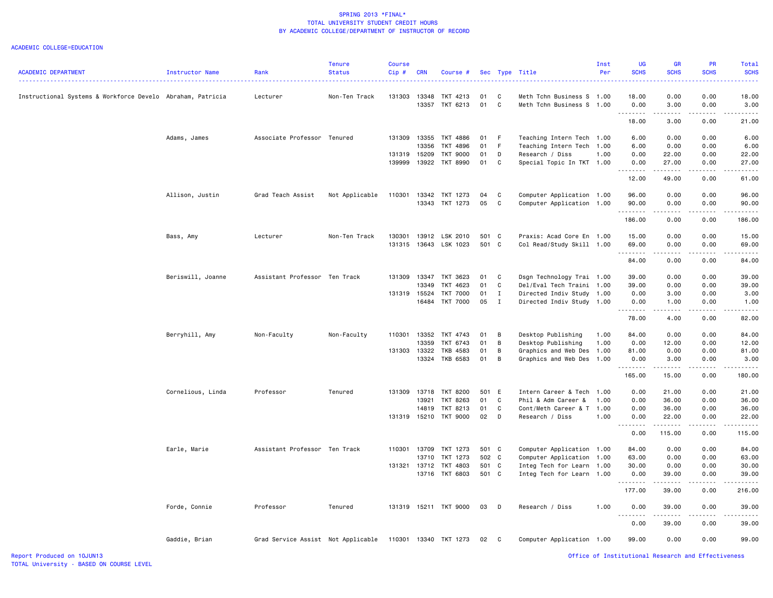| <b>ACADEMIC DEPARTMENT</b>                                 | Instructor Name   | Rank                               | <b>Tenure</b><br><b>Status</b> | <b>Course</b><br>Cip# | <b>CRN</b>   | Course #              |          |              | Sec Type Title            | Inst<br>Per | <b>UG</b><br><b>SCHS</b> | <b>GR</b><br><b>SCHS</b>                    | PR<br><b>SCHS</b> | Total<br><b>SCHS</b> |
|------------------------------------------------------------|-------------------|------------------------------------|--------------------------------|-----------------------|--------------|-----------------------|----------|--------------|---------------------------|-------------|--------------------------|---------------------------------------------|-------------------|----------------------|
| Instructional Systems & Workforce Develo Abraham, Patricia |                   | Lecturer                           | Non-Ten Track                  | 131303                | 13348        | TKT 4213              | 01<br>01 | C            | Meth Tchn Business S 1.00 |             | 18.00                    | 0.00                                        | 0.00              | 18.00                |
|                                                            |                   |                                    |                                |                       | 13357        | TKT 6213              |          | <b>C</b>     | Meth Tchn Business S      | 1.00        | 0.00<br>.<br>18.00       | 3.00<br>$\sim$ $\sim$ $\sim$ $\sim$<br>3.00 | 0.00<br>0.00      | 3.00<br>21.00        |
|                                                            |                   |                                    |                                |                       |              |                       |          |              |                           |             |                          |                                             |                   |                      |
|                                                            | Adams, James      | Associate Professor Tenured        |                                | 131309                |              | 13355 TKT 4886        | 01       | F            | Teaching Intern Tech 1.00 |             | 6.00                     | 0.00                                        | 0.00              | 6.00                 |
|                                                            |                   |                                    |                                |                       | 13356        | TKT 4896              | 01       | F            | Teaching Intern Tech      | 1.00        | 6.00                     | 0.00                                        | 0.00              | 6.00                 |
|                                                            |                   |                                    |                                | 131319                | 15209        | TKT 9000              | 01       | D            | Research / Diss           | 1.00        | 0.00                     | 22.00                                       | 0.00              | 22.00                |
|                                                            |                   |                                    |                                | 139999                |              | 13922 TKT 8990        | 01       | C            | Special Topic In TKT      | 1.00        | 0.00<br>. <b>.</b>       | 27.00<br>المتمام المتعاد                    | 0.00<br>.         | 27.00                |
|                                                            |                   |                                    |                                |                       |              |                       |          |              |                           |             | 12.00                    | 49.00                                       | 0.00              | 61.00                |
|                                                            | Allison, Justin   | Grad Teach Assist                  | Not Applicable                 | 110301                |              | 13342 TKT 1273        | 04       | C            | Computer Application      | 1.00        | 96.00                    | 0.00                                        | 0.00              | 96.00                |
|                                                            |                   |                                    |                                |                       |              | 13343 TKT 1273        | 05       | $\mathbf{C}$ | Computer Application      | 1.00        | 90.00<br>.               | 0.00                                        | 0.00              | 90.00                |
|                                                            |                   |                                    |                                |                       |              |                       |          |              |                           |             | 186.00                   | 0.00                                        | 0.00              | 186.00               |
|                                                            | Bass, Amy         | Lecturer                           | Non-Ten Track                  | 130301                |              | 13912 LSK 2010        | 501 C    |              | Praxis: Acad Core En 1.00 |             | 15.00                    | 0.00                                        | 0.00              | 15.00                |
|                                                            |                   |                                    |                                | 131315                |              | 13643 LSK 1023        | 501 C    |              | Col Read/Study Skill 1.00 |             | 69.00                    | 0.00                                        | 0.00              | 69.00                |
|                                                            |                   |                                    |                                |                       |              |                       |          |              |                           |             | .<br>84.00               | .<br>0.00                                   | .<br>0.00         | 84.00                |
|                                                            | Beriswill, Joanne | Assistant Professor Ten Track      |                                | 131309                |              | 13347 TKT 3623        | 01 C     |              | Dsgn Technology Trai 1.00 |             | 39.00                    | 0.00                                        | 0.00              | 39.00                |
|                                                            |                   |                                    |                                |                       | 13349        | TKT 4623              | 01       | C            | Del/Eval Tech Traini 1.00 |             | 39.00                    | 0.00                                        | 0.00              | 39.00                |
|                                                            |                   |                                    |                                |                       | 131319 15524 | <b>TKT 7000</b>       | 01       | $\mathbf{I}$ | Directed Indiv Study      | 1.00        | 0.00                     | 3.00                                        | 0.00              | 3.00                 |
|                                                            |                   |                                    |                                |                       |              | 16484 TKT 7000        | 05       | $\mathbf{I}$ | Directed Indiv Study 1.00 |             | 0.00                     | 1.00                                        | 0.00              | 1.00                 |
|                                                            |                   |                                    |                                |                       |              |                       |          |              |                           |             | 78.00                    | 4.00                                        | 0.00              | 82.00                |
|                                                            | Berryhill, Amy    | Non-Faculty                        | Non-Faculty                    | 110301                | 13352        | TKT 4743              | 01       | B            | Desktop Publishing        | 1.00        | 84.00                    | 0.00                                        | 0.00              | 84.00                |
|                                                            |                   |                                    |                                |                       | 13359        | TKT 6743              | 01       | B            | Desktop Publishing        | 1.00        | 0.00                     | 12.00                                       | 0.00              | 12.00                |
|                                                            |                   |                                    |                                | 131303                | 13322        | TKB 4583              | 01       | В            | Graphics and Web Des      | 1.00        | 81.00                    | 0.00                                        | 0.00              | 81.00                |
|                                                            |                   |                                    |                                |                       |              | 13324 TKB 6583        | 01       | B            | Graphics and Web Des      | 1.00        | 0.00<br>.                | 3.00<br>.                                   | 0.00<br>.         | 3.00<br>.            |
|                                                            |                   |                                    |                                |                       |              |                       |          |              |                           |             | 165.00                   | 15.00                                       | 0.00              | 180.00               |
|                                                            | Cornelious, Linda | Professor                          | Tenured                        | 131309                |              | 13718 TKT 8200        | 501 E    |              | Intern Career & Tech      | 1.00        | 0.00                     | 21.00                                       | 0.00              | 21.00                |
|                                                            |                   |                                    |                                |                       | 13921        | TKT 8263              | 01       | C            | Phil & Adm Career &       | 1.00        | 0.00                     | 36.00                                       | 0.00              | 36.00                |
|                                                            |                   |                                    |                                |                       | 14819        | TKT 8213              | 01       | C            | Cont/Meth Career & T 1.00 |             | 0.00                     | 36.00                                       | 0.00              | 36.00                |
|                                                            |                   |                                    |                                | 131319                |              | 15210 TKT 9000        | $02$ D   |              | Research / Diss           | 1.00        | 0.00<br><u>.</u>         | 22.00<br>.                                  | 0.00              | 22.00                |
|                                                            |                   |                                    |                                |                       |              |                       |          |              |                           |             | 0.00                     | 115.00                                      | 0.00              | 115.00               |
|                                                            | Earle, Marie      | Assistant Professor Ten Track      |                                | 110301                | 13709        | TKT 1273              | 501 C    |              | Computer Application      | 1.00        | 84.00                    | 0.00                                        | 0.00              | 84.00                |
|                                                            |                   |                                    |                                |                       | 13710        | TKT 1273              | 502 C    |              | Computer Application      | 1.00        | 63.00                    | 0.00                                        | 0.00              | 63.00                |
|                                                            |                   |                                    |                                | 131321                | 13712        | TKT 4803              | 501 C    |              | Integ Tech for Learn      | 1.00        | 30.00                    | 0.00                                        | 0.00              | 30.00                |
|                                                            |                   |                                    |                                |                       |              | 13716 TKT 6803        | 501 C    |              | Integ Tech for Learn 1.00 |             | 0.00<br>.                | 39.00                                       | 0.00              | 39.00                |
|                                                            |                   |                                    |                                |                       |              |                       |          |              |                           |             | 177.00                   | 39.00                                       | 0.00              | 216.00               |
|                                                            | Forde, Connie     | Professor                          | Tenured                        |                       |              | 131319 15211 TKT 9000 | 03       | $\mathsf{D}$ | Research / Diss           | 1.00        | 0.00<br>.                | 39.00                                       | 0.00              | 39.00                |
|                                                            |                   |                                    |                                |                       |              |                       |          |              |                           |             | 0.00                     | 39.00                                       | 0.00              | 39.00                |
|                                                            | Gaddie, Brian     | Grad Service Assist Not Applicable |                                |                       |              | 110301 13340 TKT 1273 | 02 C     |              | Computer Application 1.00 |             | 99.00                    | 0.00                                        | 0.00              | 99.00                |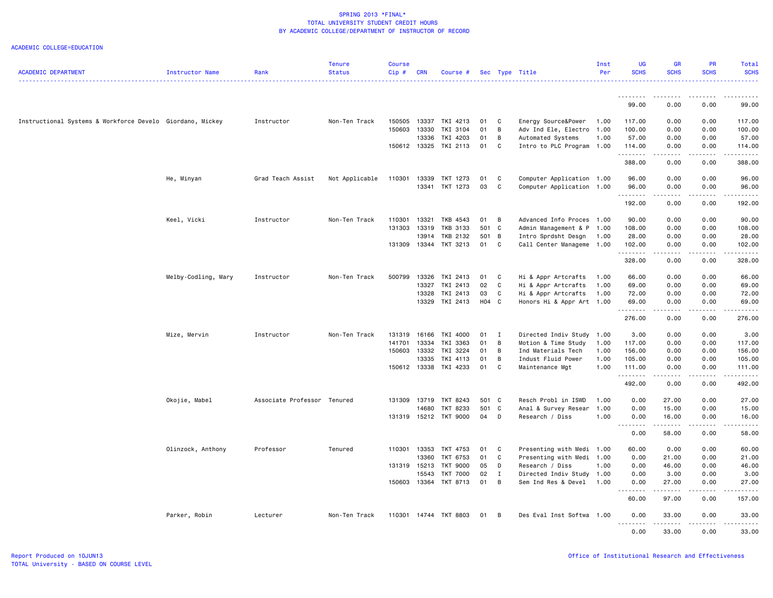|                                                           |                     |                             | <b>Tenure</b>  | <b>Course</b> |            |                                   |          |              |                                       | Inst         | UG                      | <b>GR</b>                                                                                                           | <b>PR</b>    | Total                                                                                                                                                                                     |
|-----------------------------------------------------------|---------------------|-----------------------------|----------------|---------------|------------|-----------------------------------|----------|--------------|---------------------------------------|--------------|-------------------------|---------------------------------------------------------------------------------------------------------------------|--------------|-------------------------------------------------------------------------------------------------------------------------------------------------------------------------------------------|
| <b>ACADEMIC DEPARTMENT</b>                                | Instructor Name     | Rank                        | <b>Status</b>  | Cip#          | <b>CRN</b> | Course #                          |          |              | Sec Type Title                        | Per          | <b>SCHS</b>             | <b>SCHS</b>                                                                                                         | <b>SCHS</b>  | <b>SCHS</b><br>.                                                                                                                                                                          |
|                                                           |                     |                             |                |               |            |                                   |          |              |                                       |              | <u> - - - - - - - -</u> | . <u>.</u>                                                                                                          |              |                                                                                                                                                                                           |
|                                                           |                     |                             |                |               |            |                                   |          |              |                                       |              | 99.00                   | 0.00                                                                                                                | 0.00         | 99.00                                                                                                                                                                                     |
| Instructional Systems & Workforce Develo Giordano, Mickey |                     | Instructor                  | Non-Ten Track  | 150505        | 13337      | TKI 4213                          | 01       | C            | Energy Source&Power                   | 1.00         | 117.00                  | 0.00                                                                                                                | 0.00         | 117.00                                                                                                                                                                                    |
|                                                           |                     |                             |                | 150603        | 13330      | TKI 3104                          | 01       | B            | Adv Ind Ele, Electro                  | 1.00         | 100.00                  | 0.00                                                                                                                | 0.00         | 100.00                                                                                                                                                                                    |
|                                                           |                     |                             |                |               | 13336      | TKI 4203                          | 01       | B            | Automated Systems                     | 1.00         | 57.00                   | 0.00                                                                                                                | 0.00         | 57.00                                                                                                                                                                                     |
|                                                           |                     |                             |                | 150612 13325  |            | TKI 2113                          | 01       | C            | Intro to PLC Program 1.00             |              | 114.00                  | 0.00                                                                                                                | 0.00         | 114.00                                                                                                                                                                                    |
|                                                           |                     |                             |                |               |            |                                   |          |              |                                       |              | .<br>388.00             | $\begin{array}{cccccccccc} \bullet & \bullet & \bullet & \bullet & \bullet & \bullet & \bullet \end{array}$<br>0.00 | .<br>0.00    | .<br>388.00                                                                                                                                                                               |
|                                                           | He, Minyan          | Grad Teach Assist           | Not Applicable | 110301        | 13339      | TKT 1273                          | 01       | C            | Computer Application 1.00             |              | 96.00                   | 0.00                                                                                                                | 0.00         | 96.00                                                                                                                                                                                     |
|                                                           |                     |                             |                |               | 13341      | TKT 1273                          | 03       | C            | Computer Application 1.00             |              | 96.00                   | 0.00                                                                                                                | 0.00         | 96.00                                                                                                                                                                                     |
|                                                           |                     |                             |                |               |            |                                   |          |              |                                       |              | .                       |                                                                                                                     |              | .                                                                                                                                                                                         |
|                                                           |                     |                             |                |               |            |                                   |          |              |                                       |              | 192.00                  | 0.00                                                                                                                | 0.00         | 192.00                                                                                                                                                                                    |
|                                                           | Keel, Vicki         | Instructor                  | Non-Ten Track  | 110301        | 13321      | TKB 4543                          | 01       | B            | Advanced Info Proces 1.00             |              | 90.00                   | 0.00                                                                                                                | 0.00         | 90.00                                                                                                                                                                                     |
|                                                           |                     |                             |                | 131303        | 13319      | TKB 3133                          | 501 C    |              | Admin Management & P 1.00             |              | 108.00                  | 0.00                                                                                                                | 0.00         | 108.00                                                                                                                                                                                    |
|                                                           |                     |                             |                |               | 13914      | TKB 2132                          | 501 B    |              | Intro Sprdsht Desgn                   | 1.00         | 28.00                   | 0.00                                                                                                                | 0.00         | 28.00                                                                                                                                                                                     |
|                                                           |                     |                             |                | 131309        | 13344      | TKT 3213                          | 01       | $\mathbf{C}$ | Call Center Manageme 1.00             |              | 102.00                  | 0.00                                                                                                                | 0.00         | 102.00                                                                                                                                                                                    |
|                                                           |                     |                             |                |               |            |                                   |          |              |                                       |              | .<br>328.00             | .<br>0.00                                                                                                           | .<br>0.00    | $\frac{1}{2} \left( \frac{1}{2} \right) \left( \frac{1}{2} \right) \left( \frac{1}{2} \right) \left( \frac{1}{2} \right) \left( \frac{1}{2} \right) \left( \frac{1}{2} \right)$<br>328.00 |
|                                                           | Melby-Codling, Mary | Instructor                  | Non-Ten Track  | 500799        | 13326      | TKI 2413                          | 01       | C            | Hi & Appr Artcrafts                   | 1.00         | 66.00                   | 0.00                                                                                                                | 0.00         | 66.00                                                                                                                                                                                     |
|                                                           |                     |                             |                |               | 13327      | TKI 2413                          | 02       | $\mathbf{C}$ | Hi & Appr Artcrafts                   | 1.00         | 69.00                   | 0.00                                                                                                                | 0.00         | 69.00                                                                                                                                                                                     |
|                                                           |                     |                             |                |               | 13328      | TKI 2413                          | 03       | C            | Hi & Appr Artcrafts                   | 1.00         | 72.00                   | 0.00                                                                                                                | 0.00         | 72.00                                                                                                                                                                                     |
|                                                           |                     |                             |                |               | 13329      | TKI 2413                          | H04 C    |              | Honors Hi & Appr Art 1.00             |              | 69.00                   | 0.00                                                                                                                | 0.00         | 69.00                                                                                                                                                                                     |
|                                                           |                     |                             |                |               |            |                                   |          |              |                                       |              | .<br>276.00             | 0.00                                                                                                                | 0.00         | .<br>276.00                                                                                                                                                                               |
|                                                           |                     |                             |                |               |            |                                   |          |              |                                       |              |                         |                                                                                                                     | 0.00         |                                                                                                                                                                                           |
|                                                           | Mize, Mervin        | Instructor                  | Non-Ten Track  | 131319        | 16166      | TKI 4000                          | 01       | I            | Directed Indiv Study 1.00             |              | 3.00                    | 0.00                                                                                                                |              | 3.00                                                                                                                                                                                      |
|                                                           |                     |                             |                | 141701        | 13334      | TKI 3363                          | 01       | B            | Motion & Time Study                   | 1.00         | 117.00                  | 0.00                                                                                                                | 0.00         | 117.00                                                                                                                                                                                    |
|                                                           |                     |                             |                | 150603        | 13332      | TKI 3224                          | 01       | B            | Ind Materials Tech                    | 1.00         | 156.00                  | 0.00                                                                                                                | 0.00         | 156.00                                                                                                                                                                                    |
|                                                           |                     |                             |                |               | 13335      | TKI 4113<br>150612 13338 TKI 4233 | 01<br>01 | B<br>C       | Indust Fluid Power<br>Maintenance Mgt | 1.00<br>1.00 | 105.00<br>111.00        | 0.00<br>0.00                                                                                                        | 0.00<br>0.00 | 105.00<br>111.00                                                                                                                                                                          |
|                                                           |                     |                             |                |               |            |                                   |          |              |                                       |              | <u>.</u><br>492.00      | $- - - - -$<br>0.00                                                                                                 | .<br>0.00    | .<br>492.00                                                                                                                                                                               |
|                                                           |                     |                             |                |               |            |                                   |          |              |                                       |              |                         |                                                                                                                     |              |                                                                                                                                                                                           |
|                                                           | Okojie, Mabel       | Associate Professor Tenured |                | 131309        | 13719      | TKT 8243                          | 501 C    |              | Resch Probl in ISWD                   | 1.00         | 0.00                    | 27.00                                                                                                               | 0.00         | 27.00                                                                                                                                                                                     |
|                                                           |                     |                             |                |               | 14680      | TKT 8233                          | 501 C    |              | Anal & Survey Resear                  | 1.00         | 0.00                    | 15.00                                                                                                               | 0.00         | 15.00                                                                                                                                                                                     |
|                                                           |                     |                             |                |               |            | 131319 15212 TKT 9000             | 04       | $\mathsf{D}$ | Research / Diss                       | 1.00         | 0.00<br>.               | 16.00                                                                                                               | 0.00         | 16.00                                                                                                                                                                                     |
|                                                           |                     |                             |                |               |            |                                   |          |              |                                       |              | 0.00                    | . <b>.</b><br>58.00                                                                                                 | .<br>0.00    | .<br>58.00                                                                                                                                                                                |
|                                                           | Olinzock, Anthony   | Professor                   | Tenured        | 110301        | 13353      | TKT 4753                          | 01       | C            | Presenting with Medi 1.00             |              | 60.00                   | 0.00                                                                                                                | 0.00         | 60.00                                                                                                                                                                                     |
|                                                           |                     |                             |                |               | 13360      | TKT 6753                          | 01       | C            | Presenting with Medi 1.00             |              | 0.00                    | 21.00                                                                                                               | 0.00         | 21.00                                                                                                                                                                                     |
|                                                           |                     |                             |                | 131319        | 15213      | TKT 9000                          | 05       | D            | Research / Diss                       | 1.00         | 0.00                    | 46.00                                                                                                               | 0.00         | 46.00                                                                                                                                                                                     |
|                                                           |                     |                             |                |               | 15543      | <b>TKT 7000</b>                   | 02       | Ι.           | Directed Indiv Study 1.00             |              | 0.00                    | 3.00                                                                                                                | 0.00         | 3.00                                                                                                                                                                                      |
|                                                           |                     |                             |                |               |            | 150603 13364 TKT 8713             | 01       | B            | Sem Ind Res & Devel                   | 1.00         | 0.00                    | 27.00                                                                                                               | 0.00         | 27.00                                                                                                                                                                                     |
|                                                           |                     |                             |                |               |            |                                   |          |              |                                       |              | .<br>60.00              | .<br>97.00                                                                                                          | .<br>0.00    | .<br>157.00                                                                                                                                                                               |
|                                                           | Parker, Robin       | Lecturer                    | Non-Ten Track  | 110301        |            | 14744 TKT 8803                    | 01       | B            | Des Eval Inst Softwa 1.00             |              | 0.00                    | 33.00                                                                                                               | 0.00         | 33.00                                                                                                                                                                                     |
|                                                           |                     |                             |                |               |            |                                   |          |              |                                       |              | <u>.</u><br>0.00        | <u>.</u><br>33.00                                                                                                   | .<br>0.00    | .<br>33,00                                                                                                                                                                                |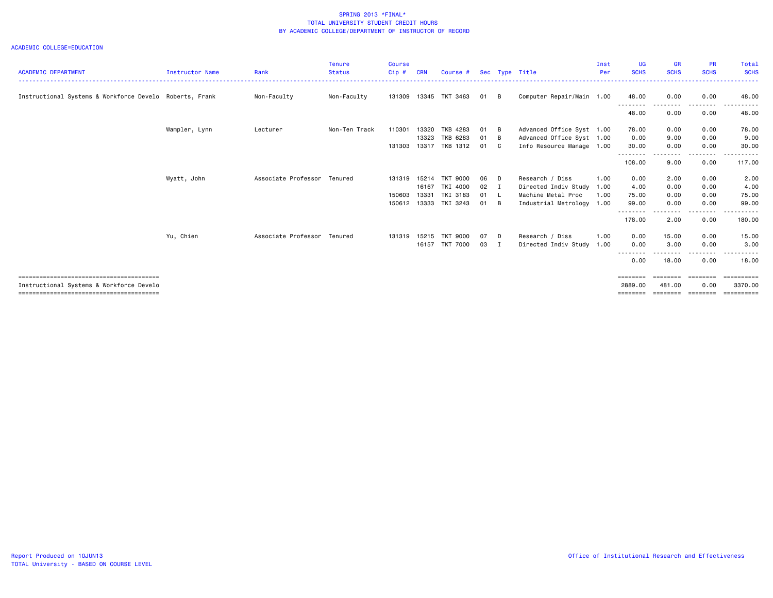| <b>ACADEMIC DEPARTMENT</b>                              | Instructor Name | Rank                        | <b>Tenure</b><br><b>Status</b> | <b>Course</b><br>$Cip$ # |       | Course #              |      |                | Sec Type Title            | Inst<br>Per | UG<br><b>SCHS</b>         | <b>GR</b><br><b>SCHS</b> | <b>PR</b><br><b>SCHS</b> | Total<br><b>SCHS</b> |
|---------------------------------------------------------|-----------------|-----------------------------|--------------------------------|--------------------------|-------|-----------------------|------|----------------|---------------------------|-------------|---------------------------|--------------------------|--------------------------|----------------------|
|                                                         |                 |                             |                                |                          |       |                       |      |                |                           |             |                           |                          |                          |                      |
| Instructional Systems & Workforce Develo Roberts, Frank |                 | Non-Faculty                 | Non-Faculty                    |                          |       | 131309 13345 TKT 3463 | 01   | - B            | Computer Repair/Main 1.00 |             | 48.00                     | 0.00                     | 0.00                     | 48.00                |
|                                                         |                 |                             |                                |                          |       |                       |      |                |                           |             | - - - - - - - -<br>48.00  | ----<br>0.00             | 0.00                     | 48.00                |
|                                                         | Wampler, Lynn   | Lecturer                    | Non-Ten Track                  | 110301                   | 13320 | TKB 4283              | 01   | $\overline{B}$ | Advanced Office Syst 1.00 |             | 78.00                     | 0.00                     | 0.00                     | 78.00                |
|                                                         |                 |                             |                                |                          | 13323 | TKB 6283              | 01 B |                | Advanced Office Syst 1.00 |             | 0.00                      | 9.00                     | 0.00                     | 9.00                 |
|                                                         |                 |                             |                                | 131303                   |       | 13317 TKB 1312        | 01 C |                | Info Resource Manage 1.00 |             | 30.00                     | 0.00                     | 0.00                     | 30.00                |
|                                                         |                 |                             |                                |                          |       |                       |      |                |                           |             | - - - - - - - -<br>108.00 | .<br>9.00                | $- - - -$<br>0.00        | 117.00               |
|                                                         | Wyatt, John     | Associate Professor Tenured |                                | 131319                   | 15214 | TKT 9000              | 06   | D              | Research / Diss           | 1.00        | 0.00                      | 2.00                     | 0.00                     | 2.00                 |
|                                                         |                 |                             |                                |                          | 16167 | TKI 4000              | 02   | $\blacksquare$ | Directed Indiv Study      | 1.00        | 4.00                      | 0.00                     | 0.00                     | 4.00                 |
|                                                         |                 |                             |                                | 150603                   | 13331 | TKI 3183              | 01 L |                | Machine Metal Proc        | 1.00        | 75.00                     | 0.00                     | 0.00                     | 75.00                |
|                                                         |                 |                             |                                | 150612                   | 13333 | TKI 3243              | 01 B |                | Industrial Metrology 1.00 |             | 99.00                     | 0.00                     | 0.00                     | 99.00                |
|                                                         |                 |                             |                                |                          |       |                       |      |                |                           |             | <u>.</u><br>178.00        | 2.00                     | 0.00                     | 180.00               |
|                                                         | Yu, Chien       | Associate Professor Tenured |                                | 131319                   | 15215 | TKT 9000              | 07   | D              | Research / Diss           | 1.00        | 0.00                      | 15.00                    | 0.00                     | 15.00                |
|                                                         |                 |                             |                                |                          | 16157 | <b>TKT 7000</b>       | 03   | I              | Directed Indiv Study      | 1.00        | 0.00                      | 3.00                     | 0.00                     | 3.00                 |
|                                                         |                 |                             |                                |                          |       |                       |      |                |                           |             | 0.00                      | 18.00                    | 0.00                     | 18.00                |
|                                                         |                 |                             |                                |                          |       |                       |      |                |                           |             | $=$ = = = = = = =         |                          |                          |                      |
| Instructional Systems & Workforce Develo                |                 |                             |                                |                          |       |                       |      |                |                           |             | 2889.00                   | 481.00                   | 0.00                     | 3370.00              |
|                                                         |                 |                             |                                |                          |       |                       |      |                |                           |             | $=$ = = = = = = =         | ========                 | ========                 | ==========           |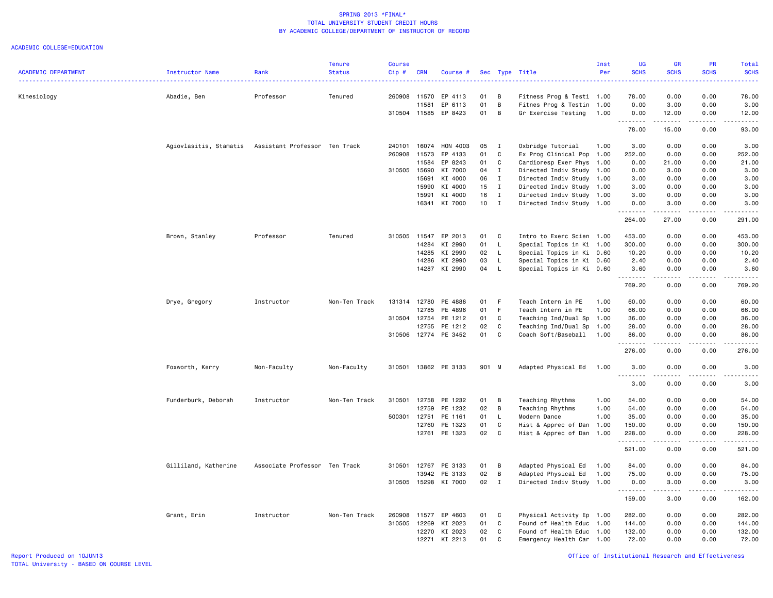|                            |                                                      |                               | <b>Tenure</b> | <b>Course</b> |            |                      |        |              |                           | Inst | <b>UG</b>   | GR                    | PR                           | <b>Total</b>                                                                                                                             |
|----------------------------|------------------------------------------------------|-------------------------------|---------------|---------------|------------|----------------------|--------|--------------|---------------------------|------|-------------|-----------------------|------------------------------|------------------------------------------------------------------------------------------------------------------------------------------|
| <b>ACADEMIC DEPARTMENT</b> | Instructor Name                                      | Rank                          | <b>Status</b> | Cip#          | <b>CRN</b> | Course #             |        |              | Sec Type Title            | Per  | <b>SCHS</b> | <b>SCHS</b>           | <b>SCHS</b>                  | <b>SCHS</b><br>$\frac{1}{2} \left( \frac{1}{2} \right) \left( \frac{1}{2} \right) \left( \frac{1}{2} \right) \left( \frac{1}{2} \right)$ |
| Kinesiology                | Abadie, Ben                                          | Professor                     | Tenured       | 260908        | 11570      | EP 4113              | 01     | В            | Fitness Prog & Testi 1.00 |      | 78.00       | 0.00                  | 0.00                         | 78.00                                                                                                                                    |
|                            |                                                      |                               |               |               | 11581      | EP 6113              | 01     | B            | Fitnes Prog & Testin 1.00 |      | 0.00        | 3.00                  | 0.00                         | 3.00                                                                                                                                     |
|                            |                                                      |                               |               | 310504 11585  |            | EP 8423              | 01     | В            | Gr Exercise Testing       | 1.00 | 0.00        | 12.00                 | 0.00                         | 12.00                                                                                                                                    |
|                            |                                                      |                               |               |               |            |                      |        |              |                           |      | .<br>78.00  | .<br>15.00            | $\frac{1}{2}$<br>0.00        | $\frac{1}{2}$<br>93.00                                                                                                                   |
|                            | Agiovlasitis, Stamatis Assistant Professor Ten Track |                               |               | 240101        | 16074      | HON 4003             | 05     | $\mathbf I$  | Oxbridge Tutorial         | 1.00 | 3.00        | 0.00                  | 0.00                         | 3.00                                                                                                                                     |
|                            |                                                      |                               |               | 260908        | 11573      | EP 4133              | 01     | C            | Ex Prog Clinical Pop 1.00 |      | 252.00      | 0.00                  | 0.00                         | 252.00                                                                                                                                   |
|                            |                                                      |                               |               |               | 11584      | EP 8243              | 01     | C            | Cardioresp Exer Phys      | 1.00 | 0.00        | 21.00                 | 0.00                         | 21.00                                                                                                                                    |
|                            |                                                      |                               |               | 310505        | 15690      | KI 7000              | 04     | $\mathbf{I}$ | Directed Indiv Study 1.00 |      | 0.00        | 3.00                  | 0.00                         | 3.00                                                                                                                                     |
|                            |                                                      |                               |               |               | 15691      | KI 4000              | 06     | $\mathbf{I}$ | Directed Indiv Study 1.00 |      | 3.00        | 0.00                  | 0.00                         | 3.00                                                                                                                                     |
|                            |                                                      |                               |               |               | 15990      | KI 4000              | 15     | $\mathbf{I}$ | Directed Indiv Study 1.00 |      | 3.00        | 0.00                  | 0.00                         | 3.00                                                                                                                                     |
|                            |                                                      |                               |               |               | 15991      | KI 4000              | 16     | $\mathbf{I}$ | Directed Indiv Study 1.00 |      | 3.00        | 0.00                  | 0.00                         | 3.00                                                                                                                                     |
|                            |                                                      |                               |               |               | 16341      | KI 7000              | $10$ I |              | Directed Indiv Study 1.00 |      | 0.00<br>.   | 3.00<br>.             | 0.00<br>$\sim$ $\sim$ $\sim$ | 3.00<br>.                                                                                                                                |
|                            |                                                      |                               |               |               |            |                      |        |              |                           |      | 264.00      | 27.00                 | 0.00                         | 291.00                                                                                                                                   |
|                            | Brown, Stanley                                       | Professor                     | Tenured       | 310505        | 11547      | EP 2013              | 01     | C            | Intro to Exerc Scien 1.00 |      | 453.00      | 0.00                  | 0.00                         | 453.00                                                                                                                                   |
|                            |                                                      |                               |               |               | 14284      | KI 2990              | 01     | $\mathsf{L}$ | Special Topics in Ki 1.00 |      | 300.00      | 0.00                  | 0.00                         | 300.00                                                                                                                                   |
|                            |                                                      |                               |               |               | 14285      | KI 2990              | 02     | L            | Special Topics in Ki 0.60 |      | 10.20       | 0.00                  | 0.00                         | 10.20                                                                                                                                    |
|                            |                                                      |                               |               |               | 14286      | KI 2990              | 03     | L            | Special Topics in Ki 0.60 |      | 2.40        | 0.00                  | 0.00                         | 2.40                                                                                                                                     |
|                            |                                                      |                               |               |               | 14287      | KI 2990              | 04     | L            | Special Topics in Ki 0.60 |      | 3.60        | 0.00                  | 0.00                         | 3.60                                                                                                                                     |
|                            |                                                      |                               |               |               |            |                      |        |              |                           |      | 769.20      | 0.00                  | 0.00                         | 769.20                                                                                                                                   |
|                            | Drye, Gregory                                        | Instructor                    | Non-Ten Track | 131314 12780  |            | PE 4886              | 01     | F.           | Teach Intern in PE        | 1.00 | 60.00       | 0.00                  | 0.00                         | 60.00                                                                                                                                    |
|                            |                                                      |                               |               |               | 12785      | PE 4896              | 01     | F.           | Teach Intern in PE        | 1.00 | 66.00       | 0.00                  | 0.00                         | 66.00                                                                                                                                    |
|                            |                                                      |                               |               | 310504        | 12754      | PE 1212              | 01     | C            | Teaching Ind/Dual Sp 1.00 |      | 36.00       | 0.00                  | 0.00                         | 36.00                                                                                                                                    |
|                            |                                                      |                               |               |               | 12755      | PE 1212              | 02     | C            | Teaching Ind/Dual Sp 1.00 |      | 28.00       | 0.00                  | 0.00                         | 28.00                                                                                                                                    |
|                            |                                                      |                               |               |               |            | 310506 12774 PE 3452 | 01     | C            | Coach Soft/Baseball 1.00  |      | 86.00       | 0.00                  | 0.00                         | 86.00                                                                                                                                    |
|                            |                                                      |                               |               |               |            |                      |        |              |                           |      | .<br>276.00 | -----<br>0.00         | .<br>0.00                    | .<br>276.00                                                                                                                              |
|                            | Foxworth, Kerry                                      | Non-Faculty                   | Non-Faculty   | 310501        |            | 13862 PE 3133        | 901 M  |              | Adapted Physical Ed 1.00  |      | 3.00        | 0.00                  | 0.00                         | 3.00                                                                                                                                     |
|                            |                                                      |                               |               |               |            |                      |        |              |                           |      | .           |                       | $\frac{1}{2}$                |                                                                                                                                          |
|                            |                                                      |                               |               |               |            |                      |        |              |                           |      | 3.00        | 0.00                  | 0.00                         | 3.00                                                                                                                                     |
|                            | Funderburk, Deborah                                  | Instructor                    | Non-Ten Track | 310501        | 12758      | PE 1232              | 01     | В            | Teaching Rhythms          | 1.00 | 54.00       | 0.00                  | 0.00                         | 54.00                                                                                                                                    |
|                            |                                                      |                               |               |               | 12759      | PE 1232              | 02     | В            | Teaching Rhythms          | 1.00 | 54.00       | 0.00                  | 0.00                         | 54.00                                                                                                                                    |
|                            |                                                      |                               |               | 500301        | 12751      | PE 1161              | 01     | L            | Modern Dance              | 1.00 | 35.00       | 0.00                  | 0.00                         | 35.00                                                                                                                                    |
|                            |                                                      |                               |               |               | 12760      | PE 1323              | 01     | C            | Hist & Apprec of Dan 1.00 |      | 150.00      | 0.00                  | 0.00                         | 150.00                                                                                                                                   |
|                            |                                                      |                               |               |               | 12761      | PE 1323              | 02     | C            | Hist & Apprec of Dan      | 1.00 | 228.00<br>. | 0.00<br>.             | 0.00<br>.                    | 228.00<br>$\begin{array}{cccccccccc} \bullet & \bullet & \bullet & \bullet & \bullet & \bullet & \bullet \end{array}$                    |
|                            |                                                      |                               |               |               |            |                      |        |              |                           |      | 521.00      | 0.00                  | 0.00                         | 521.00                                                                                                                                   |
|                            | Gilliland, Katherine                                 | Associate Professor Ten Track |               | 310501        | 12767      | PE 3133              | 01     | B            | Adapted Physical Ed       | 1.00 | 84.00       | 0.00                  | 0.00                         | 84.00                                                                                                                                    |
|                            |                                                      |                               |               |               | 13942      | PE 3133              | 02     | B            | Adapted Physical Ed       | 1.00 | 75.00       | 0.00                  | 0.00                         | 75.00                                                                                                                                    |
|                            |                                                      |                               |               | 310505        |            | 15298 KI 7000        | 02     | $\mathbf{I}$ | Directed Indiv Study 1.00 |      | 0.00<br>.   | 3.00<br>$\frac{1}{2}$ | 0.00<br>$\frac{1}{2}$        | 3.00<br>.                                                                                                                                |
|                            |                                                      |                               |               |               |            |                      |        |              |                           |      | 159.00      | 3.00                  | 0.00                         | 162.00                                                                                                                                   |
|                            | Grant, Erin                                          | Instructor                    | Non-Ten Track | 260908        | 11577      | EP 4603              | 01     | C            | Physical Activity Ep 1.00 |      | 282.00      | 0.00                  | 0.00                         | 282.00                                                                                                                                   |
|                            |                                                      |                               |               | 310505        | 12269      | KI 2023              | 01     | C            | Found of Health Educ      | 1.00 | 144.00      | 0.00                  | 0.00                         | 144.00                                                                                                                                   |
|                            |                                                      |                               |               |               | 12270      | KI 2023              | 02     | C            | Found of Health Educ 1.00 |      | 132.00      | 0.00                  | 0.00                         | 132.00                                                                                                                                   |
|                            |                                                      |                               |               |               | 12271      | KI 2213              | 01     | C            | Emergency Health Car 1.00 |      | 72.00       | 0.00                  | 0.00                         | 72.00                                                                                                                                    |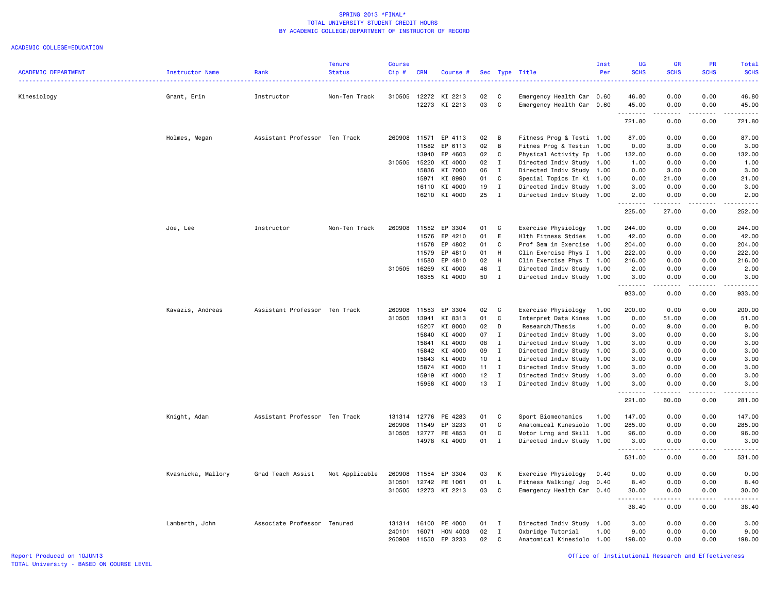|                            |                    |                               | <b>Tenure</b>  | <b>Course</b> |            |                      |              |                |                           | Inst | <b>UG</b>           | <b>GR</b>           | PR          | Total                                                                                                                                                          |
|----------------------------|--------------------|-------------------------------|----------------|---------------|------------|----------------------|--------------|----------------|---------------------------|------|---------------------|---------------------|-------------|----------------------------------------------------------------------------------------------------------------------------------------------------------------|
| <b>ACADEMIC DEPARTMENT</b> | Instructor Name    | Rank                          | <b>Status</b>  | Cip#          | <b>CRN</b> | Course #             |              |                | Sec Type Title            | Per  | <b>SCHS</b>         | <b>SCHS</b>         | <b>SCHS</b> | <b>SCHS</b><br>$\frac{1}{2} \left( \frac{1}{2} \right) \left( \frac{1}{2} \right) \left( \frac{1}{2} \right) \left( \frac{1}{2} \right)$                       |
| Kinesiology                | Grant, Erin        | Instructor                    | Non-Ten Track  | 310505        |            | 12272 KI 2213        | 02           | C              | Emergency Health Car 0.60 |      | 46.80               | 0.00                | 0.00        | 46.80                                                                                                                                                          |
|                            |                    |                               |                |               |            | 12273 KI 2213        | 03           | C              | Emergency Health Car 0.60 |      | 45.00<br>. <b>.</b> | 0.00<br>.           | 0.00<br>.   | 45.00<br><u>.</u>                                                                                                                                              |
|                            |                    |                               |                |               |            |                      |              |                |                           |      | 721.80              | 0.00                | 0.00        | 721.80                                                                                                                                                         |
|                            | Holmes, Megan      | Assistant Professor Ten Track |                | 260908        | 11571      | EP 4113              | 02           | B              | Fitness Prog & Testi 1.00 |      | 87.00               | 0.00                | 0.00        | 87.00                                                                                                                                                          |
|                            |                    |                               |                |               | 11582      | EP 6113              | 02           | B              | Fitnes Prog & Testin 1.00 |      | 0.00                | 3.00                | 0.00        | 3.00                                                                                                                                                           |
|                            |                    |                               |                |               | 13940      | EP 4603              | 02           | C              | Physical Activity Ep      | 1.00 | 132.00              | 0.00                | 0.00        | 132.00                                                                                                                                                         |
|                            |                    |                               |                | 310505        | 15220      | KI 4000              | 02           | $\mathbf{I}$   | Directed Indiv Study      | 1.00 | 1.00                | 0.00                | 0.00        | 1.00                                                                                                                                                           |
|                            |                    |                               |                |               | 15836      | KI 7000              | 06           | I              | Directed Indiv Study 1.00 |      | 0.00                | 3.00                | 0.00        | 3.00                                                                                                                                                           |
|                            |                    |                               |                |               | 15971      | KI 8990              | 01           | C              | Special Topics In Ki 1.00 |      | 0.00                | 21.00               | 0.00        | 21.00                                                                                                                                                          |
|                            |                    |                               |                |               | 16110      | KI 4000              | 19           | $\mathbf{I}$   | Directed Indiv Study 1.00 |      | 3.00                | 0.00                | 0.00        | 3.00                                                                                                                                                           |
|                            |                    |                               |                |               |            | 16210 KI 4000        | 25           | $\mathbf{I}$   | Directed Indiv Study 1.00 |      | 2.00                | 0.00                | 0.00        | 2.00                                                                                                                                                           |
|                            |                    |                               |                |               |            |                      |              |                |                           |      | 225.00              | 27.00               | 0.00        | 252.00                                                                                                                                                         |
|                            | Joe, Lee           | Instructor                    | Non-Ten Track  | 260908        | 11552      | EP 3304              | 01           | C              | Exercise Physiology       | 1.00 | 244.00              | 0.00                | 0.00        | 244.00                                                                                                                                                         |
|                            |                    |                               |                |               | 11576      | EP 4210              | 01           | E              | Hlth Fitness Stdies       | 1.00 | 42.00               | 0.00                | 0.00        | 42.00                                                                                                                                                          |
|                            |                    |                               |                |               | 11578      | EP 4802              | 01           | C              | Prof Sem in Exercise 1.00 |      | 204.00              | 0.00                | 0.00        | 204.00                                                                                                                                                         |
|                            |                    |                               |                |               | 11579      | EP 4810              | 01           | H              | Clin Exercise Phys I 1.00 |      | 222.00              | 0.00                | 0.00        | 222.00                                                                                                                                                         |
|                            |                    |                               |                |               | 11580      | EP 4810              | 02           | H              | Clin Exercise Phys I 1.00 |      | 216.00              | 0.00                | 0.00        | 216.00                                                                                                                                                         |
|                            |                    |                               |                | 310505        | 16269      | KI 4000              | 46           | Ι.             | Directed Indiv Study 1.00 |      | 2.00                | 0.00                | 0.00        | 2.00                                                                                                                                                           |
|                            |                    |                               |                |               |            | 16355 KI 4000        | 50           | $\mathbf{I}$   | Directed Indiv Study 1.00 |      | 3.00                | 0.00                | 0.00        | 3.00                                                                                                                                                           |
|                            |                    |                               |                |               |            |                      |              |                |                           |      | .<br>933.00         | .<br>0.00           | .<br>0.00   | $\frac{1}{2} \left( \frac{1}{2} \right) \left( \frac{1}{2} \right) \left( \frac{1}{2} \right) \left( \frac{1}{2} \right) \left( \frac{1}{2} \right)$<br>933.00 |
|                            | Kavazis, Andreas   | Assistant Professor Ten Track |                | 260908        | 11553      | EP 3304              | 02           | C              | Exercise Physiology       | 1.00 | 200.00              | 0.00                | 0.00        | 200.00                                                                                                                                                         |
|                            |                    |                               |                | 310505        | 13941      | KI 8313              | 01           | C              | Interpret Data Kines      | 1.00 | 0.00                | 51.00               | 0.00        | 51.00                                                                                                                                                          |
|                            |                    |                               |                |               | 15207      | KI 8000              | 02           | D              | Research/Thesis           | 1.00 | 0.00                | 9.00                | 0.00        | 9.00                                                                                                                                                           |
|                            |                    |                               |                |               | 15840      | KI 4000              | 07           | $\mathbf I$    | Directed Indiv Study 1.00 |      | 3.00                | 0.00                | 0.00        | 3.00                                                                                                                                                           |
|                            |                    |                               |                |               | 15841      | KI 4000              | 08           | $\mathbf{I}$   | Directed Indiv Study      | 1.00 | 3.00                | 0.00                | 0.00        | 3.00                                                                                                                                                           |
|                            |                    |                               |                |               | 15842      | KI 4000              | 09           | $\mathbf{I}$   | Directed Indiv Study      | 1.00 | 3.00                | 0.00                | 0.00        | 3.00                                                                                                                                                           |
|                            |                    |                               |                |               | 15843      | KI 4000              | 10           | $\blacksquare$ | Directed Indiv Study 1.00 |      | 3.00                | 0.00                | 0.00        | 3.00                                                                                                                                                           |
|                            |                    |                               |                |               |            | 15874 KI 4000        | $11 \quad I$ |                | Directed Indiv Study 1.00 |      | 3.00                | 0.00                | 0.00        | 3.00                                                                                                                                                           |
|                            |                    |                               |                |               | 15919      | KI 4000              | 12           | $\mathbf{I}$   | Directed Indiv Study 1.00 |      | 3.00                | 0.00                | 0.00        | 3.00                                                                                                                                                           |
|                            |                    |                               |                |               | 15958      | KI 4000              | 13           | $\mathbf{I}$   | Directed Indiv Study 1.00 |      | 3.00<br><u>.</u>    | 0.00<br>$- - - - -$ | 0.00<br>.   | 3.00<br>.                                                                                                                                                      |
|                            |                    |                               |                |               |            |                      |              |                |                           |      | 221.00              | 60.00               | 0.00        | 281.00                                                                                                                                                         |
|                            | Knight, Adam       | Assistant Professor Ten Track |                | 131314        | 12776      | PE 4283              | 01           | C              | Sport Biomechanics        | 1.00 | 147.00              | 0.00                | 0.00        | 147.00                                                                                                                                                         |
|                            |                    |                               |                | 260908        | 11549      | EP 3233              | 01           | C              | Anatomical Kinesiolo 1.00 |      | 285.00              | 0.00                | 0.00        | 285.00                                                                                                                                                         |
|                            |                    |                               |                | 310505        | 12777      | PE 4853              | 01           | C              | Motor Lrng and Skill 1.00 |      | 96.00               | 0.00                | 0.00        | 96.00                                                                                                                                                          |
|                            |                    |                               |                |               |            | 14978 KI 4000        | 01 I         |                | Directed Indiv Study 1.00 |      | 3.00<br>.           | 0.00<br>د د د د     | 0.00<br>.   | 3.00<br>.                                                                                                                                                      |
|                            |                    |                               |                |               |            |                      |              |                |                           |      | 531.00              | 0.00                | 0.00        | 531.00                                                                                                                                                         |
|                            | Kvasnicka, Mallory | Grad Teach Assist             | Not Applicable | 260908        | 11554      | EP 3304              | 03           | K              | Exercise Physiology       | 0.40 | 0.00                | 0.00                | 0.00        | 0.00                                                                                                                                                           |
|                            |                    |                               |                | 310501        | 12742      | PE 1061              | 01           | L              | Fitness Walking/ Jog      | 0.40 | 8.40                | 0.00                | 0.00        | 8.40                                                                                                                                                           |
|                            |                    |                               |                |               |            | 310505 12273 KI 2213 | 03           | C              | Emergency Health Car 0.40 |      | 30.00<br>.          | 0.00<br>.           | 0.00<br>.   | 30.00<br>.                                                                                                                                                     |
|                            |                    |                               |                |               |            |                      |              |                |                           |      | 38.40               | 0.00                | 0.00        | 38.40                                                                                                                                                          |
|                            | Lamberth, John     | Associate Professor Tenured   |                | 131314        | 16100      | PE 4000              | 01 I         |                | Directed Indiv Study      | 1.00 | 3.00                | 0.00                | 0.00        | 3.00                                                                                                                                                           |
|                            |                    |                               |                | 240101        | 16071      | HON 4003             | 02           | $\mathbf{I}$   | Oxbridge Tutorial         | 1.00 | 9.00                | 0.00                | 0.00        | 9.00                                                                                                                                                           |
|                            |                    |                               |                | 260908        | 11550      | EP 3233              | 02           | $\mathbf C$    | Anatomical Kinesiolo 1.00 |      | 198.00              | 0.00                | 0.00        | 198.00                                                                                                                                                         |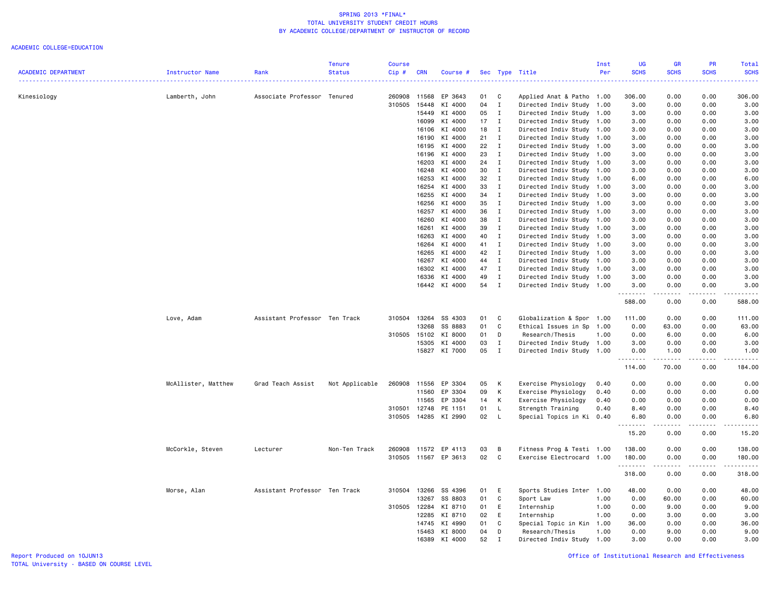|                     |                     |                               | <b>Tenure</b>  | Course |            |                      |    |              |                           | Inst | UG          | GR                                  | PR            | Total                                                                                                                                                                                     |
|---------------------|---------------------|-------------------------------|----------------|--------|------------|----------------------|----|--------------|---------------------------|------|-------------|-------------------------------------|---------------|-------------------------------------------------------------------------------------------------------------------------------------------------------------------------------------------|
| ACADEMIC DEPARTMENT | Instructor Name     | Rank                          | <b>Status</b>  | Cip#   | <b>CRN</b> | Course #             |    |              | Sec Type Title            | Per  | <b>SCHS</b> | <b>SCHS</b>                         | <b>SCHS</b>   | <b>SCHS</b>                                                                                                                                                                               |
| Kinesiology         | Lamberth, John      | Associate Professor Tenured   |                | 260908 | 11568      | EP 3643              | 01 | C            | Applied Anat & Patho      | 1.00 | 306.00      | 0.00                                | 0.00          | 306.00                                                                                                                                                                                    |
|                     |                     |                               |                | 310505 | 15448      | KI 4000              | 04 | $\mathbf I$  | Directed Indiv Study 1.00 |      | 3.00        | 0.00                                | 0.00          | 3.00                                                                                                                                                                                      |
|                     |                     |                               |                |        | 15449      | KI 4000              | 05 | $\mathbf I$  | Directed Indiv Study      | 1.00 | 3.00        | 0.00                                | 0.00          | 3.00                                                                                                                                                                                      |
|                     |                     |                               |                |        | 16099      | KI 4000              | 17 | $\mathbf{I}$ | Directed Indiv Study      | 1.00 | 3.00        | 0.00                                | 0.00          | 3.00                                                                                                                                                                                      |
|                     |                     |                               |                |        | 16106      | KI 4000              | 18 | $\mathbf{I}$ | Directed Indiv Study 1.00 |      | 3.00        | 0.00                                | 0.00          | 3.00                                                                                                                                                                                      |
|                     |                     |                               |                |        | 16190      | KI 4000              | 21 | $\mathbf{I}$ | Directed Indiv Study 1.00 |      | 3.00        | 0.00                                | 0.00          | 3.00                                                                                                                                                                                      |
|                     |                     |                               |                |        | 16195      | KI 4000              | 22 | $\mathbf{I}$ | Directed Indiv Study 1.00 |      | 3.00        | 0.00                                | 0.00          | 3.00                                                                                                                                                                                      |
|                     |                     |                               |                |        | 16196      | KI 4000              | 23 | $\mathbf{I}$ | Directed Indiv Study      | 1.00 | 3.00        | 0.00                                | 0.00          | 3.00                                                                                                                                                                                      |
|                     |                     |                               |                |        | 16203      | KI 4000              | 24 | $\mathbf{I}$ | Directed Indiv Study 1.00 |      | 3.00        | 0.00                                | 0.00          | 3.00                                                                                                                                                                                      |
|                     |                     |                               |                |        | 16248      | KI 4000              | 30 | $\mathbf I$  | Directed Indiv Study 1.00 |      | 3.00        | 0.00                                | 0.00          | 3.00                                                                                                                                                                                      |
|                     |                     |                               |                |        | 16253      | KI 4000              | 32 | $\mathbf{I}$ | Directed Indiv Study      | 1.00 | 6.00        | 0.00                                | 0.00          | 6.00                                                                                                                                                                                      |
|                     |                     |                               |                |        | 16254      | KI 4000              | 33 | $\mathbf{I}$ | Directed Indiv Study      | 1.00 | 3.00        | 0.00                                | 0.00          | 3.00                                                                                                                                                                                      |
|                     |                     |                               |                |        | 16255      | KI 4000              | 34 | $\mathbf{I}$ | Directed Indiv Study 1.00 |      | 3.00        | 0.00                                | 0.00          | 3.00                                                                                                                                                                                      |
|                     |                     |                               |                |        | 16256      | KI 4000              | 35 | $\mathbf{I}$ | Directed Indiv Study      | 1.00 | 3.00        | 0.00                                | 0.00          | 3.00                                                                                                                                                                                      |
|                     |                     |                               |                |        | 16257      | KI 4000              | 36 | $\mathbf{I}$ | Directed Indiv Study      | 1.00 | 3.00        | 0.00                                | 0.00          | 3.00                                                                                                                                                                                      |
|                     |                     |                               |                |        | 16260      | KI 4000              | 38 | I            | Directed Indiv Study      | 1.00 | 3.00        | 0.00                                | 0.00          | 3.00                                                                                                                                                                                      |
|                     |                     |                               |                |        | 16261      | KI 4000              | 39 | $\mathbf{I}$ | Directed Indiv Study 1.00 |      | 3.00        | 0.00                                | 0.00          | 3.00                                                                                                                                                                                      |
|                     |                     |                               |                |        | 16263      | KI 4000              | 40 | $\mathbf{I}$ | Directed Indiv Study      | 1.00 | 3.00        | 0.00                                | 0.00          | 3.00                                                                                                                                                                                      |
|                     |                     |                               |                |        | 16264      | KI 4000              | 41 | $\mathbf{I}$ | Directed Indiv Study      | 1.00 | 3.00        | 0.00                                | 0.00          | 3.00                                                                                                                                                                                      |
|                     |                     |                               |                |        | 16265      | KI 4000              | 42 | $\mathbf{I}$ | Directed Indiv Study      | 1.00 | 3.00        | 0.00                                | 0.00          | 3.00                                                                                                                                                                                      |
|                     |                     |                               |                |        | 16267      | KI 4000              | 44 | $\mathbf I$  | Directed Indiv Study 1.00 |      | 3.00        | 0.00                                | 0.00          | 3.00                                                                                                                                                                                      |
|                     |                     |                               |                |        | 16302      | KI 4000              | 47 | I            | Directed Indiv Study 1.00 |      | 3.00        | 0.00                                | 0.00          | 3.00                                                                                                                                                                                      |
|                     |                     |                               |                |        | 16336      | KI 4000              | 49 | $\mathbf{I}$ | Directed Indiv Study      | 1.00 | 3.00        | 0.00                                | 0.00          | 3.00                                                                                                                                                                                      |
|                     |                     |                               |                |        |            | 16442 KI 4000        | 54 | $\mathbf{I}$ | Directed Indiv Study 1.00 |      | 3.00        | 0.00<br>.                           | 0.00<br>.     | 3.00<br>.                                                                                                                                                                                 |
|                     |                     |                               |                |        |            |                      |    |              |                           |      | 588.00      | 0.00                                | 0.00          | 588.00                                                                                                                                                                                    |
|                     | Love, Adam          | Assistant Professor Ten Track |                | 310504 | 13264      | SS 4303              | 01 | C            | Globalization & Spor      | 1.00 | 111.00      | 0.00                                | 0.00          | 111.00                                                                                                                                                                                    |
|                     |                     |                               |                |        | 13268      | SS 8883              | 01 | C            | Ethical Issues in Sp      | 1.00 | 0.00        | 63.00                               | 0.00          | 63.00                                                                                                                                                                                     |
|                     |                     |                               |                | 310505 | 15102      | KI 8000              | 01 | D            | Research/Thesis           | 1.00 | 0.00        | 6.00                                | 0.00          | 6.00                                                                                                                                                                                      |
|                     |                     |                               |                |        | 15305      | KI 4000              | 03 | I            | Directed Indiv Study      | 1.00 | 3.00        | 0.00                                | 0.00          | 3.00                                                                                                                                                                                      |
|                     |                     |                               |                |        |            | 15827 KI 7000        | 05 | $\mathbf{I}$ | Directed Indiv Study 1.00 |      | 0.00<br>.   | 1.00<br>.                           | 0.00<br>.     | 1.00<br>$\frac{1}{2} \left( \frac{1}{2} \right) \left( \frac{1}{2} \right) \left( \frac{1}{2} \right) \left( \frac{1}{2} \right) \left( \frac{1}{2} \right) \left( \frac{1}{2} \right)$   |
|                     |                     |                               |                |        |            |                      |    |              |                           |      | 114.00      | 70.00                               | 0.00          | 184.00                                                                                                                                                                                    |
|                     | McAllister, Matthew | Grad Teach Assist             | Not Applicable | 260908 | 11556      | EP 3304              | 05 | К            | Exercise Physiology       | 0.40 | 0.00        | 0.00                                | 0.00          | 0.00                                                                                                                                                                                      |
|                     |                     |                               |                |        | 11560      | EP 3304              | 09 | К            | Exercise Physiology       | 0.40 | 0.00        | 0.00                                | 0.00          | 0.00                                                                                                                                                                                      |
|                     |                     |                               |                |        | 11565      | EP 3304              | 14 | К            | Exercise Physiology       | 0.40 | 0.00        | 0.00                                | 0.00          | 0.00                                                                                                                                                                                      |
|                     |                     |                               |                | 310501 | 12748      | PE 1151              | 01 | L.           | Strength Training         | 0.40 | 8.40        | 0.00                                | 0.00          | 8.40                                                                                                                                                                                      |
|                     |                     |                               |                |        |            | 310505 14285 KI 2990 | 02 | - L          | Special Topics in Ki 0.40 |      | 6.80<br>.   | 0.00<br>المتماما                    | 0.00<br>.     | 6.80<br>$- - - -$                                                                                                                                                                         |
|                     |                     |                               |                |        |            |                      |    |              |                           |      | 15.20       | 0.00                                | 0.00          | 15.20                                                                                                                                                                                     |
|                     | McCorkle, Steven    | Lecturer                      | Non-Ten Track  | 260908 | 11572      | EP 4113              | 03 | в            | Fitness Prog & Testi 1.00 |      | 138.00      | 0.00                                | 0.00          | 138.00                                                                                                                                                                                    |
|                     |                     |                               |                | 310505 |            | 11567 EP 3613        | 02 | C            | Exercise Electrocard      | 1.00 | 180.00<br>. | 0.00<br>$\sim$ $\sim$ $\sim$ $\sim$ | 0.00<br>----- | 180.00<br>$\frac{1}{2} \left( \frac{1}{2} \right) \left( \frac{1}{2} \right) \left( \frac{1}{2} \right) \left( \frac{1}{2} \right) \left( \frac{1}{2} \right) \left( \frac{1}{2} \right)$ |
|                     |                     |                               |                |        |            |                      |    |              |                           |      | 318.00      | 0.00                                | 0.00          | 318.00                                                                                                                                                                                    |
|                     | Morse, Alan         | Assistant Professor Ten Track |                | 310504 | 13266      | SS 4396              | 01 | E            | Sports Studies Inter      | 1.00 | 48.00       | 0.00                                | 0.00          | 48.00                                                                                                                                                                                     |
|                     |                     |                               |                |        | 13267      | SS 8803              | 01 | C            | Sport Law                 | 1.00 | 0.00        | 60.00                               | 0.00          | 60.00                                                                                                                                                                                     |
|                     |                     |                               |                | 310505 | 12284      | KI 8710              | 01 | E            | Internship                | 1.00 | 0.00        | 9.00                                | 0.00          | 9.00                                                                                                                                                                                      |
|                     |                     |                               |                |        | 12285      | KI 8710              | 02 | E            | Internship                | 1.00 | 0.00        | 3.00                                | 0.00          | 3.00                                                                                                                                                                                      |
|                     |                     |                               |                |        | 14745      | KI 4990              | 01 | C            | Special Topic in Kin      | 1.00 | 36.00       | 0.00                                | 0.00          | 36.00                                                                                                                                                                                     |
|                     |                     |                               |                |        | 15463      | KI 8000              | 04 | D            | Research/Thesis           | 1.00 | 0.00        | 9.00                                | 0.00          | 9.00                                                                                                                                                                                      |
|                     |                     |                               |                |        | 16389      | KI 4000              | 52 | $\mathsf{T}$ | Directed Indiv Study      | 1.00 | 3.00        | 0.00                                | 0.00          | 3.00                                                                                                                                                                                      |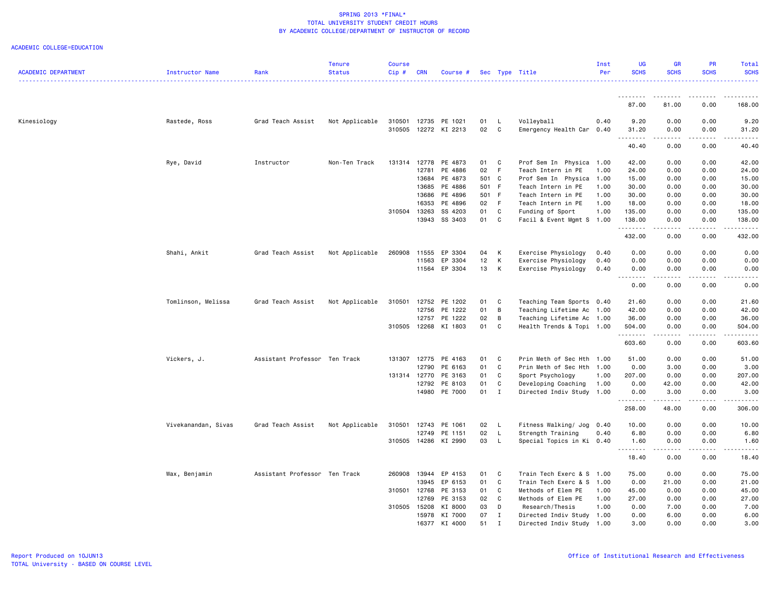| <b>ACADEMIC DEPARTMENT</b> | Instructor Name     | Rank                          | <b>Tenure</b><br><b>Status</b> | <b>Course</b><br>Cip# | <b>CRN</b>   | Course #             |       |                | Sec Type Title            | Inst<br>Per | <b>UG</b><br><b>SCHS</b> | GR<br><b>SCHS</b>                                                                                                                 | PR<br><b>SCHS</b> | Total<br><b>SCHS</b> |
|----------------------------|---------------------|-------------------------------|--------------------------------|-----------------------|--------------|----------------------|-------|----------------|---------------------------|-------------|--------------------------|-----------------------------------------------------------------------------------------------------------------------------------|-------------------|----------------------|
|                            |                     |                               |                                |                       |              |                      |       |                |                           |             |                          |                                                                                                                                   |                   |                      |
|                            |                     |                               |                                |                       |              |                      |       |                |                           |             | 87.00                    | 81.00                                                                                                                             | 0.00              | 168.00               |
| Kinesiology                | Rastede, Ross       | Grad Teach Assist             | Not Applicable                 | 310501                |              | 12735 PE 1021        | 01    | - L            | Volleyball                | 0.40        | 9.20                     | 0.00                                                                                                                              | 0.00              | 9.20                 |
|                            |                     |                               |                                | 310505                |              | 12272 KI 2213        | 02    | $\mathbf{C}$   | Emergency Health Car      | 0.40        | 31.20<br>.               | 0.00<br>د د د د                                                                                                                   | 0.00<br>-----     | 31.20                |
|                            |                     |                               |                                |                       |              |                      |       |                |                           |             | 40.40                    | 0.00                                                                                                                              | 0.00              | 40.40                |
|                            | Rye, David          | Instructor                    | Non-Ten Track                  | 131314                | 12778        | PE 4873              | 01 C  |                | Prof Sem In Physica 1.00  |             | 42.00                    | 0.00                                                                                                                              | 0.00              | 42.00                |
|                            |                     |                               |                                |                       | 12781        | PE 4886              | 02    | - F            | Teach Intern in PE        | 1.00        | 24.00                    | 0.00                                                                                                                              | 0.00              | 24.00                |
|                            |                     |                               |                                |                       | 13684        | PE 4873              | 501 C |                | Prof Sem In Physica       | 1.00        | 15.00                    | 0.00                                                                                                                              | 0.00              | 15.00                |
|                            |                     |                               |                                |                       | 13685        | PE 4886              | 501 F |                | Teach Intern in PE        | 1.00        | 30.00                    | 0.00                                                                                                                              | 0.00              | 30.00                |
|                            |                     |                               |                                |                       | 13686        | PE 4896              | 501 F |                | Teach Intern in PE        | 1.00        | 30.00                    | 0.00                                                                                                                              | 0.00              | 30.00                |
|                            |                     |                               |                                |                       | 16353        | PE 4896              | 02    | F              | Teach Intern in PE        | 1.00        | 18.00                    | 0.00                                                                                                                              | 0.00              | 18.00                |
|                            |                     |                               |                                | 310504                | 13263        | SS 4203              | 01    | C              | Funding of Sport          | 1.00        | 135.00                   | 0.00                                                                                                                              | 0.00              | 135.00               |
|                            |                     |                               |                                |                       | 13943        | SS 3403              | 01    | C              | Facil & Event Mgmt S 1.00 |             | 138.00<br>.              | 0.00<br>$\sim$ $\sim$ $\sim$                                                                                                      | 0.00              | 138.00               |
|                            |                     |                               |                                |                       |              |                      |       |                |                           |             | 432.00                   | 0.00                                                                                                                              | 0.00              | 432.00               |
|                            | Shahi, Ankit        | Grad Teach Assist             | Not Applicable                 | 260908                | 11555        | EP 3304              | 04    | К              | Exercise Physiology       | 0.40        | 0.00                     | 0.00                                                                                                                              | 0.00              | 0.00                 |
|                            |                     |                               |                                |                       | 11563        | EP 3304              | 12    | К              | Exercise Physiology       | 0.40        | 0.00                     | 0.00                                                                                                                              | 0.00              | 0.00                 |
|                            |                     |                               |                                |                       | 11564        | EP 3304              | 13    | к              | Exercise Physiology       | 0.40        | 0.00<br>.                | 0.00<br>$\omega_{\rm c}$ and $\omega_{\rm c}$                                                                                     | 0.00<br>.         | 0.00<br>.            |
|                            |                     |                               |                                |                       |              |                      |       |                |                           |             | 0.00                     | 0.00                                                                                                                              | 0.00              | 0.00                 |
|                            | Tomlinson, Melissa  | Grad Teach Assist             | Not Applicable                 | 310501                | 12752        | PE 1202              | 01    | C              | Teaching Team Sports 0.40 |             | 21.60                    | 0.00                                                                                                                              | 0.00              | 21.60                |
|                            |                     |                               |                                |                       | 12756        | PE 1222              | 01    | B              | Teaching Lifetime Ac 1.00 |             | 42.00                    | 0.00                                                                                                                              | 0.00              | 42.00                |
|                            |                     |                               |                                |                       | 12757        | PE 1222              | 02    | $\overline{B}$ | Teaching Lifetime Ac 1.00 |             | 36.00                    | 0.00                                                                                                                              | 0.00              | 36.00                |
|                            |                     |                               |                                | 310505                | 12268        | KI 1803              | 01    | C              | Health Trends & Topi 1.00 |             | 504.00<br>.              | 0.00<br>$\frac{1}{2} \left( \frac{1}{2} \right) \left( \frac{1}{2} \right) \left( \frac{1}{2} \right) \left( \frac{1}{2} \right)$ | 0.00<br>-----     | 504.00               |
|                            |                     |                               |                                |                       |              |                      |       |                |                           |             | 603.60                   | 0.00                                                                                                                              | 0.00              | 603.60               |
|                            | Vickers, J.         | Assistant Professor Ten Track |                                | 131307                | 12775        | PE 4163              | 01    | C              | Prin Meth of Sec Hth 1.00 |             | 51.00                    | 0.00                                                                                                                              | 0.00              | 51.00                |
|                            |                     |                               |                                |                       | 12790        | PE 6163              | 01    | C              | Prin Meth of Sec Hth 1.00 |             | 0.00                     | 3.00                                                                                                                              | 0.00              | 3.00                 |
|                            |                     |                               |                                |                       | 131314 12770 | PE 3163              | 01    | C              | Sport Psychology          | 1.00        | 207.00                   | 0.00                                                                                                                              | 0.00              | 207.00               |
|                            |                     |                               |                                |                       | 12792        | PE 8103              | 01    | C              | Developing Coaching       | 1.00        | 0.00                     | 42.00                                                                                                                             | 0.00              | 42.00                |
|                            |                     |                               |                                |                       |              | 14980 PE 7000        | 01 I  |                | Directed Indiv Study 1.00 |             | 0.00<br>.                | 3.00<br>-----                                                                                                                     | 0.00<br>-----     | 3.00                 |
|                            |                     |                               |                                |                       |              |                      |       |                |                           |             | 258.00                   | 48.00                                                                                                                             | 0.00              | 306.00               |
|                            | Vivekanandan, Sivas | Grad Teach Assist             | Not Applicable                 | 310501                | 12743        | PE 1061              | 02    | - L            | Fitness Walking/ Jog      | 0.40        | 10.00                    | 0.00                                                                                                                              | 0.00              | 10.00                |
|                            |                     |                               |                                |                       | 12749        | PE 1151              | 02    | L.             | Strength Training         | 0.40        | 6.80                     | 0.00                                                                                                                              | 0.00              | 6.80                 |
|                            |                     |                               |                                |                       |              | 310505 14286 KI 2990 | 03    | $\mathsf{L}$   | Special Topics in Ki 0.40 |             | 1.60<br><u>.</u>         | 0.00<br>.                                                                                                                         | 0.00<br>.         | 1.60                 |
|                            |                     |                               |                                |                       |              |                      |       |                |                           |             | 18.40                    | 0.00                                                                                                                              | 0.00              | 18.40                |
|                            | Wax, Benjamin       | Assistant Professor Ten Track |                                | 260908                | 13944        | EP 4153              | 01    | $\mathbf{C}$   | Train Tech Exerc & S 1.00 |             | 75.00                    | 0.00                                                                                                                              | 0.00              | 75.00                |
|                            |                     |                               |                                |                       | 13945        | EP 6153              | 01    | C              | Train Tech Exerc & S      | 1.00        | 0.00                     | 21.00                                                                                                                             | 0.00              | 21.00                |
|                            |                     |                               |                                | 310501                | 12768        | PE 3153              | 01    | C              | Methods of Elem PE        | 1.00        | 45.00                    | 0.00                                                                                                                              | 0.00              | 45.00                |
|                            |                     |                               |                                |                       | 12769        | PE 3153              | 02    | C              | Methods of Elem PE        | 1.00        | 27.00                    | 0.00                                                                                                                              | 0.00              | 27.00                |
|                            |                     |                               |                                | 310505                | 15208        | KI 8000              | 03    | D              | Research/Thesis           | 1.00        | 0.00                     | 7.00                                                                                                                              | 0.00              | 7.00                 |
|                            |                     |                               |                                |                       | 15978        | KI 7000              | 07    | $\mathbf{I}$   | Directed Indiv Study 1.00 |             | 0.00                     | 6.00                                                                                                                              | 0.00              | 6.00                 |
|                            |                     |                               |                                |                       | 16377        | KI 4000              | 51    | $\mathbf I$    | Directed Indiv Study 1.00 |             | 3.00                     | 0.00                                                                                                                              | 0.00              | 3.00                 |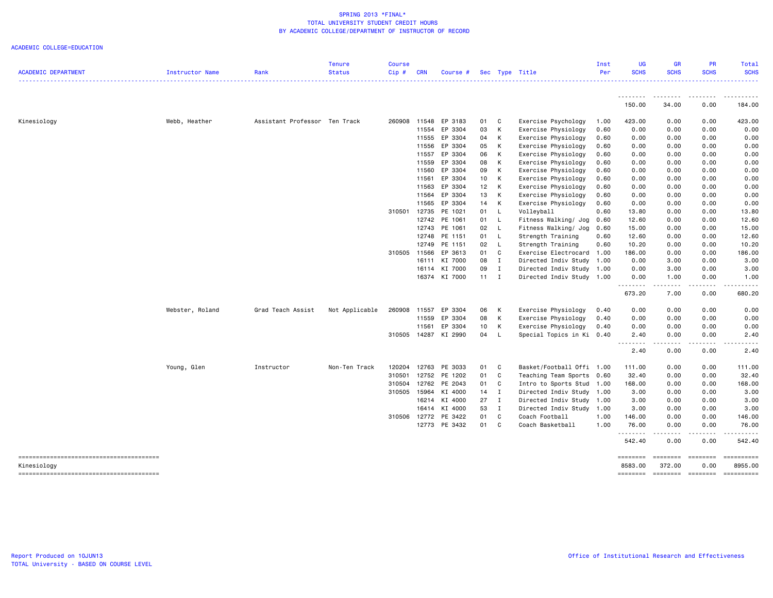| .<br>150.00<br>34.00<br>0.00<br>184.00<br>Kinesiology<br>Webb, Heather<br>Assistant Professor Ten Track<br>260908<br>11548<br>EP 3183<br>01<br>C<br>Exercise Psychology<br>1.00<br>423.00<br>0.00<br>0.00<br>423.00<br>EP 3304<br>К<br>11554<br>03<br>Exercise Physiology<br>0.60<br>0.00<br>0.00<br>0.00<br>0.00<br>EP 3304<br>0.00<br>11555<br>04<br>К<br>Exercise Physiology<br>0.60<br>0.00<br>0.00<br>0.00<br>11556<br>EP 3304<br>05<br>K<br>0.00<br>0.00<br>Exercise Physiology<br>0.60<br>0.00<br>0.00<br>EP 3304<br>06<br>Exercise Physiology<br>0.00<br>0.00<br>11557<br>К<br>0.60<br>0.00<br>0.00<br>EP 3304<br>08<br>0.00<br>11559<br>К<br>Exercise Physiology<br>0.60<br>0.00<br>0.00<br>0.00<br>EP 3304<br>09<br>Exercise Physiology<br>0.00<br>0.00<br>0.00<br>11560<br>К<br>0.60<br>0.00<br>EP 3304<br>Exercise Physiology<br>0.00<br>0.00<br>11561<br>10<br>К<br>0.60<br>0.00<br>0.00<br>EP 3304<br>12<br>0.00<br>11563<br>К<br>Exercise Physiology<br>0.60<br>0.00<br>0.00<br>0.00<br>EP 3304<br>11564<br>13<br>K<br>Exercise Physiology<br>0.00<br>0.00<br>0.00<br>0.00<br>0.60<br>EP 3304<br>11565<br>14<br>К<br>Exercise Physiology<br>0.00<br>0.00<br>0.00<br>0.00<br>0.60<br>310501 12735<br>PE 1021<br>01<br>Volleyball<br>13.80<br>0.00<br>0.00<br>13.80<br>L<br>0.60<br>12742<br>PE 1061<br>01<br>L<br>Fitness Walking/ Jog<br>0.00<br>0.00<br>12.60<br>0.60<br>12.60<br>PE 1061<br>12743<br>02<br>L<br>Fitness Walking/ Jog<br>0.00<br>0.00<br>15.00<br>0.60<br>15.00<br>12748<br>PE 1151<br>01<br>L<br>0.00<br>12.60<br>Strength Training<br>0.60<br>12.60<br>0.00<br>PE 1151<br>02<br>12749<br>L<br>Strength Training<br>0.60<br>10.20<br>0.00<br>0.00<br>10.20<br>310505<br>EP 3613<br>01<br>C<br>11566<br>Exercise Electrocard 1.00<br>186.00<br>0.00<br>0.00<br>186.00<br>KI 7000<br>08<br>16111<br>$\mathbf{I}$<br>Directed Indiv Study 1.00<br>0.00<br>3.00<br>0.00<br>3.00<br>KI 7000<br>09<br>0.00<br>16114<br>I<br>Directed Indiv Study 1.00<br>0.00<br>3.00<br>3.00<br>16374 KI 7000<br>$11 \quad I$<br>Directed Indiv Study 1.00<br>0.00<br>1.00<br>0.00<br>1.00<br>.<br>$\frac{1}{2} \left( \frac{1}{2} \right) \left( \frac{1}{2} \right) \left( \frac{1}{2} \right) \left( \frac{1}{2} \right) \left( \frac{1}{2} \right)$<br>.<br>673.20<br>7.00<br>0.00<br>680.20<br>Webster, Roland<br>260908<br>EP 3304<br>Exercise Physiology<br>0.00<br>0.00<br>0.00<br>Grad Teach Assist<br>Not Applicable<br>11557<br>06<br>К<br>0.40<br>0.00<br>EP 3304<br>08<br>К<br>Exercise Physiology<br>0.00<br>0.00<br>0.00<br>0.00<br>11559<br>0.40<br>EP 3304<br>10<br>К<br>Exercise Physiology<br>11561<br>0.40<br>0.00<br>0.00<br>0.00<br>0.00<br>310505<br>14287 KI 2990<br>04<br>0.00<br>0.00<br>L<br>Special Topics in Ki 0.40<br>2.40<br>2.40<br>$\sim$ $\sim$ $\sim$<br>$- - - -$<br>$- - - -$<br>$- - - -$<br>2.40<br>0.00<br>0.00<br>2.40<br>Basket/Football Offi 1.00<br>Young, Glen<br>Instructor<br>Non-Ten Track<br>120204<br>12763<br>PE 3033<br>01<br>C<br>111.00<br>0.00<br>0.00<br>111.00<br>PE 1202<br>C<br>0.00<br>310501<br>12752<br>01<br>Teaching Team Sports<br>0.60<br>32.40<br>0.00<br>32.40<br>12762<br>PE 2043<br>310504<br>01<br>C<br>Intro to Sports Stud<br>168.00<br>0.00<br>0.00<br>168.00<br>1.00<br>310505<br>15964<br>KI 4000<br>Directed Indiv Study 1.00<br>0.00<br>14<br>I<br>3.00<br>0.00<br>3.00<br>KI 4000<br>27<br>0.00<br>0.00<br>16214<br>$\mathbf{I}$<br>Directed Indiv Study<br>1.00<br>3.00<br>3.00<br>KI 4000<br>53<br>16414<br>I<br>Directed Indiv Study 1.00<br>3.00<br>0.00<br>0.00<br>3.00<br>310506<br>PE 3422<br>01<br>C<br>Coach Football<br>146.00<br>0.00<br>0.00<br>146.00<br>12772<br>1.00<br>12773 PE 3432<br>01<br>C<br>76.00<br>Coach Basketball<br>1.00<br>0.00<br>0.00<br>76.00<br>.<br>.<br>.<br>542.40<br>0.00<br>0.00<br>542.40<br>==========<br>========<br><b>ESSESSES</b><br>$\begin{array}{ccc}\n 255555556 \\ 265555566\n \end{array}$<br>Kinesiology<br>8583.00<br>372.00<br>0.00<br>8955,00<br>========<br>========<br>$=$ ========<br>========== | <b>ACADEMIC DEPARTMENT</b> | Instructor Name | Rank | <b>Tenure</b><br><b>Status</b> | <b>Course</b><br>Cip# | <b>CRN</b> | Course # |  | Sec Type Title | Inst<br>Per | <b>UG</b><br><b>SCHS</b> | <b>GR</b><br><b>SCHS</b> | <b>PR</b><br><b>SCHS</b> | <b>Total</b><br><b>SCHS</b> |
|-------------------------------------------------------------------------------------------------------------------------------------------------------------------------------------------------------------------------------------------------------------------------------------------------------------------------------------------------------------------------------------------------------------------------------------------------------------------------------------------------------------------------------------------------------------------------------------------------------------------------------------------------------------------------------------------------------------------------------------------------------------------------------------------------------------------------------------------------------------------------------------------------------------------------------------------------------------------------------------------------------------------------------------------------------------------------------------------------------------------------------------------------------------------------------------------------------------------------------------------------------------------------------------------------------------------------------------------------------------------------------------------------------------------------------------------------------------------------------------------------------------------------------------------------------------------------------------------------------------------------------------------------------------------------------------------------------------------------------------------------------------------------------------------------------------------------------------------------------------------------------------------------------------------------------------------------------------------------------------------------------------------------------------------------------------------------------------------------------------------------------------------------------------------------------------------------------------------------------------------------------------------------------------------------------------------------------------------------------------------------------------------------------------------------------------------------------------------------------------------------------------------------------------------------------------------------------------------------------------------------------------------------------------------------------------------------------------------------------------------------------------------------------------------------------------------------------------------------------------------------------------------------------------------------------------------------------------------------------------------------------------------------------------------------------------------------------------------------------------------------------------------------------------------------------------------------------------------------------------------------------------------------------------------------------------------------------------------------------------------------------------------------------------------------------------------------------------------------------------------------------------------------------------------------------------------------------------------------------------------------------------------------------------------------------------------------------------------------------------------------------------------------------------------------------------------------------------------------------------------------------------------------------------------------------------------------------------------------------------------------------------------------------------------------------|----------------------------|-----------------|------|--------------------------------|-----------------------|------------|----------|--|----------------|-------------|--------------------------|--------------------------|--------------------------|-----------------------------|
|                                                                                                                                                                                                                                                                                                                                                                                                                                                                                                                                                                                                                                                                                                                                                                                                                                                                                                                                                                                                                                                                                                                                                                                                                                                                                                                                                                                                                                                                                                                                                                                                                                                                                                                                                                                                                                                                                                                                                                                                                                                                                                                                                                                                                                                                                                                                                                                                                                                                                                                                                                                                                                                                                                                                                                                                                                                                                                                                                                                                                                                                                                                                                                                                                                                                                                                                                                                                                                                                                                                                                                                                                                                                                                                                                                                                                                                                                                                                                                                                                                                       |                            |                 |      |                                |                       |            |          |  |                |             |                          |                          |                          |                             |
|                                                                                                                                                                                                                                                                                                                                                                                                                                                                                                                                                                                                                                                                                                                                                                                                                                                                                                                                                                                                                                                                                                                                                                                                                                                                                                                                                                                                                                                                                                                                                                                                                                                                                                                                                                                                                                                                                                                                                                                                                                                                                                                                                                                                                                                                                                                                                                                                                                                                                                                                                                                                                                                                                                                                                                                                                                                                                                                                                                                                                                                                                                                                                                                                                                                                                                                                                                                                                                                                                                                                                                                                                                                                                                                                                                                                                                                                                                                                                                                                                                                       |                            |                 |      |                                |                       |            |          |  |                |             |                          |                          |                          |                             |
|                                                                                                                                                                                                                                                                                                                                                                                                                                                                                                                                                                                                                                                                                                                                                                                                                                                                                                                                                                                                                                                                                                                                                                                                                                                                                                                                                                                                                                                                                                                                                                                                                                                                                                                                                                                                                                                                                                                                                                                                                                                                                                                                                                                                                                                                                                                                                                                                                                                                                                                                                                                                                                                                                                                                                                                                                                                                                                                                                                                                                                                                                                                                                                                                                                                                                                                                                                                                                                                                                                                                                                                                                                                                                                                                                                                                                                                                                                                                                                                                                                                       |                            |                 |      |                                |                       |            |          |  |                |             |                          |                          |                          |                             |
|                                                                                                                                                                                                                                                                                                                                                                                                                                                                                                                                                                                                                                                                                                                                                                                                                                                                                                                                                                                                                                                                                                                                                                                                                                                                                                                                                                                                                                                                                                                                                                                                                                                                                                                                                                                                                                                                                                                                                                                                                                                                                                                                                                                                                                                                                                                                                                                                                                                                                                                                                                                                                                                                                                                                                                                                                                                                                                                                                                                                                                                                                                                                                                                                                                                                                                                                                                                                                                                                                                                                                                                                                                                                                                                                                                                                                                                                                                                                                                                                                                                       |                            |                 |      |                                |                       |            |          |  |                |             |                          |                          |                          |                             |
|                                                                                                                                                                                                                                                                                                                                                                                                                                                                                                                                                                                                                                                                                                                                                                                                                                                                                                                                                                                                                                                                                                                                                                                                                                                                                                                                                                                                                                                                                                                                                                                                                                                                                                                                                                                                                                                                                                                                                                                                                                                                                                                                                                                                                                                                                                                                                                                                                                                                                                                                                                                                                                                                                                                                                                                                                                                                                                                                                                                                                                                                                                                                                                                                                                                                                                                                                                                                                                                                                                                                                                                                                                                                                                                                                                                                                                                                                                                                                                                                                                                       |                            |                 |      |                                |                       |            |          |  |                |             |                          |                          |                          |                             |
|                                                                                                                                                                                                                                                                                                                                                                                                                                                                                                                                                                                                                                                                                                                                                                                                                                                                                                                                                                                                                                                                                                                                                                                                                                                                                                                                                                                                                                                                                                                                                                                                                                                                                                                                                                                                                                                                                                                                                                                                                                                                                                                                                                                                                                                                                                                                                                                                                                                                                                                                                                                                                                                                                                                                                                                                                                                                                                                                                                                                                                                                                                                                                                                                                                                                                                                                                                                                                                                                                                                                                                                                                                                                                                                                                                                                                                                                                                                                                                                                                                                       |                            |                 |      |                                |                       |            |          |  |                |             |                          |                          |                          |                             |
|                                                                                                                                                                                                                                                                                                                                                                                                                                                                                                                                                                                                                                                                                                                                                                                                                                                                                                                                                                                                                                                                                                                                                                                                                                                                                                                                                                                                                                                                                                                                                                                                                                                                                                                                                                                                                                                                                                                                                                                                                                                                                                                                                                                                                                                                                                                                                                                                                                                                                                                                                                                                                                                                                                                                                                                                                                                                                                                                                                                                                                                                                                                                                                                                                                                                                                                                                                                                                                                                                                                                                                                                                                                                                                                                                                                                                                                                                                                                                                                                                                                       |                            |                 |      |                                |                       |            |          |  |                |             |                          |                          |                          |                             |
|                                                                                                                                                                                                                                                                                                                                                                                                                                                                                                                                                                                                                                                                                                                                                                                                                                                                                                                                                                                                                                                                                                                                                                                                                                                                                                                                                                                                                                                                                                                                                                                                                                                                                                                                                                                                                                                                                                                                                                                                                                                                                                                                                                                                                                                                                                                                                                                                                                                                                                                                                                                                                                                                                                                                                                                                                                                                                                                                                                                                                                                                                                                                                                                                                                                                                                                                                                                                                                                                                                                                                                                                                                                                                                                                                                                                                                                                                                                                                                                                                                                       |                            |                 |      |                                |                       |            |          |  |                |             |                          |                          |                          |                             |
|                                                                                                                                                                                                                                                                                                                                                                                                                                                                                                                                                                                                                                                                                                                                                                                                                                                                                                                                                                                                                                                                                                                                                                                                                                                                                                                                                                                                                                                                                                                                                                                                                                                                                                                                                                                                                                                                                                                                                                                                                                                                                                                                                                                                                                                                                                                                                                                                                                                                                                                                                                                                                                                                                                                                                                                                                                                                                                                                                                                                                                                                                                                                                                                                                                                                                                                                                                                                                                                                                                                                                                                                                                                                                                                                                                                                                                                                                                                                                                                                                                                       |                            |                 |      |                                |                       |            |          |  |                |             |                          |                          |                          |                             |
|                                                                                                                                                                                                                                                                                                                                                                                                                                                                                                                                                                                                                                                                                                                                                                                                                                                                                                                                                                                                                                                                                                                                                                                                                                                                                                                                                                                                                                                                                                                                                                                                                                                                                                                                                                                                                                                                                                                                                                                                                                                                                                                                                                                                                                                                                                                                                                                                                                                                                                                                                                                                                                                                                                                                                                                                                                                                                                                                                                                                                                                                                                                                                                                                                                                                                                                                                                                                                                                                                                                                                                                                                                                                                                                                                                                                                                                                                                                                                                                                                                                       |                            |                 |      |                                |                       |            |          |  |                |             |                          |                          |                          |                             |
|                                                                                                                                                                                                                                                                                                                                                                                                                                                                                                                                                                                                                                                                                                                                                                                                                                                                                                                                                                                                                                                                                                                                                                                                                                                                                                                                                                                                                                                                                                                                                                                                                                                                                                                                                                                                                                                                                                                                                                                                                                                                                                                                                                                                                                                                                                                                                                                                                                                                                                                                                                                                                                                                                                                                                                                                                                                                                                                                                                                                                                                                                                                                                                                                                                                                                                                                                                                                                                                                                                                                                                                                                                                                                                                                                                                                                                                                                                                                                                                                                                                       |                            |                 |      |                                |                       |            |          |  |                |             |                          |                          |                          |                             |
|                                                                                                                                                                                                                                                                                                                                                                                                                                                                                                                                                                                                                                                                                                                                                                                                                                                                                                                                                                                                                                                                                                                                                                                                                                                                                                                                                                                                                                                                                                                                                                                                                                                                                                                                                                                                                                                                                                                                                                                                                                                                                                                                                                                                                                                                                                                                                                                                                                                                                                                                                                                                                                                                                                                                                                                                                                                                                                                                                                                                                                                                                                                                                                                                                                                                                                                                                                                                                                                                                                                                                                                                                                                                                                                                                                                                                                                                                                                                                                                                                                                       |                            |                 |      |                                |                       |            |          |  |                |             |                          |                          |                          |                             |
|                                                                                                                                                                                                                                                                                                                                                                                                                                                                                                                                                                                                                                                                                                                                                                                                                                                                                                                                                                                                                                                                                                                                                                                                                                                                                                                                                                                                                                                                                                                                                                                                                                                                                                                                                                                                                                                                                                                                                                                                                                                                                                                                                                                                                                                                                                                                                                                                                                                                                                                                                                                                                                                                                                                                                                                                                                                                                                                                                                                                                                                                                                                                                                                                                                                                                                                                                                                                                                                                                                                                                                                                                                                                                                                                                                                                                                                                                                                                                                                                                                                       |                            |                 |      |                                |                       |            |          |  |                |             |                          |                          |                          |                             |
|                                                                                                                                                                                                                                                                                                                                                                                                                                                                                                                                                                                                                                                                                                                                                                                                                                                                                                                                                                                                                                                                                                                                                                                                                                                                                                                                                                                                                                                                                                                                                                                                                                                                                                                                                                                                                                                                                                                                                                                                                                                                                                                                                                                                                                                                                                                                                                                                                                                                                                                                                                                                                                                                                                                                                                                                                                                                                                                                                                                                                                                                                                                                                                                                                                                                                                                                                                                                                                                                                                                                                                                                                                                                                                                                                                                                                                                                                                                                                                                                                                                       |                            |                 |      |                                |                       |            |          |  |                |             |                          |                          |                          |                             |
|                                                                                                                                                                                                                                                                                                                                                                                                                                                                                                                                                                                                                                                                                                                                                                                                                                                                                                                                                                                                                                                                                                                                                                                                                                                                                                                                                                                                                                                                                                                                                                                                                                                                                                                                                                                                                                                                                                                                                                                                                                                                                                                                                                                                                                                                                                                                                                                                                                                                                                                                                                                                                                                                                                                                                                                                                                                                                                                                                                                                                                                                                                                                                                                                                                                                                                                                                                                                                                                                                                                                                                                                                                                                                                                                                                                                                                                                                                                                                                                                                                                       |                            |                 |      |                                |                       |            |          |  |                |             |                          |                          |                          |                             |
|                                                                                                                                                                                                                                                                                                                                                                                                                                                                                                                                                                                                                                                                                                                                                                                                                                                                                                                                                                                                                                                                                                                                                                                                                                                                                                                                                                                                                                                                                                                                                                                                                                                                                                                                                                                                                                                                                                                                                                                                                                                                                                                                                                                                                                                                                                                                                                                                                                                                                                                                                                                                                                                                                                                                                                                                                                                                                                                                                                                                                                                                                                                                                                                                                                                                                                                                                                                                                                                                                                                                                                                                                                                                                                                                                                                                                                                                                                                                                                                                                                                       |                            |                 |      |                                |                       |            |          |  |                |             |                          |                          |                          |                             |
|                                                                                                                                                                                                                                                                                                                                                                                                                                                                                                                                                                                                                                                                                                                                                                                                                                                                                                                                                                                                                                                                                                                                                                                                                                                                                                                                                                                                                                                                                                                                                                                                                                                                                                                                                                                                                                                                                                                                                                                                                                                                                                                                                                                                                                                                                                                                                                                                                                                                                                                                                                                                                                                                                                                                                                                                                                                                                                                                                                                                                                                                                                                                                                                                                                                                                                                                                                                                                                                                                                                                                                                                                                                                                                                                                                                                                                                                                                                                                                                                                                                       |                            |                 |      |                                |                       |            |          |  |                |             |                          |                          |                          |                             |
|                                                                                                                                                                                                                                                                                                                                                                                                                                                                                                                                                                                                                                                                                                                                                                                                                                                                                                                                                                                                                                                                                                                                                                                                                                                                                                                                                                                                                                                                                                                                                                                                                                                                                                                                                                                                                                                                                                                                                                                                                                                                                                                                                                                                                                                                                                                                                                                                                                                                                                                                                                                                                                                                                                                                                                                                                                                                                                                                                                                                                                                                                                                                                                                                                                                                                                                                                                                                                                                                                                                                                                                                                                                                                                                                                                                                                                                                                                                                                                                                                                                       |                            |                 |      |                                |                       |            |          |  |                |             |                          |                          |                          |                             |
|                                                                                                                                                                                                                                                                                                                                                                                                                                                                                                                                                                                                                                                                                                                                                                                                                                                                                                                                                                                                                                                                                                                                                                                                                                                                                                                                                                                                                                                                                                                                                                                                                                                                                                                                                                                                                                                                                                                                                                                                                                                                                                                                                                                                                                                                                                                                                                                                                                                                                                                                                                                                                                                                                                                                                                                                                                                                                                                                                                                                                                                                                                                                                                                                                                                                                                                                                                                                                                                                                                                                                                                                                                                                                                                                                                                                                                                                                                                                                                                                                                                       |                            |                 |      |                                |                       |            |          |  |                |             |                          |                          |                          |                             |
|                                                                                                                                                                                                                                                                                                                                                                                                                                                                                                                                                                                                                                                                                                                                                                                                                                                                                                                                                                                                                                                                                                                                                                                                                                                                                                                                                                                                                                                                                                                                                                                                                                                                                                                                                                                                                                                                                                                                                                                                                                                                                                                                                                                                                                                                                                                                                                                                                                                                                                                                                                                                                                                                                                                                                                                                                                                                                                                                                                                                                                                                                                                                                                                                                                                                                                                                                                                                                                                                                                                                                                                                                                                                                                                                                                                                                                                                                                                                                                                                                                                       |                            |                 |      |                                |                       |            |          |  |                |             |                          |                          |                          |                             |
|                                                                                                                                                                                                                                                                                                                                                                                                                                                                                                                                                                                                                                                                                                                                                                                                                                                                                                                                                                                                                                                                                                                                                                                                                                                                                                                                                                                                                                                                                                                                                                                                                                                                                                                                                                                                                                                                                                                                                                                                                                                                                                                                                                                                                                                                                                                                                                                                                                                                                                                                                                                                                                                                                                                                                                                                                                                                                                                                                                                                                                                                                                                                                                                                                                                                                                                                                                                                                                                                                                                                                                                                                                                                                                                                                                                                                                                                                                                                                                                                                                                       |                            |                 |      |                                |                       |            |          |  |                |             |                          |                          |                          |                             |
|                                                                                                                                                                                                                                                                                                                                                                                                                                                                                                                                                                                                                                                                                                                                                                                                                                                                                                                                                                                                                                                                                                                                                                                                                                                                                                                                                                                                                                                                                                                                                                                                                                                                                                                                                                                                                                                                                                                                                                                                                                                                                                                                                                                                                                                                                                                                                                                                                                                                                                                                                                                                                                                                                                                                                                                                                                                                                                                                                                                                                                                                                                                                                                                                                                                                                                                                                                                                                                                                                                                                                                                                                                                                                                                                                                                                                                                                                                                                                                                                                                                       |                            |                 |      |                                |                       |            |          |  |                |             |                          |                          |                          |                             |
|                                                                                                                                                                                                                                                                                                                                                                                                                                                                                                                                                                                                                                                                                                                                                                                                                                                                                                                                                                                                                                                                                                                                                                                                                                                                                                                                                                                                                                                                                                                                                                                                                                                                                                                                                                                                                                                                                                                                                                                                                                                                                                                                                                                                                                                                                                                                                                                                                                                                                                                                                                                                                                                                                                                                                                                                                                                                                                                                                                                                                                                                                                                                                                                                                                                                                                                                                                                                                                                                                                                                                                                                                                                                                                                                                                                                                                                                                                                                                                                                                                                       |                            |                 |      |                                |                       |            |          |  |                |             |                          |                          |                          |                             |
|                                                                                                                                                                                                                                                                                                                                                                                                                                                                                                                                                                                                                                                                                                                                                                                                                                                                                                                                                                                                                                                                                                                                                                                                                                                                                                                                                                                                                                                                                                                                                                                                                                                                                                                                                                                                                                                                                                                                                                                                                                                                                                                                                                                                                                                                                                                                                                                                                                                                                                                                                                                                                                                                                                                                                                                                                                                                                                                                                                                                                                                                                                                                                                                                                                                                                                                                                                                                                                                                                                                                                                                                                                                                                                                                                                                                                                                                                                                                                                                                                                                       |                            |                 |      |                                |                       |            |          |  |                |             |                          |                          |                          |                             |
|                                                                                                                                                                                                                                                                                                                                                                                                                                                                                                                                                                                                                                                                                                                                                                                                                                                                                                                                                                                                                                                                                                                                                                                                                                                                                                                                                                                                                                                                                                                                                                                                                                                                                                                                                                                                                                                                                                                                                                                                                                                                                                                                                                                                                                                                                                                                                                                                                                                                                                                                                                                                                                                                                                                                                                                                                                                                                                                                                                                                                                                                                                                                                                                                                                                                                                                                                                                                                                                                                                                                                                                                                                                                                                                                                                                                                                                                                                                                                                                                                                                       |                            |                 |      |                                |                       |            |          |  |                |             |                          |                          |                          |                             |
|                                                                                                                                                                                                                                                                                                                                                                                                                                                                                                                                                                                                                                                                                                                                                                                                                                                                                                                                                                                                                                                                                                                                                                                                                                                                                                                                                                                                                                                                                                                                                                                                                                                                                                                                                                                                                                                                                                                                                                                                                                                                                                                                                                                                                                                                                                                                                                                                                                                                                                                                                                                                                                                                                                                                                                                                                                                                                                                                                                                                                                                                                                                                                                                                                                                                                                                                                                                                                                                                                                                                                                                                                                                                                                                                                                                                                                                                                                                                                                                                                                                       |                            |                 |      |                                |                       |            |          |  |                |             |                          |                          |                          |                             |
|                                                                                                                                                                                                                                                                                                                                                                                                                                                                                                                                                                                                                                                                                                                                                                                                                                                                                                                                                                                                                                                                                                                                                                                                                                                                                                                                                                                                                                                                                                                                                                                                                                                                                                                                                                                                                                                                                                                                                                                                                                                                                                                                                                                                                                                                                                                                                                                                                                                                                                                                                                                                                                                                                                                                                                                                                                                                                                                                                                                                                                                                                                                                                                                                                                                                                                                                                                                                                                                                                                                                                                                                                                                                                                                                                                                                                                                                                                                                                                                                                                                       |                            |                 |      |                                |                       |            |          |  |                |             |                          |                          |                          |                             |
|                                                                                                                                                                                                                                                                                                                                                                                                                                                                                                                                                                                                                                                                                                                                                                                                                                                                                                                                                                                                                                                                                                                                                                                                                                                                                                                                                                                                                                                                                                                                                                                                                                                                                                                                                                                                                                                                                                                                                                                                                                                                                                                                                                                                                                                                                                                                                                                                                                                                                                                                                                                                                                                                                                                                                                                                                                                                                                                                                                                                                                                                                                                                                                                                                                                                                                                                                                                                                                                                                                                                                                                                                                                                                                                                                                                                                                                                                                                                                                                                                                                       |                            |                 |      |                                |                       |            |          |  |                |             |                          |                          |                          |                             |
|                                                                                                                                                                                                                                                                                                                                                                                                                                                                                                                                                                                                                                                                                                                                                                                                                                                                                                                                                                                                                                                                                                                                                                                                                                                                                                                                                                                                                                                                                                                                                                                                                                                                                                                                                                                                                                                                                                                                                                                                                                                                                                                                                                                                                                                                                                                                                                                                                                                                                                                                                                                                                                                                                                                                                                                                                                                                                                                                                                                                                                                                                                                                                                                                                                                                                                                                                                                                                                                                                                                                                                                                                                                                                                                                                                                                                                                                                                                                                                                                                                                       |                            |                 |      |                                |                       |            |          |  |                |             |                          |                          |                          |                             |
|                                                                                                                                                                                                                                                                                                                                                                                                                                                                                                                                                                                                                                                                                                                                                                                                                                                                                                                                                                                                                                                                                                                                                                                                                                                                                                                                                                                                                                                                                                                                                                                                                                                                                                                                                                                                                                                                                                                                                                                                                                                                                                                                                                                                                                                                                                                                                                                                                                                                                                                                                                                                                                                                                                                                                                                                                                                                                                                                                                                                                                                                                                                                                                                                                                                                                                                                                                                                                                                                                                                                                                                                                                                                                                                                                                                                                                                                                                                                                                                                                                                       |                            |                 |      |                                |                       |            |          |  |                |             |                          |                          |                          |                             |
|                                                                                                                                                                                                                                                                                                                                                                                                                                                                                                                                                                                                                                                                                                                                                                                                                                                                                                                                                                                                                                                                                                                                                                                                                                                                                                                                                                                                                                                                                                                                                                                                                                                                                                                                                                                                                                                                                                                                                                                                                                                                                                                                                                                                                                                                                                                                                                                                                                                                                                                                                                                                                                                                                                                                                                                                                                                                                                                                                                                                                                                                                                                                                                                                                                                                                                                                                                                                                                                                                                                                                                                                                                                                                                                                                                                                                                                                                                                                                                                                                                                       |                            |                 |      |                                |                       |            |          |  |                |             |                          |                          |                          |                             |
|                                                                                                                                                                                                                                                                                                                                                                                                                                                                                                                                                                                                                                                                                                                                                                                                                                                                                                                                                                                                                                                                                                                                                                                                                                                                                                                                                                                                                                                                                                                                                                                                                                                                                                                                                                                                                                                                                                                                                                                                                                                                                                                                                                                                                                                                                                                                                                                                                                                                                                                                                                                                                                                                                                                                                                                                                                                                                                                                                                                                                                                                                                                                                                                                                                                                                                                                                                                                                                                                                                                                                                                                                                                                                                                                                                                                                                                                                                                                                                                                                                                       |                            |                 |      |                                |                       |            |          |  |                |             |                          |                          |                          |                             |
|                                                                                                                                                                                                                                                                                                                                                                                                                                                                                                                                                                                                                                                                                                                                                                                                                                                                                                                                                                                                                                                                                                                                                                                                                                                                                                                                                                                                                                                                                                                                                                                                                                                                                                                                                                                                                                                                                                                                                                                                                                                                                                                                                                                                                                                                                                                                                                                                                                                                                                                                                                                                                                                                                                                                                                                                                                                                                                                                                                                                                                                                                                                                                                                                                                                                                                                                                                                                                                                                                                                                                                                                                                                                                                                                                                                                                                                                                                                                                                                                                                                       |                            |                 |      |                                |                       |            |          |  |                |             |                          |                          |                          |                             |
|                                                                                                                                                                                                                                                                                                                                                                                                                                                                                                                                                                                                                                                                                                                                                                                                                                                                                                                                                                                                                                                                                                                                                                                                                                                                                                                                                                                                                                                                                                                                                                                                                                                                                                                                                                                                                                                                                                                                                                                                                                                                                                                                                                                                                                                                                                                                                                                                                                                                                                                                                                                                                                                                                                                                                                                                                                                                                                                                                                                                                                                                                                                                                                                                                                                                                                                                                                                                                                                                                                                                                                                                                                                                                                                                                                                                                                                                                                                                                                                                                                                       |                            |                 |      |                                |                       |            |          |  |                |             |                          |                          |                          |                             |
|                                                                                                                                                                                                                                                                                                                                                                                                                                                                                                                                                                                                                                                                                                                                                                                                                                                                                                                                                                                                                                                                                                                                                                                                                                                                                                                                                                                                                                                                                                                                                                                                                                                                                                                                                                                                                                                                                                                                                                                                                                                                                                                                                                                                                                                                                                                                                                                                                                                                                                                                                                                                                                                                                                                                                                                                                                                                                                                                                                                                                                                                                                                                                                                                                                                                                                                                                                                                                                                                                                                                                                                                                                                                                                                                                                                                                                                                                                                                                                                                                                                       |                            |                 |      |                                |                       |            |          |  |                |             |                          |                          |                          |                             |
|                                                                                                                                                                                                                                                                                                                                                                                                                                                                                                                                                                                                                                                                                                                                                                                                                                                                                                                                                                                                                                                                                                                                                                                                                                                                                                                                                                                                                                                                                                                                                                                                                                                                                                                                                                                                                                                                                                                                                                                                                                                                                                                                                                                                                                                                                                                                                                                                                                                                                                                                                                                                                                                                                                                                                                                                                                                                                                                                                                                                                                                                                                                                                                                                                                                                                                                                                                                                                                                                                                                                                                                                                                                                                                                                                                                                                                                                                                                                                                                                                                                       |                            |                 |      |                                |                       |            |          |  |                |             |                          |                          |                          |                             |
|                                                                                                                                                                                                                                                                                                                                                                                                                                                                                                                                                                                                                                                                                                                                                                                                                                                                                                                                                                                                                                                                                                                                                                                                                                                                                                                                                                                                                                                                                                                                                                                                                                                                                                                                                                                                                                                                                                                                                                                                                                                                                                                                                                                                                                                                                                                                                                                                                                                                                                                                                                                                                                                                                                                                                                                                                                                                                                                                                                                                                                                                                                                                                                                                                                                                                                                                                                                                                                                                                                                                                                                                                                                                                                                                                                                                                                                                                                                                                                                                                                                       |                            |                 |      |                                |                       |            |          |  |                |             |                          |                          |                          |                             |
|                                                                                                                                                                                                                                                                                                                                                                                                                                                                                                                                                                                                                                                                                                                                                                                                                                                                                                                                                                                                                                                                                                                                                                                                                                                                                                                                                                                                                                                                                                                                                                                                                                                                                                                                                                                                                                                                                                                                                                                                                                                                                                                                                                                                                                                                                                                                                                                                                                                                                                                                                                                                                                                                                                                                                                                                                                                                                                                                                                                                                                                                                                                                                                                                                                                                                                                                                                                                                                                                                                                                                                                                                                                                                                                                                                                                                                                                                                                                                                                                                                                       |                            |                 |      |                                |                       |            |          |  |                |             |                          |                          |                          |                             |
|                                                                                                                                                                                                                                                                                                                                                                                                                                                                                                                                                                                                                                                                                                                                                                                                                                                                                                                                                                                                                                                                                                                                                                                                                                                                                                                                                                                                                                                                                                                                                                                                                                                                                                                                                                                                                                                                                                                                                                                                                                                                                                                                                                                                                                                                                                                                                                                                                                                                                                                                                                                                                                                                                                                                                                                                                                                                                                                                                                                                                                                                                                                                                                                                                                                                                                                                                                                                                                                                                                                                                                                                                                                                                                                                                                                                                                                                                                                                                                                                                                                       |                            |                 |      |                                |                       |            |          |  |                |             |                          |                          |                          |                             |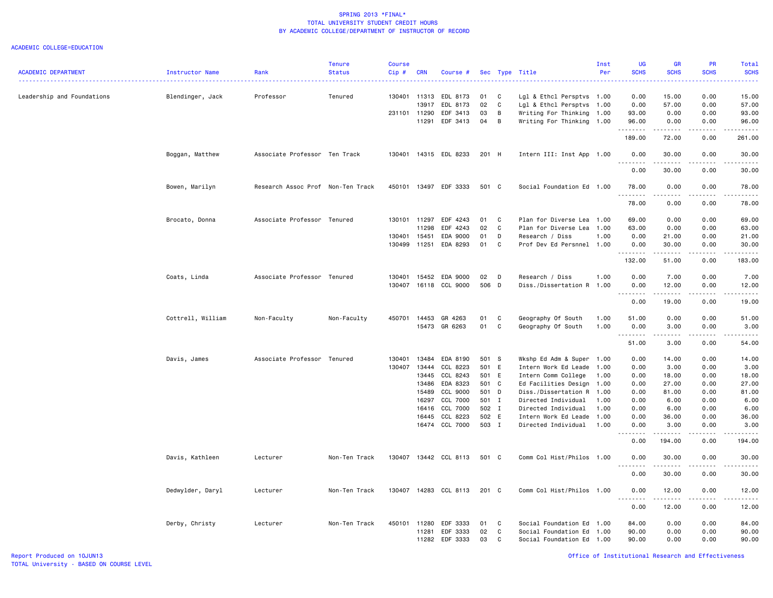|                            |                        |                                   | <b>Tenure</b> | <b>Course</b> |              |                       |       |              |                           | Inst | <b>UG</b>                                | <b>GR</b>                                                                                                                                                                                                                                                                                                                                                                                                                                                                                       | <b>PR</b>             | Total                              |
|----------------------------|------------------------|-----------------------------------|---------------|---------------|--------------|-----------------------|-------|--------------|---------------------------|------|------------------------------------------|-------------------------------------------------------------------------------------------------------------------------------------------------------------------------------------------------------------------------------------------------------------------------------------------------------------------------------------------------------------------------------------------------------------------------------------------------------------------------------------------------|-----------------------|------------------------------------|
| <b>ACADEMIC DEPARTMENT</b> | <b>Instructor Name</b> | Rank                              | <b>Status</b> | Cip #         | <b>CRN</b>   | Course #              |       |              | Sec Type Title            | Per  | <b>SCHS</b>                              | <b>SCHS</b>                                                                                                                                                                                                                                                                                                                                                                                                                                                                                     | <b>SCHS</b>           | <b>SCHS</b><br>.                   |
| Leadership and Foundations | Blendinger, Jack       | Professor                         | Tenured       |               | 130401 11313 | EDL 8173              | 01    | C            | Lgl & Ethcl Persptvs 1.00 |      | 0.00                                     | 15.00                                                                                                                                                                                                                                                                                                                                                                                                                                                                                           | 0.00                  | 15.00                              |
|                            |                        |                                   |               |               | 13917        | EDL 8173              | 02    | C            | Lgl & Ethcl Persptvs 1.00 |      | 0.00                                     | 57.00                                                                                                                                                                                                                                                                                                                                                                                                                                                                                           | 0.00                  | 57.00                              |
|                            |                        |                                   |               | 231101 11290  |              | EDF 3413              | 03    | В            | Writing For Thinking 1.00 |      | 93.00                                    | 0.00                                                                                                                                                                                                                                                                                                                                                                                                                                                                                            | 0.00                  | 93.00                              |
|                            |                        |                                   |               |               | 11291        | EDF 3413              | 04    | B            | Writing For Thinking 1.00 |      | 96.00                                    | 0.00                                                                                                                                                                                                                                                                                                                                                                                                                                                                                            | 0.00                  | 96.00                              |
|                            |                        |                                   |               |               |              |                       |       |              |                           |      | .                                        | د د د د د د                                                                                                                                                                                                                                                                                                                                                                                                                                                                                     | .                     | .                                  |
|                            |                        |                                   |               |               |              |                       |       |              |                           |      | 189.00                                   | 72.00                                                                                                                                                                                                                                                                                                                                                                                                                                                                                           | 0.00                  | 261.00                             |
|                            | Boggan, Matthew        | Associate Professor Ten Track     |               | 130401        |              | 14315 EDL 8233        | 201 H |              | Intern III: Inst App 1.00 |      | 0.00                                     | 30.00<br>$\begin{array}{cccccccccccccc} \multicolumn{2}{c}{} & \multicolumn{2}{c}{} & \multicolumn{2}{c}{} & \multicolumn{2}{c}{} & \multicolumn{2}{c}{} & \multicolumn{2}{c}{} & \multicolumn{2}{c}{} & \multicolumn{2}{c}{} & \multicolumn{2}{c}{} & \multicolumn{2}{c}{} & \multicolumn{2}{c}{} & \multicolumn{2}{c}{} & \multicolumn{2}{c}{} & \multicolumn{2}{c}{} & \multicolumn{2}{c}{} & \multicolumn{2}{c}{} & \multicolumn{2}{c}{} & \multicolumn{2}{c}{} & \multicolumn{2}{c}{} & \$ | 0.00<br>$\frac{1}{2}$ | 30.00<br>.                         |
|                            |                        |                                   |               |               |              |                       |       |              |                           |      | 0.00                                     | 30.00                                                                                                                                                                                                                                                                                                                                                                                                                                                                                           | 0.00                  | 30.00                              |
|                            | Bowen, Marilyn         | Research Assoc Prof Non-Ten Track |               | 450101        |              | 13497 EDF 3333        | 501 C |              | Social Foundation Ed 1.00 |      | 78.00<br>.                               | 0.00<br>.                                                                                                                                                                                                                                                                                                                                                                                                                                                                                       | 0.00<br>د د د د       | 78.00<br>.                         |
|                            |                        |                                   |               |               |              |                       |       |              |                           |      | 78.00                                    | 0.00                                                                                                                                                                                                                                                                                                                                                                                                                                                                                            | 0.00                  | 78.00                              |
|                            | Brocato, Donna         | Associate Professor Tenured       |               | 130101        | 11297        | EDF 4243              | 01    | C            | Plan for Diverse Lea      | 1.00 | 69.00                                    | 0.00                                                                                                                                                                                                                                                                                                                                                                                                                                                                                            | 0.00                  | 69.00                              |
|                            |                        |                                   |               |               | 11298        | EDF 4243              | 02    | C            | Plan for Diverse Lea      | 1.00 | 63.00                                    | 0.00                                                                                                                                                                                                                                                                                                                                                                                                                                                                                            | 0.00                  | 63.00                              |
|                            |                        |                                   |               | 130401        | 15451        | EDA 9000              | 01    | D            | Research / Diss           | 1.00 | 0.00                                     | 21.00                                                                                                                                                                                                                                                                                                                                                                                                                                                                                           | 0.00                  | 21.00                              |
|                            |                        |                                   |               | 130499        | 11251        | EDA 8293              | 01    | C            | Prof Dev Ed Persnnel 1.00 |      | 0.00<br><u>.</u>                         | 30.00<br>. <b>.</b>                                                                                                                                                                                                                                                                                                                                                                                                                                                                             | 0.00<br>.             | 30.00<br>.                         |
|                            |                        |                                   |               |               |              |                       |       |              |                           |      | 132.00                                   | 51.00                                                                                                                                                                                                                                                                                                                                                                                                                                                                                           | 0.00                  | 183.00                             |
|                            | Coats, Linda           | Associate Professor Tenured       |               | 130401        | 15452        | EDA 9000              | 02    | D            | Research / Diss           | 1.00 | 0.00                                     | 7.00                                                                                                                                                                                                                                                                                                                                                                                                                                                                                            | 0.00                  | 7.00                               |
|                            |                        |                                   |               | 130407        |              | 16118 CCL 9000        | 506   | $\mathsf{D}$ | Diss./Dissertation R      | 1.00 | 0.00<br>$\sim$ $\sim$ $\sim$<br>والمحامر | 12.00                                                                                                                                                                                                                                                                                                                                                                                                                                                                                           | 0.00<br>بالمحام       | 12.00<br>$\omega$ is $\omega$ in . |
|                            |                        |                                   |               |               |              |                       |       |              |                           |      | 0.00                                     | 19.00                                                                                                                                                                                                                                                                                                                                                                                                                                                                                           | 0.00                  | 19.00                              |
|                            | Cottrell, William      | Non-Faculty                       | Non-Faculty   | 450701        | 14453        | GR 4263               | 01    | C            | Geography Of South        | 1.00 | 51.00                                    | 0.00                                                                                                                                                                                                                                                                                                                                                                                                                                                                                            | 0.00                  | 51.00                              |
|                            |                        |                                   |               |               | 15473        | GR 6263               | 01    | C            | Geography Of South        | 1.00 | 0.00<br><u>.</u>                         | 3.00<br>.                                                                                                                                                                                                                                                                                                                                                                                                                                                                                       | 0.00<br>.             | 3.00<br>.                          |
|                            |                        |                                   |               |               |              |                       |       |              |                           |      | 51.00                                    | 3.00                                                                                                                                                                                                                                                                                                                                                                                                                                                                                            | 0.00                  | 54.00                              |
|                            | Davis, James           | Associate Professor Tenured       |               | 130401        | 13484        | EDA 8190              | 501 S |              | Wkshp Ed Adm & Super 1.00 |      | 0.00                                     | 14.00                                                                                                                                                                                                                                                                                                                                                                                                                                                                                           | 0.00                  | 14.00                              |
|                            |                        |                                   |               |               | 130407 13444 | CCL 8223              | 501 E |              | Intern Work Ed Leade      | 1.00 | 0.00                                     | 3.00                                                                                                                                                                                                                                                                                                                                                                                                                                                                                            | 0.00                  | 3.00                               |
|                            |                        |                                   |               |               | 13445        | CCL 8243              | 501 E |              | Intern Comm College       | 1.00 | 0.00                                     | 18.00                                                                                                                                                                                                                                                                                                                                                                                                                                                                                           | 0.00                  | 18.00                              |
|                            |                        |                                   |               |               | 13486        | EDA 8323              | 501 C |              | Ed Facilities Design      | 1.00 | 0.00                                     | 27.00                                                                                                                                                                                                                                                                                                                                                                                                                                                                                           | 0.00                  | 27.00                              |
|                            |                        |                                   |               |               | 15489        | CCL 9000              | 501 D |              | Diss./Dissertation R 1.00 |      | 0.00                                     | 81.00                                                                                                                                                                                                                                                                                                                                                                                                                                                                                           | 0.00                  | 81.00                              |
|                            |                        |                                   |               |               | 16297        | CCL 7000              | 501 I |              | Directed Individual       | 1.00 | 0.00                                     | 6.00                                                                                                                                                                                                                                                                                                                                                                                                                                                                                            | 0.00                  | 6.00                               |
|                            |                        |                                   |               |               | 16416        | CCL 7000              | 502 I |              | Directed Individual       | 1.00 | 0.00                                     | 6.00                                                                                                                                                                                                                                                                                                                                                                                                                                                                                            | 0.00                  | 6.00                               |
|                            |                        |                                   |               |               | 16445        | CCL 8223              | 502 E |              | Intern Work Ed Leade      | 1.00 | 0.00                                     | 36.00                                                                                                                                                                                                                                                                                                                                                                                                                                                                                           | 0.00                  | 36.00                              |
|                            |                        |                                   |               |               |              | 16474 CCL 7000        | 503 I |              | Directed Individual       | 1.00 | 0.00<br>.                                | 3.00                                                                                                                                                                                                                                                                                                                                                                                                                                                                                            | 0.00                  | 3.00<br>$\frac{1}{2}$              |
|                            |                        |                                   |               |               |              |                       |       |              |                           |      | 0.00                                     | 194.00                                                                                                                                                                                                                                                                                                                                                                                                                                                                                          | 0.00                  | 194.00                             |
|                            | Davis, Kathleen        | Lecturer                          | Non-Ten Track |               |              | 130407 13442 CCL 8113 | 501 C |              | Comm Col Hist/Philos 1.00 |      | 0.00<br>$\sim$ $\sim$ $\sim$             | 30.00                                                                                                                                                                                                                                                                                                                                                                                                                                                                                           | 0.00                  | 30.00<br>.                         |
|                            |                        |                                   |               |               |              |                       |       |              |                           |      | -----<br>0.00                            | .<br>30.00                                                                                                                                                                                                                                                                                                                                                                                                                                                                                      | .<br>0.00             | 30.00                              |
|                            | Dedwylder, Daryl       | Lecturer                          | Non-Ten Track | 130407        |              | 14283 CCL 8113        | 201 C |              | Comm Col Hist/Philos 1.00 |      | 0.00                                     | 12.00                                                                                                                                                                                                                                                                                                                                                                                                                                                                                           | 0.00                  | 12.00                              |
|                            |                        |                                   |               |               |              |                       |       |              |                           |      | $\sim$ $\sim$ $\sim$<br>-----<br>0.00    | .<br>12.00                                                                                                                                                                                                                                                                                                                                                                                                                                                                                      | <u>.</u><br>0.00      | .<br>12.00                         |
|                            | Derby, Christy         | Lecturer                          | Non-Ten Track | 450101        | 11280        | EDF 3333              | 01    | C            | Social Foundation Ed 1.00 |      | 84.00                                    | 0.00                                                                                                                                                                                                                                                                                                                                                                                                                                                                                            | 0.00                  | 84.00                              |
|                            |                        |                                   |               |               | 11281        | EDF 3333              | 02    | C            | Social Foundation Ed      | 1.00 | 90.00                                    | 0.00                                                                                                                                                                                                                                                                                                                                                                                                                                                                                            | 0.00                  | 90.00                              |
|                            |                        |                                   |               |               | 11282        | EDF 3333              | 03    | $\mathbb{C}$ | Social Foundation Ed 1.00 |      | 90.00                                    | 0.00                                                                                                                                                                                                                                                                                                                                                                                                                                                                                            | 0.00                  | 90.00                              |
|                            |                        |                                   |               |               |              |                       |       |              |                           |      |                                          |                                                                                                                                                                                                                                                                                                                                                                                                                                                                                                 |                       |                                    |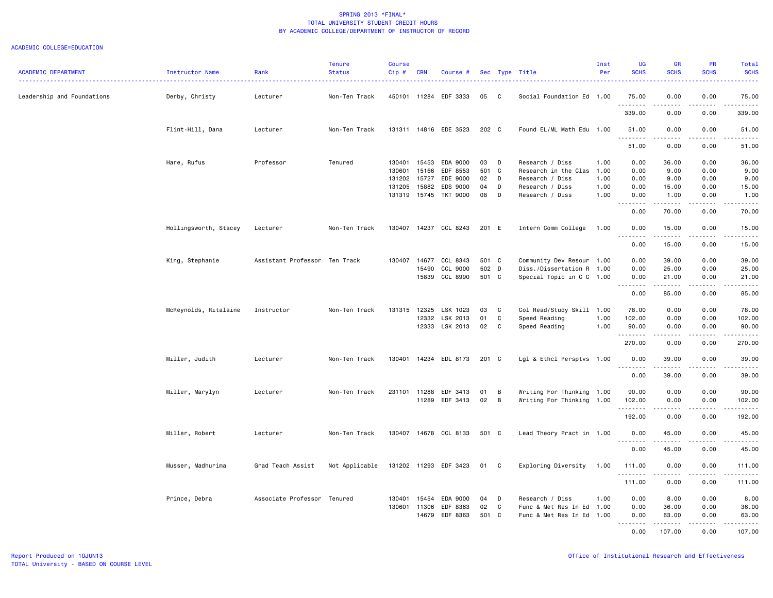| <b>ACADEMIC DEPARTMENT</b> | Instructor Name       | Rank<br>---------------       | <b>Tenure</b><br><b>Status</b> | <b>Course</b><br>Cip# | <b>CRN</b>   | Course #              |       |              | Sec Type Title            | Inst<br>Per | <b>UG</b><br><b>SCHS</b> | <b>GR</b><br><b>SCHS</b>                                                                                                                                      | PR<br><b>SCHS</b> | Total<br><b>SCHS</b> |
|----------------------------|-----------------------|-------------------------------|--------------------------------|-----------------------|--------------|-----------------------|-------|--------------|---------------------------|-------------|--------------------------|---------------------------------------------------------------------------------------------------------------------------------------------------------------|-------------------|----------------------|
| Leadership and Foundations | Derby, Christy        | Lecturer                      | Non-Ten Track                  |                       |              | 450101 11284 EDF 3333 | 05    | $\mathbf{C}$ | Social Foundation Ed 1.00 |             | 75.00                    | 0.00                                                                                                                                                          | 0.00              | 75.00                |
|                            |                       |                               |                                |                       |              |                       |       |              |                           |             | <u>.</u><br>339.00       | 0.00                                                                                                                                                          | 0.00              | 339.00               |
|                            | Flint-Hill, Dana      | Lecturer                      | Non-Ten Track                  |                       |              | 131311 14816 EDE 3523 | 202 C |              | Found EL/ML Math Edu 1.00 |             | 51.00<br>.               | 0.00<br>.                                                                                                                                                     | 0.00<br>.         | 51.00<br>.           |
|                            |                       |                               |                                |                       |              |                       |       |              |                           |             | 51.00                    | 0.00                                                                                                                                                          | 0.00              | 51.00                |
|                            | Hare, Rufus           | Professor                     | Tenured                        | 130401                | 15453        | EDA 9000              | 03    | D            | Research / Diss           | 1.00        | 0.00                     | 36.00                                                                                                                                                         | 0.00              | 36.00                |
|                            |                       |                               |                                | 130601                | 15166        | EDF 8553              | 501 C |              | Research in the Clas 1.00 |             | 0.00                     | 9.00                                                                                                                                                          | 0.00              | 9.00                 |
|                            |                       |                               |                                | 131202                | 15727        | EDE 9000              | 02    | D            | Research / Diss           | 1.00        | 0.00                     | 9.00                                                                                                                                                          | 0.00              | 9.00                 |
|                            |                       |                               |                                | 131205                | 15882        | EDS 9000              | 04    | D            | Research / Diss           | 1.00        | 0.00                     | 15.00                                                                                                                                                         | 0.00              | 15.00                |
|                            |                       |                               |                                |                       |              | 131319 15745 TKT 9000 | 08    | D            | Research / Diss           | 1.00        | 0.00<br>.                | 1.00<br>$- - - - - - -$                                                                                                                                       | 0.00<br>.         | 1.00<br>.            |
|                            |                       |                               |                                |                       |              |                       |       |              |                           |             | 0.00                     | 70.00                                                                                                                                                         | 0.00              | 70.00                |
|                            | Hollingsworth, Stacey | Lecturer                      | Non-Ten Track                  | 130407                |              | 14237 CCL 8243        | 201 E |              | Intern Comm College       | 1.00        | 0.00<br>.                | 15.00<br>.                                                                                                                                                    | 0.00<br>.         | 15.00<br>.           |
|                            |                       |                               |                                |                       |              |                       |       |              |                           |             | 0.00                     | 15.00                                                                                                                                                         | 0.00              | 15.00                |
|                            | King, Stephanie       | Assistant Professor Ten Track |                                | 130407                | 14677        | CCL 8343              | 501 C |              | Community Dev Resour 1.00 |             | 0.00                     | 39.00                                                                                                                                                         | 0.00              | 39.00                |
|                            |                       |                               |                                |                       | 15490        | CCL 9000              | 502 D |              | Diss./Dissertation R 1.00 |             | 0.00                     | 25.00                                                                                                                                                         | 0.00              | 25.00                |
|                            |                       |                               |                                |                       |              | 15839 CCL 8990        | 501 C |              | Special Topic in C C 1.00 |             | 0.00                     | 21.00                                                                                                                                                         | 0.00              | 21.00                |
|                            |                       |                               |                                |                       |              |                       |       |              |                           |             | <u>.</u>                 | .                                                                                                                                                             | -----             | .                    |
|                            |                       |                               |                                |                       |              |                       |       |              |                           |             | 0.00                     | 85.00                                                                                                                                                         | 0.00              | 85.00                |
|                            | McReynolds, Ritalaine | Instructor                    | Non-Ten Track                  |                       | 131315 12325 | LSK 1023              | 03    | C            | Col Read/Study Skill 1.00 |             | 78.00                    | 0.00                                                                                                                                                          | 0.00              | 78.00                |
|                            |                       |                               |                                |                       | 12332        | LSK 2013              | 01    | C            | Speed Reading             | 1.00        | 102.00                   | 0.00                                                                                                                                                          | 0.00              | 102.00               |
|                            |                       |                               |                                |                       |              | 12333 LSK 2013        | 02    | C            | Speed Reading             | 1.00        | 90.00<br>. <b>.</b>      | 0.00<br>.                                                                                                                                                     | 0.00<br>.         | 90.00<br><u>.</u>    |
|                            |                       |                               |                                |                       |              |                       |       |              |                           |             | 270.00                   | 0.00                                                                                                                                                          | 0.00              | 270.00               |
|                            | Miller, Judith        | Lecturer                      | Non-Ten Track                  |                       |              | 130401 14234 EDL 8173 | 201 C |              | Lgl & Ethcl Persptvs 1.00 |             | 0.00<br>1.1.1.1.1.1.1    | 39.00<br>$\frac{1}{2} \left( \frac{1}{2} \right) \left( \frac{1}{2} \right) \left( \frac{1}{2} \right) \left( \frac{1}{2} \right) \left( \frac{1}{2} \right)$ | 0.00              | 39.00                |
|                            |                       |                               |                                |                       |              |                       |       |              |                           |             | 0.00                     | 39.00                                                                                                                                                         | 0.00              | 39.00                |
|                            | Miller, Marylyn       | Lecturer                      | Non-Ten Track                  |                       | 231101 11288 | EDF 3413              | 01    | B            | Writing For Thinking 1.00 |             | 90.00                    | 0.00                                                                                                                                                          | 0.00              | 90.00                |
|                            |                       |                               |                                |                       | 11289        | EDF 3413              | 02    | B            | Writing For Thinking      | 1.00        | 102.00                   | 0.00                                                                                                                                                          | 0.00              | 102.00               |
|                            |                       |                               |                                |                       |              |                       |       |              |                           |             | .<br>192.00              | 0.00                                                                                                                                                          | 0.00              | 192.00               |
|                            | Miller, Robert        | Lecturer                      | Non-Ten Track                  |                       |              | 130407 14678 CCL 8133 | 501 C |              | Lead Theory Pract in 1.00 |             | 0.00                     | 45.00                                                                                                                                                         | 0.00              | 45.00                |
|                            |                       |                               |                                |                       |              |                       |       |              |                           |             | .<br>0.00                | 45.00                                                                                                                                                         | .<br>0.00         | .<br>45.00           |
|                            | Musser, Madhurima     | Grad Teach Assist             | Not Applicable                 |                       |              | 131202 11293 EDF 3423 | 01    | $\mathbf{C}$ | Exploring Diversity       | 1.00        | 111.00                   | 0.00                                                                                                                                                          | 0.00              | 111.00               |
|                            |                       |                               |                                |                       |              |                       |       |              |                           |             | .<br>111.00              | <u>.</u><br>0.00                                                                                                                                              | .<br>0.00         | .<br>111.00          |
|                            |                       |                               |                                |                       |              |                       |       |              |                           |             |                          |                                                                                                                                                               |                   |                      |
|                            | Prince, Debra         | Associate Professor Tenured   |                                |                       | 130401 15454 | EDA 9000              | 04    | D            | Research / Diss           | 1.00        | 0.00                     | 8.00                                                                                                                                                          | 0.00              | 8.00                 |
|                            |                       |                               |                                | 130601                | 11306        | EDF 8363              | 02    | C            | Func & Met Res In Ed      | 1.00        | 0.00                     | 36.00                                                                                                                                                         | 0.00              | 36.00                |
|                            |                       |                               |                                |                       | 14679        | EDF 8363              | 501 C |              | Func & Met Res In Ed      | 1.00        | 0.00                     | 63.00                                                                                                                                                         | 0.00              | 63.00                |
|                            |                       |                               |                                |                       |              |                       |       |              |                           |             | .<br>0.00                | .<br>107.00                                                                                                                                                   | .<br>0.00         | .<br>107.00          |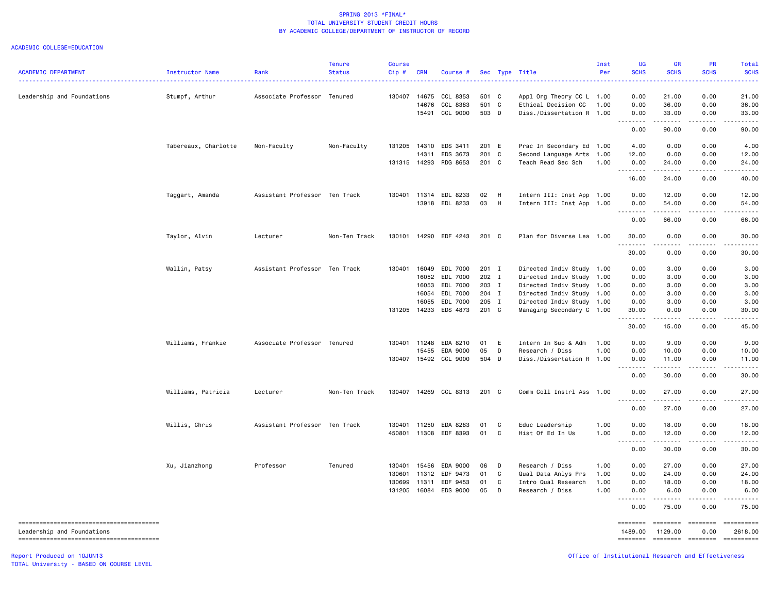#### ACADEMIC COLLEGE=EDUCATION

| 0.00<br>21.00<br>Leadership and Foundations<br>Stumpf, Arthur<br>Associate Professor Tenured<br>130407<br>14675<br>CCL 8353<br>501 C<br>Appl Org Theory CC L 1.00<br>0.00<br>21.00<br>501 C<br>14676<br>CCL 8383<br>Ethical Decision CC<br>0.00<br>36.00<br>0.00<br>36.00<br>1.00<br>503 D<br>15491 CCL 9000<br>Diss./Dissertation R 1.00<br>0.00<br>33.00<br>0.00<br>33.00<br>.<br>.<br>$- - - - -$<br>.<br>0.00<br>90.00<br>0.00<br>90.00<br>131205 14310 EDS 3411<br>4.00<br>0.00<br>0.00<br>Tabereaux, Charlotte<br>Non-Faculty<br>Non-Faculty<br>201 E<br>Prac In Secondary Ed 1.00<br>4.00<br>14311<br>EDS 3673<br>201 C<br>Second Language Arts 1.00<br>12.00<br>0.00<br>0.00<br>12.00<br>201 C<br>14293<br>RDG 8653<br>Teach Read Sec Sch<br>24.00<br>0.00<br>24.00<br>131315<br>1.00<br>0.00<br>.<br>.<br>.<br>-----<br>16.00<br>24.00<br>0.00<br>40.00<br>Taggart, Amanda<br>Assistant Professor Ten Track<br>130401 11314 EDL 8233<br>02<br>H<br>Intern III: Inst App 1.00<br>0.00<br>12.00<br>0.00<br>12.00<br>13918 EDL 8233<br>03<br>H<br>Intern III: Inst App 1.00<br>0.00<br>54.00<br>0.00<br>54.00<br>.<br>.<br>0.00<br>66.00<br>0.00<br>66.00<br>Taylor, Alvin<br>Lecturer<br>Non-Ten Track<br>130101 14290 EDF 4243<br>201 C<br>Plan for Diverse Lea 1.00<br>30.00<br>0.00<br>0.00<br>30.00<br>.<br>$\omega$ is a $\omega$<br>0.00<br>30.00<br>0.00<br>30.00<br>Wallin, Patsy<br>Assistant Professor Ten Track<br>130401<br>16049<br>EDL 7000<br>201 I<br>Directed Indiv Study 1.00<br>0.00<br>3.00<br>0.00<br>3.00<br>16052<br>EDL 7000<br>202 I<br>Directed Indiv Study<br>3.00<br>1.00<br>0.00<br>0.00<br>3.00<br>16053<br>EDL 7000<br>203 I<br>Directed Indiv Study 1.00<br>3.00<br>0.00<br>3.00<br>0.00<br>16054<br>EDL 7000<br>204 I<br>Directed Indiv Study 1.00<br>0.00<br>3.00<br>0.00<br>3.00<br>EDL 7000<br>205 I<br>16055<br>Directed Indiv Study 1.00<br>0.00<br>3.00<br>0.00<br>3.00<br>131205 14233<br>EDS 4873<br>201 C<br>Managing Secondary C 1.00<br>30.00<br>0.00<br>0.00<br>30.00<br>.<br>$\begin{array}{cccccccccccccc} \multicolumn{2}{c}{} & \multicolumn{2}{c}{} & \multicolumn{2}{c}{} & \multicolumn{2}{c}{} & \multicolumn{2}{c}{} & \multicolumn{2}{c}{} & \multicolumn{2}{c}{} & \multicolumn{2}{c}{} & \multicolumn{2}{c}{} & \multicolumn{2}{c}{} & \multicolumn{2}{c}{} & \multicolumn{2}{c}{} & \multicolumn{2}{c}{} & \multicolumn{2}{c}{} & \multicolumn{2}{c}{} & \multicolumn{2}{c}{} & \multicolumn{2}{c}{} & \multicolumn{2}{c}{} & \multicolumn{2}{c}{} & \$<br>$\omega$ is a set of<br><u>.</u><br>30.00<br>15.00<br>0.00<br>45.00<br>Williams, Frankie<br>Associate Professor Tenured<br>130401 11248<br>EDA 8210<br>01<br>Intern In Sup & Adm<br>0.00<br>9.00<br>0.00<br>9.00<br>- E<br>1.00<br>05<br>15455<br>EDA 9000<br>D<br>Research / Diss<br>1.00<br>0.00<br>10.00<br>0.00<br>10.00<br>504 D<br>0.00<br>130407 15492 CCL 9000<br>Diss./Dissertation R 1.00<br>0.00<br>11.00<br>11.00<br>.<br>.<br>.<br>.<br>0.00<br>30.00<br>0.00<br>30.00<br>Williams, Patricia<br>130407 14269 CCL 8313<br>201 C<br>0.00<br>Lecturer<br>Non-Ten Track<br>Comm Coll Instrl Ass 1.00<br>0.00<br>27.00<br>27.00<br>.<br>.<br>.<br>.<br>0.00<br>27.00<br>0.00<br>27.00<br>Assistant Professor Ten Track<br>11250<br>EDA 8283<br>01<br>C<br>1.00<br>0.00<br>0.00<br>Willis, Chris<br>130401<br>Educ Leadership<br>18.00<br>18.00<br>450801 11308 EDF 8393<br>01<br>C<br>Hist Of Ed In Us<br>1.00<br>0.00<br>12.00<br>0.00<br>12.00<br>. <b>.</b><br>-----<br>------<br>0.00<br>30.00<br>0.00<br>30.00<br>Professor<br>EDA 9000<br>D<br>Research / Diss<br>0.00<br>27.00<br>0.00<br>27.00<br>Xu, Jianzhong<br>Tenured<br>130401<br>15456<br>06<br>1.00<br>130601<br>11312<br>EDF 9473<br>01<br>C<br>Qual Data Anlys Prs<br>1.00<br>0.00<br>24.00<br>0.00<br>24.00<br>EDF 9453<br>01<br>C<br>Intro Qual Research<br>0.00<br>130699<br>11311<br>1.00<br>0.00<br>18.00<br>18.00<br>16084 EDS 9000<br>05<br>131205<br>D<br>Research / Diss<br>1.00<br>6.00<br>0.00<br>0.00<br>6.00<br>.<br>0.00<br>75.00<br>0.00<br>75.00 | <b>ACADEMIC DEPARTMENT</b> | Instructor Name | Rank | <b>Tenure</b><br><b>Status</b> | <b>Course</b><br>Cip# | <b>CRN</b> | Course # |  | Sec Type Title | Inst<br>Per | UG<br><b>SCHS</b><br>$\sim$ $\sim$ $\sim$ $\sim$ | <b>GR</b><br><b>SCHS</b> | <b>PR</b><br><b>SCHS</b> | Total<br><b>SCHS</b><br>. <u>.</u> |
|------------------------------------------------------------------------------------------------------------------------------------------------------------------------------------------------------------------------------------------------------------------------------------------------------------------------------------------------------------------------------------------------------------------------------------------------------------------------------------------------------------------------------------------------------------------------------------------------------------------------------------------------------------------------------------------------------------------------------------------------------------------------------------------------------------------------------------------------------------------------------------------------------------------------------------------------------------------------------------------------------------------------------------------------------------------------------------------------------------------------------------------------------------------------------------------------------------------------------------------------------------------------------------------------------------------------------------------------------------------------------------------------------------------------------------------------------------------------------------------------------------------------------------------------------------------------------------------------------------------------------------------------------------------------------------------------------------------------------------------------------------------------------------------------------------------------------------------------------------------------------------------------------------------------------------------------------------------------------------------------------------------------------------------------------------------------------------------------------------------------------------------------------------------------------------------------------------------------------------------------------------------------------------------------------------------------------------------------------------------------------------------------------------------------------------------------------------------------------------------------------------------------------------------------------------------------------------------------------------------------------------------------------------------------------------------------------------------------------------------------------------------------------------------------------------------------------------------------------------------------------------------------------------------------------------------------------------------------------------------------------------------------------------------------------------------------------------------------------------------------------------------------------------------------------------------------------------------------------------------------------------------------------------------------------------------------------------------------------------------------------------------------------------------------------------------------------------------------------------------------------------------------------------------------------------------------------------------------------------------------------------------------------------------------------------------------------------------------------------------------------------------------------------------------------------------------------------------------------------------------------------------------------------------------------------------------------------------------------------------------------------------------------------------------------------------------|----------------------------|-----------------|------|--------------------------------|-----------------------|------------|----------|--|----------------|-------------|--------------------------------------------------|--------------------------|--------------------------|------------------------------------|
|                                                                                                                                                                                                                                                                                                                                                                                                                                                                                                                                                                                                                                                                                                                                                                                                                                                                                                                                                                                                                                                                                                                                                                                                                                                                                                                                                                                                                                                                                                                                                                                                                                                                                                                                                                                                                                                                                                                                                                                                                                                                                                                                                                                                                                                                                                                                                                                                                                                                                                                                                                                                                                                                                                                                                                                                                                                                                                                                                                                                                                                                                                                                                                                                                                                                                                                                                                                                                                                                                                                                                                                                                                                                                                                                                                                                                                                                                                                                                                                                                                                                        |                            |                 |      |                                |                       |            |          |  |                |             |                                                  |                          |                          |                                    |
|                                                                                                                                                                                                                                                                                                                                                                                                                                                                                                                                                                                                                                                                                                                                                                                                                                                                                                                                                                                                                                                                                                                                                                                                                                                                                                                                                                                                                                                                                                                                                                                                                                                                                                                                                                                                                                                                                                                                                                                                                                                                                                                                                                                                                                                                                                                                                                                                                                                                                                                                                                                                                                                                                                                                                                                                                                                                                                                                                                                                                                                                                                                                                                                                                                                                                                                                                                                                                                                                                                                                                                                                                                                                                                                                                                                                                                                                                                                                                                                                                                                                        |                            |                 |      |                                |                       |            |          |  |                |             |                                                  |                          |                          |                                    |
|                                                                                                                                                                                                                                                                                                                                                                                                                                                                                                                                                                                                                                                                                                                                                                                                                                                                                                                                                                                                                                                                                                                                                                                                                                                                                                                                                                                                                                                                                                                                                                                                                                                                                                                                                                                                                                                                                                                                                                                                                                                                                                                                                                                                                                                                                                                                                                                                                                                                                                                                                                                                                                                                                                                                                                                                                                                                                                                                                                                                                                                                                                                                                                                                                                                                                                                                                                                                                                                                                                                                                                                                                                                                                                                                                                                                                                                                                                                                                                                                                                                                        |                            |                 |      |                                |                       |            |          |  |                |             |                                                  |                          |                          |                                    |
|                                                                                                                                                                                                                                                                                                                                                                                                                                                                                                                                                                                                                                                                                                                                                                                                                                                                                                                                                                                                                                                                                                                                                                                                                                                                                                                                                                                                                                                                                                                                                                                                                                                                                                                                                                                                                                                                                                                                                                                                                                                                                                                                                                                                                                                                                                                                                                                                                                                                                                                                                                                                                                                                                                                                                                                                                                                                                                                                                                                                                                                                                                                                                                                                                                                                                                                                                                                                                                                                                                                                                                                                                                                                                                                                                                                                                                                                                                                                                                                                                                                                        |                            |                 |      |                                |                       |            |          |  |                |             |                                                  |                          |                          |                                    |
|                                                                                                                                                                                                                                                                                                                                                                                                                                                                                                                                                                                                                                                                                                                                                                                                                                                                                                                                                                                                                                                                                                                                                                                                                                                                                                                                                                                                                                                                                                                                                                                                                                                                                                                                                                                                                                                                                                                                                                                                                                                                                                                                                                                                                                                                                                                                                                                                                                                                                                                                                                                                                                                                                                                                                                                                                                                                                                                                                                                                                                                                                                                                                                                                                                                                                                                                                                                                                                                                                                                                                                                                                                                                                                                                                                                                                                                                                                                                                                                                                                                                        |                            |                 |      |                                |                       |            |          |  |                |             |                                                  |                          |                          |                                    |
|                                                                                                                                                                                                                                                                                                                                                                                                                                                                                                                                                                                                                                                                                                                                                                                                                                                                                                                                                                                                                                                                                                                                                                                                                                                                                                                                                                                                                                                                                                                                                                                                                                                                                                                                                                                                                                                                                                                                                                                                                                                                                                                                                                                                                                                                                                                                                                                                                                                                                                                                                                                                                                                                                                                                                                                                                                                                                                                                                                                                                                                                                                                                                                                                                                                                                                                                                                                                                                                                                                                                                                                                                                                                                                                                                                                                                                                                                                                                                                                                                                                                        |                            |                 |      |                                |                       |            |          |  |                |             |                                                  |                          |                          |                                    |
|                                                                                                                                                                                                                                                                                                                                                                                                                                                                                                                                                                                                                                                                                                                                                                                                                                                                                                                                                                                                                                                                                                                                                                                                                                                                                                                                                                                                                                                                                                                                                                                                                                                                                                                                                                                                                                                                                                                                                                                                                                                                                                                                                                                                                                                                                                                                                                                                                                                                                                                                                                                                                                                                                                                                                                                                                                                                                                                                                                                                                                                                                                                                                                                                                                                                                                                                                                                                                                                                                                                                                                                                                                                                                                                                                                                                                                                                                                                                                                                                                                                                        |                            |                 |      |                                |                       |            |          |  |                |             |                                                  |                          |                          |                                    |
|                                                                                                                                                                                                                                                                                                                                                                                                                                                                                                                                                                                                                                                                                                                                                                                                                                                                                                                                                                                                                                                                                                                                                                                                                                                                                                                                                                                                                                                                                                                                                                                                                                                                                                                                                                                                                                                                                                                                                                                                                                                                                                                                                                                                                                                                                                                                                                                                                                                                                                                                                                                                                                                                                                                                                                                                                                                                                                                                                                                                                                                                                                                                                                                                                                                                                                                                                                                                                                                                                                                                                                                                                                                                                                                                                                                                                                                                                                                                                                                                                                                                        |                            |                 |      |                                |                       |            |          |  |                |             |                                                  |                          |                          |                                    |
|                                                                                                                                                                                                                                                                                                                                                                                                                                                                                                                                                                                                                                                                                                                                                                                                                                                                                                                                                                                                                                                                                                                                                                                                                                                                                                                                                                                                                                                                                                                                                                                                                                                                                                                                                                                                                                                                                                                                                                                                                                                                                                                                                                                                                                                                                                                                                                                                                                                                                                                                                                                                                                                                                                                                                                                                                                                                                                                                                                                                                                                                                                                                                                                                                                                                                                                                                                                                                                                                                                                                                                                                                                                                                                                                                                                                                                                                                                                                                                                                                                                                        |                            |                 |      |                                |                       |            |          |  |                |             |                                                  |                          |                          |                                    |
|                                                                                                                                                                                                                                                                                                                                                                                                                                                                                                                                                                                                                                                                                                                                                                                                                                                                                                                                                                                                                                                                                                                                                                                                                                                                                                                                                                                                                                                                                                                                                                                                                                                                                                                                                                                                                                                                                                                                                                                                                                                                                                                                                                                                                                                                                                                                                                                                                                                                                                                                                                                                                                                                                                                                                                                                                                                                                                                                                                                                                                                                                                                                                                                                                                                                                                                                                                                                                                                                                                                                                                                                                                                                                                                                                                                                                                                                                                                                                                                                                                                                        |                            |                 |      |                                |                       |            |          |  |                |             |                                                  |                          |                          |                                    |
|                                                                                                                                                                                                                                                                                                                                                                                                                                                                                                                                                                                                                                                                                                                                                                                                                                                                                                                                                                                                                                                                                                                                                                                                                                                                                                                                                                                                                                                                                                                                                                                                                                                                                                                                                                                                                                                                                                                                                                                                                                                                                                                                                                                                                                                                                                                                                                                                                                                                                                                                                                                                                                                                                                                                                                                                                                                                                                                                                                                                                                                                                                                                                                                                                                                                                                                                                                                                                                                                                                                                                                                                                                                                                                                                                                                                                                                                                                                                                                                                                                                                        |                            |                 |      |                                |                       |            |          |  |                |             |                                                  |                          |                          |                                    |
|                                                                                                                                                                                                                                                                                                                                                                                                                                                                                                                                                                                                                                                                                                                                                                                                                                                                                                                                                                                                                                                                                                                                                                                                                                                                                                                                                                                                                                                                                                                                                                                                                                                                                                                                                                                                                                                                                                                                                                                                                                                                                                                                                                                                                                                                                                                                                                                                                                                                                                                                                                                                                                                                                                                                                                                                                                                                                                                                                                                                                                                                                                                                                                                                                                                                                                                                                                                                                                                                                                                                                                                                                                                                                                                                                                                                                                                                                                                                                                                                                                                                        |                            |                 |      |                                |                       |            |          |  |                |             |                                                  |                          |                          |                                    |
|                                                                                                                                                                                                                                                                                                                                                                                                                                                                                                                                                                                                                                                                                                                                                                                                                                                                                                                                                                                                                                                                                                                                                                                                                                                                                                                                                                                                                                                                                                                                                                                                                                                                                                                                                                                                                                                                                                                                                                                                                                                                                                                                                                                                                                                                                                                                                                                                                                                                                                                                                                                                                                                                                                                                                                                                                                                                                                                                                                                                                                                                                                                                                                                                                                                                                                                                                                                                                                                                                                                                                                                                                                                                                                                                                                                                                                                                                                                                                                                                                                                                        |                            |                 |      |                                |                       |            |          |  |                |             |                                                  |                          |                          |                                    |
|                                                                                                                                                                                                                                                                                                                                                                                                                                                                                                                                                                                                                                                                                                                                                                                                                                                                                                                                                                                                                                                                                                                                                                                                                                                                                                                                                                                                                                                                                                                                                                                                                                                                                                                                                                                                                                                                                                                                                                                                                                                                                                                                                                                                                                                                                                                                                                                                                                                                                                                                                                                                                                                                                                                                                                                                                                                                                                                                                                                                                                                                                                                                                                                                                                                                                                                                                                                                                                                                                                                                                                                                                                                                                                                                                                                                                                                                                                                                                                                                                                                                        |                            |                 |      |                                |                       |            |          |  |                |             |                                                  |                          |                          |                                    |
|                                                                                                                                                                                                                                                                                                                                                                                                                                                                                                                                                                                                                                                                                                                                                                                                                                                                                                                                                                                                                                                                                                                                                                                                                                                                                                                                                                                                                                                                                                                                                                                                                                                                                                                                                                                                                                                                                                                                                                                                                                                                                                                                                                                                                                                                                                                                                                                                                                                                                                                                                                                                                                                                                                                                                                                                                                                                                                                                                                                                                                                                                                                                                                                                                                                                                                                                                                                                                                                                                                                                                                                                                                                                                                                                                                                                                                                                                                                                                                                                                                                                        |                            |                 |      |                                |                       |            |          |  |                |             |                                                  |                          |                          |                                    |
|                                                                                                                                                                                                                                                                                                                                                                                                                                                                                                                                                                                                                                                                                                                                                                                                                                                                                                                                                                                                                                                                                                                                                                                                                                                                                                                                                                                                                                                                                                                                                                                                                                                                                                                                                                                                                                                                                                                                                                                                                                                                                                                                                                                                                                                                                                                                                                                                                                                                                                                                                                                                                                                                                                                                                                                                                                                                                                                                                                                                                                                                                                                                                                                                                                                                                                                                                                                                                                                                                                                                                                                                                                                                                                                                                                                                                                                                                                                                                                                                                                                                        |                            |                 |      |                                |                       |            |          |  |                |             |                                                  |                          |                          |                                    |
|                                                                                                                                                                                                                                                                                                                                                                                                                                                                                                                                                                                                                                                                                                                                                                                                                                                                                                                                                                                                                                                                                                                                                                                                                                                                                                                                                                                                                                                                                                                                                                                                                                                                                                                                                                                                                                                                                                                                                                                                                                                                                                                                                                                                                                                                                                                                                                                                                                                                                                                                                                                                                                                                                                                                                                                                                                                                                                                                                                                                                                                                                                                                                                                                                                                                                                                                                                                                                                                                                                                                                                                                                                                                                                                                                                                                                                                                                                                                                                                                                                                                        |                            |                 |      |                                |                       |            |          |  |                |             |                                                  |                          |                          |                                    |
|                                                                                                                                                                                                                                                                                                                                                                                                                                                                                                                                                                                                                                                                                                                                                                                                                                                                                                                                                                                                                                                                                                                                                                                                                                                                                                                                                                                                                                                                                                                                                                                                                                                                                                                                                                                                                                                                                                                                                                                                                                                                                                                                                                                                                                                                                                                                                                                                                                                                                                                                                                                                                                                                                                                                                                                                                                                                                                                                                                                                                                                                                                                                                                                                                                                                                                                                                                                                                                                                                                                                                                                                                                                                                                                                                                                                                                                                                                                                                                                                                                                                        |                            |                 |      |                                |                       |            |          |  |                |             |                                                  |                          |                          |                                    |
|                                                                                                                                                                                                                                                                                                                                                                                                                                                                                                                                                                                                                                                                                                                                                                                                                                                                                                                                                                                                                                                                                                                                                                                                                                                                                                                                                                                                                                                                                                                                                                                                                                                                                                                                                                                                                                                                                                                                                                                                                                                                                                                                                                                                                                                                                                                                                                                                                                                                                                                                                                                                                                                                                                                                                                                                                                                                                                                                                                                                                                                                                                                                                                                                                                                                                                                                                                                                                                                                                                                                                                                                                                                                                                                                                                                                                                                                                                                                                                                                                                                                        |                            |                 |      |                                |                       |            |          |  |                |             |                                                  |                          |                          |                                    |
|                                                                                                                                                                                                                                                                                                                                                                                                                                                                                                                                                                                                                                                                                                                                                                                                                                                                                                                                                                                                                                                                                                                                                                                                                                                                                                                                                                                                                                                                                                                                                                                                                                                                                                                                                                                                                                                                                                                                                                                                                                                                                                                                                                                                                                                                                                                                                                                                                                                                                                                                                                                                                                                                                                                                                                                                                                                                                                                                                                                                                                                                                                                                                                                                                                                                                                                                                                                                                                                                                                                                                                                                                                                                                                                                                                                                                                                                                                                                                                                                                                                                        |                            |                 |      |                                |                       |            |          |  |                |             |                                                  |                          |                          |                                    |
|                                                                                                                                                                                                                                                                                                                                                                                                                                                                                                                                                                                                                                                                                                                                                                                                                                                                                                                                                                                                                                                                                                                                                                                                                                                                                                                                                                                                                                                                                                                                                                                                                                                                                                                                                                                                                                                                                                                                                                                                                                                                                                                                                                                                                                                                                                                                                                                                                                                                                                                                                                                                                                                                                                                                                                                                                                                                                                                                                                                                                                                                                                                                                                                                                                                                                                                                                                                                                                                                                                                                                                                                                                                                                                                                                                                                                                                                                                                                                                                                                                                                        |                            |                 |      |                                |                       |            |          |  |                |             |                                                  |                          |                          |                                    |
|                                                                                                                                                                                                                                                                                                                                                                                                                                                                                                                                                                                                                                                                                                                                                                                                                                                                                                                                                                                                                                                                                                                                                                                                                                                                                                                                                                                                                                                                                                                                                                                                                                                                                                                                                                                                                                                                                                                                                                                                                                                                                                                                                                                                                                                                                                                                                                                                                                                                                                                                                                                                                                                                                                                                                                                                                                                                                                                                                                                                                                                                                                                                                                                                                                                                                                                                                                                                                                                                                                                                                                                                                                                                                                                                                                                                                                                                                                                                                                                                                                                                        |                            |                 |      |                                |                       |            |          |  |                |             |                                                  |                          |                          |                                    |
|                                                                                                                                                                                                                                                                                                                                                                                                                                                                                                                                                                                                                                                                                                                                                                                                                                                                                                                                                                                                                                                                                                                                                                                                                                                                                                                                                                                                                                                                                                                                                                                                                                                                                                                                                                                                                                                                                                                                                                                                                                                                                                                                                                                                                                                                                                                                                                                                                                                                                                                                                                                                                                                                                                                                                                                                                                                                                                                                                                                                                                                                                                                                                                                                                                                                                                                                                                                                                                                                                                                                                                                                                                                                                                                                                                                                                                                                                                                                                                                                                                                                        |                            |                 |      |                                |                       |            |          |  |                |             |                                                  |                          |                          |                                    |
|                                                                                                                                                                                                                                                                                                                                                                                                                                                                                                                                                                                                                                                                                                                                                                                                                                                                                                                                                                                                                                                                                                                                                                                                                                                                                                                                                                                                                                                                                                                                                                                                                                                                                                                                                                                                                                                                                                                                                                                                                                                                                                                                                                                                                                                                                                                                                                                                                                                                                                                                                                                                                                                                                                                                                                                                                                                                                                                                                                                                                                                                                                                                                                                                                                                                                                                                                                                                                                                                                                                                                                                                                                                                                                                                                                                                                                                                                                                                                                                                                                                                        |                            |                 |      |                                |                       |            |          |  |                |             |                                                  |                          |                          |                                    |
|                                                                                                                                                                                                                                                                                                                                                                                                                                                                                                                                                                                                                                                                                                                                                                                                                                                                                                                                                                                                                                                                                                                                                                                                                                                                                                                                                                                                                                                                                                                                                                                                                                                                                                                                                                                                                                                                                                                                                                                                                                                                                                                                                                                                                                                                                                                                                                                                                                                                                                                                                                                                                                                                                                                                                                                                                                                                                                                                                                                                                                                                                                                                                                                                                                                                                                                                                                                                                                                                                                                                                                                                                                                                                                                                                                                                                                                                                                                                                                                                                                                                        |                            |                 |      |                                |                       |            |          |  |                |             |                                                  |                          |                          |                                    |
|                                                                                                                                                                                                                                                                                                                                                                                                                                                                                                                                                                                                                                                                                                                                                                                                                                                                                                                                                                                                                                                                                                                                                                                                                                                                                                                                                                                                                                                                                                                                                                                                                                                                                                                                                                                                                                                                                                                                                                                                                                                                                                                                                                                                                                                                                                                                                                                                                                                                                                                                                                                                                                                                                                                                                                                                                                                                                                                                                                                                                                                                                                                                                                                                                                                                                                                                                                                                                                                                                                                                                                                                                                                                                                                                                                                                                                                                                                                                                                                                                                                                        |                            |                 |      |                                |                       |            |          |  |                |             |                                                  |                          |                          |                                    |
|                                                                                                                                                                                                                                                                                                                                                                                                                                                                                                                                                                                                                                                                                                                                                                                                                                                                                                                                                                                                                                                                                                                                                                                                                                                                                                                                                                                                                                                                                                                                                                                                                                                                                                                                                                                                                                                                                                                                                                                                                                                                                                                                                                                                                                                                                                                                                                                                                                                                                                                                                                                                                                                                                                                                                                                                                                                                                                                                                                                                                                                                                                                                                                                                                                                                                                                                                                                                                                                                                                                                                                                                                                                                                                                                                                                                                                                                                                                                                                                                                                                                        |                            |                 |      |                                |                       |            |          |  |                |             |                                                  |                          |                          |                                    |
|                                                                                                                                                                                                                                                                                                                                                                                                                                                                                                                                                                                                                                                                                                                                                                                                                                                                                                                                                                                                                                                                                                                                                                                                                                                                                                                                                                                                                                                                                                                                                                                                                                                                                                                                                                                                                                                                                                                                                                                                                                                                                                                                                                                                                                                                                                                                                                                                                                                                                                                                                                                                                                                                                                                                                                                                                                                                                                                                                                                                                                                                                                                                                                                                                                                                                                                                                                                                                                                                                                                                                                                                                                                                                                                                                                                                                                                                                                                                                                                                                                                                        |                            |                 |      |                                |                       |            |          |  |                |             |                                                  |                          |                          |                                    |
|                                                                                                                                                                                                                                                                                                                                                                                                                                                                                                                                                                                                                                                                                                                                                                                                                                                                                                                                                                                                                                                                                                                                                                                                                                                                                                                                                                                                                                                                                                                                                                                                                                                                                                                                                                                                                                                                                                                                                                                                                                                                                                                                                                                                                                                                                                                                                                                                                                                                                                                                                                                                                                                                                                                                                                                                                                                                                                                                                                                                                                                                                                                                                                                                                                                                                                                                                                                                                                                                                                                                                                                                                                                                                                                                                                                                                                                                                                                                                                                                                                                                        |                            |                 |      |                                |                       |            |          |  |                |             |                                                  |                          |                          |                                    |
|                                                                                                                                                                                                                                                                                                                                                                                                                                                                                                                                                                                                                                                                                                                                                                                                                                                                                                                                                                                                                                                                                                                                                                                                                                                                                                                                                                                                                                                                                                                                                                                                                                                                                                                                                                                                                                                                                                                                                                                                                                                                                                                                                                                                                                                                                                                                                                                                                                                                                                                                                                                                                                                                                                                                                                                                                                                                                                                                                                                                                                                                                                                                                                                                                                                                                                                                                                                                                                                                                                                                                                                                                                                                                                                                                                                                                                                                                                                                                                                                                                                                        |                            |                 |      |                                |                       |            |          |  |                |             |                                                  |                          |                          |                                    |
|                                                                                                                                                                                                                                                                                                                                                                                                                                                                                                                                                                                                                                                                                                                                                                                                                                                                                                                                                                                                                                                                                                                                                                                                                                                                                                                                                                                                                                                                                                                                                                                                                                                                                                                                                                                                                                                                                                                                                                                                                                                                                                                                                                                                                                                                                                                                                                                                                                                                                                                                                                                                                                                                                                                                                                                                                                                                                                                                                                                                                                                                                                                                                                                                                                                                                                                                                                                                                                                                                                                                                                                                                                                                                                                                                                                                                                                                                                                                                                                                                                                                        |                            |                 |      |                                |                       |            |          |  |                |             |                                                  |                          |                          |                                    |
|                                                                                                                                                                                                                                                                                                                                                                                                                                                                                                                                                                                                                                                                                                                                                                                                                                                                                                                                                                                                                                                                                                                                                                                                                                                                                                                                                                                                                                                                                                                                                                                                                                                                                                                                                                                                                                                                                                                                                                                                                                                                                                                                                                                                                                                                                                                                                                                                                                                                                                                                                                                                                                                                                                                                                                                                                                                                                                                                                                                                                                                                                                                                                                                                                                                                                                                                                                                                                                                                                                                                                                                                                                                                                                                                                                                                                                                                                                                                                                                                                                                                        |                            |                 |      |                                |                       |            |          |  |                |             |                                                  |                          |                          |                                    |
|                                                                                                                                                                                                                                                                                                                                                                                                                                                                                                                                                                                                                                                                                                                                                                                                                                                                                                                                                                                                                                                                                                                                                                                                                                                                                                                                                                                                                                                                                                                                                                                                                                                                                                                                                                                                                                                                                                                                                                                                                                                                                                                                                                                                                                                                                                                                                                                                                                                                                                                                                                                                                                                                                                                                                                                                                                                                                                                                                                                                                                                                                                                                                                                                                                                                                                                                                                                                                                                                                                                                                                                                                                                                                                                                                                                                                                                                                                                                                                                                                                                                        |                            |                 |      |                                |                       |            |          |  |                |             |                                                  |                          |                          |                                    |
|                                                                                                                                                                                                                                                                                                                                                                                                                                                                                                                                                                                                                                                                                                                                                                                                                                                                                                                                                                                                                                                                                                                                                                                                                                                                                                                                                                                                                                                                                                                                                                                                                                                                                                                                                                                                                                                                                                                                                                                                                                                                                                                                                                                                                                                                                                                                                                                                                                                                                                                                                                                                                                                                                                                                                                                                                                                                                                                                                                                                                                                                                                                                                                                                                                                                                                                                                                                                                                                                                                                                                                                                                                                                                                                                                                                                                                                                                                                                                                                                                                                                        |                            |                 |      |                                |                       |            |          |  |                |             |                                                  |                          |                          |                                    |
|                                                                                                                                                                                                                                                                                                                                                                                                                                                                                                                                                                                                                                                                                                                                                                                                                                                                                                                                                                                                                                                                                                                                                                                                                                                                                                                                                                                                                                                                                                                                                                                                                                                                                                                                                                                                                                                                                                                                                                                                                                                                                                                                                                                                                                                                                                                                                                                                                                                                                                                                                                                                                                                                                                                                                                                                                                                                                                                                                                                                                                                                                                                                                                                                                                                                                                                                                                                                                                                                                                                                                                                                                                                                                                                                                                                                                                                                                                                                                                                                                                                                        |                            |                 |      |                                |                       |            |          |  |                |             |                                                  |                          |                          |                                    |
| ========<br>$\begin{minipage}{0.9\linewidth} \hspace*{-0.2cm} \textbf{1} & \textbf{2} & \textbf{3} & \textbf{5} & \textbf{6} & \textbf{7} & \textbf{8} \\ \textbf{1} & \textbf{2} & \textbf{3} & \textbf{5} & \textbf{5} & \textbf{7} & \textbf{8} & \textbf{8} \\ \textbf{3} & \textbf{4} & \textbf{5} & \textbf{5} & \textbf{6} & \textbf{7} & \textbf{8} & \textbf{9} & \textbf{1} \\ \textbf{5} & \textbf{5} & \textbf{6} & \textbf{7} & \$<br>========<br>========                                                                                                                                                                                                                                                                                                                                                                                                                                                                                                                                                                                                                                                                                                                                                                                                                                                                                                                                                                                                                                                                                                                                                                                                                                                                                                                                                                                                                                                                                                                                                                                                                                                                                                                                                                                                                                                                                                                                                                                                                                                                                                                                                                                                                                                                                                                                                                                                                                                                                                                                                                                                                                                                                                                                                                                                                                                                                                                                                                                                                                                                                                                                                                                                                                                                                                                                                                                                                                                                                                                                                                                                |                            |                 |      |                                |                       |            |          |  |                |             |                                                  |                          |                          |                                    |
| Leadership and Foundations<br>1489.00<br>1129.00<br>0.00<br>2618.00                                                                                                                                                                                                                                                                                                                                                                                                                                                                                                                                                                                                                                                                                                                                                                                                                                                                                                                                                                                                                                                                                                                                                                                                                                                                                                                                                                                                                                                                                                                                                                                                                                                                                                                                                                                                                                                                                                                                                                                                                                                                                                                                                                                                                                                                                                                                                                                                                                                                                                                                                                                                                                                                                                                                                                                                                                                                                                                                                                                                                                                                                                                                                                                                                                                                                                                                                                                                                                                                                                                                                                                                                                                                                                                                                                                                                                                                                                                                                                                                    |                            |                 |      |                                |                       |            |          |  |                |             |                                                  |                          |                          |                                    |
| ========<br>========<br>$=$ ========                                                                                                                                                                                                                                                                                                                                                                                                                                                                                                                                                                                                                                                                                                                                                                                                                                                                                                                                                                                                                                                                                                                                                                                                                                                                                                                                                                                                                                                                                                                                                                                                                                                                                                                                                                                                                                                                                                                                                                                                                                                                                                                                                                                                                                                                                                                                                                                                                                                                                                                                                                                                                                                                                                                                                                                                                                                                                                                                                                                                                                                                                                                                                                                                                                                                                                                                                                                                                                                                                                                                                                                                                                                                                                                                                                                                                                                                                                                                                                                                                                   |                            |                 |      |                                |                       |            |          |  |                |             |                                                  |                          |                          |                                    |

TOTAL University - BASED ON COURSE LEVEL

Report Produced on 10JUN13 Office of Institutional Research and Effectiveness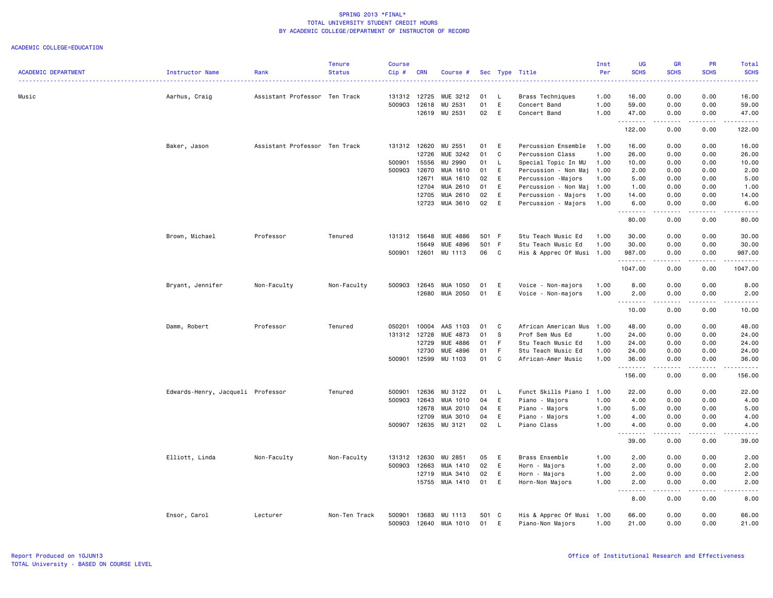| <b>ACADEMIC DEPARTMENT</b> | Instructor Name                   | Rank                          | <b>Tenure</b><br><b>Status</b> | <b>Course</b><br>Cip# | <b>CRN</b> | Course #             |       |              |                           | Inst<br>Per | <b>UG</b><br><b>SCHS</b>     | <b>GR</b><br><b>SCHS</b>        | <b>PR</b><br><b>SCHS</b>                                                                                                | Total<br><b>SCHS</b>                                                                                                              |
|----------------------------|-----------------------------------|-------------------------------|--------------------------------|-----------------------|------------|----------------------|-------|--------------|---------------------------|-------------|------------------------------|---------------------------------|-------------------------------------------------------------------------------------------------------------------------|-----------------------------------------------------------------------------------------------------------------------------------|
|                            |                                   |                               |                                |                       |            |                      |       |              | Sec Type Title<br>.       |             |                              |                                 |                                                                                                                         | $\frac{1}{2} \left( \frac{1}{2} \right) \left( \frac{1}{2} \right) \left( \frac{1}{2} \right) \left( \frac{1}{2} \right)$         |
| Music                      | Aarhus, Craig                     | Assistant Professor Ten Track |                                | 131312 12725          |            | MUE 3212             | 01    | - L          | Brass Techniques          | 1.00        | 16.00                        | 0.00                            | 0.00                                                                                                                    | 16.00                                                                                                                             |
|                            |                                   |                               |                                | 500903                | 12618      | MU 2531              | 01    | E            | Concert Band              | 1.00        | 59.00                        | 0.00                            | 0.00                                                                                                                    | 59.00                                                                                                                             |
|                            |                                   |                               |                                |                       | 12619      | MU 2531              | 02    | E            | Concert Band              | 1.00        | 47.00                        | 0.00                            | 0.00                                                                                                                    | 47.00                                                                                                                             |
|                            |                                   |                               |                                |                       |            |                      |       |              |                           |             | .<br>122.00                  | .<br>0.00                       | .<br>0.00                                                                                                               | .<br>122.00                                                                                                                       |
|                            | Baker, Jason                      | Assistant Professor Ten Track |                                | 131312 12620          |            | MU 2551              | 01    | E            | Percussion Ensemble       | 1.00        | 16.00                        | 0.00                            | 0.00                                                                                                                    | 16.00                                                                                                                             |
|                            |                                   |                               |                                |                       | 12726      | MUE 3242             | 01    | C            | Percussion Class          | 1.00        | 26.00                        | 0.00                            | 0.00                                                                                                                    | 26.00                                                                                                                             |
|                            |                                   |                               |                                | 500901                | 15556      | MU 2990              | 01    | $\mathsf{L}$ | Special Topic In MU       | 1.00        | 10.00                        | 0.00                            | 0.00                                                                                                                    | 10.00                                                                                                                             |
|                            |                                   |                               |                                | 500903                | 12670      | MUA 1610             | 01    | E            | Percussion - Non Maj      | 1.00        | 2.00                         | 0.00                            | 0.00                                                                                                                    | 2.00                                                                                                                              |
|                            |                                   |                               |                                |                       | 12671      | MUA 1610             | 02    | E            | Percussion -Majors        | 1.00        | 5.00                         | 0.00                            | 0.00                                                                                                                    | 5.00                                                                                                                              |
|                            |                                   |                               |                                |                       | 12704      | MUA 2610             | 01    | E            | Percussion - Non Maj      | 1.00        | 1.00                         | 0.00                            | 0.00                                                                                                                    | 1.00                                                                                                                              |
|                            |                                   |                               |                                |                       | 12705      | MUA 2610             | 02    | E            | Percussion - Majors       | 1.00        | 14.00                        | 0.00                            | 0.00                                                                                                                    | 14.00                                                                                                                             |
|                            |                                   |                               |                                |                       | 12723      | MUA 3610             | 02    | E            | Percussion - Majors       | 1.00        | 6.00<br>.                    | 0.00<br>.                       | 0.00<br>.                                                                                                               | 6.00<br>.                                                                                                                         |
|                            |                                   |                               |                                |                       |            |                      |       |              |                           |             | 80.00                        | 0.00                            | 0.00                                                                                                                    | 80.00                                                                                                                             |
|                            | Brown, Michael                    | Professor                     | Tenured                        | 131312 15648          |            | <b>MUE 4886</b>      | 501 F |              | Stu Teach Music Ed        | 1.00        | 30.00                        | 0.00                            | 0.00                                                                                                                    | 30.00                                                                                                                             |
|                            |                                   |                               |                                |                       | 15649      | <b>MUE 4896</b>      | 501 F |              | Stu Teach Music Ed        | 1.00        | 30.00                        | 0.00                            | 0.00                                                                                                                    | 30.00                                                                                                                             |
|                            |                                   |                               |                                |                       |            | 500901 12601 MU 1113 | 06    | $\mathbf{C}$ | His & Apprec Of Musi 1.00 |             | 987.00                       | 0.00                            | 0.00                                                                                                                    | 987.00                                                                                                                            |
|                            |                                   |                               |                                |                       |            |                      |       |              |                           |             | .<br>1047.00                 | -----<br>0.00                   | $\begin{array}{cccccccccccccc} \bullet & \bullet & \bullet & \bullet & \bullet & \bullet & \bullet \end{array}$<br>0.00 | .<br>1047.00                                                                                                                      |
|                            | Bryant, Jennifer                  | Non-Faculty                   | Non-Faculty                    | 500903                | 12645      | MUA 1050             | 01    | E            | Voice - Non-majors        | 1.00        | 8.00                         | 0.00                            | 0.00                                                                                                                    | 8.00                                                                                                                              |
|                            |                                   |                               |                                |                       |            | 12680 MUA 2050       | 01    | E            | Voice - Non-majors        | 1.00        | 2.00                         | 0.00                            | 0.00                                                                                                                    | 2.00                                                                                                                              |
|                            |                                   |                               |                                |                       |            |                      |       |              |                           |             | .                            | المتمام المنا                   | .                                                                                                                       | .                                                                                                                                 |
|                            |                                   |                               |                                |                       |            |                      |       |              |                           |             | 10.00                        | 0.00                            | 0.00                                                                                                                    | 10.00                                                                                                                             |
|                            | Damm, Robert                      | Professor                     | Tenured                        | 050201                | 10004      | AAS 1103             | 01    | C            | African American Mus      | 1.00        | 48.00                        | 0.00                            | 0.00                                                                                                                    | 48.00                                                                                                                             |
|                            |                                   |                               |                                | 131312 12728          |            | MUE 4873             | 01    | <b>S</b>     | Prof Sem Mus Ed           | 1.00        | 24.00                        | 0.00                            | 0.00                                                                                                                    | 24.00                                                                                                                             |
|                            |                                   |                               |                                |                       | 12729      | <b>MUE 4886</b>      | 01    | F            | Stu Teach Music Ed        | 1.00        | 24.00                        | 0.00                            | 0.00                                                                                                                    | 24.00                                                                                                                             |
|                            |                                   |                               |                                |                       | 12730      | MUE 4896             | 01    | $\mathsf F$  | Stu Teach Music Ed        | 1.00        | 24.00                        | 0.00                            | 0.00                                                                                                                    | 24.00                                                                                                                             |
|                            |                                   |                               |                                | 500901                | 12599      | MU 1103              | 01    | C            | African-Amer Music        | 1.00        | 36.00<br>.                   | 0.00                            | 0.00                                                                                                                    | 36.00                                                                                                                             |
|                            |                                   |                               |                                |                       |            |                      |       |              |                           |             | 156.00                       | 0.00                            | 0.00                                                                                                                    | 156.00                                                                                                                            |
|                            | Edwards-Henry, Jacqueli Professor |                               | Tenured                        | 500901                | 12636      | MU 3122              | 01    | - L          | Funct Skills Piano I 1.00 |             | 22.00                        | 0.00                            | 0.00                                                                                                                    | 22.00                                                                                                                             |
|                            |                                   |                               |                                | 500903                | 12643      | MUA 1010             | 04    | E            | Piano - Majors            | 1.00        | 4.00                         | 0.00                            | 0.00                                                                                                                    | 4.00                                                                                                                              |
|                            |                                   |                               |                                |                       | 12678      | MUA 2010             | 04    | E            | Piano - Majors            | 1.00        | 5.00                         | 0.00                            | 0.00                                                                                                                    | 5.00                                                                                                                              |
|                            |                                   |                               |                                |                       | 12709      | MUA 3010             | 04    | E            | Piano - Majors            | 1.00        | 4.00                         | 0.00                            | 0.00                                                                                                                    | 4.00                                                                                                                              |
|                            |                                   |                               |                                | 500907                | 12635      | MU 3121              | 02    | $\mathsf{L}$ | Piano Class               | 1.00        | 4.00                         | 0.00                            | 0.00                                                                                                                    | 4.00                                                                                                                              |
|                            |                                   |                               |                                |                       |            |                      |       |              |                           |             | $- - - - - - - - -$<br>39.00 | $\omega$ is $\omega$ in<br>0.00 | .<br>0.00                                                                                                               | $\frac{1}{2}$<br>39.00                                                                                                            |
|                            | Elliott, Linda                    | Non-Faculty                   | Non-Faculty                    | 131312 12630          |            | MU 2851              | 05    | E            | Brass Ensemble            | 1.00        | 2.00                         | 0.00                            | 0.00                                                                                                                    | 2.00                                                                                                                              |
|                            |                                   |                               |                                | 500903                | 12663      | MUA 1410             | 02    | E            | Horn - Majors             | 1.00        | 2.00                         | 0.00                            | 0.00                                                                                                                    | 2.00                                                                                                                              |
|                            |                                   |                               |                                |                       | 12719      | MUA 3410             | 02    | E            | Horn - Majors             | 1.00        | 2.00                         | 0.00                            | 0.00                                                                                                                    | 2.00                                                                                                                              |
|                            |                                   |                               |                                |                       |            | 15755 MUA 1410       | 01    | E            | Horn-Non Majors           | 1.00        | 2.00                         | 0.00                            | 0.00                                                                                                                    | 2.00                                                                                                                              |
|                            |                                   |                               |                                |                       |            |                      |       |              |                           |             | .<br>8.00                    | المتمام المنا<br>0.00           | .<br>0.00                                                                                                               | $\frac{1}{2} \left( \frac{1}{2} \right) \left( \frac{1}{2} \right) \left( \frac{1}{2} \right) \left( \frac{1}{2} \right)$<br>8.00 |
|                            | Ensor, Carol                      | Lecturer                      | Non-Ten Track                  | 500901                | 13683      | MU 1113              | 501 C |              | His & Apprec Of Musi 1.00 |             | 66.00                        | 0.00                            | 0.00                                                                                                                    | 66.00                                                                                                                             |
|                            |                                   |                               |                                | 500903                | 12640      | MUA 1010             | 01    | E            | Piano-Non Majors          | 1.00        | 21.00                        | 0.00                            | 0.00                                                                                                                    | 21.00                                                                                                                             |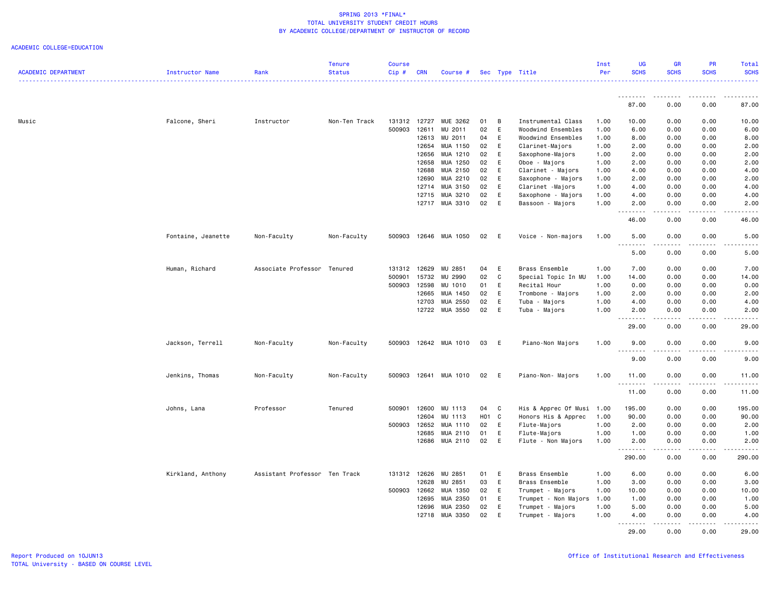|                            |                    |                               | <b>Tenure</b> | <b>Course</b> |            |                |       |     |                           | Inst | <b>UG</b>            | <b>GR</b>         | <b>PR</b>        | Total                 |
|----------------------------|--------------------|-------------------------------|---------------|---------------|------------|----------------|-------|-----|---------------------------|------|----------------------|-------------------|------------------|-----------------------|
| <b>ACADEMIC DEPARTMENT</b> | Instructor Name    | Rank                          | <b>Status</b> | Cip#          | <b>CRN</b> | Course #       |       |     | Sec Type Title            | Per  | <b>SCHS</b>          | <b>SCHS</b>       | <b>SCHS</b>      | <b>SCHS</b><br>.      |
|                            |                    |                               |               |               |            |                |       |     |                           |      |                      |                   |                  |                       |
|                            |                    |                               |               |               |            |                |       |     |                           |      | . <b>.</b><br>87.00  | <b></b><br>0.00   | .<br>0.00        | .<br>87.00            |
|                            |                    |                               |               |               |            |                |       |     |                           |      |                      |                   |                  |                       |
| Music                      | Falcone, Sheri     | Instructor                    | Non-Ten Track | 131312        | 12727      | MUE 3262       | 01    | B   | Instrumental Class        | 1.00 | 10.00                | 0.00              | 0.00             | 10.00                 |
|                            |                    |                               |               | 500903        | 12611      | MU 2011        | 02    | E   | Woodwind Ensembles        | 1.00 | 6.00                 | 0.00              | 0.00             | 6.00                  |
|                            |                    |                               |               |               | 12613      | MU 2011        | 04    | E   | Woodwind Ensembles        | 1.00 | 8.00                 | 0.00              | 0.00             | 8.00                  |
|                            |                    |                               |               |               | 12654      | MUA 1150       | 02    | E   | Clarinet-Majors           | 1.00 | 2.00                 | 0.00              | 0.00             | 2.00                  |
|                            |                    |                               |               |               | 12656      | MUA 1210       | 02    | E   | Saxophone-Majors          | 1.00 | 2.00                 | 0.00              | 0.00             | 2.00                  |
|                            |                    |                               |               |               | 12658      | MUA 1250       | 02    | E   | Oboe - Majors             | 1.00 | 2.00                 | 0.00              | 0.00             | 2.00                  |
|                            |                    |                               |               |               | 12688      | MUA 2150       | 02    | E   | Clarinet - Majors         | 1.00 | 4.00                 | 0.00              | 0.00             | 4.00                  |
|                            |                    |                               |               |               | 12690      | MUA 2210       | 02    | E   | Saxophone - Majors        | 1.00 | 2.00                 | 0.00              | 0.00             | 2.00                  |
|                            |                    |                               |               |               | 12714      | MUA 3150       | 02    | E   | Clarinet -Majors          | 1.00 | 4.00                 | 0.00              | 0.00             | 4.00                  |
|                            |                    |                               |               |               | 12715      | MUA 3210       | 02    | E   | Saxophone - Majors        | 1.00 | 4.00                 | 0.00              | 0.00             | 4.00                  |
|                            |                    |                               |               |               | 12717      | MUA 3310       | 02    | E   | Bassoon - Majors          | 1.00 | 2.00<br>.            | 0.00<br>.         | 0.00<br>.        | 2.00<br>$\frac{1}{2}$ |
|                            |                    |                               |               |               |            |                |       |     |                           |      | 46.00                | 0.00              | 0.00             | 46.00                 |
|                            | Fontaine, Jeanette | Non-Faculty                   | Non-Faculty   | 500903        |            | 12646 MUA 1050 | 02    | E   | Voice - Non-majors        | 1.00 | 5.00                 | 0.00              | 0.00             | 5.00                  |
|                            |                    |                               |               |               |            |                |       |     |                           |      | 5.00                 | 0.00              | 0.00             | 5.00                  |
|                            | Human, Richard     | Associate Professor Tenured   |               | 131312        | 12629      | MU 2851        | 04    | E   | Brass Ensemble            | 1.00 | 7.00                 | 0.00              | 0.00             | 7.00                  |
|                            |                    |                               |               | 500901        | 15732      | MU 2990        | 02    | C   | Special Topic In MU       | 1.00 | 14.00                | 0.00              | 0.00             | 14.00                 |
|                            |                    |                               |               | 500903        | 12598      | MU 1010        | 01    | E   | Recital Hour              | 1.00 | 0.00                 | 0.00              | 0.00             | 0.00                  |
|                            |                    |                               |               |               | 12665      | MUA 1450       | 02    | E   | Trombone - Majors         | 1.00 | 2.00                 | 0.00              | 0.00             | 2.00                  |
|                            |                    |                               |               |               | 12703      | MUA 2550       | 02    | E   | Tuba - Majors             | 1.00 | 4.00                 | 0.00              | 0.00             | 4.00                  |
|                            |                    |                               |               |               |            | 12722 MUA 3550 | 02    | E   | Tuba - Majors             | 1.00 | 2.00                 | 0.00              | 0.00             | 2.00                  |
|                            |                    |                               |               |               |            |                |       |     |                           |      | د د د د<br>29.00     | المتمالين<br>0.00 | .<br>0.00        | .<br>29.00            |
|                            | Jackson, Terrell   | Non-Faculty                   | Non-Faculty   | 500903        |            | 12642 MUA 1010 | 03    | - E | Piano-Non Majors          | 1.00 | 9.00                 | 0.00              | 0.00             | 9.00                  |
|                            |                    |                               |               |               |            |                |       |     |                           |      | $- - -$<br>.<br>9.00 | .<br>0.00         | .<br>0.00        | $- - - - -$<br>9.00   |
|                            | Jenkins, Thomas    | Non-Faculty                   | Non-Faculty   | 500903        |            | 12641 MUA 1010 | 02    | - E | Piano-Non- Majors         | 1.00 | 11.00<br><u>.</u>    | 0.00              | 0.00             | 11.00                 |
|                            |                    |                               |               |               |            |                |       |     |                           |      | 11.00                | 0.00              | 0.00             | 11.00                 |
|                            | Johns, Lana        | Professor                     | Tenured       | 500901        | 12600      | MU 1113        | 04    | C   | His & Apprec Of Musi 1.00 |      | 195.00               | 0.00              | 0.00             | 195.00                |
|                            |                    |                               |               |               | 12604      | MU 1113        | H01 C |     | Honors His & Apprec       | 1.00 | 90.00                | 0.00              | 0.00             | 90.00                 |
|                            |                    |                               |               | 500903        | 12652      | MUA 1110       | 02    | E   | Flute-Majors              | 1.00 | 2.00                 | 0.00              | 0.00             | 2.00                  |
|                            |                    |                               |               |               | 12685      | MUA 2110       | 01    | E   | Flute-Majors              | 1.00 | 1.00                 | 0.00              | 0.00             | 1.00                  |
|                            |                    |                               |               |               |            | 12686 MUA 2110 | 02    | E   | Flute - Non Majors        | 1.00 | 2.00                 | 0.00              | 0.00             | 2.00                  |
|                            |                    |                               |               |               |            |                |       |     |                           |      | .<br>290.00          | د د د د<br>0.00   | المتماما<br>0.00 | .<br>290.00           |
|                            | Kirkland, Anthony  | Assistant Professor Ten Track |               | 131312 12626  |            | MU 2851        | 01 E  |     | Brass Ensemble            | 1.00 | 6.00                 | 0.00              | 0.00             | 6.00                  |
|                            |                    |                               |               |               | 12628      | MU 2851        | 03    | E   | Brass Ensemble            | 1.00 | 3.00                 | 0.00              | 0.00             | 3.00                  |
|                            |                    |                               |               | 500903        | 12662      | MUA 1350       | 02    | E   | Trumpet - Majors          | 1.00 | 10.00                | 0.00              | 0.00             | 10.00                 |
|                            |                    |                               |               |               | 12695      | MUA 2350       | 01    | E   | Trumpet - Non Majors      | 1.00 | 1.00                 | 0.00              | 0.00             | 1.00                  |
|                            |                    |                               |               |               | 12696      | MUA 2350       | 02    | E   | Trumpet - Majors          | 1.00 | 5.00                 | 0.00              | 0.00             | 5.00                  |
|                            |                    |                               |               |               | 12718      | MUA 3350       | 02    | E   | Trumpet - Majors          | 1.00 | 4.00                 | 0.00              | 0.00             | 4.00                  |
|                            |                    |                               |               |               |            |                |       |     |                           |      | 29.00                | .<br>0.00         | .<br>0.00        | .<br>29.00            |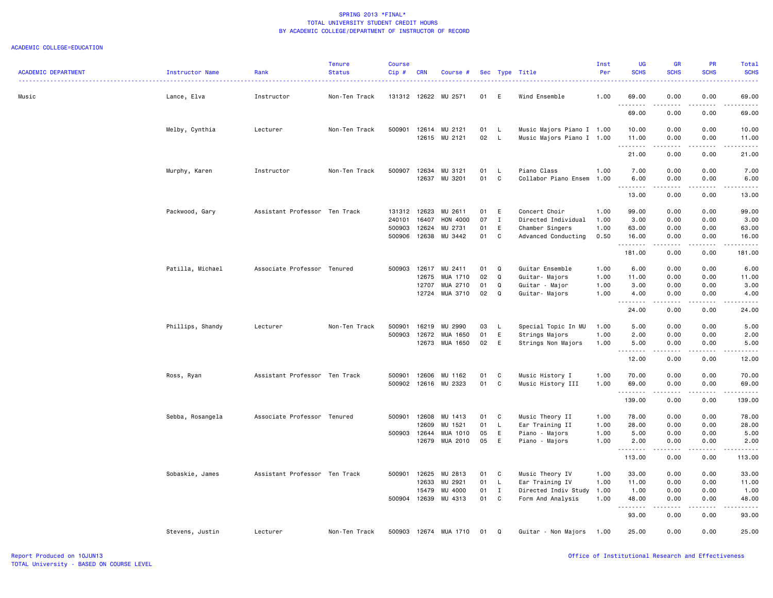| <b>ACADEMIC DEPARTMENT</b> | Instructor Name  | Rank<br><u>.</u>              | <b>Tenure</b><br><b>Status</b> | <b>Course</b><br>Cip# | <b>CRN</b>     | Course #             |          |                         | Sec Type Title<br>.                      | Inst<br>Per | <b>UG</b><br><b>SCHS</b> | <b>GR</b><br><b>SCHS</b>                                                                                                                                     | <b>PR</b><br><b>SCHS</b> | Total<br><b>SCHS</b><br>. |
|----------------------------|------------------|-------------------------------|--------------------------------|-----------------------|----------------|----------------------|----------|-------------------------|------------------------------------------|-------------|--------------------------|--------------------------------------------------------------------------------------------------------------------------------------------------------------|--------------------------|---------------------------|
| Music                      | Lance, Elva      | Instructor                    | Non-Ten Track                  |                       |                | 131312 12622 MU 2571 | 01       | E                       | Wind Ensemble                            | 1.00        | 69.00                    | 0.00                                                                                                                                                         | 0.00                     | 69.00                     |
|                            |                  |                               |                                |                       |                |                      |          |                         |                                          |             | .<br>69.00               | $\frac{1}{2} \left( \frac{1}{2} \right) \left( \frac{1}{2} \right) \left( \frac{1}{2} \right) \left( \frac{1}{2} \right) \left( \frac{1}{2} \right)$<br>0.00 | 0.00                     | 69.00                     |
|                            | Melby, Cynthia   | Lecturer                      | Non-Ten Track                  | 500901                |                | 12614 MU 2121        | 01       | L                       | Music Majors Piano I 1.00                |             | 10.00                    | 0.00                                                                                                                                                         | 0.00                     | 10.00                     |
|                            |                  |                               |                                |                       |                | 12615 MU 2121        | 02       | $\mathsf{L}$            | Music Majors Piano I 1.00                |             | 11.00<br>.               | 0.00<br>.                                                                                                                                                    | 0.00<br>-----            | 11.00<br>.                |
|                            |                  |                               |                                |                       |                |                      |          |                         |                                          |             | 21.00                    | 0.00                                                                                                                                                         | 0.00                     | 21.00                     |
|                            | Murphy, Karen    | Instructor                    | Non-Ten Track                  | 500907                | 12634<br>12637 | MU 3121<br>MU 3201   | 01<br>01 | <b>L</b><br>$\mathbf C$ | Piano Class<br>Collabor Piano Ensem 1.00 | 1.00        | 7.00<br>6.00             | 0.00<br>0.00                                                                                                                                                 | 0.00<br>0.00             | 7.00<br>6.00              |
|                            |                  |                               |                                |                       |                |                      |          |                         |                                          |             | .<br>13.00               | $\frac{1}{2}$<br>0.00                                                                                                                                        | $\frac{1}{2}$<br>0.00    | 13.00                     |
|                            | Packwood, Gary   | Assistant Professor Ten Track |                                | 131312 12623          |                | MU 2611              | 01       | E                       | Concert Choir                            | 1.00        | 99.00                    | 0.00                                                                                                                                                         | 0.00                     | 99.00                     |
|                            |                  |                               |                                | 240101                | 16407          | HON 4000             | 07       | $\mathbf{I}$            | Directed Individual                      | 1.00        | 3.00                     | 0.00                                                                                                                                                         | 0.00                     | 3.00                      |
|                            |                  |                               |                                | 500903                | 12624          | MU 2731              | 01       | E                       | Chamber Singers                          | 1.00        | 63.00                    | 0.00                                                                                                                                                         | 0.00                     | 63.00                     |
|                            |                  |                               |                                | 500906                | 12638          | MU 3442              | 01       | C                       | Advanced Conducting                      | 0.50        | 16.00<br>.               | 0.00<br>.                                                                                                                                                    | 0.00<br>.                | 16.00<br>.                |
|                            |                  |                               |                                |                       |                |                      |          |                         |                                          |             | 181.00                   | 0.00                                                                                                                                                         | 0.00                     | 181.00                    |
|                            | Patilla, Michael | Associate Professor Tenured   |                                | 500903                | 12617          | MU 2411              | 01       | Q                       | Guitar Ensemble                          | 1.00        | 6.00                     | 0.00                                                                                                                                                         | 0.00                     | 6.00                      |
|                            |                  |                               |                                |                       | 12675          | MUA 1710             | 02       | Q                       | Guitar- Majors                           | 1.00        | 11.00                    | 0.00                                                                                                                                                         | 0.00                     | 11.00                     |
|                            |                  |                               |                                |                       | 12707          | MUA 2710             | 01       | Q                       | Guitar - Major                           | 1.00        | 3.00                     | 0.00                                                                                                                                                         | 0.00                     | 3.00                      |
|                            |                  |                               |                                |                       | 12724          | MUA 3710             | 02       | Q                       | Guitar- Majors                           | 1.00        | 4.00<br>.                | 0.00<br><b><i><u>.</u></i></b>                                                                                                                               | 0.00<br>.                | 4.00<br>.                 |
|                            |                  |                               |                                |                       |                |                      |          |                         |                                          |             | 24.00                    | 0.00                                                                                                                                                         | 0.00                     | 24.00                     |
|                            | Phillips, Shandy | Lecturer                      | Non-Ten Track                  | 500901                | 16219          | MU 2990              | 03       | <b>L</b>                | Special Topic In MU                      | 1.00        | 5.00                     | 0.00                                                                                                                                                         | 0.00                     | 5.00                      |
|                            |                  |                               |                                | 500903                | 12672          | MUA 1650             | 01       | E                       | Strings Majors                           | 1.00        | 2.00                     | 0.00                                                                                                                                                         | 0.00                     | 2.00                      |
|                            |                  |                               |                                |                       |                | 12673 MUA 1650       | 02       | E                       | Strings Non Majors                       | 1.00        | 5.00<br>.                | 0.00<br>$\sim$ $\sim$ $\sim$ $\sim$                                                                                                                          | 0.00                     | 5.00                      |
|                            |                  |                               |                                |                       |                |                      |          |                         |                                          |             | 12.00                    | 0.00                                                                                                                                                         | 0.00                     | 12.00                     |
|                            | Ross, Ryan       | Assistant Professor Ten Track |                                | 500901                | 12606          | MU 1162              | 01       | C                       | Music History I                          | 1.00        | 70.00                    | 0.00                                                                                                                                                         | 0.00                     | 70.00                     |
|                            |                  |                               |                                | 500902                |                | 12616 MU 2323        | 01       | C                       | Music History III                        | 1.00        | 69.00<br>.               | 0.00<br>$\frac{1}{2} \left( \frac{1}{2} \right) \left( \frac{1}{2} \right) \left( \frac{1}{2} \right) \left( \frac{1}{2} \right) \left( \frac{1}{2} \right)$ | 0.00<br>. <b>.</b>       | 69.00<br>.                |
|                            |                  |                               |                                |                       |                |                      |          |                         |                                          |             | 139.00                   | 0.00                                                                                                                                                         | 0.00                     | 139.00                    |
|                            | Sebba, Rosangela | Associate Professor Tenured   |                                | 500901                | 12608          | MU 1413              | 01       | C                       | Music Theory II                          | 1.00        | 78.00                    | 0.00                                                                                                                                                         | 0.00                     | 78.00                     |
|                            |                  |                               |                                |                       | 12609          | MU 1521              | 01       | L                       | Ear Training II                          | 1.00        | 28.00                    | 0.00                                                                                                                                                         | 0.00                     | 28.00                     |
|                            |                  |                               |                                | 500903 12644          |                | MUA 1010             | 05       | E                       | Piano - Majors                           | 1.00        | 5.00                     | 0.00                                                                                                                                                         | 0.00                     | 5.00                      |
|                            |                  |                               |                                |                       | 12679          | MUA 2010             | 05       | E                       | Piano - Majors                           | 1.00        | 2.00<br>.                | 0.00<br>.                                                                                                                                                    | 0.00<br>.                | 2.00<br>.                 |
|                            |                  |                               |                                |                       |                |                      |          |                         |                                          |             | 113.00                   | 0.00                                                                                                                                                         | 0.00                     | 113.00                    |
|                            | Sobaskie, James  | Assistant Professor Ten Track |                                | 500901                | 12625          | MU 2813              | 01       | C                       | Music Theory IV                          | 1.00        | 33.00                    | 0.00                                                                                                                                                         | 0.00                     | 33.00                     |
|                            |                  |                               |                                |                       | 12633          | MU 2921              | 01       | L                       | Ear Training IV                          | 1.00        | 11.00                    | 0.00                                                                                                                                                         | 0.00                     | 11.00                     |
|                            |                  |                               |                                |                       | 15479          | MU 4000              | 01       | I                       | Directed Indiv Study 1.00                |             | 1.00                     | 0.00                                                                                                                                                         | 0.00                     | 1.00                      |
|                            |                  |                               |                                | 500904 12639          |                | MU 4313              | 01       | C                       | Form And Analysis                        | 1.00        | 48.00<br>.               | 0.00<br>.                                                                                                                                                    | 0.00<br>.                | 48.00<br>.                |
|                            |                  |                               |                                |                       |                |                      |          |                         |                                          |             | 93.00                    | 0.00                                                                                                                                                         | 0.00                     | 93.00                     |
|                            | Stevens, Justin  | Lecturer                      | Non-Ten Track                  | 500903                |                | 12674 MUA 1710       | 01       | Q                       | Guitar - Non Majors 1.00                 |             | 25.00                    | 0.00                                                                                                                                                         | 0.00                     | 25.00                     |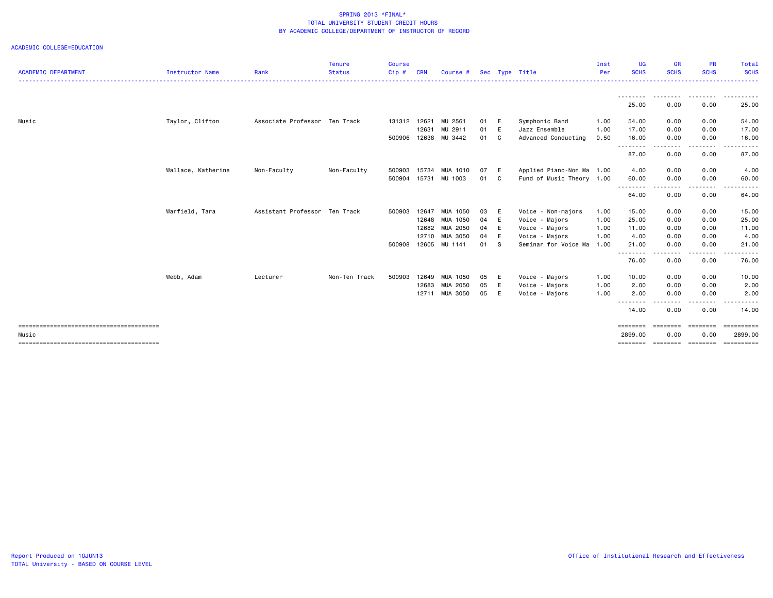| <b>ACADEMIC DEPARTMENT</b> | Instructor Name    | Rank                          | <b>Tenure</b><br><b>Status</b> | <b>Course</b><br>Cip# | <b>CRN</b> | Course #       |      |     | Sec Type Title            | Inst<br>Per | UG<br><b>SCHS</b>   | <b>GR</b><br><b>SCHS</b> | <b>PR</b><br><b>SCHS</b> | <b>Total</b><br><b>SCHS</b> |
|----------------------------|--------------------|-------------------------------|--------------------------------|-----------------------|------------|----------------|------|-----|---------------------------|-------------|---------------------|--------------------------|--------------------------|-----------------------------|
|                            |                    |                               |                                |                       |            |                |      |     |                           |             |                     |                          |                          |                             |
|                            |                    |                               |                                |                       |            |                |      |     |                           |             | --------<br>25.00   | .<br>0.00                | --------<br>0.00         | ----------<br>25.00         |
| Music                      | Taylor, Clifton    | Associate Professor Ten Track |                                | 131312 12621          |            | MU 2561        | 01 E |     | Symphonic Band            | 1.00        | 54.00               | 0.00                     | 0.00                     | 54.00                       |
|                            |                    |                               |                                |                       | 12631      | MU 2911        | 01   | E   | Jazz Ensemble             | 1.00        | 17.00               | 0.00                     | 0.00                     | 17.00                       |
|                            |                    |                               |                                | 500906                |            | 12638 MU 3442  | 01 C |     | Advanced Conducting       | 0.50        | 16.00               | 0.00                     | 0.00                     | 16.00                       |
|                            |                    |                               |                                |                       |            |                |      |     |                           |             | .<br>87.00          | $\cdots$<br>0.00         | 0.00                     | 87.00                       |
|                            | Wallace, Katherine | Non-Faculty                   | Non-Faculty                    | 500903                | 15734      | MUA 1010       | 07   | E   | Applied Piano-Non Ma 1.00 |             | 4.00                | 0.00                     | 0.00                     | 4.00                        |
|                            |                    |                               |                                | 500904                | 15731      | MU 1003        | 01   | C.  | Fund of Music Theory 1.00 |             | 60.00               | 0.00                     | 0.00                     | 60.00                       |
|                            |                    |                               |                                |                       |            |                |      |     |                           |             | --------<br>64.00   | .<br>0.00                | 0.00                     | 64.00                       |
|                            | Warfield, Tara     | Assistant Professor Ten Track |                                | 500903                | 12647      | MUA 1050       | 03 E |     | Voice - Non-majors        | 1.00        | 15.00               | 0.00                     | 0.00                     | 15.00                       |
|                            |                    |                               |                                |                       |            | 12648 MUA 1050 | 04 E |     | Voice - Majors            | 1.00        | 25.00               | 0.00                     | 0.00                     | 25.00                       |
|                            |                    |                               |                                |                       |            | 12682 MUA 2050 | 04 E |     | Voice - Majors            | 1.00        | 11.00               | 0.00                     | 0.00                     | 11.00                       |
|                            |                    |                               |                                |                       |            | 12710 MUA 3050 | 04 E |     | Voice - Majors            | 1.00        | 4.00                | 0.00                     | 0.00                     | 4.00                        |
|                            |                    |                               |                                | 500908                |            | 12605 MU 1141  | 01 S |     | Seminar for Voice Ma      | 1.00        | 21.00               | 0.00                     | 0.00                     | 21.00                       |
|                            |                    |                               |                                |                       |            |                |      |     |                           |             | --------<br>76.00   | 0.00                     | 0.00                     | 76.00                       |
|                            | Webb, Adam         | Lecturer                      | Non-Ten Track                  | 500903                |            | 12649 MUA 1050 | 05   | - E | Voice - Majors            | 1.00        | 10.00               | 0.00                     | 0.00                     | 10.00                       |
|                            |                    |                               |                                |                       |            | 12683 MUA 2050 | 05 E |     | Voice - Majors            | 1.00        | 2.00                | 0.00                     | 0.00                     | 2.00                        |
|                            |                    |                               |                                |                       |            | 12711 MUA 3050 | 05 E |     | Voice - Majors            | 1.00        | 2.00                | 0.00                     | 0.00                     | 2.00                        |
|                            |                    |                               |                                |                       |            |                |      |     |                           |             | <u>.</u><br>14.00   | $  -$<br>0.00            | 0.00                     | 14.00                       |
| Music                      |                    |                               |                                |                       |            |                |      |     |                           |             | ========<br>2899.00 | ========<br>0.00         | ========<br>0.00         | 2899.00                     |
|                            |                    |                               |                                |                       |            |                |      |     |                           |             | ========            | $=$ = = = = = = =        | eeeeeee                  | ==========                  |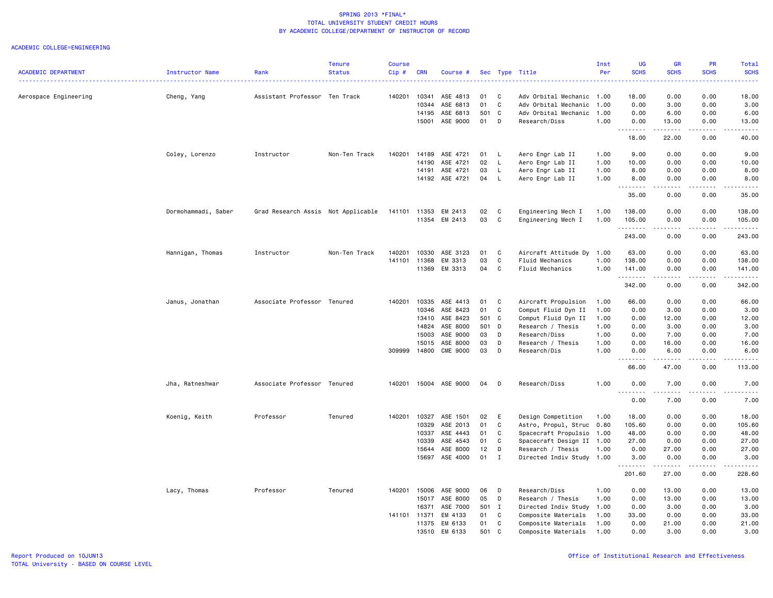|                            |                     |                                    | <b>Tenure</b> | <b>Course</b> |            |                 |       |              |                           | Inst | UG          | <b>GR</b>                                                                                                                                | PR          | Total              |
|----------------------------|---------------------|------------------------------------|---------------|---------------|------------|-----------------|-------|--------------|---------------------------|------|-------------|------------------------------------------------------------------------------------------------------------------------------------------|-------------|--------------------|
| <b>ACADEMIC DEPARTMENT</b> | Instructor Name     | Rank                               | <b>Status</b> | Cip#          | <b>CRN</b> | Course #        |       |              | Sec Type Title            | Per  | <b>SCHS</b> | <b>SCHS</b><br>$\frac{1}{2} \left( \frac{1}{2} \right) \left( \frac{1}{2} \right) \left( \frac{1}{2} \right) \left( \frac{1}{2} \right)$ | <b>SCHS</b> | <b>SCHS</b><br>.   |
| Aerospace Engineering      | Cheng, Yang         | Assistant Professor Ten Track      |               | 140201        | 10341      | ASE 4813        | 01    | C            | Adv Orbital Mechanic      | 1.00 | 18.00       | 0.00                                                                                                                                     | 0.00        | 18.00              |
|                            |                     |                                    |               |               | 10344      | ASE 6813        | 01    | C            | Adv Orbital Mechanic      | 1.00 | 0.00        | 3.00                                                                                                                                     | 0.00        | 3.00               |
|                            |                     |                                    |               |               | 14195      | ASE 6813        | 501 C |              | Adv Orbital Mechanic      | 1.00 | 0.00        | 6.00                                                                                                                                     | 0.00        | 6.00               |
|                            |                     |                                    |               |               | 15001      | ASE 9000        | 01    | D            | Research/Diss             | 1.00 | 0.00        | 13.00                                                                                                                                    | 0.00        | 13.00              |
|                            |                     |                                    |               |               |            |                 |       |              |                           |      | .<br>18.00  | $\begin{array}{cccccccccc} \bullet & \bullet & \bullet & \bullet & \bullet & \bullet & \bullet & \bullet \end{array}$<br>22.00           | .<br>0.00   | .<br>40.00         |
|                            | Coley, Lorenzo      | Instructor                         | Non-Ten Track | 140201        | 14189      | ASE 4721        | 01    | - L          | Aero Engr Lab II          | 1.00 | 9.00        | 0.00                                                                                                                                     | 0.00        | 9.00               |
|                            |                     |                                    |               |               | 14190      | ASE 4721        | 02    | L.           | Aero Engr Lab II          | 1.00 | 10.00       | 0.00                                                                                                                                     | 0.00        | 10.00              |
|                            |                     |                                    |               |               | 14191      | ASE 4721        | 03    | L            | Aero Engr Lab II          | 1.00 | 8.00        | 0.00                                                                                                                                     | 0.00        | 8.00               |
|                            |                     |                                    |               |               | 14192      | ASE 4721        | 04    | - L          | Aero Engr Lab II          | 1.00 | 8.00        | 0.00                                                                                                                                     | 0.00        | 8.00               |
|                            |                     |                                    |               |               |            |                 |       |              |                           |      | .<br>35.00  | المتماما<br>0.00                                                                                                                         | .<br>0.00   | .<br>35.00         |
|                            | Dormohammadi, Saber | Grad Research Assis Not Applicable |               | 141101        | 11353      | EM 2413         | 02    | $\mathbf{C}$ | Engineering Mech I        | 1.00 | 138.00      | 0.00                                                                                                                                     | 0.00        | 138.00             |
|                            |                     |                                    |               |               |            | 11354 EM 2413   | 03    | C            | Engineering Mech I        | 1.00 | 105.00<br>. | 0.00<br>.                                                                                                                                | 0.00<br>.   | 105.00<br>.        |
|                            |                     |                                    |               |               |            |                 |       |              |                           |      | 243.00      | 0.00                                                                                                                                     | 0.00        | 243.00             |
|                            | Hannigan, Thomas    | Instructor                         | Non-Ten Track | 140201        | 10330      | ASE 3123        | 01    | C            | Aircraft Attitude Dy      | 1.00 | 63.00       | 0.00                                                                                                                                     | 0.00        | 63.00              |
|                            |                     |                                    |               | 141101        | 11368      | EM 3313         | 03    | C            | Fluid Mechanics           | 1.00 | 138.00      | 0.00                                                                                                                                     | 0.00        | 138.00             |
|                            |                     |                                    |               |               |            | 11369 EM 3313   | 04 C  |              | Fluid Mechanics           | 1.00 | 141.00      | 0.00                                                                                                                                     | 0.00<br>.   | 141.00<br><u>.</u> |
|                            |                     |                                    |               |               |            |                 |       |              |                           |      | .<br>342.00 | .<br>0.00                                                                                                                                | 0.00        | 342.00             |
|                            | Janus, Jonathan     | Associate Professor                | Tenured       | 140201        | 10335      | ASE 4413        | 01    | C            | Aircraft Propulsion       | 1.00 | 66.00       | 0.00                                                                                                                                     | 0.00        | 66.00              |
|                            |                     |                                    |               |               |            | 10346 ASE 8423  | 01    | C            | Comput Fluid Dyn II       | 1.00 | 0.00        | 3.00                                                                                                                                     | 0.00        | 3.00               |
|                            |                     |                                    |               |               | 13410      | ASE 8423        | 501 C |              | Comput Fluid Dyn II       | 1.00 | 0.00        | 12.00                                                                                                                                    | 0.00        | 12.00              |
|                            |                     |                                    |               |               | 14824      | ASE 8000        | 501 D |              | Research / Thesis         | 1.00 | 0.00        | 3.00                                                                                                                                     | 0.00        | 3.00               |
|                            |                     |                                    |               |               | 15003      | ASE 9000        | 03    | D            | Research/Diss             | 1.00 | 0.00        | 7.00                                                                                                                                     | 0.00        | 7.00               |
|                            |                     |                                    |               |               | 15015      | ASE 8000        | 03    | D            | Research / Thesis         | 1.00 | 0.00        | 16.00                                                                                                                                    | 0.00        | 16.00              |
|                            |                     |                                    |               | 309999        | 14800      | <b>CME 9000</b> | 03    | D            | Research/Dis              | 1.00 | 0.00<br>.   | 6.00                                                                                                                                     | 0.00        | 6.00               |
|                            |                     |                                    |               |               |            |                 |       |              |                           |      | 66.00       | 47.00                                                                                                                                    | 0.00        | 113.00             |
|                            | Jha, Ratneshwar     | Associate Professor Tenured        |               | 140201        |            | 15004 ASE 9000  | 04    | D            | Research/Diss             | 1.00 | 0.00        | 7.00                                                                                                                                     | 0.00        | 7.00               |
|                            |                     |                                    |               |               |            |                 |       |              |                           |      | 0.00        | 7.00                                                                                                                                     | 0.00        | 7.00               |
|                            | Koenig, Keith       | Professor                          | Tenured       | 140201        | 10327      | ASE 1501        | 02    | E            | Design Competition        | 1.00 | 18.00       | 0.00                                                                                                                                     | 0.00        | 18.00              |
|                            |                     |                                    |               |               | 10329      | ASE 2013        | 01    | C            | Astro, Propul, Struc 0.80 |      | 105.60      | 0.00                                                                                                                                     | 0.00        | 105.60             |
|                            |                     |                                    |               |               | 10337      | ASE 4443        | 01    | C            | Spacecraft Propulsio      | 1.00 | 48.00       | 0.00                                                                                                                                     | 0.00        | 48.00              |
|                            |                     |                                    |               |               | 10339      | ASE 4543        | 01    | C            | Spacecraft Design II 1.00 |      | 27.00       | 0.00                                                                                                                                     | 0.00        | 27.00              |
|                            |                     |                                    |               |               | 15644      | ASE 8000        | 12    | D            | Research / Thesis         | 1.00 | 0.00        | 27.00                                                                                                                                    | 0.00        | 27.00              |
|                            |                     |                                    |               |               | 15697      | ASE 4000        | 01    | $\mathbf{I}$ | Directed Indiv Study 1.00 |      | 3.00        | 0.00                                                                                                                                     | 0.00        | 3.00               |
|                            |                     |                                    |               |               |            |                 |       |              |                           |      | .<br>201.60 | .<br>27.00                                                                                                                               | .<br>0.00   | .<br>228.60        |
|                            | Lacy, Thomas        | Professor                          | Tenured       | 140201        | 15006      | ASE 9000        | 06    | D            | Research/Diss             | 1.00 | 0.00        | 13.00                                                                                                                                    | 0.00        | 13.00              |
|                            |                     |                                    |               |               |            | 15017 ASE 8000  | 05    | D            | Research / Thesis         | 1.00 | 0.00        | 13.00                                                                                                                                    | 0.00        | 13.00              |
|                            |                     |                                    |               |               | 16371      | ASE 7000        | 501 I |              | Directed Indiv Study      | 1.00 | 0.00        | 3.00                                                                                                                                     | 0.00        | 3.00               |
|                            |                     |                                    |               | 141101 11371  |            | EM 4133         | 01    | $\mathbf{C}$ | Composite Materials       | 1.00 | 33.00       | 0.00                                                                                                                                     | 0.00        | 33.00              |
|                            |                     |                                    |               |               | 11375      | EM 6133         | 01    | C            | Composite Materials       | 1.00 | 0.00        | 21.00                                                                                                                                    | 0.00        | 21.00              |
|                            |                     |                                    |               |               | 13510      | EM 6133         | 501   | C            | Composite Materials       | 1.00 | 0.00        | 3.00                                                                                                                                     | 0.00        | 3.00               |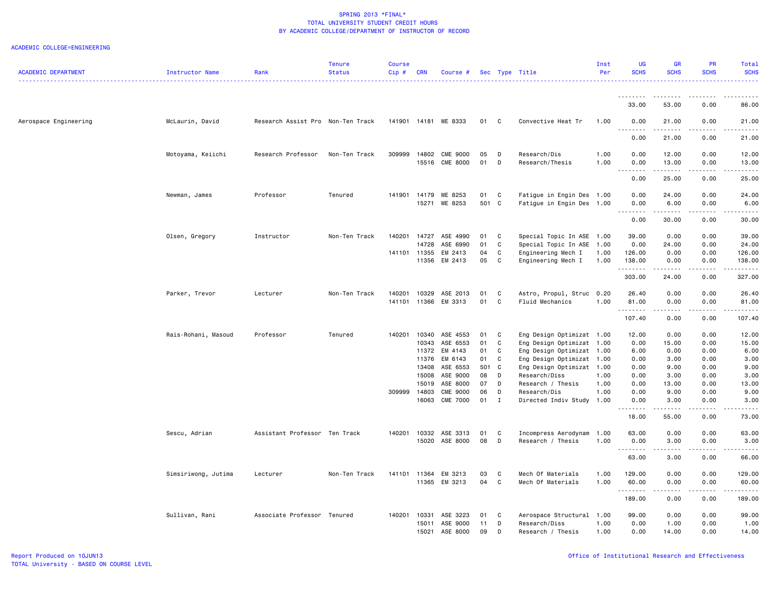| <b>ACADEMIC DEPARTMENT</b> | Instructor Name     | Rank                              | <b>Tenure</b><br><b>Status</b> | <b>Course</b><br>Cip# | <b>CRN</b>     | Course                            |          |              | Sec Type Title                                         | Inst<br>Per  | UG<br><b>SCHS</b> | <b>GR</b><br><b>SCHS</b> | PR<br><b>SCHS</b> | Total<br><b>SCHS</b>                                                                                                                                                                      |
|----------------------------|---------------------|-----------------------------------|--------------------------------|-----------------------|----------------|-----------------------------------|----------|--------------|--------------------------------------------------------|--------------|-------------------|--------------------------|-------------------|-------------------------------------------------------------------------------------------------------------------------------------------------------------------------------------------|
|                            |                     |                                   |                                |                       |                |                                   |          |              |                                                        |              |                   |                          |                   | .                                                                                                                                                                                         |
|                            |                     |                                   |                                |                       |                |                                   |          |              |                                                        |              | 33.00             | 53.00                    | 0.00              | 86.00                                                                                                                                                                                     |
| Aerospace Engineering      | McLaurin, David     | Research Assist Pro Non-Ten Track |                                |                       |                | 141901 14181 ME 8333              | 01       | C            | Convective Heat Tr                                     | 1.00         | 0.00<br><u>.</u>  | 21.00<br>.               | 0.00<br>.         | 21.00<br>.                                                                                                                                                                                |
|                            |                     |                                   |                                |                       |                |                                   |          |              |                                                        |              | 0.00              | 21.00                    | 0.00              | 21.00                                                                                                                                                                                     |
|                            | Motoyama, Keiichi   | Research Professor                | Non-Ten Track                  | 309999                | 14802          | <b>CME 9000</b><br>15516 CME 8000 | 05<br>01 | D<br>D       | Research/Dis<br>Research/Thesis                        | 1.00<br>1.00 | 0.00<br>0.00      | 12.00<br>13.00           | 0.00<br>0.00      | 12.00<br>13.00                                                                                                                                                                            |
|                            |                     |                                   |                                |                       |                |                                   |          |              |                                                        |              | .<br>0.00         | .<br>25.00               | .<br>0.00         | .<br>25.00                                                                                                                                                                                |
|                            | Newman, James       | Professor                         | Tenured                        | 141901                | 14179          | ME 8253                           | 01       | C            | Fatigue in Engin Des 1.00                              |              | 0.00              | 24.00                    | 0.00              | 24.00                                                                                                                                                                                     |
|                            |                     |                                   |                                |                       | 15271          | ME 8253                           | 501 C    |              | Fatigue in Engin Des 1.00                              |              | 0.00<br>.         | 6.00<br>.                | 0.00<br>.         | 6.00<br>.                                                                                                                                                                                 |
|                            |                     |                                   |                                |                       |                |                                   |          |              |                                                        |              | 0.00              | 30.00                    | 0.00              | 30.00                                                                                                                                                                                     |
|                            | Olsen, Gregory      | Instructor                        | Non-Ten Track                  | 140201                | 14727<br>14728 | ASE 4990<br>ASE 6990              | 01<br>01 | C<br>C       | Special Topic In ASE 1.00<br>Special Topic In ASE 1.00 |              | 39.00<br>0.00     | 0.00<br>24.00            | 0.00<br>0.00      | 39.00<br>24.00                                                                                                                                                                            |
|                            |                     |                                   |                                | 141101 11355          |                | EM 2413                           | 04       | C            | Engineering Mech I                                     | 1.00         | 126.00            | 0.00                     | 0.00              | 126.00                                                                                                                                                                                    |
|                            |                     |                                   |                                |                       | 11356          | EM 2413                           | 05       | C            | Engineering Mech I                                     | 1.00         | 138.00<br>.       | 0.00<br>.                | 0.00<br>.         | 138.00<br>$\frac{1}{2} \left( \frac{1}{2} \right) \left( \frac{1}{2} \right) \left( \frac{1}{2} \right) \left( \frac{1}{2} \right) \left( \frac{1}{2} \right) \left( \frac{1}{2} \right)$ |
|                            |                     |                                   |                                |                       |                |                                   |          |              |                                                        |              | 303.00            | 24.00                    | 0.00              | 327.00                                                                                                                                                                                    |
|                            | Parker, Trevor      | Lecturer                          | Non-Ten Track                  | 140201                | 10329          | ASE 2013                          | 01       | C            | Astro, Propul, Struc 0.20                              |              | 26.40             | 0.00                     | 0.00              | 26.40                                                                                                                                                                                     |
|                            |                     |                                   |                                | 141101                | 11366          | EM 3313                           | 01       | C            | Fluid Mechanics                                        | 1.00         | 81.00<br><u>.</u> | 0.00                     | 0.00              | 81.00                                                                                                                                                                                     |
|                            |                     |                                   |                                |                       |                |                                   |          |              |                                                        |              | 107.40            | 0.00                     | 0.00              | 107.40                                                                                                                                                                                    |
|                            | Rais-Rohani, Masoud | Professor                         | Tenured                        | 140201                | 10340          | ASE 4553                          | 01       | C            | Eng Design Optimizat 1.00                              |              | 12.00             | 0.00                     | 0.00              | 12.00                                                                                                                                                                                     |
|                            |                     |                                   |                                |                       | 10343<br>11372 | ASE 6553<br>EM 4143               | 01<br>01 | C<br>C       | Eng Design Optimizat<br>Eng Design Optimizat           | 1.00<br>1.00 | 0.00<br>6.00      | 15.00<br>0.00            | 0.00<br>0.00      | 15.00<br>6.00                                                                                                                                                                             |
|                            |                     |                                   |                                |                       | 11376          | EM 6143                           | 01       | C            | Eng Design Optimizat                                   | 1.00         | 0.00              | 3.00                     | 0.00              | 3.00                                                                                                                                                                                      |
|                            |                     |                                   |                                |                       | 13408          | ASE 6553                          | 501 C    |              | Eng Design Optimizat 1.00                              |              | 0.00              | 9.00                     | 0.00              | 9.00                                                                                                                                                                                      |
|                            |                     |                                   |                                |                       | 15008          | ASE 9000                          | 08       | D            | Research/Diss                                          | 1.00         | 0.00              | 3.00                     | 0.00              | 3.00                                                                                                                                                                                      |
|                            |                     |                                   |                                |                       | 15019          | ASE 8000                          | 07       | D            | Research / Thesis                                      | 1.00         | 0.00              | 13.00                    | 0.00              | 13.00                                                                                                                                                                                     |
|                            |                     |                                   |                                | 309999                | 14803          | <b>CME 9000</b>                   | 06       | D            | Research/Dis                                           | 1.00         | 0.00              | 9.00                     | 0.00              | 9.00                                                                                                                                                                                      |
|                            |                     |                                   |                                |                       | 16063          | <b>CME 7000</b>                   | $01$ I   |              | Directed Indiv Study 1.00                              |              | 0.00<br>.         | 3.00<br>------           | 0.00<br>.         | 3.00<br>.                                                                                                                                                                                 |
|                            |                     |                                   |                                |                       |                |                                   |          |              |                                                        |              | 18.00             | 55.00                    | 0.00              | 73.00                                                                                                                                                                                     |
|                            | Sescu, Adrian       | Assistant Professor Ten Track     |                                | 140201                |                | 10332 ASE 3313                    | 01       | C            | Incompress Aerodynam 1.00                              |              | 63.00             | 0.00                     | 0.00              | 63.00                                                                                                                                                                                     |
|                            |                     |                                   |                                |                       |                | 15020 ASE 8000                    | 08       | D            | Research / Thesis                                      | 1.00         | 0.00<br>.         | 3.00                     | 0.00              | 3.00                                                                                                                                                                                      |
|                            |                     |                                   |                                |                       |                |                                   |          |              |                                                        |              | 63.00             | 3.00                     | 0.00              | 66.00                                                                                                                                                                                     |
|                            | Simsiriwong, Jutima | Lecturer                          | Non-Ten Track                  | 141101 11364          |                | EM 3213                           | 03       | C            | Mech Of Materials                                      | 1.00         | 129.00            | 0.00                     | 0.00              | 129.00                                                                                                                                                                                    |
|                            |                     |                                   |                                |                       |                | 11365 EM 3213                     | 04 C     |              | Mech Of Materials                                      | 1.00         | 60.00<br>.        | 0.00<br>.                | 0.00<br>د د د د   | 60.00                                                                                                                                                                                     |
|                            |                     |                                   |                                |                       |                |                                   |          |              |                                                        |              | 189.00            | 0.00                     | 0.00              | 189.00                                                                                                                                                                                    |
|                            | Sullivan, Rani      | Associate Professor Tenured       |                                | 140201 10331          |                | ASE 3223                          | 01       | $\mathbf{C}$ | Aerospace Structural 1.00                              |              | 99.00             | 0.00                     | 0.00              | 99.00                                                                                                                                                                                     |
|                            |                     |                                   |                                |                       | 15011          | ASE 9000                          | 11       | D            | Research/Diss                                          | 1.00         | 0.00              | 1.00                     | 0.00              | 1.00                                                                                                                                                                                      |
|                            |                     |                                   |                                |                       | 15021          | ASE 8000                          | 09       | D            | Research / Thesis                                      | 1.00         | 0.00              | 14.00                    | 0.00              | 14.00                                                                                                                                                                                     |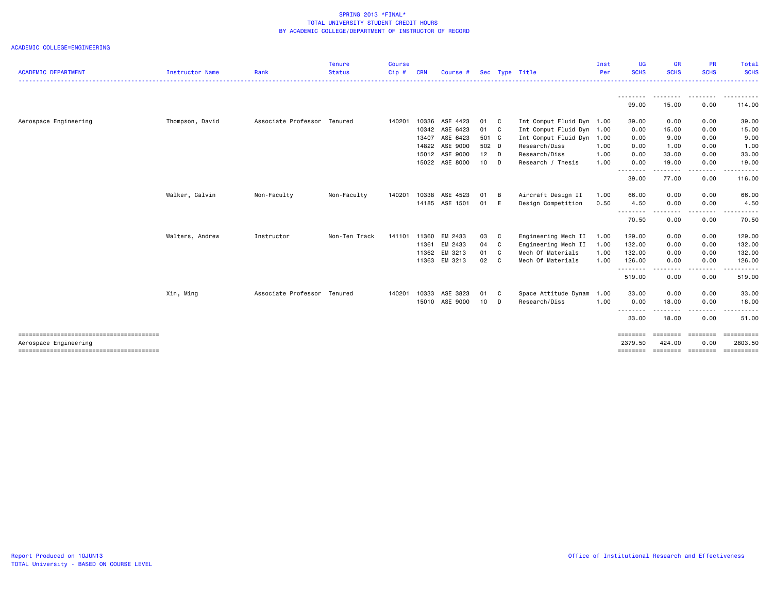|                            |                 |                             | <b>Tenure</b> | <b>Course</b> |            |                |        |                |                           | Inst | UG                 | <b>GR</b>                                                                                                                         | PR                   | Total            |
|----------------------------|-----------------|-----------------------------|---------------|---------------|------------|----------------|--------|----------------|---------------------------|------|--------------------|-----------------------------------------------------------------------------------------------------------------------------------|----------------------|------------------|
| <b>ACADEMIC DEPARTMENT</b> | Instructor Name | Rank                        | <b>Status</b> | Cip#          | <b>CRN</b> | Course #       |        |                | Sec Type Title            | Per  | <b>SCHS</b>        | <b>SCHS</b>                                                                                                                       | <b>SCHS</b>          | <b>SCHS</b><br>. |
|                            |                 |                             |               |               |            |                |        |                |                           |      | . <sub>*</sub>     | .                                                                                                                                 | .                    | . <i>.</i> .     |
|                            |                 |                             |               |               |            |                |        |                |                           |      | 99.00              | 15.00                                                                                                                             | 0.00                 | 114.00           |
| Aerospace Engineering      | Thompson, David | Associate Professor Tenured |               | 140201        | 10336      | ASE 4423       | 01 C   |                | Int Comput Fluid Dyn 1.00 |      | 39.00              | 0.00                                                                                                                              | 0.00                 | 39.00            |
|                            |                 |                             |               |               |            | 10342 ASE 6423 | 01 C   |                | Int Comput Fluid Dyn      | 1.00 | 0.00               | 15.00                                                                                                                             | 0.00                 | 15.00            |
|                            |                 |                             |               |               |            | 13407 ASE 6423 | 501 C  |                | Int Comput Fluid Dyn      | 1.00 | 0.00               | 9.00                                                                                                                              | 0.00                 | 9.00             |
|                            |                 |                             |               |               | 14822      | ASE 9000       | 502 D  |                | Research/Diss             | 1.00 | 0.00               | 1.00                                                                                                                              | 0.00                 | 1.00             |
|                            |                 |                             |               |               |            | 15012 ASE 9000 | $12$ D |                | Research/Diss             | 1.00 | 0.00               | 33.00                                                                                                                             | 0.00                 | 33.00            |
|                            |                 |                             |               |               |            | 15022 ASE 8000 | 10     | D              | Research / Thesis         | 1.00 | 0.00<br>.          | 19.00                                                                                                                             | 0.00                 | 19.00            |
|                            |                 |                             |               |               |            |                |        |                |                           |      | 39.00              | ---<br>77.00                                                                                                                      | . <u>. .</u><br>0.00 | 116.00           |
|                            | Walker, Calvin  | Non-Faculty                 | Non-Faculty   | 140201        | 10338      | ASE 4523       | 01     | B              | Aircraft Design II        | 1.00 | 66.00              | 0.00                                                                                                                              | 0.00                 | 66.00            |
|                            |                 |                             |               |               |            | 14185 ASE 1501 | 01     | E              | Design Competition        | 0.50 | 4.50               | 0.00                                                                                                                              | 0.00                 | 4.50             |
|                            |                 |                             |               |               |            |                |        |                |                           |      | --------<br>70.50  | $\frac{1}{2} \left( \frac{1}{2} \right) \left( \frac{1}{2} \right) \left( \frac{1}{2} \right) \left( \frac{1}{2} \right)$<br>0.00 | .<br>0.00            | .<br>70.50       |
|                            | Walters, Andrew | Instructor                  | Non-Ten Track | 141101        | 11360      | EM 2433        | 03     | C              | Engineering Mech II       | 1.00 | 129.00             | 0.00                                                                                                                              | 0.00                 | 129.00           |
|                            |                 |                             |               |               | 11361      | EM 2433        | 04     | C              | Engineering Mech II       | 1.00 | 132.00             | 0.00                                                                                                                              | 0.00                 | 132.00           |
|                            |                 |                             |               |               | 11362      | EM 3213        | 01     | $\mathbf{C}$   | Mech Of Materials         | 1.00 | 132.00             | 0.00                                                                                                                              | 0.00                 | 132.00           |
|                            |                 |                             |               |               | 11363      | EM 3213        | 02     | C <sub>1</sub> | Mech Of Materials         | 1.00 | 126.00<br>-------- | 0.00<br>$\frac{1}{2} \left( \frac{1}{2} \right) \left( \frac{1}{2} \right) \left( \frac{1}{2} \right) \left( \frac{1}{2} \right)$ | 0.00<br>--------     | 126.00<br>.      |
|                            |                 |                             |               |               |            |                |        |                |                           |      | 519.00             | 0.00                                                                                                                              | 0.00                 | 519.00           |
|                            | Xin, Ming       | Associate Professor Tenured |               | 140201        | 10333      | ASE 3823       | 01     | C              | Space Attitude Dynam      | 1.00 | 33.00              | 0.00                                                                                                                              | 0.00                 | 33.00            |
|                            |                 |                             |               |               |            | 15010 ASE 9000 | 10     | D              | Research/Diss             | 1.00 | 0.00               | 18.00                                                                                                                             | 0.00                 | 18.00            |
|                            |                 |                             |               |               |            |                |        |                |                           |      | 33.00              | 18.00                                                                                                                             | 0.00                 | 51.00            |
|                            |                 |                             |               |               |            |                |        |                |                           |      | ========           | $=$ = = = = = = =                                                                                                                 | ========             | ==========       |
| Aerospace Engineering      |                 |                             |               |               |            |                |        |                |                           |      | 2379.50            | 424.00                                                                                                                            | 0.00                 | 2803.50          |
|                            |                 |                             |               |               |            |                |        |                |                           |      | ========           | ========                                                                                                                          | ========             | ==========       |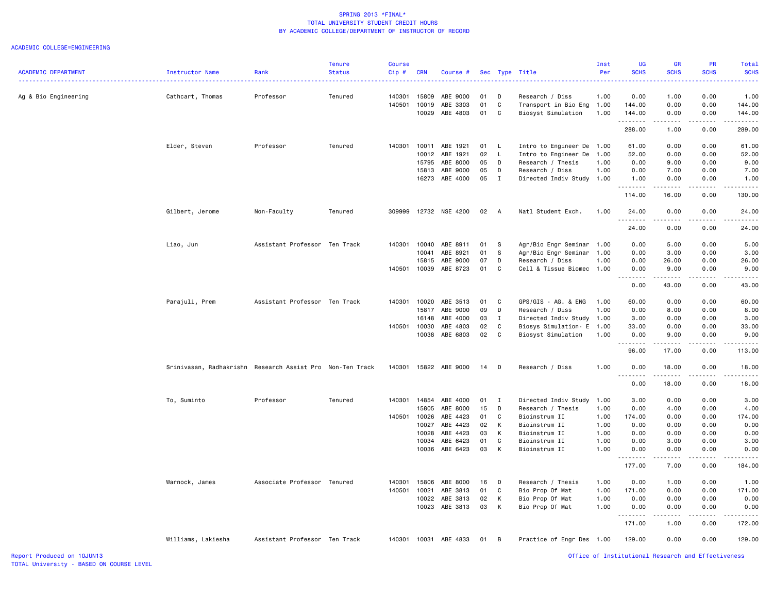|                            |                                                           |                               | <b>Tenure</b> | <b>Course</b> |            |                       |    |              |                           | Inst | <b>UG</b>                                     | <b>GR</b>   | PR               | Total                                                     |
|----------------------------|-----------------------------------------------------------|-------------------------------|---------------|---------------|------------|-----------------------|----|--------------|---------------------------|------|-----------------------------------------------|-------------|------------------|-----------------------------------------------------------|
| <b>ACADEMIC DEPARTMENT</b> | Instructor Name                                           | Rank                          | <b>Status</b> | Cip#          | <b>CRN</b> | Course #              |    |              | Sec Type Title            | Per  | <b>SCHS</b>                                   | <b>SCHS</b> | <b>SCHS</b>      | <b>SCHS</b><br>الدائد الدائد                              |
| Ag & Bio Engineering       | Cathcart, Thomas                                          | Professor                     | Tenured       | 140301        | 15809      | ABE 9000              | 01 | D            | Research / Diss           | 1.00 | 0.00                                          | 1.00        | 0.00             | 1.00                                                      |
|                            |                                                           |                               |               | 140501        | 10019      | ABE 3303              | 01 | C            | Transport in Bio Eng      | 1.00 | 144.00                                        | 0.00        | 0.00             | 144.00                                                    |
|                            |                                                           |                               |               |               | 10029      | ABE 4803              | 01 | C            | Biosyst Simulation        | 1.00 | 144.00                                        | 0.00        | 0.00             | 144.00                                                    |
|                            |                                                           |                               |               |               |            |                       |    |              |                           |      | .<br>288.00                                   | .<br>1.00   | المتماما<br>0.00 | 2.2.2.2.2.3<br>289.00                                     |
|                            | Elder, Steven                                             | Professor                     | Tenured       | 140301        | 10011      | ABE 1921              | 01 | - L          | Intro to Engineer De 1.00 |      | 61.00                                         | 0.00        | 0.00             | 61.00                                                     |
|                            |                                                           |                               |               |               | 10012      | ABE 1921              | 02 | $\mathsf{L}$ | Intro to Engineer De      | 1.00 | 52.00                                         | 0.00        | 0.00             | 52.00                                                     |
|                            |                                                           |                               |               |               | 15795      | ABE 8000              | 05 | D            | Research / Thesis         | 1.00 | 0.00                                          | 9.00        | 0.00             | 9.00                                                      |
|                            |                                                           |                               |               |               | 15813      | ABE 9000              | 05 | D            | Research / Diss           | 1.00 | 0.00                                          | 7.00        | 0.00             | 7.00                                                      |
|                            |                                                           |                               |               |               |            | 16273 ABE 4000        | 05 | $\mathbf{I}$ | Directed Indiv Study 1.00 |      | 1.00<br>.                                     | 0.00<br>.   | 0.00<br>.        | 1.00<br>2.2.2.2.2.3                                       |
|                            |                                                           |                               |               |               |            |                       |    |              |                           |      | 114.00                                        | 16.00       | 0.00             | 130.00                                                    |
|                            | Gilbert, Jerome                                           | Non-Faculty                   | Tenured       | 309999        |            | 12732 NSE 4200        | 02 | A            | Natl Student Exch.        | 1.00 | 24.00<br>.                                    | 0.00<br>.   | 0.00<br>.        | 24.00<br>.                                                |
|                            |                                                           |                               |               |               |            |                       |    |              |                           |      | 24.00                                         | 0.00        | 0.00             | 24.00                                                     |
|                            | Liao, Jun                                                 | Assistant Professor Ten Track |               | 140301        | 10040      | ABE 8911              | 01 | S            | Agr/Bio Engr Seminar 1.00 |      | 0.00                                          | 5.00        | 0.00             | 5.00                                                      |
|                            |                                                           |                               |               |               | 10041      | ABE 8921              | 01 | S            | Agr/Bio Engr Seminar      | 1.00 | 0.00                                          | 3.00        | 0.00             | 3.00                                                      |
|                            |                                                           |                               |               |               | 15815      | ABE 9000              | 07 | D            | Research / Diss           | 1.00 | 0.00                                          | 26.00       | 0.00             | 26.00                                                     |
|                            |                                                           |                               |               | 140501        | 10039      | ABE 8723              | 01 | C            | Cell & Tissue Biomec      | 1.00 | 0.00<br>$\frac{1}{2}$<br>$\sim$ $\sim$ $\sim$ | 9.00<br>.   | 0.00             | 9.00<br>$\frac{1}{2}$                                     |
|                            |                                                           |                               |               |               |            |                       |    |              |                           |      | 0.00                                          | 43.00       | 0.00             | 43.00                                                     |
|                            | Parajuli, Prem                                            | Assistant Professor Ten Track |               | 140301        | 10020      | ABE 3513              | 01 | C            | GPS/GIS - AG. & ENG       | 1.00 | 60.00                                         | 0.00        | 0.00             | 60.00                                                     |
|                            |                                                           |                               |               |               | 15817      | ABE 9000              | 09 | D            | Research / Diss           | 1.00 | 0.00                                          | 8.00        | 0.00             | 8.00                                                      |
|                            |                                                           |                               |               |               | 16148      | ABE 4000              | 03 | $\mathbf{I}$ | Directed Indiv Study 1.00 |      | 3.00                                          | 0.00        | 0.00             | 3.00                                                      |
|                            |                                                           |                               |               | 140501        | 10030      | ABE 4803              | 02 | C            | Biosys Simulation- E      | 1.00 | 33.00                                         | 0.00        | 0.00             | 33.00                                                     |
|                            |                                                           |                               |               |               | 10038      | ABE 6803              | 02 | C            | Biosyst Simulation        | 1.00 | 0.00                                          | 9.00        | 0.00             | 9.00                                                      |
|                            |                                                           |                               |               |               |            |                       |    |              |                           |      | 96.00                                         | 17.00       | 0.00             | 113.00                                                    |
|                            | Srinivasan, Radhakrishn Research Assist Pro Non-Ten Track |                               |               | 140301        |            | 15822 ABE 9000        | 14 | D            | Research / Diss           | 1.00 | 0.00<br>.                                     | 18.00<br>.  | 0.00<br>.        | 18.00<br>. <b>.</b>                                       |
|                            |                                                           |                               |               |               |            |                       |    |              |                           |      | 0.00                                          | 18.00       | 0.00             | 18.00                                                     |
|                            | To, Suminto                                               | Professor                     | Tenured       | 140301        | 14854      | ABE 4000              | 01 | $\mathbf{I}$ | Directed Indiv Study      | 1.00 | 3.00                                          | 0.00        | 0.00             | 3.00                                                      |
|                            |                                                           |                               |               |               | 15805      | ABE 8000              | 15 | D            | Research / Thesis         | 1.00 | 0.00                                          | 4.00        | 0.00             | 4.00                                                      |
|                            |                                                           |                               |               | 140501        | 10026      | ABE 4423              | 01 | C            | Bioinstrum II             | 1.00 | 174.00                                        | 0.00        | 0.00             | 174.00                                                    |
|                            |                                                           |                               |               |               | 10027      | ABE 4423              | 02 | К            | Bioinstrum II             | 1.00 | 0.00                                          | 0.00        | 0.00             | 0.00                                                      |
|                            |                                                           |                               |               |               | 10028      | ABE 4423              | 03 | К            | Bioinstrum II             | 1.00 | 0.00                                          | 0.00        | 0.00             | 0.00                                                      |
|                            |                                                           |                               |               |               | 10034      | ABE 6423              | 01 | C            | Bioinstrum II             | 1.00 | 0.00                                          | 3.00        | 0.00             | 3.00                                                      |
|                            |                                                           |                               |               |               | 10036      | ABE 6423              | 03 | К            | Bioinstrum II             | 1.00 | 0.00<br>.                                     | 0.00<br>.   | 0.00<br>.        | 0.00<br>$\omega_{\alpha}=\omega_{\alpha}=\omega_{\alpha}$ |
|                            |                                                           |                               |               |               |            |                       |    |              |                           |      | 177.00                                        | 7.00        | 0.00             | 184.00                                                    |
|                            | Warnock, James                                            | Associate Professor Tenured   |               | 140301        | 15806      | ABE 8000              | 16 | D            | Research / Thesis         | 1.00 | 0.00                                          | 1.00        | 0.00             | 1.00                                                      |
|                            |                                                           |                               |               | 140501        | 10021      | ABE 3813              | 01 | C            | Bio Prop Of Mat           | 1.00 | 171.00                                        | 0.00        | 0.00             | 171.00                                                    |
|                            |                                                           |                               |               |               | 10022      | ABE 3813              | 02 | К            | Bio Prop Of Mat           | 1.00 | 0.00                                          | 0.00        | 0.00             | 0.00                                                      |
|                            |                                                           |                               |               |               |            | 10023 ABE 3813        | 03 | К            | Bio Prop Of Mat           | 1.00 | 0.00                                          | 0.00        | 0.00             | 0.00                                                      |
|                            |                                                           |                               |               |               |            |                       |    |              |                           |      | 171.00                                        | 1.00        | 0.00             | 172.00                                                    |
|                            | Williams, Lakiesha                                        | Assistant Professor Ten Track |               |               |            | 140301 10031 ABE 4833 | 01 | B            | Practice of Engr Des 1.00 |      | 129.00                                        | 0.00        | 0.00             | 129.00                                                    |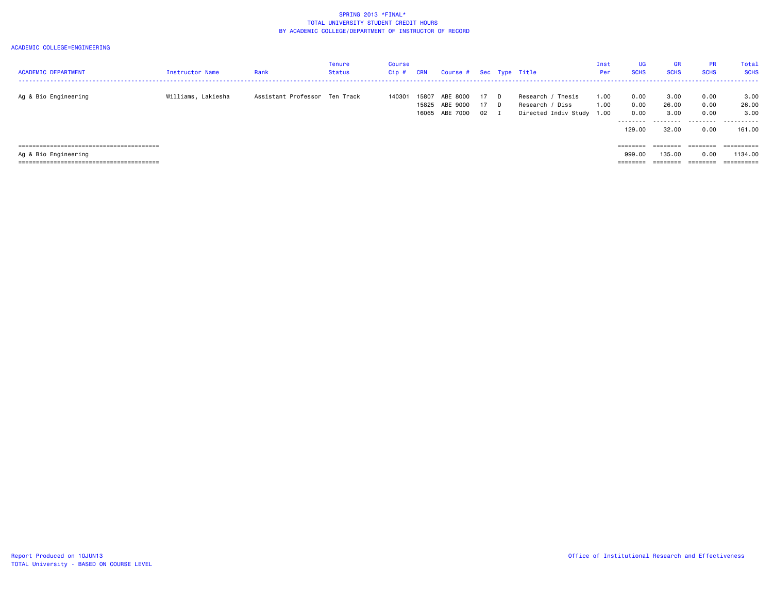| <b>ACADEMIC DEPARTMENT</b> | <b>Instructor Name</b> | Rank                          | Tenure<br><b>Status</b> | <b>Course</b><br>$Cip$ # | CRN            | Course # Sec Type Title                |                      |                                                                   | Inst<br>Per  | UG<br><b>SCHS</b>                           | <b>GR</b><br><b>SCHS</b>                    | <b>PR</b><br><b>SCHS</b>          | <b>Total</b><br><b>SCHS</b>          |
|----------------------------|------------------------|-------------------------------|-------------------------|--------------------------|----------------|----------------------------------------|----------------------|-------------------------------------------------------------------|--------------|---------------------------------------------|---------------------------------------------|-----------------------------------|--------------------------------------|
| Ag & Bio Engineering       | Williams, Lakiesha     | Assistant Professor Ten Track |                         | 140301                   | 15807<br>15825 | ABE 8000<br>ABE 9000<br>16065 ABE 7000 | 17 D<br>17 D<br>02 I | Research / Thesis<br>Research / Diss<br>Directed Indiv Study 1.00 | 1.00<br>1.00 | 0.00<br>0.00<br>0.00<br>---------<br>129.00 | 3.00<br>26.00<br>3.00<br>---------<br>32.00 | 0.00<br>0.00<br>0.00<br>.<br>0.00 | 3.00<br>26.00<br>3.00<br>.<br>161.00 |
|                            |                        |                               |                         |                          |                |                                        |                      |                                                                   |              | ========                                    | ========                                    | ========                          |                                      |
| Ag & Bio Engineering       |                        |                               |                         |                          |                |                                        |                      |                                                                   |              | 999.00                                      | 135,00                                      | 0.00                              | 1134.00                              |
|                            |                        |                               |                         |                          |                |                                        |                      |                                                                   |              | ________<br>--------                        | ________                                    | $=$ = = = = = = =                 | ==========                           |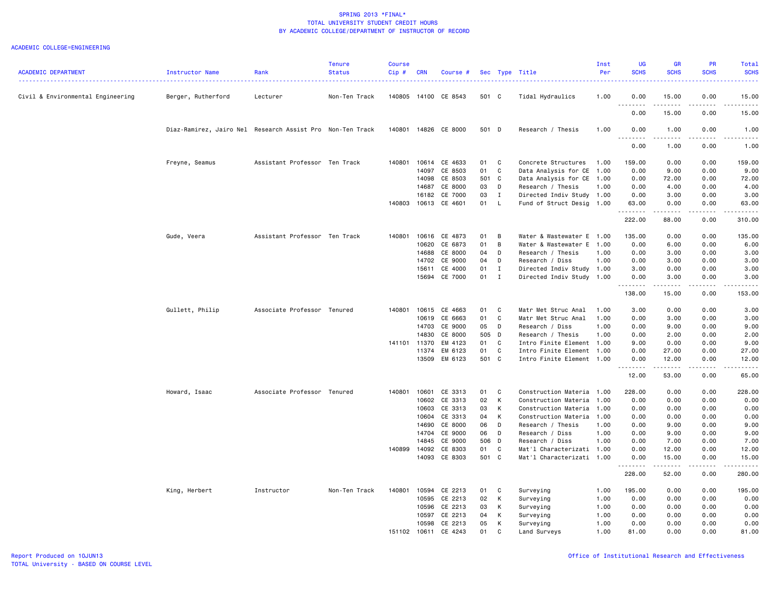|                                   |                                                           |                               | <b>Tenure</b> | <b>Course</b> |            |                      |       |              |                           | Inst | <b>UG</b>     | <b>GR</b>                                                                                                                                                    | <b>PR</b>   | Total                                                                                                                                                        |
|-----------------------------------|-----------------------------------------------------------|-------------------------------|---------------|---------------|------------|----------------------|-------|--------------|---------------------------|------|---------------|--------------------------------------------------------------------------------------------------------------------------------------------------------------|-------------|--------------------------------------------------------------------------------------------------------------------------------------------------------------|
| <b>ACADEMIC DEPARTMENT</b>        | Instructor Name                                           | Rank                          | <b>Status</b> | Cip#          | <b>CRN</b> | Course #             |       |              | Sec Type Title            | Per  | <b>SCHS</b>   | <b>SCHS</b>                                                                                                                                                  | <b>SCHS</b> | <b>SCHS</b><br>المتمام                                                                                                                                       |
| Civil & Environmental Engineering | Berger, Rutherford                                        | Lecturer                      | Non-Ten Track |               |            | 140805 14100 CE 8543 | 501 C |              | Tidal Hydraulics          | 1.00 | 0.00          | 15.00                                                                                                                                                        | 0.00        | 15.00                                                                                                                                                        |
|                                   |                                                           |                               |               |               |            |                      |       |              |                           |      | .<br>0.00     | 15.00                                                                                                                                                        | 0.00        | .<br>15.00                                                                                                                                                   |
|                                   | Diaz-Ramirez, Jairo Nel Research Assist Pro Non-Ten Track |                               |               |               |            | 140801 14826 CE 8000 | 501 D |              | Research / Thesis         | 1.00 | 0.00          | 1.00                                                                                                                                                         | 0.00        | 1.00                                                                                                                                                         |
|                                   |                                                           |                               |               |               |            |                      |       |              |                           |      | -----<br>0.00 | $\frac{1}{2} \left( \frac{1}{2} \right) \left( \frac{1}{2} \right) \left( \frac{1}{2} \right) \left( \frac{1}{2} \right) \left( \frac{1}{2} \right)$<br>1.00 | .<br>0.00   | $\frac{1}{2} \left( \frac{1}{2} \right) \left( \frac{1}{2} \right) \left( \frac{1}{2} \right) \left( \frac{1}{2} \right) \left( \frac{1}{2} \right)$<br>1.00 |
|                                   | Freyne, Seamus                                            | Assistant Professor Ten Track |               | 140801        | 10614      | CE 4633              | 01    | C            | Concrete Structures       | 1.00 | 159.00        | 0.00                                                                                                                                                         | 0.00        | 159.00                                                                                                                                                       |
|                                   |                                                           |                               |               |               | 14097      | CE 8503              | 01    | C            | Data Analysis for CE      | 1.00 | 0.00          | 9.00                                                                                                                                                         | 0.00        | 9.00                                                                                                                                                         |
|                                   |                                                           |                               |               |               | 14098      | CE 8503              | 501 C |              | Data Analysis for CE      | 1.00 | 0.00          | 72.00                                                                                                                                                        | 0.00        | 72.00                                                                                                                                                        |
|                                   |                                                           |                               |               |               | 14687      | CE 8000              | 03    | D            | Research / Thesis         | 1.00 | 0.00          | 4.00                                                                                                                                                         | 0.00        | 4.00                                                                                                                                                         |
|                                   |                                                           |                               |               |               | 16182      | CE 7000              | 03    | $\mathbf I$  | Directed Indiv Study 1.00 |      | 0.00          | 3.00                                                                                                                                                         | 0.00        | 3.00                                                                                                                                                         |
|                                   |                                                           |                               |               | 140803        | 10613      | CE 4601              | 01    | L.           | Fund of Struct Desig 1.00 |      | 63.00<br>.    | 0.00<br>.                                                                                                                                                    | 0.00<br>.   | 63.00<br>.                                                                                                                                                   |
|                                   |                                                           |                               |               |               |            |                      |       |              |                           |      | 222.00        | 88.00                                                                                                                                                        | 0.00        | 310.00                                                                                                                                                       |
|                                   | Gude, Veera                                               | Assistant Professor Ten Track |               | 140801        | 10616      | CE 4873              | 01    | B            | Water & Wastewater E      | 1.00 | 135.00        | 0.00                                                                                                                                                         | 0.00        | 135.00                                                                                                                                                       |
|                                   |                                                           |                               |               |               | 10620      | CE 6873              | 01    | B            | Water & Wastewater E 1.00 |      | 0.00          | 6.00                                                                                                                                                         | 0.00        | 6.00                                                                                                                                                         |
|                                   |                                                           |                               |               |               | 14688      | CE 8000              | 04    | D            | Research / Thesis         | 1.00 | 0.00          | 3.00                                                                                                                                                         | 0.00        | 3.00                                                                                                                                                         |
|                                   |                                                           |                               |               |               | 14702      | CE 9000              | 04    | D            | Research / Diss           | 1.00 | 0.00          | 3.00                                                                                                                                                         | 0.00        | 3.00                                                                                                                                                         |
|                                   |                                                           |                               |               |               | 15611      | CE 4000              | 01    | I            | Directed Indiv Study 1.00 |      | 3.00          | 0.00                                                                                                                                                         | 0.00        | 3.00                                                                                                                                                         |
|                                   |                                                           |                               |               |               |            | 15694 CE 7000        | 01    | $\mathbf{I}$ | Directed Indiv Study 1.00 |      | 0.00          | 3.00                                                                                                                                                         | 0.00        | 3.00                                                                                                                                                         |
|                                   |                                                           |                               |               |               |            |                      |       |              |                           |      | 138.00        | 15.00                                                                                                                                                        | 0.00        | 153.00                                                                                                                                                       |
|                                   | Gullett, Philip                                           | Associate Professor Tenured   |               |               |            | 140801 10615 CE 4663 | 01    | $\mathbf{C}$ | Matr Met Struc Anal       | 1.00 | 3.00          | 0.00                                                                                                                                                         | 0.00        | 3.00                                                                                                                                                         |
|                                   |                                                           |                               |               |               | 10619      | CE 6663              | 01    | C            | Matr Met Struc Anal       | 1.00 | 0.00          | 3.00                                                                                                                                                         | 0.00        | 3.00                                                                                                                                                         |
|                                   |                                                           |                               |               |               | 14703      | CE 9000              | 05    | D            | Research / Diss           | 1.00 | 0.00          | 9.00                                                                                                                                                         | 0.00        | 9.00                                                                                                                                                         |
|                                   |                                                           |                               |               |               | 14830      | CE 8000              | 505 D |              | Research / Thesis         | 1.00 | 0.00          | 2.00                                                                                                                                                         | 0.00        | 2.00                                                                                                                                                         |
|                                   |                                                           |                               |               | 141101 11370  |            | EM 4123              | 01    | C            | Intro Finite Element 1.00 |      | 9.00          | 0.00                                                                                                                                                         | 0.00        | 9.00                                                                                                                                                         |
|                                   |                                                           |                               |               |               | 11374      | EM 6123              | 01    | $\mathbf{C}$ | Intro Finite Element 1.00 |      | 0.00          | 27.00                                                                                                                                                        | 0.00        | 27.00                                                                                                                                                        |
|                                   |                                                           |                               |               |               | 13509      | EM 6123              | 501 C |              | Intro Finite Element 1.00 |      | 0.00<br>.     | 12.00<br>. <b>.</b>                                                                                                                                          | 0.00<br>.   | 12.00<br>.                                                                                                                                                   |
|                                   |                                                           |                               |               |               |            |                      |       |              |                           |      | 12.00         | 53.00                                                                                                                                                        | 0.00        | 65.00                                                                                                                                                        |
|                                   | Howard, Isaac                                             | Associate Professor Tenured   |               | 140801        | 10601      | CE 3313              | 01    | C            | Construction Materia      | 1.00 | 228.00        | 0.00                                                                                                                                                         | 0.00        | 228.00                                                                                                                                                       |
|                                   |                                                           |                               |               |               | 10602      | CE 3313              | 02    | К            | Construction Materia      | 1.00 | 0.00          | 0.00                                                                                                                                                         | 0.00        | 0.00                                                                                                                                                         |
|                                   |                                                           |                               |               |               | 10603      | CE 3313              | 03    | К            | Construction Materia      | 1.00 | 0.00          | 0.00                                                                                                                                                         | 0.00        | 0.00                                                                                                                                                         |
|                                   |                                                           |                               |               |               | 10604      | CE 3313              | 04    | К            | Construction Materia      | 1.00 | 0.00          | 0.00                                                                                                                                                         | 0.00        | 0.00                                                                                                                                                         |
|                                   |                                                           |                               |               |               | 14690      | CE 8000              | 06    | D            | Research / Thesis         | 1.00 | 0.00          | 9.00                                                                                                                                                         | 0.00        | 9.00                                                                                                                                                         |
|                                   |                                                           |                               |               |               | 14704      | CE 9000              | 06    | D            | Research / Diss           | 1.00 | 0.00          | 9.00                                                                                                                                                         | 0.00        | 9.00                                                                                                                                                         |
|                                   |                                                           |                               |               |               | 14845      | CE 9000              | 506 D |              | Research / Diss           | 1.00 | 0.00          | 7.00                                                                                                                                                         | 0.00        | 7.00                                                                                                                                                         |
|                                   |                                                           |                               |               | 140899 14092  |            | CE 8303              | 01    | C            | Mat'l Characterizati 1.00 |      | 0.00          | 12.00                                                                                                                                                        | 0.00        | 12.00                                                                                                                                                        |
|                                   |                                                           |                               |               |               | 14093      | CE 8303              | 501 C |              | Mat'l Characterizati 1.00 |      | 0.00<br>.     | 15.00<br>. <b>.</b>                                                                                                                                          | 0.00<br>.   | 15.00<br>.                                                                                                                                                   |
|                                   |                                                           |                               |               |               |            |                      |       |              |                           |      | 228.00        | 52.00                                                                                                                                                        | 0.00        | 280.00                                                                                                                                                       |
|                                   | King, Herbert                                             | Instructor                    | Non-Ten Track | 140801        | 10594      | CE 2213              | 01    | C            | Surveying                 | 1.00 | 195.00        | 0.00                                                                                                                                                         | 0.00        | 195.00                                                                                                                                                       |
|                                   |                                                           |                               |               |               | 10595      | CE 2213              | 02    | К            | Surveying                 | 1.00 | 0.00          | 0.00                                                                                                                                                         | 0.00        | 0.00                                                                                                                                                         |
|                                   |                                                           |                               |               |               | 10596      | CE 2213              | 03    | К            | Surveying                 | 1.00 | 0.00          | 0.00                                                                                                                                                         | 0.00        | 0.00                                                                                                                                                         |
|                                   |                                                           |                               |               |               | 10597      | CE 2213              | 04    | K            | Surveying                 | 1.00 | 0.00          | 0.00                                                                                                                                                         | 0.00        | 0.00                                                                                                                                                         |
|                                   |                                                           |                               |               |               | 10598      | CE 2213              | 05    | К            | Surveying                 | 1.00 | 0.00          | 0.00                                                                                                                                                         | 0.00        | 0.00                                                                                                                                                         |
|                                   |                                                           |                               |               | 151102        | 10611      | CE 4243              | 01    | C            | Land Surveys              | 1.00 | 81.00         | 0.00                                                                                                                                                         | 0.00        | 81.00                                                                                                                                                        |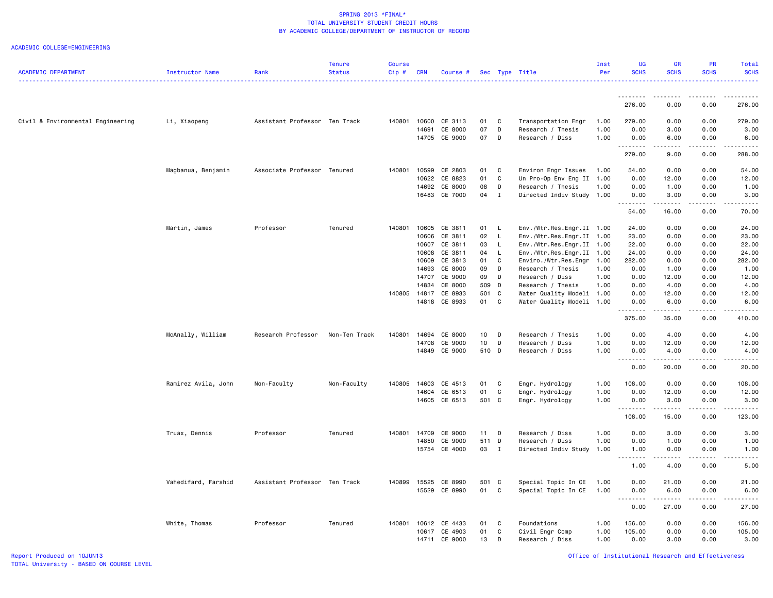|                                   |                     |                               | <b>Tenure</b> | Course |              |               |                 |              |                           | Inst | <b>UG</b>                                                                                                                                                                            | <b>GR</b>                                                                                                                                                                                                                                                                                                                                     | <b>PR</b>                                                                                                                                                                       | Total                                                                                                                                                               |
|-----------------------------------|---------------------|-------------------------------|---------------|--------|--------------|---------------|-----------------|--------------|---------------------------|------|--------------------------------------------------------------------------------------------------------------------------------------------------------------------------------------|-----------------------------------------------------------------------------------------------------------------------------------------------------------------------------------------------------------------------------------------------------------------------------------------------------------------------------------------------|---------------------------------------------------------------------------------------------------------------------------------------------------------------------------------|---------------------------------------------------------------------------------------------------------------------------------------------------------------------|
| <b>ACADEMIC DEPARTMENT</b>        | Instructor Name     | Rank                          | <b>Status</b> | Cip#   | <b>CRN</b>   | Course #      |                 |              | Sec Type Title            | Per  | <b>SCHS</b>                                                                                                                                                                          | <b>SCHS</b>                                                                                                                                                                                                                                                                                                                                   | <b>SCHS</b>                                                                                                                                                                     | <b>SCHS</b><br>$\frac{1}{2} \left( \frac{1}{2} \right) \left( \frac{1}{2} \right) \left( \frac{1}{2} \right) \left( \frac{1}{2} \right) \left( \frac{1}{2} \right)$ |
|                                   |                     |                               |               |        |              |               |                 |              |                           |      | <u>.</u>                                                                                                                                                                             | <u>.</u>                                                                                                                                                                                                                                                                                                                                      | $\frac{1}{2} \left( \frac{1}{2} \right) \left( \frac{1}{2} \right) \left( \frac{1}{2} \right) \left( \frac{1}{2} \right) \left( \frac{1}{2} \right) \left( \frac{1}{2} \right)$ |                                                                                                                                                                     |
|                                   |                     |                               |               |        |              |               |                 |              |                           |      | 276.00                                                                                                                                                                               | 0.00                                                                                                                                                                                                                                                                                                                                          | 0.00                                                                                                                                                                            | 276.00                                                                                                                                                              |
| Civil & Environmental Engineering | Li, Xiaopeng        | Assistant Professor Ten Track |               |        | 140801 10600 | CE 3113       | 01              | C            | Transportation Engr       | 1.00 | 279.00                                                                                                                                                                               | 0.00                                                                                                                                                                                                                                                                                                                                          | 0.00                                                                                                                                                                            | 279.00                                                                                                                                                              |
|                                   |                     |                               |               |        | 14691        | CE 8000       | 07              | D            | Research / Thesis         | 1.00 | 0.00                                                                                                                                                                                 | 3.00                                                                                                                                                                                                                                                                                                                                          | 0.00                                                                                                                                                                            | 3.00                                                                                                                                                                |
|                                   |                     |                               |               |        | 14705        | CE 9000       | 07              | D            | Research / Diss           | 1.00 | 0.00<br>.                                                                                                                                                                            | 6.00                                                                                                                                                                                                                                                                                                                                          | 0.00                                                                                                                                                                            | 6.00                                                                                                                                                                |
|                                   |                     |                               |               |        |              |               |                 |              |                           |      | 279.00                                                                                                                                                                               | 9.00                                                                                                                                                                                                                                                                                                                                          | 0.00                                                                                                                                                                            | 288.00                                                                                                                                                              |
|                                   | Magbanua, Benjamin  | Associate Professor Tenured   |               | 140801 | 10599        | CE 2803       | 01              | C            | Environ Engr Issues       | 1.00 | 54.00                                                                                                                                                                                | 0.00                                                                                                                                                                                                                                                                                                                                          | 0.00                                                                                                                                                                            | 54.00                                                                                                                                                               |
|                                   |                     |                               |               |        | 10622        | CE 8823       | 01              | C            | Un Pro-Op Env Eng II      | 1.00 | 0.00                                                                                                                                                                                 | 12.00                                                                                                                                                                                                                                                                                                                                         | 0.00                                                                                                                                                                            | 12.00                                                                                                                                                               |
|                                   |                     |                               |               |        | 14692        | CE 8000       | 08              | D            | Research / Thesis         | 1.00 | 0.00                                                                                                                                                                                 | 1.00                                                                                                                                                                                                                                                                                                                                          | 0.00                                                                                                                                                                            | 1.00                                                                                                                                                                |
|                                   |                     |                               |               |        |              | 16483 CE 7000 | 04              | $\mathbf{I}$ | Directed Indiv Study      | 1.00 | 0.00                                                                                                                                                                                 | 3.00<br>.                                                                                                                                                                                                                                                                                                                                     | 0.00<br>المتماما                                                                                                                                                                | 3.00                                                                                                                                                                |
|                                   |                     |                               |               |        |              |               |                 |              |                           |      | 54.00                                                                                                                                                                                | 16.00                                                                                                                                                                                                                                                                                                                                         | 0.00                                                                                                                                                                            | 70.00                                                                                                                                                               |
|                                   | Martin, James       | Professor                     | Tenured       | 140801 | 10605        | CE 3811       | 01              | <b>L</b>     | Env./Wtr.Res.Engr.II 1.00 |      | 24.00                                                                                                                                                                                | 0.00                                                                                                                                                                                                                                                                                                                                          | 0.00                                                                                                                                                                            | 24.00                                                                                                                                                               |
|                                   |                     |                               |               |        | 10606        | CE 3811       | 02              | $\mathsf{L}$ | Env./Wtr.Res.Engr.II 1.00 |      | 23.00                                                                                                                                                                                | 0.00                                                                                                                                                                                                                                                                                                                                          | 0.00                                                                                                                                                                            | 23.00                                                                                                                                                               |
|                                   |                     |                               |               |        | 10607        | CE 3811       | 03              | L.           | Env./Wtr.Res.Engr.II 1.00 |      | 22.00                                                                                                                                                                                | 0.00                                                                                                                                                                                                                                                                                                                                          | 0.00                                                                                                                                                                            | 22.00                                                                                                                                                               |
|                                   |                     |                               |               |        | 10608        | CE 3811       | 04              | $\mathsf{L}$ | Env./Wtr.Res.Engr.II 1.00 |      | 24.00                                                                                                                                                                                | 0.00                                                                                                                                                                                                                                                                                                                                          | 0.00                                                                                                                                                                            | 24.00                                                                                                                                                               |
|                                   |                     |                               |               |        | 10609        | CE 3813       | 01              | C            | Enviro./Wtr.Res.Engr      | 1.00 | 282.00                                                                                                                                                                               | 0.00                                                                                                                                                                                                                                                                                                                                          | 0.00                                                                                                                                                                            | 282.00                                                                                                                                                              |
|                                   |                     |                               |               |        | 14693        | CE 8000       | 09              | D            | Research / Thesis         | 1.00 | 0.00                                                                                                                                                                                 | 1.00                                                                                                                                                                                                                                                                                                                                          | 0.00                                                                                                                                                                            | 1.00                                                                                                                                                                |
|                                   |                     |                               |               |        | 14707        | CE 9000       | 09              | D            | Research / Diss           | 1.00 | 0.00                                                                                                                                                                                 | 12.00                                                                                                                                                                                                                                                                                                                                         | 0.00                                                                                                                                                                            | 12.00                                                                                                                                                               |
|                                   |                     |                               |               |        | 14834        | CE 8000       | 509             | $\mathsf{D}$ | Research / Thesis         | 1.00 | 0.00                                                                                                                                                                                 | 4.00                                                                                                                                                                                                                                                                                                                                          | 0.00                                                                                                                                                                            | 4.00                                                                                                                                                                |
|                                   |                     |                               |               | 140805 | 14817        | CE 8933       | 501 C           |              | Water Quality Modeli 1.00 |      | 0.00                                                                                                                                                                                 | 12.00                                                                                                                                                                                                                                                                                                                                         | 0.00                                                                                                                                                                            | 12.00                                                                                                                                                               |
|                                   |                     |                               |               |        |              | 14818 CE 8933 | 01 C            |              | Water Quality Modeli 1.00 |      | 0.00<br>.                                                                                                                                                                            | 6.00<br>. <b>.</b>                                                                                                                                                                                                                                                                                                                            | 0.00<br>.                                                                                                                                                                       | 6.00<br>$- - - - - -$                                                                                                                                               |
|                                   |                     |                               |               |        |              |               |                 |              |                           |      | 375.00                                                                                                                                                                               | 35.00                                                                                                                                                                                                                                                                                                                                         | 0.00                                                                                                                                                                            | 410.00                                                                                                                                                              |
|                                   | McAnally, William   | Research Professor            | Non-Ten Track | 140801 | 14694        | CE 8000       | 10 <sub>1</sub> | D            | Research / Thesis         | 1.00 | 0.00                                                                                                                                                                                 | 4.00                                                                                                                                                                                                                                                                                                                                          | 0.00                                                                                                                                                                            | 4.00                                                                                                                                                                |
|                                   |                     |                               |               |        | 14708        | CE 9000       | 10              | D            | Research / Diss           | 1.00 | 0.00                                                                                                                                                                                 | 12.00                                                                                                                                                                                                                                                                                                                                         | 0.00                                                                                                                                                                            | 12.00                                                                                                                                                               |
|                                   |                     |                               |               |        | 14849        | CE 9000       | 510 D           |              | Research / Diss           | 1.00 | 0.00                                                                                                                                                                                 | 4.00                                                                                                                                                                                                                                                                                                                                          | 0.00                                                                                                                                                                            | 4.00                                                                                                                                                                |
|                                   |                     |                               |               |        |              |               |                 |              |                           |      | $\sim$ $\sim$ $\sim$<br>$\frac{1}{2} \left( \frac{1}{2} \right) \left( \frac{1}{2} \right) \left( \frac{1}{2} \right) \left( \frac{1}{2} \right) \left( \frac{1}{2} \right)$<br>0.00 | $\frac{1}{2} \left( \begin{array}{ccc} 1 & 0 & 0 & 0 \\ 0 & 0 & 0 & 0 \\ 0 & 0 & 0 & 0 \\ 0 & 0 & 0 & 0 \\ 0 & 0 & 0 & 0 \\ 0 & 0 & 0 & 0 \\ 0 & 0 & 0 & 0 \\ 0 & 0 & 0 & 0 \\ 0 & 0 & 0 & 0 \\ 0 & 0 & 0 & 0 \\ 0 & 0 & 0 & 0 & 0 \\ 0 & 0 & 0 & 0 & 0 \\ 0 & 0 & 0 & 0 & 0 \\ 0 & 0 & 0 & 0 & 0 \\ 0 & 0 & 0 & 0 & 0 \\ 0 & 0 & 0$<br>20.00 | المتمالين<br>0.00                                                                                                                                                               | $\sim$ $\sim$ $\sim$ $\sim$<br>20.00                                                                                                                                |
|                                   | Ramirez Avila, John | Non-Faculty                   | Non-Faculty   | 140805 | 14603        | CE 4513       | 01              | C            | Engr. Hydrology           | 1.00 | 108,00                                                                                                                                                                               | 0.00                                                                                                                                                                                                                                                                                                                                          | 0.00                                                                                                                                                                            | 108.00                                                                                                                                                              |
|                                   |                     |                               |               |        | 14604        | CE 6513       | 01              | $\mathtt{C}$ | Engr. Hydrology           | 1.00 | 0.00                                                                                                                                                                                 | 12.00                                                                                                                                                                                                                                                                                                                                         | 0.00                                                                                                                                                                            | 12.00                                                                                                                                                               |
|                                   |                     |                               |               |        |              | 14605 CE 6513 | 501 C           |              | Engr. Hydrology           | 1.00 | 0.00<br>.                                                                                                                                                                            | 3.00<br>.                                                                                                                                                                                                                                                                                                                                     | 0.00<br>.                                                                                                                                                                       | 3.00<br>.                                                                                                                                                           |
|                                   |                     |                               |               |        |              |               |                 |              |                           |      | 108.00                                                                                                                                                                               | 15.00                                                                                                                                                                                                                                                                                                                                         | 0.00                                                                                                                                                                            | 123.00                                                                                                                                                              |
|                                   | Truax, Dennis       | Professor                     | Tenured       |        | 140801 14709 | CE 9000       | 11 D            |              | Research / Diss           | 1.00 | 0.00                                                                                                                                                                                 | 3.00                                                                                                                                                                                                                                                                                                                                          | 0.00                                                                                                                                                                            | 3.00                                                                                                                                                                |
|                                   |                     |                               |               |        | 14850        | CE 9000       | 511 D           |              | Research / Diss           | 1.00 | 0.00                                                                                                                                                                                 | 1.00                                                                                                                                                                                                                                                                                                                                          | 0.00                                                                                                                                                                            | 1.00                                                                                                                                                                |
|                                   |                     |                               |               |        | 15754        | CE 4000       | 03              | $\mathbf{I}$ | Directed Indiv Study      | 1.00 | 1.00                                                                                                                                                                                 | 0.00                                                                                                                                                                                                                                                                                                                                          | 0.00                                                                                                                                                                            | 1.00                                                                                                                                                                |
|                                   |                     |                               |               |        |              |               |                 |              |                           |      | .                                                                                                                                                                                    |                                                                                                                                                                                                                                                                                                                                               |                                                                                                                                                                                 |                                                                                                                                                                     |
|                                   |                     |                               |               |        |              |               |                 |              |                           |      | 1.00                                                                                                                                                                                 | 4.00                                                                                                                                                                                                                                                                                                                                          | 0.00                                                                                                                                                                            | 5.00                                                                                                                                                                |
|                                   | Vahedifard, Farshid | Assistant Professor Ten Track |               | 140899 | 15525        | CE 8990       | 501 C           |              | Special Topic In CE       | 1.00 | 0.00                                                                                                                                                                                 | 21.00                                                                                                                                                                                                                                                                                                                                         | 0.00                                                                                                                                                                            | 21.00                                                                                                                                                               |
|                                   |                     |                               |               |        | 15529        | CE 8990       | 01              | C            | Special Topic In CE       | 1.00 | 0.00<br>.                                                                                                                                                                            | 6.00<br>$\frac{1}{2} \left( \frac{1}{2} \right) \left( \frac{1}{2} \right) \left( \frac{1}{2} \right) \left( \frac{1}{2} \right) \left( \frac{1}{2} \right)$                                                                                                                                                                                  | 0.00<br>.                                                                                                                                                                       | 6.00<br>$\frac{1}{2}$                                                                                                                                               |
|                                   |                     |                               |               |        |              |               |                 |              |                           |      | 0.00                                                                                                                                                                                 | 27.00                                                                                                                                                                                                                                                                                                                                         | 0.00                                                                                                                                                                            | 27.00                                                                                                                                                               |
|                                   | White, Thomas       | Professor                     | Tenured       |        | 140801 10612 | CE 4433       | 01              | C            | Foundations               | 1.00 | 156.00                                                                                                                                                                               | 0.00                                                                                                                                                                                                                                                                                                                                          | 0.00                                                                                                                                                                            | 156.00                                                                                                                                                              |
|                                   |                     |                               |               |        | 10617        | CE 4903       | 01              | C            | Civil Engr Comp           | 1.00 | 105.00                                                                                                                                                                               | 0.00                                                                                                                                                                                                                                                                                                                                          | 0.00                                                                                                                                                                            | 105.00                                                                                                                                                              |
|                                   |                     |                               |               |        | 14711        | CE 9000       | 13              | D            | Research / Diss           | 1.00 | 0.00                                                                                                                                                                                 | 3.00                                                                                                                                                                                                                                                                                                                                          | 0.00                                                                                                                                                                            | 3.00                                                                                                                                                                |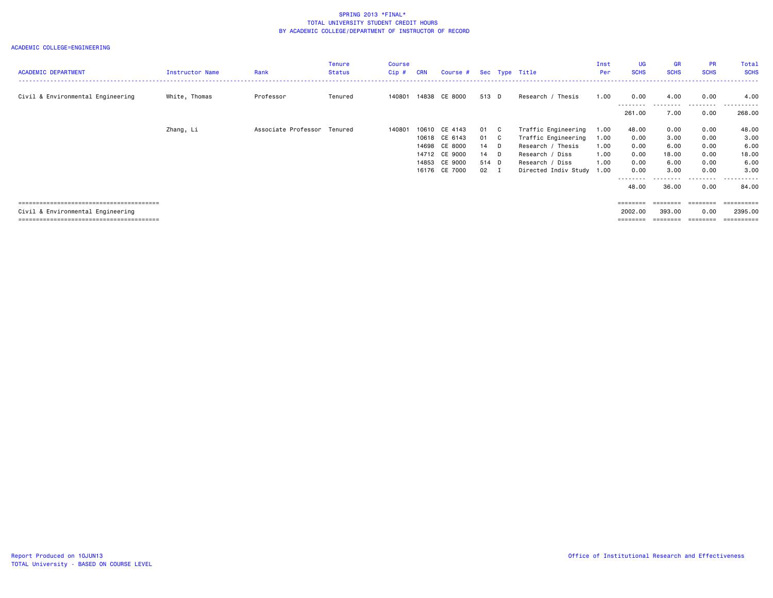| <b>ACADEMIC DEPARTMENT</b>        | Instructor Name | Rank                        | <b>Tenure</b><br>Status | <b>Course</b><br>$Cip$ # | <b>CRN</b> | Course # Sec Type Title |              |     |                           | Inst<br>Per | <b>UG</b><br><b>SCHS</b> | <b>GR</b><br><b>SCHS</b> | <b>PR</b><br><b>SCHS</b> | Total<br><b>SCHS</b> |
|-----------------------------------|-----------------|-----------------------------|-------------------------|--------------------------|------------|-------------------------|--------------|-----|---------------------------|-------------|--------------------------|--------------------------|--------------------------|----------------------|
| Civil & Environmental Engineering | White, Thomas   | Professor                   | Tenured                 | 140801                   |            | 14838 CE 8000           | 513 D        |     | Research / Thesis         | 1.00        | 0.00                     | 4.00                     | 0.00                     | 4.00                 |
|                                   |                 |                             |                         |                          |            |                         |              |     |                           |             | .<br>261.00              | .<br>7.00                | .<br>0.00                | .<br>268.00          |
|                                   | Zhang, Li       | Associate Professor Tenured |                         | 140801                   |            | 10610 CE 4143           | 01           | - C | Traffic Engineering       | 1.00        | 48.00                    | 0.00                     | 0.00                     | 48.00                |
|                                   |                 |                             |                         |                          |            | 10618 CE 6143           | 01           | - C | Traffic Engineering       | 1.00        | 0.00                     | 3.00                     | 0.00                     | 3.00                 |
|                                   |                 |                             |                         |                          |            | 14698 CE 8000           | 14 D         |     | Research / Thesis         | 1.00        | 0.00                     | 6.00                     | 0.00                     | 6.00                 |
|                                   |                 |                             |                         |                          |            | 14712 CE 9000           | $14$ D       |     | Research / Diss           | 1.00        | 0.00                     | 18.00                    | 0.00                     | 18.00                |
|                                   |                 |                             |                         |                          |            | 14853 CE 9000           | 514 D        |     | Research / Diss           | 1.00        | 0.00                     | 6.00                     | 0.00                     | 6.00                 |
|                                   |                 |                             |                         |                          |            | 16176 CE 7000           | $02 \quad I$ |     | Directed Indiv Study 1.00 |             | 0.00                     | 3.00                     | 0.00                     | 3.00                 |
|                                   |                 |                             |                         |                          |            |                         |              |     |                           |             | --------<br>48.00        | 36.00                    | -----<br>0.00            | .<br>84.00           |
|                                   |                 |                             |                         |                          |            |                         |              |     |                           |             | ========                 | ========                 | ========                 |                      |
| Civil & Environmental Engineering |                 |                             |                         |                          |            |                         |              |     |                           |             | 2002.00                  | 393.00                   | 0.00                     | 2395.00              |
|                                   |                 |                             |                         |                          |            |                         |              |     |                           |             | ========                 | ========                 | ========                 | ==========           |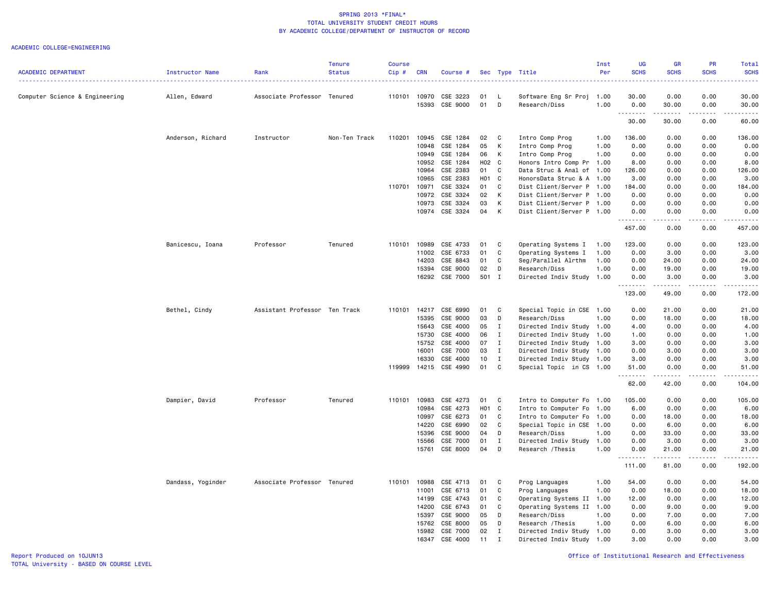|                                |                   |                               | <b>Tenure</b> | Course       |            |          |                   |              |                           | Inst | UG                              | GR            | PR          | Total            |
|--------------------------------|-------------------|-------------------------------|---------------|--------------|------------|----------|-------------------|--------------|---------------------------|------|---------------------------------|---------------|-------------|------------------|
| <b>ACADEMIC DEPARTMENT</b>     | Instructor Name   | Rank                          | <b>Status</b> | $Cip$ #      | <b>CRN</b> | Course # |                   |              | Sec Type Title            | Per  | <b>SCHS</b>                     | <b>SCHS</b>   | <b>SCHS</b> | <b>SCHS</b><br>. |
| Computer Science & Engineering | Allen, Edward     | Associate Professor Tenured   |               | 110101       | 10970      | CSE 3223 | 01                | L            | Software Eng Sr Proj      | 1.00 | 30.00                           | 0.00          | 0.00        | 30.00            |
|                                |                   |                               |               |              | 15393      | CSE 9000 | 01                | D            | Research/Diss             | 1.00 | 0.00<br>. <b>.</b>              | 30.00<br>.    | 0.00<br>.   | 30.00<br>.       |
|                                |                   |                               |               |              |            |          |                   |              |                           |      | 30.00                           | 30.00         | 0.00        | 60.00            |
|                                | Anderson, Richard | Instructor                    | Non-Ten Track | 110201       | 10945      | CSE 1284 | 02                | C            | Intro Comp Prog           | 1.00 | 136.00                          | 0.00          | 0.00        | 136.00           |
|                                |                   |                               |               |              | 10948      | CSE 1284 | 05                | К            | Intro Comp Prog           | 1.00 | 0.00                            | 0.00          | 0.00        | 0.00             |
|                                |                   |                               |               |              | 10949      | CSE 1284 | 06                | К            | Intro Comp Prog           | 1.00 | 0.00                            | 0.00          | 0.00        | 0.00             |
|                                |                   |                               |               |              | 10952      | CSE 1284 | H02 C             |              | Honors Intro Comp Pr      | 1.00 | 8.00                            | 0.00          | 0.00        | 8.00             |
|                                |                   |                               |               |              | 10964      | CSE 2383 | 01                | C            | Data Struc & Anal of 1.00 |      | 126.00                          | 0.00          | 0.00        | 126.00           |
|                                |                   |                               |               |              | 10965      | CSE 2383 | H <sub>01</sub> C |              | HonorsData Struc & A 1.00 |      | 3.00                            | 0.00          | 0.00        | 3.00             |
|                                |                   |                               |               | 110701       | 10971      | CSE 3324 | 01                | $\mathbf c$  | Dist Client/Server P 1.00 |      | 184.00                          | 0.00          | 0.00        | 184.00           |
|                                |                   |                               |               |              | 10972      | CSE 3324 | 02                | К            | Dist Client/Server P 1.00 |      | 0.00                            | 0.00          | 0.00        | 0.00             |
|                                |                   |                               |               |              | 10973      | CSE 3324 | 03                | Κ            | Dist Client/Server P 1.00 |      | 0.00                            | 0.00          | 0.00        | 0.00             |
|                                |                   |                               |               |              | 10974      | CSE 3324 | 04                | К            | Dist Client/Server P 1.00 |      | 0.00<br>.                       | 0.00<br>----- | 0.00<br>.   | 0.00<br>.        |
|                                |                   |                               |               |              |            |          |                   |              |                           |      | 457.00                          | 0.00          | 0.00        | 457.00           |
|                                | Banicescu, Ioana  | Professor                     | Tenured       | 110101       | 10989      | CSE 4733 | 01                | C            | Operating Systems I       | 1.00 | 123.00                          | 0.00          | 0.00        | 123.00           |
|                                |                   |                               |               |              | 11002      | CSE 6733 | 01                | C            | Operating Systems I       | 1.00 | 0.00                            | 3.00          | 0.00        | 3.00             |
|                                |                   |                               |               |              | 14203      | CSE 8843 | 01                | C            | Seg/Parallel Alrthm       | 1.00 | 0.00                            | 24.00         | 0.00        | 24.00            |
|                                |                   |                               |               |              | 15394      | CSE 9000 | 02                | D            | Research/Diss             | 1.00 | 0.00                            | 19.00         | 0.00        | 19.00            |
|                                |                   |                               |               |              | 16292      | CSE 7000 | 501 I             |              | Directed Indiv Study 1.00 |      | 0.00<br><u>.</u>                | 3.00<br>.     | 0.00<br>.   | 3.00<br>.        |
|                                |                   |                               |               |              |            |          |                   |              |                           |      | 123.00                          | 49.00         | 0.00        | 172.00           |
|                                | Bethel, Cindy     | Assistant Professor Ten Track |               | 110101       | 14217      | CSE 6990 | 01                | C            | Special Topic in CSE 1.00 |      | 0.00                            | 21.00         | 0.00        | 21.00            |
|                                |                   |                               |               |              | 15395      | CSE 9000 | 03                | D            | Research/Diss             | 1.00 | 0.00                            | 18.00         | 0.00        | 18.00            |
|                                |                   |                               |               |              | 15643      | CSE 4000 | 05                | I            | Directed Indiv Study 1.00 |      | 4.00                            | 0.00          | 0.00        | 4.00             |
|                                |                   |                               |               |              | 15730      | CSE 4000 | 06                | $\mathbf{I}$ | Directed Indiv Study 1.00 |      | 1.00                            | 0.00          | 0.00        | 1.00             |
|                                |                   |                               |               |              | 15752      | CSE 4000 | 07                | $\mathbf{I}$ | Directed Indiv Study 1.00 |      | 3.00                            | 0.00          | 0.00        | 3.00             |
|                                |                   |                               |               |              | 16001      | CSE 7000 | 03                | $\mathbf{I}$ | Directed Indiv Study 1.00 |      | 0.00                            | 3.00          | 0.00        | 3.00             |
|                                |                   |                               |               |              | 16330      | CSE 4000 | 10                | $\mathbf{I}$ | Directed Indiv Study 1.00 |      | 3.00                            | 0.00          | 0.00        | 3,00             |
|                                |                   |                               |               | 119999       | 14215      | CSE 4990 | 01                | C            | Special Topic in CS 1.00  |      | 51.00<br>.                      | 0.00<br>.     | 0.00<br>.   | 51.00<br>.       |
|                                |                   |                               |               |              |            |          |                   |              |                           |      | 62.00                           | 42.00         | 0.00        | 104.00           |
|                                | Dampier, David    | Professor                     | Tenured       | 110101       | 10983      | CSE 4273 | 01                | C            | Intro to Computer Fo      | 1.00 | 105.00                          | 0.00          | 0.00        | 105.00           |
|                                |                   |                               |               |              | 10984      | CSE 4273 | H01               | $\mathbf{C}$ | Intro to Computer Fo      | 1.00 | 6.00                            | 0.00          | 0.00        | 6.00             |
|                                |                   |                               |               |              | 10997      | CSE 6273 | 01                | C            | Intro to Computer Fo      | 1.00 | 0.00                            | 18.00         | 0.00        | 18.00            |
|                                |                   |                               |               |              | 14220      | CSE 6990 | 02                | C            | Special Topic in CSE      | 1.00 | 0.00                            | 6.00          | 0.00        | 6.00             |
|                                |                   |                               |               |              | 15396      | CSE 9000 | 04                | D            | Research/Diss             | 1.00 | 0.00                            | 33.00         | 0.00        | 33.00            |
|                                |                   |                               |               |              | 15566      | CSE 7000 | 01                | $\mathbf{I}$ | Directed Indiv Study      | 1.00 | 0.00                            | 3.00          | 0.00        | 3.00             |
|                                |                   |                               |               |              | 15761      | CSE 8000 | 04                | D            | Research / Thesis         | 1.00 | 0.00<br><u> - - - - - - - -</u> | 21.00         | 0.00<br>.   | 21.00<br>.       |
|                                |                   |                               |               |              |            |          |                   |              |                           |      | 111.00                          | 81.00         | 0.00        | 192.00           |
|                                | Dandass, Yoginder | Associate Professor Tenured   |               | 110101 10988 |            | CSE 4713 | 01                | C            | Prog Languages            | 1.00 | 54.00                           | 0.00          | 0.00        | 54.00            |
|                                |                   |                               |               |              | 11001      | CSE 6713 | 01                | C            | Prog Languages            | 1.00 | 0.00                            | 18.00         | 0.00        | 18.00            |
|                                |                   |                               |               |              | 14199      | CSE 4743 | 01                | C            | Operating Systems II      | 1.00 | 12.00                           | 0.00          | 0.00        | 12.00            |
|                                |                   |                               |               |              | 14200      | CSE 6743 | 01                | C            | Operating Systems II      | 1.00 | 0.00                            | 9.00          | 0.00        | 9.00             |
|                                |                   |                               |               |              | 15397      | CSE 9000 | 05                | D            | Research/Diss             | 1.00 | 0.00                            | 7.00          | 0.00        | 7.00             |
|                                |                   |                               |               |              | 15762      | CSE 8000 | 05                | D            | Research / Thesis         | 1.00 | 0.00                            | 6.00          | 0.00        | 6.00             |
|                                |                   |                               |               |              | 15982      | CSE 7000 | 02                | $\mathbf I$  | Directed Indiv Study 1.00 |      | 0.00                            | 3.00          | 0.00        | 3.00             |
|                                |                   |                               |               |              | 16347      | CSE 4000 | 11                | $\mathsf{T}$ | Directed Indiv Study      | 1.00 | 3.00                            | 0.00          | 0.00        | 3,00             |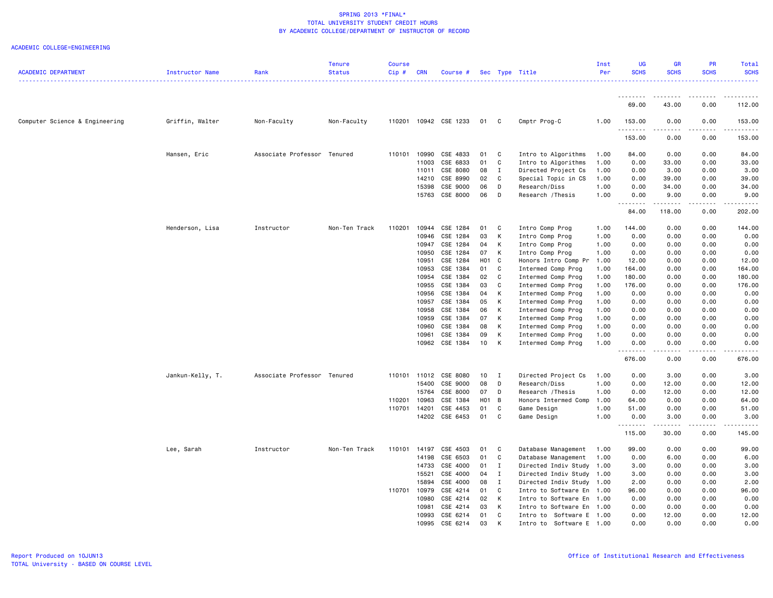| <b>ACADEMIC DEPARTMENT</b>     | Instructor Name  | Rank                        | <b>Tenure</b><br><b>Status</b> | <b>Course</b><br>Cip# | <b>CRN</b>   | Course #              |                   |                | Sec Type Title           | Inst<br>Per | UG<br><b>SCHS</b>   | <b>GR</b><br><b>SCHS</b>                                                                                                          | PR<br><b>SCHS</b> | <b>Total</b><br><b>SCHS</b> |
|--------------------------------|------------------|-----------------------------|--------------------------------|-----------------------|--------------|-----------------------|-------------------|----------------|--------------------------|-------------|---------------------|-----------------------------------------------------------------------------------------------------------------------------------|-------------------|-----------------------------|
|                                |                  |                             |                                |                       |              |                       |                   |                |                          |             |                     |                                                                                                                                   |                   |                             |
|                                |                  |                             |                                |                       |              |                       |                   |                |                          |             | <u>.</u><br>69.00   | 43.00                                                                                                                             | 0.00              | 112.00                      |
| Computer Science & Engineering | Griffin, Walter  | Non-Faculty                 | Non-Faculty                    |                       |              | 110201 10942 CSE 1233 | 01                | $\mathbf{C}$   | Cmptr Prog-C             | 1.00        | 153.00<br>.         | 0.00<br>$\frac{1}{2} \left( \frac{1}{2} \right) \left( \frac{1}{2} \right) \left( \frac{1}{2} \right) \left( \frac{1}{2} \right)$ | 0.00<br>.         | 153.00<br>.                 |
|                                |                  |                             |                                |                       |              |                       |                   |                |                          |             | 153.00              | 0.00                                                                                                                              | 0.00              | 153.00                      |
|                                | Hansen, Eric     | Associate Professor Tenured |                                | 110101                | 10990        | CSE 4833              | 01                | C              | Intro to Algorithms      | 1.00        | 84.00               | 0.00                                                                                                                              | 0.00              | 84.00                       |
|                                |                  |                             |                                |                       | 11003        | CSE 6833              | 01                | C              | Intro to Algorithms      | 1.00        | 0.00                | 33.00                                                                                                                             | 0.00              | 33.00                       |
|                                |                  |                             |                                |                       | 11011        | CSE 8080              | 08                | $\mathbf{I}$   | Directed Project Cs      | 1.00        | 0.00                | 3.00                                                                                                                              | 0.00              | 3.00                        |
|                                |                  |                             |                                |                       | 14210        | CSE 8990              | 02                | C              | Special Topic in CS      | 1.00        | 0.00                | 39.00                                                                                                                             | 0.00              | 39.00                       |
|                                |                  |                             |                                |                       | 15398        | CSE 9000              | 06                | D              | Research/Diss            | 1.00        | 0.00                | 34.00                                                                                                                             | 0.00              | 34.00                       |
|                                |                  |                             |                                |                       |              | 15763 CSE 8000        | 06                | $\Box$         | Research / Thesis        | 1.00        | 0.00<br>.           | 9.00                                                                                                                              | 0.00              | 9.00                        |
|                                |                  |                             |                                |                       |              |                       |                   |                |                          |             | 84.00               | 118.00                                                                                                                            | 0.00              | 202.00                      |
|                                | Henderson, Lisa  | Instructor                  | Non-Ten Track                  | 110201                | 10944        | CSE 1284              | 01                | $\mathbf{C}$   | Intro Comp Prog          | 1.00        | 144.00              | 0.00                                                                                                                              | 0.00              | 144.00                      |
|                                |                  |                             |                                |                       | 10946        | CSE 1284              | 03                | $\mathsf{K}$   | Intro Comp Prog          | 1.00        | 0.00                | 0.00                                                                                                                              | 0.00              | 0.00                        |
|                                |                  |                             |                                |                       | 10947        | CSE 1284              | 04                | K              | Intro Comp Prog          | 1.00        | 0.00                | 0.00                                                                                                                              | 0.00              | 0.00                        |
|                                |                  |                             |                                |                       | 10950        | CSE 1284              | 07 K              |                | Intro Comp Prog          | 1.00        | 0.00                | 0.00                                                                                                                              | 0.00              | 0.00                        |
|                                |                  |                             |                                |                       | 10951        | CSE 1284              | H <sub>01</sub> C |                | Honors Intro Comp Pr     | 1.00        | 12.00               | 0.00                                                                                                                              | 0.00              | 12.00                       |
|                                |                  |                             |                                |                       | 10953        | CSE 1384              | 01                | C              | Intermed Comp Prog       | 1.00        | 164.00              | 0.00                                                                                                                              | 0.00              | 164.00                      |
|                                |                  |                             |                                |                       | 10954        | CSE 1384              | 02                | $\mathbf{C}$   | Intermed Comp Prog       | 1.00        | 180.00              | 0.00                                                                                                                              | 0.00              | 180.00                      |
|                                |                  |                             |                                |                       | 10955        | CSE 1384              | 03                | C              | Intermed Comp Prog       | 1.00        | 176.00              | 0.00                                                                                                                              | 0.00              | 176.00                      |
|                                |                  |                             |                                |                       | 10956        | CSE 1384              | 04                | $\mathsf{K}$   | Intermed Comp Prog       | 1.00        | 0.00                | 0.00                                                                                                                              | 0.00              | 0.00                        |
|                                |                  |                             |                                |                       | 10957        | CSE 1384              | 05                | $\mathsf{K}$   | Intermed Comp Prog       | 1.00        | 0.00                | 0.00                                                                                                                              | 0.00              | 0.00                        |
|                                |                  |                             |                                |                       | 10958        | CSE 1384              | 06                | K              | Intermed Comp Prog       | 1.00        | 0.00                | 0.00                                                                                                                              | 0.00              | 0.00                        |
|                                |                  |                             |                                |                       | 10959        | CSE 1384              | 07                | $\mathsf{K}$   | Intermed Comp Prog       | 1.00        | 0.00                | 0.00                                                                                                                              | 0.00              | 0.00                        |
|                                |                  |                             |                                |                       | 10960        | CSE 1384              | 08                | К              | Intermed Comp Prog       | 1.00        | 0.00                | 0.00                                                                                                                              | 0.00              | 0.00                        |
|                                |                  |                             |                                |                       | 10961        | CSE 1384              | 09                | K              | Intermed Comp Prog       | 1.00        | 0.00                | 0.00                                                                                                                              | 0.00              | 0.00                        |
|                                |                  |                             |                                |                       |              | 10962 CSE 1384        | 10                | K              | Intermed Comp Prog       | 1.00        | 0.00                | 0.00                                                                                                                              | 0.00              | 0.00                        |
|                                |                  |                             |                                |                       |              |                       |                   |                |                          |             | د د د د د<br>676.00 | $- - -$<br>0.00                                                                                                                   | -----<br>0.00     | .<br>676.00                 |
|                                | Jankun-Kelly, T. | Associate Professor Tenured |                                | 110101                | 11012        | CSE 8080              | 10                | $\blacksquare$ | Directed Project Cs      | 1.00        | 0.00                | 3.00                                                                                                                              | 0.00              | 3.00                        |
|                                |                  |                             |                                |                       | 15400        | CSE 9000              | 08                | D              | Research/Diss            | 1.00        | 0.00                | 12.00                                                                                                                             | 0.00              | 12.00                       |
|                                |                  |                             |                                |                       | 15764        | CSE 8000              | 07                | D              | Research / Thesis        | 1.00        | 0.00                | 12.00                                                                                                                             | 0.00              | 12.00                       |
|                                |                  |                             |                                | 110201                | 10963        | CSE 1384              | H <sub>01</sub> B |                | Honors Intermed Comp     | 1.00        | 64.00               | 0.00                                                                                                                              | 0.00              | 64.00                       |
|                                |                  |                             |                                | 110701                | 14201        | CSE 4453              | 01                | C              | Game Design              | 1.00        | 51.00               | 0.00                                                                                                                              | 0.00              | 51.00                       |
|                                |                  |                             |                                |                       |              | 14202 CSE 6453        | 01                | C.             | Game Design              | 1.00        | 0.00<br>.           | 3.00<br>$\sim$ $\sim$ $\sim$ $\sim$                                                                                               | 0.00              | 3.00                        |
|                                |                  |                             |                                |                       |              |                       |                   |                |                          |             | 115.00              | 30.00                                                                                                                             | 0.00              | 145.00                      |
|                                | Lee, Sarah       | Instructor                  | Non-Ten Track                  |                       | 110101 14197 | CSE 4503              | 01                | $\mathbf{C}$   | Database Management      | 1.00        | 99.00               | 0.00                                                                                                                              | 0.00              | 99.00                       |
|                                |                  |                             |                                |                       | 14198        | CSE 6503              | 01                | C              | Database Management      | 1.00        | 0.00                | 6.00                                                                                                                              | 0.00              | 6.00                        |
|                                |                  |                             |                                |                       | 14733        | CSE 4000              | 01                | I              | Directed Indiv Study     | 1.00        | 3.00                | 0.00                                                                                                                              | 0.00              | 3.00                        |
|                                |                  |                             |                                |                       | 15521        | CSE 4000              | 04                | I              | Directed Indiv Study     | 1.00        | 3.00                | 0.00                                                                                                                              | 0.00              | 3.00                        |
|                                |                  |                             |                                |                       | 15894        | CSE 4000              | 08                | $\mathbf{I}$   | Directed Indiv Study     | 1.00        | 2.00                | 0.00                                                                                                                              | 0.00              | 2.00                        |
|                                |                  |                             |                                | 110701                | 10979        | CSE 4214              | 01                | C              | Intro to Software En     | 1.00        | 96.00               | 0.00                                                                                                                              | 0.00              | 96.00                       |
|                                |                  |                             |                                |                       | 10980        | CSE 4214              | 02                | $\mathsf{K}$   | Intro to Software En     | 1.00        | 0.00                | 0.00                                                                                                                              | 0.00              | 0.00                        |
|                                |                  |                             |                                |                       | 10981        | CSE 4214              | 03                | K              | Intro to Software En     | 1.00        | 0.00                | 0.00                                                                                                                              | 0.00              | 0.00                        |
|                                |                  |                             |                                |                       |              | 10993 CSE 6214        | 01                | C              | Intro to Software E 1.00 |             | 0.00                | 12.00                                                                                                                             | 0.00              | 12.00                       |
|                                |                  |                             |                                |                       | 10995        | CSE 6214              | 03                | K              | Intro to Software E 1.00 |             | 0.00                | 0.00                                                                                                                              | 0.00              | 0.00                        |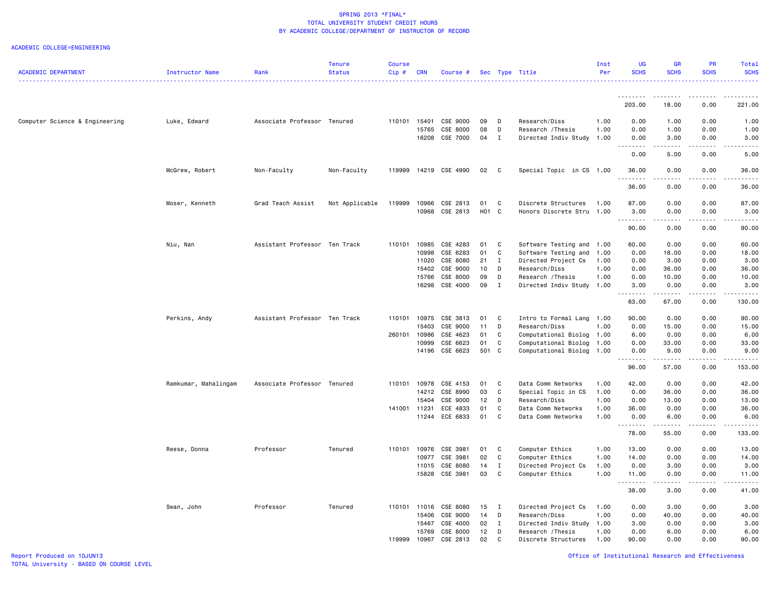### ACADEMIC COLLEGE=ENGINEERING

|                                |                      |                               | <b>Tenure</b>  | <b>Course</b> |                |                      |          |                   |                                      | Inst         | <b>UG</b>                            | <b>GR</b>                           | <b>PR</b>          | Total              |
|--------------------------------|----------------------|-------------------------------|----------------|---------------|----------------|----------------------|----------|-------------------|--------------------------------------|--------------|--------------------------------------|-------------------------------------|--------------------|--------------------|
| <b>ACADEMIC DEPARTMENT</b>     | Instructor Name      | Rank                          | <b>Status</b>  | Cip#          | <b>CRN</b>     | Course #             |          |                   | Sec Type Title                       | Per          | <b>SCHS</b>                          | <b>SCHS</b>                         | <b>SCHS</b>        | <b>SCHS</b>        |
|                                |                      |                               |                |               |                |                      |          |                   |                                      |              | .                                    | .                                   |                    |                    |
|                                |                      |                               |                |               |                |                      |          |                   |                                      |              | 203.00                               | 18,00                               | 0.00               | 221,00             |
| Computer Science & Engineering | Luke, Edward         | Associate Professor Tenured   |                |               | 110101 15401   | CSE 9000             | 09       | D                 | Research/Diss                        | 1.00         | 0.00                                 | 1.00                                | 0.00               | 1.00               |
|                                |                      |                               |                |               | 15765          | CSE 8000             | 08       | D                 | Research / Thesis                    | 1.00         | 0.00                                 | 1.00                                | 0.00               | 1.00               |
|                                |                      |                               |                |               | 16208          | CSE 7000             | 04       | $\mathbf{I}$      | Directed Indiv Study                 | 1.00         | 0.00<br>.                            | 3.00<br>.                           | 0.00<br>.          | 3.00<br>.          |
|                                |                      |                               |                |               |                |                      |          |                   |                                      |              | 0.00                                 | 5.00                                | 0.00               | 5.00               |
|                                | McGrew, Robert       | Non-Faculty                   | Non-Faculty    | 119999        |                | 14219 CSE 4990       | 02       | $\mathbf{C}$      | Special Topic in CS 1.00             |              | 36.00<br>----                        | 0.00<br>-----                       | 0.00               | 36.00              |
|                                |                      |                               |                |               |                |                      |          |                   |                                      |              | 36.00                                | 0.00                                | 0.00               | 36.00              |
|                                | Moser, Kenneth       | Grad Teach Assist             | Not Applicable | 119999        | 10966          | CSE 2813             | 01       | C                 | Discrete Structures                  | 1.00         | 87.00                                | 0.00                                | 0.00               | 87.00              |
|                                |                      |                               |                |               | 10968          | CSE 2813             | H01 C    |                   | Honors Discrete Stru 1.00            |              | 3.00                                 | 0.00                                | 0.00               | 3.00               |
|                                |                      |                               |                |               |                |                      |          |                   |                                      |              | $\sim$ $\sim$ $\sim$ $\sim$<br>90.00 | $\sim$ $\sim$ $\sim$ $\sim$<br>0.00 | 0.00               | 90.00              |
|                                |                      |                               |                |               |                |                      |          |                   |                                      |              |                                      |                                     |                    |                    |
|                                | Niu, Nan             | Assistant Professor Ten Track |                | 110101        | 10985          | CSE 4283             | 01       | C                 | Software Testing and 1.00            |              | 60.00                                | 0.00                                | 0.00               | 60.00              |
|                                |                      |                               |                |               | 10998          | CSE 6283             | 01       | C<br>$\mathbf{I}$ | Software Testing and                 | 1.00         | 0.00                                 | 18.00                               | 0.00               | 18.00              |
|                                |                      |                               |                |               | 11020<br>15402 | CSE 8080<br>CSE 9000 | 21<br>10 | D                 | Directed Project Cs<br>Research/Diss | 1.00<br>1.00 | 0.00<br>0.00                         | 3.00<br>36.00                       | 0.00<br>0.00       | 3.00<br>36.00      |
|                                |                      |                               |                |               | 15766          | CSE 8000             | 09       | D                 | Research / Thesis                    | 1.00         | 0.00                                 | 10.00                               | 0.00               | 10.00              |
|                                |                      |                               |                |               | 16298          | CSE 4000             | 09       | $\mathbf{I}$      | Directed Indiv Study 1.00            |              | 3.00                                 | 0.00                                | 0.00               | 3.00               |
|                                |                      |                               |                |               |                |                      |          |                   |                                      |              | .<br>63.00                           | .<br>67.00                          | . <b>.</b><br>0.00 | <u>.</u><br>130.00 |
|                                | Perkins, Andy        | Assistant Professor Ten Track |                | 110101        | 10975          | CSE 3813             | 01       | C                 | Intro to Formal Lang                 | 1.00         | 90.00                                | 0.00                                | 0.00               | 90.00              |
|                                |                      |                               |                |               | 15403          | CSE 9000             | 11       | D                 | Research/Diss                        | 1.00         | 0.00                                 | 15.00                               | 0.00               | 15.00              |
|                                |                      |                               |                | 260101        | 10986          | CSE 4623             | 01       | C                 | Computational Biolog                 | 1.00         | 6.00                                 | 0.00                                | 0.00               | 6.00               |
|                                |                      |                               |                |               | 10999          | CSE 6623             | 01       | C                 | Computational Biolog                 | 1.00         | 0.00                                 | 33.00                               | 0.00               | 33.00              |
|                                |                      |                               |                |               | 14196          | CSE 6623             | 501 C    |                   | Computational Biolog                 | 1.00         | 0.00                                 | 9.00                                | 0.00               | 9.00               |
|                                |                      |                               |                |               |                |                      |          |                   |                                      |              | 96.00                                | 57.00                               | 0.00               | 153.00             |
|                                | Ramkumar, Mahalingam | Associate Professor Tenured   |                | 110101        | 10978          | CSE 4153             | 01       | C                 | Data Comm Networks                   | 1.00         | 42.00                                | 0.00                                | 0.00               | 42.00              |
|                                |                      |                               |                |               | 14212          | CSE 8990             | 03       | C                 | Special Topic in CS                  | 1.00         | 0.00                                 | 36.00                               | 0.00               | 36.00              |
|                                |                      |                               |                |               | 15404          | CSE 9000             | 12       | D                 | Research/Diss                        | 1.00         | 0.00                                 | 13.00                               | 0.00               | 13.00              |
|                                |                      |                               |                | 141001 11231  |                | ECE 4833             | 01       | C                 | Data Comm Networks                   | 1.00         | 36.00                                | 0.00                                | 0.00               | 36.00              |
|                                |                      |                               |                |               |                | 11244 ECE 6833       | 01       | C                 | Data Comm Networks                   | 1.00         | 0.00<br>.                            | 6.00                                | 0.00<br>-----      | 6.00<br>.          |
|                                |                      |                               |                |               |                |                      |          |                   |                                      |              | 78.00                                | 55.00                               | 0.00               | 133.00             |
|                                | Reese, Donna         | Professor                     | Tenured        | 110101        | 10976          | CSE 3981             | 01       | C                 | Computer Ethics                      | 1.00         | 13.00                                | 0.00                                | 0.00               | 13.00              |
|                                |                      |                               |                |               | 10977          | CSE 3981             | 02       | $\mathbf c$       | Computer Ethics                      | 1.00         | 14.00                                | 0.00                                | 0.00               | 14.00              |
|                                |                      |                               |                |               | 11015          | CSE 8080             | 14       | $\mathbf{I}$      | Directed Project Cs                  | 1.00         | 0.00                                 | 3.00                                | 0.00               | 3.00               |
|                                |                      |                               |                |               | 15828          | CSE 3981             | 03       | C                 | Computer Ethics                      | 1.00         | 11.00<br>.                           | 0.00<br>$\omega$ is $\omega$ in     | 0.00<br>.          | 11.00<br>.         |
|                                |                      |                               |                |               |                |                      |          |                   |                                      |              | 38.00                                | 3.00                                | 0.00               | 41.00              |
|                                | Swan, John           | Professor                     | Tenured        | 110101        | 11016          | CSE 8080             | 15       | $\blacksquare$    | Directed Project Cs                  | 1.00         | 0.00                                 | 3.00                                | 0.00               | 3.00               |
|                                |                      |                               |                |               | 15406          | CSE 9000             | 14       | D                 | Research/Diss                        | 1.00         | 0.00                                 | 40.00                               | 0.00               | 40.00              |
|                                |                      |                               |                |               | 15467          | CSE 4000             | 02       | $\blacksquare$    | Directed Indiv Study                 | 1.00         | 3.00                                 | 0.00                                | 0.00               | 3.00               |
|                                |                      |                               |                |               | 15769          | CSE 8000             | 12       | D                 | Research / Thesis                    | 1.00         | 0.00                                 | 6.00                                | 0.00               | 6.00               |
|                                |                      |                               |                | 119999        | 10967          | CSE 2813             | 02       | C                 | Discrete Structures                  | 1.00         | 90.00                                | 0.00                                | 0.00               | 90.00              |

Report Produced on 10JUN13 Office of Institutional Research and Effectiveness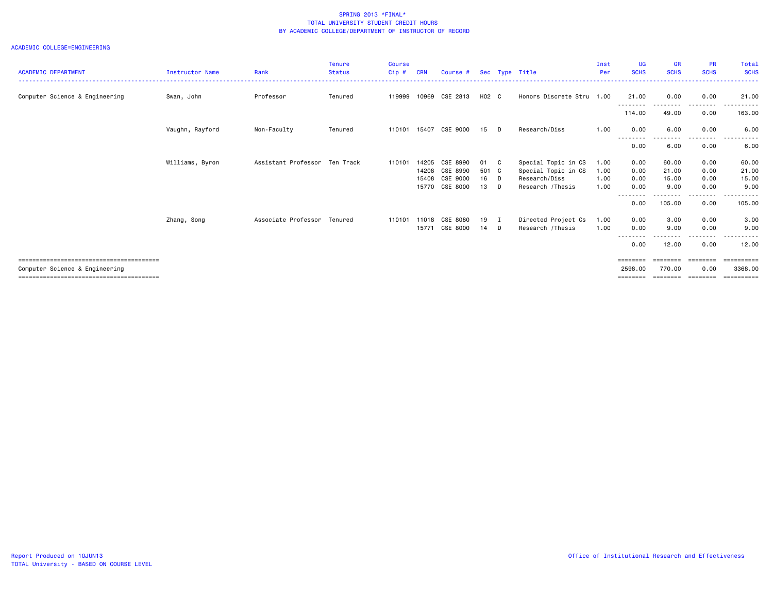|                                |                        |                     | <b>Tenure</b> | <b>Course</b> |            |                |         |              |                           | Inst | UG                 | <b>GR</b>         | <b>PR</b>         | <b>Total</b> |
|--------------------------------|------------------------|---------------------|---------------|---------------|------------|----------------|---------|--------------|---------------------------|------|--------------------|-------------------|-------------------|--------------|
| <b>ACADEMIC DEPARTMENT</b>     | <b>Instructor Name</b> | Rank                | <b>Status</b> | Cip#          | <b>CRN</b> | Course #       |         |              | Sec Type Title            | Per  | <b>SCHS</b>        | <b>SCHS</b>       | <b>SCHS</b>       | <b>SCHS</b>  |
|                                |                        |                     |               |               |            |                |         |              | Honors Discrete Stru 1.00 |      |                    |                   |                   |              |
| Computer Science & Engineering | Swan, John             | Professor           | Tenured       | 119999        | 10969      | CSE 2813       | $H02$ C |              |                           |      | 21.00<br>--------- | 0.00<br>--------  | 0.00<br>.         | 21,00<br>.   |
|                                |                        |                     |               |               |            |                |         |              |                           |      | 114.00             | 49.00             | 0.00              | 163.00       |
|                                | Vaughn, Rayford        | Non-Faculty         | Tenured       | 110101        |            | 15407 CSE 9000 | 15 D    |              | Research/Diss             | 1.00 | 0.00               | 6.00<br>$\cdots$  | 0.00              | 6.00         |
|                                |                        |                     |               |               |            |                |         |              |                           |      | 0.00               | 6.00              | 0.00              | 6.00         |
|                                | Williams, Byron        | Assistant Professor | Ten Track     | 110101        | 14205      | CSE 8990       | 01      | $\mathbf{C}$ | Special Topic in CS       | 1.00 | 0.00               | 60.00             | 0.00              | 60.00        |
|                                |                        |                     |               |               | 14208      | CSE 8990       | 501 C   |              | Special Topic in CS       | 1.00 | 0.00               | 21.00             | 0.00              | 21.00        |
|                                |                        |                     |               |               | 15408      | CSE 9000       | $16$ D  |              | Research/Diss             | 1.00 | 0.00               | 15.00             | 0.00              | 15.00        |
|                                |                        |                     |               |               |            | 15770 CSE 8000 | 13 D    |              | Research / Thesis         | 1.00 | 0.00               | 9.00              | 0.00              | 9.00         |
|                                |                        |                     |               |               |            |                |         |              |                           |      | --------           |                   |                   |              |
|                                |                        |                     |               |               |            |                |         |              |                           |      | 0.00               | 105.00            | 0.00              | 105.00       |
|                                | Zhang, Song            | Associate Professor | Tenured       | 110101        | 11018      | CSE 8080       | 19 I    |              | Directed Project Cs       | 1.00 | 0.00               | 3.00              | 0.00              | 3.00         |
|                                |                        |                     |               |               | 15771      | CSE 8000       | 14 D    |              | Research / Thesis         | 1.00 | 0.00               | 9.00              | 0.00              | 9.00         |
|                                |                        |                     |               |               |            |                |         |              |                           |      | ---------<br>0.00  | --------<br>12.00 | ---------<br>0.00 | .<br>12.00   |
|                                |                        |                     |               |               |            |                |         |              |                           |      | ========           | ========          | ========          | ==========   |
| Computer Science & Engineering |                        |                     |               |               |            |                |         |              |                           |      | 2598.00            | 770.00            | 0.00              | 3368.00      |
|                                |                        |                     |               |               |            |                |         |              |                           |      | ========           |                   |                   | ==========   |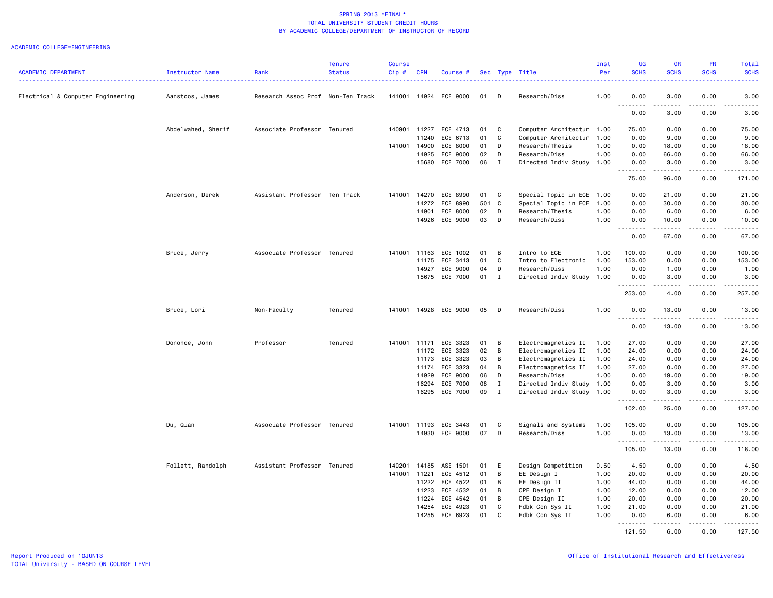|                                   |                    |                                   | <b>Tenure</b> | <b>Course</b> |                |                            |          |                  |                           | Inst         | <b>UG</b>        | <b>GR</b>                                                                                                                      | <b>PR</b>             | Total                                                                                                                                                                                                                                                                                                                                                                                                                                                                                          |
|-----------------------------------|--------------------|-----------------------------------|---------------|---------------|----------------|----------------------------|----------|------------------|---------------------------|--------------|------------------|--------------------------------------------------------------------------------------------------------------------------------|-----------------------|------------------------------------------------------------------------------------------------------------------------------------------------------------------------------------------------------------------------------------------------------------------------------------------------------------------------------------------------------------------------------------------------------------------------------------------------------------------------------------------------|
| <b>ACADEMIC DEPARTMENT</b>        | Instructor Name    | Rank                              | <b>Status</b> | Cip#          | <b>CRN</b>     | Course #                   |          |                  | Sec Type Title            | Per          | <b>SCHS</b>      | <b>SCHS</b>                                                                                                                    | <b>SCHS</b>           | <b>SCHS</b><br>المستما                                                                                                                                                                                                                                                                                                                                                                                                                                                                         |
| Electrical & Computer Engineering | Aanstoos, James    | Research Assoc Prof Non-Ten Track |               | 141001        |                | 14924 ECE 9000             | 01       | D                | Research/Diss             | 1.00         | 0.00             | 3.00                                                                                                                           | 0.00                  | 3.00                                                                                                                                                                                                                                                                                                                                                                                                                                                                                           |
|                                   |                    |                                   |               |               |                |                            |          |                  |                           |              | <b></b><br>0.00  | 3.00                                                                                                                           | 0.00                  | $\frac{1}{2}$<br>3.00                                                                                                                                                                                                                                                                                                                                                                                                                                                                          |
|                                   | Abdelwahed, Sherif | Associate Professor Tenured       |               | 140901        | 11227          | ECE 4713                   | 01       | C                | Computer Architectur 1.00 |              | 75.00            | 0.00                                                                                                                           | 0.00                  | 75.00                                                                                                                                                                                                                                                                                                                                                                                                                                                                                          |
|                                   |                    |                                   |               |               | 11240          | ECE 6713                   | 01       | C                | Computer Architectur      | 1.00         | 0.00             | 9.00                                                                                                                           | 0.00                  | 9.00                                                                                                                                                                                                                                                                                                                                                                                                                                                                                           |
|                                   |                    |                                   |               |               | 141001 14900   | ECE 8000                   | 01       | D                | Research/Thesis           | 1.00         | 0.00             | 18.00                                                                                                                          | 0.00                  | 18.00                                                                                                                                                                                                                                                                                                                                                                                                                                                                                          |
|                                   |                    |                                   |               |               | 14925          | ECE 9000                   | 02       | D                | Research/Diss             | 1.00         | 0.00             | 66.00                                                                                                                          | 0.00                  | 66.00                                                                                                                                                                                                                                                                                                                                                                                                                                                                                          |
|                                   |                    |                                   |               |               | 15680          | ECE 7000                   | 06       | $\mathbf{I}$     | Directed Indiv Study 1.00 |              | 0.00<br>$- - -$  | 3.00<br>$- - - - -$                                                                                                            | 0.00<br>$  -$         | 3.00<br>.                                                                                                                                                                                                                                                                                                                                                                                                                                                                                      |
|                                   |                    |                                   |               |               |                |                            |          |                  |                           |              | 75.00            | 96.00                                                                                                                          | 0.00                  | 171.00                                                                                                                                                                                                                                                                                                                                                                                                                                                                                         |
|                                   | Anderson, Derek    | Assistant Professor Ten Track     |               |               | 141001 14270   | ECE 8990                   | 01       | $\mathbf{C}$     | Special Topic in ECE 1.00 |              | 0.00             | 21.00                                                                                                                          | 0.00                  | 21.00                                                                                                                                                                                                                                                                                                                                                                                                                                                                                          |
|                                   |                    |                                   |               |               | 14272          | ECE 8990                   | 501 C    |                  | Special Topic in ECE      | 1.00         | 0.00             | 30.00                                                                                                                          | 0.00                  | 30.00                                                                                                                                                                                                                                                                                                                                                                                                                                                                                          |
|                                   |                    |                                   |               |               | 14901          | ECE 8000                   | 02       | D                | Research/Thesis           | 1.00         | 0.00             | 6.00                                                                                                                           | 0.00                  | 6.00                                                                                                                                                                                                                                                                                                                                                                                                                                                                                           |
|                                   |                    |                                   |               |               |                | 14926 ECE 9000             | 03       | D                | Research/Diss             | 1.00         | 0.00<br>.        | 10.00<br>.                                                                                                                     | 0.00<br>.             | 10.00<br>.                                                                                                                                                                                                                                                                                                                                                                                                                                                                                     |
|                                   |                    |                                   |               |               |                |                            |          |                  |                           |              | 0.00             | 67.00                                                                                                                          | 0.00                  | 67.00                                                                                                                                                                                                                                                                                                                                                                                                                                                                                          |
|                                   | Bruce, Jerry       | Associate Professor Tenured       |               | 141001 11163  |                | ECE 1002                   | 01       | B                | Intro to ECE              | 1.00         | 100.00           | 0.00                                                                                                                           | 0.00                  | 100.00                                                                                                                                                                                                                                                                                                                                                                                                                                                                                         |
|                                   |                    |                                   |               |               | 11175          | ECE 3413                   | 01       | C                | Intro to Electronic       | 1.00         | 153.00           | 0.00                                                                                                                           | 0.00                  | 153.00                                                                                                                                                                                                                                                                                                                                                                                                                                                                                         |
|                                   |                    |                                   |               |               | 14927          | ECE 9000                   | 04       | D                | Research/Diss             | 1.00         | 0.00             | 1.00                                                                                                                           | 0.00                  | 1.00                                                                                                                                                                                                                                                                                                                                                                                                                                                                                           |
|                                   |                    |                                   |               |               |                | 15675 ECE 7000             | 01       | $\mathbf{I}$     | Directed Indiv Study 1.00 |              | 0.00             | 3.00<br>.                                                                                                                      | 0.00<br>$\frac{1}{2}$ | 3.00                                                                                                                                                                                                                                                                                                                                                                                                                                                                                           |
|                                   |                    |                                   |               |               |                |                            |          |                  |                           |              | 253.00           | 4.00                                                                                                                           | 0.00                  | 257.00                                                                                                                                                                                                                                                                                                                                                                                                                                                                                         |
|                                   | Bruce, Lori        | Non-Faculty                       | Tenured       |               |                | 141001 14928 ECE 9000      | 05       | D                | Research/Diss             | 1.00         | 0.00<br>.        | 13.00<br>$\begin{array}{cccccccccc} \bullet & \bullet & \bullet & \bullet & \bullet & \bullet & \bullet & \bullet \end{array}$ | 0.00<br>.             | 13.00<br>.                                                                                                                                                                                                                                                                                                                                                                                                                                                                                     |
|                                   |                    |                                   |               |               |                |                            |          |                  |                           |              | 0.00             | 13.00                                                                                                                          | 0.00                  | 13.00                                                                                                                                                                                                                                                                                                                                                                                                                                                                                          |
|                                   | Donohoe, John      | Professor                         | Tenured       | 141001        | 11171          | ECE 3323                   | 01       | B                | Electromagnetics II       | 1.00         | 27.00            | 0.00                                                                                                                           | 0.00                  | 27.00                                                                                                                                                                                                                                                                                                                                                                                                                                                                                          |
|                                   |                    |                                   |               |               | 11172          | ECE 3323                   | 02       | B                | Electromagnetics II       | 1.00         | 24.00            | 0.00                                                                                                                           | 0.00                  | 24.00                                                                                                                                                                                                                                                                                                                                                                                                                                                                                          |
|                                   |                    |                                   |               |               | 11173          | ECE 3323                   | 03       | B                | Electromagnetics II       | 1.00         | 24.00            | 0.00                                                                                                                           | 0.00                  | 24.00                                                                                                                                                                                                                                                                                                                                                                                                                                                                                          |
|                                   |                    |                                   |               |               |                | 11174 ECE 3323             | 04       | B                | Electromagnetics II       | 1.00         | 27.00            | 0.00                                                                                                                           | 0.00                  | 27.00                                                                                                                                                                                                                                                                                                                                                                                                                                                                                          |
|                                   |                    |                                   |               |               | 14929          | ECE 9000                   | 06       | D                | Research/Diss             | 1.00         | 0.00             | 19.00                                                                                                                          | 0.00                  | 19.00                                                                                                                                                                                                                                                                                                                                                                                                                                                                                          |
|                                   |                    |                                   |               |               | 16294          | ECE 7000<br>16295 ECE 7000 | 08<br>09 | $\mathbf I$<br>I | Directed Indiv Study 1.00 |              | 0.00<br>0.00     | 3.00<br>3.00                                                                                                                   | 0.00<br>0.00          | 3.00<br>3.00                                                                                                                                                                                                                                                                                                                                                                                                                                                                                   |
|                                   |                    |                                   |               |               |                |                            |          |                  | Directed Indiv Study 1.00 |              | .                | .                                                                                                                              | .                     | .                                                                                                                                                                                                                                                                                                                                                                                                                                                                                              |
|                                   |                    |                                   |               |               |                |                            |          |                  |                           |              | 102.00           | 25.00                                                                                                                          | 0.00                  | 127.00                                                                                                                                                                                                                                                                                                                                                                                                                                                                                         |
|                                   | Du, Qian           | Associate Professor Tenured       |               |               |                | 141001 11193 ECE 3443      | 01       | C                | Signals and Systems       | 1.00         | 105.00           | 0.00                                                                                                                           | 0.00                  | 105.00                                                                                                                                                                                                                                                                                                                                                                                                                                                                                         |
|                                   |                    |                                   |               |               |                | 14930 ECE 9000             | 07       | D                | Research/Diss             | 1.00         | 0.00             | 13.00                                                                                                                          | 0.00<br>المتماما      | 13.00                                                                                                                                                                                                                                                                                                                                                                                                                                                                                          |
|                                   |                    |                                   |               |               |                |                            |          |                  |                           |              | .<br>105.00      | 13.00                                                                                                                          | 0.00                  | .<br>118.00                                                                                                                                                                                                                                                                                                                                                                                                                                                                                    |
|                                   | Follett, Randolph  | Assistant Professor Tenured       |               | 140201        | 14185          | ASE 1501                   | 01       | E                | Design Competition        | 0.50         | 4.50             | 0.00                                                                                                                           | 0.00                  | 4.50                                                                                                                                                                                                                                                                                                                                                                                                                                                                                           |
|                                   |                    |                                   |               | 141001 11221  |                | ECE 4512                   | 01       | B                | EE Design I               | 1.00         | 20.00            | 0.00                                                                                                                           | 0.00                  | 20.00                                                                                                                                                                                                                                                                                                                                                                                                                                                                                          |
|                                   |                    |                                   |               |               | 11222          | ECE 4522                   | 01       | В                | EE Design II              | 1.00         | 44.00            | 0.00                                                                                                                           | 0.00                  | 44.00                                                                                                                                                                                                                                                                                                                                                                                                                                                                                          |
|                                   |                    |                                   |               |               | 11223          | ECE 4532                   | 01       | В                | CPE Design I              | 1.00         | 12.00            | 0.00                                                                                                                           | 0.00                  | 12.00                                                                                                                                                                                                                                                                                                                                                                                                                                                                                          |
|                                   |                    |                                   |               |               | 11224          | ECE 4542                   | 01       | B                | CPE Design II             | 1.00         | 20.00            | 0.00                                                                                                                           | 0.00                  | 20.00                                                                                                                                                                                                                                                                                                                                                                                                                                                                                          |
|                                   |                    |                                   |               |               | 14254<br>14255 | ECE 4923<br>ECE 6923       | 01<br>01 | C<br>C           | Fdbk Con Sys II           | 1.00<br>1.00 | 21.00            | 0.00                                                                                                                           | 0.00<br>0.00          | 21.00                                                                                                                                                                                                                                                                                                                                                                                                                                                                                          |
|                                   |                    |                                   |               |               |                |                            |          |                  | Fdbk Con Sys II           |              | 0.00<br><u>.</u> | 6.00<br>.                                                                                                                      | .                     | 6.00<br>$\begin{array}{cccccccccccccc} \multicolumn{2}{c}{} & \multicolumn{2}{c}{} & \multicolumn{2}{c}{} & \multicolumn{2}{c}{} & \multicolumn{2}{c}{} & \multicolumn{2}{c}{} & \multicolumn{2}{c}{} & \multicolumn{2}{c}{} & \multicolumn{2}{c}{} & \multicolumn{2}{c}{} & \multicolumn{2}{c}{} & \multicolumn{2}{c}{} & \multicolumn{2}{c}{} & \multicolumn{2}{c}{} & \multicolumn{2}{c}{} & \multicolumn{2}{c}{} & \multicolumn{2}{c}{} & \multicolumn{2}{c}{} & \multicolumn{2}{c}{} & \$ |
|                                   |                    |                                   |               |               |                |                            |          |                  |                           |              | 121.50           | 6.00                                                                                                                           | 0.00                  | 127.50                                                                                                                                                                                                                                                                                                                                                                                                                                                                                         |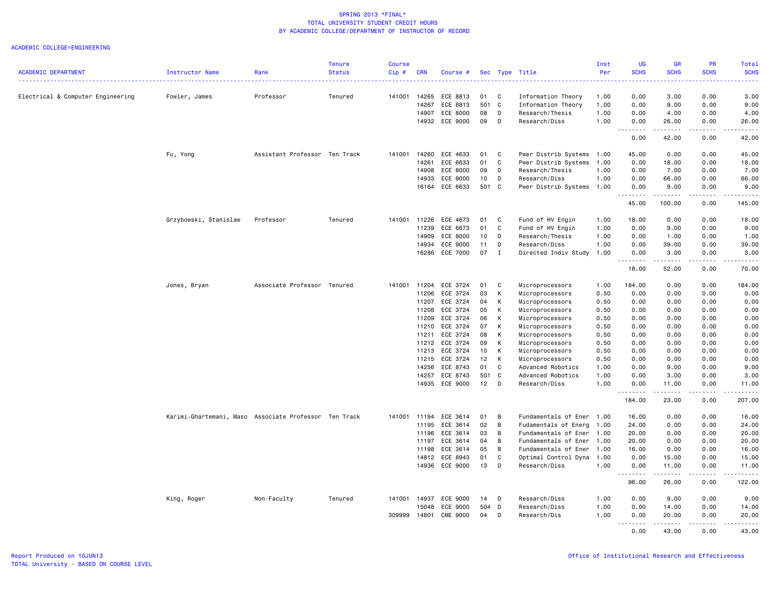| <b>ACADEMIC DEPARTMENT</b>        | Instructor Name                                       | Rank                          | <b>Tenure</b><br><b>Status</b> | Course<br>Cip# | <b>CRN</b> | Course #        |       |              | Sec Type Title            | Inst<br>Per | <b>UG</b><br><b>SCHS</b> | <b>GR</b><br><b>SCHS</b> | PR<br><b>SCHS</b>   | Total<br><b>SCHS</b> |
|-----------------------------------|-------------------------------------------------------|-------------------------------|--------------------------------|----------------|------------|-----------------|-------|--------------|---------------------------|-------------|--------------------------|--------------------------|---------------------|----------------------|
|                                   |                                                       |                               |                                |                |            |                 |       |              |                           |             |                          |                          |                     |                      |
| Electrical & Computer Engineering | Fowler, James                                         | Professor                     | Tenured                        | 141001         | 14265      | ECE 8813        | 01    | C            | Information Theory        | 1.00        | 0.00                     | 3.00                     | 0.00                | 3.00                 |
|                                   |                                                       |                               |                                |                | 14267      | ECE 8813        | 501 C |              | Information Theory        | 1.00        | 0.00                     | 9.00                     | 0.00                | 9.00                 |
|                                   |                                                       |                               |                                |                | 14907      | ECE 8000        | 08    | D            | Research/Thesis           | 1.00        | 0.00                     | 4.00                     | 0.00                | 4.00                 |
|                                   |                                                       |                               |                                |                | 14932      | ECE 9000        | 09    | D            | Research/Diss             | 1.00        | 0.00<br>-----            | 26.00<br>$- - - - -$     | 0.00                | 26.00                |
|                                   |                                                       |                               |                                |                |            |                 |       |              |                           |             | 0.00                     | 42.00                    | 0.00                | 42.00                |
|                                   | Fu, Yong                                              | Assistant Professor Ten Track |                                | 141001         | 14260      | ECE 4633        | 01    | C            | Pwer Distrib Systems 1.00 |             | 45.00                    | 0.00                     | 0.00                | 45.00                |
|                                   |                                                       |                               |                                |                | 14261      | ECE 6633        | 01    | C            | Pwer Distrib Systems      | 1.00        | 0.00                     | 18.00                    | 0.00                | 18.00                |
|                                   |                                                       |                               |                                |                | 14908      | ECE 8000        | 09    | D            | Research/Thesis           | 1.00        | 0.00                     | 7.00                     | 0.00                | 7.00                 |
|                                   |                                                       |                               |                                |                | 14933      | ECE 9000        | 10    | D            | Research/Diss             | 1.00        | 0.00                     | 66.00                    | 0.00                | 66.00                |
|                                   |                                                       |                               |                                |                |            | 16164 ECE 6633  | 501 C |              | Pwer Distrib Systems 1.00 |             | 0.00<br>.                | 9.00<br>.                | 0.00<br>.           | 9.00<br>.            |
|                                   |                                                       |                               |                                |                |            |                 |       |              |                           |             | 45.00                    | 100.00                   | 0.00                | 145.00               |
|                                   | Grzybowski, Stanislaw                                 | Professor                     | Tenured                        | 141001 11226   |            | ECE 4673        | 01    | C            | Fund of HV Engin          | 1.00        | 18.00                    | 0.00                     | 0.00                | 18.00                |
|                                   |                                                       |                               |                                |                | 11239      | ECE 6673        | 01    | C            | Fund of HV Engin          | 1.00        | 0.00                     | 9.00                     | 0.00                | 9.00                 |
|                                   |                                                       |                               |                                |                | 14909      | ECE 8000        | 10    | D            | Research/Thesis           | 1.00        | 0.00                     | 1.00                     | 0.00                | 1.00                 |
|                                   |                                                       |                               |                                |                | 14934      | ECE 9000        | 11    | D            | Research/Diss             | 1.00        | 0.00                     | 39.00                    | 0.00                | 39.00                |
|                                   |                                                       |                               |                                |                |            | 16286 ECE 7000  | 07    | $\mathbf{I}$ | Directed Indiv Study      | 1.00        | 0.00<br>.                | 3.00<br>.                | 0.00<br><u>.</u>    | 3.00<br>.            |
|                                   |                                                       |                               |                                |                |            |                 |       |              |                           |             | 18.00                    | 52.00                    | 0.00                | 70.00                |
|                                   | Jones, Bryan                                          | Associate Professor Tenured   |                                | 141001 11204   |            | ECE 3724        | 01    | C            | Microprocessors           | 1.00        | 184.00                   | 0.00                     | 0.00                | 184.00               |
|                                   |                                                       |                               |                                |                | 11206      | ECE 3724        | 03    | K            | Microprocessors           | 0.50        | 0.00                     | 0.00                     | 0.00                | 0.00                 |
|                                   |                                                       |                               |                                |                | 11207      | ECE 3724        | 04    | K            | Microprocessors           | 0.50        | 0.00                     | 0.00                     | 0.00                | 0.00                 |
|                                   |                                                       |                               |                                |                | 11208      | ECE 3724        | 05    | K            | Microprocessors           | 0.50        | 0.00                     | 0.00                     | 0.00                | 0.00                 |
|                                   |                                                       |                               |                                |                | 11209      | ECE 3724        | 06    | K            | Microprocessors           | 0.50        | 0.00                     | 0.00                     | 0.00                | 0.00                 |
|                                   |                                                       |                               |                                |                | 11210      | ECE 3724        | 07    | K            | Microprocessors           | 0.50        | 0.00                     | 0.00                     | 0.00                | 0.00                 |
|                                   |                                                       |                               |                                |                | 11211      | ECE 3724        | 08    | K            | Microprocessors           | 0.50        | 0.00                     | 0.00                     | 0.00                | 0.00                 |
|                                   |                                                       |                               |                                |                | 11212      | ECE 3724        | 09    | K            | Microprocessors           | 0.50        | 0.00                     | 0.00                     | 0.00                | 0.00                 |
|                                   |                                                       |                               |                                |                | 11213      | ECE 3724        | 10    | K            | Microprocessors           | 0.50        | 0.00                     | 0.00                     | 0.00                | 0.00                 |
|                                   |                                                       |                               |                                |                | 11215      | ECE 3724        | 12    | K            | Microprocessors           | 0.50        | 0.00                     | 0.00                     | 0.00                | 0.00                 |
|                                   |                                                       |                               |                                |                | 14256      | ECE 8743        | 01    | C            | Advanced Robotics         | 1.00        | 0.00                     | 9.00                     | 0.00                | 9.00                 |
|                                   |                                                       |                               |                                |                | 14257      | ECE 8743        | 501 C |              | Advanced Robotics         | 1.00        | 0.00                     | 3.00                     | 0.00                | 3.00                 |
|                                   |                                                       |                               |                                |                |            | 14935 ECE 9000  | 12    | $\mathsf{D}$ | Research/Diss             | 1.00        | 0.00                     | 11.00                    | 0.00                | 11.00                |
|                                   |                                                       |                               |                                |                |            |                 |       |              |                           |             | .<br>184.00              | .<br>23.00               | .<br>0.00           | ------<br>207.00     |
|                                   | Karimi-Ghartemani, Maso Associate Professor Ten Track |                               |                                | 141001 11194   |            | ECE 3614        | 01    | B            | Fundamentals of Ener 1.00 |             | 16.00                    | 0.00                     | 0.00                | 16.00                |
|                                   |                                                       |                               |                                |                | 11195      | ECE 3614        | 02    | B            | Fudamentals of Energ      | 1.00        | 24.00                    | 0.00                     | 0.00                | 24.00                |
|                                   |                                                       |                               |                                |                | 11196      | ECE 3614        | 03    | B            | Fundamentals of Ener      | 1.00        | 20.00                    | 0.00                     | 0.00                | 20.00                |
|                                   |                                                       |                               |                                |                | 11197      | ECE 3614        | 04    | B            | Fundamentals of Ener 1.00 |             | 20.00                    | 0.00                     | 0.00                | 20.00                |
|                                   |                                                       |                               |                                |                | 11198      | ECE 3614        | 05    | B            | Fundamentals of Ener      | 1.00        | 16.00                    | 0.00                     | 0.00                | 16.00                |
|                                   |                                                       |                               |                                |                |            | 14812 ECE 8943  | 01    | C            | Optimal Control Dyna      | 1.00        | 0.00                     | 15.00                    | 0.00                | 15.00                |
|                                   |                                                       |                               |                                |                |            | 14936 ECE 9000  | 13    | D            | Research/Diss             | 1.00        | 0.00                     | 11.00                    | 0.00                | 11.00                |
|                                   |                                                       |                               |                                |                |            |                 |       |              |                           |             | <u>.</u>                 | .                        | .                   | <u>.</u>             |
|                                   |                                                       |                               |                                |                |            |                 |       |              |                           |             | 96.00                    | 26.00                    | 0.00                | 122.00               |
|                                   | King, Roger                                           | Non-Faculty                   | Tenured                        | 141001 14937   |            | ECE 9000        | 14    | D            | Research/Diss             | 1.00        | 0.00                     | 9.00                     | 0.00                | 9.00                 |
|                                   |                                                       |                               |                                |                | 15048      | ECE 9000        | 504 D |              | Research/Diss             | 1.00        | 0.00                     | 14.00                    | 0.00                | 14.00                |
|                                   |                                                       |                               |                                | 309999         | 14801      | <b>CME 9000</b> | 04    | D            | Research/Dis              | 1.00        | 0.00<br>.                | 20.00<br>.               | 0.00<br>$- - - - -$ | 20.00<br>.           |
|                                   |                                                       |                               |                                |                |            |                 |       |              |                           |             | 0.00                     | 43.00                    | 0.00                | 43.00                |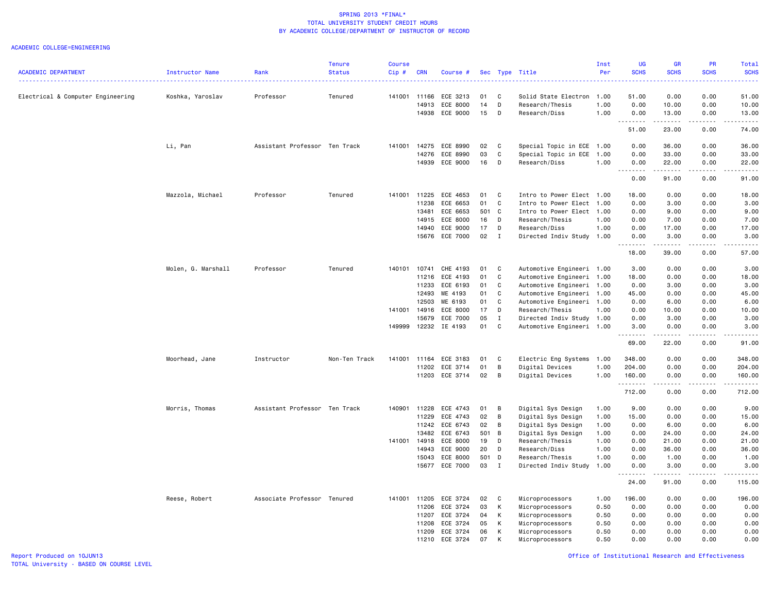|                                   |                    |                               | <b>Tenure</b> | <b>Course</b> |                |                      |          |                |                                         | Inst         | UG                    | <b>GR</b>                                                                                                                                            | PR           | Total                                                                                                                                                        |
|-----------------------------------|--------------------|-------------------------------|---------------|---------------|----------------|----------------------|----------|----------------|-----------------------------------------|--------------|-----------------------|------------------------------------------------------------------------------------------------------------------------------------------------------|--------------|--------------------------------------------------------------------------------------------------------------------------------------------------------------|
| <b>ACADEMIC DEPARTMENT</b>        | Instructor Name    | Rank                          | <b>Status</b> | $Cip$ #       | <b>CRN</b>     | Course #             |          |                | Sec Type Title                          | Per          | <b>SCHS</b>           | <b>SCHS</b>                                                                                                                                          | <b>SCHS</b>  | <b>SCHS</b><br>.                                                                                                                                             |
|                                   |                    |                               |               |               |                |                      |          |                |                                         |              |                       |                                                                                                                                                      |              |                                                                                                                                                              |
| Electrical & Computer Engineering | Koshka, Yaroslav   | Professor                     | Tenured       | 141001        | 11166<br>14913 | ECE 3213<br>ECE 8000 | 01<br>14 | C<br>D         | Solid State Electron<br>Research/Thesis | 1.00<br>1.00 | 51.00<br>0.00         | 0.00<br>10.00                                                                                                                                        | 0.00<br>0.00 | 51.00<br>10.00                                                                                                                                               |
|                                   |                    |                               |               |               | 14938          | ECE 9000             | 15       | D              | Research/Diss                           | 1.00         | 0.00                  | 13.00                                                                                                                                                | 0.00         | 13.00                                                                                                                                                        |
|                                   |                    |                               |               |               |                |                      |          |                |                                         |              | $\sim$ $\sim$ $\sim$  | $\frac{1}{2} \left( \frac{1}{2} \right) \left( \frac{1}{2} \right) \left( \frac{1}{2} \right) \left( \frac{1}{2} \right) \left( \frac{1}{2} \right)$ | .            | $\sim$ $\sim$ $\sim$ $\sim$ $\sim$                                                                                                                           |
|                                   |                    |                               |               |               |                |                      |          |                |                                         |              | 51.00                 | 23.00                                                                                                                                                | 0.00         | 74.00                                                                                                                                                        |
|                                   | Li, Pan            | Assistant Professor Ten Track |               |               | 141001 14275   | ECE 8990             | 02       | C              | Special Topic in ECE 1.00               |              | 0.00                  | 36.00                                                                                                                                                | 0.00         | 36.00                                                                                                                                                        |
|                                   |                    |                               |               |               | 14276          | ECE 8990             | 03       | $\mathtt{C}$   | Special Topic in ECE                    | 1.00         | 0.00                  | 33.00                                                                                                                                                | 0.00         | 33.00                                                                                                                                                        |
|                                   |                    |                               |               |               | 14939          | ECE 9000             | 16       | D              | Research/Diss                           | 1.00         | 0.00<br>$\sim$ $\sim$ | 22.00                                                                                                                                                | 0.00         | 22.00<br>$\frac{1}{2}$                                                                                                                                       |
|                                   |                    |                               |               |               |                |                      |          |                |                                         |              | 0.00                  | 91.00                                                                                                                                                | 0.00         | 91.00                                                                                                                                                        |
|                                   | Mazzola, Michael   | Professor                     | Tenured       | 141001        | 11225          | ECE 4653             | 01       | C              | Intro to Power Elect 1.00               |              | 18.00                 | 0.00                                                                                                                                                 | 0.00         | 18.00                                                                                                                                                        |
|                                   |                    |                               |               |               | 11238          | ECE 6653             | 01       | C              | Intro to Power Elect 1.00               |              | 0.00                  | 3.00                                                                                                                                                 | 0.00         | 3.00                                                                                                                                                         |
|                                   |                    |                               |               |               | 13481          | ECE 6653             | 501 C    |                | Intro to Power Elect 1.00               |              | 0.00                  | 9.00                                                                                                                                                 | 0.00         | 9.00                                                                                                                                                         |
|                                   |                    |                               |               |               | 14915          | ECE 8000             | 16       | D              | Research/Thesis                         | 1.00         | 0.00                  | 7.00                                                                                                                                                 | 0.00         | 7.00                                                                                                                                                         |
|                                   |                    |                               |               |               | 14940          | ECE 9000             | 17       | D              | Research/Diss                           | 1.00         | 0.00                  | 17.00                                                                                                                                                | 0.00         | 17.00                                                                                                                                                        |
|                                   |                    |                               |               |               | 15676          | ECE 7000             | 02       | $\mathbf{I}$   | Directed Indiv Study 1.00               |              | 0.00<br>.<br>$ -$     | 3.00<br><u>.</u>                                                                                                                                     | 0.00<br>.    | 3.00<br>.                                                                                                                                                    |
|                                   |                    |                               |               |               |                |                      |          |                |                                         |              | 18.00                 | 39.00                                                                                                                                                | 0.00         | 57.00                                                                                                                                                        |
|                                   | Molen, G. Marshall | Professor                     | Tenured       | 140101 10741  |                | CHE 4193             | 01       | C              | Automotive Engineeri 1.00               |              | 3.00                  | 0.00                                                                                                                                                 | 0.00         | 3.00                                                                                                                                                         |
|                                   |                    |                               |               |               | 11216          | ECE 4193             | 01       | C              | Automotive Engineeri 1.00               |              | 18.00                 | 0.00                                                                                                                                                 | 0.00         | 18.00                                                                                                                                                        |
|                                   |                    |                               |               |               | 11233          | ECE 6193             | 01       | C              | Automotive Engineeri 1.00               |              | 0.00                  | 3.00                                                                                                                                                 | 0.00         | 3.00                                                                                                                                                         |
|                                   |                    |                               |               |               | 12493          | ME 4193              | 01       | $\mathbb{C}$   | Automotive Engineeri 1.00               |              | 45.00                 | 0.00                                                                                                                                                 | 0.00         | 45.00                                                                                                                                                        |
|                                   |                    |                               |               |               | 12503          | ME 6193              | 01       | $\mathtt{C}$   | Automotive Engineeri 1.00               |              | 0.00                  | 6.00                                                                                                                                                 | 0.00         | 6.00                                                                                                                                                         |
|                                   |                    |                               |               | 141001        | 14916          | ECE 8000             | 17       | D              | Research/Thesis                         | 1.00         | 0.00                  | 10.00                                                                                                                                                | 0.00         | 10.00                                                                                                                                                        |
|                                   |                    |                               |               |               | 15679          | ECE 7000             | 05       | $\mathbf{I}$   | Directed Indiv Study 1.00               |              | 0.00                  | 3.00                                                                                                                                                 | 0.00         | 3.00                                                                                                                                                         |
|                                   |                    |                               |               | 149999        | 12232          | IE 4193              | 01       | C              | Automotive Engineeri 1.00               |              | 3.00<br>د د د د       | 0.00<br>$\begin{array}{cccccccccccccc} \bullet & \bullet & \bullet & \bullet & \bullet & \bullet & \bullet \end{array}$                              | 0.00<br>.    | 3.00<br>$\frac{1}{2} \left( \frac{1}{2} \right) \left( \frac{1}{2} \right) \left( \frac{1}{2} \right) \left( \frac{1}{2} \right) \left( \frac{1}{2} \right)$ |
|                                   |                    |                               |               |               |                |                      |          |                |                                         |              | 69.00                 | 22.00                                                                                                                                                | 0.00         | 91.00                                                                                                                                                        |
|                                   | Moorhead, Jane     | Instructor                    | Non-Ten Track | 141001        | 11164          | ECE 3183             | 01       | C              | Electric Eng Systems                    | 1.00         | 348.00                | 0.00                                                                                                                                                 | 0.00         | 348.00                                                                                                                                                       |
|                                   |                    |                               |               |               | 11202          | ECE 3714             | 01       | В              | Digital Devices                         | 1.00         | 204.00                | 0.00                                                                                                                                                 | 0.00         | 204.00                                                                                                                                                       |
|                                   |                    |                               |               |               | 11203          | ECE 3714             | 02       | $\overline{B}$ | Digital Devices                         | 1.00         | 160.00<br><u>.</u>    | 0.00                                                                                                                                                 | 0.00<br>.    | 160.00<br>$- - - - - - -$                                                                                                                                    |
|                                   |                    |                               |               |               |                |                      |          |                |                                         |              | 712.00                | 0.00                                                                                                                                                 | 0.00         | 712.00                                                                                                                                                       |
|                                   | Morris, Thomas     | Assistant Professor Ten Track |               | 140901        | 11228          | ECE 4743             | 01       | B              | Digital Sys Design                      | 1.00         | 9.00                  | 0.00                                                                                                                                                 | 0.00         | 9.00                                                                                                                                                         |
|                                   |                    |                               |               |               | 11229          | ECE 4743             | 02       | В              | Digital Sys Design                      | 1.00         | 15.00                 | 0.00                                                                                                                                                 | 0.00         | 15.00                                                                                                                                                        |
|                                   |                    |                               |               |               | 11242          | ECE 6743             | 02       | B              | Digital Sys Design                      | 1.00         | 0.00                  | 6.00                                                                                                                                                 | 0.00         | 6.00                                                                                                                                                         |
|                                   |                    |                               |               |               | 13482          | ECE 6743             | 501      | $\overline{B}$ | Digital Sys Design                      | 1.00         | 0.00                  | 24.00                                                                                                                                                | 0.00         | 24.00                                                                                                                                                        |
|                                   |                    |                               |               | 141001        | 14918          | ECE 8000             | 19       | D              | Research/Thesis                         | 1.00         | 0.00                  | 21.00                                                                                                                                                | 0.00         | 21.00                                                                                                                                                        |
|                                   |                    |                               |               |               | 14943          | ECE 9000             | 20       | D              | Research/Diss                           | 1.00         | 0.00                  | 36.00                                                                                                                                                | 0.00         | 36.00                                                                                                                                                        |
|                                   |                    |                               |               |               | 15043          | ECE 8000             | 501      | D              | Research/Thesis                         | 1.00         | 0.00                  | 1.00                                                                                                                                                 | 0.00         | 1.00                                                                                                                                                         |
|                                   |                    |                               |               |               | 15677          | ECE 7000             | 03       | $\mathbf{I}$   | Directed Indiv Study                    | 1.00         | 0.00<br>$  -$         | 3,00                                                                                                                                                 | 0.00         | 3,00<br>.                                                                                                                                                    |
|                                   |                    |                               |               |               |                |                      |          |                |                                         |              | 24.00                 | 91.00                                                                                                                                                | 0.00         | 115.00                                                                                                                                                       |
|                                   | Reese, Robert      | Associate Professor Tenured   |               | 141001        | 11205          | ECE 3724             | 02       | C              | Microprocessors                         | 1.00         | 196.00                | 0.00                                                                                                                                                 | 0.00         | 196.00                                                                                                                                                       |
|                                   |                    |                               |               |               | 11206          | ECE 3724             | 03       | Κ              | Microprocessors                         | 0.50         | 0.00                  | 0.00                                                                                                                                                 | 0.00         | 0.00                                                                                                                                                         |
|                                   |                    |                               |               |               | 11207          | ECE 3724             | 04       | К              | Microprocessors                         | 0.50         | 0.00                  | 0.00                                                                                                                                                 | 0.00         | 0.00                                                                                                                                                         |
|                                   |                    |                               |               |               | 11208          | ECE 3724             | 05       | К              | Microprocessors                         | 0.50         | 0.00                  | 0.00                                                                                                                                                 | 0.00         | 0.00                                                                                                                                                         |
|                                   |                    |                               |               |               | 11209          | ECE 3724             | 06       | К              | Microprocessors                         | 0.50         | 0.00                  | 0.00                                                                                                                                                 | 0.00         | 0.00                                                                                                                                                         |
|                                   |                    |                               |               |               | 11210          | ECE 3724             | 07       | K              | Microprocessors                         | 0.50         | 0.00                  | 0.00                                                                                                                                                 | 0.00         | 0.00                                                                                                                                                         |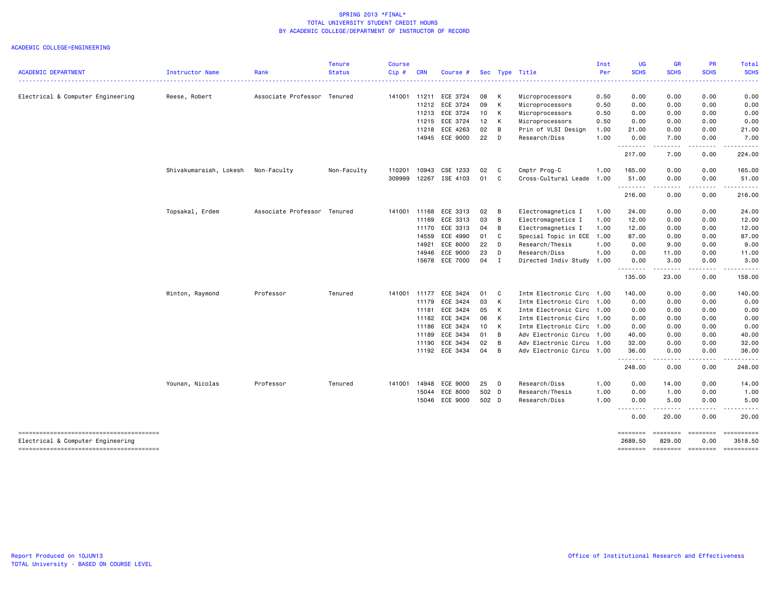| <b>ACADEMIC DEPARTMENT</b>             | Instructor Name        | Rank                        | <b>Tenure</b><br><b>Status</b> | <b>Course</b><br>Cip# | <b>CRN</b>   | Course #       |       |                | Sec Type Title            | Inst<br>Per | <b>UG</b><br><b>SCHS</b> | <b>GR</b><br><b>SCHS</b>                                                                                                          | PR<br><b>SCHS</b> | Total<br><b>SCHS</b> |
|----------------------------------------|------------------------|-----------------------------|--------------------------------|-----------------------|--------------|----------------|-------|----------------|---------------------------|-------------|--------------------------|-----------------------------------------------------------------------------------------------------------------------------------|-------------------|----------------------|
|                                        |                        |                             |                                |                       |              |                |       |                |                           |             |                          |                                                                                                                                   |                   |                      |
| Electrical & Computer Engineering      | Reese, Robert          | Associate Professor Tenured |                                |                       | 141001 11211 | ECE 3724       | 08    | K              | Microprocessors           | 0.50        | 0.00                     | 0.00                                                                                                                              | 0.00              | 0.00                 |
|                                        |                        |                             |                                |                       | 11212        | ECE 3724       | 09    | K              | Microprocessors           | 0.50        | 0.00                     | 0.00                                                                                                                              | 0.00              | 0.00                 |
|                                        |                        |                             |                                |                       |              | 11213 ECE 3724 | 10    | K              | Microprocessors           | 0.50        | 0.00                     | 0.00                                                                                                                              | 0.00              | 0.00                 |
|                                        |                        |                             |                                |                       | 11215        | ECE 3724       | 12    | K              | Microprocessors           | 0.50        | 0.00                     | 0.00                                                                                                                              | 0.00              | 0.00                 |
|                                        |                        |                             |                                |                       | 11218        | ECE 4263       | 02    | $\overline{B}$ | Prin of VLSI Design       | 1.00        | 21.00                    | 0.00                                                                                                                              | 0.00              | 21.00                |
|                                        |                        |                             |                                |                       |              | 14945 ECE 9000 | 22    | $\mathsf{D}$   | Research/Diss             | 1.00        | 0.00<br>.                | 7.00<br>د د د                                                                                                                     | 0.00<br>.         | 7.00                 |
|                                        |                        |                             |                                |                       |              |                |       |                |                           |             | 217.00                   | 7.00                                                                                                                              | 0.00              | 224.00               |
|                                        | Shivakumaraiah, Lokesh | Non-Faculty                 | Non-Faculty                    | 110201                | 10943        | CSE 1233       | 02    | C.             | Cmptr Prog-C              | 1.00        | 165.00                   | 0.00                                                                                                                              | 0.00              | 165.00               |
|                                        |                        |                             |                                | 309999                | 12267        | ISE 4103       | 01    | $\mathbf{C}$   | Cross-Cultural Leade      | 1.00        | 51.00<br>.               | 0.00<br>$\sim$ $\sim$ $\sim$ $\sim$ $\sim$                                                                                        | 0.00<br>.         | 51.00<br>.           |
|                                        |                        |                             |                                |                       |              |                |       |                |                           |             | 216.00                   | 0.00                                                                                                                              | 0.00              | 216.00               |
|                                        | Topsakal, Erdem        | Associate Professor Tenured |                                | 141001                | 11168        | ECE 3313       | 02    | B              | Electromagnetics I        | 1.00        | 24.00                    | 0.00                                                                                                                              | 0.00              | 24.00                |
|                                        |                        |                             |                                |                       | 11169        | ECE 3313       | 03    | B              | Electromagnetics I        | 1.00        | 12.00                    | 0.00                                                                                                                              | 0.00              | 12.00                |
|                                        |                        |                             |                                |                       | 11170        | ECE 3313       | 04    | B              | Electromagnetics I        | 1.00        | 12.00                    | 0.00                                                                                                                              | 0.00              | 12.00                |
|                                        |                        |                             |                                |                       | 14559        | ECE 4990       | 01    | $\mathbf{C}$   | Special Topic in ECE 1.00 |             | 87.00                    | 0.00                                                                                                                              | 0.00              | 87.00                |
|                                        |                        |                             |                                |                       | 14921        | ECE 8000       | 22    | D              | Research/Thesis           | 1.00        | 0.00                     | 9.00                                                                                                                              | 0.00              | 9.00                 |
|                                        |                        |                             |                                |                       | 14946        | ECE 9000       | 23    | D              | Research/Diss             | 1.00        | 0.00                     | 11.00                                                                                                                             | 0.00              | 11.00                |
|                                        |                        |                             |                                |                       |              | 15678 ECE 7000 | 04    | $\mathbf{I}$   | Directed Indiv Study 1.00 |             | 0.00<br>.                | 3.00<br>.                                                                                                                         | 0.00<br>-----     | 3.00<br>.            |
|                                        |                        |                             |                                |                       |              |                |       |                |                           |             | 135.00                   | 23.00                                                                                                                             | 0.00              | 158.00               |
|                                        | Winton, Raymond        | Professor                   | Tenured                        | 141001                | 11177        | ECE 3424       | 01    | C              | Intm Electronic Circ 1.00 |             | 140.00                   | 0.00                                                                                                                              | 0.00              | 140.00               |
|                                        |                        |                             |                                |                       | 11179        | ECE 3424       | 03    | К              | Intm Electronic Circ 1.00 |             | 0.00                     | 0.00                                                                                                                              | 0.00              | 0.00                 |
|                                        |                        |                             |                                |                       | 11181        | ECE 3424       | 05    | K              | Intm Electronic Circ 1.00 |             | 0.00                     | 0.00                                                                                                                              | 0.00              | 0.00                 |
|                                        |                        |                             |                                |                       | 11182        | ECE 3424       | 06    | K              | Intm Electronic Circ 1.00 |             | 0.00                     | 0.00                                                                                                                              | 0.00              | 0.00                 |
|                                        |                        |                             |                                |                       | 11186        | ECE 3424       | 10    | $\mathsf{K}$   | Intm Electronic Circ      | 1.00        | 0.00                     | 0.00                                                                                                                              | 0.00              | 0.00                 |
|                                        |                        |                             |                                |                       | 11189        | ECE 3434       | 01    | $\overline{B}$ | Adv Electronic Circu      | 1.00        | 40.00                    | 0.00                                                                                                                              | 0.00              | 40.00                |
|                                        |                        |                             |                                |                       | 11190        | ECE 3434       | 02    | B              | Adv Electronic Circu      | 1.00        | 32.00                    | 0.00                                                                                                                              | 0.00              | 32.00                |
|                                        |                        |                             |                                |                       |              | 11192 ECE 3434 | 04    | B              | Adv Electronic Circu 1.00 |             | 36.00<br>.               | 0.00<br>$\frac{1}{2} \left( \frac{1}{2} \right) \left( \frac{1}{2} \right) \left( \frac{1}{2} \right) \left( \frac{1}{2} \right)$ | 0.00<br>.         | 36.00<br>.           |
|                                        |                        |                             |                                |                       |              |                |       |                |                           |             | 248.00                   | 0.00                                                                                                                              | 0.00              | 248.00               |
|                                        | Younan, Nicolas        | Professor                   | Tenured                        | 141001                | 14948        | ECE 9000       | 25    | - D            | Research/Diss             | 1.00        | 0.00                     | 14.00                                                                                                                             | 0.00              | 14.00                |
|                                        |                        |                             |                                |                       |              | 15044 ECE 8000 | 502 D |                | Research/Thesis           | 1.00        | 0.00                     | 1.00                                                                                                                              | 0.00              | 1.00                 |
|                                        |                        |                             |                                |                       |              | 15046 ECE 9000 | 502 D |                | Research/Diss             | 1.00        | 0.00                     | 5.00                                                                                                                              | 0.00              | 5.00                 |
|                                        |                        |                             |                                |                       |              |                |       |                |                           |             | 0.00                     | 20.00                                                                                                                             | 0.00              | 20.00                |
| -------------------------------------- |                        |                             |                                |                       |              |                |       |                |                           |             | ========                 | ========                                                                                                                          | ========          |                      |
| Electrical & Computer Engineering      |                        |                             |                                |                       |              |                |       |                |                           |             | 2689.50                  | 829.00                                                                                                                            | 0.00              | 3518.50              |
|                                        |                        |                             |                                |                       |              |                |       |                |                           |             | ========                 | ========                                                                                                                          | ========          |                      |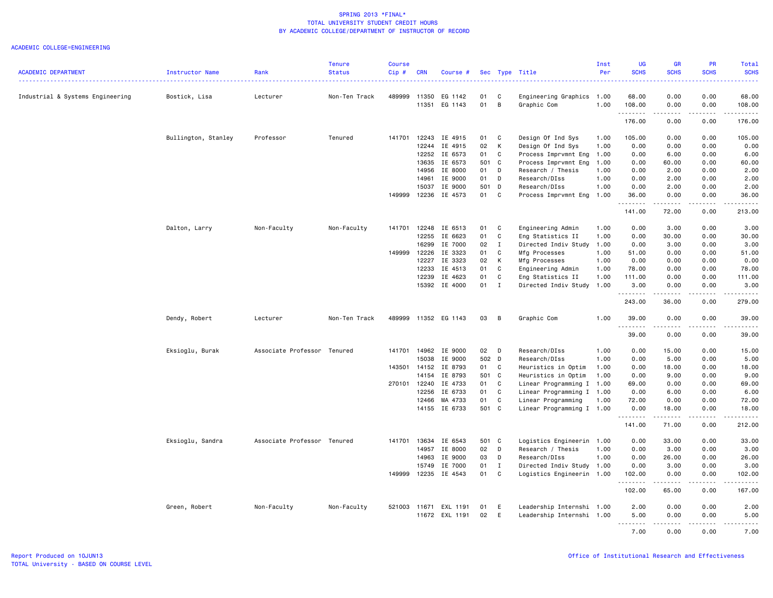|                                  |                     |                             | <b>Tenure</b> | <b>Course</b> |            |                |       |              |                           | Inst | <b>UG</b>           | GR                    | PR                           | Total                                                                                                                 |
|----------------------------------|---------------------|-----------------------------|---------------|---------------|------------|----------------|-------|--------------|---------------------------|------|---------------------|-----------------------|------------------------------|-----------------------------------------------------------------------------------------------------------------------|
| <b>ACADEMIC DEPARTMENT</b>       | Instructor Name     | Rank                        | <b>Status</b> | Cip#          | <b>CRN</b> | Course #       |       |              | Sec Type Title            | Per  | <b>SCHS</b>         | <b>SCHS</b>           | <b>SCHS</b>                  | <b>SCHS</b><br>الدائدات                                                                                               |
| Industrial & Systems Engineering | Bostick, Lisa       | Lecturer                    | Non-Ten Track | 489999        | 11350      | EG 1142        | 01    | C            | Engineering Graphics      | 1.00 | 68.00               | 0.00                  | 0.00                         | 68.00                                                                                                                 |
|                                  |                     |                             |               |               | 11351      | EG 1143        | 01    | B            | Graphic Com               | 1.00 | 108.00<br>.         | 0.00<br>.             | 0.00<br>.                    | 108.00<br>$\begin{array}{cccccccccc} \bullet & \bullet & \bullet & \bullet & \bullet & \bullet & \bullet \end{array}$ |
|                                  |                     |                             |               |               |            |                |       |              |                           |      | 176.00              | 0.00                  | 0.00                         | 176.00                                                                                                                |
|                                  | Bullington, Stanley | Professor                   | Tenured       | 141701        | 12243      | IE 4915        | 01    | C            | Design Of Ind Sys         | 1.00 | 105.00              | 0.00                  | 0.00                         | 105.00                                                                                                                |
|                                  |                     |                             |               |               | 12244      | IE 4915        | 02    | К            | Design Of Ind Sys         | 1.00 | 0.00                | 0.00                  | 0.00                         | 0.00                                                                                                                  |
|                                  |                     |                             |               |               | 12252      | IE 6573        | 01    | C            | Process Imprvmnt Eng      | 1.00 | 0.00                | 6.00                  | 0.00                         | 6.00                                                                                                                  |
|                                  |                     |                             |               |               | 13635      | IE 6573        | 501   | $\mathbf{C}$ | Process Imprvmnt Eng      | 1.00 | 0.00                | 60.00                 | 0.00                         | 60.00                                                                                                                 |
|                                  |                     |                             |               |               | 14956      | IE 8000        | 01    | D            | Research / Thesis         | 1.00 | 0.00                | 2.00                  | 0.00                         | 2.00                                                                                                                  |
|                                  |                     |                             |               |               | 14961      | IE 9000        | 01    | D            | Research/DIss             | 1.00 | 0.00                | 2.00                  | 0.00                         | 2.00                                                                                                                  |
|                                  |                     |                             |               |               | 15037      | IE 9000        | 501 D |              | Research/DIss             | 1.00 | 0.00                | 2.00                  | 0.00                         | 2.00                                                                                                                  |
|                                  |                     |                             |               | 149999        | 12236      | IE 4573        | 01    | C            | Process Imprvmnt Eng      | 1.00 | 36.00<br>. <b>.</b> | 0.00<br>.             | 0.00<br>$\sim$ $\sim$ $\sim$ | 36.00<br>.                                                                                                            |
|                                  |                     |                             |               |               |            |                |       |              |                           |      | 141.00              | 72.00                 | 0.00                         | 213.00                                                                                                                |
|                                  | Dalton, Larry       | Non-Faculty                 | Non-Faculty   | 141701        | 12248      | IE 6513        | 01    | C            | Engineering Admin         | 1.00 | 0.00                | 3.00                  | 0.00                         | 3.00                                                                                                                  |
|                                  |                     |                             |               |               | 12255      | IE 6623        | 01    | C            | Eng Statistics II         | 1.00 | 0.00                | 30.00                 | 0.00                         | 30.00                                                                                                                 |
|                                  |                     |                             |               |               | 16299      | IE 7000        | 02    | $\mathbf{I}$ | Directed Indiv Study      | 1.00 | 0.00                | 3.00                  | 0.00                         | 3.00                                                                                                                  |
|                                  |                     |                             |               | 149999        | 12226      | IE 3323        | 01    | C            | Mfg Processes             | 1.00 | 51.00               | 0.00                  | 0.00                         | 51.00                                                                                                                 |
|                                  |                     |                             |               |               | 12227      | IE 3323        | 02    | к            | Mfg Processes             | 1.00 | 0.00                | 0.00                  | 0.00                         | 0.00                                                                                                                  |
|                                  |                     |                             |               |               | 12233      | IE 4513        | 01    | C            | Engineering Admin         | 1.00 | 78.00               | 0.00                  | 0.00                         | 78.00                                                                                                                 |
|                                  |                     |                             |               |               | 12239      | IE 4623        | 01    | C            | Eng Statistics II         | 1.00 | 111.00              | 0.00                  | 0.00                         | 111.00                                                                                                                |
|                                  |                     |                             |               |               | 15392      | IE 4000        | 01    | $\mathbf{I}$ | Directed Indiv Study 1.00 |      | 3.00                | 0.00                  | 0.00                         | 3.00                                                                                                                  |
|                                  |                     |                             |               |               |            |                |       |              |                           |      | .                   | .                     | .                            | .                                                                                                                     |
|                                  |                     |                             |               |               |            |                |       |              |                           |      | 243.00              | 36.00                 | 0.00                         | 279.00                                                                                                                |
|                                  | Dendy, Robert       | Lecturer                    | Non-Ten Track | 489999        |            | 11352 EG 1143  | 03    | B            | Graphic Com               | 1.00 | 39.00<br><u>.</u>   | 0.00<br><u>.</u>      | 0.00<br>.                    | 39.00<br>.                                                                                                            |
|                                  |                     |                             |               |               |            |                |       |              |                           |      | 39.00               | 0.00                  | 0.00                         | 39.00                                                                                                                 |
|                                  | Eksioglu, Burak     | Associate Professor Tenured |               | 141701        | 14962      | IE 9000        | 02    | D            | Research/DIss             | 1.00 | 0.00                | 15.00                 | 0.00                         | 15.00                                                                                                                 |
|                                  |                     |                             |               |               | 15038      | IE 9000        | 502 D |              | Research/DIss             | 1.00 | 0.00                | 5.00                  | 0.00                         | 5.00                                                                                                                  |
|                                  |                     |                             |               | 143501        | 14152      | IE 8793        | 01    | C            | Heuristics in Optim       | 1.00 | 0.00                | 18.00                 | 0.00                         | 18.00                                                                                                                 |
|                                  |                     |                             |               |               | 14154      | IE 8793        | 501 C |              | Heuristics in Optim       | 1.00 | 0.00                | 9.00                  | 0.00                         | 9.00                                                                                                                  |
|                                  |                     |                             |               | 270101        | 12240      | IE 4733        | 01    | $\mathbf{C}$ | Linear Programming I 1.00 |      | 69.00               | 0.00                  | 0.00                         | 69.00                                                                                                                 |
|                                  |                     |                             |               |               | 12256      | IE 6733        | 01    | C            | Linear Programming I 1.00 |      | 0.00                | 6.00                  | 0.00                         | 6.00                                                                                                                  |
|                                  |                     |                             |               |               | 12466      | MA 4733        | 01    | C            | Linear Programming        | 1.00 | 72.00               | 0.00                  | 0.00                         | 72.00                                                                                                                 |
|                                  |                     |                             |               |               | 14155      | IE 6733        | 501 C |              | Linear Programming I 1.00 |      | 0.00<br><u>.</u>    | 18.00<br>. <b>.</b> . | 0.00<br>.                    | 18.00<br>.                                                                                                            |
|                                  |                     |                             |               |               |            |                |       |              |                           |      | 141.00              | 71.00                 | 0.00                         | 212.00                                                                                                                |
|                                  | Eksioglu, Sandra    | Associate Professor Tenured |               | 141701        | 13634      | IE 6543        | 501 C |              | Logistics Engineerin      | 1.00 | 0.00                | 33.00                 | 0.00                         | 33.00                                                                                                                 |
|                                  |                     |                             |               |               | 14957      | IE 8000        | 02    | D            | Research / Thesis         | 1.00 | 0.00                | 3.00                  | 0.00                         | 3.00                                                                                                                  |
|                                  |                     |                             |               |               | 14963      | IE 9000        | 03    | D            | Research/DIss             | 1.00 | 0.00                | 26.00                 | 0.00                         | 26.00                                                                                                                 |
|                                  |                     |                             |               |               | 15749      | IE 7000        | 01    | $\mathbf{I}$ | Directed Indiv Study 1.00 |      | 0.00                | 3.00                  | 0.00                         | 3.00                                                                                                                  |
|                                  |                     |                             |               | 149999        | 12235      | IE 4543        | 01    | C            | Logistics Engineerin 1.00 |      | 102.00<br>.         | 0.00<br>$\frac{1}{2}$ | 0.00<br>$\frac{1}{2}$        | 102.00<br>.                                                                                                           |
|                                  |                     |                             |               |               |            |                |       |              |                           |      | 102.00              | 65.00                 | 0.00                         | 167.00                                                                                                                |
|                                  | Green, Robert       | Non-Faculty                 | Non-Faculty   | 521003        | 11671      | EXL 1191       | 01    | E            | Leadership Internshi 1.00 |      | 2.00                | 0.00                  | 0.00                         | 2.00                                                                                                                  |
|                                  |                     |                             |               |               |            | 11672 EXL 1191 | 02    | E            | Leadership Internshi 1.00 |      | 5.00                | 0.00                  | 0.00                         | 5.00                                                                                                                  |
|                                  |                     |                             |               |               |            |                |       |              |                           |      | .<br>7.00           | .<br>0.00             | $\frac{1}{2}$<br>0.00        | <u>.</u>                                                                                                              |
|                                  |                     |                             |               |               |            |                |       |              |                           |      |                     |                       |                              | 7.00                                                                                                                  |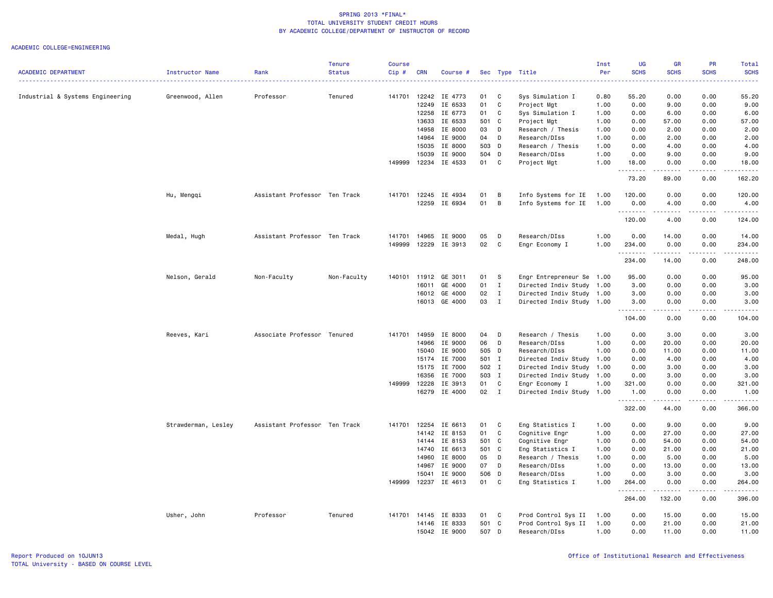|                                  |                     |                               | <b>Tenure</b> | <b>Course</b> |            |                          |          |                   |                                             | Inst     | <b>UG</b>          | <b>GR</b>            | <b>PR</b>         | Total            |
|----------------------------------|---------------------|-------------------------------|---------------|---------------|------------|--------------------------|----------|-------------------|---------------------------------------------|----------|--------------------|----------------------|-------------------|------------------|
| <b>ACADEMIC DEPARTMENT</b>       | Instructor Name     | Rank                          | <b>Status</b> | $Cip$ #       | <b>CRN</b> | Course #                 |          |                   | Sec Type Title                              | Per<br>. | <b>SCHS</b>        | <b>SCHS</b>          | <b>SCHS</b>       | <b>SCHS</b><br>. |
| Industrial & Systems Engineering | Greenwood, Allen    | Professor                     | Tenured       | 141701        | 12242      | IE 4773                  | 01       | C                 | Sys Simulation I                            | 0.80     | 55.20              | 0.00                 | 0.00              | 55.20            |
|                                  |                     |                               |               |               | 12249      | IE 6533                  | 01       | C                 | Project Mgt                                 | 1.00     | 0.00               | 9.00                 | 0.00              | 9.00             |
|                                  |                     |                               |               |               | 12258      | IE 6773                  | 01       | C                 | Sys Simulation I                            | 1.00     | 0.00               | 6.00                 | 0.00              | 6.00             |
|                                  |                     |                               |               |               | 13633      | IE 6533                  |          | 501 C             | Project Mgt                                 | 1.00     | 0.00               | 57.00                | 0.00              | 57.00            |
|                                  |                     |                               |               |               | 14958      | IE 8000                  | 03       | D                 | Research / Thesis                           | 1.00     | 0.00               | 2.00                 | 0.00              | 2.00             |
|                                  |                     |                               |               |               | 14964      | IE 9000                  | 04       | D                 | Research/DIss                               | 1.00     | 0.00               | 2.00                 | 0.00              | 2.00             |
|                                  |                     |                               |               |               | 15035      | IE 8000                  |          | 503 D             | Research / Thesis                           | 1.00     | 0.00               | 4.00                 | 0.00              | 4.00             |
|                                  |                     |                               |               |               | 15039      | IE 9000                  |          | 504 D             | Research/DIss                               | 1.00     | 0.00               | 9.00                 | 0.00              | 9.00             |
|                                  |                     |                               |               | 149999        | 12234      | IE 4533                  | 01       | C                 | Project Mgt                                 | 1.00     | 18.00              | 0.00<br>.            | 0.00<br>.         | 18.00<br>.       |
|                                  |                     |                               |               |               |            |                          |          |                   |                                             |          | 73.20              | 89.00                | 0.00              | 162.20           |
|                                  | Hu, Mengqi          | Assistant Professor Ten Track |               | 141701        | 12245      | IE 4934                  | 01       | В                 | Info Systems for IE                         | 1.00     | 120.00             | 0.00                 | 0.00              | 120.00           |
|                                  |                     |                               |               |               | 12259      | IE 6934                  | 01       | В                 | Info Systems for IE                         | 1.00     | 0.00<br>.          | 4.00<br>.            | 0.00<br>.         | 4.00<br>.        |
|                                  |                     |                               |               |               |            |                          |          |                   |                                             |          | 120.00             | 4.00                 | 0.00              | 124.00           |
|                                  | Medal, Hugh         | Assistant Professor Ten Track |               | 141701        | 14965      | IE 9000                  | 05       | D                 | Research/DIss                               | 1.00     | 0.00               | 14.00                | 0.00              | 14.00            |
|                                  |                     |                               |               | 149999        | 12229      | IE 3913                  | 02       | C                 | Engr Economy I                              | 1.00     | 234.00<br>.        | 0.00<br>.            | 0.00<br>.         | 234.00<br>.      |
|                                  |                     |                               |               |               |            |                          |          |                   |                                             |          | 234.00             | 14.00                | 0.00              | 248.00           |
|                                  | Nelson, Gerald      | Non-Faculty                   | Non-Faculty   | 140101        | 11912      | GE 3011                  | 01       | s                 | Engr Entrepreneur Se 1.00                   |          | 95.00              | 0.00                 | 0.00              | 95.00            |
|                                  |                     |                               |               |               | 16011      | GE 4000                  | 01       | $\mathbf{I}$      | Directed Indiv Study 1.00                   |          | 3.00               | 0.00                 | 0.00              | 3.00             |
|                                  |                     |                               |               |               | 16012      | GE 4000                  | 02       | $\mathbf{I}$      | Directed Indiv Study 1.00                   |          | 3.00               | 0.00                 | 0.00              | 3.00             |
|                                  |                     |                               |               |               |            | 16013 GE 4000            | 03       | $\mathbf{I}$      | Directed Indiv Study 1.00                   |          | 3.00<br><u>.</u>   | 0.00<br>.            | 0.00              | 3.00<br>.        |
|                                  |                     |                               |               |               |            |                          |          |                   |                                             |          | 104.00             | 0.00                 | 0.00              | 104.00           |
|                                  | Reeves, Kari        | Associate Professor Tenured   |               | 141701        | 14959      | IE 8000                  | 04       | D                 | Research / Thesis                           | 1.00     | 0.00               | 3.00                 | 0.00              | 3.00             |
|                                  |                     |                               |               |               | 14966      | IE 9000                  | 06       | D                 | Research/DIss                               | 1.00     | 0.00               | 20.00                | 0.00              | 20.00            |
|                                  |                     |                               |               |               | 15040      | IE 9000                  |          | 505 D             | Research/DIss                               | 1.00     | 0.00               | 11.00                | 0.00              | 11.00            |
|                                  |                     |                               |               |               | 15174      | IE 7000                  |          | 501 I             | Directed Indiv Study 1.00                   |          | 0.00               | 4.00                 | 0.00              | 4.00             |
|                                  |                     |                               |               |               | 15175      | IE 7000                  |          | 502 I             | Directed Indiv Study                        | 1.00     | 0.00               | 3.00                 | 0.00              | 3.00             |
|                                  |                     |                               |               |               | 16356      | IE 7000                  |          | 503 I             | Directed Indiv Study 1.00                   |          | 0.00               | 3.00                 | 0.00              | 3.00             |
|                                  |                     |                               |               | 149999        | 12228      | IE 3913<br>16279 IE 4000 | 01<br>02 | C<br>$\mathbf{I}$ | Engr Economy I<br>Directed Indiv Study 1.00 | 1.00     | 321.00<br>1.00     | 0.00<br>0.00         | 0.00<br>0.00      | 321.00<br>1.00   |
|                                  |                     |                               |               |               |            |                          |          |                   |                                             |          | <u>.</u><br>322.00 | $- - - - -$<br>44.00 | $- - - -$<br>0.00 | .<br>366.00      |
|                                  | Strawderman, Lesley | Assistant Professor Ten Track |               | 141701        | 12254      | IE 6613                  | 01       | C                 | Eng Statistics I                            | 1.00     | 0.00               | 9.00                 | 0.00              | 9.00             |
|                                  |                     |                               |               |               | 14142      | IE 8153                  | 01       | C                 | Cognitive Engr                              | 1.00     | 0.00               | 27.00                | 0.00              | 27,00            |
|                                  |                     |                               |               |               | 14144      | IE 8153                  | 501 C    |                   | Cognitive Engr                              | 1.00     | 0.00               | 54.00                | 0.00              | 54.00            |
|                                  |                     |                               |               |               | 14740      | IE 6613                  |          | 501 C             | Eng Statistics I                            | 1.00     | 0.00               | 21.00                | 0.00              | 21.00            |
|                                  |                     |                               |               |               | 14960      | IE 8000                  | 05       | D                 | Research / Thesis                           | 1.00     | 0.00               | 5.00                 | 0.00              | 5.00             |
|                                  |                     |                               |               |               | 14967      | IE 9000                  | 07       | D                 | Research/DIss                               | 1.00     | 0.00               | 13.00                | 0.00              | 13.00            |
|                                  |                     |                               |               |               | 15041      | IE 9000                  |          | 506 D             | Research/DIss                               | 1.00     | 0.00               | 3.00                 | 0.00              | 3.00             |
|                                  |                     |                               |               | 149999        | 12237      | IE 4613                  |          | 01 C              | Eng Statistics I                            | 1.00     | 264.00<br>.        | 0.00<br>.            | 0.00<br>.         | 264.00<br>.      |
|                                  |                     |                               |               |               |            |                          |          |                   |                                             |          | 264.00             | 132.00               | 0.00              | 396.00           |
|                                  | Usher, John         | Professor                     | Tenured       | 141701        | 14145      | IE 8333                  | 01       | $\mathbf{C}$      | Prod Control Sys II                         | 1.00     | 0.00               | 15.00                | 0.00              | 15.00            |
|                                  |                     |                               |               |               | 14146      | IE 8333                  | 501      | C                 | Prod Control Sys II                         | 1.00     | 0.00               | 21.00                | 0.00              | 21.00            |
|                                  |                     |                               |               |               |            | 15042 IE 9000            |          | 507 D             | Research/DIss                               | 1.00     | 0.00               | 11.00                | 0.00              | 11.00            |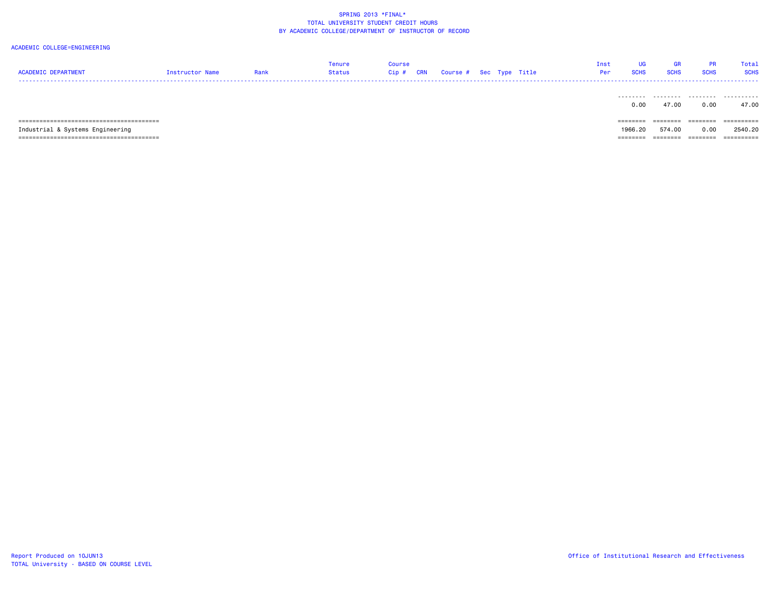| <b>ACADEMIC DEPARTMENT</b>       | Instructor Name | Rank | Tenure<br>Status | Course<br>Cip#<br>CRN | Course # Sec Type Title |  | Inst<br>Per | UG<br><b>SCHS</b> | <b>GR</b><br><b>SCHS</b> | <b>PR</b><br><b>SCHS</b> | Total<br><b>SCHS</b> |
|----------------------------------|-----------------|------|------------------|-----------------------|-------------------------|--|-------------|-------------------|--------------------------|--------------------------|----------------------|
|                                  |                 |      |                  |                       |                         |  |             | ---------<br>0.00 | .<br>47.00               | .<br>0.00                | .<br>47.00           |
|                                  |                 |      |                  |                       |                         |  |             | $=$ = = = = = = = | ========                 | ========                 | ==========           |
| Industrial & Systems Engineering |                 |      |                  |                       |                         |  |             | 1966.20           | 574.00                   | 0.00                     | 2540.20              |
| .                                |                 |      |                  |                       |                         |  |             | =======           | ========                 | ========                 | ==========           |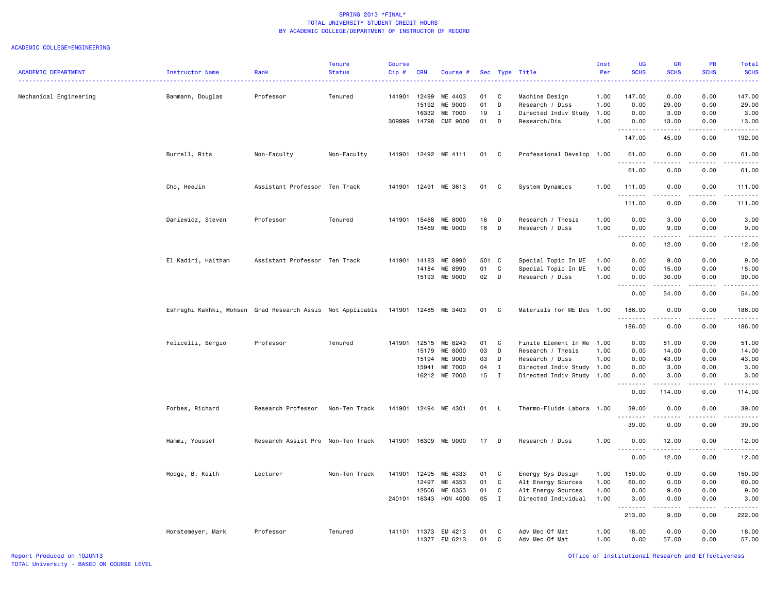|                            |                                                            |                                   | <b>Tenure</b> | <b>Course</b> |            |               |       |              |                           | Inst | <b>UG</b>                                    | <b>GR</b>                           | <b>PR</b>                           | Total                                                                                                                              |
|----------------------------|------------------------------------------------------------|-----------------------------------|---------------|---------------|------------|---------------|-------|--------------|---------------------------|------|----------------------------------------------|-------------------------------------|-------------------------------------|------------------------------------------------------------------------------------------------------------------------------------|
| <b>ACADEMIC DEPARTMENT</b> | Instructor Name                                            | Rank                              | <b>Status</b> | $Cip$ #       | <b>CRN</b> | Course #      |       |              | Sec Type Title            | Per  | <b>SCHS</b>                                  | <b>SCHS</b>                         | <b>SCHS</b>                         | <b>SCHS</b><br>المتمام المنا                                                                                                       |
| Mechanical Engineering     | Bammann, Douglas                                           | Professor                         | Tenured       | 141901        | 12499      | ME 4403       | 01    | C            | Machine Design            | 1.00 | 147.00                                       | 0.00                                | 0.00                                | 147.00                                                                                                                             |
|                            |                                                            |                                   |               |               | 15192      | ME 9000       | 01    | D            |                           | 1.00 | 0.00                                         | 29.00                               | 0.00                                |                                                                                                                                    |
|                            |                                                            |                                   |               |               |            |               |       |              | Research / Diss           |      |                                              |                                     |                                     | 29.00                                                                                                                              |
|                            |                                                            |                                   |               |               | 16332      | ME 7000       | 19    | $\mathbf I$  | Directed Indiv Study      | 1.00 | 0.00                                         | 3.00                                | 0.00                                | 3.00                                                                                                                               |
|                            |                                                            |                                   |               | 309999 14798  |            | CME 9000      | 01    | D            | Research/Dis              | 1.00 | 0.00<br>. <b>.</b>                           | 13.00                               | 0.00<br>-----                       | 13.00<br>.                                                                                                                         |
|                            |                                                            |                                   |               |               |            |               |       |              |                           |      | 147.00                                       | 45.00                               | 0.00                                | 192.00                                                                                                                             |
|                            | Burrell, Rita                                              | Non-Faculty                       | Non-Faculty   | 141901        |            | 12492 ME 4111 | 01    | C            | Professional Develop 1.00 |      | 61.00                                        | 0.00<br>$\frac{1}{2}$               | 0.00<br>. <b>.</b>                  | 61.00<br>.                                                                                                                         |
|                            |                                                            |                                   |               |               |            |               |       |              |                           |      | 61.00                                        | 0.00                                | 0.00                                | 61.00                                                                                                                              |
|                            | Cho, HeeJin                                                | Assistant Professor Ten Track     |               | 141901        |            | 12491 ME 3613 | 01    | C            | System Dynamics           | 1.00 | 111.00<br>.                                  | 0.00<br>$\sim$ $\sim$ $\sim$ $\sim$ | 0.00<br>$\sim$ $\sim$ $\sim$ $\sim$ | 111.00<br>.                                                                                                                        |
|                            |                                                            |                                   |               |               |            |               |       |              |                           |      | 111.00                                       | 0.00                                | 0.00                                | 111.00                                                                                                                             |
|                            | Daniewicz, Steven                                          | Professor                         | Tenured       | 141901        | 15468      | ME 8000       | 16    | D            | Research / Thesis         | 1.00 | 0.00                                         | 3.00                                | 0.00                                | 3.00                                                                                                                               |
|                            |                                                            |                                   |               |               | 15469      | ME 9000       | 16    | D            | Research / Diss           | 1.00 | 0.00                                         | 9.00                                | 0.00                                | 9.00                                                                                                                               |
|                            |                                                            |                                   |               |               |            |               |       |              |                           |      | .<br>0.00                                    | 12.00                               | $\frac{1}{2}$<br>0.00               | $\frac{1}{2} \left( \frac{1}{2} \right) \left( \frac{1}{2} \right) \left( \frac{1}{2} \right) \left( \frac{1}{2} \right)$<br>12.00 |
|                            | El Kadiri, Haitham                                         | Assistant Professor Ten Track     |               | 141901        | 14183      | ME 8990       | 501 C |              | Special Topic In ME       | 1.00 | 0.00                                         | 9.00                                | 0.00                                | 9.00                                                                                                                               |
|                            |                                                            |                                   |               |               | 14184      | ME 8990       | 01    | $\mathtt{C}$ | Special Topic In ME       | 1.00 | 0.00                                         | 15.00                               | 0.00                                | 15.00                                                                                                                              |
|                            |                                                            |                                   |               |               | 15193      | ME 9000       | 02    | D            | Research / Diss           | 1.00 | 0.00                                         | 30.00                               | 0.00                                | 30.00                                                                                                                              |
|                            |                                                            |                                   |               |               |            |               |       |              |                           |      | <u>.</u>                                     | . <b>.</b>                          | .                                   | .                                                                                                                                  |
|                            |                                                            |                                   |               |               |            |               |       |              |                           |      | 0.00                                         | 54.00                               | 0.00                                | 54.00                                                                                                                              |
|                            | Eshraghi Kakhki, Mohsen Grad Research Assis Not Applicable |                                   |               | 141901        |            | 12485 ME 3403 | 01    | $\mathbf{C}$ | Materials for ME Des 1.00 |      | 186.00<br>.                                  | 0.00<br>د د د د د                   | 0.00<br>-----                       | 186.00<br>------                                                                                                                   |
|                            |                                                            |                                   |               |               |            |               |       |              |                           |      | 186.00                                       | 0.00                                | 0.00                                | 186.00                                                                                                                             |
|                            | Felicelli, Sergio                                          | Professor                         | Tenured       | 141901        | 12515      | ME 8243       | 01    | C            | Finite Element In Me 1.00 |      | 0.00                                         | 51.00                               | 0.00                                | 51.00                                                                                                                              |
|                            |                                                            |                                   |               |               | 15179      | ME 8000       | 03    | D            | Research / Thesis         | 1.00 | 0.00                                         | 14.00                               | 0.00                                | 14.00                                                                                                                              |
|                            |                                                            |                                   |               |               | 15194      | ME 9000       | 03    | D            | Research / Diss           | 1.00 | 0.00                                         | 43.00                               | 0.00                                | 43.00                                                                                                                              |
|                            |                                                            |                                   |               |               | 15941      | ME 7000       | 04    | Ι.           | Directed Indiv Study 1.00 |      | 0.00                                         | 3.00                                | 0.00                                | 3.00                                                                                                                               |
|                            |                                                            |                                   |               |               | 16212      | ME 7000       | 15    | $\mathbf{I}$ | Directed Indiv Study 1.00 |      | 0.00                                         | 3.00                                | 0.00                                | 3.00                                                                                                                               |
|                            |                                                            |                                   |               |               |            |               |       |              |                           |      | .<br>0.00                                    | $- - - - - - -$<br>114.00           | .<br>0.00                           | .<br>114.00                                                                                                                        |
|                            | Forbes, Richard                                            | Research Professor                | Non-Ten Track | 141901        |            | 12494 ME 4301 | 01    | L.           | Thermo-Fluids Labora 1.00 |      | 39.00                                        | 0.00                                | 0.00                                | 39.00                                                                                                                              |
|                            |                                                            |                                   |               |               |            |               |       |              |                           |      | .<br>39.00                                   | .<br>0.00                           | .<br>0.00                           | .<br>39.00                                                                                                                         |
|                            |                                                            |                                   |               |               |            |               | 17    |              |                           |      |                                              |                                     |                                     |                                                                                                                                    |
|                            | Hammi, Youssef                                             | Research Assist Pro Non-Ten Track |               | 141901        |            | 16309 ME 9000 |       | D            | Research / Diss           | 1.00 | 0.00<br>$\sim$ $\sim$ $\sim$<br>. <u>.</u> . | 12.00<br>.                          | 0.00<br>.                           | 12.00<br>.                                                                                                                         |
|                            |                                                            |                                   |               |               |            |               |       |              |                           |      | 0.00                                         | 12.00                               | 0.00                                | 12.00                                                                                                                              |
|                            | Hodge, B. Keith                                            | Lecturer                          | Non-Ten Track | 141901        | 12495      | ME 4333       | 01    | C            | Energy Sys Design         | 1.00 | 150.00                                       | 0.00                                | 0.00                                | 150.00                                                                                                                             |
|                            |                                                            |                                   |               |               | 12497      | ME 4353       | 01    | C            | Alt Energy Sources        | 1.00 | 60.00                                        | 0.00                                | 0.00                                | 60.00                                                                                                                              |
|                            |                                                            |                                   |               |               | 12506      | ME 6353       | 01    | C            | Alt Energy Sources        | 1.00 | 0.00                                         | 9.00                                | 0.00                                | 9.00                                                                                                                               |
|                            |                                                            |                                   |               | 240101        | 16343      | HON 4000      | 05    | $\mathbf{I}$ | Directed Individual       | 1.00 | 3.00<br>--------                             | 0.00<br>-----                       | 0.00<br>.                           | 3.00<br>------                                                                                                                     |
|                            |                                                            |                                   |               |               |            |               |       |              |                           |      | 213.00                                       | 9.00                                | 0.00                                | 222.00                                                                                                                             |
|                            | Horstemeyer, Mark                                          | Professor                         | Tenured       | 141101 11373  |            | EM 4213       | 01    | C            | Adv Mec Of Mat            | 1.00 | 18.00                                        | 0.00                                | 0.00                                | 18.00                                                                                                                              |
|                            |                                                            |                                   |               |               |            | 11377 EM 6213 | 01    | $\mathbf{C}$ | Adv Mec Of Mat            | 1.00 | 0.00                                         | 57.00                               | 0.00                                | 57.00                                                                                                                              |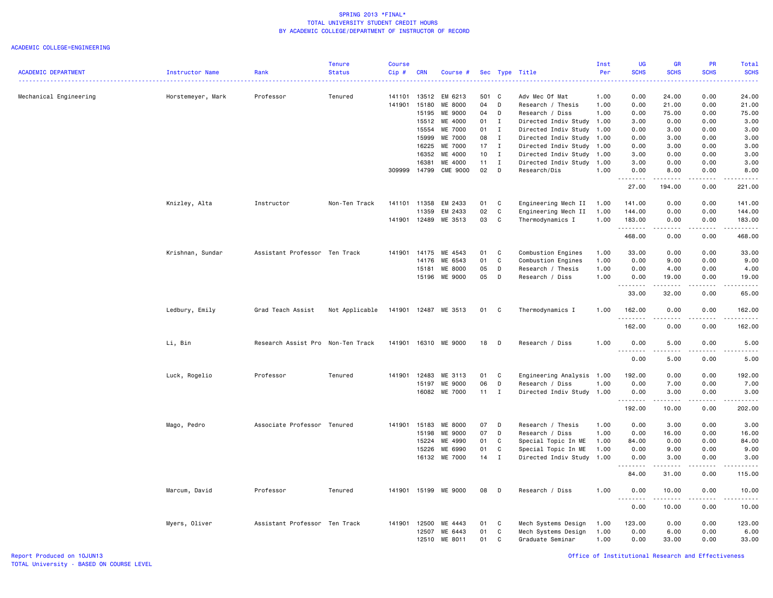|                            |                        |                                   | <b>Tenure</b>  | <b>Course</b> |            |                      |       |              |                           | Inst | <b>UG</b>         | <b>GR</b>             | <b>PR</b>     | Total                                                                                                                                    |
|----------------------------|------------------------|-----------------------------------|----------------|---------------|------------|----------------------|-------|--------------|---------------------------|------|-------------------|-----------------------|---------------|------------------------------------------------------------------------------------------------------------------------------------------|
| <b>ACADEMIC DEPARTMENT</b> | <b>Instructor Name</b> | Rank                              | <b>Status</b>  | Cip #         | <b>CRN</b> | Course #             |       |              | Sec Type Title            | Per  | <b>SCHS</b>       | <b>SCHS</b>           | <b>SCHS</b>   | <b>SCHS</b><br>$\frac{1}{2} \left( \frac{1}{2} \right) \left( \frac{1}{2} \right) \left( \frac{1}{2} \right) \left( \frac{1}{2} \right)$ |
| Mechanical Engineering     | Horstemeyer, Mark      | Professor                         | Tenured        | 141101        | 13512      | EM 6213              | 501 C |              | Adv Mec Of Mat            | 1.00 | 0.00              | 24.00                 | 0.00          | 24.00                                                                                                                                    |
|                            |                        |                                   |                | 141901        | 15180      | ME 8000              | 04    | D            | Research / Thesis         | 1.00 | 0.00              | 21.00                 | 0.00          | 21.00                                                                                                                                    |
|                            |                        |                                   |                |               | 15195      | ME 9000              | 04    | D            | Research / Diss           | 1.00 | 0.00              | 75.00                 | 0.00          | 75.00                                                                                                                                    |
|                            |                        |                                   |                |               | 15512      | ME 4000              | 01    | $\mathbf I$  | Directed Indiv Study 1.00 |      | 3.00              | 0.00                  | 0.00          | 3.00                                                                                                                                     |
|                            |                        |                                   |                |               | 15554      | ME 7000              | 01    | $\mathbf{I}$ | Directed Indiv Study      | 1.00 | 0.00              | 3.00                  | 0.00          | 3.00                                                                                                                                     |
|                            |                        |                                   |                |               | 15999      | ME 7000              | 08    | $\mathbf{I}$ | Directed Indiv Study      | 1.00 | 0.00              | 3.00                  | 0.00          | 3.00                                                                                                                                     |
|                            |                        |                                   |                |               | 16225      | ME 7000              | 17    | $\mathbf I$  | Directed Indiv Study      | 1.00 | 0.00              | 3.00                  | 0.00          | 3.00                                                                                                                                     |
|                            |                        |                                   |                |               | 16352      | ME 4000              | 10    | $\mathbf{I}$ | Directed Indiv Study      | 1.00 | 3.00              | 0.00                  | 0.00          | 3.00                                                                                                                                     |
|                            |                        |                                   |                |               | 16381      | ME 4000              | 11    | I            | Directed Indiv Study      | 1.00 | 3.00              | 0.00                  | 0.00          | 3.00                                                                                                                                     |
|                            |                        |                                   |                | 309999        | 14799      | <b>CME 9000</b>      | 02    | D            | Research/Dis              | 1.00 | 0.00              | 8.00                  | 0.00          | 8.00                                                                                                                                     |
|                            |                        |                                   |                |               |            |                      |       |              |                           |      | <u>.</u><br>27.00 | .<br>194.00           | .<br>0.00     | .<br>221.00                                                                                                                              |
|                            | Knizley, Alta          | Instructor                        | Non-Ten Track  | 141101        | 11358      | EM 2433              | 01    | C            | Engineering Mech II       | 1.00 | 141.00            | 0.00                  | 0.00          | 141.00                                                                                                                                   |
|                            |                        |                                   |                |               | 11359      | EM 2433              | 02    | $\mathtt{C}$ | Engineering Mech II       | 1.00 | 144.00            | 0.00                  | 0.00          | 144.00                                                                                                                                   |
|                            |                        |                                   |                | 141901        | 12489      | ME 3513              | 03    | C            | Thermodynamics I          | 1.00 | 183.00<br>.       | 0.00<br>.             | 0.00<br>.     | 183.00<br>.                                                                                                                              |
|                            |                        |                                   |                |               |            |                      |       |              |                           |      | 468.00            | 0.00                  | 0.00          | 468.00                                                                                                                                   |
|                            | Krishnan, Sundar       | Assistant Professor Ten Track     |                | 141901        | 14175      | ME 4543              | 01    | C            | Combustion Engines        | 1.00 | 33.00             | 0.00                  | 0.00          | 33.00                                                                                                                                    |
|                            |                        |                                   |                |               | 14176      | ME 6543              | 01    | $\mathtt{C}$ | Combustion Engines        | 1.00 | 0.00              | 9.00                  | 0.00          | 9.00                                                                                                                                     |
|                            |                        |                                   |                |               | 15181      | ME 8000              | 05    | D            | Research / Thesis         | 1.00 | 0.00              | 4.00                  | 0.00          | 4.00                                                                                                                                     |
|                            |                        |                                   |                |               | 15196      | ME 9000              | 05    | D            | Research / Diss           | 1.00 | 0.00<br>.         | 19.00<br>.            | 0.00<br>.     | 19.00<br>.                                                                                                                               |
|                            |                        |                                   |                |               |            |                      |       |              |                           |      | 33.00             | 32.00                 | 0.00          | 65.00                                                                                                                                    |
|                            | Ledbury, Emily         | Grad Teach Assist                 | Not Applicable |               |            | 141901 12487 ME 3513 | 01    | C            | Thermodynamics I          | 1.00 | 162.00<br>.       | 0.00<br>.             | 0.00<br>.     | 162.00<br>.                                                                                                                              |
|                            |                        |                                   |                |               |            |                      |       |              |                           |      | 162.00            | 0.00                  | 0.00          | 162.00                                                                                                                                   |
|                            | Li, Bin                | Research Assist Pro Non-Ten Track |                | 141901        |            | 16310 ME 9000        | 18    | D            | Research / Diss           | 1.00 | 0.00<br>.         | 5.00<br>المتمام المنا | 0.00<br>.     | 5.00<br>$- - - - -$                                                                                                                      |
|                            |                        |                                   |                |               |            |                      |       |              |                           |      | 0.00              | 5.00                  | 0.00          | 5.00                                                                                                                                     |
|                            | Luck, Rogelio          | Professor                         | Tenured        | 141901        | 12483      | ME 3113              | 01    | C            | Engineering Analysis 1.00 |      | 192.00            | 0.00                  | 0.00          | 192.00                                                                                                                                   |
|                            |                        |                                   |                |               | 15197      | ME 9000              | 06    | D            | Research / Diss           | 1.00 | 0.00              | 7.00                  | 0.00          | 7.00                                                                                                                                     |
|                            |                        |                                   |                |               | 16082      | ME 7000              | 11    | $\mathbf{I}$ | Directed Indiv Study 1.00 |      | 0.00              | 3.00                  | 0.00          | 3.00                                                                                                                                     |
|                            |                        |                                   |                |               |            |                      |       |              |                           |      | 192.00            | 10.00                 | 0.00          | 202.00                                                                                                                                   |
|                            | Mago, Pedro            | Associate Professor Tenured       |                | 141901        | 15183      | ME 8000              | 07    | D            | Research / Thesis         | 1.00 | 0.00              | 3.00                  | 0.00          | 3.00                                                                                                                                     |
|                            |                        |                                   |                |               | 15198      | ME 9000              | 07    | D            | Research / Diss           | 1.00 | 0.00              | 16.00                 | 0.00          | 16.00                                                                                                                                    |
|                            |                        |                                   |                |               | 15224      | ME 4990              | 01    | C            | Special Topic In ME       | 1.00 | 84.00             | 0.00                  | 0.00          | 84.00                                                                                                                                    |
|                            |                        |                                   |                |               | 15226      | ME 6990              | 01    | C            | Special Topic In ME       | 1.00 | 0.00              | 9.00                  | 0.00          | 9.00                                                                                                                                     |
|                            |                        |                                   |                |               |            | 16132 ME 7000        | 14    | $\mathbf{I}$ | Directed Indiv Study 1.00 |      | 0.00              | 3.00                  | 0.00          | 3.00                                                                                                                                     |
|                            |                        |                                   |                |               |            |                      |       |              |                           |      | -----<br>84.00    | .<br>31.00            | .<br>0.00     | .<br>115.00                                                                                                                              |
|                            | Marcum, David          | Professor                         | Tenured        | 141901        |            | 15199 ME 9000        | 08    | D            | Research / Diss           | 1.00 | 0.00              | 10.00                 | 0.00          | 10.00                                                                                                                                    |
|                            |                        |                                   |                |               |            |                      |       |              |                           |      | .<br>0.00         | .<br>10.00            | -----<br>0.00 | .<br>10.00                                                                                                                               |
|                            | Myers, Oliver          | Assistant Professor Ten Track     |                | 141901        | 12500      | ME 4443              | 01    | C            | Mech Systems Design       | 1.00 | 123.00            | 0.00                  | 0.00          | 123.00                                                                                                                                   |
|                            |                        |                                   |                |               | 12507      | ME 6443              | 01    | C            | Mech Systems Design       | 1.00 | 0.00              | 6.00                  | 0.00          | 6.00                                                                                                                                     |
|                            |                        |                                   |                |               | 12510      | ME 8011              | 01    | C            | Graduate Seminar          | 1.00 | 0.00              | 33.00                 | 0.00          | 33.00                                                                                                                                    |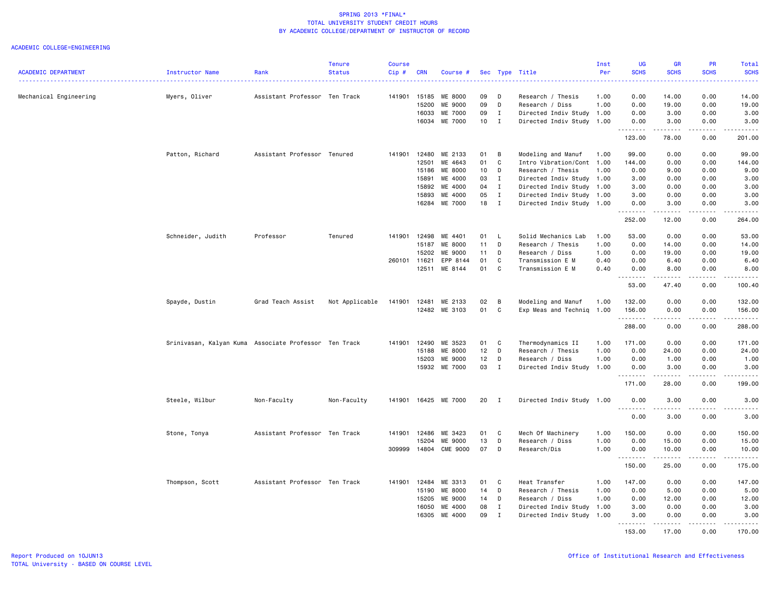|                            |                                                       |                               | <b>Tenure</b>  | Course |            |                 |                 |              |                           | Inst | UG                             | <b>GR</b>                                                                                                                                                    | PR              | Total                   |
|----------------------------|-------------------------------------------------------|-------------------------------|----------------|--------|------------|-----------------|-----------------|--------------|---------------------------|------|--------------------------------|--------------------------------------------------------------------------------------------------------------------------------------------------------------|-----------------|-------------------------|
| <b>ACADEMIC DEPARTMENT</b> | <b>Instructor Name</b>                                | Rank                          | <b>Status</b>  | Cip#   | <b>CRN</b> | Course #        |                 |              | Sec Type Title            | Per  | <b>SCHS</b>                    | <b>SCHS</b>                                                                                                                                                  | <b>SCHS</b>     | <b>SCHS</b>             |
| Mechanical Engineering     | Myers, Oliver                                         | Assistant Professor Ten Track |                | 141901 | 15185      | ME 8000         | 09              | D            | Research / Thesis         | 1.00 | 0.00                           | 14.00                                                                                                                                                        | 0.00            | 14.00                   |
|                            |                                                       |                               |                |        | 15200      | ME 9000         | 09              | D            | Research / Diss           | 1.00 | 0.00                           | 19.00                                                                                                                                                        | 0.00            | 19.00                   |
|                            |                                                       |                               |                |        | 16033      | ME 7000         | 09              | $\mathbf{I}$ | Directed Indiv Study 1.00 |      | 0.00                           | 3.00                                                                                                                                                         | 0.00            | 3.00                    |
|                            |                                                       |                               |                |        | 16034      | ME 7000         | 10 <sub>1</sub> | $\mathbf{I}$ | Directed Indiv Study      | 1.00 | 0.00                           | 3.00                                                                                                                                                         | 0.00            | 3.00                    |
|                            |                                                       |                               |                |        |            |                 |                 |              |                           |      | والمحامر<br>123.00             | .<br>78.00                                                                                                                                                   | $- - -$<br>0.00 | 201.00                  |
|                            | Patton, Richard                                       | Assistant Professor Tenured   |                | 141901 | 12480      | ME 2133         | 01              | B            | Modeling and Manuf        | 1.00 | 99.00                          | 0.00                                                                                                                                                         | 0.00            | 99.00                   |
|                            |                                                       |                               |                |        | 12501      | ME 4643         | 01              | C            | Intro Vibration/Cont 1.00 |      | 144.00                         | 0.00                                                                                                                                                         | 0.00            | 144.00                  |
|                            |                                                       |                               |                |        | 15186      | ME 8000         | 10 <sub>1</sub> | D            | Research / Thesis         | 1.00 | 0.00                           | 9.00                                                                                                                                                         | 0.00            | 9.00                    |
|                            |                                                       |                               |                |        | 15891      | ME 4000         | 03              | $\bf{I}$     | Directed Indiv Study      | 1.00 | 3.00                           | 0.00                                                                                                                                                         | 0.00            | 3.00                    |
|                            |                                                       |                               |                |        | 15892      | ME 4000         | 04              | $\mathbf{I}$ | Directed Indiv Study 1.00 |      | 3.00                           | 0.00                                                                                                                                                         | 0.00            | 3.00                    |
|                            |                                                       |                               |                |        | 15893      | ME 4000         | 05              | $\mathbf I$  | Directed Indiv Study 1.00 |      | 3.00                           | 0.00                                                                                                                                                         | 0.00            | 3.00                    |
|                            |                                                       |                               |                |        | 16284      | ME 7000         | 18              | $\mathbf{I}$ | Directed Indiv Study 1.00 |      | 0.00                           | 3.00                                                                                                                                                         | 0.00            | 3.00                    |
|                            |                                                       |                               |                |        |            |                 |                 |              |                           |      | 252.00                         | .<br>12.00                                                                                                                                                   | .<br>0.00       | .<br>264.00             |
|                            |                                                       |                               |                |        |            |                 |                 |              |                           |      |                                |                                                                                                                                                              |                 |                         |
|                            | Schneider, Judith                                     | Professor                     | Tenured        | 141901 | 12498      | ME 4401         | 01              | L.           | Solid Mechanics Lab       | 1.00 | 53.00                          | 0.00                                                                                                                                                         | 0.00            | 53.00                   |
|                            |                                                       |                               |                |        | 15187      | ME 8000         | 11              | D            | Research / Thesis         | 1.00 | 0.00                           | 14.00                                                                                                                                                        | 0.00            | 14.00                   |
|                            |                                                       |                               |                |        | 15202      | ME 9000         | 11              | D            | Research / Diss           | 1.00 | 0.00                           | 19.00                                                                                                                                                        | 0.00            | 19.00                   |
|                            |                                                       |                               |                | 260101 | 11621      | EPP 8144        | 01              | C            | Transmission E M          | 0.40 | 0.00                           | 6.40                                                                                                                                                         | 0.00            | 6.40                    |
|                            |                                                       |                               |                |        | 12511      | ME 8144         | 01              | C            | Transmission E M          | 0.40 | 0.00<br>$\sim$ $\sim$<br>----- | 8.00<br>.                                                                                                                                                    | 0.00<br>.       | 8.00<br>.               |
|                            |                                                       |                               |                |        |            |                 |                 |              |                           |      | 53.00                          | 47.40                                                                                                                                                        | 0.00            | 100.40                  |
|                            | Spayde, Dustin                                        | Grad Teach Assist             | Not Applicable | 141901 | 12481      | ME 2133         | 02              | В            | Modeling and Manuf        | 1.00 | 132.00                         | 0.00                                                                                                                                                         | 0.00            | 132.00                  |
|                            |                                                       |                               |                |        |            | 12482 ME 3103   | 01              | C            | Exp Meas and Techniq 1.00 |      | 156.00<br><u>.</u>             | 0.00<br>$- - - - -$                                                                                                                                          | 0.00<br>.       | 156.00<br>$- - - - - -$ |
|                            |                                                       |                               |                |        |            |                 |                 |              |                           |      | 288.00                         | 0.00                                                                                                                                                         | 0.00            | 288.00                  |
|                            | Srinivasan, Kalyan Kuma Associate Professor Ten Track |                               |                | 141901 | 12490      | ME 3523         | 01              | C            | Thermodynamics II         | 1.00 | 171.00                         | 0.00                                                                                                                                                         | 0.00            | 171.00                  |
|                            |                                                       |                               |                |        | 15188      | ME 8000         | 12              | D            | Research / Thesis         | 1.00 | 0.00                           | 24.00                                                                                                                                                        | 0.00            | 24.00                   |
|                            |                                                       |                               |                |        | 15203      | ME 9000         | 12              | D            | Research / Diss           | 1.00 | 0.00                           | 1.00                                                                                                                                                         | 0.00            | 1.00                    |
|                            |                                                       |                               |                |        |            | 15932 ME 7000   | 03              | $\mathbf{I}$ | Directed Indiv Study 1.00 |      | 0.00                           | 3.00                                                                                                                                                         | 0.00            | 3.00                    |
|                            |                                                       |                               |                |        |            |                 |                 |              |                           |      | .<br>171.00                    | .<br>28.00                                                                                                                                                   | .<br>0.00       | .<br>199.00             |
|                            | Steele, Wilbur                                        | Non-Faculty                   | Non-Faculty    | 141901 | 16425      | ME 7000         | 20              | $\mathbf{I}$ | Directed Indiv Study 1.00 |      | 0.00                           | 3.00                                                                                                                                                         | 0.00            | 3.00                    |
|                            |                                                       |                               |                |        |            |                 |                 |              |                           |      | 0.00                           | $\frac{1}{2} \left( \frac{1}{2} \right) \left( \frac{1}{2} \right) \left( \frac{1}{2} \right) \left( \frac{1}{2} \right) \left( \frac{1}{2} \right)$<br>3.00 | .<br>0.00       | د د د د د<br>3.00       |
|                            | Stone, Tonya                                          | Assistant Professor Ten Track |                | 141901 | 12486      | ME 3423         | 01              | C            | Mech Of Machinery         | 1.00 | 150.00                         | 0.00                                                                                                                                                         | 0.00            | 150.00                  |
|                            |                                                       |                               |                |        | 15204      | ME 9000         | 13              | D            | Research / Diss           | 1.00 | 0.00                           | 15.00                                                                                                                                                        | 0.00            | 15.00                   |
|                            |                                                       |                               |                | 309999 | 14804      | <b>CME 9000</b> | 07              | D            | Research/Dis              | 1.00 | 0.00                           | 10.00                                                                                                                                                        | 0.00            | 10.00                   |
|                            |                                                       |                               |                |        |            |                 |                 |              |                           |      | .<br>150.00                    | 25.00                                                                                                                                                        | -----<br>0.00   | 175.00                  |
|                            | Thompson, Scott                                       | Assistant Professor Ten Track |                | 141901 | 12484      | ME 3313         | 01              | C            | Heat Transfer             | 1.00 | 147.00                         | 0.00                                                                                                                                                         | 0.00            | 147.00                  |
|                            |                                                       |                               |                |        | 15190      | ME 8000         | 14              | D            | Research / Thesis         | 1.00 | 0.00                           | 5.00                                                                                                                                                         | 0.00            | 5.00                    |
|                            |                                                       |                               |                |        | 15205      | ME 9000         | 14              | D            | Research / Diss           | 1.00 | 0.00                           | 12.00                                                                                                                                                        | 0.00            | 12.00                   |
|                            |                                                       |                               |                |        | 16050      | ME 4000         | 08              | $\mathbf I$  | Directed Indiv Study 1.00 |      | 3.00                           | 0.00                                                                                                                                                         | 0.00            | 3.00                    |
|                            |                                                       |                               |                |        | 16305      | ME 4000         | 09              | $\mathbf{I}$ | Directed Indiv Study      | 1.00 | 3.00                           | 0.00                                                                                                                                                         | 0.00            | 3.00                    |
|                            |                                                       |                               |                |        |            |                 |                 |              |                           |      | . <b>.</b><br>153.00           | $- - - - - - -$<br>17.00                                                                                                                                     | .<br>0.00       | <u>.</u><br>170.00      |
|                            |                                                       |                               |                |        |            |                 |                 |              |                           |      |                                |                                                                                                                                                              |                 |                         |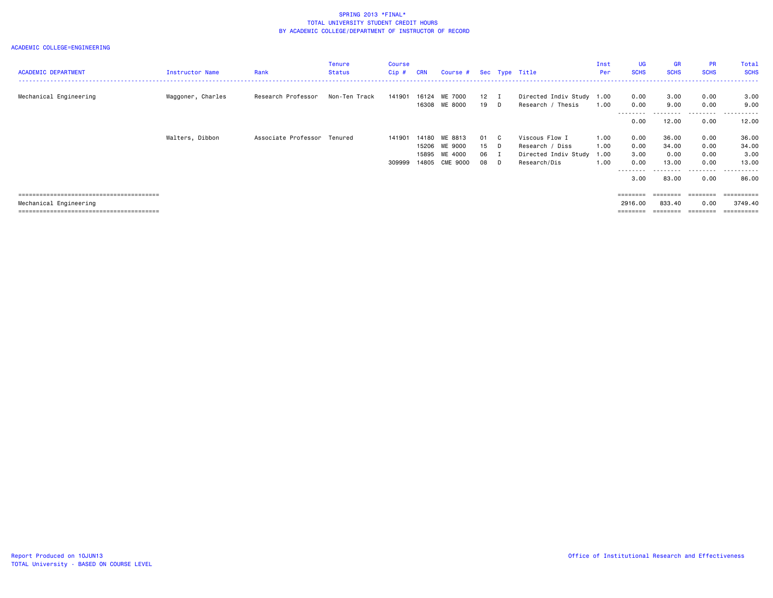| <b>ACADEMIC DEPARTMENT</b> | Instructor Name   | Rank                        | Tenure<br><b>Status</b> | <b>Course</b><br>$Cip \#$ | <b>CRN</b>     | Course # Sec Type Title |                      |                                                | Inst<br>Per  | <b>UG</b><br><b>SCHS</b> | <b>GR</b><br><b>SCHS</b> | <b>PR</b><br><b>SCHS</b> | Total<br><b>SCHS</b> |
|----------------------------|-------------------|-----------------------------|-------------------------|---------------------------|----------------|-------------------------|----------------------|------------------------------------------------|--------------|--------------------------|--------------------------|--------------------------|----------------------|
| Mechanical Engineering     | Waggoner, Charles | Research Professor          | Non-Ten Track           | 141901                    | 16124<br>16308 | ME 7000<br>ME 8000      | $12 \quad I$<br>19 D | Directed Indiv Study 1.00<br>Research / Thesis | 1.00         | 0.00<br>0.00             | 3.00<br>9.00             | 0.00<br>0.00             | 3.00<br>9.00         |
|                            |                   |                             |                         |                           |                |                         |                      |                                                |              | --------<br>0.00         | ---------<br>12.00       | ---------<br>0.00        | ----------<br>12.00  |
|                            | Walters, Dibbon   | Associate Professor Tenured |                         | 141901                    | 14180          | ME 8813                 | 01 C                 | Viscous Flow I                                 | 1.00         | 0.00                     | 36.00                    | 0.00                     | 36.00                |
|                            |                   |                             |                         |                           | 15206<br>15895 | ME 9000<br>ME 4000      | $15$ D<br>06 I       | Research / Diss<br>Directed Indiv Study        | 1.00<br>1.00 | 0.00<br>3.00             | 34.00<br>0.00            | 0.00<br>0.00             | 34.00<br>3.00        |
|                            |                   |                             |                         | 309999                    | 14805          | CME 9000                | 08 D                 | Research/Dis                                   | 1.00         | 0.00<br>--------         | 13.00<br>.               | 0.00<br>.                | 13.00<br>.           |
|                            |                   |                             |                         |                           |                |                         |                      |                                                |              | 3,00                     | 83.00                    | 0.00                     | 86.00                |
|                            |                   |                             |                         |                           |                |                         |                      |                                                |              | ========                 | ========                 | ========                 | ==========           |
| Mechanical Engineering     |                   |                             |                         |                           |                |                         |                      |                                                |              | 2916.00                  | 833.40                   | 0.00                     | 3749.40              |
|                            |                   |                             |                         |                           |                |                         |                      |                                                |              | ========                 |                          | ========                 | ==========           |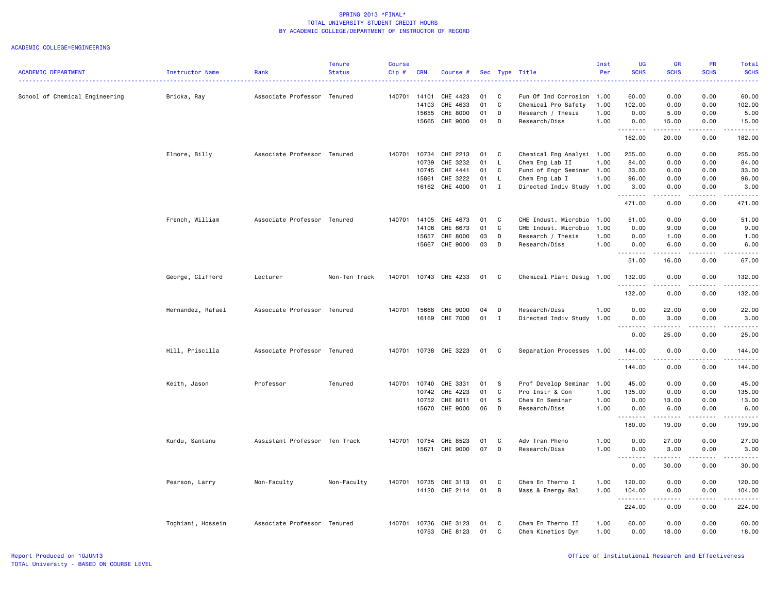|                                |                        |                               | <b>Tenure</b> | <b>Course</b> |            |                       |    |              |                           | Inst | <b>UG</b>        | <b>GR</b>                                                                                                                                | <b>PR</b>        | Total                                                                                                                                                                                                                                                                                                                                                                                                                                                                                            |
|--------------------------------|------------------------|-------------------------------|---------------|---------------|------------|-----------------------|----|--------------|---------------------------|------|------------------|------------------------------------------------------------------------------------------------------------------------------------------|------------------|--------------------------------------------------------------------------------------------------------------------------------------------------------------------------------------------------------------------------------------------------------------------------------------------------------------------------------------------------------------------------------------------------------------------------------------------------------------------------------------------------|
| <b>ACADEMIC DEPARTMENT</b>     | <b>Instructor Name</b> | Rank                          | <b>Status</b> | Cip#          | <b>CRN</b> | Course #              |    |              | Sec Type Title            | Per  | <b>SCHS</b>      | <b>SCHS</b><br>$\frac{1}{2} \left( \frac{1}{2} \right) \left( \frac{1}{2} \right) \left( \frac{1}{2} \right) \left( \frac{1}{2} \right)$ | <b>SCHS</b>      | <b>SCHS</b><br>.                                                                                                                                                                                                                                                                                                                                                                                                                                                                                 |
| School of Chemical Engineering | Bricka, Ray            | Associate Professor Tenured   |               | 140701        | 14101      | CHE 4423              | 01 | C            | Fun Of Ind Corrosion      | 1.00 | 60.00            | 0.00                                                                                                                                     | 0.00             | 60.00                                                                                                                                                                                                                                                                                                                                                                                                                                                                                            |
|                                |                        |                               |               |               | 14103      | CHE 4633              | 01 | C            | Chemical Pro Safety       | 1.00 | 102.00           | 0.00                                                                                                                                     | 0.00             | 102.00                                                                                                                                                                                                                                                                                                                                                                                                                                                                                           |
|                                |                        |                               |               |               | 15655      | CHE 8000              | 01 | D            | Research / Thesis         | 1.00 | 0.00             | 5.00                                                                                                                                     | 0.00             | 5.00                                                                                                                                                                                                                                                                                                                                                                                                                                                                                             |
|                                |                        |                               |               |               | 15665      | CHE 9000              | 01 | D            | Research/Diss             | 1.00 | 0.00             | 15.00                                                                                                                                    | 0.00             | 15.00                                                                                                                                                                                                                                                                                                                                                                                                                                                                                            |
|                                |                        |                               |               |               |            |                       |    |              |                           |      | .<br>162.00      | <b>.</b> .<br>20.00                                                                                                                      | <u>.</u><br>0.00 | $\begin{array}{cccccccccccccc} \multicolumn{2}{c}{} & \multicolumn{2}{c}{} & \multicolumn{2}{c}{} & \multicolumn{2}{c}{} & \multicolumn{2}{c}{} & \multicolumn{2}{c}{} & \multicolumn{2}{c}{} & \multicolumn{2}{c}{} & \multicolumn{2}{c}{} & \multicolumn{2}{c}{} & \multicolumn{2}{c}{} & \multicolumn{2}{c}{} & \multicolumn{2}{c}{} & \multicolumn{2}{c}{} & \multicolumn{2}{c}{} & \multicolumn{2}{c}{} & \multicolumn{2}{c}{} & \multicolumn{2}{c}{} & \multicolumn{2}{c}{} & \$<br>182.00 |
|                                | Elmore, Billy          | Associate Professor Tenured   |               | 140701        | 10734      | CHE 2213              | 01 | C            | Chemical Eng Analysi 1.00 |      | 255.00           | 0.00                                                                                                                                     | 0.00             | 255.00                                                                                                                                                                                                                                                                                                                                                                                                                                                                                           |
|                                |                        |                               |               |               | 10739      | CHE 3232              | 01 | L.           | Chem Eng Lab II           | 1.00 | 84.00            | 0.00                                                                                                                                     | 0.00             | 84.00                                                                                                                                                                                                                                                                                                                                                                                                                                                                                            |
|                                |                        |                               |               |               | 10745      | CHE 4441              | 01 | C            | Fund of Engr Seminar 1.00 |      | 33.00            | 0.00                                                                                                                                     | 0.00             | 33.00                                                                                                                                                                                                                                                                                                                                                                                                                                                                                            |
|                                |                        |                               |               |               | 15861      | CHE 3222              | 01 | $\mathsf{L}$ | Chem Eng Lab I            | 1.00 | 96.00            | 0.00                                                                                                                                     | 0.00             | 96.00                                                                                                                                                                                                                                                                                                                                                                                                                                                                                            |
|                                |                        |                               |               |               |            | 16162 CHE 4000        | 01 | $\mathbf{I}$ | Directed Indiv Study 1.00 |      | 3.00<br>-------- | 0.00<br>.                                                                                                                                | 0.00<br>.        | 3.00<br>.                                                                                                                                                                                                                                                                                                                                                                                                                                                                                        |
|                                |                        |                               |               |               |            |                       |    |              |                           |      | 471.00           | 0.00                                                                                                                                     | 0.00             | 471.00                                                                                                                                                                                                                                                                                                                                                                                                                                                                                           |
|                                | French, William        | Associate Professor Tenured   |               | 140701        | 14105      | CHE 4673              | 01 | C            | CHE Indust. Microbio 1.00 |      | 51.00            | 0.00                                                                                                                                     | 0.00             | 51.00                                                                                                                                                                                                                                                                                                                                                                                                                                                                                            |
|                                |                        |                               |               |               | 14106      | CHE 6673              | 01 | C            | CHE Indust. Microbio      | 1.00 | 0.00             | 9.00                                                                                                                                     | 0.00             | 9.00                                                                                                                                                                                                                                                                                                                                                                                                                                                                                             |
|                                |                        |                               |               |               | 15657      | CHE 8000              | 03 | D            | Research / Thesis         | 1.00 | 0.00             | 1.00                                                                                                                                     | 0.00             | 1.00                                                                                                                                                                                                                                                                                                                                                                                                                                                                                             |
|                                |                        |                               |               |               | 15667      | CHE 9000              | 03 | D            | Research/Diss             | 1.00 | 0.00<br>.        | 6.00<br>$- - - - -$                                                                                                                      | 0.00<br>.        | 6.00                                                                                                                                                                                                                                                                                                                                                                                                                                                                                             |
|                                |                        |                               |               |               |            |                       |    |              |                           |      | 51.00            | 16.00                                                                                                                                    | 0.00             | 67.00                                                                                                                                                                                                                                                                                                                                                                                                                                                                                            |
|                                | George, Clifford       | Lecturer                      | Non-Ten Track |               |            | 140701 10743 CHE 4233 | 01 | C            | Chemical Plant Desig 1.00 |      | 132.00<br>.      | 0.00<br><u>.</u>                                                                                                                         | 0.00<br>.        | 132.00<br>.                                                                                                                                                                                                                                                                                                                                                                                                                                                                                      |
|                                |                        |                               |               |               |            |                       |    |              |                           |      | 132.00           | 0.00                                                                                                                                     | 0.00             | 132.00                                                                                                                                                                                                                                                                                                                                                                                                                                                                                           |
|                                | Hernandez, Rafael      | Associate Professor Tenured   |               | 140701        | 15668      | CHE 9000              | 04 | D            | Research/Diss             | 1.00 | 0.00             | 22.00                                                                                                                                    | 0.00             | 22.00                                                                                                                                                                                                                                                                                                                                                                                                                                                                                            |
|                                |                        |                               |               |               |            | 16169 CHE 7000        | 01 | $\mathbf{I}$ | Directed Indiv Study      | 1.00 | 0.00             | 3.00                                                                                                                                     | 0.00<br>.        | 3.00<br>.                                                                                                                                                                                                                                                                                                                                                                                                                                                                                        |
|                                |                        |                               |               |               |            |                       |    |              |                           |      | 0.00             | 25.00                                                                                                                                    | 0.00             | 25.00                                                                                                                                                                                                                                                                                                                                                                                                                                                                                            |
|                                | Hill, Priscilla        | Associate Professor Tenured   |               | 140701        |            | 10738 CHE 3223        | 01 | C            | Separation Processes 1.00 |      | 144.00<br>.      | 0.00<br>$\frac{1}{2}$                                                                                                                    | 0.00<br>.        | 144.00<br>.                                                                                                                                                                                                                                                                                                                                                                                                                                                                                      |
|                                |                        |                               |               |               |            |                       |    |              |                           |      | 144.00           | 0.00                                                                                                                                     | 0.00             | 144.00                                                                                                                                                                                                                                                                                                                                                                                                                                                                                           |
|                                | Keith, Jason           | Professor                     | Tenured       | 140701        | 10740      | CHE 3331              | 01 | -S           | Prof Develop Seminar      | 1.00 | 45.00            | 0.00                                                                                                                                     | 0.00             | 45.00                                                                                                                                                                                                                                                                                                                                                                                                                                                                                            |
|                                |                        |                               |               |               | 10742      | CHE 4223              | 01 | $\mathbf C$  | Pro Instr & Con           | 1.00 | 135.00           | 0.00                                                                                                                                     | 0.00             | 135.00                                                                                                                                                                                                                                                                                                                                                                                                                                                                                           |
|                                |                        |                               |               |               | 10752      | CHE 8011              | 01 | S            | Chem En Seminar           | 1.00 | 0.00             | 13.00                                                                                                                                    | 0.00             | 13.00                                                                                                                                                                                                                                                                                                                                                                                                                                                                                            |
|                                |                        |                               |               |               | 15670      | CHE 9000              | 06 | D            | Research/Diss             | 1.00 | 0.00             | 6.00                                                                                                                                     | 0.00             | 6.00                                                                                                                                                                                                                                                                                                                                                                                                                                                                                             |
|                                |                        |                               |               |               |            |                       |    |              |                           |      | .<br>180.00      | 19.00                                                                                                                                    | .<br>0.00        | .<br>199.00                                                                                                                                                                                                                                                                                                                                                                                                                                                                                      |
|                                | Kundu, Santanu         | Assistant Professor Ten Track |               | 140701        | 10754      | CHE 8523              | 01 | C            | Adv Tran Pheno            | 1.00 | 0.00             | 27.00                                                                                                                                    | 0.00             | 27.00                                                                                                                                                                                                                                                                                                                                                                                                                                                                                            |
|                                |                        |                               |               |               |            | 15671 CHE 9000        | 07 | D            | Research/Diss             | 1.00 | 0.00<br>.        | 3.00<br>.                                                                                                                                | 0.00<br>.        | 3.00<br>.                                                                                                                                                                                                                                                                                                                                                                                                                                                                                        |
|                                |                        |                               |               |               |            |                       |    |              |                           |      | 0.00             | 30.00                                                                                                                                    | 0.00             | 30.00                                                                                                                                                                                                                                                                                                                                                                                                                                                                                            |
|                                | Pearson, Larry         | Non-Faculty                   | Non-Faculty   | 140701        | 10735      | CHE 3113              | 01 | C            | Chem En Thermo I          | 1.00 | 120.00           | 0.00                                                                                                                                     | 0.00             | 120.00                                                                                                                                                                                                                                                                                                                                                                                                                                                                                           |
|                                |                        |                               |               |               | 14120      | CHE 2114              | 01 | B            | Mass & Energy Bal         | 1.00 | 104.00<br>.      | 0.00<br>.                                                                                                                                | 0.00<br>.        | 104.00<br>.                                                                                                                                                                                                                                                                                                                                                                                                                                                                                      |
|                                |                        |                               |               |               |            |                       |    |              |                           |      | 224.00           | 0.00                                                                                                                                     | 0.00             | 224.00                                                                                                                                                                                                                                                                                                                                                                                                                                                                                           |
|                                | Toghiani, Hossein      | Associate Professor Tenured   |               | 140701        | 10736      | CHE 3123              | 01 | C            | Chem En Thermo II         | 1.00 | 60.00            | 0.00                                                                                                                                     | 0.00             | 60.00                                                                                                                                                                                                                                                                                                                                                                                                                                                                                            |
|                                |                        |                               |               |               |            | 10753 CHE 8123        | 01 | C            | Chem Kinetics Dyn         | 1.00 | 0.00             | 18.00                                                                                                                                    | 0.00             | 18.00                                                                                                                                                                                                                                                                                                                                                                                                                                                                                            |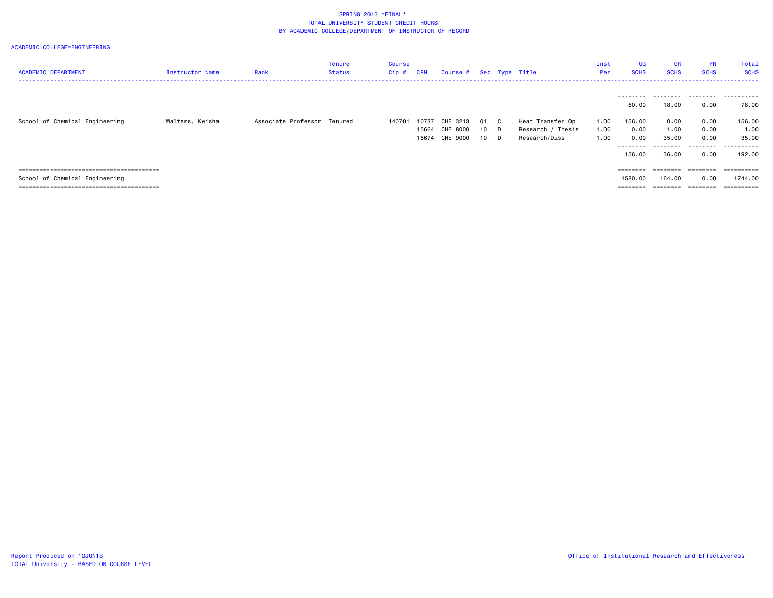| <b>ACADEMIC DEPARTMENT</b>     | <b>Instructor Name</b> | Rank                        | Tenure<br>Status | Course<br>Cip # | CRN   | Course # Sec Type Title |    |    |                   | Inst<br>Per | UG<br><b>SCHS</b>  | <b>GR</b><br><b>SCHS</b> | <b>PR</b><br><b>SCHS</b> | Total<br><b>SCHS</b><br>------------------------- |
|--------------------------------|------------------------|-----------------------------|------------------|-----------------|-------|-------------------------|----|----|-------------------|-------------|--------------------|--------------------------|--------------------------|---------------------------------------------------|
|                                |                        |                             |                  |                 |       |                         |    |    |                   |             | ---------<br>60.00 | 18.00                    | 0.00                     | <br>78.00                                         |
| School of Chemical Engineering | Walters, Keisha        | Associate Professor Tenured |                  | 140701          | 10737 | CHE 3213                | 01 | C. | Heat Transfer Op  | 1.00        | 156.00             | 0.00                     | 0.00                     | 156.00                                            |
|                                |                        |                             |                  |                 |       | 15664 CHE 8000          | 10 | D. | Research / Thesis | 1.00        | 0.00               | 1.00                     | 0.00                     | 1.00                                              |
|                                |                        |                             |                  |                 |       | 15674 CHE 9000          | 10 | D. | Research/Diss     | 1.00        | 0.00               | 35.00                    | 0.00                     | 35.00                                             |
|                                |                        |                             |                  |                 |       |                         |    |    |                   |             | .<br>156.00        | .<br>36.00               | .<br>0.00                | .<br>192.00                                       |
|                                |                        |                             |                  |                 |       |                         |    |    |                   |             | $=$ = = = = = = =  | ========                 | ========                 |                                                   |
| School of Chemical Engineering |                        |                             |                  |                 |       |                         |    |    |                   |             | 1580.00            | 164.00                   | 0.00                     | 1744.00                                           |
|                                |                        |                             |                  |                 |       |                         |    |    |                   |             | ========           |                          |                          | ==========                                        |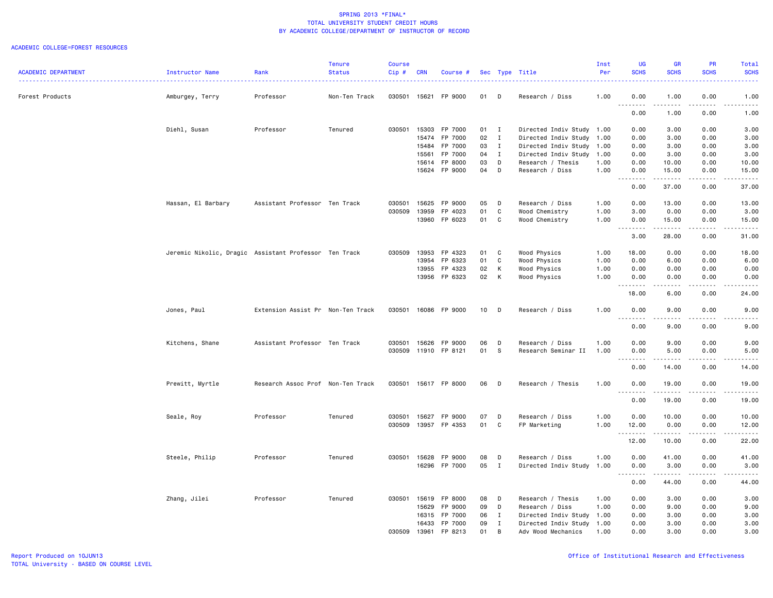|                            |                                                       |                                   | <b>Tenure</b> | <b>Course</b> |            |               |                 |              |                           | Inst | <b>UG</b>                         | <b>GR</b>           | <b>PR</b>                    | Total                                                                                                                                                        |
|----------------------------|-------------------------------------------------------|-----------------------------------|---------------|---------------|------------|---------------|-----------------|--------------|---------------------------|------|-----------------------------------|---------------------|------------------------------|--------------------------------------------------------------------------------------------------------------------------------------------------------------|
| <b>ACADEMIC DEPARTMENT</b> | Instructor Name                                       | Rank                              | <b>Status</b> | Cip#          | <b>CRN</b> | Course #      |                 |              | Sec Type Title            | Per  | <b>SCHS</b>                       | <b>SCHS</b>         | <b>SCHS</b>                  | <b>SCHS</b><br>.                                                                                                                                             |
| Forest Products            | Amburgey, Terry                                       | Professor                         | Non-Ten Track | 030501        | 15621      | FP 9000       | 01              | D            | Research / Diss           | 1.00 | 0.00                              | 1.00                | 0.00                         | 1.00                                                                                                                                                         |
|                            |                                                       |                                   |               |               |            |               |                 |              |                           |      | .<br>$\sim$ $\sim$ $\sim$<br>0.00 | 1.00                | $\sim$ $\sim$ $\sim$<br>0.00 | $\omega$ is a set<br>1.00                                                                                                                                    |
|                            | Diehl, Susan                                          | Professor                         | Tenured       | 030501        | 15303      | FP 7000       | 01              | $\mathbf{I}$ | Directed Indiv Study 1.00 |      | 0.00                              | 3.00                | 0.00                         | 3.00                                                                                                                                                         |
|                            |                                                       |                                   |               |               | 15474      | FP 7000       | 02              | $\mathbf I$  | Directed Indiv Study      | 1.00 | 0.00                              | 3.00                | 0.00                         | 3.00                                                                                                                                                         |
|                            |                                                       |                                   |               |               | 15484      | FP 7000       | 03              | $\mathbf{I}$ | Directed Indiv Study      | 1.00 | 0.00                              | 3.00                | 0.00                         | 3.00                                                                                                                                                         |
|                            |                                                       |                                   |               |               | 15561      | FP 7000       | 04              | I            | Directed Indiv Study      | 1.00 | 0.00                              | 3.00                | 0.00                         | 3.00                                                                                                                                                         |
|                            |                                                       |                                   |               |               | 15614      | FP 8000       | 03              | D            | Research / Thesis         | 1.00 | 0.00                              | 10.00               | 0.00                         | 10.00                                                                                                                                                        |
|                            |                                                       |                                   |               |               |            | 15624 FP 9000 | 04              | D            | Research / Diss           | 1.00 | 0.00<br>.<br>$ -$                 | 15.00<br>------     | 0.00<br>.                    | 15.00<br>.                                                                                                                                                   |
|                            |                                                       |                                   |               |               |            |               |                 |              |                           |      | 0.00                              | 37.00               | 0.00                         | 37.00                                                                                                                                                        |
|                            | Hassan, El Barbary                                    | Assistant Professor Ten Track     |               | 030501        | 15625      | FP 9000       | 05              | D            | Research / Diss           | 1.00 | 0.00                              | 13.00               | 0.00                         | 13.00                                                                                                                                                        |
|                            |                                                       |                                   |               | 030509        | 13959      | FP 4023       | 01              | C            | Wood Chemistry            | 1.00 | 3.00                              | 0.00                | 0.00                         | 3.00                                                                                                                                                         |
|                            |                                                       |                                   |               |               | 13960      | FP 6023       | 01              | C            | Wood Chemistry            | 1.00 | 0.00<br>.                         | 15.00<br>.          | 0.00                         | 15.00<br>.                                                                                                                                                   |
|                            |                                                       |                                   |               |               |            |               |                 |              |                           |      | 3.00                              | 28.00               | 0.00                         | 31.00                                                                                                                                                        |
|                            | Jeremic Nikolic, Dragic Assistant Professor Ten Track |                                   |               | 030509        | 13953      | FP 4323       | 01              | C            | Wood Physics              | 1.00 | 18.00                             | 0.00                | 0.00                         | 18.00                                                                                                                                                        |
|                            |                                                       |                                   |               |               | 13954      | FP 6323       | 01              | $\mathbb{C}$ | Wood Physics              | 1.00 | 0.00                              | 6.00                | 0.00                         | 6.00                                                                                                                                                         |
|                            |                                                       |                                   |               |               | 13955      | FP 4323       | 02              | K            | Wood Physics              | 1.00 | 0.00                              | 0.00                | 0.00                         | 0.00                                                                                                                                                         |
|                            |                                                       |                                   |               |               | 13956      | FP 6323       | 02              | $\mathsf{K}$ | Wood Physics              | 1.00 | 0.00<br>.                         | 0.00<br>.           | 0.00                         | 0.00<br>$\frac{1}{2} \left( \frac{1}{2} \right) \left( \frac{1}{2} \right) \left( \frac{1}{2} \right) \left( \frac{1}{2} \right) \left( \frac{1}{2} \right)$ |
|                            |                                                       |                                   |               |               |            |               |                 |              |                           |      | 18.00                             | 6.00                | 0.00                         | 24.00                                                                                                                                                        |
|                            | Jones, Paul                                           | Extension Assist Pr Non-Ten Track |               | 030501        |            | 16086 FP 9000 | 10 <sub>1</sub> | D            | Research / Diss           | 1.00 | 0.00<br>$\sim$ $\sim$             | 9.00                | 0.00                         | 9.00                                                                                                                                                         |
|                            |                                                       |                                   |               |               |            |               |                 |              |                           |      | 0.00                              | 9.00                | 0.00                         | 9.00                                                                                                                                                         |
|                            | Kitchens, Shane                                       | Assistant Professor Ten Track     |               | 030501        | 15626      | FP 9000       | 06              | D            | Research / Diss           | 1.00 | 0.00                              | 9.00                | 0.00                         | 9.00                                                                                                                                                         |
|                            |                                                       |                                   |               | 030509        |            | 11910 FP 8121 | 01              | S            | Research Seminar II       | 1.00 | 0.00<br>د د د د                   | 5.00                | 0.00<br>$- - - -$            | 5.00<br>----                                                                                                                                                 |
|                            |                                                       |                                   |               |               |            |               |                 |              |                           |      | 0.00                              | 14.00               | 0.00                         | 14.00                                                                                                                                                        |
|                            | Prewitt, Myrtle                                       | Research Assoc Prof Non-Ten Track |               | 030501        |            | 15617 FP 8000 | 06              | D            | Research / Thesis         | 1.00 | 0.00                              | 19.00               | 0.00                         | 19.00                                                                                                                                                        |
|                            |                                                       |                                   |               |               |            |               |                 |              |                           |      | 0.00                              | 19.00               | 0.00                         | 19.00                                                                                                                                                        |
|                            |                                                       | Professor                         | Tenured       | 030501        | 15627      | FP 9000       | 07              | D            | Research / Diss           | 1.00 | 0.00                              | 10.00               | 0.00                         | 10.00                                                                                                                                                        |
|                            | Seale, Roy                                            |                                   |               | 030509        |            | 13957 FP 4353 | 01              | C            | FP Marketing              | 1.00 | 12.00                             | 0.00                | 0.00                         | 12.00                                                                                                                                                        |
|                            |                                                       |                                   |               |               |            |               |                 |              |                           |      | . <b>.</b>                        | .                   | $\sim$ $\sim$ $\sim$         | $\omega$ $\omega$ $\omega$ $\omega$ $\omega$                                                                                                                 |
|                            |                                                       |                                   |               |               |            |               |                 |              |                           |      | 12.00                             | 10.00               | 0.00                         | 22.00                                                                                                                                                        |
|                            | Steele, Philip                                        | Professor                         | Tenured       | 030501        | 15628      | FP 9000       | 08              | D            | Research / Diss           | 1.00 | 0.00                              | 41.00               | 0.00                         | 41.00                                                                                                                                                        |
|                            |                                                       |                                   |               |               | 16296      | FP 7000       | 05              | $\mathbf{I}$ | Directed Indiv Study      | 1.00 | 0.00<br>.<br>$\sim$ $\sim$        | 3.00<br>$- - - - -$ | 0.00<br>$\frac{1}{2}$        | 3.00<br>$\frac{1}{2}$                                                                                                                                        |
|                            |                                                       |                                   |               |               |            |               |                 |              |                           |      | 0.00                              | 44.00               | 0.00                         | 44.00                                                                                                                                                        |
|                            | Zhang, Jilei                                          | Professor                         | Tenured       | 030501        | 15619      | FP 8000       | 08              | D            | Research / Thesis         | 1.00 | 0.00                              | 3.00                | 0.00                         | 3.00                                                                                                                                                         |
|                            |                                                       |                                   |               |               | 15629      | FP 9000       | 09              | D            | Research / Diss           | 1.00 | 0.00                              | 9.00                | 0.00                         | 9.00                                                                                                                                                         |
|                            |                                                       |                                   |               |               | 16315      | FP 7000       | 06              | $\mathbf{I}$ | Directed Indiv Study      | 1.00 | 0.00                              | 3.00                | 0.00                         | 3.00                                                                                                                                                         |
|                            |                                                       |                                   |               |               | 16433      | FP 7000       | 09              | I            | Directed Indiv Study      | 1.00 | 0.00                              | 3.00                | 0.00                         | 3.00                                                                                                                                                         |
|                            |                                                       |                                   |               | 030509        | 13961      | FP 8213       | 01              | B            | Adv Wood Mechanics        | 1.00 | 0.00                              | 3.00                | 0.00                         | 3.00                                                                                                                                                         |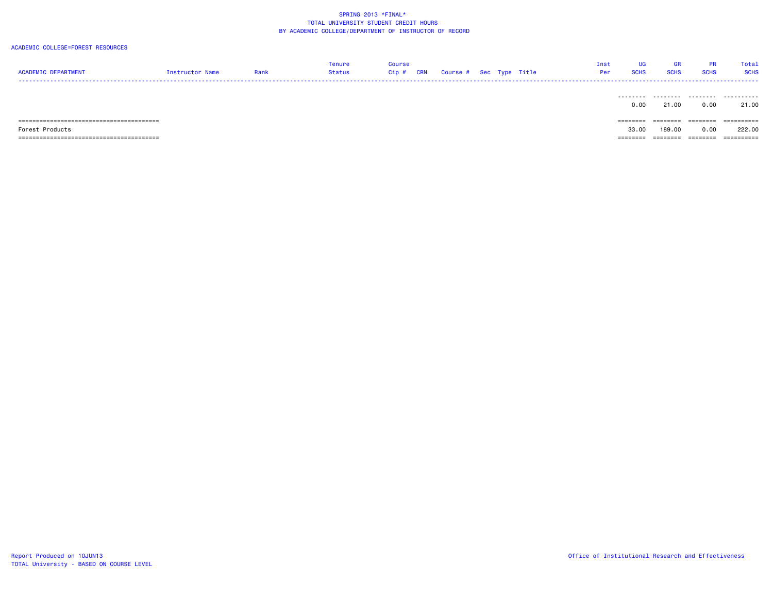| <b>ACADEMIC DEPARTMENT</b> | Instructor Name | Rank | Tenure<br>Status | <b>Course</b><br>CRN<br>$Cip$ # |  | Course # Sec Type Title | Inst<br>Per | <b>UG</b><br><b>SCHS</b> | <b>GR</b><br><b>SCHS</b> | <b>PR</b><br><b>SCHS</b> | Total<br><b>SCHS</b> |
|----------------------------|-----------------|------|------------------|---------------------------------|--|-------------------------|-------------|--------------------------|--------------------------|--------------------------|----------------------|
|                            |                 |      |                  |                                 |  |                         |             | 0.00                     | 21.00                    | 0.00                     | 21.00                |
|                            |                 |      |                  |                                 |  |                         |             | ========                 | ---------<br>--------    | ========                 | ==========           |
| Forest Products            |                 |      |                  |                                 |  |                         |             | 33.00                    | 189,00                   | 0.00                     | 222,00               |
|                            |                 |      |                  |                                 |  |                         |             | ========                 | ========                 | ========                 | ==========           |
|                            |                 |      |                  |                                 |  |                         |             |                          |                          |                          |                      |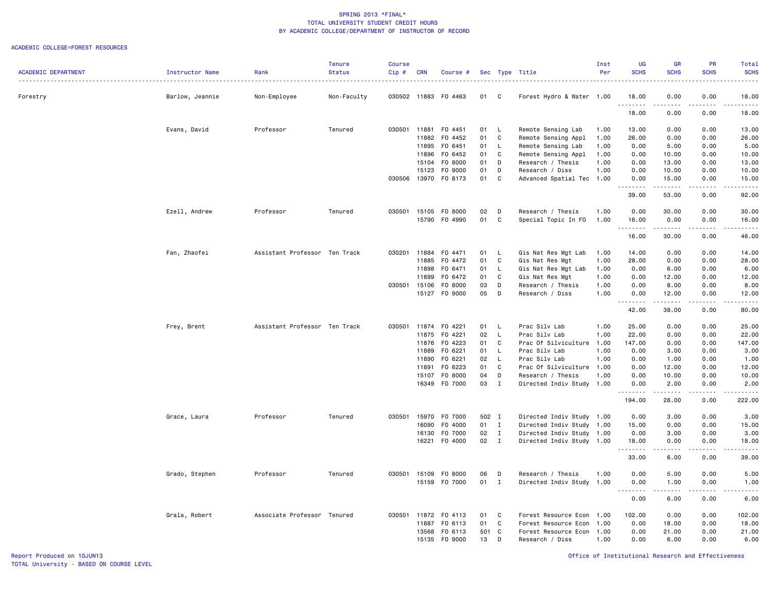|                            |                        |                               | <b>Tenure</b> | <b>Course</b> |            |                      |       |              |                           | Inst | <b>UG</b>                                                                                                                 | <b>GR</b>                                                                                                                                                    | <b>PR</b>   | Total             |
|----------------------------|------------------------|-------------------------------|---------------|---------------|------------|----------------------|-------|--------------|---------------------------|------|---------------------------------------------------------------------------------------------------------------------------|--------------------------------------------------------------------------------------------------------------------------------------------------------------|-------------|-------------------|
| <b>ACADEMIC DEPARTMENT</b> | <b>Instructor Name</b> | Rank                          | <b>Status</b> | Cip#          | <b>CRN</b> | Course #             |       |              | Sec Type Title            | Per  | <b>SCHS</b>                                                                                                               | <b>SCHS</b>                                                                                                                                                  | <b>SCHS</b> | <b>SCHS</b>       |
| Forestry                   | Barlow, Jeannie        | Non-Employee                  | Non-Faculty   |               |            | 030502 11883 F0 4463 | 01    | C            | Forest Hydro & Water 1.00 |      | 18.00                                                                                                                     | 0.00                                                                                                                                                         | 0.00        | 18.00             |
|                            |                        |                               |               |               |            |                      |       |              |                           |      | .<br>18.00                                                                                                                | $\frac{1}{2} \left( \frac{1}{2} \right) \left( \frac{1}{2} \right) \left( \frac{1}{2} \right) \left( \frac{1}{2} \right) \left( \frac{1}{2} \right)$<br>0.00 | .<br>0.00   | .<br>18.00        |
|                            | Evans, David           | Professor                     | Tenured       | 030501        | 11881      | F0 4451              | 01    | $\mathsf{L}$ | Remote Sensing Lab        | 1.00 | 13.00                                                                                                                     | 0.00                                                                                                                                                         | 0.00        | 13.00             |
|                            |                        |                               |               |               | 11882      | F0 4452              | 01    | C            | Remote Sensing Appl       | 1.00 | 26.00                                                                                                                     | 0.00                                                                                                                                                         | 0.00        | 26.00             |
|                            |                        |                               |               |               | 11895      | F0 6451              | 01    | $\mathsf{L}$ | Remote Sensing Lab        | 1.00 | 0.00                                                                                                                      | 5.00                                                                                                                                                         | 0.00        | 5.00              |
|                            |                        |                               |               |               | 11896      | F0 6452              | 01    | C            | Remote Sensing Appl       | 1.00 | 0.00                                                                                                                      | 10.00                                                                                                                                                        | 0.00        | 10.00             |
|                            |                        |                               |               |               | 15104      | F0 8000              | 01    | D            | Research / Thesis         | 1.00 | 0.00                                                                                                                      | 13.00                                                                                                                                                        | 0.00        | 13.00             |
|                            |                        |                               |               |               | 15123      | F0 9000              | 01    | D            | Research / Diss           | 1.00 | 0.00                                                                                                                      | 10.00                                                                                                                                                        | 0.00        | 10.00             |
|                            |                        |                               |               | 030506 13970  |            | F0 8173              | 01    | C            | Advanced Spatial Tec 1.00 |      | 0.00                                                                                                                      | 15.00                                                                                                                                                        | 0.00<br>.   | 15.00             |
|                            |                        |                               |               |               |            |                      |       |              |                           |      | .<br>39.00                                                                                                                | .<br>53.00                                                                                                                                                   | 0.00        | .<br>92.00        |
|                            | Ezell, Andrew          | Professor                     | Tenured       | 030501        | 15105      | F0 8000              | 02    | D            | Research / Thesis         | 1.00 | 0.00                                                                                                                      | 30.00                                                                                                                                                        | 0.00        | 30.00             |
|                            |                        |                               |               |               |            | 15790 FO 4990        | 01    | C            | Special Topic In FO       | 1.00 | 16.00                                                                                                                     | 0.00                                                                                                                                                         | 0.00        | 16.00             |
|                            |                        |                               |               |               |            |                      |       |              |                           |      | .<br>16.00                                                                                                                | .<br>30.00                                                                                                                                                   | .<br>0.00   | .<br>46.00        |
|                            |                        |                               |               |               |            |                      |       |              |                           |      |                                                                                                                           |                                                                                                                                                              |             |                   |
|                            | Fan, Zhaofei           | Assistant Professor Ten Track |               | 030201        | 11884      | F0 4471              | 01    | $\mathsf{L}$ | Gis Nat Res Mgt Lab       | 1.00 | 14.00                                                                                                                     | 0.00                                                                                                                                                         | 0.00        | 14.00             |
|                            |                        |                               |               |               | 11885      | F0 4472              | 01    | C            | Gis Nat Res Mgt           | 1.00 | 28.00                                                                                                                     | 0.00                                                                                                                                                         | 0.00        | 28.00             |
|                            |                        |                               |               |               | 11898      | F0 6471              | 01    | L.           | Gis Nat Res Mgt Lab       | 1.00 | 0.00                                                                                                                      | 6.00                                                                                                                                                         | 0.00        | 6.00              |
|                            |                        |                               |               |               | 11899      | F0 6472              | 01    | C            | Gis Nat Res Mgt           | 1.00 | 0.00                                                                                                                      | 12.00                                                                                                                                                        | 0.00        | 12.00             |
|                            |                        |                               |               | 030501        | 15106      | F0 8000              | 03    | D            | Research / Thesis         | 1.00 | 0.00                                                                                                                      | 8.00                                                                                                                                                         | 0.00        | 8.00              |
|                            |                        |                               |               |               |            | 15127 FO 9000        | 05    | D            | Research / Diss           | 1.00 | 0.00                                                                                                                      | 12.00                                                                                                                                                        | 0.00        | 12.00<br>.        |
|                            |                        |                               |               |               |            |                      |       |              |                           |      | 42.00                                                                                                                     | 38.00                                                                                                                                                        | 0.00        | 80.00             |
|                            | Frey, Brent            | Assistant Professor Ten Track |               | 030501        | 11874      | F0 4221              | 01    | - L          | Prac Silv Lab             | 1.00 | 25.00                                                                                                                     | 0.00                                                                                                                                                         | 0.00        | 25.00             |
|                            |                        |                               |               |               | 11875      | F0 4221              | 02    | L.           | Prac Silv Lab             | 1.00 | 22.00                                                                                                                     | 0.00                                                                                                                                                         | 0.00        | 22.00             |
|                            |                        |                               |               |               | 11876      | F0 4223              | 01    | C            | Prac Of Silviculture      | 1.00 | 147.00                                                                                                                    | 0.00                                                                                                                                                         | 0.00        | 147.00            |
|                            |                        |                               |               |               | 11889      | F0 6221              | 01    | L.           | Prac Silv Lab             | 1.00 | 0.00                                                                                                                      | 3.00                                                                                                                                                         | 0.00        | 3.00              |
|                            |                        |                               |               |               | 11890      | F0 6221              | 02    | $\mathsf{L}$ | Prac Silv Lab             | 1.00 | 0.00                                                                                                                      | 1.00                                                                                                                                                         | 0.00        | 1.00              |
|                            |                        |                               |               |               | 11891      | F0 6223              | 01    | C            | Prac Of Silviculture 1.00 |      | 0.00                                                                                                                      | 12.00                                                                                                                                                        | 0.00        | 12.00             |
|                            |                        |                               |               |               | 15107      | F0 8000              | 04    | D            | Research / Thesis         | 1.00 | 0.00                                                                                                                      | 10.00                                                                                                                                                        | 0.00        | 10.00             |
|                            |                        |                               |               |               | 16349      | F0 7000              | 03    | $\mathbf{I}$ | Directed Indiv Study      | 1.00 | 0.00                                                                                                                      | 2.00                                                                                                                                                         | 0.00        | 2.00              |
|                            |                        |                               |               |               |            |                      |       |              |                           |      | $\frac{1}{2} \left( \frac{1}{2} \right) \left( \frac{1}{2} \right) \left( \frac{1}{2} \right) \left( \frac{1}{2} \right)$ | $\frac{1}{2} \left( \frac{1}{2} \right) \left( \frac{1}{2} \right) \left( \frac{1}{2} \right) \left( \frac{1}{2} \right) \left( \frac{1}{2} \right)$         |             |                   |
|                            |                        |                               |               |               |            |                      |       |              |                           |      | 194.00                                                                                                                    | 28.00                                                                                                                                                        | 0.00        | 222.00            |
|                            | Grace, Laura           | Professor                     | Tenured       | 030501        | 15970      | F0 7000              | 502 I |              | Directed Indiv Study 1.00 |      | 0.00                                                                                                                      | 3.00                                                                                                                                                         | 0.00        | 3.00              |
|                            |                        |                               |               |               | 16090      | F0 4000              | 01    | $\mathbf{I}$ | Directed Indiv Study 1.00 |      | 15.00                                                                                                                     | 0.00                                                                                                                                                         | 0.00        | 15.00             |
|                            |                        |                               |               |               | 16130      | F0 7000              | 02    | $\mathbf{I}$ | Directed Indiv Study 1.00 |      | 0.00                                                                                                                      | 3.00                                                                                                                                                         | 0.00        | 3.00              |
|                            |                        |                               |               |               | 16221      | F0 4000              | 02    | $\mathbf{I}$ | Directed Indiv Study 1.00 |      | 18.00                                                                                                                     | 0.00<br>.                                                                                                                                                    | 0.00<br>.   | 18.00<br>.        |
|                            |                        |                               |               |               |            |                      |       |              |                           |      | 33.00                                                                                                                     | 6.00                                                                                                                                                         | 0.00        | 39.00             |
|                            | Grado, Stephen         | Professor                     | Tenured       | 030501        | 15109      | F0 8000              | 06    | D            | Research / Thesis         | 1.00 | 0.00                                                                                                                      | 5.00                                                                                                                                                         | 0.00        | 5.00              |
|                            |                        |                               |               |               |            | 15159 FO 7000        | 01    | $\mathbf{I}$ | Directed Indiv Study 1.00 |      | 0.00<br>.                                                                                                                 | 1.00<br>$\frac{1}{2} \left( \frac{1}{2} \right) \left( \frac{1}{2} \right) \left( \frac{1}{2} \right) \left( \frac{1}{2} \right) \left( \frac{1}{2} \right)$ | 0.00<br>.   | 1.00<br>د د د د د |
|                            |                        |                               |               |               |            |                      |       |              |                           |      | 0.00                                                                                                                      | 6.00                                                                                                                                                         | 0.00        | 6.00              |
|                            | Grala, Robert          | Associate Professor Tenured   |               | 030501        | 11872      | F0 4113              | 01    | C            | Forest Resource Econ      | 1.00 | 102.00                                                                                                                    | 0.00                                                                                                                                                         | 0.00        | 102.00            |
|                            |                        |                               |               |               | 11887      | F0 6113              | 01    | C            | Forest Resource Econ      | 1.00 | 0.00                                                                                                                      | 18.00                                                                                                                                                        | 0.00        | 18.00             |
|                            |                        |                               |               |               | 13568      | F0 6113              | 501 C |              | Forest Resource Econ 1.00 |      | 0.00                                                                                                                      | 21.00                                                                                                                                                        | 0.00        | 21.00             |
|                            |                        |                               |               |               | 15135      | F0 9000              | 13    | D            | Research / Diss           | 1.00 | 0.00                                                                                                                      | 6.00                                                                                                                                                         | 0.00        | 6.00              |
|                            |                        |                               |               |               |            |                      |       |              |                           |      |                                                                                                                           |                                                                                                                                                              |             |                   |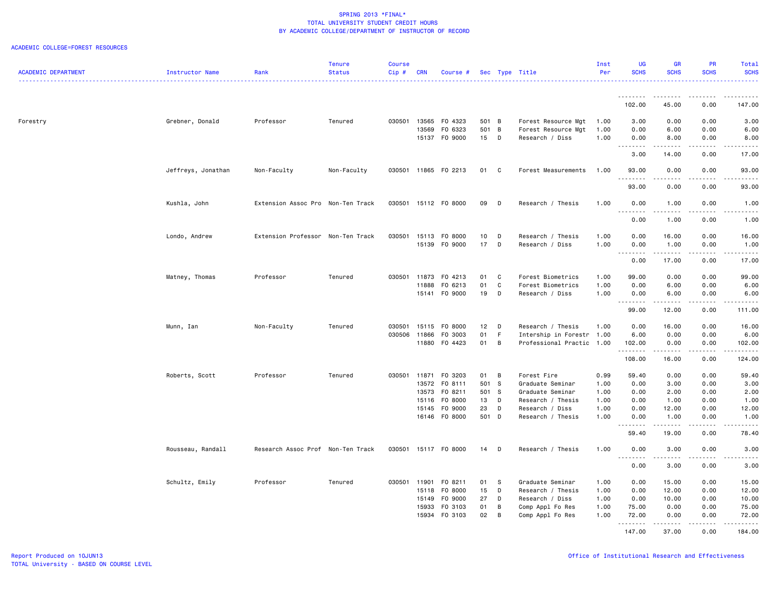|                            |                    |                                   | <b>Tenure</b> | Course       |            |                      |        |                |                           | Inst | UG                                | GR                                                                                                                                                           | <b>PR</b>                    | Total                                                                                                                                                                                     |
|----------------------------|--------------------|-----------------------------------|---------------|--------------|------------|----------------------|--------|----------------|---------------------------|------|-----------------------------------|--------------------------------------------------------------------------------------------------------------------------------------------------------------|------------------------------|-------------------------------------------------------------------------------------------------------------------------------------------------------------------------------------------|
| <b>ACADEMIC DEPARTMENT</b> | Instructor Name    | Rank                              | <b>Status</b> | Cip#         | <b>CRN</b> | Course #             |        | Sec Type       | Title                     | Per  | <b>SCHS</b>                       | <b>SCHS</b>                                                                                                                                                  | <b>SCHS</b>                  | <b>SCHS</b><br>.                                                                                                                                                                          |
|                            |                    |                                   |               |              |            |                      |        |                |                           |      | 1.1.1.1.1.1.1                     |                                                                                                                                                              | .                            | $- - - - - - -$                                                                                                                                                                           |
|                            |                    |                                   |               |              |            |                      |        |                |                           |      | 102.00                            | 45.00                                                                                                                                                        | 0.00                         | 147.00                                                                                                                                                                                    |
| Forestry                   | Grebner, Donald    | Professor                         | Tenured       | 030501 13565 |            | F0 4323              | 501 B  |                | Forest Resource Mgt       | 1.00 | 3.00                              | 0.00                                                                                                                                                         | 0.00                         | 3.00                                                                                                                                                                                      |
|                            |                    |                                   |               |              | 13569      | F0 6323              | 501 B  |                | Forest Resource Mgt       | 1.00 | 0.00                              | 6.00                                                                                                                                                         | 0.00                         | 6.00                                                                                                                                                                                      |
|                            |                    |                                   |               |              |            | 15137 FO 9000        | 15     | D              | Research / Diss           | 1.00 | 0.00<br><u>.</u>                  | 8.00<br>$\frac{1}{2} \left( \frac{1}{2} \right) \left( \frac{1}{2} \right) \left( \frac{1}{2} \right) \left( \frac{1}{2} \right) \left( \frac{1}{2} \right)$ | 0.00                         | 8.00<br>$\frac{1}{2} \left( \frac{1}{2} \right) \left( \frac{1}{2} \right) \left( \frac{1}{2} \right) \left( \frac{1}{2} \right) \left( \frac{1}{2} \right)$                              |
|                            |                    |                                   |               |              |            |                      |        |                |                           |      | 3.00                              | 14.00                                                                                                                                                        | 0.00                         | 17.00                                                                                                                                                                                     |
|                            | Jeffreys, Jonathan | Non-Faculty                       | Non-Faculty   |              |            | 030501 11865 F0 2213 | 01     | $\mathbf{C}$   | Forest Measurements       | 1.00 | 93.00<br>. <b>.</b>               | 0.00                                                                                                                                                         | 0.00<br>$\sim$ $\sim$ $\sim$ | 93.00<br>$\frac{1}{2} \left( \frac{1}{2} \right) \left( \frac{1}{2} \right) \left( \frac{1}{2} \right) \left( \frac{1}{2} \right)$                                                        |
|                            |                    |                                   |               |              |            |                      |        |                |                           |      | 93.00                             | 0.00                                                                                                                                                         | 0.00                         | 93.00                                                                                                                                                                                     |
|                            | Kushla, John       | Extension Assoc Pro Non-Ten Track |               |              |            | 030501 15112 F0 8000 | 09     | D              | Research / Thesis         | 1.00 | 0.00<br>$\sim$ $\sim$<br>.        | 1.00<br>.                                                                                                                                                    | 0.00<br>.                    | 1.00<br>$\frac{1}{2}$                                                                                                                                                                     |
|                            |                    |                                   |               |              |            |                      |        |                |                           |      | 0.00                              | 1.00                                                                                                                                                         | 0.00                         | 1.00                                                                                                                                                                                      |
|                            | Londo, Andrew      | Extension Professor Non-Ten Track |               | 030501       |            | 15113 FO 8000        | 10     | D              | Research / Thesis         | 1.00 | 0.00                              | 16.00                                                                                                                                                        | 0.00                         | 16.00                                                                                                                                                                                     |
|                            |                    |                                   |               |              |            | 15139 FO 9000        | 17     | D              | Research / Diss           | 1.00 | 0.00                              | 1.00<br>.                                                                                                                                                    | 0.00<br>.                    | 1.00<br>.                                                                                                                                                                                 |
|                            |                    |                                   |               |              |            |                      |        |                |                           |      | .<br>0.00                         | 17.00                                                                                                                                                        | 0.00                         | 17.00                                                                                                                                                                                     |
|                            | Matney, Thomas     | Professor                         | Tenured       | 030501       | 11873      | F0 4213              | 01     | C              | Forest Biometrics         | 1.00 | 99.00                             | 0.00                                                                                                                                                         | 0.00                         | 99.00                                                                                                                                                                                     |
|                            |                    |                                   |               |              | 11888      | F0 6213              | 01     | C              | Forest Biometrics         | 1.00 | 0.00                              | 6.00                                                                                                                                                         | 0.00                         | 6.00                                                                                                                                                                                      |
|                            |                    |                                   |               |              | 15141      | F0 9000              | 19     | D              | Research / Diss           | 1.00 | 0.00<br>.<br>$\sim$ $\sim$ $\sim$ | 6.00<br>$- - - - -$                                                                                                                                          | 0.00<br>.                    | 6.00<br>.                                                                                                                                                                                 |
|                            |                    |                                   |               |              |            |                      |        |                |                           |      | 99.00                             | 12.00                                                                                                                                                        | 0.00                         | 111.00                                                                                                                                                                                    |
|                            | Munn, Ian          | Non-Faculty                       | Tenured       | 030501 15115 |            | F0 8000              | 12     | D              | Research / Thesis         | 1.00 | 0.00                              | 16.00                                                                                                                                                        | 0.00                         | 16.00                                                                                                                                                                                     |
|                            |                    |                                   |               | 030506 11866 |            | F0 3003              | 01     | F              | Intership in Forestr 1.00 |      | 6.00                              | 0.00                                                                                                                                                         | 0.00                         | 6.00                                                                                                                                                                                      |
|                            |                    |                                   |               |              | 11880      | F0 4423              | 01     | $\overline{B}$ | Professional Practic 1.00 |      | 102.00<br>.                       | 0.00<br>.                                                                                                                                                    | 0.00<br>.                    | 102.00<br>$\frac{1}{2} \left( \frac{1}{2} \right) \left( \frac{1}{2} \right) \left( \frac{1}{2} \right) \left( \frac{1}{2} \right) \left( \frac{1}{2} \right) \left( \frac{1}{2} \right)$ |
|                            |                    |                                   |               |              |            |                      |        |                |                           |      | 108.00                            | 16.00                                                                                                                                                        | 0.00                         | 124.00                                                                                                                                                                                    |
|                            | Roberts, Scott     | Professor                         | Tenured       | 030501       | 11871      | F0 3203              | 01     | B              | Forest Fire               | 0.99 | 59.40                             | 0.00                                                                                                                                                         | 0.00                         | 59.40                                                                                                                                                                                     |
|                            |                    |                                   |               |              | 13572      | FO 8111              | 501 S  |                | Graduate Seminar          | 1.00 | 0.00                              | 3.00                                                                                                                                                         | 0.00                         | 3.00                                                                                                                                                                                      |
|                            |                    |                                   |               |              | 13573      | F0 8211              | 501 S  |                | Graduate Seminar          | 1.00 | 0.00                              | 2.00                                                                                                                                                         | 0.00                         | 2.00                                                                                                                                                                                      |
|                            |                    |                                   |               |              | 15116      | F0 8000              | 13     | D              | Research / Thesis         | 1.00 | 0.00                              | 1.00                                                                                                                                                         | 0.00                         | 1.00                                                                                                                                                                                      |
|                            |                    |                                   |               |              | 15145      | F0 9000              | 23     | D              | Research / Diss           | 1.00 | 0.00                              | 12.00                                                                                                                                                        | 0.00                         | 12.00                                                                                                                                                                                     |
|                            |                    |                                   |               |              |            | 16146 F0 8000        | 501 D  |                | Research / Thesis         | 1.00 | 0.00<br>$\sim$ $\sim$ .           | 1.00<br>-----                                                                                                                                                | 0.00                         | 1.00<br>-----                                                                                                                                                                             |
|                            |                    |                                   |               |              |            |                      |        |                |                           |      | 59.40                             | 19.00                                                                                                                                                        | 0.00                         | 78.40                                                                                                                                                                                     |
|                            | Rousseau, Randall  | Research Assoc Prof Non-Ten Track |               |              |            | 030501 15117 FO 8000 | $14$ D |                | Research / Thesis         | 1.00 | 0.00<br>. <b>.</b>                | 3.00<br>.                                                                                                                                                    | 0.00<br>.                    | 3,00<br>.                                                                                                                                                                                 |
|                            |                    |                                   |               |              |            |                      |        |                |                           |      | 0.00                              | 3.00                                                                                                                                                         | 0.00                         | 3.00                                                                                                                                                                                      |
|                            | Schultz, Emily     | Professor                         | Tenured       | 030501 11901 |            | F0 8211              | 01     | S.             | Graduate Seminar          | 1.00 | 0.00                              | 15.00                                                                                                                                                        | 0.00                         | 15.00                                                                                                                                                                                     |
|                            |                    |                                   |               |              | 15118      | F0 8000              | 15     | D              | Research / Thesis         | 1.00 | 0.00                              | 12.00                                                                                                                                                        | 0.00                         | 12.00                                                                                                                                                                                     |
|                            |                    |                                   |               |              | 15149      | F0 9000              | 27     | D              | Research / Diss           | 1.00 | 0.00                              | 10.00                                                                                                                                                        | 0.00                         | 10.00                                                                                                                                                                                     |
|                            |                    |                                   |               |              | 15933      | F0 3103              | 01     | B              | Comp Appl Fo Res          | 1.00 | 75.00                             | 0.00                                                                                                                                                         | 0.00                         | 75.00                                                                                                                                                                                     |
|                            |                    |                                   |               |              | 15934      | F0 3103              | 02     | В              | Comp Appl Fo Res          | 1.00 | 72.00<br><u>.</u>                 | 0.00                                                                                                                                                         | 0.00<br>$\sim$ $\sim$ $\sim$ | 72.00                                                                                                                                                                                     |
|                            |                    |                                   |               |              |            |                      |        |                |                           |      | 147.00                            | 37.00                                                                                                                                                        | 0.00                         | 184.00                                                                                                                                                                                    |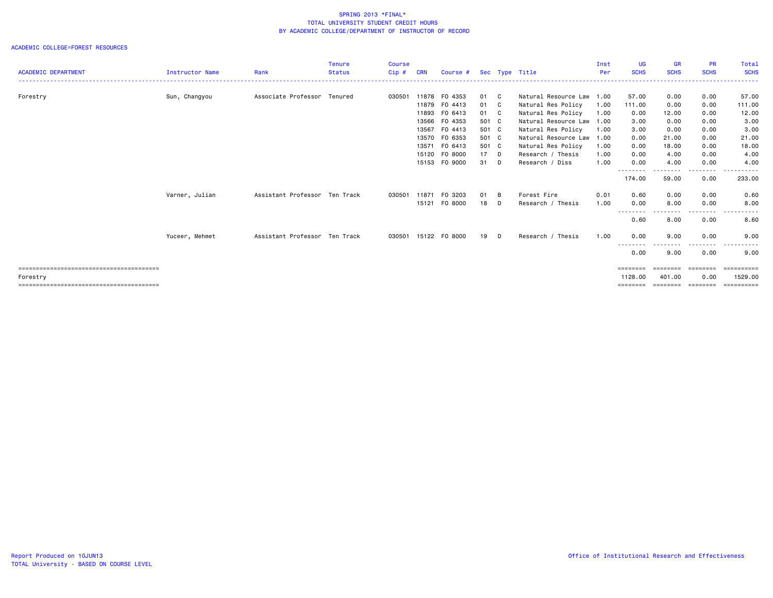|                            |                 |                               | <b>Tenure</b> | <b>Course</b> |            |                      |       |              |                           | Inst | <b>UG</b>           | <b>GR</b>          | <b>PR</b>         | Total                  |
|----------------------------|-----------------|-------------------------------|---------------|---------------|------------|----------------------|-------|--------------|---------------------------|------|---------------------|--------------------|-------------------|------------------------|
| <b>ACADEMIC DEPARTMENT</b> | Instructor Name | Rank                          | <b>Status</b> | Cip#          | <b>CRN</b> | Course #             |       |              | Sec Type Title            | Per  | <b>SCHS</b>         | <b>SCHS</b>        | <b>SCHS</b>       | <b>SCHS</b>            |
| Forestry                   | Sun, Changyou   | Associate Professor Tenured   |               | 030501        |            | 11878 FO 4353        | 01 C  |              | Natural Resource Law 1.00 |      | 57.00               | 0.00               | 0.00              | 57.00                  |
|                            |                 |                               |               |               |            | 11879 FO 4413        | 01    | $\mathbf{C}$ | Natural Res Policy        | 1.00 | 111.00              | 0.00               | 0.00              | 111.00                 |
|                            |                 |                               |               |               |            | 11893 FO 6413        | 01 C  |              | Natural Res Policy        | 1.00 | 0.00                | 12.00              | 0.00              | 12.00                  |
|                            |                 |                               |               |               | 13566      | F0 4353              | 501 C |              | Natural Resource Law 1.00 |      | 3.00                | 0.00               | 0.00              | 3.00                   |
|                            |                 |                               |               |               | 13567      | FO 4413              | 501 C |              | Natural Res Policy        | 1.00 | 3.00                | 0.00               | 0.00              | 3.00                   |
|                            |                 |                               |               |               |            | 13570 FO 6353        | 501 C |              | Natural Resource Law 1.00 |      | 0.00                | 21.00              | 0.00              | 21.00                  |
|                            |                 |                               |               |               | 13571      | FO 6413              | 501 C |              | Natural Res Policy        | 1.00 | 0.00                | 18.00              | 0.00              | 18.00                  |
|                            |                 |                               |               |               |            | 15120 FO 8000        | 17    | $\Box$       | Research / Thesis         | 1.00 | 0.00                | 4.00               | 0.00              | 4.00                   |
|                            |                 |                               |               |               |            | 15153 FO 9000        | 31    | D            | Research / Diss           | 1.00 | 0.00                | 4.00               | 0.00              | 4.00                   |
|                            |                 |                               |               |               |            |                      |       |              |                           |      | --------            | ------             | . <sub>.</sub>    | .                      |
|                            |                 |                               |               |               |            |                      |       |              |                           |      | 174.00              | 59.00              | 0.00              | 233.00                 |
|                            | Varner, Julian  | Assistant Professor Ten Track |               | 030501        |            | 11871 FO 3203        | 01    | B            | Forest Fire               | 0.01 | 0.60                | 0.00               | 0.00              | 0.60                   |
|                            |                 |                               |               |               |            | 15121 FO 8000        | 18    | D            | Research / Thesis         | 1.00 | 0.00                | 8.00               | 0.00              | 8.00                   |
|                            |                 |                               |               |               |            |                      |       |              |                           |      | --------<br>0.60    | --------<br>8.00   | ------<br>0.00    | .<br>8.60              |
|                            | Yuceer, Mehmet  | Assistant Professor Ten Track |               |               |            | 030501 15122 F0 8000 | 19    | D            | Research / Thesis         | 1.00 | 0.00                | 9.00               | 0.00              | 9.00                   |
|                            |                 |                               |               |               |            |                      |       |              |                           |      | --------<br>0.00    | 9.00               | .<br>0.00         | .<br>9.00              |
|                            |                 |                               |               |               |            |                      |       |              |                           |      | ========            | ========           | ---------         | -----------            |
|                            |                 |                               |               |               |            |                      |       |              |                           |      |                     |                    |                   |                        |
| Forestry                   |                 |                               |               |               |            |                      |       |              |                           |      | 1128,00<br>======== | 401.00<br>======== | 0.00<br>--------- | 1529.00<br>----------- |
|                            |                 |                               |               |               |            |                      |       |              |                           |      |                     |                    |                   |                        |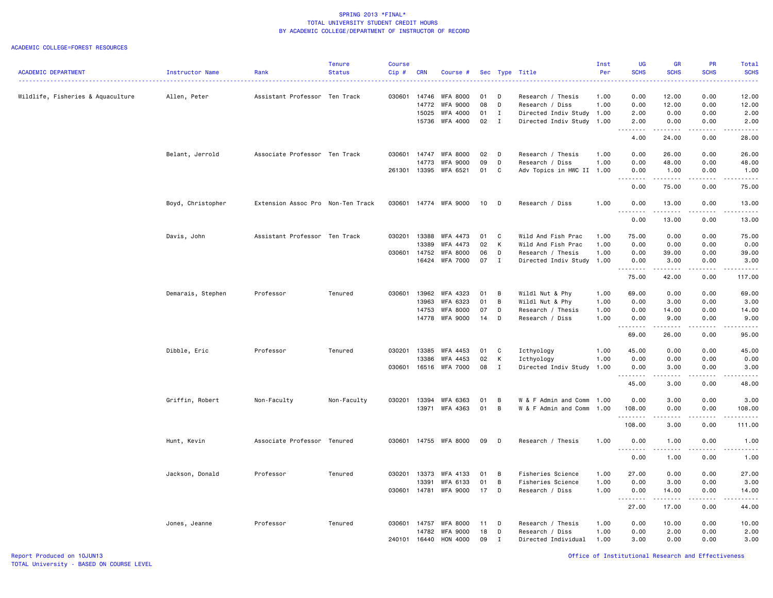|                                   |                        |                                   | <b>Tenure</b> | <b>Course</b> |                |                             |          |              |                                      | Inst         | UG                                    | <b>GR</b>             | <b>PR</b>                    | Total                   |
|-----------------------------------|------------------------|-----------------------------------|---------------|---------------|----------------|-----------------------------|----------|--------------|--------------------------------------|--------------|---------------------------------------|-----------------------|------------------------------|-------------------------|
| <b>ACADEMIC DEPARTMENT</b>        | <b>Instructor Name</b> | Rank                              | <b>Status</b> | Cip#          | <b>CRN</b>     | Course #                    |          | Sec Type     | Title                                | Per          | <b>SCHS</b>                           | <b>SCHS</b>           | <b>SCHS</b>                  | <b>SCHS</b><br><u>.</u> |
| Wildlife, Fisheries & Aquaculture | Allen, Peter           | Assistant Professor Ten Track     |               | 030601        | 14746          | <b>WFA 8000</b>             | 01       | D            | Research / Thesis                    | 1.00         | 0.00                                  | 12.00                 | 0.00                         | 12.00                   |
|                                   |                        |                                   |               |               | 14772          | <b>WFA 9000</b>             | 08       | D            | Research / Diss                      | 1.00         | 0.00                                  | 12.00                 | 0.00                         | 12.00                   |
|                                   |                        |                                   |               |               | 15025          | <b>WFA 4000</b>             | 01       | $\mathbf{I}$ | Directed Indiv Study 1.00            |              | 2.00                                  | 0.00                  | 0.00                         | 2.00                    |
|                                   |                        |                                   |               |               |                | 15736 WFA 4000              | 02       | $\mathbf{I}$ | Directed Indiv Study 1.00            |              | 2.00                                  | 0.00                  | 0.00                         | 2.00                    |
|                                   |                        |                                   |               |               |                |                             |          |              |                                      |              | .                                     | .                     | .                            | $\cdots$                |
|                                   |                        |                                   |               |               |                |                             |          |              |                                      |              | 4.00                                  | 24.00                 | 0.00                         | 28.00                   |
|                                   | Belant, Jerrold        | Associate Professor Ten Track     |               | 030601        | 14747<br>14773 | WFA 8000<br><b>WFA 9000</b> | 02<br>09 | D<br>D       | Research / Thesis<br>Research / Diss | 1.00<br>1.00 | 0.00<br>0.00                          | 26.00<br>48.00        | 0.00<br>0.00                 | 26.00<br>48.00          |
|                                   |                        |                                   |               | 261301        | 13395          | WFA 6521                    | 01       | C            | Adv Topics in HWC II 1.00            |              | 0.00                                  | 1.00                  | 0.00                         | 1.00                    |
|                                   |                        |                                   |               |               |                |                             |          |              |                                      |              | .                                     | .                     | .                            | .                       |
|                                   |                        |                                   |               |               |                |                             |          |              |                                      |              | 0.00                                  | 75.00                 | 0.00                         | 75.00                   |
|                                   | Boyd, Christopher      | Extension Assoc Pro Non-Ten Track |               | 030601        |                | 14774 WFA 9000              | 10       | D            | Research / Diss                      | 1.00         | 0.00                                  | 13.00                 | 0.00                         | 13.00                   |
|                                   |                        |                                   |               |               |                |                             |          |              |                                      |              | 0.00                                  | 13.00                 | 0.00                         | 13.00                   |
|                                   | Davis, John            | Assistant Professor Ten Track     |               | 030201        | 13388          | WFA 4473                    | 01       | C            | Wild And Fish Prac                   | 1.00         | 75.00                                 | 0.00                  | 0.00                         | 75.00                   |
|                                   |                        |                                   |               |               | 13389          | WFA 4473                    | 02       | к            | Wild And Fish Prac                   | 1.00         | 0.00                                  | 0.00                  | 0.00                         | 0.00                    |
|                                   |                        |                                   |               | 030601        | 14752          | <b>WFA 8000</b>             | 06       | D            | Research / Thesis                    | 1.00         | 0.00                                  | 39.00                 | 0.00                         | 39.00                   |
|                                   |                        |                                   |               |               | 16424          | WFA 7000                    | 07       | $\mathbf{I}$ | Directed Indiv Study                 | 1.00         | 0.00<br>$\sim$ $\sim$ $\sim$<br>----- | 3.00                  | 0.00                         | 3,00<br>.               |
|                                   |                        |                                   |               |               |                |                             |          |              |                                      |              | 75.00                                 | 42.00                 | 0.00                         | 117.00                  |
|                                   | Demarais, Stephen      | Professor                         | Tenured       | 030601        | 13962          | WFA 4323                    | 01       | B            | Wildl Nut & Phy                      | 1.00         | 69.00                                 | 0.00                  | 0.00                         | 69.00                   |
|                                   |                        |                                   |               |               | 13963          | WFA 6323                    | 01       | В            | Wildl Nut & Phy                      | 1.00         | 0.00                                  | 3.00                  | 0.00                         | 3.00                    |
|                                   |                        |                                   |               |               | 14753          | <b>WFA 8000</b>             | 07       | D            | Research / Thesis                    | 1.00         | 0.00                                  | 14.00                 | 0.00                         | 14.00                   |
|                                   |                        |                                   |               |               | 14778          | <b>WFA 9000</b>             | 14       | D            | Research / Diss                      | 1.00         | 0.00                                  | 9.00<br>.             | 0.00<br>.                    | 9.00<br>.               |
|                                   |                        |                                   |               |               |                |                             |          |              |                                      |              | 69.00                                 | 26.00                 | 0.00                         | 95.00                   |
|                                   | Dibble, Eric           | Professor                         | Tenured       | 030201        | 13385          | WFA 4453                    | 01       | C            | Icthyology                           | 1.00         | 45.00                                 | 0.00                  | 0.00                         | 45.00                   |
|                                   |                        |                                   |               |               | 13386          | WFA 4453                    | 02       | К            | Icthyology                           | 1.00         | 0.00                                  | 0.00                  | 0.00                         | 0.00                    |
|                                   |                        |                                   |               | 030601        |                | 16516 WFA 7000              | 08       | $\mathbf{I}$ | Directed Indiv Study                 | 1.00         | 0.00                                  | 3.00<br>.             | 0.00<br>$\sim$ $\sim$ $\sim$ | 3.00                    |
|                                   |                        |                                   |               |               |                |                             |          |              |                                      |              | 45.00                                 | 3.00                  | 0.00                         | 48.00                   |
|                                   | Griffin, Robert        | Non-Faculty                       | Non-Faculty   | 030201        | 13394          | WFA 6363                    | 01       | B            | W & F Admin and Comm                 | 1.00         | 0.00                                  | 3.00                  | 0.00                         | 3,00                    |
|                                   |                        |                                   |               |               | 13971          | WFA 4363                    | 01       | В            | W & F Admin and Comm                 | 1.00         | 108.00<br>.                           | 0.00<br>المتمام مالما | 0.00<br>.                    | 108.00<br>د د د د د د   |
|                                   |                        |                                   |               |               |                |                             |          |              |                                      |              | 108.00                                | 3.00                  | 0.00                         | 111.00                  |
|                                   | Hunt, Kevin            | Associate Professor Tenured       |               | 030601        |                | 14755 WFA 8000              | 09       | D            | Research / Thesis                    | 1.00         | 0.00                                  | 1.00<br>.             | 0.00<br>.                    | 1.00<br>.               |
|                                   |                        |                                   |               |               |                |                             |          |              |                                      |              | 0.00                                  | 1.00                  | 0.00                         | 1.00                    |
|                                   | Jackson, Donald        | Professor                         | Tenured       | 030201        | 13373          | WFA 4133                    | 01       | B            | Fisheries Science                    | 1.00         | 27.00                                 | 0.00                  | 0.00                         | 27.00                   |
|                                   |                        |                                   |               |               | 13391          | WFA 6133                    | 01       | B            | Fisheries Science                    | 1.00         | 0.00                                  | 3.00                  | 0.00                         | 3.00                    |
|                                   |                        |                                   |               | 030601        | 14781          | <b>WFA 9000</b>             | 17       | D            | Research / Diss                      | 1.00         | 0.00                                  | 14.00<br>.            | 0.00<br>$\sim$ $\sim$ $\sim$ | 14.00<br>$    -$        |
|                                   |                        |                                   |               |               |                |                             |          |              |                                      |              | 27.00                                 | 17.00                 | 0.00                         | 44.00                   |
|                                   | Jones, Jeanne          | Professor                         | Tenured       | 030601        | 14757          | <b>WFA 8000</b>             | 11       | D            | Research / Thesis                    | 1.00         | 0.00                                  | 10.00                 | 0.00                         | 10.00                   |
|                                   |                        |                                   |               |               | 14782          | <b>WFA 9000</b>             | 18       | D            | Research / Diss                      | 1.00         | 0.00                                  | 2.00                  | 0.00                         | 2.00                    |
|                                   |                        |                                   |               | 240101        | 16440          | HON 4000                    | 09       | $\mathbf I$  | Directed Individual                  | 1.00         | 3,00                                  | 0.00                  | 0.00                         | 3,00                    |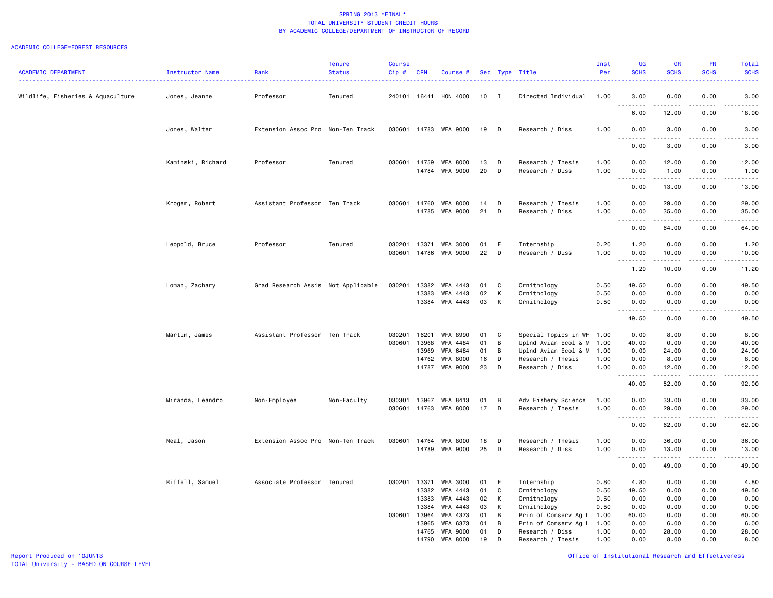|                                   |                   |                                    | Tenure        | Course           |                         |                                    |                |             |                                           | Inst                 | <b>UG</b>                                     | GR                                                                                                                                                                                                                                                                                                                                           | PR                             | Total                                                                                                                                                         |
|-----------------------------------|-------------------|------------------------------------|---------------|------------------|-------------------------|------------------------------------|----------------|-------------|-------------------------------------------|----------------------|-----------------------------------------------|----------------------------------------------------------------------------------------------------------------------------------------------------------------------------------------------------------------------------------------------------------------------------------------------------------------------------------------------|--------------------------------|---------------------------------------------------------------------------------------------------------------------------------------------------------------|
| <b>ACADEMIC DEPARTMENT</b>        | Instructor Name   | Rank                               | <b>Status</b> | $Cip$ #          | <b>CRN</b>              | Course #                           |                |             | Sec Type Title                            | Per                  | <b>SCHS</b>                                   | <b>SCHS</b>                                                                                                                                                                                                                                                                                                                                  | <b>SCHS</b>                    | <b>SCHS</b><br><u>.</u>                                                                                                                                       |
| Wildlife, Fisheries & Aquaculture | Jones, Jeanne     | Professor                          | Tenured       |                  | 240101 16441            | HON 4000                           | 10 I           |             | Directed Individual                       | 1.00                 | 3.00<br>.                                     | 0.00                                                                                                                                                                                                                                                                                                                                         | 0.00<br>- - - -                | 3.00<br>.                                                                                                                                                     |
|                                   |                   |                                    |               |                  |                         |                                    |                |             |                                           |                      | 6.00                                          | 12.00                                                                                                                                                                                                                                                                                                                                        | 0.00                           | 18.00                                                                                                                                                         |
|                                   | Jones, Walter     | Extension Assoc Pro Non-Ten Track  |               | 030601           |                         | 14783 WFA 9000                     | 19             | D           | Research / Diss                           | 1.00                 | 0.00<br>$\sim$ $\sim$<br>$\sim$ $\sim$ $\sim$ | 3.00                                                                                                                                                                                                                                                                                                                                         | 0.00                           | 3.00<br>.                                                                                                                                                     |
|                                   |                   |                                    |               |                  |                         |                                    |                |             |                                           |                      | 0.00                                          | 3.00                                                                                                                                                                                                                                                                                                                                         | 0.00                           | 3.00                                                                                                                                                          |
|                                   | Kaminski, Richard | Professor                          | Tenured       |                  | 030601 14759<br>14784   | <b>WFA 8000</b><br><b>WFA 9000</b> | 13<br>20       | D<br>D      | Research / Thesis<br>Research / Diss      | 1.00<br>1.00         | 0.00<br>0.00                                  | 12.00<br>1.00                                                                                                                                                                                                                                                                                                                                | 0.00<br>0.00                   | 12.00<br>1.00                                                                                                                                                 |
|                                   |                   |                                    |               |                  |                         |                                    |                |             |                                           |                      | 0.00                                          | .<br>13.00                                                                                                                                                                                                                                                                                                                                   | .<br>0.00                      | .<br>13.00                                                                                                                                                    |
|                                   | Kroger, Robert    | Assistant Professor Ten Track      |               | 030601           | 14760<br>14785          | <b>WFA 8000</b><br><b>WFA 9000</b> | 14<br>21       | D<br>D      | Research / Thesis<br>Research / Diss      | 1.00<br>1.00         | 0.00<br>0.00                                  | 29.00<br>35.00                                                                                                                                                                                                                                                                                                                               | 0.00<br>0.00                   | 29.00<br>35.00                                                                                                                                                |
|                                   |                   |                                    |               |                  |                         |                                    |                |             |                                           |                      | .<br>$\sim$ $\sim$ $\sim$<br>0.00             | المتمامين<br>64.00                                                                                                                                                                                                                                                                                                                           | .<br>0.00                      | .<br>64.00                                                                                                                                                    |
|                                   | Leopold, Bruce    | Professor                          | Tenured       | 030201<br>030601 | 13371<br>14786          | WFA 3000<br><b>WFA 9000</b>        | 01<br>22       | E<br>D      | Internship<br>Research / Diss             | 0.20<br>1.00         | 1.20<br>0.00                                  | 0.00<br>10.00                                                                                                                                                                                                                                                                                                                                | 0.00<br>0.00                   | 1.20<br>10.00                                                                                                                                                 |
|                                   |                   |                                    |               |                  |                         |                                    |                |             |                                           |                      | . <b>.</b><br>1.20                            | 10.00                                                                                                                                                                                                                                                                                                                                        | 0.00                           | د د د د د<br>11.20                                                                                                                                            |
|                                   | Loman, Zachary    | Grad Research Assis Not Applicable |               | 030201           | 13382<br>13383<br>13384 | WFA 4443<br>WFA 4443<br>WFA 4443   | 01<br>02<br>03 | C<br>К<br>К | Ornithology<br>Ornithology<br>Ornithology | 0.50<br>0.50<br>0.50 | 49.50<br>0.00<br>0.00                         | 0.00<br>0.00<br>0.00                                                                                                                                                                                                                                                                                                                         | 0.00<br>0.00<br>0.00           | 49.50<br>0.00<br>0.00                                                                                                                                         |
|                                   |                   |                                    |               |                  |                         |                                    |                |             |                                           |                      | 49.50                                         | $\frac{1}{2} \left( \begin{array}{ccc} 1 & 0 & 0 & 0 \\ 0 & 0 & 0 & 0 \\ 0 & 0 & 0 & 0 \\ 0 & 0 & 0 & 0 \\ 0 & 0 & 0 & 0 \\ 0 & 0 & 0 & 0 \\ 0 & 0 & 0 & 0 \\ 0 & 0 & 0 & 0 \\ 0 & 0 & 0 & 0 \\ 0 & 0 & 0 & 0 \\ 0 & 0 & 0 & 0 & 0 \\ 0 & 0 & 0 & 0 & 0 \\ 0 & 0 & 0 & 0 & 0 \\ 0 & 0 & 0 & 0 & 0 \\ 0 & 0 & 0 & 0 & 0 \\ 0 & 0 & 0$<br>0.00 | .<br>0.00                      | $\frac{1}{2} \left( \frac{1}{2} \right) \left( \frac{1}{2} \right) \left( \frac{1}{2} \right) \left( \frac{1}{2} \right) \left( \frac{1}{2} \right)$<br>49.50 |
|                                   | Martin, James     | Assistant Professor Ten Track      |               | 030201           | 16201                   | <b>WFA 8990</b>                    | 01             | C           | Special Topics in WF 1.00                 |                      | 0.00                                          | 8.00                                                                                                                                                                                                                                                                                                                                         | 0.00                           | 8.00                                                                                                                                                          |
|                                   |                   |                                    |               | 030601           | 13968                   | WFA 4484                           | 01             | B           | Uplnd Avian Ecol & M                      | 1.00                 | 40.00                                         | 0.00                                                                                                                                                                                                                                                                                                                                         | 0.00                           | 40.00                                                                                                                                                         |
|                                   |                   |                                    |               |                  | 13969                   | WFA 6484                           | 01             | B           | Uplnd Avian Ecol & M 1.00                 |                      | 0.00                                          | 24.00                                                                                                                                                                                                                                                                                                                                        | 0.00                           | 24.00                                                                                                                                                         |
|                                   |                   |                                    |               |                  | 14762                   | <b>WFA 8000</b>                    | 16             | D           | Research / Thesis                         | 1.00                 | 0.00                                          | 8.00                                                                                                                                                                                                                                                                                                                                         | 0.00                           | 8.00                                                                                                                                                          |
|                                   |                   |                                    |               |                  | 14787                   | <b>WFA 9000</b>                    | 23             | D           | Research / Diss                           | 1.00                 | 0.00<br>. <b>.</b>                            | 12.00<br>$\frac{1}{2}$                                                                                                                                                                                                                                                                                                                       | 0.00<br>$\omega$ is a $\omega$ | 12.00<br>$\sim$ $\sim$ $\sim$ $\sim$ $\sim$                                                                                                                   |
|                                   |                   |                                    |               |                  |                         |                                    |                |             |                                           |                      | 40.00                                         | 52.00                                                                                                                                                                                                                                                                                                                                        | 0.00                           | 92.00                                                                                                                                                         |
|                                   | Miranda, Leandro  | Non-Employee                       | Non-Faculty   | 030301           | 13967                   | WFA 8413                           | 01             | B           | Adv Fishery Science                       | 1.00                 | 0.00                                          | 33.00                                                                                                                                                                                                                                                                                                                                        | 0.00                           | 33.00                                                                                                                                                         |
|                                   |                   |                                    |               |                  |                         | 030601 14763 WFA 8000              | 17             | D           | Research / Thesis                         | 1.00                 | 0.00                                          | 29.00<br>.                                                                                                                                                                                                                                                                                                                                   | 0.00<br>-----                  | 29.00<br>.                                                                                                                                                    |
|                                   |                   |                                    |               |                  |                         |                                    |                |             |                                           |                      | 0.00                                          | 62.00                                                                                                                                                                                                                                                                                                                                        | 0.00                           | 62.00                                                                                                                                                         |
|                                   | Neal, Jason       | Extension Assoc Pro Non-Ten Track  |               | 030601           | 14764                   | WFA 8000                           | 18             | D           | Research / Thesis                         | 1.00                 | 0.00                                          | 36.00                                                                                                                                                                                                                                                                                                                                        | 0.00                           | 36.00                                                                                                                                                         |
|                                   |                   |                                    |               |                  |                         | 14789 WFA 9000                     | 25             | D           | Research / Diss                           | 1.00                 | 0.00                                          | 13.00<br>.                                                                                                                                                                                                                                                                                                                                   | 0.00<br>.                      | 13.00<br>.                                                                                                                                                    |
|                                   |                   |                                    |               |                  |                         |                                    |                |             |                                           |                      | 0.00                                          | 49.00                                                                                                                                                                                                                                                                                                                                        | 0.00                           | 49.00                                                                                                                                                         |
|                                   | Riffell, Samuel   | Associate Professor Tenured        |               |                  | 030201 13371            | <b>WFA 3000</b>                    | 01             | E           | Internship                                | 0.80                 | 4.80                                          | 0.00                                                                                                                                                                                                                                                                                                                                         | 0.00                           | 4.80                                                                                                                                                          |
|                                   |                   |                                    |               |                  | 13382                   | WFA 4443                           | 01             | C           | Ornithology                               | 0.50                 | 49.50                                         | 0.00                                                                                                                                                                                                                                                                                                                                         | 0.00                           | 49.50                                                                                                                                                         |
|                                   |                   |                                    |               |                  | 13383                   | WFA 4443                           | 02             | К           | Ornithology                               | 0.50                 | 0.00                                          | 0.00                                                                                                                                                                                                                                                                                                                                         | 0.00                           | 0.00                                                                                                                                                          |
|                                   |                   |                                    |               |                  | 13384                   | WFA 4443                           | 03             | К           | Ornithology                               | 0.50                 | 0.00                                          | 0.00                                                                                                                                                                                                                                                                                                                                         | 0.00                           | 0.00                                                                                                                                                          |
|                                   |                   |                                    |               |                  | 030601 13964            | WFA 4373                           | 01             | B           | Prin of Conserv Ag L 1.00                 |                      | 60.00                                         | 0.00                                                                                                                                                                                                                                                                                                                                         | 0.00                           | 60.00                                                                                                                                                         |
|                                   |                   |                                    |               |                  | 13965                   | WFA 6373                           | 01             | B           | Prin of Conserv Ag L 1.00                 |                      | 0.00                                          | 6.00                                                                                                                                                                                                                                                                                                                                         | 0.00                           | 6.00                                                                                                                                                          |
|                                   |                   |                                    |               |                  | 14790                   | 14765 WFA 9000<br>WFA 8000         | 01<br>19       | D<br>D      | Research / Diss<br>Research / Thesis      | 1.00<br>1.00         | 0.00<br>0.00                                  | 28.00<br>8.00                                                                                                                                                                                                                                                                                                                                | 0.00<br>0.00                   | 28.00<br>8.00                                                                                                                                                 |
|                                   |                   |                                    |               |                  |                         |                                    |                |             |                                           |                      |                                               |                                                                                                                                                                                                                                                                                                                                              |                                |                                                                                                                                                               |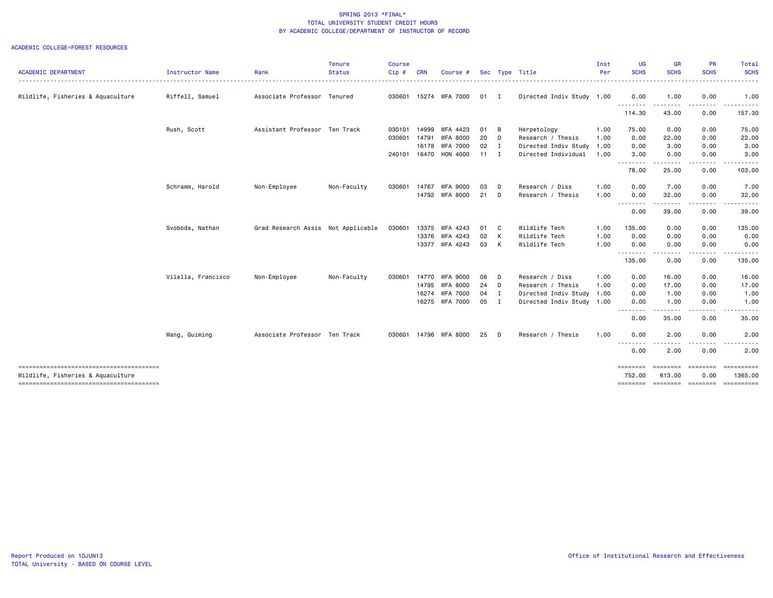| <b>ACADEMIC DEPARTMENT</b>             | Instructor Name    | Rank                               | <b>Tenure</b><br><b>Status</b> | <b>Course</b><br>Cip# | <b>CRN</b> | Course #        |              |              | Sec Type Title            | Inst<br>Per | UG<br><b>SCHS</b>       | GR<br><b>SCHS</b>                                                                                                                                    | PR<br><b>SCHS</b> | <b>Total</b><br><b>SCHS</b> |
|----------------------------------------|--------------------|------------------------------------|--------------------------------|-----------------------|------------|-----------------|--------------|--------------|---------------------------|-------------|-------------------------|------------------------------------------------------------------------------------------------------------------------------------------------------|-------------------|-----------------------------|
|                                        |                    |                                    |                                |                       |            |                 |              |              |                           |             | . <u>.</u> .            | $\frac{1}{2} \left( \frac{1}{2} \right) \left( \frac{1}{2} \right) \left( \frac{1}{2} \right) \left( \frac{1}{2} \right) \left( \frac{1}{2} \right)$ |                   | .                           |
| Wildlife, Fisheries & Aquaculture      | Riffell, Samuel    | Associate Professor Tenured        |                                | 030601                |            | 15274 WFA 7000  | 01 I         |              | Directed Indiv Study 1.00 |             | 0.00                    | 1.00                                                                                                                                                 | 0.00              | 1.00                        |
|                                        |                    |                                    |                                |                       |            |                 |              |              |                           |             | 114.30                  | 43.00                                                                                                                                                | 0.00              | 157.30                      |
|                                        | Rush, Scott        | Assistant Professor Ten Track      |                                | 030101                | 14999      | WFA 4423        | 01           | - B          | Herpetology               | 1.00        | 75.00                   | 0.00                                                                                                                                                 | 0.00              | 75.00                       |
|                                        |                    |                                    |                                | 030601                | 14791      | <b>WFA 8000</b> | 20           | D            | Research / Thesis         | 1.00        | 0.00                    | 22.00                                                                                                                                                | 0.00              | 22.00                       |
|                                        |                    |                                    |                                |                       | 16178      | <b>WFA 7000</b> | 02           | $\mathbf{I}$ | Directed Indiv Study      | 1.00        | 0.00                    | 3.00                                                                                                                                                 | 0.00              | 3.00                        |
|                                        |                    |                                    |                                | 240101                | 16470      | <b>HON 4000</b> | $11 \quad I$ |              | Directed Individual       | 1.00        | 3.00                    | 0.00<br>$\frac{1}{2}$                                                                                                                                | 0.00<br>$\cdots$  | 3.00                        |
|                                        |                    |                                    |                                |                       |            |                 |              |              |                           |             | 78.00                   | 25.00                                                                                                                                                | 0.00              | 103.00                      |
|                                        | Schramm, Harold    | Non-Employee                       | Non-Faculty                    | 030601                | 14767      | WFA 9000        | 03           | D            | Research / Diss           | 1.00        | 0.00                    | 7.00                                                                                                                                                 | 0.00              | 7.00                        |
|                                        |                    |                                    |                                |                       |            | 14792 WFA 8000  | $21$ D       |              | Research / Thesis         | 1.00        | 0.00                    | 32.00<br>- - -                                                                                                                                       | 0.00              | 32.00                       |
|                                        |                    |                                    |                                |                       |            |                 |              |              |                           |             | .<br>0.00               | 39.00                                                                                                                                                | 0.00              | 39.00                       |
|                                        | Svoboda, Nathan    | Grad Research Assis Not Applicable |                                | 030601                | 13375      | WFA 4243        | 01           | $\mathbf{C}$ | Wildlife Tech             | 1.00        | 135.00                  | 0.00                                                                                                                                                 | 0.00              | 135.00                      |
|                                        |                    |                                    |                                |                       | 13376      | WFA 4243        | 02           | K            | Wildlife Tech             | 1.00        | 0.00                    | 0.00                                                                                                                                                 | 0.00              | 0.00                        |
|                                        |                    |                                    |                                |                       |            | 13377 WFA 4243  | 03           | K            | Wildlife Tech             | 1.00        | 0.00<br>- - - - - - - - | 0.00<br>$\frac{1}{2}$                                                                                                                                | 0.00<br>.         | 0.00                        |
|                                        |                    |                                    |                                |                       |            |                 |              |              |                           |             | 135.00                  | 0.00                                                                                                                                                 | 0.00              | 135.00                      |
|                                        | Vilella, Francisco | Non-Employee                       | Non-Faculty                    | 030601                | 14770      | WFA 9000        | 06           | D            | Research / Diss           | 1.00        | 0.00                    | 16.00                                                                                                                                                | 0.00              | 16.00                       |
|                                        |                    |                                    |                                |                       | 14795      | WFA 8000        | 24 D         |              | Research / Thesis         | 1.00        | 0.00                    | 17.00                                                                                                                                                | 0.00              | 17.00                       |
|                                        |                    |                                    |                                |                       | 16274      | <b>WFA 7000</b> | 04           | $\mathbf{I}$ | Directed Indiv Study      | 1.00        | 0.00                    | 1.00                                                                                                                                                 | 0.00              | 1.00                        |
|                                        |                    |                                    |                                |                       |            | 16275 WFA 7000  | 05           | I.           | Directed Indiv Study 1.00 |             | 0.00<br>.               | 1.00                                                                                                                                                 | 0.00<br>.         | 1.00                        |
|                                        |                    |                                    |                                |                       |            |                 |              |              |                           |             | 0.00                    | 35.00                                                                                                                                                | 0.00              | 35.00                       |
|                                        | Wang, Guiming      | Associate Professor Ten Track      |                                | 030601                |            | 14796 WFA 8000  | 25           | D            | Research / Thesis         | 1.00        | 0.00                    | 2.00                                                                                                                                                 | 0.00              | 2.00                        |
|                                        |                    |                                    |                                |                       |            |                 |              |              |                           |             | .<br>0.00               | 2.00                                                                                                                                                 | 0.00              | 2.00                        |
|                                        |                    |                                    |                                |                       |            |                 |              |              |                           |             | ========                | ========                                                                                                                                             | ========          | ==========                  |
| Wildlife, Fisheries & Aquaculture      |                    |                                    |                                |                       |            |                 |              |              |                           |             | 752.00                  | 613.00                                                                                                                                               | 0.00              | 1365.00                     |
| -------------------------------------- |                    |                                    |                                |                       |            |                 |              |              |                           |             | ========                |                                                                                                                                                      | ================= | ==========                  |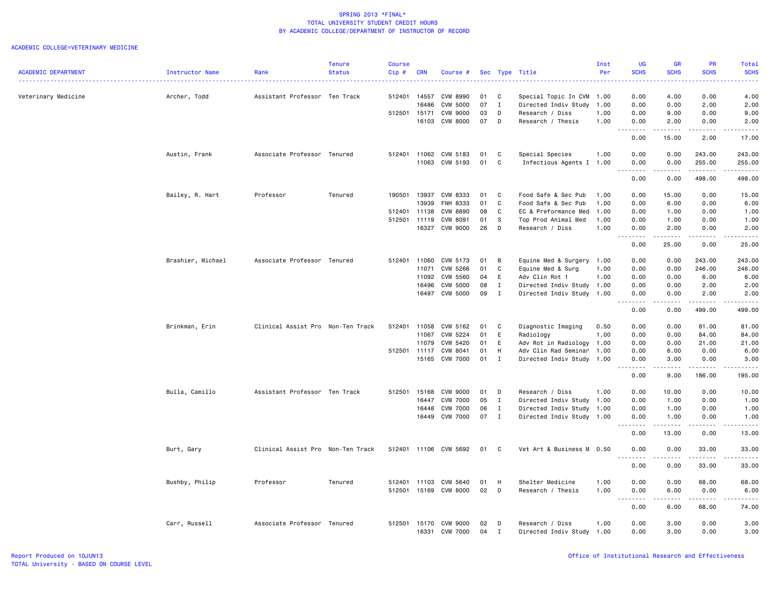| <b>SCHS</b><br><b>SCHS</b><br><b>ACADEMIC DEPARTMENT</b><br><b>Status</b><br>Cip#<br><b>CRN</b><br>Per<br><b>SCHS</b><br><b>SCHS</b><br><b>Instructor Name</b><br>Rank<br>Course #<br>Sec Type Title<br>4.00<br>0.00<br>4.00<br>Veterinary Medicine<br>512401<br>14557<br>CVM 8990<br>01<br>C<br>0.00<br>Archer, Todd<br>Assistant Professor Ten Track<br>Special Topic In CVM<br>1.00<br>07<br>16486<br><b>CVM 5000</b><br>$\mathbf{I}$<br>Directed Indiv Study<br>0.00<br>0.00<br>2.00<br>2.00<br>1.00<br>512501<br><b>CVM 9000</b><br>03<br>D<br>1.00<br>0.00<br>9.00<br>0.00<br>9.00<br>15171<br>Research / Diss<br>07<br>16103<br>CVM 8000<br>D<br>Research / Thesis<br>1.00<br>0.00<br>2.00<br>0.00<br>2.00<br>.<br>.<br>.<br>.<br>$ -$<br>0.00<br>15.00<br>2.00<br>17.00<br>Austin, Frank<br>Associate Professor Tenured<br>11062<br>CVM 5183<br>C<br>Special Species<br>1.00<br>0.00<br>0.00<br>243.00<br>243.00<br>512401<br>01<br>$\mathbb{C}$<br>11063 CVM 5193<br>01<br>Infectious Agents I 1.00<br>0.00<br>255.00<br>255.00<br>0.00<br>.<br>22222<br>.<br>$\sim$ $\sim$<br>د د د د د<br>0.00<br>0.00<br>498.00<br>498.00<br>Bailey, R. Hart<br>Professor<br>Tenured<br>190501<br>13937<br>CVM 8333<br>C<br>0.00<br>15.00<br>0.00<br>15.00<br>01<br>Food Safe & Sec Pub<br>1.00<br>C<br>13939<br>FNH 8333<br>01<br>Food Safe & Sec Pub<br>1.00<br>0.00<br>6.00<br>0.00<br>6.00<br>512401<br>11138<br><b>CVM 8890</b><br>08<br>C<br>EC & Preformance Med<br>1.00<br>0.00<br>1.00<br>0.00<br>1.00<br>512501<br>11119<br>CVM 8091<br>01<br>S<br>Top Prod Animal Med<br>1.00<br>0.00<br>1.00<br>0.00<br>1.00<br>16327<br>CVM 9000<br>26<br>D<br>2.00<br>0.00<br>2.00<br>Research / Diss<br>1.00<br>0.00<br>$\sim$ $\sim$ $\sim$<br>$- - - - -$<br>.<br>.<br>. <u>.</u> .<br>0.00<br>25.00<br>0.00<br>25.00<br>Brashier, Michael<br>Associate Professor Tenured<br>512401<br>11060<br>CVM 5173<br>01<br>B<br>Equine Med & Surgery 1.00<br>0.00<br>0.00<br>243.00<br>243.00<br>CVM 5266<br>01<br>C<br>Equine Med & Surg<br>0.00<br>0.00<br>246.00<br>246.00<br>11071<br>1.00<br><b>CVM 5560</b><br>04<br>E<br>Adv Clin Rot 1<br>1.00<br>0.00<br>0.00<br>6.00<br>6.00<br>11092<br><b>CVM 5000</b><br>08<br>$\mathbf{I}$<br>0.00<br>2.00<br>16496<br>Directed Indiv Study 1.00<br>0.00<br>2.00<br><b>CVM 5000</b><br>09<br>$\mathbf{I}$<br>Directed Indiv Study 1.00<br>2.00<br>16497<br>0.00<br>0.00<br>2.00<br>$- - -$<br>.<br>والمستحدث<br>0.00<br>0.00<br>499.00<br>499.00<br>Brinkman, Erin<br>Clinical Assist Pro Non-Ten Track<br>512401<br>11058<br>CVM 5162<br>Diagnostic Imaging<br>0.00<br>0.00<br>81.00<br>81.00<br>01<br>C<br>0.50<br>CVM 5224<br>01<br>E<br>84.00<br>11067<br>Radiology<br>1.00<br>0.00<br>0.00<br>84.00<br>E<br>Adv Rot in Radiology<br>21.00<br>11079<br>CVM 5420<br>01<br>1.00<br>0.00<br>0.00<br>21.00<br>512501<br>11117<br>CVM 8041<br>01<br>H<br>Adv Clin Rad Seminar<br>1.00<br>0.00<br>6.00<br>0.00<br>6.00<br><b>CVM 7000</b><br>01<br>$\mathbf{I}$<br>0.00<br>3.00<br>15165<br>Directed Indiv Study 1.00<br>0.00<br>3.00<br>.<br>.<br>-----<br>-----<br>$\frac{1}{2} \left( \frac{1}{2} \right)$<br>9.00<br>186.00<br>195.00<br>0.00<br>Bulla, Camillo<br>Assistant Professor Ten Track<br>512501<br>15168<br>CVM 9000<br>01<br>D<br>Research / Diss<br>1.00<br>0.00<br>10.00<br>0.00<br>10.00<br>16447<br><b>CVM 7000</b><br>05<br>$\mathbf{I}$<br>Directed Indiv Study 1.00<br>0.00<br>1.00<br>0.00<br>1.00<br><b>CVM 7000</b><br>06<br>Directed Indiv Study 1.00<br>0.00<br>0.00<br>1.00<br>16448<br>$\mathbf{I}$<br>1.00<br><b>CVM 7000</b><br>07<br>0.00<br>16449<br>$\mathbf{I}$<br>Directed Indiv Study 1.00<br>0.00<br>1.00<br>1.00<br>$\sim$ $\sim$ $\sim$<br>.<br>.<br>.<br>.<br>0.00<br>13.00<br>0.00<br>13.00<br>Burt, Gary<br>Clinical Assist Pro Non-Ten Track<br>512401<br>11106 CVM 5692<br>01<br>C<br>Vet Art & Business M 0.50<br>0.00<br>0.00<br>33.00<br>33.00<br>.<br>.<br>$\frac{1}{2}$<br>.<br>0.00<br>33.00<br>0.00<br>33.00<br>H<br>Shelter Medicine<br>Bushby, Philip<br>Professor<br>Tenured<br>512401<br>11103<br>CVM 5640<br>01<br>1.00<br>0.00<br>0.00<br>68.00<br>68.00<br>02<br>512501<br>15169<br><b>CVM 8000</b><br>D<br>Research / Thesis<br>1.00<br>0.00<br>6.00<br>0.00<br>6.00<br>-----<br>.<br>. <u>.</u> .<br>$  -$<br>.<br>0.00<br>6.00<br>68.00<br>74.00<br>Carr, Russell<br>Associate Professor Tenured<br>512501<br>15170<br>CVM 9000<br>02<br>D<br>Research / Diss<br>0.00<br>3.00<br>0.00<br>3.00<br>1.00<br>16331<br><b>CVM 7000</b><br>04<br>Directed Indiv Study<br>1.00<br>0.00<br>3.00<br>0.00<br>3.00<br>$\mathbf{r}$ |  | <b>Tenure</b> | <b>Course</b> |  |  | Inst | UG | <b>GR</b> | <b>PR</b> | Total |
|------------------------------------------------------------------------------------------------------------------------------------------------------------------------------------------------------------------------------------------------------------------------------------------------------------------------------------------------------------------------------------------------------------------------------------------------------------------------------------------------------------------------------------------------------------------------------------------------------------------------------------------------------------------------------------------------------------------------------------------------------------------------------------------------------------------------------------------------------------------------------------------------------------------------------------------------------------------------------------------------------------------------------------------------------------------------------------------------------------------------------------------------------------------------------------------------------------------------------------------------------------------------------------------------------------------------------------------------------------------------------------------------------------------------------------------------------------------------------------------------------------------------------------------------------------------------------------------------------------------------------------------------------------------------------------------------------------------------------------------------------------------------------------------------------------------------------------------------------------------------------------------------------------------------------------------------------------------------------------------------------------------------------------------------------------------------------------------------------------------------------------------------------------------------------------------------------------------------------------------------------------------------------------------------------------------------------------------------------------------------------------------------------------------------------------------------------------------------------------------------------------------------------------------------------------------------------------------------------------------------------------------------------------------------------------------------------------------------------------------------------------------------------------------------------------------------------------------------------------------------------------------------------------------------------------------------------------------------------------------------------------------------------------------------------------------------------------------------------------------------------------------------------------------------------------------------------------------------------------------------------------------------------------------------------------------------------------------------------------------------------------------------------------------------------------------------------------------------------------------------------------------------------------------------------------------------------------------------------------------------------------------------------------------------------------------------------------------------------------------------------------------------------------------------------------------------------------------------------------------------------------------------------------------------------------------------------------------------------------------------------------------------------------------------------------------------------------------------------------------------------------------------------------------------------------------------------------------------------------------------------------------------------------------------------------------------------------------------------------------------------------------------------------------------------------------------------------------------------------------------------------------------------------------------------------------------------------------------------------------------|--|---------------|---------------|--|--|------|----|-----------|-----------|-------|
|                                                                                                                                                                                                                                                                                                                                                                                                                                                                                                                                                                                                                                                                                                                                                                                                                                                                                                                                                                                                                                                                                                                                                                                                                                                                                                                                                                                                                                                                                                                                                                                                                                                                                                                                                                                                                                                                                                                                                                                                                                                                                                                                                                                                                                                                                                                                                                                                                                                                                                                                                                                                                                                                                                                                                                                                                                                                                                                                                                                                                                                                                                                                                                                                                                                                                                                                                                                                                                                                                                                                                                                                                                                                                                                                                                                                                                                                                                                                                                                                                                                                                                                                                                                                                                                                                                                                                                                                                                                                                                                                                                                                                        |  |               |               |  |  |      |    |           |           |       |
|                                                                                                                                                                                                                                                                                                                                                                                                                                                                                                                                                                                                                                                                                                                                                                                                                                                                                                                                                                                                                                                                                                                                                                                                                                                                                                                                                                                                                                                                                                                                                                                                                                                                                                                                                                                                                                                                                                                                                                                                                                                                                                                                                                                                                                                                                                                                                                                                                                                                                                                                                                                                                                                                                                                                                                                                                                                                                                                                                                                                                                                                                                                                                                                                                                                                                                                                                                                                                                                                                                                                                                                                                                                                                                                                                                                                                                                                                                                                                                                                                                                                                                                                                                                                                                                                                                                                                                                                                                                                                                                                                                                                                        |  |               |               |  |  |      |    |           |           |       |
|                                                                                                                                                                                                                                                                                                                                                                                                                                                                                                                                                                                                                                                                                                                                                                                                                                                                                                                                                                                                                                                                                                                                                                                                                                                                                                                                                                                                                                                                                                                                                                                                                                                                                                                                                                                                                                                                                                                                                                                                                                                                                                                                                                                                                                                                                                                                                                                                                                                                                                                                                                                                                                                                                                                                                                                                                                                                                                                                                                                                                                                                                                                                                                                                                                                                                                                                                                                                                                                                                                                                                                                                                                                                                                                                                                                                                                                                                                                                                                                                                                                                                                                                                                                                                                                                                                                                                                                                                                                                                                                                                                                                                        |  |               |               |  |  |      |    |           |           |       |
|                                                                                                                                                                                                                                                                                                                                                                                                                                                                                                                                                                                                                                                                                                                                                                                                                                                                                                                                                                                                                                                                                                                                                                                                                                                                                                                                                                                                                                                                                                                                                                                                                                                                                                                                                                                                                                                                                                                                                                                                                                                                                                                                                                                                                                                                                                                                                                                                                                                                                                                                                                                                                                                                                                                                                                                                                                                                                                                                                                                                                                                                                                                                                                                                                                                                                                                                                                                                                                                                                                                                                                                                                                                                                                                                                                                                                                                                                                                                                                                                                                                                                                                                                                                                                                                                                                                                                                                                                                                                                                                                                                                                                        |  |               |               |  |  |      |    |           |           |       |
|                                                                                                                                                                                                                                                                                                                                                                                                                                                                                                                                                                                                                                                                                                                                                                                                                                                                                                                                                                                                                                                                                                                                                                                                                                                                                                                                                                                                                                                                                                                                                                                                                                                                                                                                                                                                                                                                                                                                                                                                                                                                                                                                                                                                                                                                                                                                                                                                                                                                                                                                                                                                                                                                                                                                                                                                                                                                                                                                                                                                                                                                                                                                                                                                                                                                                                                                                                                                                                                                                                                                                                                                                                                                                                                                                                                                                                                                                                                                                                                                                                                                                                                                                                                                                                                                                                                                                                                                                                                                                                                                                                                                                        |  |               |               |  |  |      |    |           |           |       |
|                                                                                                                                                                                                                                                                                                                                                                                                                                                                                                                                                                                                                                                                                                                                                                                                                                                                                                                                                                                                                                                                                                                                                                                                                                                                                                                                                                                                                                                                                                                                                                                                                                                                                                                                                                                                                                                                                                                                                                                                                                                                                                                                                                                                                                                                                                                                                                                                                                                                                                                                                                                                                                                                                                                                                                                                                                                                                                                                                                                                                                                                                                                                                                                                                                                                                                                                                                                                                                                                                                                                                                                                                                                                                                                                                                                                                                                                                                                                                                                                                                                                                                                                                                                                                                                                                                                                                                                                                                                                                                                                                                                                                        |  |               |               |  |  |      |    |           |           |       |
|                                                                                                                                                                                                                                                                                                                                                                                                                                                                                                                                                                                                                                                                                                                                                                                                                                                                                                                                                                                                                                                                                                                                                                                                                                                                                                                                                                                                                                                                                                                                                                                                                                                                                                                                                                                                                                                                                                                                                                                                                                                                                                                                                                                                                                                                                                                                                                                                                                                                                                                                                                                                                                                                                                                                                                                                                                                                                                                                                                                                                                                                                                                                                                                                                                                                                                                                                                                                                                                                                                                                                                                                                                                                                                                                                                                                                                                                                                                                                                                                                                                                                                                                                                                                                                                                                                                                                                                                                                                                                                                                                                                                                        |  |               |               |  |  |      |    |           |           |       |
|                                                                                                                                                                                                                                                                                                                                                                                                                                                                                                                                                                                                                                                                                                                                                                                                                                                                                                                                                                                                                                                                                                                                                                                                                                                                                                                                                                                                                                                                                                                                                                                                                                                                                                                                                                                                                                                                                                                                                                                                                                                                                                                                                                                                                                                                                                                                                                                                                                                                                                                                                                                                                                                                                                                                                                                                                                                                                                                                                                                                                                                                                                                                                                                                                                                                                                                                                                                                                                                                                                                                                                                                                                                                                                                                                                                                                                                                                                                                                                                                                                                                                                                                                                                                                                                                                                                                                                                                                                                                                                                                                                                                                        |  |               |               |  |  |      |    |           |           |       |
|                                                                                                                                                                                                                                                                                                                                                                                                                                                                                                                                                                                                                                                                                                                                                                                                                                                                                                                                                                                                                                                                                                                                                                                                                                                                                                                                                                                                                                                                                                                                                                                                                                                                                                                                                                                                                                                                                                                                                                                                                                                                                                                                                                                                                                                                                                                                                                                                                                                                                                                                                                                                                                                                                                                                                                                                                                                                                                                                                                                                                                                                                                                                                                                                                                                                                                                                                                                                                                                                                                                                                                                                                                                                                                                                                                                                                                                                                                                                                                                                                                                                                                                                                                                                                                                                                                                                                                                                                                                                                                                                                                                                                        |  |               |               |  |  |      |    |           |           |       |
|                                                                                                                                                                                                                                                                                                                                                                                                                                                                                                                                                                                                                                                                                                                                                                                                                                                                                                                                                                                                                                                                                                                                                                                                                                                                                                                                                                                                                                                                                                                                                                                                                                                                                                                                                                                                                                                                                                                                                                                                                                                                                                                                                                                                                                                                                                                                                                                                                                                                                                                                                                                                                                                                                                                                                                                                                                                                                                                                                                                                                                                                                                                                                                                                                                                                                                                                                                                                                                                                                                                                                                                                                                                                                                                                                                                                                                                                                                                                                                                                                                                                                                                                                                                                                                                                                                                                                                                                                                                                                                                                                                                                                        |  |               |               |  |  |      |    |           |           |       |
|                                                                                                                                                                                                                                                                                                                                                                                                                                                                                                                                                                                                                                                                                                                                                                                                                                                                                                                                                                                                                                                                                                                                                                                                                                                                                                                                                                                                                                                                                                                                                                                                                                                                                                                                                                                                                                                                                                                                                                                                                                                                                                                                                                                                                                                                                                                                                                                                                                                                                                                                                                                                                                                                                                                                                                                                                                                                                                                                                                                                                                                                                                                                                                                                                                                                                                                                                                                                                                                                                                                                                                                                                                                                                                                                                                                                                                                                                                                                                                                                                                                                                                                                                                                                                                                                                                                                                                                                                                                                                                                                                                                                                        |  |               |               |  |  |      |    |           |           |       |
|                                                                                                                                                                                                                                                                                                                                                                                                                                                                                                                                                                                                                                                                                                                                                                                                                                                                                                                                                                                                                                                                                                                                                                                                                                                                                                                                                                                                                                                                                                                                                                                                                                                                                                                                                                                                                                                                                                                                                                                                                                                                                                                                                                                                                                                                                                                                                                                                                                                                                                                                                                                                                                                                                                                                                                                                                                                                                                                                                                                                                                                                                                                                                                                                                                                                                                                                                                                                                                                                                                                                                                                                                                                                                                                                                                                                                                                                                                                                                                                                                                                                                                                                                                                                                                                                                                                                                                                                                                                                                                                                                                                                                        |  |               |               |  |  |      |    |           |           |       |
|                                                                                                                                                                                                                                                                                                                                                                                                                                                                                                                                                                                                                                                                                                                                                                                                                                                                                                                                                                                                                                                                                                                                                                                                                                                                                                                                                                                                                                                                                                                                                                                                                                                                                                                                                                                                                                                                                                                                                                                                                                                                                                                                                                                                                                                                                                                                                                                                                                                                                                                                                                                                                                                                                                                                                                                                                                                                                                                                                                                                                                                                                                                                                                                                                                                                                                                                                                                                                                                                                                                                                                                                                                                                                                                                                                                                                                                                                                                                                                                                                                                                                                                                                                                                                                                                                                                                                                                                                                                                                                                                                                                                                        |  |               |               |  |  |      |    |           |           |       |
|                                                                                                                                                                                                                                                                                                                                                                                                                                                                                                                                                                                                                                                                                                                                                                                                                                                                                                                                                                                                                                                                                                                                                                                                                                                                                                                                                                                                                                                                                                                                                                                                                                                                                                                                                                                                                                                                                                                                                                                                                                                                                                                                                                                                                                                                                                                                                                                                                                                                                                                                                                                                                                                                                                                                                                                                                                                                                                                                                                                                                                                                                                                                                                                                                                                                                                                                                                                                                                                                                                                                                                                                                                                                                                                                                                                                                                                                                                                                                                                                                                                                                                                                                                                                                                                                                                                                                                                                                                                                                                                                                                                                                        |  |               |               |  |  |      |    |           |           |       |
|                                                                                                                                                                                                                                                                                                                                                                                                                                                                                                                                                                                                                                                                                                                                                                                                                                                                                                                                                                                                                                                                                                                                                                                                                                                                                                                                                                                                                                                                                                                                                                                                                                                                                                                                                                                                                                                                                                                                                                                                                                                                                                                                                                                                                                                                                                                                                                                                                                                                                                                                                                                                                                                                                                                                                                                                                                                                                                                                                                                                                                                                                                                                                                                                                                                                                                                                                                                                                                                                                                                                                                                                                                                                                                                                                                                                                                                                                                                                                                                                                                                                                                                                                                                                                                                                                                                                                                                                                                                                                                                                                                                                                        |  |               |               |  |  |      |    |           |           |       |
|                                                                                                                                                                                                                                                                                                                                                                                                                                                                                                                                                                                                                                                                                                                                                                                                                                                                                                                                                                                                                                                                                                                                                                                                                                                                                                                                                                                                                                                                                                                                                                                                                                                                                                                                                                                                                                                                                                                                                                                                                                                                                                                                                                                                                                                                                                                                                                                                                                                                                                                                                                                                                                                                                                                                                                                                                                                                                                                                                                                                                                                                                                                                                                                                                                                                                                                                                                                                                                                                                                                                                                                                                                                                                                                                                                                                                                                                                                                                                                                                                                                                                                                                                                                                                                                                                                                                                                                                                                                                                                                                                                                                                        |  |               |               |  |  |      |    |           |           |       |
|                                                                                                                                                                                                                                                                                                                                                                                                                                                                                                                                                                                                                                                                                                                                                                                                                                                                                                                                                                                                                                                                                                                                                                                                                                                                                                                                                                                                                                                                                                                                                                                                                                                                                                                                                                                                                                                                                                                                                                                                                                                                                                                                                                                                                                                                                                                                                                                                                                                                                                                                                                                                                                                                                                                                                                                                                                                                                                                                                                                                                                                                                                                                                                                                                                                                                                                                                                                                                                                                                                                                                                                                                                                                                                                                                                                                                                                                                                                                                                                                                                                                                                                                                                                                                                                                                                                                                                                                                                                                                                                                                                                                                        |  |               |               |  |  |      |    |           |           |       |
|                                                                                                                                                                                                                                                                                                                                                                                                                                                                                                                                                                                                                                                                                                                                                                                                                                                                                                                                                                                                                                                                                                                                                                                                                                                                                                                                                                                                                                                                                                                                                                                                                                                                                                                                                                                                                                                                                                                                                                                                                                                                                                                                                                                                                                                                                                                                                                                                                                                                                                                                                                                                                                                                                                                                                                                                                                                                                                                                                                                                                                                                                                                                                                                                                                                                                                                                                                                                                                                                                                                                                                                                                                                                                                                                                                                                                                                                                                                                                                                                                                                                                                                                                                                                                                                                                                                                                                                                                                                                                                                                                                                                                        |  |               |               |  |  |      |    |           |           |       |
|                                                                                                                                                                                                                                                                                                                                                                                                                                                                                                                                                                                                                                                                                                                                                                                                                                                                                                                                                                                                                                                                                                                                                                                                                                                                                                                                                                                                                                                                                                                                                                                                                                                                                                                                                                                                                                                                                                                                                                                                                                                                                                                                                                                                                                                                                                                                                                                                                                                                                                                                                                                                                                                                                                                                                                                                                                                                                                                                                                                                                                                                                                                                                                                                                                                                                                                                                                                                                                                                                                                                                                                                                                                                                                                                                                                                                                                                                                                                                                                                                                                                                                                                                                                                                                                                                                                                                                                                                                                                                                                                                                                                                        |  |               |               |  |  |      |    |           |           |       |
|                                                                                                                                                                                                                                                                                                                                                                                                                                                                                                                                                                                                                                                                                                                                                                                                                                                                                                                                                                                                                                                                                                                                                                                                                                                                                                                                                                                                                                                                                                                                                                                                                                                                                                                                                                                                                                                                                                                                                                                                                                                                                                                                                                                                                                                                                                                                                                                                                                                                                                                                                                                                                                                                                                                                                                                                                                                                                                                                                                                                                                                                                                                                                                                                                                                                                                                                                                                                                                                                                                                                                                                                                                                                                                                                                                                                                                                                                                                                                                                                                                                                                                                                                                                                                                                                                                                                                                                                                                                                                                                                                                                                                        |  |               |               |  |  |      |    |           |           |       |
|                                                                                                                                                                                                                                                                                                                                                                                                                                                                                                                                                                                                                                                                                                                                                                                                                                                                                                                                                                                                                                                                                                                                                                                                                                                                                                                                                                                                                                                                                                                                                                                                                                                                                                                                                                                                                                                                                                                                                                                                                                                                                                                                                                                                                                                                                                                                                                                                                                                                                                                                                                                                                                                                                                                                                                                                                                                                                                                                                                                                                                                                                                                                                                                                                                                                                                                                                                                                                                                                                                                                                                                                                                                                                                                                                                                                                                                                                                                                                                                                                                                                                                                                                                                                                                                                                                                                                                                                                                                                                                                                                                                                                        |  |               |               |  |  |      |    |           |           |       |
|                                                                                                                                                                                                                                                                                                                                                                                                                                                                                                                                                                                                                                                                                                                                                                                                                                                                                                                                                                                                                                                                                                                                                                                                                                                                                                                                                                                                                                                                                                                                                                                                                                                                                                                                                                                                                                                                                                                                                                                                                                                                                                                                                                                                                                                                                                                                                                                                                                                                                                                                                                                                                                                                                                                                                                                                                                                                                                                                                                                                                                                                                                                                                                                                                                                                                                                                                                                                                                                                                                                                                                                                                                                                                                                                                                                                                                                                                                                                                                                                                                                                                                                                                                                                                                                                                                                                                                                                                                                                                                                                                                                                                        |  |               |               |  |  |      |    |           |           |       |
|                                                                                                                                                                                                                                                                                                                                                                                                                                                                                                                                                                                                                                                                                                                                                                                                                                                                                                                                                                                                                                                                                                                                                                                                                                                                                                                                                                                                                                                                                                                                                                                                                                                                                                                                                                                                                                                                                                                                                                                                                                                                                                                                                                                                                                                                                                                                                                                                                                                                                                                                                                                                                                                                                                                                                                                                                                                                                                                                                                                                                                                                                                                                                                                                                                                                                                                                                                                                                                                                                                                                                                                                                                                                                                                                                                                                                                                                                                                                                                                                                                                                                                                                                                                                                                                                                                                                                                                                                                                                                                                                                                                                                        |  |               |               |  |  |      |    |           |           |       |
|                                                                                                                                                                                                                                                                                                                                                                                                                                                                                                                                                                                                                                                                                                                                                                                                                                                                                                                                                                                                                                                                                                                                                                                                                                                                                                                                                                                                                                                                                                                                                                                                                                                                                                                                                                                                                                                                                                                                                                                                                                                                                                                                                                                                                                                                                                                                                                                                                                                                                                                                                                                                                                                                                                                                                                                                                                                                                                                                                                                                                                                                                                                                                                                                                                                                                                                                                                                                                                                                                                                                                                                                                                                                                                                                                                                                                                                                                                                                                                                                                                                                                                                                                                                                                                                                                                                                                                                                                                                                                                                                                                                                                        |  |               |               |  |  |      |    |           |           |       |
|                                                                                                                                                                                                                                                                                                                                                                                                                                                                                                                                                                                                                                                                                                                                                                                                                                                                                                                                                                                                                                                                                                                                                                                                                                                                                                                                                                                                                                                                                                                                                                                                                                                                                                                                                                                                                                                                                                                                                                                                                                                                                                                                                                                                                                                                                                                                                                                                                                                                                                                                                                                                                                                                                                                                                                                                                                                                                                                                                                                                                                                                                                                                                                                                                                                                                                                                                                                                                                                                                                                                                                                                                                                                                                                                                                                                                                                                                                                                                                                                                                                                                                                                                                                                                                                                                                                                                                                                                                                                                                                                                                                                                        |  |               |               |  |  |      |    |           |           |       |
|                                                                                                                                                                                                                                                                                                                                                                                                                                                                                                                                                                                                                                                                                                                                                                                                                                                                                                                                                                                                                                                                                                                                                                                                                                                                                                                                                                                                                                                                                                                                                                                                                                                                                                                                                                                                                                                                                                                                                                                                                                                                                                                                                                                                                                                                                                                                                                                                                                                                                                                                                                                                                                                                                                                                                                                                                                                                                                                                                                                                                                                                                                                                                                                                                                                                                                                                                                                                                                                                                                                                                                                                                                                                                                                                                                                                                                                                                                                                                                                                                                                                                                                                                                                                                                                                                                                                                                                                                                                                                                                                                                                                                        |  |               |               |  |  |      |    |           |           |       |
|                                                                                                                                                                                                                                                                                                                                                                                                                                                                                                                                                                                                                                                                                                                                                                                                                                                                                                                                                                                                                                                                                                                                                                                                                                                                                                                                                                                                                                                                                                                                                                                                                                                                                                                                                                                                                                                                                                                                                                                                                                                                                                                                                                                                                                                                                                                                                                                                                                                                                                                                                                                                                                                                                                                                                                                                                                                                                                                                                                                                                                                                                                                                                                                                                                                                                                                                                                                                                                                                                                                                                                                                                                                                                                                                                                                                                                                                                                                                                                                                                                                                                                                                                                                                                                                                                                                                                                                                                                                                                                                                                                                                                        |  |               |               |  |  |      |    |           |           |       |
|                                                                                                                                                                                                                                                                                                                                                                                                                                                                                                                                                                                                                                                                                                                                                                                                                                                                                                                                                                                                                                                                                                                                                                                                                                                                                                                                                                                                                                                                                                                                                                                                                                                                                                                                                                                                                                                                                                                                                                                                                                                                                                                                                                                                                                                                                                                                                                                                                                                                                                                                                                                                                                                                                                                                                                                                                                                                                                                                                                                                                                                                                                                                                                                                                                                                                                                                                                                                                                                                                                                                                                                                                                                                                                                                                                                                                                                                                                                                                                                                                                                                                                                                                                                                                                                                                                                                                                                                                                                                                                                                                                                                                        |  |               |               |  |  |      |    |           |           |       |
|                                                                                                                                                                                                                                                                                                                                                                                                                                                                                                                                                                                                                                                                                                                                                                                                                                                                                                                                                                                                                                                                                                                                                                                                                                                                                                                                                                                                                                                                                                                                                                                                                                                                                                                                                                                                                                                                                                                                                                                                                                                                                                                                                                                                                                                                                                                                                                                                                                                                                                                                                                                                                                                                                                                                                                                                                                                                                                                                                                                                                                                                                                                                                                                                                                                                                                                                                                                                                                                                                                                                                                                                                                                                                                                                                                                                                                                                                                                                                                                                                                                                                                                                                                                                                                                                                                                                                                                                                                                                                                                                                                                                                        |  |               |               |  |  |      |    |           |           |       |
|                                                                                                                                                                                                                                                                                                                                                                                                                                                                                                                                                                                                                                                                                                                                                                                                                                                                                                                                                                                                                                                                                                                                                                                                                                                                                                                                                                                                                                                                                                                                                                                                                                                                                                                                                                                                                                                                                                                                                                                                                                                                                                                                                                                                                                                                                                                                                                                                                                                                                                                                                                                                                                                                                                                                                                                                                                                                                                                                                                                                                                                                                                                                                                                                                                                                                                                                                                                                                                                                                                                                                                                                                                                                                                                                                                                                                                                                                                                                                                                                                                                                                                                                                                                                                                                                                                                                                                                                                                                                                                                                                                                                                        |  |               |               |  |  |      |    |           |           |       |
|                                                                                                                                                                                                                                                                                                                                                                                                                                                                                                                                                                                                                                                                                                                                                                                                                                                                                                                                                                                                                                                                                                                                                                                                                                                                                                                                                                                                                                                                                                                                                                                                                                                                                                                                                                                                                                                                                                                                                                                                                                                                                                                                                                                                                                                                                                                                                                                                                                                                                                                                                                                                                                                                                                                                                                                                                                                                                                                                                                                                                                                                                                                                                                                                                                                                                                                                                                                                                                                                                                                                                                                                                                                                                                                                                                                                                                                                                                                                                                                                                                                                                                                                                                                                                                                                                                                                                                                                                                                                                                                                                                                                                        |  |               |               |  |  |      |    |           |           |       |
|                                                                                                                                                                                                                                                                                                                                                                                                                                                                                                                                                                                                                                                                                                                                                                                                                                                                                                                                                                                                                                                                                                                                                                                                                                                                                                                                                                                                                                                                                                                                                                                                                                                                                                                                                                                                                                                                                                                                                                                                                                                                                                                                                                                                                                                                                                                                                                                                                                                                                                                                                                                                                                                                                                                                                                                                                                                                                                                                                                                                                                                                                                                                                                                                                                                                                                                                                                                                                                                                                                                                                                                                                                                                                                                                                                                                                                                                                                                                                                                                                                                                                                                                                                                                                                                                                                                                                                                                                                                                                                                                                                                                                        |  |               |               |  |  |      |    |           |           |       |
|                                                                                                                                                                                                                                                                                                                                                                                                                                                                                                                                                                                                                                                                                                                                                                                                                                                                                                                                                                                                                                                                                                                                                                                                                                                                                                                                                                                                                                                                                                                                                                                                                                                                                                                                                                                                                                                                                                                                                                                                                                                                                                                                                                                                                                                                                                                                                                                                                                                                                                                                                                                                                                                                                                                                                                                                                                                                                                                                                                                                                                                                                                                                                                                                                                                                                                                                                                                                                                                                                                                                                                                                                                                                                                                                                                                                                                                                                                                                                                                                                                                                                                                                                                                                                                                                                                                                                                                                                                                                                                                                                                                                                        |  |               |               |  |  |      |    |           |           |       |
|                                                                                                                                                                                                                                                                                                                                                                                                                                                                                                                                                                                                                                                                                                                                                                                                                                                                                                                                                                                                                                                                                                                                                                                                                                                                                                                                                                                                                                                                                                                                                                                                                                                                                                                                                                                                                                                                                                                                                                                                                                                                                                                                                                                                                                                                                                                                                                                                                                                                                                                                                                                                                                                                                                                                                                                                                                                                                                                                                                                                                                                                                                                                                                                                                                                                                                                                                                                                                                                                                                                                                                                                                                                                                                                                                                                                                                                                                                                                                                                                                                                                                                                                                                                                                                                                                                                                                                                                                                                                                                                                                                                                                        |  |               |               |  |  |      |    |           |           |       |
|                                                                                                                                                                                                                                                                                                                                                                                                                                                                                                                                                                                                                                                                                                                                                                                                                                                                                                                                                                                                                                                                                                                                                                                                                                                                                                                                                                                                                                                                                                                                                                                                                                                                                                                                                                                                                                                                                                                                                                                                                                                                                                                                                                                                                                                                                                                                                                                                                                                                                                                                                                                                                                                                                                                                                                                                                                                                                                                                                                                                                                                                                                                                                                                                                                                                                                                                                                                                                                                                                                                                                                                                                                                                                                                                                                                                                                                                                                                                                                                                                                                                                                                                                                                                                                                                                                                                                                                                                                                                                                                                                                                                                        |  |               |               |  |  |      |    |           |           |       |
|                                                                                                                                                                                                                                                                                                                                                                                                                                                                                                                                                                                                                                                                                                                                                                                                                                                                                                                                                                                                                                                                                                                                                                                                                                                                                                                                                                                                                                                                                                                                                                                                                                                                                                                                                                                                                                                                                                                                                                                                                                                                                                                                                                                                                                                                                                                                                                                                                                                                                                                                                                                                                                                                                                                                                                                                                                                                                                                                                                                                                                                                                                                                                                                                                                                                                                                                                                                                                                                                                                                                                                                                                                                                                                                                                                                                                                                                                                                                                                                                                                                                                                                                                                                                                                                                                                                                                                                                                                                                                                                                                                                                                        |  |               |               |  |  |      |    |           |           |       |
|                                                                                                                                                                                                                                                                                                                                                                                                                                                                                                                                                                                                                                                                                                                                                                                                                                                                                                                                                                                                                                                                                                                                                                                                                                                                                                                                                                                                                                                                                                                                                                                                                                                                                                                                                                                                                                                                                                                                                                                                                                                                                                                                                                                                                                                                                                                                                                                                                                                                                                                                                                                                                                                                                                                                                                                                                                                                                                                                                                                                                                                                                                                                                                                                                                                                                                                                                                                                                                                                                                                                                                                                                                                                                                                                                                                                                                                                                                                                                                                                                                                                                                                                                                                                                                                                                                                                                                                                                                                                                                                                                                                                                        |  |               |               |  |  |      |    |           |           |       |
|                                                                                                                                                                                                                                                                                                                                                                                                                                                                                                                                                                                                                                                                                                                                                                                                                                                                                                                                                                                                                                                                                                                                                                                                                                                                                                                                                                                                                                                                                                                                                                                                                                                                                                                                                                                                                                                                                                                                                                                                                                                                                                                                                                                                                                                                                                                                                                                                                                                                                                                                                                                                                                                                                                                                                                                                                                                                                                                                                                                                                                                                                                                                                                                                                                                                                                                                                                                                                                                                                                                                                                                                                                                                                                                                                                                                                                                                                                                                                                                                                                                                                                                                                                                                                                                                                                                                                                                                                                                                                                                                                                                                                        |  |               |               |  |  |      |    |           |           |       |
|                                                                                                                                                                                                                                                                                                                                                                                                                                                                                                                                                                                                                                                                                                                                                                                                                                                                                                                                                                                                                                                                                                                                                                                                                                                                                                                                                                                                                                                                                                                                                                                                                                                                                                                                                                                                                                                                                                                                                                                                                                                                                                                                                                                                                                                                                                                                                                                                                                                                                                                                                                                                                                                                                                                                                                                                                                                                                                                                                                                                                                                                                                                                                                                                                                                                                                                                                                                                                                                                                                                                                                                                                                                                                                                                                                                                                                                                                                                                                                                                                                                                                                                                                                                                                                                                                                                                                                                                                                                                                                                                                                                                                        |  |               |               |  |  |      |    |           |           |       |
|                                                                                                                                                                                                                                                                                                                                                                                                                                                                                                                                                                                                                                                                                                                                                                                                                                                                                                                                                                                                                                                                                                                                                                                                                                                                                                                                                                                                                                                                                                                                                                                                                                                                                                                                                                                                                                                                                                                                                                                                                                                                                                                                                                                                                                                                                                                                                                                                                                                                                                                                                                                                                                                                                                                                                                                                                                                                                                                                                                                                                                                                                                                                                                                                                                                                                                                                                                                                                                                                                                                                                                                                                                                                                                                                                                                                                                                                                                                                                                                                                                                                                                                                                                                                                                                                                                                                                                                                                                                                                                                                                                                                                        |  |               |               |  |  |      |    |           |           |       |
|                                                                                                                                                                                                                                                                                                                                                                                                                                                                                                                                                                                                                                                                                                                                                                                                                                                                                                                                                                                                                                                                                                                                                                                                                                                                                                                                                                                                                                                                                                                                                                                                                                                                                                                                                                                                                                                                                                                                                                                                                                                                                                                                                                                                                                                                                                                                                                                                                                                                                                                                                                                                                                                                                                                                                                                                                                                                                                                                                                                                                                                                                                                                                                                                                                                                                                                                                                                                                                                                                                                                                                                                                                                                                                                                                                                                                                                                                                                                                                                                                                                                                                                                                                                                                                                                                                                                                                                                                                                                                                                                                                                                                        |  |               |               |  |  |      |    |           |           |       |
|                                                                                                                                                                                                                                                                                                                                                                                                                                                                                                                                                                                                                                                                                                                                                                                                                                                                                                                                                                                                                                                                                                                                                                                                                                                                                                                                                                                                                                                                                                                                                                                                                                                                                                                                                                                                                                                                                                                                                                                                                                                                                                                                                                                                                                                                                                                                                                                                                                                                                                                                                                                                                                                                                                                                                                                                                                                                                                                                                                                                                                                                                                                                                                                                                                                                                                                                                                                                                                                                                                                                                                                                                                                                                                                                                                                                                                                                                                                                                                                                                                                                                                                                                                                                                                                                                                                                                                                                                                                                                                                                                                                                                        |  |               |               |  |  |      |    |           |           |       |
|                                                                                                                                                                                                                                                                                                                                                                                                                                                                                                                                                                                                                                                                                                                                                                                                                                                                                                                                                                                                                                                                                                                                                                                                                                                                                                                                                                                                                                                                                                                                                                                                                                                                                                                                                                                                                                                                                                                                                                                                                                                                                                                                                                                                                                                                                                                                                                                                                                                                                                                                                                                                                                                                                                                                                                                                                                                                                                                                                                                                                                                                                                                                                                                                                                                                                                                                                                                                                                                                                                                                                                                                                                                                                                                                                                                                                                                                                                                                                                                                                                                                                                                                                                                                                                                                                                                                                                                                                                                                                                                                                                                                                        |  |               |               |  |  |      |    |           |           |       |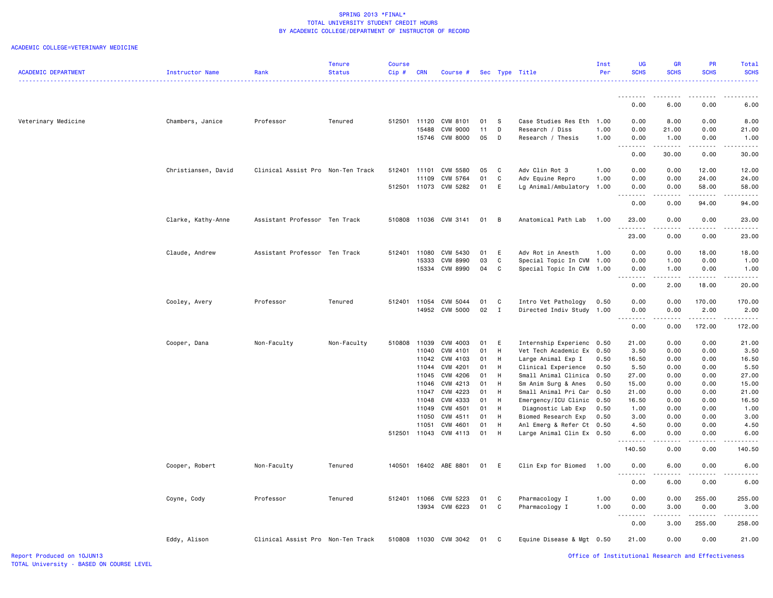### ACADEMIC COLLEGE=VETERINARY MEDICINE

|                            |                     |                                   | <b>Tenure</b> | Course       |                |                       |          |                            |                                             | Inst         | UG               | <b>GR</b><br><b>SCHS</b>                                                                                                                                     | PR<br><b>SCHS</b>                                                                                                                                             | Total<br><b>SCHS</b> |
|----------------------------|---------------------|-----------------------------------|---------------|--------------|----------------|-----------------------|----------|----------------------------|---------------------------------------------|--------------|------------------|--------------------------------------------------------------------------------------------------------------------------------------------------------------|---------------------------------------------------------------------------------------------------------------------------------------------------------------|----------------------|
| <b>ACADEMIC DEPARTMENT</b> | Instructor Name     | Rank                              | <b>Status</b> | $Cip \#$     | <b>CRN</b>     | Course #              |          |                            | Sec Type Title                              | Per          | <b>SCHS</b>      |                                                                                                                                                              |                                                                                                                                                               |                      |
|                            |                     |                                   |               |              |                |                       |          |                            |                                             |              | <u>.</u>         | .                                                                                                                                                            | .                                                                                                                                                             |                      |
|                            |                     |                                   |               |              |                |                       |          |                            |                                             |              | 0.00             | 6.00                                                                                                                                                         | 0.00                                                                                                                                                          | 6.00                 |
| Veterinary Medicine        | Chambers, Janice    | Professor                         | Tenured       | 512501 11120 |                | CVM 8101              | 01       | - S                        | Case Studies Res Eth 1.00                   |              | 0.00             | 8.00                                                                                                                                                         | 0.00                                                                                                                                                          | 8.00                 |
|                            |                     |                                   |               |              | 15488          | CVM 9000              | 11       | D                          | Research / Diss                             | 1.00         | 0.00             | 21.00                                                                                                                                                        | 0.00                                                                                                                                                          | 21.00                |
|                            |                     |                                   |               |              | 15746          | <b>CVM 8000</b>       | 05       | D                          | Research / Thesis                           | 1.00         | 0.00<br>.        | 1.00<br>$\frac{1}{2} \left( \frac{1}{2} \right) \left( \frac{1}{2} \right) \left( \frac{1}{2} \right) \left( \frac{1}{2} \right) \left( \frac{1}{2} \right)$ | 0.00<br>.                                                                                                                                                     | 1.00<br>.            |
|                            |                     |                                   |               |              |                |                       |          |                            |                                             |              | 0.00             | 30.00                                                                                                                                                        | 0.00                                                                                                                                                          | 30.00                |
|                            | Christiansen, David | Clinical Assist Pro Non-Ten Track |               | 512401       | 11101          | CVM 5580              | 05       | C                          | Adv Clin Rot 3                              | 1.00         | 0.00             | 0.00                                                                                                                                                         | 12.00                                                                                                                                                         | 12.00                |
|                            |                     |                                   |               |              | 11109          | CVM 5764              | 01       | C                          | Adv Equine Repro                            | 1.00         | 0.00             | 0.00                                                                                                                                                         | 24.00                                                                                                                                                         | 24.00                |
|                            |                     |                                   |               |              |                | 512501 11073 CVM 5282 | 01       | E                          | Lg Animal/Ambulatory                        | 1.00         | 0.00<br>.        | 0.00<br>.                                                                                                                                                    | 58.00<br>$\frac{1}{2} \left( \frac{1}{2} \right) \left( \frac{1}{2} \right) \left( \frac{1}{2} \right) \left( \frac{1}{2} \right) \left( \frac{1}{2} \right)$ | 58.00                |
|                            |                     |                                   |               |              |                |                       |          |                            |                                             |              | 0.00             | 0.00                                                                                                                                                         | 94.00                                                                                                                                                         | 94.00                |
|                            | Clarke, Kathy-Anne  | Assistant Professor Ten Track     |               | 510808       |                | 11036 CVM 3141        | 01       | $\overline{B}$             | Anatomical Path Lab                         | 1.00         | 23.00<br>.       | 0.00<br>$\sim$ $\sim$ $\sim$ $\sim$                                                                                                                          | 0.00<br>-----                                                                                                                                                 | 23.00                |
|                            |                     |                                   |               |              |                |                       |          |                            |                                             |              | 23.00            | 0.00                                                                                                                                                         | 0.00                                                                                                                                                          | 23.00                |
|                            | Claude, Andrew      | Assistant Professor Ten Track     |               | 512401       | 11080          | CVM 5430              | 01       | E                          | Adv Rot in Anesth                           | 1.00         | 0.00             | 0.00                                                                                                                                                         | 18.00                                                                                                                                                         | 18.00                |
|                            |                     |                                   |               |              | 15333          | CVM 8990              | 03       | C                          | Special Topic In CVM                        | 1.00         | 0.00             | 1.00                                                                                                                                                         | 0.00                                                                                                                                                          | 1.00                 |
|                            |                     |                                   |               |              |                | 15334 CVM 8990        | 04       | C                          | Special Topic In CVM                        | 1.00         | 0.00             | 1.00                                                                                                                                                         | 0.00                                                                                                                                                          | 1.00                 |
|                            |                     |                                   |               |              |                |                       |          |                            |                                             |              | 0.00             | 2.00                                                                                                                                                         | 18.00                                                                                                                                                         | 20.00                |
|                            | Cooley, Avery       | Professor                         | Tenured       | 512401       | 11054          | CVM 5044              | 01       | C                          | Intro Vet Pathology                         | 0.50         | 0.00             | 0.00                                                                                                                                                         | 170.00                                                                                                                                                        | 170.00               |
|                            |                     |                                   |               |              |                | 14952 CVM 5000        | 02       | $\mathbf{I}$               | Directed Indiv Study                        | 1.00         | 0.00             | 0.00                                                                                                                                                         | 2.00                                                                                                                                                          | 2.00                 |
|                            |                     |                                   |               |              |                |                       |          |                            |                                             |              | 0.00             | 0.00                                                                                                                                                         | 172.00                                                                                                                                                        | 172.00               |
|                            | Cooper, Dana        | Non-Faculty                       | Non-Faculty   | 510808       | 11039          | CVM 4003              | 01       | E                          | Internship Experienc 0.50                   |              | 21.00            | 0.00                                                                                                                                                         | 0.00                                                                                                                                                          | 21.00                |
|                            |                     |                                   |               |              | 11040          | CVM 4101              | 01       | H                          | Vet Tech Academic Ex                        | 0.50         | 3.50             | 0.00                                                                                                                                                         | 0.00                                                                                                                                                          | 3.50                 |
|                            |                     |                                   |               |              | 11042          | CVM 4103              | 01       | H                          | Large Animal Exp I                          | 0.50         | 16.50            | 0.00                                                                                                                                                         | 0.00                                                                                                                                                          | 16.50                |
|                            |                     |                                   |               |              | 11044          | CVM 4201              | 01       | H                          | Clinical Experience                         | 0.50         | 5.50             | 0.00                                                                                                                                                         | 0.00                                                                                                                                                          | 5.50                 |
|                            |                     |                                   |               |              | 11045<br>11046 | CVM 4206<br>CVM 4213  | 01<br>01 | H<br>H                     | Small Animal Clinica<br>Sm Anim Surg & Anes | 0.50<br>0.50 | 27.00<br>15.00   | 0.00<br>0.00                                                                                                                                                 | 0.00<br>0.00                                                                                                                                                  | 27.00<br>15.00       |
|                            |                     |                                   |               |              | 11047          | CVM 4223              | 01       | H                          | Small Animal Pri Car                        | 0.50         | 21.00            | 0.00                                                                                                                                                         | 0.00                                                                                                                                                          | 21.00                |
|                            |                     |                                   |               |              | 11048          | CVM 4333              | 01       | H                          | Emergency/ICU Clinic                        | 0.50         | 16.50            | 0.00                                                                                                                                                         | 0.00                                                                                                                                                          | 16.50                |
|                            |                     |                                   |               |              | 11049          | CVM 4501              | 01       | H                          | Diagnostic Lab Exp                          | 0.50         | 1.00             | 0.00                                                                                                                                                         | 0.00                                                                                                                                                          | 1.00                 |
|                            |                     |                                   |               |              | 11050          | CVM 4511              | 01       | H                          | Biomed Research Exp                         | 0.50         | 3,00             | 0.00                                                                                                                                                         | 0.00                                                                                                                                                          | 3,00                 |
|                            |                     |                                   |               |              | 11051          | CVM 4601              | 01       | H                          | Anl Emerg & Refer Ct 0.50                   |              | 4.50             | 0.00                                                                                                                                                         | 0.00                                                                                                                                                          | 4.50                 |
|                            |                     |                                   |               | 512501       |                | 11043 CVM 4113        | 01       | H                          | Large Animal Clin Ex 0.50                   |              | 6.00<br>.        | 0.00<br>.                                                                                                                                                    | 0.00<br>.                                                                                                                                                     | 6.00                 |
|                            |                     |                                   |               |              |                |                       |          |                            |                                             |              | 140.50           | 0.00                                                                                                                                                         | 0.00                                                                                                                                                          | 140.50               |
|                            | Cooper, Robert      | Non-Faculty                       | Tenured       | 140501       |                | 16402 ABE 8801        | 01       | E                          | Clin Exp for Biomed                         | 1.00         | 0.00<br>.        | 6.00                                                                                                                                                         | 0.00                                                                                                                                                          | 6.00                 |
|                            |                     |                                   |               |              |                |                       |          |                            |                                             |              | 0.00             | 6.00                                                                                                                                                         | 0.00                                                                                                                                                          | 6.00                 |
|                            | Coyne, Cody         | Professor                         | Tenured       | 512401       | 11066          | CVM 5223              | 01       | $\mathbf{C}$               | Pharmacology I                              | 1.00         | 0.00             | 0.00                                                                                                                                                         | 255.00                                                                                                                                                        | 255.00               |
|                            |                     |                                   |               |              |                | 13934 CVM 6223        | 01       | C                          | Pharmacology I                              | 1.00         | 0.00<br><u>.</u> | 3.00                                                                                                                                                         | 0.00                                                                                                                                                          | 3.00                 |
|                            |                     |                                   |               |              |                |                       |          |                            |                                             |              | 0.00             | 3.00                                                                                                                                                         | 255.00                                                                                                                                                        | 258.00               |
|                            | Eddy, Alison        | Clinical Assist Pro Non-Ten Track |               |              |                | 510808 11030 CVM 3042 | 01       | $\overline{\phantom{a}}$ C | Equine Disease & Mgt 0.50                   |              | 21.00            | 0.00                                                                                                                                                         | 0.00                                                                                                                                                          | 21.00                |

Report Produced on 10JUN13 Office of Institutional Research and Effectiveness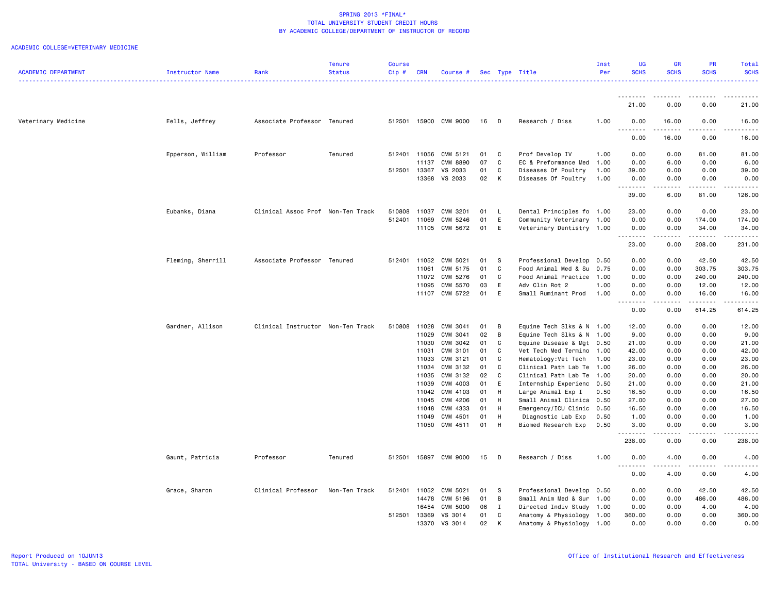|                            |                   |                                   | <b>Tenure</b> | <b>Course</b> |            |                 |    |              |                           | Inst | UG          | GR          | <b>PR</b>   | Total                                                                                                                                                |
|----------------------------|-------------------|-----------------------------------|---------------|---------------|------------|-----------------|----|--------------|---------------------------|------|-------------|-------------|-------------|------------------------------------------------------------------------------------------------------------------------------------------------------|
| <b>ACADEMIC DEPARTMENT</b> | Instructor Name   | Rank                              | <b>Status</b> | Cip#          | <b>CRN</b> | Course #        |    |              | Sec Type Title            | Per  | <b>SCHS</b> | <b>SCHS</b> | <b>SCHS</b> | <b>SCHS</b>                                                                                                                                          |
|                            |                   |                                   |               |               |            |                 |    |              |                           |      |             |             |             | .                                                                                                                                                    |
|                            |                   |                                   |               |               |            |                 |    |              |                           |      |             |             |             |                                                                                                                                                      |
|                            |                   |                                   |               |               |            |                 |    |              |                           |      | <u>.</u>    |             |             |                                                                                                                                                      |
|                            |                   |                                   |               |               |            |                 |    |              |                           |      | 21.00       | 0.00        | 0.00        | 21.00                                                                                                                                                |
|                            |                   |                                   |               |               |            |                 |    |              |                           |      |             |             |             |                                                                                                                                                      |
| Veterinary Medicine        | Eells, Jeffrey    | Associate Professor Tenured       |               | 512501        |            | 15900 CVM 9000  | 16 | D            | Research / Diss           | 1.00 | 0.00        | 16.00       | 0.00        | 16.00                                                                                                                                                |
|                            |                   |                                   |               |               |            |                 |    |              |                           |      | .           | . <b>.</b>  | .           | .                                                                                                                                                    |
|                            |                   |                                   |               |               |            |                 |    |              |                           |      | 0.00        | 16.00       | 0.00        | 16.00                                                                                                                                                |
|                            |                   |                                   |               |               |            |                 |    |              |                           |      |             |             |             |                                                                                                                                                      |
|                            | Epperson, William | Professor                         | Tenured       | 512401        | 11056      | CVM 5121        | 01 | C            | Prof Develop IV           | 1.00 | 0.00        | 0.00        | 81.00       | 81.00                                                                                                                                                |
|                            |                   |                                   |               |               | 11137      | <b>CVM 8890</b> | 07 | C            | EC & Preformance Med 1.00 |      | 0.00        | 6.00        | 0.00        | 6.00                                                                                                                                                 |
|                            |                   |                                   |               | 512501 13367  |            | VS 2033         | 01 | C            | Diseases Of Poultry       | 1.00 | 39.00       | 0.00        | 0.00        | 39.00                                                                                                                                                |
|                            |                   |                                   |               |               | 13368      | VS 2033         | 02 | $\mathsf{K}$ | Diseases Of Poultry       | 1.00 | 0.00        | 0.00        | 0.00        | 0.00                                                                                                                                                 |
|                            |                   |                                   |               |               |            |                 |    |              |                           |      | .           | .           | <u>.</u>    | .                                                                                                                                                    |
|                            |                   |                                   |               |               |            |                 |    |              |                           |      | 39.00       | 6.00        | 81.00       | 126.00                                                                                                                                               |
|                            |                   |                                   |               |               |            |                 |    |              |                           |      |             |             |             |                                                                                                                                                      |
|                            | Eubanks, Diana    | Clinical Assoc Prof Non-Ten Track |               | 510808        | 11037      | CVM 3201        | 01 | L.           | Dental Principles fo 1.00 |      | 23.00       | 0.00        | 0.00        | 23.00                                                                                                                                                |
|                            |                   |                                   |               | 512401        | 11069      | CVM 5246        | 01 | E            | Community Veterinary 1.00 |      | 0.00        | 0.00        | 174.00      | 174.00                                                                                                                                               |
|                            |                   |                                   |               |               | 11105      | CVM 5672        | 01 | E            | Veterinary Dentistry 1.00 |      | 0.00        | 0.00        | 34.00       | 34.00                                                                                                                                                |
|                            |                   |                                   |               |               |            |                 |    |              |                           |      | د د د د     |             |             | .                                                                                                                                                    |
|                            |                   |                                   |               |               |            |                 |    |              |                           |      | 23.00       | 0.00        | 208.00      | 231.00                                                                                                                                               |
|                            |                   |                                   |               |               |            |                 |    |              |                           |      |             |             |             |                                                                                                                                                      |
|                            | Fleming, Sherrill | Associate Professor Tenured       |               | 512401        | 11052      | CVM 5021        | 01 | -S           | Professional Develop      | 0.50 | 0.00        | 0.00        | 42.50       | 42.50                                                                                                                                                |
|                            |                   |                                   |               |               | 11061      | CVM 5175        | 01 | C            | Food Animal Med & Su      | 0.75 | 0.00        | 0.00        | 303.75      | 303.75                                                                                                                                               |
|                            |                   |                                   |               |               | 11072      | CVM 5276        | 01 | C            | Food Animal Practice 1.00 |      | 0.00        | 0.00        | 240.00      | 240.00                                                                                                                                               |
|                            |                   |                                   |               |               | 11095      | CVM 5570        | 03 | E            | Adv Clin Rot 2            | 1.00 | 0.00        | 0.00        | 12.00       | 12.00                                                                                                                                                |
|                            |                   |                                   |               |               |            | 11107 CVM 5722  | 01 | E            | Small Ruminant Prod       | 1.00 | 0.00        | 0.00        | 16.00       | 16.00                                                                                                                                                |
|                            |                   |                                   |               |               |            |                 |    |              |                           |      | -----       | .           |             | $\frac{1}{2} \left( \frac{1}{2} \right) \left( \frac{1}{2} \right) \left( \frac{1}{2} \right) \left( \frac{1}{2} \right) \left( \frac{1}{2} \right)$ |
|                            |                   |                                   |               |               |            |                 |    |              |                           |      | 0.00        | 0.00        | 614.25      | 614.25                                                                                                                                               |
|                            |                   |                                   |               |               |            |                 |    |              |                           |      |             |             |             |                                                                                                                                                      |
|                            | Gardner, Allison  | Clinical Instructor Non-Ten Track |               | 510808        | 11028      | CVM 3041        | 01 | B            | Equine Tech Slks & N 1.00 |      | 12.00       | 0.00        | 0.00        | 12.00                                                                                                                                                |
|                            |                   |                                   |               |               | 11029      | CVM 3041        | 02 | B            | Equine Tech Slks & N 1.00 |      | 9.00        | 0.00        | 0.00        | 9.00                                                                                                                                                 |
|                            |                   |                                   |               |               | 11030      | CVM 3042        | 01 | C            | Equine Disease & Mgt 0.50 |      | 21.00       | 0.00        | 0.00        | 21.00                                                                                                                                                |
|                            |                   |                                   |               |               | 11031      | CVM 3101        | 01 | C            | Vet Tech Med Termino 1.00 |      | 42.00       | 0.00        | 0.00        | 42.00                                                                                                                                                |
|                            |                   |                                   |               |               | 11033      | CVM 3121        | 01 | C            | Hematology: Vet Tech      | 1.00 | 23.00       | 0.00        | 0.00        | 23.00                                                                                                                                                |
|                            |                   |                                   |               |               | 11034      | CVM 3132        | 01 | C            | Clinical Path Lab Te 1.00 |      | 26.00       | 0.00        | 0.00        | 26.00                                                                                                                                                |
|                            |                   |                                   |               |               | 11035      | CVM 3132        | 02 | C            | Clinical Path Lab Te 1.00 |      | 20.00       | 0.00        | 0.00        | 20.00                                                                                                                                                |
|                            |                   |                                   |               |               | 11039      | CVM 4003        | 01 | E            | Internship Experienc 0.50 |      | 21.00       | 0.00        | 0.00        | 21.00                                                                                                                                                |
|                            |                   |                                   |               |               | 11042      | CVM 4103        | 01 | H            | Large Animal Exp I        | 0.50 | 16.50       | 0.00        | 0.00        | 16.50                                                                                                                                                |
|                            |                   |                                   |               |               | 11045      | CVM 4206        | 01 | H            | Small Animal Clinica 0.50 |      | 27.00       | 0.00        | 0.00        | 27.00                                                                                                                                                |
|                            |                   |                                   |               |               | 11048      | CVM 4333        | 01 | H            | Emergency/ICU Clinic 0.50 |      | 16.50       | 0.00        | 0.00        | 16.50                                                                                                                                                |
|                            |                   |                                   |               |               | 11049      | CVM 4501        | 01 | H            | Diagnostic Lab Exp        | 0.50 | 1.00        | 0.00        | 0.00        | 1.00                                                                                                                                                 |
|                            |                   |                                   |               |               |            | 11050 CVM 4511  | 01 | H            | Biomed Research Exp       | 0.50 | 3.00        | 0.00        | 0.00        | 3.00                                                                                                                                                 |
|                            |                   |                                   |               |               |            |                 |    |              |                           |      | <u>.</u>    | .           | .           | . <b>.</b> .                                                                                                                                         |
|                            |                   |                                   |               |               |            |                 |    |              |                           |      | 238.00      | 0.00        | 0.00        | 238.00                                                                                                                                               |
|                            |                   |                                   |               |               |            |                 |    |              |                           |      |             |             |             |                                                                                                                                                      |
|                            | Gaunt, Patricia   | Professor                         | Tenured       | 512501        |            | 15897 CVM 9000  | 15 | D            | Research / Diss           | 1.00 | 0.00        | 4.00        | 0.00        | 4.00                                                                                                                                                 |
|                            |                   |                                   |               |               |            |                 |    |              |                           |      |             | .           | .           | .                                                                                                                                                    |
|                            |                   |                                   |               |               |            |                 |    |              |                           |      | 0.00        | 4.00        | 0.00        | 4.00                                                                                                                                                 |
|                            |                   |                                   |               |               |            |                 |    |              |                           |      |             |             |             |                                                                                                                                                      |
|                            | Grace, Sharon     | Clinical Professor                | Non-Ten Track | 512401        | 11052      | CVM 5021        | 01 | - S          | Professional Develop      | 0.50 | 0.00        | 0.00        | 42.50       | 42.50                                                                                                                                                |
|                            |                   |                                   |               |               | 14478      | CVM 5196        | 01 | B            | Small Anim Med & Sur 1.00 |      | 0.00        | 0.00        | 486.00      | 486.00                                                                                                                                               |
|                            |                   |                                   |               |               | 16454      | CVM 5000        | 06 | $\mathbf{I}$ | Directed Indiv Study 1.00 |      | 0.00        | 0.00        | 4.00        | 4.00                                                                                                                                                 |
|                            |                   |                                   |               | 512501        | 13369      | VS 3014         | 01 | C            | Anatomy & Physiology 1.00 |      | 360.00      | 0.00        | 0.00        | 360.00                                                                                                                                               |
|                            |                   |                                   |               |               | 13370      | VS 3014         | 02 | K            | Anatomy & Physiology 1.00 |      | 0.00        | 0.00        | 0.00        | 0.00                                                                                                                                                 |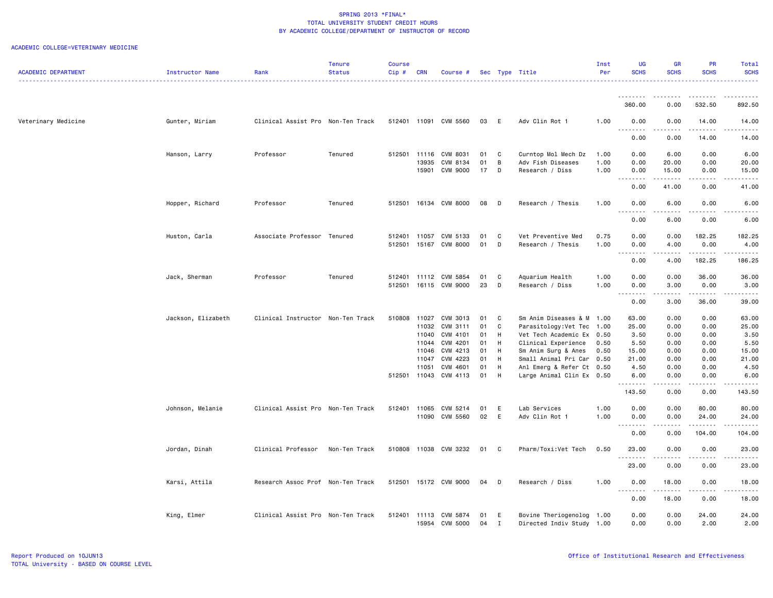|                            |                    |                                   | <b>Tenure</b> | <b>Course</b> |            |                       |      |             |                           | Inst | UG                 | GR                                                                                                                                                   | PR                  | Total       |
|----------------------------|--------------------|-----------------------------------|---------------|---------------|------------|-----------------------|------|-------------|---------------------------|------|--------------------|------------------------------------------------------------------------------------------------------------------------------------------------------|---------------------|-------------|
| <b>ACADEMIC DEPARTMENT</b> | Instructor Name    | Rank                              | <b>Status</b> | Cip#          | <b>CRN</b> | Course #              |      |             | Sec Type Title            | Per  | <b>SCHS</b>        | <b>SCHS</b>                                                                                                                                          | <b>SCHS</b>         | <b>SCHS</b> |
|                            |                    |                                   |               |               |            |                       |      |             |                           |      |                    |                                                                                                                                                      |                     | 22222       |
|                            |                    |                                   |               |               |            |                       |      |             |                           |      |                    |                                                                                                                                                      |                     |             |
|                            |                    |                                   |               |               |            |                       |      |             |                           |      | 360.00             | 0.00                                                                                                                                                 | 532.50              | 892.50      |
|                            |                    |                                   |               |               |            |                       |      |             |                           |      |                    |                                                                                                                                                      |                     |             |
| Veterinary Medicine        | Gunter, Miriam     | Clinical Assist Pro Non-Ten Track |               |               |            | 512401 11091 CVM 5560 | 03   | E           | Adv Clin Rot 1            | 1.00 | 0.00               | 0.00                                                                                                                                                 | 14.00               | 14.00       |
|                            |                    |                                   |               |               |            |                       |      |             |                           |      | . <b>.</b><br>0.00 | 0.00                                                                                                                                                 | . <b>.</b><br>14.00 | .<br>14.00  |
|                            |                    |                                   |               |               |            |                       |      |             |                           |      |                    |                                                                                                                                                      |                     |             |
|                            | Hanson, Larry      | Professor                         | Tenured       | 512501        | 11116      | CVM 8031              | 01   | C           | Curntop Mol Mech Dz       | 1.00 | 0.00               | 6.00                                                                                                                                                 | 0.00                | 6.00        |
|                            |                    |                                   |               |               | 13935      | CVM 8134              | 01   | B           | Adv Fish Diseases         | 1.00 | 0.00               | 20.00                                                                                                                                                | 0.00                | 20.00       |
|                            |                    |                                   |               |               | 15901      | <b>CVM 9000</b>       | 17   | D           | Research / Diss           | 1.00 | 0.00               | 15.00                                                                                                                                                | 0.00                | 15.00       |
|                            |                    |                                   |               |               |            |                       |      |             |                           |      |                    | .                                                                                                                                                    | .                   | .           |
|                            |                    |                                   |               |               |            |                       |      |             |                           |      | 0.00               | 41.00                                                                                                                                                | 0.00                | 41.00       |
|                            | Hopper, Richard    | Professor                         | Tenured       | 512501        |            | 16134 CVM 8000        | 08   | D           | Research / Thesis         | 1.00 | 0.00               | 6.00                                                                                                                                                 | 0.00                | 6.00        |
|                            |                    |                                   |               |               |            |                       |      |             |                           |      | <u>.</u>           |                                                                                                                                                      |                     |             |
|                            |                    |                                   |               |               |            |                       |      |             |                           |      | 0.00               | 6.00                                                                                                                                                 | 0.00                | 6.00        |
|                            |                    |                                   |               |               |            |                       |      |             |                           |      |                    |                                                                                                                                                      |                     |             |
|                            | Huston, Carla      | Associate Professor Tenured       |               | 512401        | 11057      | CVM 5133              | 01   | C           | Vet Preventive Med        | 0.75 | 0.00               | 0.00                                                                                                                                                 | 182.25              | 182.25      |
|                            |                    |                                   |               | 512501        |            | 15167 CVM 8000        | 01   | D           | Research / Thesis         | 1.00 | 0.00<br>د د د د    | 4.00                                                                                                                                                 | 0.00<br>.           | 4.00<br>.   |
|                            |                    |                                   |               |               |            |                       |      |             |                           |      | 0.00               | 4.00                                                                                                                                                 | 182.25              | 186.25      |
|                            |                    |                                   |               |               |            |                       |      |             |                           |      |                    |                                                                                                                                                      |                     |             |
|                            | Jack, Sherman      | Professor                         | Tenured       | 512401        | 11112      | CVM 5854              | 01   | C           | Aquarium Health           | 1.00 | 0.00               | 0.00                                                                                                                                                 | 36.00               | 36.00       |
|                            |                    |                                   |               | 512501        |            | 16115 CVM 9000        | 23   | D           | Research / Diss           | 1.00 | 0.00               | 3.00                                                                                                                                                 | 0.00                | 3.00        |
|                            |                    |                                   |               |               |            |                       |      |             |                           |      |                    | $\frac{1}{2} \left( \frac{1}{2} \right) \left( \frac{1}{2} \right) \left( \frac{1}{2} \right) \left( \frac{1}{2} \right) \left( \frac{1}{2} \right)$ | .                   | .           |
|                            |                    |                                   |               |               |            |                       |      |             |                           |      | 0.00               | 3.00                                                                                                                                                 | 36.00               | 39.00       |
|                            | Jackson, Elizabeth | Clinical Instructor Non-Ten Track |               | 510808        | 11027      | CVM 3013              | 01   | C           | Sm Anim Diseases & M 1.00 |      | 63.00              | 0.00                                                                                                                                                 | 0.00                | 63.00       |
|                            |                    |                                   |               |               | 11032      | CVM 3111              | 01   | C           | Parasitology:Vet Tec      | 1.00 | 25.00              | 0.00                                                                                                                                                 | 0.00                | 25.00       |
|                            |                    |                                   |               |               | 11040      | CVM 4101              | 01   | H           | Vet Tech Academic Ex 0.50 |      | 3.50               | 0.00                                                                                                                                                 | 0.00                | 3.50        |
|                            |                    |                                   |               |               | 11044      | CVM 4201              | 01   | H           | Clinical Experience       | 0.50 | 5.50               | 0.00                                                                                                                                                 | 0.00                | 5.50        |
|                            |                    |                                   |               |               | 11046      | CVM 4213              | 01   | H           | Sm Anim Surg & Anes       | 0.50 | 15.00              | 0.00                                                                                                                                                 | 0.00                | 15.00       |
|                            |                    |                                   |               |               | 11047      | CVM 4223              | 01   | H           | Small Animal Pri Car 0.50 |      | 21.00              | 0.00                                                                                                                                                 | 0.00                | 21.00       |
|                            |                    |                                   |               |               | 11051      | CVM 4601              | 01   | H           | Anl Emerg & Refer Ct 0.50 |      | 4.50               | 0.00                                                                                                                                                 | 0.00                | 4.50        |
|                            |                    |                                   |               | 512501 11043  |            | CVM 4113              | 01   | H           | Large Animal Clin Ex 0.50 |      | 6.00               | 0.00                                                                                                                                                 | 0.00                | 6.00        |
|                            |                    |                                   |               |               |            |                       |      |             |                           |      | .<br>143.50        | .<br>0.00                                                                                                                                            | .<br>0.00           | .<br>143.50 |
|                            |                    |                                   |               |               |            |                       |      |             |                           |      |                    |                                                                                                                                                      |                     |             |
|                            | Johnson, Melanie   | Clinical Assist Pro Non-Ten Track |               | 512401        | 11065      | CVM 5214              | 01   | E           | Lab Services              | 1.00 | 0.00               | 0.00                                                                                                                                                 | 80.00               | 80.00       |
|                            |                    |                                   |               |               |            | 11090 CVM 5560        | 02   | E           | Adv Clin Rot 1            | 1.00 | 0.00               | 0.00                                                                                                                                                 | 24.00               | 24.00       |
|                            |                    |                                   |               |               |            |                       |      |             |                           |      | .                  | .                                                                                                                                                    | .                   | .           |
|                            |                    |                                   |               |               |            |                       |      |             |                           |      | 0.00               | 0.00                                                                                                                                                 | 104.00              | 104.00      |
|                            | Jordan, Dinah      | Clinical Professor                | Non-Ten Track |               |            | 510808 11038 CVM 3232 | 01 C |             | Pharm/Toxi:Vet Tech       | 0.50 | 23.00              | 0.00                                                                                                                                                 | 0.00                | 23.00       |
|                            |                    |                                   |               |               |            |                       |      |             |                           |      | <b></b>            | .                                                                                                                                                    | <u>.</u>            | .           |
|                            |                    |                                   |               |               |            |                       |      |             |                           |      | 23.00              | 0.00                                                                                                                                                 | 0.00                | 23.00       |
|                            |                    |                                   |               |               |            |                       |      |             |                           |      |                    |                                                                                                                                                      |                     |             |
|                            | Karsi, Attila      | Research Assoc Prof Non-Ten Track |               | 512501        |            | 15172 CVM 9000        | 04   | D           | Research / Diss           | 1.00 | 0.00               | 18.00                                                                                                                                                | 0.00                | 18.00       |
|                            |                    |                                   |               |               |            |                       |      |             |                           |      |                    | .                                                                                                                                                    | .                   | .           |
|                            |                    |                                   |               |               |            |                       |      |             |                           |      | 0.00               | 18.00                                                                                                                                                | 0.00                | 18.00       |
|                            | King, Elmer        | Clinical Assist Pro Non-Ten Track |               | 512401        |            | 11113 CVM 5874        | 01   | - E         | Bovine Theriogenolog 1.00 |      | 0.00               | 0.00                                                                                                                                                 | 24.00               | 24.00       |
|                            |                    |                                   |               |               | 15954      | <b>CVM 5000</b>       | 04   | $\mathbf I$ | Directed Indiv Study 1.00 |      | 0.00               | 0.00                                                                                                                                                 | 2.00                | 2.00        |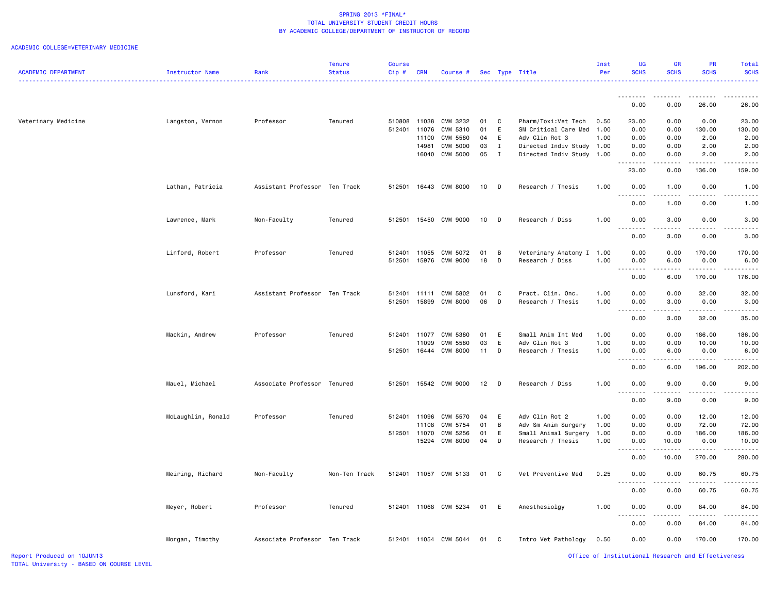|                            |                    |                               | Tenure        | <b>Course</b> |              |                       |        |              |                           | Inst | UG                 | <b>GR</b>                                                                                                                         | <b>PR</b>   | Total            |
|----------------------------|--------------------|-------------------------------|---------------|---------------|--------------|-----------------------|--------|--------------|---------------------------|------|--------------------|-----------------------------------------------------------------------------------------------------------------------------------|-------------|------------------|
| <b>ACADEMIC DEPARTMENT</b> | Instructor Name    | Rank                          | <b>Status</b> | Cip#          | <b>CRN</b>   | Course #              |        |              | Sec Type Title            | Per  | <b>SCHS</b>        | <b>SCHS</b>                                                                                                                       | <b>SCHS</b> | <b>SCHS</b><br>. |
|                            |                    |                               |               |               |              |                       |        |              |                           |      |                    | .                                                                                                                                 |             |                  |
|                            |                    |                               |               |               |              |                       |        |              |                           |      | 0.00               | 0.00                                                                                                                              | 26.00       | 26.00            |
| Veterinary Medicine        | Langston, Vernon   | Professor                     | Tenured       |               | 510808 11038 | CVM 3232              | 01     | C            | Pharm/Toxi:Vet Tech       | 0.50 | 23.00              | 0.00                                                                                                                              | 0.00        | 23.00            |
|                            |                    |                               |               |               | 512401 11076 | CVM 5310              | 01     | E            | SM Critical Care Med      | 1.00 | 0.00               | 0.00                                                                                                                              | 130.00      | 130.00           |
|                            |                    |                               |               |               | 11100        | CVM 5580              | 04     | E            | Adv Clin Rot 3            | 1.00 | 0.00               | 0.00                                                                                                                              | 2.00        | 2.00             |
|                            |                    |                               |               |               | 14981        | CVM 5000              | 03     | $\mathbf{I}$ | Directed Indiv Study      | 1.00 | 0.00               | 0.00                                                                                                                              | 2.00        | 2.00             |
|                            |                    |                               |               |               |              | 16040 CVM 5000        |        | 05 I         | Directed Indiv Study      | 1.00 | 0.00               | 0.00                                                                                                                              | 2.00        | 2.00             |
|                            |                    |                               |               |               |              |                       |        |              |                           |      | 23.00              | 0.00                                                                                                                              | 136.00      | 159.00           |
|                            | Lathan, Patricia   | Assistant Professor Ten Track |               | 512501        |              | 16443 CVM 8000        | $10$ D |              | Research / Thesis         | 1.00 | 0.00               | 1.00                                                                                                                              | 0.00        | 1.00             |
|                            |                    |                               |               |               |              |                       |        |              |                           |      | 0.00               | 1.00                                                                                                                              | 0.00        | 1.00             |
|                            | Lawrence, Mark     | Non-Faculty                   | Tenured       |               |              | 512501 15450 CVM 9000 | $10$ D |              | Research / Diss           | 1.00 | 0.00               | 3.00                                                                                                                              | 0.00        | 3.00             |
|                            |                    |                               |               |               |              |                       |        |              |                           |      | . <b>.</b><br>0.00 | $\frac{1}{2} \left( \frac{1}{2} \right) \left( \frac{1}{2} \right) \left( \frac{1}{2} \right) \left( \frac{1}{2} \right)$<br>3.00 | 0.00        | 3.00             |
|                            |                    |                               |               |               |              |                       |        |              |                           |      |                    |                                                                                                                                   |             |                  |
|                            | Linford, Robert    | Professor                     | Tenured       |               | 512401 11055 | CVM 5072              | 01     | B            | Veterinary Anatomy I 1.00 |      | 0.00               | 0.00                                                                                                                              | 170.00      | 170.00           |
|                            |                    |                               |               |               |              | 512501 15976 CVM 9000 |        | 18 D         | Research / Diss           | 1.00 | 0.00               | 6.00                                                                                                                              | 0.00        | 6.00             |
|                            |                    |                               |               |               |              |                       |        |              |                           |      | 0.00               | 6.00                                                                                                                              | 170.00      | 176.00           |
|                            | Lunsford, Kari     | Assistant Professor Ten Track |               |               |              | 512401 11111 CVM 5802 | 01     | C.           | Pract. Clin. Onc.         | 1.00 | 0.00               | 0.00                                                                                                                              | 32.00       | 32.00            |
|                            |                    |                               |               | 512501        | 15899        | <b>CVM 8000</b>       | 06     | D            | Research / Thesis         | 1.00 | 0.00               | 3.00                                                                                                                              | 0.00        | 3.00             |
|                            |                    |                               |               |               |              |                       |        |              |                           |      | 2.2.2.2.2          | د د د د                                                                                                                           | .           |                  |
|                            |                    |                               |               |               |              |                       |        |              |                           |      | 0.00               | 3.00                                                                                                                              | 32.00       | 35.00            |
|                            | Mackin, Andrew     | Professor                     | Tenured       |               |              | 512401 11077 CVM 5380 | 01     | <b>E</b>     | Small Anim Int Med        | 1.00 | 0.00               | 0.00                                                                                                                              | 186.00      | 186.00           |
|                            |                    |                               |               |               | 11099        | CVM 5580              | 03     | E            | Adv Clin Rot 3            | 1.00 | 0.00               | 0.00                                                                                                                              | 10.00       | 10.00            |
|                            |                    |                               |               |               |              | 512501 16444 CVM 8000 | 11     | D            | Research / Thesis         | 1.00 | 0.00               | 6.00                                                                                                                              | 0.00        | 6.00             |
|                            |                    |                               |               |               |              |                       |        |              |                           |      | .                  | .                                                                                                                                 | .           |                  |
|                            |                    |                               |               |               |              |                       |        |              |                           |      | 0.00               | 6.00                                                                                                                              | 196.00      | 202.00           |
|                            | Mauel, Michael     | Associate Professor Tenured   |               | 512501        |              | 15542 CVM 9000        | 12 D   |              | Research / Diss           | 1.00 | 0.00               | 9.00                                                                                                                              | 0.00        | 9.00             |
|                            |                    |                               |               |               |              |                       |        |              |                           |      | .<br>0.00          | .<br>9.00                                                                                                                         | 0.00        | 9.00             |
|                            |                    |                               |               |               |              |                       |        |              |                           |      |                    |                                                                                                                                   |             |                  |
|                            | McLaughlin, Ronald | Professor                     | Tenured       |               | 512401 11096 | CVM 5570              | 04     | E            | Adv Clin Rot 2            | 1.00 | 0.00               | 0.00                                                                                                                              | 12.00       | 12.00            |
|                            |                    |                               |               |               | 11108        | CVM 5754              | 01     | B            | Adv Sm Anim Surgery       | 1.00 | 0.00               | 0.00                                                                                                                              | 72.00       | 72.00            |
|                            |                    |                               |               |               | 512501 11070 | CVM 5256              | 01     | E            | Small Animal Surgery      | 1.00 | 0.00               | 0.00                                                                                                                              | 186.00      | 186.00           |
|                            |                    |                               |               |               |              | 15294 CVM 8000        | 04     | D            | Research / Thesis         | 1.00 | 0.00<br>.          | 10.00                                                                                                                             | 0.00        | 10.00            |
|                            |                    |                               |               |               |              |                       |        |              |                           |      | 0.00               | 10.00                                                                                                                             | 270.00      | 280.00           |
|                            | Meiring, Richard   | Non-Faculty                   | Non-Ten Track |               |              | 512401 11057 CVM 5133 |        | 01 C         | Vet Preventive Med        | 0.25 | 0.00<br>- - - - -  | 0.00                                                                                                                              | 60.75       | 60.75            |
|                            |                    |                               |               |               |              |                       |        |              |                           |      | 0.00               | 0.00                                                                                                                              | 60.75       | 60.75            |
|                            | Meyer, Robert      | Professor                     | Tenured       |               |              | 512401 11068 CVM 5234 | 01     | <b>E</b>     | Anesthesiolgy             | 1.00 | 0.00               | 0.00                                                                                                                              | 84.00       | 84.00            |
|                            |                    |                               |               |               |              |                       |        |              |                           |      | 0.00               | 0.00                                                                                                                              | 84.00       | 84.00            |
|                            | Morgan, Timothy    | Associate Professor Ten Track |               |               |              | 512401 11054 CVM 5044 | 01 C   |              | Intro Vet Pathology       | 0.50 | 0.00               | 0.00                                                                                                                              | 170.00      | 170.00           |
|                            |                    |                               |               |               |              |                       |        |              |                           |      |                    |                                                                                                                                   |             |                  |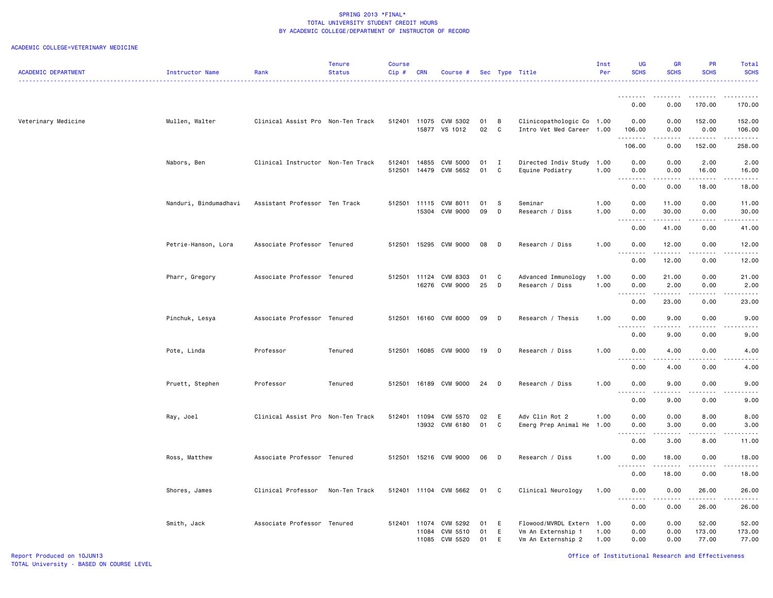|                            |                       |                                   | <b>Tenure</b> | <b>Course</b> |                |                       |          |              |                                          | Inst         | <b>UG</b>                 | <b>GR</b>     | <b>PR</b>                                                                                                                                                    | Total                                                                                                                                                         |
|----------------------------|-----------------------|-----------------------------------|---------------|---------------|----------------|-----------------------|----------|--------------|------------------------------------------|--------------|---------------------------|---------------|--------------------------------------------------------------------------------------------------------------------------------------------------------------|---------------------------------------------------------------------------------------------------------------------------------------------------------------|
| <b>ACADEMIC DEPARTMENT</b> | Instructor Name       | Rank                              | <b>Status</b> | Cip#          | <b>CRN</b>     | Course #              |          |              | Sec Type Title                           | Per          | <b>SCHS</b>               | <b>SCHS</b>   | <b>SCHS</b>                                                                                                                                                  | <b>SCHS</b>                                                                                                                                                   |
|                            |                       |                                   |               |               |                |                       |          |              |                                          |              | .                         |               |                                                                                                                                                              |                                                                                                                                                               |
|                            |                       |                                   |               |               |                |                       |          |              |                                          |              | 0.00                      | 0.00          | 170.00                                                                                                                                                       | 170.00                                                                                                                                                        |
| Veterinary Medicine        | Mullen, Walter        | Clinical Assist Pro Non-Ten Track |               |               |                | 512401 11075 CVM 5302 | 01       | B            | Clinicopathologic Co 1.00                |              | 0.00                      | 0.00          | 152.00                                                                                                                                                       | 152.00                                                                                                                                                        |
|                            |                       |                                   |               |               |                | 15877 VS 1012         | 02       | C            | Intro Vet Med Career                     | 1.00         | 106.00<br>.               | 0.00<br>----- | 0.00<br>.                                                                                                                                                    | 106.00<br>.                                                                                                                                                   |
|                            |                       |                                   |               |               |                |                       |          |              |                                          |              | 106.00                    | 0.00          | 152.00                                                                                                                                                       | 258.00                                                                                                                                                        |
|                            | Nabors, Ben           | Clinical Instructor Non-Ten Track |               | 512401        | 14855          | CVM 5000              | 01       | $\mathbf{I}$ | Directed Indiv Study 1.00                |              | 0.00                      | 0.00          | 2.00                                                                                                                                                         | 2.00                                                                                                                                                          |
|                            |                       |                                   |               | 512501        | 14479          | CVM 5652              | 01       | C            | Equine Podiatry                          | 1.00         | 0.00<br>.                 | 0.00<br>.     | 16.00<br>.                                                                                                                                                   | 16.00<br>$\frac{1}{2} \left( \frac{1}{2} \right) \left( \frac{1}{2} \right) \left( \frac{1}{2} \right) \left( \frac{1}{2} \right) \left( \frac{1}{2} \right)$ |
|                            |                       |                                   |               |               |                |                       |          |              |                                          |              | 0.00                      | 0.00          | 18.00                                                                                                                                                        | 18.00                                                                                                                                                         |
|                            | Nanduri, Bindumadhavi | Assistant Professor Ten Track     |               | 512501        | 11115          | CVM 8011              | 01       | S            | Seminar                                  | 1.00         | 0.00                      | 11.00         | 0.00                                                                                                                                                         | 11.00                                                                                                                                                         |
|                            |                       |                                   |               |               |                | 15304 CVM 9000        | 09       | D            | Research / Diss                          | 1.00         | 0.00                      | 30.00         | 0.00                                                                                                                                                         | 30.00                                                                                                                                                         |
|                            |                       |                                   |               |               |                |                       |          |              |                                          |              | .<br>0.00                 | .<br>41.00    | .<br>0.00                                                                                                                                                    | .<br>41.00                                                                                                                                                    |
|                            | Petrie-Hanson, Lora   | Associate Professor Tenured       |               | 512501        |                | 15295 CVM 9000        | 08       | D            | Research / Diss                          | 1.00         | 0.00                      | 12.00         | 0.00                                                                                                                                                         | 12.00                                                                                                                                                         |
|                            |                       |                                   |               |               |                |                       |          |              |                                          |              | <u>.</u>                  | .             | $\frac{1}{2} \left( \frac{1}{2} \right) \left( \frac{1}{2} \right) \left( \frac{1}{2} \right) \left( \frac{1}{2} \right) \left( \frac{1}{2} \right)$         | .                                                                                                                                                             |
|                            |                       |                                   |               |               |                |                       |          |              |                                          |              | 0.00                      | 12.00         | 0.00                                                                                                                                                         | 12.00                                                                                                                                                         |
|                            | Pharr, Gregory        | Associate Professor Tenured       |               | 512501 11124  | 16276          | CVM 8303<br>CVM 9000  | 01<br>25 | C<br>D       | Advanced Immunology<br>Research / Diss   | 1.00<br>1.00 | 0.00<br>0.00              | 21.00<br>2.00 | 0.00<br>0.00                                                                                                                                                 | 21.00<br>2.00                                                                                                                                                 |
|                            |                       |                                   |               |               |                |                       |          |              |                                          |              | $\sim$ $\sim$ $\sim$<br>. |               | المتماما                                                                                                                                                     | $\sim$ $\sim$ $\sim$ $\sim$                                                                                                                                   |
|                            |                       |                                   |               |               |                |                       |          |              |                                          |              | 0.00                      | 23.00         | 0.00                                                                                                                                                         | 23.00                                                                                                                                                         |
|                            | Pinchuk, Lesya        | Associate Professor Tenured       |               | 512501        |                | 16160 CVM 8000        | 09       | D            | Research / Thesis                        | 1.00         | 0.00<br>.                 | 9.00          | 0.00                                                                                                                                                         | 9.00                                                                                                                                                          |
|                            |                       |                                   |               |               |                |                       |          |              |                                          |              | 0.00                      | 9.00          | 0.00                                                                                                                                                         | 9.00                                                                                                                                                          |
|                            | Pote, Linda           | Professor                         | Tenured       | 512501        |                | 16085 CVM 9000        | 19       | D            | Research / Diss                          | 1.00         | 0.00                      | 4.00          | 0.00                                                                                                                                                         | 4.00                                                                                                                                                          |
|                            |                       |                                   |               |               |                |                       |          |              |                                          |              | 0.00                      | 4.00          | 0.00                                                                                                                                                         | 4.00                                                                                                                                                          |
|                            |                       |                                   |               |               |                |                       |          |              |                                          |              |                           |               |                                                                                                                                                              |                                                                                                                                                               |
|                            | Pruett, Stephen       | Professor                         | Tenured       | 512501        | 16189          | CVM 9000              | 24       | D            | Research / Diss                          | 1.00         | 0.00<br><u>.</u>          | 9.00          | 0.00                                                                                                                                                         | 9.00                                                                                                                                                          |
|                            |                       |                                   |               |               |                |                       |          |              |                                          |              | 0.00                      | 9.00          | 0.00                                                                                                                                                         | 9.00                                                                                                                                                          |
|                            | Ray, Joel             | Clinical Assist Pro Non-Ten Track |               |               |                | 512401 11094 CVM 5570 | 02       | E            | Adv Clin Rot 2                           | 1.00         | 0.00                      | 0.00          | 8.00                                                                                                                                                         | 8.00                                                                                                                                                          |
|                            |                       |                                   |               |               |                | 13932 CVM 6180        | 01       | C            | Emerg Prep Animal He                     | 1.00         | 0.00<br>.                 | 3.00          | 0.00                                                                                                                                                         | 3.00                                                                                                                                                          |
|                            |                       |                                   |               |               |                |                       |          |              |                                          |              | 0.00                      | 3.00          | 8.00                                                                                                                                                         | 11.00                                                                                                                                                         |
|                            | Ross, Matthew         | Associate Professor Tenured       |               |               |                | 512501 15216 CVM 9000 | 06       | <b>D</b>     | Research / Diss                          | 1.00         | 0.00                      | 18.00         | 0.00                                                                                                                                                         | 18.00                                                                                                                                                         |
|                            |                       |                                   |               |               |                |                       |          |              |                                          |              | .<br>0.00                 | .<br>18.00    | $\frac{1}{2} \left( \frac{1}{2} \right) \left( \frac{1}{2} \right) \left( \frac{1}{2} \right) \left( \frac{1}{2} \right) \left( \frac{1}{2} \right)$<br>0.00 | .<br>18.00                                                                                                                                                    |
|                            |                       |                                   |               |               |                |                       |          |              |                                          |              |                           |               |                                                                                                                                                              |                                                                                                                                                               |
|                            | Shores, James         | Clinical Professor                | Non-Ten Track |               |                | 512401 11104 CVM 5662 | 01 C     |              | Clinical Neurology                       | 1.00         | 0.00<br>.                 | 0.00<br>.     | 26.00<br>.                                                                                                                                                   | 26.00<br>. <b>.</b>                                                                                                                                           |
|                            |                       |                                   |               |               |                |                       |          |              |                                          |              | 0.00                      | 0.00          | 26.00                                                                                                                                                        | 26.00                                                                                                                                                         |
|                            | Smith, Jack           | Associate Professor Tenured       |               | 512401        | 11074          | CVM 5292              | 01       | E            | Flowood/MVRDL Extern                     | 1.00         | 0.00                      | 0.00          | 52.00                                                                                                                                                        | 52.00                                                                                                                                                         |
|                            |                       |                                   |               |               | 11084<br>11085 | CVM 5510<br>CVM 5520  | 01<br>01 | E<br>E       | Vm An Externship 1<br>Vm An Externship 2 | 1.00<br>1.00 | 0.00<br>0.00              | 0.00<br>0.00  | 173.00<br>77.00                                                                                                                                              | 173.00<br>77.00                                                                                                                                               |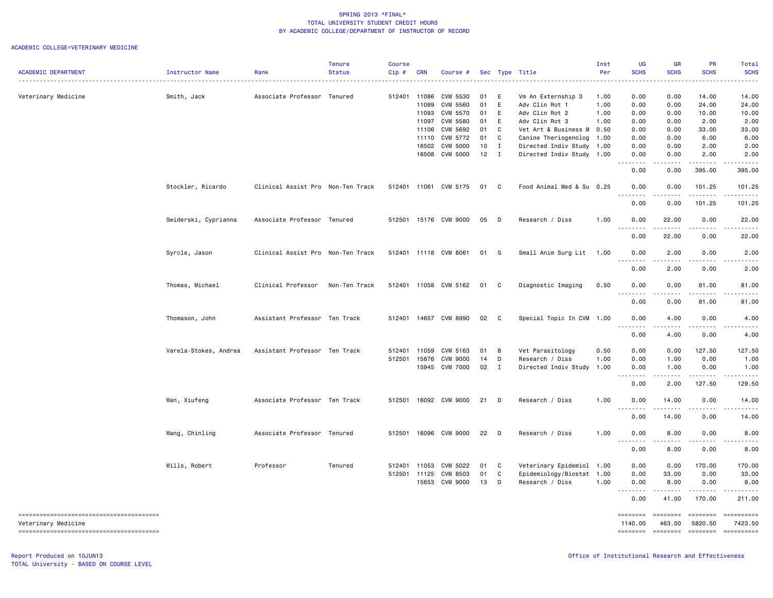| <b>ACADEMIC DEPARTMENT</b> | Instructor Name       | Rank                              | Tenure<br><b>Status</b> | Course<br>Cip# | <b>CRN</b>   | Course #              |               |              | Sec Type Title            | Inst<br>Per | UG<br><b>SCHS</b>     | <b>GR</b><br><b>SCHS</b>                                                                                                          | PR<br><b>SCHS</b>     | Total<br><b>SCHS</b>                                                                                                                                                                                                                                                                                                                                                                                                     |
|----------------------------|-----------------------|-----------------------------------|-------------------------|----------------|--------------|-----------------------|---------------|--------------|---------------------------|-------------|-----------------------|-----------------------------------------------------------------------------------------------------------------------------------|-----------------------|--------------------------------------------------------------------------------------------------------------------------------------------------------------------------------------------------------------------------------------------------------------------------------------------------------------------------------------------------------------------------------------------------------------------------|
|                            |                       |                                   |                         |                |              |                       |               |              | . <u>.</u> .              |             |                       |                                                                                                                                   |                       |                                                                                                                                                                                                                                                                                                                                                                                                                          |
| Veterinary Medicine        | Smith, Jack           | Associate Professor Tenured       |                         |                | 512401 11086 | CVM 5530              | 01            | E            | Vm An Externship 3        | 1.00        | 0.00                  | 0.00                                                                                                                              | 14.00                 | 14.00                                                                                                                                                                                                                                                                                                                                                                                                                    |
|                            |                       |                                   |                         |                | 11089        | CVM 5560              | 01            | E            | Adv Clin Rot 1            | 1.00        | 0.00                  | 0.00                                                                                                                              | 24.00                 | 24.00                                                                                                                                                                                                                                                                                                                                                                                                                    |
|                            |                       |                                   |                         |                | 11093        | CVM 5570              | 01            | E            | Adv Clin Rot 2            | 1.00        | 0.00                  | 0.00                                                                                                                              | 10.00                 | 10.00                                                                                                                                                                                                                                                                                                                                                                                                                    |
|                            |                       |                                   |                         |                | 11097        | CVM 5580              | 01            | E            | Adv Clin Rot 3            | 1.00        | 0.00                  | 0.00                                                                                                                              | 2.00                  | 2.00                                                                                                                                                                                                                                                                                                                                                                                                                     |
|                            |                       |                                   |                         |                | 11106        | CVM 5692              | 01            | C            | Vet Art & Business M      | 0.50        | 0.00                  | 0.00                                                                                                                              | 33.00                 | 33.00                                                                                                                                                                                                                                                                                                                                                                                                                    |
|                            |                       |                                   |                         |                | 11110        | CVM 5772              | 01            | C            | Canine Theriogenolog      | 1.00        | 0.00                  | 0.00                                                                                                                              | 6.00                  | 6.00                                                                                                                                                                                                                                                                                                                                                                                                                     |
|                            |                       |                                   |                         |                |              | 16502 CVM 5000        | $10$ I        |              | Directed Indiv Study      | 1.00        | 0.00                  | 0.00                                                                                                                              | 2.00                  | 2.00                                                                                                                                                                                                                                                                                                                                                                                                                     |
|                            |                       |                                   |                         |                |              | 16508 CVM 5000        | $12 \quad I$  |              | Directed Indiv Study      | 1.00        | 0.00<br>د د د د       | 0.00                                                                                                                              | 2.00                  | 2.00                                                                                                                                                                                                                                                                                                                                                                                                                     |
|                            |                       |                                   |                         |                |              |                       |               |              |                           |             | 0.00                  | 0.00                                                                                                                              | 395.00                | 395.00                                                                                                                                                                                                                                                                                                                                                                                                                   |
|                            | Stockler, Ricardo     | Clinical Assist Pro Non-Ten Track |                         |                |              | 512401 11061 CVM 5175 | 01 C          |              | Food Animal Med & Su 0.25 |             | 0.00                  | 0.00                                                                                                                              | 101.25                | 101.25                                                                                                                                                                                                                                                                                                                                                                                                                   |
|                            |                       |                                   |                         |                |              |                       |               |              |                           |             | 0.00                  | 0.00                                                                                                                              | 101.25                | 101.25                                                                                                                                                                                                                                                                                                                                                                                                                   |
|                            | Swiderski, Cyprianna  | Associate Professor Tenured       |                         |                |              | 512501 15176 CVM 9000 | 05            | $\Box$       | Research / Diss           | 1.00        | 0.00                  | 22.00                                                                                                                             | 0.00                  | 22.00                                                                                                                                                                                                                                                                                                                                                                                                                    |
|                            |                       |                                   |                         |                |              |                       |               |              |                           |             | .<br>0.00             | 22.00                                                                                                                             | 0.00                  | 22.00                                                                                                                                                                                                                                                                                                                                                                                                                    |
|                            | Syrcle, Jason         | Clinical Assist Pro Non-Ten Track |                         |                |              | 512401 11118 CVM 8061 | 01 S          |              | Small Anim Surg Lit       | 1.00        | 0.00                  | 2.00                                                                                                                              | 0.00                  | 2.00                                                                                                                                                                                                                                                                                                                                                                                                                     |
|                            |                       |                                   |                         |                |              |                       |               |              |                           |             | $\frac{1}{2}$<br>0.00 | $- - -$<br>2.00                                                                                                                   | 0.00                  | 2.00                                                                                                                                                                                                                                                                                                                                                                                                                     |
|                            | Thomas, Michael       | Clinical Professor                | Non-Ten Track           |                |              | 512401 11058 CVM 5162 | 01 C          |              | Diagnostic Imaging        | 0.50        | 0.00                  | 0.00                                                                                                                              | 81.00                 | 81.00                                                                                                                                                                                                                                                                                                                                                                                                                    |
|                            |                       |                                   |                         |                |              |                       |               |              |                           |             | .<br>0.00             | $\frac{1}{2} \left( \frac{1}{2} \right) \left( \frac{1}{2} \right) \left( \frac{1}{2} \right) \left( \frac{1}{2} \right)$<br>0.00 | $- - - - -$<br>81.00  | 81.00                                                                                                                                                                                                                                                                                                                                                                                                                    |
|                            | Thomason, John        | Assistant Professor Ten Track     |                         |                |              | 512401 14657 CVM 8990 | 02 C          |              | Special Topic In CVM 1.00 |             | 0.00                  | 4.00                                                                                                                              | 0.00                  | 4.00                                                                                                                                                                                                                                                                                                                                                                                                                     |
|                            |                       |                                   |                         |                |              |                       |               |              |                           |             | .<br>0.00             | .<br>4.00                                                                                                                         | $\frac{1}{2}$<br>0.00 | 4.00                                                                                                                                                                                                                                                                                                                                                                                                                     |
|                            |                       |                                   |                         |                |              |                       |               |              |                           |             |                       |                                                                                                                                   |                       |                                                                                                                                                                                                                                                                                                                                                                                                                          |
|                            | Varela-Stokes, Andrea | Assistant Professor Ten Track     |                         | 512401         | 11059        | CVM 5163              | 01 B          |              | Vet Parasitology          | 0.50        | 0.00                  | 0.00                                                                                                                              | 127.50                | 127.50                                                                                                                                                                                                                                                                                                                                                                                                                   |
|                            |                       |                                   |                         | 512501         | 15876        | CVM 9000              | 14            | $\Box$       | Research / Diss           | 1.00        | 0.00                  | 1.00                                                                                                                              | 0.00                  | 1.00                                                                                                                                                                                                                                                                                                                                                                                                                     |
|                            |                       |                                   |                         |                |              | 15945 CVM 7000        | $02 \qquad I$ |              | Directed Indiv Study      | 1.00        | 0.00<br>.             | 1.00<br>.                                                                                                                         | 0.00<br>.             | 1.00<br>.                                                                                                                                                                                                                                                                                                                                                                                                                |
|                            |                       |                                   |                         |                |              |                       |               |              |                           |             | 0.00                  | 2.00                                                                                                                              | 127.50                | 129.50                                                                                                                                                                                                                                                                                                                                                                                                                   |
|                            | Wan, Xiufeng          | Associate Professor Ten Track     |                         | 512501         |              | 16092 CVM 9000        | 21 D          |              | Research / Diss           | 1.00        | 0.00<br>.             | 14.00<br>.                                                                                                                        | 0.00<br>-----         | 14.00                                                                                                                                                                                                                                                                                                                                                                                                                    |
|                            |                       |                                   |                         |                |              |                       |               |              |                           |             | 0.00                  | 14.00                                                                                                                             | 0.00                  | 14.00                                                                                                                                                                                                                                                                                                                                                                                                                    |
|                            | Wang, Chinling        | Associate Professor Tenured       |                         |                |              | 512501 16096 CVM 9000 | 22 D          |              | Research / Diss           | 1.00        | 0.00                  | 8.00<br>.                                                                                                                         | 0.00<br>.             | 8.00<br>.                                                                                                                                                                                                                                                                                                                                                                                                                |
|                            |                       |                                   |                         |                |              |                       |               |              |                           |             | 0.00                  | 8.00                                                                                                                              | 0.00                  | 8.00                                                                                                                                                                                                                                                                                                                                                                                                                     |
|                            | Wills, Robert         | Professor                         | Tenured                 | 512401         | 11053        | CVM 5022              | 01            | $\mathbf{C}$ | Veterinary Epidemiol      | 1.00        | 0.00                  | 0.00                                                                                                                              | 170.00                | 170.00                                                                                                                                                                                                                                                                                                                                                                                                                   |
|                            |                       |                                   |                         |                | 512501 11125 | CVM 8503              | 01            | C.           | Epidemiology/Biostat      | 1.00        | 0.00                  | 33.00                                                                                                                             | 0.00                  | 33.00                                                                                                                                                                                                                                                                                                                                                                                                                    |
|                            |                       |                                   |                         |                | 15653        | CVM 9000              | 13 D          |              | Research / Diss           | 1.00        | 0.00<br>.             | 8.00                                                                                                                              | 0.00<br>.             | 8.00<br>.                                                                                                                                                                                                                                                                                                                                                                                                                |
|                            |                       |                                   |                         |                |              |                       |               |              |                           |             | 0.00                  | 41.00                                                                                                                             | 170.00                | 211.00                                                                                                                                                                                                                                                                                                                                                                                                                   |
| Veterinary Medicine        |                       |                                   |                         |                |              |                       |               |              |                           |             | ========<br>1140.00   | ========<br>463.00                                                                                                                | ========<br>5820.50   | ==========<br>7423.50                                                                                                                                                                                                                                                                                                                                                                                                    |
|                            |                       |                                   |                         |                |              |                       |               |              |                           |             | ========              | <b>SEBREBER</b>                                                                                                                   | <b>EDEDEDER</b>       | $\begin{minipage}{0.03\linewidth} \hspace*{-0.2cm} \textbf{if} \hspace*{-0.3cm} \textbf{if} \hspace*{-0.3cm} \textbf{if} \hspace*{-0.3cm} \textbf{if} \hspace*{-0.3cm} \textbf{if} \hspace*{-0.3cm} \textbf{if} \hspace*{-0.3cm} \textbf{if} \hspace*{-0.3cm} \textbf{if} \hspace*{-0.3cm} \textbf{if} \hspace*{-0.3cm} \textbf{if} \hspace*{-0.3cm} \textbf{if} \hspace*{-0.3cm} \textbf{if} \hspace*{-0.3cm} \textbf{$ |